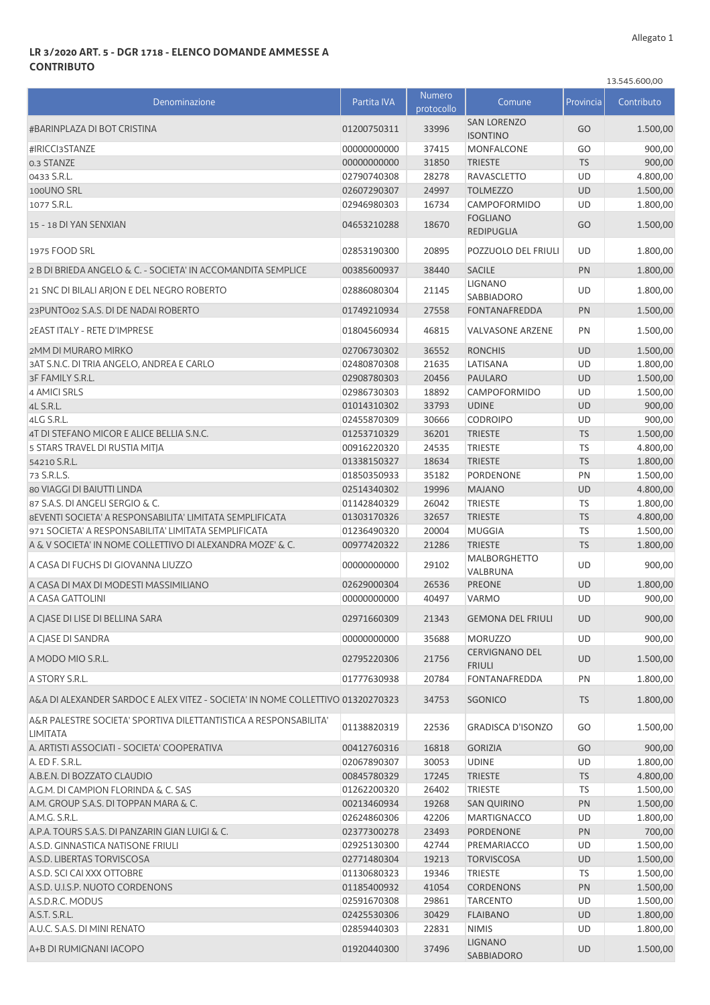## **LR 3/2020 ART. 5 - DGR 1718 - ELENCO DOMANDE AMMESSE A CONTRIBUTO**

|                                                                                     |             |                             |                                        |           | 13.545.600,00 |
|-------------------------------------------------------------------------------------|-------------|-----------------------------|----------------------------------------|-----------|---------------|
| Denominazione                                                                       | Partita IVA | <b>Numero</b><br>protocollo | Comune                                 | Provincia | Contributo    |
| #BARINPLAZA DI BOT CRISTINA                                                         | 01200750311 | 33996                       | <b>SAN LORENZO</b><br><b>ISONTINO</b>  | GO        | 1.500,00      |
| #IRICCI3STANZE                                                                      | 00000000000 | 37415                       | MONFALCONE                             | GO        | 900,00        |
| 0.3 STANZE                                                                          | 00000000000 | 31850                       | <b>TRIESTE</b>                         | <b>TS</b> | 900,00        |
| 0433 S.R.L.                                                                         | 02790740308 | 28278                       | RAVASCLETTO                            | <b>UD</b> | 4.800,00      |
| 100UNO SRL                                                                          | 02607290307 | 24997                       | <b>TOLMEZZO</b>                        | <b>UD</b> | 1.500,00      |
| 1077 S.R.L.                                                                         | 02946980303 | 16734                       | CAMPOFORMIDO                           | <b>UD</b> | 1.800,00      |
| 15 - 18 DI YAN SENXIAN                                                              | 04653210288 | 18670                       | <b>FOGLIANO</b><br><b>REDIPUGLIA</b>   | GO        | 1.500,00      |
| 1975 FOOD SRL                                                                       | 02853190300 | 20895                       | POZZUOLO DEL FRIULI                    | <b>UD</b> | 1.800,00      |
| 2 B DI BRIEDA ANGELO & C. - SOCIETA' IN ACCOMANDITA SEMPLICE                        | 00385600937 | 38440                       | <b>SACILE</b>                          | PN        | 1.800,00      |
| 21 SNC DI BILALI ARJON E DEL NEGRO ROBERTO                                          | 02886080304 | 21145                       | <b>LIGNANO</b><br>SABBIADORO           | UD        | 1.800,00      |
| 23 PUNTO02 S.A.S. DI DE NADAI ROBERTO                                               | 01749210934 | 27558                       | <b>FONTANAFREDDA</b>                   | PN        | 1.500,00      |
| 2EAST ITALY - RETE D'IMPRESE                                                        | 01804560934 | 46815                       | <b>VALVASONE ARZENE</b>                | PN        | 1.500,00      |
| 2MM DI MURARO MIRKO                                                                 | 02706730302 | 36552                       | <b>RONCHIS</b>                         | <b>UD</b> | 1.500,00      |
| 3AT S.N.C. DI TRIA ANGELO. ANDREA E CARLO                                           | 02480870308 | 21635                       | LATISANA                               | <b>UD</b> | 1.800,00      |
| 3F FAMILY S.R.L.                                                                    | 02908780303 | 20456                       | <b>PAULARO</b>                         | <b>UD</b> | 1.500,00      |
| 4 AMICI SRLS                                                                        | 02986730303 | 18892                       | CAMPOFORMIDO                           | <b>UD</b> | 1.500,00      |
| 4L S.R.L.                                                                           | 01014310302 | 33793                       | <b>UDINE</b>                           | <b>UD</b> | 900,00        |
| 4LG S.R.L.                                                                          | 02455870309 | 30666                       | <b>CODROIPO</b>                        | <b>UD</b> | 900,00        |
| 4T DI STEFANO MICOR E ALICE BELLIA S.N.C.                                           | 01253710329 | 36201                       | <b>TRIESTE</b>                         | <b>TS</b> | 1.500,00      |
| 5 STARS TRAVEL DI RUSTIA MITJA                                                      | 00916220320 | 24535                       | <b>TRIESTE</b>                         | <b>TS</b> | 4.800,00      |
| 54210 S.R.L.                                                                        | 01338150327 | 18634                       | <b>TRIESTE</b>                         | <b>TS</b> | 1.800,00      |
| 73 S.R.L.S.                                                                         | 01850350933 | 35182                       | PORDENONE                              | PN        | 1.500,00      |
| 80 VIAGGI DI BAIUTTI LINDA                                                          | 02514340302 | 19996                       | <b>MAJANO</b>                          | <b>UD</b> | 4.800,00      |
| 87 S.A.S. DI ANGELI SERGIO & C.                                                     | 01142840329 | 26042                       | <b>TRIESTE</b>                         | <b>TS</b> | 1.800,00      |
| 8 EVENTI SOCIETA' A RESPONSABILITA' LIMITATA SEMPLIFICATA                           | 01303170326 | 32657                       | <b>TRIESTE</b>                         | <b>TS</b> | 4.800,00      |
| 971 SOCIETA' A RESPONSABILITA' LIMITATA SEMPLIFICATA                                | 01236490320 | 20004                       | <b>MUGGIA</b>                          | <b>TS</b> | 1.500,00      |
| A & V SOCIETA' IN NOME COLLETTIVO DI ALEXANDRA MOZE' & C.                           | 00977420322 | 21286                       | <b>TRIESTE</b>                         | <b>TS</b> | 1.800,00      |
| A CASA DI FUCHS DI GIOVANNA LIUZZO                                                  | 00000000000 | 29102                       | <b>MALBORGHETTO</b><br>VALBRUNA        | UD        | 900,00        |
| A CASA DI MAX DI MODESTI MASSIMILIANO                                               | 02629000304 | 26536                       | <b>PREONE</b>                          | <b>UD</b> | 1.800,00      |
| A CASA GATTOLINI                                                                    | 00000000000 | 40497                       | VARMO                                  | UD        | 900,00        |
| A CIASE DI LISE DI BELLINA SARA                                                     | 02971660309 | 21343                       | <b>GEMONA DEL FRIULI</b>               | <b>UD</b> | 900,00        |
| A CJASE DI SANDRA                                                                   | 00000000000 | 35688                       | <b>MORUZZO</b>                         | UD        | 900,00        |
| A MODO MIO S.R.L.                                                                   | 02795220306 | 21756                       | <b>CERVIGNANO DEL</b><br><b>FRIULI</b> | <b>UD</b> | 1.500,00      |
| A STORY S.R.L.                                                                      | 01777630938 | 20784                       | FONTANAFREDDA                          | PN        | 1.800,00      |
| A&A DI ALEXANDER SARDOC E ALEX VITEZ - SOCIETA' IN NOME COLLETTIVO 01320270323      |             | 34753                       | <b>SGONICO</b>                         | <b>TS</b> | 1.800,00      |
| A&R PALESTRE SOCIETA' SPORTIVA DILETTANTISTICA A RESPONSABILITA'<br><b>LIMITATA</b> | 01138820319 | 22536                       | <b>GRADISCA D'ISONZO</b>               | GO        | 1.500,00      |
| A. ARTISTI ASSOCIATI - SOCIETA' COOPERATIVA                                         | 00412760316 | 16818                       | <b>GORIZIA</b>                         | GO        | 900,00        |
| A. ED F. S.R.L.                                                                     | 02067890307 | 30053                       | <b>UDINE</b>                           | UD        | 1.800,00      |
| A.B.E.N. DI BOZZATO CLAUDIO                                                         | 00845780329 | 17245                       | <b>TRIESTE</b>                         | <b>TS</b> | 4.800,00      |
| A.G.M. DI CAMPION FLORINDA & C. SAS                                                 | 01262200320 | 26402                       | TRIESTE                                | TS        | 1.500,00      |
| A.M. GROUP S.A.S. DI TOPPAN MARA & C.                                               | 00213460934 | 19268                       | <b>SAN QUIRINO</b>                     | PN        | 1.500,00      |
| A.M.G. S.R.L.                                                                       | 02624860306 | 42206                       | MARTIGNACCO                            | <b>UD</b> | 1.800,00      |
| A.P.A. TOURS S.A.S. DI PANZARIN GIAN LUIGI & C.                                     | 02377300278 | 23493                       | <b>PORDENONE</b>                       | PN        | 700,00        |
| A.S.D. GINNASTICA NATISONE FRIULI                                                   | 02925130300 | 42744                       | PREMARIACCO                            | UD        | 1.500,00      |
| A.S.D. LIBERTAS TORVISCOSA                                                          | 02771480304 | 19213                       | <b>TORVISCOSA</b>                      | UD        | 1.500,00      |
| A.S.D. SCI CAI XXX OTTOBRE                                                          | 01130680323 | 19346                       | <b>TRIESTE</b>                         | <b>TS</b> | 1.500,00      |
| A.S.D. U.I.S.P. NUOTO CORDENONS                                                     | 01185400932 | 41054                       | <b>CORDENONS</b>                       | PN        | 1.500,00      |
| A.S.D.R.C. MODUS                                                                    | 02591670308 | 29861                       | <b>TARCENTO</b>                        | UD        | 1.500,00      |
| A.S.T. S.R.L.                                                                       | 02425530306 | 30429                       | <b>FLAIBANO</b>                        | UD        | 1.800,00      |
| A.U.C. S.A.S. DI MINI RENATO                                                        | 02859440303 | 22831                       | <b>NIMIS</b>                           | <b>UD</b> | 1.800,00      |
| A+B DI RUMIGNANI IACOPO                                                             | 01920440300 | 37496                       | <b>LIGNANO</b><br>SABBIADORO           | UD        | 1.500,00      |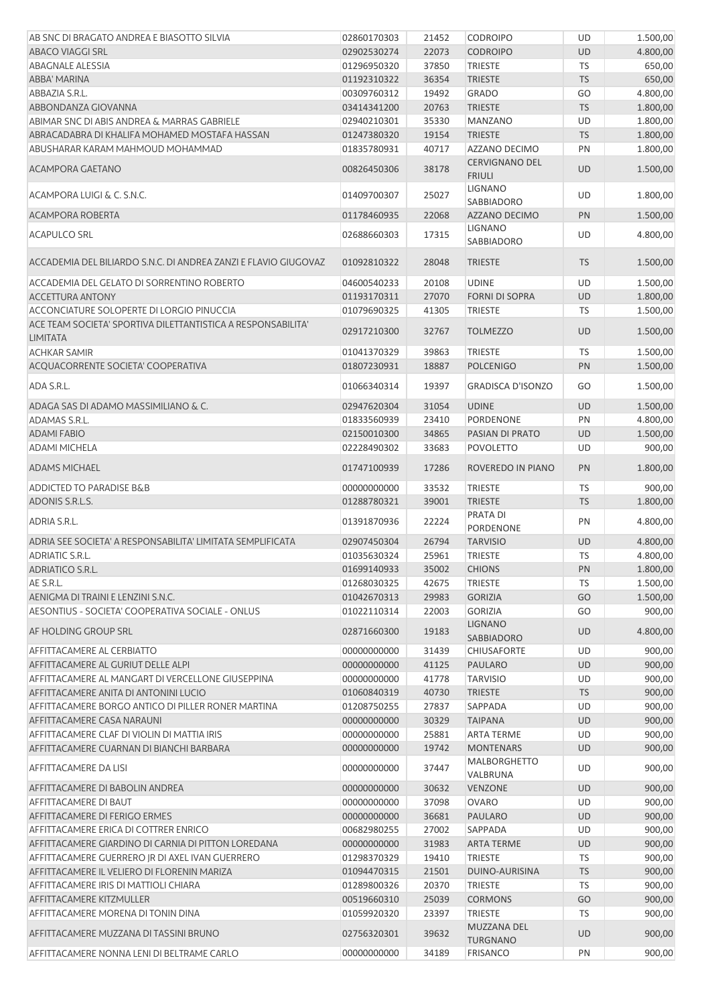| AB SNC DI BRAGATO ANDREA E BIASOTTO SILVIA                                           | 02860170303                | 21452          | <b>CODROIPO</b>                        | UD        | 1.500,00         |
|--------------------------------------------------------------------------------------|----------------------------|----------------|----------------------------------------|-----------|------------------|
| <b>ABACO VIAGGI SRL</b>                                                              | 02902530274                | 22073          | <b>CODROIPO</b>                        | <b>UD</b> | 4.800,00         |
| <b>ABAGNALE ALESSIA</b>                                                              | 01296950320                | 37850          | <b>TRIESTE</b>                         | TS        | 650,00           |
| ABBA' MARINA                                                                         | 01192310322                | 36354          | <b>TRIESTE</b>                         | <b>TS</b> | 650,00           |
| ABBAZIA S.R.L.                                                                       | 00309760312                | 19492          | <b>GRADO</b>                           | GO        | 4.800,00         |
| ABBONDANZA GIOVANNA                                                                  | 03414341200                | 20763          | <b>TRIESTE</b>                         | <b>TS</b> | 1.800,00         |
| ABIMAR SNC DI ABIS ANDREA & MARRAS GABRIELE                                          | 02940210301                | 35330          | <b>MANZANO</b>                         | UD        | 1.800,00         |
| ABRACADABRA DI KHALIFA MOHAMED MOSTAFA HASSAN                                        | 01247380320                | 19154          | <b>TRIESTE</b>                         | <b>TS</b> | 1.800,00         |
| ABUSHARAR KARAM MAHMOUD MOHAMMAD                                                     | 01835780931                | 40717          | AZZANO DECIMO                          | PN        | 1.800,00         |
| ACAMPORA GAETANO                                                                     | 00826450306                | 38178          | <b>CERVIGNANO DEL</b><br><b>FRIULI</b> | <b>UD</b> | 1.500,00         |
| ACAMPORA LUIGI & C. S.N.C.                                                           | 01409700307                | 25027          | LIGNANO<br>SABBIADORO                  | UD        | 1.800,00         |
| <b>ACAMPORA ROBERTA</b>                                                              | 01178460935                | 22068          | AZZANO DECIMO                          | PN        | 1.500,00         |
| <b>ACAPULCO SRL</b>                                                                  | 02688660303                | 17315          | LIGNANO<br>SABBIADORO                  | UD        | 4.800,00         |
| ACCADEMIA DEL BILIARDO S.N.C. DI ANDREA ZANZI E FLAVIO GIUGOVAZ                      | 01092810322                | 28048          | <b>TRIESTE</b>                         | <b>TS</b> | 1.500,00         |
| ACCADEMIA DEL GELATO DI SORRENTINO ROBERTO                                           | 04600540233                | 20108          | <b>UDINE</b>                           | UD        | 1.500,00         |
| <b>ACCETTURA ANTONY</b>                                                              | 01193170311                | 27070          | <b>FORNI DI SOPRA</b>                  | <b>UD</b> | 1.800,00         |
| ACCONCIATURE SOLOPERTE DI LORGIO PINUCCIA                                            | 01079690325                | 41305          | <b>TRIESTE</b>                         | TS        | 1.500,00         |
| ACE TEAM SOCIETA' SPORTIVA DILETTANTISTICA A RESPONSABILITA'<br><b>LIMITATA</b>      | 02917210300                | 32767          | <b>TOLMEZZO</b>                        | UD        | 1.500,00         |
| <b>ACHKAR SAMIR</b>                                                                  | 01041370329                | 39863          | <b>TRIESTE</b>                         | TS        | 1.500,00         |
| ACQUACORRENTE SOCIETA' COOPERATIVA                                                   | 01807230931                | 18887          | <b>POLCENIGO</b>                       | PN        | 1.500,00         |
| ADA S.R.L.                                                                           | 01066340314                | 19397          | <b>GRADISCA D'ISONZO</b>               | GO        | 1.500,00         |
| ADAGA SAS DI ADAMO MASSIMILIANO & C.                                                 | 02947620304                | 31054          | <b>UDINE</b>                           | UD        | 1.500,00         |
| ADAMAS S.R.L.                                                                        | 01833560939                | 23410          | <b>PORDENONE</b>                       | PN        | 4.800,00         |
| <b>ADAMI FABIO</b>                                                                   | 02150010300                | 34865          | PASIAN DI PRATO                        | <b>UD</b> | 1.500,00         |
| <b>ADAMI MICHELA</b>                                                                 | 02228490302                | 33683          | <b>POVOLETTO</b>                       | UD        | 900,00           |
| <b>ADAMS MICHAEL</b>                                                                 | 01747100939                | 17286          | ROVEREDO IN PIANO                      | PN        | 1.800,00         |
| <b>ADDICTED TO PARADISE B&amp;B</b>                                                  | 00000000000                | 33532          | <b>TRIESTE</b>                         | TS        | 900,00           |
| ADONIS S.R.L.S.                                                                      | 01288780321                | 39001          | <b>TRIESTE</b>                         | <b>TS</b> | 1.800,00         |
| <b>ADRIA S.R.L.</b>                                                                  | 01391870936                | 22224          | PRATA DI<br>PORDENONE                  | PN        | 4.800,00         |
| ADRIA SEE SOCIETA' A RESPONSABILITA' LIMITATA SEMPLIFICATA                           | 02907450304                | 26794          | <b>TARVISIO</b>                        | <b>UD</b> | 4.800,00         |
| <b>ADRIATIC S.R.L.</b>                                                               | 01035630324                | 25961          | <b>TRIESTE</b>                         | TS        | 4.800,00         |
| ADRIATICO S.R.L.                                                                     | 01699140933                | 35002          | <b>CHIONS</b>                          | PN        | 1.800,00         |
| AE S.R.L.                                                                            | 01268030325                | 42675          | <b>TRIESTE</b>                         | <b>TS</b> | 1.500,00         |
| AENIGMA DI TRAINI E LENZINI S.N.C.                                                   | 01042670313                | 29983          | <b>GORIZIA</b>                         | GO        | 1.500,00         |
| AESONTIUS - SOCIETA' COOPERATIVA SOCIALE - ONLUS                                     | 01022110314                | 22003          | <b>GORIZIA</b>                         | GO        | 900,00           |
| AF HOLDING GROUP SRL                                                                 | 02871660300                | 19183          | <b>LIGNANO</b><br>SABBIADORO           | <b>UD</b> | 4.800,00         |
| AFFITTACAMERE AL CERBIATTO                                                           | 00000000000                | 31439          | <b>CHIUSAFORTE</b>                     | UD        | 900,00           |
| AFFITTACAMERE AL GURIUT DELLE ALPI                                                   | 00000000000                | 41125          | <b>PAULARO</b>                         | <b>UD</b> | 900,00           |
| AFFITTACAMERE AL MANGART DI VERCELLONE GIUSEPPINA                                    | 00000000000                | 41778          | <b>TARVISIO</b>                        | UD        | 900,00           |
| AFFITTACAMERE ANITA DI ANTONINI LUCIO                                                | 01060840319                | 40730          | <b>TRIESTE</b>                         | <b>TS</b> | 900,00           |
| AFFITTACAMERE BORGO ANTICO DI PILLER RONER MARTINA                                   | 01208750255                | 27837          | SAPPADA                                | UD        | 900,00           |
| AFFITTACAMERE CASA NARAUNI                                                           | 00000000000                | 30329          | <b>TAIPANA</b>                         | <b>UD</b> | 900,00           |
| AFFITTACAMERE CLAF DI VIOLIN DI MATTIA IRIS                                          | 00000000000                | 25881          | <b>ARTA TERME</b>                      | UD        | 900,00           |
| AFFITTACAMERE CUARNAN DI BIANCHI BARBARA                                             | 00000000000                | 19742          | <b>MONTENARS</b>                       | <b>UD</b> | 900,00           |
| AFFITTACAMERE DA LISI                                                                | 00000000000                | 37447          | MALBORGHETTO                           | UD        | 900,00           |
| AFFITTACAMERE DI BABOLIN ANDREA                                                      | 00000000000                | 30632          | VALBRUNA<br><b>VENZONE</b>             | <b>UD</b> | 900,00           |
| <b>AFFITTACAMERE DI BAUT</b>                                                         | 00000000000                | 37098          | <b>OVARO</b>                           | UD        | 900,00           |
| AFFITTACAMERE DI FERIGO ERMES                                                        | 00000000000                | 36681          | <b>PAULARO</b>                         | <b>UD</b> | 900,00           |
| AFFITTACAMERE ERICA DI COTTRER ENRICO                                                | 00682980255                | 27002          | SAPPADA                                | UD        | 900,00           |
| AFFITTACAMERE GIARDINO DI CARNIA DI PITTON LOREDANA                                  | 00000000000                | 31983          | <b>ARTA TERME</b>                      | <b>UD</b> | 900,00           |
| AFFITTACAMERE GUERRERO JR DI AXEL IVAN GUERRERO                                      | 01298370329                | 19410          | <b>TRIESTE</b>                         | TS        | 900,00           |
| AFFITTACAMERE IL VELIERO DI FLORENIN MARIZA                                          | 01094470315                | 21501          | DUINO-AURISINA                         | <b>TS</b> | 900,00           |
| AFFITTACAMERE IRIS DI MATTIOLI CHIARA                                                | 01289800326                | 20370          | <b>TRIESTE</b>                         | TS        | 900,00           |
| AFFITTACAMERE KITZMULLER                                                             | 00519660310                | 25039          | <b>CORMONS</b>                         | GO        | 900,00           |
| AFFITTACAMERE MORENA DI TONIN DINA                                                   | 01059920320                | 23397          | <b>TRIESTE</b>                         | TS        | 900,00           |
|                                                                                      |                            |                | <b>MUZZANA DEL</b>                     |           |                  |
| AFFITTACAMERE MUZZANA DI TASSINI BRUNO<br>AFFITTACAMERE NONNA LENI DI BELTRAME CARLO | 02756320301<br>00000000000 | 39632<br>34189 | <b>TURGNANO</b><br><b>FRISANCO</b>     | UD<br>PN  | 900,00<br>900,00 |
|                                                                                      |                            |                |                                        |           |                  |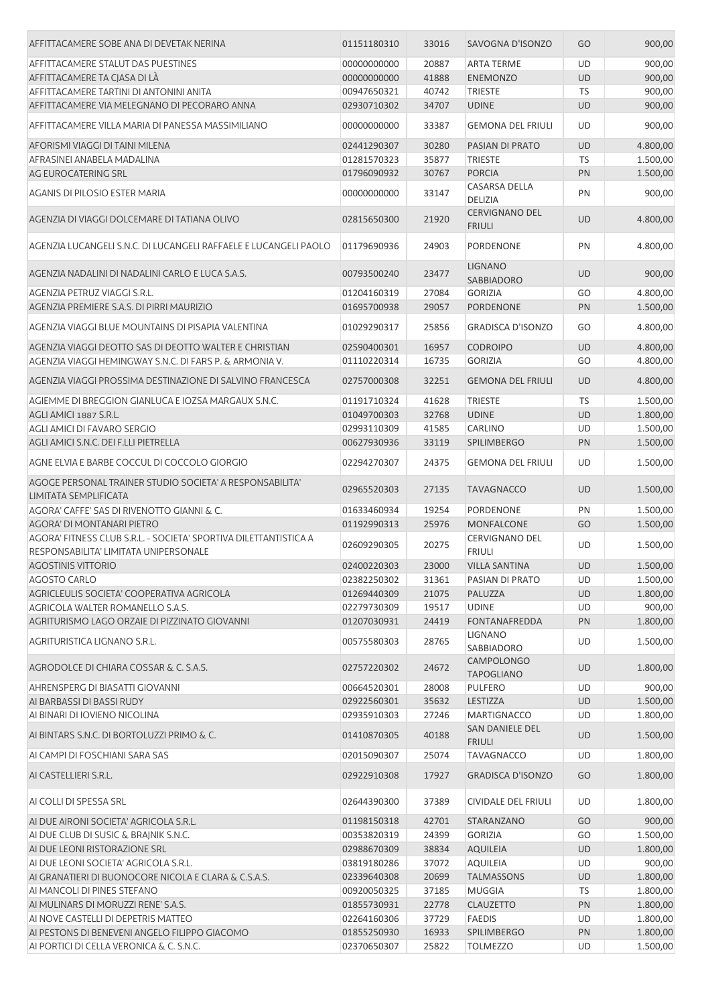| AFFITTACAMERE SOBE ANA DI DEVETAK NERINA                                                                  | 01151180310 | 33016 | SAVOGNA D'ISONZO                       | GO        | 900,00   |
|-----------------------------------------------------------------------------------------------------------|-------------|-------|----------------------------------------|-----------|----------|
| AFFITTACAMERE STALUT DAS PUESTINES                                                                        | 00000000000 | 20887 | <b>ARTA TERME</b>                      | UD        | 900,00   |
| AFFITTACAMERE TA CJASA DI LÀ                                                                              | 00000000000 | 41888 | <b>ENEMONZO</b>                        | UD        | 900,00   |
| AFFITTACAMERE TARTINI DI ANTONINI ANITA                                                                   | 00947650321 | 40742 | <b>TRIESTE</b>                         | <b>TS</b> | 900,00   |
| AFFITTACAMERE VIA MELEGNANO DI PECORARO ANNA                                                              | 02930710302 | 34707 | <b>UDINE</b>                           | <b>UD</b> | 900,00   |
| AFFITTACAMERE VILLA MARIA DI PANESSA MASSIMILIANO                                                         | 00000000000 | 33387 | <b>GEMONA DEL FRIULI</b>               | <b>UD</b> | 900,00   |
| AFORISMI VIAGGI DI TAINI MILENA                                                                           | 02441290307 | 30280 | PASIAN DI PRATO                        | UD        | 4.800,00 |
| AFRASINEI ANABELA MADALINA                                                                                | 01281570323 | 35877 | <b>TRIESTE</b>                         | <b>TS</b> | 1.500,00 |
| AG EUROCATERING SRL                                                                                       | 01796090932 | 30767 | <b>PORCIA</b>                          | PN        | 1.500,00 |
|                                                                                                           |             |       | <b>CASARSA DELLA</b>                   |           |          |
| <b>AGANIS DI PILOSIO ESTER MARIA</b>                                                                      | 00000000000 | 33147 | DELIZIA                                | PN        | 900,00   |
| AGENZIA DI VIAGGI DOLCEMARE DI TATIANA OLIVO                                                              | 02815650300 | 21920 | <b>CERVIGNANO DEL</b><br><b>FRIULI</b> | <b>UD</b> | 4.800,00 |
| AGENZIA LUCANGELI S.N.C. DI LUCANGELI RAFFAELE E LUCANGELI PAOLO                                          | 01179690936 | 24903 | PORDENONE                              | PN        | 4.800,00 |
| AGENZIA NADALINI DI NADALINI CARLO E LUCA S.A.S.                                                          | 00793500240 | 23477 | <b>LIGNANO</b><br>SABBIADORO           | <b>UD</b> | 900,00   |
| AGENZIA PETRUZ VIAGGI S.R.L.                                                                              | 01204160319 | 27084 | <b>GORIZIA</b>                         | GO        | 4.800,00 |
| AGENZIA PREMIERE S.A.S. DI PIRRI MAURIZIO                                                                 | 01695700938 | 29057 | PORDENONE                              | PN        | 1.500,00 |
| AGENZIA VIAGGI BLUE MOUNTAINS DI PISAPIA VALENTINA                                                        | 01029290317 | 25856 | <b>GRADISCA D'ISONZO</b>               | GO        | 4.800,00 |
| AGENZIA VIAGGI DEOTTO SAS DI DEOTTO WALTER E CHRISTIAN                                                    | 02590400301 | 16957 | <b>CODROIPO</b>                        | <b>UD</b> | 4.800,00 |
| AGENZIA VIAGGI HEMINGWAY S.N.C. DI FARS P. & ARMONIA V.                                                   | 01110220314 | 16735 | <b>GORIZIA</b>                         | GO        | 4.800,00 |
|                                                                                                           |             |       |                                        |           |          |
| AGENZIA VIAGGI PROSSIMA DESTINAZIONE DI SALVINO FRANCESCA                                                 | 02757000308 | 32251 | <b>GEMONA DEL FRIULI</b>               | <b>UD</b> | 4.800,00 |
| AGIEMME DI BREGGION GIANLUCA E IOZSA MARGAUX S.N.C.                                                       | 01191710324 | 41628 | <b>TRIESTE</b>                         | <b>TS</b> | 1.500,00 |
| AGLI AMICI 1887 S.R.L.                                                                                    | 01049700303 | 32768 | <b>UDINE</b>                           | <b>UD</b> | 1.800,00 |
| AGLI AMICI DI FAVARO SERGIO                                                                               | 02993110309 | 41585 | <b>CARLINO</b>                         | UD        | 1.500,00 |
| AGLI AMICI S.N.C. DEI F.LLI PIETRELLA                                                                     | 00627930936 | 33119 | <b>SPILIMBERGO</b>                     | PN        | 1.500,00 |
| AGNE ELVIA E BARBE COCCUL DI COCCOLO GIORGIO                                                              | 02294270307 | 24375 | <b>GEMONA DEL FRIULI</b>               | <b>UD</b> | 1.500,00 |
| AGOGE PERSONAL TRAINER STUDIO SOCIETA' A RESPONSABILITA'<br>LIMITATA SEMPLIFICATA                         | 02965520303 | 27135 | <b>TAVAGNACCO</b>                      | <b>UD</b> | 1.500,00 |
| AGORA' CAFFE' SAS DI RIVENOTTO GIANNI & C.                                                                | 01633460934 | 19254 | <b>PORDENONE</b>                       | PN        | 1.500,00 |
| AGORA' DI MONTANARI PIETRO                                                                                | 01192990313 | 25976 | <b>MONFALCONE</b>                      | GO        | 1.500,00 |
| AGORA' FITNESS CLUB S.R.L. - SOCIETA' SPORTIVA DILETTANTISTICA A<br>RESPONSABILITA' LIMITATA UNIPERSONALE | 02609290305 | 20275 | <b>CERVIGNANO DEL</b><br><b>FRIULI</b> | UD        | 1.500,00 |
| <b>AGOSTINIS VITTORIO</b>                                                                                 | 02400220303 | 23000 | <b>VILLA SANTINA</b>                   | <b>UD</b> | 1.500,00 |
| <b>AGOSTO CARLO</b>                                                                                       | 02382250302 | 31361 | PASIAN DI PRATO                        | UD        | 1.500,00 |
| AGRICLEULIS SOCIETA' COOPERATIVA AGRICOLA                                                                 | 01269440309 | 21075 | PALUZZA                                | <b>UD</b> | 1.800,00 |
| AGRICOLA WALTER ROMANELLO S.A.S.                                                                          | 02279730309 | 19517 | <b>UDINE</b>                           | UD        | 900,00   |
| AGRITURISMO LAGO ORZAIE DI PIZZINATO GIOVANNI                                                             | 01207030931 | 24419 | FONTANAFREDDA                          | PN        | 1.800,00 |
|                                                                                                           |             |       | <b>LIGNANO</b>                         |           |          |
| AGRITURISTICA LIGNANO S.R.L.                                                                              | 00575580303 | 28765 | SABBIADORO<br><b>CAMPOLONGO</b>        | UD        | 1.500,00 |
| AGRODOLCE DI CHIARA COSSAR & C. S.A.S.                                                                    | 02757220302 | 24672 | <b>TAPOGLIANO</b>                      | UD        | 1.800,00 |
| AHRENSPERG DI BIASATTI GIOVANNI                                                                           | 00664520301 | 28008 | <b>PULFERO</b>                         | UD        | 900,00   |
| AI BARBASSI DI BASSI RUDY                                                                                 | 02922560301 | 35632 | LESTIZZA                               | UD        | 1.500,00 |
| AI BINARI DI IOVIENO NICOLINA                                                                             | 02935910303 | 27246 | <b>MARTIGNACCO</b>                     | <b>UD</b> | 1.800,00 |
| AI BINTARS S.N.C. DI BORTOLUZZI PRIMO & C.                                                                | 01410870305 | 40188 | SAN DANIELE DEL<br><b>FRIULI</b>       | UD        | 1.500,00 |
| AI CAMPI DI FOSCHIANI SARA SAS                                                                            | 02015090307 | 25074 | <b>TAVAGNACCO</b>                      | UD        | 1.800,00 |
| AI CASTELLIERI S.R.L.                                                                                     | 02922910308 | 17927 | <b>GRADISCA D'ISONZO</b>               | GO        | 1.800,00 |
| AI COLLI DI SPESSA SRL                                                                                    | 02644390300 | 37389 | CIVIDALE DEL FRIULI                    | UD        | 1.800,00 |
| AI DUE AIRONI SOCIETA' AGRICOLA S.R.L.                                                                    | 01198150318 | 42701 | STARANZANO                             | GO        | 900,00   |
| AI DUE CLUB DI SUSIC & BRAJNIK S.N.C.                                                                     | 00353820319 | 24399 | <b>GORIZIA</b>                         | GO        | 1.500,00 |
| AI DUE LEONI RISTORAZIONE SRL                                                                             | 02988670309 | 38834 | <b>AQUILEIA</b>                        | <b>UD</b> | 1.800,00 |
| AI DUE LEONI SOCIETA' AGRICOLA S.R.L.                                                                     | 03819180286 | 37072 | <b>AQUILEIA</b>                        | UD        | 900,00   |
| AI GRANATIERI DI BUONOCORE NICOLA E CLARA & C.S.A.S.                                                      | 02339640308 | 20699 | <b>TALMASSONS</b>                      | UD        | 1.800,00 |
| AI MANCOLI DI PINES STEFANO                                                                               | 00920050325 | 37185 | <b>MUGGIA</b>                          | TS        | 1.800,00 |
| AI MULINARS DI MORUZZI RENE' S.A.S.                                                                       | 01855730931 | 22778 | <b>CLAUZETTO</b>                       | PN        | 1.800,00 |
| AI NOVE CASTELLI DI DEPETRIS MATTEO                                                                       | 02264160306 | 37729 | <b>FAEDIS</b>                          | UD        | 1.800,00 |
| AI PESTONS DI BENEVENI ANGELO FILIPPO GIACOMO                                                             | 01855250930 | 16933 | SPILIMBERGO                            | PN        | 1.800,00 |
| AI PORTICI DI CELLA VERONICA & C. S.N.C.                                                                  | 02370650307 | 25822 | <b>TOLMEZZO</b>                        | UD        | 1.500,00 |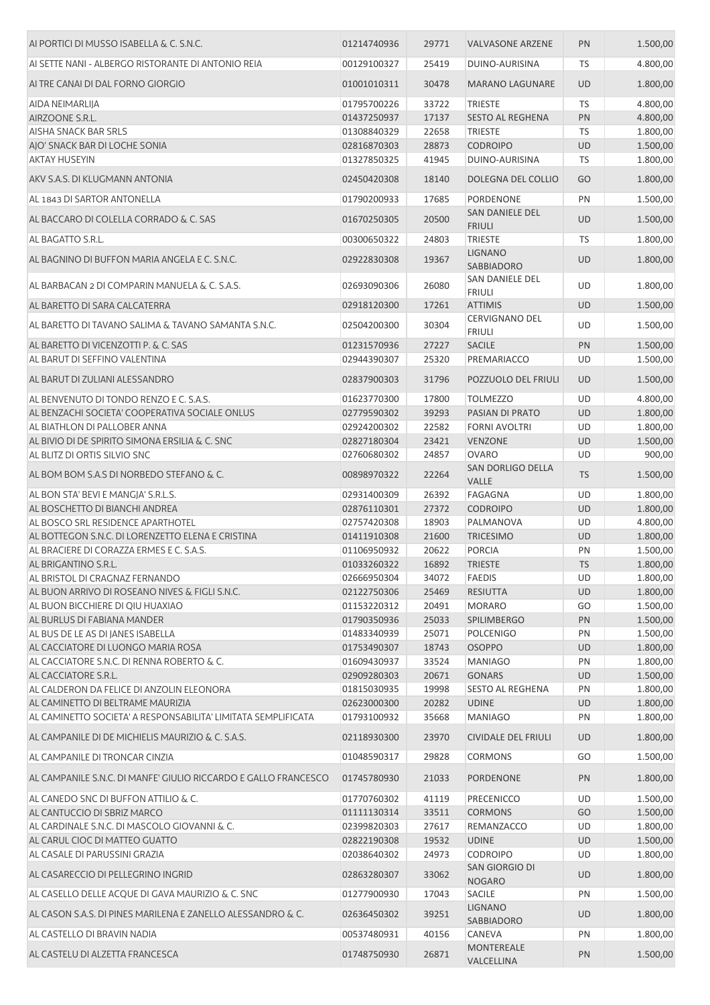| AI PORTICI DI MUSSO ISABELLA & C. S.N.C.                                                           | 01214740936                | 29771          | <b>VALVASONE ARZENE</b>           | PN        | 1.500,00             |
|----------------------------------------------------------------------------------------------------|----------------------------|----------------|-----------------------------------|-----------|----------------------|
| AI SETTE NANI - ALBERGO RISTORANTE DI ANTONIO REIA                                                 | 00129100327                | 25419          | DUINO-AURISINA                    | TS        | 4.800,00             |
| AI TRE CANAI DI DAL FORNO GIORGIO                                                                  | 01001010311                | 30478          | <b>MARANO LAGUNARE</b>            | <b>UD</b> | 1.800,00             |
| AIDA NEIMARLIJA                                                                                    | 01795700226                | 33722          | <b>TRIESTE</b>                    | TS        | 4.800,00             |
| AIRZOONE S.R.L.                                                                                    | 01437250937                | 17137          | <b>SESTO AL REGHENA</b>           | PN        | 4.800,00             |
| AISHA SNACK BAR SRLS                                                                               | 01308840329                | 22658          | <b>TRIESTE</b>                    | TS        | 1.800,00             |
| AJO' SNACK BAR DI LOCHE SONIA                                                                      | 02816870303                | 28873          | <b>CODROIPO</b>                   | <b>UD</b> | 1.500,00             |
| <b>AKTAY HUSEYIN</b>                                                                               | 01327850325                | 41945          | DUINO-AURISINA                    | TS        | 1.800,00             |
| AKV S.A.S. DI KLUGMANN ANTONIA                                                                     | 02450420308                | 18140          | <b>DOLEGNA DEL COLLIO</b>         | GO        | 1.800,00             |
| AL 1843 DI SARTOR ANTONELLA                                                                        | 01790200933                | 17685          | <b>PORDENONE</b>                  | PN        | 1.500,00             |
| AL BACCARO DI COLELLA CORRADO & C. SAS                                                             | 01670250305                | 20500          | SAN DANIELE DEL<br><b>FRIULI</b>  | <b>UD</b> | 1.500,00             |
| AL BAGATTO S.R.L.                                                                                  | 00300650322                | 24803          | <b>TRIESTE</b>                    | TS        | 1.800,00             |
| AL BAGNINO DI BUFFON MARIA ANGELA E C. S.N.C.                                                      | 02922830308                | 19367          | <b>LIGNANO</b><br>SABBIADORO      | <b>UD</b> | 1.800,00             |
| AL BARBACAN 2 DI COMPARIN MANUELA & C. S.A.S.                                                      | 02693090306                | 26080          | <b>SAN DANIELE DEL</b>            | UD        | 1.800,00             |
| AL BARETTO DI SARA CALCATERRA                                                                      | 02918120300                | 17261          | <b>FRIULI</b><br><b>ATTIMIS</b>   | UD        | 1.500,00             |
| AL BARETTO DI TAVANO SALIMA & TAVANO SAMANTA S.N.C.                                                | 02504200300                | 30304          | <b>CERVIGNANO DEL</b>             | UD        | 1.500,00             |
| AL BARETTO DI VICENZOTTI P. & C. SAS                                                               | 01231570936                | 27227          | <b>FRIULI</b><br><b>SACILE</b>    | PN        | 1.500,00             |
| AL BARUT DI SEFFINO VALENTINA                                                                      | 02944390307                | 25320          | PREMARIACCO                       | UD        | 1.500,00             |
| AL BARUT DI ZULIANI ALESSANDRO                                                                     | 02837900303                | 31796          | POZZUOLO DEL FRIULI               | <b>UD</b> | 1.500,00             |
|                                                                                                    |                            |                |                                   |           |                      |
| AL BENVENUTO DI TONDO RENZO E C. S.A.S.                                                            | 01623770300                | 17800          | <b>TOLMEZZO</b>                   | UD        | 4.800,00             |
| AL BENZACHI SOCIETA' COOPERATIVA SOCIALE ONLUS                                                     | 02779590302                | 39293          | PASIAN DI PRATO                   | UD        | 1.800,00             |
| AL BIATHLON DI PALLOBER ANNA                                                                       | 02924200302                | 22582          | <b>FORNI AVOLTRI</b>              | UD        | 1.800,00             |
| AL BIVIO DI DE SPIRITO SIMONA ERSILIA & C. SNC                                                     | 02827180304                | 23421          | <b>VENZONE</b>                    | <b>UD</b> | 1.500,00             |
| AL BLITZ DI ORTIS SILVIO SNC                                                                       | 02760680302                | 24857          | <b>OVARO</b><br>SAN DORLIGO DELLA | UD        | 900,00               |
| AL BOM BOM S.A.S DI NORBEDO STEFANO & C.                                                           | 00898970322                | 22264          | <b>VALLE</b>                      | <b>TS</b> | 1.500,00             |
| AL BON STA' BEVI E MANGJA' S.R.L.S.                                                                | 02931400309                | 26392          | <b>FAGAGNA</b>                    | UD        | 1.800,00             |
| AL BOSCHETTO DI BIANCHI ANDREA                                                                     | 02876110301                | 27372          | <b>CODROIPO</b>                   | <b>UD</b> | 1.800,00             |
| AL BOSCO SRL RESIDENCE APARTHOTEL                                                                  | 02757420308                | 18903          | PALMANOVA                         | UD        | 4.800,00             |
| AL BOTTEGON S.N.C. DI LORENZETTO ELENA E CRISTINA                                                  | 01411910308                | 21600          | <b>TRICESIMO</b>                  | <b>UD</b> | 1.800,00             |
| AL BRACIERE DI CORAZZA ERMES E C. S.A.S.                                                           | 01106950932                | 20622          | PORCIA                            | PN        | 1.500,00             |
| AL BRIGANTINO S.R.L.                                                                               | 01033260322                | 16892          | <b>TRIESTE</b>                    | <b>TS</b> | 1.800,00             |
| AL BRISTOL DI CRAGNAZ FERNANDO                                                                     | 02666950304                | 34072          | <b>FAEDIS</b>                     | UD        | 1.800,00             |
| AL BUON ARRIVO DI ROSEANO NIVES & FIGLI S.N.C.                                                     | 02122750306                | 25469          | <b>RESIUTTA</b>                   | UD        | 1.800,00             |
| AL BUON BICCHIERE DI QIU HUAXIAO                                                                   | 01153220312                | 20491          | <b>MORARO</b>                     | GO        | 1.500,00             |
| AL BURLUS DI FABIANA MANDER                                                                        | 01790350936                | 25033          | <b>SPILIMBERGO</b>                | PN        | 1.500,00             |
| AL BUS DE LE AS DI JANES ISABELLA                                                                  | 01483340939                | 25071          | <b>POLCENIGO</b>                  | PN        | 1.500,00             |
| AL CACCIATORE DI LUONGO MARIA ROSA                                                                 | 01753490307                | 18743          | <b>OSOPPO</b>                     | <b>UD</b> | 1.800,00             |
| AL CACCIATORE S.N.C. DI RENNA ROBERTO & C.                                                         | 01609430937                | 33524          | <b>MANIAGO</b>                    | PN        | 1.800,00             |
| AL CACCIATORE S.R.L.                                                                               | 02909280303                | 20671          | <b>GONARS</b>                     | <b>UD</b> | 1.500,00             |
| AL CALDERON DA FELICE DI ANZOLIN ELEONORA                                                          | 01815030935                | 19998          | <b>SESTO AL REGHENA</b>           | PN        | 1.800,00             |
| AL CAMINETTO DI BELTRAME MAURIZIA<br>AL CAMINETTO SOCIETA' A RESPONSABILITA' LIMITATA SEMPLIFICATA | 02623000300<br>01793100932 | 20282<br>35668 | <b>UDINE</b><br><b>MANIAGO</b>    | UD<br>PN  | 1.800,00<br>1.800,00 |
| AL CAMPANILE DI DE MICHIELIS MAURIZIO & C. S.A.S.                                                  | 02118930300                | 23970          | <b>CIVIDALE DEL FRIULI</b>        | <b>UD</b> | 1.800,00             |
| AL CAMPANILE DI TRONCAR CINZIA                                                                     | 01048590317                | 29828          | <b>CORMONS</b>                    | GO        | 1.500,00             |
| AL CAMPANILE S.N.C. DI MANFE' GIULIO RICCARDO E GALLO FRANCESCO                                    | 01745780930                | 21033          | PORDENONE                         | PN        | 1.800,00             |
| AL CANEDO SNC DI BUFFON ATTILIO & C.                                                               | 01770760302                | 41119          | <b>PRECENICCO</b>                 | UD        | 1.500,00             |
| AL CANTUCCIO DI SBRIZ MARCO                                                                        | 01111130314                | 33511          | <b>CORMONS</b>                    | GO        | 1.500,00             |
| AL CARDINALE S.N.C. DI MASCOLO GIOVANNI & C.                                                       | 02399820303                | 27617          | REMANZACCO                        | UD        | 1.800,00             |
| AL CARUL CIOC DI MATTEO GUATTO                                                                     | 02822190308                | 19532          | <b>UDINE</b>                      | UD        | 1.500,00             |
| AL CASALE DI PARUSSINI GRAZIA                                                                      | 02038640302                | 24973          | <b>CODROIPO</b>                   | <b>UD</b> | 1.800,00             |
| AL CASARECCIO DI PELLEGRINO INGRID                                                                 | 02863280307                | 33062          | SAN GIORGIO DI                    | UD        | 1.800,00             |
| AL CASELLO DELLE ACQUE DI GAVA MAURIZIO & C. SNC                                                   | 01277900930                | 17043          | <b>NOGARO</b><br>SACILE           | PN        | 1.500,00             |
| AL CASON S.A.S. DI PINES MARILENA E ZANELLO ALESSANDRO & C.                                        | 02636450302                | 39251          | <b>LIGNANO</b>                    | UD        | 1.800,00             |
| AL CASTELLO DI BRAVIN NADIA                                                                        | 00537480931                | 40156          | SABBIADORO<br>CANEVA              | PN        | 1.800,00             |
|                                                                                                    |                            |                | <b>MONTEREALE</b>                 |           |                      |
| AL CASTELU DI ALZETTA FRANCESCA                                                                    | 01748750930                | 26871          | VALCELLINA                        | PN        | 1.500,00             |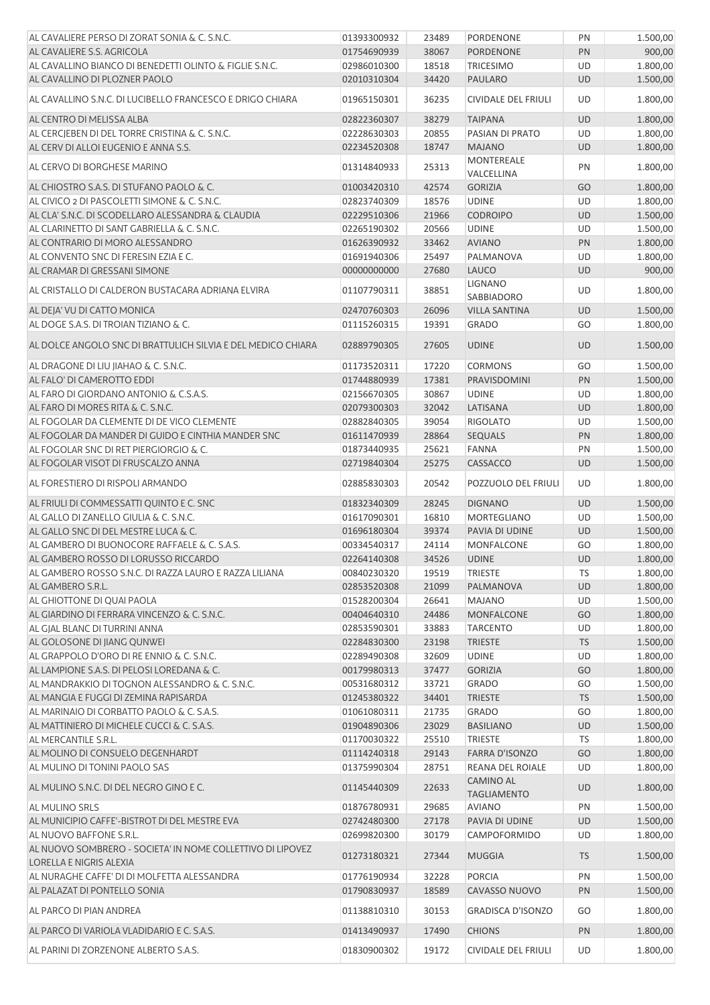| AL CAVALIERE PERSO DI ZORAT SONIA & C. S.N.C.                | 01393300932                | 23489          | <b>PORDENONE</b>                            | PN        | 1.500,00             |
|--------------------------------------------------------------|----------------------------|----------------|---------------------------------------------|-----------|----------------------|
| AL CAVALIERE S.S. AGRICOLA                                   | 01754690939                | 38067          | PORDENONE                                   | PN        | 900,00               |
| AL CAVALLINO BIANCO DI BENEDETTI OLINTO & FIGLIE S.N.C.      | 02986010300                | 18518          | <b>TRICESIMO</b>                            | UD        | 1.800,00             |
| AL CAVALLINO DI PLOZNER PAOLO                                | 02010310304                | 34420          | PAULARO                                     | <b>UD</b> | 1.500,00             |
| AL CAVALLINO S.N.C. DI LUCIBELLO FRANCESCO E DRIGO CHIARA    | 01965150301                | 36235          | <b>CIVIDALE DEL FRIULI</b>                  | UD        | 1.800,00             |
| AL CENTRO DI MELISSA ALBA                                    | 02822360307                | 38279          | <b>TAIPANA</b>                              | <b>UD</b> | 1.800,00             |
| AL CERCJEBEN DI DEL TORRE CRISTINA & C. S.N.C.               | 02228630303                | 20855          | PASIAN DI PRATO                             | UD        | 1.800,00             |
| AL CERV DI ALLOI EUGENIO E ANNA S.S.                         | 02234520308                | 18747          | <b>MAJANO</b>                               | <b>UD</b> | 1.800,00             |
| AL CERVO DI BORGHESE MARINO                                  | 01314840933                | 25313          | <b>MONTEREALE</b><br>VALCELLINA             | PN        | 1.800,00             |
| AL CHIOSTRO S.A.S. DI STUFANO PAOLO & C.                     | 01003420310                | 42574          | <b>GORIZIA</b>                              | GO        | 1.800,00             |
| AL CIVICO 2 DI PASCOLETTI SIMONE & C. S.N.C.                 | 02823740309                | 18576          | <b>UDINE</b>                                | UD        | 1.800,00             |
| AL CLA' S.N.C. DI SCODELLARO ALESSANDRA & CLAUDIA            | 02229510306                | 21966          | <b>CODROIPO</b>                             | <b>UD</b> | 1.500,00             |
| AL CLARINETTO DI SANT GABRIELLA & C. S.N.C.                  | 02265190302                | 20566          | <b>UDINE</b>                                | UD        | 1.500,00             |
| AL CONTRARIO DI MORO ALESSANDRO                              | 01626390932                | 33462          | <b>AVIANO</b>                               | PN        | 1.800,00             |
| AL CONVENTO SNC DI FERESIN EZIA E C.                         | 01691940306                | 25497          | PALMANOVA                                   | UD        | 1.800,00             |
| AL CRAMAR DI GRESSANI SIMONE                                 | 00000000000                | 27680          | <b>LAUCO</b>                                | <b>UD</b> | 900,00               |
| AL CRISTALLO DI CALDERON BUSTACARA ADRIANA ELVIRA            | 01107790311                | 38851          | <b>LIGNANO</b>                              | UD        | 1.800,00             |
|                                                              |                            |                | SABBIADORO                                  |           |                      |
| AL DEJA' VU DI CATTO MONICA                                  | 02470760303                | 26096          | <b>VILLA SANTINA</b>                        | <b>UD</b> | 1.500,00             |
| AL DOGE S.A.S. DI TROIAN TIZIANO & C.                        | 01115260315                | 19391          | <b>GRADO</b>                                | GO        | 1.800,00             |
| AL DOLCE ANGOLO SNC DI BRATTULICH SILVIA E DEL MEDICO CHIARA | 02889790305                | 27605          | <b>UDINE</b>                                | <b>UD</b> | 1.500,00             |
| AL DRAGONE DI LIU JIAHAO & C. S.N.C.                         | 01173520311                | 17220          | <b>CORMONS</b>                              | GO        | 1.500,00             |
| AL FALO' DI CAMEROTTO EDDI                                   | 01744880939                | 17381          | PRAVISDOMINI                                | PN        | 1.500,00             |
| AL FARO DI GIORDANO ANTONIO & C.S.A.S.                       | 02156670305                | 30867          | <b>UDINE</b>                                | UD        | 1.800,00             |
| AL FARO DI MORES RITA & C. S.N.C.                            | 02079300303                | 32042          | LATISANA                                    | <b>UD</b> | 1.800,00             |
| AL FOGOLAR DA CLEMENTE DI DE VICO CLEMENTE                   | 02882840305                | 39054          | <b>RIGOLATO</b>                             | UD        | 1.500,00             |
| AL FOGOLAR DA MANDER DI GUIDO E CINTHIA MANDER SNC           | 01611470939                | 28864          | <b>SEQUALS</b>                              | PN        | 1.800,00             |
| AL FOGOLAR SNC DI RET PIERGIORGIO & C.                       | 01873440935                | 25621          | <b>FANNA</b>                                | PN        | 1.500,00             |
| AL FOGOLAR VISOT DI FRUSCALZO ANNA                           | 02719840304                | 25275          | CASSACCO                                    | <b>UD</b> | 1.500,00             |
| AL FORESTIERO DI RISPOLI ARMANDO                             | 02885830303                | 20542          | POZZUOLO DEL FRIULI                         | UD        | 1.800,00             |
| AL FRIULI DI COMMESSATTI QUINTO E C. SNC                     | 01832340309                | 28245          | <b>DIGNANO</b>                              | <b>UD</b> | 1.500,00             |
| AL GALLO DI ZANELLO GIULIA & C. S.N.C.                       | 01617090301                | 16810          | MORTEGLIANO                                 | UD        | 1.500,00             |
| AL GALLO SNC DI DEL MESTRE LUCA & C.                         | 01696180304                | 39374          | PAVIA DI UDINE                              | <b>UD</b> | 1.500,00             |
| AL GAMBERO DI BUONOCORE RAFFAELE & C. S.A.S.                 | 00334540317                | 24114          | <b>MONFALCONE</b>                           | GO        | 1.800,00             |
| AL GAMBERO ROSSO DI LORUSSO RICCARDO                         | 02264140308                | 34526          | <b>UDINE</b>                                | <b>UD</b> | 1.800,00             |
| AL GAMBERO ROSSO S.N.C. DI RAZZA LAURO E RAZZA LILIANA       | 00840230320                | 19519          | <b>TRIESTE</b>                              | <b>TS</b> | 1.800,00             |
| AL GAMBERO S.R.L.                                            | 02853520308                | 21099          | PALMANOVA                                   | <b>UD</b> | 1.800,00             |
| AL GHIOTTONE DI QUAI PAOLA                                   | 01528200304                | 26641          | <b>MAJANO</b>                               | UD        | 1.500,00             |
| AL GIARDINO DI FERRARA VINCENZO & C. S.N.C.                  | 00404640310                | 24486          | <b>MONFALCONE</b>                           | GO        | 1.800,00             |
| AL GJAL BLANC DI TURRINI ANNA                                | 02853590301                | 33883          | <b>TARCENTO</b>                             | <b>UD</b> | 1.800,00             |
| AL GOLOSONE DI JIANG QUNWEI                                  | 02284830300                | 23198          | <b>TRIESTE</b>                              | <b>TS</b> | 1.500,00             |
| AL GRAPPOLO D'ORO DI RE ENNIO & C. S.N.C.                    | 02289490308                | 32609          | <b>UDINE</b>                                | UD        | 1.800,00             |
| AL LAMPIONE S.A.S. DI PELOSI LOREDANA & C.                   | 00179980313                | 37477          | <b>GORIZIA</b>                              | GO        | 1.800,00             |
| AL MANDRAKKIO DI TOGNON ALESSANDRO & C. S.N.C.               | 00531680312                | 33721          | <b>GRADO</b>                                | GO        | 1.500,00             |
| AL MANGIA E FUGGI DI ZEMINA RAPISARDA                        | 01245380322                | 34401          | <b>TRIESTE</b>                              | <b>TS</b> | 1.500,00             |
| AL MARINAIO DI CORBATTO PAOLO & C. S.A.S.                    | 01061080311                | 21735          | <b>GRADO</b>                                | GO        | 1.800,00             |
| AL MATTINIERO DI MICHELE CUCCI & C. S.A.S.                   | 01904890306                | 23029          | <b>BASILIANO</b>                            | UD        | 1.500,00             |
| AL MERCANTILE S.R.L.                                         | 01170030322                | 25510          | <b>TRIESTE</b>                              | <b>TS</b> | 1.800,00             |
| AL MOLINO DI CONSUELO DEGENHARDT                             | 01114240318                | 29143          | <b>FARRA D'ISONZO</b>                       | GO        | 1.800,00             |
| AL MULINO DI TONINI PAOLO SAS                                | 01375990304                | 28751          | REANA DEL ROIALE                            | UD        | 1.800,00             |
| AL MULINO S.N.C. DI DEL NEGRO GINO E C.                      | 01145440309                | 22633          | <b>CAMINO AL</b><br><b>TAGLIAMENTO</b>      | <b>UD</b> | 1.800,00             |
| AL MULINO SRLS                                               | 01876780931                | 29685          | <b>AVIANO</b>                               | PN        | 1.500,00             |
| AL MUNICIPIO CAFFE'-BISTROT DI DEL MESTRE EVA                | 02742480300                | 27178          | PAVIA DI UDINE                              | UD        | 1.500,00             |
| AL NUOVO BAFFONE S.R.L.                                      | 02699820300                | 30179          | CAMPOFORMIDO                                | UD        | 1.800,00             |
| AL NUOVO SOMBRERO - SOCIETA' IN NOME COLLETTIVO DI LIPOVEZ   | 01273180321                | 27344          | <b>MUGGIA</b>                               | <b>TS</b> | 1.500,00             |
| LORELLA E NIGRIS ALEXIA                                      |                            |                |                                             |           |                      |
| AL NURAGHE CAFFE' DI DI MOLFETTA ALESSANDRA                  | 01776190934                | 32228          | PORCIA                                      | PN        | 1.500,00             |
| AL PALAZAT DI PONTELLO SONIA<br>AL PARCO DI PIAN ANDREA      | 01790830937<br>01138810310 | 18589<br>30153 | CAVASSO NUOVO<br><b>GRADISCA D'ISONZO</b>   | PN<br>GO  | 1.500,00<br>1.800,00 |
|                                                              |                            |                |                                             |           |                      |
| AL PARCO DI VARIOLA VLADIDARIO E C. S.A.S.                   | 01413490937                | 17490          | <b>CHIONS</b><br><b>CIVIDALE DEL FRIULI</b> | PN        | 1.800,00             |
| AL PARINI DI ZORZENONE ALBERTO S.A.S.                        | 01830900302                | 19172          |                                             | UD        | 1.800,00             |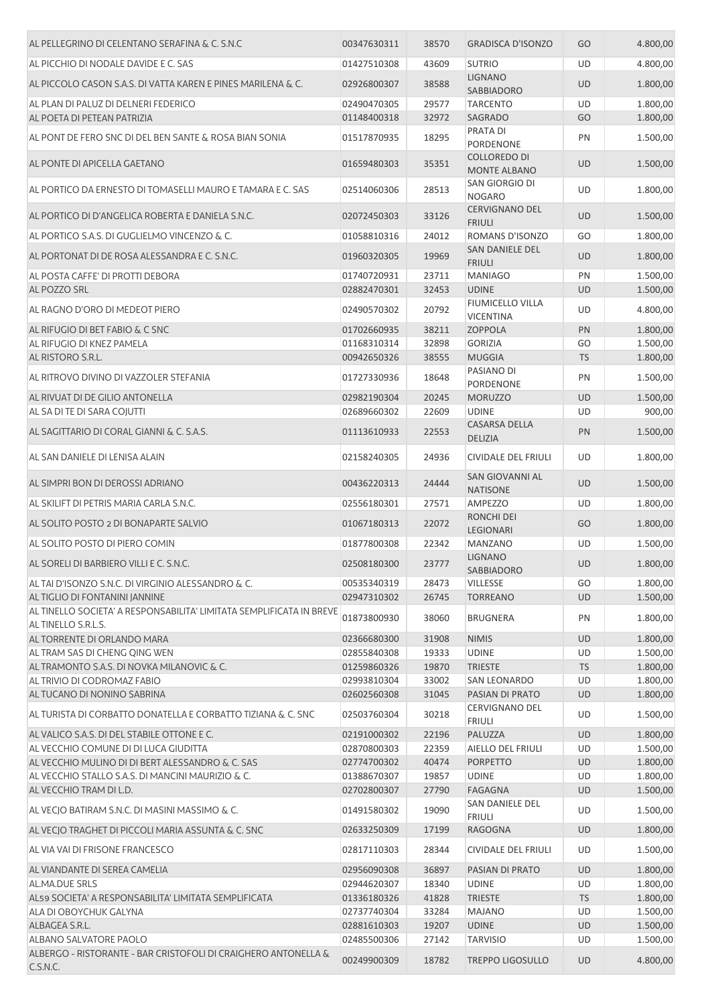| AL PELLEGRINO DI CELENTANO SERAFINA & C. S.N.C                                              | 00347630311                | 38570          | <b>GRADISCA D'ISONZO</b>                    | GO        | 4.800,00             |
|---------------------------------------------------------------------------------------------|----------------------------|----------------|---------------------------------------------|-----------|----------------------|
| AL PICCHIO DI NODALE DAVIDE E C. SAS                                                        | 01427510308                | 43609          | <b>SUTRIO</b>                               | UD        | 4.800,00             |
| AL PICCOLO CASON S.A.S. DI VATTA KAREN E PINES MARILENA & C.                                | 02926800307                | 38588          | <b>LIGNANO</b>                              | <b>UD</b> | 1.800,00             |
|                                                                                             |                            |                | SABBIADORO                                  |           |                      |
| AL PLAN DI PALUZ DI DELNERI FEDERICO<br>AL POETA DI PETEAN PATRIZIA                         | 02490470305<br>01148400318 | 29577<br>32972 | <b>TARCENTO</b><br>SAGRADO                  | UD<br>GO  | 1.800,00<br>1.800,00 |
|                                                                                             |                            |                | PRATA DI                                    |           |                      |
| AL PONT DE FERO SNC DI DEL BEN SANTE & ROSA BIAN SONIA                                      | 01517870935                | 18295          | PORDENONE                                   | PN        | 1.500,00             |
| AL PONTE DI APICELLA GAETANO                                                                | 01659480303                | 35351          | <b>COLLOREDO DI</b><br><b>MONTE ALBANO</b>  | <b>UD</b> | 1.500,00             |
| AL PORTICO DA ERNESTO DI TOMASELLI MAURO E TAMARA E C. SAS                                  | 02514060306                | 28513          | SAN GIORGIO DI<br><b>NOGARO</b>             | UD        | 1.800,00             |
| AL PORTICO DI D'ANGELICA ROBERTA E DANIELA S.N.C.                                           | 02072450303                | 33126          | <b>CERVIGNANO DEL</b><br><b>FRIULI</b>      | <b>UD</b> | 1.500,00             |
| AL PORTICO S.A.S. DI GUGLIELMO VINCENZO & C.                                                | 01058810316                | 24012          | ROMANS D'ISONZO                             | GO        | 1.800,00             |
| AL PORTONAT DI DE ROSA ALESSANDRA E C. S.N.C.                                               | 01960320305                | 19969          | SAN DANIELE DEL<br><b>FRIULI</b>            | <b>UD</b> | 1.800,00             |
| AL POSTA CAFFE' DI PROTTI DEBORA                                                            | 01740720931                | 23711          | <b>MANIAGO</b>                              | PN        | 1.500,00             |
| AL POZZO SRL                                                                                | 02882470301                | 32453          | <b>UDINE</b>                                | <b>UD</b> | 1.500,00             |
| AL RAGNO D'ORO DI MEDEOT PIERO                                                              | 02490570302                | 20792          | <b>FIUMICELLO VILLA</b><br><b>VICENTINA</b> | UD        | 4.800,00             |
| AL RIFUGIO DI BET FABIO & C SNC                                                             | 01702660935                | 38211          | <b>ZOPPOLA</b>                              | PN        | 1.800,00             |
| AL RIFUGIO DI KNEZ PAMELA                                                                   | 01168310314                | 32898          | <b>GORIZIA</b>                              | GO        | 1.500,00             |
| AL RISTORO S.R.L.                                                                           | 00942650326                | 38555          | <b>MUGGIA</b>                               | <b>TS</b> | 1.800,00             |
| AL RITROVO DIVINO DI VAZZOLER STEFANIA                                                      | 01727330936                | 18648          | PASIANO DI<br>PORDENONE                     | PN        | 1.500,00             |
| AL RIVUAT DI DE GILIO ANTONELLA                                                             | 02982190304                | 20245          | <b>MORUZZO</b>                              | <b>UD</b> | 1.500,00             |
| AL SA DI TE DI SARA COJUTTI                                                                 | 02689660302                | 22609          | <b>UDINE</b>                                | UD        | 900,00               |
| AL SAGITTARIO DI CORAL GIANNI & C. S.A.S.                                                   | 01113610933                | 22553          | <b>CASARSA DELLA</b><br><b>DELIZIA</b>      | PN        | 1.500,00             |
| AL SAN DANIELE DI LENISA ALAIN                                                              | 02158240305                | 24936          | <b>CIVIDALE DEL FRIULI</b>                  | UD        | 1.800,00             |
| AL SIMPRI BON DI DEROSSI ADRIANO                                                            | 00436220313                | 24444          | SAN GIOVANNI AL<br><b>NATISONE</b>          | <b>UD</b> | 1.500,00             |
| AL SKILIFT DI PETRIS MARIA CARLA S.N.C.                                                     | 02556180301                | 27571          | AMPEZZO                                     | UD        | 1.800,00             |
| AL SOLITO POSTO 2 DI BONAPARTE SALVIO                                                       | 01067180313                | 22072          | RONCHI DEI<br><b>LEGIONARI</b>              | GO        | 1.800,00             |
| AL SOLITO POSTO DI PIERO COMIN                                                              | 01877800308                | 22342          | MANZANO                                     | UD        | 1.500,00             |
| AL SORELI DI BARBIERO VILLI E C. S.N.C.                                                     | 02508180300                | 23777          | <b>LIGNANO</b><br>SABBIADORO                | <b>UD</b> | 1.800,00             |
| AL TAI D'ISONZO S.N.C. DI VIRGINIO ALESSANDRO & C.                                          | 00535340319                | 28473          | <b>VILLESSE</b>                             | GO        | 1.800,00             |
| AL TIGLIO DI FONTANINI JANNINE                                                              | 02947310302                | 26745          | <b>TORREANO</b>                             | <b>UD</b> | 1.500,00             |
| AL TINELLO SOCIETA' A RESPONSABILITA' LIMITATA SEMPLIFICATA IN BREVE<br>AL TINELLO S.R.L.S. | 01873800930                | 38060          | <b>BRUGNERA</b>                             | PN        | 1.800,00             |
| AL TORRENTE DI ORLANDO MARA                                                                 | 02366680300                | 31908          | <b>NIMIS</b>                                | <b>UD</b> | 1.800,00             |
| AL TRAM SAS DI CHENG QING WEN                                                               | 02855840308                | 19333          | <b>UDINE</b>                                | UD        | 1.500,00             |
| AL TRAMONTO S.A.S. DI NOVKA MILANOVIC & C.                                                  | 01259860326                | 19870          | <b>TRIESTE</b>                              | <b>TS</b> | 1.800,00             |
| AL TRIVIO DI CODROMAZ FABIO                                                                 | 02993810304                | 33002          | <b>SAN LEONARDO</b>                         | UD        | 1.800,00             |
| AL TUCANO DI NONINO SABRINA                                                                 | 02602560308                | 31045          | PASIAN DI PRATO                             | <b>UD</b> | 1.800,00             |
| AL TURISTA DI CORBATTO DONATELLA E CORBATTO TIZIANA & C. SNC                                | 02503760304                | 30218          | CERVIGNANO DEL<br><b>FRIULI</b>             | UD        | 1.500,00             |
| AL VALICO S.A.S. DI DEL STABILE OTTONE E C.                                                 | 02191000302                | 22196          | PALUZZA                                     | <b>UD</b> | 1.800,00             |
| AL VECCHIO COMUNE DI DI LUCA GIUDITTA                                                       | 02870800303                | 22359          | AIELLO DEL FRIULI                           | UD        | 1.500,00             |
| AL VECCHIO MULINO DI DI BERT ALESSANDRO & C. SAS                                            | 02774700302                | 40474          | <b>PORPETTO</b>                             | <b>UD</b> | 1.800,00             |
| AL VECCHIO STALLO S.A.S. DI MANCINI MAURIZIO & C.                                           | 01388670307                | 19857          | <b>UDINE</b>                                | UD        | 1.800,00             |
| AL VECCHIO TRAM DI L.D.                                                                     | 02702800307                | 27790          | <b>FAGAGNA</b>                              | <b>UD</b> | 1.500,00             |
| AL VECJO BATIRAM S.N.C. DI MASINI MASSIMO & C.                                              | 01491580302                | 19090          | SAN DANIELE DEL<br><b>FRIULI</b>            | UD        | 1.500,00             |
| AL VECIO TRAGHET DI PICCOLI MARIA ASSUNTA & C. SNC                                          | 02633250309                | 17199          | <b>RAGOGNA</b>                              | <b>UD</b> | 1.800,00             |
| AL VIA VAI DI FRISONE FRANCESCO                                                             | 02817110303                | 28344          | CIVIDALE DEL FRIULI                         | UD        | 1.500,00             |
| AL VIANDANTE DI SEREA CAMELIA                                                               | 02956090308                | 36897          | PASIAN DI PRATO                             | <b>UD</b> | 1.800,00             |
| <b>AL.MA.DUE SRLS</b>                                                                       | 02944620307                | 18340          | <b>UDINE</b>                                | UD        | 1.800,00             |
| AL59 SOCIETA' A RESPONSABILITA' LIMITATA SEMPLIFICATA                                       | 01336180326                | 41828          | <b>TRIESTE</b>                              | <b>TS</b> | 1.800,00             |
| ALA DI OBOYCHUK GALYNA                                                                      | 02737740304                | 33284          | <b>MAJANO</b>                               | UD        | 1.500,00             |
| ALBAGEA S.R.L.                                                                              | 02881610303                | 19207          | <b>UDINE</b>                                | <b>UD</b> | 1.500,00             |
| ALBANO SALVATORE PAOLO<br>ALBERGO - RISTORANTE - BAR CRISTOFOLI DI CRAIGHERO ANTONELLA &    | 02485500306                | 27142          | <b>TARVISIO</b>                             | UD        | 1.500,00             |
| C.S.N.C.                                                                                    | 00249900309                | 18782          | <b>TREPPO LIGOSULLO</b>                     | <b>UD</b> | 4.800,00             |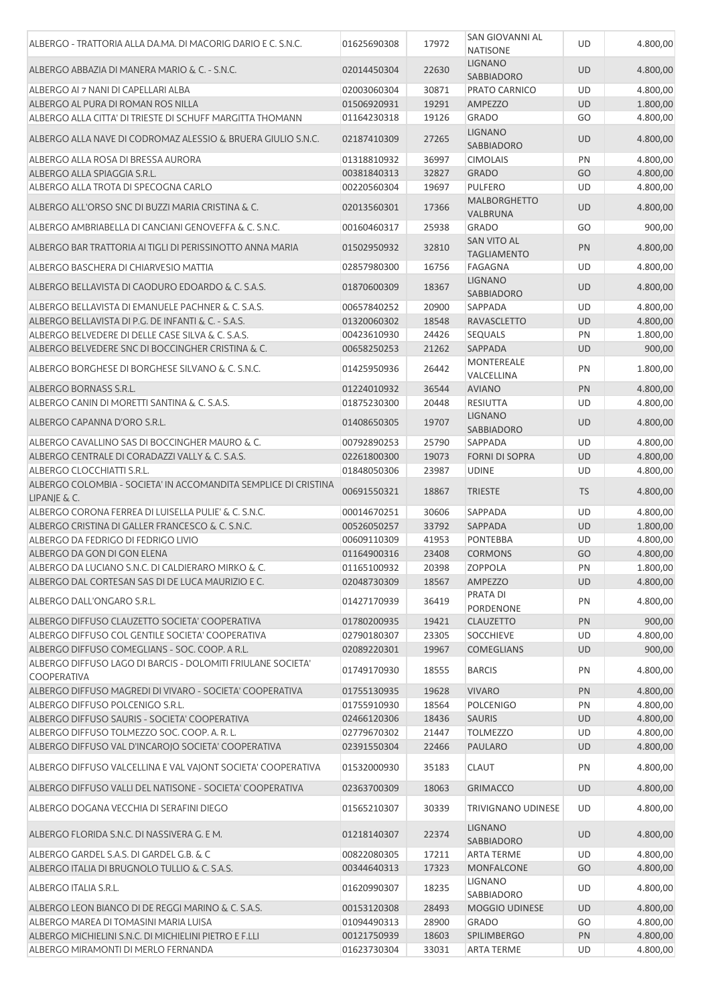| ALBERGO - TRATTORIA ALLA DA.MA. DI MACORIG DARIO E C. S.N.C.                                  | 01625690308                | 17972          | SAN GIOVANNI AL<br><b>NATISONE</b>       | UD        | 4.800,00             |
|-----------------------------------------------------------------------------------------------|----------------------------|----------------|------------------------------------------|-----------|----------------------|
| ALBERGO ABBAZIA DI MANERA MARIO & C. - S.N.C.                                                 | 02014450304                | 22630          | <b>LIGNANO</b><br><b>SABBIADORO</b>      | <b>UD</b> | 4.800,00             |
| ALBERGO AI 7 NANI DI CAPELLARI ALBA                                                           | 02003060304                | 30871          | PRATO CARNICO                            | UD        | 4.800,00             |
| ALBERGO AL PURA DI ROMAN ROS NILLA                                                            | 01506920931                | 19291          | <b>AMPEZZO</b>                           | <b>UD</b> | 1.800,00             |
| ALBERGO ALLA CITTA' DI TRIESTE DI SCHUFF MARGITTA THOMANN                                     | 01164230318                | 19126          | <b>GRADO</b>                             | GO        | 4.800,00             |
| ALBERGO ALLA NAVE DI CODROMAZ ALESSIO & BRUERA GIULIO S.N.C.                                  | 02187410309                | 27265          | <b>LIGNANO</b><br>SABBIADORO             | <b>UD</b> | 4.800,00             |
| ALBERGO ALLA ROSA DI BRESSA AURORA                                                            | 01318810932                | 36997          | <b>CIMOLAIS</b>                          | PN        | 4.800,00             |
| ALBERGO ALLA SPIAGGIA S.R.L.                                                                  | 00381840313                | 32827          | <b>GRADO</b>                             | GO        | 4.800,00             |
| ALBERGO ALLA TROTA DI SPECOGNA CARLO                                                          | 00220560304                | 19697          | <b>PULFERO</b>                           | UD        | 4.800,00             |
| ALBERGO ALL'ORSO SNC DI BUZZI MARIA CRISTINA & C.                                             | 02013560301                | 17366          | <b>MALBORGHETTO</b><br>VALBRUNA          | <b>UD</b> | 4.800,00             |
| ALBERGO AMBRIABELLA DI CANCIANI GENOVEFFA & C. S.N.C.                                         | 00160460317                | 25938          | <b>GRADO</b>                             | GO        | 900,00               |
| ALBERGO BAR TRATTORIA AI TIGLI DI PERISSINOTTO ANNA MARIA                                     | 01502950932                | 32810          | <b>SAN VITO AL</b><br><b>TAGLIAMENTO</b> | PN        | 4.800,00             |
| ALBERGO BASCHERA DI CHIARVESIO MATTIA                                                         | 02857980300                | 16756          | FAGAGNA                                  | UD        | 4.800,00             |
| ALBERGO BELLAVISTA DI CAODURO EDOARDO & C. S.A.S.                                             | 01870600309                | 18367          | <b>LIGNANO</b>                           | <b>UD</b> | 4.800,00             |
|                                                                                               |                            |                | SABBIADORO                               |           |                      |
| ALBERGO BELLAVISTA DI EMANUELE PACHNER & C. S.A.S.                                            | 00657840252                | 20900          | <b>SAPPADA</b>                           | UD        | 4.800,00             |
| ALBERGO BELLAVISTA DI P.G. DE INFANTI & C. - S.A.S.                                           | 01320060302                | 18548          | <b>RAVASCLETTO</b>                       | <b>UD</b> | 4.800,00             |
| ALBERGO BELVEDERE DI DELLE CASE SILVA & C. S.A.S.                                             | 00423610930                | 24426          | <b>SEQUALS</b>                           | PN        | 1.800,00             |
| ALBERGO BELVEDERE SNC DI BOCCINGHER CRISTINA & C.                                             | 00658250253                | 21262          | <b>SAPPADA</b>                           | <b>UD</b> | 900,00               |
| ALBERGO BORGHESE DI BORGHESE SILVANO & C. S.N.C.                                              | 01425950936                | 26442          | <b>MONTEREALE</b><br>VALCELLINA          | PN        | 1.800,00             |
| ALBERGO BORNASS S.R.L.                                                                        | 01224010932                | 36544          | <b>AVIANO</b>                            | PN        | 4.800,00             |
| ALBERGO CANIN DI MORETTI SANTINA & C. S.A.S.                                                  | 01875230300                | 20448          | <b>RESIUTTA</b>                          | UD        | 4.800,00             |
| ALBERGO CAPANNA D'ORO S.R.L.                                                                  | 01408650305                | 19707          | <b>LIGNANO</b><br><b>SABBIADORO</b>      | <b>UD</b> | 4.800,00             |
| ALBERGO CAVALLINO SAS DI BOCCINGHER MAURO & C.                                                | 00792890253                | 25790          | SAPPADA                                  | UD        | 4.800,00             |
| ALBERGO CENTRALE DI CORADAZZI VALLY & C. S.A.S.                                               | 02261800300                | 19073          | <b>FORNI DI SOPRA</b>                    | <b>UD</b> | 4.800,00             |
| ALBERGO CLOCCHIATTI S.R.L.                                                                    | 01848050306                | 23987          | <b>UDINE</b>                             | UD        | 4.800,00             |
| ALBERGO COLOMBIA - SOCIETA' IN ACCOMANDITA SEMPLICE DI CRISTINA<br>LIPANJE & C.               | 00691550321                | 18867          | <b>TRIESTE</b>                           | <b>TS</b> | 4.800,00             |
| ALBERGO CORONA FERREA DI LUISELLA PULIE' & C. S.N.C.                                          | 00014670251                | 30606          | SAPPADA                                  | UD        | 4.800,00             |
| ALBERGO CRISTINA DI GALLER FRANCESCO & C. S.N.C.                                              | 00526050257                | 33792          | <b>SAPPADA</b>                           | <b>UD</b> | 1.800,00             |
| ALBERGO DA FEDRIGO DI FEDRIGO LIVIO                                                           | 00609110309                | 41953          | <b>PONTEBBA</b>                          | UD        | 4.800,00             |
| ALBERGO DA GON DI GON ELENA                                                                   | 01164900316                | 23408          | <b>CORMONS</b>                           | GO        | 4.800,00             |
| ALBERGO DA LUCIANO S.N.C. DI CALDIERARO MIRKO & C.                                            | 01165100932                | 20398          | <b>ZOPPOLA</b>                           | PN        | 1.800,00             |
| ALBERGO DAL CORTESAN SAS DI DE LUCA MAURIZIO E C.                                             | 02048730309                | 18567          | <b>AMPEZZO</b>                           | <b>UD</b> | 4.800,00             |
| ALBERGO DALL'ONGARO S.R.L.                                                                    | 01427170939                | 36419          | PRATA DI<br>PORDENONE                    | PN        | 4.800,00             |
| ALBERGO DIFFUSO CLAUZETTO SOCIETA' COOPERATIVA                                                | 01780200935                | 19421          | <b>CLAUZETTO</b>                         | PN        | 900,00               |
| ALBERGO DIFFUSO COL GENTILE SOCIETA' COOPERATIVA                                              | 02790180307                | 23305          | <b>SOCCHIEVE</b>                         | UD        | 4.800,00             |
| ALBERGO DIFFUSO COMEGLIANS - SOC. COOP, A R.L.                                                | 02089220301                | 19967          | <b>COMEGLIANS</b>                        | <b>UD</b> | 900,00               |
| ALBERGO DIFFUSO LAGO DI BARCIS - DOLOMITI FRIULANE SOCIETA'<br><b>COOPERATIVA</b>             | 01749170930                | 18555          | <b>BARCIS</b>                            | PN        | 4.800,00             |
| ALBERGO DIFFUSO MAGREDI DI VIVARO - SOCIETA' COOPERATIVA                                      | 01755130935                | 19628          | <b>VIVARO</b>                            | PN        | 4.800,00             |
| ALBERGO DIFFUSO POLCENIGO S.R.L.                                                              | 01755910930                | 18564          | <b>POLCENIGO</b>                         | PN        | 4.800,00             |
| ALBERGO DIFFUSO SAURIS - SOCIETA' COOPERATIVA                                                 | 02466120306                | 18436          | <b>SAURIS</b>                            | <b>UD</b> | 4.800,00             |
| ALBERGO DIFFUSO TOLMEZZO SOC. COOP. A. R. L.                                                  | 02779670302                | 21447          | <b>TOLMEZZO</b>                          | UD        | 4.800,00             |
| ALBERGO DIFFUSO VAL D'INCAROJO SOCIETA' COOPERATIVA                                           | 02391550304                | 22466          | PAULARO                                  | <b>UD</b> | 4.800,00             |
| ALBERGO DIFFUSO VALCELLINA E VAL VAJONT SOCIETA' COOPERATIVA                                  | 01532000930                | 35183          | <b>CLAUT</b>                             | PN        | 4.800,00             |
| ALBERGO DIFFUSO VALLI DEL NATISONE - SOCIETA' COOPERATIVA                                     | 02363700309                | 18063          | <b>GRIMACCO</b>                          | <b>UD</b> | 4.800,00             |
|                                                                                               |                            |                |                                          |           |                      |
| ALBERGO DOGANA VECCHIA DI SERAFINI DIEGO                                                      | 01565210307                | 30339          | TRIVIGNANO UDINESE<br><b>LIGNANO</b>     | UD        | 4.800,00             |
| ALBERGO FLORIDA S.N.C. DI NASSIVERA G. E M.<br>ALBERGO GARDEL S.A.S. DI GARDEL G.B. & C       | 01218140307                | 22374          | <b>SABBIADORO</b>                        | <b>UD</b> | 4.800,00<br>4.800,00 |
| ALBERGO ITALIA DI BRUGNOLO TULLIO & C. S.A.S.                                                 | 00822080305<br>00344640313 | 17211<br>17323 | <b>ARTA TERME</b><br><b>MONFALCONE</b>   | UD<br>GO  | 4.800,00             |
|                                                                                               |                            |                | LIGNANO                                  |           |                      |
| ALBERGO ITALIA S.R.L.                                                                         | 01620990307                | 18235          | SABBIADORO                               | UD        | 4.800,00             |
| ALBERGO LEON BIANCO DI DE REGGI MARINO & C. S.A.S.                                            | 00153120308                | 28493          | <b>MOGGIO UDINESE</b>                    | <b>UD</b> | 4.800,00             |
| ALBERGO MAREA DI TOMASINI MARIA LUISA                                                         | 01094490313<br>00121750939 | 28900<br>18603 | <b>GRADO</b><br><b>SPILIMBERGO</b>       | GO        | 4.800,00<br>4.800,00 |
| ALBERGO MICHIELINI S.N.C. DI MICHIELINI PIETRO E F.LLI<br>ALBERGO MIRAMONTI DI MERLO FERNANDA | 01623730304                | 33031          | <b>ARTA TERME</b>                        | PN<br>UD  | 4.800,00             |
|                                                                                               |                            |                |                                          |           |                      |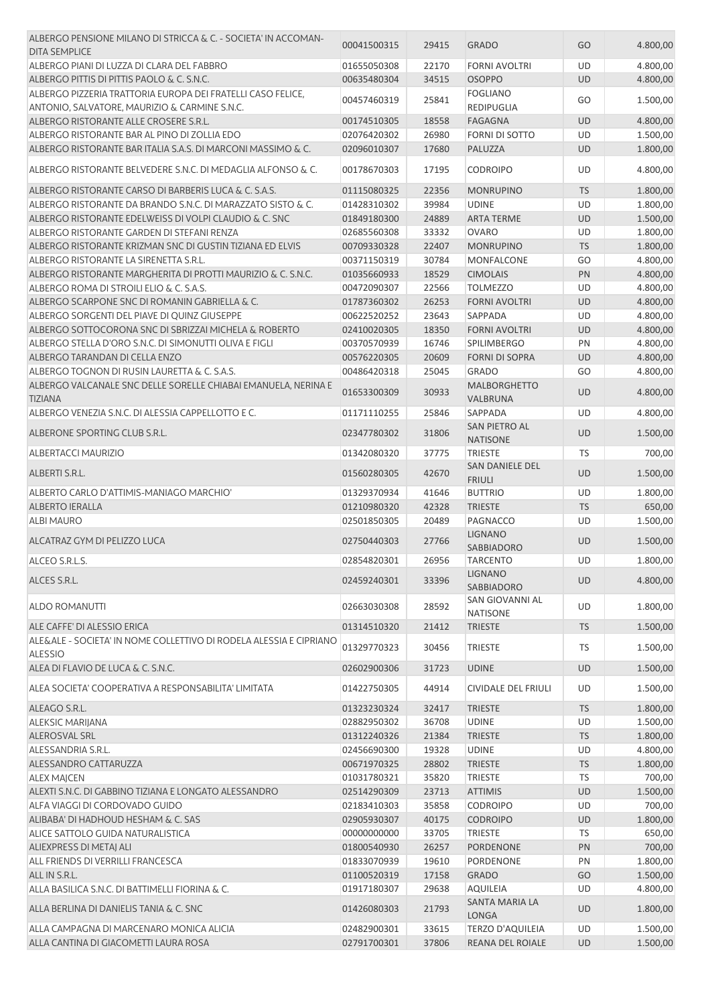| ALBERGO PENSIONE MILANO DI STRICCA & C. - SOCIETA' IN ACCOMAN-<br><b>DITA SEMPLICE</b>                       | 00041500315                | 29415          | <b>GRADO</b>                              | GO              | 4.800,00             |
|--------------------------------------------------------------------------------------------------------------|----------------------------|----------------|-------------------------------------------|-----------------|----------------------|
| ALBERGO PIANI DI LUZZA DI CLARA DEL FABBRO                                                                   | 01655050308                | 22170          | <b>FORNI AVOLTRI</b>                      | UD              | 4.800,00             |
| ALBERGO PITTIS DI PITTIS PAOLO & C. S.N.C.                                                                   | 00635480304                | 34515          | <b>OSOPPO</b>                             | <b>UD</b>       | 4.800,00             |
| ALBERGO PIZZERIA TRATTORIA EUROPA DEI FRATELLI CASO FELICE,<br>ANTONIO, SALVATORE, MAURIZIO & CARMINE S.N.C. | 00457460319                | 25841          | <b>FOGLIANO</b><br><b>REDIPUGLIA</b>      | GO              | 1.500,00             |
| ALBERGO RISTORANTE ALLE CROSERE S.R.L.                                                                       | 00174510305                | 18558          | <b>FAGAGNA</b>                            | <b>UD</b>       | 4.800,00             |
| ALBERGO RISTORANTE BAR AL PINO DI ZOLLIA EDO                                                                 | 02076420302                | 26980          | FORNI DI SOTTO                            | UD              | 1.500,00             |
| ALBERGO RISTORANTE BAR ITALIA S.A.S. DI MARCONI MASSIMO & C.                                                 | 02096010307                | 17680          | PALUZZA                                   | <b>UD</b>       | 1.800,00             |
| ALBERGO RISTORANTE BELVEDERE S.N.C. DI MEDAGLIA ALFONSO & C.                                                 | 00178670303                | 17195          | <b>CODROIPO</b>                           | UD              | 4.800,00             |
|                                                                                                              |                            |                |                                           |                 |                      |
| ALBERGO RISTORANTE CARSO DI BARBERIS LUCA & C. S.A.S.                                                        | 01115080325                | 22356          | <b>MONRUPINO</b>                          | <b>TS</b>       | 1.800,00             |
| ALBERGO RISTORANTE DA BRANDO S.N.C. DI MARAZZATO SISTO & C.                                                  | 01428310302                | 39984          | <b>UDINE</b>                              | UD              | 1.800,00             |
| ALBERGO RISTORANTE EDELWEISS DI VOLPI CLAUDIO & C. SNC                                                       | 01849180300                | 24889          | <b>ARTA TERME</b>                         | UD              | 1.500,00             |
| ALBERGO RISTORANTE GARDEN DI STEFANI RENZA                                                                   | 02685560308                | 33332          | <b>OVARO</b>                              | UD              | 1.800,00             |
| ALBERGO RISTORANTE KRIZMAN SNC DI GUSTIN TIZIANA ED ELVIS                                                    | 00709330328                | 22407          | <b>MONRUPINO</b>                          | <b>TS</b>       | 1.800,00             |
| ALBERGO RISTORANTE LA SIRENETTA S.R.L.                                                                       | 00371150319                | 30784          | MONFALCONE                                | GO              | 4.800,00             |
| ALBERGO RISTORANTE MARGHERITA DI PROTTI MAURIZIO & C. S.N.C.                                                 | 01035660933                | 18529          | <b>CIMOLAIS</b>                           | PN              | 4.800,00             |
| ALBERGO ROMA DI STROILI ELIO & C. S.A.S.                                                                     | 00472090307                | 22566          | <b>TOLMEZZO</b>                           | UD              | 4.800,00             |
| ALBERGO SCARPONE SNC DI ROMANIN GABRIELLA & C.                                                               | 01787360302                | 26253          | <b>FORNI AVOLTRI</b>                      | <b>UD</b>       | 4.800,00             |
| ALBERGO SORGENTI DEL PIAVE DI QUINZ GIUSEPPE                                                                 | 00622520252                | 23643          | SAPPADA                                   | UD              | 4.800,00             |
| ALBERGO SOTTOCORONA SNC DI SBRIZZAI MICHELA & ROBERTO                                                        | 02410020305                | 18350          | <b>FORNI AVOLTRI</b>                      | <b>UD</b>       | 4.800,00             |
| ALBERGO STELLA D'ORO S.N.C. DI SIMONUTTI OLIVA E FIGLI                                                       | 00370570939                | 16746          | <b>SPILIMBERGO</b>                        | PN              | 4.800,00             |
| ALBERGO TARANDAN DI CELLA ENZO                                                                               | 00576220305                | 20609          | <b>FORNI DI SOPRA</b>                     | <b>UD</b>       | 4.800,00             |
| ALBERGO TOGNON DI RUSIN LAURETTA & C. S.A.S.                                                                 | 00486420318                | 25045          | <b>GRADO</b>                              | GO              | 4.800,00             |
| ALBERGO VALCANALE SNC DELLE SORELLE CHIABAI EMANUELA, NERINA E<br><b>TIZIANA</b>                             | 01653300309                | 30933          | <b>MALBORGHETTO</b><br>VALBRUNA           | <b>UD</b>       | 4.800,00             |
| ALBERGO VENEZIA S.N.C. DI ALESSIA CAPPELLOTTO E C.                                                           | 01171110255                | 25846          | SAPPADA                                   | UD              | 4.800,00             |
| ALBERONE SPORTING CLUB S.R.L.                                                                                | 02347780302                | 31806          | SAN PIETRO AL<br><b>NATISONE</b>          | <b>UD</b>       | 1.500,00             |
| <b>ALBERTACCI MAURIZIO</b>                                                                                   | 01342080320                | 37775          | <b>TRIESTE</b>                            | TS              | 700,00               |
| ALBERTI S.R.L.                                                                                               | 01560280305                | 42670          | SAN DANIELE DEL<br><b>FRIULI</b>          | <b>UD</b>       | 1.500,00             |
| ALBERTO CARLO D'ATTIMIS-MANIAGO MARCHIO'                                                                     | 01329370934                | 41646          | <b>BUTTRIO</b>                            | UD              | 1.800,00             |
| <b>ALBERTO IERALLA</b>                                                                                       | 01210980320                | 42328          | <b>TRIESTE</b>                            | <b>TS</b>       | 650,00               |
| <b>ALBI MAURO</b>                                                                                            | 02501850305                | 20489          | PAGNACCO                                  | UD              | 1.500,00             |
| ALCATRAZ GYM DI PELIZZO LUCA                                                                                 | 02750440303                | 27766          | <b>LIGNANO</b><br>SABBIADORO              | <b>UD</b>       | 1.500,00             |
| ALCEO S.R.L.S.                                                                                               | 02854820301                | 26956          | <b>TARCENTO</b>                           | UD              | 1.800,00             |
| ALCES S.R.L.                                                                                                 | 02459240301                | 33396          | <b>LIGNANO</b><br><b>SABBIADORO</b>       | <b>UD</b>       | 4.800,00             |
| <b>ALDO ROMANUTTI</b>                                                                                        | 02663030308                | 28592          | <b>SAN GIOVANNI AL</b><br><b>NATISONE</b> | UD              | 1.800,00             |
| ALE CAFFE' DI ALESSIO ERICA                                                                                  | 01314510320                | 21412          | <b>TRIESTE</b>                            | <b>TS</b>       | 1.500,00             |
| ALE&ALE - SOCIETA' IN NOME COLLETTIVO DI RODELA ALESSIA E CIPRIANO<br><b>ALESSIO</b>                         | 01329770323                | 30456          | <b>TRIESTE</b>                            | TS              | 1.500,00             |
| ALEA DI FLAVIO DE LUCA & C. S.N.C.                                                                           | 02602900306                | 31723          | <b>UDINE</b>                              | <b>UD</b>       | 1.500,00             |
| ALEA SOCIETA' COOPERATIVA A RESPONSABILITA' LIMITATA                                                         | 01422750305                | 44914          | CIVIDALE DEL FRIULI                       | UD              | 1.500,00             |
|                                                                                                              |                            |                |                                           |                 |                      |
| ALEAGO S.R.L.                                                                                                | 01323230324                | 32417          | <b>TRIESTE</b>                            | <b>TS</b>       | 1.800,00             |
| <b>ALEKSIC MARIJANA</b>                                                                                      | 02882950302                | 36708          | <b>UDINE</b>                              | UD              | 1.500,00             |
| <b>ALEROSVAL SRL</b>                                                                                         | 01312240326                | 21384          | <b>TRIESTE</b>                            | <b>TS</b>       | 1.800,00             |
| ALESSANDRIA S.R.L.                                                                                           | 02456690300                | 19328          | <b>UDINE</b>                              | UD              | 4.800,00             |
| ALESSANDRO CATTARUZZA                                                                                        | 00671970325                | 28802          | <b>TRIESTE</b>                            | <b>TS</b>       | 1.800,00             |
| ALEX MAJCEN                                                                                                  | 01031780321                | 35820          | <b>TRIESTE</b>                            | TS              | 700,00               |
| ALEXTI S.N.C. DI GABBINO TIZIANA E LONGATO ALESSANDRO                                                        | 02514290309                | 23713          | <b>ATTIMIS</b>                            | UD              | 1.500,00             |
| ALFA VIAGGI DI CORDOVADO GUIDO                                                                               | 02183410303                | 35858          | <b>CODROIPO</b>                           | UD              | 700,00               |
| ALIBABA' DI HADHOUD HESHAM & C. SAS                                                                          | 02905930307                | 40175          | <b>CODROIPO</b>                           | UD              | 1.800,00             |
| ALICE SATTOLO GUIDA NATURALISTICA                                                                            | 00000000000                | 33705          | <b>TRIESTE</b>                            | TS              | 650,00               |
| ALIEXPRESS DI METAJ ALI                                                                                      | 01800540930                | 26257          | PORDENONE                                 | PN              | 700,00               |
| ALL FRIENDS DI VERRILLI FRANCESCA                                                                            | 01833070939                | 19610          | PORDENONE                                 | PN              | 1.800,00             |
| ALL IN S.R.L.                                                                                                | 01100520319                | 17158          | <b>GRADO</b>                              | GO              | 1.500,00             |
| ALLA BASILICA S.N.C. DI BATTIMELLI FIORINA & C.<br>ALLA BERLINA DI DANIELIS TANIA & C. SNC                   | 01917180307<br>01426080303 | 29638<br>21793 | <b>AQUILEIA</b><br><b>SANTA MARIA LA</b>  | UD<br><b>UD</b> | 4.800,00<br>1.800,00 |
|                                                                                                              |                            |                | <b>LONGA</b>                              |                 |                      |
| ALLA CAMPAGNA DI MARCENARO MONICA ALICIA                                                                     | 02482900301                | 33615          | TERZO D'AQUILEIA                          | UD              | 1.500,00             |
| ALLA CANTINA DI GIACOMETTI LAURA ROSA                                                                        | 02791700301                | 37806          | REANA DEL ROIALE                          | UD              | 1.500,00             |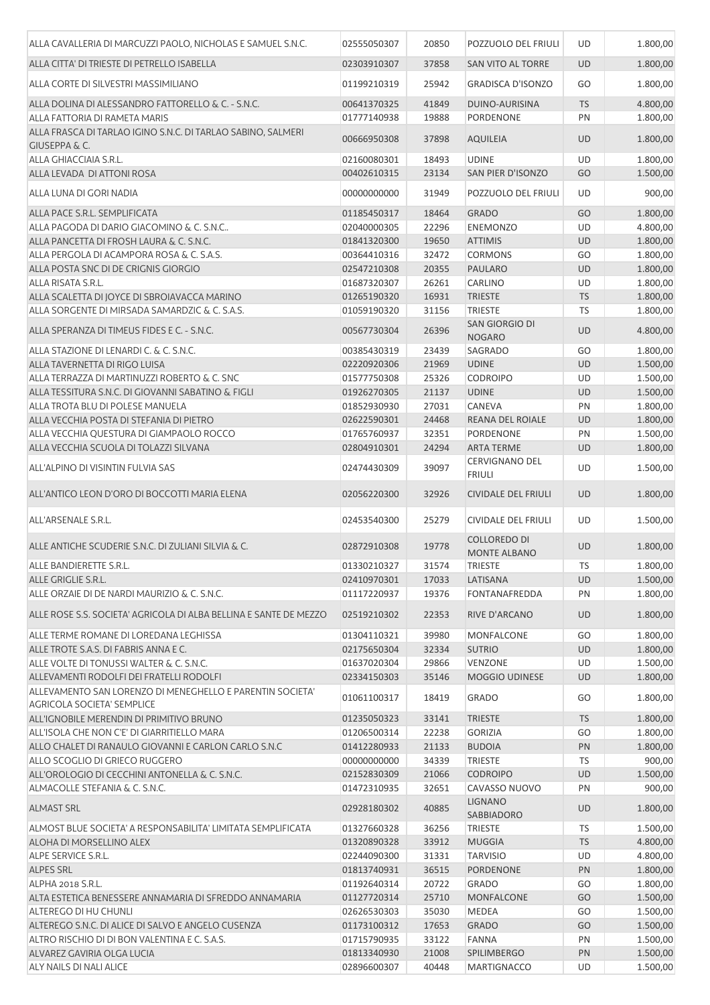| ALLA CAVALLERIA DI MARCUZZI PAOLO, NICHOLAS E SAMUEL S.N.C.                              | 02555050307                | 20850          | POZZUOLO DEL FRIULI                        | <b>UD</b>              | 1.800,00             |
|------------------------------------------------------------------------------------------|----------------------------|----------------|--------------------------------------------|------------------------|----------------------|
| ALLA CITTA' DI TRIESTE DI PETRELLO ISABELLA                                              | 02303910307                | 37858          | <b>SAN VITO AL TORRE</b>                   | UD                     | 1.800,00             |
| ALLA CORTE DI SILVESTRI MASSIMILIANO                                                     | 01199210319                | 25942          | <b>GRADISCA D'ISONZO</b>                   | GO                     | 1.800,00             |
| ALLA DOLINA DI ALESSANDRO FATTORELLO & C. - S.N.C.                                       | 00641370325                | 41849          | DUINO-AURISINA                             | <b>TS</b>              | 4.800,00             |
| ALLA FATTORIA DI RAMETA MARIS                                                            | 01777140938                | 19888          | PORDENONE                                  | PN                     | 1.800,00             |
| ALLA FRASCA DI TARLAO IGINO S.N.C. DI TARLAO SABINO, SALMERI<br><b>GIUSEPPA &amp; C.</b> | 00666950308                | 37898          | <b>AQUILEIA</b>                            | UD                     | 1.800,00             |
| ALLA GHIACCIAIA S.R.L.                                                                   | 02160080301                | 18493          | <b>UDINE</b>                               | UD                     | 1.800,00             |
| ALLA LEVADA DI ATTONI ROSA                                                               | 00402610315                | 23134          | SAN PIER D'ISONZO                          | GO                     | 1.500,00             |
| ALLA LUNA DI GORI NADIA                                                                  | 00000000000                | 31949          | POZZUOLO DEL FRIULI                        | UD                     | 900,00               |
| ALLA PACE S.R.L. SEMPLIFICATA                                                            | 01185450317                | 18464          | <b>GRADO</b>                               | GO                     | 1.800,00             |
| ALLA PAGODA DI DARIO GIACOMINO & C. S.N.C<br>ALLA PANCETTA DI FROSH LAURA & C. S.N.C.    | 02040000305<br>01841320300 | 22296<br>19650 | <b>ENEMONZO</b><br><b>ATTIMIS</b>          | <b>UD</b><br><b>UD</b> | 4.800,00<br>1.800,00 |
| ALLA PERGOLA DI ACAMPORA ROSA & C. S.A.S.                                                | 00364410316                | 32472          | <b>CORMONS</b>                             | GO                     | 1.800,00             |
| ALLA POSTA SNC DI DE CRIGNIS GIORGIO                                                     | 02547210308                | 20355          | <b>PAULARO</b>                             | <b>UD</b>              | 1.800,00             |
| ALLA RISATA S.R.L.                                                                       | 01687320307                | 26261          | <b>CARLINO</b>                             | UD                     | 1.800,00             |
| ALLA SCALETTA DI JOYCE DI SBROIAVACCA MARINO                                             | 01265190320                | 16931          | <b>TRIESTE</b>                             | <b>TS</b>              | 1.800,00             |
| ALLA SORGENTE DI MIRSADA SAMARDZIC & C. S.A.S.                                           | 01059190320                | 31156          | <b>TRIESTE</b>                             | <b>TS</b>              | 1.800,00             |
| ALLA SPERANZA DI TIMEUS FIDES E C. - S.N.C.                                              | 00567730304                | 26396          | SAN GIORGIO DI                             | UD                     | 4.800,00             |
|                                                                                          |                            |                | <b>NOGARO</b>                              |                        |                      |
| ALLA STAZIONE DI LENARDI C. & C. S.N.C.                                                  | 00385430319                | 23439          | <b>SAGRADO</b>                             | GO                     | 1.800,00             |
| ALLA TAVERNETTA DI RIGO LUISA                                                            | 02220920306                | 21969          | <b>UDINE</b>                               | <b>UD</b>              | 1.500,00             |
| ALLA TERRAZZA DI MARTINUZZI ROBERTO & C. SNC                                             | 01577750308                | 25326          | <b>CODROIPO</b>                            | UD                     | 1.500,00             |
| ALLA TESSITURA S.N.C. DI GIOVANNI SABATINO & FIGLI                                       | 01926270305                | 21137          | <b>UDINE</b>                               | <b>UD</b>              | 1.500,00             |
| ALLA TROTA BLU DI POLESE MANUELA                                                         | 01852930930                | 27031          | CANEVA                                     | PN                     | 1.800,00             |
| ALLA VECCHIA POSTA DI STEFANIA DI PIETRO                                                 | 02622590301                | 24468          | REANA DEL ROIALE                           | UD                     | 1.800,00             |
| ALLA VECCHIA QUESTURA DI GIAMPAOLO ROCCO                                                 | 01765760937                | 32351          | <b>PORDENONE</b>                           | PN                     | 1.500,00             |
| ALLA VECCHIA SCUOLA DI TOLAZZI SILVANA                                                   | 02804910301                | 24294          | <b>ARTA TERME</b>                          | UD                     | 1.800,00             |
| ALL'ALPINO DI VISINTIN FULVIA SAS                                                        | 02474430309                | 39097          | <b>CERVIGNANO DEL</b><br><b>FRIULI</b>     | UD                     | 1.500,00             |
| ALL'ANTICO LEON D'ORO DI BOCCOTTI MARIA ELENA                                            | 02056220300                | 32926          | <b>CIVIDALE DEL FRIULI</b>                 | <b>UD</b>              | 1.800,00             |
| ALL'ARSENALE S.R.L.                                                                      | 02453540300                | 25279          | <b>CIVIDALE DEL FRIULI</b>                 | UD                     | 1.500,00             |
| ALLE ANTICHE SCUDERIE S.N.C. DI ZULIANI SILVIA & C.                                      | 02872910308                | 19778          | <b>COLLOREDO DI</b><br><b>MONTE ALBANO</b> | <b>UD</b>              | 1.800,00             |
| ALLE BANDIERETTE S.R.L.                                                                  | 01330210327                | 31574          | TRIESTE                                    | <b>TS</b>              | 1.800,00             |
| ALLE GRIGLIE S.R.L.                                                                      | 02410970301                | 17033          | LATISANA                                   | <b>UD</b>              | 1.500,00             |
| ALLE ORZAIE DI DE NARDI MAURIZIO & C. S.N.C.                                             | 01117220937                | 19376          | <b>FONTANAFREDDA</b>                       | PN                     | 1.800,00             |
| ALLE ROSE S.S. SOCIETA' AGRICOLA DI ALBA BELLINA E SANTE DE MEZZO                        | 02519210302                | 22353          | RIVE D'ARCANO                              | <b>UD</b>              | 1.800,00             |
| ALLE TERME ROMANE DI LOREDANA LEGHISSA                                                   | 01304110321                | 39980          | MONFALCONE                                 | GO                     | 1.800,00             |
| ALLE TROTE S.A.S. DI FABRIS ANNA E C.                                                    | 02175650304                | 32334          | <b>SUTRIO</b>                              | <b>UD</b>              | 1.800,00             |
| ALLE VOLTE DI TONUSSI WALTER & C. S.N.C.                                                 | 01637020304                | 29866          | VENZONE                                    | UD                     | 1.500,00             |
| ALLEVAMENTI RODOLFI DEI FRATELLI RODOLFI                                                 | 02334150303                | 35146          | MOGGIO UDINESE                             | UD                     | 1.800,00             |
| ALLEVAMENTO SAN LORENZO DI MENEGHELLO E PARENTIN SOCIETA'<br>AGRICOLA SOCIETA' SEMPLICE  | 01061100317                | 18419          | GRADO                                      | GO                     | 1.800,00             |
| ALL'IGNOBILE MERENDIN DI PRIMITIVO BRUNO                                                 | 01235050323                | 33141          | <b>TRIESTE</b>                             | <b>TS</b>              | 1.800,00             |
| ALL'ISOLA CHE NON C'E' DI GIARRITIELLO MARA                                              | 01206500314                | 22238          | <b>GORIZIA</b>                             | GO                     | 1.800,00             |
| ALLO CHALET DI RANAULO GIOVANNI E CARLON CARLO S.N.C                                     | 01412280933                | 21133          | <b>BUDOIA</b>                              | PN                     | 1.800,00             |
| ALLO SCOGLIO DI GRIECO RUGGERO                                                           | 00000000000                | 34339          | <b>TRIESTE</b>                             | TS                     | 900,00               |
| ALL'OROLOGIO DI CECCHINI ANTONELLA & C. S.N.C.                                           | 02152830309                | 21066          | <b>CODROIPO</b>                            | <b>UD</b>              | 1.500,00             |
| ALMACOLLE STEFANIA & C. S.N.C.                                                           | 01472310935                | 32651          | CAVASSO NUOVO                              | PN                     | 900,00               |
| <b>ALMAST SRL</b>                                                                        | 02928180302                | 40885          | <b>LIGNANO</b><br>SABBIADORO               | <b>UD</b>              | 1.800,00             |
| ALMOST BLUE SOCIETA' A RESPONSABILITA' LIMITATA SEMPLIFICATA                             | 01327660328                | 36256          | <b>TRIESTE</b>                             | <b>TS</b>              | 1.500,00             |
| ALOHA DI MORSELLINO ALEX                                                                 | 01320890328                | 33912          | <b>MUGGIA</b>                              | <b>TS</b>              | 4.800,00             |
| ALPE SERVICE S.R.L.                                                                      | 02244090300                | 31331          | <b>TARVISIO</b>                            | UD                     | 4.800,00             |
| <b>ALPES SRL</b>                                                                         | 01813740931                | 36515          | PORDENONE                                  | PN                     | 1.800,00             |
| ALPHA 2018 S.R.L.                                                                        | 01192640314                | 20722          | <b>GRADO</b>                               | GO                     | 1.800,00             |
| ALTA ESTETICA BENESSERE ANNAMARIA DI SFREDDO ANNAMARIA                                   | 01127720314                | 25710          | <b>MONFALCONE</b>                          | GO                     | 1.500,00             |
| ALTEREGO DI HU CHUNLI                                                                    | 02626530303                | 35030          | MEDEA                                      | GO                     | 1.500,00             |
| ALTEREGO S.N.C. DI ALICE DI SALVO E ANGELO CUSENZA                                       | 01173100312                | 17653          | <b>GRADO</b>                               | GO                     | 1.500,00             |
| ALTRO RISCHIO DI DI BON VALENTINA E C. S.A.S.                                            | 01715790935                | 33122          | <b>FANNA</b>                               | PN                     | 1.500,00             |
| ALVAREZ GAVIRIA OLGA LUCIA                                                               | 01813340930                | 21008          | <b>SPILIMBERGO</b>                         | PN                     | 1.500,00             |
| ALY NAILS DI NALI ALICE                                                                  | 02896600307                | 40448          | <b>MARTIGNACCO</b>                         | UD                     | 1.500,00             |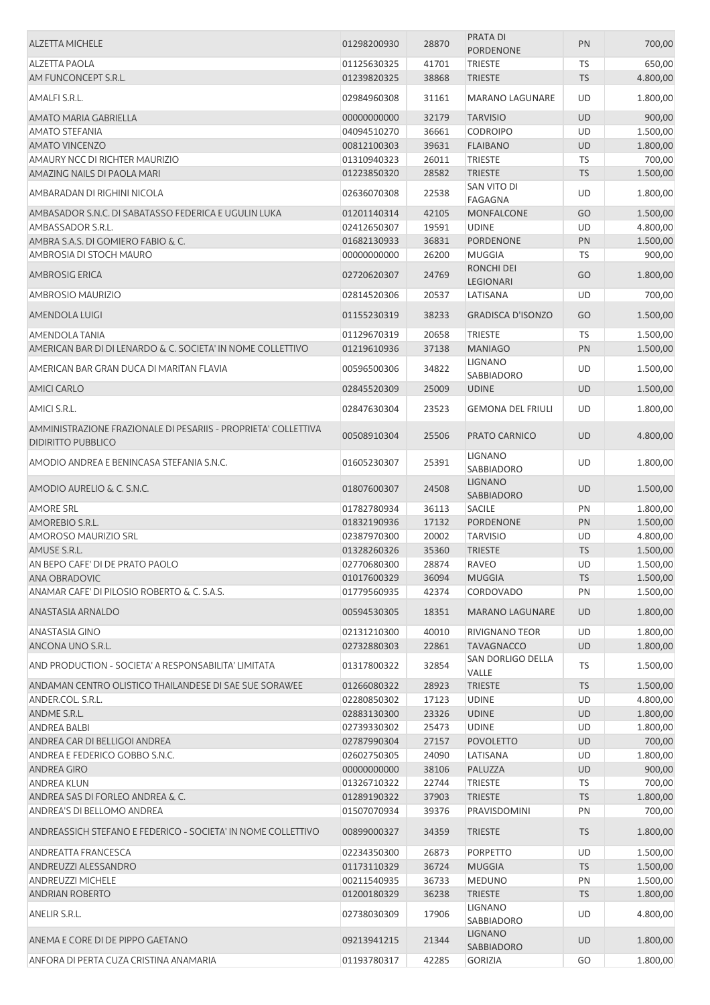| <b>ALZETTA MICHELE</b>                                                                      | 01298200930                | 28870          | PRATA DI<br><b>PORDENONE</b>   | PN        | 700,00   |
|---------------------------------------------------------------------------------------------|----------------------------|----------------|--------------------------------|-----------|----------|
| <b>ALZETTA PAOLA</b>                                                                        | 01125630325                | 41701          | <b>TRIESTE</b>                 | <b>TS</b> | 650,00   |
| AM FUNCONCEPT S.R.L.                                                                        | 01239820325                | 38868          | <b>TRIESTE</b>                 | <b>TS</b> | 4.800,00 |
|                                                                                             |                            |                |                                |           |          |
| AMALFI S.R.L.                                                                               | 02984960308                | 31161          | <b>MARANO LAGUNARE</b>         | UD        | 1.800,00 |
| AMATO MARIA GABRIELLA                                                                       | 00000000000                | 32179          | <b>TARVISIO</b>                | <b>UD</b> | 900,00   |
| <b>AMATO STEFANIA</b>                                                                       | 04094510270                | 36661          | <b>CODROIPO</b>                | UD        | 1.500,00 |
| <b>AMATO VINCENZO</b>                                                                       | 00812100303                | 39631          | <b>FLAIBANO</b>                | UD        | 1.800,00 |
| AMAURY NCC DI RICHTER MAURIZIO                                                              | 01310940323                | 26011          | <b>TRIESTE</b>                 | TS        | 700,00   |
| AMAZING NAILS DI PAOLA MARI                                                                 | 01223850320                | 28582          | <b>TRIESTE</b>                 | <b>TS</b> | 1.500,00 |
| AMBARADAN DI RIGHINI NICOLA                                                                 | 02636070308                | 22538          | SAN VITO DI<br><b>FAGAGNA</b>  | UD        | 1.800,00 |
| AMBASADOR S.N.C. DI SABATASSO FEDERICA E UGULIN LUKA                                        | 01201140314                | 42105          | <b>MONFALCONE</b>              | GO        | 1.500,00 |
| AMBASSADOR S.R.L.                                                                           | 02412650307                | 19591          | <b>UDINE</b>                   | UD        | 4.800,00 |
| AMBRA S.A.S. DI GOMIERO FABIO & C.                                                          | 01682130933                | 36831          | PORDENONE                      | PN        | 1.500,00 |
| AMBROSIA DI STOCH MAURO                                                                     | 00000000000                | 26200          | <b>MUGGIA</b>                  | TS        | 900,00   |
| <b>AMBROSIG ERICA</b>                                                                       | 02720620307                | 24769          | RONCHI DEI<br><b>LEGIONARI</b> | GO        | 1.800,00 |
| AMBROSIO MAURIZIO                                                                           | 02814520306                | 20537          | LATISANA                       | UD        | 700,00   |
|                                                                                             |                            |                |                                |           |          |
| AMENDOLA LUIGI                                                                              | 01155230319                | 38233          | <b>GRADISCA D'ISONZO</b>       | GO        | 1.500,00 |
| <b>AMENDOLA TANIA</b>                                                                       | 01129670319                | 20658          | <b>TRIESTE</b>                 | TS        | 1.500,00 |
| AMERICAN BAR DI DI LENARDO & C. SOCIETA' IN NOME COLLETTIVO                                 | 01219610936                | 37138          | <b>MANIAGO</b>                 | PN        | 1.500,00 |
| AMERICAN BAR GRAN DUCA DI MARITAN FLAVIA                                                    | 00596500306                | 34822          | <b>LIGNANO</b>                 | UD        | 1.500,00 |
|                                                                                             |                            |                | SABBIADORO                     |           |          |
| <b>AMICI CARLO</b>                                                                          | 02845520309                | 25009          | <b>UDINE</b>                   | UD        | 1.500,00 |
| AMICI S.R.L.                                                                                | 02847630304                | 23523          | <b>GEMONA DEL FRIULI</b>       | UD        | 1.800,00 |
| AMMINISTRAZIONE FRAZIONALE DI PESARIIS - PROPRIETA' COLLETTIVA<br><b>DIDIRITTO PUBBLICO</b> | 00508910304                | 25506          | PRATO CARNICO                  | <b>UD</b> | 4.800,00 |
| AMODIO ANDREA E BENINCASA STEFANIA S.N.C.                                                   | 01605230307                | 25391          | <b>LIGNANO</b><br>SABBIADORO   | <b>UD</b> | 1.800,00 |
| AMODIO AURELIO & C. S.N.C.                                                                  | 01807600307                | 24508          | <b>LIGNANO</b><br>SABBIADORO   | <b>UD</b> | 1.500,00 |
| <b>AMORE SRL</b>                                                                            | 01782780934                | 36113          | <b>SACILE</b>                  | PN        | 1.800,00 |
| AMOREBIO S.R.L.                                                                             | 01832190936                | 17132          | PORDENONE                      | PN        | 1.500,00 |
| <b>AMOROSO MAURIZIO SRL</b>                                                                 | 02387970300                | 20002          | <b>TARVISIO</b>                | UD        | 4.800,00 |
| AMUSE S.R.L.                                                                                | 01328260326                | 35360          | <b>TRIESTE</b>                 | <b>TS</b> | 1.500,00 |
| AN BEPO CAFE' DI DE PRATO PAOLO                                                             | 02770680300                | 28874          | RAVEO                          | UD        | 1.500,00 |
| ANA OBRADOVIC                                                                               | 01017600329                | 36094          | <b>MUGGIA</b>                  | <b>TS</b> | 1.500,00 |
| ANAMAR CAFE' DI PILOSIO ROBERTO & C. S.A.S.                                                 | 01779560935                | 42374          | <b>CORDOVADO</b>               | PN        | 1.500,00 |
| ANASTASIA ARNALDO                                                                           | 00594530305                | 18351          | <b>MARANO LAGUNARE</b>         | <b>UD</b> | 1.800,00 |
| <b>ANASTASIA GINO</b>                                                                       | 02131210300                | 40010          | RIVIGNANO TEOR                 | UD        | 1.800,00 |
| ANCONA UNO S.R.L.                                                                           | 02732880303                | 22861          | <b>TAVAGNACCO</b>              | UD        | 1.800,00 |
|                                                                                             |                            |                | SAN DORLIGO DELLA              |           |          |
| AND PRODUCTION - SOCIETA' A RESPONSABILITA' LIMITATA                                        | 01317800322                | 32854          | VALLE                          | TS        | 1.500,00 |
| ANDAMAN CENTRO OLISTICO THAILANDESE DI SAE SUE SORAWEE                                      | 01266080322                | 28923          | <b>TRIESTE</b>                 | <b>TS</b> | 1.500,00 |
| ANDER.COL. S.R.L.                                                                           | 02280850302                | 17123          | <b>UDINE</b>                   | UD        | 4.800,00 |
| ANDME S.R.L.                                                                                | 02883130300                | 23326          | <b>UDINE</b>                   | <b>UD</b> | 1.800,00 |
| <b>ANDREA BALBI</b>                                                                         | 02739330302                | 25473          | <b>UDINE</b>                   | UD        | 1.800,00 |
| ANDREA CAR DI BELLIGOI ANDREA                                                               | 02787990304                | 27157          | <b>POVOLETTO</b>               | UD        | 700,00   |
| ANDREA E FEDERICO GOBBO S.N.C.                                                              | 02602750305                | 24090          | LATISANA                       | UD        | 1.800,00 |
| <b>ANDREA GIRO</b>                                                                          | 00000000000                | 38106          | PALUZZA                        | UD        | 900,00   |
| <b>ANDREA KLUN</b>                                                                          | 01326710322                | 22744          | <b>TRIESTE</b>                 | TS        | 700,00   |
| ANDREA SAS DI FORLEO ANDREA & C.                                                            | 01289190322                | 37903          | <b>TRIESTE</b>                 | <b>TS</b> | 1.800,00 |
| ANDREA'S DI BELLOMO ANDREA                                                                  | 01507070934                | 39376          | PRAVISDOMINI                   | PN        | 700,00   |
| ANDREASSICH STEFANO E FEDERICO - SOCIETA' IN NOME COLLETTIVO                                | 00899000327                | 34359          | <b>TRIESTE</b>                 | <b>TS</b> | 1.800,00 |
|                                                                                             |                            |                |                                |           |          |
| ANDREATTA FRANCESCA                                                                         | 02234350300                | 26873          | <b>PORPETTO</b>                | UD        | 1.500,00 |
| ANDREUZZI ALESSANDRO                                                                        | 01173110329<br>00211540935 | 36724          | <b>MUGGIA</b>                  | <b>TS</b> | 1.500,00 |
| <b>ANDREUZZI MICHELE</b>                                                                    |                            | 36733          | <b>MEDUNO</b>                  | PN        | 1.500,00 |
|                                                                                             |                            |                |                                |           |          |
| <b>ANDRIAN ROBERTO</b>                                                                      | 01200180329                | 36238          | <b>TRIESTE</b>                 | <b>TS</b> | 1.800,00 |
| ANELIR S.R.L.                                                                               | 02738030309                | 17906          | LIGNANO<br>SABBIADORO          | UD        | 4.800,00 |
| ANEMA E CORE DI DE PIPPO GAETANO                                                            | 09213941215                | 21344<br>42285 | <b>LIGNANO</b><br>SABBIADORO   | UD        | 1.800,00 |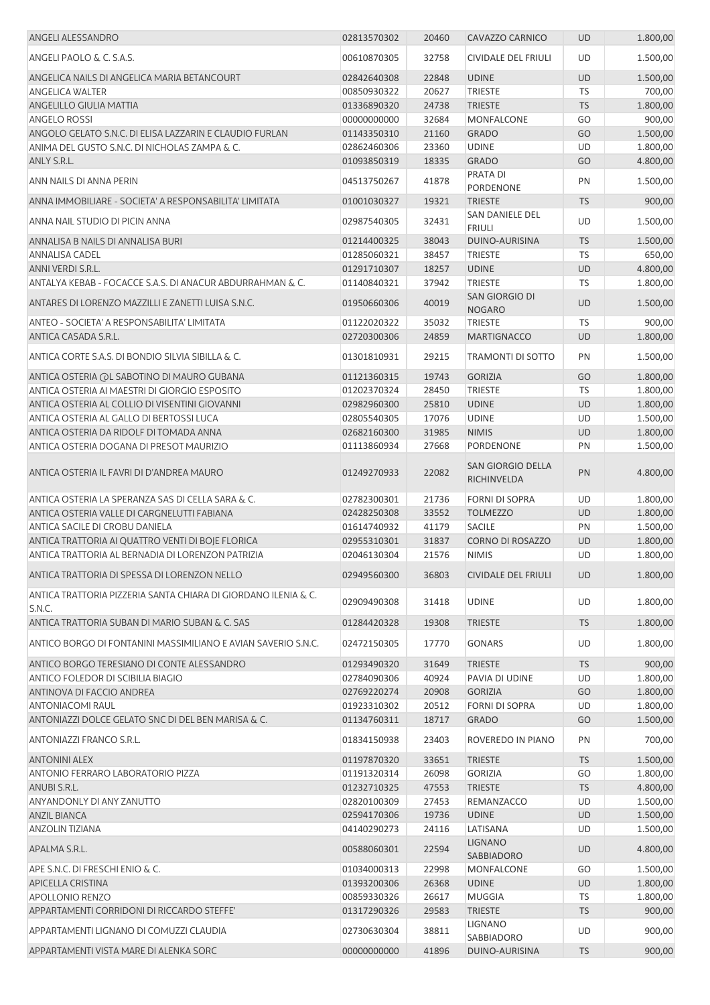| ANGELI ALESSANDRO                                                        | 02813570302 | 20460 | CAVAZZO CARNICO                         | <b>UD</b> | 1.800,00 |
|--------------------------------------------------------------------------|-------------|-------|-----------------------------------------|-----------|----------|
| ANGELI PAOLO & C. S.A.S.                                                 | 00610870305 | 32758 | <b>CIVIDALE DEL FRIULI</b>              | <b>UD</b> | 1.500,00 |
| ANGELICA NAILS DI ANGELICA MARIA BETANCOURT                              | 02842640308 | 22848 | <b>UDINE</b>                            | <b>UD</b> | 1.500,00 |
| <b>ANGELICA WALTER</b>                                                   | 00850930322 | 20627 | <b>TRIESTE</b>                          | <b>TS</b> | 700,00   |
| ANGELILLO GIULIA MATTIA                                                  | 01336890320 | 24738 | <b>TRIESTE</b>                          | <b>TS</b> | 1.800,00 |
| <b>ANGELO ROSSI</b>                                                      | 00000000000 | 32684 | <b>MONFALCONE</b>                       | GO        | 900,00   |
| ANGOLO GELATO S.N.C. DI ELISA LAZZARIN E CLAUDIO FURLAN                  | 01143350310 | 21160 | <b>GRADO</b>                            | GO        | 1.500,00 |
| ANIMA DEL GUSTO S.N.C. DI NICHOLAS ZAMPA & C.                            | 02862460306 | 23360 | <b>UDINE</b>                            | UD        | 1.800,00 |
| ANLY S.R.L.                                                              | 01093850319 | 18335 | <b>GRADO</b>                            | GO        | 4.800,00 |
| ANN NAILS DI ANNA PERIN                                                  | 04513750267 | 41878 | PRATA DI<br>PORDENONE                   | PN        | 1.500,00 |
| ANNA IMMOBILIARE - SOCIETA' A RESPONSABILITA' LIMITATA                   | 01001030327 | 19321 | <b>TRIESTE</b>                          | <b>TS</b> | 900,00   |
| ANNA NAIL STUDIO DI PICIN ANNA                                           | 02987540305 | 32431 | SAN DANIELE DEL<br><b>FRIULI</b>        | UD        | 1.500,00 |
| ANNALISA B NAILS DI ANNALISA BURI                                        | 01214400325 | 38043 | DUINO-AURISINA                          | <b>TS</b> | 1.500,00 |
| <b>ANNALISA CADEL</b>                                                    | 01285060321 | 38457 | <b>TRIESTE</b>                          | <b>TS</b> | 650,00   |
| ANNI VERDI S.R.L.                                                        | 01291710307 | 18257 | <b>UDINE</b>                            | UD        | 4.800,00 |
| ANTALYA KEBAB - FOCACCE S.A.S. DI ANACUR ABDURRAHMAN & C.                | 01140840321 | 37942 | <b>TRIESTE</b>                          | TS        | 1.800,00 |
| ANTARES DI LORENZO MAZZILLI E ZANETTI LUISA S.N.C.                       | 01950660306 | 40019 | SAN GIORGIO DI<br><b>NOGARO</b>         | <b>UD</b> | 1.500,00 |
| ANTEO - SOCIETA' A RESPONSABILITA' LIMITATA                              | 01122020322 | 35032 | <b>TRIESTE</b>                          | <b>TS</b> | 900,00   |
| ANTICA CASADA S.R.L.                                                     | 02720300306 | 24859 | <b>MARTIGNACCO</b>                      | <b>UD</b> | 1.800,00 |
|                                                                          |             |       |                                         |           |          |
| ANTICA CORTE S.A.S. DI BONDIO SILVIA SIBILLA & C.                        | 01301810931 | 29215 | <b>TRAMONTI DI SOTTO</b>                | PN        | 1.500,00 |
| ANTICA OSTERIA (OL SABOTINO DI MAURO GUBANA                              | 01121360315 | 19743 | <b>GORIZIA</b>                          | GO        | 1.800,00 |
| ANTICA OSTERIA AI MAESTRI DI GIORGIO ESPOSITO                            | 01202370324 | 28450 | <b>TRIESTE</b>                          | TS        | 1.800,00 |
| ANTICA OSTERIA AL COLLIO DI VISENTINI GIOVANNI                           | 02982960300 | 25810 | <b>UDINE</b>                            | UD        | 1.800,00 |
| ANTICA OSTERIA AL GALLO DI BERTOSSI LUCA                                 | 02805540305 | 17076 | <b>UDINE</b>                            | UD        | 1.500,00 |
| ANTICA OSTERIA DA RIDOLF DI TOMADA ANNA                                  | 02682160300 | 31985 | <b>NIMIS</b>                            | <b>UD</b> | 1.800,00 |
| ANTICA OSTERIA DOGANA DI PRESOT MAURIZIO                                 | 01113860934 | 27668 | PORDENONE                               | PN        | 1.500,00 |
| ANTICA OSTERIA IL FAVRI DI D'ANDREA MAURO                                | 01249270933 | 22082 | <b>SAN GIORGIO DELLA</b><br>RICHINVELDA | PN        | 4.800,00 |
| ANTICA OSTERIA LA SPERANZA SAS DI CELLA SARA & C.                        | 02782300301 | 21736 | <b>FORNI DI SOPRA</b>                   | UD        | 1.800,00 |
| ANTICA OSTERIA VALLE DI CARGNELUTTI FABIANA                              | 02428250308 | 33552 | <b>TOLMEZZO</b>                         | <b>UD</b> | 1.800,00 |
| ANTICA SACILE DI CROBU DANIELA                                           | 01614740932 | 41179 | <b>SACILE</b>                           | PN        | 1.500,00 |
| ANTICA TRATTORIA AI QUATTRO VENTI DI BOJE FLORICA                        | 02955310301 | 31837 | <b>CORNO DI ROSAZZO</b>                 | UD        | 1.800,00 |
| ANTICA TRATTORIA AL BERNADIA DI LORENZON PATRIZIA                        | 02046130304 | 21576 | <b>NIMIS</b>                            | UD        | 1.800,00 |
| ANTICA TRATTORIA DI SPESSA DI LORENZON NELLO                             | 02949560300 | 36803 | <b>CIVIDALE DEL FRIULI</b>              | <b>UD</b> | 1.800,00 |
| ANTICA TRATTORIA PIZZERIA SANTA CHIARA DI GIORDANO ILENIA & C.<br>S.N.C. | 02909490308 | 31418 | <b>UDINE</b>                            | UD        | 1.800,00 |
| ANTICA TRATTORIA SUBAN DI MARIO SUBAN & C. SAS                           | 01284420328 | 19308 | <b>TRIESTE</b>                          | <b>TS</b> | 1.800,00 |
| ANTICO BORGO DI FONTANINI MASSIMILIANO E AVIAN SAVERIO S.N.C.            | 02472150305 | 17770 | <b>GONARS</b>                           | UD        | 1.800,00 |
| ANTICO BORGO TERESIANO DI CONTE ALESSANDRO                               | 01293490320 | 31649 | <b>TRIESTE</b>                          | <b>TS</b> | 900,00   |
| ANTICO FOLEDOR DI SCIBILIA BIAGIO                                        | 02784090306 | 40924 | PAVIA DI UDINE                          | UD        | 1.800,00 |
| ANTINOVA DI FACCIO ANDREA                                                | 02769220274 | 20908 | <b>GORIZIA</b>                          | GO        | 1.800,00 |
| <b>ANTONIACOMI RAUL</b>                                                  | 01923310302 | 20512 | <b>FORNI DI SOPRA</b>                   | UD        | 1.800,00 |
| ANTONIAZZI DOLCE GELATO SNC DI DEL BEN MARISA & C.                       | 01134760311 | 18717 | <b>GRADO</b>                            | GO        | 1.500,00 |
| ANTONIAZZI FRANCO S.R.L.                                                 | 01834150938 | 23403 | ROVEREDO IN PIANO                       | PN        | 700,00   |
| <b>ANTONINI ALEX</b>                                                     | 01197870320 | 33651 | <b>TRIESTE</b>                          | <b>TS</b> | 1.500,00 |
| ANTONIO FERRARO LABORATORIO PIZZA                                        | 01191320314 | 26098 | <b>GORIZIA</b>                          | GO        | 1.800,00 |
| ANUBI S.R.L.                                                             | 01232710325 | 47553 | <b>TRIESTE</b>                          | <b>TS</b> | 4.800,00 |
| ANYANDONLY DI ANY ZANUTTO                                                | 02820100309 | 27453 | REMANZACCO                              | UD        | 1.500,00 |
| <b>ANZIL BIANCA</b>                                                      | 02594170306 | 19736 | <b>UDINE</b>                            | <b>UD</b> | 1.500,00 |
| <b>ANZOLIN TIZIANA</b>                                                   | 04140290273 | 24116 | LATISANA                                | UD        | 1.500,00 |
| APALMA S.R.L.                                                            | 00588060301 | 22594 | <b>LIGNANO</b><br>SABBIADORO            | UD        | 4.800,00 |
| APE S.N.C. DI FRESCHI ENIO & C.                                          | 01034000313 | 22998 | MONFALCONE                              | GO        | 1.500,00 |
| APICELLA CRISTINA                                                        | 01393200306 | 26368 | <b>UDINE</b>                            | UD        | 1.800,00 |
| <b>APOLLONIO RENZO</b>                                                   | 00859330326 | 26617 | MUGGIA                                  | TS        | 1.800,00 |
| APPARTAMENTI CORRIDONI DI RICCARDO STEFFE'                               | 01317290326 | 29583 | <b>TRIESTE</b>                          | <b>TS</b> | 900,00   |
|                                                                          |             |       | LIGNANO                                 |           |          |
| APPARTAMENTI LIGNANO DI COMUZZI CLAUDIA                                  | 02730630304 | 38811 | SABBIADORO                              | UD        | 900,00   |
| APPARTAMENTI VISTA MARE DI ALENKA SORC                                   | 00000000000 | 41896 | DUINO-AURISINA                          | <b>TS</b> | 900,00   |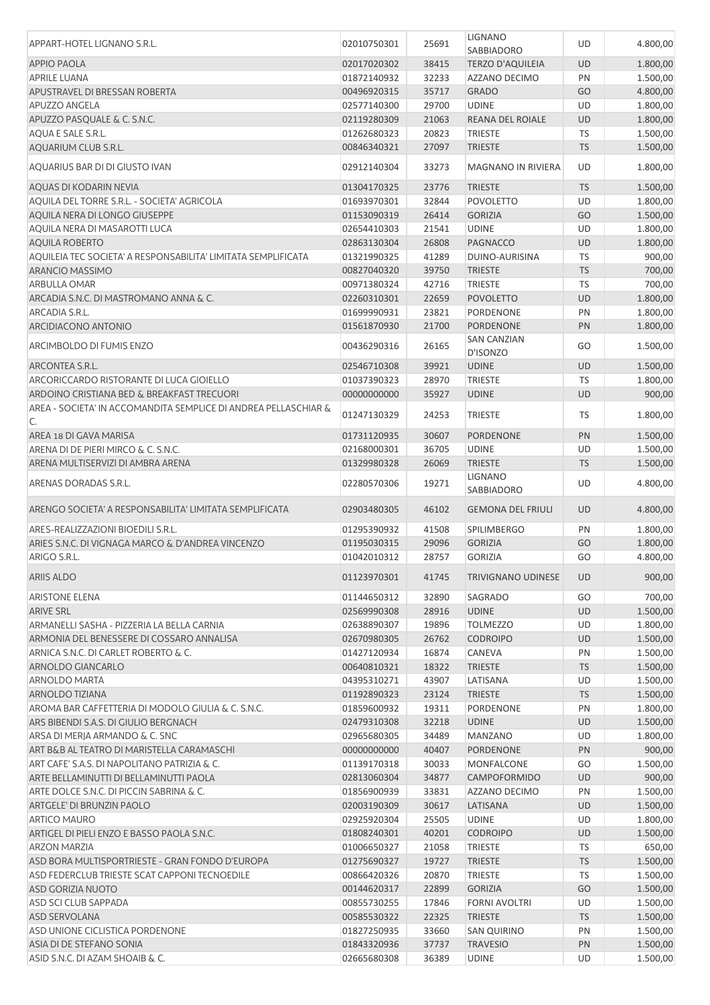| APPART-HOTEL LIGNANO S.R.L.                                           | 02010750301 | 25691 | <b>LIGNANO</b><br>SABBIADORO   | UD        | 4.800,00 |
|-----------------------------------------------------------------------|-------------|-------|--------------------------------|-----------|----------|
| <b>APPIO PAOLA</b>                                                    | 02017020302 | 38415 | <b>TERZO D'AQUILEIA</b>        | <b>UD</b> | 1.800,00 |
| <b>APRILE LUANA</b>                                                   | 01872140932 | 32233 | AZZANO DECIMO                  | PN        | 1.500,00 |
| APUSTRAVEL DI BRESSAN ROBERTA                                         | 00496920315 | 35717 | <b>GRADO</b>                   | GO        | 4.800,00 |
| <b>APUZZO ANGELA</b>                                                  | 02577140300 | 29700 | <b>UDINE</b>                   | UD        | 1.800,00 |
| APUZZO PASQUALE & C. S.N.C.                                           | 02119280309 | 21063 | <b>REANA DEL ROIALE</b>        | UD        | 1.800,00 |
| AQUA E SALE S.R.L.                                                    | 01262680323 | 20823 | <b>TRIESTE</b>                 | TS        | 1.500,00 |
| AQUARIUM CLUB S.R.L.                                                  |             | 27097 | <b>TRIESTE</b>                 | <b>TS</b> |          |
|                                                                       | 00846340321 |       |                                |           | 1.500,00 |
| AOUARIUS BAR DI DI GIUSTO IVAN                                        | 02912140304 | 33273 | <b>MAGNANO IN RIVIERA</b>      | UD        | 1.800,00 |
| AQUAS DI KODARIN NEVIA                                                | 01304170325 | 23776 | <b>TRIESTE</b>                 | <b>TS</b> | 1.500,00 |
| AQUILA DEL TORRE S.R.L. - SOCIETA' AGRICOLA                           | 01693970301 | 32844 | <b>POVOLETTO</b>               | UD        | 1.800,00 |
| AQUILA NERA DI LONGO GIUSEPPE                                         | 01153090319 | 26414 | <b>GORIZIA</b>                 | GO        | 1.500,00 |
| AQUILA NERA DI MASAROTTI LUCA                                         | 02654410303 | 21541 | <b>UDINE</b>                   | UD        | 1.800,00 |
| <b>AQUILA ROBERTO</b>                                                 | 02863130304 | 26808 | <b>PAGNACCO</b>                | <b>UD</b> | 1.800,00 |
| AQUILEIA TEC SOCIETA' A RESPONSABILITA' LIMITATA SEMPLIFICATA         | 01321990325 | 41289 | DUINO-AURISINA                 | TS        | 900,00   |
| <b>ARANCIO MASSIMO</b>                                                | 00827040320 | 39750 | <b>TRIESTE</b>                 | <b>TS</b> | 700,00   |
| ARBULLA OMAR                                                          | 00971380324 | 42716 | <b>TRIESTE</b>                 | <b>TS</b> | 700,00   |
| ARCADIA S.N.C. DI MASTROMANO ANNA & C.                                | 02260310301 | 22659 | <b>POVOLETTO</b>               | <b>UD</b> | 1.800,00 |
| ARCADIA S.R.L.                                                        | 01699990931 | 23821 | <b>PORDENONE</b>               | PN        | 1.800,00 |
| ARCIDIACONO ANTONIO                                                   | 01561870930 | 21700 | PORDENONE                      | PN        | 1.800,00 |
| ARCIMBOLDO DI FUMIS ENZO                                              | 00436290316 | 26165 | <b>SAN CANZIAN</b><br>D'ISONZO | GO        | 1.500,00 |
|                                                                       |             |       |                                |           | 1.500,00 |
| ARCONTEA S.R.L.                                                       | 02546710308 | 39921 | <b>UDINE</b>                   | <b>UD</b> |          |
| ARCORICCARDO RISTORANTE DI LUCA GIOIELLO                              | 01037390323 | 28970 | <b>TRIESTE</b>                 | <b>TS</b> | 1.800,00 |
| ARDOINO CRISTIANA BED & BREAKFAST TRECUORI                            | 00000000000 | 35927 | <b>UDINE</b>                   | <b>UD</b> | 900,00   |
| AREA - SOCIETA' IN ACCOMANDITA SEMPLICE DI ANDREA PELLASCHIAR &<br>C. | 01247130329 | 24253 | <b>TRIESTE</b>                 | TS        | 1.800,00 |
| AREA 18 DI GAVA MARISA                                                | 01731120935 | 30607 | <b>PORDENONE</b>               | PN        | 1.500,00 |
| ARENA DI DE PIERI MIRCO & C. S.N.C.                                   | 02168000301 | 36705 | <b>UDINE</b>                   | UD        | 1.500,00 |
| ARENA MULTISERVIZI DI AMBRA ARENA                                     | 01329980328 | 26069 | <b>TRIESTE</b>                 | <b>TS</b> | 1.500,00 |
| ARENAS DORADAS S.R.L.                                                 | 02280570306 | 19271 | <b>LIGNANO</b><br>SABBIADORO   | UD        | 4.800,00 |
| ARENGO SOCIETA' A RESPONSABILITA' LIMITATA SEMPLIFICATA               | 02903480305 | 46102 | <b>GEMONA DEL FRIULI</b>       | <b>UD</b> | 4.800,00 |
| ARES-REALIZZAZIONI BIOEDILI S.R.L.                                    | 01295390932 | 41508 | <b>SPILIMBERGO</b>             | PN        | 1.800,00 |
| ARIES S.N.C. DI VIGNAGA MARCO & D'ANDREA VINCENZO                     | 01195030315 | 29096 | <b>GORIZIA</b>                 | GO        | 1.800,00 |
| ARIGO S.R.L.                                                          | 01042010312 | 28757 | <b>GORIZIA</b>                 | GO        | 4.800,00 |
| <b>ARIIS ALDO</b>                                                     | 01123970301 | 41745 | <b>TRIVIGNANO UDINESE</b>      | <b>UD</b> | 900,00   |
|                                                                       |             |       |                                |           |          |
| <b>ARISTONE ELENA</b>                                                 | 01144650312 | 32890 | SAGRADO                        | GO        | 700,00   |
| <b>ARIVE SRL</b>                                                      | 02569990308 | 28916 | <b>UDINE</b>                   | <b>UD</b> | 1.500,00 |
| ARMANELLI SASHA - PIZZERIA LA BELLA CARNIA                            | 02638890307 | 19896 | <b>TOLMEZZO</b>                | UD        | 1.800,00 |
| ARMONIA DEL BENESSERE DI COSSARO ANNALISA                             | 02670980305 | 26762 | <b>CODROIPO</b>                | UD        | 1.500,00 |
| ARNICA S.N.C. DI CARLET ROBERTO & C.                                  | 01427120934 | 16874 | <b>CANEVA</b>                  | PN        | 1.500,00 |
| ARNOLDO GIANCARLO                                                     | 00640810321 | 18322 | <b>TRIESTE</b>                 | <b>TS</b> | 1.500,00 |
| <b>ARNOLDO MARTA</b>                                                  | 04395310271 | 43907 | LATISANA                       | UD        | 1.500,00 |
| ARNOLDO TIZIANA                                                       | 01192890323 | 23124 | <b>TRIESTE</b>                 | <b>TS</b> | 1.500,00 |
| AROMA BAR CAFFETTERIA DI MODOLO GIULIA & C. S.N.C.                    | 01859600932 | 19311 | PORDENONE                      | PN        | 1.800,00 |
| ARS BIBENDI S.A.S. DI GIULIO BERGNACH                                 | 02479310308 | 32218 | <b>UDINE</b>                   | <b>UD</b> | 1.500,00 |
| ARSA DI MERJA ARMANDO & C. SNC                                        | 02965680305 | 34489 | <b>MANZANO</b>                 | UD        | 1.800,00 |
| ART B&B AL TEATRO DI MARISTELLA CARAMASCHI                            | 00000000000 | 40407 | <b>PORDENONE</b>               | PN        | 900,00   |
| ART CAFE' S.A.S. DI NAPOLITANO PATRIZIA & C.                          | 01139170318 | 30033 | MONFALCONE                     | GO        | 1.500,00 |
| ARTE BELLAMINUTTI DI BELLAMINUTTI PAOLA                               | 02813060304 | 34877 | CAMPOFORMIDO                   | UD        | 900,00   |
| ARTE DOLCE S.N.C. DI PICCIN SABRINA & C.                              | 01856900939 | 33831 | AZZANO DECIMO                  | PN        | 1.500,00 |
| ARTGELE' DI BRUNZIN PAOLO                                             | 02003190309 | 30617 | LATISANA                       | <b>UD</b> | 1.500,00 |
| <b>ARTICO MAURO</b>                                                   | 02925920304 | 25505 | <b>UDINE</b>                   | UD        | 1.800,00 |
| ARTIGEL DI PIELI ENZO E BASSO PAOLA S.N.C.                            | 01808240301 | 40201 | <b>CODROIPO</b>                | <b>UD</b> | 1.500,00 |
| <b>ARZON MARZIA</b>                                                   | 01006650327 | 21058 | <b>TRIESTE</b>                 | TS        | 650,00   |
| ASD BORA MULTISPORTRIESTE - GRAN FONDO D'EUROPA                       | 01275690327 | 19727 | <b>TRIESTE</b>                 | <b>TS</b> | 1.500,00 |
| ASD FEDERCLUB TRIESTE SCAT CAPPONI TECNOEDILE                         | 00866420326 | 20870 | <b>TRIESTE</b>                 | TS        | 1.500,00 |
| <b>ASD GORIZIA NUOTO</b>                                              | 00144620317 | 22899 | <b>GORIZIA</b>                 | GO        | 1.500,00 |
| ASD SCI CLUB SAPPADA                                                  | 00855730255 | 17846 | <b>FORNI AVOLTRI</b>           | <b>UD</b> | 1.500,00 |
| <b>ASD SERVOLANA</b>                                                  | 00585530322 | 22325 | <b>TRIESTE</b>                 | <b>TS</b> | 1.500,00 |
| ASD UNIONE CICLISTICA PORDENONE                                       | 01827250935 | 33660 | <b>SAN QUIRINO</b>             | PN        | 1.500,00 |
| ASIA DI DE STEFANO SONIA                                              | 01843320936 | 37737 | <b>TRAVESIO</b>                | PN        | 1.500,00 |
| ASID S.N.C. DI AZAM SHOAIB & C.                                       | 02665680308 | 36389 | <b>UDINE</b>                   | <b>UD</b> | 1.500,00 |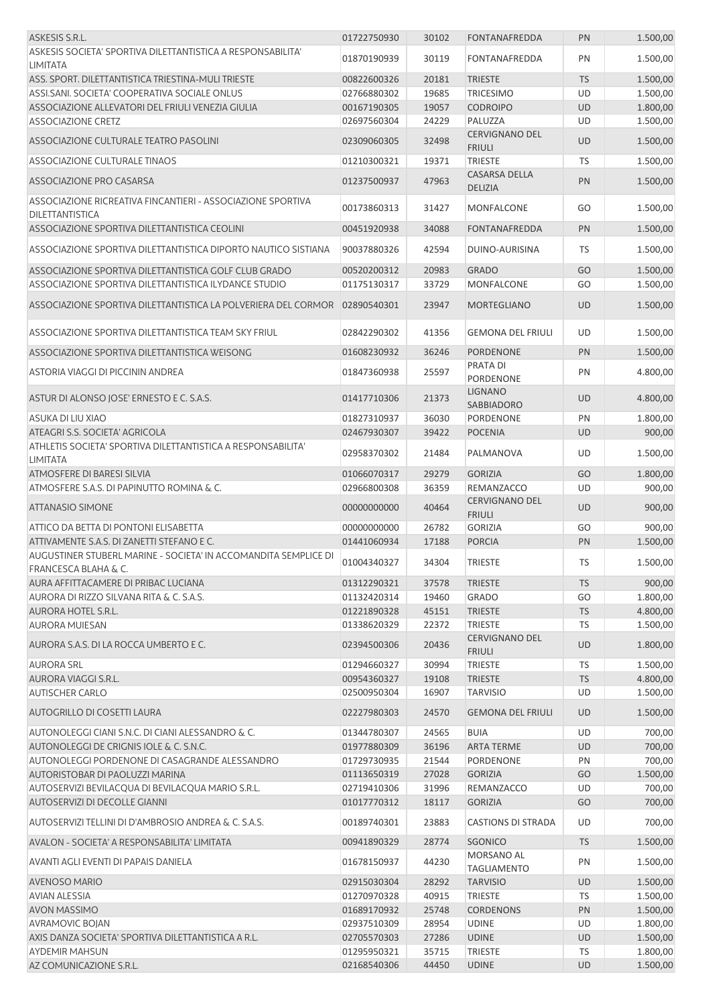| ASKESIS S.R.L.                                                                                     | 01722750930                | 30102          | <b>FONTANAFREDDA</b>                   | PN              | 1.500,00             |
|----------------------------------------------------------------------------------------------------|----------------------------|----------------|----------------------------------------|-----------------|----------------------|
| ASKESIS SOCIETA' SPORTIVA DILETTANTISTICA A RESPONSABILITA'<br><b>LIMITATA</b>                     | 01870190939                | 30119          | FONTANAFREDDA                          | PN              | 1.500,00             |
| ASS. SPORT. DILETTANTISTICA TRIESTINA-MULI TRIESTE                                                 | 00822600326                | 20181          | <b>TRIESTE</b>                         | <b>TS</b>       | 1.500,00             |
| ASSI.SANI. SOCIETA' COOPERATIVA SOCIALE ONLUS                                                      | 02766880302                | 19685          | <b>TRICESIMO</b>                       | UD              | 1.500,00             |
| ASSOCIAZIONE ALLEVATORI DEL FRIULI VENEZIA GIULIA                                                  | 00167190305                | 19057          | <b>CODROIPO</b>                        | <b>UD</b>       | 1.800,00             |
| <b>ASSOCIAZIONE CRETZ</b>                                                                          | 02697560304                | 24229          | PALUZZA                                | UD              | 1.500,00             |
| ASSOCIAZIONE CULTURALE TEATRO PASOLINI                                                             | 02309060305                | 32498          | <b>CERVIGNANO DEL</b><br><b>FRIULI</b> | UD              | 1.500,00             |
| <b>ASSOCIAZIONE CULTURALE TINAOS</b>                                                               | 01210300321                | 19371          | <b>TRIESTE</b>                         | TS              | 1.500,00             |
| ASSOCIAZIONE PRO CASARSA                                                                           | 01237500937                | 47963          | <b>CASARSA DELLA</b><br><b>DELIZIA</b> | PN              | 1.500,00             |
| ASSOCIAZIONE RICREATIVA FINCANTIERI - ASSOCIAZIONE SPORTIVA<br>DILETTANTISTICA                     | 00173860313                | 31427          | <b>MONFALCONE</b>                      | GO              | 1.500,00             |
| ASSOCIAZIONE SPORTIVA DILETTANTISTICA CEOLINI                                                      | 00451920938                | 34088          | <b>FONTANAFREDDA</b>                   | PN              | 1.500,00             |
| ASSOCIAZIONE SPORTIVA DILETTANTISTICA DIPORTO NAUTICO SISTIANA                                     | 90037880326                | 42594          | DUINO-AURISINA                         | TS              | 1.500,00             |
| ASSOCIAZIONE SPORTIVA DILETTANTISTICA GOLF CLUB GRADO                                              | 00520200312                | 20983          | <b>GRADO</b>                           | GO              | 1.500,00             |
| ASSOCIAZIONE SPORTIVA DILETTANTISTICA ILYDANCE STUDIO                                              | 01175130317                | 33729          | <b>MONFALCONE</b>                      | GO              | 1.500,00             |
| ASSOCIAZIONE SPORTIVA DILETTANTISTICA LA POLVERIERA DEL CORMOR                                     | 02890540301                | 23947          | MORTEGLIANO                            | UD              | 1.500,00             |
| ASSOCIAZIONE SPORTIVA DILETTANTISTICA TEAM SKY FRIUL                                               | 02842290302                | 41356          | <b>GEMONA DEL FRIULI</b>               | UD              | 1.500,00             |
| ASSOCIAZIONE SPORTIVA DILETTANTISTICA WEISONG                                                      | 01608230932                | 36246          | <b>PORDENONE</b>                       | PN              | 1.500,00             |
| ASTORIA VIAGGI DI PICCININ ANDREA                                                                  | 01847360938                | 25597          | PRATA DI<br>PORDENONE                  | PN              | 4.800,00             |
| ASTUR DI ALONSO JOSE' ERNESTO E C. S.A.S.                                                          | 01417710306                | 21373          | <b>LIGNANO</b><br><b>SABBIADORO</b>    | UD              | 4.800,00             |
| ASUKA DI LIU XIAO                                                                                  | 01827310937                | 36030          | <b>PORDENONE</b>                       | PN              | 1.800,00             |
| ATEAGRI S.S. SOCIETA' AGRICOLA                                                                     | 02467930307                | 39422          | <b>POCENIA</b>                         | <b>UD</b>       | 900,00               |
| ATHLETIS SOCIETA' SPORTIVA DILETTANTISTICA A RESPONSABILITA'<br><b>LIMITATA</b>                    | 02958370302                | 21484          | PALMANOVA                              | UD              | 1.500,00             |
| ATMOSFERE DI BARESI SILVIA                                                                         | 01066070317                | 29279          | <b>GORIZIA</b>                         | GO              | 1.800,00             |
| ATMOSFERE S.A.S. DI PAPINUTTO ROMINA & C.                                                          | 02966800308                | 36359          | REMANZACCO                             | UD              | 900,00               |
| <b>ATTANASIO SIMONE</b>                                                                            | 00000000000                | 40464          | <b>CERVIGNANO DEL</b><br><b>FRIULI</b> | UD              | 900,00               |
| ATTICO DA BETTA DI PONTONI ELISABETTA                                                              | 00000000000                | 26782          | <b>GORIZIA</b>                         | GO              | 900,00               |
| ATTIVAMENTE S.A.S. DI ZANETTI STEFANO E C.                                                         | 01441060934                | 17188          | <b>PORCIA</b>                          | PN              | 1.500,00             |
| AUGUSTINER STUBERL MARINE - SOCIETA' IN ACCOMANDITA SEMPLICE DI<br><b>FRANCESCA BLAHA &amp; C.</b> | 01004340327                | 34304          | <b>TRIESTE</b>                         | TS              | 1.500,00             |
| AURA AFFITTACAMERE DI PRIBAC LUCIANA                                                               | 01312290321                | 37578          | <b>TRIESTE</b>                         | <b>TS</b>       | 900,00               |
| AURORA DI RIZZO SILVANA RITA & C. S.A.S.                                                           | 01132420314                | 19460          | <b>GRADO</b>                           | GO              | 1.800,00             |
| AURORA HOTEL S.R.L.                                                                                | 01221890328                | 45151          | <b>TRIESTE</b>                         | <b>TS</b>       | 4.800,00             |
| <b>AURORA MUIESAN</b>                                                                              | 01338620329                | 22372          | TRIESTE                                | TS              | 1.500,00             |
| AURORA S.A.S. DI LA ROCCA UMBERTO E C.                                                             | 02394500306                | 20436          | <b>CERVIGNANO DEL</b><br><b>FRIULI</b> | <b>UD</b>       | 1.800,00             |
| <b>AURORA SRL</b>                                                                                  | 01294660327                | 30994          | <b>TRIESTE</b>                         | TS              | 1.500,00             |
| AURORA VIAGGI S.R.L.                                                                               | 00954360327                | 19108          | <b>TRIESTE</b>                         | <b>TS</b>       | 4.800,00             |
| <b>AUTISCHER CARLO</b>                                                                             | 02500950304                | 16907          | <b>TARVISIO</b>                        | <b>UD</b>       | 1.500,00             |
| <b>AUTOGRILLO DI COSETTI LAURA</b>                                                                 | 02227980303                | 24570          | <b>GEMONA DEL FRIULI</b>               | <b>UD</b>       | 1.500,00             |
| AUTONOLEGGI CIANI S.N.C. DI CIANI ALESSANDRO & C.                                                  | 01344780307                | 24565          | <b>BUIA</b>                            | UD              | 700,00               |
| AUTONOLEGGI DE CRIGNIS IOLE & C. S.N.C.                                                            | 01977880309                | 36196          | <b>ARTA TERME</b>                      | UD              | 700,00               |
| AUTONOLEGGI PORDENONE DI CASAGRANDE ALESSANDRO                                                     | 01729730935                | 21544          | PORDENONE                              | PN              | 700,00               |
| AUTORISTOBAR DI PAOLUZZI MARINA                                                                    | 01113650319                | 27028          | <b>GORIZIA</b>                         | GO              | 1.500,00             |
| AUTOSERVIZI BEVILACQUA DI BEVILACQUA MARIO S.R.L.                                                  | 02719410306                | 31996          | REMANZACCO                             | UD<br>GO        | 700,00               |
| AUTOSERVIZI DI DECOLLE GIANNI                                                                      | 01017770312                | 18117          | <b>GORIZIA</b>                         |                 | 700,00               |
| AUTOSERVIZI TELLINI DI D'AMBROSIO ANDREA & C. S.A.S.                                               | 00189740301                | 23883          | <b>CASTIONS DI STRADA</b>              | UD              | 700,00               |
| AVALON - SOCIETA' A RESPONSABILITA' LIMITATA                                                       | 00941890329                | 28774          | <b>SGONICO</b><br>MORSANO AL           | <b>TS</b>       | 1.500,00             |
| AVANTI AGLI EVENTI DI PAPAIS DANIELA                                                               | 01678150937                | 44230          | <b>TAGLIAMENTO</b>                     | PN              | 1.500,00             |
| AVENOSO MARIO                                                                                      | 02915030304                | 28292          | <b>TARVISIO</b>                        | UD              | 1.500,00             |
| <b>AVIAN ALESSIA</b>                                                                               | 01270970328                | 40915          | <b>TRIESTE</b>                         | <b>TS</b>       | 1.500,00             |
| <b>AVON MASSIMO</b>                                                                                | 01689170932                | 25748<br>28954 | <b>CORDENONS</b>                       | PN              | 1.500,00             |
| AVRAMOVIC BOJAN<br>AXIS DANZA SOCIETA' SPORTIVA DILETTANTISTICA A R.L.                             | 02937510309<br>02705570303 | 27286          | <b>UDINE</b><br><b>UDINE</b>           | UD<br><b>UD</b> | 1.800,00<br>1.500,00 |
| <b>AYDEMIR MAHSUN</b>                                                                              | 01295950321                | 35715          | <b>TRIESTE</b>                         | TS              | 1.800,00             |
| AZ COMUNICAZIONE S.R.L.                                                                            | 02168540306                | 44450          | <b>UDINE</b>                           | UD              | 1.500,00             |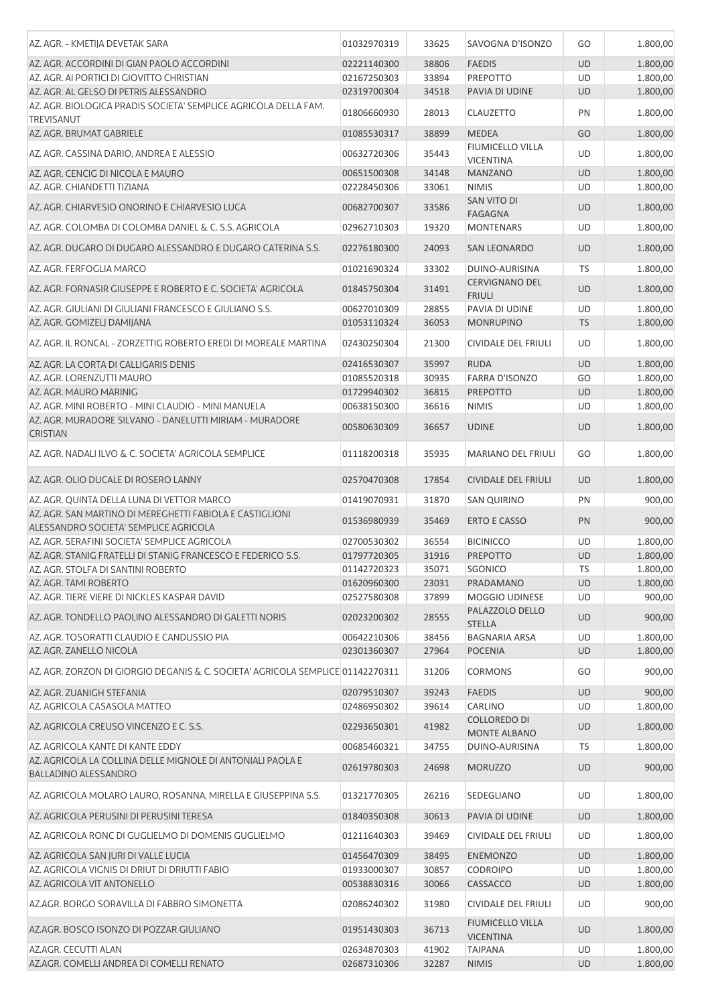| AZ. AGR. - KMETIJA DEVETAK SARA                                                                   | 01032970319 | 33625 | SAVOGNA D'ISONZO                            | GO        | 1.800,00 |
|---------------------------------------------------------------------------------------------------|-------------|-------|---------------------------------------------|-----------|----------|
| AZ. AGR. ACCORDINI DI GIAN PAOLO ACCORDINI                                                        | 02221140300 | 38806 | <b>FAEDIS</b>                               | UD        | 1.800,00 |
| AZ. AGR. AI PORTICI DI GIOVITTO CHRISTIAN                                                         |             |       |                                             |           |          |
|                                                                                                   | 02167250303 | 33894 | <b>PREPOTTO</b>                             | UD        | 1.800,00 |
| AZ. AGR. AL GELSO DI PETRIS ALESSANDRO                                                            | 02319700304 | 34518 | PAVIA DI UDINE                              | <b>UD</b> | 1.800,00 |
| AZ. AGR. BIOLOGICA PRADIS SOCIETA' SEMPLICE AGRICOLA DELLA FAM.<br><b>TREVISANUT</b>              | 01806660930 | 28013 | <b>CLAUZETTO</b>                            | PN        | 1.800,00 |
| AZ. AGR. BRUMAT GABRIELE                                                                          | 01085530317 | 38899 | <b>MEDEA</b>                                | GO        | 1.800,00 |
| AZ. AGR. CASSINA DARIO, ANDREA E ALESSIO                                                          | 00632720306 | 35443 | <b>FIUMICELLO VILLA</b><br><b>VICENTINA</b> | UD        | 1.800,00 |
| AZ. AGR. CENCIG DI NICOLA E MAURO                                                                 | 00651500308 | 34148 | <b>MANZANO</b>                              | UD        | 1.800,00 |
| AZ. AGR. CHIANDETTI TIZIANA                                                                       | 02228450306 | 33061 | <b>NIMIS</b>                                | UD        | 1.800,00 |
| AZ. AGR. CHIARVESIO ONORINO E CHIARVESIO LUCA                                                     | 00682700307 | 33586 | SAN VITO DI                                 | UD        | 1.800,00 |
| AZ. AGR. COLOMBA DI COLOMBA DANIEL & C. S.S. AGRICOLA                                             | 02962710303 | 19320 | <b>FAGAGNA</b><br><b>MONTENARS</b>          | UD        | 1.800,00 |
| AZ. AGR. DUGARO DI DUGARO ALESSANDRO E DUGARO CATERINA S.S.                                       | 02276180300 | 24093 | <b>SAN LEONARDO</b>                         | <b>UD</b> | 1.800,00 |
| AZ. AGR. FERFOGLIA MARCO                                                                          | 01021690324 | 33302 | DUINO-AURISINA                              | <b>TS</b> | 1.800,00 |
|                                                                                                   |             |       | <b>CERVIGNANO DEL</b>                       |           |          |
| AZ. AGR. FORNASIR GIUSEPPE E ROBERTO E C. SOCIETA' AGRICOLA                                       | 01845750304 | 31491 | <b>FRIULI</b>                               | UD        | 1.800,00 |
| AZ. AGR. GIULIANI DI GIULIANI FRANCESCO E GIULIANO S.S.                                           | 00627010309 | 28855 | PAVIA DI UDINE                              | UD        | 1.800,00 |
| AZ. AGR. GOMIZELJ DAMIJANA                                                                        | 01053110324 | 36053 | <b>MONRUPINO</b>                            | <b>TS</b> | 1.800,00 |
| AZ. AGR. IL RONCAL - ZORZETTIG ROBERTO EREDI DI MOREALE MARTINA                                   | 02430250304 | 21300 | <b>CIVIDALE DEL FRIULI</b>                  | UD        | 1.800,00 |
| AZ. AGR. LA CORTA DI CALLIGARIS DENIS                                                             | 02416530307 | 35997 | <b>RUDA</b>                                 | <b>UD</b> | 1.800,00 |
| AZ. AGR. LORENZUTTI MAURO                                                                         | 01085520318 | 30935 | <b>FARRA D'ISONZO</b>                       | GO        | 1.800,00 |
| AZ. AGR. MAURO MARINIG                                                                            | 01729940302 | 36815 | PREPOTTO                                    | <b>UD</b> | 1.800,00 |
| AZ. AGR. MINI ROBERTO - MINI CLAUDIO - MINI MANUELA                                               | 00638150300 | 36616 | <b>NIMIS</b>                                | UD        | 1.800,00 |
| AZ. AGR. MURADORE SILVANO - DANELUTTI MIRIAM - MURADORE                                           |             |       |                                             |           |          |
| <b>CRISTIAN</b>                                                                                   | 00580630309 | 36657 | <b>UDINE</b>                                | <b>UD</b> | 1.800,00 |
| AZ. AGR. NADALI ILVO & C. SOCIETA' AGRICOLA SEMPLICE                                              | 01118200318 | 35935 | <b>MARIANO DEL FRIULI</b>                   | GO        | 1.800,00 |
| AZ. AGR. OLIO DUCALE DI ROSERO LANNY                                                              | 02570470308 | 17854 | <b>CIVIDALE DEL FRIULI</b>                  | UD        | 1.800,00 |
| AZ. AGR. QUINTA DELLA LUNA DI VETTOR MARCO                                                        | 01419070931 | 31870 | <b>SAN QUIRINO</b>                          | PN        | 900,00   |
| AZ. AGR. SAN MARTINO DI MEREGHETTI FABIOLA E CASTIGLIONI<br>ALESSANDRO SOCIETA' SEMPLICE AGRICOLA | 01536980939 | 35469 | <b>ERTO E CASSO</b>                         | PN        | 900,00   |
| AZ. AGR. SERAFINI SOCIETA' SEMPLICE AGRICOLA                                                      | 02700530302 | 36554 | <b>BICINICCO</b>                            | UD        | 1.800,00 |
|                                                                                                   |             |       |                                             |           |          |
| AZ. AGR. STANIG FRATELLI DI STANIG FRANCESCO E FEDERICO S.S.                                      | 01797720305 | 31916 | <b>PREPOTTO</b>                             | UD        | 1.800,00 |
| AZ. AGR. STOLFA DI SANTINI ROBERTO                                                                | 01142720323 | 35071 | SGONICO                                     | TS        | 1.800,00 |
| AZ. AGR. TAMI ROBERTO                                                                             | 01620960300 | 23031 | PRADAMANO                                   | <b>UD</b> | 1.800,00 |
| AZ. AGR. TIERE VIERE DI NICKLES KASPAR DAVID                                                      | 02527580308 | 37899 | MOGGIO UDINESE                              | UD        | 900,00   |
| AZ. AGR. TONDELLO PAOLINO ALESSANDRO DI GALETTI NORIS                                             | 02023200302 | 28555 | PALAZZOLO DELLO<br><b>STELLA</b>            | <b>UD</b> | 900,00   |
| AZ. AGR. TOSORATTI CLAUDIO E CANDUSSIO PIA                                                        | 00642210306 | 38456 | <b>BAGNARIA ARSA</b>                        | UD        | 1.800,00 |
| AZ. AGR. ZANELLO NICOLA                                                                           | 02301360307 | 27964 | <b>POCENIA</b>                              | <b>UD</b> | 1.800,00 |
| AZ. AGR. ZORZON DI GIORGIO DEGANIS & C. SOCIETA' AGRICOLA SEMPLICE 01142270311                    |             | 31206 | <b>CORMONS</b>                              | GO        | 900,00   |
| AZ. AGR. ZUANIGH STEFANIA                                                                         | 02079510307 | 39243 | <b>FAEDIS</b>                               | UD        | 900,00   |
| AZ. AGRICOLA CASASOLA MATTEO                                                                      | 02486950302 | 39614 | <b>CARLINO</b>                              | UD        | 1.800,00 |
| AZ. AGRICOLA CREUSO VINCENZO E C. S.S.                                                            | 02293650301 | 41982 | <b>COLLOREDO DI</b>                         | UD        | 1.800,00 |
|                                                                                                   |             |       | MONTE ALBANO                                |           |          |
| AZ. AGRICOLA KANTE DI KANTE EDDY                                                                  | 00685460321 | 34755 | DUINO-AURISINA                              | TS        | 1.800,00 |
| AZ. AGRICOLA LA COLLINA DELLE MIGNOLE DI ANTONIALI PAOLA E<br>BALLADINO ALESSANDRO                | 02619780303 | 24698 | <b>MORUZZO</b>                              | <b>UD</b> | 900,00   |
| AZ. AGRICOLA MOLARO LAURO, ROSANNA, MIRELLA E GIUSEPPINA S.S.                                     | 01321770305 | 26216 | SEDEGLIANO                                  | UD        | 1.800,00 |
| AZ. AGRICOLA PERUSINI DI PERUSINI TERESA                                                          | 01840350308 | 30613 | PAVIA DI UDINE                              | <b>UD</b> | 1.800,00 |
| AZ. AGRICOLA RONC DI GUGLIELMO DI DOMENIS GUGLIELMO                                               | 01211640303 | 39469 | <b>CIVIDALE DEL FRIULI</b>                  | UD        | 1.800,00 |
| AZ. AGRICOLA SAN JURI DI VALLE LUCIA                                                              | 01456470309 | 38495 | <b>ENEMONZO</b>                             | UD        | 1.800,00 |
| AZ. AGRICOLA VIGNIS DI DRIUT DI DRIUTTI FABIO                                                     | 01933000307 | 30857 | <b>CODROIPO</b>                             | UD        | 1.800,00 |
| AZ. AGRICOLA VIT ANTONELLO                                                                        | 00538830316 | 30066 | CASSACCO                                    | UD        | 1.800,00 |
|                                                                                                   |             |       |                                             |           |          |
| AZ.AGR. BORGO SORAVILLA DI FABBRO SIMONETTA                                                       | 02086240302 | 31980 | CIVIDALE DEL FRIULI                         | UD        | 900,00   |
| AZ.AGR. BOSCO ISONZO DI POZZAR GIULIANO                                                           | 01951430303 | 36713 | <b>FIUMICELLO VILLA</b><br><b>VICENTINA</b> | <b>UD</b> | 1.800,00 |
| AZ.AGR. CECUTTI ALAN                                                                              | 02634870303 | 41902 | <b>TAIPANA</b>                              | <b>UD</b> | 1.800,00 |
| AZ.AGR. COMELLI ANDREA DI COMELLI RENATO                                                          | 02687310306 | 32287 | <b>NIMIS</b>                                | UD        | 1.800,00 |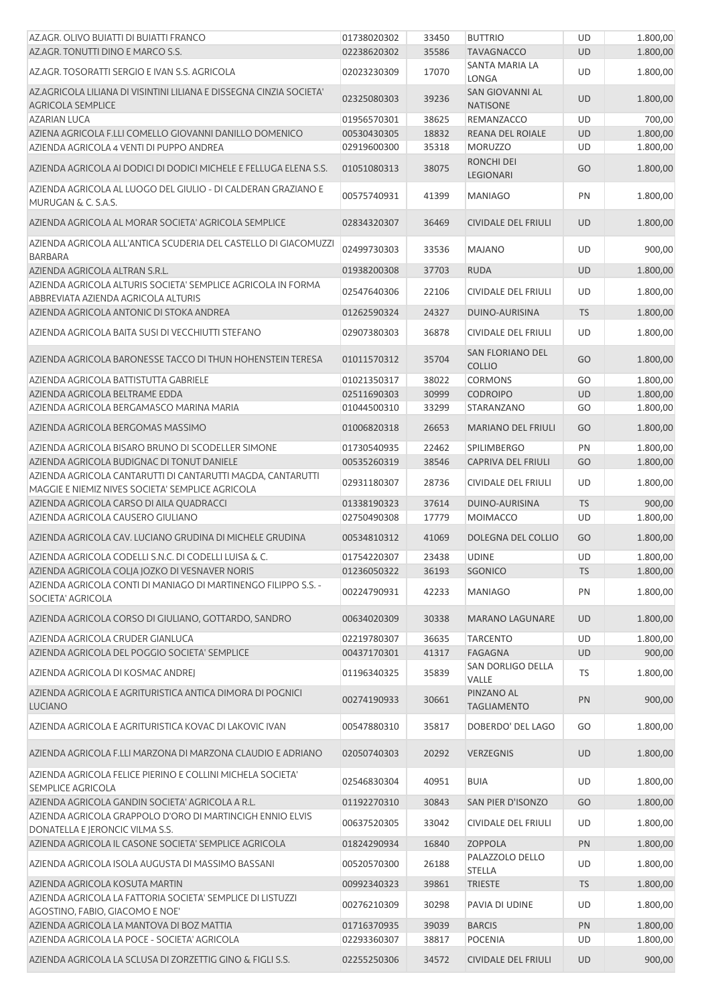| AZ.AGR. OLIVO BUIATTI DI BUIATTI FRANCO                                                                         | 01738020302                | 33450          | <b>BUTTRIO</b>                               | UD              | 1.800,00 |
|-----------------------------------------------------------------------------------------------------------------|----------------------------|----------------|----------------------------------------------|-----------------|----------|
| AZ.AGR. TONUTTI DINO E MARCO S.S.                                                                               | 02238620302                | 35586          | <b>TAVAGNACCO</b>                            | <b>UD</b>       | 1.800,00 |
| AZ.AGR. TOSORATTI SERGIO E IVAN S.S. AGRICOLA                                                                   | 02023230309                | 17070          | SANTA MARIA LA<br>LONGA                      | UD              | 1.800,00 |
| AZ.AGRICOLA LILIANA DI VISINTINI LILIANA E DISSEGNA CINZIA SOCIETA'<br><b>AGRICOLA SEMPLICE</b>                 | 02325080303                | 39236          | SAN GIOVANNI AL<br><b>NATISONE</b>           | <b>UD</b>       | 1.800,00 |
| <b>AZARIAN LUCA</b>                                                                                             | 01956570301                | 38625          | REMANZACCO                                   | UD              | 700,00   |
| AZIENA AGRICOLA F.LLI COMELLO GIOVANNI DANILLO DOMENICO                                                         | 00530430305                | 18832          | REANA DEL ROIALE                             | <b>UD</b>       | 1.800,00 |
| AZIENDA AGRICOLA 4 VENTI DI PUPPO ANDREA                                                                        | 02919600300                | 35318          | <b>MORUZZO</b>                               | UD              | 1.800,00 |
| AZIENDA AGRICOLA AI DODICI DI DODICI MICHELE E FELLUGA ELENA S.S.                                               | 01051080313                | 38075          | <b>RONCHI DEI</b><br>LEGIONARI               | GO              | 1.800,00 |
| AZIENDA AGRICOLA AL LUOGO DEL GIULIO - DI CALDERAN GRAZIANO E<br>MURUGAN & C. S.A.S.                            | 00575740931                | 41399          | <b>MANIAGO</b>                               | PN              | 1.800,00 |
| AZIENDA AGRICOLA AL MORAR SOCIETA' AGRICOLA SEMPLICE                                                            | 02834320307                | 36469          | <b>CIVIDALE DEL FRIULI</b>                   | <b>UD</b>       | 1.800,00 |
| AZIENDA AGRICOLA ALL'ANTICA SCUDERIA DEL CASTELLO DI GIACOMUZZI<br><b>BARBARA</b>                               | 02499730303                | 33536          | <b>MAJANO</b>                                | UD              | 900,00   |
| AZIENDA AGRICOLA ALTRAN S.R.L.                                                                                  | 01938200308                | 37703          | <b>RUDA</b>                                  | <b>UD</b>       | 1.800,00 |
| AZIENDA AGRICOLA ALTURIS SOCIETA' SEMPLICE AGRICOLA IN FORMA                                                    | 02547640306                | 22106          | <b>CIVIDALE DEL FRIULI</b>                   | UD              | 1.800,00 |
| ABBREVIATA AZIENDA AGRICOLA ALTURIS                                                                             |                            |                |                                              |                 | 1.800,00 |
| AZIENDA AGRICOLA ANTONIC DI STOKA ANDREA<br>AZIENDA AGRICOLA BAITA SUSI DI VECCHIUTTI STEFANO                   | 01262590324<br>02907380303 | 24327<br>36878 | DUINO-AURISINA<br><b>CIVIDALE DEL FRIULI</b> | <b>TS</b><br>UD | 1.800,00 |
|                                                                                                                 |                            |                |                                              |                 |          |
| AZIENDA AGRICOLA BARONESSE TACCO DI THUN HOHENSTEIN TERESA                                                      | 01011570312                | 35704          | SAN FLORIANO DEL<br><b>COLLIO</b>            | GO              | 1.800,00 |
| AZIENDA AGRICOLA BATTISTUTTA GABRIELE                                                                           | 01021350317                | 38022          | <b>CORMONS</b>                               | GO              | 1.800,00 |
| AZIENDA AGRICOLA BELTRAME EDDA                                                                                  | 02511690303                | 30999          | <b>CODROIPO</b>                              | <b>UD</b>       | 1.800,00 |
| AZIENDA AGRICOLA BERGAMASCO MARINA MARIA                                                                        | 01044500310                | 33299          | STARANZANO                                   | GO              | 1.800,00 |
| AZIENDA AGRICOLA BERGOMAS MASSIMO                                                                               | 01006820318                | 26653          | <b>MARIANO DEL FRIULI</b>                    | GO              | 1.800,00 |
| AZIENDA AGRICOLA BISARO BRUNO DI SCODELLER SIMONE                                                               | 01730540935                | 22462          | <b>SPILIMBERGO</b>                           | PN              | 1.800,00 |
| AZIENDA AGRICOLA BUDIGNAC DI TONUT DANIELE                                                                      | 00535260319                | 38546          | <b>CAPRIVA DEL FRIULI</b>                    | GO              | 1.800,00 |
| AZIENDA AGRICOLA CANTARUTTI DI CANTARUTTI MAGDA, CANTARUTTI<br>MAGGIE E NIEMIZ NIVES SOCIETA' SEMPLICE AGRICOLA | 02931180307                | 28736          | <b>CIVIDALE DEL FRIULI</b>                   | UD              | 1.800,00 |
| AZIENDA AGRICOLA CARSO DI AILA QUADRACCI                                                                        | 01338190323                | 37614          | DUINO-AURISINA                               | <b>TS</b>       | 900,00   |
| AZIENDA AGRICOLA CAUSERO GIULIANO                                                                               | 02750490308                | 17779          | <b>MOIMACCO</b>                              | UD              | 1.800,00 |
| AZIENDA AGRICOLA CAV. LUCIANO GRUDINA DI MICHELE GRUDINA                                                        | 00534810312                | 41069          | DOLEGNA DEL COLLIO                           | GO              | 1.800,00 |
| AZIENDA AGRICOLA CODELLI S.N.C. DI CODELLI LUISA & C.                                                           | 01754220307                | 23438          | <b>UDINE</b>                                 | UD              | 1.800,00 |
| AZIENDA AGRICOLA COLJA JOZKO DI VESNAVER NORIS                                                                  | 01236050322                | 36193          | SGONICO                                      | <b>TS</b>       | 1.800,00 |
| AZIENDA AGRICOLA CONTI DI MANIAGO DI MARTINENGO FILIPPO S.S. -<br>SOCIETA' AGRICOLA                             | 00224790931                | 42233          | <b>MANIAGO</b>                               | PN              | 1.800,00 |
| AZIENDA AGRICOLA CORSO DI GIULIANO, GOTTARDO, SANDRO                                                            | 00634020309                | 30338          | <b>MARANO LAGUNARE</b>                       | <b>UD</b>       | 1.800,00 |
| AZIENDA AGRICOLA CRUDER GIANLUCA                                                                                | 02219780307                | 36635          | <b>TARCENTO</b>                              | UD              | 1.800,00 |
| AZIENDA AGRICOLA DEL POGGIO SOCIETA' SEMPLICE                                                                   | 00437170301                | 41317          | <b>FAGAGNA</b>                               | <b>UD</b>       | 900,00   |
| AZIENDA AGRICOLA DI KOSMAC ANDREJ                                                                               | 01196340325                | 35839          | SAN DORLIGO DELLA<br>VALLE                   | TS              | 1.800,00 |
| AZIENDA AGRICOLA E AGRITURISTICA ANTICA DIMORA DI POGNICI<br><b>LUCIANO</b>                                     | 00274190933                | 30661          | PINZANO AL<br><b>TAGLIAMENTO</b>             | PN              | 900,00   |
| AZIENDA AGRICOLA E AGRITURISTICA KOVAC DI LAKOVIC IVAN                                                          | 00547880310                | 35817          | DOBERDO' DEL LAGO                            | GO              | 1.800,00 |
| AZIENDA AGRICOLA F.LLI MARZONA DI MARZONA CLAUDIO E ADRIANO                                                     | 02050740303                | 20292          | <b>VERZEGNIS</b>                             | UD              | 1.800,00 |
| AZIENDA AGRICOLA FELICE PIERINO E COLLINI MICHELA SOCIETA'<br>SEMPLICE AGRICOLA                                 | 02546830304                | 40951          | <b>BUIA</b>                                  | UD              | 1.800,00 |
| AZIENDA AGRICOLA GANDIN SOCIETA' AGRICOLA A R.L.                                                                | 01192270310                | 30843          | SAN PIER D'ISONZO                            | GO              | 1.800,00 |
| AZIENDA AGRICOLA GRAPPOLO D'ORO DI MARTINCIGH ENNIO ELVIS<br>DONATELLA E JERONCIC VILMA S.S.                    | 00637520305                | 33042          | <b>CIVIDALE DEL FRIULI</b>                   | UD              | 1.800,00 |
| AZIENDA AGRICOLA IL CASONE SOCIETA' SEMPLICE AGRICOLA                                                           | 01824290934                | 16840          | <b>ZOPPOLA</b>                               | PN              | 1.800,00 |
| AZIENDA AGRICOLA ISOLA AUGUSTA DI MASSIMO BASSANI                                                               | 00520570300                | 26188          | PALAZZOLO DELLO                              | UD              | 1.800,00 |
| AZIENDA AGRICOLA KOSUTA MARTIN                                                                                  | 00992340323                | 39861          | <b>STELLA</b><br><b>TRIESTE</b>              | <b>TS</b>       | 1.800,00 |
| AZIENDA AGRICOLA LA FATTORIA SOCIETA' SEMPLICE DI LISTUZZI                                                      | 00276210309                | 30298          |                                              |                 | 1.800,00 |
| AGOSTINO, FABIO, GIACOMO E NOE'<br>AZIENDA AGRICOLA LA MANTOVA DI BOZ MATTIA                                    | 01716370935                | 39039          | PAVIA DI UDINE<br><b>BARCIS</b>              | UD<br>PN        | 1.800,00 |
| AZIENDA AGRICOLA LA POCE - SOCIETA' AGRICOLA                                                                    | 02293360307                | 38817          | <b>POCENIA</b>                               | UD              | 1.800,00 |
|                                                                                                                 |                            |                |                                              |                 |          |
| AZIENDA AGRICOLA LA SCLUSA DI ZORZETTIG GINO & FIGLI S.S.                                                       | 02255250306                | 34572          | <b>CIVIDALE DEL FRIULI</b>                   | UD              | 900,00   |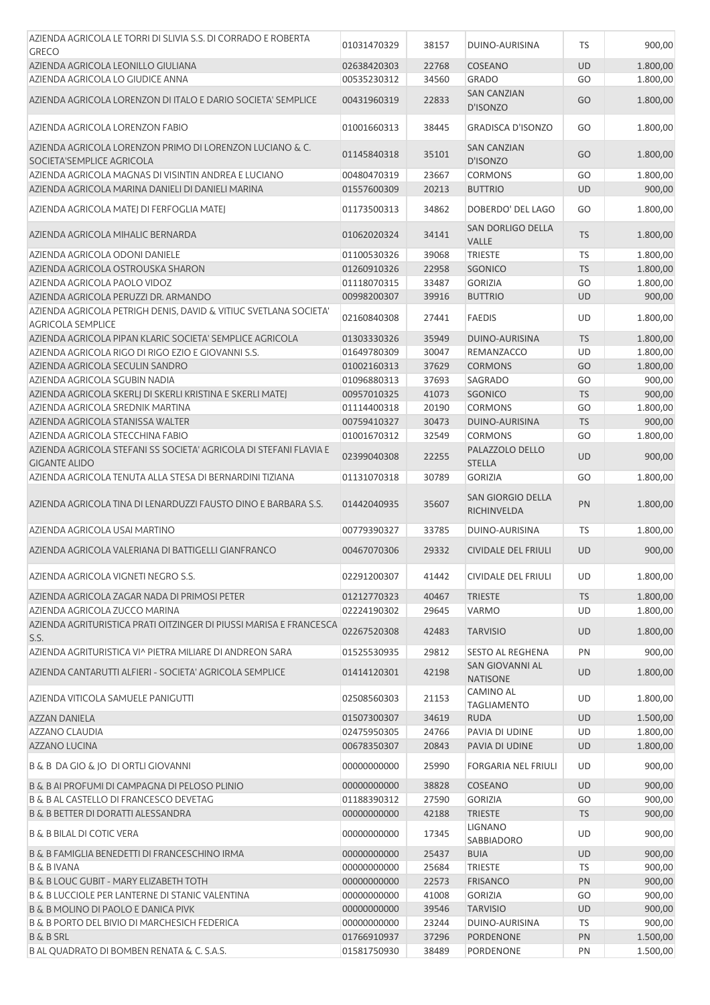| AZIENDA AGRICOLA LE TORRI DI SLIVIA S.S. DI CORRADO E ROBERTA                                |             |       |                                           |           |          |
|----------------------------------------------------------------------------------------------|-------------|-------|-------------------------------------------|-----------|----------|
| <b>GRECO</b>                                                                                 | 01031470329 | 38157 | DUINO-AURISINA                            | <b>TS</b> | 900,00   |
| AZIENDA AGRICOLA LEONILLO GIULIANA                                                           | 02638420303 | 22768 | <b>COSEANO</b>                            | <b>UD</b> | 1.800,00 |
| AZIENDA AGRICOLA LO GIUDICE ANNA                                                             | 00535230312 | 34560 | <b>GRADO</b>                              | GO        | 1.800,00 |
| AZIENDA AGRICOLA LORENZON DI ITALO E DARIO SOCIETA' SEMPLICE                                 | 00431960319 | 22833 | <b>SAN CANZIAN</b><br>D'ISONZO            | GO        | 1.800,00 |
| AZIENDA AGRICOLA LORENZON FABIO                                                              | 01001660313 | 38445 | <b>GRADISCA D'ISONZO</b>                  | GO        | 1.800,00 |
| AZIENDA AGRICOLA LORENZON PRIMO DI LORENZON LUCIANO & C.<br>SOCIETA'SEMPLICE AGRICOLA        | 01145840318 | 35101 | <b>SAN CANZIAN</b><br>D'ISONZO            | GO        | 1.800,00 |
| AZIENDA AGRICOLA MAGNAS DI VISINTIN ANDREA E LUCIANO                                         | 00480470319 | 23667 | <b>CORMONS</b>                            | GO        | 1.800,00 |
| AZIENDA AGRICOLA MARINA DANIELI DI DANIELI MARINA                                            | 01557600309 | 20213 | <b>BUTTRIO</b>                            | <b>UD</b> | 900,00   |
| AZIENDA AGRICOLA MATEJ DI FERFOGLIA MATEJ                                                    | 01173500313 | 34862 | DOBERDO' DEL LAGO                         | GO        | 1.800,00 |
| AZIENDA AGRICOLA MIHALIC BERNARDA                                                            | 01062020324 | 34141 | SAN DORLIGO DELLA<br><b>VALLE</b>         | <b>TS</b> | 1.800,00 |
| AZIENDA AGRICOLA ODONI DANIELE                                                               | 01100530326 | 39068 | <b>TRIESTE</b>                            | <b>TS</b> | 1.800,00 |
| AZIENDA AGRICOLA OSTROUSKA SHARON                                                            | 01260910326 | 22958 | SGONICO                                   | <b>TS</b> | 1.800,00 |
| AZIENDA AGRICOLA PAOLO VIDOZ                                                                 | 01118070315 | 33487 | <b>GORIZIA</b>                            | GO        | 1.800,00 |
| AZIENDA AGRICOLA PERUZZI DR. ARMANDO                                                         | 00998200307 | 39916 | <b>BUTTRIO</b>                            | <b>UD</b> | 900,00   |
| AZIENDA AGRICOLA PETRIGH DENIS, DAVID & VITIUC SVETLANA SOCIETA'<br><b>AGRICOLA SEMPLICE</b> | 02160840308 | 27441 | <b>FAEDIS</b>                             | <b>UD</b> | 1.800,00 |
| AZIENDA AGRICOLA PIPAN KLARIC SOCIETA' SEMPLICE AGRICOLA                                     | 01303330326 | 35949 | DUINO-AURISINA                            | <b>TS</b> | 1.800,00 |
| AZIENDA AGRICOLA RIGO DI RIGO EZIO E GIOVANNI S.S.                                           | 01649780309 | 30047 | REMANZACCO                                | UD        | 1.800,00 |
| AZIENDA AGRICOLA SECULIN SANDRO                                                              | 01002160313 | 37629 | <b>CORMONS</b>                            | GO        | 1.800,00 |
| AZIENDA AGRICOLA SGUBIN NADIA                                                                | 01096880313 | 37693 | SAGRADO                                   | GO        | 900,00   |
| AZIENDA AGRICOLA SKERLJ DI SKERLI KRISTINA E SKERLI MATEJ                                    | 00957010325 | 41073 | SGONICO                                   | <b>TS</b> | 900,00   |
| AZIENDA AGRICOLA SREDNIK MARTINA                                                             | 01114400318 | 20190 | <b>CORMONS</b>                            | GO        | 1.800,00 |
| AZIENDA AGRICOLA STANISSA WALTER                                                             | 00759410327 | 30473 | DUINO-AURISINA                            | <b>TS</b> | 900,00   |
| AZIENDA AGRICOLA STECCHINA FABIO                                                             | 01001670312 | 32549 | <b>CORMONS</b>                            | GO        | 1.800,00 |
| AZIENDA AGRICOLA STEFANI SS SOCIETA' AGRICOLA DI STEFANI FLAVIA E                            |             |       | PALAZZOLO DELLO                           |           |          |
| <b>GIGANTE ALIDO</b>                                                                         | 02399040308 | 22255 | <b>STELLA</b>                             | <b>UD</b> | 900,00   |
| AZIENDA AGRICOLA TENUTA ALLA STESA DI BERNARDINI TIZIANA                                     | 01131070318 | 30789 | <b>GORIZIA</b>                            | GO        | 1.800,00 |
| AZIENDA AGRICOLA TINA DI LENARDUZZI FAUSTO DINO E BARBARA S.S.                               | 01442040935 | 35607 | <b>SAN GIORGIO DELLA</b><br>RICHINVELDA   | PN        | 1.800,00 |
| AZIENDA AGRICOLA USAI MARTINO                                                                | 00779390327 | 33785 | DUINO-AURISINA                            | <b>TS</b> | 1.800,00 |
| AZIENDA AGRICOLA VALERIANA DI BATTIGELLI GIANFRANCO                                          | 00467070306 | 29332 | <b>CIVIDALE DEL FRIULI</b>                | <b>UD</b> | 900,00   |
| AZIENDA AGRICOLA VIGNETI NEGRO S.S.                                                          | 02291200307 | 41442 | CIVIDALE DEL FRIULI                       | UD        | 1.800,00 |
| AZIENDA AGRICOLA ZAGAR NADA DI PRIMOSI PETER                                                 | 01212770323 | 40467 | <b>TRIESTE</b>                            | <b>TS</b> | 1.800,00 |
| AZIENDA AGRICOLA ZUCCO MARINA                                                                | 02224190302 | 29645 | <b>VARMO</b>                              | UD        | 1.800,00 |
| AZIENDA AGRITURISTICA PRATI OITZINGER DI PIUSSI MARISA E FRANCESCA<br>S.S.                   | 02267520308 | 42483 | <b>TARVISIO</b>                           | UD        | 1.800,00 |
| AZIENDA AGRITURISTICA VI^ PIETRA MILIARE DI ANDREON SARA                                     | 01525530935 | 29812 | <b>SESTO AL REGHENA</b>                   | PN        | 900,00   |
| AZIENDA CANTARUTTI ALFIERI - SOCIETA' AGRICOLA SEMPLICE                                      | 01414120301 | 42198 | <b>SAN GIOVANNI AL</b><br><b>NATISONE</b> | <b>UD</b> | 1.800,00 |
| AZIENDA VITICOLA SAMUELE PANIGUTTI                                                           | 02508560303 | 21153 | CAMINO AL<br><b>TAGLIAMENTO</b>           | UD        | 1.800,00 |
| <b>AZZAN DANIELA</b>                                                                         | 01507300307 | 34619 | <b>RUDA</b>                               | <b>UD</b> | 1.500,00 |
| <b>AZZANO CLAUDIA</b>                                                                        | 02475950305 | 24766 | PAVIA DI UDINE                            | UD        | 1.800,00 |
| AZZANO LUCINA                                                                                | 00678350307 | 20843 | PAVIA DI UDINE                            | <b>UD</b> | 1.800,00 |
| <b>B &amp; B DA GIO &amp; JO DI ORTLI GIOVANNI</b>                                           | 00000000000 | 25990 | <b>FORGARIA NEL FRIULI</b>                | UD        | 900,00   |
| B & B AI PROFUMI DI CAMPAGNA DI PELOSO PLINIO                                                | 00000000000 | 38828 | COSEANO                                   | UD        | 900,00   |
| <b>B &amp; B AL CASTELLO DI FRANCESCO DEVETAG</b>                                            | 01188390312 | 27590 | <b>GORIZIA</b>                            | GO        | 900,00   |
| B & B BETTER DI DORATTI ALESSANDRA                                                           | 00000000000 | 42188 | <b>TRIESTE</b>                            | <b>TS</b> | 900,00   |
| <b>B &amp; B BILAL DI COTIC VERA</b>                                                         | 00000000000 | 17345 | LIGNANO<br>SABBIADORO                     | UD        | 900,00   |
| B & B FAMIGLIA BENEDETTI DI FRANCESCHINO IRMA                                                | 00000000000 | 25437 | <b>BUIA</b>                               | <b>UD</b> | 900,00   |
| <b>B &amp; B IVANA</b>                                                                       | 00000000000 | 25684 | <b>TRIESTE</b>                            | TS        | 900,00   |
| B & B LOUC GUBIT - MARY ELIZABETH TOTH                                                       | 00000000000 | 22573 | <b>FRISANCO</b>                           | PN        | 900,00   |
| <b>B &amp; B LUCCIOLE PER LANTERNE DI STANIC VALENTINA</b>                                   | 00000000000 | 41008 | <b>GORIZIA</b>                            | GO        | 900,00   |
| B & B MOLINO DI PAOLO E DANICA PIVK                                                          | 00000000000 | 39546 | <b>TARVISIO</b>                           | UD        | 900,00   |
| B & B PORTO DEL BIVIO DI MARCHESICH FEDERICA                                                 | 00000000000 | 23244 | DUINO-AURISINA                            | TS        | 900,00   |
| <b>B &amp; B SRL</b>                                                                         | 01766910937 | 37296 | PORDENONE                                 | PN        | 1.500,00 |
| B AL QUADRATO DI BOMBEN RENATA & C. S.A.S.                                                   | 01581750930 | 38489 | PORDENONE                                 | PN        | 1.500,00 |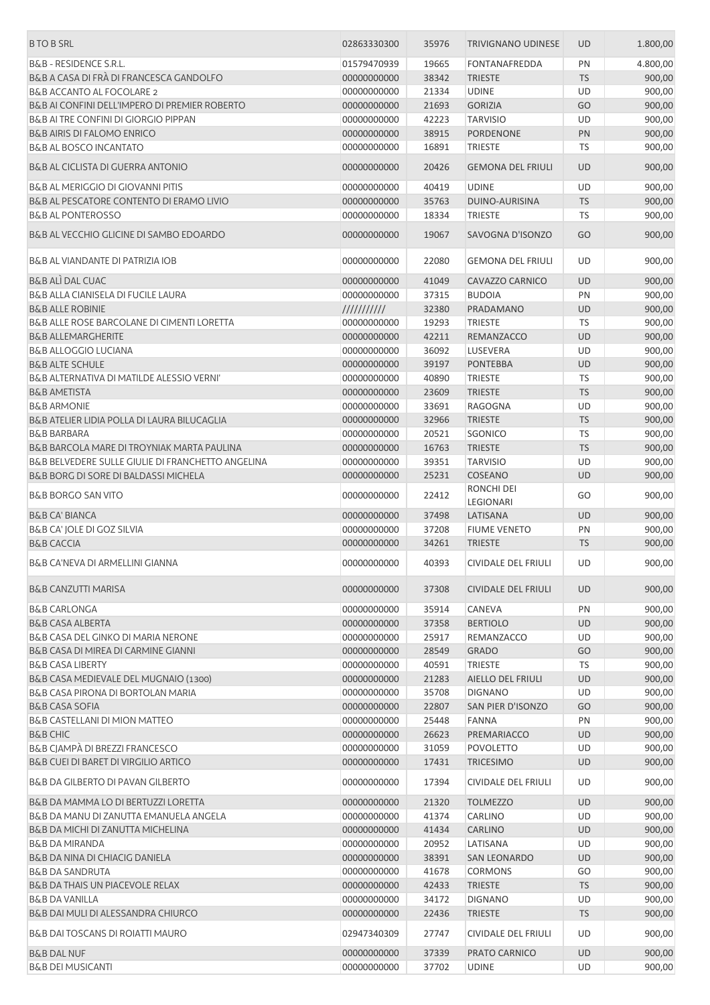| <b>B TO B SRL</b>                                                                    | 02863330300                | 35976          | <b>TRIVIGNANO UDINESE</b>               | <b>UD</b>              | 1.800,00         |
|--------------------------------------------------------------------------------------|----------------------------|----------------|-----------------------------------------|------------------------|------------------|
| <b>B&amp;B - RESIDENCE S.R.L.</b>                                                    | 01579470939                | 19665          | <b>FONTANAFREDDA</b>                    | PN                     | 4.800,00         |
| B&B A CASA DI FRÀ DI FRANCESCA GANDOLFO                                              | 00000000000                | 38342          | <b>TRIESTE</b>                          | <b>TS</b>              | 900,00           |
| B&B ACCANTO AL FOCOLARE 2                                                            | 00000000000                | 21334          | <b>UDINE</b>                            | UD                     | 900,00           |
| B&B AI CONFINI DELL'IMPERO DI PREMIER ROBERTO                                        | 00000000000                | 21693          | <b>GORIZIA</b>                          | GO                     | 900,00           |
| B&B AI TRE CONFINI DI GIORGIO PIPPAN                                                 | 00000000000                | 42223          | <b>TARVISIO</b>                         | UD                     | 900,00           |
| <b>B&amp;B AIRIS DI FALOMO ENRICO</b>                                                | 00000000000                | 38915          | <b>PORDENONE</b>                        | PN                     | 900,00           |
| <b>B&amp;B AL BOSCO INCANTATO</b>                                                    | 00000000000                | 16891          | <b>TRIESTE</b>                          | TS                     | 900,00           |
| B&B AL CICLISTA DI GUERRA ANTONIO                                                    | 00000000000                | 20426          | <b>GEMONA DEL FRIULI</b>                | <b>UD</b>              | 900,00           |
| B&B AL MERIGGIO DI GIOVANNI PITIS                                                    | 00000000000                | 40419          | <b>UDINE</b>                            | UD                     | 900,00           |
| B&B AL PESCATORE CONTENTO DI ERAMO LIVIO                                             | 00000000000                | 35763          | DUINO-AURISINA                          | <b>TS</b>              | 900,00           |
| <b>B&amp;B AL PONTEROSSO</b>                                                         | 00000000000                | 18334          | <b>TRIESTE</b>                          | <b>TS</b>              | 900,00           |
| B&B AL VECCHIO GLICINE DI SAMBO EDOARDO                                              | 00000000000                | 19067          | SAVOGNA D'ISONZO                        | GO                     | 900,00           |
| <b>B&amp;B AL VIANDANTE DI PATRIZIA IOB</b>                                          | 00000000000                | 22080          | <b>GEMONA DEL FRIULI</b>                | UD                     | 900,00           |
| <b>B&amp;B ALI DAL CUAC</b>                                                          | 00000000000                | 41049          | CAVAZZO CARNICO                         | <b>UD</b>              | 900,00           |
| B&B ALLA CIANISELA DI FUCILE LAURA                                                   | 00000000000                | 37315          | <b>BUDOIA</b>                           | PN                     | 900,00           |
| <b>B&amp;B ALLE ROBINIE</b>                                                          | $\frac{1}{1}$              | 32380          | PRADAMANO                               | UD                     | 900,00           |
| B&B ALLE ROSE BARCOLANE DI CIMENTI LORETTA                                           | 00000000000                | 19293          | <b>TRIESTE</b>                          | <b>TS</b>              | 900,00           |
| <b>B&amp;B ALLEMARGHERITE</b>                                                        | 00000000000                | 42211          | REMANZACCO                              | <b>UD</b>              | 900,00           |
| <b>B&amp;B ALLOGGIO LUCIANA</b>                                                      | 00000000000                | 36092          | <b>LUSEVERA</b>                         | UD                     | 900,00           |
| <b>B&amp;B ALTE SCHULE</b>                                                           | 00000000000                | 39197          | <b>PONTEBBA</b>                         | <b>UD</b>              | 900,00           |
| B&B ALTERNATIVA DI MATILDE ALESSIO VERNI'                                            | 00000000000                | 40890          | <b>TRIESTE</b>                          | TS                     | 900,00           |
| <b>B&amp;B AMETISTA</b>                                                              |                            | 23609          | <b>TRIESTE</b>                          | <b>TS</b>              |                  |
|                                                                                      | 00000000000                |                |                                         |                        | 900,00           |
| <b>B&amp;B ARMONIE</b>                                                               | 00000000000                | 33691          | RAGOGNA                                 | UD                     | 900,00           |
| B&B ATELIER LIDIA POLLA DI LAURA BILUCAGLIA                                          | 00000000000                | 32966          | <b>TRIESTE</b>                          | <b>TS</b>              | 900,00           |
| <b>B&amp;B BARBARA</b>                                                               | 00000000000                | 20521          | SGONICO                                 | <b>TS</b>              | 900,00           |
| B&B BARCOLA MARE DI TROYNIAK MARTA PAULINA                                           | 00000000000                | 16763          | <b>TRIESTE</b>                          | <b>TS</b>              | 900,00           |
| B&B BELVEDERE SULLE GIULIE DI FRANCHETTO ANGELINA                                    | 00000000000                | 39351          | <b>TARVISIO</b>                         | UD                     | 900,00           |
| <b>B&amp;B BORG DI SORE DI BALDASSI MICHELA</b>                                      | 00000000000                | 25231          | COSEANO                                 | <b>UD</b>              | 900,00           |
| <b>B&amp;B BORGO SAN VITO</b>                                                        | 00000000000                | 22412          | RONCHI DEI<br>LEGIONARI                 | GO                     | 900,00           |
| <b>B&amp;B CA' BIANCA</b>                                                            | 00000000000                | 37498          | LATISANA                                | <b>UD</b>              | 900,00           |
| B&B CA' JOLE DI GOZ SILVIA                                                           | 00000000000                | 37208          | <b>FIUME VENETO</b>                     | PN                     | 900,00           |
| <b>B&amp;B CACCIA</b>                                                                | 00000000000                | 34261          | <b>TRIESTE</b>                          | <b>TS</b>              | 900,00           |
| B&B CA'NEVA DI ARMELLINI GIANNA                                                      | 00000000000                | 40393          | CIVIDALE DEL FRIULI                     | UD                     | 900,00           |
| <b>B&amp;B CANZUTTI MARISA</b>                                                       | 00000000000                | 37308          | CIVIDALE DEL FRIULI                     | UD                     | 900,00           |
| <b>B&amp;B CARLONGA</b>                                                              | 00000000000                | 35914          | CANEVA                                  | PN                     | 900,00           |
| <b>B&amp;B CASA ALBERTA</b>                                                          | 00000000000                | 37358          | <b>BERTIOLO</b>                         | <b>UD</b>              | 900,00           |
| B&B CASA DEL GINKO DI MARIA NERONE                                                   | 00000000000                | 25917          | REMANZACCO                              | UD                     | 900,00           |
| B&B CASA DI MIREA DI CARMINE GIANNI                                                  | 00000000000                | 28549          | <b>GRADO</b>                            | GO                     | 900,00           |
| <b>B&amp;B CASA LIBERTY</b>                                                          | 00000000000                | 40591          | <b>TRIESTE</b>                          | TS                     | 900,00           |
| B&B CASA MEDIEVALE DEL MUGNAIO (1300)                                                | 00000000000                | 21283          | AIELLO DEL FRIULI                       | <b>UD</b>              | 900,00           |
| B&B CASA PIRONA DI BORTOLAN MARIA                                                    | 00000000000                | 35708          | <b>DIGNANO</b>                          | UD                     | 900,00           |
| <b>B&amp;B CASA SOFIA</b>                                                            | 00000000000                | 22807          | SAN PIER D'ISONZO                       | GO                     | 900,00           |
| B&B CASTELLANI DI MION MATTEO                                                        |                            | 25448          |                                         |                        |                  |
|                                                                                      | 00000000000                |                | FANNA                                   | PN                     | 900,00           |
| <b>B&amp;B CHIC</b>                                                                  | 00000000000                | 26623          | PREMARIACCO                             | <b>UD</b>              | 900,00           |
| B&B CJAMPÀ DI BREZZI FRANCESCO                                                       | 00000000000                | 31059          | <b>POVOLETTO</b>                        | <b>UD</b>              | 900,00           |
| B&B CUEI DI BARET DI VIRGILIO ARTICO<br><b>B&amp;B DA GILBERTO DI PAVAN GILBERTO</b> | 00000000000<br>00000000000 | 17431<br>17394 | <b>TRICESIMO</b><br>CIVIDALE DEL FRIULI | <b>UD</b><br><b>UD</b> | 900,00<br>900,00 |
|                                                                                      |                            |                |                                         |                        |                  |
| B&B DA MAMMA LO DI BERTUZZI LORETTA                                                  | 00000000000                | 21320          | <b>TOLMEZZO</b>                         | <b>UD</b><br><b>UD</b> | 900,00           |
| B&B DA MANU DI ZANUTTA EMANUELA ANGELA                                               | 00000000000                | 41374          | CARLINO                                 |                        | 900,00           |
| B&B DA MICHI DI ZANUTTA MICHELINA                                                    | 00000000000                | 41434          | CARLINO                                 | <b>UD</b>              | 900,00           |
| B&B DA MIRANDA                                                                       | 00000000000                | 20952          | LATISANA                                | UD                     | 900,00           |
| <b>B&amp;B DA NINA DI CHIACIG DANIELA</b>                                            | 00000000000                | 38391          | <b>SAN LEONARDO</b>                     | <b>UD</b>              | 900,00           |
| <b>B&amp;B DA SANDRUTA</b>                                                           | 00000000000                | 41678          | <b>CORMONS</b>                          | GO                     | 900,00           |
| <b>B&amp;B DA THAIS UN PIACEVOLE RELAX</b>                                           | 00000000000                | 42433          | <b>TRIESTE</b>                          | <b>TS</b>              | 900,00           |
| <b>B&amp;B DA VANILLA</b>                                                            | 00000000000                | 34172          | <b>DIGNANO</b>                          | UD                     | 900,00           |
| B&B DAI MULI DI ALESSANDRA CHIURCO                                                   | 00000000000                | 22436          | <b>TRIESTE</b>                          | <b>TS</b>              | 900,00           |
| B&B DAI TOSCANS DI ROIATTI MAURO                                                     | 02947340309                | 27747          | CIVIDALE DEL FRIULI                     | UD                     | 900,00           |
| <b>B&amp;B DAL NUF</b>                                                               | 00000000000                | 37339          | PRATO CARNICO                           | <b>UD</b>              | 900,00           |
| <b>B&amp;B DEI MUSICANTI</b>                                                         | 00000000000                | 37702          | <b>UDINE</b>                            | UD                     | 900,00           |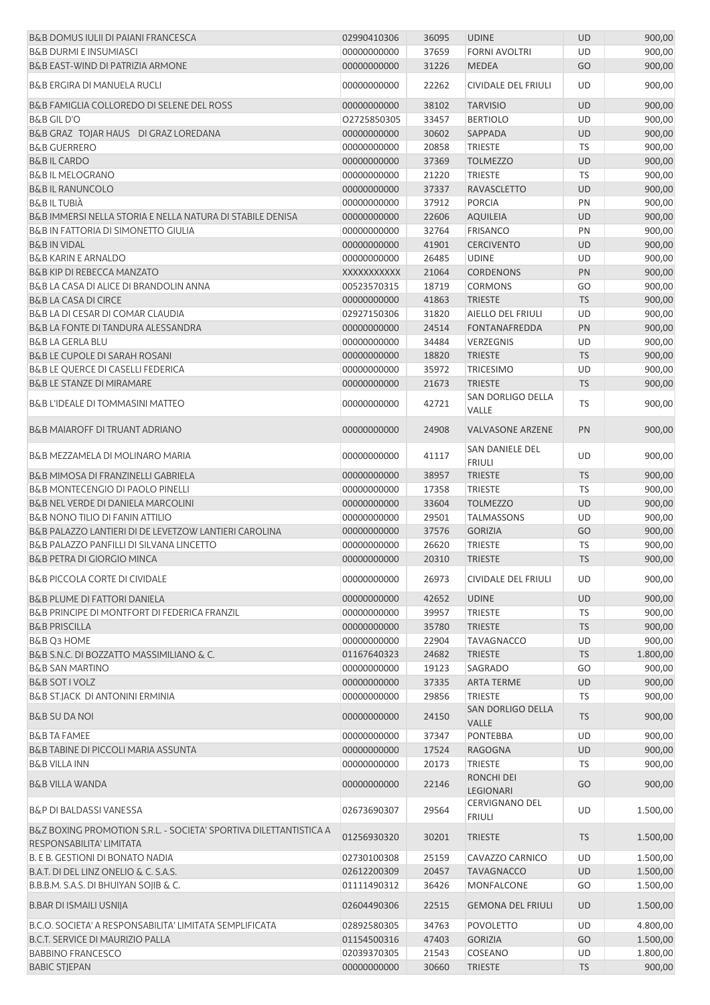| B&B DOMUS IULII DI PAIANI FRANCESCA                                                                | 02990410306                | 36095          | <b>UDINE</b>                       | <b>UD</b>  | 900,00               |
|----------------------------------------------------------------------------------------------------|----------------------------|----------------|------------------------------------|------------|----------------------|
| <b>B&amp;B DURMI E INSUMIASCI</b>                                                                  | 00000000000                | 37659          | <b>FORNI AVOLTRI</b>               | UD         | 900,00               |
| B&B EAST-WIND DI PATRIZIA ARMONE                                                                   | 00000000000                | 31226          | <b>MEDEA</b>                       | GO         | 900,00               |
| <b>B&amp;B ERGIRA DI MANUELA RUCLI</b>                                                             | 00000000000                | 22262          | <b>CIVIDALE DEL FRIULI</b>         | UD         | 900,00               |
| B&B FAMIGLIA COLLOREDO DI SELENE DEL ROSS                                                          | 00000000000                | 38102          | <b>TARVISIO</b>                    | <b>UD</b>  | 900,00               |
| <b>B&amp;B GIL D'O</b>                                                                             | 02725850305                | 33457          | <b>BERTIOLO</b>                    | UD         | 900,00               |
| B&B GRAZ TOJAR HAUS DI GRAZ LOREDANA                                                               | 00000000000                | 30602          | SAPPADA                            | UD         | 900,00               |
| <b>B&amp;B GUERRERO</b>                                                                            | 00000000000                | 20858          | <b>TRIESTE</b>                     | <b>TS</b>  | 900,00               |
| <b>B&amp;BIL CARDO</b>                                                                             | 00000000000                | 37369          | <b>TOLMEZZO</b>                    | UD         | 900,00               |
| <b>B&amp;B IL MELOGRANO</b>                                                                        | 00000000000                | 21220          | <b>TRIESTE</b>                     | <b>TS</b>  | 900,00               |
| <b>B&amp;B IL RANUNCOLO</b>                                                                        | 00000000000                | 37337          | <b>RAVASCLETTO</b>                 | <b>UD</b>  | 900,00               |
| <b>B&amp;BILTUBIÀ</b>                                                                              | 00000000000                | 37912          | <b>PORCIA</b>                      | PN         | 900,00               |
| B&B IMMERSI NELLA STORIA E NELLA NATURA DI STABILE DENISA                                          | 00000000000                | 22606          | <b>AQUILEIA</b>                    | <b>UD</b>  | 900,00               |
| <b>B&amp;B IN FATTORIA DI SIMONETTO GIULIA</b>                                                     | 00000000000                | 32764          | <b>FRISANCO</b>                    | PN         | 900,00               |
| <b>B&amp;B IN VIDAL</b>                                                                            | 00000000000                | 41901          | <b>CERCIVENTO</b>                  | <b>UD</b>  | 900,00               |
| <b>B&amp;B KARIN E ARNALDO</b>                                                                     | 00000000000                | 26485          | <b>UDINE</b>                       | UD         | 900,00               |
| <b>B&amp;B KIP DI REBECCA MANZATO</b>                                                              | XXXXXXXXXXX                | 21064          | <b>CORDENONS</b>                   | PN         | 900,00               |
| B&B LA CASA DI ALICE DI BRANDOLIN ANNA                                                             | 00523570315                | 18719          | <b>CORMONS</b>                     | GO         | 900,00               |
| <b>B&amp;B LA CASA DI CIRCE</b>                                                                    | 00000000000                | 41863          | <b>TRIESTE</b>                     | <b>TS</b>  | 900,00               |
| B&B LA DI CESAR DI COMAR CLAUDIA                                                                   | 02927150306                | 31820          | AIELLO DEL FRIULI                  | UD         | 900,00               |
| B&B LA FONTE DI TANDURA ALESSANDRA                                                                 | 00000000000                | 24514          | <b>FONTANAFREDDA</b>               | PN         | 900,00               |
| <b>B&amp;B LA GERLA BLU</b>                                                                        | 00000000000                | 34484          | VERZEGNIS                          | UD         | 900,00               |
| <b>B&amp;B LE CUPOLE DI SARAH ROSANI</b>                                                           | 00000000000                | 18820          | <b>TRIESTE</b>                     | <b>TS</b>  | 900,00               |
| <b>B&amp;B LE QUERCE DI CASELLI FEDERICA</b>                                                       | 00000000000                | 35972          | <b>TRICESIMO</b>                   | UD         | 900,00               |
| <b>B&amp;B LE STANZE DI MIRAMARE</b>                                                               | 00000000000                | 21673          | <b>TRIESTE</b>                     | <b>TS</b>  | 900,00               |
| B&B L'IDEALE DI TOMMASINI MATTEO                                                                   | 00000000000                | 42721          | SAN DORLIGO DELLA                  | TS         | 900,00               |
| <b>B&amp;B MAIAROFF DI TRUANT ADRIANO</b>                                                          | 00000000000                | 24908          | VALLE<br><b>VALVASONE ARZENE</b>   | PN         | 900,00               |
| B&B MEZZAMELA DI MOLINARO MARIA                                                                    | 00000000000                | 41117          | SAN DANIELE DEL                    | UD         | 900,00               |
|                                                                                                    |                            |                | <b>FRIULI</b>                      |            |                      |
| <b>B&amp;B MIMOSA DI FRANZINELLI GABRIELA</b>                                                      | 00000000000                | 38957          | <b>TRIESTE</b>                     | <b>TS</b>  | 900,00               |
| <b>B&amp;B MONTECENGIO DI PAOLO PINELLI</b>                                                        | 00000000000                | 17358          | <b>TRIESTE</b>                     | TS         | 900,00               |
| <b>B&amp;B NEL VERDE DI DANIELA MARCOLINI</b>                                                      | 00000000000                | 33604          | <b>TOLMEZZO</b>                    | <b>UD</b>  | 900,00               |
| <b>B&amp;B NONO TILIO DI FANIN ATTILIO</b>                                                         | 00000000000                | 29501          | <b>TALMASSONS</b>                  | UD         | 900,00               |
| B&B PALAZZO LANTIERI DI DE LEVETZOW LANTIERI CAROLINA                                              | 00000000000                | 37576          | <b>GORIZIA</b>                     | GO         | 900,00               |
| B&B PALAZZO PANFILLI DI SILVANA LINCETTO                                                           | 00000000000                | 26620          | <b>TRIESTE</b>                     | TS         | 900,00               |
| <b>B&amp;B PETRA DI GIORGIO MINCA</b>                                                              | 00000000000                | 20310          | <b>TRIESTE</b>                     | <b>TS</b>  | 900,00               |
| <b>B&amp;B PICCOLA CORTE DI CIVIDALE</b>                                                           | 00000000000                | 26973          | CIVIDALE DEL FRIULI                | UD         | 900,00               |
| <b>B&amp;B PLUME DI FATTORI DANIELA</b>                                                            | 00000000000                | 42652          | <b>UDINE</b>                       | UD         | 900,00               |
| B&B PRINCIPE DI MONTFORT DI FEDERICA FRANZIL                                                       | 00000000000                | 39957          | TRIESTE                            | TS         | 900,00               |
| <b>B&amp;B PRISCILLA</b>                                                                           | 00000000000                | 35780          | <b>TRIESTE</b>                     | <b>TS</b>  | 900,00               |
| B&B Q3 HOME                                                                                        | 00000000000                | 22904          | <b>TAVAGNACCO</b>                  | UD         | 900,00               |
| B&B S.N.C. DI BOZZATTO MASSIMILIANO & C.                                                           | 01167640323                | 24682          | <b>TRIESTE</b>                     | <b>TS</b>  | 1.800,00             |
| <b>B&amp;B SAN MARTINO</b>                                                                         | 00000000000                | 19123          | SAGRADO                            | GO         | 900,00               |
| <b>B&amp;B SOT I VOLZ</b>                                                                          | 00000000000                | 37335          | <b>ARTA TERME</b>                  | UD         | 900,00               |
| B&B ST.JACK DI ANTONINI ERMINIA                                                                    | 00000000000                | 29856          | <b>TRIESTE</b>                     | <b>TS</b>  | 900,00               |
| <b>B&amp;B SU DA NOI</b>                                                                           | 00000000000                | 24150          | SAN DORLIGO DELLA<br>VALLE         | <b>TS</b>  | 900,00               |
| <b>B&amp;B TA FAMEE</b>                                                                            | 00000000000                | 37347          | <b>PONTEBBA</b>                    | UD         | 900,00               |
| <b>B&amp;B TABINE DI PICCOLI MARIA ASSUNTA</b>                                                     | 00000000000                | 17524          | <b>RAGOGNA</b>                     | UD         | 900,00               |
| <b>B&amp;B VILLA INN</b>                                                                           | 00000000000                | 20173          | <b>TRIESTE</b>                     | TS         | 900,00               |
| <b>B&amp;B VILLA WANDA</b>                                                                         | 00000000000                | 22146          | RONCHI DEI<br>LEGIONARI            | GO         | 900,00               |
| <b>B&amp;P DI BALDASSI VANESSA</b>                                                                 | 02673690307                | 29564          | CERVIGNANO DEL<br><b>FRIULI</b>    | UD         | 1.500,00             |
| B&Z BOXING PROMOTION S.R.L. - SOCIETA' SPORTIVA DILETTANTISTICA A<br>RESPONSABILITA' LIMITATA      | 01256930320                | 30201          | <b>TRIESTE</b>                     | <b>TS</b>  | 1.500,00             |
| B. E B. GESTIONI DI BONATO NADIA                                                                   | 02730100308                | 25159          | CAVAZZO CARNICO                    | UD         | 1.500,00             |
| B.A.T. DI DEL LINZ ONELIO & C. S.A.S.                                                              | 02612200309                | 20457          | <b>TAVAGNACCO</b>                  | UD         | 1.500,00             |
| B.B.B.M. S.A.S. DI BHUIYAN SOJIB & C.                                                              | 01111490312                | 36426          | MONFALCONE                         | GO         | 1.500,00             |
| <b>B.BAR DI ISMAILI USNIJA</b>                                                                     | 02604490306                | 22515          | <b>GEMONA DEL FRIULI</b>           | <b>UD</b>  | 1.500,00             |
|                                                                                                    |                            |                |                                    |            |                      |
| B.C.O. SOCIETA' A RESPONSABILITA' LIMITATA SEMPLIFICATA<br><b>B.C.T. SERVICE DI MAURIZIO PALLA</b> | 02892580305<br>01154500316 | 34763<br>47403 | <b>POVOLETTO</b><br><b>GORIZIA</b> | UD<br>GO   | 4.800,00<br>1.500,00 |
| <b>BABBINO FRANCESCO</b>                                                                           | 02039370305                | 21543          | COSEANO                            | UD         | 1.800,00             |
| <b>BABIC STJEPAN</b>                                                                               | 00000000000                | 30660          | TRIESTE                            | ${\sf TS}$ | 900,00               |
|                                                                                                    |                            |                |                                    |            |                      |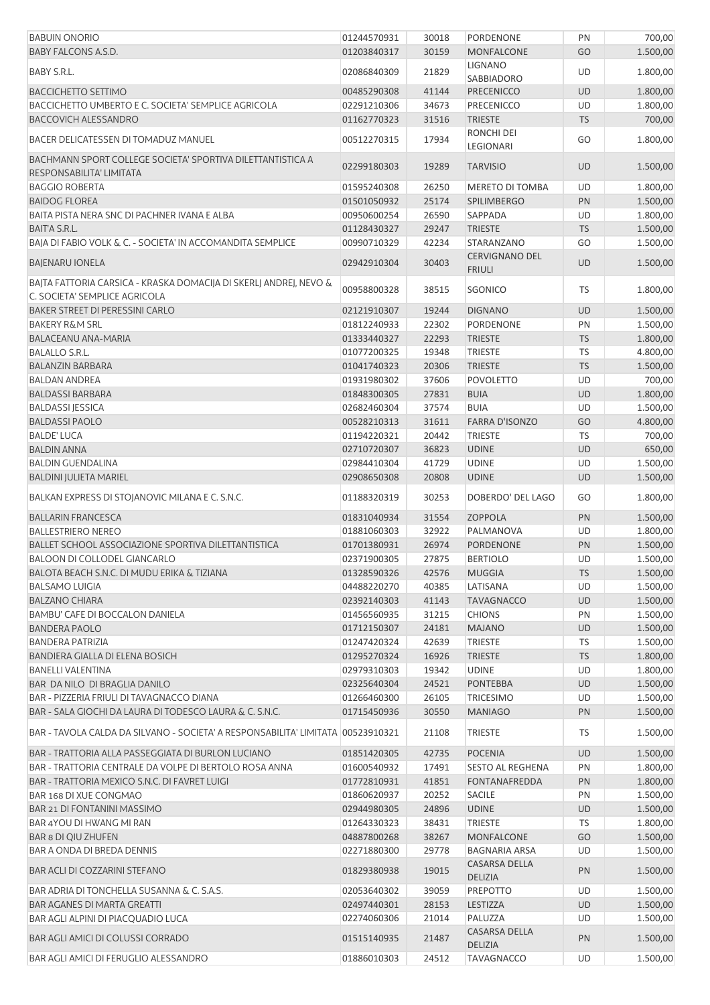| <b>BABUIN ONORIO</b>                                                                               | 01244570931 | 30018 | PORDENONE                              | PN        | 700,00   |
|----------------------------------------------------------------------------------------------------|-------------|-------|----------------------------------------|-----------|----------|
| <b>BABY FALCONS A.S.D.</b>                                                                         | 01203840317 | 30159 | <b>MONFALCONE</b>                      | GO        | 1.500,00 |
| BABY S.R.L.                                                                                        | 02086840309 | 21829 | <b>LIGNANO</b><br>SABBIADORO           | UD        | 1.800,00 |
| <b>BACCICHETTO SETTIMO</b>                                                                         | 00485290308 | 41144 | <b>PRECENICCO</b>                      | UD        | 1.800,00 |
| BACCICHETTO UMBERTO E C. SOCIETA' SEMPLICE AGRICOLA                                                | 02291210306 | 34673 | <b>PRECENICCO</b>                      | UD        | 1.800,00 |
| <b>BACCOVICH ALESSANDRO</b>                                                                        | 01162770323 | 31516 | <b>TRIESTE</b>                         | <b>TS</b> | 700,00   |
| BACER DELICATESSEN DI TOMADUZ MANUEL                                                               | 00512270315 | 17934 | RONCHI DEI                             | GO        | 1.800,00 |
| BACHMANN SPORT COLLEGE SOCIETA' SPORTIVA DILETTANTISTICA A                                         |             |       | LEGIONARI                              |           |          |
| RESPONSABILITA' LIMITATA                                                                           | 02299180303 | 19289 | <b>TARVISIO</b>                        | UD        | 1.500,00 |
| <b>BAGGIO ROBERTA</b>                                                                              | 01595240308 | 26250 | MERETO DI TOMBA                        | UD        | 1.800,00 |
| <b>BAIDOG FLOREA</b>                                                                               | 01501050932 | 25174 | <b>SPILIMBERGO</b>                     | PN        | 1.500,00 |
| BAITA PISTA NERA SNC DI PACHNER IVANA E ALBA                                                       | 00950600254 | 26590 | SAPPADA                                | UD        | 1.800,00 |
| BAIT'A S.R.L.                                                                                      | 01128430327 | 29247 | <b>TRIESTE</b>                         | <b>TS</b> | 1.500,00 |
| BAJA DI FABIO VOLK & C. - SOCIETA' IN ACCOMANDITA SEMPLICE                                         | 00990710329 | 42234 | STARANZANO                             | GO        | 1.500,00 |
| <b>BAJENARU IONELA</b>                                                                             | 02942910304 | 30403 | <b>CERVIGNANO DEL</b><br><b>FRIULI</b> | UD        | 1.500,00 |
| BAJTA FATTORIA CARSICA - KRASKA DOMACIJA DI SKERLJ ANDREJ, NEVO &<br>C. SOCIETA' SEMPLICE AGRICOLA | 00958800328 | 38515 | <b>SGONICO</b>                         | <b>TS</b> | 1.800,00 |
| <b>BAKER STREET DI PERESSINI CARLO</b>                                                             | 02121910307 | 19244 | <b>DIGNANO</b>                         | UD        | 1.500,00 |
| <b>BAKERY R&amp;M SRL</b>                                                                          | 01812240933 | 22302 | PORDENONE                              | PN        | 1.500,00 |
| <b>BALACEANU ANA-MARIA</b>                                                                         | 01333440327 | 22293 | <b>TRIESTE</b>                         | <b>TS</b> | 1.800,00 |
| <b>BALALLO S.R.L.</b>                                                                              | 01077200325 | 19348 | <b>TRIESTE</b>                         | TS        | 4.800,00 |
| <b>BALANZIN BARBARA</b>                                                                            | 01041740323 | 20306 | <b>TRIESTE</b>                         | <b>TS</b> | 1.500,00 |
| <b>BALDAN ANDREA</b>                                                                               | 01931980302 | 37606 | <b>POVOLETTO</b>                       | UD        | 700,00   |
| <b>BALDASSI BARBARA</b>                                                                            | 01848300305 | 27831 | <b>BUIA</b>                            | UD        | 1.800,00 |
| <b>BALDASSI JESSICA</b>                                                                            | 02682460304 | 37574 | <b>BUIA</b>                            | UD        | 1.500,00 |
| <b>BALDASSI PAOLO</b>                                                                              | 00528210313 | 31611 | <b>FARRA D'ISONZO</b>                  | GO        | 4.800,00 |
| <b>BALDE' LUCA</b>                                                                                 | 01194220321 | 20442 | <b>TRIESTE</b>                         | TS        | 700,00   |
| <b>BALDIN ANNA</b>                                                                                 | 02710720307 | 36823 | <b>UDINE</b>                           | UD        | 650,00   |
| <b>BALDIN GUENDALINA</b>                                                                           | 02984410304 | 41729 | <b>UDINE</b>                           | UD        | 1.500,00 |
| <b>BALDINI JULIETA MARIEL</b>                                                                      | 02908650308 | 20808 | <b>UDINE</b>                           | <b>UD</b> | 1.500,00 |
| BALKAN EXPRESS DI STOJANOVIC MILANA E C. S.N.C.                                                    | 01188320319 | 30253 | DOBERDO' DEL LAGO                      | GO        | 1.800,00 |
| <b>BALLARIN FRANCESCA</b>                                                                          | 01831040934 | 31554 | <b>ZOPPOLA</b>                         | PN        | 1.500,00 |
| <b>BALLESTRIERO NEREO</b>                                                                          | 01881060303 | 32922 | PALMANOVA                              | UD        | 1.800,00 |
| <b>BALLET SCHOOL ASSOCIAZIONE SPORTIVA DILETTANTISTICA</b>                                         | 01701380931 | 26974 | PORDENONE                              | PN        | 1.500,00 |
| BALOON DI COLLODEL GIANCARLO                                                                       | 02371900305 | 27875 | <b>BERTIOLO</b>                        | UD        | 1.500,00 |
| BALOTA BEACH S.N.C. DI MUDU ERIKA & TIZIANA                                                        | 01328590326 | 42576 | <b>MUGGIA</b>                          | <b>TS</b> | 1.500,00 |
| <b>BALSAMO LUIGIA</b>                                                                              | 04488220270 | 40385 | LATISANA                               | UD        | 1.500,00 |
| <b>BALZANO CHIARA</b>                                                                              | 02392140303 | 41143 | <b>TAVAGNACCO</b>                      | UD        | 1.500,00 |
| BAMBU' CAFE DI BOCCALON DANIELA                                                                    | 01456560935 | 31215 | <b>CHIONS</b>                          | PN        | 1.500,00 |
| <b>BANDERA PAOLO</b>                                                                               | 01712150307 | 24181 | <b>MAJANO</b>                          | UD        | 1.500,00 |
| <b>BANDERA PATRIZIA</b>                                                                            | 01247420324 | 42639 | <b>TRIESTE</b>                         | <b>TS</b> | 1.500,00 |
| BANDIERA GIALLA DI ELENA BOSICH                                                                    | 01295270324 | 16926 | <b>TRIESTE</b>                         | <b>TS</b> | 1.800,00 |
| <b>BANELLI VALENTINA</b>                                                                           | 02979310303 | 19342 | <b>UDINE</b>                           | UD        | 1.800,00 |
| <b>BAR DA NILO DI BRAGLIA DANILO</b>                                                               | 02325640304 | 24521 | <b>PONTEBBA</b>                        | <b>UD</b> | 1.500,00 |
| BAR - PIZZERIA FRIULI DI TAVAGNACCO DIANA                                                          | 01266460300 | 26105 | <b>TRICESIMO</b>                       | UD        | 1.500,00 |
| BAR - SALA GIOCHI DA LAURA DI TODESCO LAURA & C. S.N.C.                                            | 01715450936 | 30550 | <b>MANIAGO</b>                         | PN        | 1.500,00 |
| BAR - TAVOLA CALDA DA SILVANO - SOCIETA' A RESPONSABILITA' LIMITATA 00523910321                    |             | 21108 | <b>TRIESTE</b>                         | TS        | 1.500,00 |
| BAR - TRATTORIA ALLA PASSEGGIATA DI BURLON LUCIANO                                                 | 01851420305 | 42735 | <b>POCENIA</b>                         | UD        | 1.500,00 |
| BAR - TRATTORIA CENTRALE DA VOLPE DI BERTOLO ROSA ANNA                                             | 01600540932 | 17491 | <b>SESTO AL REGHENA</b>                | PN        | 1.800,00 |
| BAR - TRATTORIA MEXICO S.N.C. DI FAVRET LUIGI                                                      | 01772810931 | 41851 | <b>FONTANAFREDDA</b>                   | PN        | 1.800,00 |
| BAR 168 DI XUE CONGMAO                                                                             | 01860620937 | 20252 | SACILE                                 | PN        | 1.500,00 |
| BAR 21 DI FONTANINI MASSIMO                                                                        | 02944980305 | 24896 | <b>UDINE</b>                           | UD        | 1.500,00 |
| BAR 4YOU DI HWANG MI RAN                                                                           | 01264330323 | 38431 | TRIESTE                                | TS        | 1.800,00 |
| <b>BAR 8 DI QIU ZHUFEN</b>                                                                         | 04887800268 | 38267 | <b>MONFALCONE</b>                      | GO        | 1.500,00 |
| BAR A ONDA DI BREDA DENNIS                                                                         | 02271880300 | 29778 | <b>BAGNARIA ARSA</b>                   | UD        | 1.500,00 |
| <b>BAR ACLI DI COZZARINI STEFANO</b>                                                               | 01829380938 | 19015 | <b>CASARSA DELLA</b>                   | PN        | 1.500,00 |
| BAR ADRIA DI TONCHELLA SUSANNA & C. S.A.S.                                                         | 02053640302 | 39059 | <b>DELIZIA</b><br>PREPOTTO             | UD        | 1.500,00 |
| <b>BAR AGANES DI MARTA GREATTI</b>                                                                 |             | 28153 |                                        |           |          |
|                                                                                                    | 02497440301 |       | LESTIZZA                               | UD        | 1.500,00 |
| BAR AGLI ALPINI DI PIACQUADIO LUCA                                                                 | 02274060306 | 21014 | PALUZZA<br>CASARSA DELLA               | UD        | 1.500,00 |
| BAR AGLI AMICI DI COLUSSI CORRADO                                                                  | 01515140935 | 21487 | <b>DELIZIA</b>                         | PN        | 1.500,00 |
| BAR AGLI AMICI DI FERUGLIO ALESSANDRO                                                              | 01886010303 | 24512 | <b>TAVAGNACCO</b>                      | UD        | 1.500,00 |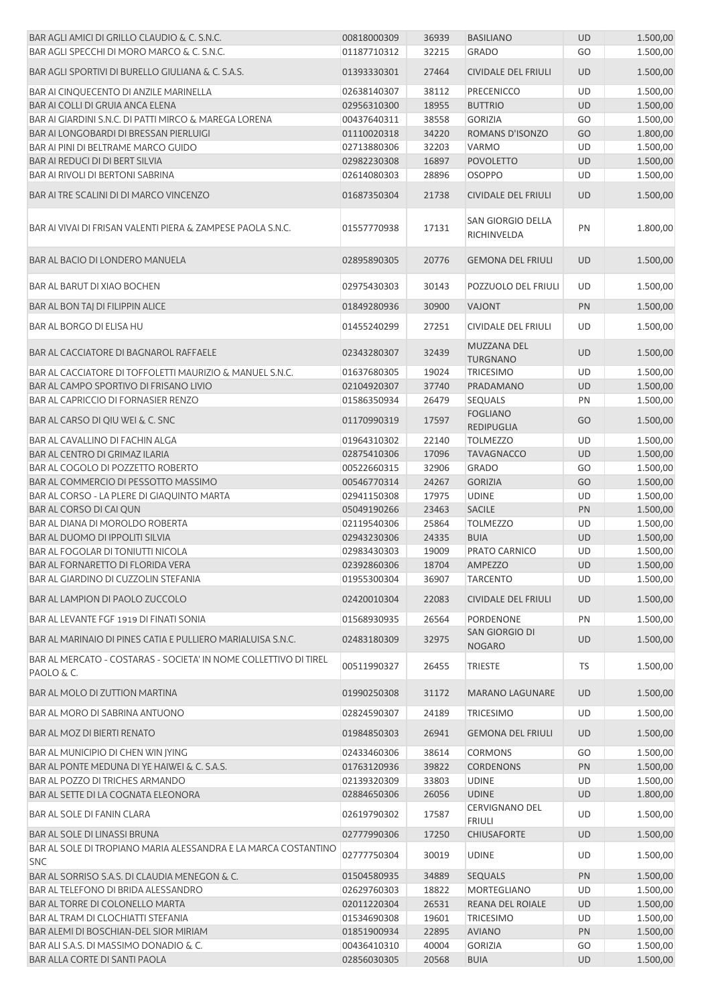| BAR AGLI AMICI DI GRILLO CLAUDIO & C. S.N.C.                                 | 00818000309                | 36939          | <b>BASILIANO</b>                 | <b>UD</b> | 1.500,00 |
|------------------------------------------------------------------------------|----------------------------|----------------|----------------------------------|-----------|----------|
| BAR AGLI SPECCHI DI MORO MARCO & C. S.N.C.                                   | 01187710312                | 32215          | <b>GRADO</b>                     | GO        | 1.500,00 |
| BAR AGLI SPORTIVI DI BURELLO GIULIANA & C. S.A.S.                            | 01393330301                | 27464          | CIVIDALE DEL FRIULI              | <b>UD</b> | 1.500,00 |
| BAR AI CINQUECENTO DI ANZILE MARINELLA                                       | 02638140307                | 38112          | PRECENICCO                       | UD        | 1.500,00 |
| BAR AI COLLI DI GRUIA ANCA ELENA                                             | 02956310300                | 18955          | <b>BUTTRIO</b>                   | <b>UD</b> | 1.500,00 |
| BAR AI GIARDINI S.N.C. DI PATTI MIRCO & MAREGA LORENA                        | 00437640311                | 38558          | <b>GORIZIA</b>                   | GO        | 1.500,00 |
| BAR AI LONGOBARDI DI BRESSAN PIERLUIGI                                       | 01110020318                | 34220          | ROMANS D'ISONZO                  | GO        | 1.800,00 |
| BAR AI PINI DI BELTRAME MARCO GUIDO                                          | 02713880306                | 32203          | VARMO                            | UD        | 1.500,00 |
| BAR AI REDUCI DI DI BERT SILVIA                                              | 02982230308                | 16897          | <b>POVOLETTO</b>                 | UD        | 1.500,00 |
| <b>BAR AI RIVOLI DI BERTONI SABRINA</b>                                      | 02614080303                | 28896          | <b>OSOPPO</b>                    | UD        | 1.500,00 |
| BAR AI TRE SCALINI DI DI MARCO VINCENZO                                      | 01687350304                | 21738          | <b>CIVIDALE DEL FRIULI</b>       | <b>UD</b> | 1.500,00 |
| BAR AI VIVAI DI FRISAN VALENTI PIERA & ZAMPESE PAOLA S.N.C.                  | 01557770938                | 17131          | SAN GIORGIO DELLA<br>RICHINVELDA | PN        | 1.800,00 |
| <b>BAR AL BACIO DI LONDERO MANUELA</b>                                       | 02895890305                | 20776          | <b>GEMONA DEL FRIULI</b>         | <b>UD</b> | 1.500,00 |
| <b>BAR AL BARUT DI XIAO BOCHEN</b>                                           | 02975430303                | 30143          | POZZUOLO DEL FRIULI              | UD        | 1.500,00 |
| <b>BAR AL BON TAJ DI FILIPPIN ALICE</b>                                      | 01849280936                | 30900          | <b>VAJONT</b>                    | PN        | 1.500,00 |
| BAR AL BORGO DI ELISA HU                                                     | 01455240299                | 27251          | <b>CIVIDALE DEL FRIULI</b>       | UD        | 1.500,00 |
|                                                                              |                            |                | MUZZANA DEL                      |           |          |
| <b>BAR AL CACCIATORE DI BAGNAROL RAFFAELE</b>                                | 02343280307                | 32439          | <b>TURGNANO</b>                  | <b>UD</b> | 1.500,00 |
| BAR AL CACCIATORE DI TOFFOLETTI MAURIZIO & MANUEL S.N.C.                     | 01637680305                | 19024          | <b>TRICESIMO</b>                 | UD        | 1.500,00 |
| BAR AL CAMPO SPORTIVO DI FRISANO LIVIO                                       | 02104920307                | 37740          | PRADAMANO                        | <b>UD</b> | 1.500,00 |
| <b>BAR AL CAPRICCIO DI FORNASIER RENZO</b>                                   | 01586350934                | 26479          | SEQUALS                          | PN        | 1.500,00 |
| BAR AL CARSO DI QIU WEI & C. SNC                                             | 01170990319                | 17597          | <b>FOGLIANO</b><br>REDIPUGLIA    | GO        | 1.500,00 |
| BAR AL CAVALLINO DI FACHIN ALGA                                              | 01964310302                | 22140          | <b>TOLMEZZO</b>                  | UD        | 1.500,00 |
| BAR AL CENTRO DI GRIMAZ ILARIA                                               | 02875410306                | 17096          | <b>TAVAGNACCO</b>                | <b>UD</b> | 1.500,00 |
| BAR AL COGOLO DI POZZETTO ROBERTO                                            | 00522660315                | 32906          | <b>GRADO</b>                     | GO        | 1.500,00 |
| BAR AL COMMERCIO DI PESSOTTO MASSIMO                                         | 00546770314                | 24267          | <b>GORIZIA</b>                   | GO        | 1.500,00 |
| BAR AL CORSO - LA PLERE DI GIAQUINTO MARTA                                   | 02941150308                | 17975          | <b>UDINE</b>                     | UD        | 1.500,00 |
| BAR AL CORSO DI CAI QUN                                                      | 05049190266                | 23463          | <b>SACILE</b>                    | PN        | 1.500,00 |
| BAR AL DIANA DI MOROLDO ROBERTA                                              | 02119540306                | 25864          | <b>TOLMEZZO</b>                  | UD        | 1.500,00 |
| <b>BAR AL DUOMO DI IPPOLITI SILVIA</b>                                       | 02943230306                | 24335          | <b>BUIA</b>                      | <b>UD</b> | 1.500,00 |
| <b>BAR AL FOGOLAR DI TONIUTTI NICOLA</b>                                     | 02983430303                | 19009          | PRATO CARNICO                    | UD        | 1.500,00 |
| <b>BAR AL FORNARETTO DI FLORIDA VERA</b>                                     | 02392860306                | 18704          | AMPEZZO                          | <b>UD</b> | 1.500,00 |
| BAR AL GIARDINO DI CUZZOLIN STEFANIA                                         | 01955300304                | 36907          | <b>TARCENTO</b>                  | UD        | 1.500,00 |
| BAR AL LAMPION DI PAOLO ZUCCOLO                                              | 02420010304                | 22083          | <b>CIVIDALE DEL FRIULI</b>       | <b>UD</b> | 1.500,00 |
| BAR AL LEVANTE FGF 1919 DI FINATI SONIA                                      |                            |                |                                  |           | 1.500,00 |
| BAR AL MARINAIO DI PINES CATIA E PULLIERO MARIALUISA S.N.C.                  | 01568930935<br>02483180309 | 26564<br>32975 | PORDENONE<br>SAN GIORGIO DI      | PN<br>UD  | 1.500,00 |
| BAR AL MERCATO - COSTARAS - SOCIETA' IN NOME COLLETTIVO DI TIREL             |                            |                | <b>NOGARO</b>                    |           |          |
| PAOLO & C.                                                                   | 00511990327                | 26455          | TRIESTE                          | TS        | 1.500,00 |
| <b>BAR AL MOLO DI ZUTTION MARTINA</b>                                        | 01990250308                | 31172          | <b>MARANO LAGUNARE</b>           | UD        | 1.500,00 |
| BAR AL MORO DI SABRINA ANTUONO                                               | 02824590307                | 24189          | <b>TRICESIMO</b>                 | UD        | 1.500,00 |
| <b>BAR AL MOZ DI BIERTI RENATO</b>                                           | 01984850303                | 26941          | <b>GEMONA DEL FRIULI</b>         | <b>UD</b> | 1.500,00 |
| BAR AL MUNICIPIO DI CHEN WIN JYING                                           | 02433460306                | 38614          | <b>CORMONS</b>                   | GO        | 1.500,00 |
| BAR AL PONTE MEDUNA DI YE HAIWEI & C. S.A.S.                                 | 01763120936                | 39822          | <b>CORDENONS</b>                 | PN        | 1.500,00 |
| BAR AL POZZO DI TRICHES ARMANDO                                              | 02139320309                | 33803          | <b>UDINE</b>                     | UD        | 1.500,00 |
| BAR AL SETTE DI LA COGNATA ELEONORA                                          | 02884650306                | 26056          | <b>UDINE</b>                     | <b>UD</b> | 1.800,00 |
| BAR AL SOLE DI FANIN CLARA                                                   | 02619790302                | 17587          | CERVIGNANO DEL<br><b>FRIULI</b>  | UD        | 1.500,00 |
| <b>BAR AL SOLE DI LINASSI BRUNA</b>                                          | 02777990306                | 17250          | CHIUSAFORTE                      | <b>UD</b> | 1.500,00 |
| BAR AL SOLE DI TROPIANO MARIA ALESSANDRA E LA MARCA COSTANTINO<br><b>SNC</b> | 02777750304                | 30019          | <b>UDINE</b>                     | UD        | 1.500,00 |
| BAR AL SORRISO S.A.S. DI CLAUDIA MENEGON & C.                                | 01504580935                | 34889          | <b>SEQUALS</b>                   | PN        | 1.500,00 |
| BAR AL TELEFONO DI BRIDA ALESSANDRO                                          | 02629760303                | 18822          | MORTEGLIANO                      | UD        | 1.500,00 |
| BAR AL TORRE DI COLONELLO MARTA                                              | 02011220304                | 26531          | REANA DEL ROIALE                 | UD        | 1.500,00 |
| BAR AL TRAM DI CLOCHIATTI STEFANIA                                           | 01534690308                | 19601          | <b>TRICESIMO</b>                 | UD        | 1.500,00 |
| BAR ALEMI DI BOSCHIAN-DEL SIOR MIRIAM                                        | 01851900934                | 22895          | <b>AVIANO</b>                    | PN        | 1.500,00 |
| BAR ALI S.A.S. DI MASSIMO DONADIO & C.                                       | 00436410310                | 40004          | <b>GORIZIA</b>                   | GO        | 1.500,00 |
| BAR ALLA CORTE DI SANTI PAOLA                                                | 02856030305                | 20568          | <b>BUIA</b>                      | UD        | 1.500,00 |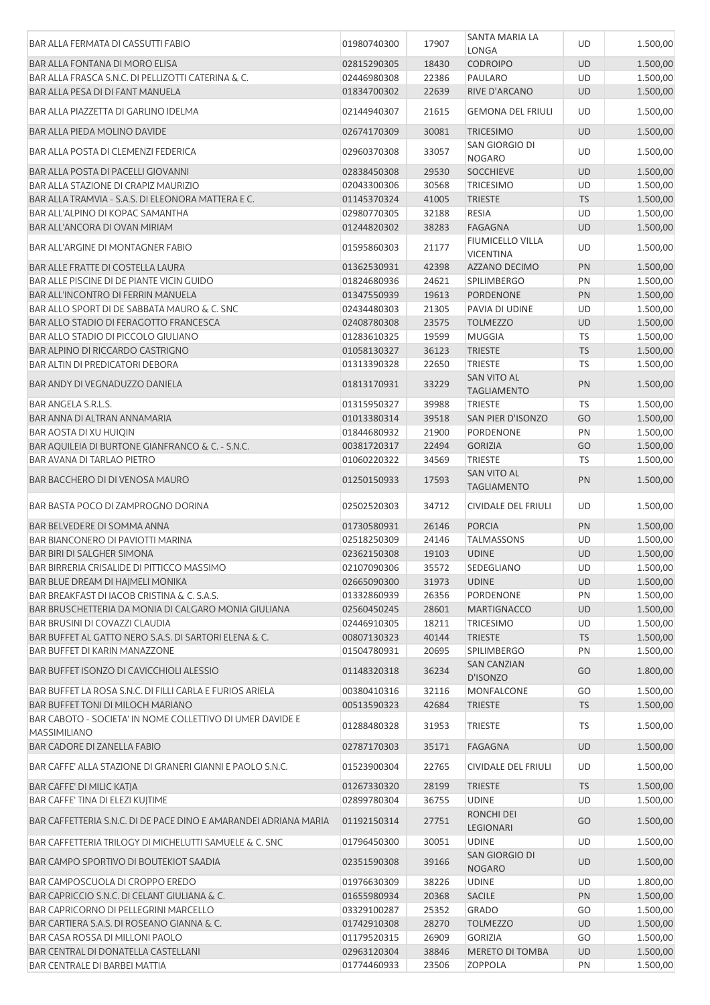| BAR ALLA FERMATA DI CASSUTTI FABIO                                                                    | 01980740300 | 17907 | SANTA MARIA LA<br>LONGA                  | <b>UD</b> | 1.500,00 |
|-------------------------------------------------------------------------------------------------------|-------------|-------|------------------------------------------|-----------|----------|
| <b>BAR ALLA FONTANA DI MORO ELISA</b>                                                                 | 02815290305 | 18430 | <b>CODROIPO</b>                          | UD        | 1.500,00 |
|                                                                                                       | 02446980308 | 22386 | PAULARO                                  | UD        | 1.500,00 |
| BAR ALLA FRASCA S.N.C. DI PELLIZOTTI CATERINA & C.                                                    |             |       |                                          |           |          |
| BAR ALLA PESA DI DI FANT MANUELA                                                                      | 01834700302 | 22639 | RIVE D'ARCANO                            | <b>UD</b> | 1.500,00 |
| BAR ALLA PIAZZETTA DI GARLINO IDELMA                                                                  | 02144940307 | 21615 | <b>GEMONA DEL FRIULI</b>                 | UD        | 1.500,00 |
| BAR ALLA PIEDA MOLINO DAVIDE                                                                          | 02674170309 | 30081 | <b>TRICESIMO</b>                         | <b>UD</b> | 1.500,00 |
| <b>BAR ALLA POSTA DI CLEMENZI FEDERICA</b>                                                            | 02960370308 | 33057 | SAN GIORGIO DI<br><b>NOGARO</b>          | <b>UD</b> | 1.500,00 |
| BAR ALLA POSTA DI PACELLI GIOVANNI                                                                    | 02838450308 | 29530 | <b>SOCCHIEVE</b>                         | <b>UD</b> | 1.500,00 |
| BAR ALLA STAZIONE DI CRAPIZ MAURIZIO                                                                  | 02043300306 | 30568 | <b>TRICESIMO</b>                         | UD        | 1.500,00 |
| BAR ALLA TRAMVIA - S.A.S. DI ELEONORA MATTERA E C.                                                    | 01145370324 | 41005 | <b>TRIESTE</b>                           | <b>TS</b> | 1.500,00 |
| BAR ALL'ALPINO DI KOPAC SAMANTHA                                                                      | 02980770305 | 32188 | <b>RESIA</b>                             | UD        | 1.500,00 |
| BAR ALL'ANCORA DI OVAN MIRIAM                                                                         | 01244820302 | 38283 | <b>FAGAGNA</b>                           | <b>UD</b> | 1.500,00 |
| <b>BAR ALL'ARGINE DI MONTAGNER FABIO</b>                                                              | 01595860303 | 21177 | <b>FIUMICELLO VILLA</b>                  | UD        | 1.500,00 |
|                                                                                                       |             |       | <b>VICENTINA</b>                         |           |          |
| <b>BAR ALLE FRATTE DI COSTELLA LAURA</b>                                                              | 01362530931 | 42398 | AZZANO DECIMO                            | PN        | 1.500,00 |
| BAR ALLE PISCINE DI DE PIANTE VICIN GUIDO                                                             | 01824680936 | 24621 | <b>SPILIMBERGO</b>                       | PN        | 1.500,00 |
| <b>BAR ALL'INCONTRO DI FERRIN MANUELA</b>                                                             | 01347550939 | 19613 | <b>PORDENONE</b>                         | PN        | 1.500,00 |
| BAR ALLO SPORT DI DE SABBATA MAURO & C. SNC                                                           | 02434480303 | 21305 | PAVIA DI UDINE                           | UD        | 1.500,00 |
| <b>BAR ALLO STADIO DI FERAGOTTO FRANCESCA</b>                                                         | 02408780308 | 23575 | <b>TOLMEZZO</b>                          | UD        | 1.500,00 |
| BAR ALLO STADIO DI PICCOLO GIULIANO                                                                   | 01283610325 | 19599 | <b>MUGGIA</b>                            | TS        | 1.500,00 |
| BAR ALPINO DI RICCARDO CASTRIGNO                                                                      | 01058130327 | 36123 | <b>TRIESTE</b>                           | <b>TS</b> | 1.500,00 |
| <b>BAR ALTIN DI PREDICATORI DEBORA</b>                                                                | 01313390328 | 22650 | <b>TRIESTE</b>                           | <b>TS</b> | 1.500,00 |
| BAR ANDY DI VEGNADUZZO DANIELA                                                                        | 01813170931 | 33229 | <b>SAN VITO AL</b><br><b>TAGLIAMENTO</b> | PN        | 1.500,00 |
| BAR ANGELA S.R.L.S.                                                                                   | 01315950327 | 39988 | <b>TRIESTE</b>                           | <b>TS</b> | 1.500,00 |
| BAR ANNA DI ALTRAN ANNAMARIA                                                                          | 01013380314 | 39518 | SAN PIER D'ISONZO                        | GO        | 1.500,00 |
| <b>BAR AOSTA DI XU HUIQIN</b>                                                                         | 01844680932 | 21900 | PORDENONE                                | PN        | 1.500,00 |
| BAR AQUILEIA DI BURTONE GIANFRANCO & C. - S.N.C.                                                      | 00381720317 | 22494 | <b>GORIZIA</b>                           | GO        | 1.500,00 |
| <b>BAR AVANA DI TARLAO PIETRO</b>                                                                     | 01060220322 | 34569 | <b>TRIESTE</b>                           | <b>TS</b> | 1.500,00 |
|                                                                                                       |             |       | <b>SAN VITO AL</b>                       |           |          |
| <b>BAR BACCHERO DI DI VENOSA MAURO</b>                                                                | 01250150933 | 17593 | <b>TAGLIAMENTO</b>                       | PN        | 1.500,00 |
| BAR BASTA POCO DI ZAMPROGNO DORINA                                                                    | 02502520303 | 34712 | <b>CIVIDALE DEL FRIULI</b>               | UD        | 1.500,00 |
| BAR BELVEDERE DI SOMMA ANNA                                                                           | 01730580931 | 26146 | <b>PORCIA</b>                            | PN        | 1.500,00 |
| <b>BAR BIANCONERO DI PAVIOTTI MARINA</b>                                                              | 02518250309 | 24146 | <b>TALMASSONS</b>                        | UD        | 1.500,00 |
| <b>BAR BIRI DI SALGHER SIMONA</b>                                                                     | 02362150308 | 19103 | <b>UDINE</b>                             | <b>UD</b> | 1.500,00 |
| BAR BIRRERIA CRISALIDE DI PITTICCO MASSIMO                                                            | 02107090306 | 35572 | SEDEGLIANO                               | UD        | 1.500,00 |
| BAR BLUE DREAM DI HAJMELI MONIKA                                                                      | 02665090300 | 31973 | <b>UDINE</b>                             | <b>UD</b> | 1.500,00 |
| BAR BREAKFAST DI IACOB CRISTINA & C. S.A.S.                                                           | 01332860939 | 26356 | PORDENONE                                | PN        | 1.500,00 |
| BAR BRUSCHETTERIA DA MONIA DI CALGARO MONIA GIULIANA                                                  | 02560450245 | 28601 | <b>MARTIGNACCO</b>                       | <b>UD</b> | 1.500,00 |
| <b>BAR BRUSINI DI COVAZZI CLAUDIA</b>                                                                 | 02446910305 | 18211 | <b>TRICESIMO</b>                         | UD        | 1.500,00 |
| BAR BUFFET AL GATTO NERO S.A.S. DI SARTORI ELENA & C.                                                 | 00807130323 | 40144 | <b>TRIESTE</b>                           | <b>TS</b> | 1.500,00 |
| <b>BAR BUFFET DI KARIN MANAZZONE</b>                                                                  | 01504780931 | 20695 | <b>SPILIMBERGO</b>                       | PN        | 1.500,00 |
|                                                                                                       |             |       | <b>SAN CANZIAN</b>                       |           |          |
| BAR BUFFET ISONZO DI CAVICCHIOLI ALESSIO                                                              | 01148320318 | 36234 | D'ISONZO                                 | GO        | 1.800,00 |
| BAR BUFFET LA ROSA S.N.C. DI FILLI CARLA E FURIOS ARIELA                                              | 00380410316 | 32116 | MONFALCONE                               | GO        | 1.500,00 |
| <b>BAR BUFFET TONI DI MILOCH MARIANO</b><br>BAR CABOTO - SOCIETA' IN NOME COLLETTIVO DI UMER DAVIDE E | 00513590323 | 42684 | <b>TRIESTE</b>                           | <b>TS</b> | 1.500,00 |
| <b>MASSIMILIANO</b>                                                                                   | 01288480328 | 31953 | <b>TRIESTE</b>                           | <b>TS</b> | 1.500,00 |
| BAR CADORE DI ZANELLA FABIO                                                                           | 02787170303 | 35171 | <b>FAGAGNA</b>                           | <b>UD</b> | 1.500,00 |
| BAR CAFFE' ALLA STAZIONE DI GRANERI GIANNI E PAOLO S.N.C.                                             | 01523900304 | 22765 | CIVIDALE DEL FRIULI                      | UD        | 1.500,00 |
| BAR CAFFE' DI MILIC KATJA                                                                             | 01267330320 | 28199 | <b>TRIESTE</b>                           | <b>TS</b> | 1.500,00 |
| BAR CAFFE' TINA DI ELEZI KUJTIME                                                                      | 02899780304 | 36755 | <b>UDINE</b>                             | UD        | 1.500,00 |
| BAR CAFFETTERIA S.N.C. DI DE PACE DINO E AMARANDEI ADRIANA MARIA                                      | 01192150314 | 27751 | RONCHI DEI<br><b>LEGIONARI</b>           | GO        | 1.500,00 |
| BAR CAFFETTERIA TRILOGY DI MICHELUTTI SAMUELE & C. SNC                                                | 01796450300 | 30051 | <b>UDINE</b>                             | UD        | 1.500,00 |
| BAR CAMPO SPORTIVO DI BOUTEKIOT SAADIA                                                                | 02351590308 | 39166 | SAN GIORGIO DI<br><b>NOGARO</b>          | <b>UD</b> | 1.500,00 |
| BAR CAMPOSCUOLA DI CROPPO EREDO                                                                       | 01976630309 | 38226 | <b>UDINE</b>                             | UD        | 1.800,00 |
| BAR CAPRICCIO S.N.C. DI CELANT GIULIANA & C.                                                          | 01655980934 | 20368 | <b>SACILE</b>                            | PN        | 1.500,00 |
| <b>BAR CAPRICORNO DI PELLEGRINI MARCELLO</b>                                                          | 03329100287 | 25352 | <b>GRADO</b>                             | GO        | 1.500,00 |
| BAR CARTIERA S.A.S. DI ROSEANO GIANNA & C.                                                            | 01742910308 | 28270 | <b>TOLMEZZO</b>                          | <b>UD</b> | 1.500,00 |
| BAR CASA ROSSA DI MILLONI PAOLO                                                                       | 01179520315 | 26909 | <b>GORIZIA</b>                           | GO        | 1.500,00 |
| BAR CENTRAL DI DONATELLA CASTELLANI                                                                   | 02963120304 | 38846 | <b>MERETO DI TOMBA</b>                   | UD        | 1.500,00 |
| <b>BAR CENTRALE DI BARBEI MATTIA</b>                                                                  | 01774460933 | 23506 | <b>ZOPPOLA</b>                           | PN        | 1.500,00 |
|                                                                                                       |             |       |                                          |           |          |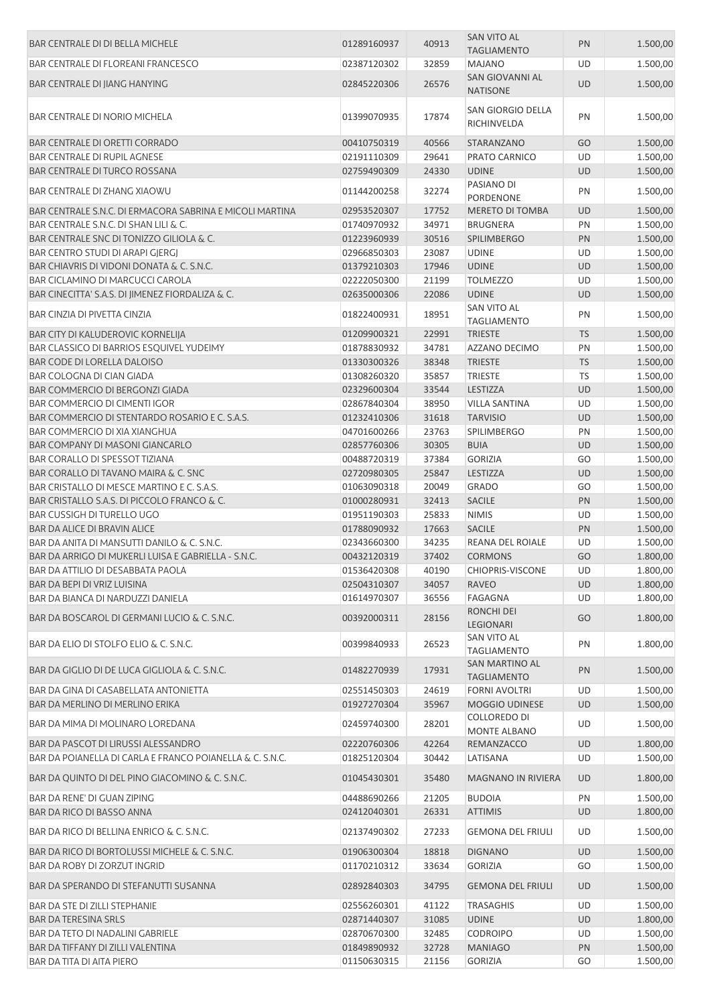| <b>BAR CENTRALE DI DI BELLA MICHELE</b>                  | 01289160937 | 40913 | <b>SAN VITO AL</b><br><b>TAGLIAMENTO</b> | PN        | 1.500,00 |
|----------------------------------------------------------|-------------|-------|------------------------------------------|-----------|----------|
| <b>BAR CENTRALE DI FLOREANI FRANCESCO</b>                | 02387120302 | 32859 | <b>MAJANO</b>                            | UD        | 1.500,00 |
| BAR CENTRALE DI JIANG HANYING                            | 02845220306 | 26576 | SAN GIOVANNI AL                          | <b>UD</b> | 1.500,00 |
|                                                          |             |       | <b>NATISONE</b>                          |           |          |
| <b>BAR CENTRALE DI NORIO MICHELA</b>                     | 01399070935 | 17874 | <b>SAN GIORGIO DELLA</b><br>RICHINVELDA  | PN        | 1.500,00 |
| <b>BAR CENTRALE DI ORETTI CORRADO</b>                    | 00410750319 | 40566 | STARANZANO                               | GO        | 1.500,00 |
| <b>BAR CENTRALE DI RUPIL AGNESE</b>                      | 02191110309 | 29641 | PRATO CARNICO                            | UD        | 1.500,00 |
| <b>BAR CENTRALE DI TURCO ROSSANA</b>                     | 02759490309 | 24330 | <b>UDINE</b>                             | <b>UD</b> | 1.500,00 |
| BAR CENTRALE DI ZHANG XIAOWU                             | 01144200258 | 32274 | PASIANO DI<br><b>PORDENONE</b>           | PN        | 1.500,00 |
| BAR CENTRALE S.N.C. DI ERMACORA SABRINA E MICOLI MARTINA | 02953520307 | 17752 | MERETO DI TOMBA                          | <b>UD</b> | 1.500,00 |
| BAR CENTRALE S.N.C. DI SHAN LILI & C.                    | 01740970932 | 34971 | <b>BRUGNERA</b>                          | PN        | 1.500,00 |
| BAR CENTRALE SNC DI TONIZZO GILIOLA & C.                 | 01223960939 | 30516 | <b>SPILIMBERGO</b>                       | PN        | 1.500,00 |
| BAR CENTRO STUDI DI ARAPI GJERGJ                         | 02966850303 | 23087 | <b>UDINE</b>                             | UD        | 1.500,00 |
| BAR CHIAVRIS DI VIDONI DONATA & C. S.N.C.                | 01379210303 | 17946 | <b>UDINE</b>                             | <b>UD</b> | 1.500,00 |
| <b>BAR CICLAMINO DI MARCUCCI CAROLA</b>                  | 02222050300 | 21199 | <b>TOLMEZZO</b>                          | UD        | 1.500,00 |
| BAR CINECITTA' S.A.S. DI JIMENEZ FIORDALIZA & C.         |             |       |                                          |           |          |
|                                                          | 02635000306 | 22086 | <b>UDINE</b>                             | <b>UD</b> | 1.500,00 |
| BAR CINZIA DI PIVETTA CINZIA                             | 01822400931 | 18951 | <b>SAN VITO AL</b><br><b>TAGLIAMENTO</b> | PN        | 1.500,00 |
| BAR CITY DI KALUDEROVIC KORNELIJA                        | 01209900321 | 22991 | <b>TRIESTE</b>                           | <b>TS</b> | 1.500,00 |
| BAR CLASSICO DI BARRIOS ESQUIVEL YUDEIMY                 | 01878830932 | 34781 | AZZANO DECIMO                            | PN        | 1.500,00 |
| BAR CODE DI LORELLA DALOISO                              | 01330300326 | 38348 | <b>TRIESTE</b>                           | <b>TS</b> | 1.500,00 |
| BAR COLOGNA DI CIAN GIADA                                | 01308260320 | 35857 | <b>TRIESTE</b>                           | TS        | 1.500,00 |
| BAR COMMERCIO DI BERGONZI GIADA                          | 02329600304 | 33544 | <b>LESTIZZA</b>                          | UD        | 1.500,00 |
| <b>BAR COMMERCIO DI CIMENTI IGOR</b>                     | 02867840304 | 38950 | <b>VILLA SANTINA</b>                     | UD        | 1.500,00 |
| BAR COMMERCIO DI STENTARDO ROSARIO E C. S.A.S.           | 01232410306 | 31618 | <b>TARVISIO</b>                          | UD        | 1.500,00 |
| <b>BAR COMMERCIO DI XIA XIANGHUA</b>                     | 04701600266 | 23763 | <b>SPILIMBERGO</b>                       | PN        | 1.500,00 |
|                                                          |             |       |                                          |           |          |
| BAR COMPANY DI MASONI GIANCARLO                          | 02857760306 | 30305 | <b>BUIA</b>                              | <b>UD</b> | 1.500,00 |
| <b>BAR CORALLO DI SPESSOT TIZIANA</b>                    | 00488720319 | 37384 | <b>GORIZIA</b>                           | GO        | 1.500,00 |
| BAR CORALLO DI TAVANO MAIRA & C. SNC                     | 02720980305 | 25847 | <b>LESTIZZA</b>                          | <b>UD</b> | 1.500,00 |
| BAR CRISTALLO DI MESCE MARTINO E C. S.A.S.               | 01063090318 | 20049 | <b>GRADO</b>                             | GO        | 1.500,00 |
| BAR CRISTALLO S.A.S. DI PICCOLO FRANCO & C.              | 01000280931 | 32413 | SACILE                                   | PN        | 1.500,00 |
| <b>BAR CUSSIGH DI TURELLO UGO</b>                        | 01951190303 | 25833 | <b>NIMIS</b>                             | UD        | 1.500,00 |
| <b>BAR DA ALICE DI BRAVIN ALICE</b>                      | 01788090932 | 17663 | <b>SACILE</b>                            | PN        | 1.500,00 |
| BAR DA ANITA DI MANSUTTI DANILO & C. S.N.C.              | 02343660300 | 34235 | REANA DEL ROIALE                         | UD        | 1.500,00 |
| BAR DA ARRIGO DI MUKERLI LUISA E GABRIELLA - S.N.C.      | 00432120319 | 37402 | <b>CORMONS</b>                           | GO        | 1.800,00 |
| BAR DA ATTILIO DI DESABBATA PAOLA                        | 01536420308 | 40190 | <b>CHIOPRIS-VISCONE</b>                  | UD.       | 1.800,00 |
| BAR DA BEPI DI VRIZ LUISINA                              | 02504310307 | 34057 | <b>RAVEO</b>                             | <b>UD</b> | 1.800,00 |
| BAR DA BIANCA DI NARDUZZI DANIELA                        | 01614970307 | 36556 | FAGAGNA                                  | UD        | 1.800,00 |
| BAR DA BOSCAROL DI GERMANI LUCIO & C. S.N.C.             | 00392000311 | 28156 | <b>RONCHI DEI</b><br>LEGIONARI           | GO        | 1.800,00 |
| BAR DA ELIO DI STOLFO ELIO & C. S.N.C.                   | 00399840933 | 26523 | SAN VITO AL                              | PN        | 1.800,00 |
|                                                          |             |       | <b>TAGLIAMENTO</b>                       |           |          |
| BAR DA GIGLIO DI DE LUCA GIGLIOLA & C. S.N.C.            | 01482270939 | 17931 | SAN MARTINO AL<br><b>TAGLIAMENTO</b>     | PN        | 1.500,00 |
| BAR DA GINA DI CASABELLATA ANTONIETTA                    | 02551450303 | 24619 | <b>FORNI AVOLTRI</b>                     | UD        | 1.500,00 |
| BAR DA MERLINO DI MERLINO ERIKA                          | 01927270304 | 35967 | <b>MOGGIO UDINESE</b>                    | <b>UD</b> | 1.500,00 |
| BAR DA MIMA DI MOLINARO LOREDANA                         | 02459740300 | 28201 | COLLOREDO DI<br>MONTE ALBANO             | UD        | 1.500,00 |
| BAR DA PASCOT DI LIRUSSI ALESSANDRO                      | 02220760306 | 42264 | REMANZACCO                               | UD        | 1.800,00 |
| BAR DA POIANELLA DI CARLA E FRANCO POIANELLA & C. S.N.C. | 01825120304 | 30442 | LATISANA                                 | UD        | 1.500,00 |
| BAR DA QUINTO DI DEL PINO GIACOMINO & C. S.N.C.          | 01045430301 | 35480 | <b>MAGNANO IN RIVIERA</b>                | UD        | 1.800,00 |
|                                                          |             |       |                                          |           |          |
| BAR DA RENE' DI GUAN ZIPING                              | 04488690266 | 21205 | <b>BUDOIA</b>                            | PN        | 1.500,00 |
| BAR DA RICO DI BASSO ANNA                                | 02412040301 | 26331 | <b>ATTIMIS</b>                           | <b>UD</b> | 1.800,00 |
| BAR DA RICO DI BELLINA ENRICO & C. S.N.C.                | 02137490302 | 27233 | <b>GEMONA DEL FRIULI</b>                 | UD        | 1.500,00 |
| BAR DA RICO DI BORTOLUSSI MICHELE & C. S.N.C.            | 01906300304 | 18818 | <b>DIGNANO</b>                           | <b>UD</b> | 1.500,00 |
| BAR DA ROBY DI ZORZUT INGRID                             | 01170210312 | 33634 | <b>GORIZIA</b>                           | GO        | 1.500,00 |
| BAR DA SPERANDO DI STEFANUTTI SUSANNA                    | 02892840303 | 34795 | <b>GEMONA DEL FRIULI</b>                 | UD        | 1.500,00 |
|                                                          |             |       |                                          |           |          |
| BAR DA STE DI ZILLI STEPHANIE                            | 02556260301 | 41122 | <b>TRASAGHIS</b>                         | UD        | 1.500,00 |
| <b>BAR DA TERESINA SRLS</b>                              | 02871440307 | 31085 | <b>UDINE</b>                             | UD        | 1.800,00 |
| <b>BAR DA TETO DI NADALINI GABRIELE</b>                  | 02870670300 | 32485 | <b>CODROIPO</b>                          | UD        | 1.500,00 |
| BAR DA TIFFANY DI ZILLI VALENTINA                        | 01849890932 | 32728 | <b>MANIAGO</b>                           | PN        | 1.500,00 |
| BAR DA TITA DI AITA PIERO                                | 01150630315 | 21156 | <b>GORIZIA</b>                           | GO        | 1.500,00 |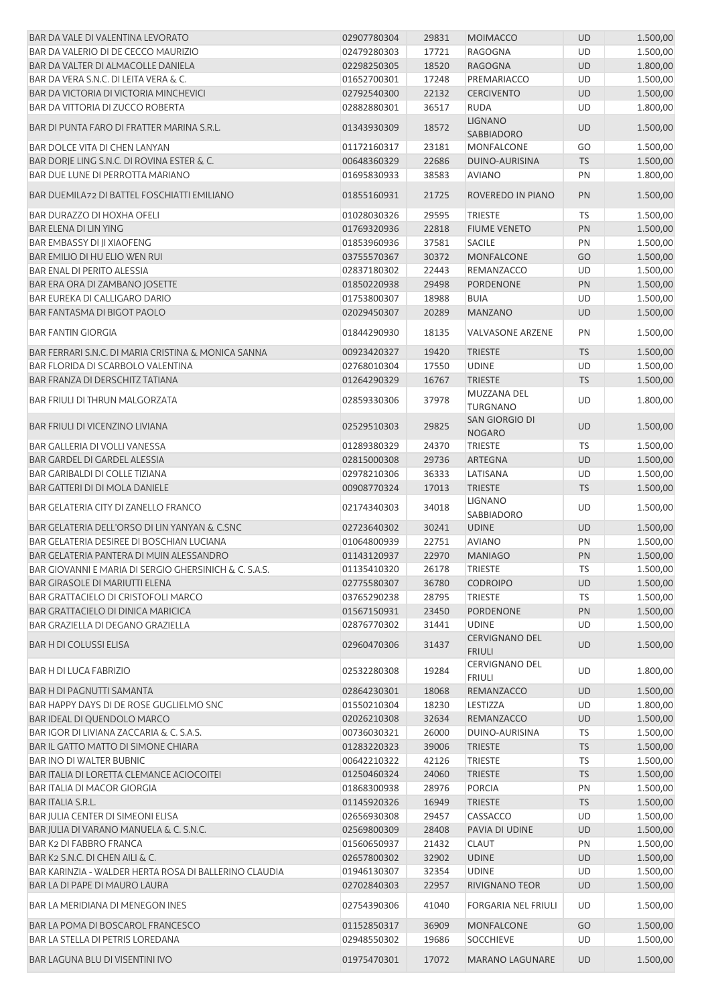| BAR DA VALE DI VALENTINA LEVORATO                     | 02907780304 | 29831 | <b>MOIMACCO</b>                        | <b>UD</b> | 1.500,00 |
|-------------------------------------------------------|-------------|-------|----------------------------------------|-----------|----------|
| BAR DA VALERIO DI DE CECCO MAURIZIO                   | 02479280303 | 17721 | <b>RAGOGNA</b>                         | UD        | 1.500,00 |
| BAR DA VALTER DI ALMACOLLE DANIELA                    | 02298250305 | 18520 | <b>RAGOGNA</b>                         | <b>UD</b> | 1.800,00 |
| BAR DA VERA S.N.C. DI LEITA VERA & C.                 | 01652700301 | 17248 | PREMARIACCO                            | UD        | 1.500,00 |
| BAR DA VICTORIA DI VICTORIA MINCHEVICI                | 02792540300 | 22132 | <b>CERCIVENTO</b>                      | <b>UD</b> | 1.500,00 |
| <b>BAR DA VITTORIA DI ZUCCO ROBERTA</b>               | 02882880301 | 36517 | <b>RUDA</b>                            | UD        | 1.800,00 |
| BAR DI PUNTA FARO DI FRATTER MARINA S.R.L.            | 01343930309 | 18572 | <b>LIGNANO</b><br><b>SABBIADORO</b>    | UD        | 1.500,00 |
| BAR DOLCE VITA DI CHEN LANYAN                         | 01172160317 | 23181 | MONFALCONE                             | GO        | 1.500,00 |
| BAR DORJE LING S.N.C. DI ROVINA ESTER & C.            | 00648360329 | 22686 | DUINO-AURISINA                         | <b>TS</b> | 1.500,00 |
| BAR DUE LUNE DI PERROTTA MARIANO                      | 01695830933 | 38583 | <b>AVIANO</b>                          | PN        | 1.800,00 |
| <b>BAR DUEMILA72 DI BATTEL FOSCHIATTI EMILIANO</b>    | 01855160931 | 21725 | ROVEREDO IN PIANO                      | PN        | 1.500,00 |
| <b>BAR DURAZZO DI HOXHA OFELI</b>                     | 01028030326 | 29595 | <b>TRIESTE</b>                         | <b>TS</b> | 1.500,00 |
| BAR ELENA DI LIN YING                                 | 01769320936 | 22818 | <b>FIUME VENETO</b>                    | PN        | 1.500,00 |
| BAR EMBASSY DI JI XIAOFENG                            | 01853960936 | 37581 | <b>SACILE</b>                          | PN        | 1.500,00 |
| BAR EMILIO DI HU ELIO WEN RUI                         | 03755570367 | 30372 | <b>MONFALCONE</b>                      | GO        | 1.500,00 |
| <b>BAR ENAL DI PERITO ALESSIA</b>                     | 02837180302 | 22443 | REMANZACCO                             | UD        | 1.500,00 |
| BAR ERA ORA DI ZAMBANO JOSETTE                        | 01850220938 | 29498 | PORDENONE                              | PN        | 1.500,00 |
| <b>BAR EUREKA DI CALLIGARO DARIO</b>                  | 01753800307 | 18988 | <b>BUIA</b>                            | UD        | 1.500,00 |
| <b>BAR FANTASMA DI BIGOT PAOLO</b>                    | 02029450307 | 20289 | <b>MANZANO</b>                         | <b>UD</b> | 1.500,00 |
| <b>BAR FANTIN GIORGIA</b>                             | 01844290930 | 18135 | <b>VALVASONE ARZENE</b>                | PN        | 1.500,00 |
|                                                       |             |       |                                        |           |          |
| BAR FERRARI S.N.C. DI MARIA CRISTINA & MONICA SANNA   | 00923420327 | 19420 | <b>TRIESTE</b>                         | <b>TS</b> | 1.500,00 |
| BAR FLORIDA DI SCARBOLO VALENTINA                     | 02768010304 | 17550 | <b>UDINE</b>                           | UD        | 1.500,00 |
| BAR FRANZA DI DERSCHITZ TATIANA                       | 01264290329 | 16767 | <b>TRIESTE</b>                         | <b>TS</b> | 1.500,00 |
| <b>BAR FRIULI DI THRUN MALGORZATA</b>                 | 02859330306 | 37978 | MUZZANA DEL<br><b>TURGNANO</b>         | UD        | 1.800,00 |
| <b>BAR FRIULI DI VICENZINO LIVIANA</b>                | 02529510303 | 29825 | SAN GIORGIO DI<br><b>NOGARO</b>        | UD        | 1.500,00 |
| <b>BAR GALLERIA DI VOLLI VANESSA</b>                  | 01289380329 | 24370 | TRIESTE                                | <b>TS</b> | 1.500,00 |
| BAR GARDEL DI GARDEL ALESSIA                          | 02815000308 | 29736 | <b>ARTEGNA</b>                         | <b>UD</b> | 1.500,00 |
| <b>BAR GARIBALDI DI COLLE TIZIANA</b>                 | 02978210306 | 36333 | LATISANA                               | UD        | 1.500,00 |
| <b>BAR GATTERI DI DI MOLA DANIELE</b>                 | 00908770324 | 17013 | <b>TRIESTE</b>                         | <b>TS</b> | 1.500,00 |
| BAR GELATERIA CITY DI ZANELLO FRANCO                  | 02174340303 | 34018 | <b>LIGNANO</b><br>SABBIADORO           | UD        | 1.500,00 |
| BAR GELATERIA DELL'ORSO DI LIN YANYAN & C.SNC         | 02723640302 | 30241 | <b>UDINE</b>                           | UD        | 1.500,00 |
| BAR GELATERIA DESIREE DI BOSCHIAN LUCIANA             | 01064800939 | 22751 | <b>AVIANO</b>                          | PN        | 1.500,00 |
| BAR GELATERIA PANTERA DI MUIN ALESSANDRO              | 01143120937 | 22970 | <b>MANIAGO</b>                         | PN        | 1.500,00 |
| BAR GIOVANNI E MARIA DI SERGIO GHERSINICH & C. S.A.S. | 01135410320 |       | TRIESTE                                |           | 1.500,00 |
| <b>BAR GIRASOLE DI MARIUTTI ELENA</b>                 | 02775580307 | 26178 | <b>CODROIPO</b>                        | TS        |          |
|                                                       |             | 36780 |                                        | UD        | 1.500,00 |
| BAR GRATTACIELO DI CRISTOFOLI MARCO                   | 03765290238 | 28795 | <b>TRIESTE</b>                         | TS        | 1.500,00 |
| BAR GRATTACIELO DI DINICA MARICICA                    | 01567150931 | 23450 | PORDENONE                              | PN        | 1.500,00 |
| BAR GRAZIELLA DI DEGANO GRAZIELLA                     | 02876770302 | 31441 | <b>UDINE</b>                           | <b>UD</b> | 1.500,00 |
| BAR H DI COLUSSI ELISA                                | 02960470306 | 31437 | <b>CERVIGNANO DEL</b><br><b>FRIULI</b> | UD        | 1.500,00 |
| <b>BAR H DI LUCA FABRIZIO</b>                         | 02532280308 | 19284 | CERVIGNANO DEL<br><b>FRIULI</b>        | UD        | 1.800,00 |
| <b>BAR H DI PAGNUTTI SAMANTA</b>                      | 02864230301 | 18068 | REMANZACCO                             | <b>UD</b> | 1.500,00 |
| BAR HAPPY DAYS DI DE ROSE GUGLIELMO SNC               | 01550210304 | 18230 | LESTIZZA                               | UD        | 1.800,00 |
| BAR IDEAL DI QUENDOLO MARCO                           | 02026210308 | 32634 | REMANZACCO                             | UD        | 1.500,00 |
| BAR IGOR DI LIVIANA ZACCARIA & C. S.A.S.              | 00736030321 | 26000 | DUINO-AURISINA                         | TS        | 1.500,00 |
| BAR IL GATTO MATTO DI SIMONE CHIARA                   | 01283220323 | 39006 | <b>TRIESTE</b>                         | <b>TS</b> | 1.500,00 |
| <b>BAR INO DI WALTER BUBNIC</b>                       | 00642210322 | 42126 | <b>TRIESTE</b>                         | <b>TS</b> | 1.500,00 |
| <b>BAR ITALIA DI LORETTA CLEMANCE ACIOCOITEI</b>      | 01250460324 | 24060 | <b>TRIESTE</b>                         | <b>TS</b> | 1.500,00 |
| <b>BAR ITALIA DI MACOR GIORGIA</b>                    | 01868300938 | 28976 | <b>PORCIA</b>                          | PN        | 1.500,00 |
| <b>BAR ITALIA S.R.L.</b>                              | 01145920326 | 16949 | <b>TRIESTE</b>                         | <b>TS</b> | 1.500,00 |
| BAR JULIA CENTER DI SIMEONI ELISA                     | 02656930308 | 29457 | CASSACCO                               | UD        | 1.500,00 |
| BAR JULIA DI VARANO MANUELA & C. S.N.C.               | 02569800309 | 28408 | PAVIA DI UDINE                         | UD        | 1.500,00 |
|                                                       |             |       |                                        |           |          |
| <b>BAR K2 DI FABBRO FRANCA</b>                        | 01560650937 | 21432 | <b>CLAUT</b>                           | PN        | 1.500,00 |
| BAR K2 S.N.C. DI CHEN AILI & C.                       | 02657800302 | 32902 | <b>UDINE</b>                           | <b>UD</b> | 1.500,00 |
| BAR KARINZIA - WALDER HERTA ROSA DI BALLERINO CLAUDIA | 01946130307 | 32354 | <b>UDINE</b>                           | <b>UD</b> | 1.500,00 |
| BAR LA DI PAPE DI MAURO LAURA                         | 02702840303 | 22957 | RIVIGNANO TEOR                         | <b>UD</b> | 1.500,00 |
| <b>BAR LA MERIDIANA DI MENEGON INES</b>               | 02754390306 | 41040 | <b>FORGARIA NEL FRIULI</b>             | UD        | 1.500,00 |
| BAR LA POMA DI BOSCAROL FRANCESCO                     | 01152850317 | 36909 | <b>MONFALCONE</b>                      | GO        | 1.500,00 |
| BAR LA STELLA DI PETRIS LOREDANA                      | 02948550302 | 19686 | <b>SOCCHIEVE</b>                       | UD        | 1.500,00 |
| <b>BAR LAGUNA BLU DI VISENTINI IVO</b>                | 01975470301 | 17072 | <b>MARANO LAGUNARE</b>                 | UD        | 1.500,00 |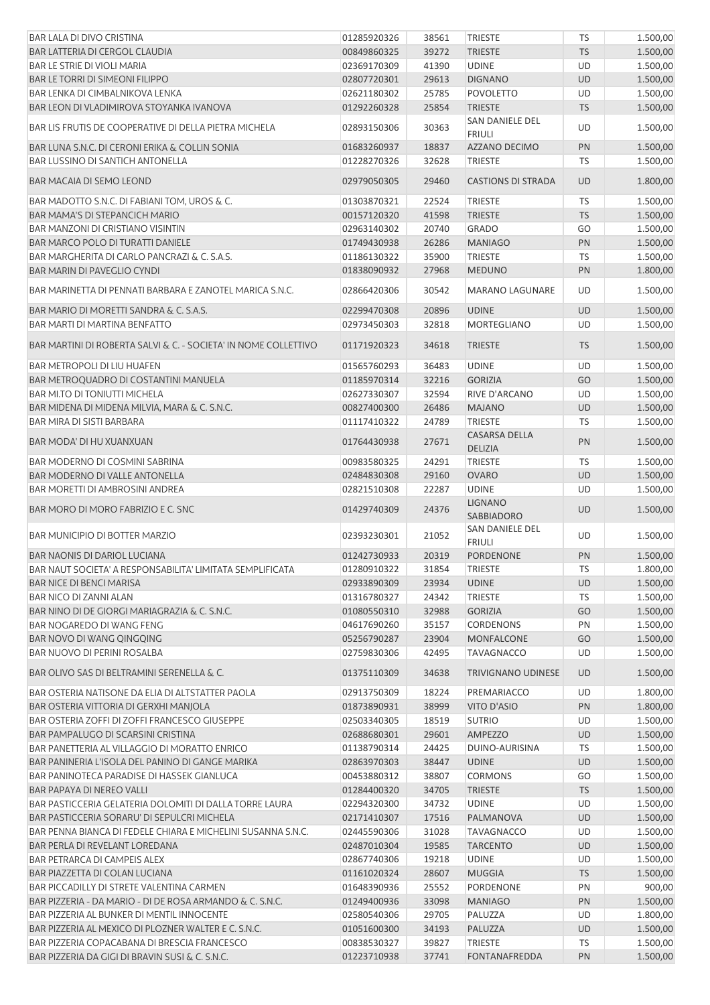| 1.500,00<br>39272<br><b>TRIESTE</b><br><b>TS</b><br>00849860325<br>1.500,00<br>41390<br><b>UDINE</b><br>UD<br>02369170309<br>1.500,00<br>29613<br><b>DIGNANO</b><br><b>UD</b><br>02807720301<br>02621180302<br>25785<br><b>POVOLETTO</b><br>UD<br>1.500,00<br>25854<br><b>TRIESTE</b><br><b>TS</b><br>1.500,00<br>01292260328<br>SAN DANIELE DEL<br>1.500,00<br>02893150306<br>30363<br>UD<br><b>FRIULI</b><br>BAR LUNA S.N.C. DI CERONI ERIKA & COLLIN SONIA<br>18837<br>AZZANO DECIMO<br>PN<br>1.500,00<br>01683260937<br><b>BAR LUSSINO DI SANTICH ANTONELLA</b><br>01228270326<br>32628<br><b>TRIESTE</b><br>TS<br>1.500,00<br>1.800,00<br>02979050305<br>29460<br><b>CASTIONS DI STRADA</b><br>UD<br>BAR MADOTTO S.N.C. DI FABIANI TOM, UROS & C.<br>22524<br>TS<br>1.500,00<br>01303870321<br><b>TRIESTE</b><br>BAR MAMA'S DI STEPANCICH MARIO<br>41598<br><b>TRIESTE</b><br><b>TS</b><br>1.500,00<br>00157120320<br><b>BAR MANZONI DI CRISTIANO VISINTIN</b><br>02963140302<br>20740<br><b>GRADO</b><br>GO<br>1.500,00<br>BAR MARCO POLO DI TURATTI DANIELE<br>26286<br>1.500,00<br>01749430938<br><b>MANIAGO</b><br>PN<br>01186130322<br>35900<br>1.500,00<br>BAR MARGHERITA DI CARLO PANCRAZI & C. S.A.S.<br><b>TRIESTE</b><br>TS<br>1.800,00<br>27968<br><b>MEDUNO</b><br>PN<br>BAR MARIN DI PAVEGLIO CYNDI<br>01838090932<br>30542<br>1.500,00<br>02866420306<br><b>MARANO LAGUNARE</b><br>UD<br>BAR MARIO DI MORETTI SANDRA & C. S.A.S.<br>20896<br>1.500,00<br>02299470308<br><b>UDINE</b><br>UD<br>32818<br><b>MORTEGLIANO</b><br>UD<br>1.500,00<br>02973450303<br>34618<br><b>TS</b><br>1.500,00<br>01171920323<br><b>TRIESTE</b><br>36483<br>1.500,00<br>01565760293<br><b>UDINE</b><br>UD<br>BAR METROQUADRO DI COSTANTINI MANUELA<br>32216<br>GO<br>1.500,00<br>01185970314<br><b>GORIZIA</b><br>BAR MI.TO DI TONIUTTI MICHELA<br>02627330307<br>32594<br>RIVE D'ARCANO<br>UD<br>1.500,00<br>BAR MIDENA DI MIDENA MILVIA, MARA & C. S.N.C.<br>26486<br>1.500,00<br>00827400300<br><b>MAJANO</b><br><b>UD</b><br>BAR MIRA DI SISTI BARBARA<br><b>TRIESTE</b><br>01117410322<br>24789<br>TS<br>1.500,00<br><b>CASARSA DELLA</b><br>01764430938<br>27671<br>PN<br>1.500,00<br>DELIZIA<br>1.500,00<br>00983580325<br>24291<br><b>TRIESTE</b><br><b>TS</b><br>BAR MODERNO DI COSMINI SABRINA<br>29160<br><b>OVARO</b><br>UD<br>1.500,00<br><b>BAR MODERNO DI VALLE ANTONELLA</b><br>02484830308<br>UD<br>1.500,00<br>BAR MORETTI DI AMBROSINI ANDREA<br>02821510308<br>22287<br><b>UDINE</b><br><b>LIGNANO</b><br>1.500,00<br>01429740309<br>24376<br>UD<br><b>SABBIADORO</b><br>SAN DANIELE DEL<br>1.500,00<br>02393230301<br>21052<br>UD<br><b>FRIULI</b><br>PORDENONE<br>PN<br>1.500,00<br>01242730933<br>20319<br>01280910322<br>31854<br><b>TRIESTE</b><br>TS<br>1.800,00<br>23934<br>1.500,00<br>02933890309<br><b>UDINE</b><br><b>UD</b><br>1.500,00<br>01316780327<br>24342<br><b>TRIESTE</b><br>TS<br>32988<br>GO<br>1.500,00<br>01080550310<br><b>GORIZIA</b><br>35157<br><b>CORDENONS</b><br>PN<br>1.500,00<br>BAR NOGAREDO DI WANG FENG<br>04617690260<br>23904<br>1.500,00<br>BAR NOVO DI WANG QINGQING<br>05256790287<br><b>MONFALCONE</b><br>GO<br>42495<br>1.500,00<br><b>BAR NUOVO DI PERINI ROSALBA</b><br>02759830306<br><b>TAVAGNACCO</b><br>UD<br>01375110309<br>34638<br><b>TRIVIGNANO UDINESE</b><br><b>UD</b><br>1.500,00<br>BAR OSTERIA NATISONE DA ELIA DI ALTSTATTER PAOLA<br>UD<br>1.800,00<br>02913750309<br>18224<br>PREMARIACCO<br>BAR OSTERIA VITTORIA DI GERXHI MANJOLA<br>38999<br>VITO D'ASIO<br>PN<br>1.800,00<br>01873890931<br>BAR OSTERIA ZOFFI DI ZOFFI FRANCESCO GIUSEPPE<br>18519<br><b>SUTRIO</b><br>1.500,00<br>02503340305<br>UD<br>BAR PAMPALUGO DI SCARSINI CRISTINA<br>29601<br><b>UD</b><br>1.500,00<br>02688680301<br><b>AMPEZZO</b><br>BAR PANETTERIA AL VILLAGGIO DI MORATTO ENRICO<br>01138790314<br>24425<br>DUINO-AURISINA<br><b>TS</b><br>1.500,00<br>BAR PANINERIA L'ISOLA DEL PANINO DI GANGE MARIKA<br>02863970303<br>38447<br>1.500,00<br><b>UDINE</b><br>UD<br>1.500,00<br>BAR PANINOTECA PARADISE DI HASSEK GIANLUCA<br>00453880312<br>38807<br><b>CORMONS</b><br>GO<br><b>BAR PAPAYA DI NEREO VALLI</b><br>34705<br>1.500,00<br>01284400320<br><b>TRIESTE</b><br><b>TS</b><br>34732<br>UD<br>1.500,00<br>02294320300<br><b>UDINE</b><br>17516<br>1.500,00<br>02171410307<br>PALMANOVA<br><b>UD</b><br>1.500,00<br>02445590306<br>31028<br><b>TAVAGNACCO</b><br>UD<br>19585<br>1.500,00<br>02487010304<br><b>TARCENTO</b><br>UD<br>19218<br><b>UDINE</b><br>1.500,00<br>02867740306<br>UD<br>28607<br><b>TS</b><br>1.500,00<br>01161020324<br><b>MUGGIA</b><br>PORDENONE<br>900,00<br>01648390936<br>25552<br>PN<br>1.500,00<br>01249400936<br>33098<br><b>MANIAGO</b><br>PN<br>1.800,00<br>29705<br>PALUZZA<br>UD<br>BAR PIZZERIA AL BUNKER DI MENTIL INNOCENTE<br>02580540306<br>34193<br>1.500,00<br>BAR PIZZERIA AL MEXICO DI PLOZNER WALTER E C. S.N.C.<br>01051600300<br>PALUZZA<br>UD<br>1.500,00<br>BAR PIZZERIA COPACABANA DI BRESCIA FRANCESCO<br>00838530327<br>39827<br><b>TRIESTE</b><br><b>TS</b><br>1.500,00<br><b>FONTANAFREDDA</b> | BAR LALA DI DIVO CRISTINA                                       | 01285920326 | 38561 | <b>TRIESTE</b> | <b>TS</b> | 1.500,00 |
|--------------------------------------------------------------------------------------------------------------------------------------------------------------------------------------------------------------------------------------------------------------------------------------------------------------------------------------------------------------------------------------------------------------------------------------------------------------------------------------------------------------------------------------------------------------------------------------------------------------------------------------------------------------------------------------------------------------------------------------------------------------------------------------------------------------------------------------------------------------------------------------------------------------------------------------------------------------------------------------------------------------------------------------------------------------------------------------------------------------------------------------------------------------------------------------------------------------------------------------------------------------------------------------------------------------------------------------------------------------------------------------------------------------------------------------------------------------------------------------------------------------------------------------------------------------------------------------------------------------------------------------------------------------------------------------------------------------------------------------------------------------------------------------------------------------------------------------------------------------------------------------------------------------------------------------------------------------------------------------------------------------------------------------------------------------------------------------------------------------------------------------------------------------------------------------------------------------------------------------------------------------------------------------------------------------------------------------------------------------------------------------------------------------------------------------------------------------------------------------------------------------------------------------------------------------------------------------------------------------------------------------------------------------------------------------------------------------------------------------------------------------------------------------------------------------------------------------------------------------------------------------------------------------------------------------------------------------------------------------------------------------------------------------------------------------------------------------------------------------------------------------------------------------------------------------------------------------------------------------------------------------------------------------------------------------------------------------------------------------------------------------------------------------------------------------------------------------------------------------------------------------------------------------------------------------------------------------------------------------------------------------------------------------------------------------------------------------------------------------------------------------------------------------------------------------------------------------------------------------------------------------------------------------------------------------------------------------------------------------------------------------------------------------------------------------------------------------------------------------------------------------------------------------------------------------------------------------------------------------------------------------------------------------------------------------------------------------------------------------------------------------------------------------------------------------------------------------------------------------------------------------------------------------------------------------------------------------------------------------------------------------------------------------------------------------------------------------------------------------------------------------------------------------------------------------------------------------------------------------------------------------------------------------------------------------------------------------------------------------------------------------------------------------------------------------------------------------------------------------------------------|-----------------------------------------------------------------|-------------|-------|----------------|-----------|----------|
|                                                                                                                                                                                                                                                                                                                                                                                                                                                                                                                                                                                                                                                                                                                                                                                                                                                                                                                                                                                                                                                                                                                                                                                                                                                                                                                                                                                                                                                                                                                                                                                                                                                                                                                                                                                                                                                                                                                                                                                                                                                                                                                                                                                                                                                                                                                                                                                                                                                                                                                                                                                                                                                                                                                                                                                                                                                                                                                                                                                                                                                                                                                                                                                                                                                                                                                                                                                                                                                                                                                                                                                                                                                                                                                                                                                                                                                                                                                                                                                                                                                                                                                                                                                                                                                                                                                                                                                                                                                                                                                                                                                                                                                                                                                                                                                                                                                                                                                                                                                                                                                                                                                                | <b>BAR LATTERIA DI CERGOL CLAUDIA</b>                           |             |       |                |           |          |
|                                                                                                                                                                                                                                                                                                                                                                                                                                                                                                                                                                                                                                                                                                                                                                                                                                                                                                                                                                                                                                                                                                                                                                                                                                                                                                                                                                                                                                                                                                                                                                                                                                                                                                                                                                                                                                                                                                                                                                                                                                                                                                                                                                                                                                                                                                                                                                                                                                                                                                                                                                                                                                                                                                                                                                                                                                                                                                                                                                                                                                                                                                                                                                                                                                                                                                                                                                                                                                                                                                                                                                                                                                                                                                                                                                                                                                                                                                                                                                                                                                                                                                                                                                                                                                                                                                                                                                                                                                                                                                                                                                                                                                                                                                                                                                                                                                                                                                                                                                                                                                                                                                                                | <b>BAR LE STRIE DI VIOLI MARIA</b>                              |             |       |                |           |          |
|                                                                                                                                                                                                                                                                                                                                                                                                                                                                                                                                                                                                                                                                                                                                                                                                                                                                                                                                                                                                                                                                                                                                                                                                                                                                                                                                                                                                                                                                                                                                                                                                                                                                                                                                                                                                                                                                                                                                                                                                                                                                                                                                                                                                                                                                                                                                                                                                                                                                                                                                                                                                                                                                                                                                                                                                                                                                                                                                                                                                                                                                                                                                                                                                                                                                                                                                                                                                                                                                                                                                                                                                                                                                                                                                                                                                                                                                                                                                                                                                                                                                                                                                                                                                                                                                                                                                                                                                                                                                                                                                                                                                                                                                                                                                                                                                                                                                                                                                                                                                                                                                                                                                | <b>BAR LE TORRI DI SIMEONI FILIPPO</b>                          |             |       |                |           |          |
|                                                                                                                                                                                                                                                                                                                                                                                                                                                                                                                                                                                                                                                                                                                                                                                                                                                                                                                                                                                                                                                                                                                                                                                                                                                                                                                                                                                                                                                                                                                                                                                                                                                                                                                                                                                                                                                                                                                                                                                                                                                                                                                                                                                                                                                                                                                                                                                                                                                                                                                                                                                                                                                                                                                                                                                                                                                                                                                                                                                                                                                                                                                                                                                                                                                                                                                                                                                                                                                                                                                                                                                                                                                                                                                                                                                                                                                                                                                                                                                                                                                                                                                                                                                                                                                                                                                                                                                                                                                                                                                                                                                                                                                                                                                                                                                                                                                                                                                                                                                                                                                                                                                                | BAR LENKA DI CIMBALNIKOVA LENKA                                 |             |       |                |           |          |
|                                                                                                                                                                                                                                                                                                                                                                                                                                                                                                                                                                                                                                                                                                                                                                                                                                                                                                                                                                                                                                                                                                                                                                                                                                                                                                                                                                                                                                                                                                                                                                                                                                                                                                                                                                                                                                                                                                                                                                                                                                                                                                                                                                                                                                                                                                                                                                                                                                                                                                                                                                                                                                                                                                                                                                                                                                                                                                                                                                                                                                                                                                                                                                                                                                                                                                                                                                                                                                                                                                                                                                                                                                                                                                                                                                                                                                                                                                                                                                                                                                                                                                                                                                                                                                                                                                                                                                                                                                                                                                                                                                                                                                                                                                                                                                                                                                                                                                                                                                                                                                                                                                                                | BAR LEON DI VLADIMIROVA STOYANKA IVANOVA                        |             |       |                |           |          |
|                                                                                                                                                                                                                                                                                                                                                                                                                                                                                                                                                                                                                                                                                                                                                                                                                                                                                                                                                                                                                                                                                                                                                                                                                                                                                                                                                                                                                                                                                                                                                                                                                                                                                                                                                                                                                                                                                                                                                                                                                                                                                                                                                                                                                                                                                                                                                                                                                                                                                                                                                                                                                                                                                                                                                                                                                                                                                                                                                                                                                                                                                                                                                                                                                                                                                                                                                                                                                                                                                                                                                                                                                                                                                                                                                                                                                                                                                                                                                                                                                                                                                                                                                                                                                                                                                                                                                                                                                                                                                                                                                                                                                                                                                                                                                                                                                                                                                                                                                                                                                                                                                                                                | BAR LIS FRUTIS DE COOPERATIVE DI DELLA PIETRA MICHELA           |             |       |                |           |          |
|                                                                                                                                                                                                                                                                                                                                                                                                                                                                                                                                                                                                                                                                                                                                                                                                                                                                                                                                                                                                                                                                                                                                                                                                                                                                                                                                                                                                                                                                                                                                                                                                                                                                                                                                                                                                                                                                                                                                                                                                                                                                                                                                                                                                                                                                                                                                                                                                                                                                                                                                                                                                                                                                                                                                                                                                                                                                                                                                                                                                                                                                                                                                                                                                                                                                                                                                                                                                                                                                                                                                                                                                                                                                                                                                                                                                                                                                                                                                                                                                                                                                                                                                                                                                                                                                                                                                                                                                                                                                                                                                                                                                                                                                                                                                                                                                                                                                                                                                                                                                                                                                                                                                |                                                                 |             |       |                |           |          |
|                                                                                                                                                                                                                                                                                                                                                                                                                                                                                                                                                                                                                                                                                                                                                                                                                                                                                                                                                                                                                                                                                                                                                                                                                                                                                                                                                                                                                                                                                                                                                                                                                                                                                                                                                                                                                                                                                                                                                                                                                                                                                                                                                                                                                                                                                                                                                                                                                                                                                                                                                                                                                                                                                                                                                                                                                                                                                                                                                                                                                                                                                                                                                                                                                                                                                                                                                                                                                                                                                                                                                                                                                                                                                                                                                                                                                                                                                                                                                                                                                                                                                                                                                                                                                                                                                                                                                                                                                                                                                                                                                                                                                                                                                                                                                                                                                                                                                                                                                                                                                                                                                                                                |                                                                 |             |       |                |           |          |
|                                                                                                                                                                                                                                                                                                                                                                                                                                                                                                                                                                                                                                                                                                                                                                                                                                                                                                                                                                                                                                                                                                                                                                                                                                                                                                                                                                                                                                                                                                                                                                                                                                                                                                                                                                                                                                                                                                                                                                                                                                                                                                                                                                                                                                                                                                                                                                                                                                                                                                                                                                                                                                                                                                                                                                                                                                                                                                                                                                                                                                                                                                                                                                                                                                                                                                                                                                                                                                                                                                                                                                                                                                                                                                                                                                                                                                                                                                                                                                                                                                                                                                                                                                                                                                                                                                                                                                                                                                                                                                                                                                                                                                                                                                                                                                                                                                                                                                                                                                                                                                                                                                                                | <b>BAR MACAIA DI SEMO LEOND</b>                                 |             |       |                |           |          |
|                                                                                                                                                                                                                                                                                                                                                                                                                                                                                                                                                                                                                                                                                                                                                                                                                                                                                                                                                                                                                                                                                                                                                                                                                                                                                                                                                                                                                                                                                                                                                                                                                                                                                                                                                                                                                                                                                                                                                                                                                                                                                                                                                                                                                                                                                                                                                                                                                                                                                                                                                                                                                                                                                                                                                                                                                                                                                                                                                                                                                                                                                                                                                                                                                                                                                                                                                                                                                                                                                                                                                                                                                                                                                                                                                                                                                                                                                                                                                                                                                                                                                                                                                                                                                                                                                                                                                                                                                                                                                                                                                                                                                                                                                                                                                                                                                                                                                                                                                                                                                                                                                                                                |                                                                 |             |       |                |           |          |
|                                                                                                                                                                                                                                                                                                                                                                                                                                                                                                                                                                                                                                                                                                                                                                                                                                                                                                                                                                                                                                                                                                                                                                                                                                                                                                                                                                                                                                                                                                                                                                                                                                                                                                                                                                                                                                                                                                                                                                                                                                                                                                                                                                                                                                                                                                                                                                                                                                                                                                                                                                                                                                                                                                                                                                                                                                                                                                                                                                                                                                                                                                                                                                                                                                                                                                                                                                                                                                                                                                                                                                                                                                                                                                                                                                                                                                                                                                                                                                                                                                                                                                                                                                                                                                                                                                                                                                                                                                                                                                                                                                                                                                                                                                                                                                                                                                                                                                                                                                                                                                                                                                                                |                                                                 |             |       |                |           |          |
|                                                                                                                                                                                                                                                                                                                                                                                                                                                                                                                                                                                                                                                                                                                                                                                                                                                                                                                                                                                                                                                                                                                                                                                                                                                                                                                                                                                                                                                                                                                                                                                                                                                                                                                                                                                                                                                                                                                                                                                                                                                                                                                                                                                                                                                                                                                                                                                                                                                                                                                                                                                                                                                                                                                                                                                                                                                                                                                                                                                                                                                                                                                                                                                                                                                                                                                                                                                                                                                                                                                                                                                                                                                                                                                                                                                                                                                                                                                                                                                                                                                                                                                                                                                                                                                                                                                                                                                                                                                                                                                                                                                                                                                                                                                                                                                                                                                                                                                                                                                                                                                                                                                                |                                                                 |             |       |                |           |          |
|                                                                                                                                                                                                                                                                                                                                                                                                                                                                                                                                                                                                                                                                                                                                                                                                                                                                                                                                                                                                                                                                                                                                                                                                                                                                                                                                                                                                                                                                                                                                                                                                                                                                                                                                                                                                                                                                                                                                                                                                                                                                                                                                                                                                                                                                                                                                                                                                                                                                                                                                                                                                                                                                                                                                                                                                                                                                                                                                                                                                                                                                                                                                                                                                                                                                                                                                                                                                                                                                                                                                                                                                                                                                                                                                                                                                                                                                                                                                                                                                                                                                                                                                                                                                                                                                                                                                                                                                                                                                                                                                                                                                                                                                                                                                                                                                                                                                                                                                                                                                                                                                                                                                |                                                                 |             |       |                |           |          |
|                                                                                                                                                                                                                                                                                                                                                                                                                                                                                                                                                                                                                                                                                                                                                                                                                                                                                                                                                                                                                                                                                                                                                                                                                                                                                                                                                                                                                                                                                                                                                                                                                                                                                                                                                                                                                                                                                                                                                                                                                                                                                                                                                                                                                                                                                                                                                                                                                                                                                                                                                                                                                                                                                                                                                                                                                                                                                                                                                                                                                                                                                                                                                                                                                                                                                                                                                                                                                                                                                                                                                                                                                                                                                                                                                                                                                                                                                                                                                                                                                                                                                                                                                                                                                                                                                                                                                                                                                                                                                                                                                                                                                                                                                                                                                                                                                                                                                                                                                                                                                                                                                                                                |                                                                 |             |       |                |           |          |
|                                                                                                                                                                                                                                                                                                                                                                                                                                                                                                                                                                                                                                                                                                                                                                                                                                                                                                                                                                                                                                                                                                                                                                                                                                                                                                                                                                                                                                                                                                                                                                                                                                                                                                                                                                                                                                                                                                                                                                                                                                                                                                                                                                                                                                                                                                                                                                                                                                                                                                                                                                                                                                                                                                                                                                                                                                                                                                                                                                                                                                                                                                                                                                                                                                                                                                                                                                                                                                                                                                                                                                                                                                                                                                                                                                                                                                                                                                                                                                                                                                                                                                                                                                                                                                                                                                                                                                                                                                                                                                                                                                                                                                                                                                                                                                                                                                                                                                                                                                                                                                                                                                                                |                                                                 |             |       |                |           |          |
|                                                                                                                                                                                                                                                                                                                                                                                                                                                                                                                                                                                                                                                                                                                                                                                                                                                                                                                                                                                                                                                                                                                                                                                                                                                                                                                                                                                                                                                                                                                                                                                                                                                                                                                                                                                                                                                                                                                                                                                                                                                                                                                                                                                                                                                                                                                                                                                                                                                                                                                                                                                                                                                                                                                                                                                                                                                                                                                                                                                                                                                                                                                                                                                                                                                                                                                                                                                                                                                                                                                                                                                                                                                                                                                                                                                                                                                                                                                                                                                                                                                                                                                                                                                                                                                                                                                                                                                                                                                                                                                                                                                                                                                                                                                                                                                                                                                                                                                                                                                                                                                                                                                                |                                                                 |             |       |                |           |          |
|                                                                                                                                                                                                                                                                                                                                                                                                                                                                                                                                                                                                                                                                                                                                                                                                                                                                                                                                                                                                                                                                                                                                                                                                                                                                                                                                                                                                                                                                                                                                                                                                                                                                                                                                                                                                                                                                                                                                                                                                                                                                                                                                                                                                                                                                                                                                                                                                                                                                                                                                                                                                                                                                                                                                                                                                                                                                                                                                                                                                                                                                                                                                                                                                                                                                                                                                                                                                                                                                                                                                                                                                                                                                                                                                                                                                                                                                                                                                                                                                                                                                                                                                                                                                                                                                                                                                                                                                                                                                                                                                                                                                                                                                                                                                                                                                                                                                                                                                                                                                                                                                                                                                | BAR MARINETTA DI PENNATI BARBARA E ZANOTEL MARICA S.N.C.        |             |       |                |           |          |
|                                                                                                                                                                                                                                                                                                                                                                                                                                                                                                                                                                                                                                                                                                                                                                                                                                                                                                                                                                                                                                                                                                                                                                                                                                                                                                                                                                                                                                                                                                                                                                                                                                                                                                                                                                                                                                                                                                                                                                                                                                                                                                                                                                                                                                                                                                                                                                                                                                                                                                                                                                                                                                                                                                                                                                                                                                                                                                                                                                                                                                                                                                                                                                                                                                                                                                                                                                                                                                                                                                                                                                                                                                                                                                                                                                                                                                                                                                                                                                                                                                                                                                                                                                                                                                                                                                                                                                                                                                                                                                                                                                                                                                                                                                                                                                                                                                                                                                                                                                                                                                                                                                                                |                                                                 |             |       |                |           |          |
|                                                                                                                                                                                                                                                                                                                                                                                                                                                                                                                                                                                                                                                                                                                                                                                                                                                                                                                                                                                                                                                                                                                                                                                                                                                                                                                                                                                                                                                                                                                                                                                                                                                                                                                                                                                                                                                                                                                                                                                                                                                                                                                                                                                                                                                                                                                                                                                                                                                                                                                                                                                                                                                                                                                                                                                                                                                                                                                                                                                                                                                                                                                                                                                                                                                                                                                                                                                                                                                                                                                                                                                                                                                                                                                                                                                                                                                                                                                                                                                                                                                                                                                                                                                                                                                                                                                                                                                                                                                                                                                                                                                                                                                                                                                                                                                                                                                                                                                                                                                                                                                                                                                                | <b>BAR MARTI DI MARTINA BENFATTO</b>                            |             |       |                |           |          |
|                                                                                                                                                                                                                                                                                                                                                                                                                                                                                                                                                                                                                                                                                                                                                                                                                                                                                                                                                                                                                                                                                                                                                                                                                                                                                                                                                                                                                                                                                                                                                                                                                                                                                                                                                                                                                                                                                                                                                                                                                                                                                                                                                                                                                                                                                                                                                                                                                                                                                                                                                                                                                                                                                                                                                                                                                                                                                                                                                                                                                                                                                                                                                                                                                                                                                                                                                                                                                                                                                                                                                                                                                                                                                                                                                                                                                                                                                                                                                                                                                                                                                                                                                                                                                                                                                                                                                                                                                                                                                                                                                                                                                                                                                                                                                                                                                                                                                                                                                                                                                                                                                                                                | BAR MARTINI DI ROBERTA SALVI & C. - SOCIETA' IN NOME COLLETTIVO |             |       |                |           |          |
|                                                                                                                                                                                                                                                                                                                                                                                                                                                                                                                                                                                                                                                                                                                                                                                                                                                                                                                                                                                                                                                                                                                                                                                                                                                                                                                                                                                                                                                                                                                                                                                                                                                                                                                                                                                                                                                                                                                                                                                                                                                                                                                                                                                                                                                                                                                                                                                                                                                                                                                                                                                                                                                                                                                                                                                                                                                                                                                                                                                                                                                                                                                                                                                                                                                                                                                                                                                                                                                                                                                                                                                                                                                                                                                                                                                                                                                                                                                                                                                                                                                                                                                                                                                                                                                                                                                                                                                                                                                                                                                                                                                                                                                                                                                                                                                                                                                                                                                                                                                                                                                                                                                                | <b>BAR METROPOLI DI LIU HUAFEN</b>                              |             |       |                |           |          |
|                                                                                                                                                                                                                                                                                                                                                                                                                                                                                                                                                                                                                                                                                                                                                                                                                                                                                                                                                                                                                                                                                                                                                                                                                                                                                                                                                                                                                                                                                                                                                                                                                                                                                                                                                                                                                                                                                                                                                                                                                                                                                                                                                                                                                                                                                                                                                                                                                                                                                                                                                                                                                                                                                                                                                                                                                                                                                                                                                                                                                                                                                                                                                                                                                                                                                                                                                                                                                                                                                                                                                                                                                                                                                                                                                                                                                                                                                                                                                                                                                                                                                                                                                                                                                                                                                                                                                                                                                                                                                                                                                                                                                                                                                                                                                                                                                                                                                                                                                                                                                                                                                                                                |                                                                 |             |       |                |           |          |
|                                                                                                                                                                                                                                                                                                                                                                                                                                                                                                                                                                                                                                                                                                                                                                                                                                                                                                                                                                                                                                                                                                                                                                                                                                                                                                                                                                                                                                                                                                                                                                                                                                                                                                                                                                                                                                                                                                                                                                                                                                                                                                                                                                                                                                                                                                                                                                                                                                                                                                                                                                                                                                                                                                                                                                                                                                                                                                                                                                                                                                                                                                                                                                                                                                                                                                                                                                                                                                                                                                                                                                                                                                                                                                                                                                                                                                                                                                                                                                                                                                                                                                                                                                                                                                                                                                                                                                                                                                                                                                                                                                                                                                                                                                                                                                                                                                                                                                                                                                                                                                                                                                                                |                                                                 |             |       |                |           |          |
|                                                                                                                                                                                                                                                                                                                                                                                                                                                                                                                                                                                                                                                                                                                                                                                                                                                                                                                                                                                                                                                                                                                                                                                                                                                                                                                                                                                                                                                                                                                                                                                                                                                                                                                                                                                                                                                                                                                                                                                                                                                                                                                                                                                                                                                                                                                                                                                                                                                                                                                                                                                                                                                                                                                                                                                                                                                                                                                                                                                                                                                                                                                                                                                                                                                                                                                                                                                                                                                                                                                                                                                                                                                                                                                                                                                                                                                                                                                                                                                                                                                                                                                                                                                                                                                                                                                                                                                                                                                                                                                                                                                                                                                                                                                                                                                                                                                                                                                                                                                                                                                                                                                                |                                                                 |             |       |                |           |          |
|                                                                                                                                                                                                                                                                                                                                                                                                                                                                                                                                                                                                                                                                                                                                                                                                                                                                                                                                                                                                                                                                                                                                                                                                                                                                                                                                                                                                                                                                                                                                                                                                                                                                                                                                                                                                                                                                                                                                                                                                                                                                                                                                                                                                                                                                                                                                                                                                                                                                                                                                                                                                                                                                                                                                                                                                                                                                                                                                                                                                                                                                                                                                                                                                                                                                                                                                                                                                                                                                                                                                                                                                                                                                                                                                                                                                                                                                                                                                                                                                                                                                                                                                                                                                                                                                                                                                                                                                                                                                                                                                                                                                                                                                                                                                                                                                                                                                                                                                                                                                                                                                                                                                |                                                                 |             |       |                |           |          |
|                                                                                                                                                                                                                                                                                                                                                                                                                                                                                                                                                                                                                                                                                                                                                                                                                                                                                                                                                                                                                                                                                                                                                                                                                                                                                                                                                                                                                                                                                                                                                                                                                                                                                                                                                                                                                                                                                                                                                                                                                                                                                                                                                                                                                                                                                                                                                                                                                                                                                                                                                                                                                                                                                                                                                                                                                                                                                                                                                                                                                                                                                                                                                                                                                                                                                                                                                                                                                                                                                                                                                                                                                                                                                                                                                                                                                                                                                                                                                                                                                                                                                                                                                                                                                                                                                                                                                                                                                                                                                                                                                                                                                                                                                                                                                                                                                                                                                                                                                                                                                                                                                                                                | BAR MODA' DI HU XUANXUAN                                        |             |       |                |           |          |
|                                                                                                                                                                                                                                                                                                                                                                                                                                                                                                                                                                                                                                                                                                                                                                                                                                                                                                                                                                                                                                                                                                                                                                                                                                                                                                                                                                                                                                                                                                                                                                                                                                                                                                                                                                                                                                                                                                                                                                                                                                                                                                                                                                                                                                                                                                                                                                                                                                                                                                                                                                                                                                                                                                                                                                                                                                                                                                                                                                                                                                                                                                                                                                                                                                                                                                                                                                                                                                                                                                                                                                                                                                                                                                                                                                                                                                                                                                                                                                                                                                                                                                                                                                                                                                                                                                                                                                                                                                                                                                                                                                                                                                                                                                                                                                                                                                                                                                                                                                                                                                                                                                                                |                                                                 |             |       |                |           |          |
|                                                                                                                                                                                                                                                                                                                                                                                                                                                                                                                                                                                                                                                                                                                                                                                                                                                                                                                                                                                                                                                                                                                                                                                                                                                                                                                                                                                                                                                                                                                                                                                                                                                                                                                                                                                                                                                                                                                                                                                                                                                                                                                                                                                                                                                                                                                                                                                                                                                                                                                                                                                                                                                                                                                                                                                                                                                                                                                                                                                                                                                                                                                                                                                                                                                                                                                                                                                                                                                                                                                                                                                                                                                                                                                                                                                                                                                                                                                                                                                                                                                                                                                                                                                                                                                                                                                                                                                                                                                                                                                                                                                                                                                                                                                                                                                                                                                                                                                                                                                                                                                                                                                                |                                                                 |             |       |                |           |          |
|                                                                                                                                                                                                                                                                                                                                                                                                                                                                                                                                                                                                                                                                                                                                                                                                                                                                                                                                                                                                                                                                                                                                                                                                                                                                                                                                                                                                                                                                                                                                                                                                                                                                                                                                                                                                                                                                                                                                                                                                                                                                                                                                                                                                                                                                                                                                                                                                                                                                                                                                                                                                                                                                                                                                                                                                                                                                                                                                                                                                                                                                                                                                                                                                                                                                                                                                                                                                                                                                                                                                                                                                                                                                                                                                                                                                                                                                                                                                                                                                                                                                                                                                                                                                                                                                                                                                                                                                                                                                                                                                                                                                                                                                                                                                                                                                                                                                                                                                                                                                                                                                                                                                |                                                                 |             |       |                |           |          |
|                                                                                                                                                                                                                                                                                                                                                                                                                                                                                                                                                                                                                                                                                                                                                                                                                                                                                                                                                                                                                                                                                                                                                                                                                                                                                                                                                                                                                                                                                                                                                                                                                                                                                                                                                                                                                                                                                                                                                                                                                                                                                                                                                                                                                                                                                                                                                                                                                                                                                                                                                                                                                                                                                                                                                                                                                                                                                                                                                                                                                                                                                                                                                                                                                                                                                                                                                                                                                                                                                                                                                                                                                                                                                                                                                                                                                                                                                                                                                                                                                                                                                                                                                                                                                                                                                                                                                                                                                                                                                                                                                                                                                                                                                                                                                                                                                                                                                                                                                                                                                                                                                                                                |                                                                 |             |       |                |           |          |
|                                                                                                                                                                                                                                                                                                                                                                                                                                                                                                                                                                                                                                                                                                                                                                                                                                                                                                                                                                                                                                                                                                                                                                                                                                                                                                                                                                                                                                                                                                                                                                                                                                                                                                                                                                                                                                                                                                                                                                                                                                                                                                                                                                                                                                                                                                                                                                                                                                                                                                                                                                                                                                                                                                                                                                                                                                                                                                                                                                                                                                                                                                                                                                                                                                                                                                                                                                                                                                                                                                                                                                                                                                                                                                                                                                                                                                                                                                                                                                                                                                                                                                                                                                                                                                                                                                                                                                                                                                                                                                                                                                                                                                                                                                                                                                                                                                                                                                                                                                                                                                                                                                                                | BAR MORO DI MORO FABRIZIO E C. SNC                              |             |       |                |           |          |
|                                                                                                                                                                                                                                                                                                                                                                                                                                                                                                                                                                                                                                                                                                                                                                                                                                                                                                                                                                                                                                                                                                                                                                                                                                                                                                                                                                                                                                                                                                                                                                                                                                                                                                                                                                                                                                                                                                                                                                                                                                                                                                                                                                                                                                                                                                                                                                                                                                                                                                                                                                                                                                                                                                                                                                                                                                                                                                                                                                                                                                                                                                                                                                                                                                                                                                                                                                                                                                                                                                                                                                                                                                                                                                                                                                                                                                                                                                                                                                                                                                                                                                                                                                                                                                                                                                                                                                                                                                                                                                                                                                                                                                                                                                                                                                                                                                                                                                                                                                                                                                                                                                                                | <b>BAR MUNICIPIO DI BOTTER MARZIO</b>                           |             |       |                |           |          |
|                                                                                                                                                                                                                                                                                                                                                                                                                                                                                                                                                                                                                                                                                                                                                                                                                                                                                                                                                                                                                                                                                                                                                                                                                                                                                                                                                                                                                                                                                                                                                                                                                                                                                                                                                                                                                                                                                                                                                                                                                                                                                                                                                                                                                                                                                                                                                                                                                                                                                                                                                                                                                                                                                                                                                                                                                                                                                                                                                                                                                                                                                                                                                                                                                                                                                                                                                                                                                                                                                                                                                                                                                                                                                                                                                                                                                                                                                                                                                                                                                                                                                                                                                                                                                                                                                                                                                                                                                                                                                                                                                                                                                                                                                                                                                                                                                                                                                                                                                                                                                                                                                                                                | <b>BAR NAONIS DI DARIOL LUCIANA</b>                             |             |       |                |           |          |
|                                                                                                                                                                                                                                                                                                                                                                                                                                                                                                                                                                                                                                                                                                                                                                                                                                                                                                                                                                                                                                                                                                                                                                                                                                                                                                                                                                                                                                                                                                                                                                                                                                                                                                                                                                                                                                                                                                                                                                                                                                                                                                                                                                                                                                                                                                                                                                                                                                                                                                                                                                                                                                                                                                                                                                                                                                                                                                                                                                                                                                                                                                                                                                                                                                                                                                                                                                                                                                                                                                                                                                                                                                                                                                                                                                                                                                                                                                                                                                                                                                                                                                                                                                                                                                                                                                                                                                                                                                                                                                                                                                                                                                                                                                                                                                                                                                                                                                                                                                                                                                                                                                                                | BAR NAUT SOCIETA' A RESPONSABILITA' LIMITATA SEMPLIFICATA       |             |       |                |           |          |
|                                                                                                                                                                                                                                                                                                                                                                                                                                                                                                                                                                                                                                                                                                                                                                                                                                                                                                                                                                                                                                                                                                                                                                                                                                                                                                                                                                                                                                                                                                                                                                                                                                                                                                                                                                                                                                                                                                                                                                                                                                                                                                                                                                                                                                                                                                                                                                                                                                                                                                                                                                                                                                                                                                                                                                                                                                                                                                                                                                                                                                                                                                                                                                                                                                                                                                                                                                                                                                                                                                                                                                                                                                                                                                                                                                                                                                                                                                                                                                                                                                                                                                                                                                                                                                                                                                                                                                                                                                                                                                                                                                                                                                                                                                                                                                                                                                                                                                                                                                                                                                                                                                                                | <b>BAR NICE DI BENCI MARISA</b>                                 |             |       |                |           |          |
|                                                                                                                                                                                                                                                                                                                                                                                                                                                                                                                                                                                                                                                                                                                                                                                                                                                                                                                                                                                                                                                                                                                                                                                                                                                                                                                                                                                                                                                                                                                                                                                                                                                                                                                                                                                                                                                                                                                                                                                                                                                                                                                                                                                                                                                                                                                                                                                                                                                                                                                                                                                                                                                                                                                                                                                                                                                                                                                                                                                                                                                                                                                                                                                                                                                                                                                                                                                                                                                                                                                                                                                                                                                                                                                                                                                                                                                                                                                                                                                                                                                                                                                                                                                                                                                                                                                                                                                                                                                                                                                                                                                                                                                                                                                                                                                                                                                                                                                                                                                                                                                                                                                                | BAR NICO DI ZANNI ALAN                                          |             |       |                |           |          |
|                                                                                                                                                                                                                                                                                                                                                                                                                                                                                                                                                                                                                                                                                                                                                                                                                                                                                                                                                                                                                                                                                                                                                                                                                                                                                                                                                                                                                                                                                                                                                                                                                                                                                                                                                                                                                                                                                                                                                                                                                                                                                                                                                                                                                                                                                                                                                                                                                                                                                                                                                                                                                                                                                                                                                                                                                                                                                                                                                                                                                                                                                                                                                                                                                                                                                                                                                                                                                                                                                                                                                                                                                                                                                                                                                                                                                                                                                                                                                                                                                                                                                                                                                                                                                                                                                                                                                                                                                                                                                                                                                                                                                                                                                                                                                                                                                                                                                                                                                                                                                                                                                                                                | BAR NINO DI DE GIORGI MARIAGRAZIA & C. S.N.C.                   |             |       |                |           |          |
|                                                                                                                                                                                                                                                                                                                                                                                                                                                                                                                                                                                                                                                                                                                                                                                                                                                                                                                                                                                                                                                                                                                                                                                                                                                                                                                                                                                                                                                                                                                                                                                                                                                                                                                                                                                                                                                                                                                                                                                                                                                                                                                                                                                                                                                                                                                                                                                                                                                                                                                                                                                                                                                                                                                                                                                                                                                                                                                                                                                                                                                                                                                                                                                                                                                                                                                                                                                                                                                                                                                                                                                                                                                                                                                                                                                                                                                                                                                                                                                                                                                                                                                                                                                                                                                                                                                                                                                                                                                                                                                                                                                                                                                                                                                                                                                                                                                                                                                                                                                                                                                                                                                                |                                                                 |             |       |                |           |          |
|                                                                                                                                                                                                                                                                                                                                                                                                                                                                                                                                                                                                                                                                                                                                                                                                                                                                                                                                                                                                                                                                                                                                                                                                                                                                                                                                                                                                                                                                                                                                                                                                                                                                                                                                                                                                                                                                                                                                                                                                                                                                                                                                                                                                                                                                                                                                                                                                                                                                                                                                                                                                                                                                                                                                                                                                                                                                                                                                                                                                                                                                                                                                                                                                                                                                                                                                                                                                                                                                                                                                                                                                                                                                                                                                                                                                                                                                                                                                                                                                                                                                                                                                                                                                                                                                                                                                                                                                                                                                                                                                                                                                                                                                                                                                                                                                                                                                                                                                                                                                                                                                                                                                |                                                                 |             |       |                |           |          |
|                                                                                                                                                                                                                                                                                                                                                                                                                                                                                                                                                                                                                                                                                                                                                                                                                                                                                                                                                                                                                                                                                                                                                                                                                                                                                                                                                                                                                                                                                                                                                                                                                                                                                                                                                                                                                                                                                                                                                                                                                                                                                                                                                                                                                                                                                                                                                                                                                                                                                                                                                                                                                                                                                                                                                                                                                                                                                                                                                                                                                                                                                                                                                                                                                                                                                                                                                                                                                                                                                                                                                                                                                                                                                                                                                                                                                                                                                                                                                                                                                                                                                                                                                                                                                                                                                                                                                                                                                                                                                                                                                                                                                                                                                                                                                                                                                                                                                                                                                                                                                                                                                                                                |                                                                 |             |       |                |           |          |
|                                                                                                                                                                                                                                                                                                                                                                                                                                                                                                                                                                                                                                                                                                                                                                                                                                                                                                                                                                                                                                                                                                                                                                                                                                                                                                                                                                                                                                                                                                                                                                                                                                                                                                                                                                                                                                                                                                                                                                                                                                                                                                                                                                                                                                                                                                                                                                                                                                                                                                                                                                                                                                                                                                                                                                                                                                                                                                                                                                                                                                                                                                                                                                                                                                                                                                                                                                                                                                                                                                                                                                                                                                                                                                                                                                                                                                                                                                                                                                                                                                                                                                                                                                                                                                                                                                                                                                                                                                                                                                                                                                                                                                                                                                                                                                                                                                                                                                                                                                                                                                                                                                                                | BAR OLIVO SAS DI BELTRAMINI SERENELLA & C.                      |             |       |                |           |          |
|                                                                                                                                                                                                                                                                                                                                                                                                                                                                                                                                                                                                                                                                                                                                                                                                                                                                                                                                                                                                                                                                                                                                                                                                                                                                                                                                                                                                                                                                                                                                                                                                                                                                                                                                                                                                                                                                                                                                                                                                                                                                                                                                                                                                                                                                                                                                                                                                                                                                                                                                                                                                                                                                                                                                                                                                                                                                                                                                                                                                                                                                                                                                                                                                                                                                                                                                                                                                                                                                                                                                                                                                                                                                                                                                                                                                                                                                                                                                                                                                                                                                                                                                                                                                                                                                                                                                                                                                                                                                                                                                                                                                                                                                                                                                                                                                                                                                                                                                                                                                                                                                                                                                |                                                                 |             |       |                |           |          |
|                                                                                                                                                                                                                                                                                                                                                                                                                                                                                                                                                                                                                                                                                                                                                                                                                                                                                                                                                                                                                                                                                                                                                                                                                                                                                                                                                                                                                                                                                                                                                                                                                                                                                                                                                                                                                                                                                                                                                                                                                                                                                                                                                                                                                                                                                                                                                                                                                                                                                                                                                                                                                                                                                                                                                                                                                                                                                                                                                                                                                                                                                                                                                                                                                                                                                                                                                                                                                                                                                                                                                                                                                                                                                                                                                                                                                                                                                                                                                                                                                                                                                                                                                                                                                                                                                                                                                                                                                                                                                                                                                                                                                                                                                                                                                                                                                                                                                                                                                                                                                                                                                                                                |                                                                 |             |       |                |           |          |
|                                                                                                                                                                                                                                                                                                                                                                                                                                                                                                                                                                                                                                                                                                                                                                                                                                                                                                                                                                                                                                                                                                                                                                                                                                                                                                                                                                                                                                                                                                                                                                                                                                                                                                                                                                                                                                                                                                                                                                                                                                                                                                                                                                                                                                                                                                                                                                                                                                                                                                                                                                                                                                                                                                                                                                                                                                                                                                                                                                                                                                                                                                                                                                                                                                                                                                                                                                                                                                                                                                                                                                                                                                                                                                                                                                                                                                                                                                                                                                                                                                                                                                                                                                                                                                                                                                                                                                                                                                                                                                                                                                                                                                                                                                                                                                                                                                                                                                                                                                                                                                                                                                                                |                                                                 |             |       |                |           |          |
|                                                                                                                                                                                                                                                                                                                                                                                                                                                                                                                                                                                                                                                                                                                                                                                                                                                                                                                                                                                                                                                                                                                                                                                                                                                                                                                                                                                                                                                                                                                                                                                                                                                                                                                                                                                                                                                                                                                                                                                                                                                                                                                                                                                                                                                                                                                                                                                                                                                                                                                                                                                                                                                                                                                                                                                                                                                                                                                                                                                                                                                                                                                                                                                                                                                                                                                                                                                                                                                                                                                                                                                                                                                                                                                                                                                                                                                                                                                                                                                                                                                                                                                                                                                                                                                                                                                                                                                                                                                                                                                                                                                                                                                                                                                                                                                                                                                                                                                                                                                                                                                                                                                                |                                                                 |             |       |                |           |          |
|                                                                                                                                                                                                                                                                                                                                                                                                                                                                                                                                                                                                                                                                                                                                                                                                                                                                                                                                                                                                                                                                                                                                                                                                                                                                                                                                                                                                                                                                                                                                                                                                                                                                                                                                                                                                                                                                                                                                                                                                                                                                                                                                                                                                                                                                                                                                                                                                                                                                                                                                                                                                                                                                                                                                                                                                                                                                                                                                                                                                                                                                                                                                                                                                                                                                                                                                                                                                                                                                                                                                                                                                                                                                                                                                                                                                                                                                                                                                                                                                                                                                                                                                                                                                                                                                                                                                                                                                                                                                                                                                                                                                                                                                                                                                                                                                                                                                                                                                                                                                                                                                                                                                |                                                                 |             |       |                |           |          |
|                                                                                                                                                                                                                                                                                                                                                                                                                                                                                                                                                                                                                                                                                                                                                                                                                                                                                                                                                                                                                                                                                                                                                                                                                                                                                                                                                                                                                                                                                                                                                                                                                                                                                                                                                                                                                                                                                                                                                                                                                                                                                                                                                                                                                                                                                                                                                                                                                                                                                                                                                                                                                                                                                                                                                                                                                                                                                                                                                                                                                                                                                                                                                                                                                                                                                                                                                                                                                                                                                                                                                                                                                                                                                                                                                                                                                                                                                                                                                                                                                                                                                                                                                                                                                                                                                                                                                                                                                                                                                                                                                                                                                                                                                                                                                                                                                                                                                                                                                                                                                                                                                                                                |                                                                 |             |       |                |           |          |
|                                                                                                                                                                                                                                                                                                                                                                                                                                                                                                                                                                                                                                                                                                                                                                                                                                                                                                                                                                                                                                                                                                                                                                                                                                                                                                                                                                                                                                                                                                                                                                                                                                                                                                                                                                                                                                                                                                                                                                                                                                                                                                                                                                                                                                                                                                                                                                                                                                                                                                                                                                                                                                                                                                                                                                                                                                                                                                                                                                                                                                                                                                                                                                                                                                                                                                                                                                                                                                                                                                                                                                                                                                                                                                                                                                                                                                                                                                                                                                                                                                                                                                                                                                                                                                                                                                                                                                                                                                                                                                                                                                                                                                                                                                                                                                                                                                                                                                                                                                                                                                                                                                                                |                                                                 |             |       |                |           |          |
|                                                                                                                                                                                                                                                                                                                                                                                                                                                                                                                                                                                                                                                                                                                                                                                                                                                                                                                                                                                                                                                                                                                                                                                                                                                                                                                                                                                                                                                                                                                                                                                                                                                                                                                                                                                                                                                                                                                                                                                                                                                                                                                                                                                                                                                                                                                                                                                                                                                                                                                                                                                                                                                                                                                                                                                                                                                                                                                                                                                                                                                                                                                                                                                                                                                                                                                                                                                                                                                                                                                                                                                                                                                                                                                                                                                                                                                                                                                                                                                                                                                                                                                                                                                                                                                                                                                                                                                                                                                                                                                                                                                                                                                                                                                                                                                                                                                                                                                                                                                                                                                                                                                                |                                                                 |             |       |                |           |          |
|                                                                                                                                                                                                                                                                                                                                                                                                                                                                                                                                                                                                                                                                                                                                                                                                                                                                                                                                                                                                                                                                                                                                                                                                                                                                                                                                                                                                                                                                                                                                                                                                                                                                                                                                                                                                                                                                                                                                                                                                                                                                                                                                                                                                                                                                                                                                                                                                                                                                                                                                                                                                                                                                                                                                                                                                                                                                                                                                                                                                                                                                                                                                                                                                                                                                                                                                                                                                                                                                                                                                                                                                                                                                                                                                                                                                                                                                                                                                                                                                                                                                                                                                                                                                                                                                                                                                                                                                                                                                                                                                                                                                                                                                                                                                                                                                                                                                                                                                                                                                                                                                                                                                |                                                                 |             |       |                |           |          |
|                                                                                                                                                                                                                                                                                                                                                                                                                                                                                                                                                                                                                                                                                                                                                                                                                                                                                                                                                                                                                                                                                                                                                                                                                                                                                                                                                                                                                                                                                                                                                                                                                                                                                                                                                                                                                                                                                                                                                                                                                                                                                                                                                                                                                                                                                                                                                                                                                                                                                                                                                                                                                                                                                                                                                                                                                                                                                                                                                                                                                                                                                                                                                                                                                                                                                                                                                                                                                                                                                                                                                                                                                                                                                                                                                                                                                                                                                                                                                                                                                                                                                                                                                                                                                                                                                                                                                                                                                                                                                                                                                                                                                                                                                                                                                                                                                                                                                                                                                                                                                                                                                                                                | BAR PASTICCERIA GELATERIA DOLOMITI DI DALLA TORRE LAURA         |             |       |                |           |          |
|                                                                                                                                                                                                                                                                                                                                                                                                                                                                                                                                                                                                                                                                                                                                                                                                                                                                                                                                                                                                                                                                                                                                                                                                                                                                                                                                                                                                                                                                                                                                                                                                                                                                                                                                                                                                                                                                                                                                                                                                                                                                                                                                                                                                                                                                                                                                                                                                                                                                                                                                                                                                                                                                                                                                                                                                                                                                                                                                                                                                                                                                                                                                                                                                                                                                                                                                                                                                                                                                                                                                                                                                                                                                                                                                                                                                                                                                                                                                                                                                                                                                                                                                                                                                                                                                                                                                                                                                                                                                                                                                                                                                                                                                                                                                                                                                                                                                                                                                                                                                                                                                                                                                | BAR PASTICCERIA SORARU' DI SEPULCRI MICHELA                     |             |       |                |           |          |
|                                                                                                                                                                                                                                                                                                                                                                                                                                                                                                                                                                                                                                                                                                                                                                                                                                                                                                                                                                                                                                                                                                                                                                                                                                                                                                                                                                                                                                                                                                                                                                                                                                                                                                                                                                                                                                                                                                                                                                                                                                                                                                                                                                                                                                                                                                                                                                                                                                                                                                                                                                                                                                                                                                                                                                                                                                                                                                                                                                                                                                                                                                                                                                                                                                                                                                                                                                                                                                                                                                                                                                                                                                                                                                                                                                                                                                                                                                                                                                                                                                                                                                                                                                                                                                                                                                                                                                                                                                                                                                                                                                                                                                                                                                                                                                                                                                                                                                                                                                                                                                                                                                                                | BAR PENNA BIANCA DI FEDELE CHIARA E MICHELINI SUSANNA S.N.C.    |             |       |                |           |          |
|                                                                                                                                                                                                                                                                                                                                                                                                                                                                                                                                                                                                                                                                                                                                                                                                                                                                                                                                                                                                                                                                                                                                                                                                                                                                                                                                                                                                                                                                                                                                                                                                                                                                                                                                                                                                                                                                                                                                                                                                                                                                                                                                                                                                                                                                                                                                                                                                                                                                                                                                                                                                                                                                                                                                                                                                                                                                                                                                                                                                                                                                                                                                                                                                                                                                                                                                                                                                                                                                                                                                                                                                                                                                                                                                                                                                                                                                                                                                                                                                                                                                                                                                                                                                                                                                                                                                                                                                                                                                                                                                                                                                                                                                                                                                                                                                                                                                                                                                                                                                                                                                                                                                | BAR PERLA DI REVELANT LOREDANA                                  |             |       |                |           |          |
|                                                                                                                                                                                                                                                                                                                                                                                                                                                                                                                                                                                                                                                                                                                                                                                                                                                                                                                                                                                                                                                                                                                                                                                                                                                                                                                                                                                                                                                                                                                                                                                                                                                                                                                                                                                                                                                                                                                                                                                                                                                                                                                                                                                                                                                                                                                                                                                                                                                                                                                                                                                                                                                                                                                                                                                                                                                                                                                                                                                                                                                                                                                                                                                                                                                                                                                                                                                                                                                                                                                                                                                                                                                                                                                                                                                                                                                                                                                                                                                                                                                                                                                                                                                                                                                                                                                                                                                                                                                                                                                                                                                                                                                                                                                                                                                                                                                                                                                                                                                                                                                                                                                                | BAR PETRARCA DI CAMPEIS ALEX                                    |             |       |                |           |          |
|                                                                                                                                                                                                                                                                                                                                                                                                                                                                                                                                                                                                                                                                                                                                                                                                                                                                                                                                                                                                                                                                                                                                                                                                                                                                                                                                                                                                                                                                                                                                                                                                                                                                                                                                                                                                                                                                                                                                                                                                                                                                                                                                                                                                                                                                                                                                                                                                                                                                                                                                                                                                                                                                                                                                                                                                                                                                                                                                                                                                                                                                                                                                                                                                                                                                                                                                                                                                                                                                                                                                                                                                                                                                                                                                                                                                                                                                                                                                                                                                                                                                                                                                                                                                                                                                                                                                                                                                                                                                                                                                                                                                                                                                                                                                                                                                                                                                                                                                                                                                                                                                                                                                | <b>BAR PIAZZETTA DI COLAN LUCIANA</b>                           |             |       |                |           |          |
|                                                                                                                                                                                                                                                                                                                                                                                                                                                                                                                                                                                                                                                                                                                                                                                                                                                                                                                                                                                                                                                                                                                                                                                                                                                                                                                                                                                                                                                                                                                                                                                                                                                                                                                                                                                                                                                                                                                                                                                                                                                                                                                                                                                                                                                                                                                                                                                                                                                                                                                                                                                                                                                                                                                                                                                                                                                                                                                                                                                                                                                                                                                                                                                                                                                                                                                                                                                                                                                                                                                                                                                                                                                                                                                                                                                                                                                                                                                                                                                                                                                                                                                                                                                                                                                                                                                                                                                                                                                                                                                                                                                                                                                                                                                                                                                                                                                                                                                                                                                                                                                                                                                                | BAR PICCADILLY DI STRETE VALENTINA CARMEN                       |             |       |                |           |          |
|                                                                                                                                                                                                                                                                                                                                                                                                                                                                                                                                                                                                                                                                                                                                                                                                                                                                                                                                                                                                                                                                                                                                                                                                                                                                                                                                                                                                                                                                                                                                                                                                                                                                                                                                                                                                                                                                                                                                                                                                                                                                                                                                                                                                                                                                                                                                                                                                                                                                                                                                                                                                                                                                                                                                                                                                                                                                                                                                                                                                                                                                                                                                                                                                                                                                                                                                                                                                                                                                                                                                                                                                                                                                                                                                                                                                                                                                                                                                                                                                                                                                                                                                                                                                                                                                                                                                                                                                                                                                                                                                                                                                                                                                                                                                                                                                                                                                                                                                                                                                                                                                                                                                | BAR PIZZERIA - DA MARIO - DI DE ROSA ARMANDO & C. S.N.C.        |             |       |                |           |          |
|                                                                                                                                                                                                                                                                                                                                                                                                                                                                                                                                                                                                                                                                                                                                                                                                                                                                                                                                                                                                                                                                                                                                                                                                                                                                                                                                                                                                                                                                                                                                                                                                                                                                                                                                                                                                                                                                                                                                                                                                                                                                                                                                                                                                                                                                                                                                                                                                                                                                                                                                                                                                                                                                                                                                                                                                                                                                                                                                                                                                                                                                                                                                                                                                                                                                                                                                                                                                                                                                                                                                                                                                                                                                                                                                                                                                                                                                                                                                                                                                                                                                                                                                                                                                                                                                                                                                                                                                                                                                                                                                                                                                                                                                                                                                                                                                                                                                                                                                                                                                                                                                                                                                |                                                                 |             |       |                |           |          |
|                                                                                                                                                                                                                                                                                                                                                                                                                                                                                                                                                                                                                                                                                                                                                                                                                                                                                                                                                                                                                                                                                                                                                                                                                                                                                                                                                                                                                                                                                                                                                                                                                                                                                                                                                                                                                                                                                                                                                                                                                                                                                                                                                                                                                                                                                                                                                                                                                                                                                                                                                                                                                                                                                                                                                                                                                                                                                                                                                                                                                                                                                                                                                                                                                                                                                                                                                                                                                                                                                                                                                                                                                                                                                                                                                                                                                                                                                                                                                                                                                                                                                                                                                                                                                                                                                                                                                                                                                                                                                                                                                                                                                                                                                                                                                                                                                                                                                                                                                                                                                                                                                                                                |                                                                 |             |       |                |           |          |
|                                                                                                                                                                                                                                                                                                                                                                                                                                                                                                                                                                                                                                                                                                                                                                                                                                                                                                                                                                                                                                                                                                                                                                                                                                                                                                                                                                                                                                                                                                                                                                                                                                                                                                                                                                                                                                                                                                                                                                                                                                                                                                                                                                                                                                                                                                                                                                                                                                                                                                                                                                                                                                                                                                                                                                                                                                                                                                                                                                                                                                                                                                                                                                                                                                                                                                                                                                                                                                                                                                                                                                                                                                                                                                                                                                                                                                                                                                                                                                                                                                                                                                                                                                                                                                                                                                                                                                                                                                                                                                                                                                                                                                                                                                                                                                                                                                                                                                                                                                                                                                                                                                                                |                                                                 |             |       |                |           |          |
|                                                                                                                                                                                                                                                                                                                                                                                                                                                                                                                                                                                                                                                                                                                                                                                                                                                                                                                                                                                                                                                                                                                                                                                                                                                                                                                                                                                                                                                                                                                                                                                                                                                                                                                                                                                                                                                                                                                                                                                                                                                                                                                                                                                                                                                                                                                                                                                                                                                                                                                                                                                                                                                                                                                                                                                                                                                                                                                                                                                                                                                                                                                                                                                                                                                                                                                                                                                                                                                                                                                                                                                                                                                                                                                                                                                                                                                                                                                                                                                                                                                                                                                                                                                                                                                                                                                                                                                                                                                                                                                                                                                                                                                                                                                                                                                                                                                                                                                                                                                                                                                                                                                                | BAR PIZZERIA DA GIGI DI BRAVIN SUSI & C. S.N.C.                 | 01223710938 | 37741 |                | PN        |          |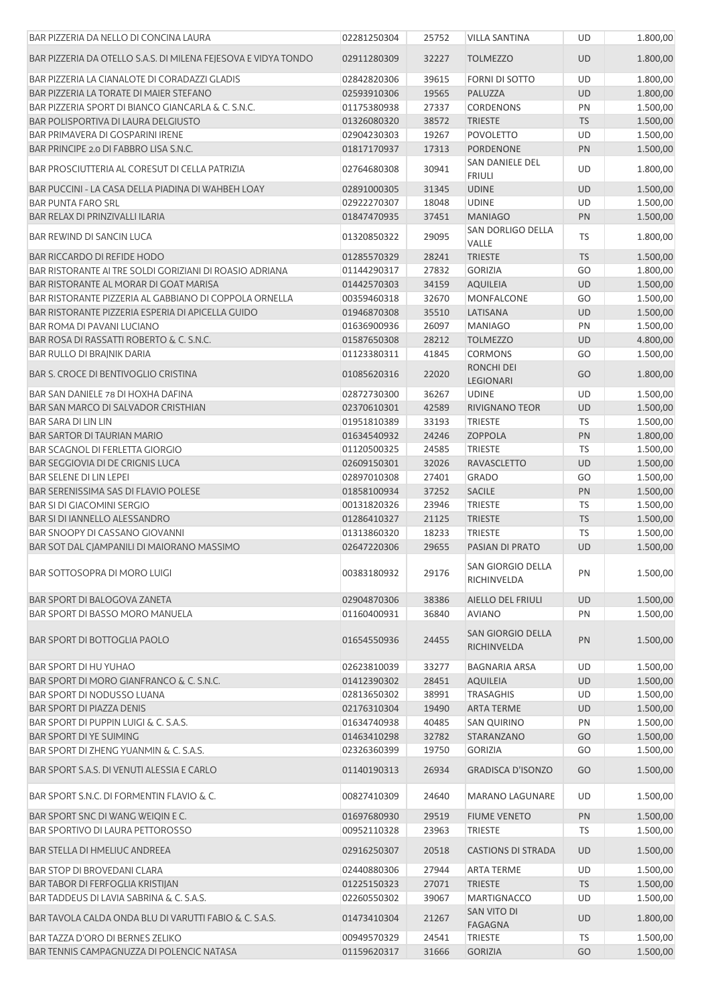| BAR PIZZERIA DA NELLO DI CONCINA LAURA                                               | 02281250304                | 25752          | <b>VILLA SANTINA</b>                  | <b>UD</b>              | 1.800,00             |
|--------------------------------------------------------------------------------------|----------------------------|----------------|---------------------------------------|------------------------|----------------------|
| BAR PIZZERIA DA OTELLO S.A.S. DI MILENA FEJESOVA E VIDYA TONDO                       | 02911280309                | 32227          | <b>TOLMEZZO</b>                       | <b>UD</b>              | 1.800,00             |
| BAR PIZZERIA LA CIANALOTE DI CORADAZZI GLADIS                                        | 02842820306                | 39615          | <b>FORNI DI SOTTO</b>                 | UD                     | 1.800,00             |
| BAR PIZZERIA LA TORATE DI MAIER STEFANO                                              | 02593910306                | 19565          | PALUZZA                               | <b>UD</b>              | 1.800,00             |
| BAR PIZZERIA SPORT DI BIANCO GIANCARLA & C. S.N.C.                                   | 01175380938                | 27337          | <b>CORDENONS</b>                      | PN                     | 1.500,00             |
| BAR POLISPORTIVA DI LAURA DELGIUSTO                                                  | 01326080320                | 38572          | <b>TRIESTE</b>                        | <b>TS</b>              | 1.500,00             |
| <b>BAR PRIMAVERA DI GOSPARINI IRENE</b>                                              | 02904230303                | 19267          | <b>POVOLETTO</b>                      | <b>UD</b>              | 1.500,00             |
| BAR PRINCIPE 2.0 DI FABBRO LISA S.N.C.                                               | 01817170937                | 17313          | <b>PORDENONE</b>                      | PN                     | 1.500,00             |
| BAR PROSCIUTTERIA AL CORESUT DI CELLA PATRIZIA                                       | 02764680308                | 30941          | SAN DANIELE DEL<br><b>FRIULI</b>      | UD                     | 1.800,00             |
| BAR PUCCINI - LA CASA DELLA PIADINA DI WAHBEH LOAY                                   | 02891000305                | 31345          | <b>UDINE</b>                          | <b>UD</b>              | 1.500,00             |
| <b>BAR PUNTA FARO SRL</b>                                                            | 02922270307                | 18048          | <b>UDINE</b>                          | UD                     | 1.500,00             |
| BAR RELAX DI PRINZIVALLI ILARIA                                                      | 01847470935                | 37451          | <b>MANIAGO</b>                        | PN                     | 1.500,00             |
| <b>BAR REWIND DI SANCIN LUCA</b>                                                     | 01320850322                | 29095          | SAN DORLIGO DELLA<br>VALLE            | TS                     | 1.800,00             |
| <b>BAR RICCARDO DI REFIDE HODO</b>                                                   | 01285570329                | 28241          | <b>TRIESTE</b>                        | <b>TS</b>              | 1.500,00             |
| BAR RISTORANTE AI TRE SOLDI GORIZIANI DI ROASIO ADRIANA                              | 01144290317                | 27832          | <b>GORIZIA</b>                        | GO                     | 1.800,00             |
| BAR RISTORANTE AL MORAR DI GOAT MARISA                                               | 01442570303                | 34159          | <b>AQUILEIA</b>                       | <b>UD</b>              | 1.500,00             |
| BAR RISTORANTE PIZZERIA AL GABBIANO DI COPPOLA ORNELLA                               | 00359460318                | 32670          | <b>MONFALCONE</b>                     | GO                     | 1.500,00             |
| BAR RISTORANTE PIZZERIA ESPERIA DI APICELLA GUIDO                                    | 01946870308                | 35510          | LATISANA                              | <b>UD</b>              | 1.500,00             |
| <b>BAR ROMA DI PAVANI LUCIANO</b>                                                    | 01636900936                | 26097          | <b>MANIAGO</b>                        | PN                     | 1.500,00             |
| BAR ROSA DI RASSATTI ROBERTO & C. S.N.C.                                             | 01587650308                | 28212          | <b>TOLMEZZO</b>                       | <b>UD</b>              | 4.800,00             |
| BAR RULLO DI BRAJNIK DARIA                                                           | 01123380311                | 41845          | <b>CORMONS</b>                        | GO                     | 1.500,00             |
| <b>BAR S. CROCE DI BENTIVOGLIO CRISTINA</b>                                          | 01085620316                | 22020          | RONCHI DEI<br>LEGIONARI               | GO                     | 1.800,00             |
| BAR SAN DANIELE 78 DI HOXHA DAFINA                                                   | 02872730300                | 36267          | <b>UDINE</b>                          | UD                     | 1.500,00             |
| BAR SAN MARCO DI SALVADOR CRISTHIAN                                                  | 02370610301                | 42589          | RIVIGNANO TEOR                        | <b>UD</b>              | 1.500,00             |
| <b>BAR SARA DI LIN LIN</b>                                                           | 01951810389                | 33193          | <b>TRIESTE</b>                        | <b>TS</b>              | 1.500,00             |
| <b>BAR SARTOR DI TAURIAN MARIO</b>                                                   | 01634540932                | 24246          | <b>ZOPPOLA</b>                        | PN                     | 1.800,00             |
| <b>BAR SCAGNOL DI FERLETTA GIORGIO</b>                                               | 01120500325                | 24585          | <b>TRIESTE</b>                        | <b>TS</b>              | 1.500,00             |
|                                                                                      | 02609150301                | 32026          | <b>RAVASCLETTO</b>                    | <b>UD</b>              | 1.500,00             |
| BAR SEGGIOVIA DI DE CRIGNIS LUCA                                                     | 02897010308                |                |                                       |                        |                      |
| <b>BAR SELENE DI LIN LEPEI</b>                                                       |                            | 27401          | <b>GRADO</b>                          | GO                     | 1.500,00             |
| BAR SERENISSIMA SAS DI FLAVIO POLESE                                                 | 01858100934                | 37252          | SACILE                                | PN                     | 1.500,00             |
| <b>BAR SI DI GIACOMINI SERGIO</b>                                                    | 00131820326                | 23946          | <b>TRIESTE</b>                        | <b>TS</b>              | 1.500,00             |
| <b>BAR SI DI IANNELLO ALESSANDRO</b>                                                 | 01286410327                | 21125          | <b>TRIESTE</b>                        | $\mathsf{T}\mathsf{S}$ | 1.500,00             |
| BAR SNOOPY DI CASSANO GIOVANNI                                                       | 01313860320                | 18233          | <b>TRIESTE</b>                        | <b>TS</b>              | 1.500,00             |
| BAR SOT DAL CJAMPANILI DI MAIORANO MASSIMO                                           | 02647220306                | 29655          | PASIAN DI PRATO                       | <b>UD</b>              | 1.500,00             |
| BAR SOTTOSOPRA DI MORO LUIGI                                                         | 00383180932                | 29176          | SAN GIORGIO DELLA<br>RICHINVELDA      | PN                     | 1.500,00             |
| <b>BAR SPORT DI BALOGOVA ZANETA</b>                                                  | 02904870306                | 38386          | AIELLO DEL FRIULI                     | <b>UD</b>              | 1.500,00             |
| BAR SPORT DI BASSO MORO MANUELA                                                      | 01160400931                | 36840          | <b>AVIANO</b>                         | PN                     | 1.500,00             |
| <b>BAR SPORT DI BOTTOGLIA PAOLO</b>                                                  | 01654550936                | 24455          | SAN GIORGIO DELLA<br>RICHINVELDA      | PN                     | 1.500,00             |
| BAR SPORT DI HU YUHAO                                                                | 02623810039                | 33277          | <b>BAGNARIA ARSA</b>                  | UD                     | 1.500,00             |
| BAR SPORT DI MORO GIANFRANCO & C. S.N.C.                                             | 01412390302                | 28451          | <b>AQUILEIA</b>                       | UD                     | 1.500,00             |
| BAR SPORT DI NODUSSO LUANA                                                           | 02813650302                | 38991          | <b>TRASAGHIS</b>                      | UD                     | 1.500,00             |
|                                                                                      | 02176310304                |                | <b>ARTA TERME</b>                     |                        |                      |
| <b>BAR SPORT DI PIAZZA DENIS</b>                                                     |                            | 19490          |                                       | UD                     | 1.500,00             |
| BAR SPORT DI PUPPIN LUIGI & C. S.A.S.                                                | 01634740938                | 40485          | <b>SAN QUIRINO</b>                    | PN                     | 1.500,00             |
| BAR SPORT DI YE SUIMING                                                              | 01463410298                | 32782          | STARANZANO                            | GO                     | 1.500,00             |
| BAR SPORT DI ZHENG YUANMIN & C. S.A.S.<br>BAR SPORT S.A.S. DI VENUTI ALESSIA E CARLO | 02326360399<br>01140190313 | 19750<br>26934 | GORIZIA<br><b>GRADISCA D'ISONZO</b>   | GO<br>GO               | 1.500,00<br>1.500,00 |
| BAR SPORT S.N.C. DI FORMENTIN FLAVIO & C.                                            | 00827410309                | 24640          | MARANO LAGUNARE                       | <b>UD</b>              | 1.500,00             |
|                                                                                      |                            |                |                                       |                        |                      |
| BAR SPORT SNC DI WANG WEIQIN E C.<br><b>BAR SPORTIVO DI LAURA PETTOROSSO</b>         | 01697680930<br>00952110328 | 29519<br>23963 | <b>FIUME VENETO</b><br><b>TRIESTE</b> | PN<br>TS               | 1.500,00<br>1.500,00 |
| <b>BAR STELLA DI HMELIUC ANDREEA</b>                                                 | 02916250307                | 20518          | <b>CASTIONS DI STRADA</b>             | UD                     | 1.500,00             |
| <b>BAR STOP DI BROVEDANI CLARA</b>                                                   | 02440880306                | 27944          | <b>ARTA TERME</b>                     | UD                     | 1.500,00             |
| BAR TABOR DI FERFOGLIA KRISTIJAN                                                     | 01225150323                | 27071          | <b>TRIESTE</b>                        | <b>TS</b>              | 1.500,00             |
| BAR TADDEUS DI LAVIA SABRINA & C. S.A.S.                                             | 02260550302                | 39067          | <b>MARTIGNACCO</b>                    | <b>UD</b>              | 1.500,00             |
| BAR TAVOLA CALDA ONDA BLU DI VARUTTI FABIO & C. S.A.S.                               | 01473410304                | 21267          | SAN VITO DI<br><b>FAGAGNA</b>         | UD                     | 1.800,00             |
| BAR TAZZA D'ORO DI BERNES ZELIKO                                                     | 00949570329                | 24541          | <b>TRIESTE</b>                        | TS                     | 1.500,00             |
| BAR TENNIS CAMPAGNUZZA DI POLENCIC NATASA                                            | 01159620317                | 31666          | <b>GORIZIA</b>                        | GO                     | 1.500,00             |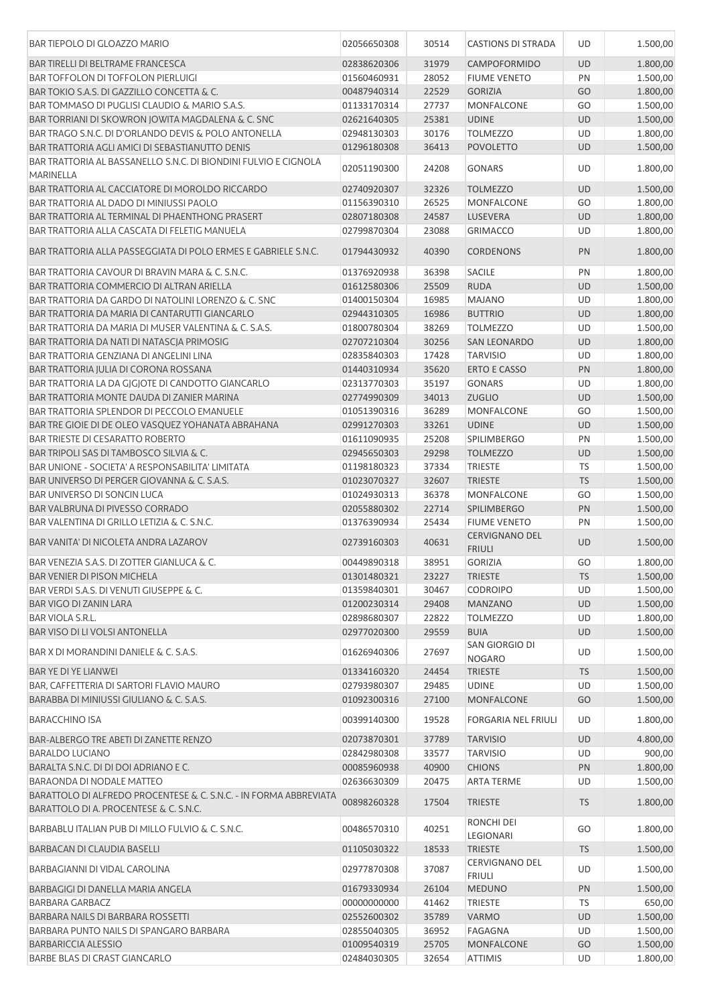| <b>BAR TIEPOLO DI GLOAZZO MARIO</b>                                                                         | 02056650308 | 30514          | <b>CASTIONS DI STRADA</b>              | UD        | 1.500,00 |
|-------------------------------------------------------------------------------------------------------------|-------------|----------------|----------------------------------------|-----------|----------|
| <b>BAR TIRELLI DI BELTRAME FRANCESCA</b>                                                                    | 02838620306 | 31979          | CAMPOFORMIDO                           | UD        | 1.800,00 |
| <b>BAR TOFFOLON DI TOFFOLON PIERLUIGI</b>                                                                   | 01560460931 | 28052          | <b>FIUME VENETO</b>                    | PN        | 1.500,00 |
| BAR TOKIO S.A.S. DI GAZZILLO CONCETTA & C.                                                                  | 00487940314 | 22529          | <b>GORIZIA</b>                         | GO        | 1.800,00 |
| BAR TOMMASO DI PUGLISI CLAUDIO & MARIO S.A.S.                                                               | 01133170314 | 27737          | <b>MONFALCONE</b>                      | GO        | 1.500,00 |
| BAR TORRIANI DI SKOWRON JOWITA MAGDALENA & C. SNC                                                           | 02621640305 | 25381          | <b>UDINE</b>                           | UD        | 1.500,00 |
| BAR TRAGO S.N.C. DI D'ORLANDO DEVIS & POLO ANTONELLA                                                        | 02948130303 | 30176          | <b>TOLMEZZO</b>                        | UD        | 1.800,00 |
| BAR TRATTORIA AGLI AMICI DI SEBASTIANUTTO DENIS                                                             | 01296180308 | 36413          | <b>POVOLETTO</b>                       | UD        | 1.500,00 |
| BAR TRATTORIA AL BASSANELLO S.N.C. DI BIONDINI FULVIO E CIGNOLA<br><b>MARINELLA</b>                         | 02051190300 | 24208          | <b>GONARS</b>                          | UD        | 1.800,00 |
| BAR TRATTORIA AL CACCIATORE DI MOROLDO RICCARDO                                                             | 02740920307 | 32326          | <b>TOLMEZZO</b>                        | UD        | 1.500,00 |
| BAR TRATTORIA AL DADO DI MINIUSSI PAOLO                                                                     | 01156390310 | 26525          | <b>MONFALCONE</b>                      | GO        | 1.800,00 |
| BAR TRATTORIA AL TERMINAL DI PHAENTHONG PRASERT                                                             | 02807180308 | 24587          | LUSEVERA                               | UD        | 1.800,00 |
| BAR TRATTORIA ALLA CASCATA DI FELETIG MANUELA                                                               | 02799870304 | 23088          | <b>GRIMACCO</b>                        | UD        | 1.800,00 |
| BAR TRATTORIA ALLA PASSEGGIATA DI POLO ERMES E GABRIELE S.N.C.                                              | 01794430932 | 40390          | <b>CORDENONS</b>                       | PN        | 1.800,00 |
|                                                                                                             |             |                |                                        |           |          |
| BAR TRATTORIA CAVOUR DI BRAVIN MARA & C. S.N.C.                                                             | 01376920938 | 36398          | <b>SACILE</b>                          | PN        | 1.800,00 |
| <b>BAR TRATTORIA COMMERCIO DI ALTRAN ARIELLA</b>                                                            | 01612580306 | 25509          | <b>RUDA</b>                            | <b>UD</b> | 1.500,00 |
| BAR TRATTORIA DA GARDO DI NATOLINI LORENZO & C. SNC                                                         | 01400150304 | 16985          | <b>MAJANO</b>                          | UD        | 1.800,00 |
| BAR TRATTORIA DA MARIA DI CANTARUTTI GIANCARLO                                                              | 02944310305 | 16986          | <b>BUTTRIO</b>                         | UD        | 1.800,00 |
| BAR TRATTORIA DA MARIA DI MUSER VALENTINA & C. S.A.S.                                                       | 01800780304 | 38269          | <b>TOLMEZZO</b>                        | UD        | 1.500,00 |
| BAR TRATTORIA DA NATI DI NATASCJA PRIMOSIG                                                                  | 02707210304 | 30256          | <b>SAN LEONARDO</b>                    | UD        | 1.800,00 |
| BAR TRATTORIA GENZIANA DI ANGELINI LINA                                                                     | 02835840303 | 17428          | <b>TARVISIO</b>                        | UD        | 1.800,00 |
| BAR TRATTORIA JULIA DI CORONA ROSSANA                                                                       | 01440310934 | 35620          | <b>ERTO E CASSO</b>                    | PN        | 1.800,00 |
| BAR TRATTORIA LA DA GIGIOTE DI CANDOTTO GIANCARLO                                                           | 02313770303 | 35197          | <b>GONARS</b>                          | UD        | 1.800,00 |
| BAR TRATTORIA MONTE DAUDA DI ZANIER MARINA                                                                  | 02774990309 | 34013          | <b>ZUGLIO</b>                          | <b>UD</b> | 1.500,00 |
| <b>BAR TRATTORIA SPLENDOR DI PECCOLO EMANUELE</b>                                                           | 01051390316 | 36289          | <b>MONFALCONE</b>                      | GO        | 1.500,00 |
| BAR TRE GIOIE DI DE OLEO VASQUEZ YOHANATA ABRAHANA                                                          | 02991270303 | 33261          | <b>UDINE</b>                           | UD        | 1.500,00 |
| <b>BAR TRIESTE DI CESARATTO ROBERTO</b>                                                                     | 01611090935 | 25208          | <b>SPILIMBERGO</b>                     | PN        | 1.500,00 |
| BAR TRIPOLI SAS DI TAMBOSCO SILVIA & C.                                                                     | 02945650303 | 29298          | <b>TOLMEZZO</b>                        | UD        | 1.500,00 |
| BAR UNIONE - SOCIETA' A RESPONSABILITA' LIMITATA                                                            | 01198180323 | 37334          | <b>TRIESTE</b>                         | TS        | 1.500,00 |
| BAR UNIVERSO DI PERGER GIOVANNA & C. S.A.S.                                                                 | 01023070327 | 32607          | <b>TRIESTE</b>                         | <b>TS</b> | 1.500,00 |
| <b>BAR UNIVERSO DI SONCIN LUCA</b>                                                                          | 01024930313 | 36378          | <b>MONFALCONE</b>                      | GO        | 1.500,00 |
| <b>BAR VALBRUNA DI PIVESSO CORRADO</b>                                                                      | 02055880302 | 22714          | <b>SPILIMBERGO</b>                     | PN        | 1.500,00 |
| BAR VALENTINA DI GRILLO LETIZIA & C. S.N.C.                                                                 | 01376390934 | 25434          | <b>FIUME VENETO</b>                    | PN        | 1.500,00 |
| BAR VANITA' DI NICOLETA ANDRA LAZAROV                                                                       | 02739160303 | 40631          | <b>CERVIGNANO DEL</b><br><b>FRIULI</b> | UD        | 1.500,00 |
| BAR VENEZIA S.A.S. DI ZOTTER GIANLUCA & C.                                                                  | 00449890318 | 38951          | <b>GORIZIA</b>                         | GO        | 1.800,00 |
| <b>BAR VENIER DI PISON MICHELA</b>                                                                          | 01301480321 | 23227          | <b>TRIESTE</b>                         | <b>TS</b> | 1.500,00 |
| BAR VERDI S.A.S. DI VENUTI GIUSEPPE & C.                                                                    | 01359840301 | 30467          | <b>CODROIPO</b>                        | UD        | 1.500,00 |
| <b>BAR VIGO DI ZANIN LARA</b>                                                                               | 01200230314 | 29408          | <b>MANZANO</b>                         | <b>UD</b> | 1.500,00 |
| <b>BAR VIOLA S.R.L.</b>                                                                                     | 02898680307 | 22822          | <b>TOLMEZZO</b>                        | UD        | 1.800,00 |
| BAR VISO DI LI VOLSI ANTONELLA                                                                              | 02977020300 | 29559          | <b>BUIA</b>                            | <b>UD</b> | 1.500,00 |
| BAR X DI MORANDINI DANIELE & C. S.A.S.                                                                      | 01626940306 | 27697          | SAN GIORGIO DI<br><b>NOGARO</b>        | UD        | 1.500,00 |
| <b>BAR YE DI YE LIANWEI</b>                                                                                 | 01334160320 | 24454          | <b>TRIESTE</b>                         | <b>TS</b> | 1.500,00 |
| BAR, CAFFETTERIA DI SARTORI FLAVIO MAURO                                                                    | 02793980307 | 29485          | <b>UDINE</b>                           | UD        | 1.500,00 |
| BARABBA DI MINIUSSI GIULIANO & C. S.A.S.                                                                    | 01092300316 | 27100          | MONFALCONE                             | GO        | 1.500,00 |
| BARACCHINO ISA                                                                                              | 00399140300 | 19528          | <b>FORGARIA NEL FRIULI</b>             | UD        | 1.800,00 |
| BAR-ALBERGO TRE ABETI DI ZANETTE RENZO                                                                      | 02073870301 | 37789          | <b>TARVISIO</b>                        | UD        | 4.800,00 |
| <b>BARALDO LUCIANO</b>                                                                                      | 02842980308 | 33577          | <b>TARVISIO</b>                        | UD        | 900,00   |
| BARALTA S.N.C. DI DI DOI ADRIANO E C.                                                                       | 00085960938 | 40900          | <b>CHIONS</b>                          | PN        | 1.800,00 |
| <b>BARAONDA DI NODALE MATTEO</b>                                                                            | 02636630309 | 20475          | <b>ARTA TERME</b>                      | UD        | 1.500,00 |
| BARATTOLO DI ALFREDO PROCENTESE & C. S.N.C. - IN FORMA ABBREVIATA<br>BARATTOLO DI A. PROCENTESE & C. S.N.C. | 00898260328 | 17504          | <b>TRIESTE</b>                         | <b>TS</b> | 1.800,00 |
| BARBABLU ITALIAN PUB DI MILLO FULVIO & C. S.N.C.                                                            | 00486570310 | 40251          | RONCHI DEI                             | GO        | 1.800,00 |
| BARBACAN DI CLAUDIA BASELLI                                                                                 | 01105030322 |                | LEGIONARI<br><b>TRIESTE</b>            | <b>TS</b> | 1.500,00 |
| BARBAGIANNI DI VIDAL CAROLINA                                                                               | 02977870308 | 18533<br>37087 | CERVIGNANO DEL                         | UD        | 1.500,00 |
|                                                                                                             |             |                | <b>FRIULI</b>                          |           |          |
| BARBAGIGI DI DANELLA MARIA ANGELA                                                                           | 01679330934 | 26104          | <b>MEDUNO</b>                          | PN        | 1.500,00 |
| BARBARA GARBACZ                                                                                             | 00000000000 | 41462          | <b>TRIESTE</b>                         | <b>TS</b> | 650,00   |
| BARBARA NAILS DI BARBARA ROSSETTI                                                                           | 02552600302 | 35789          | <b>VARMO</b>                           | <b>UD</b> | 1.500,00 |
| BARBARA PUNTO NAILS DI SPANGARO BARBARA                                                                     | 02855040305 | 36952          | <b>FAGAGNA</b>                         | UD        | 1.500,00 |
| <b>BARBARICCIA ALESSIO</b>                                                                                  | 01009540319 | 25705          | <b>MONFALCONE</b>                      | GO        | 1.500,00 |
| BARBE BLAS DI CRAST GIANCARLO                                                                               | 02484030305 | 32654          | <b>ATTIMIS</b>                         | UD        | 1.800,00 |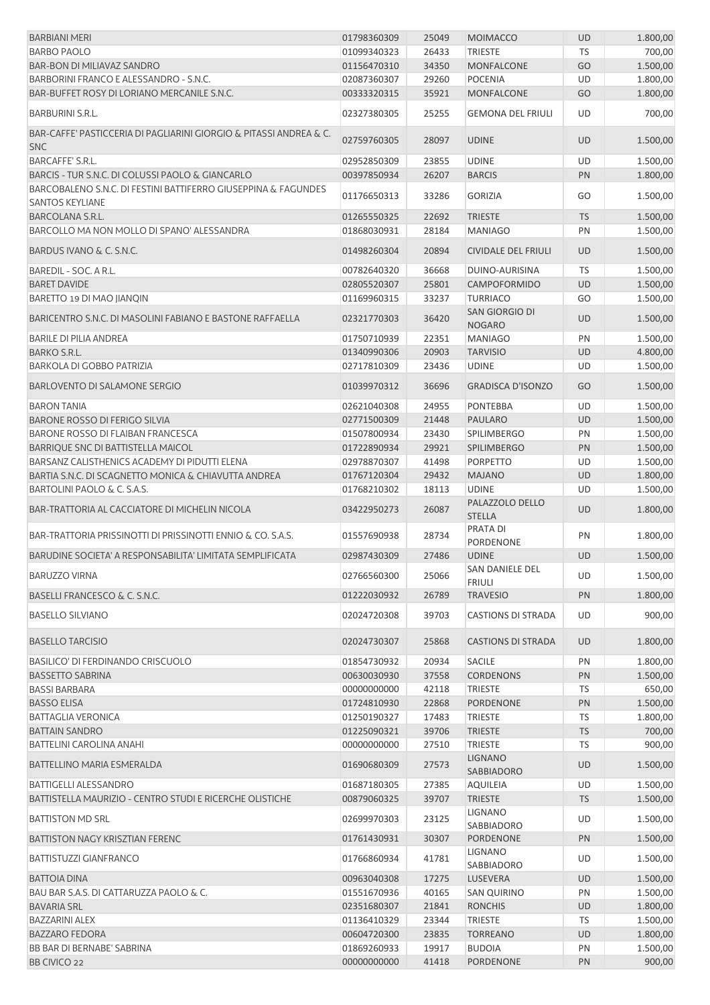| <b>BARBIANI MERI</b>                                                                     | 01798360309                | 25049          | <b>MOIMACCO</b>                  | UD        | 1.800,00 |
|------------------------------------------------------------------------------------------|----------------------------|----------------|----------------------------------|-----------|----------|
| <b>BARBO PAOLO</b>                                                                       | 01099340323                | 26433          | <b>TRIESTE</b>                   | <b>TS</b> | 700,00   |
| BAR-BON DI MILIAVAZ SANDRO                                                               | 01156470310                | 34350          | <b>MONFALCONE</b>                | GO        | 1.500,00 |
| BARBORINI FRANCO E ALESSANDRO - S.N.C.                                                   | 02087360307                | 29260          | <b>POCENIA</b>                   | UD        | 1.800,00 |
| BAR-BUFFET ROSY DI LORIANO MERCANILE S.N.C.                                              | 00333320315                | 35921          | <b>MONFALCONE</b>                | GO        | 1.800,00 |
| BARBURINI S.R.L.                                                                         | 02327380305                | 25255          | <b>GEMONA DEL FRIULI</b>         | UD        | 700,00   |
| BAR-CAFFE' PASTICCERIA DI PAGLIARINI GIORGIO & PITASSI ANDREA & C.<br><b>SNC</b>         | 02759760305                | 28097          | <b>UDINE</b>                     | <b>UD</b> | 1.500,00 |
| <b>BARCAFFE' S.R.L.</b>                                                                  | 02952850309                | 23855          | <b>UDINE</b>                     | UD        | 1.500,00 |
| BARCIS - TUR S.N.C. DI COLUSSI PAOLO & GIANCARLO                                         | 00397850934                | 26207          | <b>BARCIS</b>                    | PN        | 1.800,00 |
| BARCOBALENO S.N.C. DI FESTINI BATTIFERRO GIUSEPPINA & FAGUNDES<br><b>SANTOS KEYLIANE</b> | 01176650313                | 33286          | <b>GORIZIA</b>                   | GO        | 1.500,00 |
| <b>BARCOLANA S.R.L.</b>                                                                  | 01265550325                | 22692          | <b>TRIESTE</b>                   | <b>TS</b> | 1.500,00 |
| BARCOLLO MA NON MOLLO DI SPANO' ALESSANDRA                                               | 01868030931                | 28184          | <b>MANIAGO</b>                   | PN        | 1.500,00 |
| BARDUS IVANO & C. S.N.C.                                                                 | 01498260304                | 20894          | <b>CIVIDALE DEL FRIULI</b>       | <b>UD</b> | 1.500,00 |
| BAREDIL - SOC. A R.L.                                                                    | 00782640320                | 36668          | DUINO-AURISINA                   | <b>TS</b> | 1.500,00 |
| <b>BARET DAVIDE</b>                                                                      | 02805520307                | 25801          | <b>CAMPOFORMIDO</b>              | <b>UD</b> | 1.500,00 |
| BARETTO 19 DI MAO JIANQIN                                                                | 01169960315                | 33237          | <b>TURRIACO</b>                  | GO        | 1.500,00 |
| BARICENTRO S.N.C. DI MASOLINI FABIANO E BASTONE RAFFAELLA                                | 02321770303                | 36420          | SAN GIORGIO DI<br><b>NOGARO</b>  | UD        | 1.500,00 |
| <b>BARILE DI PILIA ANDREA</b>                                                            | 01750710939                | 22351          | <b>MANIAGO</b>                   | PN        | 1.500,00 |
| <b>BARKO S.R.L.</b>                                                                      | 01340990306                | 20903          | <b>TARVISIO</b>                  | UD        | 4.800,00 |
| <b>BARKOLA DI GOBBO PATRIZIA</b>                                                         | 02717810309                | 23436          | <b>UDINE</b>                     | UD        | 1.500,00 |
| <b>BARLOVENTO DI SALAMONE SERGIO</b>                                                     | 01039970312                | 36696          | <b>GRADISCA D'ISONZO</b>         | GO        | 1.500,00 |
| <b>BARON TANIA</b>                                                                       | 02621040308                | 24955          | <b>PONTEBBA</b>                  | UD        | 1.500,00 |
| <b>BARONE ROSSO DI FERIGO SILVIA</b>                                                     | 02771500309                | 21448          | PAULARO                          | <b>UD</b> | 1.500,00 |
| BARONE ROSSO DI FLAIBAN FRANCESCA                                                        | 01507800934                | 23430          | <b>SPILIMBERGO</b>               | PN        | 1.500,00 |
| BARRIQUE SNC DI BATTISTELLA MAICOL                                                       | 01722890934                | 29921          | <b>SPILIMBERGO</b>               | PN        | 1.500,00 |
| BARSANZ CALISTHENICS ACADEMY DI PIDUTTI ELENA                                            | 02978870307                | 41498          | <b>PORPETTO</b>                  | <b>UD</b> | 1.500,00 |
| BARTIA S.N.C. DI SCAGNETTO MONICA & CHIAVUTTA ANDREA                                     | 01767120304                | 29432          | <b>MAJANO</b>                    | <b>UD</b> | 1.800,00 |
| BARTOLINI PAOLO & C. S.A.S.                                                              | 01768210302                | 18113          | <b>UDINE</b>                     | UD        | 1.500,00 |
| BAR-TRATTORIA AL CACCIATORE DI MICHELIN NICOLA                                           | 03422950273                | 26087          | PALAZZOLO DELLO<br><b>STELLA</b> | UD        | 1.800,00 |
| BAR-TRATTORIA PRISSINOTTI DI PRISSINOTTI ENNIO & CO. S.A.S.                              | 01557690938                | 28734          | PRATA DI<br>PORDENONE            | PN        | 1.800,00 |
| BARUDINE SOCIETA' A RESPONSABILITA' LIMITATA SEMPLIFICATA                                | 02987430309                | 27486          | <b>UDINE</b>                     | UD        | 1.500,00 |
| <b>BARUZZO VIRNA</b>                                                                     | 02766560300                | 25066          | SAN DANIELE DEL<br><b>FRIULI</b> | UD        | 1.500,00 |
| BASELLI FRANCESCO & C. S.N.C.                                                            | 01222030932                | 26789          | <b>TRAVESIO</b>                  | PN        | 1.800,00 |
| <b>BASELLO SILVIANO</b>                                                                  | 02024720308                | 39703          | <b>CASTIONS DI STRADA</b>        | UD        | 900,00   |
| <b>BASELLO TARCISIO</b>                                                                  | 02024730307                | 25868          | <b>CASTIONS DI STRADA</b>        | <b>UD</b> | 1.800,00 |
| BASILICO' DI FERDINANDO CRISCUOLO                                                        | 01854730932                | 20934          | <b>SACILE</b>                    | PN        | 1.800,00 |
| <b>BASSETTO SABRINA</b>                                                                  | 00630030930                | 37558          | <b>CORDENONS</b>                 | PN        | 1.500,00 |
| <b>BASSI BARBARA</b>                                                                     | 00000000000                | 42118          | <b>TRIESTE</b>                   | TS        | 650,00   |
| <b>BASSO ELISA</b>                                                                       | 01724810930                | 22868          | PORDENONE                        | PN        | 1.500,00 |
| <b>BATTAGLIA VERONICA</b>                                                                | 01250190327                | 17483          | <b>TRIESTE</b>                   | TS        | 1.800,00 |
| <b>BATTAIN SANDRO</b>                                                                    | 01225090321                | 39706          | <b>TRIESTE</b>                   | <b>TS</b> | 700,00   |
| BATTELINI CAROLINA ANAHI                                                                 | 00000000000                | 27510          | <b>TRIESTE</b>                   | TS        | 900,00   |
| <b>BATTELLINO MARIA ESMERALDA</b>                                                        | 01690680309                | 27573          | <b>LIGNANO</b><br>SABBIADORO     | UD        | 1.500,00 |
| <b>BATTIGELLI ALESSANDRO</b>                                                             | 01687180305                | 27385          | <b>AQUILEIA</b>                  | UD        | 1.500,00 |
| BATTISTELLA MAURIZIO - CENTRO STUDI E RICERCHE OLISTICHE                                 | 00879060325                | 39707          | <b>TRIESTE</b>                   | <b>TS</b> | 1.500,00 |
| <b>BATTISTON MD SRL</b>                                                                  | 02699970303                | 23125          | <b>LIGNANO</b><br>SABBIADORO     | UD        | 1.500,00 |
| <b>BATTISTON NAGY KRISZTIAN FERENC</b>                                                   | 01761430931                | 30307          | PORDENONE                        | PN        | 1.500,00 |
| BATTISTUZZI GIANFRANCO                                                                   | 01766860934                | 41781          | <b>LIGNANO</b><br>SABBIADORO     | UD        | 1.500,00 |
| <b>BATTOIA DINA</b>                                                                      | 00963040308                | 17275          | LUSEVERA                         | UD        | 1.500,00 |
| BAU BAR S.A.S. DI CATTARUZZA PAOLO & C.                                                  | 01551670936                | 40165          | <b>SAN QUIRINO</b>               | PN        | 1.500,00 |
| <b>BAVARIA SRL</b>                                                                       | 02351680307                | 21841          | <b>RONCHIS</b>                   | <b>UD</b> | 1.800,00 |
| <b>BAZZARINI ALEX</b>                                                                    | 01136410329                | 23344          | <b>TRIESTE</b>                   | TS        | 1.500,00 |
| <b>BAZZARO FEDORA</b>                                                                    | 00604720300                | 23835          | <b>TORREANO</b>                  | UD        | 1.800,00 |
| BB BAR DI BERNABE' SABRINA                                                               | 01869260933<br>00000000000 | 19917<br>41418 | <b>BUDOIA</b><br>PORDENONE       | PN        | 1.500,00 |
| BB CIVICO 22                                                                             |                            |                |                                  | PN        | 900,00   |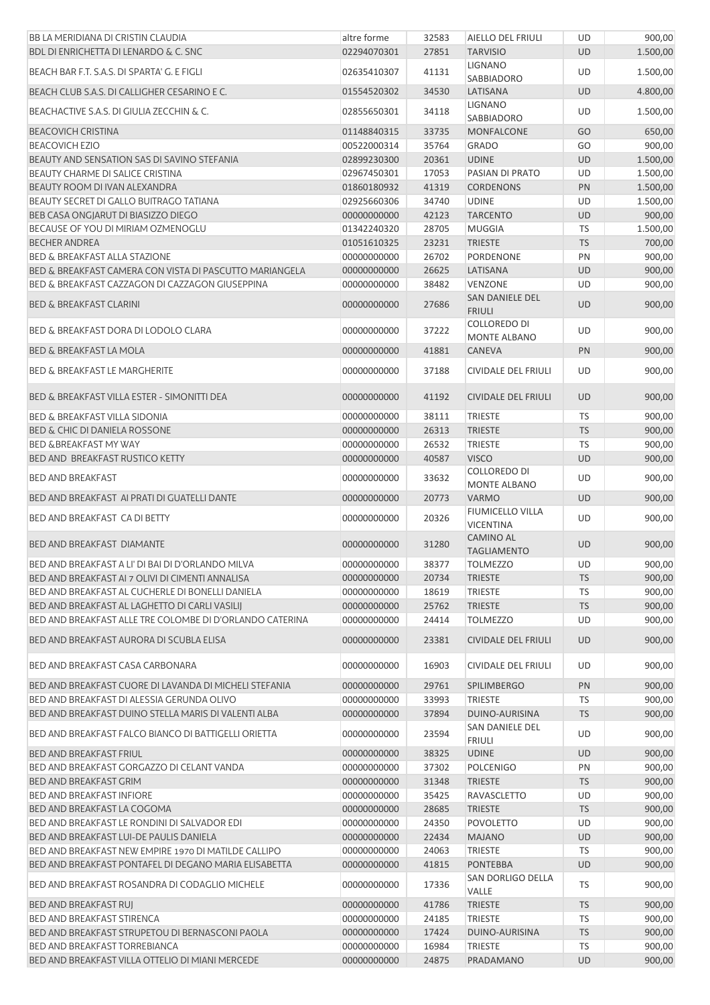| BB LA MERIDIANA DI CRISTIN CLAUDIA                       | altre forme | 32583 | AIELLO DEL FRIULI                           | UD        | 900,00   |
|----------------------------------------------------------|-------------|-------|---------------------------------------------|-----------|----------|
| BDL DI ENRICHETTA DI LENARDO & C. SNC                    | 02294070301 | 27851 | <b>TARVISIO</b>                             | <b>UD</b> | 1.500,00 |
| BEACH BAR F.T. S.A.S. DI SPARTA' G. E FIGLI              | 02635410307 | 41131 | <b>LIGNANO</b><br>SABBIADORO                | UD        | 1.500,00 |
| BEACH CLUB S.A.S. DI CALLIGHER CESARINO E C.             | 01554520302 | 34530 | LATISANA                                    | <b>UD</b> | 4.800,00 |
| BEACHACTIVE S.A.S. DI GIULIA ZECCHIN & C.                | 02855650301 | 34118 | <b>LIGNANO</b><br>SABBIADORO                | UD        | 1.500,00 |
| <b>BEACOVICH CRISTINA</b>                                | 01148840315 | 33735 | MONFALCONE                                  | GO        | 650,00   |
| <b>BEACOVICH EZIO</b>                                    | 00522000314 | 35764 | <b>GRADO</b>                                | GO        | 900,00   |
| BEAUTY AND SENSATION SAS DI SAVINO STEFANIA              | 02899230300 | 20361 | <b>UDINE</b>                                | <b>UD</b> | 1.500,00 |
| BEAUTY CHARME DI SALICE CRISTINA                         | 02967450301 | 17053 | PASIAN DI PRATO                             | UD        | 1.500,00 |
| BEAUTY ROOM DI IVAN ALEXANDRA                            | 01860180932 | 41319 | <b>CORDENONS</b>                            | PN        | 1.500,00 |
| BEAUTY SECRET DI GALLO BUITRAGO TATIANA                  | 02925660306 | 34740 | <b>UDINE</b>                                | UD        | 1.500,00 |
| BEB CASA ONGJARUT DI BIASIZZO DIEGO                      | 00000000000 | 42123 | <b>TARCENTO</b>                             | <b>UD</b> | 900,00   |
| BECAUSE OF YOU DI MIRIAM OZMENOGLU                       | 01342240320 | 28705 | <b>MUGGIA</b>                               | <b>TS</b> | 1.500,00 |
| <b>BECHER ANDREA</b>                                     | 01051610325 | 23231 | <b>TRIESTE</b>                              | <b>TS</b> | 700,00   |
| <b>BED &amp; BREAKFAST ALLA STAZIONE</b>                 | 00000000000 | 26702 | PORDENONE                                   | PN        | 900,00   |
| BED & BREAKFAST CAMERA CON VISTA DI PASCUTTO MARIANGELA  | 00000000000 | 26625 | LATISANA                                    | <b>UD</b> | 900,00   |
| BED & BREAKFAST CAZZAGON DI CAZZAGON GIUSEPPINA          | 00000000000 | 38482 | VENZONE                                     | UD        | 900,00   |
|                                                          |             |       | SAN DANIELE DEL                             |           |          |
| <b>BED &amp; BREAKFAST CLARINI</b>                       | 00000000000 | 27686 | <b>FRIULI</b>                               | <b>UD</b> | 900,00   |
| <b>BED &amp; BREAKFAST DORA DI LODOLO CLARA</b>          | 00000000000 | 37222 | <b>COLLOREDO DI</b><br>MONTE ALBANO         | UD        | 900,00   |
| <b>BED &amp; BREAKFAST LA MOLA</b>                       | 00000000000 | 41881 | CANEVA                                      | PN        | 900,00   |
| <b>BED &amp; BREAKFAST LE MARGHERITE</b>                 | 00000000000 | 37188 | <b>CIVIDALE DEL FRIULI</b>                  | UD        | 900,00   |
| BED & BREAKFAST VILLA ESTER - SIMONITTI DEA              | 00000000000 | 41192 | <b>CIVIDALE DEL FRIULI</b>                  | <b>UD</b> | 900,00   |
| <b>BED &amp; BREAKFAST VILLA SIDONIA</b>                 | 00000000000 | 38111 | TRIESTE                                     | <b>TS</b> | 900,00   |
| <b>BED &amp; CHIC DI DANIELA ROSSONE</b>                 | 00000000000 | 26313 | <b>TRIESTE</b>                              | <b>TS</b> | 900,00   |
| <b>BED &amp;BREAKFAST MY WAY</b>                         | 00000000000 | 26532 | <b>TRIESTE</b>                              | <b>TS</b> | 900,00   |
| BED AND BREAKFAST RUSTICO KETTY                          | 00000000000 | 40587 | <b>VISCO</b>                                | UD        | 900,00   |
| <b>BED AND BREAKFAST</b>                                 | 00000000000 | 33632 | <b>COLLOREDO DI</b><br>MONTE ALBANO         | UD        | 900,00   |
| BED AND BREAKFAST AI PRATI DI GUATELLI DANTE             | 00000000000 | 20773 | <b>VARMO</b>                                | <b>UD</b> | 900,00   |
| BED AND BREAKFAST CA DI BETTY                            | 00000000000 | 20326 | <b>FIUMICELLO VILLA</b><br><b>VICENTINA</b> | UD        | 900,00   |
| <b>BED AND BREAKFAST DIAMANTE</b>                        | 00000000000 | 31280 | <b>CAMINO AL</b><br><b>TAGLIAMENTO</b>      | <b>UD</b> | 900,00   |
| BED AND BREAKFAST A LI' DI BAI DI D'ORLANDO MILVA        | 00000000000 | 38377 | <b>TOLMEZZO</b>                             | UD        | 900.00   |
| BED AND BREAKFAST AI 7 OLIVI DI CIMENTI ANNALISA         | 00000000000 | 20734 | <b>TRIESTE</b>                              | <b>TS</b> | 900,00   |
| BED AND BREAKFAST AL CUCHERLE DI BONELLI DANIELA         | 00000000000 | 18619 | <b>TRIESTE</b>                              | <b>TS</b> | 900,00   |
| BED AND BREAKFAST AL LAGHETTO DI CARLI VASILIJ           | 00000000000 | 25762 | <b>TRIESTE</b>                              | <b>TS</b> | 900,00   |
| BED AND BREAKFAST ALLE TRE COLOMBE DI D'ORLANDO CATERINA | 00000000000 | 24414 | <b>TOLMEZZO</b>                             | UD        | 900,00   |
| BED AND BREAKFAST AURORA DI SCUBLA ELISA                 | 00000000000 | 23381 | <b>CIVIDALE DEL FRIULI</b>                  | <b>UD</b> | 900,00   |
|                                                          |             |       |                                             |           |          |
| BED AND BREAKFAST CASA CARBONARA                         | 00000000000 | 16903 | <b>CIVIDALE DEL FRIULI</b>                  | UD        | 900,00   |
| BED AND BREAKFAST CUORE DI LAVANDA DI MICHELI STEFANIA   | 00000000000 | 29761 | <b>SPILIMBERGO</b>                          | PN        | 900,00   |
| BED AND BREAKFAST DI ALESSIA GERUNDA OLIVO               | 00000000000 | 33993 | <b>TRIESTE</b>                              | TS        | 900,00   |
| BED AND BREAKFAST DUINO STELLA MARIS DI VALENTI ALBA     | 00000000000 | 37894 | DUINO-AURISINA                              | <b>TS</b> | 900,00   |
| BED AND BREAKFAST FALCO BIANCO DI BATTIGELLI ORIETTA     | 00000000000 | 23594 | SAN DANIELE DEL<br><b>FRIULI</b>            | UD        | 900,00   |
| <b>BED AND BREAKFAST FRIUL</b>                           | 00000000000 | 38325 | <b>UDINE</b>                                | <b>UD</b> | 900,00   |
| BED AND BREAKFAST GORGAZZO DI CELANT VANDA               | 00000000000 | 37302 | <b>POLCENIGO</b>                            | PN        | 900,00   |
| <b>BED AND BREAKFAST GRIM</b>                            | 00000000000 | 31348 | <b>TRIESTE</b>                              | <b>TS</b> | 900,00   |
| <b>BED AND BREAKFAST INFIORE</b>                         | 00000000000 | 35425 | RAVASCLETTO                                 | UD        | 900,00   |
| BED AND BREAKFAST LA COGOMA                              | 00000000000 | 28685 | <b>TRIESTE</b>                              | <b>TS</b> | 900,00   |
| BED AND BREAKFAST LE RONDINI DI SALVADOR EDI             | 00000000000 | 24350 | <b>POVOLETTO</b>                            | UD        | 900,00   |
| BED AND BREAKFAST LUI-DE PAULIS DANIELA                  | 00000000000 | 22434 | <b>MAJANO</b>                               | <b>UD</b> | 900,00   |
| BED AND BREAKFAST NEW EMPIRE 1970 DI MATILDE CALLIPO     | 00000000000 | 24063 | <b>TRIESTE</b>                              | TS        | 900,00   |
| BED AND BREAKFAST PONTAFEL DI DEGANO MARIA ELISABETTA    | 00000000000 | 41815 | <b>PONTEBBA</b>                             | UD        | 900,00   |
| BED AND BREAKFAST ROSANDRA DI CODAGLIO MICHELE           | 00000000000 | 17336 | SAN DORLIGO DELLA<br>VALLE                  | TS        | 900,00   |
| BED AND BREAKFAST RUJ                                    | 00000000000 | 41786 | <b>TRIESTE</b>                              | <b>TS</b> | 900,00   |
| <b>BED AND BREAKFAST STIRENCA</b>                        | 00000000000 | 24185 | <b>TRIESTE</b>                              | <b>TS</b> | 900,00   |
| BED AND BREAKFAST STRUPETOU DI BERNASCONI PAOLA          | 00000000000 | 17424 | DUINO-AURISINA                              | <b>TS</b> | 900,00   |
| BED AND BREAKFAST TORREBIANCA                            | 00000000000 | 16984 | <b>TRIESTE</b>                              | <b>TS</b> | 900,00   |
| BED AND BREAKFAST VILLA OTTELIO DI MIANI MERCEDE         | 00000000000 | 24875 | PRADAMANO                                   | UD        | 900,00   |
|                                                          |             |       |                                             |           |          |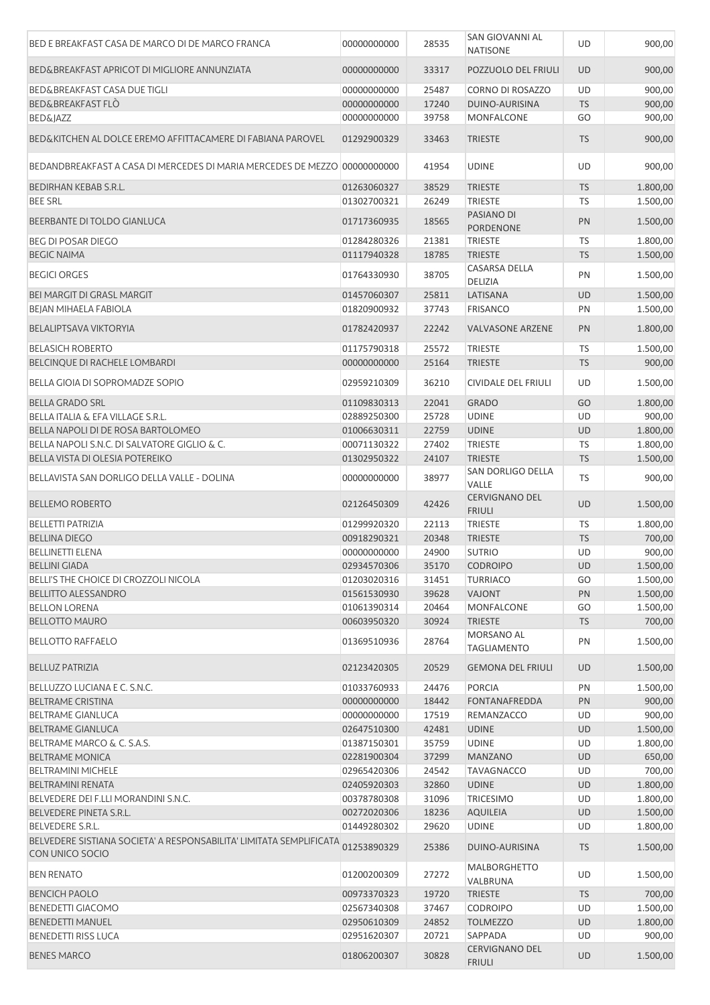| BED E BREAKFAST CASA DE MARCO DI DE MARCO FRANCA                                       | 00000000000 | 28535 | SAN GIOVANNI AL<br><b>NATISONE</b>     | <b>UD</b> | 900,00   |
|----------------------------------------------------------------------------------------|-------------|-------|----------------------------------------|-----------|----------|
| BED&BREAKFAST APRICOT DI MIGLIORE ANNUNZIATA                                           | 00000000000 | 33317 | POZZUOLO DEL FRIULI                    | <b>UD</b> | 900,00   |
| BED&BREAKFAST CASA DUE TIGLI                                                           | 00000000000 | 25487 | CORNO DI ROSAZZO                       | <b>UD</b> | 900,00   |
| <b>BED&amp;BREAKFAST FLO</b>                                                           | 00000000000 | 17240 | <b>DUINO-AURISINA</b>                  | <b>TS</b> | 900,00   |
| <b>BED&amp;JAZZ</b>                                                                    | 00000000000 | 39758 | MONFALCONE                             | GO        | 900,00   |
| BED&KITCHEN AL DOLCE EREMO AFFITTACAMERE DI FABIANA PAROVEL                            | 01292900329 | 33463 | <b>TRIESTE</b>                         | <b>TS</b> | 900,00   |
| BEDANDBREAKFAST A CASA DI MERCEDES DI MARIA MERCEDES DE MEZZO 00000000000              |             | 41954 | <b>UDINE</b>                           | UD        | 900,00   |
| BEDIRHAN KEBAB S.R.L.                                                                  | 01263060327 | 38529 | <b>TRIESTE</b>                         | <b>TS</b> | 1.800,00 |
| <b>BEE SRL</b>                                                                         | 01302700321 | 26249 | <b>TRIESTE</b>                         | TS        | 1.500,00 |
| BEERBANTE DI TOLDO GIANLUCA                                                            | 01717360935 | 18565 | PASIANO DI<br><b>PORDENONE</b>         | PN        | 1.500,00 |
| <b>BEG DI POSAR DIEGO</b>                                                              | 01284280326 | 21381 | <b>TRIESTE</b>                         | <b>TS</b> | 1.800,00 |
| <b>BEGIC NAIMA</b>                                                                     | 01117940328 | 18785 | <b>TRIESTE</b>                         | <b>TS</b> | 1.500,00 |
| <b>BEGICI ORGES</b>                                                                    | 01764330930 | 38705 | CASARSA DELLA<br><b>DELIZIA</b>        | PN        | 1.500,00 |
| <b>BEI MARGIT DI GRASL MARGIT</b>                                                      | 01457060307 | 25811 | LATISANA                               | <b>UD</b> | 1.500,00 |
| BEJAN MIHAELA FABIOLA                                                                  | 01820900932 | 37743 | <b>FRISANCO</b>                        | PN        | 1.500,00 |
| <b>BELALIPTSAVA VIKTORYIA</b>                                                          | 01782420937 | 22242 | <b>VALVASONE ARZENE</b>                | PN        | 1.800,00 |
| <b>BELASICH ROBERTO</b>                                                                | 01175790318 | 25572 | <b>TRIESTE</b>                         | TS        | 1.500,00 |
| BELCINQUE DI RACHELE LOMBARDI                                                          | 00000000000 | 25164 | <b>TRIESTE</b>                         | <b>TS</b> | 900,00   |
| BELLA GIOIA DI SOPROMADZE SOPIO                                                        | 02959210309 | 36210 | CIVIDALE DEL FRIULI                    | UD        | 1.500,00 |
| <b>BELLA GRADO SRL</b>                                                                 | 01109830313 | 22041 | <b>GRADO</b>                           | GO        | 1.800,00 |
| <b>BELLA ITALIA &amp; EFA VILLAGE S.R.L.</b>                                           | 02889250300 | 25728 | <b>UDINE</b>                           | UD        | 900,00   |
| BELLA NAPOLI DI DE ROSA BARTOLOMEO                                                     | 01006630311 | 22759 | <b>UDINE</b>                           | <b>UD</b> | 1.800,00 |
| BELLA NAPOLI S.N.C. DI SALVATORE GIGLIO & C.                                           | 00071130322 | 27402 | <b>TRIESTE</b>                         | TS        | 1.800,00 |
| BELLA VISTA DI OLESIA POTEREIKO                                                        | 01302950322 | 24107 | <b>TRIESTE</b>                         | <b>TS</b> | 1.500,00 |
| BELLAVISTA SAN DORLIGO DELLA VALLE - DOLINA                                            | 00000000000 | 38977 | SAN DORLIGO DELLA<br>VALLE             | TS        | 900,00   |
| <b>BELLEMO ROBERTO</b>                                                                 | 02126450309 | 42426 | <b>CERVIGNANO DEL</b><br><b>FRIULI</b> | <b>UD</b> | 1.500,00 |
| <b>BELLETTI PATRIZIA</b>                                                               | 01299920320 | 22113 | <b>TRIESTE</b>                         | TS        | 1.800,00 |
| <b>BELLINA DIEGO</b>                                                                   | 00918290321 | 20348 | <b>TRIESTE</b>                         | <b>TS</b> | 700,00   |
| <b>BELLINETTI ELENA</b>                                                                | 00000000000 | 24900 | <b>SUTRIO</b>                          | UD        | 900,00   |
| <b>BELLINI GIADA</b>                                                                   | 02934570306 | 35170 | <b>CODROIPO</b>                        | <b>UD</b> | 1.500,00 |
| BELLI'S THE CHOICE DI CROZZOLI NICOLA                                                  | 01203020316 | 31451 | <b>TURRIACO</b>                        | GO        | 1.500,00 |
| <b>BELLITTO ALESSANDRO</b>                                                             | 01561530930 | 39628 | <b>VAJONT</b>                          | PN        | 1.500,00 |
| <b>BELLON LORENA</b>                                                                   | 01061390314 | 20464 | <b>MONFALCONE</b>                      | GO        | 1.500,00 |
| <b>BELLOTTO MAURO</b>                                                                  | 00603950320 | 30924 | <b>TRIESTE</b>                         | <b>TS</b> | 700,00   |
| <b>BELLOTTO RAFFAELO</b>                                                               | 01369510936 | 28764 | MORSANO AL<br><b>TAGLIAMENTO</b>       | PN        | 1.500,00 |
| <b>BELLUZ PATRIZIA</b>                                                                 | 02123420305 | 20529 | <b>GEMONA DEL FRIULI</b>               | <b>UD</b> | 1.500,00 |
| BELLUZZO LUCIANA E C. S.N.C.                                                           | 01033760933 | 24476 | <b>PORCIA</b>                          | PN        | 1.500,00 |
| <b>BELTRAME CRISTINA</b>                                                               | 00000000000 | 18442 | <b>FONTANAFREDDA</b>                   | PN        | 900,00   |
| <b>BELTRAME GIANLUCA</b>                                                               | 00000000000 | 17519 | REMANZACCO                             | UD        | 900,00   |
| <b>BELTRAME GIANLUCA</b>                                                               | 02647510300 | 42481 | <b>UDINE</b>                           | UD        | 1.500,00 |
| BELTRAME MARCO & C. S.A.S.                                                             | 01387150301 | 35759 | <b>UDINE</b>                           | UD        | 1.800,00 |
| <b>BELTRAME MONICA</b>                                                                 | 02281900304 | 37299 | <b>MANZANO</b>                         | UD        | 650,00   |
| <b>BELTRAMINI MICHELE</b>                                                              | 02965420306 | 24542 | <b>TAVAGNACCO</b>                      | UD        | 700,00   |
| <b>BELTRAMINI RENATA</b>                                                               | 02405920303 | 32860 | <b>UDINE</b>                           | UD        | 1.800,00 |
| BELVEDERE DEI F.LLI MORANDINI S.N.C.                                                   | 00378780308 | 31096 | <b>TRICESIMO</b>                       | UD        | 1.800,00 |
| BELVEDERE PINETA S.R.L.                                                                | 00272020306 | 18236 | <b>AQUILEIA</b>                        | UD        | 1.500,00 |
| BELVEDERE S.R.L.                                                                       | 01449280302 | 29620 | <b>UDINE</b>                           | UD        | 1.800,00 |
| BELVEDERE SISTIANA SOCIETA' A RESPONSABILITA' LIMITATA SEMPLIFICATA<br>CON UNICO SOCIO | 01253890329 | 25386 | DUINO-AURISINA                         | <b>TS</b> | 1.500,00 |
| <b>BEN RENATO</b>                                                                      | 01200200309 | 27272 | MALBORGHETTO<br>VALBRUNA               | UD        | 1.500,00 |
| <b>BENCICH PAOLO</b>                                                                   | 00973370323 | 19720 | <b>TRIESTE</b>                         | <b>TS</b> | 700,00   |
| <b>BENEDETTI GIACOMO</b>                                                               | 02567340308 | 37467 | <b>CODROIPO</b>                        | UD        | 1.500,00 |
| <b>BENEDETTI MANUEL</b>                                                                | 02950610309 | 24852 | <b>TOLMEZZO</b>                        | UD        | 1.800,00 |
| <b>BENEDETTI RISS LUCA</b>                                                             | 02951620307 | 20721 | SAPPADA                                | UD        | 900,00   |
| <b>BENES MARCO</b>                                                                     | 01806200307 | 30828 | <b>CERVIGNANO DEL</b><br><b>FRIULI</b> | UD        | 1.500,00 |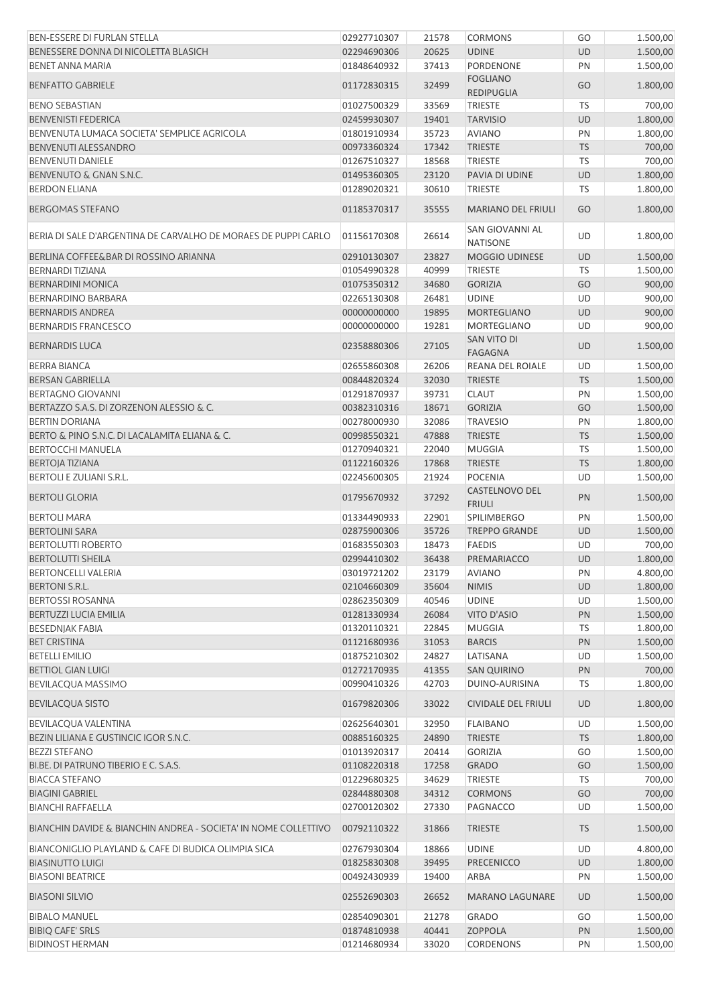| <b>BEN-ESSERE DI FURLAN STELLA</b>                              | 02927710307 | 21578 | <b>CORMONS</b>                         | GO        | 1.500,00 |
|-----------------------------------------------------------------|-------------|-------|----------------------------------------|-----------|----------|
| BENESSERE DONNA DI NICOLETTA BLASICH                            | 02294690306 | 20625 | <b>UDINE</b>                           | <b>UD</b> | 1.500,00 |
| <b>BENET ANNA MARIA</b>                                         | 01848640932 | 37413 | <b>PORDENONE</b>                       | PN        | 1.500,00 |
| <b>BENFATTO GABRIELE</b>                                        | 01172830315 | 32499 | <b>FOGLIANO</b><br><b>REDIPUGLIA</b>   | GO        | 1.800,00 |
| <b>BENO SEBASTIAN</b>                                           | 01027500329 | 33569 | <b>TRIESTE</b>                         | <b>TS</b> | 700,00   |
| <b>BENVENISTI FEDERICA</b>                                      | 02459930307 | 19401 | <b>TARVISIO</b>                        | <b>UD</b> | 1.800,00 |
| BENVENUTA LUMACA SOCIETA' SEMPLICE AGRICOLA                     | 01801910934 | 35723 | <b>AVIANO</b>                          | PN        | 1.800,00 |
| BENVENUTI ALESSANDRO                                            | 00973360324 | 17342 | <b>TRIESTE</b>                         | <b>TS</b> | 700,00   |
| <b>BENVENUTI DANIELE</b>                                        | 01267510327 | 18568 | <b>TRIESTE</b>                         | <b>TS</b> | 700,00   |
| <b>BENVENUTO &amp; GNAN S.N.C.</b>                              | 01495360305 | 23120 | PAVIA DI UDINE                         | <b>UD</b> | 1.800,00 |
| <b>BERDON ELIANA</b>                                            | 01289020321 | 30610 | <b>TRIESTE</b>                         | <b>TS</b> | 1.800,00 |
| <b>BERGOMAS STEFANO</b>                                         | 01185370317 | 35555 | <b>MARIANO DEL FRIULI</b>              | GO        | 1.800,00 |
| BERIA DI SALE D'ARGENTINA DE CARVALHO DE MORAES DE PUPPI CARLO  | 01156170308 | 26614 | SAN GIOVANNI AL<br><b>NATISONE</b>     | UD        | 1.800,00 |
| BERLINA COFFEE&BAR DI ROSSINO ARIANNA                           | 02910130307 | 23827 | <b>MOGGIO UDINESE</b>                  | <b>UD</b> | 1.500,00 |
| <b>BERNARDI TIZIANA</b>                                         | 01054990328 | 40999 | <b>TRIESTE</b>                         | <b>TS</b> | 1.500,00 |
| <b>BERNARDINI MONICA</b>                                        | 01075350312 | 34680 | <b>GORIZIA</b>                         | GO        | 900,00   |
| BERNARDINO BARBARA                                              | 02265130308 | 26481 | <b>UDINE</b>                           | <b>UD</b> | 900,00   |
| <b>BERNARDIS ANDREA</b>                                         | 00000000000 | 19895 | <b>MORTEGLIANO</b>                     | <b>UD</b> | 900,00   |
| <b>BERNARDIS FRANCESCO</b>                                      | 00000000000 | 19281 | MORTEGLIANO                            | UD        | 900,00   |
|                                                                 |             |       | SAN VITO DI                            |           |          |
| <b>BERNARDIS LUCA</b>                                           | 02358880306 | 27105 | <b>FAGAGNA</b>                         | <b>UD</b> | 1.500,00 |
| <b>BERRA BIANCA</b>                                             | 02655860308 | 26206 | REANA DEL ROIALE                       | UD        | 1.500,00 |
| <b>BERSAN GABRIELLA</b>                                         | 00844820324 | 32030 | <b>TRIESTE</b>                         | <b>TS</b> | 1.500,00 |
| <b>BERTAGNO GIOVANNI</b>                                        | 01291870937 | 39731 | <b>CLAUT</b>                           | PN        | 1.500,00 |
| BERTAZZO S.A.S. DI ZORZENON ALESSIO & C.                        | 00382310316 | 18671 | <b>GORIZIA</b>                         | GO        | 1.500,00 |
| <b>BERTIN DORIANA</b>                                           | 00278000930 | 32086 | <b>TRAVESIO</b>                        | PN        | 1.800,00 |
| BERTO & PINO S.N.C. DI LACALAMITA ELIANA & C.                   | 00998550321 | 47888 | <b>TRIESTE</b>                         | <b>TS</b> | 1.500,00 |
| <b>BERTOCCHI MANUELA</b>                                        | 01270940321 | 22040 | <b>MUGGIA</b>                          | <b>TS</b> | 1.500,00 |
| BERTOJA TIZIANA                                                 | 01122160326 | 17868 | <b>TRIESTE</b>                         | <b>TS</b> | 1.800,00 |
| <b>BERTOLI E ZULIANI S.R.L.</b>                                 | 02245600305 | 21924 | <b>POCENIA</b>                         | UD        | 1.500,00 |
| <b>BERTOLI GLORIA</b>                                           | 01795670932 | 37292 | <b>CASTELNOVO DEL</b><br><b>FRIULI</b> | PN        | 1.500,00 |
| <b>BERTOLI MARA</b>                                             | 01334490933 | 22901 | <b>SPILIMBERGO</b>                     | PN        | 1.500,00 |
| <b>BERTOLINI SARA</b>                                           | 02875900306 | 35726 | <b>TREPPO GRANDE</b>                   | UD        | 1.500,00 |
| <b>BERTOLUTTI ROBERTO</b>                                       | 01683550303 | 18473 | <b>FAEDIS</b>                          | UD        | 700,00   |
| <b>BERTOLUTTI SHEILA</b>                                        | 02994410302 | 36438 | PREMARIACCO                            | <b>UD</b> | 1.800,00 |
| <b>BERTONCELLI VALERIA</b>                                      | 03019721202 | 23179 | <b>AVIANO</b>                          | PN        | 4.800,00 |
| <b>BERTONI S.R.L.</b>                                           | 02104660309 | 35604 | <b>NIMIS</b>                           | <b>UD</b> | 1.800,00 |
| <b>BERTOSSI ROSANNA</b>                                         | 02862350309 | 40546 | <b>UDINE</b>                           | <b>UD</b> | 1.500,00 |
| BERTUZZI LUCIA EMILIA                                           | 01281330934 | 26084 | <b>VITO D'ASIO</b>                     | PN        | 1.500,00 |
| <b>BESEDNJAK FABIA</b>                                          | 01320110321 | 22845 | <b>MUGGIA</b>                          | <b>TS</b> | 1.800,00 |
| <b>BET CRISTINA</b>                                             | 01121680936 | 31053 | <b>BARCIS</b>                          | PN        | 1.500,00 |
| <b>BETELLI EMILIO</b>                                           | 01875210302 | 24827 | LATISANA                               | <b>UD</b> | 1.500,00 |
| <b>BETTIOL GIAN LUIGI</b>                                       | 01272170935 | 41355 | <b>SAN QUIRINO</b>                     | PN        | 700,00   |
| BEVILACQUA MASSIMO                                              | 00990410326 | 42703 | DUINO-AURISINA                         | TS        | 1.800,00 |
| <b>BEVILACQUA SISTO</b>                                         | 01679820306 | 33022 | <b>CIVIDALE DEL FRIULI</b>             | <b>UD</b> | 1.800,00 |
| BEVILACQUA VALENTINA                                            | 02625640301 | 32950 | <b>FLAIBANO</b>                        | <b>UD</b> | 1.500,00 |
| BEZIN LILIANA E GUSTINCIC IGOR S.N.C.                           | 00885160325 | 24890 | <b>TRIESTE</b>                         | <b>TS</b> | 1.800,00 |
| <b>BEZZI STEFANO</b>                                            | 01013920317 | 20414 | <b>GORIZIA</b>                         | GO        | 1.500,00 |
| BI.BE. DI PATRUNO TIBERIO E C. S.A.S.                           | 01108220318 | 17258 | <b>GRADO</b>                           | GO        | 1.500,00 |
| <b>BIACCA STEFANO</b>                                           | 01229680325 | 34629 | TRIESTE                                | <b>TS</b> | 700,00   |
| <b>BIAGINI GABRIEL</b>                                          | 02844880308 | 34312 | <b>CORMONS</b>                         | GO        | 700,00   |
| <b>BIANCHI RAFFAELLA</b>                                        | 02700120302 | 27330 | PAGNACCO                               | <b>UD</b> | 1.500,00 |
| BIANCHIN DAVIDE & BIANCHIN ANDREA - SOCIETA' IN NOME COLLETTIVO | 00792110322 | 31866 | <b>TRIESTE</b>                         | <b>TS</b> | 1.500,00 |
| BIANCONIGLIO PLAYLAND & CAFE DI BUDICA OLIMPIA SICA             | 02767930304 | 18866 | <b>UDINE</b>                           | UD        | 4.800,00 |
| <b>BIASINUTTO LUIGI</b>                                         | 01825830308 | 39495 | <b>PRECENICCO</b>                      | UD        | 1.800,00 |
| <b>BIASONI BEATRICE</b>                                         | 00492430939 | 19400 | ARBA                                   | PN        | 1.500,00 |
| <b>BIASONI SILVIO</b>                                           | 02552690303 | 26652 | <b>MARANO LAGUNARE</b>                 | UD        | 1.500,00 |
|                                                                 |             |       |                                        |           |          |
| <b>BIBALO MANUEL</b>                                            | 02854090301 | 21278 | <b>GRADO</b>                           | GO        | 1.500,00 |
| <b>BIBIQ CAFE' SRLS</b>                                         | 01874810938 | 40441 | <b>ZOPPOLA</b>                         | PN        | 1.500,00 |
| <b>BIDINOST HERMAN</b>                                          | 01214680934 | 33020 | <b>CORDENONS</b>                       | PN        | 1.500,00 |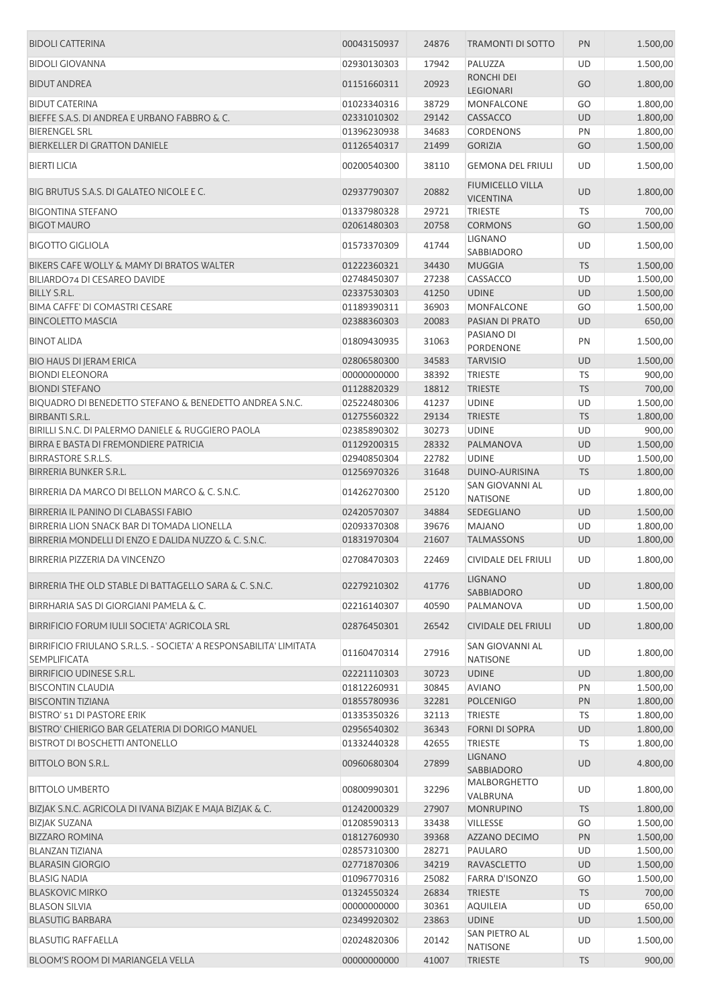| <b>BIDOLI CATTERINA</b>                                            | 00043150937 | 24876 | <b>TRAMONTI DI SOTTO</b>                    | PN        | 1.500,00 |
|--------------------------------------------------------------------|-------------|-------|---------------------------------------------|-----------|----------|
| <b>BIDOLI GIOVANNA</b>                                             | 02930130303 | 17942 | PALUZZA                                     | UD        | 1.500,00 |
| <b>BIDUT ANDREA</b>                                                | 01151660311 | 20923 | RONCHI DEI<br>LEGIONARI                     | GO        | 1.800,00 |
| <b>BIDUT CATERINA</b>                                              | 01023340316 | 38729 | MONFALCONE                                  | GO        | 1.800,00 |
| BIEFFE S.A.S. DI ANDREA E URBANO FABBRO & C.                       | 02331010302 | 29142 | CASSACCO                                    | <b>UD</b> | 1.800,00 |
| <b>BIERENGEL SRL</b>                                               | 01396230938 | 34683 | CORDENONS                                   | PN        | 1.800,00 |
|                                                                    |             |       |                                             |           |          |
| <b>BIERKELLER DI GRATTON DANIELE</b>                               | 01126540317 | 21499 | <b>GORIZIA</b>                              | GO        | 1.500,00 |
| <b>BIERTI LICIA</b>                                                | 00200540300 | 38110 | <b>GEMONA DEL FRIULI</b>                    | UD        | 1.500,00 |
| BIG BRUTUS S.A.S. DI GALATEO NICOLE E C.                           | 02937790307 | 20882 | <b>FIUMICELLO VILLA</b><br><b>VICENTINA</b> | <b>UD</b> | 1.800,00 |
| <b>BIGONTINA STEFANO</b>                                           | 01337980328 | 29721 | <b>TRIESTE</b>                              | TS        | 700,00   |
| <b>BIGOT MAURO</b>                                                 | 02061480303 | 20758 | <b>CORMONS</b>                              | GO        | 1.500,00 |
| <b>BIGOTTO GIGLIOLA</b>                                            | 01573370309 | 41744 | LIGNANO<br>SABBIADORO                       | UD        | 1.500,00 |
| BIKERS CAFE WOLLY & MAMY DI BRATOS WALTER                          | 01222360321 | 34430 | <b>MUGGIA</b>                               | <b>TS</b> | 1.500,00 |
| BILIARDO74 DI CESAREO DAVIDE                                       |             | 27238 | CASSACCO                                    | UD        |          |
|                                                                    | 02748450307 |       |                                             |           | 1.500,00 |
| <b>BILLY S.R.L.</b>                                                | 02337530303 | 41250 | <b>UDINE</b>                                | <b>UD</b> | 1.500,00 |
| <b>BIMA CAFFE' DI COMASTRI CESARE</b>                              | 01189390311 | 36903 | MONFALCONE                                  | GO        | 1.500,00 |
| <b>BINCOLETTO MASCIA</b>                                           | 02388360303 | 20083 | PASIAN DI PRATO                             | <b>UD</b> | 650,00   |
| <b>BINOT ALIDA</b>                                                 | 01809430935 | 31063 | PASIANO DI<br>PORDENONE                     | PN        | 1.500,00 |
| <b>BIO HAUS DI JERAM ERICA</b>                                     | 02806580300 | 34583 | <b>TARVISIO</b>                             | <b>UD</b> | 1.500,00 |
| <b>BIONDI ELEONORA</b>                                             | 00000000000 | 38392 | <b>TRIESTE</b>                              | TS        | 900,00   |
| <b>BIONDI STEFANO</b>                                              | 01128820329 | 18812 | <b>TRIESTE</b>                              | <b>TS</b> | 700,00   |
|                                                                    |             |       |                                             |           |          |
| BIQUADRO DI BENEDETTO STEFANO & BENEDETTO ANDREA S.N.C.            | 02522480306 | 41237 | <b>UDINE</b>                                | UD        | 1.500,00 |
| <b>BIRBANTI S.R.L.</b>                                             | 01275560322 | 29134 | <b>TRIESTE</b>                              | <b>TS</b> | 1.800,00 |
| BIRILLI S.N.C. DI PALERMO DANIELE & RUGGIERO PAOLA                 | 02385890302 | 30273 | <b>UDINE</b>                                | UD        | 900,00   |
| BIRRA E BASTA DI FREMONDIERE PATRICIA                              | 01129200315 | 28332 | PALMANOVA                                   | UD        | 1.500,00 |
| <b>BIRRASTORE S.R.L.S.</b>                                         | 02940850304 | 22782 | <b>UDINE</b>                                | UD        | 1.500,00 |
| BIRRERIA BUNKER S.R.L.                                             | 01256970326 | 31648 | DUINO-AURISINA                              | <b>TS</b> | 1.800,00 |
| BIRRERIA DA MARCO DI BELLON MARCO & C. S.N.C.                      | 01426270300 | 25120 | SAN GIOVANNI AL<br><b>NATISONE</b>          | UD        | 1.800,00 |
| BIRRERIA IL PANINO DI CLABASSI FABIO                               | 02420570307 | 34884 | SEDEGLIANO                                  | <b>UD</b> | 1.500,00 |
| BIRRERIA LION SNACK BAR DI TOMADA LIONELLA                         |             | 39676 |                                             |           |          |
|                                                                    | 02093370308 |       | <b>MAJANO</b>                               | UD        | 1.800,00 |
| BIRRERIA MONDELLI DI ENZO E DALIDA NUZZO & C. S.N.C.               | 01831970304 | 21607 | <b>TALMASSONS</b>                           | <b>UD</b> | 1.800,00 |
| BIRRERIA PIZZERIA DA VINCENZO                                      | 02708470303 | 22469 | CIVIDALE DEL FRIULI                         | UD        | 1.800,00 |
| BIRRERIA THE OLD STABLE DI BATTAGELLO SARA & C. S.N.C.             | 02279210302 | 41776 | <b>LIGNANO</b><br>SABBIADORO                | <b>UD</b> | 1.800,00 |
| BIRRHARIA SAS DI GIORGIANI PAMELA & C.                             | 02216140307 | 40590 | PALMANOVA                                   | UD        | 1.500,00 |
| BIRRIFICIO FORUM IULII SOCIETA' AGRICOLA SRL                       | 02876450301 | 26542 | <b>CIVIDALE DEL FRIULI</b>                  | <b>UD</b> | 1.800,00 |
| BIRRIFICIO FRIULANO S.R.L.S. - SOCIETA' A RESPONSABILITA' LIMITATA |             |       | SAN GIOVANNI AL                             |           |          |
| <b>SEMPLIFICATA</b>                                                | 01160470314 | 27916 | <b>NATISONE</b>                             | UD        | 1.800,00 |
| BIRRIFICIO UDINESE S.R.L.                                          | 02221110303 | 30723 | <b>UDINE</b>                                | UD        | 1.800,00 |
| <b>BISCONTIN CLAUDIA</b>                                           | 01812260931 | 30845 | <b>AVIANO</b>                               | PN        | 1.500,00 |
| <b>BISCONTIN TIZIANA</b>                                           | 01855780936 | 32281 | <b>POLCENIGO</b>                            | PN        | 1.800,00 |
| <b>BISTRO' 51 DI PASTORE ERIK</b>                                  | 01335350326 | 32113 | <b>TRIESTE</b>                              | <b>TS</b> | 1.800,00 |
| BISTRO' CHIERIGO BAR GELATERIA DI DORIGO MANUEL                    | 02956540302 | 36343 | <b>FORNI DI SOPRA</b>                       | UD        | 1.800,00 |
| BISTROT DI BOSCHETTI ANTONELLO                                     | 01332440328 | 42655 | <b>TRIESTE</b>                              | TS        | 1.800,00 |
| BITTOLO BON S.R.L.                                                 | 00960680304 | 27899 | <b>LIGNANO</b><br>SABBIADORO                | UD        | 4.800,00 |
| <b>BITTOLO UMBERTO</b>                                             | 00800990301 | 32296 | MALBORGHETTO                                | UD        | 1.800,00 |
| BIZJAK S.N.C. AGRICOLA DI IVANA BIZJAK E MAJA BIZJAK & C.          | 01242000329 | 27907 | VALBRUNA<br><b>MONRUPINO</b>                | <b>TS</b> | 1.800,00 |
| <b>BIZJAK SUZANA</b>                                               | 01208590313 | 33438 | VILLESSE                                    | GO        | 1.500,00 |
| <b>BIZZARO ROMINA</b>                                              | 01812760930 | 39368 | AZZANO DECIMO                               | PN        | 1.500,00 |
| BLANZAN TIZIANA                                                    | 02857310300 | 28271 | PAULARO                                     | UD        | 1.500,00 |
|                                                                    |             |       |                                             |           |          |
| <b>BLARASIN GIORGIO</b>                                            | 02771870306 | 34219 | <b>RAVASCLETTO</b>                          | UD        | 1.500,00 |
| <b>BLASIG NADIA</b>                                                | 01096770316 | 25082 | FARRA D'ISONZO                              | GO        | 1.500,00 |
| <b>BLASKOVIC MIRKO</b>                                             | 01324550324 | 26834 | <b>TRIESTE</b>                              | <b>TS</b> | 700,00   |
| <b>BLASON SILVIA</b>                                               | 00000000000 | 30361 | <b>AQUILEIA</b>                             | UD        | 650,00   |
| <b>BLASUTIG BARBARA</b>                                            | 02349920302 | 23863 | <b>UDINE</b>                                | UD        | 1.500,00 |
| <b>BLASUTIG RAFFAELLA</b>                                          | 02024820306 | 20142 | SAN PIETRO AL                               | UD        | 1.500,00 |
| <b>BLOOM'S ROOM DI MARIANGELA VELLA</b>                            | 00000000000 | 41007 | <b>NATISONE</b><br><b>TRIESTE</b>           | <b>TS</b> | 900,00   |
|                                                                    |             |       |                                             |           |          |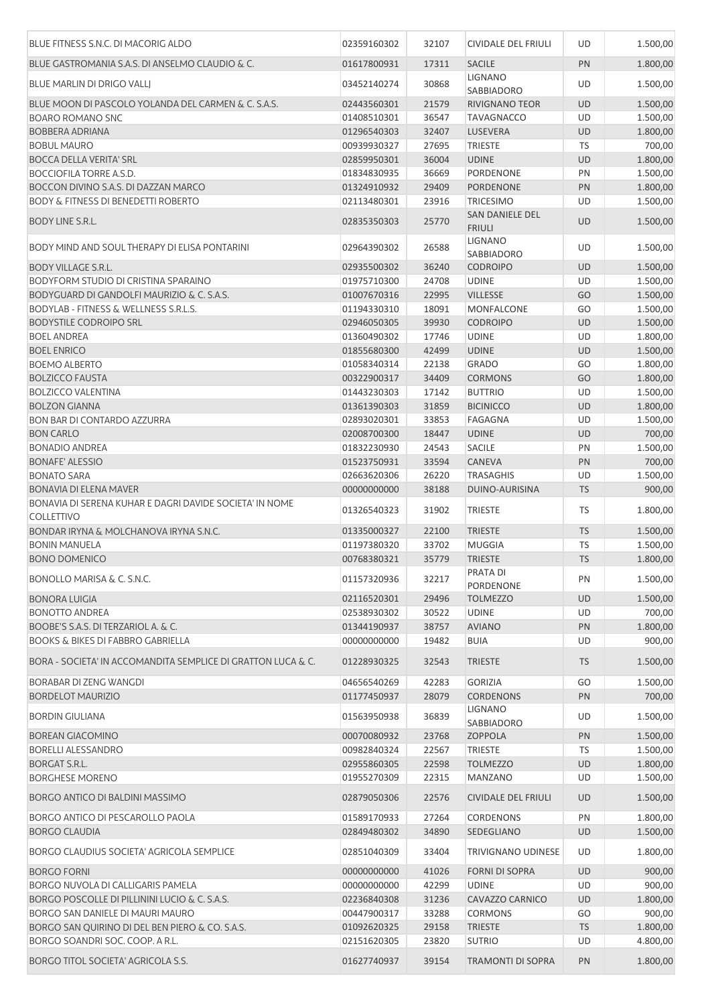| BLUE FITNESS S.N.C. DI MACORIG ALDO                                          | 02359160302 | 32107 | <b>CIVIDALE DEL FRIULI</b>          | <b>UD</b> | 1.500,00 |
|------------------------------------------------------------------------------|-------------|-------|-------------------------------------|-----------|----------|
| BLUE GASTROMANIA S.A.S. DI ANSELMO CLAUDIO & C.                              | 01617800931 | 17311 | <b>SACILE</b>                       | PN        | 1.800,00 |
| BLUE MARLIN DI DRIGO VALLI                                                   | 03452140274 | 30868 | <b>LIGNANO</b>                      | UD        | 1.500,00 |
| BLUE MOON DI PASCOLO YOLANDA DEL CARMEN & C. S.A.S.                          | 02443560301 | 21579 | SABBIADORO<br><b>RIVIGNANO TEOR</b> | UD        | 1.500,00 |
| <b>BOARO ROMANO SNC</b>                                                      |             | 36547 |                                     | UD        |          |
|                                                                              | 01408510301 |       | <b>TAVAGNACCO</b>                   |           | 1.500,00 |
| <b>BOBBERA ADRIANA</b>                                                       | 01296540303 | 32407 | LUSEVERA                            | <b>UD</b> | 1.800,00 |
| <b>BOBUL MAURO</b>                                                           | 00939930327 | 27695 | <b>TRIESTE</b>                      | <b>TS</b> | 700,00   |
| <b>BOCCA DELLA VERITA' SRL</b>                                               | 02859950301 | 36004 | <b>UDINE</b>                        | <b>UD</b> | 1.800,00 |
| <b>BOCCIOFILA TORRE A.S.D.</b>                                               | 01834830935 | 36669 | <b>PORDENONE</b>                    | PN        | 1.500,00 |
| BOCCON DIVINO S.A.S. DI DAZZAN MARCO                                         | 01324910932 | 29409 | <b>PORDENONE</b>                    | PN        | 1.800,00 |
| <b>BODY &amp; FITNESS DI BENEDETTI ROBERTO</b>                               | 02113480301 | 23916 | <b>TRICESIMO</b>                    | UD        | 1.500,00 |
| <b>BODY LINE S.R.L.</b>                                                      | 02835350303 | 25770 | SAN DANIELE DEL<br><b>FRIULI</b>    | <b>UD</b> | 1.500,00 |
| BODY MIND AND SOUL THERAPY DI ELISA PONTARINI                                | 02964390302 | 26588 | <b>LIGNANO</b><br>SABBIADORO        | UD        | 1.500,00 |
| <b>BODY VILLAGE S.R.L.</b>                                                   | 02935500302 | 36240 | <b>CODROIPO</b>                     | <b>UD</b> | 1.500,00 |
| BODYFORM STUDIO DI CRISTINA SPARAINO                                         | 01975710300 | 24708 | <b>UDINE</b>                        | UD        | 1.500,00 |
|                                                                              |             |       |                                     |           |          |
| BODYGUARD DI GANDOLFI MAURIZIO & C. S.A.S.                                   | 01007670316 | 22995 | <b>VILLESSE</b>                     | GO        | 1.500,00 |
| <b>BODYLAB - FITNESS &amp; WELLNESS S.R.L.S.</b>                             | 01194330310 | 18091 | <b>MONFALCONE</b>                   | GO        | 1.500,00 |
| <b>BODYSTILE CODROIPO SRL</b>                                                | 02946050305 | 39930 | <b>CODROIPO</b>                     | <b>UD</b> | 1.500,00 |
| <b>BOEL ANDREA</b>                                                           | 01360490302 | 17746 | <b>UDINE</b>                        | UD        | 1.800,00 |
| <b>BOEL ENRICO</b>                                                           | 01855680300 | 42499 | <b>UDINE</b>                        | <b>UD</b> | 1.500,00 |
| <b>BOEMO ALBERTO</b>                                                         | 01058340314 | 22138 | <b>GRADO</b>                        | GO        | 1.800,00 |
|                                                                              |             |       |                                     |           |          |
| <b>BOLZICCO FAUSTA</b>                                                       | 00322900317 | 34409 | <b>CORMONS</b>                      | GO        | 1.800,00 |
| <b>BOLZICCO VALENTINA</b>                                                    | 01443230303 | 17142 | <b>BUTTRIO</b>                      | UD        | 1.500,00 |
| <b>BOLZON GIANNA</b>                                                         | 01361390303 | 31859 | <b>BICINICCO</b>                    | <b>UD</b> | 1.800,00 |
| <b>BON BAR DI CONTARDO AZZURRA</b>                                           | 02893020301 | 33853 | <b>FAGAGNA</b>                      | UD        | 1.500,00 |
| <b>BON CARLO</b>                                                             | 02008700300 | 18447 | <b>UDINE</b>                        | <b>UD</b> | 700,00   |
| <b>BONADIO ANDREA</b>                                                        | 01832230930 | 24543 | <b>SACILE</b>                       | PN        | 1.500,00 |
| <b>BONAFE' ALESSIO</b>                                                       | 01523750931 | 33594 | CANEVA                              | PN        | 700,00   |
|                                                                              |             |       |                                     |           |          |
| <b>BONATO SARA</b>                                                           | 02663620306 | 26220 | <b>TRASAGHIS</b>                    | UD        | 1.500,00 |
| <b>BONAVIA DI ELENA MAVER</b>                                                | 00000000000 | 38188 | DUINO-AURISINA                      | <b>TS</b> | 900,00   |
| BONAVIA DI SERENA KUHAR E DAGRI DAVIDE SOCIETA' IN NOME<br><b>COLLETTIVO</b> | 01326540323 | 31902 | <b>TRIESTE</b>                      | TS        | 1.800,00 |
| <b>BONDAR IRYNA &amp; MOLCHANOVA IRYNA S.N.C.</b>                            | 01335000327 | 22100 | <b>TRIESTE</b>                      | <b>TS</b> | 1.500,00 |
| <b>BONIN MANUELA</b>                                                         | 01197380320 | 33702 | <b>MUGGIA</b>                       | <b>TS</b> | 1.500,00 |
| <b>BONO DOMENICO</b>                                                         | 00768380321 | 35779 | <b>TRIESTE</b>                      | <b>TS</b> | 1.800,00 |
|                                                                              |             |       | PRATA DI                            |           |          |
| BONOLLO MARISA & C. S.N.C.                                                   | 01157320936 | 32217 | PORDENONE                           | PN        | 1.500,00 |
| <b>BONORA LUIGIA</b>                                                         | 02116520301 | 29496 | <b>TOLMEZZO</b>                     | <b>UD</b> | 1.500,00 |
| <b>BONOTTO ANDREA</b>                                                        | 02538930302 | 30522 | <b>UDINE</b>                        | UD        | 700,00   |
| BOOBE'S S.A.S. DI TERZARIOL A. & C.                                          | 01344190937 | 38757 | <b>AVIANO</b>                       | PN        | 1.800,00 |
| <b>BOOKS &amp; BIKES DI FABBRO GABRIELLA</b>                                 | 00000000000 | 19482 | <b>BUIA</b>                         | UD        | 900,00   |
| BORA - SOCIETA' IN ACCOMANDITA SEMPLICE DI GRATTON LUCA & C.                 | 01228930325 | 32543 | <b>TRIESTE</b>                      | <b>TS</b> | 1.500,00 |
| BORABAR DI ZENG WANGDI                                                       | 04656540269 | 42283 | <b>GORIZIA</b>                      | GO        | 1.500,00 |
|                                                                              | 01177450937 | 28079 | <b>CORDENONS</b>                    | PN        | 700,00   |
| <b>BORDELOT MAURIZIO</b><br><b>BORDIN GIULIANA</b>                           | 01563950938 | 36839 | <b>LIGNANO</b>                      | UD        | 1.500,00 |
|                                                                              |             |       | SABBIADORO                          |           |          |
| <b>BOREAN GIACOMINO</b>                                                      | 00070080932 | 23768 | <b>ZOPPOLA</b>                      | PN        | 1.500,00 |
| <b>BORELLI ALESSANDRO</b>                                                    | 00982840324 | 22567 | <b>TRIESTE</b>                      | TS        | 1.500,00 |
| <b>BORGAT S.R.L.</b>                                                         | 02955860305 | 22598 | <b>TOLMEZZO</b>                     | <b>UD</b> | 1.800,00 |
| <b>BORGHESE MORENO</b>                                                       | 01955270309 | 22315 | <b>MANZANO</b>                      | UD        | 1.500,00 |
| BORGO ANTICO DI BALDINI MASSIMO                                              | 02879050306 | 22576 | <b>CIVIDALE DEL FRIULI</b>          | UD        | 1.500,00 |
| BORGO ANTICO DI PESCAROLLO PAOLA                                             | 01589170933 | 27264 | <b>CORDENONS</b>                    | PN        | 1.800,00 |
| <b>BORGO CLAUDIA</b>                                                         | 02849480302 | 34890 | SEDEGLIANO                          | <b>UD</b> | 1.500,00 |
| BORGO CLAUDIUS SOCIETA' AGRICOLA SEMPLICE                                    | 02851040309 | 33404 | TRIVIGNANO UDINESE                  | UD        | 1.800,00 |
| <b>BORGO FORNI</b>                                                           | 00000000000 | 41026 | <b>FORNI DI SOPRA</b>               | UD        | 900,00   |
| BORGO NUVOLA DI CALLIGARIS PAMELA                                            |             | 42299 | <b>UDINE</b>                        | UD        | 900,00   |
|                                                                              | 00000000000 |       |                                     |           |          |
| BORGO POSCOLLE DI PILLININI LUCIO & C. S.A.S.                                | 02236840308 | 31236 | <b>CAVAZZO CARNICO</b>              | UD        | 1.800,00 |
| BORGO SAN DANIELE DI MAURI MAURO                                             | 00447900317 | 33288 | <b>CORMONS</b>                      | GO        | 900,00   |
| BORGO SAN QUIRINO DI DEL BEN PIERO & CO. S.A.S.                              | 01092620325 | 29158 | <b>TRIESTE</b>                      | <b>TS</b> | 1.800,00 |
| BORGO SOANDRI SOC. COOP. A R.L.                                              | 02151620305 | 23820 | <b>SUTRIO</b>                       | UD        | 4.800,00 |
| BORGO TITOL SOCIETA' AGRICOLA S.S.                                           | 01627740937 | 39154 | <b>TRAMONTI DI SOPRA</b>            | PN        | 1.800,00 |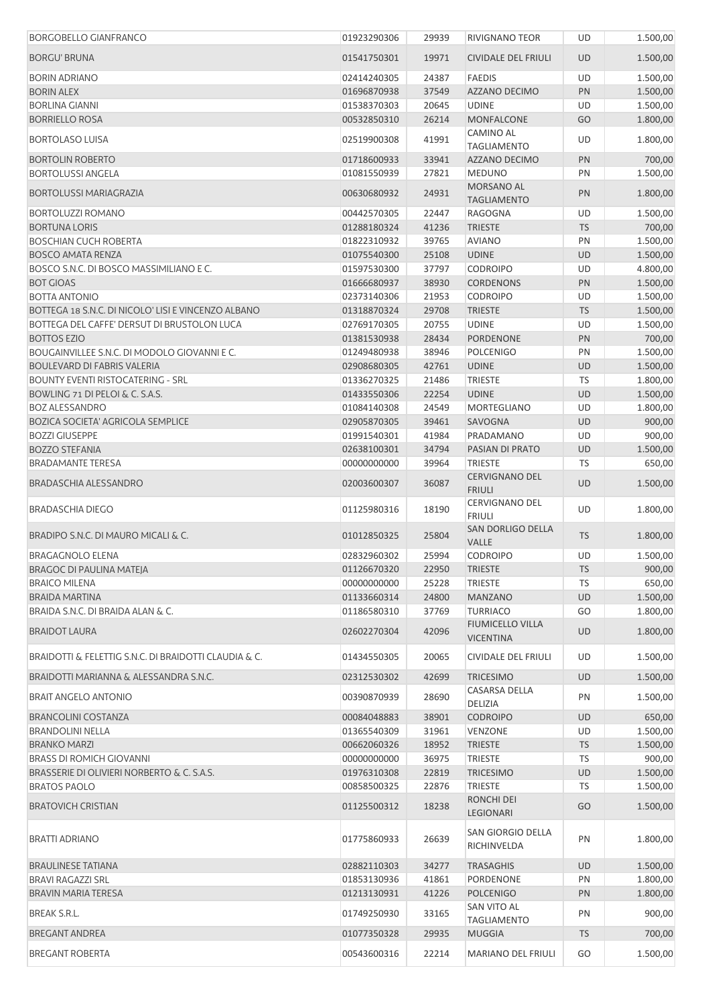| <b>BORGOBELLO GIANFRANCO</b>                          | 01923290306 | 29939          | RIVIGNANO TEOR                              | UD        | 1.500,00 |
|-------------------------------------------------------|-------------|----------------|---------------------------------------------|-----------|----------|
| <b>BORGU' BRUNA</b>                                   | 01541750301 | 19971          | CIVIDALE DEL FRIULI                         | <b>UD</b> | 1.500,00 |
| <b>BORIN ADRIANO</b>                                  | 02414240305 | 24387          | <b>FAEDIS</b>                               | UD        | 1.500,00 |
| <b>BORIN ALEX</b>                                     | 01696870938 | 37549          | AZZANO DECIMO                               | PN        | 1.500,00 |
| <b>BORLINA GIANNI</b>                                 | 01538370303 | 20645          | <b>UDINE</b>                                | UD        | 1.500,00 |
| <b>BORRIELLO ROSA</b>                                 | 00532850310 | 26214          | <b>MONFALCONE</b>                           | GO        | 1.800,00 |
| <b>BORTOLASO LUISA</b>                                | 02519900308 | 41991          | CAMINO AL<br><b>TAGLIAMENTO</b>             | UD        | 1.800,00 |
| <b>BORTOLIN ROBERTO</b>                               | 01718600933 | 33941          | AZZANO DECIMO                               | PN        | 700,00   |
| <b>BORTOLUSSI ANGELA</b>                              | 01081550939 | 27821          | <b>MEDUNO</b>                               | PN        | 1.500,00 |
| <b>BORTOLUSSI MARIAGRAZIA</b>                         | 00630680932 | 24931          | MORSANO AL<br><b>TAGLIAMENTO</b>            | <b>PN</b> | 1.800,00 |
| <b>BORTOLUZZI ROMANO</b>                              | 00442570305 | 22447          | <b>RAGOGNA</b>                              | UD        | 1.500,00 |
| <b>BORTUNA LORIS</b>                                  | 01288180324 | 41236          | <b>TRIESTE</b>                              | <b>TS</b> | 700,00   |
| <b>BOSCHIAN CUCH ROBERTA</b>                          | 01822310932 | 39765          | <b>AVIANO</b>                               | PN        | 1.500,00 |
| <b>BOSCO AMATA RENZA</b>                              | 01075540300 | 25108          | <b>UDINE</b>                                | UD        | 1.500,00 |
| BOSCO S.N.C. DI BOSCO MASSIMILIANO E C.               | 01597530300 | 37797          | <b>CODROIPO</b>                             | UD        | 4.800,00 |
| <b>BOT GIOAS</b>                                      | 01666680937 | 38930          | <b>CORDENONS</b>                            | PN        | 1.500,00 |
| <b>BOTTA ANTONIO</b>                                  | 02373140306 | 21953          | <b>CODROIPO</b>                             | UD        | 1.500,00 |
| BOTTEGA 18 S.N.C. DI NICOLO' LISI E VINCENZO ALBANO   | 01318870324 | 29708          | <b>TRIESTE</b>                              | <b>TS</b> | 1.500,00 |
| BOTTEGA DEL CAFFE' DERSUT DI BRUSTOLON LUCA           | 02769170305 | 20755          | <b>UDINE</b>                                | UD        | 1.500,00 |
| <b>BOTTOS EZIO</b>                                    | 01381530938 | 28434          | <b>PORDENONE</b>                            | <b>PN</b> | 700,00   |
| BOUGAINVILLEE S.N.C. DI MODOLO GIOVANNI E C.          | 01249480938 | 38946          | <b>POLCENIGO</b>                            | PN        | 1.500,00 |
| BOULEVARD DI FABRIS VALERIA                           | 02908680305 | 42761          | <b>UDINE</b>                                | UD        | 1.500,00 |
| <b>BOUNTY EVENTI RISTOCATERING - SRL</b>              | 01336270325 | 21486          | <b>TRIESTE</b>                              | <b>TS</b> | 1.800,00 |
| BOWLING 71 DI PELOI & C. S.A.S.                       | 01433550306 | 22254          | <b>UDINE</b>                                | UD        | 1.500,00 |
| <b>BOZ ALESSANDRO</b>                                 | 01084140308 | 24549          | MORTEGLIANO                                 | UD        | 1.800,00 |
| <b>BOZICA SOCIETA' AGRICOLA SEMPLICE</b>              | 02905870305 | 39461          | SAVOGNA                                     | UD        | 900,00   |
| <b>BOZZI GIUSEPPE</b>                                 | 01991540301 | 41984          | PRADAMANO                                   | UD        | 900,00   |
| <b>BOZZO STEFANIA</b>                                 | 02638100301 | 34794          | PASIAN DI PRATO                             | UD        | 1.500,00 |
| <b>BRADAMANTE TERESA</b>                              | 00000000000 | 39964          | <b>TRIESTE</b>                              | TS        | 650,00   |
| <b>BRADASCHIA ALESSANDRO</b>                          | 02003600307 | 36087          | <b>CERVIGNANO DEL</b><br><b>FRIULI</b>      | <b>UD</b> | 1.500,00 |
| <b>BRADASCHIA DIEGO</b>                               | 01125980316 | 18190          | <b>CERVIGNANO DEL</b><br><b>FRIULI</b>      | UD        | 1.800,00 |
| BRADIPO S.N.C. DI MAURO MICALI & C.                   | 01012850325 | 25804          | <b>SAN DORLIGO DELLA</b><br><b>VALLE</b>    | <b>TS</b> | 1.800,00 |
| <b>BRAGAGNOLO ELENA</b>                               | 02832960302 | 25994          | <b>CODROIPO</b>                             | UD        | 1.500,00 |
| BRAGOC DI PAULINA MATEJA                              | 01126670320 |                | 22950 TRIESTE                               | <b>TS</b> | 900,00   |
| <b>BRAICO MILENA</b>                                  | 00000000000 | 25228          | <b>TRIESTE</b>                              | TS        | 650,00   |
| <b>BRAIDA MARTINA</b>                                 | 01133660314 | 24800          | <b>MANZANO</b>                              | UD        | 1.500,00 |
| BRAIDA S.N.C. DI BRAIDA ALAN & C.                     | 01186580310 | 37769          | <b>TURRIACO</b>                             | GO        | 1.800,00 |
| <b>BRAIDOT LAURA</b>                                  | 02602270304 | 42096          | <b>FIUMICELLO VILLA</b><br><b>VICENTINA</b> | UD        | 1.800,00 |
| BRAIDOTTI & FELETTIG S.N.C. DI BRAIDOTTI CLAUDIA & C. | 01434550305 | 20065          | <b>CIVIDALE DEL FRIULI</b>                  | <b>UD</b> | 1.500,00 |
| BRAIDOTTI MARIANNA & ALESSANDRA S.N.C.                | 02312530302 | 42699          | <b>TRICESIMO</b>                            | UD        | 1.500,00 |
| <b>BRAIT ANGELO ANTONIO</b>                           | 00390870939 | 28690          | CASARSA DELLA                               | PN        | 1.500,00 |
| <b>BRANCOLINI COSTANZA</b>                            | 00084048883 |                | DELIZIA<br><b>CODROIPO</b>                  |           | 650,00   |
| <b>BRANDOLINI NELLA</b>                               |             | 38901<br>31961 |                                             | UD<br>UD  | 1.500,00 |
| <b>BRANKO MARZI</b>                                   | 01365540309 | 18952          | VENZONE                                     |           |          |
|                                                       | 00662060326 |                | <b>TRIESTE</b>                              | <b>TS</b> | 1.500,00 |
| <b>BRASS DI ROMICH GIOVANNI</b>                       | 00000000000 | 36975          | <b>TRIESTE</b>                              | TS        | 900,00   |
| BRASSERIE DI OLIVIERI NORBERTO & C. S.A.S.            | 01976310308 | 22819          | <b>TRICESIMO</b>                            | UD        | 1.500,00 |
| <b>BRATOS PAOLO</b>                                   | 00858500325 | 22876          | <b>TRIESTE</b>                              | <b>TS</b> | 1.500,00 |
| <b>BRATOVICH CRISTIAN</b>                             | 01125500312 | 18238          | RONCHI DEI<br>LEGIONARI                     | GO        | 1.500,00 |
| BRATTI ADRIANO                                        | 01775860933 | 26639          | SAN GIORGIO DELLA<br>RICHINVELDA            | PN        | 1.800,00 |
| <b>BRAULINESE TATIANA</b>                             | 02882110303 | 34277          | <b>TRASAGHIS</b>                            | UD        | 1.500,00 |
| <b>BRAVI RAGAZZI SRL</b>                              | 01853130936 | 41861          | PORDENONE                                   | PN        | 1.800,00 |
| <b>BRAVIN MARIA TERESA</b>                            | 01213130931 | 41226          | <b>POLCENIGO</b>                            | <b>PN</b> | 1.800,00 |
| BREAK S.R.L.                                          | 01749250930 | 33165          | SAN VITO AL<br><b>TAGLIAMENTO</b>           | PN        | 900,00   |
| <b>BREGANT ANDREA</b>                                 | 01077350328 | 29935          | <b>MUGGIA</b>                               | <b>TS</b> | 700,00   |
| <b>BREGANT ROBERTA</b>                                | 00543600316 | 22214          | <b>MARIANO DEL FRIULI</b>                   | GO        | 1.500,00 |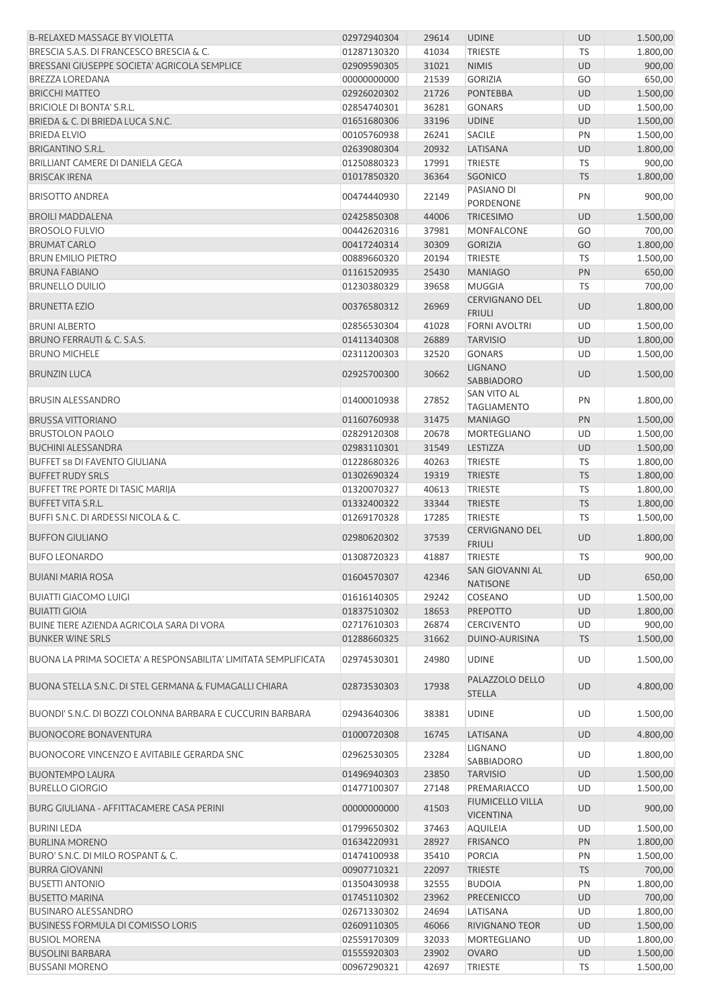| <b>B-RELAXED MASSAGE BY VIOLETTA</b>                            | 02972940304 | 29614 | <b>UDINE</b>                                | <b>UD</b> | 1.500,00 |
|-----------------------------------------------------------------|-------------|-------|---------------------------------------------|-----------|----------|
| BRESCIA S.A.S. DI FRANCESCO BRESCIA & C.                        | 01287130320 | 41034 | <b>TRIESTE</b>                              | <b>TS</b> | 1.800,00 |
| BRESSANI GIUSEPPE SOCIETA' AGRICOLA SEMPLICE                    | 02909590305 | 31021 | <b>NIMIS</b>                                | UD        | 900,00   |
| <b>BREZZA LOREDANA</b>                                          | 00000000000 | 21539 | <b>GORIZIA</b>                              | GO        | 650,00   |
| <b>BRICCHI MATTEO</b>                                           | 02926020302 | 21726 | <b>PONTEBBA</b>                             | <b>UD</b> | 1.500,00 |
| <b>BRICIOLE DI BONTA' S.R.L.</b>                                | 02854740301 | 36281 | <b>GONARS</b>                               | UD        | 1.500,00 |
| BRIEDA & C. DI BRIEDA LUCA S.N.C.                               | 01651680306 | 33196 | <b>UDINE</b>                                | <b>UD</b> | 1.500,00 |
| <b>BRIEDA ELVIO</b>                                             | 00105760938 | 26241 | <b>SACILE</b>                               | PN        | 1.500,00 |
| <b>BRIGANTINO S.R.L.</b>                                        | 02639080304 | 20932 | LATISANA                                    | <b>UD</b> | 1.800,00 |
| BRILLIANT CAMERE DI DANIELA GEGA                                | 01250880323 | 17991 | <b>TRIESTE</b>                              | TS        | 900,00   |
| <b>BRISCAK IRENA</b>                                            | 01017850320 | 36364 | <b>SGONICO</b>                              | <b>TS</b> | 1.800,00 |
| <b>BRISOTTO ANDREA</b>                                          | 00474440930 | 22149 | PASIANO DI<br>PORDENONE                     | PN        | 900,00   |
| <b>BROILI MADDALENA</b>                                         | 02425850308 | 44006 | <b>TRICESIMO</b>                            | <b>UD</b> | 1.500,00 |
| <b>BROSOLO FULVIO</b>                                           | 00442620316 | 37981 | <b>MONFALCONE</b>                           | GO        | 700,00   |
| <b>BRUMAT CARLO</b>                                             | 00417240314 | 30309 | <b>GORIZIA</b>                              | GO        | 1.800,00 |
| <b>BRUN EMILIO PIETRO</b>                                       | 00889660320 | 20194 | <b>TRIESTE</b>                              | TS        | 1.500,00 |
| <b>BRUNA FABIANO</b>                                            | 01161520935 | 25430 | <b>MANIAGO</b>                              | PN        | 650,00   |
| <b>BRUNELLO DUILIO</b>                                          | 01230380329 | 39658 | <b>MUGGIA</b>                               | TS        | 700,00   |
| <b>BRUNETTA EZIO</b>                                            | 00376580312 | 26969 | <b>CERVIGNANO DEL</b><br><b>FRIULI</b>      | UD        | 1.800,00 |
| <b>BRUNI ALBERTO</b>                                            | 02856530304 | 41028 | <b>FORNI AVOLTRI</b>                        | UD        | 1.500,00 |
| BRUNO FERRAUTI & C. S.A.S.                                      | 01411340308 | 26889 | <b>TARVISIO</b>                             | UD        | 1.800,00 |
| <b>BRUNO MICHELE</b>                                            | 02311200303 | 32520 | <b>GONARS</b>                               | UD        | 1.500,00 |
| <b>BRUNZIN LUCA</b>                                             | 02925700300 | 30662 | <b>LIGNANO</b><br>SABBIADORO                | UD        | 1.500,00 |
| <b>BRUSIN ALESSANDRO</b>                                        | 01400010938 | 27852 | SAN VITO AL<br><b>TAGLIAMENTO</b>           | PN        | 1.800,00 |
| <b>BRUSSA VITTORIANO</b>                                        | 01160760938 | 31475 | <b>MANIAGO</b>                              | PN        | 1.500,00 |
| <b>BRUSTOLON PAOLO</b>                                          | 02829120308 | 20678 | <b>MORTEGLIANO</b>                          | UD        | 1.500,00 |
| <b>BUCHINI ALESSANDRA</b>                                       | 02983110301 | 31549 | LESTIZZA                                    | UD        | 1.500,00 |
| <b>BUFFET 58 DI FAVENTO GIULIANA</b>                            | 01228680326 | 40263 | <b>TRIESTE</b>                              | <b>TS</b> | 1.800,00 |
| <b>BUFFET RUDY SRLS</b>                                         | 01302690324 | 19319 | <b>TRIESTE</b>                              | <b>TS</b> | 1.800,00 |
| <b>BUFFET TRE PORTE DI TASIC MARIJA</b>                         | 01320070327 | 40613 | <b>TRIESTE</b>                              | TS        | 1.800,00 |
| <b>BUFFET VITA S.R.L.</b>                                       | 01332400322 | 33344 | <b>TRIESTE</b>                              | <b>TS</b> | 1.800,00 |
| BUFFI S.N.C. DI ARDESSI NICOLA & C.                             | 01269170328 | 17285 | <b>TRIESTE</b>                              | TS        | 1.500,00 |
| <b>BUFFON GIULIANO</b>                                          | 02980620302 | 37539 | <b>CERVIGNANO DEL</b><br><b>FRIULI</b>      | UD        | 1.800,00 |
| <b>BUFO LEONARDO</b>                                            | 01308720323 | 41887 | <b>TRIESTE</b>                              | TS        | 900,00   |
| <b>BUIANI MARIA ROSA</b>                                        | 01604570307 | 42346 | SAN GIOVANNI AL<br><b>NATISONE</b>          | <b>UD</b> | 650,00   |
| <b>BUIATTI GIACOMO LUIGI</b>                                    | 01616140305 | 29242 | COSEANO                                     | UD        | 1.500,00 |
| <b>BUIATTI GIOIA</b>                                            | 01837510302 | 18653 | <b>PREPOTTO</b>                             | <b>UD</b> | 1.800,00 |
| BUINE TIERE AZIENDA AGRICOLA SARA DI VORA                       | 02717610303 | 26874 | <b>CERCIVENTO</b>                           | UD        | 900,00   |
| <b>BUNKER WINE SRLS</b>                                         | 01288660325 | 31662 | DUINO-AURISINA                              | <b>TS</b> | 1.500,00 |
|                                                                 |             |       |                                             |           |          |
| BUONA LA PRIMA SOCIETA' A RESPONSABILITA' LIMITATA SEMPLIFICATA | 02974530301 | 24980 | <b>UDINE</b>                                | UD        | 1.500,00 |
| BUONA STELLA S.N.C. DI STEL GERMANA & FUMAGALLI CHIARA          | 02873530303 | 17938 | PALAZZOLO DELLO<br><b>STELLA</b>            | <b>UD</b> | 4.800,00 |
| BUONDI' S.N.C. DI BOZZI COLONNA BARBARA E CUCCURIN BARBARA      | 02943640306 | 38381 | <b>UDINE</b>                                | UD        | 1.500,00 |
| <b>BUONOCORE BONAVENTURA</b>                                    | 01000720308 | 16745 | LATISANA                                    | <b>UD</b> | 4.800,00 |
| BUONOCORE VINCENZO E AVITABILE GERARDA SNC                      | 02962530305 | 23284 | LIGNANO<br>SABBIADORO                       | UD        | 1.800,00 |
| <b>BUONTEMPO LAURA</b>                                          | 01496940303 | 23850 | <b>TARVISIO</b>                             | <b>UD</b> | 1.500,00 |
| <b>BURELLO GIORGIO</b>                                          | 01477100307 | 27148 | PREMARIACCO                                 | UD        | 1.500,00 |
| BURG GIULIANA - AFFITTACAMERE CASA PERINI                       | 00000000000 | 41503 | <b>FIUMICELLO VILLA</b><br><b>VICENTINA</b> | <b>UD</b> | 900,00   |
| <b>BURINI LEDA</b>                                              | 01799650302 | 37463 | AQUILEIA                                    | UD        | 1.500,00 |
| <b>BURLINA MORENO</b>                                           | 01634220931 | 28927 | <b>FRISANCO</b>                             | PN        | 1.800,00 |
| BURO' S.N.C. DI MILO ROSPANT & C.                               | 01474100938 | 35410 | <b>PORCIA</b>                               | PN        | 1.500,00 |
| <b>BURRA GIOVANNI</b>                                           | 00907710321 | 22097 | <b>TRIESTE</b>                              | <b>TS</b> | 700,00   |
| <b>BUSETTI ANTONIO</b>                                          | 01350430938 | 32555 | <b>BUDOIA</b>                               | PN        | 1.800,00 |
| <b>BUSETTO MARINA</b>                                           | 01745110302 | 23962 | <b>PRECENICCO</b>                           | <b>UD</b> | 700,00   |
| <b>BUSINARO ALESSANDRO</b>                                      | 02671330302 | 24694 | LATISANA                                    | UD        | 1.800,00 |
| <b>BUSINESS FORMULA DI COMISSO LORIS</b>                        | 02609110305 | 46066 | RIVIGNANO TEOR                              | UD        | 1.500,00 |
| <b>BUSIOL MORENA</b>                                            | 02559170309 | 32033 | MORTEGLIANO                                 | UD        | 1.800,00 |
| <b>BUSOLINI BARBARA</b>                                         | 01555920303 | 23902 | <b>OVARO</b>                                | UD        | 1.500,00 |
| <b>BUSSANI MORENO</b>                                           | 00967290321 | 42697 | TRIESTE                                     | TS        | 1.500,00 |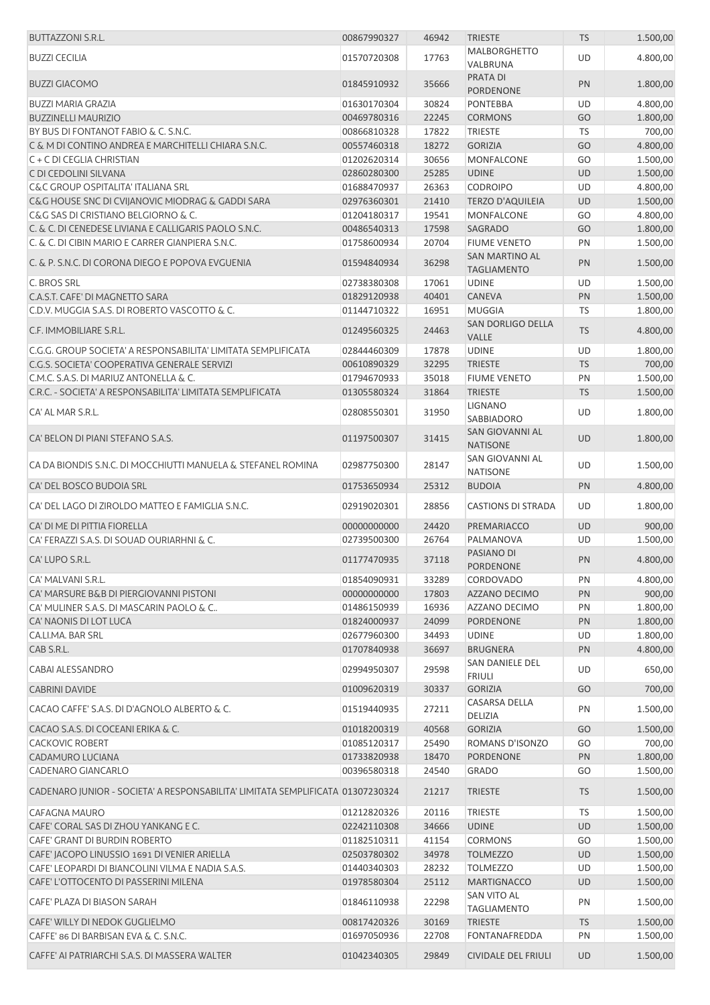| <b>BUTTAZZONI S.R.L.</b>                                                                             | 00867990327                | 46942 | <b>TRIESTE</b>                                   | <b>TS</b> | 1.500,00 |
|------------------------------------------------------------------------------------------------------|----------------------------|-------|--------------------------------------------------|-----------|----------|
| <b>BUZZI CECILIA</b>                                                                                 | 01570720308                | 17763 | <b>MALBORGHETTO</b><br>VALBRUNA                  | <b>UD</b> | 4.800,00 |
| <b>BUZZI GIACOMO</b>                                                                                 | 01845910932                | 35666 | PRATA DI<br>PORDENONE                            | PN        | 1.800,00 |
| <b>BUZZI MARIA GRAZIA</b>                                                                            | 01630170304                | 30824 | <b>PONTEBBA</b>                                  | UD        | 4.800,00 |
| <b>BUZZINELLI MAURIZIO</b>                                                                           | 00469780316                | 22245 | <b>CORMONS</b>                                   | GO        | 1.800,00 |
| BY BUS DI FONTANOT FABIO & C. S.N.C.                                                                 | 00866810328                | 17822 | <b>TRIESTE</b>                                   | <b>TS</b> | 700,00   |
| C & M DI CONTINO ANDREA E MARCHITELLI CHIARA S.N.C.                                                  | 00557460318                | 18272 | <b>GORIZIA</b>                                   | GO        | 4.800,00 |
| C + C DI CEGLIA CHRISTIAN                                                                            | 01202620314                | 30656 | <b>MONFALCONE</b>                                | GO        | 1.500,00 |
| C DI CEDOLINI SILVANA                                                                                | 02860280300                | 25285 | <b>UDINE</b>                                     | <b>UD</b> | 1.500,00 |
| <b>C&amp;C GROUP OSPITALITA' ITALIANA SRL</b>                                                        | 01688470937                | 26363 | <b>CODROIPO</b>                                  | UD        | 4.800,00 |
| C&G HOUSE SNC DI CVIJANOVIC MIODRAG & GADDI SARA                                                     | 02976360301                | 21410 | <b>TERZO D'AQUILEIA</b>                          | <b>UD</b> | 1.500,00 |
|                                                                                                      |                            |       |                                                  |           |          |
| C&G SAS DI CRISTIANO BELGIORNO & C.                                                                  | 01204180317                | 19541 | MONFALCONE                                       | GO        | 4.800,00 |
| C. & C. DI CENEDESE LIVIANA E CALLIGARIS PAOLO S.N.C.                                                | 00486540313                | 17598 | SAGRADO                                          | GO        | 1.800,00 |
| C. & C. DI CIBIN MARIO E CARRER GIANPIERA S.N.C.<br>C. & P. S.N.C. DI CORONA DIEGO E POPOVA EVGUENIA | 01758600934<br>01594840934 | 20704 | <b>FIUME VENETO</b><br>SAN MARTINO AL            | PN<br>PN  | 1.500,00 |
|                                                                                                      |                            | 36298 | <b>TAGLIAMENTO</b>                               |           | 1.500,00 |
| C. BROS SRL                                                                                          | 02738380308                | 17061 | <b>UDINE</b>                                     | UD        | 1.500,00 |
| C.A.S.T. CAFE' DI MAGNETTO SARA                                                                      | 01829120938                | 40401 | <b>CANEVA</b>                                    | PN        | 1.500,00 |
| C.D.V. MUGGIA S.A.S. DI ROBERTO VASCOTTO & C.                                                        | 01144710322                | 16951 | <b>MUGGIA</b>                                    | <b>TS</b> | 1.800,00 |
| C.F. IMMOBILIARE S.R.L.                                                                              | 01249560325                | 24463 | <b>SAN DORLIGO DELLA</b><br>VALLE                | <b>TS</b> | 4.800,00 |
| C.G.G. GROUP SOCIETA' A RESPONSABILITA' LIMITATA SEMPLIFICATA                                        | 02844460309                | 17878 | <b>UDINE</b>                                     | UD        | 1.800,00 |
| C.G.S. SOCIETA' COOPERATIVA GENERALE SERVIZI                                                         | 00610890329                | 32295 | <b>TRIESTE</b>                                   | <b>TS</b> | 700,00   |
| C.M.C. S.A.S. DI MARIUZ ANTONELLA & C.                                                               | 01794670933                | 35018 | <b>FIUME VENETO</b>                              | PN        | 1.500,00 |
| C.R.C. - SOCIETA' A RESPONSABILITA' LIMITATA SEMPLIFICATA                                            | 01305580324                | 31864 | <b>TRIESTE</b>                                   | <b>TS</b> | 1.500,00 |
| CA' AL MAR S.R.L.                                                                                    | 02808550301                | 31950 | <b>LIGNANO</b>                                   | UD        | 1.800,00 |
| CA' BELON DI PIANI STEFANO S.A.S.                                                                    | 01197500307                | 31415 | SABBIADORO<br>SAN GIOVANNI AL<br><b>NATISONE</b> | <b>UD</b> | 1.800,00 |
| CA DA BIONDIS S.N.C. DI MOCCHIUTTI MANUELA & STEFANEL ROMINA                                         | 02987750300                | 28147 | SAN GIOVANNI AL<br><b>NATISONE</b>               | UD        | 1.500,00 |
| CA' DEL BOSCO BUDOIA SRL                                                                             | 01753650934                | 25312 | <b>BUDOIA</b>                                    | PN        | 4.800,00 |
| CA' DEL LAGO DI ZIROLDO MATTEO E FAMIGLIA S.N.C.                                                     | 02919020301                | 28856 | <b>CASTIONS DI STRADA</b>                        | UD        | 1.800,00 |
| CA' DI ME DI PITTIA FIORELLA                                                                         | 00000000000                | 24420 | PREMARIACCO                                      | UD        | 900,00   |
| CA' FERAZZI S.A.S. DI SOUAD OURIARHNI & C.                                                           | 02739500300                | 26764 | PALMANOVA                                        | UD        | 1.500,00 |
| CA' LUPO S.R.L.                                                                                      | 01177470935                | 37118 | PASIANO DI                                       | PN        | 4.800,00 |
|                                                                                                      |                            |       | PORDENONE                                        |           |          |
| CA' MALVANI S.R.L.                                                                                   | 01854090931                | 33289 | CORDOVADO                                        | PN        | 4.800,00 |
| CA' MARSURE B&B DI PIERGIOVANNI PISTONI                                                              | 00000000000                | 17803 | AZZANO DECIMO                                    | PN        | 900,00   |
| CA' MULINER S.A.S. DI MASCARIN PAOLO & C                                                             | 01486150939                | 16936 | AZZANO DECIMO                                    | PN        | 1.800,00 |
| CA' NAONIS DI LOT LUCA                                                                               | 01824000937                | 24099 | PORDENONE                                        | PN        | 1.800,00 |
| CA.LI.MA. BAR SRL                                                                                    | 02677960300                | 34493 | <b>UDINE</b>                                     | UD        | 1.800,00 |
| CAB S.R.L.                                                                                           | 01707840938                | 36697 | <b>BRUGNERA</b>                                  | PN        | 4.800,00 |
|                                                                                                      |                            |       | SAN DANIELE DEL                                  |           |          |
| CABAI ALESSANDRO                                                                                     | 02994950307                | 29598 | <b>FRIULI</b>                                    | UD        | 650,00   |
| <b>CABRINI DAVIDE</b>                                                                                | 01009620319                | 30337 | <b>GORIZIA</b>                                   | GO        | 700,00   |
| CACAO CAFFE' S.A.S. DI D'AGNOLO ALBERTO & C.                                                         | 01519440935                | 27211 | CASARSA DELLA<br>DELIZIA                         | PN        | 1.500,00 |
| CACAO S.A.S. DI COCEANI ERIKA & C.                                                                   | 01018200319                | 40568 | <b>GORIZIA</b>                                   | GO        | 1.500,00 |
| <b>CACKOVIC ROBERT</b>                                                                               | 01085120317                | 25490 | ROMANS D'ISONZO                                  | GO        | 700,00   |
| CADAMURO LUCIANA                                                                                     | 01733820938                | 18470 | <b>PORDENONE</b>                                 | PN        | 1.800,00 |
| CADENARO GIANCARLO                                                                                   | 00396580318                | 24540 | <b>GRADO</b>                                     | GO        | 1.500,00 |
|                                                                                                      |                            |       |                                                  |           |          |
| CADENARO JUNIOR - SOCIETA' A RESPONSABILITA' LIMITATA SEMPLIFICATA 01307230324                       |                            | 21217 | <b>TRIESTE</b>                                   | <b>TS</b> | 1.500,00 |
| CAFAGNA MAURO                                                                                        | 01212820326                | 20116 | <b>TRIESTE</b>                                   | TS        | 1.500,00 |
| CAFE' CORAL SAS DI ZHOU YANKANG E C.                                                                 | 02242110308                | 34666 | <b>UDINE</b>                                     | UD        | 1.500,00 |
| CAFE' GRANT DI BURDIN ROBERTO                                                                        | 01182510311                | 41154 | <b>CORMONS</b>                                   | GO        | 1.500,00 |
| CAFE' JACOPO LINUSSIO 1691 DI VENIER ARIELLA                                                         | 02503780302                | 34978 | <b>TOLMEZZO</b>                                  | <b>UD</b> | 1.500,00 |
| CAFE' LEOPARDI DI BIANCOLINI VILMA E NADIA S.A.S.                                                    | 01440340303                | 28232 | <b>TOLMEZZO</b>                                  | UD        | 1.500,00 |
| CAFE' L'OTTOCENTO DI PASSERINI MILENA                                                                | 01978580304                | 25112 | <b>MARTIGNACCO</b>                               | <b>UD</b> | 1.500,00 |
| CAFE' PLAZA DI BIASON SARAH                                                                          | 01846110938                | 22298 | SAN VITO AL<br><b>TAGLIAMENTO</b>                | PN        | 1.500,00 |
| CAFE' WILLY DI NEDOK GUGLIELMO                                                                       | 00817420326                | 30169 | <b>TRIESTE</b>                                   | <b>TS</b> | 1.500,00 |
| CAFFE' 86 DI BARBISAN EVA & C. S.N.C.                                                                | 01697050936                | 22708 | FONTANAFREDDA                                    | PN        | 1.500,00 |
| CAFFE' AI PATRIARCHI S.A.S. DI MASSERA WALTER                                                        | 01042340305                | 29849 | <b>CIVIDALE DEL FRIULI</b>                       | UD        | 1.500,00 |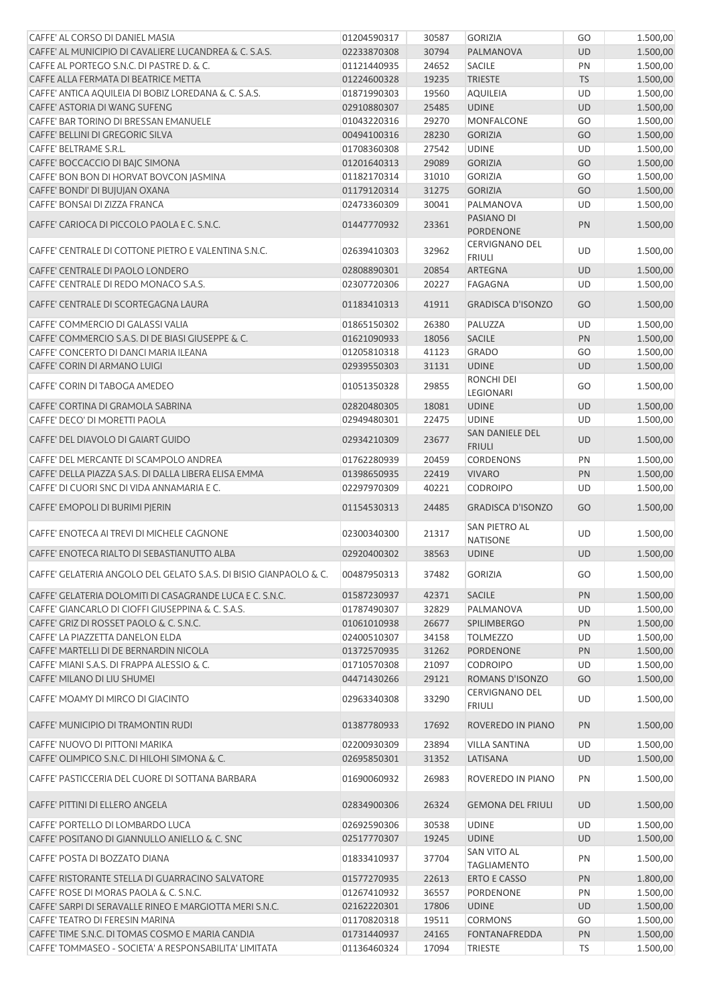| CAFFE' AL CORSO DI DANIEL MASIA                                   | 01204590317 | 30587 | <b>GORIZIA</b>                          | GO        | 1.500,00 |
|-------------------------------------------------------------------|-------------|-------|-----------------------------------------|-----------|----------|
| CAFFE' AL MUNICIPIO DI CAVALIERE LUCANDREA & C. S.A.S.            | 02233870308 | 30794 | PALMANOVA                               | <b>UD</b> | 1.500,00 |
| CAFFE AL PORTEGO S.N.C. DI PASTRE D. & C.                         | 01121440935 | 24652 | <b>SACILE</b>                           | PN        | 1.500,00 |
| CAFFE ALLA FERMATA DI BEATRICE METTA                              | 01224600328 | 19235 | <b>TRIESTE</b>                          | <b>TS</b> | 1.500,00 |
| CAFFE' ANTICA AQUILEIA DI BOBIZ LOREDANA & C. S.A.S.              | 01871990303 | 19560 | <b>AQUILEIA</b>                         | <b>UD</b> | 1.500,00 |
| CAFFE' ASTORIA DI WANG SUFENG                                     | 02910880307 | 25485 | <b>UDINE</b>                            | <b>UD</b> | 1.500,00 |
| CAFFE' BAR TORINO DI BRESSAN EMANUELE                             | 01043220316 | 29270 | <b>MONFALCONE</b>                       | GO        | 1.500,00 |
| CAFFE' BELLINI DI GREGORIC SILVA                                  | 00494100316 | 28230 | <b>GORIZIA</b>                          | GO        | 1.500,00 |
| CAFFE' BELTRAME S.R.L.                                            | 01708360308 | 27542 | <b>UDINE</b>                            | <b>UD</b> | 1.500,00 |
| CAFFE' BOCCACCIO DI BAJC SIMONA                                   | 01201640313 | 29089 | <b>GORIZIA</b>                          | GO        | 1.500,00 |
| CAFFE' BON BON DI HORVAT BOVCON JASMINA                           | 01182170314 | 31010 | <b>GORIZIA</b>                          | GO        | 1.500,00 |
| CAFFE' BONDI' DI BUJUJAN OXANA                                    | 01179120314 | 31275 | <b>GORIZIA</b>                          | GO        | 1.500,00 |
| CAFFE' BONSAI DI ZIZZA FRANCA                                     | 02473360309 | 30041 | PALMANOVA                               | UD        | 1.500,00 |
| CAFFE' CARIOCA DI PICCOLO PAOLA E C. S.N.C.                       | 01447770932 | 23361 | PASIANO DI<br>PORDENONE                 | PN        | 1.500,00 |
| CAFFE' CENTRALE DI COTTONE PIETRO E VALENTINA S.N.C.              | 02639410303 | 32962 | <b>CERVIGNANO DEL</b><br><b>FRIULI</b>  | UD        | 1.500,00 |
| CAFFE' CENTRALE DI PAOLO LONDERO                                  | 02808890301 | 20854 | <b>ARTEGNA</b>                          | <b>UD</b> | 1.500,00 |
| CAFFE' CENTRALE DI REDO MONACO S.A.S.                             | 02307720306 | 20227 | <b>FAGAGNA</b>                          | UD        | 1.500,00 |
| CAFFE' CENTRALE DI SCORTEGAGNA LAURA                              | 01183410313 | 41911 | <b>GRADISCA D'ISONZO</b>                | GO        | 1.500,00 |
| CAFFE' COMMERCIO DI GALASSI VALIA                                 | 01865150302 | 26380 | PALUZZA                                 | UD        | 1.500,00 |
| CAFFE' COMMERCIO S.A.S. DI DE BIASI GIUSEPPE & C.                 | 01621090933 | 18056 | <b>SACILE</b>                           | PN        | 1.500,00 |
| CAFFE' CONCERTO DI DANCI MARIA ILEANA                             | 01205810318 | 41123 | <b>GRADO</b>                            | GO        | 1.500,00 |
| CAFFE' CORIN DI ARMANO LUIGI                                      | 02939550303 | 31131 | <b>UDINE</b>                            | <b>UD</b> | 1.500,00 |
| CAFFE' CORIN DI TABOGA AMEDEO                                     | 01051350328 | 29855 | RONCHI DEI<br><b>LEGIONARI</b>          | GO        | 1.500,00 |
| CAFFE' CORTINA DI GRAMOLA SABRINA                                 | 02820480305 | 18081 | <b>UDINE</b>                            | <b>UD</b> | 1.500,00 |
| CAFFE' DECO' DI MORETTI PAOLA                                     | 02949480301 | 22475 | <b>UDINE</b>                            | UD        | 1.500,00 |
| CAFFE' DEL DIAVOLO DI GAIART GUIDO                                | 02934210309 | 23677 | SAN DANIELE DEL<br><b>FRIULI</b>        | UD        | 1.500,00 |
| CAFFE' DEL MERCANTE DI SCAMPOLO ANDREA                            | 01762280939 | 20459 | <b>CORDENONS</b>                        | PN        | 1.500,00 |
| CAFFE' DELLA PIAZZA S.A.S. DI DALLA LIBERA ELISA EMMA             | 01398650935 | 22419 | <b>VIVARO</b>                           | PN        | 1.500,00 |
| CAFFE' DI CUORI SNC DI VIDA ANNAMARIA E C.                        | 02297970309 | 40221 | <b>CODROIPO</b>                         | UD        | 1.500,00 |
| CAFFE' EMOPOLI DI BURIMI PJERIN                                   | 01154530313 | 24485 | <b>GRADISCA D'ISONZO</b>                | GO        | 1.500,00 |
| CAFFE' ENOTECA AI TREVI DI MICHELE CAGNONE                        | 02300340300 | 21317 | <b>SAN PIETRO AL</b><br><b>NATISONE</b> | UD        | 1.500,00 |
| CAFFE' ENOTECA RIALTO DI SEBASTIANUTTO ALBA                       | 02920400302 | 38563 | <b>UDINE</b>                            | <b>UD</b> | 1.500,00 |
| CAFFE' GELATERIA ANGOLO DEL GELATO S.A.S. DI BISIO GIANPAOLO & C. | 00487950313 | 37482 | <b>GORIZIA</b>                          | GO        | 1.500,00 |
| CAFFE' GELATERIA DOLOMITI DI CASAGRANDE LUCA E C. S.N.C.          | 01587230937 | 42371 | SACILE                                  | PN        | 1.500,00 |
| CAFFE' GIANCARLO DI CIOFFI GIUSEPPINA & C. S.A.S.                 | 01787490307 | 32829 | PALMANOVA                               | UD        | 1.500,00 |
| CAFFE' GRIZ DI ROSSET PAOLO & C. S.N.C.                           | 01061010938 | 26677 | <b>SPILIMBERGO</b>                      | PN        | 1.500,00 |
| CAFFE' LA PIAZZETTA DANELON ELDA                                  | 02400510307 | 34158 | <b>TOLMEZZO</b>                         | UD        | 1.500,00 |
| CAFFE' MARTELLI DI DE BERNARDIN NICOLA                            | 01372570935 | 31262 | <b>PORDENONE</b>                        | PN        | 1.500,00 |
| CAFFE' MIANI S.A.S. DI FRAPPA ALESSIO & C.                        | 01710570308 | 21097 | <b>CODROIPO</b>                         | UD        | 1.500,00 |
| CAFFE' MILANO DI LIU SHUMEI                                       | 04471430266 | 29121 | ROMANS D'ISONZO                         | GO        | 1.500,00 |
| CAFFE' MOAMY DI MIRCO DI GIACINTO                                 | 02963340308 | 33290 | CERVIGNANO DEL<br><b>FRIULI</b>         | UD        | 1.500,00 |
| CAFFE' MUNICIPIO DI TRAMONTIN RUDI                                | 01387780933 | 17692 | ROVEREDO IN PIANO                       | PN        | 1.500,00 |
| CAFFE' NUOVO DI PITTONI MARIKA                                    | 02200930309 | 23894 | <b>VILLA SANTINA</b>                    | UD        | 1.500,00 |
| CAFFE' OLIMPICO S.N.C. DI HILOHI SIMONA & C.                      | 02695850301 | 31352 | LATISANA                                | <b>UD</b> | 1.500,00 |
| CAFFE' PASTICCERIA DEL CUORE DI SOTTANA BARBARA                   | 01690060932 | 26983 | ROVEREDO IN PIANO                       | PN        | 1.500,00 |
| CAFFE' PITTINI DI ELLERO ANGELA                                   | 02834900306 | 26324 | <b>GEMONA DEL FRIULI</b>                | <b>UD</b> | 1.500,00 |
| CAFFE' PORTELLO DI LOMBARDO LUCA                                  | 02692590306 | 30538 | <b>UDINE</b>                            | UD        | 1.500,00 |
| CAFFE' POSITANO DI GIANNULLO ANIELLO & C. SNC                     | 02517770307 | 19245 | <b>UDINE</b>                            | <b>UD</b> | 1.500,00 |
| CAFFE' POSTA DI BOZZATO DIANA                                     | 01833410937 | 37704 | SAN VITO AL<br><b>TAGLIAMENTO</b>       | PN        | 1.500,00 |
| CAFFE' RISTORANTE STELLA DI GUARRACINO SALVATORE                  | 01577270935 | 22613 | ERTO E CASSO                            | PN        | 1.800,00 |
| CAFFE' ROSE DI MORAS PAOLA & C. S.N.C.                            | 01267410932 | 36557 | PORDENONE                               | PN        | 1.500,00 |
| CAFFE' SARPI DI SERAVALLE RINEO E MARGIOTTA MERI S.N.C.           | 02162220301 | 17806 | <b>UDINE</b>                            | <b>UD</b> | 1.500,00 |
| CAFFE' TEATRO DI FERESIN MARINA                                   | 01170820318 | 19511 | <b>CORMONS</b>                          | GO        | 1.500,00 |
| CAFFE' TIME S.N.C. DI TOMAS COSMO E MARIA CANDIA                  | 01731440937 | 24165 | FONTANAFREDDA                           | PN        | 1.500,00 |
| CAFFE' TOMMASEO - SOCIETA' A RESPONSABILITA' LIMITATA             | 01136460324 | 17094 | TRIESTE                                 | TS        | 1.500,00 |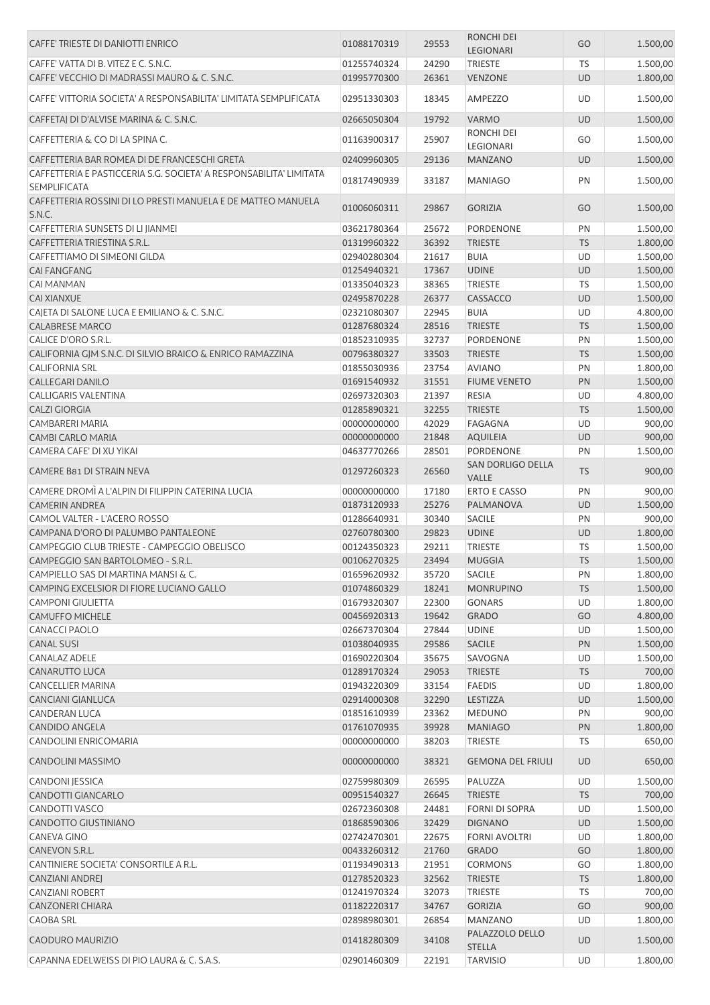| CAFFE' TRIESTE DI DANIOTTI ENRICO                                                         | 01088170319                | 29553          | <b>RONCHI DEI</b><br>LEGIONARI             | GO                     | 1.500,00           |
|-------------------------------------------------------------------------------------------|----------------------------|----------------|--------------------------------------------|------------------------|--------------------|
| CAFFE' VATTA DI B. VITEZ E C. S.N.C.                                                      | 01255740324                | 24290          | <b>TRIESTE</b>                             | TS                     | 1.500,00           |
| CAFFE' VECCHIO DI MADRASSI MAURO & C. S.N.C.                                              | 01995770300                | 26361          | <b>VENZONE</b>                             | <b>UD</b>              | 1.800,00           |
|                                                                                           |                            |                |                                            |                        |                    |
| CAFFE' VITTORIA SOCIETA' A RESPONSABILITA' LIMITATA SEMPLIFICATA                          | 02951330303                | 18345          | AMPEZZO                                    | UD                     | 1.500,00           |
| CAFFETAJ DI D'ALVISE MARINA & C. S.N.C.                                                   | 02665050304                | 19792          | <b>VARMO</b>                               | <b>UD</b>              | 1.500,00           |
| CAFFETTERIA & CO DI LA SPINA C.                                                           | 01163900317                | 25907          | RONCHI DEI<br>LEGIONARI                    | GO                     | 1.500,00           |
| CAFFETTERIA BAR ROMEA DI DE FRANCESCHI GRETA                                              | 02409960305                | 29136          | <b>MANZANO</b>                             | <b>UD</b>              | 1.500,00           |
| CAFFETTERIA E PASTICCERIA S.G. SOCIETA' A RESPONSABILITA' LIMITATA<br><b>SEMPLIFICATA</b> | 01817490939                | 33187          | <b>MANIAGO</b>                             | PN                     | 1.500,00           |
| CAFFETTERIA ROSSINI DI LO PRESTI MANUELA E DE MATTEO MANUELA<br>S.N.C.                    | 01006060311                | 29867          | <b>GORIZIA</b>                             | GO                     | 1.500,00           |
| CAFFETTERIA SUNSETS DI LI JIANMEI                                                         | 03621780364                | 25672          | PORDENONE                                  | PN                     | 1.500,00           |
| CAFFETTERIA TRIESTINA S.R.L.                                                              | 01319960322                | 36392          | <b>TRIESTE</b>                             | <b>TS</b>              | 1.800,00           |
| CAFFETTIAMO DI SIMEONI GILDA                                                              | 02940280304                | 21617          | <b>BUIA</b>                                | UD                     | 1.500,00           |
| <b>CAI FANGFANG</b>                                                                       | 01254940321                | 17367          | <b>UDINE</b>                               | <b>UD</b>              | 1.500,00           |
| <b>CAI MANMAN</b>                                                                         | 01335040323                | 38365          | <b>TRIESTE</b>                             | <b>TS</b>              | 1.500,00           |
| <b>CAI XIANXUE</b>                                                                        | 02495870228                | 26377          | CASSACCO                                   | <b>UD</b>              | 1.500,00           |
| CAJETA DI SALONE LUCA E EMILIANO & C. S.N.C.                                              | 02321080307                | 22945          | <b>BUIA</b>                                | UD                     | 4.800,00           |
| <b>CALABRESE MARCO</b>                                                                    | 01287680324                | 28516          | <b>TRIESTE</b>                             | <b>TS</b>              | 1.500,00           |
| CALICE D'ORO S.R.L.                                                                       | 01852310935                | 32737          | PORDENONE                                  | PN                     | 1.500,00           |
| CALIFORNIA GJM S.N.C. DI SILVIO BRAICO & ENRICO RAMAZZINA                                 | 00796380327                | 33503          | <b>TRIESTE</b>                             | <b>TS</b>              | 1.500,00           |
| <b>CALIFORNIA SRL</b>                                                                     | 01855030936                | 23754          | <b>AVIANO</b>                              | PN                     | 1.800,00           |
| <b>CALLEGARI DANILO</b>                                                                   | 01691540932                | 31551          | <b>FIUME VENETO</b>                        | PN                     | 1.500,00           |
| CALLIGARIS VALENTINA                                                                      | 02697320303                | 21397          | <b>RESIA</b>                               | UD                     | 4.800,00           |
| <b>CALZI GIORGIA</b>                                                                      | 01285890321                | 32255          | <b>TRIESTE</b>                             | <b>TS</b>              | 1.500,00           |
| CAMBARERI MARIA                                                                           | 00000000000                | 42029          | FAGAGNA                                    | UD                     | 900,00             |
| <b>CAMBI CARLO MARIA</b>                                                                  | 00000000000                | 21848          | <b>AQUILEIA</b>                            | <b>UD</b>              | 900,00             |
| CAMERA CAFE' DI XU YIKAI                                                                  | 04637770266                | 28501          | PORDENONE                                  | PN                     | 1.500,00           |
| CAMERE B81 DI STRAIN NEVA                                                                 | 01297260323                | 26560          | SAN DORLIGO DELLA<br><b>VALLE</b>          | <b>TS</b>              | 900,00             |
| CAMERE DROMÌ A L'ALPIN DI FILIPPIN CATERINA LUCIA                                         | 00000000000                | 17180          | <b>ERTO E CASSO</b>                        | PN                     | 900,00             |
| <b>CAMERIN ANDREA</b>                                                                     | 01873120933                | 25276          | PALMANOVA                                  | <b>UD</b>              | 1.500,00           |
| CAMOL VALTER - L'ACERO ROSSO                                                              | 01286640931                | 30340          | <b>SACILE</b>                              | PN                     | 900,00             |
| CAMPANA D'ORO DI PALUMBO PANTALEONE                                                       | 02760780300                | 29823          | <b>UDINE</b>                               | <b>UD</b>              | 1.800,00           |
| CAMPEGGIO CLUB TRIESTE - CAMPEGGIO OBELISCO                                               | 00124350323                | 29211          | TRIESTE                                    | TS                     | 1.500,00           |
| CAMPEGGIO SAN BARTOLOMEO - S.R.L.                                                         | 00106270325                | 23494          | <b>MUGGIA</b>                              | <b>TS</b>              | 1.500,00           |
| CAMPIELLO SAS DI MARTINA MANSI & C.                                                       | 01659620932                | 35720          | <b>SACILE</b>                              | PN                     | 1.800,00           |
| CAMPING EXCELSIOR DI FIORE LUCIANO GALLO                                                  | 01074860329                | 18241          | <b>MONRUPINO</b>                           | <b>TS</b>              | 1.500,00           |
| <b>CAMPONI GIULIETTA</b>                                                                  | 01679320307                | 22300          | <b>GONARS</b>                              | UD                     | 1.800,00           |
| <b>CAMUFFO MICHELE</b>                                                                    | 00456920313                | 19642          | <b>GRADO</b>                               | GO                     | 4.800,00           |
| <b>CANACCI PAOLO</b>                                                                      | 02667370304                | 27844          | <b>UDINE</b>                               | UD                     | 1.500,00           |
| <b>CANAL SUSI</b>                                                                         | 01038040935                | 29586          | SACILE                                     | PN                     | 1.500,00           |
| <b>CANALAZ ADELE</b>                                                                      | 01690220304                | 35675          | SAVOGNA                                    |                        | 1.500,00           |
| CANARUTTO LUCA                                                                            | 01289170324                | 29053          |                                            | UD                     |                    |
| <b>CANCELLIER MARINA</b>                                                                  | 01943220309                | 33154          | <b>TRIESTE</b><br><b>FAEDIS</b>            | <b>TS</b><br>UD        | 700,00<br>1.800,00 |
| <b>CANCIANI GIANLUCA</b>                                                                  | 02914000308                | 32290          | LESTIZZA                                   |                        |                    |
|                                                                                           |                            |                |                                            | UD                     | 1.500,00           |
| CANDERAN LUCA                                                                             | 01851610939                | 23362          | <b>MEDUNO</b>                              | PN                     | 900,00             |
| <b>CANDIDO ANGELA</b>                                                                     | 01761070935<br>00000000000 | 39928          | <b>MANIAGO</b>                             | PN                     | 1.800,00           |
| CANDOLINI ENRICOMARIA<br>CANDOLINI MASSIMO                                                | 00000000000                | 38203<br>38321 | <b>TRIESTE</b><br><b>GEMONA DEL FRIULI</b> | <b>TS</b><br><b>UD</b> | 650,00<br>650,00   |
|                                                                                           | 02759980309                | 26595          |                                            | UD                     |                    |
| CANDONI JESSICA                                                                           |                            |                | PALUZZA                                    |                        | 1.500,00           |
| CANDOTTI GIANCARLO                                                                        | 00951540327                | 26645          | <b>TRIESTE</b>                             | <b>TS</b>              | 700,00             |
| CANDOTTI VASCO                                                                            | 02672360308                | 24481          | FORNI DI SOPRA                             | UD                     | 1.500,00           |
| CANDOTTO GIUSTINIANO                                                                      | 01868590306                | 32429          | <b>DIGNANO</b>                             | <b>UD</b>              | 1.500,00           |
| <b>CANEVA GINO</b>                                                                        | 02742470301                | 22675          | <b>FORNI AVOLTRI</b>                       | UD                     | 1.800,00           |
| CANEVON S.R.L.                                                                            | 00433260312                | 21760          | <b>GRADO</b>                               | GO                     | 1.800,00           |
| CANTINIERE SOCIETA' CONSORTILE A R.L.                                                     | 01193490313                | 21951          | <b>CORMONS</b>                             | GO                     | 1.800,00           |
| <b>CANZIANI ANDREJ</b>                                                                    | 01278520323                | 32562          | <b>TRIESTE</b>                             | <b>TS</b>              | 1.800,00           |
| <b>CANZIANI ROBERT</b>                                                                    | 01241970324                | 32073          | TRIESTE                                    | <b>TS</b>              | 700,00             |
| <b>CANZONERI CHIARA</b>                                                                   | 01182220317                | 34767          | <b>GORIZIA</b>                             | GO                     | 900,00             |
| <b>CAOBA SRL</b>                                                                          | 02898980301                | 26854          | <b>MANZANO</b>                             | UD                     | 1.800,00           |
| CAODURO MAURIZIO                                                                          | 01418280309                | 34108          | PALAZZOLO DELLO<br><b>STELLA</b>           | UD                     | 1.500,00           |
| CAPANNA EDELWEISS DI PIO LAURA & C. S.A.S.                                                | 02901460309                | 22191          | <b>TARVISIO</b>                            | UD                     | 1.800,00           |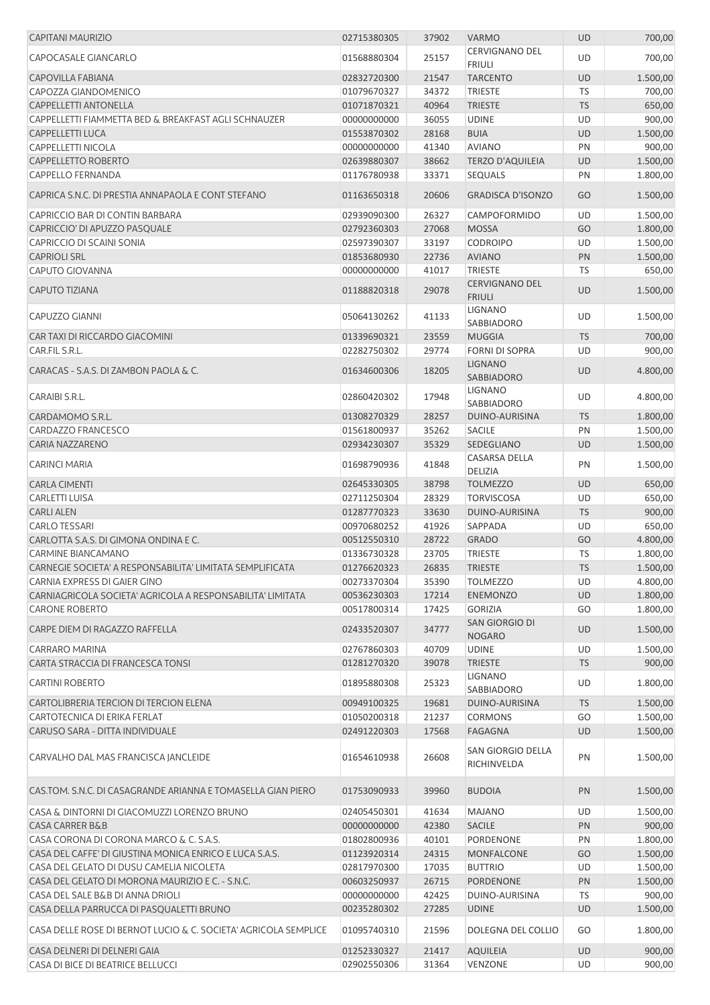| <b>CAPITANI MAURIZIO</b>                                               | 02715380305                | 37902          | <b>VARMO</b>                           | <b>UD</b>       | 700,00               |
|------------------------------------------------------------------------|----------------------------|----------------|----------------------------------------|-----------------|----------------------|
| CAPOCASALE GIANCARLO                                                   | 01568880304                | 25157          | <b>CERVIGNANO DEL</b><br><b>FRIULI</b> | <b>UD</b>       | 700,00               |
| <b>CAPOVILLA FABIANA</b>                                               | 02832720300                | 21547          | <b>TARCENTO</b>                        | <b>UD</b>       | 1.500,00             |
| CAPOZZA GIANDOMENICO                                                   | 01079670327                | 34372          | <b>TRIESTE</b>                         | TS              | 700,00               |
| CAPPELLETTI ANTONELLA                                                  | 01071870321                | 40964          | <b>TRIESTE</b>                         | <b>TS</b>       | 650,00               |
| CAPPELLETTI FIAMMETTA BED & BREAKFAST AGLI SCHNAUZER                   | 00000000000                | 36055          | <b>UDINE</b>                           | <b>UD</b>       | 900,00               |
| CAPPELLETTI LUCA                                                       | 01553870302                | 28168          | <b>BUIA</b>                            | UD              | 1.500,00             |
| <b>CAPPELLETTI NICOLA</b>                                              | 00000000000                | 41340          | <b>AVIANO</b>                          | PN              | 900,00               |
| CAPPELLETTO ROBERTO                                                    | 02639880307                | 38662          | <b>TERZO D'AQUILEIA</b>                | <b>UD</b>       | 1.500,00             |
| <b>CAPPELLO FERNANDA</b>                                               | 01176780938                | 33371          | <b>SEQUALS</b>                         | PN              | 1.800,00             |
| CAPRICA S.N.C. DI PRESTIA ANNAPAOLA E CONT STEFANO                     | 01163650318                | 20606          | <b>GRADISCA D'ISONZO</b>               | GO              | 1.500,00             |
| CAPRICCIO BAR DI CONTIN BARBARA                                        | 02939090300                | 26327          | CAMPOFORMIDO                           | UD              | 1.500,00             |
| CAPRICCIO' DI APUZZO PASQUALE                                          | 02792360303                | 27068          | <b>MOSSA</b>                           | GO              | 1.800,00             |
| CAPRICCIO DI SCAINI SONIA                                              | 02597390307                | 33197          | <b>CODROIPO</b>                        | UD              | 1.500,00             |
| <b>CAPRIOLI SRL</b>                                                    | 01853680930                | 22736          | <b>AVIANO</b>                          | PN              | 1.500,00             |
| <b>CAPUTO GIOVANNA</b>                                                 | 00000000000                | 41017          | <b>TRIESTE</b>                         | TS              | 650,00               |
| <b>CAPUTO TIZIANA</b>                                                  | 01188820318                | 29078          | <b>CERVIGNANO DEL</b><br><b>FRIULI</b> | <b>UD</b>       | 1.500,00             |
| <b>CAPUZZO GIANNI</b>                                                  | 05064130262                | 41133          | <b>LIGNANO</b><br>SABBIADORO           | UD              | 1.500,00             |
| CAR TAXI DI RICCARDO GIACOMINI                                         | 01339690321                | 23559          | <b>MUGGIA</b>                          | <b>TS</b>       | 700,00               |
| CAR.FIL S.R.L.                                                         | 02282750302                | 29774          | <b>FORNI DI SOPRA</b>                  | UD              | 900,00               |
| CARACAS - S.A.S. DI ZAMBON PAOLA & C.                                  | 01634600306                | 18205          | <b>LIGNANO</b><br>SABBIADORO           | <b>UD</b>       | 4.800,00             |
| CARAIBI S.R.L.                                                         | 02860420302                | 17948          | <b>LIGNANO</b><br>SABBIADORO           | UD              | 4.800,00             |
| CARDAMOMO S.R.L.                                                       | 01308270329                | 28257          | DUINO-AURISINA                         | <b>TS</b>       | 1.800,00             |
| CARDAZZO FRANCESCO                                                     | 01561800937                | 35262          | <b>SACILE</b>                          | PN              | 1.500,00             |
| <b>CARIA NAZZARENO</b>                                                 | 02934230307                | 35329          | SEDEGLIANO                             | UD              | 1.500,00             |
| <b>CARINCI MARIA</b>                                                   | 01698790936                | 41848          | <b>CASARSA DELLA</b><br>DELIZIA        | PN              | 1.500,00             |
| <b>CARLA CIMENTI</b>                                                   | 02645330305                | 38798          | <b>TOLMEZZO</b>                        | UD              | 650,00               |
| <b>CARLETTI LUISA</b>                                                  | 02711250304                | 28329          | <b>TORVISCOSA</b>                      | UD              | 650,00               |
| <b>CARLI ALEN</b>                                                      | 01287770323                | 33630          | DUINO-AURISINA                         | <b>TS</b>       | 900,00               |
| <b>CARLO TESSARI</b>                                                   | 00970680252                | 41926          | SAPPADA                                | UD              | 650,00               |
| CARLOTTA S.A.S. DI GIMONA ONDINA E C.                                  | 00512550310                | 28722          | <b>GRADO</b>                           | GO              | 4.800,00             |
| <b>CARMINE BIANCAMANO</b>                                              | 01336730328                | 23705          | <b>TRIESTE</b>                         | <b>TS</b>       | 1.800,00             |
| CARNEGIE SOCIETA' A RESPONSABILITA' LIMITATA SEMPLIFICATA              | 01276620323                | 26835          | TRIESTE                                | <b>TS</b>       | 1.500,00             |
| CARNIA EXPRESS DI GAIER GINO                                           | 00273370304                | 35390          | <b>TOLMEZZO</b>                        | UD              | 4.800,00             |
| CARNIAGRICOLA SOCIETA' AGRICOLA A RESPONSABILITA' LIMITATA             | 00536230303                | 17214          | <b>ENEMONZO</b>                        | <b>UD</b>       | 1.800,00             |
| <b>CARONE ROBERTO</b>                                                  | 00517800314                | 17425          | <b>GORIZIA</b>                         | GO              | 1.800,00             |
| CARPE DIEM DI RAGAZZO RAFFELLA                                         | 02433520307                | 34777          | SAN GIORGIO DI<br><b>NOGARO</b>        | <b>UD</b>       | 1.500,00             |
| <b>CARRARO MARINA</b>                                                  | 02767860303                | 40709          | <b>UDINE</b>                           | UD              | 1.500,00             |
| CARTA STRACCIA DI FRANCESCA TONSI                                      | 01281270320                | 39078          | <b>TRIESTE</b>                         | <b>TS</b>       | 900,00               |
| <b>CARTINI ROBERTO</b>                                                 | 01895880308                | 25323          | LIGNANO                                | UD              | 1.800,00             |
|                                                                        |                            |                | SABBIADORO                             |                 |                      |
| CARTOLIBRERIA TERCION DI TERCION ELENA<br>CARTOTECNICA DI ERIKA FERLAT | 00949100325<br>01050200318 | 19681<br>21237 | DUINO-AURISINA<br><b>CORMONS</b>       | <b>TS</b>       | 1.500,00             |
| CARUSO SARA - DITTA INDIVIDUALE                                        | 02491220303                | 17568          | <b>FAGAGNA</b>                         | GO<br><b>UD</b> | 1.500,00<br>1.500,00 |
| CARVALHO DAL MAS FRANCISCA JANCLEIDE                                   | 01654610938                | 26608          | SAN GIORGIO DELLA<br>RICHINVELDA       | PN              | 1.500,00             |
| CAS.TOM. S.N.C. DI CASAGRANDE ARIANNA E TOMASELLA GIAN PIERO           | 01753090933                | 39960          | <b>BUDOIA</b>                          | PN              | 1.500,00             |
| CASA & DINTORNI DI GIACOMUZZI LORENZO BRUNO                            | 02405450301                | 41634          | <b>MAJANO</b>                          | UD              | 1.500,00             |
| <b>CASA CARRER B&amp;B</b>                                             | 00000000000                | 42380          | <b>SACILE</b>                          | PN              | 900,00               |
| CASA CORONA DI CORONA MARCO & C. S.A.S.                                | 01802800936                | 40101          | PORDENONE                              | PN              | 1.800,00             |
| CASA DEL CAFFE' DI GIUSTINA MONICA ENRICO E LUCA S.A.S.                | 01123920314                | 24315          | MONFALCONE                             | GO              | 1.500,00             |
| CASA DEL GELATO DI DUSU CAMELIA NICOLETA                               | 02817970300                | 17035          | <b>BUTTRIO</b>                         | UD              | 1.500,00             |
| CASA DEL GELATO DI MORONA MAURIZIO E C. - S.N.C.                       | 00603250937                | 26715          | <b>PORDENONE</b>                       | PN              | 1.500,00             |
| CASA DEL SALE B&B DI ANNA DRIOLI                                       | 00000000000                | 42425          | DUINO-AURISINA                         | TS              | 900,00               |
| CASA DELLA PARRUCCA DI PASQUALETTI BRUNO                               | 00235280302                | 27285          | <b>UDINE</b>                           | <b>UD</b>       | 1.500,00             |
| CASA DELLE ROSE DI BERNOT LUCIO & C. SOCIETA' AGRICOLA SEMPLICE        | 01095740310                | 21596          | DOLEGNA DEL COLLIO                     | GO              | 1.800,00             |
| CASA DELNERI DI DELNERI GAIA                                           | 01252330327                | 21417          | AQUILEIA                               | <b>UD</b>       | 900,00               |
| CASA DI BICE DI BEATRICE BELLUCCI                                      | 02902550306                | 31364          | VENZONE                                | UD              | 900,00               |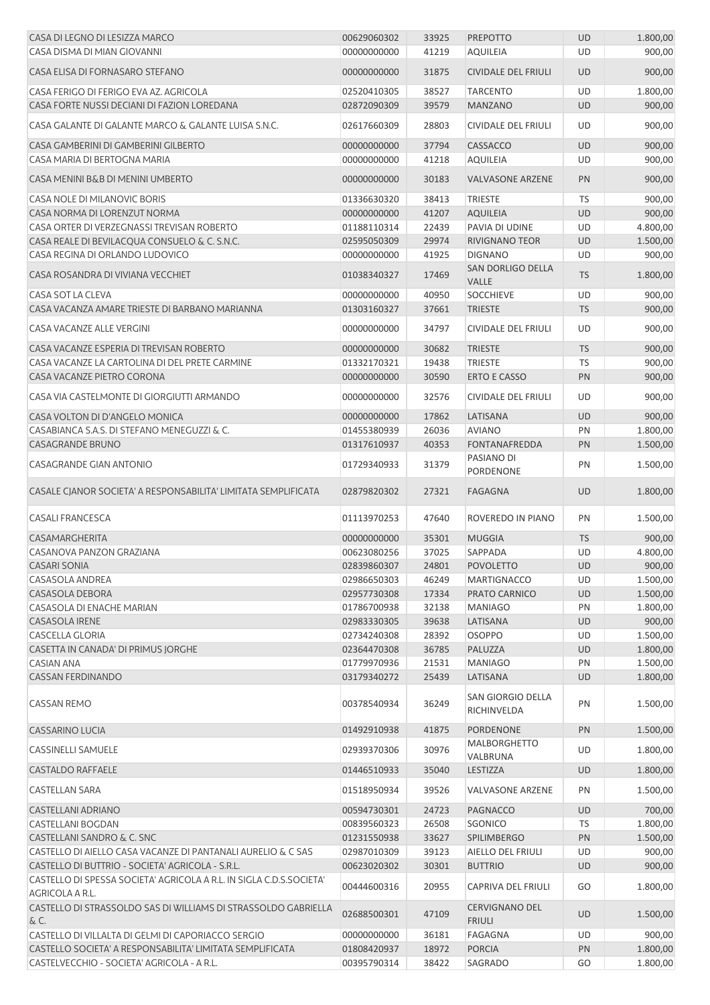| CASA DI LEGNO DI LESIZZA MARCO                                                         | 00629060302 | 33925 | <b>PREPOTTO</b>                  | <b>UD</b> | 1.800,00 |
|----------------------------------------------------------------------------------------|-------------|-------|----------------------------------|-----------|----------|
| CASA DISMA DI MIAN GIOVANNI                                                            | 00000000000 | 41219 | <b>AQUILEIA</b>                  | <b>UD</b> | 900,00   |
| CASA ELISA DI FORNASARO STEFANO                                                        | 00000000000 | 31875 | <b>CIVIDALE DEL FRIULI</b>       | <b>UD</b> | 900,00   |
| CASA FERIGO DI FERIGO EVA AZ. AGRICOLA                                                 | 02520410305 | 38527 | <b>TARCENTO</b>                  | UD        | 1.800,00 |
| CASA FORTE NUSSI DECIANI DI FAZION LOREDANA                                            | 02872090309 | 39579 | <b>MANZANO</b>                   | <b>UD</b> | 900,00   |
| CASA GALANTE DI GALANTE MARCO & GALANTE LUISA S.N.C.                                   | 02617660309 | 28803 | <b>CIVIDALE DEL FRIULI</b>       | UD        | 900,00   |
| CASA GAMBERINI DI GAMBERINI GILBERTO                                                   | 00000000000 | 37794 | CASSACCO                         | <b>UD</b> | 900,00   |
| CASA MARIA DI BERTOGNA MARIA                                                           | 00000000000 | 41218 | <b>AQUILEIA</b>                  | <b>UD</b> | 900,00   |
| CASA MENINI B&B DI MENINI UMBERTO                                                      | 00000000000 | 30183 | <b>VALVASONE ARZENE</b>          | PN        | 900,00   |
| CASA NOLE DI MILANOVIC BORIS                                                           | 01336630320 | 38413 | <b>TRIESTE</b>                   | <b>TS</b> | 900,00   |
| CASA NORMA DI LORENZUT NORMA                                                           | 00000000000 | 41207 | <b>AQUILEIA</b>                  | UD        | 900,00   |
| CASA ORTER DI VERZEGNASSI TREVISAN ROBERTO                                             | 01188110314 | 22439 | PAVIA DI UDINE                   | UD        | 4.800,00 |
| CASA REALE DI BEVILACQUA CONSUELO & C. S.N.C.                                          | 02595050309 | 29974 | <b>RIVIGNANO TEOR</b>            | <b>UD</b> | 1.500,00 |
| CASA REGINA DI ORLANDO LUDOVICO                                                        | 00000000000 | 41925 | <b>DIGNANO</b>                   | UD        | 900,00   |
|                                                                                        |             |       | SAN DORLIGO DELLA                |           |          |
| CASA ROSANDRA DI VIVIANA VECCHIET                                                      | 01038340327 | 17469 | VALLE                            | <b>TS</b> | 1.800,00 |
| CASA SOT LA CLEVA                                                                      | 00000000000 | 40950 | <b>SOCCHIEVE</b>                 | UD        | 900,00   |
| CASA VACANZA AMARE TRIESTE DI BARBANO MARIANNA                                         | 01303160327 | 37661 | <b>TRIESTE</b>                   | <b>TS</b> | 900,00   |
| CASA VACANZE ALLE VERGINI                                                              | 00000000000 | 34797 | <b>CIVIDALE DEL FRIULI</b>       | <b>UD</b> | 900,00   |
| CASA VACANZE ESPERIA DI TREVISAN ROBERTO                                               | 00000000000 | 30682 | <b>TRIESTE</b>                   | <b>TS</b> | 900,00   |
| CASA VACANZE LA CARTOLINA DI DEL PRETE CARMINE                                         | 01332170321 | 19438 | <b>TRIESTE</b>                   | TS        | 900,00   |
| CASA VACANZE PIETRO CORONA                                                             | 00000000000 | 30590 | <b>ERTO E CASSO</b>              | PN        | 900,00   |
| CASA VIA CASTELMONTE DI GIORGIUTTI ARMANDO                                             | 00000000000 | 32576 | CIVIDALE DEL FRIULI              | UD        | 900,00   |
| CASA VOLTON DI D'ANGELO MONICA                                                         | 00000000000 | 17862 | LATISANA                         | <b>UD</b> | 900,00   |
| CASABIANCA S.A.S. DI STEFANO MENEGUZZI & C.                                            | 01455380939 | 26036 | <b>AVIANO</b>                    | PN        | 1.800,00 |
| CASAGRANDE BRUNO                                                                       | 01317610937 | 40353 | <b>FONTANAFREDDA</b>             | PN        | 1.500,00 |
| CASAGRANDE GIAN ANTONIO                                                                |             |       | PASIANO DI                       |           | 1.500,00 |
|                                                                                        | 01729340933 | 31379 | PORDENONE                        | PN        |          |
| CASALE CJANOR SOCIETA' A RESPONSABILITA' LIMITATA SEMPLIFICATA                         | 02879820302 | 27321 | <b>FAGAGNA</b>                   | <b>UD</b> | 1.800,00 |
| <b>CASALI FRANCESCA</b>                                                                | 01113970253 | 47640 | ROVEREDO IN PIANO                | PN        | 1.500,00 |
| CASAMARGHERITA                                                                         | 00000000000 | 35301 | <b>MUGGIA</b>                    | <b>TS</b> | 900,00   |
| CASANOVA PANZON GRAZIANA                                                               | 00623080256 | 37025 | SAPPADA                          | UD        | 4.800,00 |
| <b>CASARI SONIA</b>                                                                    | 02839860307 |       | 24801 POVOLETTO                  | <b>UD</b> | 900,00   |
| <b>CASASOLA ANDREA</b>                                                                 | 02986650303 | 46249 | <b>MARTIGNACCO</b>               | UD        | 1.500,00 |
| <b>CASASOLA DEBORA</b>                                                                 | 02957730308 | 17334 | PRATO CARNICO                    | UD        | 1.500,00 |
| CASASOLA DI ENACHE MARIAN                                                              | 01786700938 | 32138 | <b>MANIAGO</b>                   | PN        | 1.800,00 |
| CASASOLA IRENE                                                                         | 02983330305 | 39638 | LATISANA                         | <b>UD</b> | 900,00   |
| <b>CASCELLA GLORIA</b>                                                                 | 02734240308 | 28392 | <b>OSOPPO</b>                    | UD        | 1.500,00 |
| CASETTA IN CANADA' DI PRIMUS JORGHE                                                    | 02364470308 | 36785 | PALUZZA                          | UD        | 1.800,00 |
| <b>CASIAN ANA</b>                                                                      | 01779970936 | 21531 | <b>MANIAGO</b>                   | PN        | 1.500,00 |
| <b>CASSAN FERDINANDO</b>                                                               | 03179340272 | 25439 | LATISANA                         | <b>UD</b> | 1.800,00 |
| <b>CASSAN REMO</b>                                                                     | 00378540934 | 36249 | SAN GIORGIO DELLA<br>RICHINVELDA | PN        | 1.500,00 |
| <b>CASSARINO LUCIA</b>                                                                 | 01492910938 | 41875 | <b>PORDENONE</b>                 | PN        | 1.500,00 |
| <b>CASSINELLI SAMUELE</b>                                                              | 02939370306 | 30976 | <b>MALBORGHETTO</b><br>VALBRUNA  | UD        | 1.800,00 |
| <b>CASTALDO RAFFAELE</b>                                                               | 01446510933 | 35040 | LESTIZZA                         | <b>UD</b> | 1.800,00 |
| CASTELLAN SARA                                                                         | 01518950934 | 39526 | <b>VALVASONE ARZENE</b>          | PN        | 1.500,00 |
| CASTELLANI ADRIANO                                                                     | 00594730301 | 24723 | PAGNACCO                         | <b>UD</b> | 700,00   |
| <b>CASTELLANI BOGDAN</b>                                                               | 00839560323 | 26508 | SGONICO                          | TS        | 1.800,00 |
| CASTELLANI SANDRO & C. SNC                                                             | 01231550938 | 33627 | <b>SPILIMBERGO</b>               | PN        | 1.500,00 |
| CASTELLO DI AIELLO CASA VACANZE DI PANTANALI AURELIO & C SAS                           | 02987010309 | 39123 | AIELLO DEL FRIULI                | UD        | 900,00   |
| CASTELLO DI BUTTRIO - SOCIETA' AGRICOLA - S.R.L.                                       | 00623020302 | 30301 | <b>BUTTRIO</b>                   | UD        | 900,00   |
| CASTELLO DI SPESSA SOCIETA' AGRICOLA A R.L. IN SIGLA C.D.S.SOCIETA'<br>AGRICOLA A R.L. | 00444600316 | 20955 | CAPRIVA DEL FRIULI               | GO        | 1.800,00 |
| CASTELLO DI STRASSOLDO SAS DI WILLIAMS DI STRASSOLDO GABRIELLA                         |             |       | <b>CERVIGNANO DEL</b>            |           |          |
| &C.                                                                                    | 02688500301 | 47109 | <b>FRIULI</b>                    | <b>UD</b> | 1.500,00 |
| CASTELLO DI VILLALTA DI GELMI DI CAPORIACCO SERGIO                                     | 00000000000 | 36181 | <b>FAGAGNA</b>                   | UD        | 900,00   |
| CASTELLO SOCIETA' A RESPONSABILITA' LIMITATA SEMPLIFICATA                              | 01808420937 | 18972 | <b>PORCIA</b>                    | PN        | 1.800,00 |
| CASTELVECCHIO - SOCIETA' AGRICOLA - A R.L.                                             | 00395790314 | 38422 | <b>SAGRADO</b>                   | GO        | 1.800,00 |
|                                                                                        |             |       |                                  |           |          |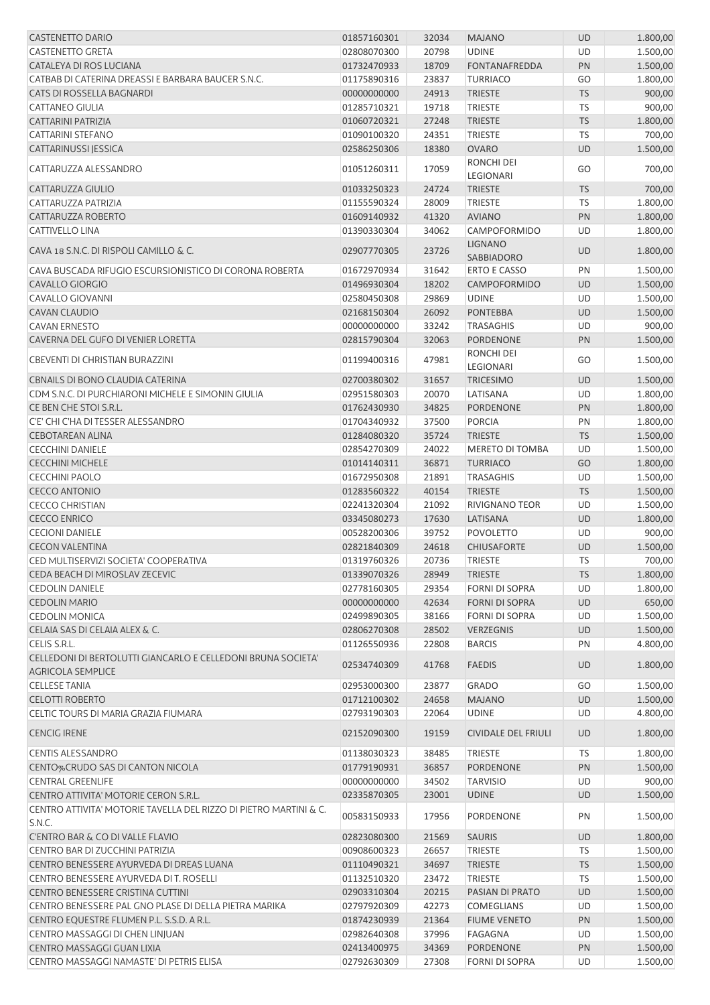| <b>CASTENETTO DARIO</b>                                                                  | 01857160301 | 32034 | <b>MAJANO</b>                | <b>UD</b> | 1.800,00 |
|------------------------------------------------------------------------------------------|-------------|-------|------------------------------|-----------|----------|
| <b>CASTENETTO GRETA</b>                                                                  | 02808070300 | 20798 | <b>UDINE</b>                 | UD        | 1.500,00 |
| CATALEYA DI ROS LUCIANA                                                                  | 01732470933 | 18709 | <b>FONTANAFREDDA</b>         | PN        | 1.500,00 |
| CATBAB DI CATERINA DREASSI E BARBARA BAUCER S.N.C.                                       | 01175890316 | 23837 | <b>TURRIACO</b>              | GO        | 1.800,00 |
| CATS DI ROSSELLA BAGNARDI                                                                | 00000000000 | 24913 | <b>TRIESTE</b>               | <b>TS</b> | 900,00   |
| <b>CATTANEO GIULIA</b>                                                                   | 01285710321 | 19718 | <b>TRIESTE</b>               | TS        | 900,00   |
| <b>CATTARINI PATRIZIA</b>                                                                | 01060720321 | 27248 | <b>TRIESTE</b>               | <b>TS</b> | 1.800,00 |
| <b>CATTARINI STEFANO</b>                                                                 | 01090100320 | 24351 | <b>TRIESTE</b>               | <b>TS</b> | 700,00   |
| CATTARINUSSI JESSICA                                                                     | 02586250306 | 18380 | <b>OVARO</b>                 | <b>UD</b> | 1.500,00 |
|                                                                                          |             |       | <b>RONCHI DEI</b>            |           |          |
| CATTARUZZA ALESSANDRO                                                                    | 01051260311 | 17059 | LEGIONARI                    | GO        | 700,00   |
| CATTARUZZA GIULIO                                                                        | 01033250323 | 24724 | <b>TRIESTE</b>               | <b>TS</b> | 700,00   |
| CATTARUZZA PATRIZIA                                                                      | 01155590324 | 28009 | TRIESTE                      | <b>TS</b> | 1.800,00 |
| CATTARUZZA ROBERTO                                                                       | 01609140932 | 41320 | <b>AVIANO</b>                | PN        | 1.800,00 |
| <b>CATTIVELLO LINA</b>                                                                   | 01390330304 | 34062 | CAMPOFORMIDO                 | UD        | 1.800,00 |
| CAVA 18 S.N.C. DI RISPOLI CAMILLO & C.                                                   | 02907770305 | 23726 | <b>LIGNANO</b><br>SABBIADORO | <b>UD</b> | 1.800,00 |
| CAVA BUSCADA RIFUGIO ESCURSIONISTICO DI CORONA ROBERTA                                   | 01672970934 | 31642 | <b>ERTO E CASSO</b>          | PN        | 1.500,00 |
| <b>CAVALLO GIORGIO</b>                                                                   | 01496930304 | 18202 | CAMPOFORMIDO                 | <b>UD</b> | 1.500,00 |
| <b>CAVALLO GIOVANNI</b>                                                                  | 02580450308 | 29869 | <b>UDINE</b>                 | UD        | 1.500,00 |
| <b>CAVAN CLAUDIO</b>                                                                     | 02168150304 | 26092 | <b>PONTEBBA</b>              | <b>UD</b> | 1.500,00 |
| <b>CAVAN ERNESTO</b>                                                                     | 00000000000 | 33242 | <b>TRASAGHIS</b>             | UD        | 900,00   |
| CAVERNA DEL GUFO DI VENIER LORETTA                                                       | 02815790304 | 32063 | <b>PORDENONE</b>             | PN        | 1.500,00 |
|                                                                                          |             |       | RONCHI DEI                   |           |          |
| CBEVENTI DI CHRISTIAN BURAZZINI                                                          | 01199400316 | 47981 | LEGIONARI                    | GO        | 1.500,00 |
| CBNAILS DI BONO CLAUDIA CATERINA                                                         | 02700380302 | 31657 | <b>TRICESIMO</b>             | UD        | 1.500,00 |
| CDM S.N.C. DI PURCHIARONI MICHELE E SIMONIN GIULIA                                       | 02951580303 | 20070 | LATISANA                     | UD        | 1.800,00 |
| CE BEN CHE STOI S.R.L.                                                                   | 01762430930 | 34825 | PORDENONE                    | PN        | 1.800,00 |
| C'E' CHI C'HA DI TESSER ALESSANDRO                                                       | 01704340932 | 37500 | <b>PORCIA</b>                | PN        | 1.800,00 |
| <b>CEBOTAREAN ALINA</b>                                                                  | 01284080320 | 35724 | <b>TRIESTE</b>               | <b>TS</b> | 1.500,00 |
| <b>CECCHINI DANIELE</b>                                                                  | 02854270309 | 24022 | MERETO DI TOMBA              | UD        | 1.500,00 |
| <b>CECCHINI MICHELE</b>                                                                  | 01014140311 | 36871 | <b>TURRIACO</b>              | GO        | 1.800,00 |
| <b>CECCHINI PAOLO</b>                                                                    | 01672950308 | 21891 | <b>TRASAGHIS</b>             | UD        | 1.500,00 |
| <b>CECCO ANTONIO</b>                                                                     | 01283560322 | 40154 | <b>TRIESTE</b>               | <b>TS</b> | 1.500,00 |
| <b>CECCO CHRISTIAN</b>                                                                   | 02241320304 | 21092 | <b>RIVIGNANO TEOR</b>        | UD        | 1.500,00 |
| <b>CECCO ENRICO</b>                                                                      | 03345080273 | 17630 | LATISANA                     | UD        | 1.800,00 |
| <b>CECIONI DANIELE</b>                                                                   | 00528200306 | 39752 | <b>POVOLETTO</b>             | UD        | 900,00   |
| <b>CECON VALENTINA</b>                                                                   | 02821840309 | 24618 | <b>CHIUSAFORTE</b>           | UD        | 1.500,00 |
| CED MULTISERVIZI SOCIETA' COOPERATIVA                                                    | 01319760326 | 20736 | <b>TRIESTE</b>               | <b>TS</b> | 700,00   |
| CEDA BEACH DI MIROSLAV ZECEVIC                                                           | 01339070326 | 28949 | <b>TRIESTE</b>               | <b>TS</b> | 1.800,00 |
| <b>CEDOLIN DANIELE</b>                                                                   | 02778160305 | 29354 | <b>FORNI DI SOPRA</b>        | UD        | 1.800,00 |
| <b>CEDOLIN MARIO</b>                                                                     | 00000000000 | 42634 | <b>FORNI DI SOPRA</b>        | <b>UD</b> | 650,00   |
| <b>CEDOLIN MONICA</b>                                                                    | 02499890305 |       |                              |           |          |
|                                                                                          |             | 38166 | <b>FORNI DI SOPRA</b>        | UD        | 1.500,00 |
| CELAIA SAS DI CELAIA ALEX & C.                                                           | 02806270308 | 28502 | <b>VERZEGNIS</b>             | UD        | 1.500,00 |
| CELIS S.R.L.                                                                             | 01126550936 | 22808 | <b>BARCIS</b>                | PN        | 4.800,00 |
| CELLEDONI DI BERTOLUTTI GIANCARLO E CELLEDONI BRUNA SOCIETA'<br><b>AGRICOLA SEMPLICE</b> | 02534740309 | 41768 | <b>FAEDIS</b>                | <b>UD</b> | 1.800,00 |
| <b>CELLESE TANIA</b>                                                                     | 02953000300 | 23877 | <b>GRADO</b>                 | GO        | 1.500,00 |
| <b>CELOTTI ROBERTO</b>                                                                   | 01712100302 | 24658 | <b>MAJANO</b>                | UD        | 1.500,00 |
| CELTIC TOURS DI MARIA GRAZIA FIUMARA                                                     | 02793190303 | 22064 | <b>UDINE</b>                 | UD        | 4.800,00 |
| <b>CENCIG IRENE</b>                                                                      | 02152090300 | 19159 | <b>CIVIDALE DEL FRIULI</b>   | UD        | 1.800,00 |
| <b>CENTIS ALESSANDRO</b>                                                                 | 01138030323 | 38485 | TRIESTE                      | TS        | 1.800,00 |
| CENTO%CRUDO SAS DI CANTON NICOLA                                                         | 01779190931 | 36857 | PORDENONE                    | PN        | 1.500,00 |
| <b>CENTRAL GREENLIFE</b>                                                                 | 00000000000 | 34502 | <b>TARVISIO</b>              | UD        | 900,00   |
| CENTRO ATTIVITA' MOTORIE CERON S.R.L.                                                    | 02335870305 | 23001 | <b>UDINE</b>                 | <b>UD</b> | 1.500,00 |
| CENTRO ATTIVITA' MOTORIE TAVELLA DEL RIZZO DI PIETRO MARTINI & C.                        |             |       |                              |           |          |
| S.N.C.                                                                                   | 00583150933 | 17956 | PORDENONE                    | PN        | 1.500,00 |
| <b>C'ENTRO BAR &amp; CO DI VALLE FLAVIO</b>                                              | 02823080300 | 21569 | SAURIS                       | <b>UD</b> | 1.800,00 |
| CENTRO BAR DI ZUCCHINI PATRIZIA                                                          | 00908600323 | 26657 | <b>TRIESTE</b>               | <b>TS</b> | 1.500,00 |
| CENTRO BENESSERE AYURVEDA DI DREAS LUANA                                                 | 01110490321 | 34697 | <b>TRIESTE</b>               | <b>TS</b> | 1.500,00 |
| CENTRO BENESSERE AYURVEDA DI T. ROSELLI                                                  | 01132510320 | 23472 | <b>TRIESTE</b>               | TS        | 1.500,00 |
| CENTRO BENESSERE CRISTINA CUTTINI                                                        | 02903310304 | 20215 | PASIAN DI PRATO              | <b>UD</b> | 1.500,00 |
| CENTRO BENESSERE PAL GNO PLASE DI DELLA PIETRA MARIKA                                    | 02797920309 | 42273 | <b>COMEGLIANS</b>            | UD        | 1.500,00 |
| CENTRO EQUESTRE FLUMEN P.L. S.S.D. A R.L.                                                | 01874230939 | 21364 | <b>FIUME VENETO</b>          | PN        | 1.500,00 |
| CENTRO MASSAGGI DI CHEN LINJUAN                                                          | 02982640308 | 37996 | FAGAGNA                      | UD        | 1.500,00 |
| CENTRO MASSAGGI GUAN LIXIA                                                               | 02413400975 | 34369 | PORDENONE                    | PN        | 1.500,00 |
| CENTRO MASSAGGI NAMASTE' DI PETRIS ELISA                                                 | 02792630309 | 27308 | FORNI DI SOPRA               | UD        | 1.500,00 |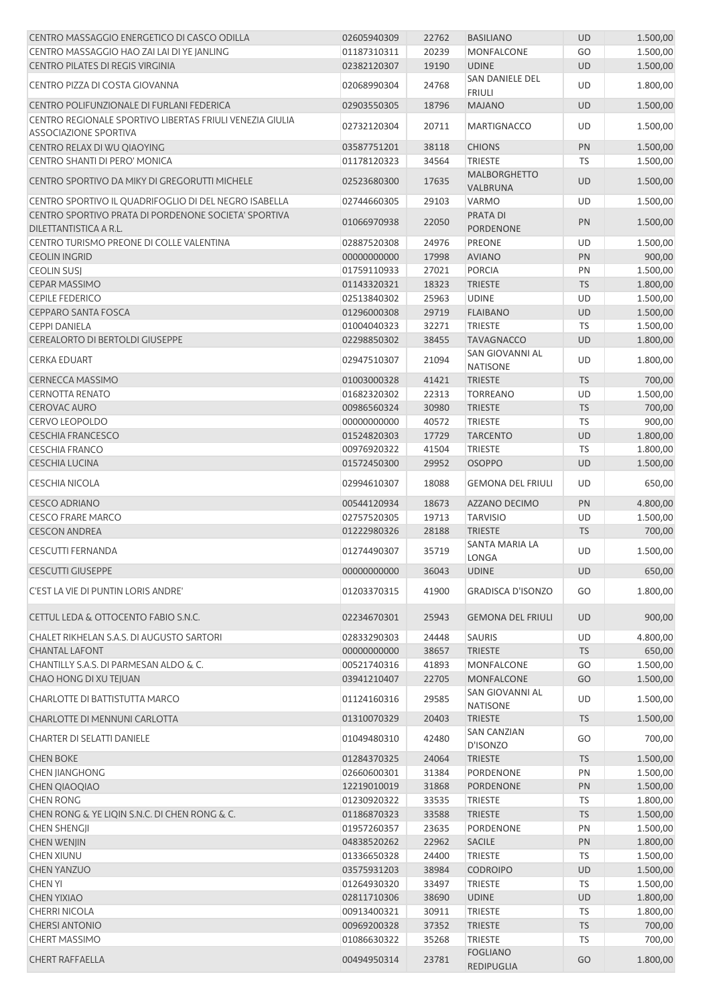| CENTRO MASSAGGIO ENERGETICO DI CASCO ODILLA                                              | 02605940309 | 22762 | <b>BASILIANO</b>                    | UD        | 1.500,00 |
|------------------------------------------------------------------------------------------|-------------|-------|-------------------------------------|-----------|----------|
| CENTRO MASSAGGIO HAO ZAI LAI DI YE JANLING                                               | 01187310311 | 20239 | <b>MONFALCONE</b>                   | GO        | 1.500,00 |
| <b>CENTRO PILATES DI REGIS VIRGINIA</b>                                                  | 02382120307 | 19190 | <b>UDINE</b>                        | <b>UD</b> | 1.500,00 |
| CENTRO PIZZA DI COSTA GIOVANNA                                                           | 02068990304 | 24768 | SAN DANIELE DEL<br><b>FRIULI</b>    | UD        | 1.800,00 |
| CENTRO POLIFUNZIONALE DI FURLANI FEDERICA                                                | 02903550305 | 18796 | <b>MAJANO</b>                       | <b>UD</b> | 1.500,00 |
| CENTRO REGIONALE SPORTIVO LIBERTAS FRIULI VENEZIA GIULIA<br><b>ASSOCIAZIONE SPORTIVA</b> | 02732120304 | 20711 | <b>MARTIGNACCO</b>                  | UD        | 1.500,00 |
| CENTRO RELAX DI WU QIAOYING                                                              | 03587751201 | 38118 | <b>CHIONS</b>                       | PN        | 1.500,00 |
| CENTRO SHANTI DI PERO' MONICA                                                            | 01178120323 | 34564 | <b>TRIESTE</b>                      | TS        | 1.500,00 |
|                                                                                          |             |       | <b>MALBORGHETTO</b>                 |           |          |
| CENTRO SPORTIVO DA MIKY DI GREGORUTTI MICHELE                                            | 02523680300 | 17635 | VALBRUNA                            | UD        | 1.500,00 |
| CENTRO SPORTIVO IL QUADRIFOGLIO DI DEL NEGRO ISABELLA                                    | 02744660305 | 29103 | VARMO                               | UD        | 1.500,00 |
| CENTRO SPORTIVO PRATA DI PORDENONE SOCIETA' SPORTIVA<br>DILETTANTISTICA A R.L.           | 01066970938 | 22050 | <b>PRATA DI</b><br><b>PORDENONE</b> | PN        | 1.500,00 |
| CENTRO TURISMO PREONE DI COLLE VALENTINA                                                 | 02887520308 | 24976 | <b>PREONE</b>                       | UD        | 1.500,00 |
| <b>CEOLIN INGRID</b>                                                                     | 00000000000 | 17998 | <b>AVIANO</b>                       | PN        | 900,00   |
| <b>CEOLIN SUSJ</b>                                                                       | 01759110933 | 27021 | <b>PORCIA</b>                       | PN        | 1.500,00 |
| <b>CEPAR MASSIMO</b>                                                                     | 01143320321 | 18323 | <b>TRIESTE</b>                      | <b>TS</b> | 1.800,00 |
| <b>CEPILE FEDERICO</b>                                                                   | 02513840302 | 25963 | <b>UDINE</b>                        | UD        | 1.500,00 |
| <b>CEPPARO SANTA FOSCA</b>                                                               | 01296000308 | 29719 | <b>FLAIBANO</b>                     | <b>UD</b> | 1.500,00 |
| <b>CEPPI DANIELA</b>                                                                     | 01004040323 | 32271 | TRIESTE                             | <b>TS</b> | 1.500,00 |
| <b>CEREALORTO DI BERTOLDI GIUSEPPE</b>                                                   | 02298850302 | 38455 | <b>TAVAGNACCO</b>                   | <b>UD</b> | 1.800,00 |
|                                                                                          |             |       | SAN GIOVANNI AL                     |           |          |
| <b>CERKA EDUART</b>                                                                      | 02947510307 | 21094 | <b>NATISONE</b>                     | UD        | 1.800,00 |
| <b>CERNECCA MASSIMO</b>                                                                  | 01003000328 | 41421 | <b>TRIESTE</b>                      | <b>TS</b> | 700,00   |
| <b>CERNOTTA RENATO</b>                                                                   | 01682320302 | 22313 | <b>TORREANO</b>                     | UD        | 1.500,00 |
| <b>CEROVAC AURO</b>                                                                      | 00986560324 | 30980 | <b>TRIESTE</b>                      | <b>TS</b> | 700,00   |
| <b>CERVO LEOPOLDO</b>                                                                    | 00000000000 | 40572 | <b>TRIESTE</b>                      | TS        | 900,00   |
| <b>CESCHIA FRANCESCO</b>                                                                 | 01524820303 | 17729 | <b>TARCENTO</b>                     | <b>UD</b> | 1.800,00 |
| <b>CESCHIA FRANCO</b>                                                                    | 00976920322 | 41504 | <b>TRIESTE</b>                      | <b>TS</b> | 1.800,00 |
| <b>CESCHIA LUCINA</b>                                                                    | 01572450300 | 29952 | <b>OSOPPO</b>                       | <b>UD</b> | 1.500,00 |
| <b>CESCHIA NICOLA</b>                                                                    | 02994610307 | 18088 | <b>GEMONA DEL FRIULI</b>            | UD        | 650,00   |
| <b>CESCO ADRIANO</b>                                                                     | 00544120934 | 18673 | AZZANO DECIMO                       | PN        | 4.800,00 |
| <b>CESCO FRARE MARCO</b>                                                                 | 02757520305 | 19713 | <b>TARVISIO</b>                     | UD        | 1.500,00 |
| <b>CESCON ANDREA</b>                                                                     | 01222980326 | 28188 | <b>TRIESTE</b>                      | <b>TS</b> | 700,00   |
| <b>CESCUTTI FERNANDA</b>                                                                 | 01274490307 | 35719 | SANTA MARIA LA<br><b>LONGA</b>      | UD        | 1.500,00 |
| <b>CESCUTTI GIUSEPPE</b>                                                                 | 00000000000 | 36043 | <b>UDINE</b>                        | <b>UD</b> | 650,00   |
|                                                                                          |             |       |                                     |           |          |
| C'EST LA VIE DI PUNTIN LORIS ANDRE'                                                      | 01203370315 | 41900 | <b>GRADISCA D'ISONZO</b>            | GO        | 1.800,00 |
| CETTUL LEDA & OTTOCENTO FABIO S.N.C.                                                     | 02234670301 | 25943 | <b>GEMONA DEL FRIULI</b>            | <b>UD</b> | 900,00   |
| CHALET RIKHELAN S.A.S. DI AUGUSTO SARTORI                                                | 02833290303 | 24448 | <b>SAURIS</b>                       | UD        | 4.800,00 |
| <b>CHANTAL LAFONT</b>                                                                    | 00000000000 | 38657 | <b>TRIESTE</b>                      | <b>TS</b> | 650,00   |
| CHANTILLY S.A.S. DI PARMESAN ALDO & C.                                                   | 00521740316 | 41893 | MONFALCONE                          | GO        | 1.500,00 |
| CHAO HONG DI XU TEJUAN                                                                   | 03941210407 | 22705 | <b>MONFALCONE</b>                   | GO        | 1.500,00 |
| CHARLOTTE DI BATTISTUTTA MARCO                                                           | 01124160316 | 29585 | SAN GIOVANNI AL<br><b>NATISONE</b>  | UD        | 1.500,00 |
| CHARLOTTE DI MENNUNI CARLOTTA                                                            | 01310070329 | 20403 | <b>TRIESTE</b>                      | <b>TS</b> | 1.500,00 |
| <b>CHARTER DI SELATTI DANIELE</b>                                                        | 01049480310 | 42480 | <b>SAN CANZIAN</b><br>D'ISONZO      | GO        | 700,00   |
| <b>CHEN BOKE</b>                                                                         | 01284370325 | 24064 | <b>TRIESTE</b>                      | <b>TS</b> | 1.500,00 |
| <b>CHEN JIANGHONG</b>                                                                    | 02660600301 | 31384 | PORDENONE                           | PN        | 1.500,00 |
|                                                                                          |             |       |                                     |           | 1.500,00 |
| <b>CHEN QIAOQIAO</b>                                                                     | 12219010019 | 31868 | PORDENONE                           | PN        |          |
| <b>CHEN RONG</b>                                                                         | 01230920322 | 33535 | <b>TRIESTE</b>                      | TS        | 1.800,00 |
| CHEN RONG & YE LIQIN S.N.C. DI CHEN RONG & C.                                            | 01186870323 | 33588 | <b>TRIESTE</b>                      | <b>TS</b> | 1.500,00 |
| <b>CHEN SHENGJI</b>                                                                      | 01957260357 | 23635 | <b>PORDENONE</b>                    | PN        | 1.500,00 |
| <b>CHEN WENJIN</b>                                                                       | 04838520262 | 22962 | SACILE                              | PN        | 1.800,00 |
| CHEN XIUNU                                                                               | 01336650328 | 24400 | <b>TRIESTE</b>                      | <b>TS</b> | 1.500,00 |
| <b>CHEN YANZUO</b>                                                                       | 03575931203 | 38984 | <b>CODROIPO</b>                     | UD        | 1.500,00 |
| <b>CHEN YI</b>                                                                           | 01264930320 | 33497 | <b>TRIESTE</b>                      | <b>TS</b> | 1.500,00 |
| <b>CHEN YIXIAO</b>                                                                       | 02811710306 | 38690 | <b>UDINE</b>                        | UD        | 1.800,00 |
| <b>CHERRI NICOLA</b>                                                                     | 00913400321 | 30911 | <b>TRIESTE</b>                      | TS        | 1.800,00 |
| <b>CHERSI ANTONIO</b>                                                                    | 00969200328 | 37352 | <b>TRIESTE</b>                      | <b>TS</b> | 700,00   |
| <b>CHERT MASSIMO</b>                                                                     | 01086630322 | 35268 | TRIESTE                             | TS        | 700,00   |
| <b>CHERT RAFFAELLA</b>                                                                   | 00494950314 | 23781 | <b>FOGLIANO</b><br>REDIPUGLIA       | GO        | 1.800,00 |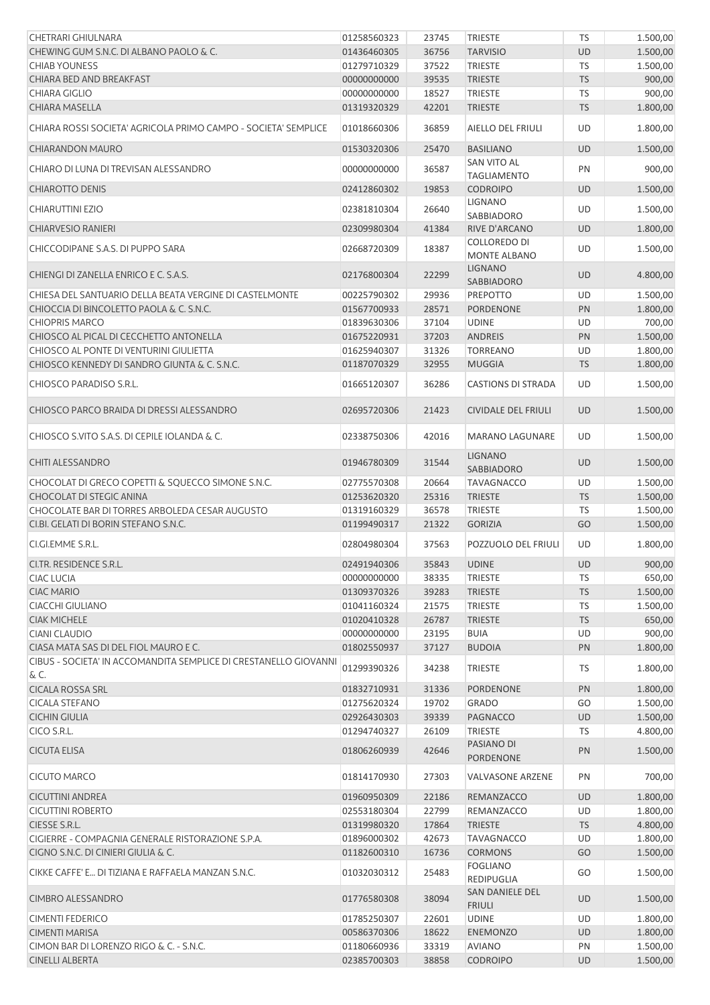| CHETRARI GHIULNARA                                               | 01258560323                | 23745 | <b>TRIESTE</b>                       | <b>TS</b> | 1.500,00             |
|------------------------------------------------------------------|----------------------------|-------|--------------------------------------|-----------|----------------------|
| CHEWING GUM S.N.C. DI ALBANO PAOLO & C.                          | 01436460305                | 36756 | <b>TARVISIO</b>                      | <b>UD</b> | 1.500,00             |
| <b>CHIAB YOUNESS</b>                                             | 01279710329                | 37522 | TRIESTE                              | TS        | 1.500,00             |
| CHIARA BED AND BREAKFAST                                         | 00000000000                | 39535 | <b>TRIESTE</b>                       | <b>TS</b> | 900,00               |
| <b>CHIARA GIGLIO</b>                                             | 00000000000                | 18527 | <b>TRIESTE</b>                       | TS        | 900,00               |
| <b>CHIARA MASELLA</b>                                            | 01319320329                | 42201 | <b>TRIESTE</b>                       | <b>TS</b> | 1.800,00             |
| CHIARA ROSSI SOCIETA' AGRICOLA PRIMO CAMPO - SOCIETA' SEMPLICE   | 01018660306                | 36859 | AIELLO DEL FRIULI                    | UD        | 1.800,00             |
| <b>CHIARANDON MAURO</b>                                          | 01530320306                | 25470 | <b>BASILIANO</b>                     | UD        | 1.500,00             |
| CHIARO DI LUNA DI TREVISAN ALESSANDRO                            | 00000000000                | 36587 | <b>SAN VITO AL</b>                   | PN        | 900,00               |
|                                                                  |                            |       | <b>TAGLIAMENTO</b>                   |           |                      |
| <b>CHIAROTTO DENIS</b>                                           | 02412860302                | 19853 | <b>CODROIPO</b>                      | UD        | 1.500,00             |
| <b>CHIARUTTINI EZIO</b>                                          | 02381810304                | 26640 | <b>LIGNANO</b><br><b>SABBIADORO</b>  | UD        | 1.500,00             |
| <b>CHIARVESIO RANIERI</b>                                        | 02309980304                | 41384 | RIVE D'ARCANO                        | UD        | 1.800,00             |
| CHICCODIPANE S.A.S. DI PUPPO SARA                                | 02668720309                | 18387 | COLLOREDO DI<br><b>MONTE ALBANO</b>  | UD        | 1.500,00             |
| CHIENGI DI ZANELLA ENRICO E C. S.A.S.                            | 02176800304                | 22299 | <b>LIGNANO</b><br>SABBIADORO         | <b>UD</b> | 4.800,00             |
| CHIESA DEL SANTUARIO DELLA BEATA VERGINE DI CASTELMONTE          | 00225790302                | 29936 | <b>PREPOTTO</b>                      | UD        | 1.500,00             |
| CHIOCCIA DI BINCOLETTO PAOLA & C. S.N.C.                         | 01567700933                | 28571 | PORDENONE                            | PN        | 1.800,00             |
| <b>CHIOPRIS MARCO</b>                                            | 01839630306                | 37104 | <b>UDINE</b>                         | UD        | 700,00               |
| CHIOSCO AL PICAL DI CECCHETTO ANTONELLA                          | 01675220931                | 37203 | <b>ANDREIS</b>                       | PN        | 1.500,00             |
| CHIOSCO AL PONTE DI VENTURINI GIULIETTA                          | 01625940307                | 31326 | <b>TORREANO</b>                      | UD        | 1.800,00             |
| CHIOSCO KENNEDY DI SANDRO GIUNTA & C. S.N.C.                     | 01187070329                | 32955 | <b>MUGGIA</b>                        | <b>TS</b> | 1.800,00             |
| CHIOSCO PARADISO S.R.L.                                          | 01665120307                | 36286 | <b>CASTIONS DI STRADA</b>            | UD        | 1.500,00             |
| CHIOSCO PARCO BRAIDA DI DRESSI ALESSANDRO                        | 02695720306                | 21423 | <b>CIVIDALE DEL FRIULI</b>           | UD        | 1.500,00             |
| CHIOSCO S.VITO S.A.S. DI CEPILE IOLANDA & C.                     | 02338750306                | 42016 | <b>MARANO LAGUNARE</b>               | UD        | 1.500,00             |
| <b>CHITI ALESSANDRO</b>                                          | 01946780309                | 31544 | <b>LIGNANO</b><br><b>SABBIADORO</b>  | <b>UD</b> | 1.500,00             |
| CHOCOLAT DI GRECO COPETTI & SQUECCO SIMONE S.N.C.                | 02775570308                | 20664 | <b>TAVAGNACCO</b>                    | UD        | 1.500,00             |
| CHOCOLAT DI STEGIC ANINA                                         | 01253620320                | 25316 | <b>TRIESTE</b>                       | <b>TS</b> | 1.500,00             |
| CHOCOLATE BAR DI TORRES ARBOLEDA CESAR AUGUSTO                   | 01319160329                | 36578 | <b>TRIESTE</b>                       | <b>TS</b> | 1.500,00             |
| CI.BI. GELATI DI BORIN STEFANO S.N.C.                            | 01199490317                | 21322 | <b>GORIZIA</b>                       | GO        | 1.500,00             |
| CI.GI.EMME S.R.L.                                                | 02804980304                | 37563 | POZZUOLO DEL FRIULI                  | <b>UD</b> | 1.800,00             |
| CI.TR. RESIDENCE S.R.L                                           | 02491940306                | 35843 | <b>UDINE</b>                         | <b>UD</b> | 900,00               |
| CIAC LUCIA                                                       | 00000000000                | 38335 | <b>TRIESTE</b>                       | TS        | 650,00               |
| <b>CIAC MARIO</b>                                                | 01309370326                | 39283 | <b>TRIESTE</b>                       | <b>TS</b> | 1.500,00             |
| <b>CIACCHI GIULIANO</b>                                          | 01041160324                | 21575 | <b>TRIESTE</b>                       | TS        | 1.500,00             |
| <b>CIAK MICHELE</b>                                              | 01020410328                | 26787 | <b>TRIESTE</b>                       | <b>TS</b> | 650,00               |
| <b>CIANI CLAUDIO</b>                                             | 00000000000                | 23195 | <b>BUIA</b>                          | UD        | 900,00               |
| CIASA MATA SAS DI DEL FIOL MAURO E C.                            | 01802550937                | 37127 | <b>BUDOIA</b>                        | PN        | 1.800,00             |
| CIBUS - SOCIETA' IN ACCOMANDITA SEMPLICE DI CRESTANELLO GIOVANNI | 01299390326                | 34238 | <b>TRIESTE</b>                       | TS        | 1.800,00             |
| & C.<br><b>CICALA ROSSA SRL</b>                                  | 01832710931                | 31336 | <b>PORDENONE</b>                     | PN        | 1.800,00             |
| <b>CICALA STEFANO</b>                                            | 01275620324                | 19702 | <b>GRADO</b>                         | GO        | 1.500,00             |
| <b>CICHIN GIULIA</b>                                             | 02926430303                | 39339 | PAGNACCO                             | UD        | 1.500,00             |
| CICO S.R.L.                                                      | 01294740327                | 26109 | <b>TRIESTE</b>                       | TS        | 4.800,00             |
| <b>CICUTA ELISA</b>                                              | 01806260939                | 42646 | PASIANO DI                           | PN        | 1.500,00             |
| <b>CICUTO MARCO</b>                                              | 01814170930                | 27303 | PORDENONE<br><b>VALVASONE ARZENE</b> | PN        | 700,00               |
| <b>CICUTTINI ANDREA</b>                                          | 01960950309                | 22186 | REMANZACCO                           | UD        | 1.800,00             |
| <b>CICUTTINI ROBERTO</b>                                         | 02553180304                | 22799 | REMANZACCO                           | UD        | 1.800,00             |
| CIESSE S.R.L.                                                    | 01319980320                | 17864 | <b>TRIESTE</b>                       | <b>TS</b> | 4.800,00             |
| CIGIERRE - COMPAGNIA GENERALE RISTORAZIONE S.P.A.                | 01896000302                | 42673 | <b>TAVAGNACCO</b>                    | UD        | 1.800,00             |
| CIGNO S.N.C. DI CINIERI GIULIA & C.                              | 01182600310                | 16736 | <b>CORMONS</b>                       | GO        | 1.500,00             |
| CIKKE CAFFE' E DI TIZIANA E RAFFAELA MANZAN S.N.C.               | 01032030312                | 25483 | <b>FOGLIANO</b>                      | GO        | 1.500,00             |
| <b>CIMBRO ALESSANDRO</b>                                         | 01776580308                | 38094 | REDIPUGLIA<br>SAN DANIELE DEL        | <b>UD</b> | 1.500,00             |
| <b>CIMENTI FEDERICO</b>                                          | 01785250307                | 22601 | <b>FRIULI</b><br><b>UDINE</b>        | UD        | 1.800,00             |
| <b>CIMENTI MARISA</b>                                            |                            | 18622 |                                      |           |                      |
| CIMON BAR DI LORENZO RIGO & C. - S.N.C.                          | 00586370306<br>01180660936 | 33319 | <b>ENEMONZO</b><br><b>AVIANO</b>     | UD<br>PN  | 1.800,00<br>1.500,00 |
| <b>CINELLI ALBERTA</b>                                           | 02385700303                | 38858 | <b>CODROIPO</b>                      | UD        | 1.500,00             |
|                                                                  |                            |       |                                      |           |                      |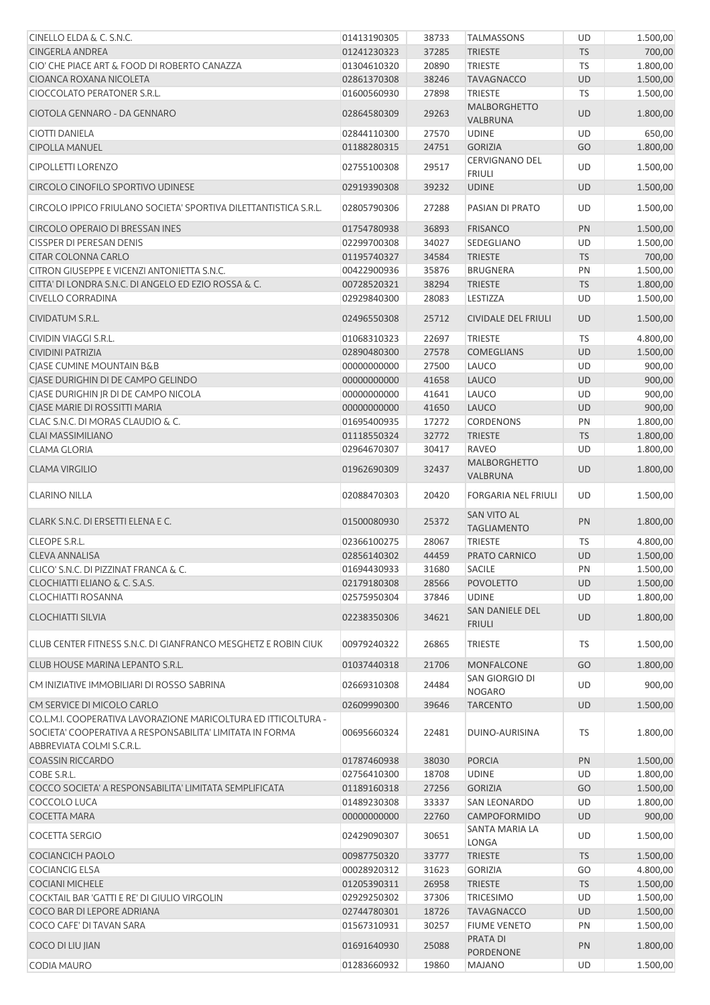| CINELLO ELDA & C. S.N.C.                                                                                                   | 01413190305 | 38733 | <b>TALMASSONS</b>                        | UD        | 1.500,00 |
|----------------------------------------------------------------------------------------------------------------------------|-------------|-------|------------------------------------------|-----------|----------|
| <b>CINGERLA ANDREA</b>                                                                                                     | 01241230323 | 37285 | <b>TRIESTE</b>                           | <b>TS</b> | 700,00   |
| CIO' CHE PIACE ART & FOOD DI ROBERTO CANAZZA                                                                               | 01304610320 | 20890 | <b>TRIESTE</b>                           | TS        | 1.800,00 |
| CIOANCA ROXANA NICOLETA                                                                                                    | 02861370308 | 38246 | <b>TAVAGNACCO</b>                        | <b>UD</b> | 1.500,00 |
| CIOCCOLATO PERATONER S.R.L.                                                                                                | 01600560930 | 27898 | <b>TRIESTE</b>                           | TS        | 1.500,00 |
|                                                                                                                            |             |       | <b>MALBORGHETTO</b>                      |           |          |
| CIOTOLA GENNARO - DA GENNARO                                                                                               | 02864580309 | 29263 | VALBRUNA                                 | <b>UD</b> | 1.800,00 |
| <b>CIOTTI DANIELA</b>                                                                                                      | 02844110300 | 27570 | <b>UDINE</b>                             | UD        | 650,00   |
| <b>CIPOLLA MANUEL</b>                                                                                                      | 01188280315 | 24751 | <b>GORIZIA</b>                           | GO        | 1.800,00 |
| <b>CIPOLLETTI LORENZO</b>                                                                                                  | 02755100308 | 29517 | <b>CERVIGNANO DEL</b><br><b>FRIULI</b>   | UD        | 1.500,00 |
| CIRCOLO CINOFILO SPORTIVO UDINESE                                                                                          | 02919390308 | 39232 | <b>UDINE</b>                             | <b>UD</b> | 1.500,00 |
| CIRCOLO IPPICO FRIULANO SOCIETA' SPORTIVA DILETTANTISTICA S.R.L.                                                           | 02805790306 | 27288 | PASIAN DI PRATO                          | UD        | 1.500,00 |
| CIRCOLO OPERAIO DI BRESSAN INES                                                                                            | 01754780938 | 36893 | <b>FRISANCO</b>                          | PN        | 1.500,00 |
| <b>CISSPER DI PERESAN DENIS</b>                                                                                            | 02299700308 | 34027 | SEDEGLIANO                               | UD        | 1.500,00 |
| <b>CITAR COLONNA CARLO</b>                                                                                                 | 01195740327 | 34584 | <b>TRIESTE</b>                           | <b>TS</b> | 700,00   |
| CITRON GIUSEPPE E VICENZI ANTONIETTA S.N.C.                                                                                | 00422900936 | 35876 | <b>BRUGNERA</b>                          | PN        | 1.500,00 |
| CITTA' DI LONDRA S.N.C. DI ANGELO ED EZIO ROSSA & C.                                                                       | 00728520321 | 38294 | <b>TRIESTE</b>                           | <b>TS</b> | 1.800,00 |
| <b>CIVELLO CORRADINA</b>                                                                                                   | 02929840300 | 28083 | LESTIZZA                                 | UD        | 1.500,00 |
|                                                                                                                            |             |       |                                          |           |          |
| <b>CIVIDATUM S.R.L.</b>                                                                                                    | 02496550308 | 25712 | <b>CIVIDALE DEL FRIULI</b>               | <b>UD</b> | 1.500,00 |
| CIVIDIN VIAGGI S.R.L.                                                                                                      | 01068310323 | 22697 | <b>TRIESTE</b>                           | <b>TS</b> | 4.800,00 |
| <b>CIVIDINI PATRIZIA</b>                                                                                                   | 02890480300 | 27578 | <b>COMEGLIANS</b>                        | <b>UD</b> | 1.500,00 |
| CJASE CUMINE MOUNTAIN B&B                                                                                                  | 00000000000 | 27500 | LAUCO                                    | UD        | 900,00   |
| CJASE DURIGHIN DI DE CAMPO GELINDO                                                                                         | 00000000000 | 41658 | <b>LAUCO</b>                             | <b>UD</b> | 900,00   |
| CJASE DURIGHIN JR DI DE CAMPO NICOLA                                                                                       | 00000000000 | 41641 | LAUCO                                    | UD        | 900,00   |
| CIASE MARIE DI ROSSITTI MARIA                                                                                              | 00000000000 | 41650 | <b>LAUCO</b>                             | <b>UD</b> | 900,00   |
| CLAC S.N.C. DI MORAS CLAUDIO & C.                                                                                          | 01695400935 | 17272 | <b>CORDENONS</b>                         | PN        | 1.800,00 |
| <b>CLAI MASSIMILIANO</b>                                                                                                   | 01118550324 | 32772 | <b>TRIESTE</b>                           | <b>TS</b> | 1.800,00 |
|                                                                                                                            |             |       |                                          |           |          |
| <b>CLAMA GLORIA</b>                                                                                                        | 02964670307 | 30417 | <b>RAVEO</b>                             | UD        | 1.800,00 |
| <b>CLAMA VIRGILIO</b>                                                                                                      | 01962690309 | 32437 | <b>MALBORGHETTO</b><br>VALBRUNA          | <b>UD</b> | 1.800,00 |
| <b>CLARINO NILLA</b>                                                                                                       | 02088470303 | 20420 | <b>FORGARIA NEL FRIULI</b>               | UD        | 1.500,00 |
| CLARK S.N.C. DI ERSETTI ELENA E C.                                                                                         | 01500080930 | 25372 | <b>SAN VITO AL</b><br><b>TAGLIAMENTO</b> | PN        | 1.800,00 |
| CLEOPE S.R.L.                                                                                                              | 02366100275 | 28067 | <b>TRIESTE</b>                           | TS        | 4.800,00 |
| <b>CLEVA ANNALISA</b>                                                                                                      | 02856140302 | 44459 | PRATO CARNICO                            | UD        | 1.500,00 |
| CLICO' S.N.C. DI PIZZINAT FRANCA & C.                                                                                      | 01694430933 | 31680 | <b>SACILE</b>                            | PN        | 1.500,00 |
| CLOCHIATTI ELIANO & C. S.A.S.                                                                                              | 02179180308 | 28566 | <b>POVOLETTO</b>                         | <b>UD</b> | 1.500,00 |
|                                                                                                                            |             |       |                                          |           |          |
| CLOCHIATTI ROSANNA                                                                                                         | 02575950304 | 37846 | <b>UDINE</b>                             | UD        | 1.800,00 |
| <b>CLOCHIATTI SILVIA</b>                                                                                                   | 02238350306 | 34621 | SAN DANIELE DEL<br><b>FRIULI</b>         | <b>UD</b> | 1.800,00 |
| CLUB CENTER FITNESS S.N.C. DI GIANFRANCO MESGHETZ E ROBIN CIUK                                                             | 00979240322 | 26865 | <b>TRIESTE</b>                           | <b>TS</b> | 1.500,00 |
| CLUB HOUSE MARINA LEPANTO S.R.L.                                                                                           | 01037440318 | 21706 | MONFALCONE                               | GO        | 1.800,00 |
| CM INIZIATIVE IMMOBILIARI DI ROSSO SABRINA                                                                                 | 02669310308 | 24484 | SAN GIORGIO DI<br><b>NOGARO</b>          | UD        | 900,00   |
| CM SERVICE DI MICOLO CARLO                                                                                                 | 02609990300 | 39646 | <b>TARCENTO</b>                          | <b>UD</b> | 1.500,00 |
| CO.L.M.I. COOPERATIVA LAVORAZIONE MARICOLTURA ED ITTICOLTURA -<br>SOCIETA' COOPERATIVA A RESPONSABILITA' LIMITATA IN FORMA | 00695660324 | 22481 | DUINO-AURISINA                           | TS        | 1.800,00 |
| ABBREVIATA COLMI S.C.R.L.                                                                                                  |             |       |                                          |           |          |
| <b>COASSIN RICCARDO</b>                                                                                                    | 01787460938 | 38030 | <b>PORCIA</b>                            | PN        | 1.500,00 |
| COBE S.R.L.                                                                                                                | 02756410300 | 18708 | <b>UDINE</b>                             | UD        | 1.800,00 |
| COCCO SOCIETA' A RESPONSABILITA' LIMITATA SEMPLIFICATA                                                                     | 01189160318 | 27256 | <b>GORIZIA</b>                           | GO        | 1.500,00 |
| COCCOLO LUCA                                                                                                               | 01489230308 | 33337 | <b>SAN LEONARDO</b>                      | UD        | 1.800,00 |
| <b>COCETTA MARA</b>                                                                                                        | 00000000000 | 22760 | CAMPOFORMIDO                             | <b>UD</b> | 900,00   |
| <b>COCETTA SERGIO</b>                                                                                                      | 02429090307 | 30651 | SANTA MARIA LA<br>LONGA                  | UD        | 1.500,00 |
| <b>COCIANCICH PAOLO</b>                                                                                                    | 00987750320 | 33777 | <b>TRIESTE</b>                           | <b>TS</b> | 1.500,00 |
|                                                                                                                            |             |       |                                          |           |          |
| <b>COCIANCIG ELSA</b>                                                                                                      | 00028920312 | 31623 | <b>GORIZIA</b>                           | GO        | 4.800,00 |
| <b>COCIANI MICHELE</b>                                                                                                     | 01205390311 | 26958 | <b>TRIESTE</b>                           | <b>TS</b> | 1.500,00 |
| COCKTAIL BAR 'GATTI E RE' DI GIULIO VIRGOLIN                                                                               | 02929250302 | 37306 | <b>TRICESIMO</b>                         | UD        | 1.500,00 |
| COCO BAR DI LEPORE ADRIANA                                                                                                 | 02744780301 | 18726 | <b>TAVAGNACCO</b>                        | UD        | 1.500,00 |
| COCO CAFE' DI TAVAN SARA                                                                                                   | 01567310931 | 30257 | <b>FIUME VENETO</b>                      | PN        | 1.500,00 |
| COCO DI LIU JIAN                                                                                                           | 01691640930 | 25088 | PRATA DI<br>PORDENONE                    | PN        | 1.800,00 |
| <b>CODIA MAURO</b>                                                                                                         | 01283660932 | 19860 | <b>MAJANO</b>                            | UD        | 1.500,00 |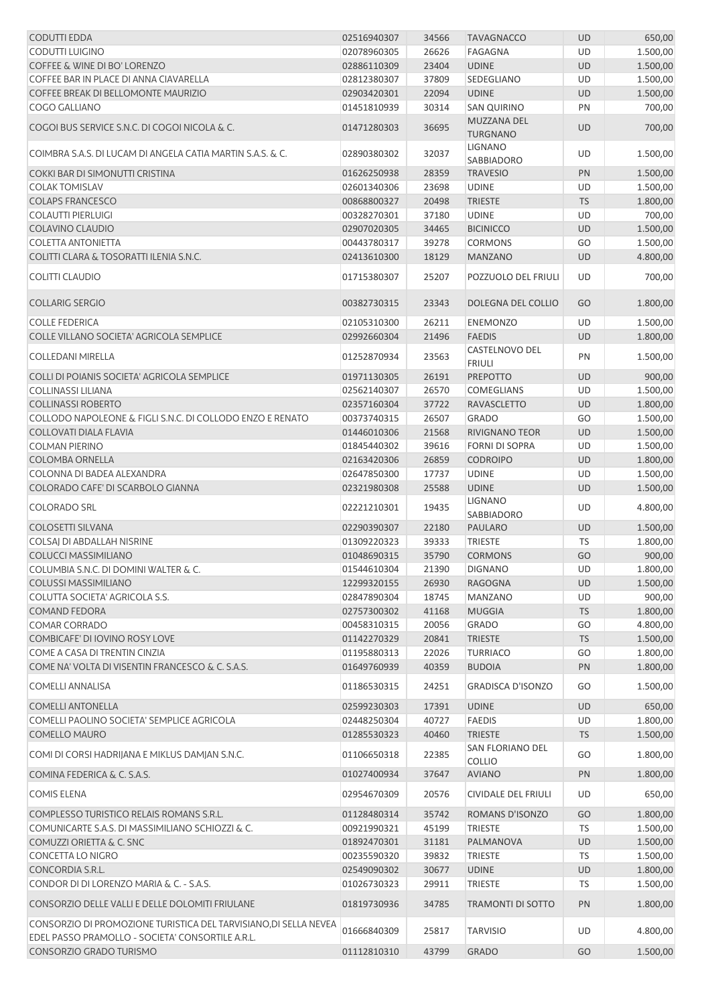| CODUTTI EDDA                                                                                                        | 02516940307 | 34566 | <b>TAVAGNACCO</b>               | UD        | 650,00   |
|---------------------------------------------------------------------------------------------------------------------|-------------|-------|---------------------------------|-----------|----------|
| CODUTTI LUIGINO                                                                                                     | 02078960305 | 26626 | <b>FAGAGNA</b>                  | UD        | 1.500,00 |
| COFFEE & WINE DI BO' LORENZO                                                                                        | 02886110309 | 23404 | <b>UDINE</b>                    | <b>UD</b> | 1.500,00 |
| COFFEE BAR IN PLACE DI ANNA CIAVARELLA                                                                              | 02812380307 | 37809 | SEDEGLIANO                      | UD        | 1.500,00 |
| COFFEE BREAK DI BELLOMONTE MAURIZIO                                                                                 | 02903420301 | 22094 | <b>UDINE</b>                    | <b>UD</b> | 1.500,00 |
| COGO GALLIANO                                                                                                       | 01451810939 | 30314 | <b>SAN QUIRINO</b>              | PN        | 700,00   |
| COGOI BUS SERVICE S.N.C. DI COGOI NICOLA & C.                                                                       | 01471280303 | 36695 | MUZZANA DEL<br><b>TURGNANO</b>  | UD        | 700,00   |
| COIMBRA S.A.S. DI LUCAM DI ANGELA CATIA MARTIN S.A.S. & C.                                                          | 02890380302 | 32037 | <b>LIGNANO</b><br>SABBIADORO    | UD        | 1.500,00 |
| COKKI BAR DI SIMONUTTI CRISTINA                                                                                     | 01626250938 | 28359 | <b>TRAVESIO</b>                 | PN        | 1.500,00 |
| <b>COLAK TOMISLAV</b>                                                                                               | 02601340306 | 23698 | <b>UDINE</b>                    | UD        | 1.500,00 |
| <b>COLAPS FRANCESCO</b>                                                                                             | 00868800327 | 20498 | <b>TRIESTE</b>                  | <b>TS</b> | 1.800,00 |
| <b>COLAUTTI PIERLUIGI</b>                                                                                           | 00328270301 | 37180 | <b>UDINE</b>                    | UD        | 700,00   |
| <b>COLAVINO CLAUDIO</b>                                                                                             | 02907020305 | 34465 | <b>BICINICCO</b>                | UD        | 1.500,00 |
| <b>COLETTA ANTONIETTA</b>                                                                                           | 00443780317 | 39278 | <b>CORMONS</b>                  | GO        | 1.500,00 |
| COLITTI CLARA & TOSORATTI ILENIA S.N.C.                                                                             | 02413610300 | 18129 | <b>MANZANO</b>                  | <b>UD</b> | 4.800,00 |
| <b>COLITTI CLAUDIO</b>                                                                                              | 01715380307 | 25207 | POZZUOLO DEL FRIULI             | UD        | 700,00   |
| <b>COLLARIG SERGIO</b>                                                                                              | 00382730315 | 23343 | DOLEGNA DEL COLLIO              | GO        | 1.800,00 |
|                                                                                                                     |             |       |                                 |           |          |
| <b>COLLE FEDERICA</b>                                                                                               | 02105310300 | 26211 | <b>ENEMONZO</b>                 | UD        | 1.500,00 |
| COLLE VILLANO SOCIETA' AGRICOLA SEMPLICE                                                                            | 02992660304 | 21496 | <b>FAEDIS</b>                   | <b>UD</b> | 1.800,00 |
| <b>COLLEDANI MIRELLA</b>                                                                                            | 01252870934 | 23563 | CASTELNOVO DEL<br><b>FRIULI</b> | PN        | 1.500,00 |
| COLLI DI POIANIS SOCIETA' AGRICOLA SEMPLICE                                                                         | 01971130305 | 26191 | <b>PREPOTTO</b>                 | UD        | 900,00   |
| <b>COLLINASSI LILIANA</b>                                                                                           | 02562140307 | 26570 | COMEGLIANS                      | UD        | 1.500,00 |
| <b>COLLINASSI ROBERTO</b>                                                                                           | 02357160304 | 37722 | <b>RAVASCLETTO</b>              | UD        | 1.800,00 |
| COLLODO NAPOLEONE & FIGLI S.N.C. DI COLLODO ENZO E RENATO                                                           | 00373740315 | 26507 | <b>GRADO</b>                    | GO        | 1.500,00 |
| <b>COLLOVATI DIALA FLAVIA</b>                                                                                       | 01446010306 | 21568 | RIVIGNANO TEOR                  | UD        | 1.500,00 |
| <b>COLMAN PIERINO</b>                                                                                               | 01845440302 | 39616 | FORNI DI SOPRA                  | UD        | 1.500,00 |
| COLOMBA ORNELLA                                                                                                     | 02163420306 | 26859 | <b>CODROIPO</b>                 | UD        | 1.800,00 |
| COLONNA DI BADEA ALEXANDRA                                                                                          | 02647850300 | 17737 | <b>UDINE</b>                    | UD        | 1.500,00 |
| COLORADO CAFE' DI SCARBOLO GIANNA                                                                                   | 02321980308 | 25588 | <b>UDINE</b>                    | <b>UD</b> | 1.500,00 |
| <b>COLORADO SRL</b>                                                                                                 | 02221210301 | 19435 | <b>LIGNANO</b><br>SABBIADORO    | UD        | 4.800,00 |
| <b>COLOSETTI SILVANA</b>                                                                                            | 02290390307 | 22180 | PAULARO                         | UD        | 1.500,00 |
| COLSAJ DI ABDALLAH NISRINE                                                                                          | 01309220323 | 39333 | <b>TRIESTE</b>                  | TS        | 1.800,00 |
| <b>COLUCCI MASSIMILIANO</b>                                                                                         | 01048690315 | 35790 | <b>CORMONS</b>                  | GO        | 900,00   |
| COLUMBIA S.N.C. DI DOMINI WALTER & C.                                                                               | 01544610304 | 21390 | <b>DIGNANO</b>                  | UD        | 1.800,00 |
| <b>COLUSSI MASSIMILIANO</b>                                                                                         | 12299320155 | 26930 | <b>RAGOGNA</b>                  | <b>UD</b> | 1.500,00 |
| COLUTTA SOCIETA' AGRICOLA S.S.                                                                                      | 02847890304 | 18745 | <b>MANZANO</b>                  | UD        | 900,00   |
| <b>COMAND FEDORA</b>                                                                                                | 02757300302 | 41168 | <b>MUGGIA</b>                   | <b>TS</b> | 1.800,00 |
| <b>COMAR CORRADO</b>                                                                                                | 00458310315 | 20056 | <b>GRADO</b>                    | GO        | 4.800,00 |
| COMBICAFE' DI IOVINO ROSY LOVE                                                                                      | 01142270329 | 20841 | <b>TRIESTE</b>                  | <b>TS</b> | 1.500,00 |
| COME A CASA DI TRENTIN CINZIA                                                                                       | 01195880313 | 22026 | <b>TURRIACO</b>                 | GO        | 1.800,00 |
| COME NA' VOLTA DI VISENTIN FRANCESCO & C. S.A.S.                                                                    | 01649760939 | 40359 | <b>BUDOIA</b>                   | PN        | 1.800,00 |
| <b>COMELLI ANNALISA</b>                                                                                             | 01186530315 | 24251 | <b>GRADISCA D'ISONZO</b>        | GO        | 1.500,00 |
| <b>COMELLI ANTONELLA</b>                                                                                            | 02599230303 | 17391 | <b>UDINE</b>                    | UD        | 650,00   |
| COMELLI PAOLINO SOCIETA' SEMPLICE AGRICOLA                                                                          | 02448250304 | 40727 | <b>FAEDIS</b>                   | UD        | 1.800,00 |
| <b>COMELLO MAURO</b>                                                                                                | 01285530323 | 40460 | <b>TRIESTE</b>                  | <b>TS</b> | 1.500,00 |
| COMI DI CORSI HADRIJANA E MIKLUS DAMJAN S.N.C.                                                                      | 01106650318 | 22385 | SAN FLORIANO DEL                | GO        | 1.800,00 |
| COMINA FEDERICA & C. S.A.S.                                                                                         | 01027400934 | 37647 | <b>COLLIO</b><br><b>AVIANO</b>  | PN        | 1.800,00 |
| <b>COMIS ELENA</b>                                                                                                  | 02954670309 | 20576 | CIVIDALE DEL FRIULI             | UD        | 650,00   |
| COMPLESSO TURISTICO RELAIS ROMANS S.R.L.                                                                            | 01128480314 | 35742 | ROMANS D'ISONZO                 | GO        | 1.800,00 |
| COMUNICARTE S.A.S. DI MASSIMILIANO SCHIOZZI & C.                                                                    | 00921990321 | 45199 | <b>TRIESTE</b>                  | TS        | 1.500,00 |
|                                                                                                                     |             |       |                                 |           |          |
| COMUZZI ORIETTA & C. SNC                                                                                            | 01892470301 | 31181 | PALMANOVA                       | <b>UD</b> | 1.500,00 |
| <b>CONCETTA LO NIGRO</b>                                                                                            | 00235590320 | 39832 | <b>TRIESTE</b>                  | TS        | 1.500,00 |
| CONCORDIA S.R.L.                                                                                                    | 02549090302 | 30677 | <b>UDINE</b>                    | <b>UD</b> | 1.800,00 |
| CONDOR DI DI LORENZO MARIA & C. - S.A.S.                                                                            | 01026730323 | 29911 | TRIESTE                         | TS        | 1.500,00 |
| CONSORZIO DELLE VALLI E DELLE DOLOMITI FRIULANE                                                                     | 01819730936 | 34785 | <b>TRAMONTI DI SOTTO</b>        | PN        | 1.800,00 |
| CONSORZIO DI PROMOZIONE TURISTICA DEL TARVISIANO,DI SELLA NEVEA<br>EDEL PASSO PRAMOLLO - SOCIETA' CONSORTILE A.R.L. | 01666840309 | 25817 | <b>TARVISIO</b>                 | UD        | 4.800,00 |
| CONSORZIO GRADO TURISMO                                                                                             | 01112810310 | 43799 | <b>GRADO</b>                    | GO        | 1.500,00 |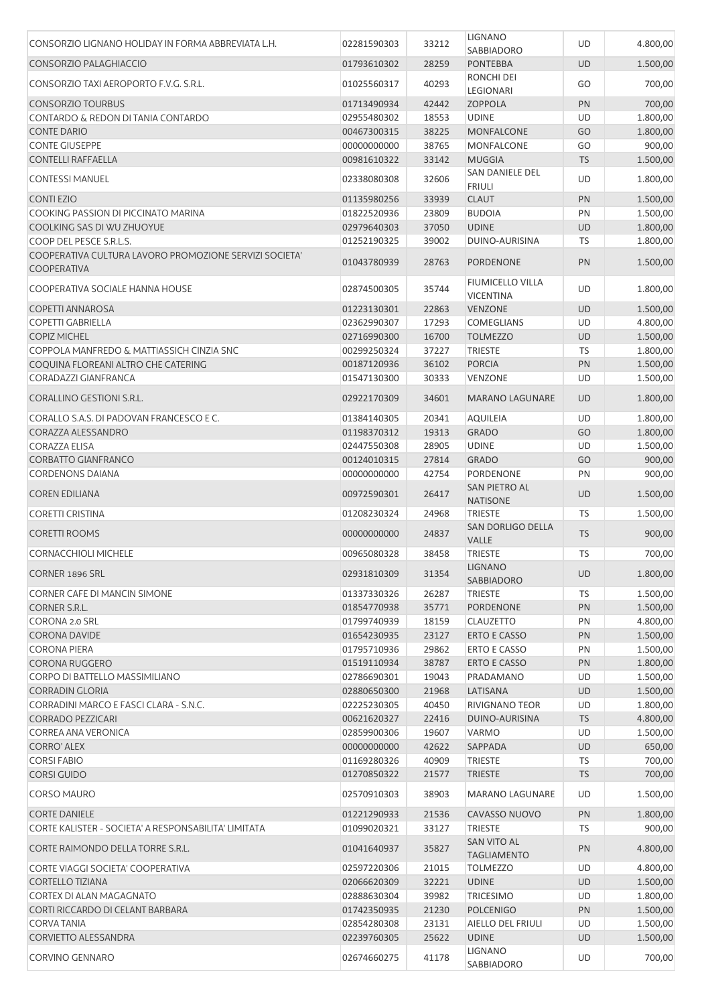| CONSORZIO LIGNANO HOLIDAY IN FORMA ABBREVIATA L.H.                           | 02281590303 | 33212 | <b>LIGNANO</b>                    | UD        | 4.800,00 |
|------------------------------------------------------------------------------|-------------|-------|-----------------------------------|-----------|----------|
| CONSORZIO PALAGHIACCIO                                                       | 01793610302 | 28259 | SABBIADORO<br><b>PONTEBBA</b>     | <b>UD</b> | 1.500,00 |
| CONSORZIO TAXI AEROPORTO F.V.G. S.R.L.                                       | 01025560317 | 40293 | RONCHI DEI<br>LEGIONARI           | GO        | 700,00   |
| <b>CONSORZIO TOURBUS</b>                                                     | 01713490934 | 42442 | <b>ZOPPOLA</b>                    | PN        | 700,00   |
| <b>CONTARDO &amp; REDON DI TANIA CONTARDO</b>                                | 02955480302 | 18553 | <b>UDINE</b>                      | UD        | 1.800,00 |
| <b>CONTE DARIO</b>                                                           | 00467300315 | 38225 | MONFALCONE                        | GO        | 1.800,00 |
| <b>CONTE GIUSEPPE</b>                                                        | 00000000000 | 38765 | MONFALCONE                        | GO        | 900,00   |
| <b>CONTELLI RAFFAELLA</b>                                                    | 00981610322 | 33142 | <b>MUGGIA</b>                     | <b>TS</b> | 1.500,00 |
|                                                                              |             |       | <b>SAN DANIELE DEL</b>            |           |          |
| <b>CONTESSI MANUEL</b>                                                       | 02338080308 | 32606 | <b>FRIULI</b>                     | UD        | 1.800,00 |
| <b>CONTIEZIO</b>                                                             | 01135980256 | 33939 | <b>CLAUT</b>                      | PN        | 1.500,00 |
| COOKING PASSION DI PICCINATO MARINA                                          | 01822520936 | 23809 | <b>BUDOIA</b>                     | PN        | 1.500,00 |
| COOLKING SAS DI WU ZHUOYUE                                                   | 02979640303 | 37050 | <b>UDINE</b>                      | UD        | 1.800,00 |
| COOP DEL PESCE S.R.L.S.                                                      | 01252190325 | 39002 | DUINO-AURISINA                    | TS        | 1.800,00 |
| COOPERATIVA CULTURA LAVORO PROMOZIONE SERVIZI SOCIETA'<br><b>COOPERATIVA</b> | 01043780939 | 28763 | <b>PORDENONE</b>                  | PN        | 1.500,00 |
| COOPERATIVA SOCIALE HANNA HOUSE                                              | 02874500305 | 35744 | FIUMICELLO VILLA                  | UD        | 1.800,00 |
|                                                                              |             |       | <b>VICENTINA</b>                  |           |          |
| <b>COPETTI ANNAROSA</b>                                                      | 01223130301 | 22863 | <b>VENZONE</b>                    | UD        | 1.500,00 |
| <b>COPETTI GABRIELLA</b>                                                     | 02362990307 | 17293 | <b>COMEGLIANS</b>                 | UD        | 4.800,00 |
| <b>COPIZ MICHEL</b>                                                          | 02716990300 | 16700 | <b>TOLMEZZO</b>                   | UD        | 1.500,00 |
| COPPOLA MANFREDO & MATTIASSICH CINZIA SNC                                    | 00299250324 | 37227 | <b>TRIESTE</b>                    | TS        | 1.800,00 |
| COQUINA FLOREANI ALTRO CHE CATERING                                          | 00187120936 | 36102 | <b>PORCIA</b>                     | PN        | 1.500,00 |
| <b>CORADAZZI GIANFRANCA</b>                                                  | 01547130300 | 30333 | <b>VENZONE</b>                    | UD        | 1.500,00 |
| <b>CORALLINO GESTIONI S.R.L.</b>                                             | 02922170309 | 34601 | <b>MARANO LAGUNARE</b>            | <b>UD</b> | 1.800,00 |
| CORALLO S.A.S. DI PADOVAN FRANCESCO E C.                                     | 01384140305 | 20341 | <b>AQUILEIA</b>                   | UD        | 1.800,00 |
| CORAZZA ALESSANDRO                                                           | 01198370312 | 19313 | <b>GRADO</b>                      | GO        | 1.800,00 |
| <b>CORAZZA ELISA</b>                                                         | 02447550308 | 28905 | <b>UDINE</b>                      | UD        | 1.500,00 |
| <b>CORBATTO GIANFRANCO</b>                                                   | 00124010315 | 27814 | <b>GRADO</b>                      | GO        | 900,00   |
| <b>CORDENONS DAIANA</b>                                                      | 00000000000 | 42754 | <b>PORDENONE</b>                  | PN        | 900,00   |
|                                                                              |             |       | SAN PIETRO AL                     |           |          |
| <b>COREN EDILIANA</b>                                                        | 00972590301 | 26417 | <b>NATISONE</b>                   | <b>UD</b> | 1.500,00 |
| <b>CORETTI CRISTINA</b>                                                      | 01208230324 | 24968 | <b>TRIESTE</b>                    | TS        | 1.500,00 |
| <b>CORETTI ROOMS</b>                                                         | 00000000000 | 24837 | SAN DORLIGO DELLA<br>VALLE        | <b>TS</b> | 900,00   |
| <b>CORNACCHIOLI MICHELE</b>                                                  | 00965080328 | 38458 | <b>TRIESTE</b>                    | TS        | 700,00   |
| <b>CORNER 1896 SRL</b>                                                       | 02931810309 | 31354 | <b>LIGNANO</b><br>SABBIADORO      | <b>UD</b> | 1.800,00 |
| CORNER CAFE DI MANCIN SIMONE                                                 | 01337330326 | 26287 | <b>TRIESTE</b>                    | TS        | 1.500,00 |
| <b>CORNER S.R.L.</b>                                                         | 01854770938 | 35771 | <b>PORDENONE</b>                  | PN        | 1.500,00 |
| CORONA 2.0 SRL                                                               | 01799740939 | 18159 | <b>CLAUZETTO</b>                  | PN        | 4.800,00 |
| <b>CORONA DAVIDE</b>                                                         | 01654230935 | 23127 | <b>ERTO E CASSO</b>               | PN        | 1.500,00 |
| <b>CORONA PIERA</b>                                                          | 01795710936 | 29862 | <b>ERTO E CASSO</b>               | PN        | 1.500,00 |
| <b>CORONA RUGGERO</b>                                                        | 01519110934 | 38787 | ERTO E CASSO                      | PN        | 1.800,00 |
| CORPO DI BATTELLO MASSIMILIANO                                               | 02786690301 | 19043 | PRADAMANO                         | UD        | 1.500,00 |
| <b>CORRADIN GLORIA</b>                                                       | 02880650300 | 21968 | LATISANA                          | UD        | 1.500,00 |
| CORRADINI MARCO E FASCI CLARA - S.N.C.                                       | 02225230305 | 40450 | <b>RIVIGNANO TEOR</b>             | UD        | 1.800,00 |
| <b>CORRADO PEZZICARI</b>                                                     | 00621620327 | 22416 | DUINO-AURISINA                    | <b>TS</b> | 4.800,00 |
| <b>CORREA ANA VERONICA</b>                                                   | 02859900306 | 19607 | <b>VARMO</b>                      |           |          |
|                                                                              |             |       |                                   | UD        | 1.500,00 |
| <b>CORRO' ALEX</b>                                                           | 00000000000 | 42622 | SAPPADA                           | <b>UD</b> | 650,00   |
| <b>CORSI FABIO</b>                                                           | 01169280326 | 40909 | TRIESTE                           | <b>TS</b> | 700,00   |
| <b>CORSI GUIDO</b>                                                           | 01270850322 | 21577 | <b>TRIESTE</b>                    | <b>TS</b> | 700,00   |
| <b>CORSO MAURO</b>                                                           | 02570910303 | 38903 | <b>MARANO LAGUNARE</b>            | UD        | 1.500,00 |
| <b>CORTE DANIELE</b>                                                         | 01221290933 | 21536 | CAVASSO NUOVO                     | PN        | 1.800,00 |
| CORTE KALISTER - SOCIETA' A RESPONSABILITA' LIMITATA                         | 01099020321 | 33127 | <b>TRIESTE</b>                    | TS        | 900,00   |
| CORTE RAIMONDO DELLA TORRE S.R.L.                                            | 01041640937 | 35827 | SAN VITO AL<br><b>TAGLIAMENTO</b> | PN        | 4.800,00 |
| CORTE VIAGGI SOCIETA' COOPERATIVA                                            | 02597220306 | 21015 | <b>TOLMEZZO</b>                   | UD        | 4.800,00 |
| <b>CORTELLO TIZIANA</b>                                                      | 02066620309 | 32221 | <b>UDINE</b>                      | <b>UD</b> | 1.500,00 |
| CORTEX DI ALAN MAGAGNATO                                                     | 02888630304 | 39982 | <b>TRICESIMO</b>                  | UD        | 1.800,00 |
| CORTI RICCARDO DI CELANT BARBARA                                             | 01742350935 | 21230 | <b>POLCENIGO</b>                  | PN        | 1.500,00 |
| <b>CORVATANIA</b>                                                            |             |       |                                   | UD        |          |
|                                                                              | 02854280308 | 23131 | AIELLO DEL FRIULI                 |           | 1.500,00 |
| <b>CORVIETTO ALESSANDRA</b>                                                  | 02239760305 | 25622 | <b>UDINE</b>                      | <b>UD</b> | 1.500,00 |
| <b>CORVINO GENNARO</b>                                                       | 02674660275 | 41178 | <b>LIGNANO</b><br>SABBIADORO      | UD        | 700,00   |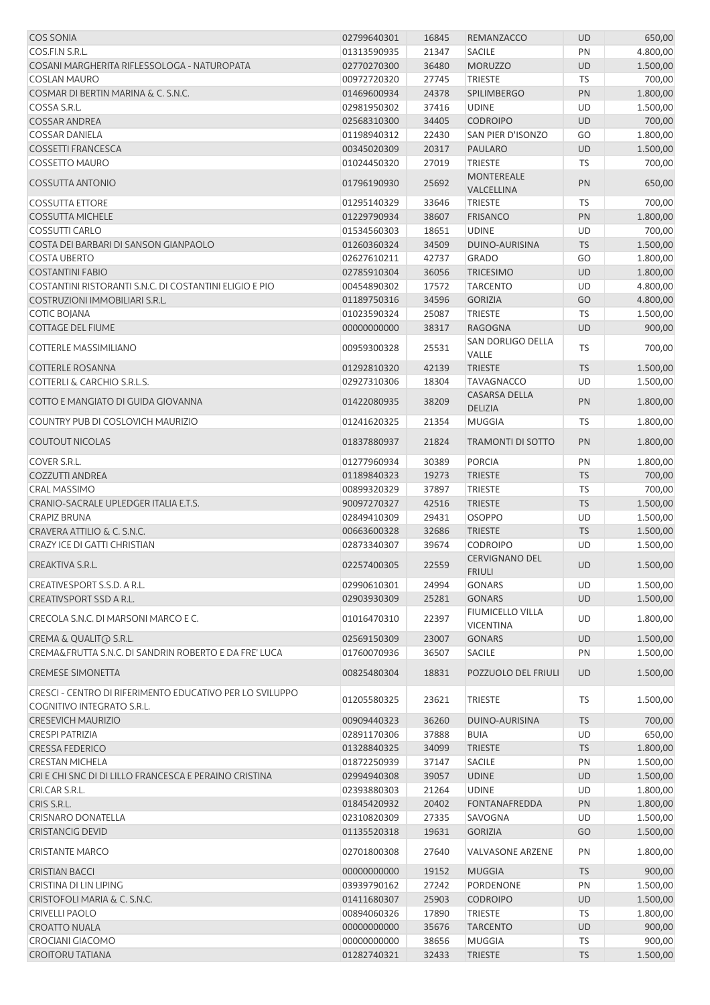| <b>COS SONIA</b>                                                                          | 02799640301                | 16845          | REMANZACCO                                  | <b>UD</b>       | 650,00               |
|-------------------------------------------------------------------------------------------|----------------------------|----------------|---------------------------------------------|-----------------|----------------------|
| COS.FI.N S.R.L.                                                                           | 01313590935                | 21347          | SACILE                                      | PN              | 4.800,00             |
| COSANI MARGHERITA RIFLESSOLOGA - NATUROPATA                                               | 02770270300                | 36480          | <b>MORUZZO</b>                              | <b>UD</b>       | 1.500,00             |
| <b>COSLAN MAURO</b>                                                                       | 00972720320                | 27745          | <b>TRIESTE</b>                              | <b>TS</b>       | 700,00               |
| COSMAR DI BERTIN MARINA & C. S.N.C.                                                       | 01469600934                | 24378          | <b>SPILIMBERGO</b>                          | PN              | 1.800,00             |
| COSSA S.R.L.                                                                              | 02981950302                | 37416          | <b>UDINE</b>                                | UD              | 1.500,00             |
| <b>COSSAR ANDREA</b>                                                                      | 02568310300                | 34405          | <b>CODROIPO</b>                             | <b>UD</b>       | 700,00               |
| <b>COSSAR DANIELA</b>                                                                     | 01198940312                | 22430          | <b>SAN PIER D'ISONZO</b>                    | GO              | 1.800,00             |
| <b>COSSETTI FRANCESCA</b>                                                                 | 00345020309                | 20317          | <b>PAULARO</b>                              | UD              | 1.500,00             |
| <b>COSSETTO MAURO</b>                                                                     | 01024450320                | 27019          | <b>TRIESTE</b>                              | <b>TS</b>       | 700,00               |
| <b>COSSUTTA ANTONIO</b>                                                                   | 01796190930                | 25692          | <b>MONTEREALE</b><br>VALCELLINA             | PN              | 650,00               |
| <b>COSSUTTA ETTORE</b>                                                                    | 01295140329                | 33646          | <b>TRIESTE</b>                              | <b>TS</b>       | 700,00               |
| <b>COSSUTTA MICHELE</b>                                                                   | 01229790934                | 38607          | <b>FRISANCO</b>                             | PN              | 1.800,00             |
| <b>COSSUTTI CARLO</b>                                                                     | 01534560303                | 18651          | <b>UDINE</b>                                | UD              | 700,00               |
| COSTA DEI BARBARI DI SANSON GIANPAOLO                                                     | 01260360324                | 34509          | DUINO-AURISINA                              | <b>TS</b>       | 1.500,00             |
| <b>COSTA UBERTO</b>                                                                       | 02627610211                | 42737          | <b>GRADO</b>                                | GO              | 1.800,00             |
| <b>COSTANTINI FABIO</b>                                                                   | 02785910304                | 36056          | <b>TRICESIMO</b>                            | <b>UD</b>       | 1.800,00             |
| COSTANTINI RISTORANTI S.N.C. DI COSTANTINI ELIGIO E PIO<br>COSTRUZIONI IMMOBILIARI S.R.L. | 00454890302<br>01189750316 | 17572<br>34596 | <b>TARCENTO</b>                             | UD<br>GO        | 4.800,00             |
| <b>COTIC BOJANA</b>                                                                       | 01023590324                | 25087          | <b>GORIZIA</b><br><b>TRIESTE</b>            | <b>TS</b>       | 4.800,00<br>1.500,00 |
| <b>COTTAGE DEL FIUME</b>                                                                  | 00000000000                | 38317          | <b>RAGOGNA</b>                              | <b>UD</b>       | 900,00               |
|                                                                                           |                            |                | SAN DORLIGO DELLA                           |                 |                      |
| COTTERLE MASSIMILIANO                                                                     | 00959300328                | 25531          | VALLE                                       | TS              | 700,00               |
| <b>COTTERLE ROSANNA</b>                                                                   | 01292810320                | 42139          | <b>TRIESTE</b>                              | <b>TS</b>       | 1.500,00             |
| <b>COTTERLI &amp; CARCHIO S.R.L.S.</b>                                                    | 02927310306                | 18304          | <b>TAVAGNACCO</b>                           | UD              | 1.500,00             |
| COTTO E MANGIATO DI GUIDA GIOVANNA                                                        | 01422080935                | 38209          | <b>CASARSA DELLA</b><br><b>DELIZIA</b>      | PN              | 1.800,00             |
| COUNTRY PUB DI COSLOVICH MAURIZIO                                                         | 01241620325                | 21354          | <b>MUGGIA</b>                               | <b>TS</b>       | 1.800,00             |
| <b>COUTOUT NICOLAS</b>                                                                    | 01837880937                | 21824          | <b>TRAMONTI DI SOTTO</b>                    | PN              | 1.800,00             |
| COVER S.R.L.                                                                              | 01277960934                | 30389          | <b>PORCIA</b>                               | PN              | 1.800,00             |
| <b>COZZUTTI ANDREA</b>                                                                    | 01189840323                | 19273          | <b>TRIESTE</b>                              | <b>TS</b>       | 700,00               |
| <b>CRAL MASSIMO</b>                                                                       | 00899320329                | 37897          | <b>TRIESTE</b>                              | <b>TS</b>       | 700,00               |
| CRANIO-SACRALE UPLEDGER ITALIA E.T.S.                                                     | 90097270327                | 42516          | <b>TRIESTE</b>                              | <b>TS</b>       | 1.500,00             |
| <b>CRAPIZ BRUNA</b>                                                                       | 02849410309                | 29431          | OSOPPO                                      | UD              | 1.500,00             |
| CRAVERA ATTILIO & C. S.N.C.                                                               | 00663600328                | 32686          | <b>TRIESTE</b>                              | <b>TS</b>       | 1.500,00             |
| <b>CRAZY ICE DI GATTI CHRISTIAN</b>                                                       | 02873340307                | 39674          | <b>CODROIPO</b>                             | UD              | 1.500,00             |
| CREAKTIVA S.R.L.                                                                          | 02257400305                | 22559          | <b>CERVIGNANO DEL</b><br><b>FRIULI</b>      | <b>UD</b>       | 1.500,00             |
| CREATIVESPORT S.S.D. A R.L.                                                               | 02990610301                | 24994          | <b>GONARS</b>                               | <b>UD</b>       | 1.500,00             |
| CREATIVSPORT SSD A R.L.                                                                   | 02903930309                | 25281          | <b>GONARS</b>                               | <b>UD</b>       | 1.500,00             |
| CRECOLA S.N.C. DI MARSONI MARCO E C.                                                      | 01016470310                | 22397          | <b>FIUMICELLO VILLA</b><br><b>VICENTINA</b> | UD              | 1.800,00             |
| CREMA & QUALITO S.R.L.                                                                    | 02569150309                | 23007          | <b>GONARS</b>                               | <b>UD</b>       | 1.500,00             |
| CREMA&FRUTTA S.N.C. DI SANDRIN ROBERTO E DA FRE' LUCA                                     | 01760070936                | 36507          | SACILE                                      | PN              | 1.500,00             |
| <b>CREMESE SIMONETTA</b>                                                                  | 00825480304                | 18831          | POZZUOLO DEL FRIULI                         | <b>UD</b>       | 1.500,00             |
| CRESCI - CENTRO DI RIFERIMENTO EDUCATIVO PER LO SVILUPPO<br>COGNITIVO INTEGRATO S.R.L.    | 01205580325                | 23621          | <b>TRIESTE</b>                              | TS              | 1.500,00             |
| <b>CRESEVICH MAURIZIO</b>                                                                 | 00909440323                | 36260          | DUINO-AURISINA                              | <b>TS</b>       | 700,00               |
| <b>CRESPI PATRIZIA</b>                                                                    | 02891170306                | 37888          | <b>BUIA</b>                                 | UD              | 650,00               |
| <b>CRESSA FEDERICO</b>                                                                    | 01328840325                | 34099          | <b>TRIESTE</b>                              | <b>TS</b>       | 1.800,00             |
| <b>CRESTAN MICHELA</b>                                                                    | 01872250939                | 37147          | SACILE                                      | PN              | 1.500,00             |
| CRI E CHI SNC DI DI LILLO FRANCESCA E PERAINO CRISTINA                                    | 02994940308                | 39057          | <b>UDINE</b>                                | UD              | 1.500,00             |
| CRI.CAR S.R.L.                                                                            | 02393880303                | 21264          | <b>UDINE</b>                                | UD              | 1.800,00             |
| CRIS S.R.L.                                                                               | 01845420932                | 20402          | FONTANAFREDDA                               | PN              | 1.800,00             |
| <b>CRISNARO DONATELLA</b>                                                                 | 02310820309                | 27335          | SAVOGNA                                     | UD              | 1.500,00             |
| <b>CRISTANCIG DEVID</b><br><b>CRISTANTE MARCO</b>                                         | 01135520318<br>02701800308 | 19631<br>27640 | <b>GORIZIA</b><br><b>VALVASONE ARZENE</b>   | GO<br>PN        | 1.500,00<br>1.800,00 |
|                                                                                           |                            |                |                                             |                 |                      |
| <b>CRISTIAN BACCI</b>                                                                     | 00000000000                | 19152          | <b>MUGGIA</b>                               | <b>TS</b>       | 900,00               |
| CRISTINA DI LIN LIPING<br>CRISTOFOLI MARIA & C. S.N.C.                                    | 03939790162<br>01411680307 | 27242<br>25903 | PORDENONE<br><b>CODROIPO</b>                | PN<br><b>UD</b> | 1.500,00<br>1.500,00 |
| <b>CRIVELLI PAOLO</b>                                                                     | 00894060326                | 17890          | <b>TRIESTE</b>                              | TS              | 1.800,00             |
| <b>CROATTO NUALA</b>                                                                      | 00000000000                | 35676          | <b>TARCENTO</b>                             | UD              | 900,00               |
| <b>CROCIANI GIACOMO</b>                                                                   | 00000000000                | 38656          | <b>MUGGIA</b>                               | <b>TS</b>       | 900,00               |
| <b>CROITORU TATIANA</b>                                                                   | 01282740321                | 32433          | <b>TRIESTE</b>                              | <b>TS</b>       | 1.500,00             |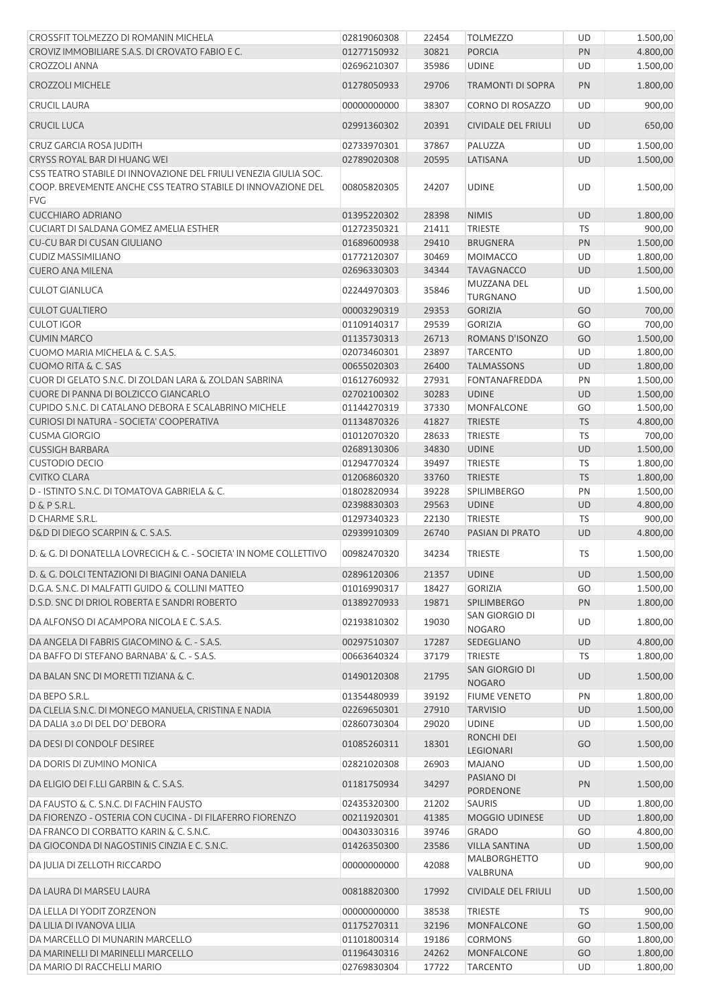| CROSSFIT TOLMEZZO DI ROMANIN MICHELA                                                                                             | 02819060308                | 22454 | <b>TOLMEZZO</b>                        | UD        | 1.500,00             |
|----------------------------------------------------------------------------------------------------------------------------------|----------------------------|-------|----------------------------------------|-----------|----------------------|
| CROVIZ IMMOBILIARE S.A.S. DI CROVATO FABIO E C.                                                                                  | 01277150932                | 30821 | <b>PORCIA</b>                          | PN        | 4.800,00             |
| <b>CROZZOLI ANNA</b>                                                                                                             | 02696210307                | 35986 | <b>UDINE</b>                           | UD        | 1.500,00             |
| <b>CROZZOLI MICHELE</b>                                                                                                          | 01278050933                | 29706 | <b>TRAMONTI DI SOPRA</b>               | PN        | 1.800,00             |
| <b>CRUCIL LAURA</b>                                                                                                              | 00000000000                | 38307 | CORNO DI ROSAZZO                       | UD        | 900,00               |
| <b>CRUCIL LUCA</b>                                                                                                               | 02991360302                | 20391 | <b>CIVIDALE DEL FRIULI</b>             | UD        | 650,00               |
| CRUZ GARCIA ROSA JUDITH                                                                                                          | 02733970301                | 37867 | PALUZZA                                | UD        | 1.500,00             |
| CRYSS ROYAL BAR DI HUANG WEI                                                                                                     | 02789020308                | 20595 | LATISANA                               | <b>UD</b> | 1.500,00             |
| CSS TEATRO STABILE DI INNOVAZIONE DEL FRIULI VENEZIA GIULIA SOC.<br>COOP. BREVEMENTE ANCHE CSS TEATRO STABILE DI INNOVAZIONE DEL | 00805820305                | 24207 | <b>UDINE</b>                           | UD        | 1.500,00             |
| <b>FVG</b>                                                                                                                       |                            |       |                                        |           |                      |
| <b>CUCCHIARO ADRIANO</b>                                                                                                         | 01395220302                | 28398 | <b>NIMIS</b>                           | <b>UD</b> | 1.800,00             |
| CUCIART DI SALDANA GOMEZ AMELIA ESTHER                                                                                           | 01272350321                | 21411 | <b>TRIESTE</b>                         | TS        | 900,00               |
| CU-CU BAR DI CUSAN GIULIANO                                                                                                      | 01689600938                | 29410 | <b>BRUGNERA</b>                        | PN        | 1.500,00             |
| <b>CUDIZ MASSIMILIANO</b>                                                                                                        | 01772120307                | 30469 | <b>MOIMACCO</b>                        | UD        | 1.800,00             |
| <b>CUERO ANA MILENA</b>                                                                                                          | 02696330303                | 34344 | <b>TAVAGNACCO</b>                      | UD        | 1.500,00             |
| <b>CULOT GIANLUCA</b>                                                                                                            | 02244970303                | 35846 | MUZZANA DEL<br><b>TURGNANO</b>         | UD        | 1.500,00             |
| <b>CULOT GUALTIERO</b>                                                                                                           | 00003290319                | 29353 | <b>GORIZIA</b>                         | GO        | 700,00               |
| <b>CULOT IGOR</b>                                                                                                                | 01109140317                | 29539 | <b>GORIZIA</b>                         | GO        | 700,00               |
| <b>CUMIN MARCO</b>                                                                                                               | 01135730313                | 26713 | ROMANS D'ISONZO                        | GO        | 1.500,00             |
| CUOMO MARIA MICHELA & C. S.A.S.                                                                                                  | 02073460301                | 23897 | <b>TARCENTO</b>                        | UD        | 1.800,00             |
| <b>CUOMO RITA &amp; C. SAS</b>                                                                                                   | 00655020303                | 26400 | <b>TALMASSONS</b>                      | UD        | 1.800,00             |
| CUOR DI GELATO S.N.C. DI ZOLDAN LARA & ZOLDAN SABRINA                                                                            | 01612760932                | 27931 | <b>FONTANAFREDDA</b>                   | PN        | 1.500,00             |
| CUORE DI PANNA DI BOLZICCO GIANCARLO                                                                                             | 02702100302                | 30283 | <b>UDINE</b>                           | <b>UD</b> | 1.500,00             |
| CUPIDO S.N.C. DI CATALANO DEBORA E SCALABRINO MICHELE                                                                            | 01144270319                | 37330 | <b>MONFALCONE</b>                      | GO        | 1.500,00             |
| CURIOSI DI NATURA - SOCIETA' COOPERATIVA                                                                                         | 01134870326                | 41827 | <b>TRIESTE</b>                         | <b>TS</b> | 4.800,00             |
| <b>CUSMA GIORGIO</b>                                                                                                             | 01012070320                | 28633 | <b>TRIESTE</b>                         | <b>TS</b> | 700,00               |
| <b>CUSSIGH BARBARA</b>                                                                                                           | 02689130306                | 34830 | <b>UDINE</b>                           | UD        | 1.500,00             |
| <b>CUSTODIO DECIO</b>                                                                                                            | 01294770324                | 39497 | <b>TRIESTE</b>                         | TS        | 1.800,00             |
| <b>CVITKO CLARA</b>                                                                                                              | 01206860320                | 33760 | <b>TRIESTE</b>                         | <b>TS</b> | 1.800,00             |
| D - ISTINTO S.N.C. DI TOMATOVA GABRIELA & C.                                                                                     | 01802820934                | 39228 | SPILIMBERGO                            | PN        | 1.500,00             |
| D & P S.R.L.                                                                                                                     | 02398830303                | 29563 | <b>UDINE</b>                           | UD        | 4.800,00             |
| D CHARME S.R.L.                                                                                                                  | 01297340323                | 22130 | TRIESTE                                | <b>TS</b> | 900,00               |
| D&D DI DIEGO SCARPIN & C. S.A.S.                                                                                                 | 02939910309                | 26740 | PASIAN DI PRATO                        | UD        | 4.800,00             |
| D. & G. DI DONATELLA LOVRECICH & C. - SOCIETA' IN NOME COLLETTIVO                                                                | 00982470320                | 34234 | <b>TRIESTE</b>                         | TS        | 1.500,00             |
| D. & G. DOLCI TENTAZIONI DI BIAGINI OANA DANIELA                                                                                 | 02896120306                | 21357 | <b>UDINE</b>                           | <b>UD</b> | 1.500,00             |
| D.G.A. S.N.C. DI MALFATTI GUIDO & COLLINI MATTEO                                                                                 | 01016990317                | 18427 | <b>GORIZIA</b>                         | GO        |                      |
| D.S.D. SNC DI DRIOL ROBERTA E SANDRI ROBERTO                                                                                     |                            | 19871 | SPILIMBERGO                            | PN        | 1.500,00             |
| DA ALFONSO DI ACAMPORA NICOLA E C. S.A.S.                                                                                        | 01389270933<br>02193810302 | 19030 | SAN GIORGIO DI                         | UD        | 1.800,00<br>1.800,00 |
|                                                                                                                                  |                            |       | <b>NOGARO</b>                          |           |                      |
| DA ANGELA DI FABRIS GIACOMINO & C. - S.A.S.                                                                                      | 00297510307                | 17287 | SEDEGLIANO                             | UD        | 4.800,00             |
| DA BAFFO DI STEFANO BARNABA' & C. - S.A.S.                                                                                       | 00663640324                | 37179 | <b>TRIESTE</b>                         | <b>TS</b> | 1.800,00             |
| DA BALAN SNC DI MORETTI TIZIANA & C.                                                                                             | 01490120308                | 21795 | SAN GIORGIO DI<br><b>NOGARO</b>        | UD        | 1.500,00             |
| DA BEPO S.R.L.                                                                                                                   | 01354480939                | 39192 | <b>FIUME VENETO</b>                    | PN        | 1.800,00             |
| DA CLELIA S.N.C. DI MONEGO MANUELA, CRISTINA E NADIA                                                                             | 02269650301                | 27910 | <b>TARVISIO</b>                        | UD        | 1.500,00             |
| DA DALIA 3.0 DI DEL DO' DEBORA                                                                                                   | 02860730304                | 29020 | <b>UDINE</b>                           | UD        | 1.500,00             |
| DA DESI DI CONDOLF DESIREE                                                                                                       | 01085260311                | 18301 | <b>RONCHI DEI</b><br>LEGIONARI         | GO        | 1.500,00             |
| DA DORIS DI ZUMINO MONICA                                                                                                        | 02821020308                | 26903 | <b>MAJANO</b>                          | UD        | 1.500,00             |
| DA ELIGIO DEI F.LLI GARBIN & C. S.A.S.                                                                                           | 01181750934                | 34297 | PASIANO DI<br>PORDENONE                | PN        | 1.500,00             |
| DA FAUSTO & C. S.N.C. DI FACHIN FAUSTO                                                                                           | 02435320300                | 21202 | <b>SAURIS</b>                          | UD        | 1.800,00             |
| DA FIORENZO - OSTERIA CON CUCINA - DI FILAFERRO FIORENZO                                                                         | 00211920301                | 41385 | <b>MOGGIO UDINESE</b>                  | UD        | 1.800,00             |
| DA FRANCO DI CORBATTO KARIN & C. S.N.C.                                                                                          | 00430330316                | 39746 | <b>GRADO</b>                           | GO        | 4.800,00             |
| DA GIOCONDA DI NAGOSTINIS CINZIA E C. S.N.C.                                                                                     | 01426350300                | 23586 | <b>VILLA SANTINA</b>                   | UD        | 1.500,00             |
| DA JULIA DI ZELLOTH RICCARDO                                                                                                     | 00000000000                | 42088 | MALBORGHETTO                           | UD        | 900,00               |
| DA LAURA DI MARSEU LAURA                                                                                                         | 00818820300                | 17992 | VALBRUNA<br><b>CIVIDALE DEL FRIULI</b> | UD        | 1.500,00             |
|                                                                                                                                  |                            |       |                                        |           |                      |
| DA LELLA DI YODIT ZORZENON                                                                                                       | 00000000000                | 38538 | <b>TRIESTE</b>                         | TS        | 900,00               |
| DA LILIA DI IVANOVA LILIA                                                                                                        | 01175270311                | 32196 | MONFALCONE                             | GO        | 1.500,00             |
| DA MARCELLO DI MUNARIN MARCELLO                                                                                                  | 01101800314                | 19186 | <b>CORMONS</b>                         | GO        | 1.800,00             |
| DA MARINELLI DI MARINELLI MARCELLO                                                                                               | 01196430316                | 24262 | MONFALCONE                             | GO        | 1.800,00             |
| DA MARIO DI RACCHELLI MARIO                                                                                                      | 02769830304                | 17722 | <b>TARCENTO</b>                        | UD        | 1.800,00             |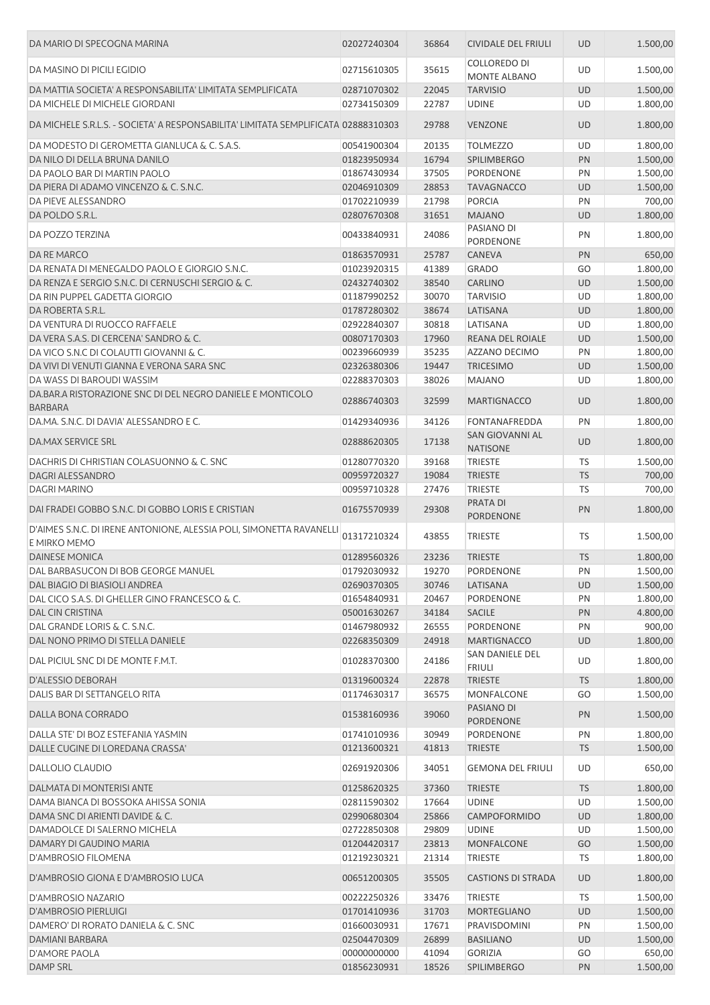| DA MARIO DI SPECOGNA MARINA                                                          | 02027240304                | 36864          | <b>CIVIDALE DEL FRIULI</b>                 | <b>UD</b>       | 1.500,00           |
|--------------------------------------------------------------------------------------|----------------------------|----------------|--------------------------------------------|-----------------|--------------------|
| DA MASINO DI PICILI EGIDIO                                                           | 02715610305                | 35615          | <b>COLLOREDO DI</b><br><b>MONTE ALBANO</b> | UD              | 1.500,00           |
| DA MATTIA SOCIETA' A RESPONSABILITA' LIMITATA SEMPLIFICATA                           | 02871070302                | 22045          | <b>TARVISIO</b>                            | <b>UD</b>       | 1.500,00           |
| DA MICHELE DI MICHELE GIORDANI                                                       | 02734150309                | 22787          | <b>UDINE</b>                               | UD              | 1.800,00           |
| DA MICHELE S.R.L.S. - SOCIETA' A RESPONSABILITA' LIMITATA SEMPLIFICATA 02888310303   |                            | 29788          | <b>VENZONE</b>                             | <b>UD</b>       | 1.800,00           |
|                                                                                      |                            |                |                                            |                 |                    |
| DA MODESTO DI GEROMETTA GIANLUCA & C. S.A.S.                                         | 00541900304                | 20135          | <b>TOLMEZZO</b>                            | UD              | 1.800,00           |
| DA NILO DI DELLA BRUNA DANILO                                                        | 01823950934                | 16794          | <b>SPILIMBERGO</b>                         | PN              | 1.500,00           |
| DA PAOLO BAR DI MARTIN PAOLO                                                         | 01867430934                | 37505          | PORDENONE                                  | PN              | 1.500,00           |
| DA PIERA DI ADAMO VINCENZO & C. S.N.C.                                               | 02046910309                | 28853          | <b>TAVAGNACCO</b>                          | <b>UD</b>       | 1.500,00           |
| DA PIEVE ALESSANDRO                                                                  | 01702210939                | 21798          | <b>PORCIA</b>                              | PN              | 700,00             |
| DA POLDO S.R.L.                                                                      | 02807670308                | 31651          | <b>MAJANO</b>                              | <b>UD</b>       | 1.800,00           |
| DA POZZO TERZINA                                                                     | 00433840931                | 24086          | PASIANO DI<br>PORDENONE                    | PN              | 1.800,00           |
| DA RE MARCO                                                                          | 01863570931                | 25787          | CANEVA                                     | PN              | 650,00             |
| DA RENATA DI MENEGALDO PAOLO E GIORGIO S.N.C.                                        | 01023920315                | 41389          | <b>GRADO</b>                               | GO              | 1.800,00           |
| DA RENZA E SERGIO S.N.C. DI CERNUSCHI SERGIO & C.                                    | 02432740302                | 38540          | <b>CARLINO</b>                             | <b>UD</b>       | 1.500,00           |
| DA RIN PUPPEL GADETTA GIORGIO                                                        | 01187990252                | 30070          | <b>TARVISIO</b>                            | UD              | 1.800,00           |
| DA ROBERTA S.R.L.                                                                    | 01787280302                | 38674          | LATISANA                                   | <b>UD</b>       | 1.800,00           |
| DA VENTURA DI RUOCCO RAFFAELE                                                        | 02922840307                | 30818          | LATISANA                                   | UD              | 1.800,00           |
| DA VERA S.A.S. DI CERCENA' SANDRO & C.                                               | 00807170303                | 17960          | <b>REANA DEL ROIALE</b>                    | <b>UD</b>       | 1.500,00           |
| DA VICO S.N.C DI COLAUTTI GIOVANNI & C.                                              |                            | 35235          | <b>AZZANO DECIMO</b>                       | PN              | 1.800,00           |
|                                                                                      | 00239660939                |                |                                            |                 |                    |
| DA VIVI DI VENUTI GIANNA E VERONA SARA SNC                                           | 02326380306                | 19447          | <b>TRICESIMO</b>                           | UD              | 1.500,00           |
| DA WASS DI BAROUDI WASSIM                                                            | 02288370303                | 38026          | <b>MAJANO</b>                              | UD              | 1.800,00           |
| DA.BAR.A RISTORAZIONE SNC DI DEL NEGRO DANIELE E MONTICOLO<br><b>BARBARA</b>         | 02886740303                | 32599          | <b>MARTIGNACCO</b>                         | <b>UD</b>       | 1.800,00           |
| DA.MA. S.N.C. DI DAVIA' ALESSANDRO E C.                                              | 01429340936                | 34126          | FONTANAFREDDA                              | PN              | 1.800,00           |
| DA.MAX SERVICE SRL                                                                   | 02888620305                | 17138          | SAN GIOVANNI AL<br><b>NATISONE</b>         | <b>UD</b>       | 1.800,00           |
| DACHRIS DI CHRISTIAN COLASUONNO & C. SNC                                             | 01280770320                | 39168          | <b>TRIESTE</b>                             | TS              | 1.500,00           |
| DAGRI ALESSANDRO                                                                     | 00959720327                | 19084          | <b>TRIESTE</b>                             | <b>TS</b>       | 700,00             |
| <b>DAGRI MARINO</b>                                                                  | 00959710328                | 27476          | TRIESTE                                    | TS              | 700,00             |
| DAI FRADEI GOBBO S.N.C. DI GOBBO LORIS E CRISTIAN                                    | 01675570939                | 29308          | PRATA DI                                   | PN              | 1.800,00           |
|                                                                                      |                            |                | PORDENONE                                  |                 |                    |
| D'AIMES S.N.C. DI IRENE ANTONIONE, ALESSIA POLI, SIMONETTA RAVANELLI<br>E MIRKO MEMO | 01317210324                | 43855          | <b>TRIESTE</b>                             | TS              | 1.500,00           |
| <b>DAINESE MONICA</b>                                                                | 01289560326                | 23236          | <b>TRIESTE</b>                             | <b>TS</b>       | 1.800,00           |
| DAL BARBASUCON DI BOB GEORGE MANUEL                                                  | 01792030932                | 19270          | PORDENONE                                  | PN              | 1.500,00           |
| DAL BIAGIO DI BIASIOLI ANDREA                                                        | 02690370305                | 30746          | LATISANA                                   | UD              | 1.500,00           |
| DAL CICO S.A.S. DI GHELLER GINO FRANCESCO & C.                                       | 01654840931                | 20467          | PORDENONE                                  | PN              | 1.800,00           |
| DAL CIN CRISTINA                                                                     | 05001630267                | 34184          | <b>SACILE</b>                              | PN              | 4.800,00           |
| DAL GRANDE LORIS & C. S.N.C.                                                         | 01467980932                | 26555          | PORDENONE                                  | PN              | 900,00             |
| DAL NONO PRIMO DI STELLA DANIELE                                                     | 02268350309                | 24918          | <b>MARTIGNACCO</b>                         | <b>UD</b>       | 1.800,00           |
| DAL PICIUL SNC DI DE MONTE F.M.T.                                                    | 01028370300                | 24186          | SAN DANIELE DEL<br><b>FRIULI</b>           | UD              | 1.800,00           |
| <b>D'ALESSIO DEBORAH</b>                                                             | 01319600324                | 22878          | <b>TRIESTE</b>                             | <b>TS</b>       | 1.800,00           |
| DALIS BAR DI SETTANGELO RITA                                                         | 01174630317                | 36575          | MONFALCONE                                 | GO              | 1.500,00           |
| DALLA BONA CORRADO                                                                   | 01538160936                | 39060          | PASIANO DI                                 | PN              | 1.500,00           |
|                                                                                      |                            |                | PORDENONE                                  |                 |                    |
| DALLA STE' DI BOZ ESTEFANIA YASMIN                                                   | 01741010936                | 30949          | PORDENONE                                  | PN              | 1.800,00           |
| DALLE CUGINE DI LOREDANA CRASSA'<br>DALLOLIO CLAUDIO                                 | 01213600321<br>02691920306 | 41813<br>34051 | <b>TRIESTE</b><br><b>GEMONA DEL FRIULI</b> | <b>TS</b><br>UD | 1.500,00<br>650,00 |
|                                                                                      |                            |                |                                            |                 |                    |
| DALMATA DI MONTERISI ANTE                                                            | 01258620325                | 37360          | <b>TRIESTE</b>                             | <b>TS</b>       | 1.800,00           |
| DAMA BIANCA DI BOSSOKA AHISSA SONIA                                                  | 02811590302                | 17664          | <b>UDINE</b>                               | UD              | 1.500,00           |
| DAMA SNC DI ARIENTI DAVIDE & C.                                                      | 02990680304                | 25866          | CAMPOFORMIDO                               | UD              | 1.800,00           |
| DAMADOLCE DI SALERNO MICHELA                                                         | 02722850308                | 29809          | <b>UDINE</b>                               | UD              | 1.500,00           |
| DAMARY DI GAUDINO MARIA                                                              | 01204420317                | 23813          | <b>MONFALCONE</b>                          | GO              | 1.500,00           |
| D'AMBROSIO FILOMENA                                                                  | 01219230321                | 21314          | <b>TRIESTE</b>                             | TS              | 1.800,00           |
| D'AMBROSIO GIONA E D'AMBROSIO LUCA                                                   | 00651200305                | 35505          | <b>CASTIONS DI STRADA</b>                  | UD              | 1.800,00           |
| D'AMBROSIO NAZARIO                                                                   | 00222250326                | 33476          | TRIESTE                                    | TS              | 1.500,00           |
| <b>D'AMBROSIO PIERLUIGI</b>                                                          | 01701410936                | 31703          | MORTEGLIANO                                | UD              | 1.500,00           |
| DAMERO' DI RORATO DANIELA & C. SNC                                                   | 01660030931                | 17671          | PRAVISDOMINI                               | PN              | 1.500,00           |
| DAMIANI BARBARA                                                                      | 02504470309                | 26899          | <b>BASILIANO</b>                           | UD              | 1.500,00           |
| <b>D'AMORE PAOLA</b>                                                                 | 00000000000                | 41094          | <b>GORIZIA</b>                             | GO              | 650,00             |
| <b>DAMP SRL</b>                                                                      | 01856230931                | 18526          | SPILIMBERGO                                | PN              | 1.500,00           |
|                                                                                      |                            |                |                                            |                 |                    |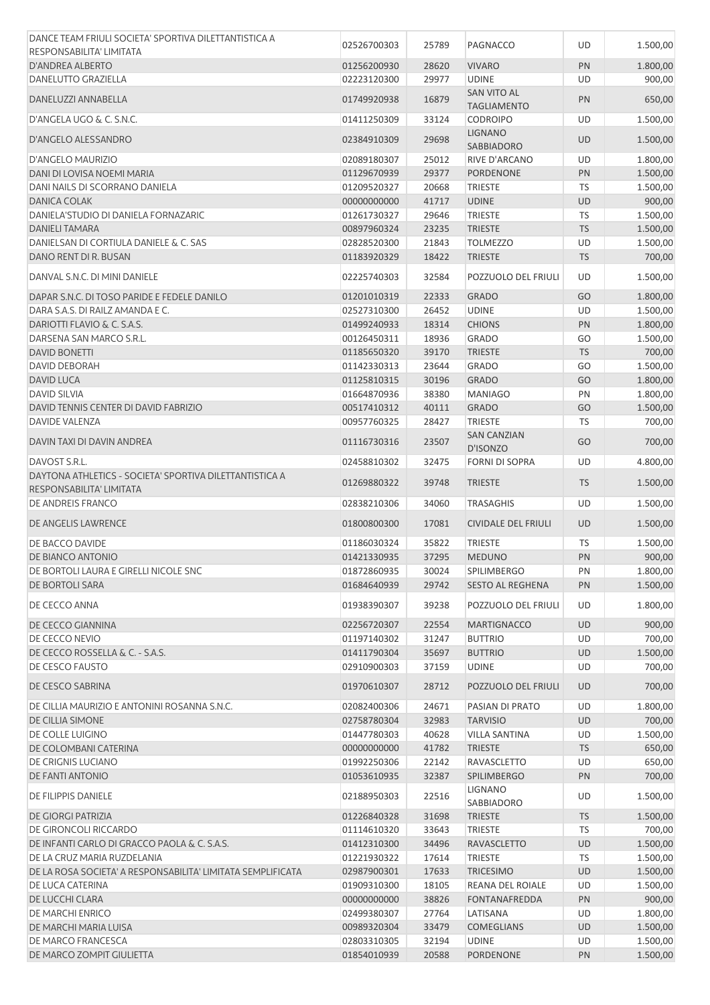| DANCE TEAM FRIULI SOCIETA' SPORTIVA DILETTANTISTICA A       | 02526700303                | 25789          | PAGNACCO                   | UD        | 1.500,00             |
|-------------------------------------------------------------|----------------------------|----------------|----------------------------|-----------|----------------------|
| RESPONSABILITA' LIMITATA                                    |                            |                |                            |           |                      |
| D'ANDREA ALBERTO                                            | 01256200930                | 28620          | <b>VIVARO</b>              | PN        | 1.800,00             |
| DANELUTTO GRAZIELLA                                         | 02223120300                | 29977          | <b>UDINE</b>               | UD        | 900,00               |
|                                                             |                            |                | <b>SAN VITO AL</b>         |           |                      |
| DANELUZZI ANNABELLA                                         | 01749920938                | 16879          | <b>TAGLIAMENTO</b>         | PN        | 650,00               |
| D'ANGELA UGO & C. S.N.C.                                    | 01411250309                | 33124          | <b>CODROIPO</b>            | UD        | 1.500,00             |
|                                                             |                            |                | <b>LIGNANO</b>             |           |                      |
| D'ANGELO ALESSANDRO                                         | 02384910309                | 29698          | SABBIADORO                 | UD        | 1.500,00             |
| <b>D'ANGELO MAURIZIO</b>                                    | 02089180307                | 25012          | RIVE D'ARCANO              | UD        | 1.800,00             |
|                                                             |                            |                |                            |           |                      |
| DANI DI LOVISA NOEMI MARIA                                  | 01129670939                | 29377          | PORDENONE                  | PN        | 1.500,00             |
| DANI NAILS DI SCORRANO DANIELA                              | 01209520327                | 20668          | <b>TRIESTE</b>             | TS        | 1.500,00             |
| <b>DANICA COLAK</b>                                         | 00000000000                | 41717          | <b>UDINE</b>               | <b>UD</b> | 900,00               |
| DANIELA'STUDIO DI DANIELA FORNAZARIC                        | 01261730327                | 29646          | <b>TRIESTE</b>             | <b>TS</b> | 1.500,00             |
| <b>DANIELI TAMARA</b>                                       | 00897960324                | 23235          | <b>TRIESTE</b>             | <b>TS</b> | 1.500,00             |
| DANIELSAN DI CORTIULA DANIELE & C. SAS                      | 02828520300                | 21843          | <b>TOLMEZZO</b>            | UD        | 1.500,00             |
| DANO RENT DI R. BUSAN                                       | 01183920329                | 18422          | <b>TRIESTE</b>             | <b>TS</b> | 700,00               |
|                                                             |                            |                |                            |           |                      |
| DANVAL S.N.C. DI MINI DANIELE                               | 02225740303                | 32584          | POZZUOLO DEL FRIULI        | UD        | 1.500,00             |
| DAPAR S.N.C. DI TOSO PARIDE E FEDELE DANILO                 | 01201010319                | 22333          | <b>GRADO</b>               | GO        | 1.800,00             |
| DARA S.A.S. DI RAILZ AMANDA E C.                            | 02527310300                | 26452          | <b>UDINE</b>               | UD        | 1.500,00             |
| DARIOTTI FLAVIO & C. S.A.S.                                 | 01499240933                | 18314          | <b>CHIONS</b>              | PN        | 1.800,00             |
|                                                             |                            |                |                            |           |                      |
| DARSENA SAN MARCO S.R.L.                                    | 00126450311                | 18936          | <b>GRADO</b>               | GO        | 1.500,00             |
| <b>DAVID BONETTI</b>                                        | 01185650320                | 39170          | <b>TRIESTE</b>             | <b>TS</b> | 700,00               |
| DAVID DEBORAH                                               | 01142330313                | 23644          | <b>GRADO</b>               | GO        | 1.500,00             |
| <b>DAVID LUCA</b>                                           | 01125810315                | 30196          | <b>GRADO</b>               | GO        | 1.800,00             |
| <b>DAVID SILVIA</b>                                         | 01664870936                | 38380          | <b>MANIAGO</b>             | PN        | 1.800,00             |
| DAVID TENNIS CENTER DI DAVID FABRIZIO                       | 00517410312                | 40111          | <b>GRADO</b>               | GO        | 1.500,00             |
| DAVIDE VALENZA                                              | 00957760325                | 28427          | <b>TRIESTE</b>             | <b>TS</b> | 700,00               |
|                                                             |                            |                | <b>SAN CANZIAN</b>         |           |                      |
| DAVIN TAXI DI DAVIN ANDREA                                  | 01116730316                | 23507          | D'ISONZO                   | GO        | 700,00               |
| DAVOST S.R.L.                                               | 02458810302                | 32475          | FORNI DI SOPRA             | UD        | 4.800,00             |
| DAYTONA ATHLETICS - SOCIETA' SPORTIVA DILETTANTISTICA A     |                            |                |                            |           |                      |
| RESPONSABILITA' LIMITATA                                    | 01269880322                | 39748          | <b>TRIESTE</b>             | <b>TS</b> | 1.500,00             |
| DE ANDREIS FRANCO                                           | 02838210306                | 34060          | <b>TRASAGHIS</b>           | UD        | 1.500,00             |
|                                                             |                            |                |                            |           |                      |
| DE ANGELIS LAWRENCE                                         | 01800800300                | 17081          | <b>CIVIDALE DEL FRIULI</b> | <b>UD</b> | 1.500,00             |
| DE BACCO DAVIDE                                             | 01186030324                | 35822          | <b>TRIESTE</b>             | TS        | 1.500,00             |
| DE BIANCO ANTONIO                                           | 01421330935                | 37295          | <b>MEDUNO</b>              | PN        | 900,00               |
| DE BORTOLI LAURA E GIRELLI NICOLE SNC                       | 01872860935                | 30024          | <b>SPILIMBERGO</b>         | PN        | 1.800,00             |
| DE BORTOLI SARA                                             | 01684640939                | 29742          | <b>SESTO AL REGHENA</b>    | <b>PN</b> | 1.500,00             |
|                                                             |                            |                |                            |           |                      |
| DE CECCO ANNA                                               | 01938390307                | 39238          | POZZUOLO DEL FRIULI        | UD        | 1.800,00             |
| DE CECCO GIANNINA                                           | 02256720307                | 22554          | <b>MARTIGNACCO</b>         | <b>UD</b> | 900,00               |
| DE CECCO NEVIO                                              | 01197140302                | 31247          | <b>BUTTRIO</b>             | UD        | 700,00               |
| DE CECCO ROSSELLA & C. - S.A.S.                             |                            |                |                            | <b>UD</b> |                      |
|                                                             | 01411790304                | 35697          | <b>BUTTRIO</b>             |           | 1.500,00             |
| DE CESCO FAUSTO                                             | 02910900303                | 37159          | <b>UDINE</b>               | UD        | 700,00               |
| DE CESCO SABRINA                                            | 01970610307                | 28712          | POZZUOLO DEL FRIULI        | <b>UD</b> | 700,00               |
| DE CILLIA MAURIZIO E ANTONINI ROSANNA S.N.C.                | 02082400306                | 24671          | PASIAN DI PRATO            | UD        | 1.800,00             |
| DE CILLIA SIMONE                                            | 02758780304                | 32983          | <b>TARVISIO</b>            | UD        | 700,00               |
|                                                             |                            |                |                            |           |                      |
| DE COLLE LUIGINO                                            | 01447780303                | 40628          | <b>VILLA SANTINA</b>       | UD        | 1.500,00             |
| DE COLOMBANI CATERINA                                       | 00000000000                | 41782          | <b>TRIESTE</b>             | <b>TS</b> | 650,00               |
| DE CRIGNIS LUCIANO                                          | 01992250306                | 22142          | RAVASCLETTO                | UD        | 650,00               |
| DE FANTI ANTONIO                                            | 01053610935                | 32387          | <b>SPILIMBERGO</b>         | PN        | 700,00               |
| DE FILIPPIS DANIELE                                         | 02188950303                | 22516          | LIGNANO                    | UD        | 1.500,00             |
|                                                             |                            |                | SABBIADORO                 |           |                      |
| <b>DE GIORGI PATRIZIA</b>                                   | 01226840328                | 31698          | <b>TRIESTE</b>             | <b>TS</b> | 1.500,00             |
| DE GIRONCOLI RICCARDO                                       |                            | 33643          | <b>TRIESTE</b>             | <b>TS</b> | 700,00               |
|                                                             | 01114610320                |                |                            |           | 1.500,00             |
| DE INFANTI CARLO DI GRACCO PAOLA & C. S.A.S.                | 01412310300                | 34496          | <b>RAVASCLETTO</b>         | UD        |                      |
| DE LA CRUZ MARIA RUZDELANIA                                 | 01221930322                | 17614          | <b>TRIESTE</b>             | <b>TS</b> | 1.500,00             |
| DE LA ROSA SOCIETA' A RESPONSABILITA' LIMITATA SEMPLIFICATA | 02987900301                | 17633          | <b>TRICESIMO</b>           | UD        | 1.500,00             |
| DE LUCA CATERINA                                            | 01909310300                |                | REANA DEL ROIALE           | UD        |                      |
|                                                             |                            | 18105          |                            |           | 1.500,00             |
| DE LUCCHI CLARA                                             | 00000000000                | 38826          | <b>FONTANAFREDDA</b>       | PN        | 900,00               |
| DE MARCHI ENRICO                                            | 02499380307                | 27764          | LATISANA                   | UD        | 1.800,00             |
| DE MARCHI MARIA LUISA                                       | 00989320304                | 33479          | <b>COMEGLIANS</b>          | UD        | 1.500,00             |
| DE MARCO FRANCESCA<br>DE MARCO ZOMPIT GIULIETTA             | 02803310305<br>01854010939 | 32194<br>20588 | <b>UDINE</b><br>PORDENONE  | UD<br>PN  | 1.500,00<br>1.500,00 |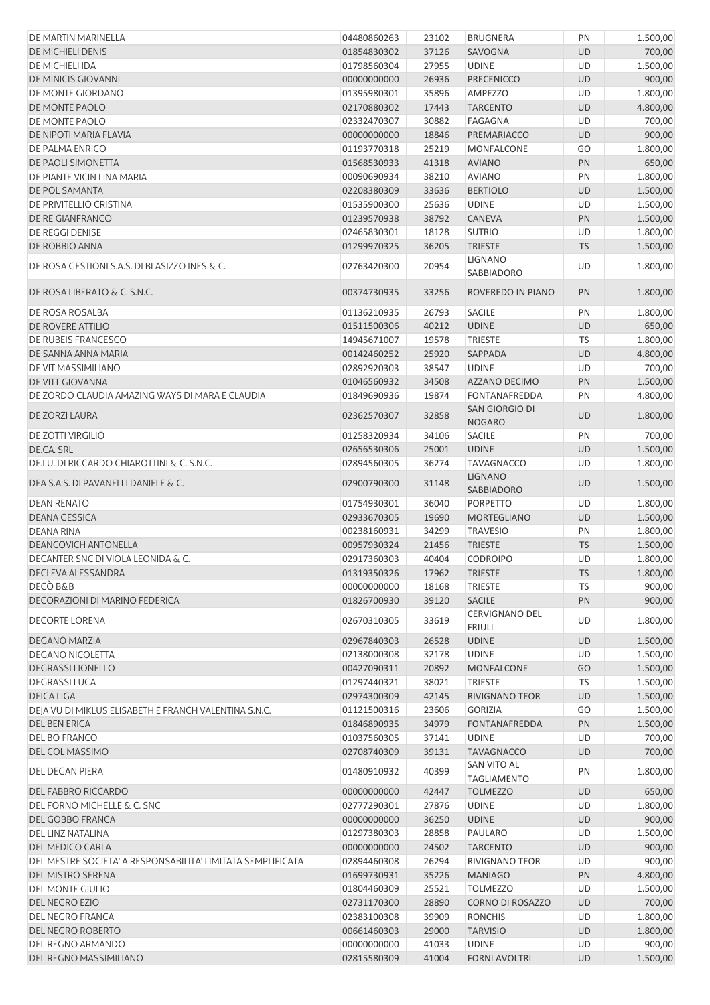| DE MARTIN MARINELLA                                         | 04480860263 | 23102 | <b>BRUGNERA</b>                 | PN        | 1.500,00 |
|-------------------------------------------------------------|-------------|-------|---------------------------------|-----------|----------|
| <b>DE MICHIELI DENIS</b>                                    | 01854830302 | 37126 | SAVOGNA                         | <b>UD</b> | 700,00   |
| DE MICHIELI IDA                                             | 01798560304 | 27955 | <b>UDINE</b>                    | UD        | 1.500,00 |
| DE MINICIS GIOVANNI                                         | 00000000000 | 26936 | <b>PRECENICCO</b>               | <b>UD</b> | 900,00   |
| DE MONTE GIORDANO                                           | 01395980301 | 35896 | <b>AMPEZZO</b>                  | UD        | 1.800,00 |
|                                                             |             |       |                                 |           |          |
| DE MONTE PAOLO                                              | 02170880302 | 17443 | <b>TARCENTO</b>                 | UD        | 4.800,00 |
| DE MONTE PAOLO                                              | 02332470307 | 30882 | <b>FAGAGNA</b>                  | UD        | 700,00   |
| DE NIPOTI MARIA FLAVIA                                      | 00000000000 | 18846 | PREMARIACCO                     | UD        | 900,00   |
| DE PALMA ENRICO                                             | 01193770318 | 25219 | <b>MONFALCONE</b>               | GO        | 1.800,00 |
| DE PAOLI SIMONETTA                                          | 01568530933 | 41318 | <b>AVIANO</b>                   | PN        | 650,00   |
| DE PIANTE VICIN LINA MARIA                                  | 00090690934 | 38210 | <b>AVIANO</b>                   | PN        | 1.800,00 |
| DE POL SAMANTA                                              | 02208380309 | 33636 | <b>BERTIOLO</b>                 | UD        | 1.500,00 |
| DE PRIVITELLIO CRISTINA                                     | 01535900300 | 25636 | <b>UDINE</b>                    | UD        | 1.500,00 |
| DE RE GIANFRANCO                                            | 01239570938 | 38792 | <b>CANEVA</b>                   | PN        | 1.500,00 |
| DE REGGI DENISE                                             | 02465830301 | 18128 | <b>SUTRIO</b>                   | UD        | 1.800,00 |
| DE ROBBIO ANNA                                              | 01299970325 | 36205 | <b>TRIESTE</b>                  | <b>TS</b> | 1.500,00 |
|                                                             |             |       | <b>LIGNANO</b>                  |           |          |
| DE ROSA GESTIONI S.A.S. DI BLASIZZO INES & C.               | 02763420300 | 20954 | SABBIADORO                      | UD        | 1.800,00 |
| DE ROSA LIBERATO & C. S.N.C.                                | 00374730935 | 33256 | ROVEREDO IN PIANO               | PN        | 1.800,00 |
| DE ROSA ROSALBA                                             | 01136210935 | 26793 | <b>SACILE</b>                   | PN        | 1.800,00 |
| DE ROVERE ATTILIO                                           | 01511500306 | 40212 | <b>UDINE</b>                    | UD        | 650,00   |
| DE RUBEIS FRANCESCO                                         | 14945671007 | 19578 | TRIESTE                         | TS        | 1.800,00 |
| DE SANNA ANNA MARIA                                         | 00142460252 | 25920 | SAPPADA                         | <b>UD</b> | 4.800,00 |
|                                                             |             |       |                                 |           |          |
| DE VIT MASSIMILIANO                                         | 02892920303 | 38547 | <b>UDINE</b>                    | UD        | 700,00   |
| DE VITT GIOVANNA                                            | 01046560932 | 34508 | <b>AZZANO DECIMO</b>            | PN        | 1.500,00 |
| DE ZORDO CLAUDIA AMAZING WAYS DI MARA E CLAUDIA             | 01849690936 | 19874 | FONTANAFREDDA                   | PN        | 4.800,00 |
| DE ZORZI LAURA                                              | 02362570307 | 32858 | SAN GIORGIO DI<br><b>NOGARO</b> | <b>UD</b> | 1.800,00 |
| <b>DE ZOTTI VIRGILIO</b>                                    | 01258320934 | 34106 | SACILE                          | PN        | 700,00   |
| DE.CA. SRL                                                  | 02656530306 | 25001 | <b>UDINE</b>                    | UD        | 1.500,00 |
| DE.LU. DI RICCARDO CHIAROTTINI & C. S.N.C.                  | 02894560305 | 36274 | <b>TAVAGNACCO</b>               | UD        | 1.800,00 |
| DEA S.A.S. DI PAVANELLI DANIELE & C.                        | 02900790300 | 31148 | <b>LIGNANO</b>                  | <b>UD</b> | 1.500,00 |
|                                                             |             |       | SABBIADORO                      |           |          |
| <b>DEAN RENATO</b>                                          | 01754930301 | 36040 | <b>PORPETTO</b>                 | UD        | 1.800,00 |
| <b>DEANA GESSICA</b>                                        | 02933670305 | 19690 | <b>MORTEGLIANO</b>              | <b>UD</b> | 1.500,00 |
| <b>DEANA RINA</b>                                           | 00238160931 | 34299 | <b>TRAVESIO</b>                 | PN        | 1.800,00 |
| <b>DEANCOVICH ANTONELLA</b>                                 | 00957930324 | 21456 | <b>TRIESTE</b>                  | <b>TS</b> | 1.500,00 |
| DECANTER SNC DI VIOLA LEONIDA & C.                          | 02917360303 | 40404 | <b>CODROIPO</b>                 | UD        | 1.800,00 |
| DECLEVA ALESSANDRA                                          | 01319350326 | 17962 | <b>TRIESTE</b>                  | <b>TS</b> | 1.800,00 |
| DECÒ B&B                                                    | 00000000000 | 18168 | <b>TRIESTE</b>                  | TS        | 900,00   |
| DECORAZIONI DI MARINO FEDERICA                              | 01826700930 | 39120 | <b>SACILE</b>                   | PN        | 900,00   |
| <b>DECORTE LORENA</b>                                       | 02670310305 | 33619 | <b>CERVIGNANO DEL</b>           | UD        | 1.800,00 |
|                                                             |             |       | <b>FRIULI</b>                   |           |          |
| DEGANO MARZIA                                               | 02967840303 | 26528 | <b>UDINE</b>                    | <b>UD</b> | 1.500,00 |
| DEGANO NICOLETTA                                            | 02138000308 | 32178 | <b>UDINE</b>                    | UD        | 1.500,00 |
| <b>DEGRASSI LIONELLO</b>                                    | 00427090311 | 20892 | MONFALCONE                      | GO        | 1.500,00 |
| <b>DEGRASSILUCA</b>                                         | 01297440321 | 38021 | <b>TRIESTE</b>                  | TS        | 1.500,00 |
| <b>DEICA LIGA</b>                                           | 02974300309 | 42145 | <b>RIVIGNANO TEOR</b>           | UD        | 1.500,00 |
| DEJA VU DI MIKLUS ELISABETH E FRANCH VALENTINA S.N.C.       | 01121500316 | 23606 | <b>GORIZIA</b>                  | GO        | 1.500,00 |
| <b>DEL BEN ERICA</b>                                        | 01846890935 | 34979 | FONTANAFREDDA                   | PN        | 1.500,00 |
| DEL BO FRANCO                                               | 01037560305 | 37141 | <b>UDINE</b>                    | UD        | 700,00   |
| DEL COL MASSIMO                                             | 02708740309 | 39131 | <b>TAVAGNACCO</b>               | <b>UD</b> | 700,00   |
| <b>DEL DEGAN PIERA</b>                                      | 01480910932 | 40399 | SAN VITO AL                     | PN        | 1.800,00 |
|                                                             |             |       | <b>TAGLIAMENTO</b>              |           |          |
| <b>DEL FABBRO RICCARDO</b>                                  | 00000000000 | 42447 | <b>TOLMEZZO</b>                 | UD        | 650,00   |
| DEL FORNO MICHELLE & C. SNC                                 | 02777290301 | 27876 | <b>UDINE</b>                    | UD        | 1.800,00 |
| DEL GOBBO FRANCA                                            | 00000000000 | 36250 | <b>UDINE</b>                    | <b>UD</b> | 900,00   |
| DEL LINZ NATALINA                                           | 01297380303 | 28858 | PAULARO                         | UD        | 1.500,00 |
| <b>DEL MEDICO CARLA</b>                                     | 00000000000 | 24502 | <b>TARCENTO</b>                 | <b>UD</b> | 900,00   |
| DEL MESTRE SOCIETA' A RESPONSABILITA' LIMITATA SEMPLIFICATA | 02894460308 | 26294 | RIVIGNANO TEOR                  | UD        | 900,00   |
| <b>DEL MISTRO SERENA</b>                                    | 01699730931 | 35226 | <b>MANIAGO</b>                  | PN        | 4.800,00 |
| <b>DEL MONTE GIULIO</b>                                     | 01804460309 | 25521 | <b>TOLMEZZO</b>                 | UD        | 1.500,00 |
| <b>DEL NEGRO EZIO</b>                                       | 02731170300 | 28890 | <b>CORNO DI ROSAZZO</b>         | <b>UD</b> | 700,00   |
| DEL NEGRO FRANCA                                            | 02383100308 | 39909 | <b>RONCHIS</b>                  | UD        | 1.800,00 |
| DEL NEGRO ROBERTO                                           | 00661460303 | 29000 | <b>TARVISIO</b>                 | <b>UD</b> | 1.800,00 |
|                                                             |             |       |                                 |           |          |
| DEL REGNO ARMANDO                                           | 00000000000 | 41033 | <b>UDINE</b>                    | UD        | 900,00   |
| DEL REGNO MASSIMILIANO                                      | 02815580309 | 41004 | <b>FORNI AVOLTRI</b>            | <b>UD</b> | 1.500,00 |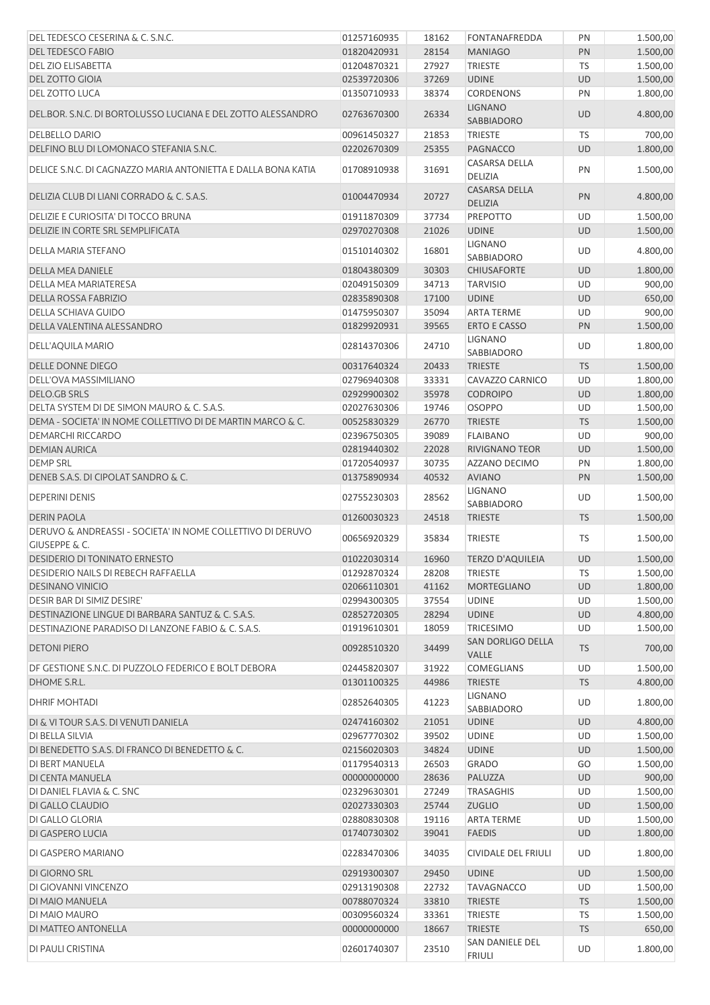| DEL TEDESCO CESERINA & C. S.N.C.                                                       | 01257160935                | 18162          | FONTANAFREDDA                          | PN              | 1.500,00             |
|----------------------------------------------------------------------------------------|----------------------------|----------------|----------------------------------------|-----------------|----------------------|
| <b>DEL TEDESCO FABIO</b>                                                               | 01820420931                | 28154          | <b>MANIAGO</b>                         | PN              | 1.500,00             |
| DEL ZIO ELISABETTA                                                                     | 01204870321                | 27927          | <b>TRIESTE</b>                         | TS              | 1.500,00             |
| <b>DEL ZOTTO GIOIA</b>                                                                 | 02539720306                | 37269          | <b>UDINE</b>                           | <b>UD</b>       | 1.500,00             |
| DEL ZOTTO LUCA                                                                         | 01350710933                | 38374          | <b>CORDENONS</b>                       | PN              | 1.800,00             |
| DEL.BOR. S.N.C. DI BORTOLUSSO LUCIANA E DEL ZOTTO ALESSANDRO                           | 02763670300                | 26334          | <b>LIGNANO</b><br>SABBIADORO           | <b>UD</b>       | 4.800,00             |
| <b>DELBELLO DARIO</b>                                                                  | 00961450327                | 21853          | <b>TRIESTE</b>                         | TS              | 700,00               |
| DELFINO BLU DI LOMONACO STEFANIA S.N.C.                                                | 02202670309                | 25355          | <b>PAGNACCO</b>                        | <b>UD</b>       | 1.800,00             |
| DELICE S.N.C. DI CAGNAZZO MARIA ANTONIETTA E DALLA BONA KATIA                          | 01708910938                | 31691          | CASARSA DELLA<br>DELIZIA               | PN              | 1.500,00             |
| DELIZIA CLUB DI LIANI CORRADO & C. S.A.S.                                              | 01004470934                | 20727          | <b>CASARSA DELLA</b><br><b>DELIZIA</b> | PN              | 4.800,00             |
| DELIZIE E CURIOSITA' DI TOCCO BRUNA                                                    | 01911870309                | 37734          | PREPOTTO                               | UD              | 1.500,00             |
| DELIZIE IN CORTE SRL SEMPLIFICATA                                                      | 02970270308                | 21026          | <b>UDINE</b>                           | <b>UD</b>       | 1.500,00             |
| DELLA MARIA STEFANO                                                                    | 01510140302                | 16801          | <b>LIGNANO</b><br>SABBIADORO           | UD              | 4.800,00             |
| <b>DELLA MEA DANIELE</b>                                                               | 01804380309                | 30303          | <b>CHIUSAFORTE</b>                     | UD              | 1.800,00             |
| DELLA MEA MARIATERESA                                                                  | 02049150309                | 34713          | <b>TARVISIO</b>                        | UD              | 900,00               |
| <b>DELLA ROSSA FABRIZIO</b>                                                            | 02835890308                | 17100          | <b>UDINE</b>                           | <b>UD</b>       | 650,00               |
| DELLA SCHIAVA GUIDO                                                                    | 01475950307                | 35094          | <b>ARTA TERME</b>                      | UD              | 900,00               |
| DELLA VALENTINA ALESSANDRO                                                             | 01829920931                | 39565          | <b>ERTO E CASSO</b>                    | PN              | 1.500,00             |
| DELL'AQUILA MARIO                                                                      | 02814370306                | 24710          | <b>LIGNANO</b><br>SABBIADORO           | UD              | 1.800,00             |
| <b>DELLE DONNE DIEGO</b>                                                               | 00317640324                | 20433          | <b>TRIESTE</b>                         | <b>TS</b>       | 1.500,00             |
| DELL'OVA MASSIMILIANO                                                                  | 02796940308                | 33331          | CAVAZZO CARNICO                        | UD              | 1.800,00             |
| <b>DELO.GB SRLS</b>                                                                    | 02929900302                | 35978          | <b>CODROIPO</b>                        | <b>UD</b>       | 1.800,00             |
| DELTA SYSTEM DI DE SIMON MAURO & C. S.A.S.                                             | 02027630306                | 19746          | <b>OSOPPO</b>                          | UD              | 1.500,00             |
| DEMA - SOCIETA' IN NOME COLLETTIVO DI DE MARTIN MARCO & C.                             | 00525830329                | 26770          | <b>TRIESTE</b>                         | <b>TS</b>       | 1.500,00             |
| DEMARCHI RICCARDO                                                                      | 02396750305                | 39089          | <b>FLAIBANO</b>                        | UD              | 900,00               |
| <b>DEMIAN AURICA</b>                                                                   | 02819440302                | 22028          | <b>RIVIGNANO TEOR</b>                  | <b>UD</b>       | 1.500,00             |
| <b>DEMP SRL</b>                                                                        | 01720540937                | 30735          | AZZANO DECIMO                          | PN              | 1.800,00             |
| DENEB S.A.S. DI CIPOLAT SANDRO & C.                                                    | 01375890934                | 40532          | <b>AVIANO</b>                          | PN              | 1.500,00             |
| <b>DEPERINI DENIS</b>                                                                  | 02755230303                | 28562          | <b>LIGNANO</b><br>SABBIADORO           | UD              | 1.500,00             |
| <b>DERIN PAOLA</b>                                                                     | 01260030323                | 24518          | <b>TRIESTE</b>                         | <b>TS</b>       | 1.500,00             |
| DERUVO & ANDREASSI - SOCIETA' IN NOME COLLETTIVO DI DERUVO<br><b>GIUSEPPE &amp; C.</b> | 00656920329                | 35834          | <b>TRIESTE</b>                         | TS              | 1.500,00             |
| <b>DESIDERIO DI TONINATO ERNESTO</b>                                                   | 01022030314                | 16960          | <b>TERZO D'AQUILEIA</b>                | <b>UD</b>       | 1.500,00             |
| <b>DESIDERIO NAILS DI REBECH RAFFAELLA</b>                                             | 01292870324                | 28208          | <b>TRIESTE</b>                         | TS              | 1.500,00             |
| <b>DESINANO VINICIO</b>                                                                | 02066110301                | 41162          | <b>MORTEGLIANO</b>                     | <b>UD</b>       | 1.800,00             |
| DESIR BAR DI SIMIZ DESIRE'                                                             | 02994300305                | 37554          | <b>UDINE</b>                           | <b>UD</b>       | 1.500,00             |
| DESTINAZIONE LINGUE DI BARBARA SANTUZ & C. S.A.S.                                      | 02852720305                | 28294          | <b>UDINE</b>                           | <b>UD</b>       | 4.800,00             |
| DESTINAZIONE PARADISO DI LANZONE FABIO & C. S.A.S.<br><b>DETONI PIERO</b>              | 01919610301<br>00928510320 | 18059<br>34499 | <b>TRICESIMO</b><br>SAN DORLIGO DELLA  | UD<br><b>TS</b> | 1.500,00<br>700,00   |
|                                                                                        |                            |                | VALLE                                  |                 |                      |
| DF GESTIONE S.N.C. DI PUZZOLO FEDERICO E BOLT DEBORA                                   | 02445820307                | 31922          | <b>COMEGLIANS</b>                      | UD              | 1.500,00             |
| DHOME S.R.L.                                                                           | 01301100325                | 44986          | <b>TRIESTE</b>                         | <b>TS</b>       | 4.800,00             |
| <b>DHRIF MOHTADI</b>                                                                   | 02852640305                | 41223          | LIGNANO<br>SABBIADORO                  | UD              | 1.800,00             |
| DI & VI TOUR S.A.S. DI VENUTI DANIELA                                                  | 02474160302                | 21051          | <b>UDINE</b>                           | UD              | 4.800,00             |
| DI BELLA SILVIA                                                                        | 02967770302                | 39502          | <b>UDINE</b>                           | UD              | 1.500,00             |
| DI BENEDETTO S.A.S. DI FRANCO DI BENEDETTO & C.                                        | 02156020303                | 34824          | <b>UDINE</b>                           | <b>UD</b>       | 1.500,00             |
| DI BERT MANUELA                                                                        | 01179540313                | 26503          | <b>GRADO</b>                           | GO              | 1.500,00             |
| DI CENTA MANUELA                                                                       | 00000000000                | 28636          | PALUZZA                                | UD              | 900,00               |
| DI DANIEL FLAVIA & C. SNC                                                              | 02329630301                | 27249          | <b>TRASAGHIS</b>                       | UD              | 1.500,00             |
| DI GALLO CLAUDIO                                                                       | 02027330303                | 25744          | <b>ZUGLIO</b>                          | UD              | 1.500,00             |
| DI GALLO GLORIA                                                                        | 02880830308                | 19116          | <b>ARTA TERME</b>                      | UD              | 1.500,00             |
| DI GASPERO LUCIA<br>DI GASPERO MARIANO                                                 | 01740730302<br>02283470306 | 39041<br>34035 | <b>FAEDIS</b><br>CIVIDALE DEL FRIULI   | <b>UD</b><br>UD | 1.800,00<br>1.800,00 |
|                                                                                        |                            |                |                                        |                 |                      |
| DI GIORNO SRL                                                                          | 02919300307                | 29450          | <b>UDINE</b>                           | UD              | 1.500,00             |
| DI GIOVANNI VINCENZO                                                                   | 02913190308                | 22732          | <b>TAVAGNACCO</b>                      | UD              | 1.500,00             |
| DI MAIO MANUELA                                                                        | 00788070324<br>00309560324 | 33810<br>33361 | <b>TRIESTE</b><br>TRIESTE              | <b>TS</b><br>TS | 1.500,00             |
| DI MAIO MAURO<br>DI MATTEO ANTONELLA                                                   | 00000000000                | 18667          | <b>TRIESTE</b>                         | <b>TS</b>       | 1.500,00<br>650,00   |
|                                                                                        |                            |                | SAN DANIELE DEL                        |                 |                      |
| DI PAULI CRISTINA                                                                      | 02601740307                | 23510          | <b>FRIULI</b>                          | UD              | 1.800,00             |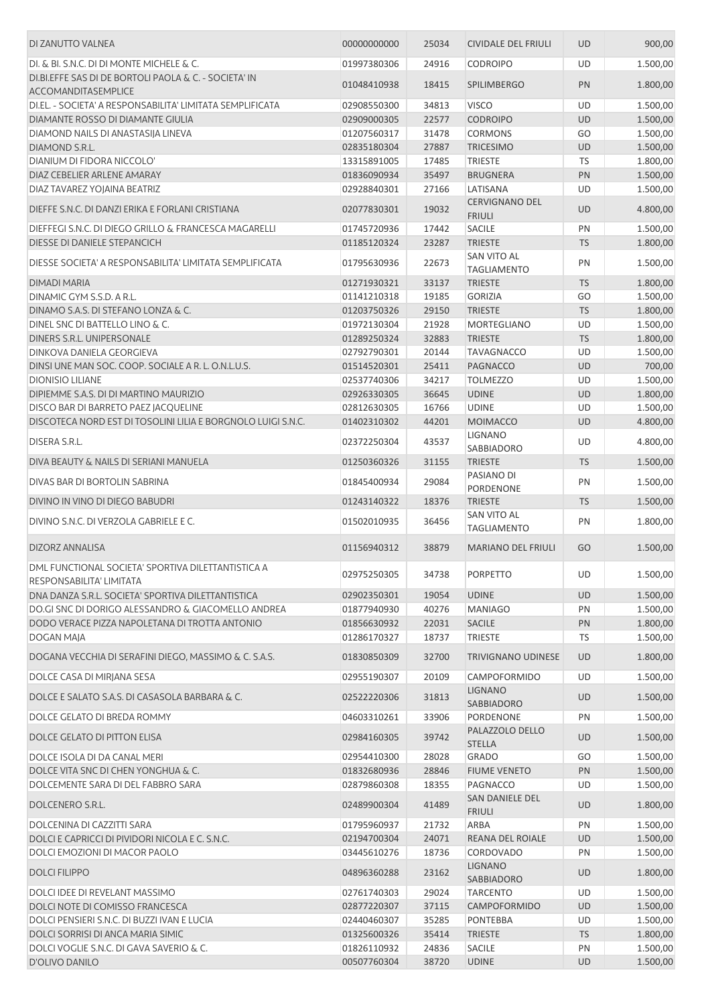| DI ZANUTTO VALNEA                                                              | 00000000000 | 25034 | <b>CIVIDALE DEL FRIULI</b>             | <b>UD</b> | 900,00   |
|--------------------------------------------------------------------------------|-------------|-------|----------------------------------------|-----------|----------|
| DI. & BI. S.N.C. DI DI MONTE MICHELE & C.                                      | 01997380306 | 24916 | <b>CODROIPO</b>                        | UD        | 1.500,00 |
| DI.BI.EFFE SAS DI DE BORTOLI PAOLA & C. - SOCIETA' IN<br>ACCOMANDITASEMPLICE   | 01048410938 | 18415 | <b>SPILIMBERGO</b>                     | PN        | 1.800,00 |
| DI.EL. - SOCIETA' A RESPONSABILITA' LIMITATA SEMPLIFICATA                      | 02908550300 | 34813 | <b>VISCO</b>                           | UD        | 1.500,00 |
| DIAMANTE ROSSO DI DIAMANTE GIULIA                                              | 02909000305 | 22577 | <b>CODROIPO</b>                        | UD        | 1.500,00 |
| DIAMOND NAILS DI ANASTASIJA LINEVA                                             | 01207560317 | 31478 | <b>CORMONS</b>                         | GO        | 1.500,00 |
| DIAMOND S.R.L.                                                                 | 02835180304 | 27887 | <b>TRICESIMO</b>                       | <b>UD</b> | 1.500,00 |
| DIANIUM DI FIDORA NICCOLO'                                                     | 13315891005 | 17485 | <b>TRIESTE</b>                         | TS        | 1.800,00 |
| DIAZ CEBELIER ARLENE AMARAY                                                    | 01836090934 | 35497 | <b>BRUGNERA</b>                        | PN        | 1.500,00 |
| DIAZ TAVAREZ YOJAINA BEATRIZ                                                   | 02928840301 | 27166 | LATISANA                               | UD        | 1.500,00 |
| DIEFFE S.N.C. DI DANZI ERIKA E FORLANI CRISTIANA                               | 02077830301 | 19032 | <b>CERVIGNANO DEL</b><br><b>FRIULI</b> | <b>UD</b> | 4.800,00 |
| DIEFFEGI S.N.C. DI DIEGO GRILLO & FRANCESCA MAGARELLI                          | 01745720936 | 17442 | <b>SACILE</b>                          | PN        | 1.500,00 |
| DIESSE DI DANIELE STEPANCICH                                                   | 01185120324 | 23287 | <b>TRIESTE</b>                         | <b>TS</b> | 1.800,00 |
| DIESSE SOCIETA' A RESPONSABILITA' LIMITATA SEMPLIFICATA                        | 01795630936 | 22673 | SAN VITO AL<br><b>TAGLIAMENTO</b>      | PN        | 1.500,00 |
| DIMADI MARIA                                                                   | 01271930321 | 33137 | <b>TRIESTE</b>                         | <b>TS</b> | 1.800,00 |
| DINAMIC GYM S.S.D. A R.L.                                                      | 01141210318 | 19185 | <b>GORIZIA</b>                         | GO        | 1.500,00 |
| DINAMO S.A.S. DI STEFANO LONZA & C.                                            | 01203750326 | 29150 | <b>TRIESTE</b>                         | <b>TS</b> | 1.800,00 |
| DINEL SNC DI BATTELLO LINO & C.                                                | 01972130304 | 21928 | <b>MORTEGLIANO</b>                     | UD        | 1.500,00 |
| DINERS S.R.L. UNIPERSONALE                                                     | 01289250324 | 32883 | <b>TRIESTE</b>                         | <b>TS</b> | 1.800,00 |
| DINKOVA DANIELA GEORGIEVA                                                      | 02792790301 | 20144 | <b>TAVAGNACCO</b>                      | UD        | 1.500,00 |
| DINSI UNE MAN SOC. COOP. SOCIALE A R. L. O.N.L.U.S.                            | 01514520301 | 25411 | PAGNACCO                               | UD        | 700,00   |
| <b>DIONISIO LILIANE</b>                                                        | 02537740306 | 34217 | <b>TOLMEZZO</b>                        | UD        | 1.500,00 |
| DIPIEMME S.A.S. DI DI MARTINO MAURIZIO                                         | 02926330305 | 36645 | <b>UDINE</b>                           | UD        | 1.800,00 |
| DISCO BAR DI BARRETO PAEZ JACQUELINE                                           | 02812630305 | 16766 | <b>UDINE</b>                           | UD        | 1.500,00 |
| DISCOTECA NORD EST DI TOSOLINI LILIA E BORGNOLO LUIGI S.N.C.                   | 01402310302 | 44201 | <b>MOIMACCO</b>                        | <b>UD</b> | 4.800,00 |
| DISERA S.R.L.                                                                  | 02372250304 | 43537 | <b>LIGNANO</b>                         | UD        | 4.800,00 |
| DIVA BEAUTY & NAILS DI SERIANI MANUELA                                         | 01250360326 | 31155 | SABBIADORO<br><b>TRIESTE</b>           | <b>TS</b> | 1.500,00 |
|                                                                                |             |       | PASIANO DI                             |           |          |
| DIVAS BAR DI BORTOLIN SABRINA                                                  | 01845400934 | 29084 | PORDENONE                              | PN        | 1.500,00 |
| DIVINO IN VINO DI DIEGO BABUDRI                                                | 01243140322 | 18376 | <b>TRIESTE</b>                         | <b>TS</b> | 1.500,00 |
| DIVINO S.N.C. DI VERZOLA GABRIELE E C.                                         | 01502010935 | 36456 | SAN VITO AL<br><b>TAGLIAMENTO</b>      | PN        | 1.800,00 |
| DIZORZ ANNALISA                                                                | 01156940312 | 38879 | <b>MARIANO DEL FRIULI</b>              | GO        | 1.500,00 |
| DML FUNCTIONAL SOCIETA' SPORTIVA DILETTANTISTICA A<br>RESPONSABILITA' LIMITATA | 02975250305 | 34738 | <b>PORPETTO</b>                        | UD        | 1.500,00 |
| DNA DANZA S.R.L. SOCIETA' SPORTIVA DILETTANTISTICA                             | 02902350301 | 19054 | <b>UDINE</b>                           | UD        | 1.500,00 |
| DO.GI SNC DI DORIGO ALESSANDRO & GIACOMELLO ANDREA                             | 01877940930 | 40276 | <b>MANIAGO</b>                         | PN        | 1.500,00 |
| DODO VERACE PIZZA NAPOLETANA DI TROTTA ANTONIO                                 | 01856630932 | 22031 | <b>SACILE</b>                          | PN        | 1.800,00 |
| DOGAN MAJA                                                                     | 01286170327 | 18737 | <b>TRIESTE</b>                         | TS        | 1.500,00 |
| DOGANA VECCHIA DI SERAFINI DIEGO, MASSIMO & C. S.A.S.                          | 01830850309 | 32700 | <b>TRIVIGNANO UDINESE</b>              | <b>UD</b> | 1.800,00 |
| DOLCE CASA DI MIRIANA SESA                                                     | 02955190307 | 20109 | <b>CAMPOFORMIDO</b>                    | UD        | 1.500,00 |
| DOLCE E SALATO S.A.S. DI CASASOLA BARBARA & C.                                 | 02522220306 | 31813 | <b>LIGNANO</b><br>SABBIADORO           | <b>UD</b> | 1.500,00 |
| DOLCE GELATO DI BREDA ROMMY                                                    | 04603310261 | 33906 | PORDENONE                              | PN        | 1.500,00 |
| DOLCE GELATO DI PITTON ELISA                                                   | 02984160305 | 39742 | PALAZZOLO DELLO<br><b>STELLA</b>       | UD        | 1.500,00 |
| DOLCE ISOLA DI DA CANAL MERI                                                   | 02954410300 | 28028 | <b>GRADO</b>                           | GO        | 1.500,00 |
| DOLCE VITA SNC DI CHEN YONGHUA & C.                                            | 01832680936 | 28846 | <b>FIUME VENETO</b>                    | PN        | 1.500,00 |
| DOLCEMENTE SARA DI DEL FABBRO SARA                                             | 02879860308 | 18355 | PAGNACCO                               | UD        | 1.500,00 |
| DOLCENERO S.R.L.                                                               | 02489900304 | 41489 | SAN DANIELE DEL<br><b>FRIULI</b>       | UD        | 1.800,00 |
| DOLCENINA DI CAZZITTI SARA                                                     | 01795960937 | 21732 | ARBA                                   | PN        | 1.500,00 |
| DOLCI E CAPRICCI DI PIVIDORI NICOLA E C. S.N.C.                                | 02194700304 | 24071 | REANA DEL ROIALE                       | UD        | 1.500,00 |
| DOLCI EMOZIONI DI MACOR PAOLO                                                  | 03445610276 | 18736 | CORDOVADO                              | PN        | 1.500,00 |
| <b>DOLCI FILIPPO</b>                                                           | 04896360288 | 23162 | <b>LIGNANO</b><br>SABBIADORO           | <b>UD</b> | 1.800,00 |
| DOLCI IDEE DI REVELANT MASSIMO                                                 | 02761740303 | 29024 | <b>TARCENTO</b>                        | UD        | 1.500,00 |
| DOLCI NOTE DI COMISSO FRANCESCA                                                | 02877220307 | 37115 | CAMPOFORMIDO                           | <b>UD</b> | 1.500,00 |
| DOLCI PENSIERI S.N.C. DI BUZZI IVAN E LUCIA                                    | 02440460307 | 35285 | <b>PONTEBBA</b>                        | UD        | 1.500,00 |
| DOLCI SORRISI DI ANCA MARIA SIMIC                                              | 01325600326 | 35414 | <b>TRIESTE</b>                         | <b>TS</b> | 1.800,00 |
| DOLCI VOGLIE S.N.C. DI GAVA SAVERIO & C.                                       | 01826110932 | 24836 | <b>SACILE</b>                          | PN        | 1.500,00 |
| D'OLIVO DANILO                                                                 | 00507760304 | 38720 | <b>UDINE</b>                           | <b>UD</b> | 1.500,00 |
|                                                                                |             |       |                                        |           |          |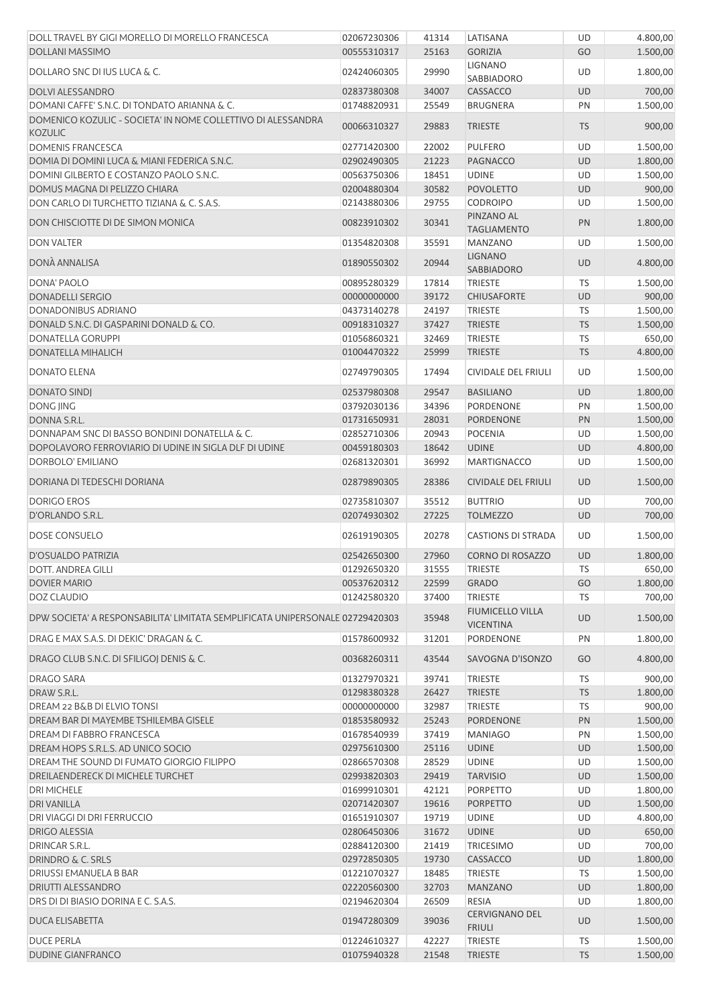| DOLL TRAVEL BY GIGI MORELLO DI MORELLO FRANCESCA                               | 02067230306 | 41314 | LATISANA                               | UD        | 4.800,00 |
|--------------------------------------------------------------------------------|-------------|-------|----------------------------------------|-----------|----------|
| <b>DOLLANI MASSIMO</b>                                                         | 00555310317 | 25163 | <b>GORIZIA</b>                         | GO        | 1.500,00 |
| DOLLARO SNC DI IUS LUCA & C.                                                   | 02424060305 | 29990 | <b>LIGNANO</b>                         | UD        | 1.800,00 |
|                                                                                |             |       | SABBIADORO                             |           |          |
| <b>DOLVI ALESSANDRO</b>                                                        | 02837380308 | 34007 | CASSACCO                               | <b>UD</b> | 700,00   |
| DOMANI CAFFE' S.N.C. DI TONDATO ARIANNA & C.                                   | 01748820931 | 25549 | <b>BRUGNERA</b>                        | PN        | 1.500,00 |
| DOMENICO KOZULIC - SOCIETA' IN NOME COLLETTIVO DI ALESSANDRA<br><b>KOZULIC</b> | 00066310327 | 29883 | <b>TRIESTE</b>                         | <b>TS</b> | 900,00   |
| <b>DOMENIS FRANCESCA</b>                                                       | 02771420300 | 22002 | <b>PULFERO</b>                         | <b>UD</b> | 1.500,00 |
| DOMIA DI DOMINI LUCA & MIANI FEDERICA S.N.C.                                   | 02902490305 | 21223 | <b>PAGNACCO</b>                        | <b>UD</b> | 1.800,00 |
| DOMINI GILBERTO E COSTANZO PAOLO S.N.C.                                        | 00563750306 | 18451 | <b>UDINE</b>                           | UD        | 1.500,00 |
| DOMUS MAGNA DI PELIZZO CHIARA                                                  | 02004880304 | 30582 | <b>POVOLETTO</b>                       | <b>UD</b> | 900,00   |
| DON CARLO DI TURCHETTO TIZIANA & C. S.A.S.                                     | 02143880306 | 29755 | <b>CODROIPO</b>                        | UD        | 1.500,00 |
| DON CHISCIOTTE DI DE SIMON MONICA                                              | 00823910302 | 30341 | PINZANO AL<br><b>TAGLIAMENTO</b>       | PN        | 1.800,00 |
| <b>DON VALTER</b>                                                              | 01354820308 | 35591 | <b>MANZANO</b>                         | UD        | 1.500,00 |
|                                                                                |             |       | <b>LIGNANO</b>                         |           |          |
| DONÀ ANNALISA                                                                  | 01890550302 | 20944 | SABBIADORO                             | <b>UD</b> | 4.800,00 |
| DONA' PAOLO                                                                    | 00895280329 | 17814 | <b>TRIESTE</b>                         | <b>TS</b> | 1.500,00 |
| <b>DONADELLI SERGIO</b>                                                        | 00000000000 | 39172 | <b>CHIUSAFORTE</b>                     | <b>UD</b> | 900,00   |
| DONADONIBUS ADRIANO                                                            | 04373140278 | 24197 | <b>TRIESTE</b>                         | TS        | 1.500,00 |
| DONALD S.N.C. DI GASPARINI DONALD & CO.                                        | 00918310327 | 37427 | <b>TRIESTE</b>                         | <b>TS</b> | 1.500,00 |
| <b>DONATELLA GORUPPI</b>                                                       | 01056860321 | 32469 | <b>TRIESTE</b>                         | TS        | 650,00   |
| <b>DONATELLA MIHALICH</b>                                                      | 01004470322 | 25999 | <b>TRIESTE</b>                         | <b>TS</b> | 4.800,00 |
| DONATO ELENA                                                                   | 02749790305 | 17494 | <b>CIVIDALE DEL FRIULI</b>             | UD        | 1.500,00 |
| <b>DONATO SINDJ</b>                                                            | 02537980308 | 29547 | <b>BASILIANO</b>                       | <b>UD</b> | 1.800,00 |
| <b>DONG JING</b>                                                               | 03792030136 | 34396 | PORDENONE                              | PN        | 1.500,00 |
|                                                                                | 01731650931 | 28031 |                                        | PN        |          |
| DONNA S.R.L.                                                                   |             |       | PORDENONE                              |           | 1.500,00 |
| DONNAPAM SNC DI BASSO BONDINI DONATELLA & C.                                   | 02852710306 | 20943 | <b>POCENIA</b>                         | UD        | 1.500,00 |
| DOPOLAVORO FERROVIARIO DI UDINE IN SIGLA DLF DI UDINE                          | 00459180303 | 18642 | <b>UDINE</b>                           | <b>UD</b> | 4.800,00 |
| DORBOLO' EMILIANO                                                              | 02681320301 | 36992 | <b>MARTIGNACCO</b>                     | UD        | 1.500,00 |
| DORIANA DI TEDESCHI DORIANA                                                    | 02879890305 | 28386 | <b>CIVIDALE DEL FRIULI</b>             | <b>UD</b> | 1.500,00 |
| <b>DORIGO EROS</b>                                                             | 02735810307 | 35512 | <b>BUTTRIO</b>                         | UD        | 700,00   |
| D'ORLANDO S.R.L.                                                               | 02074930302 | 27225 | <b>TOLMEZZO</b>                        | UD        | 700,00   |
| <b>DOSE CONSUELO</b>                                                           | 02619190305 | 20278 | <b>CASTIONS DI STRADA</b>              | UD        | 1.500,00 |
| D'OSUALDO PATRIZIA                                                             | 02542650300 | 27960 | CORNO DI ROSAZZO                       | <b>UD</b> | 1.800,00 |
| <b>DOTT. ANDREA GILLI</b>                                                      | 01292650320 | 31555 | <b>TRIESTE</b>                         | TS        | 650,00   |
| <b>DOVIER MARIO</b>                                                            | 00537620312 | 22599 | <b>GRADO</b>                           | GO        | 1.800,00 |
| DOZ CLAUDIO                                                                    | 01242580320 | 37400 | <b>TRIESTE</b>                         | <b>TS</b> | 700,00   |
|                                                                                |             |       | <b>FIUMICELLO VILLA</b>                |           |          |
| DPW SOCIETA' A RESPONSABILITA' LIMITATA SEMPLIFICATA UNIPERSONALE 02729420303  |             | 35948 | <b>VICENTINA</b>                       | <b>UD</b> | 1.500,00 |
| DRAG E MAX S.A.S. DI DEKIC' DRAGAN & C.                                        | 01578600932 | 31201 | PORDENONE                              | PN        | 1.800,00 |
| DRAGO CLUB S.N.C. DI SFILIGOJ DENIS & C.                                       | 00368260311 | 43544 | SAVOGNA D'ISONZO                       | GO        | 4.800,00 |
| DRAGO SARA                                                                     | 01327970321 | 39741 | <b>TRIESTE</b>                         | TS        | 900,00   |
| DRAW S.R.L.                                                                    | 01298380328 | 26427 | <b>TRIESTE</b>                         | <b>TS</b> | 1.800,00 |
| DREAM 22 B&B DI ELVIO TONSI                                                    | 00000000000 | 32987 | <b>TRIESTE</b>                         | <b>TS</b> | 900,00   |
| DREAM BAR DI MAYEMBE TSHILEMBA GISELE                                          | 01853580932 | 25243 | <b>PORDENONE</b>                       | PN        | 1.500,00 |
| DREAM DI FABBRO FRANCESCA                                                      | 01678540939 | 37419 | <b>MANIAGO</b>                         | PN        | 1.500,00 |
| DREAM HOPS S.R.L.S. AD UNICO SOCIO                                             | 02975610300 | 25116 | <b>UDINE</b>                           | <b>UD</b> | 1.500,00 |
| DREAM THE SOUND DI FUMATO GIORGIO FILIPPO                                      | 02866570308 | 28529 | <b>UDINE</b>                           | UD        | 1.500,00 |
| DREILAENDERECK DI MICHELE TURCHET                                              | 02993820303 | 29419 | <b>TARVISIO</b>                        | UD        | 1.500,00 |
| <b>DRI MICHELE</b>                                                             | 01699910301 | 42121 | PORPETTO                               | UD        | 1.800,00 |
|                                                                                |             |       |                                        |           |          |
| <b>DRI VANILLA</b>                                                             | 02071420307 | 19616 | <b>PORPETTO</b>                        | <b>UD</b> | 1.500,00 |
| DRI VIAGGI DI DRI FERRUCCIO                                                    | 01651910307 | 19719 | <b>UDINE</b>                           | UD        | 4.800,00 |
| <b>DRIGO ALESSIA</b>                                                           | 02806450306 | 31672 | <b>UDINE</b>                           | <b>UD</b> | 650,00   |
| DRINCAR S.R.L.                                                                 | 02884120300 | 21419 | <b>TRICESIMO</b>                       | UD        | 700,00   |
| <b>DRINDRO &amp; C. SRLS</b>                                                   | 02972850305 | 19730 | CASSACCO                               | <b>UD</b> | 1.800,00 |
| DRIUSSI EMANUELA B BAR                                                         | 01221070327 | 18485 | <b>TRIESTE</b>                         | <b>TS</b> | 1.500,00 |
| DRIUTTI ALESSANDRO                                                             | 02220560300 | 32703 | <b>MANZANO</b>                         | <b>UD</b> | 1.800,00 |
| DRS DI DI BIASIO DORINA E C. S.A.S.                                            | 02194620304 | 26509 | <b>RESIA</b>                           | UD        | 1.800,00 |
| DUCA ELISABETTA                                                                | 01947280309 | 39036 | <b>CERVIGNANO DEL</b><br><b>FRIULI</b> | <b>UD</b> | 1.500,00 |
| <b>DUCE PERLA</b>                                                              | 01224610327 | 42227 | <b>TRIESTE</b>                         | <b>TS</b> | 1.500,00 |
| <b>DUDINE GIANFRANCO</b>                                                       | 01075940328 | 21548 | <b>TRIESTE</b>                         | <b>TS</b> | 1.500,00 |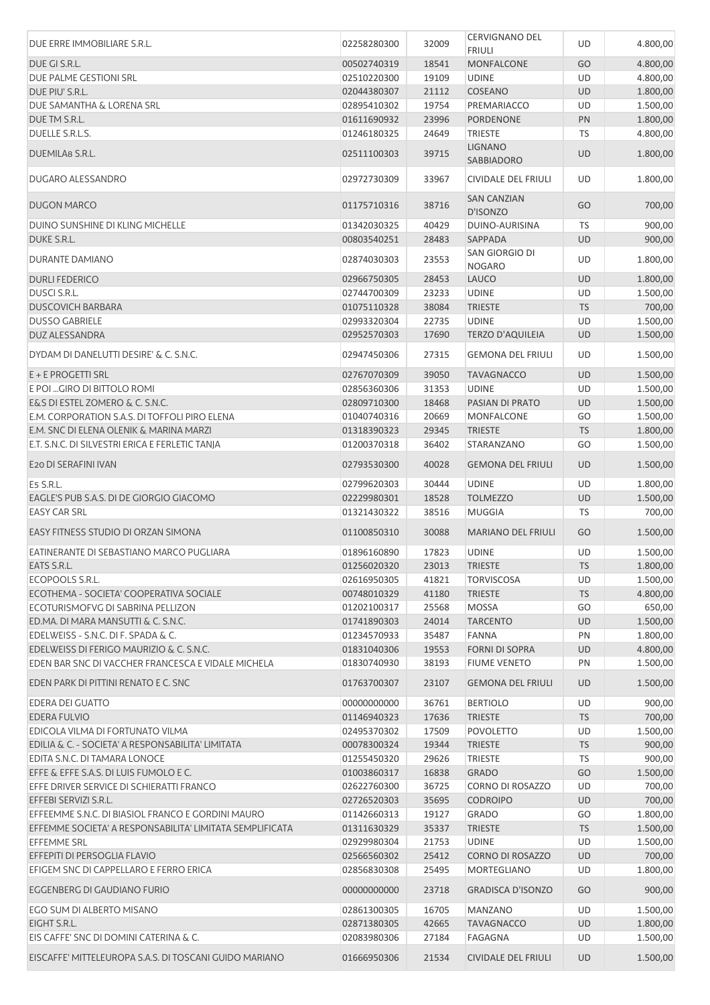| DUE ERRE IMMOBILIARE S.R.L.                              | 02258280300 | 32009 | <b>CERVIGNANO DEL</b><br><b>FRIULI</b> | UD        | 4.800,00 |
|----------------------------------------------------------|-------------|-------|----------------------------------------|-----------|----------|
| DUE GI S.R.L.                                            | 00502740319 | 18541 | <b>MONFALCONE</b>                      | GO        | 4.800,00 |
| DUE PALME GESTIONI SRL                                   | 02510220300 | 19109 | <b>UDINE</b>                           | UD        | 4.800,00 |
| DUE PIU' S.R.L.                                          | 02044380307 | 21112 | COSEANO                                | <b>UD</b> | 1.800,00 |
| DUE SAMANTHA & LORENA SRL                                | 02895410302 | 19754 | PREMARIACCO                            | UD        | 1.500,00 |
| DUE TM S.R.L.                                            | 01611690932 | 23996 | PORDENONE                              | PN        | 1.800,00 |
| DUELLE S.R.L.S.                                          | 01246180325 | 24649 | <b>TRIESTE</b>                         | TS        | 4.800,00 |
|                                                          |             |       | <b>LIGNANO</b>                         |           |          |
| DUEMILA8 S.R.L.                                          | 02511100303 | 39715 | <b>SABBIADORO</b>                      | <b>UD</b> | 1.800,00 |
| DUGARO ALESSANDRO                                        | 02972730309 | 33967 | CIVIDALE DEL FRIULI                    | UD        | 1.800,00 |
| DUGON MARCO                                              | 01175710316 | 38716 | <b>SAN CANZIAN</b><br>D'ISONZO         | GO        | 700,00   |
| DUINO SUNSHINE DI KLING MICHELLE                         | 01342030325 | 40429 | DUINO-AURISINA                         | TS        | 900,00   |
| DUKE S.R.L.                                              | 00803540251 | 28483 | SAPPADA                                | <b>UD</b> | 900,00   |
| DURANTE DAMIANO                                          | 02874030303 | 23553 | SAN GIORGIO DI<br><b>NOGARO</b>        | UD        | 1.800,00 |
| <b>DURLI FEDERICO</b>                                    | 02966750305 | 28453 | <b>LAUCO</b>                           | UD        | 1.800,00 |
| DUSCI S.R.L.                                             | 02744700309 | 23233 | <b>UDINE</b>                           | UD        | 1.500,00 |
| <b>DUSCOVICH BARBARA</b>                                 | 01075110328 | 38084 | <b>TRIESTE</b>                         | <b>TS</b> | 700,00   |
| <b>DUSSO GABRIELE</b>                                    | 02993320304 | 22735 | <b>UDINE</b>                           | UD        | 1.500,00 |
| <b>DUZ ALESSANDRA</b>                                    | 02952570303 | 17690 | <b>TERZO D'AQUILEIA</b>                | <b>UD</b> | 1.500,00 |
|                                                          |             |       |                                        |           |          |
| DYDAM DI DANELUTTI DESIRE' & C. S.N.C.                   | 02947450306 | 27315 | <b>GEMONA DEL FRIULI</b>               | UD        | 1.500,00 |
| E + E PROGETTI SRL                                       | 02767070309 | 39050 | <b>TAVAGNACCO</b>                      | <b>UD</b> | 1.500,00 |
| E POI  GIRO DI BITTOLO ROMI                              | 02856360306 | 31353 | <b>UDINE</b>                           | UD        | 1.500,00 |
| E&S DI ESTEL ZOMERO & C. S.N.C.                          | 02809710300 | 18468 | PASIAN DI PRATO                        | <b>UD</b> | 1.500,00 |
| E.M. CORPORATION S.A.S. DI TOFFOLI PIRO ELENA            | 01040740316 | 20669 | MONFALCONE                             | GO        | 1.500,00 |
| E.M. SNC DI ELENA OLENIK & MARINA MARZI                  | 01318390323 | 29345 | <b>TRIESTE</b>                         | <b>TS</b> | 1.800,00 |
| E.T. S.N.C. DI SILVESTRI ERICA E FERLETIC TANJA          | 01200370318 | 36402 | STARANZANO                             | GO        | 1.500,00 |
| E20 DI SERAFINI IVAN                                     | 02793530300 | 40028 | <b>GEMONA DEL FRIULI</b>               | <b>UD</b> | 1.500,00 |
| E5 S.R.L.                                                | 02799620303 | 30444 | <b>UDINE</b>                           | UD        | 1.800,00 |
| EAGLE'S PUB S.A.S. DI DE GIORGIO GIACOMO                 | 02229980301 | 18528 | <b>TOLMEZZO</b>                        | <b>UD</b> | 1.500,00 |
| <b>EASY CAR SRL</b>                                      | 01321430322 | 38516 | <b>MUGGIA</b>                          | TS        | 700,00   |
| EASY FITNESS STUDIO DI ORZAN SIMONA                      | 01100850310 | 30088 | <b>MARIANO DEL FRIULI</b>              | GO        | 1.500,00 |
| EATINERANTE DI SEBASTIANO MARCO PUGLIARA                 | 01896160890 | 17823 | <b>UDINE</b>                           | UD        | 1.500,00 |
| EATS S.R.L.                                              | 01256020320 | 23013 | <b>TRIESTE</b>                         | <b>TS</b> | 1.800,00 |
| ECOPOOLS S.R.L.                                          | 02616950305 | 41821 | <b>TORVISCOSA</b>                      | UD        | 1.500,00 |
| ECOTHEMA - SOCIETA' COOPERATIVA SOCIALE                  | 00748010329 | 41180 | <b>TRIESTE</b>                         | <b>TS</b> | 4.800,00 |
| ECOTURISMOFVG DI SABRINA PELLIZON                        | 01202100317 | 25568 | <b>MOSSA</b>                           | GO        | 650,00   |
| ED.MA. DI MARA MANSUTTI & C. S.N.C.                      | 01741890303 | 24014 | <b>TARCENTO</b>                        | <b>UD</b> | 1.500,00 |
| EDELWEISS - S.N.C. DI F. SPADA & C.                      | 01234570933 | 35487 | <b>FANNA</b>                           | PN        | 1.800,00 |
| EDELWEISS DI FERIGO MAURIZIO & C. S.N.C.                 | 01831040306 | 19553 | <b>FORNI DI SOPRA</b>                  | UD        | 4.800,00 |
| EDEN BAR SNC DI VACCHER FRANCESCA E VIDALE MICHELA       | 01830740930 | 38193 | <b>FIUME VENETO</b>                    | PN        | 1.500,00 |
| EDEN PARK DI PITTINI RENATO E C. SNC                     | 01763700307 | 23107 | <b>GEMONA DEL FRIULI</b>               | <b>UD</b> | 1.500,00 |
| <b>EDERA DEI GUATTO</b>                                  | 00000000000 | 36761 | <b>BERTIOLO</b>                        | UD        | 900,00   |
| <b>EDERA FULVIO</b>                                      | 01146940323 | 17636 | <b>TRIESTE</b>                         | <b>TS</b> | 700,00   |
| EDICOLA VILMA DI FORTUNATO VILMA                         | 02495370302 | 17509 | <b>POVOLETTO</b>                       | UD        | 1.500,00 |
| EDILIA & C. - SOCIETA' A RESPONSABILITA' LIMITATA        | 00078300324 | 19344 | <b>TRIESTE</b>                         | <b>TS</b> | 900,00   |
| EDITA S.N.C. DI TAMARA LONOCE                            | 01255450320 | 29626 | TRIESTE                                | TS        | 900,00   |
| EFFE & EFFE S.A.S. DI LUIS FUMOLO E C.                   | 01003860317 | 16838 | <b>GRADO</b>                           | GO        | 1.500,00 |
| EFFE DRIVER SERVICE DI SCHIERATTI FRANCO                 | 02622760300 | 36725 | CORNO DI ROSAZZO                       | UD        | 700,00   |
| EFFEBI SERVIZI S.R.L.                                    | 02726520303 | 35695 | <b>CODROIPO</b>                        | UD        | 700,00   |
| EFFEEMME S.N.C. DI BIASIOL FRANCO E GORDINI MAURO        | 01142660313 | 19127 | <b>GRADO</b>                           | GO        | 1.800,00 |
| EFFEMME SOCIETA' A RESPONSABILITA' LIMITATA SEMPLIFICATA | 01311630329 | 35337 | <b>TRIESTE</b>                         | <b>TS</b> | 1.500,00 |
| <b>EFFEMME SRL</b>                                       | 02929980304 | 21753 | <b>UDINE</b>                           | UD        | 1.500,00 |
| EFFEPITI DI PERSOGLIA FLAVIO                             | 02566560302 | 25412 | CORNO DI ROSAZZO                       | <b>UD</b> | 700,00   |
| EFIGEM SNC DI CAPPELLARO E FERRO ERICA                   | 02856830308 | 25495 | MORTEGLIANO                            | UD        | 1.800,00 |
| EGGENBERG DI GAUDIANO FURIO                              | 00000000000 | 23718 | <b>GRADISCA D'ISONZO</b>               | GO        | 900,00   |
|                                                          |             |       |                                        |           |          |
| EGO SUM DI ALBERTO MISANO                                | 02861300305 | 16705 | <b>MANZANO</b>                         | UD        | 1.500,00 |
| EIGHT S.R.L.                                             | 02871380305 | 42665 | <b>TAVAGNACCO</b>                      | <b>UD</b> | 1.800,00 |
| EIS CAFFE' SNC DI DOMINI CATERINA & C.                   | 02083980306 | 27184 | FAGAGNA                                | UD        | 1.500,00 |
| EISCAFFE' MITTELEUROPA S.A.S. DI TOSCANI GUIDO MARIANO   | 01666950306 | 21534 | <b>CIVIDALE DEL FRIULI</b>             | <b>UD</b> | 1.500,00 |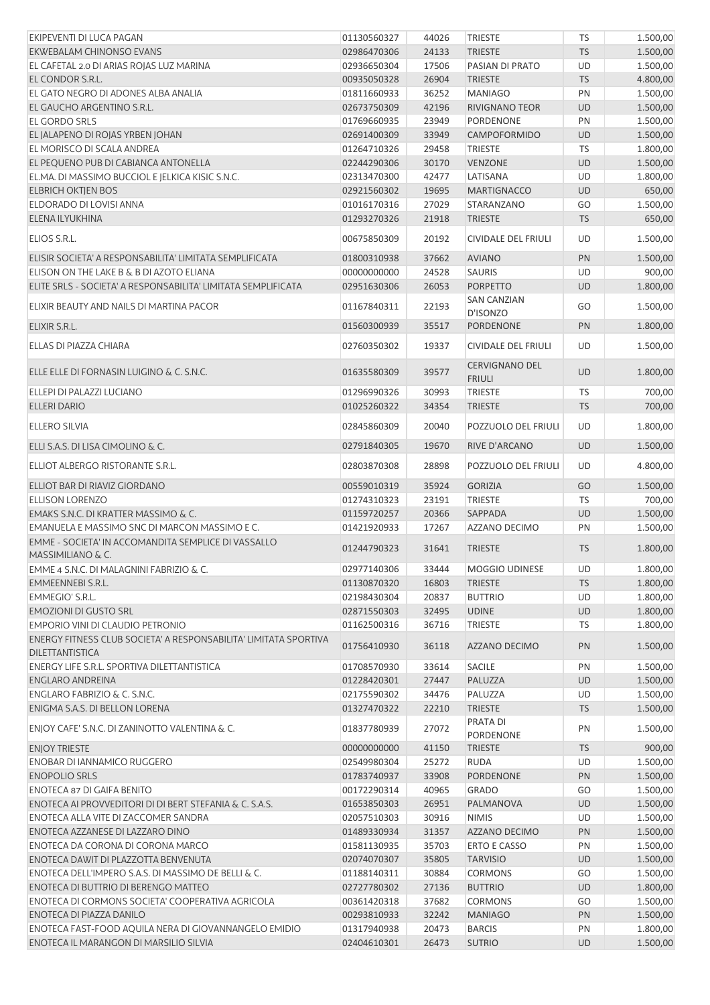| EKIPEVENTI DI LUCA PAGAN                                                                   | 01130560327 | 44026 | TRIESTE                                | <b>TS</b> | 1.500,00 |
|--------------------------------------------------------------------------------------------|-------------|-------|----------------------------------------|-----------|----------|
| EKWEBALAM CHINONSO EVANS                                                                   | 02986470306 | 24133 | <b>TRIESTE</b>                         | <b>TS</b> | 1.500,00 |
| EL CAFETAL 2.0 DI ARIAS ROJAS LUZ MARINA                                                   | 02936650304 | 17506 | PASIAN DI PRATO                        | UD        | 1.500,00 |
| EL CONDOR S.R.L.                                                                           | 00935050328 | 26904 | <b>TRIESTE</b>                         | <b>TS</b> | 4.800,00 |
| EL GATO NEGRO DI ADONES ALBA ANALIA                                                        | 01811660933 | 36252 | <b>MANIAGO</b>                         | PN        | 1.500,00 |
| EL GAUCHO ARGENTINO S.R.L.                                                                 | 02673750309 | 42196 | <b>RIVIGNANO TEOR</b>                  | <b>UD</b> | 1.500,00 |
| <b>EL GORDO SRLS</b>                                                                       | 01769660935 | 23949 | PORDENONE                              | PN        | 1.500,00 |
| EL JALAPENO DI ROJAS YRBEN JOHAN                                                           | 02691400309 | 33949 | CAMPOFORMIDO                           | <b>UD</b> | 1.500,00 |
| EL MORISCO DI SCALA ANDREA                                                                 | 01264710326 | 29458 | TRIESTE                                | TS        | 1.800,00 |
| EL PEQUENO PUB DI CABIANCA ANTONELLA                                                       | 02244290306 | 30170 | VENZONE                                | <b>UD</b> | 1.500,00 |
| EL.MA. DI MASSIMO BUCCIOL E JELKICA KISIC S.N.C.                                           | 02313470300 | 42477 | LATISANA                               | UD        | 1.800,00 |
| <b>ELBRICH OKTJEN BOS</b>                                                                  | 02921560302 | 19695 | <b>MARTIGNACCO</b>                     | UD        | 650,00   |
| ELDORADO DI LOVISI ANNA                                                                    | 01016170316 | 27029 | STARANZANO                             | GO        | 1.500,00 |
| ELENA ILYUKHINA                                                                            | 01293270326 | 21918 | <b>TRIESTE</b>                         | <b>TS</b> | 650,00   |
| ELIOS S.R.L.                                                                               | 00675850309 | 20192 | CIVIDALE DEL FRIULI                    | UD        | 1.500,00 |
| ELISIR SOCIETA' A RESPONSABILITA' LIMITATA SEMPLIFICATA                                    | 01800310938 | 37662 | <b>AVIANO</b>                          | PN        | 1.500,00 |
| ELISON ON THE LAKE B & B DI AZOTO ELIANA                                                   | 00000000000 | 24528 | SAURIS                                 | UD        | 900,00   |
| ELITE SRLS - SOCIETA' A RESPONSABILITA' LIMITATA SEMPLIFICATA                              | 02951630306 | 26053 | <b>PORPETTO</b>                        | <b>UD</b> | 1.800,00 |
| ELIXIR BEAUTY AND NAILS DI MARTINA PACOR                                                   | 01167840311 | 22193 | <b>SAN CANZIAN</b>                     | GO        | 1.500,00 |
| ELIXIR S.R.L.                                                                              | 01560300939 | 35517 | D'ISONZO<br>PORDENONE                  | PN        | 1.800,00 |
|                                                                                            |             |       |                                        |           |          |
| ELLAS DI PIAZZA CHIARA                                                                     | 02760350302 | 19337 | <b>CIVIDALE DEL FRIULI</b>             | UD        | 1.500,00 |
| ELLE ELLE DI FORNASIN LUIGINO & C. S.N.C.                                                  | 01635580309 | 39577 | <b>CERVIGNANO DEL</b><br><b>FRIULI</b> | <b>UD</b> | 1.800,00 |
| ELLEPI DI PALAZZI LUCIANO                                                                  | 01296990326 | 30993 | <b>TRIESTE</b>                         | TS        | 700,00   |
| <b>ELLERI DARIO</b>                                                                        | 01025260322 | 34354 | <b>TRIESTE</b>                         | <b>TS</b> | 700,00   |
| <b>ELLERO SILVIA</b>                                                                       | 02845860309 | 20040 | POZZUOLO DEL FRIULI                    | UD        | 1.800,00 |
| ELLI S.A.S. DI LISA CIMOLINO & C.                                                          | 02791840305 | 19670 | RIVE D'ARCANO                          | <b>UD</b> | 1.500,00 |
| ELLIOT ALBERGO RISTORANTE S.R.L.                                                           | 02803870308 | 28898 | POZZUOLO DEL FRIULI                    | UD        | 4.800,00 |
| ELLIOT BAR DI RIAVIZ GIORDANO                                                              | 00559010319 | 35924 | <b>GORIZIA</b>                         | GO        | 1.500,00 |
| <b>ELLISON LORENZO</b>                                                                     | 01274310323 | 23191 | TRIESTE                                | TS        | 700,00   |
| EMAKS S.N.C. DI KRATTER MASSIMO & C.                                                       | 01159720257 | 20366 | SAPPADA                                | <b>UD</b> | 1.500,00 |
| EMANUELA E MASSIMO SNC DI MARCON MASSIMO E C.                                              | 01421920933 | 17267 | AZZANO DECIMO                          | PN        | 1.500,00 |
| EMME - SOCIETA' IN ACCOMANDITA SEMPLICE DI VASSALLO                                        |             | 31641 |                                        |           | 1.800,00 |
| MASSIMILIANO & C.                                                                          | 01244790323 |       | <b>TRIESTE</b>                         | <b>TS</b> |          |
| EMME 4 S.N.C. DI MALAGNINI FABRIZIO & C.                                                   | 02977140306 | 33444 | MOGGIO UDINESE                         | UD        | 1.800,00 |
| EMMEENNEBI S.R.L.                                                                          | 01130870320 | 16803 | <b>TRIESTE</b>                         | <b>TS</b> | 1.800,00 |
| EMMEGIO' S.R.L.                                                                            | 02198430304 | 20837 | <b>BUTTRIO</b>                         | UD        | 1.800,00 |
| <b>EMOZIONI DI GUSTO SRL</b>                                                               | 02871550303 | 32495 | <b>UDINE</b>                           | UD        | 1.800,00 |
| EMPORIO VINI DI CLAUDIO PETRONIO                                                           | 01162500316 | 36716 | TRIESTE                                | TS        | 1.800,00 |
| ENERGY FITNESS CLUB SOCIETA' A RESPONSABILITA' LIMITATA SPORTIVA<br><b>DILETTANTISTICA</b> | 01756410930 | 36118 | AZZANO DECIMO                          | PN        | 1.500,00 |
| ENERGY LIFE S.R.L. SPORTIVA DILETTANTISTICA                                                | 01708570930 | 33614 | <b>SACILE</b>                          | PN        | 1.500,00 |
| <b>ENGLARO ANDREINA</b>                                                                    | 01228420301 | 27447 | PALUZZA                                | <b>UD</b> | 1.500,00 |
| ENGLARO FABRIZIO & C. S.N.C.                                                               | 02175590302 | 34476 | PALUZZA                                | UD        | 1.500,00 |
| ENIGMA S.A.S. DI BELLON LORENA                                                             | 01327470322 | 22210 | <b>TRIESTE</b>                         | <b>TS</b> | 1.500,00 |
| ENJOY CAFE' S.N.C. DI ZANINOTTO VALENTINA & C.                                             | 01837780939 | 27072 | PRATA DI                               | PN        | 1.500,00 |
|                                                                                            |             |       | PORDENONE                              |           |          |
| <b>ENJOY TRIESTE</b>                                                                       | 00000000000 | 41150 | <b>TRIESTE</b>                         | <b>TS</b> | 900,00   |
| ENOBAR DI IANNAMICO RUGGERO                                                                | 02549980304 | 25272 | <b>RUDA</b>                            | UD        | 1.500,00 |
| <b>ENOPOLIO SRLS</b>                                                                       | 01783740937 | 33908 | PORDENONE                              | PN        | 1.500,00 |
| <b>ENOTECA 87 DI GAIFA BENITO</b>                                                          | 00172290314 | 40965 | <b>GRADO</b>                           | GO        | 1.500,00 |
| ENOTECA AI PROVVEDITORI DI DI BERT STEFANIA & C. S.A.S.                                    | 01653850303 | 26951 | PALMANOVA                              | UD        | 1.500,00 |
| ENOTECA ALLA VITE DI ZACCOMER SANDRA                                                       | 02057510303 | 30916 | <b>NIMIS</b>                           | UD        | 1.500,00 |
| ENOTECA AZZANESE DI LAZZARO DINO                                                           | 01489330934 | 31357 | AZZANO DECIMO                          | PN        | 1.500,00 |
| ENOTECA DA CORONA DI CORONA MARCO                                                          | 01581130935 | 35703 | ERTO E CASSO                           | PN        | 1.500,00 |
| ENOTECA DAWIT DI PLAZZOTTA BENVENUTA                                                       | 02074070307 | 35805 | <b>TARVISIO</b>                        | <b>UD</b> | 1.500,00 |
| ENOTECA DELL'IMPERO S.A.S. DI MASSIMO DE BELLI & C.                                        | 01188140311 | 30884 | <b>CORMONS</b>                         | GO        | 1.500,00 |
| ENOTECA DI BUTTRIO DI BERENGO MATTEO                                                       | 02727780302 | 27136 | <b>BUTTRIO</b>                         | <b>UD</b> | 1.800,00 |
| ENOTECA DI CORMONS SOCIETA' COOPERATIVA AGRICOLA                                           | 00361420318 | 37682 | <b>CORMONS</b>                         | GO        | 1.500,00 |
| ENOTECA DI PIAZZA DANILO                                                                   | 00293810933 | 32242 | <b>MANIAGO</b>                         | PN        | 1.500,00 |
| ENOTECA FAST-FOOD AQUILA NERA DI GIOVANNANGELO EMIDIO                                      | 01317940938 | 20473 | <b>BARCIS</b>                          | PN        | 1.800,00 |
| ENOTECA IL MARANGON DI MARSILIO SILVIA                                                     | 02404610301 | 26473 | <b>SUTRIO</b>                          | UD        | 1.500,00 |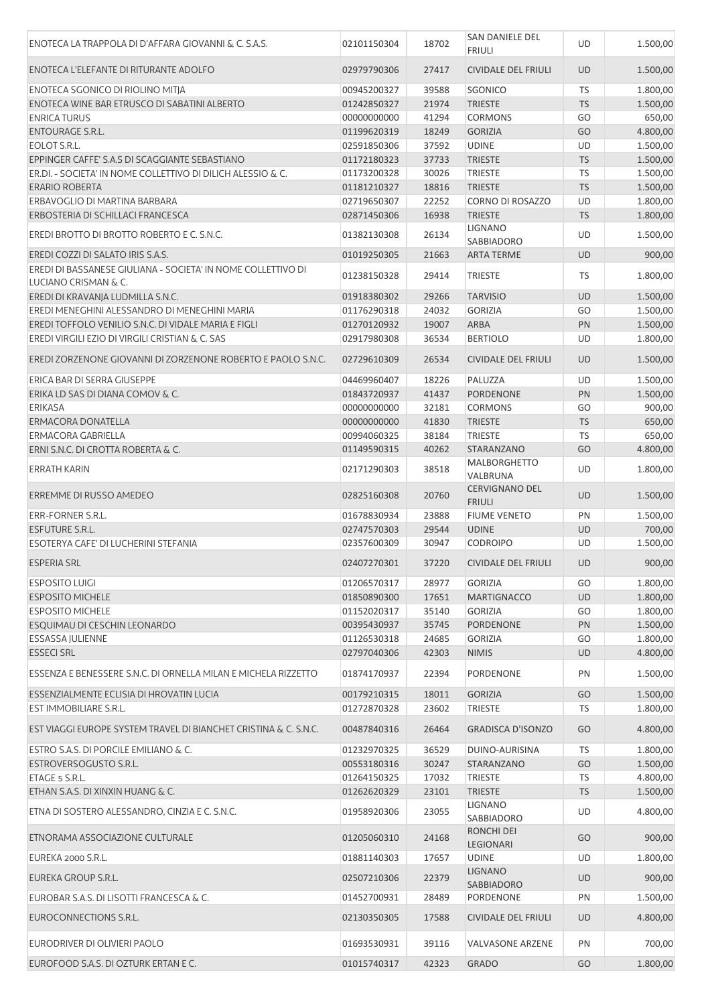| ENOTECA LA TRAPPOLA DI D'AFFARA GIOVANNI & C. S.A.S.                                       | 02101150304                | 18702          | SAN DANIELE DEL<br><b>FRIULI</b>           | UD              | 1.500,00             |
|--------------------------------------------------------------------------------------------|----------------------------|----------------|--------------------------------------------|-----------------|----------------------|
| ENOTECA L'ELEFANTE DI RITURANTE ADOLFO                                                     | 02979790306                | 27417          | <b>CIVIDALE DEL FRIULI</b>                 | <b>UD</b>       | 1.500,00             |
| ENOTECA SGONICO DI RIOLINO MITJA                                                           | 00945200327                | 39588          | SGONICO                                    | <b>TS</b>       | 1.800,00             |
| ENOTECA WINE BAR ETRUSCO DI SABATINI ALBERTO                                               | 01242850327                | 21974          | <b>TRIESTE</b>                             | <b>TS</b>       | 1.500,00             |
| <b>ENRICA TURUS</b>                                                                        | 00000000000                | 41294          | <b>CORMONS</b>                             | GO              | 650,00               |
| <b>ENTOURAGE S.R.L.</b>                                                                    | 01199620319                | 18249          | <b>GORIZIA</b>                             | GO              | 4.800,00             |
| EOLOT S.R.L.                                                                               | 02591850306                | 37592          | <b>UDINE</b>                               | UD              | 1.500,00             |
| EPPINGER CAFFE' S.A.S DI SCAGGIANTE SEBASTIANO                                             |                            |                |                                            |                 |                      |
|                                                                                            | 01172180323                | 37733          | <b>TRIESTE</b>                             | <b>TS</b>       | 1.500,00             |
| ER.DI. - SOCIETA' IN NOME COLLETTIVO DI DILICH ALESSIO & C.                                | 01173200328                | 30026          | <b>TRIESTE</b>                             | <b>TS</b>       | 1.500,00             |
| <b>ERARIO ROBERTA</b>                                                                      | 01181210327                | 18816          | <b>TRIESTE</b>                             | <b>TS</b>       | 1.500,00             |
| ERBAVOGLIO DI MARTINA BARBARA                                                              | 02719650307                | 22252          | CORNO DI ROSAZZO                           | UD              | 1.800,00             |
| ERBOSTERIA DI SCHILLACI FRANCESCA                                                          | 02871450306                | 16938          | <b>TRIESTE</b>                             | <b>TS</b>       | 1.800,00             |
| EREDI BROTTO DI BROTTO ROBERTO E C. S.N.C.                                                 | 01382130308                | 26134          | <b>LIGNANO</b><br>SABBIADORO               | UD              | 1.500,00             |
| EREDI COZZI DI SALATO IRIS S.A.S.                                                          | 01019250305                | 21663          | <b>ARTA TERME</b>                          | <b>UD</b>       | 900,00               |
| EREDI DI BASSANESE GIULIANA - SOCIETA' IN NOME COLLETTIVO DI                               |                            |                |                                            |                 |                      |
| LUCIANO CRISMAN & C.                                                                       | 01238150328                | 29414          | <b>TRIESTE</b>                             | TS              | 1.800,00             |
| EREDI DI KRAVANIA LUDMILLA S.N.C.                                                          | 01918380302                | 29266          | <b>TARVISIO</b>                            | <b>UD</b>       | 1.500,00             |
|                                                                                            |                            |                |                                            |                 |                      |
| EREDI MENEGHINI ALESSANDRO DI MENEGHINI MARIA                                              | 01176290318                | 24032          | <b>GORIZIA</b>                             | GO              | 1.500,00             |
| EREDI TOFFOLO VENILIO S.N.C. DI VIDALE MARIA E FIGLI                                       | 01270120932                | 19007          | <b>ARBA</b>                                | PN              | 1.500,00             |
| EREDI VIRGILI EZIO DI VIRGILI CRISTIAN & C. SAS                                            | 02917980308                | 36534          | <b>BERTIOLO</b>                            | UD              | 1.800,00             |
| EREDI ZORZENONE GIOVANNI DI ZORZENONE ROBERTO E PAOLO S.N.C.                               | 02729610309                | 26534          | <b>CIVIDALE DEL FRIULI</b>                 | <b>UD</b>       | 1.500,00             |
| ERICA BAR DI SERRA GIUSEPPE                                                                | 04469960407                | 18226          | PALUZZA                                    | UD              | 1.500,00             |
| ERIKA LD SAS DI DIANA COMOV & C.                                                           | 01843720937                | 41437          | <b>PORDENONE</b>                           | <b>PN</b>       | 1.500,00             |
| <b>ERIKASA</b>                                                                             | 00000000000                | 32181          | <b>CORMONS</b>                             | GO              | 900,00               |
| <b>ERMACORA DONATELLA</b>                                                                  |                            |                |                                            |                 |                      |
|                                                                                            | 00000000000                | 41830          | <b>TRIESTE</b>                             | <b>TS</b>       | 650,00               |
| ERMACORA GABRIELLA                                                                         | 00994060325                | 38184          | <b>TRIESTE</b>                             | <b>TS</b>       | 650,00               |
| ERNI S.N.C. DI CROTTA ROBERTA & C.                                                         | 01149590315                | 40262          | <b>STARANZANO</b>                          | GO              | 4.800,00             |
| <b>ERRATH KARIN</b>                                                                        | 02171290303                | 38518          | MALBORGHETTO<br>VALBRUNA                   | UD              | 1.800,00             |
| ERREMME DI RUSSO AMEDEO                                                                    | 02825160308                | 20760          | <b>CERVIGNANO DEL</b><br><b>FRIULI</b>     | <b>UD</b>       | 1.500,00             |
| ERR-FORNER S.R.L.                                                                          | 01678830934                | 23888          | <b>FIUME VENETO</b>                        | PN              | 1.500,00             |
| <b>ESFUTURE S.R.L.</b>                                                                     | 02747570303                | 29544          | <b>UDINE</b>                               | <b>UD</b>       | 700,00               |
| ESOTERYA CAFE' DI LUCHERINI STEFANIA                                                       | 02357600309                | 30947          | <b>CODROIPO</b>                            | UD              | 1.500,00             |
| <b>ESPERIA SRL</b>                                                                         | 02407270301                | 37220          | CIVIDALE DEL FRIULI                        | <b>UD</b>       | 900,00               |
|                                                                                            |                            |                |                                            |                 |                      |
| <b>ESPOSITO LUIGI</b>                                                                      | 01206570317                | 28977          | <b>GORIZIA</b>                             | GO              | 1.800,00             |
| <b>ESPOSITO MICHELE</b>                                                                    | 01850890300                | 17651          | <b>MARTIGNACCO</b>                         | <b>UD</b>       | 1.800,00             |
| <b>ESPOSITO MICHELE</b>                                                                    | 01152020317                | 35140          | <b>GORIZIA</b>                             | GO              | 1.800,00             |
| ESQUIMAU DI CESCHIN LEONARDO                                                               | 00395430937                | 35745          | PORDENONE                                  | PN              | 1.500,00             |
| <b>ESSASSA JULIENNE</b>                                                                    | 01126530318                | 24685          | <b>GORIZIA</b>                             | GO              | 1.800,00             |
| <b>ESSECI SRL</b>                                                                          | 02797040306                | 42303          | <b>NIMIS</b>                               | <b>UD</b>       | 4.800,00             |
| ESSENZA E BENESSERE S.N.C. DI ORNELLA MILAN E MICHELA RIZZETTO                             | 01874170937                | 22394          | PORDENONE                                  | PN              | 1.500,00             |
| ESSENZIALMENTE ECLISIA DI HROVATIN LUCIA                                                   |                            | 18011          | <b>GORIZIA</b>                             | GO              |                      |
|                                                                                            | 00179210315                |                |                                            |                 | 1.500,00             |
| EST IMMOBILIARE S.R.L.<br>EST VIAGGI EUROPE SYSTEM TRAVEL DI BIANCHET CRISTINA & C. S.N.C. | 01272870328<br>00487840316 | 23602<br>26464 | <b>TRIESTE</b><br><b>GRADISCA D'ISONZO</b> | <b>TS</b><br>GO | 1.800,00<br>4.800,00 |
|                                                                                            |                            |                |                                            |                 |                      |
| ESTRO S.A.S. DI PORCILE EMILIANO & C.                                                      | 01232970325                | 36529          | DUINO-AURISINA                             | <b>TS</b>       | 1.800,00             |
| ESTROVERSOGUSTO S.R.L.                                                                     | 00553180316                | 30247          | STARANZANO                                 | GO              | 1.500,00             |
| ETAGE 5 S.R.L.                                                                             | 01264150325                | 17032          | <b>TRIESTE</b>                             | <b>TS</b>       | 4.800,00             |
| ETHAN S.A.S. DI XINXIN HUANG & C.                                                          | 01262620329                | 23101          | <b>TRIESTE</b>                             | <b>TS</b>       | 1.500,00             |
| ETNA DI SOSTERO ALESSANDRO, CINZIA E C. S.N.C.                                             | 01958920306                | 23055          | LIGNANO<br>SABBIADORO                      | UD              | 4.800,00             |
| ETNORAMA ASSOCIAZIONE CULTURALE                                                            | 01205060310                | 24168          | RONCHI DEI                                 | GO              | 900,00               |
|                                                                                            |                            |                | LEGIONARI                                  |                 |                      |
| EUREKA 2000 S.R.L.<br>EUREKA GROUP S.R.L.                                                  | 01881140303<br>02507210306 | 17657<br>22379 | <b>UDINE</b><br><b>LIGNANO</b>             | UD<br><b>UD</b> | 1.800,00<br>900,00   |
|                                                                                            |                            |                | SABBIADORO                                 |                 |                      |
| EUROBAR S.A.S. DI LISOTTI FRANCESCA & C.                                                   | 01452700931                | 28489          | PORDENONE                                  | PN              | 1.500,00             |
| EUROCONNECTIONS S.R.L.                                                                     | 02130350305                | 17588          | <b>CIVIDALE DEL FRIULI</b>                 | UD              | 4.800,00             |
| EURODRIVER DI OLIVIERI PAOLO                                                               | 01693530931                | 39116          | <b>VALVASONE ARZENE</b>                    | PN              | 700,00               |
| EUROFOOD S.A.S. DI OZTURK ERTAN E C.                                                       | 01015740317                | 42323          | <b>GRADO</b>                               | GO              | 1.800,00             |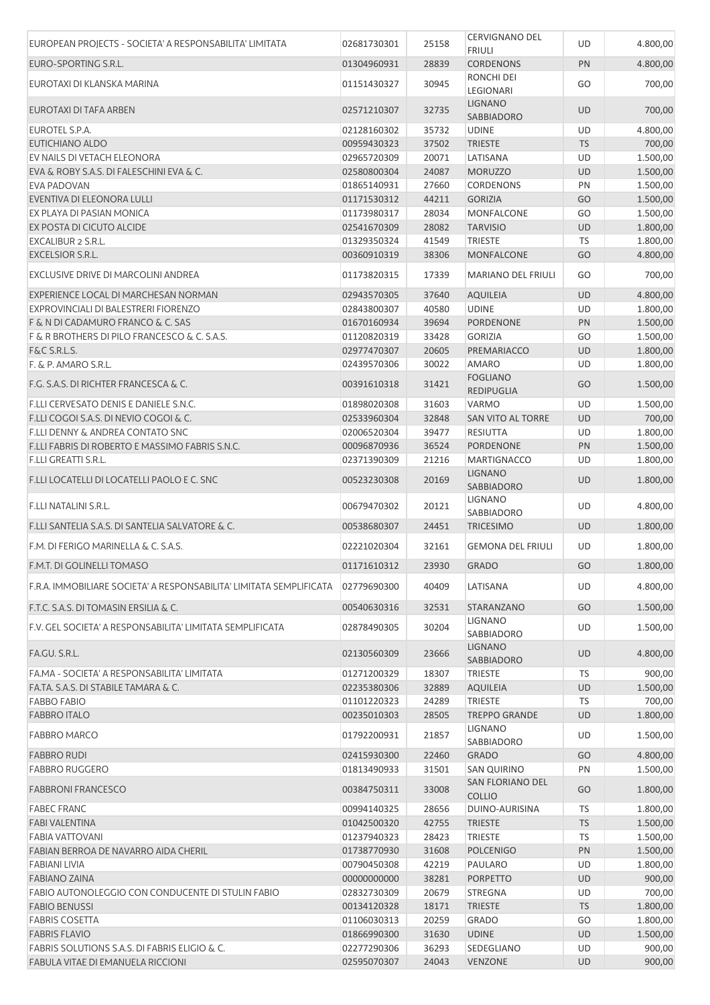| EUROPEAN PROJECTS - SOCIETA' A RESPONSABILITA' LIMITATA             | 02681730301 | 25158 | CERVIGNANO DEL<br><b>FRIULI</b>      | UD        | 4.800,00             |
|---------------------------------------------------------------------|-------------|-------|--------------------------------------|-----------|----------------------|
| EURO-SPORTING S.R.L.                                                | 01304960931 | 28839 | <b>CORDENONS</b>                     | PN        | 4.800,00             |
| EUROTAXI DI KLANSKA MARINA                                          | 01151430327 | 30945 | RONCHI DEI<br>LEGIONARI              | GO        | 700,00               |
| EUROTAXI DI TAFA ARBEN                                              | 02571210307 | 32735 | <b>LIGNANO</b><br><b>SABBIADORO</b>  | <b>UD</b> | 700,00               |
| EUROTEL S.P.A.                                                      | 02128160302 | 35732 | <b>UDINE</b>                         | UD        | 4.800,00             |
| EUTICHIANO ALDO                                                     | 00959430323 | 37502 | <b>TRIESTE</b>                       | <b>TS</b> | 700,00               |
| EV NAILS DI VETACH ELEONORA                                         | 02965720309 | 20071 | LATISANA                             | UD        | 1.500,00             |
| EVA & ROBY S.A.S. DI FALESCHINI EVA & C.                            | 02580800304 | 24087 | <b>MORUZZO</b>                       | <b>UD</b> | 1.500,00             |
| EVA PADOVAN                                                         | 01865140931 | 27660 | <b>CORDENONS</b>                     | PN        | 1.500,00             |
| EVENTIVA DI ELEONORA LULLI                                          | 01171530312 | 44211 | <b>GORIZIA</b>                       | GO        | 1.500,00             |
| EX PLAYA DI PASIAN MONICA                                           | 01173980317 | 28034 | <b>MONFALCONE</b>                    | GO        | 1.500,00             |
| EX POSTA DI CICUTO ALCIDE                                           | 02541670309 | 28082 | <b>TARVISIO</b>                      | <b>UD</b> | 1.800,00             |
| EXCALIBUR 2 S.R.L.                                                  | 01329350324 | 41549 | <b>TRIESTE</b>                       | TS        | 1.800,00             |
| EXCELSIOR S.R.L.                                                    | 00360910319 | 38306 | MONFALCONE                           | GO        | 4.800,00             |
| EXCLUSIVE DRIVE DI MARCOLINI ANDREA                                 | 01173820315 | 17339 | <b>MARIANO DEL FRIULI</b>            | GO        | 700,00               |
| EXPERIENCE LOCAL DI MARCHESAN NORMAN                                | 02943570305 | 37640 | <b>AQUILEIA</b>                      | <b>UD</b> | 4.800,00             |
| EXPROVINCIALI DI BALESTRERI FIORENZO                                | 02843800307 | 40580 | <b>UDINE</b>                         | UD        | 1.800,00             |
| F & N DI CADAMURO FRANCO & C. SAS                                   | 01670160934 | 39694 | <b>PORDENONE</b>                     | PN        | 1.500,00             |
| F & R BROTHERS DI PILO FRANCESCO & C. S.A.S.                        | 01120820319 | 33428 | <b>GORIZIA</b>                       | GO        | 1.500,00             |
| F&C S.R.L.S.                                                        | 02977470307 | 20605 | PREMARIACCO                          | <b>UD</b> | 1.800,00             |
| F. & P. AMARO S.R.L.                                                | 02439570306 | 30022 | <b>AMARO</b>                         | UD        | 1.800,00             |
| F.G. S.A.S. DI RICHTER FRANCESCA & C.                               | 00391610318 | 31421 | <b>FOGLIANO</b><br><b>REDIPUGLIA</b> | GO        | 1.500,00             |
| F.LLI CERVESATO DENIS E DANIELE S.N.C.                              | 01898020308 | 31603 | VARMO                                | UD        | 1.500,00             |
| F.LLI COGOI S.A.S. DI NEVIO COGOI & C.                              | 02533960304 | 32848 | SAN VITO AL TORRE                    | <b>UD</b> | 700,00               |
| F.LLI DENNY & ANDREA CONTATO SNC                                    | 02006520304 | 39477 | RESIUTTA                             | UD        | 1.800,00             |
| F.LLI FABRIS DI ROBERTO E MASSIMO FABRIS S.N.C.                     | 00096870936 | 36524 | <b>PORDENONE</b>                     | PN        | 1.500,00             |
| <b>F.LLI GREATTI S.R.L.</b>                                         | 02371390309 | 21216 | <b>MARTIGNACCO</b>                   | UD        | 1.800,00             |
| F.LLI LOCATELLI DI LOCATELLI PAOLO E C. SNC                         | 00523230308 | 20169 | <b>LIGNANO</b>                       | <b>UD</b> | 1.800,00             |
| F.LLI NATALINI S.R.L.                                               | 00679470302 | 20121 | SABBIADORO<br><b>LIGNANO</b>         | UD        | 4.800,00             |
|                                                                     |             |       | SABBIADORO                           |           |                      |
| F.LLI SANTELIA S.A.S. DI SANTELIA SALVATORE & C.                    | 00538680307 | 24451 | <b>TRICESIMO</b>                     | <b>UD</b> | 1.800,00             |
| F.M. DI FERIGO MARINELLA & C. S.A.S.                                | 02221020304 | 32161 | <b>GEMONA DEL FRIULI</b>             | <b>UD</b> | 1.800,00             |
| F.M.T. DI GOLINELLI TOMASO                                          | 01171610312 | 23930 | <b>GRADO</b>                         | GO        | 1.800,00             |
| F.R.A. IMMOBILIARE SOCIETA' A RESPONSABILITA' LIMITATA SEMPLIFICATA | 02779690300 | 40409 | LATISANA                             | UD        | 4.800,00             |
| F.T.C. S.A.S. DI TOMASIN ERSILIA & C.                               | 00540630316 | 32531 | STARANZANO                           | GO        | 1.500,00             |
| F.V. GEL SOCIETA' A RESPONSABILITA' LIMITATA SEMPLIFICATA           | 02878490305 | 30204 | <b>LIGNANO</b><br>SABBIADORO         | UD        | 1.500,00             |
| FA.GU. S.R.L.                                                       | 02130560309 | 23666 | <b>LIGNANO</b><br>SABBIADORO         | <b>UD</b> | 4.800,00             |
| FA, MA - SOCIETA' A RESPONSABILITA' LIMITATA                        | 01271200329 | 18307 | <b>TRIESTE</b>                       | <b>TS</b> | 900,00               |
| FA.TA. S.A.S. DI STABILE TAMARA & C.                                | 02235380306 | 32889 | <b>AQUILEIA</b>                      | <b>UD</b> | 1.500,00             |
| <b>FABBO FABIO</b>                                                  | 01101220323 | 24289 | <b>TRIESTE</b>                       | <b>TS</b> | 700,00               |
| <b>FABBRO ITALO</b>                                                 | 00235010303 | 28505 | <b>TREPPO GRANDE</b>                 | <b>UD</b> | 1.800,00             |
| <b>FABBRO MARCO</b>                                                 | 01792200931 | 21857 | <b>LIGNANO</b>                       | UD        | 1.500,00             |
| <b>FABBRO RUDI</b>                                                  | 02415930300 | 22460 | <b>SABBIADORO</b><br><b>GRADO</b>    | GO        | 4.800,00             |
| <b>FABBRO RUGGERO</b>                                               | 01813490933 | 31501 | <b>SAN QUIRINO</b>                   | PN        |                      |
| <b>FABBRONI FRANCESCO</b>                                           | 00384750311 | 33008 | <b>SAN FLORIANO DEL</b>              | GO        | 1.500,00<br>1.800,00 |
| <b>FABEC FRANC</b>                                                  | 00994140325 | 28656 | <b>COLLIO</b><br>DUINO-AURISINA      | <b>TS</b> | 1.800,00             |
| <b>FABI VALENTINA</b>                                               | 01042500320 | 42755 | <b>TRIESTE</b>                       | <b>TS</b> | 1.500,00             |
| <b>FABIA VATTOVANI</b>                                              | 01237940323 | 28423 | <b>TRIESTE</b>                       | TS        | 1.500,00             |
| FABIAN BERROA DE NAVARRO AIDA CHERIL                                | 01738770930 | 31608 | <b>POLCENIGO</b>                     | PN        | 1.500,00             |
| <b>FABIANI LIVIA</b>                                                | 00790450308 | 42219 | PAULARO                              | UD        | 1.800,00             |
| <b>FABIANO ZAINA</b>                                                | 00000000000 | 38281 | <b>PORPETTO</b>                      | UD        | 900,00               |
| FABIO AUTONOLEGGIO CON CONDUCENTE DI STULIN FABIO                   | 02832730309 | 20679 | <b>STREGNA</b>                       | UD        | 700,00               |
| <b>FABIO BENUSSI</b>                                                | 00134120328 | 18171 | <b>TRIESTE</b>                       | <b>TS</b> | 1.800,00             |
| <b>FABRIS COSETTA</b>                                               | 01106030313 | 20259 | <b>GRADO</b>                         | GO        | 1.800,00             |
| <b>FABRIS FLAVIO</b>                                                | 01866990300 | 31630 | <b>UDINE</b>                         | <b>UD</b> | 1.500,00             |
| FABRIS SOLUTIONS S.A.S. DI FABRIS ELIGIO & C.                       | 02277290306 | 36293 | SEDEGLIANO                           | UD        | 900,00               |
| FABULA VITAE DI EMANUELA RICCIONI                                   | 02595070307 | 24043 | <b>VENZONE</b>                       | <b>UD</b> | 900,00               |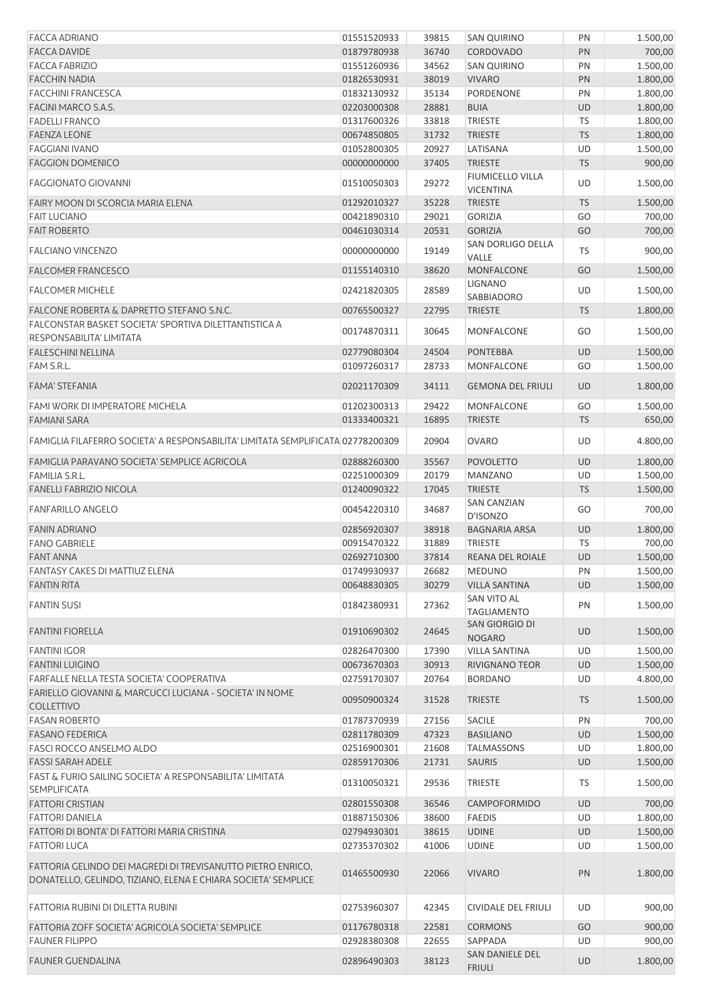| <b>FACCA ADRIANO</b>                                                                                                         | 01551520933 | 39815 | <b>SAN QUIRINO</b>                        | PN        | 1.500,00 |
|------------------------------------------------------------------------------------------------------------------------------|-------------|-------|-------------------------------------------|-----------|----------|
| <b>FACCA DAVIDE</b>                                                                                                          | 01879780938 | 36740 | CORDOVADO                                 | PN        | 700,00   |
| <b>FACCA FABRIZIO</b>                                                                                                        | 01551260936 | 34562 | <b>SAN QUIRINO</b>                        | PN        | 1.500,00 |
| <b>FACCHIN NADIA</b>                                                                                                         | 01826530931 | 38019 | <b>VIVARO</b>                             | PN        | 1.800,00 |
| <b>FACCHINI FRANCESCA</b>                                                                                                    | 01832130932 | 35134 | PORDENONE                                 | PN        | 1.800,00 |
| FACINI MARCO S.A.S.                                                                                                          | 02203000308 | 28881 | <b>BUIA</b>                               | <b>UD</b> | 1.800,00 |
| <b>FADELLI FRANCO</b>                                                                                                        | 01317600326 | 33818 | <b>TRIESTE</b>                            | TS        | 1.800,00 |
| <b>FAENZA LEONE</b>                                                                                                          | 00674850805 | 31732 | <b>TRIESTE</b>                            | <b>TS</b> | 1.800,00 |
| <b>FAGGIANI IVANO</b>                                                                                                        | 01052800305 | 20927 | LATISANA                                  | UD        | 1.500,00 |
| <b>FAGGION DOMENICO</b>                                                                                                      | 00000000000 | 37405 | <b>TRIESTE</b><br><b>FIUMICELLO VILLA</b> | <b>TS</b> | 900,00   |
| <b>FAGGIONATO GIOVANNI</b>                                                                                                   | 01510050303 | 29272 | <b>VICENTINA</b>                          | UD        | 1.500,00 |
| FAIRY MOON DI SCORCIA MARIA ELENA                                                                                            | 01292010327 | 35228 | <b>TRIESTE</b>                            | <b>TS</b> | 1.500,00 |
| <b>FAIT LUCIANO</b>                                                                                                          | 00421890310 | 29021 | <b>GORIZIA</b>                            | GO        | 700,00   |
| <b>FAIT ROBERTO</b>                                                                                                          | 00461030314 | 20531 | <b>GORIZIA</b><br>SAN DORLIGO DELLA       | GO        | 700,00   |
| <b>FALCIANO VINCENZO</b>                                                                                                     | 00000000000 | 19149 | VALLE                                     | TS        | 900,00   |
| <b>FALCOMER FRANCESCO</b>                                                                                                    | 01155140310 | 38620 | <b>MONFALCONE</b><br><b>LIGNANO</b>       | GO        | 1.500,00 |
| <b>FALCOMER MICHELE</b>                                                                                                      | 02421820305 | 28589 | SABBIADORO                                | UD        | 1.500,00 |
| FALCONE ROBERTA & DAPRETTO STEFANO S.N.C.<br>FALCONSTAR BASKET SOCIETA' SPORTIVA DILETTANTISTICA A                           | 00765500327 | 22795 | <b>TRIESTE</b>                            | <b>TS</b> | 1.800,00 |
| RESPONSABILITA' LIMITATA                                                                                                     | 00174870311 | 30645 | MONFALCONE                                | GO        | 1.500,00 |
| <b>FALESCHINI NELLINA</b>                                                                                                    | 02779080304 | 24504 | <b>PONTEBBA</b>                           | <b>UD</b> | 1.500,00 |
| FAM S.R.L.                                                                                                                   | 01097260317 | 28733 | <b>MONFALCONE</b>                         | GO        | 1.500,00 |
| <b>FAMA' STEFANIA</b>                                                                                                        | 02021170309 | 34111 | <b>GEMONA DEL FRIULI</b>                  | <b>UD</b> | 1.800,00 |
| FAMI WORK DI IMPERATORE MICHELA                                                                                              | 01202300313 | 29422 | MONFALCONE                                | GO        | 1.500,00 |
| <b>FAMIANI SARA</b>                                                                                                          | 01333400321 | 16895 | <b>TRIESTE</b>                            | <b>TS</b> | 650,00   |
| FAMIGLIA FILAFERRO SOCIETA' A RESPONSABILITA' LIMITATA SEMPLIFICATA 02778200309                                              |             | 20904 | <b>OVARO</b>                              | UD        | 4.800,00 |
| FAMIGLIA PARAVANO SOCIETA' SEMPLICE AGRICOLA                                                                                 | 02888260300 | 35567 | <b>POVOLETTO</b>                          | UD        | 1.800,00 |
| <b>FAMILIA S.R.L.</b>                                                                                                        | 02251000309 | 20179 | <b>MANZANO</b>                            | UD        | 1.500,00 |
| <b>FANELLI FABRIZIO NICOLA</b>                                                                                               | 01240090322 | 17045 | <b>TRIESTE</b>                            | <b>TS</b> | 1.500,00 |
| <b>FANFARILLO ANGELO</b>                                                                                                     | 00454220310 | 34687 | <b>SAN CANZIAN</b><br>D'ISONZO            | GO        | 700,00   |
| <b>FANIN ADRIANO</b>                                                                                                         | 02856920307 | 38918 | <b>BAGNARIA ARSA</b>                      | UD        | 1.800,00 |
| <b>FANO GABRIELE</b>                                                                                                         | 00915470322 | 31889 | TRIESTE                                   | TS        | 700,00   |
| <b>FANT ANNA</b>                                                                                                             | 02692710300 | 37814 | REANA DEL ROIALE                          | <b>UD</b> | 1.500,00 |
| FANTASY CAKES DI MATTIUZ ELENA                                                                                               | 01749930937 | 26682 | <b>MEDUNO</b>                             | PN        | 1.500,00 |
| <b>FANTIN RITA</b>                                                                                                           | 00648830305 | 30279 | <b>VILLA SANTINA</b>                      | <b>UD</b> | 1.500,00 |
| <b>FANTIN SUSI</b>                                                                                                           | 01842380931 | 27362 | SAN VITO AL<br><b>TAGLIAMENTO</b>         | PN        | 1.500,00 |
| <b>FANTINI FIORELLA</b>                                                                                                      | 01910690302 | 24645 | SAN GIORGIO DI<br><b>NOGARO</b>           | <b>UD</b> | 1.500,00 |
| <b>FANTINI IGOR</b>                                                                                                          | 02826470300 | 17390 | <b>VILLA SANTINA</b>                      | UD        | 1.500,00 |
| <b>FANTINI LUIGINO</b>                                                                                                       | 00673670303 | 30913 | <b>RIVIGNANO TEOR</b>                     | UD        | 1.500,00 |
| FARFALLE NELLA TESTA SOCIETA' COOPERATIVA                                                                                    | 02759170307 | 20764 | <b>BORDANO</b>                            | UD        | 4.800,00 |
| FARIELLO GIOVANNI & MARCUCCI LUCIANA - SOCIETA' IN NOME<br><b>COLLETTIVO</b>                                                 | 00950900324 | 31528 | <b>TRIESTE</b>                            | <b>TS</b> | 1.500,00 |
| <b>FASAN ROBERTO</b>                                                                                                         | 01787370939 | 27156 | <b>SACILE</b>                             | PN        | 700,00   |
| <b>FASANO FEDERICA</b>                                                                                                       | 02811780309 | 47323 | <b>BASILIANO</b>                          | UD        | 1.500,00 |
| <b>FASCI ROCCO ANSELMO ALDO</b>                                                                                              | 02516900301 | 21608 | <b>TALMASSONS</b>                         | UD        | 1.800,00 |
| <b>FASSI SARAH ADELE</b>                                                                                                     | 02859170306 | 21731 | <b>SAURIS</b>                             | <b>UD</b> | 1.500,00 |
| FAST & FURIO SAILING SOCIETA' A RESPONSABILITA' LIMITATA<br><b>SEMPLIFICATA</b>                                              | 01310050321 | 29536 | <b>TRIESTE</b>                            | TS        | 1.500,00 |
| <b>FATTORI CRISTIAN</b>                                                                                                      | 02801550308 | 36546 | CAMPOFORMIDO                              | <b>UD</b> | 700,00   |
| <b>FATTORI DANIELA</b>                                                                                                       | 01887150306 | 38600 | <b>FAEDIS</b>                             | UD        | 1.800,00 |
| FATTORI DI BONTA' DI FATTORI MARIA CRISTINA                                                                                  | 02794930301 | 38615 | <b>UDINE</b>                              | <b>UD</b> | 1.500,00 |
| <b>FATTORI LUCA</b>                                                                                                          | 02735370302 | 41006 | <b>UDINE</b>                              | UD        | 1.500,00 |
| FATTORIA GELINDO DEI MAGREDI DI TREVISANUTTO PIETRO ENRICO,<br>DONATELLO, GELINDO, TIZIANO, ELENA E CHIARA SOCIETA' SEMPLICE | 01465500930 | 22066 | <b>VIVARO</b>                             | PN        | 1.800,00 |
| FATTORIA RUBINI DI DILETTA RUBINI                                                                                            | 02753960307 | 42345 | CIVIDALE DEL FRIULI                       | UD        | 900,00   |
| FATTORIA ZOFF SOCIETA' AGRICOLA SOCIETA' SEMPLICE                                                                            | 01176780318 | 22581 | <b>CORMONS</b>                            | GO        | 900,00   |
| <b>FAUNER FILIPPO</b>                                                                                                        | 02928380308 | 22655 | SAPPADA                                   | UD        | 900,00   |
| <b>FAUNER GUENDALINA</b>                                                                                                     | 02896490303 | 38123 | SAN DANIELE DEL<br><b>FRIULI</b>          | UD        | 1.800,00 |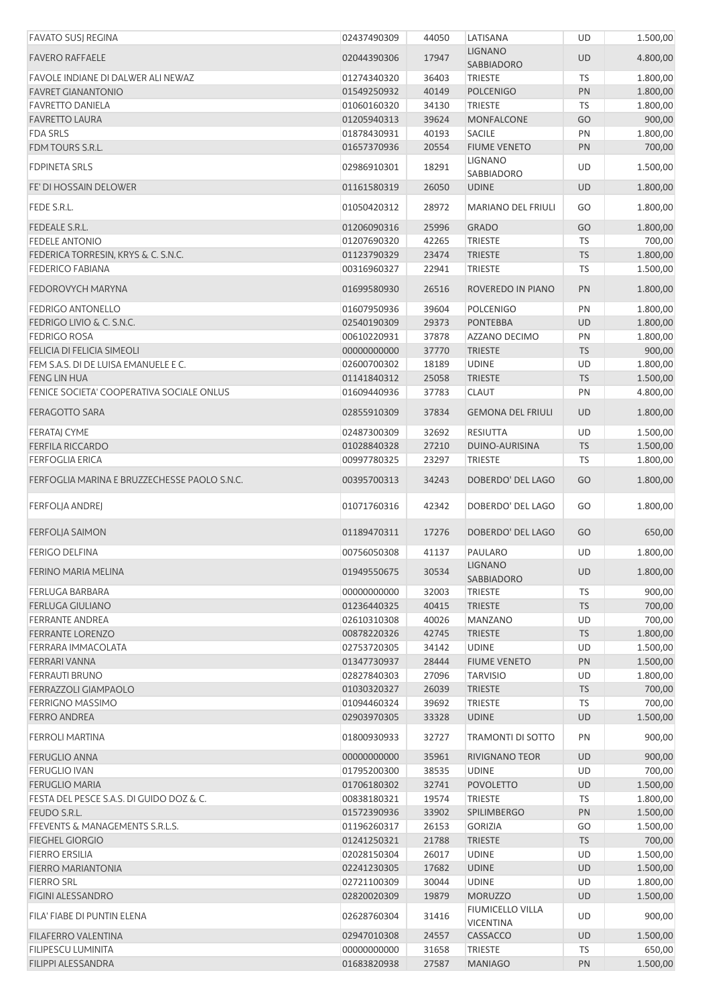| <b>FAVATO SUSJ REGINA</b>                    | 02437490309 | 44050 | LATISANA                             | UD        | 1.500,00 |
|----------------------------------------------|-------------|-------|--------------------------------------|-----------|----------|
| <b>FAVERO RAFFAELE</b>                       | 02044390306 | 17947 | <b>LIGNANO</b><br>SABBIADORO         | UD        | 4.800,00 |
| FAVOLE INDIANE DI DALWER ALI NEWAZ           | 01274340320 | 36403 | <b>TRIESTE</b>                       | <b>TS</b> | 1.800,00 |
| <b>FAVRET GIANANTONIO</b>                    | 01549250932 | 40149 | <b>POLCENIGO</b>                     | PN        | 1.800,00 |
| <b>FAVRETTO DANIELA</b>                      | 01060160320 | 34130 | <b>TRIESTE</b>                       | TS        | 1.800,00 |
| <b>FAVRETTO LAURA</b>                        | 01205940313 | 39624 | <b>MONFALCONE</b>                    | GO        | 900,00   |
| <b>FDA SRLS</b>                              | 01878430931 | 40193 | <b>SACILE</b>                        | PN        | 1.800,00 |
| FDM TOURS S.R.L.                             | 01657370936 | 20554 | <b>FIUME VENETO</b>                  | PN        | 700,00   |
| <b>FDPINETA SRLS</b>                         | 02986910301 | 18291 | <b>LIGNANO</b><br>SABBIADORO         | UD        | 1.500,00 |
| FE' DI HOSSAIN DELOWER                       | 01161580319 | 26050 | <b>UDINE</b>                         | <b>UD</b> | 1.800,00 |
| FEDE S.R.L.                                  | 01050420312 | 28972 | <b>MARIANO DEL FRIULI</b>            | GO        | 1.800,00 |
| FEDEALE S.R.L.                               | 01206090316 | 25996 | <b>GRADO</b>                         | GO        | 1.800,00 |
| <b>FEDELE ANTONIO</b>                        | 01207690320 | 42265 | <b>TRIESTE</b>                       | <b>TS</b> | 700,00   |
| FEDERICA TORRESIN, KRYS & C. S.N.C.          | 01123790329 | 23474 | <b>TRIESTE</b>                       | <b>TS</b> | 1.800,00 |
| <b>FEDERICO FABIANA</b>                      | 00316960327 | 22941 | <b>TRIESTE</b>                       | TS        | 1.500,00 |
| FEDOROVYCH MARYNA                            | 01699580930 | 26516 | ROVEREDO IN PIANO                    | PN        | 1.800,00 |
| <b>FEDRIGO ANTONELLO</b>                     | 01607950936 | 39604 | <b>POLCENIGO</b>                     | PN        | 1.800,00 |
| FEDRIGO LIVIO & C. S.N.C.                    | 02540190309 | 29373 | <b>PONTEBBA</b>                      | <b>UD</b> | 1.800,00 |
| <b>FEDRIGO ROSA</b>                          | 00610220931 | 37878 | AZZANO DECIMO                        | PN        | 1.800,00 |
| FELICIA DI FELICIA SIMEOLI                   | 00000000000 | 37770 | <b>TRIESTE</b>                       | <b>TS</b> | 900,00   |
| FEM S.A.S. DI DE LUISA EMANUELE E C.         | 02600700302 | 18189 | <b>UDINE</b>                         | UD        | 1.800,00 |
| <b>FENG LIN HUA</b>                          | 01141840312 | 25058 | <b>TRIESTE</b>                       | <b>TS</b> | 1.500,00 |
| FENICE SOCIETA' COOPERATIVA SOCIALE ONLUS    | 01609440936 | 37783 | <b>CLAUT</b>                         | PN        | 4.800,00 |
| <b>FERAGOTTO SARA</b>                        | 02855910309 | 37834 | <b>GEMONA DEL FRIULI</b>             | <b>UD</b> | 1.800,00 |
| FERATAJ CYME                                 | 02487300309 | 32692 | RESIUTTA                             | UD        | 1.500,00 |
| <b>FERFILA RICCARDO</b>                      | 01028840328 | 27210 | DUINO-AURISINA                       | <b>TS</b> | 1.500,00 |
|                                              |             |       |                                      |           |          |
| <b>FERFOGLIA ERICA</b>                       | 00997780325 | 23297 | TRIESTE                              | <b>TS</b> | 1.800,00 |
| FERFOGLIA MARINA E BRUZZECHESSE PAOLO S.N.C. | 00395700313 | 34243 | DOBERDO' DEL LAGO                    | GO        | 1.800,00 |
| FERFOLJA ANDREJ                              | 01071760316 | 42342 | DOBERDO' DEL LAGO                    | GO        | 1.800,00 |
| FERFOLJA SAIMON                              | 01189470311 | 17276 | DOBERDO' DEL LAGO                    | GO        | 650,00   |
| <b>FERIGO DELFINA</b>                        | 00756050308 | 41137 | PAULARO                              | UD        | 1.800,00 |
| FERINO MARIA MELINA                          | 01949550675 | 30534 | <b>LIGNANO</b><br>SABBIADORO         | <b>UD</b> | 1.800,00 |
| <b>FERLUGA BARBARA</b>                       | 00000000000 | 32003 | <b>TRIESTE</b>                       | <b>TS</b> | 900,00   |
| <b>FERLUGA GIULIANO</b>                      | 01236440325 | 40415 | <b>TRIESTE</b>                       | <b>TS</b> | 700,00   |
| <b>FERRANTE ANDREA</b>                       | 02610310308 | 40026 | <b>MANZANO</b>                       | UD        | 700,00   |
| <b>FERRANTE LORENZO</b>                      | 00878220326 | 42745 | <b>TRIESTE</b>                       | <b>TS</b> | 1.800,00 |
| FERRARA IMMACOLATA                           | 02753720305 | 34142 | <b>UDINE</b>                         | UD        | 1.500,00 |
| FERRARI VANNA                                | 01347730937 | 28444 | <b>FIUME VENETO</b>                  | PN        | 1.500,00 |
| <b>FERRAUTI BRUNO</b>                        | 02827840303 | 27096 | <b>TARVISIO</b>                      | UD        | 1.800,00 |
| <b>FERRAZZOLI GIAMPAOLO</b>                  | 01030320327 | 26039 | <b>TRIESTE</b>                       | <b>TS</b> | 700,00   |
| <b>FERRIGNO MASSIMO</b>                      | 01094460324 | 39692 | <b>TRIESTE</b>                       | <b>TS</b> | 700,00   |
| <b>FERRO ANDREA</b>                          | 02903970305 | 33328 | <b>UDINE</b>                         | <b>UD</b> | 1.500,00 |
| <b>FERROLI MARTINA</b>                       | 01800930933 | 32727 | TRAMONTI DI SOTTO                    | PN        | 900,00   |
| <b>FERUGLIO ANNA</b>                         | 00000000000 | 35961 | <b>RIVIGNANO TEOR</b>                | UD        | 900,00   |
| <b>FERUGLIO IVAN</b>                         | 01795200300 | 38535 | <b>UDINE</b>                         | UD        | 700,00   |
| <b>FERUGLIO MARIA</b>                        | 01706180302 | 32741 | <b>POVOLETTO</b>                     | <b>UD</b> | 1.500,00 |
| FESTA DEL PESCE S.A.S. DI GUIDO DOZ & C.     | 00838180321 | 19574 | <b>TRIESTE</b>                       | TS        | 1.800,00 |
| FEUDO S.R.L.                                 | 01572390936 | 33902 | SPILIMBERGO                          |           | 1.500,00 |
|                                              |             |       |                                      | PN        |          |
| FFEVENTS & MANAGEMENTS S.R.L.S.              | 01196260317 | 26153 | <b>GORIZIA</b>                       | GO        | 1.500,00 |
| <b>FIEGHEL GIORGIO</b>                       | 01241250321 | 21788 | <b>TRIESTE</b>                       | <b>TS</b> | 700,00   |
| <b>FIERRO ERSILIA</b>                        | 02028150304 | 26017 | <b>UDINE</b>                         | UD        | 1.500,00 |
| FIERRO MARIANTONIA                           | 02241230305 | 17682 | <b>UDINE</b>                         | UD        | 1.500,00 |
| <b>FIERRO SRL</b>                            | 02721100309 | 30044 | <b>UDINE</b>                         | UD        | 1.800,00 |
| <b>FIGINI ALESSANDRO</b>                     | 02820020309 | 19879 | <b>MORUZZO</b>                       | <b>UD</b> | 1.500,00 |
| FILA' FIABE DI PUNTIN ELENA                  | 02628760304 | 31416 | FIUMICELLO VILLA<br><b>VICENTINA</b> | <b>UD</b> | 900,00   |
| <b>FILAFERRO VALENTINA</b>                   | 02947010308 | 24557 | CASSACCO                             | UD        | 1.500,00 |
| FILIPESCU LUMINITA                           | 00000000000 | 31658 | TRIESTE                              | TS        | 650,00   |
| FILIPPI ALESSANDRA                           | 01683820938 | 27587 | <b>MANIAGO</b>                       | PN        | 1.500,00 |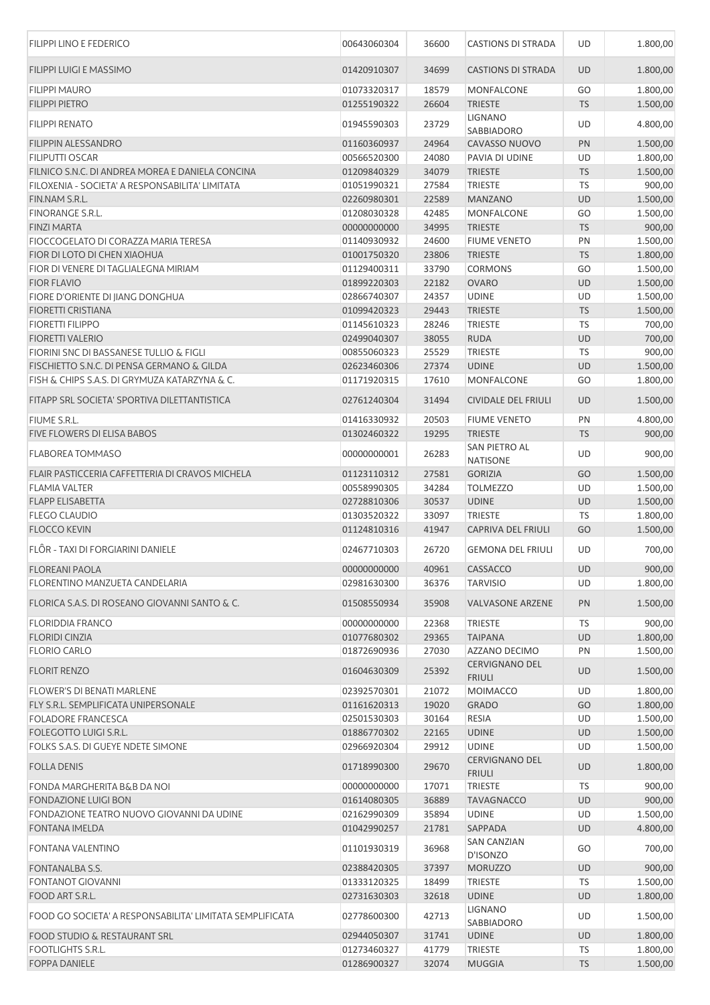| <b>FILIPPI LINO E FEDERICO</b>                           | 00643060304                | 36600          | <b>CASTIONS DI STRADA</b>              | UD              | 1.800,00           |
|----------------------------------------------------------|----------------------------|----------------|----------------------------------------|-----------------|--------------------|
| <b>FILIPPI LUIGI E MASSIMO</b>                           | 01420910307                | 34699          | <b>CASTIONS DI STRADA</b>              | <b>UD</b>       | 1.800,00           |
| <b>FILIPPI MAURO</b>                                     | 01073320317                | 18579          | MONFALCONE                             | GO              | 1.800,00           |
| <b>FILIPPI PIETRO</b>                                    | 01255190322                | 26604          | <b>TRIESTE</b>                         | <b>TS</b>       | 1.500,00           |
| <b>FILIPPI RENATO</b>                                    | 01945590303                | 23729          | <b>LIGNANO</b><br>SABBIADORO           | UD              | 4.800,00           |
| FILIPPIN ALESSANDRO                                      | 01160360937                | 24964          | CAVASSO NUOVO                          | PN              | 1.500,00           |
| <b>FILIPUTTI OSCAR</b>                                   | 00566520300                | 24080          | PAVIA DI UDINE                         | UD              | 1.800,00           |
|                                                          |                            |                |                                        |                 |                    |
| FILNICO S.N.C. DI ANDREA MOREA E DANIELA CONCINA         | 01209840329                | 34079          | <b>TRIESTE</b>                         | <b>TS</b>       | 1.500,00           |
| FILOXENIA - SOCIETA' A RESPONSABILITA' LIMITATA          | 01051990321                | 27584          | <b>TRIESTE</b>                         | TS              | 900,00             |
| FIN.NAM S.R.L.                                           | 02260980301                | 22589          | <b>MANZANO</b>                         | UD              | 1.500,00           |
| FINORANGE S.R.L.                                         | 01208030328                | 42485          | <b>MONFALCONE</b>                      | GO              | 1.500,00           |
| <b>FINZI MARTA</b>                                       | 00000000000                | 34995          | <b>TRIESTE</b>                         | <b>TS</b>       | 900,00             |
| FIOCCOGELATO DI CORAZZA MARIA TERESA                     | 01140930932                | 24600          | <b>FIUME VENETO</b>                    | PN              | 1.500,00           |
| FIOR DI LOTO DI CHEN XIAOHUA                             | 01001750320                | 23806          | <b>TRIESTE</b>                         | <b>TS</b>       | 1.800,00           |
| FIOR DI VENERE DI TAGLIALEGNA MIRIAM                     | 01129400311                | 33790          | <b>CORMONS</b>                         | GO              | 1.500,00           |
| <b>FIOR FLAVIO</b>                                       | 01899220303                | 22182          | <b>OVARO</b>                           | <b>UD</b>       | 1.500,00           |
| FIORE D'ORIENTE DI JIANG DONGHUA                         | 02866740307                | 24357          | <b>UDINE</b>                           | UD              | 1.500,00           |
| <b>FIORETTI CRISTIANA</b>                                | 01099420323                | 29443          | <b>TRIESTE</b>                         | <b>TS</b>       | 1.500,00           |
| <b>FIORETTI FILIPPO</b>                                  | 01145610323                | 28246          | <b>TRIESTE</b>                         | <b>TS</b>       | 700,00             |
| <b>FIORETTI VALERIO</b>                                  | 02499040307                | 38055          | <b>RUDA</b>                            | <b>UD</b>       | 700,00             |
| FIORINI SNC DI BASSANESE TULLIO & FIGLI                  | 00855060323                | 25529          | <b>TRIESTE</b>                         | <b>TS</b>       | 900,00             |
| FISCHIETTO S.N.C. DI PENSA GERMANO & GILDA               | 02623460306                | 27374          | <b>UDINE</b>                           | UD              | 1.500,00           |
| FISH & CHIPS S.A.S. DI GRYMUZA KATARZYNA & C.            | 01171920315                | 17610          | MONFALCONE                             | GO              | 1.800,00           |
| FITAPP SRL SOCIETA' SPORTIVA DILETTANTISTICA             | 02761240304                | 31494          | <b>CIVIDALE DEL FRIULI</b>             | <b>UD</b>       | 1.500,00           |
| FIUME S.R.L.                                             | 01416330932                | 20503          | <b>FIUME VENETO</b>                    | PN              | 4.800,00           |
| FIVE FLOWERS DI ELISA BABOS                              | 01302460322                | 19295          | <b>TRIESTE</b>                         | <b>TS</b>       | 900,00             |
| <b>FLABOREA TOMMASO</b>                                  | 00000000001                | 26283          | SAN PIETRO AL<br><b>NATISONE</b>       | UD              | 900,00             |
| FLAIR PASTICCERIA CAFFETTERIA DI CRAVOS MICHELA          | 01123110312                | 27581          | <b>GORIZIA</b>                         | GO              | 1.500,00           |
| <b>FLAMIA VALTER</b>                                     | 00558990305                | 34284          | <b>TOLMEZZO</b>                        | UD              | 1.500,00           |
| <b>FLAPP ELISABETTA</b>                                  | 02728810306                | 30537          | <b>UDINE</b>                           | <b>UD</b>       | 1.500,00           |
| <b>FLEGO CLAUDIO</b>                                     | 01303520322                | 33097          | <b>TRIESTE</b>                         | TS              | 1.800,00           |
| <b>FLOCCO KEVIN</b>                                      | 01124810316                | 41947          | CAPRIVA DEL FRIULI                     | GO              | 1.500,00           |
| FLÔR - TAXI DI FORGIARINI DANIELE                        | 02467710303                | 26720          | <b>GEMONA DEL FRIULI</b>               | UD              |                    |
|                                                          |                            |                |                                        |                 | 700,00             |
| <b>FLOREANI PAOLA</b>                                    | 00000000000                | 40961          | CASSACCO                               | <b>UD</b>       | 900,00             |
| <b>FLORENTINO MANZUETA CANDELARIA</b>                    | 02981630300                | 36376          | <b>TARVISIO</b>                        | UD              | 1.800,00           |
| FLORICA S.A.S. DI ROSEANO GIOVANNI SANTO & C.            | 01508550934                | 35908          | <b>VALVASONE ARZENE</b>                | PN              | 1.500,00           |
| <b>FLORIDDIA FRANCO</b>                                  | 00000000000                | 22368          | <b>TRIESTE</b>                         | <b>TS</b>       | 900,00             |
| <b>FLORIDI CINZIA</b>                                    | 01077680302                | 29365          | <b>TAIPANA</b>                         | UD              | 1.800,00           |
| <b>FLORIO CARLO</b>                                      | 01872690936                | 27030          | AZZANO DECIMO                          | PN              | 1.500,00           |
| <b>FLORIT RENZO</b>                                      | 01604630309                | 25392          | <b>CERVIGNANO DEL</b><br><b>FRIULI</b> | UD              | 1.500,00           |
| <b>FLOWER'S DI BENATI MARLENE</b>                        | 02392570301                | 21072          | MOIMACCO                               | UD              | 1.800,00           |
| FLY S.R.L. SEMPLIFICATA UNIPERSONALE                     | 01161620313                | 19020          | <b>GRADO</b>                           | GO              | 1.800,00           |
| <b>FOLADORE FRANCESCA</b>                                | 02501530303                | 30164          | <b>RESIA</b>                           | UD              | 1.500,00           |
| FOLEGOTTO LUIGI S.R.L.                                   | 01886770302                | 22165          | <b>UDINE</b>                           | <b>UD</b>       | 1.500,00           |
| FOLKS S.A.S. DI GUEYE NDETE SIMONE                       | 02966920304                | 29912          | <b>UDINE</b>                           | UD              | 1.500,00           |
| <b>FOLLA DENIS</b>                                       | 01718990300                | 29670          | <b>CERVIGNANO DEL</b><br><b>FRIULI</b> | <b>UD</b>       | 1.800,00           |
| FONDA MARGHERITA B&B DA NOI                              | 00000000000                | 17071          | <b>TRIESTE</b>                         | <b>TS</b>       | 900,00             |
| <b>FONDAZIONE LUIGI BON</b>                              | 01614080305                | 36889          | <b>TAVAGNACCO</b>                      | UD              | 900,00             |
|                                                          |                            | 35894          |                                        |                 | 1.500,00           |
| FONDAZIONE TEATRO NUOVO GIOVANNI DA UDINE                | 02162990309                |                | <b>UDINE</b>                           | UD              |                    |
| <b>FONTANA IMELDA</b><br>FONTANA VALENTINO               | 01042990257<br>01101930319 | 21781<br>36968 | SAPPADA<br><b>SAN CANZIAN</b>          | <b>UD</b><br>GO | 4.800,00<br>700,00 |
|                                                          |                            |                | D'ISONZO                               |                 |                    |
| FONTANALBA S.S.                                          | 02388420305                | 37397          | <b>MORUZZO</b>                         | <b>UD</b>       | 900,00             |
| <b>FONTANOT GIOVANNI</b>                                 | 01333120325                | 18499          | <b>TRIESTE</b>                         | TS              | 1.500,00           |
| FOOD ART S.R.L.                                          | 02731630303                | 32618          | <b>UDINE</b>                           | UD              | 1.800,00           |
| FOOD GO SOCIETA' A RESPONSABILITA' LIMITATA SEMPLIFICATA | 02778600300                | 42713          | <b>LIGNANO</b><br>SABBIADORO           | UD              | 1.500,00           |
| FOOD STUDIO & RESTAURANT SRL                             | 02944050307                | 31741          | <b>UDINE</b>                           | UD              | 1.800,00           |
| <b>FOOTLIGHTS S.R.L.</b>                                 | 01273460327                | 41779          | <b>TRIESTE</b>                         | TS              | 1.800,00           |
| <b>FOPPA DANIELE</b>                                     | 01286900327                | 32074          | <b>MUGGIA</b>                          | <b>TS</b>       | 1.500,00           |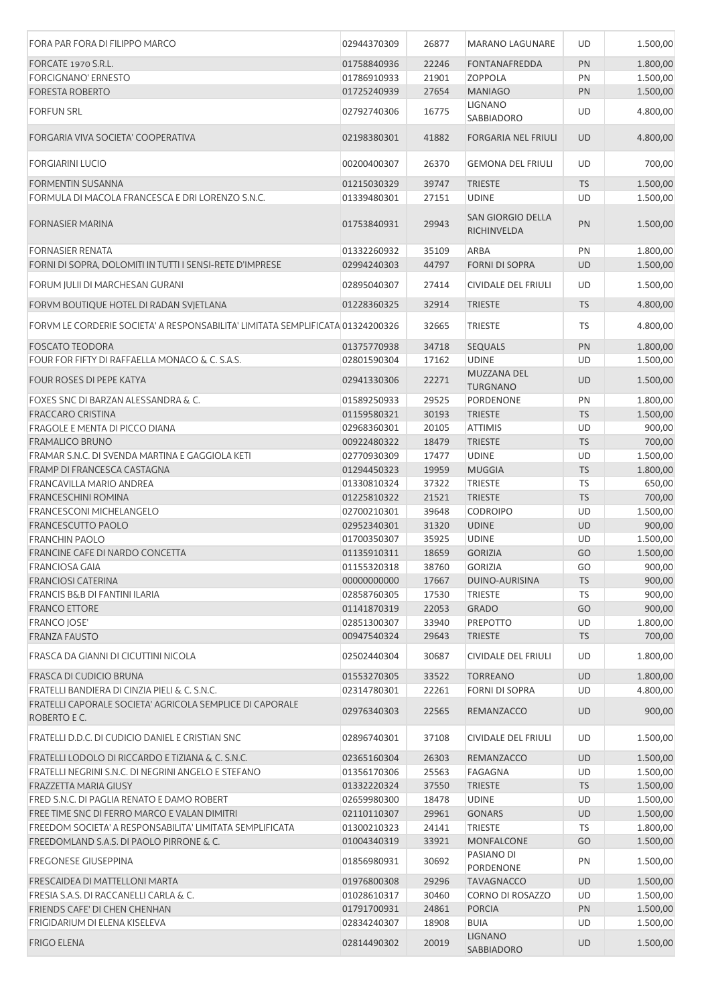| FORA PAR FORA DI FILIPPO MARCO                                                 | 02944370309 | 26877 | <b>MARANO LAGUNARE</b>                  | UD        | 1.500,00 |
|--------------------------------------------------------------------------------|-------------|-------|-----------------------------------------|-----------|----------|
| FORCATE 1970 S.R.L.                                                            | 01758840936 | 22246 | <b>FONTANAFREDDA</b>                    | PN        | 1.800,00 |
| <b>FORCIGNANO' ERNESTO</b>                                                     | 01786910933 | 21901 | <b>ZOPPOLA</b>                          | PN        | 1.500,00 |
| <b>FORESTA ROBERTO</b>                                                         | 01725240939 | 27654 | <b>MANIAGO</b>                          | PN        | 1.500,00 |
| <b>FORFUN SRL</b>                                                              | 02792740306 |       | LIGNANO                                 | UD        | 4.800,00 |
|                                                                                |             | 16775 | SABBIADORO                              |           |          |
| FORGARIA VIVA SOCIETA' COOPERATIVA                                             | 02198380301 | 41882 | <b>FORGARIA NEL FRIULI</b>              | <b>UD</b> | 4.800,00 |
| <b>FORGIARINI LUCIO</b>                                                        | 00200400307 | 26370 | <b>GEMONA DEL FRIULI</b>                | UD        | 700,00   |
| FORMENTIN SUSANNA                                                              | 01215030329 | 39747 | <b>TRIESTE</b>                          | <b>TS</b> | 1.500,00 |
| FORMULA DI MACOLA FRANCESCA E DRI LORENZO S.N.C.                               | 01339480301 | 27151 | <b>UDINE</b>                            | UD        | 1.500,00 |
| <b>FORNASIER MARINA</b>                                                        | 01753840931 | 29943 | <b>SAN GIORGIO DELLA</b><br>RICHINVELDA | PN        | 1.500,00 |
| <b>FORNASIER RENATA</b>                                                        | 01332260932 | 35109 | ARBA                                    | PN        | 1.800,00 |
| FORNI DI SOPRA, DOLOMITI IN TUTTI I SENSI-RETE D'IMPRESE                       | 02994240303 | 44797 | <b>FORNI DI SOPRA</b>                   | <b>UD</b> | 1.500,00 |
| FORUM IULII DI MARCHESAN GURANI                                                | 02895040307 | 27414 | <b>CIVIDALE DEL FRIULI</b>              | UD        | 1.500,00 |
| FORVM BOUTIQUE HOTEL DI RADAN SVJETLANA                                        | 01228360325 | 32914 | <b>TRIESTE</b>                          | <b>TS</b> | 4.800,00 |
| FORVM LE CORDERIE SOCIETA' A RESPONSABILITA' LIMITATA SEMPLIFICATA 01324200326 |             | 32665 | <b>TRIESTE</b>                          | TS        | 4.800,00 |
| <b>FOSCATO TEODORA</b>                                                         | 01375770938 | 34718 | <b>SEQUALS</b>                          | PN        | 1.800,00 |
| FOUR FOR FIFTY DI RAFFAELLA MONACO & C. S.A.S.                                 | 02801590304 | 17162 | <b>UDINE</b>                            | UD        | 1.500,00 |
| <b>FOUR ROSES DI PEPE KATYA</b>                                                | 02941330306 | 22271 | MUZZANA DEL<br><b>TURGNANO</b>          | <b>UD</b> | 1.500,00 |
| FOXES SNC DI BARZAN ALESSANDRA & C.                                            | 01589250933 | 29525 | PORDENONE                               | PN        | 1.800,00 |
| <b>FRACCARO CRISTINA</b>                                                       | 01159580321 | 30193 | <b>TRIESTE</b>                          | <b>TS</b> | 1.500,00 |
| FRAGOLE E MENTA DI PICCO DIANA                                                 | 02968360301 | 20105 | <b>ATTIMIS</b>                          | UD        | 900,00   |
| <b>FRAMALICO BRUNO</b>                                                         | 00922480322 | 18479 | <b>TRIESTE</b>                          | <b>TS</b> | 700,00   |
| FRAMAR S.N.C. DI SVENDA MARTINA E GAGGIOLA KETI                                | 02770930309 | 17477 | <b>UDINE</b>                            | UD        | 1.500,00 |
| FRAMP DI FRANCESCA CASTAGNA                                                    | 01294450323 | 19959 | <b>MUGGIA</b>                           | <b>TS</b> | 1.800,00 |
| FRANCAVILLA MARIO ANDREA                                                       | 01330810324 | 37322 | TRIESTE                                 | <b>TS</b> | 650,00   |
| <b>FRANCESCHINI ROMINA</b>                                                     | 01225810322 | 21521 | <b>TRIESTE</b>                          | <b>TS</b> | 700,00   |
| <b>FRANCESCONI MICHELANGELO</b>                                                | 02700210301 | 39648 | <b>CODROIPO</b>                         | UD        | 1.500,00 |
| <b>FRANCESCUTTO PAOLO</b>                                                      | 02952340301 | 31320 | <b>UDINE</b>                            | UD        | 900,00   |
| <b>FRANCHIN PAOLO</b>                                                          | 01700350307 | 35925 | <b>UDINE</b>                            | UD        | 1.500,00 |
| FRANCINE CAFE DI NARDO CONCETTA                                                | 01135910311 | 18659 | <b>GORIZIA</b>                          | GO        | 1.500,00 |
| <b>FRANCIOSA GAIA</b>                                                          | 01155320318 | 38760 | <b>GORIZIA</b>                          | GO        | 900,00   |
| <b>FRANCIOSI CATERINA</b>                                                      | 00000000000 | 17667 | DUINO-AURISINA                          | <b>TS</b> | 900,00   |
| <b>FRANCIS B&amp;B DI FANTINI ILARIA</b>                                       | 02858760305 | 17530 | <b>TRIESTE</b>                          | <b>TS</b> | 900,00   |
| <b>FRANCO ETTORE</b>                                                           | 01141870319 | 22053 | <b>GRADO</b>                            | GO        | 900,00   |
| <b>FRANCO JOSE'</b>                                                            | 02851300307 | 33940 | PREPOTTO                                | UD        | 1.800,00 |
| <b>FRANZA FAUSTO</b>                                                           | 00947540324 | 29643 | <b>TRIESTE</b>                          | <b>TS</b> | 700,00   |
| FRASCA DA GIANNI DI CICUTTINI NICOLA                                           | 02502440304 | 30687 | CIVIDALE DEL FRIULI                     | UD        | 1.800,00 |
| FRASCA DI CUDICIO BRUNA                                                        | 01553270305 | 33522 | <b>TORREANO</b>                         | <b>UD</b> | 1.800,00 |
| FRATELLI BANDIERA DI CINZIA PIELI & C. S.N.C.                                  | 02314780301 | 22261 | FORNI DI SOPRA                          | UD        | 4.800,00 |
| FRATELLI CAPORALE SOCIETA' AGRICOLA SEMPLICE DI CAPORALE<br>ROBERTO E C.       | 02976340303 | 22565 | REMANZACCO                              | <b>UD</b> | 900,00   |
| FRATELLI D.D.C. DI CUDICIO DANIEL E CRISTIAN SNC                               | 02896740301 | 37108 | CIVIDALE DEL FRIULI                     | UD        | 1.500,00 |
| FRATELLI LODOLO DI RICCARDO E TIZIANA & C. S.N.C.                              | 02365160304 | 26303 | REMANZACCO                              | <b>UD</b> | 1.500,00 |
| FRATELLI NEGRINI S.N.C. DI NEGRINI ANGELO E STEFANO                            | 01356170306 | 25563 | <b>FAGAGNA</b>                          | UD        | 1.500,00 |
| FRAZZETTA MARIA GIUSY                                                          | 01332220324 | 37550 | <b>TRIESTE</b>                          | <b>TS</b> | 1.500,00 |
| FRED S.N.C. DI PAGLIA RENATO E DAMO ROBERT                                     | 02659980300 | 18478 | <b>UDINE</b>                            | UD        | 1.500,00 |
| FREE TIME SNC DI FERRO MARCO E VALAN DIMITRI                                   | 02110110307 | 29961 | <b>GONARS</b>                           | <b>UD</b> | 1.500,00 |
| FREEDOM SOCIETA' A RESPONSABILITA' LIMITATA SEMPLIFICATA                       | 01300210323 | 24141 | TRIESTE                                 | TS        | 1.800,00 |
| FREEDOMLAND S.A.S. DI PAOLO PIRRONE & C.                                       | 01004340319 | 33921 | MONFALCONE                              | GO        | 1.500,00 |
| <b>FREGONESE GIUSEPPINA</b>                                                    | 01856980931 | 30692 | PASIANO DI<br>PORDENONE                 | PN        | 1.500,00 |
| FRESCAIDEA DI MATTELLONI MARTA                                                 | 01976800308 | 29296 | <b>TAVAGNACCO</b>                       | <b>UD</b> | 1.500,00 |
| FRESIA S.A.S. DI RACCANELLI CARLA & C.                                         | 01028610317 | 30460 | CORNO DI ROSAZZO                        | UD        | 1.500,00 |
| FRIENDS CAFE' DI CHEN CHENHAN                                                  | 01791700931 | 24861 | <b>PORCIA</b>                           | PN        | 1.500,00 |
| FRIGIDARIUM DI ELENA KISELEVA                                                  | 02834240307 | 18908 | <b>BUIA</b>                             | UD        | 1.500,00 |
| <b>FRIGO ELENA</b>                                                             | 02814490302 | 20019 | <b>LIGNANO</b><br>SABBIADORO            | <b>UD</b> | 1.500,00 |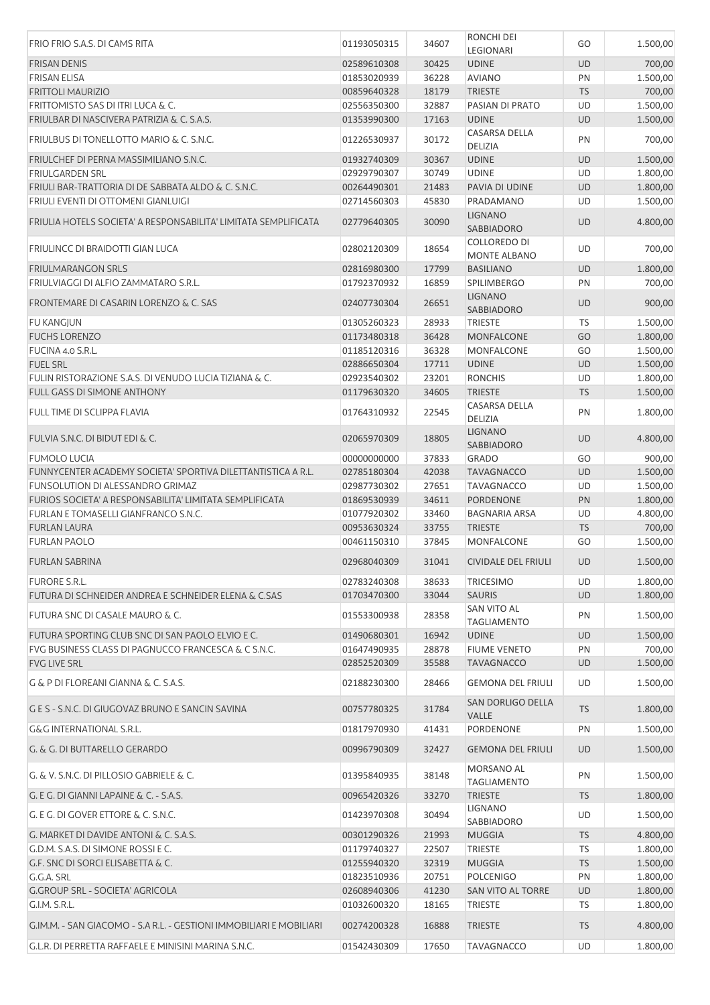| FRIO FRIO S.A.S. DI CAMS RITA                                                                                               | 01193050315                | 34607          | RONCHI DEI<br>LEGIONARI                    | GO              | 1.500,00             |
|-----------------------------------------------------------------------------------------------------------------------------|----------------------------|----------------|--------------------------------------------|-----------------|----------------------|
| <b>FRISAN DENIS</b>                                                                                                         | 02589610308                | 30425          | <b>UDINE</b>                               | UD              | 700,00               |
| <b>FRISAN ELISA</b>                                                                                                         | 01853020939                | 36228          | <b>AVIANO</b>                              | PN              | 1.500,00             |
| <b>FRITTOLI MAURIZIO</b>                                                                                                    | 00859640328                | 18179          | <b>TRIESTE</b>                             | <b>TS</b>       | 700,00               |
| FRITTOMISTO SAS DI ITRI LUCA & C.                                                                                           | 02556350300                | 32887          | PASIAN DI PRATO                            | UD              | 1.500,00             |
| FRIULBAR DI NASCIVERA PATRIZIA & C. S.A.S.                                                                                  | 01353990300                | 17163          | <b>UDINE</b>                               | UD              | 1.500,00             |
| FRIULBUS DI TONELLOTTO MARIO & C. S.N.C.                                                                                    | 01226530937                | 30172          | CASARSA DELLA<br>DELIZIA                   | PN              | 700,00               |
| FRIULCHEF DI PERNA MASSIMILIANO S.N.C.                                                                                      | 01932740309                | 30367          | <b>UDINE</b>                               | <b>UD</b>       | 1.500,00             |
| <b>FRIULGARDEN SRL</b>                                                                                                      | 02929790307                | 30749          | <b>UDINE</b>                               | UD              | 1.800,00             |
| FRIULI BAR-TRATTORIA DI DE SABBATA ALDO & C. S.N.C.                                                                         | 00264490301                | 21483          | PAVIA DI UDINE                             | <b>UD</b>       | 1.800,00             |
| FRIULI EVENTI DI OTTOMENI GIANLUIGI                                                                                         | 02714560303                | 45830          | PRADAMANO                                  | UD              | 1.500,00             |
| FRIULIA HOTELS SOCIETA' A RESPONSABILITA' LIMITATA SEMPLIFICATA                                                             | 02779640305                | 30090          | <b>LIGNANO</b><br>SABBIADORO               | <b>UD</b>       | 4.800,00             |
| <b>FRIULINCC DI BRAIDOTTI GIAN LUCA</b>                                                                                     | 02802120309                | 18654          | <b>COLLOREDO DI</b><br><b>MONTE ALBANO</b> | UD              | 700,00               |
| <b>FRIULMARANGON SRLS</b>                                                                                                   | 02816980300                | 17799          | <b>BASILIANO</b>                           | <b>UD</b>       | 1.800,00             |
| FRIULVIAGGI DI ALFIO ZAMMATARO S.R.L.                                                                                       | 01792370932                | 16859          | <b>SPILIMBERGO</b>                         | PN              | 700,00               |
|                                                                                                                             |                            |                | <b>LIGNANO</b>                             |                 |                      |
| FRONTEMARE DI CASARIN LORENZO & C. SAS                                                                                      | 02407730304                | 26651          | <b>SABBIADORO</b>                          | UD              | 900,00               |
| <b>FU KANGJUN</b>                                                                                                           | 01305260323                | 28933          | <b>TRIESTE</b>                             | TS              | 1.500,00             |
| <b>FUCHS LORENZO</b>                                                                                                        | 01173480318                | 36428          | <b>MONFALCONE</b>                          | GO              | 1.800,00             |
| FUCINA 4.0 S.R.L.                                                                                                           | 01185120316                | 36328          | <b>MONFALCONE</b>                          | GO              | 1.500,00             |
| <b>FUEL SRL</b>                                                                                                             | 02886650304                | 17711          | <b>UDINE</b>                               | <b>UD</b>       | 1.500,00             |
| FULIN RISTORAZIONE S.A.S. DI VENUDO LUCIA TIZIANA & C.                                                                      | 02923540302                | 23201          | <b>RONCHIS</b>                             | UD              | 1.800,00             |
| FULL GASS DI SIMONE ANTHONY                                                                                                 | 01179630320                | 34605          | <b>TRIESTE</b>                             | <b>TS</b>       | 1.500,00             |
| FULL TIME DI SCLIPPA FLAVIA                                                                                                 | 01764310932                | 22545          | CASARSA DELLA<br>DELIZIA                   | PN              | 1.800,00             |
| FULVIA S.N.C. DI BIDUT EDI & C.                                                                                             | 02065970309                | 18805          | <b>LIGNANO</b><br><b>SABBIADORO</b>        | UD              | 4.800,00             |
| <b>FUMOLO LUCIA</b>                                                                                                         | 00000000000                | 37833          | <b>GRADO</b>                               | GO              | 900,00               |
| FUNNYCENTER ACADEMY SOCIETA' SPORTIVA DILETTANTISTICA A R.L.                                                                | 02785180304                | 42038          | <b>TAVAGNACCO</b>                          | UD              | 1.500,00             |
| FUNSOLUTION DI ALESSANDRO GRIMAZ                                                                                            | 02987730302                | 27651          | <b>TAVAGNACCO</b>                          | UD              | 1.500,00             |
| FURIOS SOCIETA' A RESPONSABILITA' LIMITATA SEMPLIFICATA                                                                     | 01869530939                | 34611          | PORDENONE                                  | PN              | 1.800,00             |
| FURLAN E TOMASELLI GIANFRANCO S.N.C.                                                                                        | 01077920302                | 33460          | <b>BAGNARIA ARSA</b>                       | UD              | 4.800,00             |
| <b>FURLAN LAURA</b>                                                                                                         | 00953630324                | 33755          | <b>TRIESTE</b>                             | <b>TS</b>       | 700,00               |
| <b>FURLAN PAOLO</b>                                                                                                         | 00461150310                | 37845          | MONFALCONE                                 | GO              | 1.500,00             |
| <b>FURLAN SABRINA</b>                                                                                                       | 02968040309                | 31041          | CIVIDALE DEL FRIULI                        | <b>UD</b>       | 1.500,00             |
| <b>FURORE S.R.L.</b>                                                                                                        | 02783240308                | 38633          | <b>TRICESIMO</b>                           | UD              | 1.800,00             |
| FUTURA DI SCHNEIDER ANDREA E SCHNEIDER ELENA & C.SAS                                                                        | 01703470300                | 33044          | <b>SAURIS</b>                              | <b>UD</b>       | 1.800,00             |
| FUTURA SNC DI CASALE MAURO & C.                                                                                             | 01553300938                | 28358          | <b>SAN VITO AL</b><br><b>TAGLIAMENTO</b>   | PN              | 1.500,00             |
| FUTURA SPORTING CLUB SNC DI SAN PAOLO ELVIO E C.                                                                            | 01490680301                | 16942          | <b>UDINE</b>                               | <b>UD</b>       | 1.500,00             |
| FVG BUSINESS CLASS DI PAGNUCCO FRANCESCA & C S.N.C.                                                                         | 01647490935                | 28878          | <b>FIUME VENETO</b>                        | PN              | 700,00               |
| <b>FVG LIVE SRL</b>                                                                                                         | 02852520309                | 35588          | <b>TAVAGNACCO</b>                          | <b>UD</b>       | 1.500,00             |
| G & P DI FLOREANI GIANNA & C. S.A.S.                                                                                        | 02188230300                | 28466          | <b>GEMONA DEL FRIULI</b>                   | UD              | 1.500,00             |
| G E S - S.N.C. DI GIUGOVAZ BRUNO E SANCIN SAVINA                                                                            | 00757780325                | 31784          | SAN DORLIGO DELLA<br><b>VALLE</b>          | <b>TS</b>       | 1.800,00             |
| <b>G&amp;G INTERNATIONAL S.R.L.</b>                                                                                         | 01817970930                | 41431          | PORDENONE                                  | PN              | 1.500,00             |
| G. & G. DI BUTTARELLO GERARDO                                                                                               | 00996790309                | 32427          | <b>GEMONA DEL FRIULI</b>                   | <b>UD</b>       | 1.500,00             |
| G. & V. S.N.C. DI PILLOSIO GABRIELE & C.                                                                                    | 01395840935                | 38148          | MORSANO AL<br><b>TAGLIAMENTO</b>           | PN              | 1.500,00             |
| G. E G. DI GIANNI LAPAINE & C. - S.A.S.                                                                                     | 00965420326                | 33270          | <b>TRIESTE</b>                             | <b>TS</b>       | 1.800,00             |
| G. E G. DI GOVER ETTORE & C. S.N.C.                                                                                         | 01423970308                | 30494          | <b>LIGNANO</b><br>SABBIADORO               | UD              | 1.500,00             |
| G. MARKET DI DAVIDE ANTONI & C. S.A.S.                                                                                      | 00301290326                | 21993          | <b>MUGGIA</b>                              | <b>TS</b>       | 4.800,00             |
| G.D.M. S.A.S. DI SIMONE ROSSI E C.                                                                                          | 01179740327                | 22507          | <b>TRIESTE</b>                             | TS              | 1.800,00             |
| G.F. SNC DI SORCI ELISABETTA & C.                                                                                           | 01255940320                | 32319          | <b>MUGGIA</b>                              | <b>TS</b>       | 1.500,00             |
| G.G.A. SRL                                                                                                                  | 01823510936                | 20751          | <b>POLCENIGO</b>                           | PN              | 1.800,00             |
| G.GROUP SRL - SOCIETA' AGRICOLA                                                                                             | 02608940306                | 41230          | SAN VITO AL TORRE                          | UD              | 1.800,00             |
| G.I.M. S.R.L.                                                                                                               | 01032600320                | 18165          | <b>TRIESTE</b>                             | TS              | 1.800,00             |
|                                                                                                                             |                            |                |                                            |                 |                      |
| G.IM.M. - SAN GIACOMO - S.A R.L. - GESTIONI IMMOBILIARI E MOBILIARI<br>G.L.R. DI PERRETTA RAFFAELE E MINISINI MARINA S.N.C. | 00274200328<br>01542430309 | 16888<br>17650 | <b>TRIESTE</b><br><b>TAVAGNACCO</b>        | <b>TS</b><br>UD | 4.800,00<br>1.800,00 |
|                                                                                                                             |                            |                |                                            |                 |                      |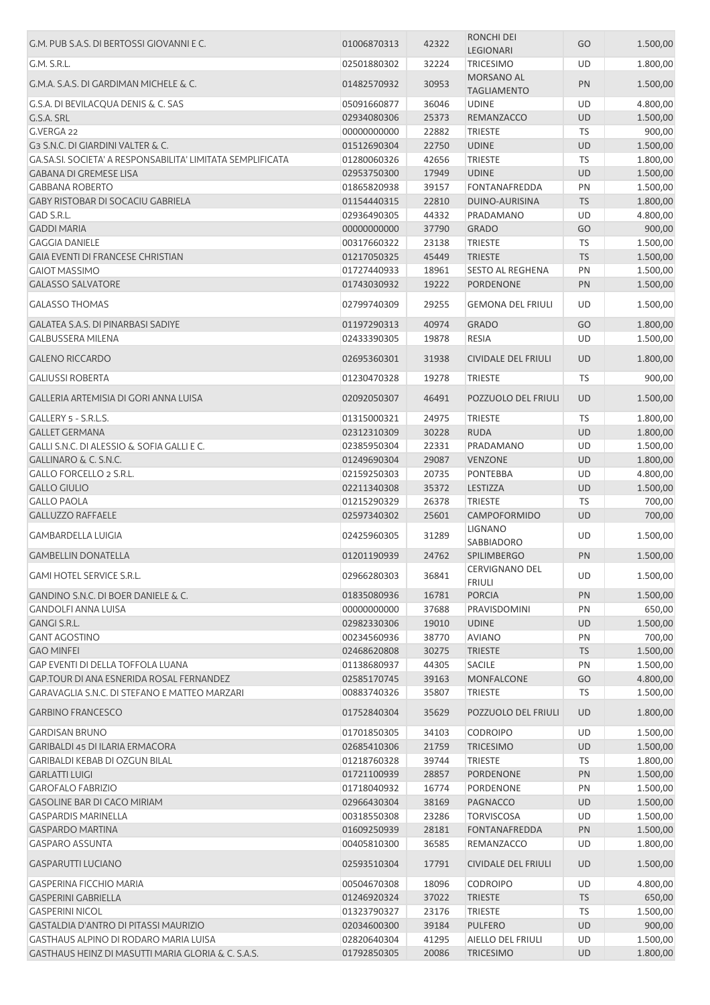| G.M. PUB S.A.S. DI BERTOSSI GIOVANNI E C.                  | 01006870313                | 42322 | RONCHI DEI<br>LEGIONARI                 | GO        | 1.500,00 |
|------------------------------------------------------------|----------------------------|-------|-----------------------------------------|-----------|----------|
| G.M. S.R.L.                                                | 02501880302                | 32224 | <b>TRICESIMO</b>                        | UD        | 1.800,00 |
| G.M.A. S.A.S. DI GARDIMAN MICHELE & C.                     | 01482570932                | 30953 | <b>MORSANO AL</b><br><b>TAGLIAMENTO</b> | PN        | 1.500,00 |
| G.S.A. DI BEVILACQUA DENIS & C. SAS                        | 05091660877                | 36046 | <b>UDINE</b>                            | UD        | 4.800,00 |
| G.S.A. SRL                                                 | 02934080306                | 25373 | REMANZACCO                              | <b>UD</b> | 1.500,00 |
| G.VERGA 22                                                 | 00000000000                | 22882 | <b>TRIESTE</b>                          | <b>TS</b> | 900,00   |
| G3 S.N.C. DI GIARDINI VALTER & C.                          | 01512690304                | 22750 | <b>UDINE</b>                            | <b>UD</b> | 1.500,00 |
| GA.SA.SI. SOCIETA' A RESPONSABILITA' LIMITATA SEMPLIFICATA | 01280060326                | 42656 | <b>TRIESTE</b>                          | TS        | 1.800,00 |
| <b>GABANA DI GREMESE LISA</b>                              |                            | 17949 | <b>UDINE</b>                            | <b>UD</b> |          |
| <b>GABBANA ROBERTO</b>                                     | 02953750300<br>01865820938 | 39157 | <b>FONTANAFREDDA</b>                    | PN        | 1.500,00 |
|                                                            |                            |       |                                         |           | 1.500,00 |
| GABY RISTOBAR DI SOCACIU GABRIELA                          | 01154440315                | 22810 | DUINO-AURISINA                          | <b>TS</b> | 1.800,00 |
| GAD S.R.L.                                                 | 02936490305                | 44332 | PRADAMANO                               | UD        | 4.800,00 |
| <b>GADDI MARIA</b>                                         | 00000000000                | 37790 | <b>GRADO</b>                            | GO        | 900,00   |
| <b>GAGGIA DANIELE</b>                                      | 00317660322                | 23138 | <b>TRIESTE</b>                          | <b>TS</b> | 1.500,00 |
| <b>GAIA EVENTI DI FRANCESE CHRISTIAN</b>                   | 01217050325                | 45449 | <b>TRIESTE</b>                          | <b>TS</b> | 1.500,00 |
| <b>GAIOT MASSIMO</b>                                       | 01727440933                | 18961 | <b>SESTO AL REGHENA</b>                 | PN        | 1.500,00 |
| <b>GALASSO SALVATORE</b>                                   | 01743030932                | 19222 | PORDENONE                               | PN        | 1.500,00 |
| <b>GALASSO THOMAS</b>                                      | 02799740309                | 29255 | <b>GEMONA DEL FRIULI</b>                | UD        | 1.500,00 |
| <b>GALATEA S.A.S. DI PINARBASI SADIYE</b>                  | 01197290313                | 40974 | <b>GRADO</b>                            | GO        | 1.800,00 |
| <b>GALBUSSERA MILENA</b>                                   | 02433390305                | 19878 | <b>RESIA</b>                            | UD        | 1.500,00 |
| <b>GALENO RICCARDO</b>                                     | 02695360301                | 31938 | <b>CIVIDALE DEL FRIULI</b>              | <b>UD</b> | 1.800,00 |
| <b>GALIUSSI ROBERTA</b>                                    | 01230470328                | 19278 | <b>TRIESTE</b>                          | <b>TS</b> | 900,00   |
| GALLERIA ARTEMISIA DI GORI ANNA LUISA                      | 02092050307                | 46491 | POZZUOLO DEL FRIULI                     | <b>UD</b> | 1.500,00 |
| GALLERY 5 - S.R.L.S.                                       | 01315000321                | 24975 | <b>TRIESTE</b>                          | <b>TS</b> | 1.800,00 |
| <b>GALLET GERMANA</b>                                      | 02312310309                | 30228 | <b>RUDA</b>                             | <b>UD</b> | 1.800,00 |
| GALLI S.N.C. DI ALESSIO & SOFIA GALLI E C.                 | 02385950304                | 22331 | PRADAMANO                               | UD        | 1.500,00 |
| GALLINARO & C. S.N.C.                                      | 01249690304                | 29087 | <b>VENZONE</b>                          | <b>UD</b> | 1.800,00 |
| GALLO FORCELLO 2 S.R.L.                                    | 02159250303                | 20735 | <b>PONTEBBA</b>                         | UD        | 4.800,00 |
| <b>GALLO GIULIO</b>                                        | 02211340308                | 35372 | LESTIZZA                                | UD        | 1.500,00 |
| <b>GALLO PAOLA</b>                                         | 01215290329                | 26378 | <b>TRIESTE</b>                          | <b>TS</b> | 700,00   |
| <b>GALLUZZO RAFFAELE</b>                                   | 02597340302                | 25601 | CAMPOFORMIDO                            | UD        | 700,00   |
|                                                            |                            |       | <b>LIGNANO</b>                          |           |          |
| <b>GAMBARDELLA LUIGIA</b>                                  | 02425960305                | 31289 | SABBIADORO                              | UD        | 1.500,00 |
| <b>GAMBELLIN DONATELLA</b>                                 | 01201190939                | 24762 | <b>SPILIMBERGO</b>                      | PN        | 1.500,00 |
| <b>GAMI HOTEL SERVICE S.R.L.</b>                           | 02966280303                | 36841 | CERVIGNANO DEL<br><b>FRIULI</b>         | UD        | 1.500,00 |
| GANDINO S.N.C. DI BOER DANIELE & C.                        | 01835080936                | 16781 | <b>PORCIA</b>                           | PN        | 1.500,00 |
| <b>GANDOLFI ANNA LUISA</b>                                 | 00000000000                | 37688 | PRAVISDOMINI                            | PN        | 650,00   |
| <b>GANGI S.R.L.</b>                                        | 02982330306                | 19010 | <b>UDINE</b>                            | UD        | 1.500,00 |
| <b>GANT AGOSTINO</b>                                       | 00234560936                | 38770 | <b>AVIANO</b>                           | PN        | 700,00   |
| <b>GAO MINFEI</b>                                          | 02468620808                | 30275 | <b>TRIESTE</b>                          | <b>TS</b> | 1.500,00 |
| <b>GAP EVENTI DI DELLA TOFFOLA LUANA</b>                   | 01138680937                | 44305 | <b>SACILE</b>                           | PN        | 1.500,00 |
| GAP.TOUR DI ANA ESNERIDA ROSAL FERNANDEZ                   | 02585170745                | 39163 | <b>MONFALCONE</b>                       | GO        | 4.800,00 |
| GARAVAGLIA S.N.C. DI STEFANO E MATTEO MARZARI              | 00883740326                | 35807 | <b>TRIESTE</b>                          | TS        | 1.500,00 |
| <b>GARBINO FRANCESCO</b>                                   | 01752840304                | 35629 | POZZUOLO DEL FRIULI                     | <b>UD</b> | 1.800,00 |
| <b>GARDISAN BRUNO</b>                                      | 01701850305                | 34103 | <b>CODROIPO</b>                         | UD        | 1.500,00 |
| <b>GARIBALDI 45 DI ILARIA ERMACORA</b>                     | 02685410306                | 21759 | <b>TRICESIMO</b>                        | UD        | 1.500,00 |
| <b>GARIBALDI KEBAB DI OZGUN BILAL</b>                      | 01218760328                | 39744 | <b>TRIESTE</b>                          | TS        | 1.800,00 |
| <b>GARLATTI LUIGI</b>                                      | 01721100939                | 28857 | PORDENONE                               | PN        | 1.500,00 |
| <b>GAROFALO FABRIZIO</b>                                   | 01718040932                | 16774 | PORDENONE                               | PN        | 1.500,00 |
| GASOLINE BAR DI CACO MIRIAM                                | 02966430304                | 38169 | PAGNACCO                                | UD        | 1.500,00 |
| <b>GASPARDIS MARINELLA</b>                                 | 00318550308                | 23286 | <b>TORVISCOSA</b>                       | UD        | 1.500,00 |
| <b>GASPARDO MARTINA</b>                                    | 01609250939                | 28181 | <b>FONTANAFREDDA</b>                    | PN        | 1.500,00 |
| <b>GASPARO ASSUNTA</b>                                     | 00405810300                | 36585 | REMANZACCO                              | UD        | 1.800,00 |
| <b>GASPARUTTI LUCIANO</b>                                  | 02593510304                | 17791 | <b>CIVIDALE DEL FRIULI</b>              | <b>UD</b> | 1.500,00 |
| GASPERINA FICCHIO MARIA                                    | 00504670308                | 18096 | <b>CODROIPO</b>                         | UD        | 4.800,00 |
| <b>GASPERINI GABRIELLA</b>                                 | 01246920324                | 37022 | <b>TRIESTE</b>                          | <b>TS</b> | 650,00   |
| <b>GASPERINI NICOL</b>                                     | 01323790327                | 23176 | <b>TRIESTE</b>                          | TS        | 1.500,00 |
| GASTALDIA D'ANTRO DI PITASSI MAURIZIO                      | 02034600300                | 39184 | <b>PULFERO</b>                          | <b>UD</b> | 900,00   |
| GASTHAUS ALPINO DI RODARO MARIA LUISA                      | 02820640304                | 41295 | AIELLO DEL FRIULI                       | UD        | 1.500,00 |
| GASTHAUS HEINZ DI MASUTTI MARIA GLORIA & C. S.A.S.         | 01792850305                | 20086 | TRICESIMO                               | UD        | 1.800,00 |
|                                                            |                            |       |                                         |           |          |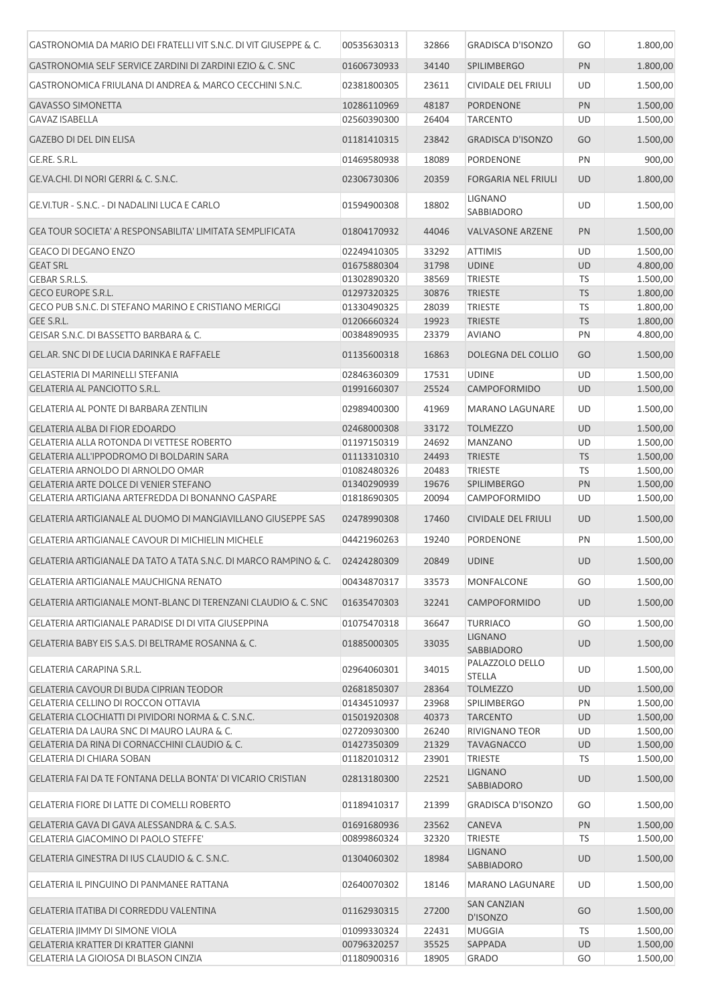| GASTRONOMIA DA MARIO DEI FRATELLI VIT S.N.C. DI VIT GIUSEPPE & C. | 00535630313 | 32866 | <b>GRADISCA D'ISONZO</b>                     | GO        | 1.800,00 |
|-------------------------------------------------------------------|-------------|-------|----------------------------------------------|-----------|----------|
| GASTRONOMIA SELF SERVICE ZARDINI DI ZARDINI EZIO & C. SNC         | 01606730933 | 34140 | <b>SPILIMBERGO</b>                           | PN        | 1.800,00 |
| GASTRONOMICA FRIULANA DI ANDREA & MARCO CECCHINI S.N.C.           | 02381800305 | 23611 | CIVIDALE DEL FRIULI                          | UD        | 1.500,00 |
| <b>GAVASSO SIMONETTA</b>                                          | 10286110969 | 48187 | <b>PORDENONE</b>                             | PN        | 1.500,00 |
| <b>GAVAZ ISABELLA</b>                                             | 02560390300 | 26404 | <b>TARCENTO</b>                              | UD        | 1.500,00 |
| <b>GAZEBO DI DEL DIN ELISA</b>                                    | 01181410315 | 23842 | <b>GRADISCA D'ISONZO</b>                     | GO        | 1.500,00 |
| GE.RE. S.R.L.                                                     | 01469580938 | 18089 | PORDENONE                                    | PN        | 900,00   |
| GE.VA.CHI. DI NORI GERRI & C. S.N.C.                              | 02306730306 | 20359 | <b>FORGARIA NEL FRIULI</b>                   | <b>UD</b> | 1.800,00 |
|                                                                   |             |       |                                              |           |          |
| GE.VI.TUR - S.N.C. - DI NADALINI LUCA E CARLO                     | 01594900308 | 18802 | <b>LIGNANO</b><br>SABBIADORO                 | UD        | 1.500,00 |
| GEA TOUR SOCIETA' A RESPONSABILITA' LIMITATA SEMPLIFICATA         | 01804170932 | 44046 | <b>VALVASONE ARZENE</b>                      | PN        | 1.500,00 |
| <b>GEACO DI DEGANO ENZO</b>                                       | 02249410305 | 33292 | <b>ATTIMIS</b>                               | UD        | 1.500,00 |
| <b>GEAT SRL</b>                                                   | 01675880304 | 31798 | <b>UDINE</b>                                 | UD        | 4.800,00 |
| GEBAR S.R.L.S.                                                    | 01302890320 | 38569 | <b>TRIESTE</b>                               | <b>TS</b> | 1.500,00 |
| <b>GECO EUROPE S.R.L.</b>                                         | 01297320325 | 30876 | <b>TRIESTE</b>                               | <b>TS</b> | 1.800,00 |
| GECO PUB S.N.C. DI STEFANO MARINO E CRISTIANO MERIGGI             | 01330490325 | 28039 | <b>TRIESTE</b>                               | TS        | 1.800,00 |
| GEE S.R.L.                                                        | 01206660324 | 19923 | <b>TRIESTE</b>                               | <b>TS</b> | 1.800,00 |
| GEISAR S.N.C. DI BASSETTO BARBARA & C.                            | 00384890935 | 23379 | <b>AVIANO</b>                                | PN        | 4.800,00 |
|                                                                   |             |       |                                              |           |          |
| GELAR. SNC DI DE LUCIA DARINKA E RAFFAELE                         | 01135600318 | 16863 | DOLEGNA DEL COLLIO                           | GO        | 1.500,00 |
| GELASTERIA DI MARINELLI STEFANIA                                  | 02846360309 | 17531 | <b>UDINE</b>                                 | UD        | 1.500,00 |
| GELATERIA AL PANCIOTTO S.R.L.                                     | 01991660307 | 25524 | CAMPOFORMIDO                                 | <b>UD</b> | 1.500,00 |
| GELATERIA AL PONTE DI BARBARA ZENTILIN                            | 02989400300 | 41969 | MARANO LAGUNARE                              | UD        | 1.500,00 |
| <b>GELATERIA ALBA DI FIOR EDOARDO</b>                             | 02468000308 | 33172 | <b>TOLMEZZO</b>                              | UD        | 1.500,00 |
| <b>GELATERIA ALLA ROTONDA DI VETTESE ROBERTO</b>                  | 01197150319 | 24692 | <b>MANZANO</b>                               | UD        | 1.500,00 |
| GELATERIA ALL'IPPODROMO DI BOLDARIN SARA                          | 01113310310 | 24493 | <b>TRIESTE</b>                               | <b>TS</b> | 1.500,00 |
| GELATERIA ARNOLDO DI ARNOLDO OMAR                                 | 01082480326 | 20483 | <b>TRIESTE</b>                               | <b>TS</b> | 1.500,00 |
| <b>GELATERIA ARTE DOLCE DI VENIER STEFANO</b>                     | 01340290939 | 19676 | <b>SPILIMBERGO</b>                           | PN        | 1.500,00 |
| GELATERIA ARTIGIANA ARTEFREDDA DI BONANNO GASPARE                 | 01818690305 | 20094 | CAMPOFORMIDO                                 | UD        | 1.500,00 |
| GELATERIA ARTIGIANALE AL DUOMO DI MANGIAVILLANO GIUSEPPE SAS      | 02478990308 | 17460 | <b>CIVIDALE DEL FRIULI</b>                   | <b>UD</b> | 1.500,00 |
| <b>GELATERIA ARTIGIANALE CAVOUR DI MICHIELIN MICHELE</b>          | 04421960263 | 19240 | <b>PORDENONE</b>                             | PN        | 1.500,00 |
| GELATERIA ARTIGIANALE DA TATO A TATA S.N.C. DI MARCO RAMPINO & C. | 02424280309 | 20849 | <b>UDINE</b>                                 | <b>UD</b> | 1.500,00 |
| GELATERIA ARTIGIANALE MAUCHIGNA RENATO                            | 00434870317 | 33573 | MONFALCONE                                   | GO        | 1.500,00 |
| GELATERIA ARTIGIANALE MONT-BLANC DI TERENZANI CLAUDIO & C. SNC    | 01635470303 | 32241 | <b>CAMPOFORMIDO</b>                          | <b>UD</b> | 1.500,00 |
| GELATERIA ARTIGIANALE PARADISE DI DI VITA GIUSEPPINA              | 01075470318 | 36647 | <b>TURRIACO</b>                              | GO        | 1.500,00 |
| GELATERIA BABY EIS S.A.S. DI BELTRAME ROSANNA & C.                | 01885000305 | 33035 | <b>LIGNANO</b><br>SABBIADORO                 | UD        | 1.500,00 |
| GELATERIA CARAPINA S.R.L.                                         | 02964060301 | 34015 | PALAZZOLO DELLO<br><b>STELLA</b>             | UD        | 1.500,00 |
| GELATERIA CAVOUR DI BUDA CIPRIAN TEODOR                           | 02681850307 | 28364 | <b>TOLMEZZO</b>                              | UD        | 1.500,00 |
| <b>GELATERIA CELLINO DI ROCCON OTTAVIA</b>                        | 01434510937 | 23968 | <b>SPILIMBERGO</b>                           | PN        | 1.500,00 |
| GELATERIA CLOCHIATTI DI PIVIDORI NORMA & C. S.N.C.                | 01501920308 | 40373 | <b>TARCENTO</b>                              | <b>UD</b> | 1.500,00 |
| GELATERIA DA LAURA SNC DI MAURO LAURA & C.                        | 02720930300 | 26240 | RIVIGNANO TEOR                               | UD        | 1.500,00 |
| GELATERIA DA RINA DI CORNACCHINI CLAUDIO & C.                     | 01427350309 | 21329 | <b>TAVAGNACCO</b>                            | UD        | 1.500,00 |
| <b>GELATERIA DI CHIARA SOBAN</b>                                  | 01182010312 | 23901 | <b>TRIESTE</b>                               | <b>TS</b> | 1.500,00 |
| GELATERIA FAI DA TE FONTANA DELLA BONTA' DI VICARIO CRISTIAN      | 02813180300 | 22521 | <b>LIGNANO</b><br>SABBIADORO                 | UD        | 1.500,00 |
| <b>GELATERIA FIORE DI LATTE DI COMELLI ROBERTO</b>                | 01189410317 | 21399 | <b>GRADISCA D'ISONZO</b>                     | GO        | 1.500,00 |
| GELATERIA GAVA DI GAVA ALESSANDRA & C. S.A.S.                     | 01691680936 | 23562 | <b>CANEVA</b>                                | PN        | 1.500,00 |
| <b>GELATERIA GIACOMINO DI PAOLO STEFFE'</b>                       | 00899860324 | 32320 | <b>TRIESTE</b>                               | TS        | 1.500,00 |
|                                                                   |             |       | <b>LIGNANO</b>                               |           |          |
| GELATERIA GINESTRA DI IUS CLAUDIO & C. S.N.C.                     | 01304060302 | 18984 | SABBIADORO                                   | <b>UD</b> | 1.500,00 |
| <b>GELATERIA IL PINGUINO DI PANMANEE RATTANA</b>                  | 02640070302 | 18146 | <b>MARANO LAGUNARE</b><br><b>SAN CANZIAN</b> | UD        | 1.500,00 |
| GELATERIA ITATIBA DI CORREDDU VALENTINA                           | 01162930315 | 27200 | D'ISONZO                                     | GO        | 1.500,00 |
| <b>GELATERIA JIMMY DI SIMONE VIOLA</b>                            | 01099330324 | 22431 | <b>MUGGIA</b>                                | <b>TS</b> | 1.500,00 |
| <b>GELATERIA KRATTER DI KRATTER GIANNI</b>                        | 00796320257 | 35525 | SAPPADA                                      | UD        | 1.500,00 |
| GELATERIA LA GIOIOSA DI BLASON CINZIA                             | 01180900316 | 18905 | <b>GRADO</b>                                 | GO        | 1.500,00 |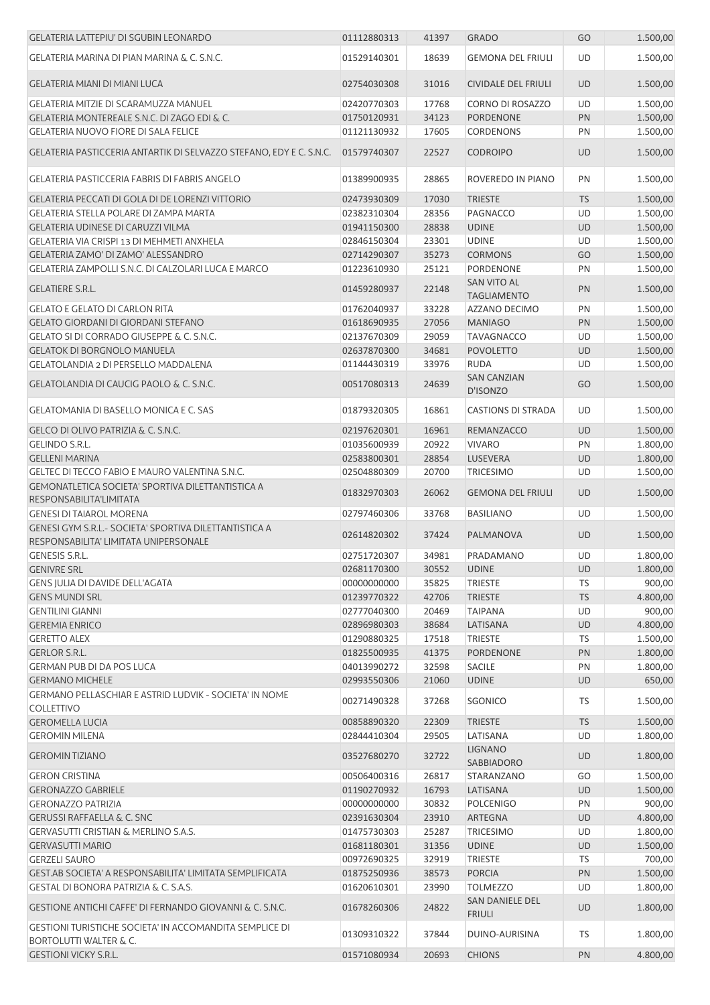| <b>GELATERIA LATTEPIU' DI SGUBIN LEONARDO</b>                                                       | 01112880313 | 41397 | <b>GRADO</b>                        | GO        | 1.500,00 |
|-----------------------------------------------------------------------------------------------------|-------------|-------|-------------------------------------|-----------|----------|
| GELATERIA MARINA DI PIAN MARINA & C. S.N.C.                                                         | 01529140301 | 18639 | <b>GEMONA DEL FRIULI</b>            | <b>UD</b> | 1.500,00 |
| <b>GELATERIA MIANI DI MIANI LUCA</b>                                                                | 02754030308 | 31016 | <b>CIVIDALE DEL FRIULI</b>          | <b>UD</b> | 1.500,00 |
| <b>GELATERIA MITZIE DI SCARAMUZZA MANUEL</b>                                                        | 02420770303 | 17768 | <b>CORNO DI ROSAZZO</b>             | UD        | 1.500,00 |
| GELATERIA MONTEREALE S.N.C. DI ZAGO EDI & C.                                                        | 01750120931 | 34123 | <b>PORDENONE</b>                    | PN        | 1.500,00 |
| <b>GELATERIA NUOVO FIORE DI SALA FELICE</b>                                                         | 01121130932 | 17605 | <b>CORDENONS</b>                    | PN        | 1.500,00 |
| GELATERIA PASTICCERIA ANTARTIK DI SELVAZZO STEFANO, EDY E C. S.N.C.                                 | 01579740307 | 22527 | <b>CODROIPO</b>                     | UD        | 1.500,00 |
| GELATERIA PASTICCERIA FABRIS DI FABRIS ANGELO                                                       | 01389900935 | 28865 | ROVEREDO IN PIANO                   | PN        | 1.500,00 |
| GELATERIA PECCATI DI GOLA DI DE LORENZI VITTORIO                                                    | 02473930309 | 17030 | <b>TRIESTE</b>                      | <b>TS</b> | 1.500,00 |
| <b>GELATERIA STELLA POLARE DI ZAMPA MARTA</b>                                                       | 02382310304 | 28356 | PAGNACCO                            | UD        | 1.500,00 |
| <b>GELATERIA UDINESE DI CARUZZI VILMA</b>                                                           | 01941150300 | 28838 | <b>UDINE</b>                        | <b>UD</b> | 1.500,00 |
| GELATERIA VIA CRISPI 13 DI MEHMETI ANXHELA                                                          | 02846150304 | 23301 | <b>UDINE</b>                        | UD        | 1.500,00 |
| GELATERIA ZAMO' DI ZAMO' ALESSANDRO                                                                 | 02714290307 | 35273 | <b>CORMONS</b>                      | GO        | 1.500,00 |
| GELATERIA ZAMPOLLI S.N.C. DI CALZOLARI LUCA E MARCO                                                 | 01223610930 | 25121 | <b>PORDENONE</b>                    | PN        | 1.500,00 |
| <b>GELATIERE S.R.L.</b>                                                                             | 01459280937 | 22148 | SAN VITO AL<br><b>TAGLIAMENTO</b>   | PN        | 1.500,00 |
| <b>GELATO E GELATO DI CARLON RITA</b>                                                               | 01762040937 | 33228 | <b>AZZANO DECIMO</b>                | PN        | 1.500,00 |
| <b>GELATO GIORDANI DI GIORDANI STEFANO</b>                                                          | 01618690935 | 27056 | <b>MANIAGO</b>                      | PN        | 1.500,00 |
| <b>GELATO SI DI CORRADO GIUSEPPE &amp; C. S.N.C.</b>                                                | 02137670309 | 29059 | <b>TAVAGNACCO</b>                   | UD        | 1.500,00 |
| <b>GELATOK DI BORGNOLO MANUELA</b>                                                                  | 02637870300 | 34681 | <b>POVOLETTO</b>                    | <b>UD</b> | 1.500,00 |
| <b>GELATOLANDIA 2 DI PERSELLO MADDALENA</b>                                                         | 01144430319 | 33976 | <b>RUDA</b>                         | UD        | 1.500,00 |
| GELATOLANDIA DI CAUCIG PAOLO & C. S.N.C.                                                            | 00517080313 | 24639 | <b>SAN CANZIAN</b><br>D'ISONZO      | GO        | 1.500,00 |
| <b>GELATOMANIA DI BASELLO MONICA E C. SAS</b>                                                       | 01879320305 | 16861 | <b>CASTIONS DI STRADA</b>           | UD        | 1.500,00 |
| GELCO DI OLIVO PATRIZIA & C. S.N.C.                                                                 | 02197620301 | 16961 | REMANZACCO                          | <b>UD</b> | 1.500,00 |
| <b>GELINDO S.R.L.</b>                                                                               | 01035600939 | 20922 | <b>VIVARO</b>                       | PN        | 1.800,00 |
| <b>GELLENI MARINA</b>                                                                               | 02583800301 | 28854 | LUSEVERA                            | UD        | 1.800,00 |
| GELTEC DI TECCO FABIO E MAURO VALENTINA S.N.C.                                                      | 02504880309 | 20700 | <b>TRICESIMO</b>                    | UD        | 1.500,00 |
| GEMONATLETICA SOCIETA' SPORTIVA DILETTANTISTICA A<br>RESPONSABILITA'LIMITATA                        | 01832970303 | 26062 | <b>GEMONA DEL FRIULI</b>            | <b>UD</b> | 1.500,00 |
| <b>GENESI DI TAIAROL MORENA</b>                                                                     | 02797460306 | 33768 | <b>BASILIANO</b>                    | UD        | 1.500,00 |
| GENESI GYM S.R.L.- SOCIETA' SPORTIVA DILETTANTISTICA A<br>RESPONSABILITA' LIMITATA UNIPERSONALE     | 02614820302 | 37424 | PALMANOVA                           | <b>UD</b> | 1.500,00 |
| <b>GENESIS S.R.L.</b>                                                                               | 02751720307 | 34981 | PRADAMANO                           | UD        | 1.800,00 |
| <b>GENIVRE SRL</b>                                                                                  | 02681170300 | 30552 | <b>UDINE</b>                        | <b>UD</b> | 1.800,00 |
| GENS JULIA DI DAVIDE DELL'AGATA                                                                     | 00000000000 | 35825 | <b>TRIESTE</b>                      | TS        | 900,00   |
| <b>GENS MUNDI SRL</b>                                                                               | 01239770322 | 42706 | <b>TRIESTE</b>                      | <b>TS</b> | 4.800,00 |
| <b>GENTILINI GIANNI</b>                                                                             | 02777040300 | 20469 | <b>TAIPANA</b>                      | UD        | 900,00   |
| <b>GEREMIA ENRICO</b>                                                                               | 02896980303 | 38684 | LATISANA                            | UD        | 4.800,00 |
| <b>GERETTO ALEX</b>                                                                                 | 01290880325 | 17518 | <b>TRIESTE</b>                      | TS        | 1.500,00 |
| <b>GERLOR S.R.L.</b>                                                                                | 01825500935 | 41375 | <b>PORDENONE</b>                    | PN        | 1.800,00 |
| <b>GERMAN PUB DI DA POS LUCA</b>                                                                    | 04013990272 | 32598 | <b>SACILE</b>                       | PN        | 1.800,00 |
| <b>GERMANO MICHELE</b>                                                                              | 02993550306 | 21060 | <b>UDINE</b>                        | UD        | 650,00   |
| <b>GERMANO PELLASCHIAR E ASTRID LUDVIK - SOCIETA' IN NOME</b><br>COLLETTIVO                         | 00271490328 | 37268 | <b>SGONICO</b>                      | TS        | 1.500,00 |
| <b>GEROMELLA LUCIA</b>                                                                              | 00858890320 | 22309 | <b>TRIESTE</b>                      | <b>TS</b> | 1.500,00 |
| <b>GEROMIN MILENA</b>                                                                               | 02844410304 | 29505 | LATISANA                            | UD        | 1.800,00 |
| <b>GEROMIN TIZIANO</b>                                                                              | 03527680270 | 32722 | <b>LIGNANO</b><br><b>SABBIADORO</b> | UD        | 1.800,00 |
| <b>GERON CRISTINA</b>                                                                               | 00506400316 | 26817 | STARANZANO                          | GO        | 1.500,00 |
| <b>GERONAZZO GABRIELE</b>                                                                           | 01190270932 | 16793 | LATISANA                            | UD        | 1.500,00 |
| <b>GERONAZZO PATRIZIA</b>                                                                           | 00000000000 | 30832 | <b>POLCENIGO</b>                    | PN        | 900,00   |
| <b>GERUSSI RAFFAELLA &amp; C. SNC</b>                                                               | 02391630304 | 23910 | <b>ARTEGNA</b>                      | <b>UD</b> | 4.800,00 |
| GERVASUTTI CRISTIAN & MERLINO S.A.S.                                                                | 01475730303 | 25287 | <b>TRICESIMO</b>                    | UD        | 1.800,00 |
| <b>GERVASUTTI MARIO</b>                                                                             | 01681180301 | 31356 | <b>UDINE</b>                        | <b>UD</b> | 1.500,00 |
| <b>GERZELI SAURO</b>                                                                                | 00972690325 | 32919 | <b>TRIESTE</b>                      | <b>TS</b> | 700,00   |
| GEST.AB SOCIETA' A RESPONSABILITA' LIMITATA SEMPLIFICATA                                            | 01875250936 | 38573 | <b>PORCIA</b>                       | PN        | 1.500,00 |
| GESTAL DI BONORA PATRIZIA & C. S.A.S.                                                               | 01620610301 | 23990 | <b>TOLMEZZO</b>                     | UD        | 1.800,00 |
| GESTIONE ANTICHI CAFFE' DI FERNANDO GIOVANNI & C. S.N.C.                                            | 01678260306 | 24822 | SAN DANIELE DEL<br><b>FRIULI</b>    | <b>UD</b> | 1.800,00 |
| <b>GESTIONI TURISTICHE SOCIETA' IN ACCOMANDITA SEMPLICE DI</b><br><b>BORTOLUTTI WALTER &amp; C.</b> | 01309310322 | 37844 | DUINO-AURISINA                      | TS        | 1.800,00 |
| <b>GESTIONI VICKY S.R.L.</b>                                                                        | 01571080934 | 20693 | <b>CHIONS</b>                       | PN        | 4.800,00 |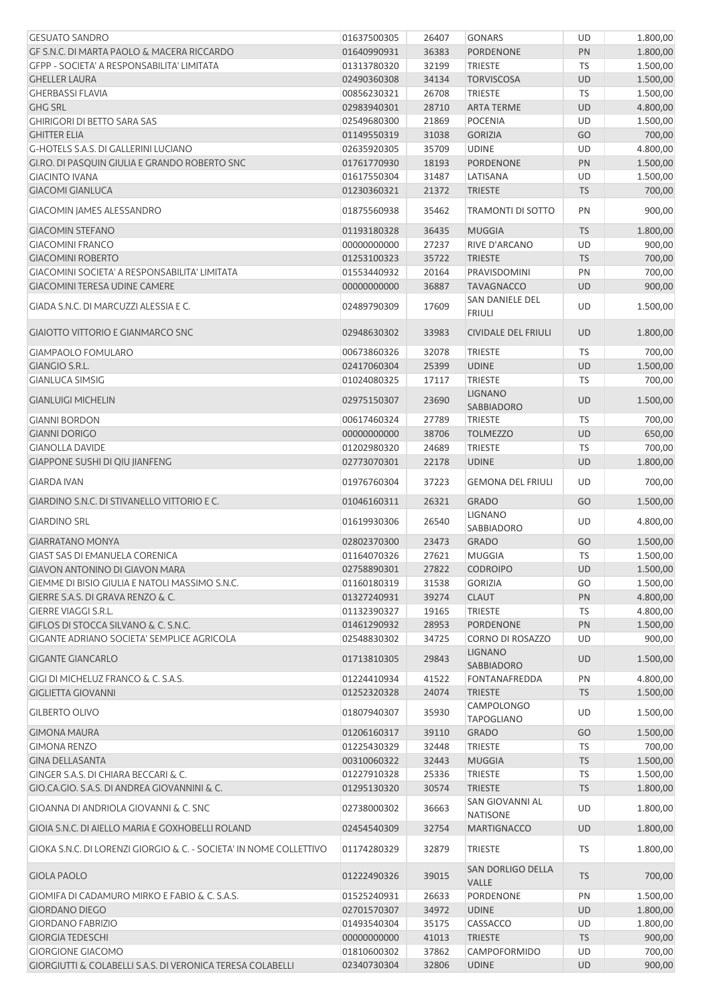| <b>GESUATO SANDRO</b>                                              | 01637500305                | 26407          | <b>GONARS</b>                            | UD        | 1.800,00           |
|--------------------------------------------------------------------|----------------------------|----------------|------------------------------------------|-----------|--------------------|
| GF S.N.C. DI MARTA PAOLO & MACERA RICCARDO                         | 01640990931                | 36383          | PORDENONE                                | PN        | 1.800,00           |
| GFPP - SOCIETA' A RESPONSABILITA' LIMITATA                         | 01313780320                | 32199          | <b>TRIESTE</b>                           | TS        | 1.500,00           |
| <b>GHELLER LAURA</b>                                               | 02490360308                | 34134          | <b>TORVISCOSA</b>                        | <b>UD</b> | 1.500,00           |
| <b>GHERBASSI FLAVIA</b>                                            | 00856230321                | 26708          | <b>TRIESTE</b>                           | <b>TS</b> | 1.500,00           |
| <b>GHG SRL</b>                                                     | 02983940301                | 28710          | <b>ARTA TERME</b>                        | UD        | 4.800,00           |
| <b>GHIRIGORI DI BETTO SARA SAS</b>                                 | 02549680300                | 21869          | <b>POCENIA</b>                           | UD        | 1.500,00           |
| <b>GHITTER ELIA</b>                                                | 01149550319                | 31038          | <b>GORIZIA</b>                           | GO        | 700,00             |
| <b>G-HOTELS S.A.S. DI GALLERINI LUCIANO</b>                        | 02635920305                | 35709          | <b>UDINE</b>                             | UD        | 4.800,00           |
| GI.RO. DI PASQUIN GIULIA E GRANDO ROBERTO SNC                      | 01761770930                | 18193          | PORDENONE                                | PN        | 1.500,00           |
| <b>GIACINTO IVANA</b>                                              | 01617550304                | 31487          | LATISANA                                 | UD        | 1.500,00           |
| <b>GIACOMI GIANLUCA</b>                                            | 01230360321                | 21372          | <b>TRIESTE</b>                           | <b>TS</b> | 700,00             |
| GIACOMIN JAMES ALESSANDRO                                          | 01875560938                | 35462          | TRAMONTI DI SOTTO                        | PN        | 900,00             |
| <b>GIACOMIN STEFANO</b>                                            | 01193180328                | 36435          | <b>MUGGIA</b>                            | <b>TS</b> | 1.800,00           |
| <b>GIACOMINI FRANCO</b>                                            | 00000000000                | 27237          | RIVE D'ARCANO                            | UD        | 900,00             |
| <b>GIACOMINI ROBERTO</b>                                           | 01253100323                | 35722          | <b>TRIESTE</b>                           | <b>TS</b> | 700,00             |
| GIACOMINI SOCIETA' A RESPONSABILITA' LIMITATA                      | 01553440932                | 20164          | PRAVISDOMINI                             | PN        | 700,00             |
| GIACOMINI TERESA UDINE CAMERE                                      | 00000000000                | 36887          | <b>TAVAGNACCO</b>                        | UD        | 900,00             |
| GIADA S.N.C. DI MARCUZZI ALESSIA E C.                              | 02489790309                | 17609          | SAN DANIELE DEL<br><b>FRIULI</b>         | UD        | 1.500,00           |
| <b>GIAIOTTO VITTORIO E GIANMARCO SNC</b>                           | 02948630302                | 33983          | <b>CIVIDALE DEL FRIULI</b>               | <b>UD</b> | 1.800,00           |
| <b>GIAMPAOLO FOMULARO</b>                                          | 00673860326                | 32078          | <b>TRIESTE</b>                           | <b>TS</b> | 700,00             |
| <b>GIANGIO S.R.L.</b>                                              | 02417060304                | 25399          | <b>UDINE</b>                             | <b>UD</b> | 1.500,00           |
| <b>GIANLUCA SIMSIG</b>                                             | 01024080325                | 17117          | <b>TRIESTE</b>                           | TS        | 700,00             |
| <b>GIANLUIGI MICHELIN</b>                                          | 02975150307                | 23690          | <b>LIGNANO</b><br>SABBIADORO             | <b>UD</b> | 1.500,00           |
| <b>GIANNI BORDON</b>                                               | 00617460324                | 27789          | <b>TRIESTE</b>                           | TS        | 700,00             |
| <b>GIANNI DORIGO</b>                                               | 00000000000                | 38706          | <b>TOLMEZZO</b>                          | <b>UD</b> | 650,00             |
| <b>GIANOLLA DAVIDE</b>                                             | 01202980320                | 24689          | <b>TRIESTE</b>                           | TS        | 700,00             |
| GIAPPONE SUSHI DI QIU JIANFENG                                     | 02773070301                | 22178          | <b>UDINE</b>                             | <b>UD</b> | 1.800,00           |
|                                                                    |                            |                |                                          |           |                    |
| <b>GIARDA IVAN</b><br>GIARDINO S.N.C. DI STIVANELLO VITTORIO E C.  | 01976760304<br>01046160311 | 37223<br>26321 | <b>GEMONA DEL FRIULI</b><br><b>GRADO</b> | UD<br>GO  | 700,00<br>1.500,00 |
| <b>GIARDINO SRL</b>                                                | 01619930306                | 26540          | <b>LIGNANO</b>                           | UD        | 4.800,00           |
|                                                                    |                            |                | SABBIADORO                               |           |                    |
| <b>GIARRATANO MONYA</b>                                            | 02802370300                | 23473          | <b>GRADO</b>                             | GO        | 1.500,00           |
| GIAST SAS DI EMANUELA CORENICA                                     | 01164070326                | 27621          | <b>MUGGIA</b>                            | TS        | 1.500,00           |
| <b>GIAVON ANTONINO DI GIAVON MARA</b>                              | 02758890301                | 27822          | <b>CODROIPO</b>                          | <b>UD</b> | 1.500,00           |
| GIEMME DI BISIO GIULIA E NATOLI MASSIMO S.N.C.                     | 01160180319                | 31538          | <b>GORIZIA</b>                           | GO        | 1.500,00           |
| GIERRE S.A.S. DI GRAVA RENZO & C.                                  | 01327240931                | 39274          | <b>CLAUT</b>                             | PN        | 4.800,00           |
| <b>GIERRE VIAGGI S.R.L.</b>                                        | 01132390327                | 19165          | <b>TRIESTE</b>                           | TS        | 4.800,00           |
| GIFLOS DI STOCCA SILVANO & C. S.N.C.                               | 01461290932                | 28953          | PORDENONE                                | PN        | 1.500,00           |
| <b>GIGANTE ADRIANO SOCIETA' SEMPLICE AGRICOLA</b>                  | 02548830302                | 34725          | CORNO DI ROSAZZO                         | UD        | 900,00             |
| <b>GIGANTE GIANCARLO</b>                                           | 01713810305                | 29843          | <b>LIGNANO</b><br><b>SABBIADORO</b>      | <b>UD</b> | 1.500,00           |
| GIGI DI MICHELUZ FRANCO & C. S.A.S.                                | 01224410934                | 41522          | FONTANAFREDDA                            | PN        | 4.800,00           |
| <b>GIGLIETTA GIOVANNI</b>                                          | 01252320328                | 24074          | <b>TRIESTE</b>                           | <b>TS</b> | 1.500,00           |
| <b>GILBERTO OLIVO</b>                                              | 01807940307                | 35930          | <b>CAMPOLONGO</b><br><b>TAPOGLIANO</b>   | UD        | 1.500,00           |
| <b>GIMONA MAURA</b>                                                | 01206160317                | 39110          | <b>GRADO</b>                             | GO        | 1.500,00           |
| <b>GIMONA RENZO</b>                                                | 01225430329                | 32448          | <b>TRIESTE</b>                           | TS        | 700,00             |
| <b>GINA DELLASANTA</b>                                             | 00310060322                | 32443          | <b>MUGGIA</b>                            | <b>TS</b> | 1.500,00           |
| GINGER S.A.S. DI CHIARA BECCARI & C.                               | 01227910328                | 25336          | TRIESTE                                  | TS        | 1.500,00           |
| GIO.CA.GIO. S.A.S. DI ANDREA GIOVANNINI & C.                       | 01295130320                | 30574          | <b>TRIESTE</b>                           | <b>TS</b> | 1.800,00           |
| GIOANNA DI ANDRIOLA GIOVANNI & C. SNC                              | 02738000302                | 36663          | SAN GIOVANNI AL<br><b>NATISONE</b>       | UD        | 1.800,00           |
| GIOIA S.N.C. DI AIELLO MARIA E GOXHOBELLI ROLAND                   | 02454540309                | 32754          | <b>MARTIGNACCO</b>                       | <b>UD</b> | 1.800,00           |
| GIOKA S.N.C. DI LORENZI GIORGIO & C. - SOCIETA' IN NOME COLLETTIVO | 01174280329                | 32879          | TRIESTE                                  | TS        | 1.800,00           |
| <b>GIOLA PAOLO</b>                                                 | 01222490326                | 39015          | SAN DORLIGO DELLA<br>VALLE               | <b>TS</b> | 700,00             |
| GIOMIFA DI CADAMURO MIRKO E FABIO & C. S.A.S.                      | 01525240931                | 26633          | PORDENONE                                | PN        | 1.500,00           |
| <b>GIORDANO DIEGO</b>                                              | 02701570307                | 34972          | <b>UDINE</b>                             | <b>UD</b> | 1.800,00           |
| <b>GIORDANO FABRIZIO</b>                                           | 01493540304                | 35175          | <b>CASSACCO</b>                          | UD        | 1.800,00           |
| <b>GIORGIA TEDESCHI</b>                                            | 00000000000                | 41013          | <b>TRIESTE</b>                           | <b>TS</b> | 900,00             |
| <b>GIORGIONE GIACOMO</b>                                           | 01810600302                | 37862          | <b>CAMPOFORMIDO</b>                      | UD        | 700,00             |
| GIORGIUTTI & COLABELLI S.A.S. DI VERONICA TERESA COLABELLI         | 02340730304                | 32806          | <b>UDINE</b>                             | <b>UD</b> | 900,00             |
|                                                                    |                            |                |                                          |           |                    |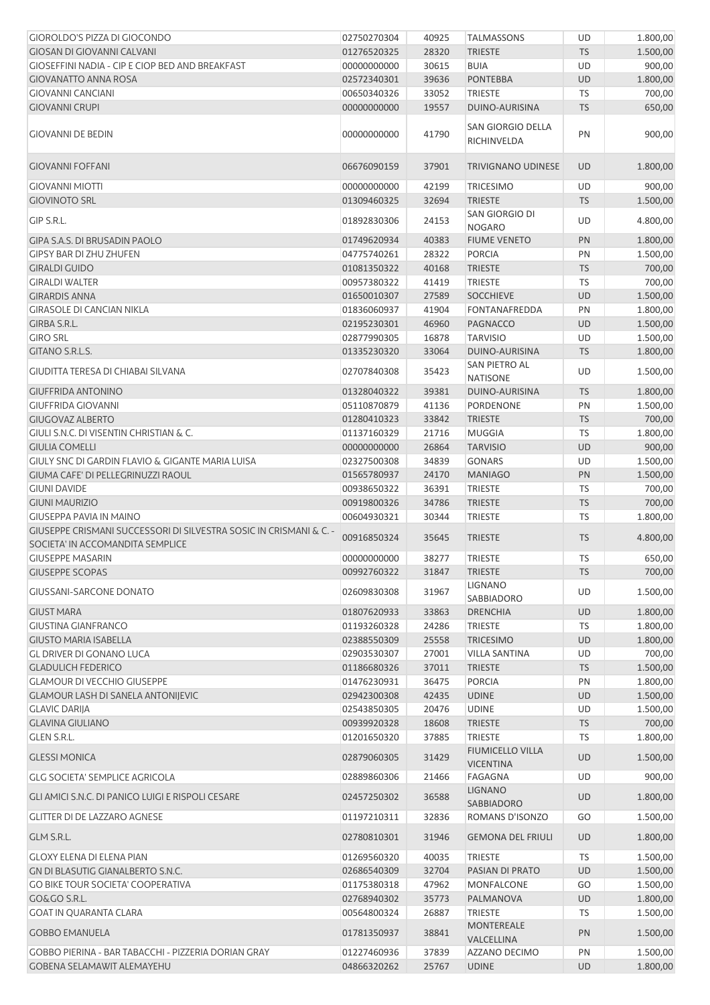| GIOROLDO'S PIZZA DI GIOCONDO                                       | 02750270304                | 40925          | <b>TALMASSONS</b>                         | UD              | 1.800,00             |
|--------------------------------------------------------------------|----------------------------|----------------|-------------------------------------------|-----------------|----------------------|
| <b>GIOSAN DI GIOVANNI CALVANI</b>                                  | 01276520325                | 28320          | <b>TRIESTE</b>                            | <b>TS</b>       | 1.500,00             |
| <b>GIOSEFFINI NADIA - CIP E CIOP BED AND BREAKFAST</b>             | 00000000000                | 30615          | <b>BUIA</b>                               | UD              | 900,00               |
| <b>GIOVANATTO ANNA ROSA</b>                                        | 02572340301                | 39636          | <b>PONTEBBA</b>                           | <b>UD</b>       | 1.800,00             |
| <b>GIOVANNI CANCIANI</b>                                           | 00650340326                | 33052          | <b>TRIESTE</b>                            | TS              | 700,00               |
| <b>GIOVANNI CRUPI</b>                                              | 00000000000                | 19557          | DUINO-AURISINA                            | <b>TS</b>       | 650,00               |
| <b>GIOVANNI DE BEDIN</b>                                           | 00000000000                | 41790          | SAN GIORGIO DELLA<br>RICHINVELDA          | PN              | 900,00               |
| <b>GIOVANNI FOFFANI</b>                                            | 06676090159                | 37901          | <b>TRIVIGNANO UDINESE</b>                 | <b>UD</b>       | 1.800,00             |
| <b>GIOVANNI MIOTTI</b>                                             | 00000000000                | 42199          | <b>TRICESIMO</b>                          | UD              | 900,00               |
| <b>GIOVINOTO SRL</b>                                               | 01309460325                | 32694          | <b>TRIESTE</b>                            | <b>TS</b>       | 1.500,00             |
| GIP S.R.L.                                                         | 01892830306                | 24153          | SAN GIORGIO DI<br><b>NOGARO</b>           | UD              | 4.800,00             |
| GIPA S.A.S. DI BRUSADIN PAOLO                                      | 01749620934                | 40383          | <b>FIUME VENETO</b>                       | PN              | 1.800,00             |
| GIPSY BAR DI ZHU ZHUFEN                                            | 04775740261                | 28322          | <b>PORCIA</b>                             | PN              | 1.500,00             |
| <b>GIRALDI GUIDO</b>                                               | 01081350322                | 40168          | <b>TRIESTE</b>                            | <b>TS</b>       | 700,00               |
| <b>GIRALDI WALTER</b>                                              | 00957380322                | 41419          | <b>TRIESTE</b>                            | <b>TS</b>       | 700,00               |
| <b>GIRARDIS ANNA</b>                                               | 01650010307                | 27589          | <b>SOCCHIEVE</b>                          | <b>UD</b>       | 1.500,00             |
| <b>GIRASOLE DI CANCIAN NIKLA</b>                                   | 01836060937                | 41904          | FONTANAFREDDA                             | PN              | 1.800,00             |
| GIRBA S.R.L.                                                       | 02195230301                | 46960          | <b>PAGNACCO</b>                           | <b>UD</b>       | 1.500,00             |
| <b>GIRO SRL</b>                                                    | 02877990305                | 16878          | <b>TARVISIO</b>                           | UD              | 1.500,00             |
| GITANO S.R.L.S.                                                    | 01335230320                | 33064          | DUINO-AURISINA                            | <b>TS</b>       | 1.800,00             |
| GIUDITTA TERESA DI CHIABAI SILVANA                                 | 02707840308                | 35423          | SAN PIETRO AL<br><b>NATISONE</b>          | UD              | 1.500,00             |
| <b>GIUFFRIDA ANTONINO</b>                                          | 01328040322                | 39381          | DUINO-AURISINA                            | <b>TS</b>       | 1.800,00             |
| <b>GIUFFRIDA GIOVANNI</b>                                          | 05110870879                | 41136          | <b>PORDENONE</b>                          | PN              | 1.500,00             |
| <b>GIUGOVAZ ALBERTO</b>                                            | 01280410323                | 33842          | <b>TRIESTE</b>                            | <b>TS</b>       | 700,00               |
| GIULI S.N.C. DI VISENTIN CHRISTIAN & C.                            | 01137160329                | 21716          | <b>MUGGIA</b>                             | TS              | 1.800,00             |
| <b>GIULIA COMELLI</b>                                              | 00000000000                | 26864          | <b>TARVISIO</b>                           | <b>UD</b>       | 900,00               |
| GIULY SNC DI GARDIN FLAVIO & GIGANTE MARIA LUISA                   | 02327500308                | 34839          | <b>GONARS</b>                             | UD              | 1.500,00             |
| GIUMA CAFE' DI PELLEGRINUZZI RAOUL                                 | 01565780937                | 24170          | <b>MANIAGO</b>                            | PN              | 1.500,00             |
| <b>GIUNI DAVIDE</b>                                                | 00938650322                | 36391          | <b>TRIESTE</b>                            | TS              | 700,00               |
| <b>GIUNI MAURIZIO</b>                                              | 00919800326                | 34786          | <b>TRIESTE</b>                            | <b>TS</b>       | 700,00               |
| <b>GIUSEPPA PAVIA IN MAINO</b>                                     | 00604930321                | 30344          | TRIESTE                                   | TS              | 1.800,00             |
| GIUSEPPE CRISMANI SUCCESSORI DI SILVESTRA SOSIC IN CRISMANI & C. - | 00916850324                | 35645          | <b>TRIESTE</b>                            | <b>TS</b>       | 4.800,00             |
| SOCIETA' IN ACCOMANDITA SEMPLICE<br><b>GIUSEPPE MASARIN</b>        |                            |                |                                           |                 |                      |
|                                                                    | 00000000000                | 38277          | <b>TRIESTE</b>                            | TS              | 650,00               |
| <b>GIUSEPPE SCOPAS</b>                                             | 00992760322                | 31847          | <b>TRIESTE</b><br><b>LIGNANO</b>          | <b>TS</b>       | 700,00               |
| <b>GIUSSANI-SARCONE DONATO</b>                                     | 02609830308                | 31967          | SABBIADORO                                | UD              | 1.500,00             |
| <b>GIUST MARA</b>                                                  | 01807620933                | 33863          | <b>DRENCHIA</b>                           | <b>UD</b>       | 1.800,00             |
| <b>GIUSTINA GIANFRANCO</b>                                         | 01193260328                | 24286          | <b>TRIESTE</b>                            | TS              | 1.800,00             |
| <b>GIUSTO MARIA ISABELLA</b>                                       | 02388550309                | 25558          | <b>TRICESIMO</b>                          | <b>UD</b>       | 1.800,00             |
| <b>GL DRIVER DI GONANO LUCA</b>                                    | 02903530307                | 27001          | <b>VILLA SANTINA</b>                      | UD              | 700,00               |
| <b>GLADULICH FEDERICO</b>                                          | 01186680326                | 37011          | <b>TRIESTE</b>                            | <b>TS</b>       | 1.500,00             |
| <b>GLAMOUR DI VECCHIO GIUSEPPE</b>                                 | 01476230931                | 36475          | PORCIA                                    | PN              | 1.800,00             |
| <b>GLAMOUR LASH DI SANELA ANTONIJEVIC</b>                          | 02942300308                | 42435          | <b>UDINE</b>                              | <b>UD</b>       | 1.500,00             |
| <b>GLAVIC DARIJA</b>                                               | 02543850305                | 20476          | <b>UDINE</b>                              | UD              | 1.500,00             |
| <b>GLAVINA GIULIANO</b>                                            | 00939920328                | 18608          | <b>TRIESTE</b>                            | <b>TS</b>       | 700,00               |
| <b>GLEN S.R.L.</b><br><b>GLESSI MONICA</b>                         | 01201650320<br>02879060305 | 37885<br>31429 | <b>TRIESTE</b><br><b>FIUMICELLO VILLA</b> | TS<br><b>UD</b> | 1.800,00<br>1.500,00 |
| <b>GLG SOCIETA' SEMPLICE AGRICOLA</b>                              | 02889860306                | 21466          | <b>VICENTINA</b><br>FAGAGNA               | UD              | 900,00               |
| GLI AMICI S.N.C. DI PANICO LUIGI E RISPOLI CESARE                  | 02457250302                | 36588          | <b>LIGNANO</b>                            | <b>UD</b>       | 1.800,00             |
| <b>GLITTER DI DE LAZZARO AGNESE</b>                                | 01197210311                | 32836          | SABBIADORO<br>ROMANS D'ISONZO             | GO              | 1.500,00             |
| GLM S.R.L.                                                         | 02780810301                | 31946          | <b>GEMONA DEL FRIULI</b>                  | <b>UD</b>       | 1.800,00             |
| <b>GLOXY ELENA DI ELENA PIAN</b>                                   | 01269560320                | 40035          | <b>TRIESTE</b>                            | <b>TS</b>       | 1.500,00             |
| GN DI BLASUTIG GIANALBERTO S.N.C.                                  | 02686540309                | 32704          | PASIAN DI PRATO                           | <b>UD</b>       | 1.500,00             |
| <b>GO BIKE TOUR SOCIETA' COOPERATIVA</b>                           | 01175380318                | 47962          | MONFALCONE                                | GO              | 1.500,00             |
| <b>GO&amp;GO S.R.L.</b>                                            | 02768940302                | 35773          | PALMANOVA                                 | UD              | 1.800,00             |
| <b>GOAT IN QUARANTA CLARA</b>                                      | 00564800324                | 26887          | <b>TRIESTE</b>                            | TS              | 1.500,00             |
| <b>GOBBO EMANUELA</b>                                              | 01781350937                | 38841          | <b>MONTEREALE</b><br>VALCELLINA           | PN              | 1.500,00             |
| GOBBO PIERINA - BAR TABACCHI - PIZZERIA DORIAN GRAY                | 01227460936                | 37839          | AZZANO DECIMO                             | PN              | 1.500,00             |
| <b>GOBENA SELAMAWIT ALEMAYEHU</b>                                  | 04866320262                | 25767          | <b>UDINE</b>                              | <b>UD</b>       | 1.800,00             |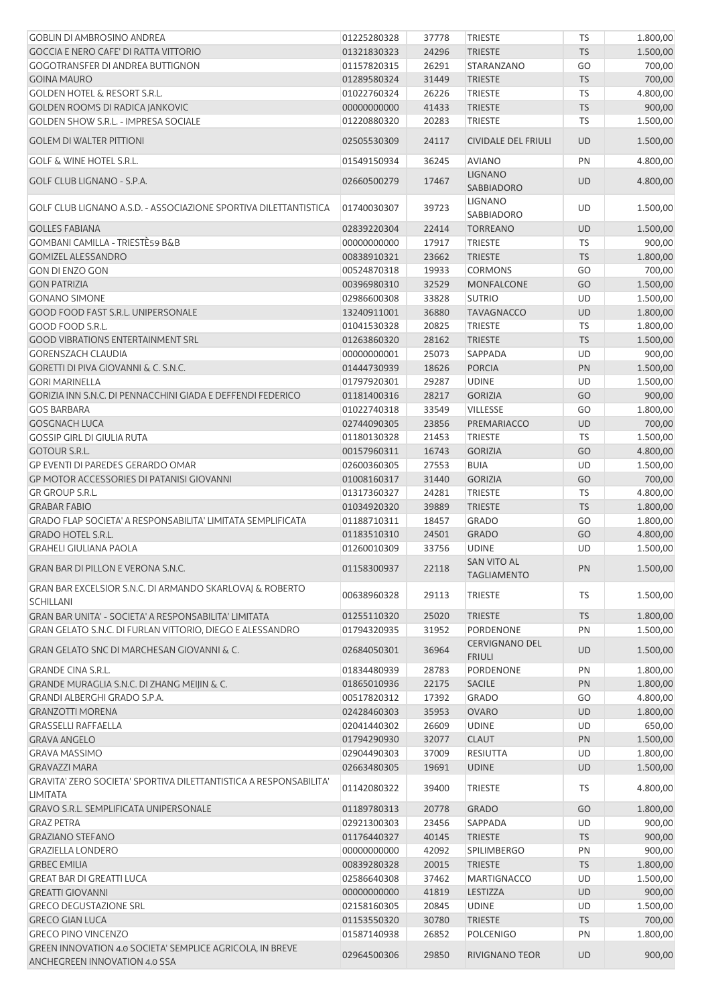| <b>GOBLIN DI AMBROSINO ANDREA</b>                                                          | 01225280328 | 37778 | <b>TRIESTE</b>                         | <b>TS</b> | 1.800,00 |
|--------------------------------------------------------------------------------------------|-------------|-------|----------------------------------------|-----------|----------|
| <b>GOCCIA E NERO CAFE' DI RATTA VITTORIO</b>                                               | 01321830323 | 24296 | <b>TRIESTE</b>                         | <b>TS</b> | 1.500,00 |
| <b>GOGOTRANSFER DI ANDREA BUTTIGNON</b>                                                    | 01157820315 | 26291 | <b>STARANZANO</b>                      | GO        | 700,00   |
| <b>GOINA MAURO</b>                                                                         | 01289580324 | 31449 | <b>TRIESTE</b>                         | <b>TS</b> | 700,00   |
| <b>GOLDEN HOTEL &amp; RESORT S.R.L.</b>                                                    | 01022760324 | 26226 | <b>TRIESTE</b>                         | TS        | 4.800,00 |
| <b>GOLDEN ROOMS DI RADICA JANKOVIC</b>                                                     | 00000000000 | 41433 | <b>TRIESTE</b>                         | <b>TS</b> | 900,00   |
| <b>GOLDEN SHOW S.R.L. - IMPRESA SOCIALE</b>                                                | 01220880320 | 20283 | <b>TRIESTE</b>                         | TS        | 1.500,00 |
| <b>GOLEM DI WALTER PITTIONI</b>                                                            | 02505530309 | 24117 | <b>CIVIDALE DEL FRIULI</b>             | <b>UD</b> | 1.500,00 |
| <b>GOLF &amp; WINE HOTEL S.R.L.</b>                                                        | 01549150934 | 36245 | <b>AVIANO</b>                          | PN        | 4.800,00 |
| <b>GOLF CLUB LIGNANO - S.P.A.</b>                                                          | 02660500279 | 17467 | <b>LIGNANO</b><br><b>SABBIADORO</b>    | UD        | 4.800,00 |
| GOLF CLUB LIGNANO A.S.D. - ASSOCIAZIONE SPORTIVA DILETTANTISTICA                           | 01740030307 | 39723 | <b>LIGNANO</b><br>SABBIADORO           | UD        | 1.500,00 |
| <b>GOLLES FABIANA</b>                                                                      | 02839220304 | 22414 | <b>TORREANO</b>                        | UD        | 1.500,00 |
| GOMBANI CAMILLA - TRIESTÈ59 B&B                                                            | 00000000000 | 17917 | <b>TRIESTE</b>                         | TS        | 900,00   |
| <b>GOMIZEL ALESSANDRO</b>                                                                  | 00838910321 | 23662 | <b>TRIESTE</b>                         | TS        | 1.800,00 |
| <b>GON DI ENZO GON</b>                                                                     | 00524870318 | 19933 | <b>CORMONS</b>                         | GO        | 700,00   |
| <b>GON PATRIZIA</b>                                                                        | 00396980310 | 32529 | <b>MONFALCONE</b>                      | GO        | 1.500,00 |
| <b>GONANO SIMONE</b>                                                                       | 02986600308 | 33828 | <b>SUTRIO</b>                          | <b>UD</b> | 1.500,00 |
| <b>GOOD FOOD FAST S.R.L. UNIPERSONALE</b>                                                  | 13240911001 | 36880 | <b>TAVAGNACCO</b>                      | <b>UD</b> | 1.800,00 |
| GOOD FOOD S.R.L.                                                                           | 01041530328 | 20825 | <b>TRIESTE</b>                         | TS        | 1.800,00 |
| <b>GOOD VIBRATIONS ENTERTAINMENT SRL</b>                                                   | 01263860320 | 28162 | <b>TRIESTE</b>                         | <b>TS</b> | 1.500,00 |
| <b>GORENSZACH CLAUDIA</b>                                                                  | 00000000001 | 25073 | SAPPADA                                | UD        | 900,00   |
| GORETTI DI PIVA GIOVANNI & C. S.N.C.                                                       | 01444730939 | 18626 | <b>PORCIA</b>                          | PN        | 1.500,00 |
| <b>GORI MARINELLA</b>                                                                      | 01797920301 | 29287 | <b>UDINE</b>                           | UD        | 1.500,00 |
| GORIZIA INN S.N.C. DI PENNACCHINI GIADA E DEFFENDI FEDERICO                                | 01181400316 | 28217 | <b>GORIZIA</b>                         | GO        | 900,00   |
| <b>GOS BARBARA</b>                                                                         | 01022740318 | 33549 | <b>VILLESSE</b>                        | GO        | 1.800,00 |
| <b>GOSGNACH LUCA</b>                                                                       | 02744090305 | 23856 | PREMARIACCO                            | <b>UD</b> | 700,00   |
| <b>GOSSIP GIRL DI GIULIA RUTA</b>                                                          | 01180130328 | 21453 | <b>TRIESTE</b>                         | <b>TS</b> | 1.500,00 |
| <b>GOTOUR S.R.L.</b>                                                                       | 00157960311 | 16743 | <b>GORIZIA</b>                         | GO        | 4.800,00 |
| GP EVENTI DI PAREDES GERARDO OMAR                                                          | 02600360305 | 27553 | <b>BUIA</b>                            | UD        | 1.500,00 |
| GP MOTOR ACCESSORIES DI PATANISI GIOVANNI                                                  | 01008160317 | 31440 | <b>GORIZIA</b>                         | GO        | 700,00   |
| <b>GR GROUP S.R.L.</b>                                                                     | 01317360327 | 24281 | <b>TRIESTE</b>                         | TS        | 4.800,00 |
| <b>GRABAR FABIO</b>                                                                        | 01034920320 | 39889 | <b>TRIESTE</b>                         | <b>TS</b> | 1.800,00 |
| GRADO FLAP SOCIETA' A RESPONSABILITA' LIMITATA SEMPLIFICATA                                | 01188710311 | 18457 | <b>GRADO</b>                           | GO        | 1.800,00 |
| <b>GRADO HOTEL S.R.L.</b>                                                                  | 01183510310 | 24501 | <b>GRADO</b>                           | GO        | 4.800,00 |
| <b>GRAHELI GIULIANA PAOLA</b>                                                              | 01260010309 | 33756 | <b>UDINE</b>                           | UD        | 1.500,00 |
| GRAN BAR DI PILLON E VERONA S.N.C.                                                         | 01158300937 | 22118 | SAN VITO AL<br><b>TAGLIAMENTO</b>      | <b>PN</b> | 1.500,00 |
| GRAN BAR EXCELSIOR S.N.C. DI ARMANDO SKARLOVAJ & ROBERTO<br><b>SCHILLANI</b>               | 00638960328 | 29113 | <b>TRIESTE</b>                         | <b>TS</b> | 1.500,00 |
| GRAN BAR UNITA' - SOCIETA' A RESPONSABILITA' LIMITATA                                      | 01255110320 | 25020 | <b>TRIESTE</b>                         | <b>TS</b> | 1.800,00 |
| GRAN GELATO S.N.C. DI FURLAN VITTORIO, DIEGO E ALESSANDRO                                  | 01794320935 | 31952 | <b>PORDENONE</b>                       | PN        | 1.500,00 |
| GRAN GELATO SNC DI MARCHESAN GIOVANNI & C.                                                 | 02684050301 | 36964 | <b>CERVIGNANO DEL</b><br><b>FRIULI</b> | <b>UD</b> | 1.500,00 |
| <b>GRANDE CINA S.R.L.</b>                                                                  | 01834480939 | 28783 | <b>PORDENONE</b>                       | PN        | 1.800,00 |
| GRANDE MURAGLIA S.N.C. DI ZHANG MEIJIN & C.                                                | 01865010936 | 22175 | <b>SACILE</b>                          | PN        | 1.800,00 |
| GRANDI ALBERGHI GRADO S.P.A.                                                               | 00517820312 | 17392 | <b>GRADO</b>                           | GO        | 4.800,00 |
| <b>GRANZOTTI MORENA</b>                                                                    | 02428460303 | 35953 | <b>OVARO</b>                           | UD        | 1.800,00 |
| <b>GRASSELLI RAFFAELLA</b>                                                                 | 02041440302 | 26609 | <b>UDINE</b>                           | UD        | 650,00   |
| <b>GRAVA ANGELO</b>                                                                        | 01794290930 | 32077 | <b>CLAUT</b>                           | PN        | 1.500,00 |
| <b>GRAVA MASSIMO</b>                                                                       | 02904490303 | 37009 | <b>RESIUTTA</b>                        | UD        | 1.800,00 |
| <b>GRAVAZZI MARA</b>                                                                       | 02663480305 | 19691 | <b>UDINE</b>                           | <b>UD</b> | 1.500,00 |
| GRAVITA' ZERO SOCIETA' SPORTIVA DILETTANTISTICA A RESPONSABILITA'<br><b>LIMITATA</b>       | 01142080322 | 39400 | <b>TRIESTE</b>                         | TS        | 4.800,00 |
| <b>GRAVO S.R.L. SEMPLIFICATA UNIPERSONALE</b>                                              | 01189780313 | 20778 | <b>GRADO</b>                           | GO        | 1.800,00 |
| <b>GRAZ PETRA</b>                                                                          | 02921300303 | 23456 | SAPPADA                                | UD        | 900,00   |
| <b>GRAZIANO STEFANO</b>                                                                    | 01176440327 | 40145 | <b>TRIESTE</b>                         | <b>TS</b> | 900,00   |
| <b>GRAZIELLA LONDERO</b>                                                                   | 00000000000 | 42092 | <b>SPILIMBERGO</b>                     | PN        | 900,00   |
| <b>GRBEC EMILIA</b>                                                                        | 00839280328 | 20015 | <b>TRIESTE</b>                         | <b>TS</b> | 1.800,00 |
| <b>GREAT BAR DI GREATTI LUCA</b>                                                           | 02586640308 | 37462 | <b>MARTIGNACCO</b>                     | UD        | 1.500,00 |
| <b>GREATTI GIOVANNI</b>                                                                    | 00000000000 | 41819 | <b>LESTIZZA</b>                        | UD        | 900,00   |
| <b>GRECO DEGUSTAZIONE SRL</b>                                                              | 02158160305 | 20845 | <b>UDINE</b>                           | UD        | 1.500,00 |
| <b>GRECO GIAN LUCA</b>                                                                     | 01153550320 | 30780 | <b>TRIESTE</b>                         | <b>TS</b> | 700,00   |
| <b>GRECO PINO VINCENZO</b>                                                                 | 01587140938 | 26852 | <b>POLCENIGO</b>                       | PN        | 1.800,00 |
| GREEN INNOVATION 4.0 SOCIETA' SEMPLICE AGRICOLA, IN BREVE<br>ANCHEGREEN INNOVATION 4.0 SSA | 02964500306 | 29850 | RIVIGNANO TEOR                         | UD        | 900,00   |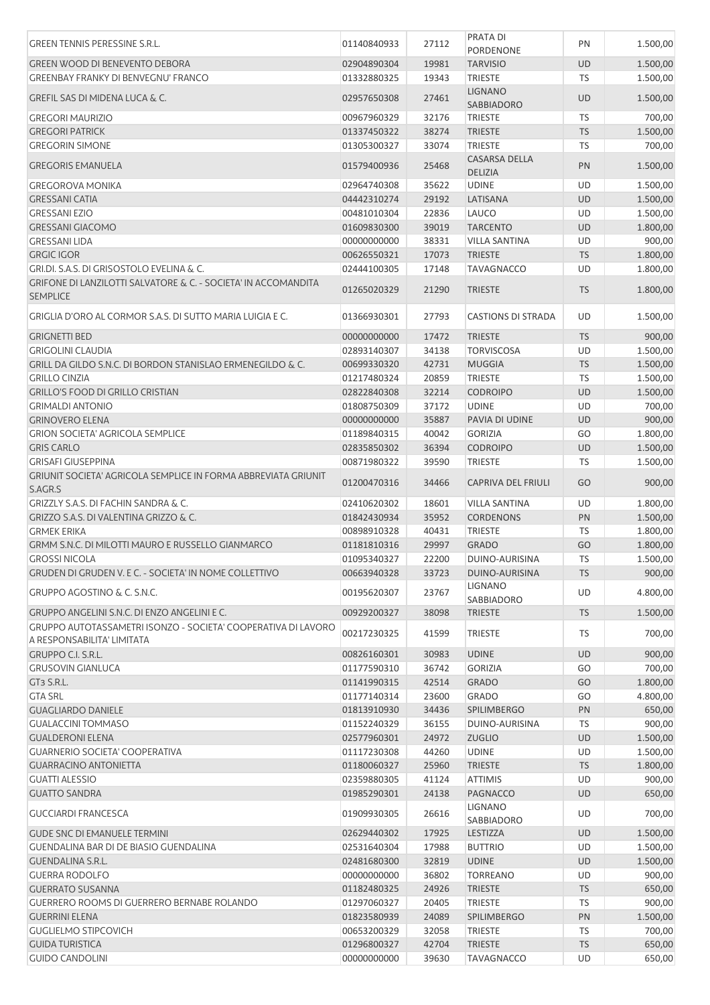| <b>GREEN TENNIS PERESSINE S.R.L.</b>                                                         | 01140840933 | 27112 | <b>PRATA DI</b><br><b>PORDENONE</b>    | PN        | 1.500,00 |
|----------------------------------------------------------------------------------------------|-------------|-------|----------------------------------------|-----------|----------|
|                                                                                              |             |       |                                        |           |          |
| <b>GREEN WOOD DI BENEVENTO DEBORA</b>                                                        | 02904890304 | 19981 | <b>TARVISIO</b>                        | UD        | 1.500,00 |
| <b>GREENBAY FRANKY DI BENVEGNU' FRANCO</b>                                                   | 01332880325 | 19343 | <b>TRIESTE</b>                         | TS        | 1.500,00 |
| <b>GREFIL SAS DI MIDENA LUCA &amp; C.</b>                                                    | 02957650308 | 27461 | <b>LIGNANO</b><br>SABBIADORO           | UD        | 1.500,00 |
| <b>GREGORI MAURIZIO</b>                                                                      | 00967960329 | 32176 | <b>TRIESTE</b>                         | TS        | 700,00   |
| <b>GREGORI PATRICK</b>                                                                       | 01337450322 | 38274 | <b>TRIESTE</b>                         | <b>TS</b> | 1.500,00 |
| <b>GREGORIN SIMONE</b>                                                                       | 01305300327 | 33074 | <b>TRIESTE</b>                         | TS        | 700,00   |
|                                                                                              |             |       |                                        |           |          |
| <b>GREGORIS EMANUELA</b>                                                                     | 01579400936 | 25468 | <b>CASARSA DELLA</b><br><b>DELIZIA</b> | PN        | 1.500,00 |
| <b>GREGOROVA MONIKA</b>                                                                      | 02964740308 | 35622 | <b>UDINE</b>                           | UD        | 1.500,00 |
| <b>GRESSANI CATIA</b>                                                                        | 04442310274 | 29192 | LATISANA                               | UD        | 1.500,00 |
| <b>GRESSANI EZIO</b>                                                                         | 00481010304 | 22836 | LAUCO                                  | UD        | 1.500,00 |
| <b>GRESSANI GIACOMO</b>                                                                      | 01609830300 | 39019 | <b>TARCENTO</b>                        | <b>UD</b> | 1.800,00 |
| <b>GRESSANI LIDA</b>                                                                         | 00000000000 | 38331 | <b>VILLA SANTINA</b>                   | UD        | 900,00   |
|                                                                                              |             |       |                                        |           |          |
| <b>GRGIC IGOR</b>                                                                            | 00626550321 | 17073 | <b>TRIESTE</b>                         | <b>TS</b> | 1.800,00 |
| GRI.DI. S.A.S. DI GRISOSTOLO EVELINA & C.                                                    | 02444100305 | 17148 | <b>TAVAGNACCO</b>                      | UD        | 1.800,00 |
| <b>GRIFONE DI LANZILOTTI SALVATORE &amp; C. - SOCIETA' IN ACCOMANDITA</b><br><b>SEMPLICE</b> | 01265020329 | 21290 | <b>TRIESTE</b>                         | <b>TS</b> | 1.800,00 |
| GRIGLIA D'ORO AL CORMOR S.A.S. DI SUTTO MARIA LUIGIA E C.                                    | 01366930301 | 27793 | <b>CASTIONS DI STRADA</b>              | UD        | 1.500,00 |
| <b>GRIGNETTI BED</b>                                                                         | 00000000000 | 17472 | <b>TRIESTE</b>                         | <b>TS</b> | 900,00   |
| <b>GRIGOLINI CLAUDIA</b>                                                                     | 02893140307 | 34138 | <b>TORVISCOSA</b>                      | UD        | 1.500,00 |
| GRILL DA GILDO S.N.C. DI BORDON STANISLAO ERMENEGILDO & C.                                   | 00699330320 | 42731 | <b>MUGGIA</b>                          | <b>TS</b> | 1.500,00 |
|                                                                                              |             |       |                                        |           |          |
| <b>GRILLO CINZIA</b>                                                                         | 01217480324 | 20859 | <b>TRIESTE</b>                         | TS        | 1.500,00 |
| <b>GRILLO'S FOOD DI GRILLO CRISTIAN</b>                                                      | 02822840308 | 32214 | <b>CODROIPO</b>                        | <b>UD</b> | 1.500,00 |
| <b>GRIMALDI ANTONIO</b>                                                                      | 01808750309 | 37172 | <b>UDINE</b>                           | UD        | 700,00   |
| <b>GRINOVERO ELENA</b>                                                                       | 00000000000 | 35887 | PAVIA DI UDINE                         | UD        | 900,00   |
| <b>GRION SOCIETA' AGRICOLA SEMPLICE</b>                                                      | 01189840315 | 40042 | <b>GORIZIA</b>                         | GO        | 1.800,00 |
| <b>GRIS CARLO</b>                                                                            | 02835850302 | 36394 | <b>CODROIPO</b>                        | <b>UD</b> | 1.500,00 |
| <b>GRISAFI GIUSEPPINA</b>                                                                    | 00871980322 | 39590 | <b>TRIESTE</b>                         | TS        | 1.500,00 |
| GRIUNIT SOCIETA' AGRICOLA SEMPLICE IN FORMA ABBREVIATA GRIUNIT                               |             |       |                                        |           |          |
| S.AGR.S                                                                                      | 01200470316 | 34466 | <b>CAPRIVA DEL FRIULI</b>              | GO        | 900,00   |
| <b>GRIZZLY S.A.S. DI FACHIN SANDRA &amp; C.</b>                                              | 02410620302 | 18601 | <b>VILLA SANTINA</b>                   | UD        | 1.800,00 |
| GRIZZO S.A.S. DI VALENTINA GRIZZO & C.                                                       | 01842430934 | 35952 | <b>CORDENONS</b>                       | PN        | 1.500,00 |
| <b>GRMEK ERIKA</b>                                                                           | 00898910328 | 40431 | <b>TRIESTE</b>                         | TS        | 1.800,00 |
| GRMM S.N.C. DI MILOTTI MAURO E RUSSELLO GIANMARCO                                            | 01181810316 | 29997 | <b>GRADO</b>                           | GO        | 1.800,00 |
| <b>GROSSI NICOLA</b>                                                                         | 01095340327 | 22200 | DUINO-AURISINA                         | <b>TS</b> | 1.500,00 |
| GRUDEN DI GRUDEN V. E C. - SOCIETA' IN NOME COLLETTIVO                                       | 00663940328 | 33723 | DUINO-AURISINA                         | <b>TS</b> | 900,00   |
|                                                                                              |             |       | <b>LIGNANO</b>                         |           |          |
| <b>GRUPPO AGOSTINO &amp; C. S.N.C.</b>                                                       | 00195620307 | 23767 | SABBIADORO                             | UD        | 4.800,00 |
| GRUPPO ANGELINI S.N.C. DI ENZO ANGELINI E C.                                                 | 00929200327 | 38098 | <b>TRIESTE</b>                         | <b>TS</b> | 1.500,00 |
| GRUPPO AUTOTASSAMETRI ISONZO - SOCIETA' COOPERATIVA DI LAVORO<br>A RESPONSABILITA' LIMITATA  | 00217230325 | 41599 | <b>TRIESTE</b>                         | TS        | 700,00   |
| GRUPPO C.I. S.R.L.                                                                           | 00826160301 | 30983 | <b>UDINE</b>                           | <b>UD</b> | 900,00   |
| <b>GRUSOVIN GIANLUCA</b>                                                                     | 01177590310 | 36742 | <b>GORIZIA</b>                         | GO        | 700,00   |
|                                                                                              |             |       |                                        |           |          |
| GT <sub>3</sub> S.R.L.                                                                       | 01141990315 | 42514 | <b>GRADO</b>                           | GO        | 1.800,00 |
| <b>GTA SRL</b>                                                                               | 01177140314 | 23600 | <b>GRADO</b>                           | GO        | 4.800,00 |
| <b>GUAGLIARDO DANIELE</b>                                                                    | 01813910930 | 34436 | <b>SPILIMBERGO</b>                     | PN        | 650,00   |
| <b>GUALACCINI TOMMASO</b>                                                                    | 01152240329 | 36155 | DUINO-AURISINA                         | <b>TS</b> | 900,00   |
| <b>GUALDERONI ELENA</b>                                                                      | 02577960301 | 24972 | <b>ZUGLIO</b>                          | <b>UD</b> | 1.500,00 |
| <b>GUARNERIO SOCIETA' COOPERATIVA</b>                                                        | 01117230308 | 44260 | <b>UDINE</b>                           | UD        | 1.500,00 |
| <b>GUARRACINO ANTONIETTA</b>                                                                 | 01180060327 | 25960 | <b>TRIESTE</b>                         | <b>TS</b> | 1.800,00 |
| <b>GUATTI ALESSIO</b>                                                                        | 02359880305 | 41124 | <b>ATTIMIS</b>                         | UD        | 900,00   |
| <b>GUATTO SANDRA</b>                                                                         | 01985290301 | 24138 | <b>PAGNACCO</b>                        | <b>UD</b> | 650,00   |
| <b>GUCCIARDI FRANCESCA</b>                                                                   | 01909930305 | 26616 | LIGNANO                                | UD        | 700,00   |
|                                                                                              |             |       | SABBIADORO                             |           |          |
| <b>GUDE SNC DI EMANUELE TERMINI</b>                                                          | 02629440302 | 17925 | LESTIZZA                               | <b>UD</b> | 1.500,00 |
| <b>GUENDALINA BAR DI DE BIASIO GUENDALINA</b>                                                | 02531640304 | 17988 | <b>BUTTRIO</b>                         | UD        | 1.500,00 |
| <b>GUENDALINA S.R.L.</b>                                                                     | 02481680300 | 32819 | <b>UDINE</b>                           | UD        | 1.500,00 |
| <b>GUERRA RODOLFO</b>                                                                        | 00000000000 | 36802 | <b>TORREANO</b>                        | UD        | 900,00   |
| <b>GUERRATO SUSANNA</b>                                                                      | 01182480325 | 24926 | <b>TRIESTE</b>                         | <b>TS</b> | 650,00   |
| GUERRERO ROOMS DI GUERRERO BERNABE ROLANDO                                                   | 01297060327 | 20405 | <b>TRIESTE</b>                         | <b>TS</b> | 900,00   |
| <b>GUERRINI ELENA</b>                                                                        | 01823580939 | 24089 | <b>SPILIMBERGO</b>                     | PN        | 1.500,00 |
| <b>GUGLIELMO STIPCOVICH</b>                                                                  | 00653200329 | 32058 | <b>TRIESTE</b>                         | TS        | 700,00   |
| <b>GUIDA TURISTICA</b>                                                                       | 01296800327 | 42704 | <b>TRIESTE</b>                         | <b>TS</b> | 650,00   |
| <b>GUIDO CANDOLINI</b>                                                                       | 00000000000 | 39630 | <b>TAVAGNACCO</b>                      | UD        | 650,00   |
|                                                                                              |             |       |                                        |           |          |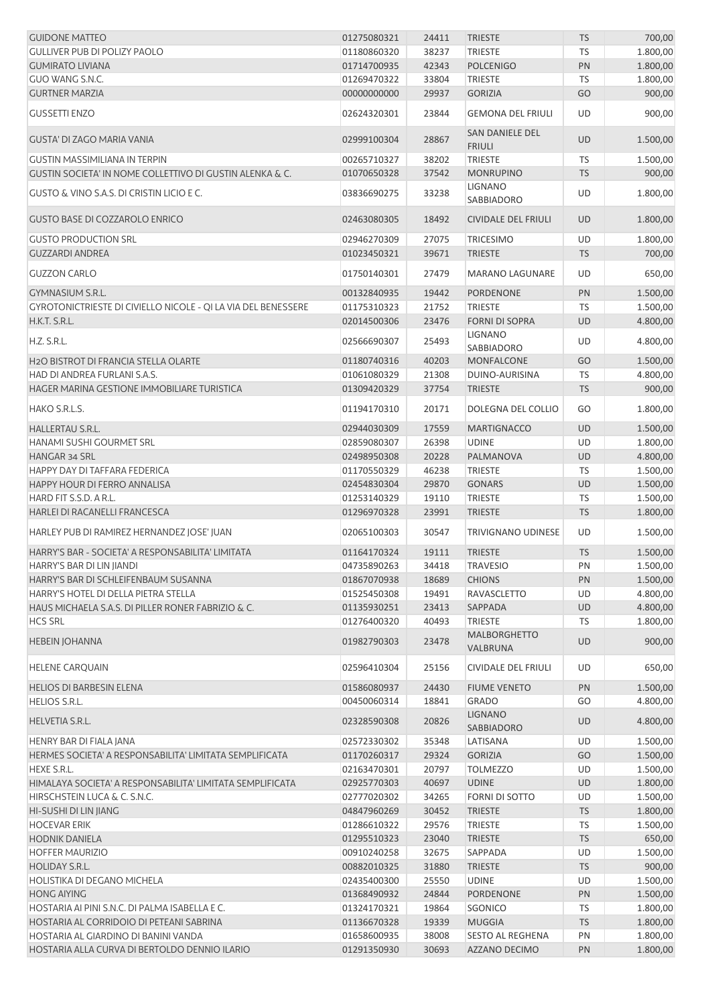| <b>GUIDONE MATTEO</b>                                               | 01275080321                | 24411          | <b>TRIESTE</b>                   | <b>TS</b> | 700,00               |
|---------------------------------------------------------------------|----------------------------|----------------|----------------------------------|-----------|----------------------|
| <b>GULLIVER PUB DI POLIZY PAOLO</b>                                 | 01180860320                | 38237          | <b>TRIESTE</b>                   | TS        | 1.800,00             |
| <b>GUMIRATO LIVIANA</b>                                             | 01714700935                | 42343          | <b>POLCENIGO</b>                 | PN        | 1.800,00             |
| GUO WANG S.N.C.                                                     | 01269470322                | 33804          | <b>TRIESTE</b>                   | <b>TS</b> | 1.800,00             |
| <b>GURTNER MARZIA</b>                                               | 00000000000                | 29937          | <b>GORIZIA</b>                   | GO        | 900,00               |
| <b>GUSSETTI ENZO</b>                                                | 02624320301                | 23844          | <b>GEMONA DEL FRIULI</b>         | UD        | 900,00               |
| GUSTA' DI ZAGO MARIA VANIA                                          | 02999100304                | 28867          | SAN DANIELE DEL<br><b>FRIULI</b> | <b>UD</b> | 1.500,00             |
| <b>GUSTIN MASSIMILIANA IN TERPIN</b>                                | 00265710327                | 38202          | <b>TRIESTE</b>                   | TS        | 1.500,00             |
| <b>GUSTIN SOCIETA' IN NOME COLLETTIVO DI GUSTIN ALENKA &amp; C.</b> | 01070650328                | 37542          | <b>MONRUPINO</b>                 | <b>TS</b> | 900,00               |
| <b>GUSTO &amp; VINO S.A.S. DI CRISTIN LICIO E C.</b>                | 03836690275                | 33238          | <b>LIGNANO</b><br>SABBIADORO     | UD        | 1.800,00             |
| <b>GUSTO BASE DI COZZAROLO ENRICO</b>                               | 02463080305                | 18492          | <b>CIVIDALE DEL FRIULI</b>       | <b>UD</b> | 1.800,00             |
|                                                                     |                            |                |                                  |           |                      |
| <b>GUSTO PRODUCTION SRL</b>                                         | 02946270309                | 27075          | <b>TRICESIMO</b>                 | UD        | 1.800,00             |
| <b>GUZZARDI ANDREA</b>                                              | 01023450321                | 39671          | <b>TRIESTE</b>                   | <b>TS</b> | 700,00               |
| <b>GUZZON CARLO</b>                                                 | 01750140301                | 27479          | <b>MARANO LAGUNARE</b>           | <b>UD</b> | 650,00               |
| GYMNASIUM S.R.L.                                                    | 00132840935                | 19442          | PORDENONE                        | PN        | 1.500,00             |
| GYROTONICTRIESTE DI CIVIELLO NICOLE - QI LA VIA DEL BENESSERE       | 01175310323                | 21752          | <b>TRIESTE</b>                   | TS        | 1.500,00             |
| H.K.T. S.R.L.                                                       | 02014500306                | 23476          | <b>FORNI DI SOPRA</b>            | <b>UD</b> | 4.800,00             |
| H.Z. S.R.L.                                                         | 02566690307                | 25493          | <b>LIGNANO</b><br>SABBIADORO     | UD        | 4.800,00             |
| H2O BISTROT DI FRANCIA STELLA OLARTE                                | 01180740316                | 40203          | <b>MONFALCONE</b>                | GO        | 1.500,00             |
| HAD DI ANDREA FURLANI S.A.S.                                        | 01061080329                | 21308          | DUINO-AURISINA                   | TS        | 4.800,00             |
| HAGER MARINA GESTIONE IMMOBILIARE TURISTICA                         | 01309420329                | 37754          | <b>TRIESTE</b>                   | <b>TS</b> | 900,00               |
| HAKO S.R.L.S.                                                       | 01194170310                | 20171          | DOLEGNA DEL COLLIO               | GO        | 1.800,00             |
| HALLERTAU S.R.L.                                                    | 02944030309                | 17559          | <b>MARTIGNACCO</b>               | <b>UD</b> | 1.500,00             |
| HANAMI SUSHI GOURMET SRL                                            | 02859080307                | 26398          | <b>UDINE</b>                     | UD        | 1.800,00             |
| HANGAR 34 SRL                                                       | 02498950308                | 20228          | PALMANOVA                        | <b>UD</b> | 4.800,00             |
| HAPPY DAY DI TAFFARA FEDERICA                                       | 01170550329                | 46238          | <b>TRIESTE</b>                   | TS        | 1.500,00             |
| HAPPY HOUR DI FERRO ANNALISA                                        | 02454830304                | 29870          | <b>GONARS</b>                    | UD        | 1.500,00             |
| HARD FIT S.S.D. A R.L.                                              | 01253140329                | 19110          | <b>TRIESTE</b>                   | TS        | 1.500,00             |
| HARLEI DI RACANELLI FRANCESCA                                       | 01296970328                | 23991          | <b>TRIESTE</b>                   | <b>TS</b> | 1.800,00             |
| HARLEY PUB DI RAMIREZ HERNANDEZ JOSE' JUAN                          | 02065100303                | 30547          | <b>TRIVIGNANO UDINESE</b>        | UD        | 1.500,00             |
| HARRY'S BAR - SOCIETA' A RESPONSABILITA' LIMITATA                   | 01164170324                | 19111          | <b>TRIESTE</b>                   | <b>TS</b> | 1.500,00             |
| HARRY'S BAR DI LIN JIANDI                                           | 04735890263                | 34418          | <b>TRAVESIO</b>                  | PN        | 1.500,00             |
| HARRY'S BAR DI SCHLEIFENBAUM SUSANNA                                | 01867070938                | 18689          | <b>CHIONS</b>                    | PN        | 1.500,00             |
| HARRY'S HOTEL DI DELLA PIETRA STELLA                                | 01525450308                | 19491          | <b>RAVASCLETTO</b>               | UD        | 4.800,00             |
| HAUS MICHAELA S.A.S. DI PILLER RONER FABRIZIO & C.                  | 01135930251                | 23413          | SAPPADA                          | <b>UD</b> | 4.800,00             |
| <b>HCS SRL</b>                                                      | 01276400320                | 40493          | <b>TRIESTE</b>                   | TS        | 1.800,00             |
| <b>HEBEIN JOHANNA</b>                                               | 01982790303                | 23478          | <b>MALBORGHETTO</b><br>VALBRUNA  | <b>UD</b> | 900,00               |
| <b>HELENE CARQUAIN</b>                                              | 02596410304                | 25156          | CIVIDALE DEL FRIULI              | UD        | 650,00               |
|                                                                     |                            |                |                                  |           |                      |
| <b>HELIOS DI BARBESIN ELENA</b>                                     | 01586080937                | 24430          | <b>FIUME VENETO</b>              | PN        | 1.500,00             |
| HELIOS S.R.L.<br>HELVETIA S.R.L.                                    | 00450060314<br>02328590308 | 18841<br>20826 | <b>GRADO</b><br><b>LIGNANO</b>   | GO<br>UD  | 4.800,00<br>4.800,00 |
|                                                                     |                            |                | SABBIADORO                       |           |                      |
| HENRY BAR DI FIALA JANA                                             | 02572330302                | 35348          | LATISANA                         | UD        | 1.500,00             |
| HERMES SOCIETA' A RESPONSABILITA' LIMITATA SEMPLIFICATA             | 01170260317                | 29324          | <b>GORIZIA</b>                   | GO        | 1.500,00             |
| <b>HEXE S.R.L.</b>                                                  | 02163470301                | 20797          | <b>TOLMEZZO</b>                  | UD        | 1.500,00             |
| HIMALAYA SOCIETA' A RESPONSABILITA' LIMITATA SEMPLIFICATA           | 02925770303                | 40697          | <b>UDINE</b>                     | UD        | 1.800,00             |
| HIRSCHSTEIN LUCA & C. S.N.C.                                        | 02777020302                | 34265          | FORNI DI SOTTO                   | UD        | 1.500,00             |
| HI-SUSHI DI LIN JIANG                                               | 04847960269                | 30452          | <b>TRIESTE</b>                   | <b>TS</b> | 1.800,00             |
| <b>HOCEVAR ERIK</b>                                                 | 01286610322                | 29576          | TRIESTE                          | TS        | 1.500,00             |
| <b>HODNIK DANIELA</b>                                               | 01295510323                | 23040          | <b>TRIESTE</b>                   | <b>TS</b> | 650,00               |
| <b>HOFFER MAURIZIO</b>                                              | 00910240258                | 32675          | SAPPADA                          | UD        | 1.500,00             |
| HOLIDAY S.R.L.                                                      | 00882010325                | 31880          | <b>TRIESTE</b>                   | <b>TS</b> | 900,00               |
| HOLISTIKA DI DEGANO MICHELA                                         | 02435400300                | 25550          | <b>UDINE</b>                     | UD        | 1.500,00             |
| <b>HONG AIYING</b>                                                  | 01368490932                | 24844          | PORDENONE                        | PN        | 1.500,00             |
| HOSTARIA AI PINI S.N.C. DI PALMA ISABELLA E C.                      | 01324170321                | 19864          | SGONICO                          | TS        | 1.800,00             |
| HOSTARIA AL CORRIDOIO DI PETEANI SABRINA                            | 01136670328                | 19339          | <b>MUGGIA</b>                    | <b>TS</b> | 1.800,00             |
| HOSTARIA AL GIARDINO DI BANINI VANDA                                | 01658600935<br>01291350930 | 38008<br>30693 | <b>SESTO AL REGHENA</b>          | PN        | 1.800,00             |
| HOSTARIA ALLA CURVA DI BERTOLDO DENNIO ILARIO                       |                            |                | AZZANO DECIMO                    | PN        | 1.800,00             |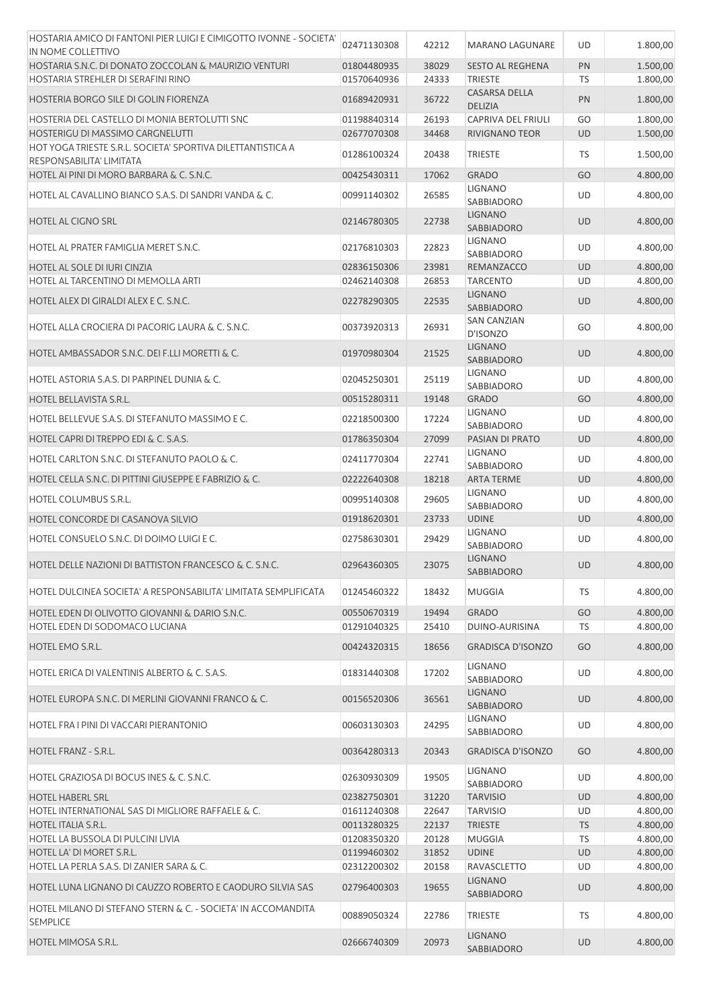| HOSTARIA AMICO DI FANTONI PIER LUIGI E CIMIGOTTO IVONNE - SOCIETA'<br>IN NOME COLLETTIVO | 02471130308 | 42212 | MARANO LAGUNARE                        | UD        | 1.800,00 |
|------------------------------------------------------------------------------------------|-------------|-------|----------------------------------------|-----------|----------|
| HOSTARIA S.N.C. DI DONATO ZOCCOLAN & MAURIZIO VENTURI                                    | 01804480935 | 38029 | <b>SESTO AL REGHENA</b>                | PN        | 1.500,00 |
| HOSTARIA STREHLER DI SERAFINI RINO                                                       | 01570640936 | 24333 | <b>TRIESTE</b>                         | TS        | 1.800,00 |
| HOSTERIA BORGO SILE DI GOLIN FIORENZA                                                    | 01689420931 | 36722 | <b>CASARSA DELLA</b><br><b>DELIZIA</b> | PN        | 1.800,00 |
| HOSTERIA DEL CASTELLO DI MONIA BERTOLUTTI SNC                                            | 01198840314 | 26193 | CAPRIVA DEL FRIULI                     | GO        | 1.800,00 |
| HOSTERIGU DI MASSIMO CARGNELUTTI                                                         | 02677070308 | 34468 | RIVIGNANO TEOR                         | <b>UD</b> | 1.500,00 |
| HOT YOGA TRIESTE S.R.L. SOCIETA' SPORTIVA DILETTANTISTICA A<br>RESPONSABILITA' LIMITATA  | 01286100324 | 20438 | <b>TRIESTE</b>                         | TS        | 1.500,00 |
| HOTEL AI PINI DI MORO BARBARA & C. S.N.C.                                                | 00425430311 | 17062 | <b>GRADO</b>                           | GO        | 4.800,00 |
|                                                                                          |             |       | <b>LIGNANO</b>                         |           |          |
| HOTEL AL CAVALLINO BIANCO S.A.S. DI SANDRI VANDA & C.                                    | 00991140302 | 26585 | SABBIADORO<br><b>LIGNANO</b>           | UD        | 4.800,00 |
| <b>HOTEL AL CIGNO SRL</b>                                                                | 02146780305 | 22738 | SABBIADORO                             | <b>UD</b> | 4.800,00 |
| HOTEL AL PRATER FAMIGLIA MERET S.N.C.                                                    | 02176810303 | 22823 | <b>LIGNANO</b><br><b>SABBIADORO</b>    | UD        | 4.800,00 |
| HOTEL AL SOLE DI IURI CINZIA                                                             | 02836150306 | 23981 | <b>REMANZACCO</b>                      | <b>UD</b> | 4.800,00 |
| HOTEL AL TARCENTINO DI MEMOLLA ARTI                                                      | 02462140308 | 26853 | <b>TARCENTO</b>                        | UD        | 4.800,00 |
| HOTEL ALEX DI GIRALDI ALEX E C. S.N.C.                                                   | 02278290305 | 22535 | <b>LIGNANO</b><br>SABBIADORO           | <b>UD</b> | 4.800,00 |
| HOTEL ALLA CROCIERA DI PACORIG LAURA & C. S.N.C.                                         | 00373920313 | 26931 | <b>SAN CANZIAN</b><br>D'ISONZO         | GO        | 4.800,00 |
| HOTEL AMBASSADOR S.N.C. DEI F.LLI MORETTI & C.                                           | 01970980304 | 21525 | <b>LIGNANO</b><br>SABBIADORO           | <b>UD</b> | 4.800,00 |
| HOTEL ASTORIA S.A.S. DI PARPINEL DUNIA & C.                                              | 02045250301 | 25119 | LIGNANO<br>SABBIADORO                  | UD        | 4.800,00 |
| HOTEL BELLAVISTA S.R.L.                                                                  | 00515280311 | 19148 | <b>GRADO</b>                           | GO        | 4.800,00 |
| HOTEL BELLEVUE S.A.S. DI STEFANUTO MASSIMO E C.                                          | 02218500300 | 17224 | <b>LIGNANO</b><br>SABBIADORO           | UD        | 4.800,00 |
| HOTEL CAPRI DI TREPPO EDI & C. S.A.S.                                                    | 01786350304 | 27099 | PASIAN DI PRATO                        | <b>UD</b> | 4.800,00 |
| HOTEL CARLTON S.N.C. DI STEFANUTO PAOLO & C.                                             | 02411770304 | 22741 | LIGNANO<br>SABBIADORO                  | <b>UD</b> | 4.800,00 |
| HOTEL CELLA S.N.C. DI PITTINI GIUSEPPE E FABRIZIO & C.                                   | 02222640308 | 18218 | <b>ARTA TERME</b>                      | <b>UD</b> | 4.800,00 |
| <b>HOTEL COLUMBUS S.R.L.</b>                                                             | 00995140308 | 29605 | <b>LIGNANO</b><br>SABBIADORO           | UD        | 4.800,00 |
| HOTEL CONCORDE DI CASANOVA SILVIO                                                        | 01918620301 | 23733 | <b>UDINE</b>                           | <b>UD</b> | 4.800,00 |
|                                                                                          |             |       | LIGNANO                                |           |          |
| HOTEL CONSUELO S.N.C. DI DOIMO LUIGI E C.                                                | 02758630301 | 29429 | SABBIADORO<br><b>LIGNANO</b>           | UD        | 4.800,00 |
| HOTEL DELLE NAZIONI DI BATTISTON FRANCESCO & C. S.N.C.                                   | 02964360305 | 23075 | SABBIADORO                             | <b>UD</b> | 4.800,00 |
| IHOTEL DULCINEA SOCIETA' A RESPONSABILITA' LIMITATA SEMPLIFICATA                         | 01245460322 | 18432 | <b>MUGGIA</b>                          | <b>TS</b> | 4.800,00 |
| HOTEL EDEN DI OLIVOTTO GIOVANNI & DARIO S.N.C.                                           | 00550670319 | 19494 | <b>GRADO</b>                           | GO        | 4.800,00 |
| HOTEL EDEN DI SODOMACO LUCIANA                                                           | 01291040325 | 25410 | DUINO-AURISINA                         | TS        | 4.800,00 |
| HOTEL EMO S.R.L.                                                                         | 00424320315 | 18656 | <b>GRADISCA D'ISONZO</b>               | GO        | 4.800,00 |
| HOTEL ERICA DI VALENTINIS ALBERTO & C. S.A.S.                                            | 01831440308 | 17202 | LIGNANO<br>SABBIADORO                  | UD        | 4.800,00 |
| HOTEL EUROPA S.N.C. DI MERLINI GIOVANNI FRANCO & C.                                      | 00156520306 | 36561 | <b>LIGNANO</b><br>SABBIADORO           | <b>UD</b> | 4.800,00 |
| HOTEL FRA I PINI DI VACCARI PIERANTONIO                                                  | 00603130303 | 24295 | <b>LIGNANO</b><br>SABBIADORO           | UD        | 4.800,00 |
| HOTEL FRANZ - S.R.L.                                                                     | 00364280313 | 20343 | <b>GRADISCA D'ISONZO</b>               | GO        | 4.800,00 |
| <b>HOTEL GRAZIOSA DI BOCUS INES &amp; C. S.N.C.</b>                                      | 02630930309 | 19505 | <b>LIGNANO</b><br><b>SABBIADORO</b>    | UD        | 4.800,00 |
| <b>HOTEL HABERL SRL</b>                                                                  | 02382750301 | 31220 | <b>TARVISIO</b>                        | <b>UD</b> | 4.800,00 |
| HOTEL INTERNATIONAL SAS DI MIGLIORE RAFFAELE & C.                                        | 01611240308 | 22647 | <b>TARVISIO</b>                        | UD        | 4.800,00 |
| HOTEL ITALIA S.R.L.                                                                      | 00113280325 | 22137 | <b>TRIESTE</b>                         | <b>TS</b> | 4.800,00 |
| HOTEL LA BUSSOLA DI PULCINI LIVIA                                                        | 01208350320 | 20128 | <b>MUGGIA</b>                          | <b>TS</b> | 4.800,00 |
| HOTEL LA' DI MORET S.R.L.                                                                | 01199460302 | 31852 | <b>UDINE</b>                           | <b>UD</b> | 4.800,00 |
| HOTEL LA PERLA S.A.S. DI ZANIER SARA & C.                                                | 02312200302 | 20158 | RAVASCLETTO                            | UD        | 4.800,00 |
| HOTEL LUNA LIGNANO DI CAUZZO ROBERTO E CAODURO SILVIA SAS                                | 02796400303 | 19655 | <b>LIGNANO</b>                         | <b>UD</b> | 4.800,00 |
|                                                                                          |             |       | <b>SABBIADORO</b>                      |           |          |
| HOTEL MILANO DI STEFANO STERN & C. - SOCIETA' IN ACCOMANDITA<br><b>SEMPLICE</b>          | 00889050324 | 22786 | <b>TRIESTE</b>                         | TS        | 4.800,00 |
| HOTEL MIMOSA S.R.L.                                                                      | 02666740309 | 20973 | <b>LIGNANO</b><br>SABBIADORO           | UD        | 4.800,00 |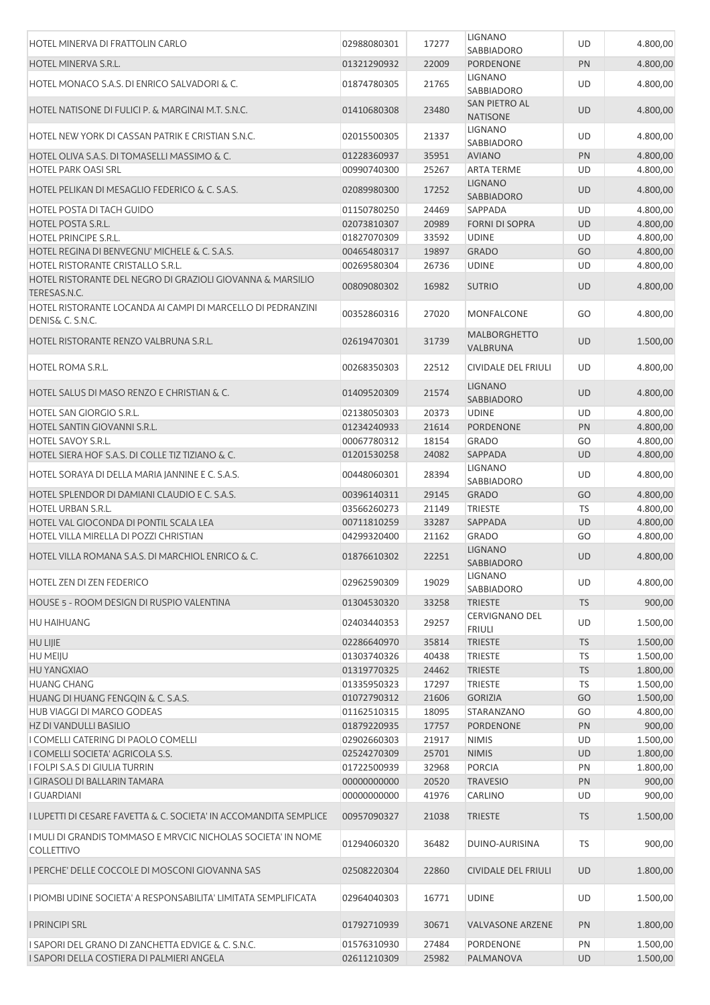| HOTEL MINERVA DI FRATTOLIN CARLO                                                  | 02988080301 | 17277 | <b>LIGNANO</b>                         | UD        | 4.800,00 |
|-----------------------------------------------------------------------------------|-------------|-------|----------------------------------------|-----------|----------|
| HOTEL MINERVA S.R.L.                                                              | 01321290932 | 22009 | SABBIADORO<br>PORDENONE                | PN        | 4.800,00 |
| HOTEL MONACO S.A.S. DI ENRICO SALVADORI & C.                                      | 01874780305 | 21765 | <b>LIGNANO</b><br>SABBIADORO           | UD        | 4.800,00 |
| HOTEL NATISONE DI FULICI P. & MARGINAI M.T. S.N.C.                                | 01410680308 | 23480 | SAN PIETRO AL<br><b>NATISONE</b>       | <b>UD</b> | 4.800,00 |
| HOTEL NEW YORK DI CASSAN PATRIK E CRISTIAN S.N.C.                                 | 02015500305 | 21337 | <b>LIGNANO</b><br>SABBIADORO           | UD        | 4.800,00 |
| HOTEL OLIVA S.A.S. DI TOMASELLI MASSIMO & C.                                      | 01228360937 | 35951 | <b>AVIANO</b>                          | PN        | 4.800,00 |
| <b>HOTEL PARK OASI SRL</b>                                                        | 00990740300 | 25267 | <b>ARTA TERME</b>                      | UD        | 4.800,00 |
| HOTEL PELIKAN DI MESAGLIO FEDERICO & C. S.A.S.                                    | 02089980300 | 17252 | <b>LIGNANO</b><br>SABBIADORO           | UD        | 4.800,00 |
| <b>HOTEL POSTA DI TACH GUIDO</b>                                                  | 01150780250 | 24469 | SAPPADA                                | <b>UD</b> | 4.800,00 |
| <b>HOTEL POSTA S.R.L.</b>                                                         | 02073810307 | 20989 | <b>FORNI DI SOPRA</b>                  | <b>UD</b> | 4.800,00 |
| HOTEL PRINCIPE S.R.L.                                                             | 01827070309 | 33592 | <b>UDINE</b>                           | UD        | 4.800,00 |
| HOTEL REGINA DI BENVEGNU' MICHELE & C. S.A.S.                                     | 00465480317 | 19897 | <b>GRADO</b>                           | GO        | 4.800,00 |
| HOTEL RISTORANTE CRISTALLO S.R.L.                                                 | 00269580304 | 26736 | <b>UDINE</b>                           | UD        | 4.800,00 |
| HOTEL RISTORANTE DEL NEGRO DI GRAZIOLI GIOVANNA & MARSILIO<br>TERESAS.N.C.        | 00809080302 | 16982 | <b>SUTRIO</b>                          | UD        | 4.800,00 |
| HOTEL RISTORANTE LOCANDA AI CAMPI DI MARCELLO DI PEDRANZINI<br>DENIS& C. S.N.C.   | 00352860316 | 27020 | <b>MONFALCONE</b>                      | GO        | 4.800,00 |
| HOTEL RISTORANTE RENZO VALBRUNA S.R.L.                                            | 02619470301 | 31739 | <b>MALBORGHETTO</b><br>VALBRUNA        | <b>UD</b> | 1.500,00 |
| HOTEL ROMA S.R.L.                                                                 | 00268350303 | 22512 | <b>CIVIDALE DEL FRIULI</b>             | UD        | 4.800,00 |
| HOTEL SALUS DI MASO RENZO E CHRISTIAN & C.                                        | 01409520309 | 21574 | <b>LIGNANO</b><br><b>SABBIADORO</b>    | <b>UD</b> | 4.800,00 |
| HOTEL SAN GIORGIO S.R.L.                                                          | 02138050303 | 20373 | <b>UDINE</b>                           | UD        | 4.800,00 |
| HOTEL SANTIN GIOVANNI S.R.L.                                                      | 01234240933 | 21614 | <b>PORDENONE</b>                       | PN        | 4.800,00 |
| HOTEL SAVOY S.R.L.                                                                | 00067780312 | 18154 | <b>GRADO</b>                           | GO        | 4.800,00 |
| HOTEL SIERA HOF S.A.S. DI COLLE TIZ TIZIANO & C.                                  | 01201530258 | 24082 | SAPPADA                                | <b>UD</b> | 4.800,00 |
| HOTEL SORAYA DI DELLA MARIA JANNINE E C. S.A.S.                                   | 00448060301 | 28394 | <b>LIGNANO</b><br>SABBIADORO           | UD        | 4.800,00 |
| HOTEL SPLENDOR DI DAMIANI CLAUDIO E C. S.A.S.                                     | 00396140311 | 29145 | <b>GRADO</b>                           | GO        | 4.800,00 |
| <b>HOTEL URBAN S.R.L.</b>                                                         | 03566260273 | 21149 | <b>TRIESTE</b>                         | <b>TS</b> | 4.800,00 |
| HOTEL VAL GIOCONDA DI PONTIL SCALA LEA                                            | 00711810259 | 33287 | SAPPADA                                | <b>UD</b> | 4.800,00 |
| HOTEL VILLA MIRELLA DI POZZI CHRISTIAN                                            | 04299320400 | 21162 | <b>GRADO</b>                           | GO        | 4.800,00 |
| HOTEL VILLA ROMANA S.A.S. DI MARCHIOL ENRICO & C.                                 | 01876610302 | 22251 | <b>LIGNANO</b><br>SABBIADORO           | UD        | 4.800,00 |
| HOTEL ZEN DI ZEN FEDERICO                                                         | 02962590309 | 19029 | <b>LIGNANO</b><br>SABBIADORO           | UD        | 4.800,00 |
| HOUSE 5 - ROOM DESIGN DI RUSPIO VALENTINA                                         | 01304530320 | 33258 | <b>TRIESTE</b>                         | <b>TS</b> | 900,00   |
| HU HAIHUANG                                                                       | 02403440353 | 29257 | <b>CERVIGNANO DEL</b><br><b>FRIULI</b> | UD        | 1.500,00 |
| <b>HU LIJIE</b>                                                                   | 02286640970 | 35814 | <b>TRIESTE</b>                         | <b>TS</b> | 1.500,00 |
| HU MEIJU                                                                          | 01303740326 | 40438 | <b>TRIESTE</b>                         | TS        | 1.500,00 |
| <b>HU YANGXIAO</b>                                                                | 01319770325 | 24462 | <b>TRIESTE</b>                         | <b>TS</b> | 1.800,00 |
| <b>HUANG CHANG</b>                                                                | 01335950323 | 17297 | <b>TRIESTE</b>                         | TS        | 1.500,00 |
| HUANG DI HUANG FENGQIN & C. S.A.S.                                                | 01072790312 | 21606 | <b>GORIZIA</b>                         | GO        | 1.500,00 |
| HUB VIAGGI DI MARCO GODEAS                                                        | 01162510315 | 18095 | <b>STARANZANO</b>                      | GO        | 4.800,00 |
| HZ DI VANDULLI BASILIO                                                            | 01879220935 | 17757 | PORDENONE                              | PN        | 900,00   |
| I COMELLI CATERING DI PAOLO COMELLI                                               | 02902660303 | 21917 | <b>NIMIS</b>                           | UD        | 1.500,00 |
| I COMELLI SOCIETA' AGRICOLA S.S.                                                  | 02524270309 | 25701 | <b>NIMIS</b>                           | <b>UD</b> | 1.800,00 |
| I FOLPI S.A.S DI GIULIA TURRIN                                                    | 01722500939 | 32968 | <b>PORCIA</b>                          | PN        | 1.800,00 |
| I GIRASOLI DI BALLARIN TAMARA                                                     | 00000000000 | 20520 | <b>TRAVESIO</b>                        | PN        | 900,00   |
| I GUARDIANI                                                                       | 00000000000 | 41976 | CARLINO                                | <b>UD</b> | 900,00   |
| <u>I LUPETTI DI CESARE FAVETTA &amp; C. SOCIETA' IN ACCOMANDITA SEMPLICE</u>      | 00957090327 | 21038 | <b>TRIESTE</b>                         | <b>TS</b> | 1.500,00 |
| I MULI DI GRANDIS TOMMASO E MRVCIC NICHOLAS SOCIETA' IN NOME<br><b>COLLETTIVO</b> | 01294060320 | 36482 | DUINO-AURISINA                         | TS        | 900,00   |
| I PERCHE' DELLE COCCOLE DI MOSCONI GIOVANNA SAS                                   | 02508220304 | 22860 | <b>CIVIDALE DEL FRIULI</b>             | <b>UD</b> | 1.800,00 |
| I PIOMBI UDINE SOCIETA' A RESPONSABILITA' LIMITATA SEMPLIFICATA                   | 02964040303 | 16771 | <b>UDINE</b>                           | UD        | 1.500,00 |
| <b>I PRINCIPI SRL</b>                                                             | 01792710939 | 30671 | <b>VALVASONE ARZENE</b>                | PN        | 1.800,00 |
| I SAPORI DEL GRANO DI ZANCHETTA EDVIGE & C. S.N.C.                                | 01576310930 | 27484 | <b>PORDENONE</b>                       | PN        | 1.500,00 |
| I SAPORI DELLA COSTIERA DI PALMIERI ANGELA                                        | 02611210309 | 25982 | PALMANOVA                              | <b>UD</b> | 1.500,00 |
|                                                                                   |             |       |                                        |           |          |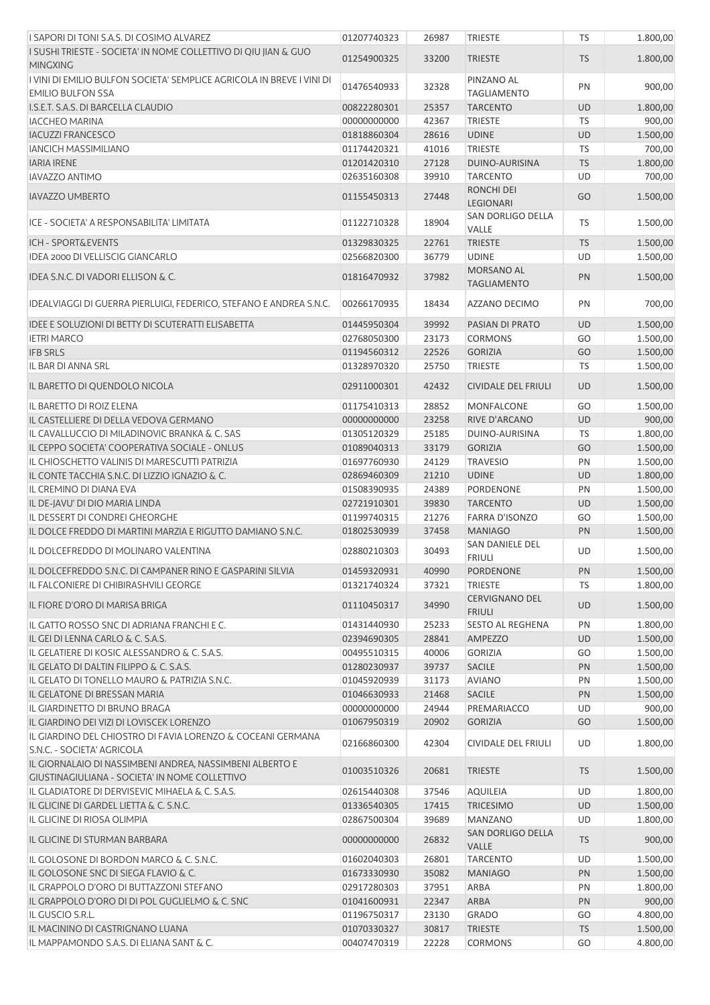| I SAPORI DI TONI S.A.S. DI COSIMO ALVAREZ                                                 | 01207740323 | 26987 | <b>TRIESTE</b>                   | TS        | 1.800,00 |
|-------------------------------------------------------------------------------------------|-------------|-------|----------------------------------|-----------|----------|
| I SUSHI TRIESTE - SOCIETA' IN NOME COLLETTIVO DI QIU JIAN & GUO                           |             |       |                                  |           |          |
| <b>MINGXING</b>                                                                           | 01254900325 | 33200 | <b>TRIESTE</b>                   | <b>TS</b> | 1.800,00 |
| I VINI DI EMILIO BULFON SOCIETA' SEMPLICE AGRICOLA IN BREVE I VINI DI                     |             |       | PINZANO AL                       |           |          |
| <b>EMILIO BULFON SSA</b>                                                                  | 01476540933 | 32328 | <b>TAGLIAMENTO</b>               | PN        | 900,00   |
| I.S.E.T. S.A.S. DI BARCELLA CLAUDIO                                                       | 00822280301 | 25357 | <b>TARCENTO</b>                  | <b>UD</b> | 1.800,00 |
| <b>IACCHEO MARINA</b>                                                                     | 00000000000 | 42367 | <b>TRIESTE</b>                   | TS        | 900,00   |
| <b>IACUZZI FRANCESCO</b>                                                                  | 01818860304 | 28616 | <b>UDINE</b>                     | <b>UD</b> | 1.500,00 |
| <b>IANCICH MASSIMILIANO</b>                                                               |             | 41016 | <b>TRIESTE</b>                   | TS        |          |
|                                                                                           | 01174420321 |       |                                  |           | 700,00   |
| <b>IARIA IRENE</b>                                                                        | 01201420310 | 27128 | DUINO-AURISINA                   | <b>TS</b> | 1.800,00 |
| <b>IAVAZZO ANTIMO</b>                                                                     | 02635160308 | 39910 | <b>TARCENTO</b>                  | UD        | 700,00   |
| <b>IAVAZZO UMBERTO</b>                                                                    | 01155450313 | 27448 | <b>RONCHI DEI</b><br>LEGIONARI   | GO        | 1.500,00 |
| ICE - SOCIETA' A RESPONSABILITA' LIMITATA                                                 | 01122710328 | 18904 | SAN DORLIGO DELLA<br>VALLE       | TS        | 1.500,00 |
| <b>ICH - SPORT&amp;EVENTS</b>                                                             | 01329830325 | 22761 | <b>TRIESTE</b>                   | <b>TS</b> | 1.500,00 |
| IDEA 2000 DI VELLISCIG GIANCARLO                                                          | 02566820300 | 36779 | <b>UDINE</b>                     | UD        | 1.500,00 |
|                                                                                           |             |       | MORSANO AL                       |           |          |
| IDEA S.N.C. DI VADORI ELLISON & C.                                                        | 01816470932 | 37982 | <b>TAGLIAMENTO</b>               | PN        | 1.500,00 |
| IDEALVIAGGI DI GUERRA PIERLUIGI, FEDERICO, STEFANO E ANDREA S.N.C.                        | 00266170935 | 18434 | AZZANO DECIMO                    | PN        | 700,00   |
| <b>IDEE E SOLUZIONI DI BETTY DI SCUTERATTI ELISABETTA</b>                                 | 01445950304 | 39992 | PASIAN DI PRATO                  | <b>UD</b> | 1.500,00 |
| <b>IETRI MARCO</b>                                                                        | 02768050300 | 23173 | <b>CORMONS</b>                   | GO        | 1.500,00 |
| <b>IFB SRLS</b>                                                                           | 01194560312 | 22526 | <b>GORIZIA</b>                   | GO        | 1.500,00 |
| IL BAR DI ANNA SRL                                                                        | 01328970320 | 25750 | <b>TRIESTE</b>                   | <b>TS</b> | 1.500,00 |
| IL BARETTO DI QUENDOLO NICOLA                                                             | 02911000301 | 42432 | <b>CIVIDALE DEL FRIULI</b>       | <b>UD</b> | 1.500,00 |
| IL BARETTO DI ROIZ ELENA                                                                  | 01175410313 | 28852 | MONFALCONE                       | GO        | 1.500,00 |
| IL CASTELLIERE DI DELLA VEDOVA GERMANO                                                    | 00000000000 | 23258 | RIVE D'ARCANO                    | <b>UD</b> | 900,00   |
| IL CAVALLUCCIO DI MILADINOVIC BRANKA & C. SAS                                             |             | 25185 | DUINO-AURISINA                   | <b>TS</b> | 1.800,00 |
|                                                                                           | 01305120329 |       |                                  |           |          |
| IL CEPPO SOCIETA' COOPERATIVA SOCIALE - ONLUS                                             | 01089040313 | 33179 | <b>GORIZIA</b>                   | GO        | 1.500,00 |
| IL CHIOSCHETTO VALINIS DI MARESCUTTI PATRIZIA                                             | 01697760930 | 24129 | <b>TRAVESIO</b>                  | PN        | 1.500,00 |
| IL CONTE TACCHIA S.N.C. DI LIZZIO IGNAZIO & C.                                            | 02869460309 | 21210 | <b>UDINE</b>                     | <b>UD</b> | 1.800,00 |
| IL CREMINO DI DIANA EVA                                                                   | 01508390935 | 24389 | <b>PORDENONE</b>                 | PN        | 1.500,00 |
| IL DE-JAVU' DI DIO MARIA LINDA                                                            | 02721910301 | 39830 | <b>TARCENTO</b>                  | UD        | 1.500,00 |
| IL DESSERT DI CONDREI GHEORGHE                                                            | 01199740315 | 21276 | <b>FARRA D'ISONZO</b>            | GO        | 1.500,00 |
| IL DOLCE FREDDO DI MARTINI MARZIA E RIGUTTO DAMIANO S.N.C.                                | 01802530939 | 37458 | <b>MANIAGO</b>                   | PN        | 1.500,00 |
| IL DOLCEFREDDO DI MOLINARO VALENTINA                                                      | 02880210303 | 30493 | SAN DANIELE DEL<br><b>FRIULI</b> | UD        | 1.500,00 |
| IL DOLCEFREDDO S.N.C. DI CAMPANER RINO E GASPARINI SILVIA                                 | 01459320931 | 40990 | <b>PORDENONE</b>                 | PN        | 1.500,00 |
| IL FALCONIERE DI CHIBIRASHVILI GEORGE                                                     | 01321740324 | 37321 | <b>TRIESTE</b>                   | TS        | 1.800,00 |
| IL FIORE D'ORO DI MARISA BRIGA                                                            | 01110450317 | 34990 | <b>CERVIGNANO DEL</b>            | <b>UD</b> | 1.500,00 |
|                                                                                           |             |       | <b>FRIULI</b>                    |           |          |
| IL GATTO ROSSO SNC DI ADRIANA FRANCHI E C.                                                | 01431440930 | 25233 | <b>SESTO AL REGHENA</b>          | PN        | 1.800,00 |
| IL GEI DI LENNA CARLO & C. S.A.S.                                                         | 02394690305 | 28841 | AMPEZZO                          | <b>UD</b> | 1.500,00 |
| IL GELATIERE DI KOSIC ALESSANDRO & C. S.A.S.                                              | 00495510315 | 40006 | <b>GORIZIA</b>                   | GO        | 1.500,00 |
| IL GELATO DI DALTIN FILIPPO & C. S.A.S.                                                   | 01280230937 | 39737 | SACILE                           | PN        | 1.500,00 |
| IL GELATO DI TONELLO MAURO & PATRIZIA S.N.C.                                              | 01045920939 | 31173 | <b>AVIANO</b>                    | PN        | 1.500,00 |
| IL GELATONE DI BRESSAN MARIA                                                              | 01046630933 | 21468 | SACILE                           | PN        | 1.500,00 |
| IL GIARDINETTO DI BRUNO BRAGA                                                             | 00000000000 | 24944 | PREMARIACCO                      | UD        | 900,00   |
| IL GIARDINO DEI VIZI DI LOVISCEK LORENZO                                                  | 01067950319 | 20902 | <b>GORIZIA</b>                   | GO        | 1.500,00 |
| IL GIARDINO DEL CHIOSTRO DI FAVIA LORENZO & COCEANI GERMANA<br>S.N.C. - SOCIETA' AGRICOLA | 02166860300 | 42304 | CIVIDALE DEL FRIULI              | UD        | 1.800,00 |
| IL GIORNALAIO DI NASSIMBENI ANDREA, NASSIMBENI ALBERTO E                                  | 01003510326 | 20681 | <b>TRIESTE</b>                   | <b>TS</b> | 1.500,00 |
| GIUSTINAGIULIANA - SOCIETA' IN NOME COLLETTIVO                                            |             |       |                                  |           |          |
| IL GLADIATORE DI DERVISEVIC MIHAELA & C. S.A.S.                                           | 02615440308 | 37546 | AQUILEIA                         | UD        | 1.800,00 |
| IL GLICINE DI GARDEL LIETTA & C. S.N.C.                                                   | 01336540305 | 17415 | <b>TRICESIMO</b>                 | UD        | 1.500,00 |
| IL GLICINE DI RIOSA OLIMPIA                                                               | 02867500304 | 39689 | <b>MANZANO</b>                   | UD        | 1.800,00 |
| IL GLICINE DI STURMAN BARBARA                                                             | 00000000000 | 26832 | SAN DORLIGO DELLA<br>VALLE       | <b>TS</b> | 900,00   |
| IL GOLOSONE DI BORDON MARCO & C. S.N.C.                                                   | 01602040303 | 26801 | <b>TARCENTO</b>                  | UD        | 1.500,00 |
| IL GOLOSONE SNC DI SIEGA FLAVIO & C.                                                      | 01673330930 | 35082 | <b>MANIAGO</b>                   | PN        | 1.500,00 |
| IL GRAPPOLO D'ORO DI BUTTAZZONI STEFANO                                                   | 02917280303 | 37951 | <b>ARBA</b>                      | PN        | 1.800,00 |
| IL GRAPPOLO D'ORO DI DI POL GUGLIELMO & C. SNC                                            | 01041600931 | 22347 | ARBA                             | PN        | 900,00   |
| IL GUSCIO S.R.L.                                                                          | 01196750317 | 23130 | <b>GRADO</b>                     | GO        | 4.800,00 |
| IL MACININO DI CASTRIGNANO LUANA                                                          | 01070330327 | 30817 | <b>TRIESTE</b>                   | <b>TS</b> | 1.500,00 |
| IL MAPPAMONDO S.A.S. DI ELIANA SANT & C.                                                  | 00407470319 | 22228 | <b>CORMONS</b>                   | GO        | 4.800,00 |
|                                                                                           |             |       |                                  |           |          |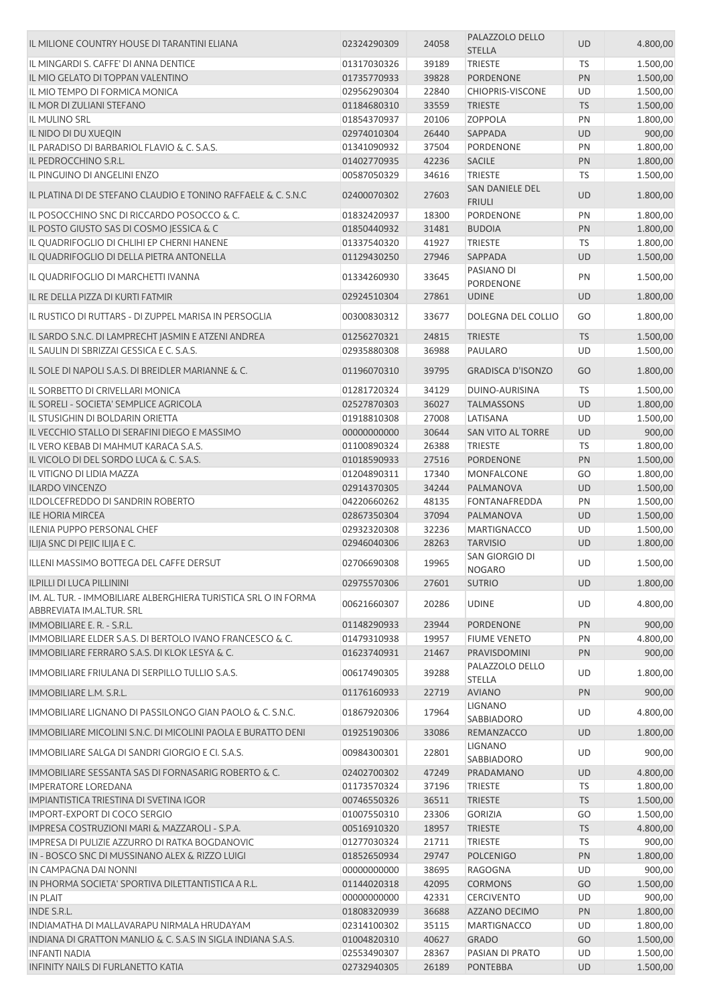| IL MILIONE COUNTRY HOUSE DI TARANTINI ELIANA                    | 02324290309 | 24058 | PALAZZOLO DELLO<br><b>STELLA</b>  | <b>UD</b> | 4.800,00 |
|-----------------------------------------------------------------|-------------|-------|-----------------------------------|-----------|----------|
| IL MINGARDI S. CAFFE' DI ANNA DENTICE                           | 01317030326 | 39189 | <b>TRIESTE</b>                    | TS        | 1.500,00 |
| IL MIO GELATO DI TOPPAN VALENTINO                               | 01735770933 | 39828 | <b>PORDENONE</b>                  | PN        | 1.500,00 |
| IL MIO TEMPO DI FORMICA MONICA                                  | 02956290304 | 22840 | <b>CHIOPRIS-VISCONE</b>           | UD        | 1.500,00 |
| IL MOR DI ZULIANI STEFANO                                       | 01184680310 | 33559 | <b>TRIESTE</b>                    | <b>TS</b> | 1.500,00 |
| IL MULINO SRL                                                   | 01854370937 | 20106 | <b>ZOPPOLA</b>                    | PN        | 1.800,00 |
| IL NIDO DI DU XUEQIN                                            | 02974010304 | 26440 | SAPPADA                           | <b>UD</b> | 900,00   |
| IL PARADISO DI BARBARIOL FLAVIO & C. S.A.S.                     | 01341090932 | 37504 | PORDENONE                         | PN        | 1.800,00 |
| IL PEDROCCHINO S.R.L.                                           | 01402770935 | 42236 | <b>SACILE</b>                     | PN        | 1.800,00 |
| IL PINGUINO DI ANGELINI ENZO                                    | 00587050329 | 34616 | <b>TRIESTE</b>                    | TS        | 1.500,00 |
| IL PLATINA DI DE STEFANO CLAUDIO E TONINO RAFFAELE & C. S.N.C   | 02400070302 | 27603 | <b>SAN DANIELE DEL</b>            | <b>UD</b> | 1.800,00 |
| IL POSOCCHINO SNC DI RICCARDO POSOCCO & C.                      | 01832420937 | 18300 | <b>FRIULI</b><br><b>PORDENONE</b> | PN        | 1.800,00 |
| IL POSTO GIUSTO SAS DI COSMO JESSICA & C                        | 01850440932 | 31481 | <b>BUDOIA</b>                     | PN        | 1.800,00 |
| IL QUADRIFOGLIO DI CHLIHI EP CHERNI HANENE                      | 01337540320 | 41927 | <b>TRIESTE</b>                    | TS        | 1.800,00 |
| IL QUADRIFOGLIO DI DELLA PIETRA ANTONELLA                       | 01129430250 | 27946 | SAPPADA                           | <b>UD</b> | 1.500,00 |
|                                                                 |             |       | PASIANO DI                        |           |          |
| IL QUADRIFOGLIO DI MARCHETTI IVANNA                             | 01334260930 | 33645 | PORDENONE                         | PN        | 1.500,00 |
| IL RE DELLA PIZZA DI KURTI FATMIR                               | 02924510304 | 27861 | <b>UDINE</b>                      | <b>UD</b> | 1.800,00 |
| IL RUSTICO DI RUTTARS - DI ZUPPEL MARISA IN PERSOGLIA           | 00300830312 | 33677 | DOLEGNA DEL COLLIO                | GO        | 1.800,00 |
| IL SARDO S.N.C. DI LAMPRECHT JASMIN E ATZENI ANDREA             | 01256270321 | 24815 | <b>TRIESTE</b>                    | <b>TS</b> | 1.500,00 |
| IL SAULIN DI SBRIZZAI GESSICA E C. S.A.S.                       | 02935880308 | 36988 | PAULARO                           | UD        | 1.500,00 |
| IL SOLE DI NAPOLI S.A.S. DI BREIDLER MARIANNE & C.              | 01196070310 | 39795 | <b>GRADISCA D'ISONZO</b>          | GO        | 1.800,00 |
| IL SORBETTO DI CRIVELLARI MONICA                                | 01281720324 | 34129 | DUINO-AURISINA                    | TS        | 1.500,00 |
| IL SORELI - SOCIETA' SEMPLICE AGRICOLA                          | 02527870303 | 36027 | <b>TALMASSONS</b>                 | <b>UD</b> | 1.800,00 |
| IL STUSIGHIN DI BOLDARIN ORIETTA                                | 01918810308 | 27008 | LATISANA                          | UD        | 1.500,00 |
| IL VECCHIO STALLO DI SERAFINI DIEGO E MASSIMO                   | 00000000000 | 30644 | <b>SAN VITO AL TORRE</b>          | <b>UD</b> | 900,00   |
| IL VERO KEBAB DI MAHMUT KARACA S.A.S.                           | 01100890324 | 26388 | <b>TRIESTE</b>                    | TS        | 1.800,00 |
| IL VICOLO DI DEL SORDO LUCA & C. S.A.S.                         | 01018590933 | 27516 | PORDENONE                         | PN        | 1.500,00 |
| IL VITIGNO DI LIDIA MAZZA                                       | 01204890311 | 17340 | <b>MONFALCONE</b>                 | GO        | 1.800,00 |
| <b>ILARDO VINCENZO</b>                                          | 02914370305 | 34244 | PALMANOVA                         | <b>UD</b> | 1.500,00 |
| ILDOLCEFREDDO DI SANDRIN ROBERTO                                | 04220660262 | 48135 | <b>FONTANAFREDDA</b>              | PN        | 1.500,00 |
| <b>ILE HORIA MIRCEA</b>                                         | 02867350304 | 37094 | PALMANOVA                         | UD        | 1.500,00 |
| <b>ILENIA PUPPO PERSONAL CHEF</b>                               | 02932320308 | 32236 | <b>MARTIGNACCO</b>                | UD        | 1.500,00 |
| ILIJA SNC DI PEJIC ILIJA E C.                                   | 02946040306 | 28263 | <b>TARVISIO</b>                   | <b>UD</b> | 1.800,00 |
| ILLENI MASSIMO BOTTEGA DEL CAFFE DERSUT                         | 02706690308 | 19965 | SAN GIORGIO DI<br><b>NOGARO</b>   | <b>UD</b> | 1.500,00 |
| <b>ILPILLI DI LUCA PILLININI</b>                                | 02975570306 | 27601 | <b>SUTRIO</b>                     | <b>UD</b> | 1.800,00 |
| IM. AL. TUR. - IMMOBILIARE ALBERGHIERA TURISTICA SRL O IN FORMA |             |       |                                   |           |          |
| ABBREVIATA IM.AL.TUR. SRL                                       | 00621660307 | 20286 | <b>UDINE</b>                      | <b>UD</b> | 4.800,00 |
| IMMOBILIARE E. R. - S.R.L.                                      | 01148290933 | 23944 | <b>PORDENONE</b>                  | PN        | 900,00   |
| IMMOBILIARE ELDER S.A.S. DI BERTOLO IVANO FRANCESCO & C.        | 01479310938 | 19957 | <b>FIUME VENETO</b>               | PN        | 4.800,00 |
| IMMOBILIARE FERRARO S.A.S. DI KLOK LESYA & C.                   | 01623740931 | 21467 | PRAVISDOMINI                      | PN        | 900,00   |
| IMMOBILIARE FRIULANA DI SERPILLO TULLIO S.A.S.                  | 00617490305 | 39288 | PALAZZOLO DELLO<br><b>STELLA</b>  | UD        | 1.800,00 |
| IMMOBILIARE L.M. S.R.L.                                         | 01176160933 | 22719 | <b>AVIANO</b>                     | PN        | 900,00   |
| IMMOBILIARE LIGNANO DI PASSILONGO GIAN PAOLO & C. S.N.C.        | 01867920306 | 17964 | <b>LIGNANO</b><br>SABBIADORO      | UD        | 4.800,00 |
| IMMOBILIARE MICOLINI S.N.C. DI MICOLINI PAOLA E BURATTO DENI    | 01925190306 | 33086 | REMANZACCO                        | <b>UD</b> | 1.800,00 |
| IMMOBILIARE SALGA DI SANDRI GIORGIO E CI. S.A.S.                | 00984300301 | 22801 | LIGNANO<br>SABBIADORO             | UD        | 900,00   |
| IMMOBILIARE SESSANTA SAS DI FORNASARIG ROBERTO & C.             | 02402700302 | 47249 | PRADAMANO                         | <b>UD</b> | 4.800,00 |
| <b>IMPERATORE LOREDANA</b>                                      | 01173570324 | 37196 | <b>TRIESTE</b>                    | TS        | 1.800,00 |
| IMPIANTISTICA TRIESTINA DI SVETINA IGOR                         | 00746550326 | 36511 | <b>TRIESTE</b>                    | <b>TS</b> | 1.500,00 |
| IMPORT-EXPORT DI COCO SERGIO                                    | 01007550310 | 23306 | <b>GORIZIA</b>                    | GO        | 1.500,00 |
| IMPRESA COSTRUZIONI MARI & MAZZAROLI - S.P.A.                   | 00516910320 | 18957 | <b>TRIESTE</b>                    | <b>TS</b> | 4.800,00 |
| IMPRESA DI PULIZIE AZZURRO DI RATKA BOGDANOVIC                  | 01277030324 | 21711 | TRIESTE                           | <b>TS</b> | 900,00   |
| IN - BOSCO SNC DI MUSSINANO ALEX & RIZZO LUIGI                  | 01852650934 | 29747 | <b>POLCENIGO</b>                  | PN        | 1.800,00 |
| IN CAMPAGNA DAI NONNI                                           | 00000000000 | 38695 | RAGOGNA                           | UD        | 900,00   |
| IN PHORMA SOCIETA' SPORTIVA DILETTANTISTICA A R.L.              | 01144020318 | 42095 | <b>CORMONS</b>                    | GO        | 1.500,00 |
| <b>IN PLAIT</b>                                                 | 00000000000 | 42331 | <b>CERCIVENTO</b>                 | UD        | 900,00   |
| <b>INDE S.R.L.</b>                                              | 01808320939 | 36688 | AZZANO DECIMO                     | PN        | 1.800,00 |
| INDIAMATHA DI MALLAVARAPU NIRMALA HRUDAYAM                      | 02314100302 | 35115 | <b>MARTIGNACCO</b>                | UD        | 1.800,00 |
| INDIANA DI GRATTON MANLIO & C. S.A.S IN SIGLA INDIANA S.A.S.    | 01004820310 | 40627 | <b>GRADO</b>                      | GO        | 1.500,00 |
| <b>INFANTI NADIA</b>                                            | 02553490307 | 28367 | PASIAN DI PRATO                   | UD        | 1.500,00 |
| <b>INFINITY NAILS DI FURLANETTO KATIA</b>                       | 02732940305 | 26189 | <b>PONTEBBA</b>                   | <b>UD</b> | 1.500,00 |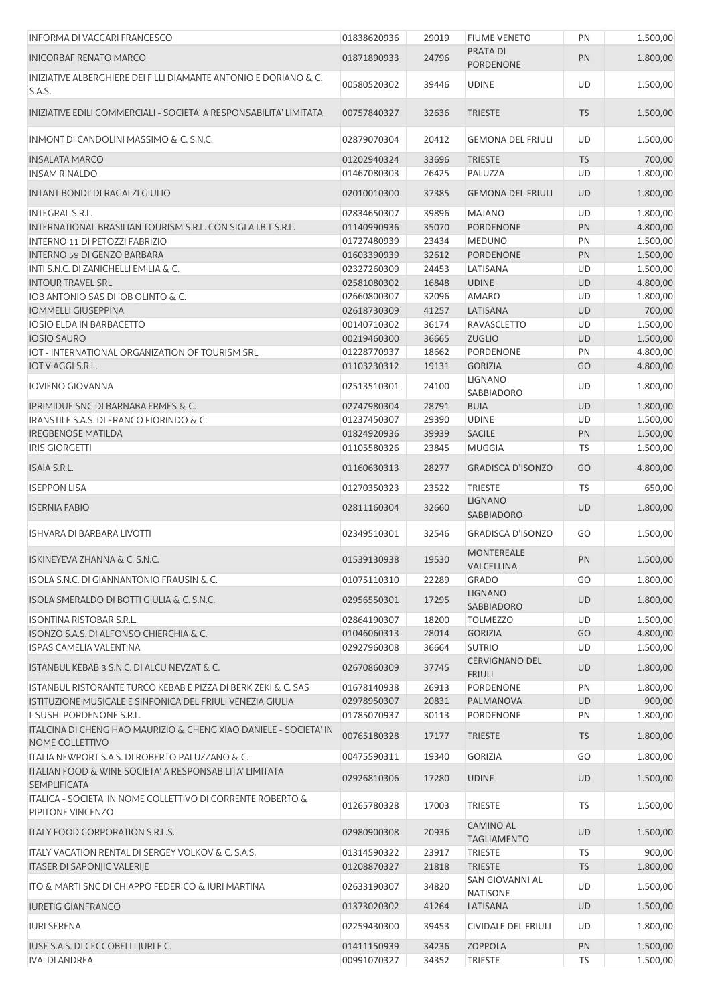| <b>INFORMA DI VACCARI FRANCESCO</b>                                                  | 01838620936 | 29019 | <b>FIUME VENETO</b>                    | PN        | 1.500,00 |
|--------------------------------------------------------------------------------------|-------------|-------|----------------------------------------|-----------|----------|
| <b>INICORBAF RENATO MARCO</b>                                                        | 01871890933 | 24796 | <b>PRATA DI</b><br><b>PORDENONE</b>    | PN        | 1.800,00 |
| INIZIATIVE ALBERGHIERE DEI F.LLI DIAMANTE ANTONIO E DORIANO & C.<br>S.A.S.           | 00580520302 | 39446 | <b>UDINE</b>                           | <b>UD</b> | 1.500,00 |
| INIZIATIVE EDILI COMMERCIALI - SOCIETA' A RESPONSABILITA' LIMITATA                   | 00757840327 | 32636 | <b>TRIESTE</b>                         | <b>TS</b> | 1.500,00 |
| INMONT DI CANDOLINI MASSIMO & C. S.N.C.                                              | 02879070304 | 20412 | <b>GEMONA DEL FRIULI</b>               | UD        | 1.500,00 |
| <b>INSALATA MARCO</b>                                                                | 01202940324 | 33696 | <b>TRIESTE</b>                         | <b>TS</b> | 700,00   |
| <b>INSAM RINALDO</b>                                                                 | 01467080303 | 26425 | PALUZZA                                | UD        | 1.800,00 |
| INTANT BONDI' DI RAGALZI GIULIO                                                      | 02010010300 | 37385 | <b>GEMONA DEL FRIULI</b>               | <b>UD</b> | 1.800,00 |
| <b>INTEGRAL S.R.L.</b>                                                               | 02834650307 | 39896 | <b>MAJANO</b>                          | UD        | 1.800,00 |
| INTERNATIONAL BRASILIAN TOURISM S.R.L. CON SIGLA I.B.T S.R.L.                        | 01140990936 | 35070 | <b>PORDENONE</b>                       | PN        | 4.800,00 |
| INTERNO 11 DI PETOZZI FABRIZIO                                                       | 01727480939 | 23434 | <b>MEDUNO</b>                          | PN        | 1.500,00 |
| INTERNO 59 DI GENZO BARBARA                                                          | 01603390939 | 32612 | <b>PORDENONE</b>                       | PN        | 1.500,00 |
| INTI S.N.C. DI ZANICHELLI EMILIA & C.                                                | 02327260309 | 24453 | LATISANA                               | UD        | 1.500,00 |
| <b>INTOUR TRAVEL SRL</b>                                                             | 02581080302 | 16848 | <b>UDINE</b>                           | UD        | 4.800,00 |
| IOB ANTONIO SAS DI IOB OLINTO & C.                                                   | 02660800307 | 32096 | <b>AMARO</b>                           | UD        | 1.800,00 |
| <b>IOMMELLI GIUSEPPINA</b>                                                           | 02618730309 | 41257 | LATISANA                               | UD        | 700,00   |
| <b>IOSIO ELDA IN BARBACETTO</b>                                                      | 00140710302 | 36174 | <b>RAVASCLETTO</b>                     | UD        | 1.500,00 |
| <b>IOSIO SAURO</b>                                                                   | 00219460300 | 36665 | <b>ZUGLIO</b>                          | <b>UD</b> | 1.500,00 |
| IOT - INTERNATIONAL ORGANIZATION OF TOURISM SRL                                      | 01228770937 | 18662 | PORDENONE                              | PN        | 4.800,00 |
| <b>IOT VIAGGI S.R.L.</b>                                                             | 01103230312 | 19131 | <b>GORIZIA</b>                         | GO        | 4.800,00 |
| <b>IOVIENO GIOVANNA</b>                                                              | 02513510301 | 24100 | <b>LIGNANO</b><br>SABBIADORO           | UD        | 1.800,00 |
| IPRIMIDUE SNC DI BARNABA ERMES & C.                                                  | 02747980304 | 28791 | <b>BUIA</b>                            | UD        | 1.800,00 |
| IRANSTILE S.A.S. DI FRANCO FIORINDO & C.                                             | 01237450307 | 29390 | <b>UDINE</b>                           | UD        | 1.500,00 |
| <b>IREGBENOSE MATILDA</b>                                                            | 01824920936 | 39939 | SACILE                                 | PN        | 1.500,00 |
| <b>IRIS GIORGETTI</b>                                                                | 01105580326 | 23845 | <b>MUGGIA</b>                          | TS        | 1.500,00 |
| ISAIA S.R.L.                                                                         | 01160630313 | 28277 | <b>GRADISCA D'ISONZO</b>               | GO        | 4.800,00 |
| <b>ISEPPON LISA</b>                                                                  | 01270350323 | 23522 | <b>TRIESTE</b>                         | <b>TS</b> | 650,00   |
| <b>ISERNIA FABIO</b>                                                                 | 02811160304 | 32660 | <b>LIGNANO</b><br>SABBIADORO           | UD        | 1.800,00 |
| <b>ISHVARA DI BARBARA LIVOTTI</b>                                                    | 02349510301 | 32546 | <b>GRADISCA D'ISONZO</b>               | GO        | 1.500,00 |
| ISKINEYEVA ZHANNA & C. S.N.C.                                                        | 01539130938 | 19530 | <b>MONTEREALE</b><br>VALCELLINA        | <b>PN</b> | 1.500,00 |
| ISOLA S.N.C. DI GIANNANTONIO FRAUSIN & C.                                            | 01075110310 | 22289 | <b>GRADO</b>                           | GO        | 1.800,00 |
| ISOLA SMERALDO DI BOTTI GIULIA & C. S.N.C.                                           | 02956550301 | 17295 | <b>LIGNANO</b><br>SABBIADORO           | <b>UD</b> | 1.800,00 |
| <b>ISONTINA RISTOBAR S.R.L.</b>                                                      | 02864190307 | 18200 | <b>TOLMEZZO</b>                        | UD        | 1.500,00 |
| ISONZO S.A.S. DI ALFONSO CHIERCHIA & C.                                              | 01046060313 | 28014 | <b>GORIZIA</b>                         | GO        | 4.800,00 |
| <b>ISPAS CAMELIA VALENTINA</b>                                                       | 02927960308 | 36664 | <b>SUTRIO</b>                          | UD        | 1.500,00 |
| ISTANBUL KEBAB 3 S.N.C. DI ALCU NEVZAT & C.                                          | 02670860309 | 37745 | CERVIGNANO DEL<br><b>FRIULI</b>        | UD        | 1.800,00 |
| ISTANBUL RISTORANTE TURCO KEBAB E PIZZA DI BERK ZEKI & C. SAS                        | 01678140938 | 26913 | PORDENONE                              | PN        | 1.800,00 |
| ISTITUZIONE MUSICALE E SINFONICA DEL FRIULI VENEZIA GIULIA                           | 02978950307 | 20831 | PALMANOVA                              | <b>UD</b> | 900,00   |
| I-SUSHI PORDENONE S.R.L.                                                             | 01785070937 | 30113 | PORDENONE                              | PN        | 1.800,00 |
| ITALCINA DI CHENG HAO MAURIZIO & CHENG XIAO DANIELE - SOCIETA' IN<br>NOME COLLETTIVO | 00765180328 | 17177 | <b>TRIESTE</b>                         | <b>TS</b> | 1.800,00 |
| ITALIA NEWPORT S.A.S. DI ROBERTO PALUZZANO & C.                                      | 00475590311 | 19340 | <b>GORIZIA</b>                         | GO        | 1.800,00 |
| ITALIAN FOOD & WINE SOCIETA' A RESPONSABILITA' LIMITATA<br><b>SEMPLIFICATA</b>       | 02926810306 | 17280 | <b>UDINE</b>                           | <b>UD</b> | 1.500,00 |
| ITALICA - SOCIETA' IN NOME COLLETTIVO DI CORRENTE ROBERTO &<br>PIPITONE VINCENZO     | 01265780328 | 17003 | <b>TRIESTE</b>                         | <b>TS</b> | 1.500,00 |
| ITALY FOOD CORPORATION S.R.L.S.                                                      | 02980900308 | 20936 | <b>CAMINO AL</b><br><b>TAGLIAMENTO</b> | UD        | 1.500,00 |
| ITALY VACATION RENTAL DI SERGEY VOLKOV & C. S.A.S.                                   | 01314590322 | 23917 | <b>TRIESTE</b>                         | <b>TS</b> | 900,00   |
| ITASER DI SAPONJIC VALERIJE                                                          | 01208870327 | 21818 | <b>TRIESTE</b>                         | <b>TS</b> | 1.800,00 |
| ITO & MARTI SNC DI CHIAPPO FEDERICO & IURI MARTINA                                   | 02633190307 | 34820 | SAN GIOVANNI AL                        | UD        | 1.500,00 |
| <b>IURETIG GIANFRANCO</b>                                                            | 01373020302 | 41264 | <b>NATISONE</b><br>LATISANA            | <b>UD</b> | 1.500,00 |
| <b>IURI SERENA</b>                                                                   | 02259430300 | 39453 | <b>CIVIDALE DEL FRIULI</b>             | UD        | 1.800,00 |
| IUSE S.A.S. DI CECCOBELLI JURI E C.                                                  | 01411150939 | 34236 | <b>ZOPPOLA</b>                         | PN        | 1.500,00 |
| <b>IVALDI ANDREA</b>                                                                 | 00991070327 | 34352 | <b>TRIESTE</b>                         | TS        | 1.500,00 |
|                                                                                      |             |       |                                        |           |          |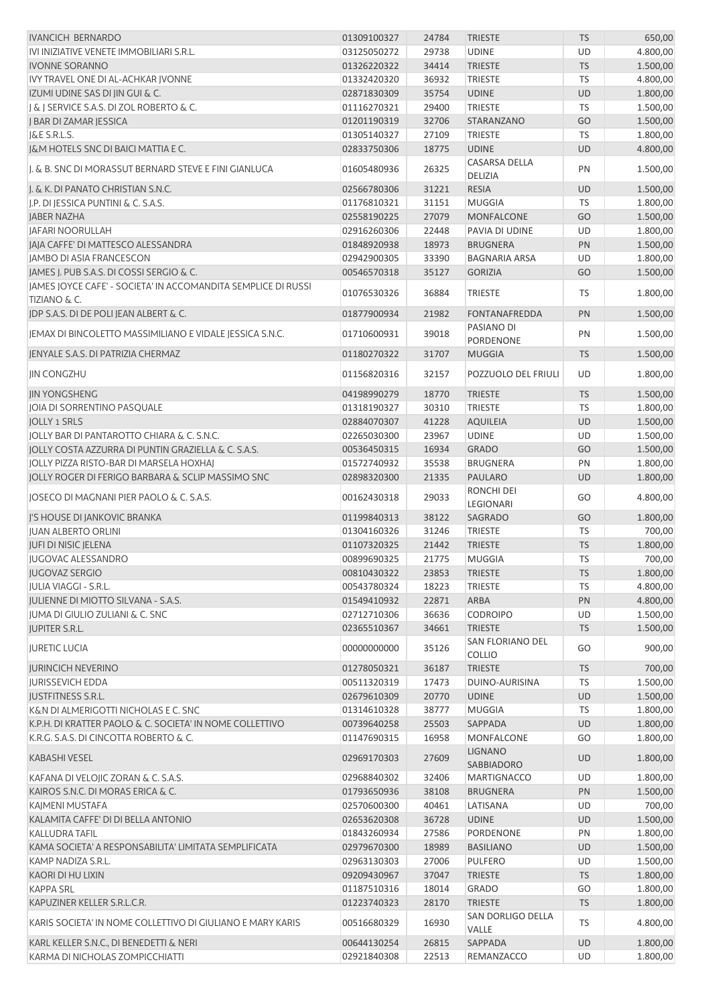| <b>IVANCICH BERNARDO</b>                                                                 | 01309100327 | 24784 | <b>TRIESTE</b>                    | <b>TS</b> | 650,00   |
|------------------------------------------------------------------------------------------|-------------|-------|-----------------------------------|-----------|----------|
| IVI INIZIATIVE VENETE IMMOBILIARI S.R.L.                                                 | 03125050272 | 29738 | <b>UDINE</b>                      | UD        | 4.800,00 |
| <b>IVONNE SORANNO</b>                                                                    | 01326220322 | 34414 | <b>TRIESTE</b>                    | <b>TS</b> | 1.500,00 |
| IVY TRAVEL ONE DI AL-ACHKAR JVONNE                                                       | 01332420320 | 36932 | <b>TRIESTE</b>                    | <b>TS</b> | 4.800,00 |
| IZUMI UDINE SAS DI JIN GUI & C.                                                          | 02871830309 | 35754 | <b>UDINE</b>                      | <b>UD</b> | 1.800,00 |
| J & J SERVICE S.A.S. DI ZOL ROBERTO & C.                                                 | 01116270321 | 29400 | <b>TRIESTE</b>                    | <b>TS</b> | 1.500,00 |
| J BAR DI ZAMAR JESSICA                                                                   | 01201190319 | 32706 | STARANZANO                        | GO        | 1.500,00 |
| J&E S.R.L.S.                                                                             | 01305140327 | 27109 | <b>TRIESTE</b>                    | <b>TS</b> | 1.800,00 |
| <b>J&amp;M HOTELS SNC DI BAICI MATTIA E C.</b>                                           |             |       |                                   |           |          |
|                                                                                          | 02833750306 | 18775 | <b>UDINE</b>                      | <b>UD</b> | 4.800,00 |
| I. & B. SNC DI MORASSUT BERNARD STEVE E FINI GIANLUCA                                    | 01605480936 | 26325 | CASARSA DELLA<br><b>DELIZIA</b>   | PN        | 1.500,00 |
| I. & K. DI PANATO CHRISTIAN S.N.C.                                                       | 02566780306 | 31221 | <b>RESIA</b>                      | <b>UD</b> | 1.500,00 |
| I.P. DI JESSICA PUNTINI & C. S.A.S.                                                      | 01176810321 | 31151 | <b>MUGGIA</b>                     | <b>TS</b> | 1.800,00 |
|                                                                                          |             |       |                                   |           |          |
| <b>JABER NAZHA</b>                                                                       | 02558190225 | 27079 | <b>MONFALCONE</b>                 | GO        | 1.500,00 |
| JAFARI NOORULLAH                                                                         | 02916260306 | 22448 | PAVIA DI UDINE                    | UD        | 1.800,00 |
| JAJA CAFFE' DI MATTESCO ALESSANDRA                                                       | 01848920938 | 18973 | <b>BRUGNERA</b>                   | PN        | 1.500,00 |
| JAMBO DI ASIA FRANCESCON                                                                 | 02942900305 | 33390 | <b>BAGNARIA ARSA</b>              | UD        | 1.800,00 |
| JAMES J. PUB S.A.S. DI COSSI SERGIO & C.                                                 | 00546570318 | 35127 | <b>GORIZIA</b>                    | GO        | 1.500,00 |
| JAMES JOYCE CAFE' - SOCIETA' IN ACCOMANDITA SEMPLICE DI RUSSI<br><b>TIZIANO &amp; C.</b> | 01076530326 | 36884 | <b>TRIESTE</b>                    | TS        | 1.800,00 |
| JDP S.A.S. DI DE POLI JEAN ALBERT & C.                                                   | 01877900934 | 21982 | <b>FONTANAFREDDA</b>              | PN        | 1.500,00 |
| JEMAX DI BINCOLETTO MASSIMILIANO E VIDALE JESSICA S.N.C.                                 | 01710600931 | 39018 | PASIANO DI                        | PN        | 1.500,00 |
|                                                                                          |             |       | PORDENONE                         |           |          |
| IENYALE S.A.S. DI PATRIZIA CHERMAZ                                                       | 01180270322 | 31707 | <b>MUGGIA</b>                     | <b>TS</b> | 1.500,00 |
| <b>JIN CONGZHU</b>                                                                       | 01156820316 | 32157 | POZZUOLO DEL FRIULI               | UD        | 1.800,00 |
| <b>JIN YONGSHENG</b>                                                                     | 04198990279 | 18770 | <b>TRIESTE</b>                    | <b>TS</b> | 1.500,00 |
| JOIA DI SORRENTINO PASQUALE                                                              | 01318190327 | 30310 | <b>TRIESTE</b>                    | <b>TS</b> | 1.800,00 |
| <b>JOLLY 1 SRLS</b>                                                                      | 02884070307 | 41228 | <b>AQUILEIA</b>                   | <b>UD</b> | 1.500,00 |
| JOLLY BAR DI PANTAROTTO CHIARA & C. S.N.C.                                               | 02265030300 | 23967 | <b>UDINE</b>                      | UD        | 1.500,00 |
| JOLLY COSTA AZZURRA DI PUNTIN GRAZIELLA & C. S.A.S.                                      | 00536450315 | 16934 | <b>GRADO</b>                      | GO        | 1.500,00 |
| JOLLY PIZZA RISTO-BAR DI MARSELA HOXHAJ                                                  | 01572740932 | 35538 | <b>BRUGNERA</b>                   | PN        | 1.800,00 |
| JOLLY ROGER DI FERIGO BARBARA & SCLIP MASSIMO SNC                                        | 02898320300 | 21335 | PAULARO                           | <b>UD</b> | 1.800,00 |
|                                                                                          |             |       | RONCHI DEI                        |           |          |
| JOSECO DI MAGNANI PIER PAOLO & C. S.A.S.                                                 | 00162430318 | 29033 | LEGIONARI                         | GO        | 4.800,00 |
| J'S HOUSE DI JANKOVIC BRANKA                                                             | 01199840313 | 38122 | SAGRADO                           | GO        | 1.800,00 |
| <b>JUAN ALBERTO ORLINI</b>                                                               | 01304160326 | 31246 | <b>TRIESTE</b>                    | TS        | 700,00   |
| JUFI DI NISIC JELENA                                                                     | 01107320325 | 21442 | <b>TRIESTE</b>                    | <b>TS</b> | 1.800,00 |
| <b>JUGOVAC ALESSANDRO</b>                                                                | 00899690325 | 21775 | <b>MUGGIA</b>                     | <b>TS</b> | 700,00   |
| <b>JUGOVAZ SERGIO</b>                                                                    | 00810430322 | 23853 | <b>TRIESTE</b>                    | <b>TS</b> | 1.800,00 |
|                                                                                          |             |       |                                   |           |          |
| <b>IULIA VIAGGI - S.R.L.</b>                                                             | 00543780324 | 18223 | <b>TRIESTE</b>                    | TS        | 4.800,00 |
| JULIENNE DI MIOTTO SILVANA - S.A.S.                                                      | 01549410932 | 22871 | ARBA                              | PN        | 4.800,00 |
| IUMA DI GIULIO ZULIANI & C. SNC                                                          | 02712710306 | 36636 | <b>CODROIPO</b>                   | UD        | 1.500,00 |
| <b>JUPITER S.R.L.</b>                                                                    | 02365510367 | 34661 | <b>TRIESTE</b>                    | <b>TS</b> | 1.500,00 |
| <b>JURETIC LUCIA</b>                                                                     | 00000000000 | 35126 | SAN FLORIANO DEL<br><b>COLLIO</b> | GO        | 900,00   |
| <b>JURINCICH NEVERINO</b>                                                                | 01278050321 | 36187 | <b>TRIESTE</b>                    | <b>TS</b> | 700,00   |
| <b>JURISSEVICH EDDA</b>                                                                  | 00511320319 | 17473 | DUINO-AURISINA                    | TS        | 1.500,00 |
| <b>JUSTFITNESS S.R.L.</b>                                                                | 02679610309 | 20770 | <b>UDINE</b>                      | <b>UD</b> | 1.500,00 |
| K&N DI ALMERIGOTTI NICHOLAS E C. SNC                                                     | 01314610328 | 38777 | <b>MUGGIA</b>                     |           | 1.800,00 |
|                                                                                          |             |       |                                   | TS        |          |
| K.P.H. DI KRATTER PAOLO & C. SOCIETA' IN NOME COLLETTIVO                                 | 00739640258 | 25503 | SAPPADA                           | <b>UD</b> | 1.800,00 |
| K.R.G. S.A.S. DI CINCOTTA ROBERTO & C.                                                   | 01147690315 | 16958 | MONFALCONE                        | GO        | 1.800,00 |
| <b>KABASHI VESEL</b>                                                                     | 02969170303 | 27609 | <b>LIGNANO</b><br>SABBIADORO      | <b>UD</b> | 1.800,00 |
| KAFANA DI VELOJIC ZORAN & C. S.A.S.                                                      | 02968840302 | 32406 | MARTIGNACCO                       | UD        | 1.800,00 |
| KAIROS S.N.C. DI MORAS ERICA & C.                                                        | 01793650936 | 38108 | <b>BRUGNERA</b>                   | PN        | 1.500,00 |
| KAJMENI MUSTAFA                                                                          | 02570600300 | 40461 | LATISANA                          | UD        | 700,00   |
| KALAMITA CAFFE' DI DI BELLA ANTONIO                                                      | 02653620308 | 36728 | <b>UDINE</b>                      | <b>UD</b> | 1.500,00 |
| <b>KALLUDRA TAFIL</b>                                                                    | 01843260934 | 27586 | PORDENONE                         | PN        | 1.800,00 |
| KAMA SOCIETA' A RESPONSABILITA' LIMITATA SEMPLIFICATA                                    | 02979670300 | 18989 | <b>BASILIANO</b>                  | <b>UD</b> | 1.500,00 |
| KAMP NADIZA S.R.L.                                                                       | 02963130303 | 27006 | PULFERO                           | UD        | 1.500,00 |
|                                                                                          |             |       |                                   |           |          |
| <b>KAORI DI HU LIXIN</b>                                                                 | 09209430967 | 37047 | <b>TRIESTE</b>                    | <b>TS</b> | 1.800,00 |
| <b>KAPPA SRL</b>                                                                         | 01187510316 | 18014 | <b>GRADO</b>                      | GO        | 1.800,00 |
| KAPUZINER KELLER S.R.L.C.R.                                                              | 01223740323 | 28170 | <b>TRIESTE</b>                    | <b>TS</b> | 1.800,00 |
| KARIS SOCIETA' IN NOME COLLETTIVO DI GIULIANO E MARY KARIS                               | 00516680329 | 16930 | SAN DORLIGO DELLA<br>VALLE        | <b>TS</b> | 4.800,00 |
| KARL KELLER S.N.C., DI BENEDETTI & NERI                                                  | 00644130254 | 26815 | SAPPADA                           | <b>UD</b> | 1.800,00 |
| KARMA DI NICHOLAS ZOMPICCHIATTI                                                          | 02921840308 | 22513 | REMANZACCO                        | UD        | 1.800,00 |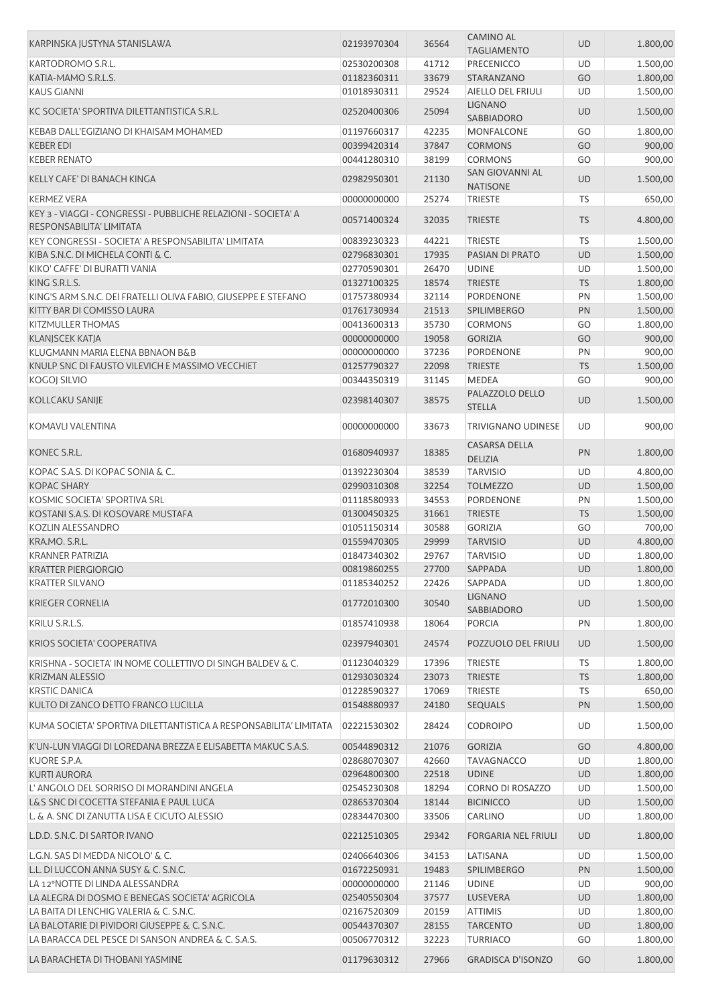| KARPINSKA JUSTYNA STANISLAWA                                      | 02193970304 | 36564 | <b>CAMINO AL</b><br><b>TAGLIAMENTO</b>    | <b>UD</b> | 1.800,00 |
|-------------------------------------------------------------------|-------------|-------|-------------------------------------------|-----------|----------|
| KARTODROMO S.R.L.                                                 | 02530200308 | 41712 | PRECENICCO                                | UD        | 1.500,00 |
| KATIA-MAMO S.R.L.S.                                               | 01182360311 | 33679 | STARANZANO                                | GO        | 1.800,00 |
| <b>KAUS GIANNI</b>                                                | 01018930311 | 29524 | AIELLO DEL FRIULI                         | UD        | 1.500,00 |
|                                                                   |             |       | <b>LIGNANO</b>                            |           |          |
| KC SOCIETA' SPORTIVA DILETTANTISTICA S.R.L.                       | 02520400306 | 25094 | <b>SABBIADORO</b>                         | UD        | 1.500,00 |
| KEBAB DALL'EGIZIANO DI KHAISAM MOHAMED                            | 01197660317 | 42235 | MONFALCONE                                | GO        | 1.800,00 |
| <b>KEBER EDI</b>                                                  | 00399420314 | 37847 | <b>CORMONS</b>                            | GO        | 900,00   |
| <b>KEBER RENATO</b>                                               | 00441280310 | 38199 | <b>CORMONS</b>                            | GO        | 900,00   |
| KELLY CAFE' DI BANACH KINGA                                       | 02982950301 | 21130 | <b>SAN GIOVANNI AL</b><br><b>NATISONE</b> | UD        | 1.500,00 |
| <b>KERMEZ VERA</b>                                                | 00000000000 | 25274 | <b>TRIESTE</b>                            | TS        | 650,00   |
| KEY 3 - VIAGGI - CONGRESSI - PUBBLICHE RELAZIONI - SOCIETA' A     | 00571400324 | 32035 | <b>TRIESTE</b>                            | <b>TS</b> | 4.800,00 |
| RESPONSABILITA' LIMITATA                                          |             |       |                                           |           |          |
| KEY CONGRESSI - SOCIETA' A RESPONSABILITA' LIMITATA               | 00839230323 | 44221 | <b>TRIESTE</b>                            | <b>TS</b> | 1.500,00 |
| KIBA S.N.C. DI MICHELA CONTI & C.                                 | 02796830301 | 17935 | PASIAN DI PRATO                           | UD        | 1.500,00 |
| KIKO' CAFFE' DI BURATTI VANIA                                     | 02770590301 | 26470 | <b>UDINE</b>                              | UD        | 1.500,00 |
| KING S.R.L.S.                                                     | 01327100325 | 18574 | <b>TRIESTE</b>                            | <b>TS</b> | 1.800,00 |
| KING'S ARM S.N.C. DEI FRATELLI OLIVA FABIO, GIUSEPPE E STEFANO    | 01757380934 | 32114 | PORDENONE                                 | PN        | 1.500,00 |
| KITTY BAR DI COMISSO LAURA                                        | 01761730934 | 21513 | <b>SPILIMBERGO</b>                        | PN        | 1.500,00 |
| <b>KITZMULLER THOMAS</b>                                          | 00413600313 | 35730 | <b>CORMONS</b>                            | GO        | 1.800,00 |
| <b>KLANJSCEK KATJA</b>                                            | 00000000000 | 19058 | <b>GORIZIA</b>                            | GO        | 900,00   |
| KLUGMANN MARIA ELENA BBNAON B&B                                   | 00000000000 | 37236 | PORDENONE                                 | PN        | 900,00   |
| KNULP SNC DI FAUSTO VILEVICH E MASSIMO VECCHIET                   | 01257790327 | 22098 | <b>TRIESTE</b>                            | <b>TS</b> | 1.500,00 |
| <b>KOGOJ SILVIO</b>                                               | 00344350319 | 31145 | <b>MEDEA</b>                              | GO        | 900,00   |
| KOLLCAKU SANIJE                                                   | 02398140307 | 38575 | PALAZZOLO DELLO<br><b>STELLA</b>          | UD        | 1.500,00 |
| KOMAVLI VALENTINA                                                 | 00000000000 | 33673 | <b>TRIVIGNANO UDINESE</b>                 | <b>UD</b> | 900,00   |
| KONEC S.R.L.                                                      | 01680940937 | 18385 | <b>CASARSA DELLA</b>                      | PN        | 1.800,00 |
|                                                                   |             |       | <b>DELIZIA</b>                            |           |          |
| KOPAC S.A.S. DI KOPAC SONIA & C                                   | 01392230304 | 38539 | <b>TARVISIO</b>                           | UD        | 4.800,00 |
| <b>KOPAC SHARY</b>                                                | 02990310308 | 32254 | <b>TOLMEZZO</b>                           | <b>UD</b> | 1.500,00 |
| KOSMIC SOCIETA' SPORTIVA SRL                                      | 01118580933 | 34553 | <b>PORDENONE</b>                          | PN        | 1.500,00 |
| KOSTANI S.A.S. DI KOSOVARE MUSTAFA                                | 01300450325 | 31661 | <b>TRIESTE</b>                            | <b>TS</b> | 1.500,00 |
| KOZLIN ALESSANDRO                                                 | 01051150314 | 30588 | <b>GORIZIA</b>                            | GO        | 700,00   |
| KRA.MO. S.R.L.                                                    | 01559470305 | 29999 | <b>TARVISIO</b>                           | <b>UD</b> | 4.800,00 |
| <b>KRANNER PATRIZIA</b>                                           | 01847340302 | 29767 | <b>TARVISIO</b>                           | UD        | 1.800,00 |
| <b>KRATTER PIERGIORGIO</b>                                        | 00819860255 | 27700 | SAPPADA                                   | <b>UD</b> | 1.800,00 |
| <b>KRATTER SILVANO</b>                                            | 01185340252 | 22426 | SAPPADA                                   | UD        | 1.800,00 |
| <b>KRIEGER CORNELIA</b>                                           | 01772010300 | 30540 | <b>LIGNANO</b>                            | UD        | 1.500,00 |
| KRILU S.R.L.S.                                                    | 01857410938 | 18064 | SABBIADORO<br><b>PORCIA</b>               | PN        | 1.800,00 |
| <b>KRIOS SOCIETA' COOPERATIVA</b>                                 | 02397940301 | 24574 | POZZUOLO DEL FRIULI                       | UD        | 1.500,00 |
|                                                                   |             |       |                                           |           |          |
| KRISHNA - SOCIETA' IN NOME COLLETTIVO DI SINGH BALDEV & C.        | 01123040329 | 17396 | <b>TRIESTE</b>                            | TS        | 1.800,00 |
| <b>KRIZMAN ALESSIO</b>                                            | 01293030324 | 23073 | <b>TRIESTE</b>                            | <b>TS</b> | 1.800,00 |
| <b>KRSTIC DANICA</b>                                              | 01228590327 | 17069 | <b>TRIESTE</b>                            | <b>TS</b> | 650,00   |
| KULTO DI ZANCO DETTO FRANCO LUCILLA                               | 01548880937 | 24180 | <b>SEQUALS</b>                            | PN        | 1.500,00 |
| KUMA SOCIETA' SPORTIVA DILETTANTISTICA A RESPONSABILITA' LIMITATA | 02221530302 | 28424 | <b>CODROIPO</b>                           | UD        | 1.500,00 |
| K'UN-LUN VIAGGI DI LOREDANA BREZZA E ELISABETTA MAKUC S.A.S.      | 00544890312 | 21076 | <b>GORIZIA</b>                            | GO        | 4.800,00 |
| KUORE S.P.A.                                                      | 02868070307 | 42660 | <b>TAVAGNACCO</b>                         | UD        | 1.800,00 |
| <b>KURTI AURORA</b>                                               | 02964800300 | 22518 | <b>UDINE</b>                              | <b>UD</b> | 1.800,00 |
| L'ANGOLO DEL SORRISO DI MORANDINI ANGELA                          | 02545230308 | 18294 | CORNO DI ROSAZZO                          | <b>UD</b> | 1.500,00 |
| L&S SNC DI COCETTA STEFANIA E PAUL LUCA                           | 02865370304 | 18144 | <b>BICINICCO</b>                          | <b>UD</b> | 1.500,00 |
| L. & A. SNC DI ZANUTTA LISA E CICUTO ALESSIO                      | 02834470300 | 33506 | CARLINO                                   | UD        | 1.800,00 |
| L.D.D. S.N.C. DI SARTOR IVANO                                     | 02212510305 | 29342 | <b>FORGARIA NEL FRIULI</b>                | <b>UD</b> | 1.800,00 |
| L.G.N. SAS DI MEDDA NICOLO' & C.                                  | 02406640306 | 34153 | LATISANA                                  | UD        | 1.500,00 |
| L.L. DI LUCCON ANNA SUSY & C. S.N.C.                              | 01672250931 | 19483 | <b>SPILIMBERGO</b>                        | PN        | 1.500,00 |
| LA 12°NOTTE DI LINDA ALESSANDRA                                   | 00000000000 | 21146 | <b>UDINE</b>                              | UD        | 900,00   |
| LA ALEGRA DI DOSMO E BENEGAS SOCIETA' AGRICOLA                    | 02540550304 | 37577 | LUSEVERA                                  | UD        | 1.800,00 |
| LA BAITA DI LENCHIG VALERIA & C. S.N.C.                           | 02167520309 | 20159 | <b>ATTIMIS</b>                            | UD        | 1.800,00 |
| LA BALOTARIE DI PIVIDORI GIUSEPPE & C. S.N.C.                     | 00544370307 | 28155 | <b>TARCENTO</b>                           | <b>UD</b> | 1.800,00 |
| LA BARACCA DEL PESCE DI SANSON ANDREA & C. S.A.S.                 | 00506770312 | 32223 | <b>TURRIACO</b>                           | GO        | 1.800,00 |
| LA BARACHETA DI THOBANI YASMINE                                   | 01179630312 | 27966 | <b>GRADISCA D'ISONZO</b>                  | GO        | 1.800,00 |
|                                                                   |             |       |                                           |           |          |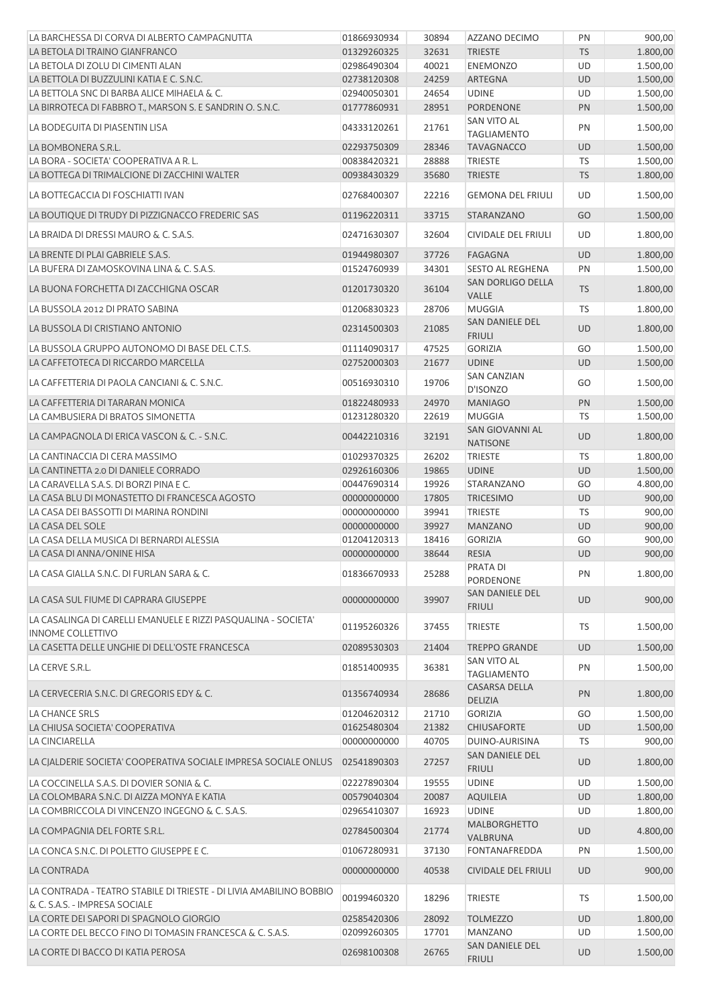| LA BARCHESSA DI CORVA DI ALBERTO CAMPAGNUTTA                                                         | 01866930934 | 30894 | AZZANO DECIMO                            | PN        | 900,00   |
|------------------------------------------------------------------------------------------------------|-------------|-------|------------------------------------------|-----------|----------|
| LA BETOLA DI TRAINO GIANFRANCO                                                                       | 01329260325 | 32631 | <b>TRIESTE</b>                           | <b>TS</b> | 1.800,00 |
| LA BETOLA DI ZOLU DI CIMENTI ALAN                                                                    | 02986490304 | 40021 | <b>ENEMONZO</b>                          | UD        | 1.500,00 |
| LA BETTOLA DI BUZZULINI KATIA E C. S.N.C.                                                            | 02738120308 | 24259 | ARTEGNA                                  | <b>UD</b> | 1.500,00 |
| LA BETTOLA SNC DI BARBA ALICE MIHAELA & C.                                                           | 02940050301 | 24654 | <b>UDINE</b>                             | UD        | 1.500,00 |
| LA BIRROTECA DI FABBRO T., MARSON S. E SANDRIN O. S.N.C.                                             | 01777860931 | 28951 | <b>PORDENONE</b>                         | PN        | 1.500,00 |
| LA BODEGUITA DI PIASENTIN LISA                                                                       | 04333120261 | 21761 | SAN VITO AL<br><b>TAGLIAMENTO</b>        | PN        | 1.500,00 |
| LA BOMBONERA S.R.L.                                                                                  | 02293750309 | 28346 | <b>TAVAGNACCO</b>                        | <b>UD</b> | 1.500,00 |
| LA BORA - SOCIETA' COOPERATIVA A R. L.                                                               | 00838420321 | 28888 | TRIESTE                                  | <b>TS</b> | 1.500,00 |
| LA BOTTEGA DI TRIMALCIONE DI ZACCHINI WALTER                                                         | 00938430329 | 35680 | <b>TRIESTE</b>                           | <b>TS</b> | 1.800,00 |
| LA BOTTEGACCIA DI FOSCHIATTI IVAN                                                                    | 02768400307 | 22216 | <b>GEMONA DEL FRIULI</b>                 | UD        | 1.500,00 |
| LA BOUTIQUE DI TRUDY DI PIZZIGNACCO FREDERIC SAS                                                     | 01196220311 | 33715 | STARANZANO                               | GO        | 1.500,00 |
| LA BRAIDA DI DRESSI MAURO & C. S.A.S.                                                                | 02471630307 | 32604 | CIVIDALE DEL FRIULI                      | UD        | 1.800,00 |
| LA BRENTE DI PLAI GABRIELE S.A.S.                                                                    | 01944980307 | 37726 | <b>FAGAGNA</b>                           | <b>UD</b> | 1.800,00 |
| LA BUFERA DI ZAMOSKOVINA LINA & C. S.A.S.                                                            | 01524760939 | 34301 | SESTO AL REGHENA                         | PN        | 1.500,00 |
| LA BUONA FORCHETTA DI ZACCHIGNA OSCAR                                                                | 01201730320 | 36104 | <b>SAN DORLIGO DELLA</b><br><b>VALLE</b> | <b>TS</b> | 1.800,00 |
| LA BUSSOLA 2012 DI PRATO SABINA                                                                      | 01206830323 | 28706 | <b>MUGGIA</b>                            | <b>TS</b> | 1.800,00 |
| LA BUSSOLA DI CRISTIANO ANTONIO                                                                      | 02314500303 | 21085 | SAN DANIELE DEL<br><b>FRIULI</b>         | <b>UD</b> | 1.800,00 |
| LA BUSSOLA GRUPPO AUTONOMO DI BASE DEL C.T.S.                                                        | 01114090317 | 47525 | <b>GORIZIA</b>                           | GO        | 1.500,00 |
| LA CAFFETOTECA DI RICCARDO MARCELLA                                                                  | 02752000303 | 21677 | <b>UDINE</b>                             | <b>UD</b> | 1.500,00 |
| LA CAFFETTERIA DI PAOLA CANCIANI & C. S.N.C.                                                         | 00516930310 | 19706 | <b>SAN CANZIAN</b><br>D'ISONZO           | GO        | 1.500,00 |
| LA CAFFETTERIA DI TARARAN MONICA                                                                     | 01822480933 | 24970 | <b>MANIAGO</b>                           | PN        | 1.500,00 |
| LA CAMBUSIERA DI BRATOS SIMONETTA                                                                    | 01231280320 | 22619 | <b>MUGGIA</b>                            | TS        | 1.500,00 |
| LA CAMPAGNOLA DI ERICA VASCON & C. - S.N.C.                                                          | 00442210316 | 32191 | SAN GIOVANNI AL<br><b>NATISONE</b>       | <b>UD</b> | 1.800,00 |
| LA CANTINACCIA DI CERA MASSIMO                                                                       | 01029370325 | 26202 | TRIESTE                                  | <b>TS</b> | 1.800,00 |
| LA CANTINETTA 2.0 DI DANIELE CORRADO                                                                 | 02926160306 | 19865 | <b>UDINE</b>                             | <b>UD</b> | 1.500,00 |
| LA CARAVELLA S.A.S. DI BORZI PINA E C.                                                               | 00447690314 | 19926 | STARANZANO                               | GO        | 4.800,00 |
| LA CASA BLU DI MONASTETTO DI FRANCESCA AGOSTO                                                        | 00000000000 | 17805 | <b>TRICESIMO</b>                         | <b>UD</b> | 900,00   |
| LA CASA DEI BASSOTTI DI MARINA RONDINI                                                               | 00000000000 | 39941 | TRIESTE                                  | <b>TS</b> | 900,00   |
| LA CASA DEL SOLE                                                                                     | 00000000000 | 39927 | <b>MANZANO</b>                           | <b>UD</b> | 900,00   |
| LA CASA DELLA MUSICA DI BERNARDI ALESSIA                                                             | 01204120313 | 18416 | <b>GORIZIA</b>                           | GO        | 900,00   |
| LA CASA DI ANNA/ONINE HISA                                                                           | 00000000000 | 38644 | <b>RESIA</b>                             | <b>UD</b> | 900,00   |
| LA CASA GIALLA S.N.C. DI FURLAN SARA & C.                                                            | 01836670933 | 25288 | <b>PRATA DI</b><br>PORDENONE             | PN        | 1.800,00 |
| LA CASA SUL FIUME DI CAPRARA GIUSEPPE                                                                | 00000000000 | 39907 | <b>SAN DANIELE DEL</b><br><b>FRIULI</b>  | <b>UD</b> | 900,00   |
| LA CASALINGA DI CARELLI EMANUELE E RIZZI PASQUALINA - SOCIETA'<br><b>INNOME COLLETTIVO</b>           | 01195260326 | 37455 | <b>TRIESTE</b>                           | TS        | 1.500,00 |
| LA CASETTA DELLE UNGHIE DI DELL'OSTE FRANCESCA                                                       | 02089530303 | 21404 | <b>TREPPO GRANDE</b>                     | <b>UD</b> | 1.500,00 |
| LA CERVE S.R.L.                                                                                      | 01851400935 | 36381 | SAN VITO AL<br><b>TAGLIAMENTO</b>        | PN        | 1.500,00 |
| LA CERVECERIA S.N.C. DI GREGORIS EDY & C.                                                            | 01356740934 | 28686 | CASARSA DELLA<br><b>DELIZIA</b>          | PN        | 1.800,00 |
| LA CHANCE SRLS                                                                                       | 01204620312 | 21710 | <b>GORIZIA</b>                           | GO        | 1.500,00 |
| LA CHIUSA SOCIETA' COOPERATIVA                                                                       | 01625480304 | 21382 | <b>CHIUSAFORTE</b>                       | <b>UD</b> | 1.500,00 |
| LA CINCIARELLA                                                                                       | 00000000000 | 40705 | DUINO-AURISINA                           | TS        | 900,00   |
| LA CJALDERIE SOCIETA' COOPERATIVA SOCIALE IMPRESA SOCIALE ONLUS                                      | 02541890303 | 27257 | SAN DANIELE DEL<br><b>FRIULI</b>         | <b>UD</b> | 1.800,00 |
| LA COCCINELLA S.A.S. DI DOVIER SONIA & C.                                                            | 02227890304 | 19555 | <b>UDINE</b>                             | UD        | 1.500,00 |
| LA COLOMBARA S.N.C. DI AIZZA MONYA E KATIA                                                           | 00579040304 | 20087 | <b>AQUILEIA</b>                          | <b>UD</b> | 1.800,00 |
| LA COMBRICCOLA DI VINCENZO INGEGNO & C. S.A.S.                                                       | 02965410307 | 16923 | <b>UDINE</b>                             | UD        | 1.800,00 |
| LA COMPAGNIA DEL FORTE S.R.L.                                                                        | 02784500304 | 21774 | <b>MALBORGHETTO</b><br>VALBRUNA          | <b>UD</b> | 4.800,00 |
| LA CONCA S.N.C. DI POLETTO GIUSEPPE E C.                                                             | 01067280931 | 37130 | FONTANAFREDDA                            | PN        | 1.500,00 |
| LA CONTRADA                                                                                          | 00000000000 | 40538 | <b>CIVIDALE DEL FRIULI</b>               | <b>UD</b> | 900,00   |
| LA CONTRADA - TEATRO STABILE DI TRIESTE - DI LIVIA AMABILINO BOBBIO<br>& C. S.A.S. - IMPRESA SOCIALE | 00199460320 | 18296 | <b>TRIESTE</b>                           | TS        | 1.500,00 |
| LA CORTE DEI SAPORI DI SPAGNOLO GIORGIO                                                              | 02585420306 | 28092 | <b>TOLMEZZO</b>                          | <b>UD</b> | 1.800,00 |
| LA CORTE DEL BECCO FINO DI TOMASIN FRANCESCA & C. S.A.S.                                             | 02099260305 | 17701 | MANZANO                                  | UD        | 1.500,00 |
| LA CORTE DI BACCO DI KATIA PEROSA                                                                    | 02698100308 | 26765 | SAN DANIELE DEL                          | <b>UD</b> | 1.500,00 |
|                                                                                                      |             |       | <b>FRIULI</b>                            |           |          |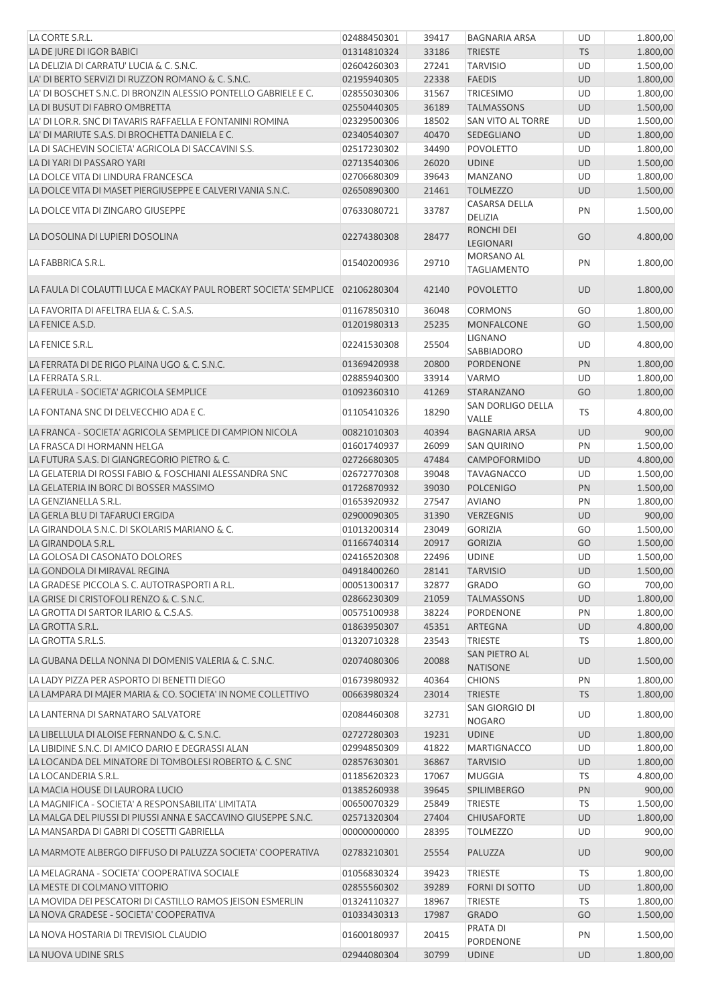| LA CORTE S.R.L.                                                              | 02488450301 | 39417 | <b>BAGNARIA ARSA</b>             | UD        | 1.800,00 |
|------------------------------------------------------------------------------|-------------|-------|----------------------------------|-----------|----------|
| LA DE JURE DI IGOR BABICI                                                    | 01314810324 | 33186 | <b>TRIESTE</b>                   | <b>TS</b> | 1.800,00 |
| LA DELIZIA DI CARRATU' LUCIA & C. S.N.C.                                     | 02604260303 | 27241 | <b>TARVISIO</b>                  | UD        | 1.500,00 |
| LA' DI BERTO SERVIZI DI RUZZON ROMANO & C. S.N.C.                            | 02195940305 | 22338 | <b>FAEDIS</b>                    | <b>UD</b> | 1.800,00 |
| LA' DI BOSCHET S.N.C. DI BRONZIN ALESSIO PONTELLO GABRIELE E C.              | 02855030306 | 31567 | <b>TRICESIMO</b>                 | UD        | 1.800,00 |
| LA DI BUSUT DI FABRO OMBRETTA                                                | 02550440305 | 36189 | <b>TALMASSONS</b>                | <b>UD</b> | 1.500,00 |
| LA' DI LOR.R. SNC DI TAVARIS RAFFAELLA E FONTANINI ROMINA                    | 02329500306 | 18502 | SAN VITO AL TORRE                | UD        | 1.500,00 |
| LA' DI MARIUTE S.A.S. DI BROCHETTA DANIELA E C.                              | 02340540307 | 40470 | SEDEGLIANO                       | UD        | 1.800,00 |
| LA DI SACHEVIN SOCIETA' AGRICOLA DI SACCAVINI S.S.                           | 02517230302 | 34490 | <b>POVOLETTO</b>                 | UD        | 1.800,00 |
| LA DI YARI DI PASSARO YARI                                                   | 02713540306 | 26020 | <b>UDINE</b>                     | UD        | 1.500,00 |
| LA DOLCE VITA DI LINDURA FRANCESCA                                           | 02706680309 | 39643 | <b>MANZANO</b>                   | UD        | 1.800,00 |
| LA DOLCE VITA DI MASET PIERGIUSEPPE E CALVERI VANIA S.N.C.                   | 02650890300 | 21461 | <b>TOLMEZZO</b>                  | <b>UD</b> | 1.500,00 |
| LA DOLCE VITA DI ZINGARO GIUSEPPE                                            | 07633080721 | 33787 | <b>CASARSA DELLA</b><br>DELIZIA  | PN        | 1.500,00 |
| LA DOSOLINA DI LUPIERI DOSOLINA                                              | 02274380308 | 28477 | <b>RONCHI DEI</b><br>LEGIONARI   | GO        | 4.800,00 |
| LA FABBRICA S.R.L.                                                           | 01540200936 | 29710 | MORSANO AL<br><b>TAGLIAMENTO</b> | PN        | 1.800,00 |
| LA FAULA DI COLAUTTI LUCA E MACKAY PAUL ROBERT SOCIETA' SEMPLICE 02106280304 |             | 42140 | <b>POVOLETTO</b>                 | <b>UD</b> | 1.800,00 |
| LA FAVORITA DI AFELTRA ELIA & C. S.A.S.                                      | 01167850310 | 36048 | <b>CORMONS</b>                   | GO        | 1.800,00 |
| LA FENICE A.S.D.                                                             |             | 25235 |                                  | GO        |          |
|                                                                              | 01201980313 |       | MONFALCONE<br><b>LIGNANO</b>     |           | 1.500,00 |
| LA FENICE S.R.L.                                                             | 02241530308 | 25504 | SABBIADORO                       | UD        | 4.800,00 |
| LA FERRATA DI DE RIGO PLAINA UGO & C. S.N.C.                                 | 01369420938 | 20800 | PORDENONE                        | PN        | 1.800,00 |
| LA FERRATA S.R.L.                                                            | 02885940300 | 33914 | VARMO                            | UD        | 1.800,00 |
| LA FERULA - SOCIETA' AGRICOLA SEMPLICE                                       | 01092360310 | 41269 | STARANZANO                       | GO        | 1.800,00 |
| LA FONTANA SNC DI DELVECCHIO ADA E C.                                        | 01105410326 | 18290 | SAN DORLIGO DELLA<br>VALLE       | <b>TS</b> | 4.800,00 |
| LA FRANCA - SOCIETA' AGRICOLA SEMPLICE DI CAMPION NICOLA                     | 00821010303 | 40394 | <b>BAGNARIA ARSA</b>             | <b>UD</b> | 900,00   |
| LA FRASCA DI HORMANN HELGA                                                   | 01601740937 | 26099 | <b>SAN QUIRINO</b>               | PN        | 1.500,00 |
| LA FUTURA S.A.S. DI GIANGREGORIO PIETRO & C.                                 | 02726680305 | 47484 | CAMPOFORMIDO                     | <b>UD</b> | 4.800,00 |
| LA GELATERIA DI ROSSI FABIO & FOSCHIANI ALESSANDRA SNC                       | 02672770308 | 39048 | <b>TAVAGNACCO</b>                | UD        | 1.500,00 |
| LA GELATERIA IN BORC DI BOSSER MASSIMO                                       | 01726870932 | 39030 | <b>POLCENIGO</b>                 | PN        | 1.500,00 |
| LA GENZIANELLA S.R.L.                                                        | 01653920932 | 27547 | <b>AVIANO</b>                    | PN        | 1.800,00 |
| LA GERLA BLU DI TAFARUCI ERGIDA                                              | 02900090305 | 31390 | <b>VERZEGNIS</b>                 | <b>UD</b> | 900,00   |
| LA GIRANDOLA S.N.C. DI SKOLARIS MARIANO & C.                                 | 01013200314 | 23049 | <b>GORIZIA</b>                   | GO        | 1.500,00 |
| LA GIRANDOLA S.R.L.                                                          | 01166740314 | 20917 | <b>GORIZIA</b>                   | GO        | 1.500,00 |
| LA GOLOSA DI CASONATO DOLORES                                                | 02416520308 | 22496 | <b>UDINE</b>                     | UD        | 1.500,00 |
| LA GONDOLA DI MIRAVAL REGINA                                                 | 04918400260 | 28141 | <b>TARVISIO</b>                  | <b>UD</b> | 1.500,00 |
| LA GRADESE PICCOLA S. C. AUTOTRASPORTI A R.L.                                | 00051300317 | 32877 | <b>GRADO</b>                     | GO        | 700,00   |
|                                                                              |             |       |                                  |           |          |
| LA GRISE DI CRISTOFOLI RENZO & C. S.N.C.                                     | 02866230309 | 21059 | <b>TALMASSONS</b>                | UD        | 1.800,00 |
| LA GROTTA DI SARTOR ILARIO & C.S.A.S.                                        | 00575100938 | 38224 | PORDENONE                        | PN        | 1.800,00 |
| LA GROTTA S.R.L.                                                             | 01863950307 | 45351 | <b>ARTEGNA</b>                   | UD        | 4.800,00 |
| LA GROTTA S.R.L.S.                                                           | 01320710328 | 23543 | <b>TRIESTE</b>                   | TS        | 1.800,00 |
| LA GUBANA DELLA NONNA DI DOMENIS VALERIA & C. S.N.C.                         | 02074080306 | 20088 | SAN PIETRO AL<br><b>NATISONE</b> | <b>UD</b> | 1.500,00 |
| LA LADY PIZZA PER ASPORTO DI BENETTI DIEGO                                   | 01673980932 | 40364 | <b>CHIONS</b>                    | PN        | 1.800,00 |
| LA LAMPARA DI MAJER MARIA & CO. SOCIETA' IN NOME COLLETTIVO                  | 00663980324 | 23014 | <b>TRIESTE</b>                   | <b>TS</b> | 1.800,00 |
| LA LANTERNA DI SARNATARO SALVATORE                                           | 02084460308 | 32731 | SAN GIORGIO DI<br><b>NOGARO</b>  | UD        | 1.800,00 |
| LA LIBELLULA DI ALOISE FERNANDO & C. S.N.C.                                  | 02727280303 | 19231 | <b>UDINE</b>                     | <b>UD</b> | 1.800,00 |
| LA LIBIDINE S.N.C. DI AMICO DARIO E DEGRASSI ALAN                            | 02994850309 | 41822 | <b>MARTIGNACCO</b>               | UD        | 1.800,00 |
| LA LOCANDA DEL MINATORE DI TOMBOLESI ROBERTO & C. SNC                        | 02857630301 | 36867 | <b>TARVISIO</b>                  | UD        | 1.800,00 |
| LA LOCANDERIA S.R.L.                                                         | 01185620323 | 17067 | <b>MUGGIA</b>                    | TS        | 4.800,00 |
| LA MACIA HOUSE DI LAURORA LUCIO                                              | 01385260938 | 39645 | <b>SPILIMBERGO</b>               | PN        | 900,00   |
| LA MAGNIFICA - SOCIETA' A RESPONSABILITA' LIMITATA                           | 00650070329 | 25849 | <b>TRIESTE</b>                   | <b>TS</b> | 1.500,00 |
| LA MALGA DEL PIUSSI DI PIUSSI ANNA E SACCAVINO GIUSEPPE S.N.C.               | 02571320304 | 27404 | <b>CHIUSAFORTE</b>               | <b>UD</b> | 1.800,00 |
| LA MANSARDA DI GABRI DI COSETTI GABRIELLA                                    | 00000000000 | 28395 | <b>TOLMEZZO</b>                  | UD        | 900,00   |
| LA MARMOTE ALBERGO DIFFUSO DI PALUZZA SOCIETA' COOPERATIVA                   | 02783210301 | 25554 | PALUZZA                          | <b>UD</b> | 900,00   |
| LA MELAGRANA - SOCIETA' COOPERATIVA SOCIALE                                  | 01056830324 | 39423 | <b>TRIESTE</b>                   | <b>TS</b> | 1.800,00 |
| LA MESTE DI COLMANO VITTORIO                                                 | 02855560302 | 39289 | <b>FORNI DI SOTTO</b>            | UD        | 1.800,00 |
|                                                                              |             |       |                                  |           |          |
| LA MOVIDA DEI PESCATORI DI CASTILLO RAMOS JEISON ESMERLIN                    | 01324110327 | 18967 | <b>TRIESTE</b>                   | TS        | 1.800,00 |
| LA NOVA GRADESE - SOCIETA' COOPERATIVA                                       | 01033430313 | 17987 | <b>GRADO</b>                     | GO        | 1.500,00 |
| LA NOVA HOSTARIA DI TREVISIOL CLAUDIO                                        | 01600180937 | 20415 | PRATA DI<br>PORDENONE            | PN        | 1.500,00 |
| LA NUOVA UDINE SRLS                                                          | 02944080304 | 30799 | <b>UDINE</b>                     | <b>UD</b> | 1.800,00 |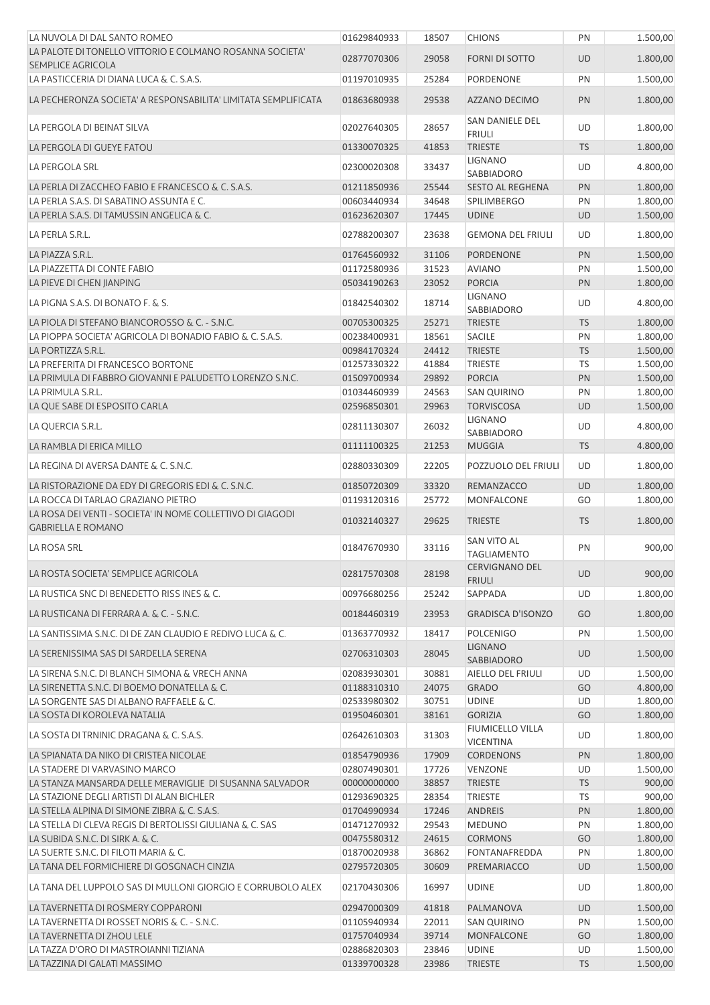| LA NUVOLA DI DAL SANTO ROMEO                                                            | 01629840933                | 18507          | <b>CHIONS</b>                          | PN              | 1.500,00           |
|-----------------------------------------------------------------------------------------|----------------------------|----------------|----------------------------------------|-----------------|--------------------|
| LA PALOTE DI TONELLO VITTORIO E COLMANO ROSANNA SOCIETA'                                | 02877070306                | 29058          | FORNI DI SOTTO                         | UD              | 1.800,00           |
| <b>SEMPLICE AGRICOLA</b><br>LA PASTICCERIA DI DIANA LUCA & C. S.A.S.                    | 01197010935                | 25284          | PORDENONE                              | PN              | 1.500,00           |
|                                                                                         |                            |                |                                        |                 |                    |
| LA PECHERONZA SOCIETA' A RESPONSABILITA' LIMITATA SEMPLIFICATA                          | 01863680938                | 29538          | AZZANO DECIMO                          | PN              | 1.800,00           |
| LA PERGOLA DI BEINAT SILVA                                                              | 02027640305                | 28657          | SAN DANIELE DEL<br><b>FRIULI</b>       | UD              | 1.800,00           |
| LA PERGOLA DI GUEYE FATOU                                                               | 01330070325                | 41853          | <b>TRIESTE</b>                         | <b>TS</b>       | 1.800,00           |
| LA PERGOLA SRL                                                                          | 02300020308                | 33437          | <b>LIGNANO</b>                         | UD              | 4.800,00           |
| LA PERLA DI ZACCHEO FABIO E FRANCESCO & C. S.A.S.                                       | 01211850936                | 25544          | SABBIADORO<br><b>SESTO AL REGHENA</b>  | PN              | 1.800,00           |
| LA PERLA S.A.S. DI SABATINO ASSUNTA E C.                                                | 00603440934                | 34648          | <b>SPILIMBERGO</b>                     | PN              | 1.800,00           |
| LA PERLA S.A.S. DI TAMUSSIN ANGELICA & C.                                               | 01623620307                | 17445          | <b>UDINE</b>                           | <b>UD</b>       | 1.500,00           |
| LA PERLA S.R.L.                                                                         | 02788200307                | 23638          | <b>GEMONA DEL FRIULI</b>               | UD              | 1.800,00           |
| LA PIAZZA S.R.L.                                                                        | 01764560932                | 31106          | <b>PORDENONE</b>                       | PN              | 1.500,00           |
| LA PIAZZETTA DI CONTE FABIO                                                             | 01172580936                | 31523          | <b>AVIANO</b>                          | PN              | 1.500,00           |
| LA PIEVE DI CHEN JIANPING                                                               | 05034190263                | 23052          | <b>PORCIA</b>                          | PN              | 1.800,00           |
| LA PIGNA S.A.S. DI BONATO F. & S.                                                       | 01842540302                | 18714          | <b>LIGNANO</b>                         | UD              | 4.800,00           |
|                                                                                         |                            |                | SABBIADORO                             |                 |                    |
| LA PIOLA DI STEFANO BIANCOROSSO & C. - S.N.C.                                           | 00705300325                | 25271          | <b>TRIESTE</b>                         | <b>TS</b>       | 1.800,00           |
| LA PIOPPA SOCIETA' AGRICOLA DI BONADIO FABIO & C. S.A.S.                                | 00238400931                | 18561          | <b>SACILE</b>                          | PN              | 1.800,00           |
| LA PORTIZZA S.R.L.                                                                      | 00984170324                | 24412          | <b>TRIESTE</b>                         | <b>TS</b>       | 1.500,00           |
| LA PREFERITA DI FRANCESCO BORTONE                                                       | 01257330322                | 41884          | <b>TRIESTE</b>                         | TS              | 1.500,00           |
| LA PRIMULA DI FABBRO GIOVANNI E PALUDETTO LORENZO S.N.C.                                | 01509700934                | 29892          | <b>PORCIA</b>                          | PN              | 1.500,00           |
| LA PRIMULA S.R.L.                                                                       | 01034460939                | 24563          | <b>SAN QUIRINO</b>                     | PN              | 1.800,00           |
| LA QUE SABE DI ESPOSITO CARLA                                                           | 02596850301                | 29963          | <b>TORVISCOSA</b>                      | <b>UD</b>       | 1.500,00           |
| LA QUERCIA S.R.L.                                                                       | 02811130307                | 26032          | <b>LIGNANO</b><br>SABBIADORO           | UD              | 4.800,00           |
| LA RAMBLA DI ERICA MILLO                                                                | 01111100325                | 21253          | <b>MUGGIA</b>                          | <b>TS</b>       | 4.800,00           |
| LA REGINA DI AVERSA DANTE & C. S.N.C.                                                   | 02880330309                | 22205          | POZZUOLO DEL FRIULI                    | UD              | 1.800,00           |
| LA RISTORAZIONE DA EDY DI GREGORIS EDI & C. S.N.C.                                      | 01850720309                | 33320          | REMANZACCO                             | UD              | 1.800,00           |
| LA ROCCA DI TARLAO GRAZIANO PIETRO                                                      | 01193120316                | 25772          | MONFALCONE                             | GO              | 1.800,00           |
| LA ROSA DEI VENTI - SOCIETA' IN NOME COLLETTIVO DI GIAGODI<br><b>GABRIELLA E ROMANO</b> | 01032140327                | 29625          | <b>TRIESTE</b>                         | <b>TS</b>       | 1.800,00           |
| LA ROSA SRL                                                                             | 01847670930                | 33116          | SAN VITO AL<br><b>TAGLIAMENTO</b>      | PN              | 900,00             |
| LA ROSTA SOCIETA' SEMPLICE AGRICOLA                                                     | 02817570308                | 28198          | <b>CERVIGNANO DEL</b><br><b>FRIULI</b> | <b>UD</b>       | 900,00             |
| LA RUSTICA SNC DI BENEDETTO RISS INES & C.                                              | 00976680256                | 25242          | SAPPADA                                | UD              | 1.800,00           |
| LA RUSTICANA DI FERRARA A. & C. - S.N.C.                                                | 00184460319                | 23953          | <b>GRADISCA D'ISONZO</b>               | GO              | 1.800,00           |
| LA SANTISSIMA S.N.C. DI DE ZAN CLAUDIO E REDIVO LUCA & C.                               | 01363770932                | 18417          | <b>POLCENIGO</b>                       | PN              | 1.500,00           |
| LA SERENISSIMA SAS DI SARDELLA SERENA                                                   | 02706310303                | 28045          | <b>LIGNANO</b>                         | <b>UD</b>       | 1.500,00           |
| LA SIRENA S.N.C. DI BLANCH SIMONA & VRECH ANNA                                          | 02083930301                | 30881          | SABBIADORO<br>AIELLO DEL FRIULI        | UD              | 1.500,00           |
| LA SIRENETTA S.N.C. DI BOEMO DONATELLA & C.                                             | 01188310310                | 24075          | <b>GRADO</b>                           | GO              | 4.800,00           |
| LA SORGENTE SAS DI ALBANO RAFFAELE & C.                                                 | 02533980302                | 30751          | <b>UDINE</b>                           | UD              | 1.800,00           |
| LA SOSTA DI KOROLEVA NATALIA                                                            | 01950460301                | 38161          | <b>GORIZIA</b>                         | GO              | 1.800,00           |
| LA SOSTA DI TRNINIC DRAGANA & C. S.A.S.                                                 | 02642610303                | 31303          | FIUMICELLO VILLA                       | UD              | 1.800,00           |
|                                                                                         |                            |                | <b>VICENTINA</b>                       |                 |                    |
| LA SPIANATA DA NIKO DI CRISTEA NICOLAE<br>LA STADERE DI VARVASINO MARCO                 | 01854790936                | 17909          | <b>CORDENONS</b>                       | PN              | 1.800,00           |
| LA STANZA MANSARDA DELLE MERAVIGLIE DI SUSANNA SALVADOR                                 | 02807490301<br>00000000000 | 17726<br>38857 | VENZONE<br><b>TRIESTE</b>              | UD<br><b>TS</b> | 1.500,00<br>900,00 |
| LA STAZIONE DEGLI ARTISTI DI ALAN BICHLER                                               | 01293690325                | 28354          | <b>TRIESTE</b>                         | TS              | 900,00             |
| LA STELLA ALPINA DI SIMONE ZIBRA & C. S.A.S.                                            | 01704990934                | 17246          | ANDREIS                                | PN              | 1.800,00           |
| LA STELLA DI CLEVA REGIS DI BERTOLISSI GIULIANA & C. SAS                                | 01471270932                | 29543          | <b>MEDUNO</b>                          | PN              | 1.800,00           |
| LA SUBIDA S.N.C. DI SIRK A. & C.                                                        | 00475580312                | 24615          | <b>CORMONS</b>                         | GO              | 1.800,00           |
| LA SUERTE S.N.C. DI FILOTI MARIA & C.                                                   | 01870020938                | 36862          | FONTANAFREDDA                          | PN              | 1.800,00           |
| LA TANA DEL FORMICHIERE DI GOSGNACH CINZIA                                              | 02795720305                | 30609          | PREMARIACCO                            | <b>UD</b>       | 1.500,00           |
| LA TANA DEL LUPPOLO SAS DI MULLONI GIORGIO E CORRUBOLO ALEX                             | 02170430306                | 16997          | <b>UDINE</b>                           | UD              | 1.800,00           |
| LA TAVERNETTA DI ROSMERY COPPARONI                                                      | 02947000309                | 41818          | PALMANOVA                              | <b>UD</b>       | 1.500,00           |
| LA TAVERNETTA DI ROSSET NORIS & C. - S.N.C.                                             | 01105940934                | 22011          | <b>SAN QUIRINO</b>                     | PN              | 1.500,00           |
| LA TAVERNETTA DI ZHOU LELE                                                              | 01757040934                | 39714          | <b>MONFALCONE</b>                      | GO              | 1.800,00           |
| LA TAZZA D'ORO DI MASTROIANNI TIZIANA                                                   | 02886820303                | 23846          | <b>UDINE</b>                           | UD              | 1.500,00           |
| LA TAZZINA DI GALATI MASSIMO                                                            | 01339700328                | 23986          | <b>TRIESTE</b>                         | <b>TS</b>       | 1.500,00           |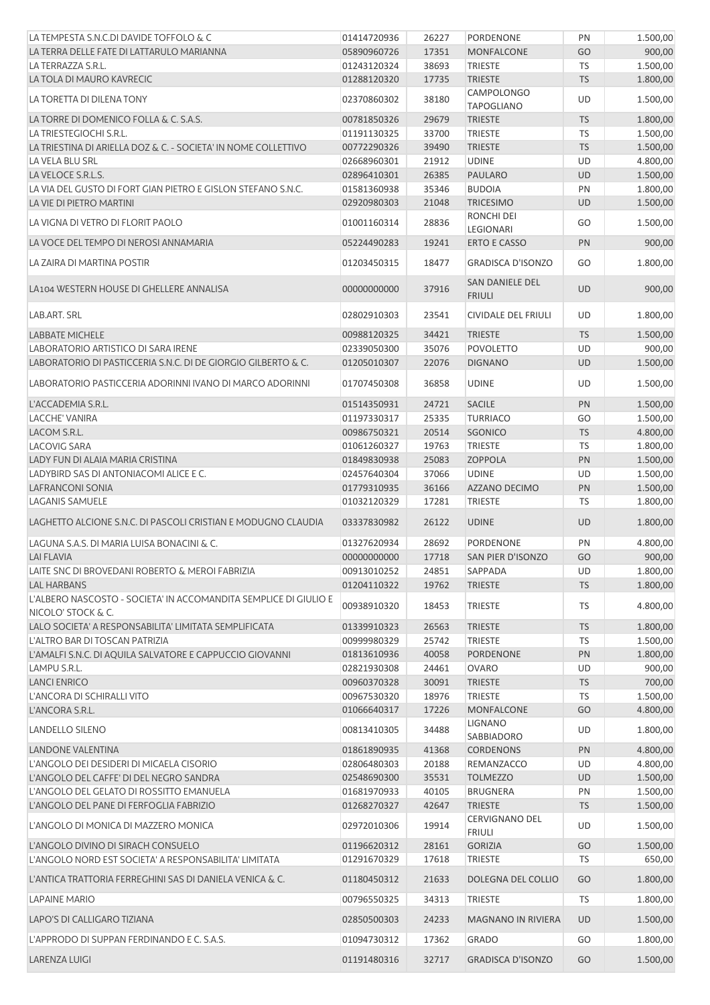| LA TEMPESTA S.N.C.DI DAVIDE TOFFOLO & C                                                 | 01414720936 | 26227          | PORDENONE                              | PN              | 1.500,00             |
|-----------------------------------------------------------------------------------------|-------------|----------------|----------------------------------------|-----------------|----------------------|
| LA TERRA DELLE FATE DI LATTARULO MARIANNA                                               | 05890960726 | 17351          | <b>MONFALCONE</b>                      | GO              | 900,00               |
| LA TERRAZZA S.R.L.                                                                      | 01243120324 | 38693          | <b>TRIESTE</b>                         | <b>TS</b>       | 1.500,00             |
| LA TOLA DI MAURO KAVRECIC                                                               | 01288120320 | 17735          | <b>TRIESTE</b>                         | <b>TS</b>       | 1.800,00             |
| LA TORETTA DI DILENA TONY                                                               | 02370860302 | 38180          | <b>CAMPOLONGO</b><br><b>TAPOGLIANO</b> | <b>UD</b>       | 1.500,00             |
| LA TORRE DI DOMENICO FOLLA & C. S.A.S.                                                  | 00781850326 | 29679          | <b>TRIESTE</b>                         | <b>TS</b>       | 1.800,00             |
| LA TRIESTEGIOCHI S.R.L.                                                                 | 01191130325 | 33700          | <b>TRIESTE</b>                         | TS              | 1.500,00             |
| LA TRIESTINA DI ARIELLA DOZ & C. - SOCIETA' IN NOME COLLETTIVO                          | 00772290326 | 39490          | <b>TRIESTE</b>                         | <b>TS</b>       | 1.500,00             |
| LA VELA BLU SRL                                                                         | 02668960301 | 21912          | <b>UDINE</b>                           | <b>UD</b>       | 4.800,00             |
| LA VELOCE S.R.L.S.                                                                      | 02896410301 | 26385          | PAULARO                                | <b>UD</b>       | 1.500,00             |
| LA VIA DEL GUSTO DI FORT GIAN PIETRO E GISLON STEFANO S.N.C.                            | 01581360938 | 35346          | <b>BUDOIA</b>                          | PN              | 1.800,00             |
| LA VIE DI PIETRO MARTINI                                                                | 02920980303 | 21048          | <b>TRICESIMO</b>                       | <b>UD</b>       | 1.500,00             |
| LA VIGNA DI VETRO DI FLORIT PAOLO                                                       | 01001160314 | 28836          | RONCHI DEI<br><b>LEGIONARI</b>         | GO              | 1.500,00             |
| LA VOCE DEL TEMPO DI NEROSI ANNAMARIA                                                   | 05224490283 | 19241          | <b>ERTO E CASSO</b>                    | PN              | 900,00               |
| LA ZAIRA DI MARTINA POSTIR                                                              | 01203450315 | 18477          | <b>GRADISCA D'ISONZO</b>               | GO              | 1.800,00             |
| LA104 WESTERN HOUSE DI GHELLERE ANNALISA                                                | 00000000000 | 37916          | SAN DANIELE DEL<br><b>FRIULI</b>       | UD              | 900,00               |
| LAB.ART. SRL                                                                            | 02802910303 | 23541          | <b>CIVIDALE DEL FRIULI</b>             | UD              | 1.800,00             |
| <b>LABBATE MICHELE</b>                                                                  | 00988120325 | 34421          | <b>TRIESTE</b>                         | <b>TS</b>       | 1.500,00             |
| LABORATORIO ARTISTICO DI SARA IRENE                                                     | 02339050300 | 35076          | <b>POVOLETTO</b>                       | <b>UD</b>       | 900,00               |
| LABORATORIO DI PASTICCERIA S.N.C. DI DE GIORGIO GILBERTO & C.                           | 01205010307 | 22076          | <b>DIGNANO</b>                         | UD              | 1.500,00             |
| LABORATORIO PASTICCERIA ADORINNI IVANO DI MARCO ADORINNI                                | 01707450308 | 36858          | <b>UDINE</b>                           | UD              | 1.500,00             |
| L'ACCADEMIA S.R.L.                                                                      | 01514350931 | 24721          | <b>SACILE</b>                          | PN              | 1.500,00             |
| LACCHE' VANIRA                                                                          | 01197330317 | 25335          | <b>TURRIACO</b>                        | GO              | 1.500,00             |
| LACOM S.R.L.                                                                            | 00986750321 | 20514          | SGONICO                                | <b>TS</b>       | 4.800,00             |
| LACOVIG SARA                                                                            | 01061260327 | 19763          | <b>TRIESTE</b>                         | TS              | 1.800,00             |
| LADY FUN DI ALAIA MARIA CRISTINA                                                        | 01849830938 | 25083          | <b>ZOPPOLA</b>                         | PN              | 1.500,00             |
| LADYBIRD SAS DI ANTONIACOMI ALICE E C.                                                  | 02457640304 | 37066          | <b>UDINE</b>                           | <b>UD</b>       | 1.500,00             |
| LAFRANCONI SONIA                                                                        | 01779310935 | 36166          | AZZANO DECIMO                          | PN              | 1.500,00             |
|                                                                                         | 01032120329 |                |                                        |                 |                      |
| <b>LAGANIS SAMUELE</b><br>LAGHETTO ALCIONE S.N.C. DI PASCOLI CRISTIAN E MODUGNO CLAUDIA | 03337830982 | 17281<br>26122 | <b>TRIESTE</b><br><b>UDINE</b>         | TS<br><b>UD</b> | 1.800,00<br>1.800,00 |
|                                                                                         |             |                |                                        |                 |                      |
| LAGUNA S.A.S. DI MARIA LUISA BONACINI & C.                                              | 01327620934 | 28692          | <b>PORDENONE</b>                       | PN              | 4.800,00             |
| <b>LAI FLAVIA</b>                                                                       | 00000000000 | 17718          | SAN PIER D'ISONZO                      | GO              | 900,00               |
| LAITE SNC DI BROVEDANI ROBERTO & MEROI FABRIZIA                                         | 00913010252 | 24851          | SAPPADA                                | UD              | 1.800,00             |
| <b>LAL HARBANS</b>                                                                      | 01204110322 | 19762          | <b>TRIESTE</b>                         | <b>TS</b>       | 1.800,00             |
| L'ALBERO NASCOSTO - SOCIETA' IN ACCOMANDITA SEMPLICE DI GIULIO E<br>NICOLO' STOCK & C.  | 00938910320 | 18453          | <b>TRIESTE</b>                         | <b>TS</b>       | 4.800,00             |
| LALO SOCIETA' A RESPONSABILITA' LIMITATA SEMPLIFICATA                                   | 01339910323 | 26563          | <b>TRIESTE</b>                         | <b>TS</b>       | 1.800,00             |
| L'ALTRO BAR DI TOSCAN PATRIZIA                                                          | 00999980329 | 25742          | <b>TRIESTE</b>                         | <b>TS</b>       | 1.500,00             |
| L'AMALFI S.N.C. DI AQUILA SALVATORE E CAPPUCCIO GIOVANNI                                | 01813610936 | 40058          | PORDENONE                              | PN              | 1.800,00             |
| LAMPU S.R.L.                                                                            | 02821930308 | 24461          | <b>OVARO</b>                           | UD              | 900,00               |
| <b>LANCI ENRICO</b>                                                                     | 00960370328 | 30091          | <b>TRIESTE</b>                         | <b>TS</b>       | 700,00               |
| L'ANCORA DI SCHIRALLI VITO                                                              | 00967530320 | 18976          | <b>TRIESTE</b>                         | TS              | 1.500,00             |
| L'ANCORA S.R.L.                                                                         | 01066640317 | 17226          | MONFALCONE                             | GO              | 4.800,00             |
| LANDELLO SILENO                                                                         | 00813410305 | 34488          | <b>LIGNANO</b><br>SABBIADORO           | UD              | 1.800,00             |
| LANDONE VALENTINA                                                                       | 01861890935 | 41368          | <b>CORDENONS</b>                       | PN              | 4.800,00             |
| L'ANGOLO DEI DESIDERI DI MICAELA CISORIO                                                | 02806480303 | 20188          | REMANZACCO                             | UD              | 4.800,00             |
| L'ANGOLO DEL CAFFE' DI DEL NEGRO SANDRA                                                 | 02548690300 | 35531          | <b>TOLMEZZO</b>                        | <b>UD</b>       | 1.500,00             |
| L'ANGOLO DEL GELATO DI ROSSITTO EMANUELA                                                | 01681970933 | 40105          | <b>BRUGNERA</b>                        | PN              | 1.500,00             |
| L'ANGOLO DEL PANE DI FERFOGLIA FABRIZIO                                                 | 01268270327 | 42647          | <b>TRIESTE</b>                         | <b>TS</b>       | 1.500,00             |
| L'ANGOLO DI MONICA DI MAZZERO MONICA                                                    | 02972010306 | 19914          | <b>CERVIGNANO DEL</b><br><b>FRIULI</b> | UD              | 1.500,00             |
| L'ANGOLO DIVINO DI SIRACH CONSUELO                                                      | 01196620312 | 28161          | <b>GORIZIA</b>                         | GO              | 1.500,00             |
| L'ANGOLO NORD EST SOCIETA' A RESPONSABILITA' LIMITATA                                   | 01291670329 | 17618          | <b>TRIESTE</b>                         | TS              | 650,00               |
| L'ANTICA TRATTORIA FERREGHINI SAS DI DANIELA VENICA & C.                                | 01180450312 | 21633          | DOLEGNA DEL COLLIO                     | GO              | 1.800,00             |
| <b>LAPAINE MARIO</b>                                                                    | 00796550325 | 34313          | <b>TRIESTE</b>                         | <b>TS</b>       | 1.800,00             |
| LAPO'S DI CALLIGARO TIZIANA                                                             | 02850500303 | 24233          | <b>MAGNANO IN RIVIERA</b>              | <b>UD</b>       | 1.500,00             |
| L'APPRODO DI SUPPAN FERDINANDO E C. S.A.S.                                              | 01094730312 | 17362          | <b>GRADO</b>                           | GO              | 1.800,00             |
| LARENZA LUIGI                                                                           | 01191480316 | 32717          | <b>GRADISCA D'ISONZO</b>               | GO              | 1.500,00             |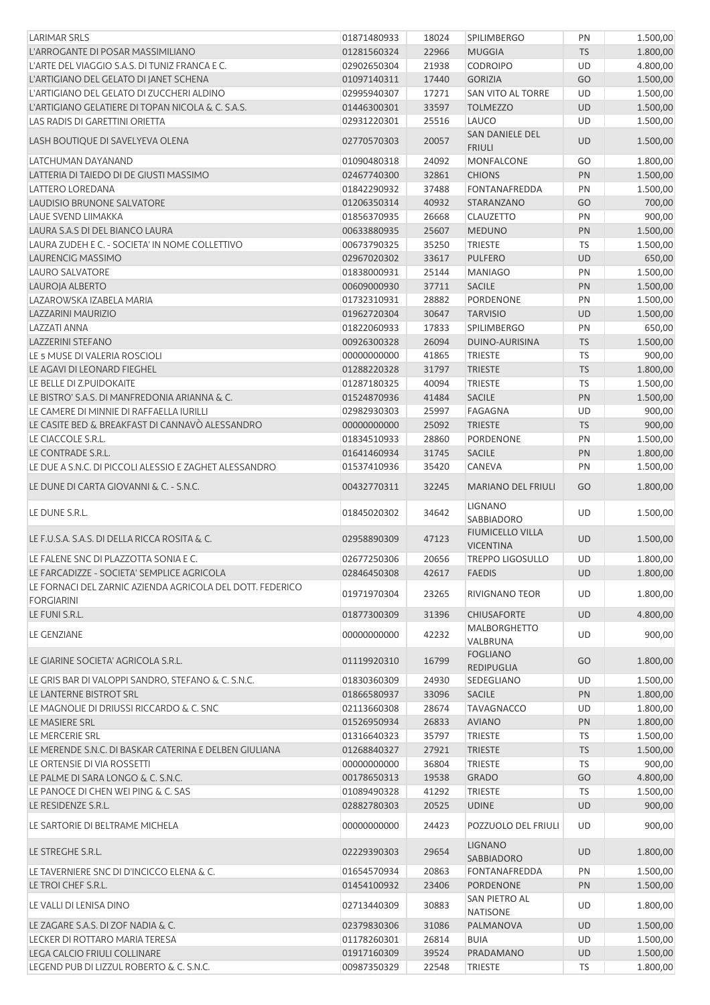| <b>LARIMAR SRLS</b>                                                            | 01871480933 | 18024 | <b>SPILIMBERGO</b>                          | PN        | 1.500,00 |
|--------------------------------------------------------------------------------|-------------|-------|---------------------------------------------|-----------|----------|
| L'ARROGANTE DI POSAR MASSIMILIANO                                              | 01281560324 | 22966 | <b>MUGGIA</b>                               | <b>TS</b> | 1.800,00 |
| L'ARTE DEL VIAGGIO S.A.S. DI TUNIZ FRANCA E C.                                 | 02902650304 | 21938 | <b>CODROIPO</b>                             | UD        | 4.800,00 |
| L'ARTIGIANO DEL GELATO DI JANET SCHENA                                         | 01097140311 | 17440 | <b>GORIZIA</b>                              | GO        | 1.500,00 |
| L'ARTIGIANO DEL GELATO DI ZUCCHERI ALDINO                                      | 02995940307 | 17271 | <b>SAN VITO AL TORRE</b>                    | UD        | 1.500,00 |
| L'ARTIGIANO GELATIERE DI TOPAN NICOLA & C. S.A.S.                              | 01446300301 | 33597 | <b>TOLMEZZO</b>                             | <b>UD</b> | 1.500,00 |
| LAS RADIS DI GARETTINI ORIETTA                                                 | 02931220301 | 25516 | LAUCO                                       | UD        | 1.500,00 |
| LASH BOUTIQUE DI SAVELYEVA OLENA                                               | 02770570303 | 20057 | SAN DANIELE DEL<br><b>FRIULI</b>            | <b>UD</b> | 1.500,00 |
| LATCHUMAN DAYANAND                                                             | 01090480318 | 24092 | MONFALCONE                                  | GO        | 1.800,00 |
| LATTERIA DI TAIEDO DI DE GIUSTI MASSIMO                                        | 02467740300 | 32861 | <b>CHIONS</b>                               | PN        | 1.500,00 |
| LATTERO LOREDANA                                                               | 01842290932 | 37488 | FONTANAFREDDA                               | PN        | 1.500,00 |
| LAUDISIO BRUNONE SALVATORE                                                     | 01206350314 | 40932 | STARANZANO                                  | GO        | 700,00   |
| LAUE SVEND LIIMAKKA                                                            | 01856370935 | 26668 | <b>CLAUZETTO</b>                            | PN        | 900,00   |
| LAURA S.A.S DI DEL BIANCO LAURA                                                | 00633880935 | 25607 | <b>MEDUNO</b>                               | PN        | 1.500,00 |
| LAURA ZUDEH E C. - SOCIETA' IN NOME COLLETTIVO                                 | 00673790325 | 35250 | <b>TRIESTE</b>                              | TS        | 1.500,00 |
| LAURENCIG MASSIMO                                                              | 02967020302 | 33617 | <b>PULFERO</b>                              | <b>UD</b> | 650,00   |
| <b>LAURO SALVATORE</b>                                                         | 01838000931 | 25144 | <b>MANIAGO</b>                              | PN        | 1.500,00 |
| LAUROJA ALBERTO                                                                | 00609000930 | 37711 | <b>SACILE</b>                               | PN        | 1.500,00 |
| LAZAROWSKA IZABELA MARIA                                                       | 01732310931 | 28882 | PORDENONE                                   | PN        | 1.500,00 |
| LAZZARINI MAURIZIO                                                             | 01962720304 | 30647 | <b>TARVISIO</b>                             | <b>UD</b> | 1.500,00 |
| <b>LAZZATI ANNA</b>                                                            | 01822060933 | 17833 | <b>SPILIMBERGO</b>                          | PN        | 650,00   |
| <b>LAZZERINI STEFANO</b>                                                       | 00926300328 | 26094 | DUINO-AURISINA                              | <b>TS</b> | 1.500,00 |
| LE 5 MUSE DI VALERIA ROSCIOLI                                                  | 00000000000 | 41865 | <b>TRIESTE</b>                              | TS        | 900,00   |
| LE AGAVI DI LEONARD FIEGHEL                                                    | 01288220328 | 31797 | <b>TRIESTE</b>                              | <b>TS</b> | 1.800,00 |
| LE BELLE DI Z.PUIDOKAITE                                                       | 01287180325 | 40094 | <b>TRIESTE</b>                              | TS        | 1.500,00 |
| LE BISTRO' S.A.S. DI MANFREDONIA ARIANNA & C.                                  | 01524870936 | 41484 | <b>SACILE</b>                               | PN        | 1.500,00 |
| LE CAMERE DI MINNIE DI RAFFAELLA IURILLI                                       | 02982930303 | 25997 | <b>FAGAGNA</b>                              | UD        | 900,00   |
| LE CASITE BED & BREAKFAST DI CANNAVÒ ALESSANDRO                                | 00000000000 | 25092 | <b>TRIESTE</b>                              | <b>TS</b> | 900,00   |
| LE CIACCOLE S.R.L.                                                             | 01834510933 | 28860 | PORDENONE                                   | PN        | 1.500,00 |
| LE CONTRADE S.R.L.                                                             | 01641460934 | 31745 | <b>SACILE</b>                               | PN        | 1.800,00 |
| LE DUE A S.N.C. DI PICCOLI ALESSIO E ZAGHET ALESSANDRO                         | 01537410936 | 35420 | CANEVA                                      | PN        | 1.500,00 |
| LE DUNE DI CARTA GIOVANNI & C. - S.N.C.                                        | 00432770311 | 32245 | <b>MARIANO DEL FRIULI</b>                   | GO        | 1.800,00 |
| LE DUNE S.R.L.                                                                 | 01845020302 | 34642 | <b>LIGNANO</b><br><b>SABBIADORO</b>         | UD        | 1.500,00 |
| LE F.U.S.A. S.A.S. DI DELLA RICCA ROSITA & C.                                  | 02958890309 | 47123 | <b>FIUMICELLO VILLA</b><br><b>VICENTINA</b> | <b>UD</b> | 1.500,00 |
| LE FALENE SNC DI PLAZZOTTA SONIA E C.                                          | 02677250306 | 20656 | <b>TREPPO LIGOSULLO</b>                     | UD        | 1.800,00 |
| LE FARCADIZZE - SOCIETA' SEMPLICE AGRICOLA                                     | 02846450308 | 42617 | <b>FAEDIS</b>                               | <b>UD</b> | 1.800,00 |
| LE FORNACI DEL ZARNIC AZIENDA AGRICOLA DEL DOTT. FEDERICO<br><b>FORGIARINI</b> | 01971970304 | 23265 | <b>RIVIGNANO TEOR</b>                       | UD        | 1.800,00 |
| LE FUNI S.R.L.                                                                 | 01877300309 | 31396 | <b>CHIUSAFORTE</b>                          | <b>UD</b> | 4.800,00 |
| LE GENZIANE                                                                    | 00000000000 | 42232 | <b>MALBORGHETTO</b><br>VALBRUNA             | UD        | 900,00   |
| LE GIARINE SOCIETA' AGRICOLA S.R.L.                                            | 01119920310 | 16799 | <b>FOGLIANO</b><br>REDIPUGLIA               | GO        | 1.800,00 |
| LE GRIS BAR DI VALOPPI SANDRO, STEFANO & C. S.N.C.                             | 01830360309 | 24930 | SEDEGLIANO                                  | UD        | 1.500,00 |
| LE LANTERNE BISTROT SRL                                                        | 01866580937 | 33096 | <b>SACILE</b>                               | PN        | 1.800,00 |
| LE MAGNOLIE DI DRIUSSI RICCARDO & C. SNC                                       | 02113660308 | 28674 | <b>TAVAGNACCO</b>                           | UD        | 1.800,00 |
| LE MASIERE SRL                                                                 | 01526950934 | 26833 | <b>AVIANO</b>                               | PN        | 1.800,00 |
| LE MERCERIE SRL                                                                | 01316640323 | 35797 | <b>TRIESTE</b>                              | <b>TS</b> | 1.500,00 |
| LE MERENDE S.N.C. DI BASKAR CATERINA E DELBEN GIULIANA                         | 01268840327 | 27921 | <b>TRIESTE</b>                              | <b>TS</b> | 1.500,00 |
| LE ORTENSIE DI VIA ROSSETTI                                                    | 00000000000 | 36804 | <b>TRIESTE</b>                              | <b>TS</b> | 900,00   |
| LE PALME DI SARA LONGO & C. S.N.C.                                             | 00178650313 | 19538 | <b>GRADO</b>                                | GO        | 4.800,00 |
| LE PANOCE DI CHEN WEI PING & C. SAS                                            | 01089490328 | 41292 | <b>TRIESTE</b>                              | <b>TS</b> | 1.500,00 |
| LE RESIDENZE S.R.L.                                                            | 02882780303 | 20525 | <b>UDINE</b>                                | <b>UD</b> | 900,00   |
| LE SARTORIE DI BELTRAME MICHELA                                                | 00000000000 | 24423 | POZZUOLO DEL FRIULI                         | UD        | 900,00   |
| LE STREGHE S.R.L.                                                              | 02229390303 | 29654 | <b>LIGNANO</b><br>SABBIADORO                | <b>UD</b> | 1.800,00 |
| LE TAVERNIERE SNC DI D'INCICCO ELENA & C.                                      | 01654570934 | 20863 | FONTANAFREDDA                               | PN        | 1.500,00 |
| LE TROI CHEF S.R.L.                                                            | 01454100932 | 23406 | PORDENONE                                   | PN        | 1.500,00 |
| LE VALLI DI LENISA DINO                                                        | 02713440309 | 30883 | SAN PIETRO AL<br><b>NATISONE</b>            | UD        | 1.800,00 |
| LE ZAGARE S.A.S. DI ZOF NADIA & C.                                             | 02379830306 | 31086 | PALMANOVA                                   | <b>UD</b> | 1.500,00 |
| LECKER DI ROTTARO MARIA TERESA                                                 | 01178260301 | 26814 | <b>BUIA</b>                                 | UD        | 1.500,00 |
| LEGA CALCIO FRIULI COLLINARE                                                   | 01917160309 | 39524 | PRADAMANO                                   | <b>UD</b> | 1.500,00 |
| LEGEND PUB DI LIZZUL ROBERTO & C. S.N.C.                                       | 00987350329 | 22548 | TRIESTE                                     | TS        | 1.800,00 |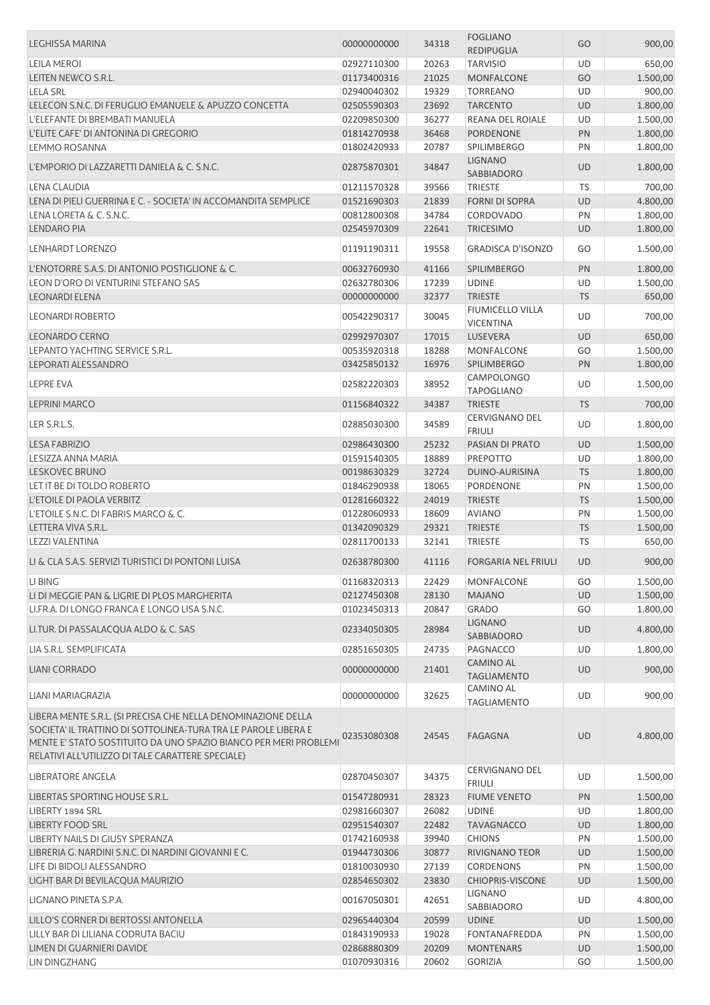| <b>LEGHISSA MARINA</b>                                           | 00000000000 | 34318 | <b>FOGLIANO</b>                        | GO        | 900,00   |
|------------------------------------------------------------------|-------------|-------|----------------------------------------|-----------|----------|
|                                                                  |             |       | <b>REDIPUGLIA</b>                      |           |          |
| <b>LEILA MEROI</b>                                               | 02927110300 | 20263 | <b>TARVISIO</b>                        | UD        | 650,00   |
| LEITEN NEWCO S.R.L.                                              | 01173400316 | 21025 | MONFALCONE                             | GO        | 1.500,00 |
| <b>LELA SRL</b>                                                  | 02940040302 | 19329 | <b>TORREANO</b>                        | UD        | 900,00   |
| LELECON S.N.C. DI FERUGLIO EMANUELE & APUZZO CONCETTA            | 02505590303 | 23692 | <b>TARCENTO</b>                        | <b>UD</b> | 1.800,00 |
| L'ELEFANTE DI BREMBATI MANUELA                                   | 02209850300 | 36277 | <b>REANA DEL ROIALE</b>                | UD        | 1.500,00 |
| L'ELITE CAFE' DI ANTONINA DI GREGORIO                            | 01814270938 | 36468 | PORDENONE                              | PN        | 1.800,00 |
| LEMMO ROSANNA                                                    | 01802420933 | 20787 | <b>SPILIMBERGO</b>                     | PN        | 1.800,00 |
| L'EMPORIO DI LAZZARETTI DANIELA & C. S.N.C.                      | 02875870301 | 34847 | <b>LIGNANO</b><br>SABBIADORO           | <b>UD</b> | 1.800,00 |
| LENA CLAUDIA                                                     | 01211570328 | 39566 | <b>TRIESTE</b>                         | <b>TS</b> | 700,00   |
|                                                                  |             |       |                                        |           |          |
| LENA DI PIELI GUERRINA E C. - SOCIETA' IN ACCOMANDITA SEMPLICE   | 01521690303 | 21839 | <b>FORNI DI SOPRA</b>                  | UD        | 4.800,00 |
| LENA LORETA & C. S.N.C.                                          | 00812800308 | 34784 | CORDOVADO                              | PN        | 1.800,00 |
| <b>LENDARO PIA</b>                                               | 02545970309 | 22641 | <b>TRICESIMO</b>                       | <b>UD</b> | 1.800,00 |
| LENHARDT LORENZO                                                 | 01191190311 | 19558 | <b>GRADISCA D'ISONZO</b>               | GO        | 1.500,00 |
| L'ENOTORRE S.A.S. DI ANTONIO POSTIGLIONE & C.                    | 00632760930 | 41166 | <b>SPILIMBERGO</b>                     | PN        | 1.800,00 |
| LEON D'ORO DI VENTURINI STEFANO SAS                              | 02632780306 | 17239 | <b>UDINE</b>                           | <b>UD</b> | 1.500,00 |
| <b>LEONARDI ELENA</b>                                            | 00000000000 | 32377 | <b>TRIESTE</b>                         | <b>TS</b> | 650,00   |
| <b>LEONARDI ROBERTO</b>                                          | 00542290317 | 30045 | FIUMICELLO VILLA<br><b>VICENTINA</b>   | UD        | 700,00   |
| <b>LEONARDO CERNO</b>                                            | 02992970307 |       |                                        | <b>UD</b> |          |
| LEPANTO YACHTING SERVICE S.R.L.                                  |             | 17015 | LUSEVERA                               |           | 650,00   |
|                                                                  | 00535920318 | 18288 | MONFALCONE                             | GO        | 1.500,00 |
| LEPORATI ALESSANDRO                                              | 03425850132 | 16976 | <b>SPILIMBERGO</b>                     | PN        | 1.800,00 |
| LEPRE EVA                                                        | 02582220303 | 38952 | <b>CAMPOLONGO</b><br><b>TAPOGLIANO</b> | UD        | 1.500,00 |
| <b>LEPRINI MARCO</b>                                             | 01156840322 | 34387 | <b>TRIESTE</b>                         | <b>TS</b> | 700,00   |
| LER S.R.L.S.                                                     | 02885030300 | 34589 | <b>CERVIGNANO DEL</b><br><b>FRIULI</b> | UD        | 1.800,00 |
| <b>LESA FABRIZIO</b>                                             | 02986430300 | 25232 | PASIAN DI PRATO                        | UD        | 1.500,00 |
| LESIZZA ANNA MARIA                                               | 01591540305 | 18889 | <b>PREPOTTO</b>                        | UD        | 1.800,00 |
| <b>LESKOVEC BRUNO</b>                                            | 00198630329 | 32724 | DUINO-AURISINA                         | <b>TS</b> | 1.800,00 |
|                                                                  |             |       |                                        |           |          |
| LET IT BE DI TOLDO ROBERTO                                       | 01846290938 | 18065 | PORDENONE                              | PN        | 1.500,00 |
| L'ETOILE DI PAOLA VERBITZ                                        | 01281660322 | 24019 | <b>TRIESTE</b>                         | <b>TS</b> | 1.500,00 |
| L'ETOILE S.N.C. DI FABRIS MARCO & C.                             | 01228060933 | 18609 | <b>AVIANO</b>                          | PN        | 1.500,00 |
| LETTERA VIVA S.R.L.                                              | 01342090329 | 29321 | <b>TRIESTE</b>                         | <b>TS</b> | 1.500,00 |
| LEZZI VALENTINA                                                  | 02811700133 | 32141 | <b>TRIESTE</b>                         | <b>TS</b> | 650,00   |
| LI & CLA S.A.S. SERVIZI TURISTICI DI PONTONI LUISA               | 02638780300 | 41116 | <b>FORGARIA NEL FRIULI</b>             | <b>UD</b> | 900,00   |
| LI BING                                                          | 01168320313 | 22429 | MONFALCONE                             | GO        | 1.500,00 |
| LI DI MEGGIE PAN & LIGRIE DI PLOS MARGHERITA                     | 02127450308 | 28130 | <b>MAJANO</b>                          | <b>UD</b> | 1.500,00 |
| LI.FR.A. DI LONGO FRANCA E LONGO LISA S.N.C.                     | 01023450313 | 20847 | <b>GRADO</b>                           | GO        | 1.800,00 |
| LI.TUR. DI PASSALACQUA ALDO & C. SAS                             | 02334050305 | 28984 | <b>LIGNANO</b>                         | <b>UD</b> | 4.800,00 |
|                                                                  |             |       | SABBIADORO                             |           |          |
| LIA S.R.L. SEMPLIFICATA                                          | 02851650305 | 24735 | PAGNACCO                               | UD        | 1.800,00 |
| LIANI CORRADO                                                    | 00000000000 | 21401 | <b>CAMINO AL</b><br><b>TAGLIAMENTO</b> | <b>UD</b> | 900,00   |
| LIANI MARIAGRAZIA                                                | 00000000000 | 32625 | <b>CAMINO AL</b>                       | UD        | 900,00   |
| LIBERA MENTE S.R.L. (SI PRECISA CHE NELLA DENOMINAZIONE DELLA    |             |       | <b>TAGLIAMENTO</b>                     |           |          |
| SOCIETA' IL TRATTINO DI SOTTOLINEA-TURA TRA LE PAROLE LIBERA E   |             |       |                                        |           |          |
| MENTE E' STATO SOSTITUITO DA UNO SPAZIO BIANCO PER MERI PROBLEMI | 02353080308 | 24545 | <b>FAGAGNA</b>                         | <b>UD</b> | 4.800,00 |
| RELATIVI ALL'UTILIZZO DI TALE CARATTERE SPECIALE)                |             |       |                                        |           |          |
| LIBERATORE ANGELA                                                | 02870450307 | 34375 | <b>CERVIGNANO DEL</b>                  | UD        | 1.500,00 |
|                                                                  |             |       | <b>FRIULI</b>                          |           |          |
| LIBERTAS SPORTING HOUSE S.R.L.                                   | 01547280931 | 28323 | <b>FIUME VENETO</b>                    | PN        | 1.500,00 |
| LIBERTY 1894 SRL                                                 | 02981660307 | 26082 | <b>UDINE</b>                           | UD        | 1.800,00 |
| <b>LIBERTY FOOD SRL</b>                                          | 02951540307 | 22482 | <b>TAVAGNACCO</b>                      | UD        | 1.800,00 |
| LIBERTY NAILS DI GIUSY SPERANZA                                  | 01742160938 | 39940 | <b>CHIONS</b>                          | PN        | 1.500,00 |
| LIBRERIA G. NARDINI S.N.C. DI NARDINI GIOVANNI E C.              | 01944730306 | 30877 | RIVIGNANO TEOR                         | UD        | 1.500,00 |
| LIFE DI BIDOLI ALESSANDRO                                        | 01810030930 | 27139 | <b>CORDENONS</b>                       | PN        | 1.500,00 |
| LIGHT BAR DI BEVILACQUA MAURIZIO                                 | 02854650302 | 23830 | <b>CHIOPRIS-VISCONE</b>                | <b>UD</b> | 1.500,00 |
| LIGNANO PINETA S.P.A.                                            | 00167050301 | 42651 | LIGNANO<br>SABBIADORO                  | UD        | 4.800,00 |
| LILLO'S CORNER DI BERTOSSI ANTONELLA                             | 02965440304 | 20599 | <b>UDINE</b>                           | <b>UD</b> | 1.500,00 |
| LILLY BAR DI LILIANA CODRUTA BACIU                               | 01843190933 | 19028 | FONTANAFREDDA                          | PN        | 1.500,00 |
| LIMEN DI GUARNIERI DAVIDE                                        | 02868880309 | 20209 | <b>MONTENARS</b>                       | <b>UD</b> | 1.500,00 |
| LIN DINGZHANG                                                    | 01070930316 | 20602 | <b>GORIZIA</b>                         | GO        | 1.500,00 |
|                                                                  |             |       |                                        |           |          |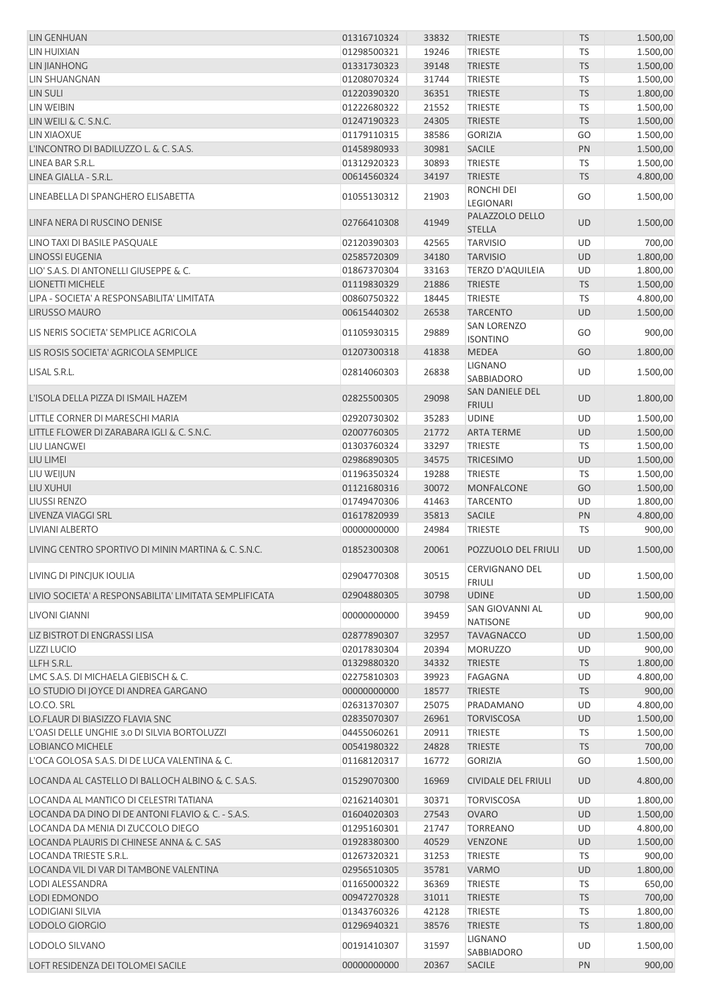| LIN GENHUAN                                                                                        | 01316710324                | 33832          | <b>TRIESTE</b>                               | <b>TS</b>       | 1.500,00             |
|----------------------------------------------------------------------------------------------------|----------------------------|----------------|----------------------------------------------|-----------------|----------------------|
| LIN HUIXIAN                                                                                        | 01298500321                | 19246          | <b>TRIESTE</b>                               | <b>TS</b>       | 1.500,00             |
| <b>LIN JIANHONG</b>                                                                                | 01331730323                | 39148          | <b>TRIESTE</b>                               | <b>TS</b>       | 1.500,00             |
| LIN SHUANGNAN                                                                                      | 01208070324                | 31744          | TRIESTE                                      | TS              | 1.500,00             |
| <b>LIN SULI</b>                                                                                    | 01220390320                | 36351          | <b>TRIESTE</b>                               | <b>TS</b>       | 1.800,00             |
| LIN WEIBIN                                                                                         | 01222680322                | 21552          | <b>TRIESTE</b>                               | TS              | 1.500,00             |
| LIN WEILI & C. S.N.C.                                                                              | 01247190323                | 24305          | <b>TRIESTE</b>                               | <b>TS</b>       | 1.500,00             |
| LIN XIAOXUE                                                                                        | 01179110315                | 38586          | <b>GORIZIA</b>                               | GO              | 1.500,00             |
| L'INCONTRO DI BADILUZZO L. & C. S.A.S.                                                             | 01458980933                | 30981          | SACILE                                       | PN              | 1.500,00             |
| LINEA BAR S.R.L.<br>LINEA GIALLA - S.R.L.                                                          | 01312920323                | 30893<br>34197 | <b>TRIESTE</b><br><b>TRIESTE</b>             | TS<br><b>TS</b> | 1.500,00             |
|                                                                                                    | 00614560324                |                | RONCHI DEI                                   |                 | 4.800,00             |
| LINEABELLA DI SPANGHERO ELISABETTA                                                                 | 01055130312                | 21903          | <b>LEGIONARI</b>                             | GO              | 1.500,00             |
| LINFA NERA DI RUSCINO DENISE                                                                       | 02766410308                | 41949          | PALAZZOLO DELLO<br><b>STELLA</b>             | <b>UD</b>       | 1.500,00             |
| LINO TAXI DI BASILE PASQUALE                                                                       | 02120390303                | 42565          | <b>TARVISIO</b>                              | UD              | 700,00               |
| <b>LINOSSI EUGENIA</b>                                                                             | 02585720309                | 34180          | <b>TARVISIO</b>                              | <b>UD</b>       | 1.800,00             |
| LIO' S.A.S. DI ANTONELLI GIUSEPPE & C.                                                             | 01867370304                | 33163          | <b>TERZO D'AQUILEIA</b>                      | UD              | 1.800,00             |
| LIONETTI MICHELE                                                                                   | 01119830329                | 21886          | <b>TRIESTE</b>                               | <b>TS</b>       | 1.500,00             |
| LIPA - SOCIETA' A RESPONSABILITA' LIMITATA                                                         | 00860750322                | 18445          | <b>TRIESTE</b>                               | TS              | 4.800,00             |
| <b>LIRUSSO MAURO</b>                                                                               | 00615440302                | 26538          | <b>TARCENTO</b>                              | UD              | 1.500,00             |
| LIS NERIS SOCIETA' SEMPLICE AGRICOLA                                                               | 01105930315                | 29889          | <b>SAN LORENZO</b><br><b>ISONTINO</b>        | GO              | 900,00               |
| LIS ROSIS SOCIETA' AGRICOLA SEMPLICE                                                               | 01207300318                | 41838          | <b>MEDEA</b>                                 | GO              | 1.800,00             |
| LISAL S.R.L.                                                                                       | 02814060303                | 26838          | LIGNANO<br>SABBIADORO                        | UD              | 1.500,00             |
| L'ISOLA DELLA PIZZA DI ISMAIL HAZEM                                                                | 02825500305                | 29098          | SAN DANIELE DEL<br><b>FRIULI</b>             | <b>UD</b>       | 1.800,00             |
| LITTLE CORNER DI MARESCHI MARIA                                                                    | 02920730302                | 35283          | <b>UDINE</b>                                 | UD              | 1.500,00             |
| LITTLE FLOWER DI ZARABARA IGLI & C. S.N.C.                                                         | 02007760305                | 21772          | <b>ARTA TERME</b>                            | UD              | 1.500,00             |
| LIU LIANGWEI                                                                                       | 01303760324                | 33297          | <b>TRIESTE</b>                               | TS              | 1.500,00             |
| LIU LIMEI                                                                                          | 02986890305                | 34575          | <b>TRICESIMO</b>                             | UD              | 1.500,00             |
| LIU WEIJUN                                                                                         | 01196350324                | 19288          | <b>TRIESTE</b>                               | <b>TS</b>       | 1.500,00             |
| LIU XUHUI<br><b>LIUSSI RENZO</b>                                                                   | 01121680316<br>01749470306 | 30072<br>41463 | MONFALCONE<br><b>TARCENTO</b>                | GO<br>UD        | 1.500,00<br>1.800,00 |
| LIVENZA VIAGGI SRL                                                                                 | 01617820939                | 35813          | <b>SACILE</b>                                | PN              | 4.800,00             |
| LIVIANI ALBERTO                                                                                    | 00000000000                | 24984          | <b>TRIESTE</b>                               | TS              | 900,00               |
| LIVING CENTRO SPORTIVO DI MININ MARTINA & C. S.N.C.                                                | 01852300308                | 20061          | POZZUOLO DEL FRIULI                          | <b>UD</b>       | 1.500,00             |
| LIVING DI PINCJUK IOULIA                                                                           | 02904770308                | 30515          | <b>CERVIGNANO DEL</b>                        | UD              | 1.500,00             |
| LIVIO SOCIETA' A RESPONSABILITA' LIMITATA SEMPLIFICATA                                             | 02904880305                | 30798          | <b>FRIULI</b><br><b>UDINE</b>                | <b>UD</b>       | 1.500,00             |
| LIVONI GIANNI                                                                                      | 00000000000                | 39459          | SAN GIOVANNI AL<br><b>NATISONE</b>           | <b>UD</b>       | 900,00               |
| LIZ BISTROT DI ENGRASSI LISA                                                                       | 02877890307                | 32957          | <b>TAVAGNACCO</b>                            | <b>UD</b>       | 1.500,00             |
| <b>LIZZI LUCIO</b>                                                                                 | 02017830304                | 20394          | <b>MORUZZO</b>                               | UD              | 900,00               |
| LLFH S.R.L.                                                                                        | 01329880320                | 34332          | <b>TRIESTE</b>                               | <b>TS</b>       | 1.800,00             |
| LMC S.A.S. DI MICHAELA GIEBISCH & C.                                                               | 02275810303                | 39923          | FAGAGNA                                      | UD              | 4.800,00             |
| LO STUDIO DI JOYCE DI ANDREA GARGANO                                                               | 00000000000                | 18577          | <b>TRIESTE</b>                               | <b>TS</b>       | 900,00               |
| LO.CO. SRL                                                                                         | 02631370307                | 25075          | PRADAMANO                                    | UD              | 4.800,00             |
| LO.FLAUR DI BIASIZZO FLAVIA SNC                                                                    | 02835070307                | 26961          | <b>TORVISCOSA</b>                            | UD              | 1.500,00             |
| L'OASI DELLE UNGHIE 3.0 DI SILVIA BORTOLUZZI                                                       | 04455060261                | 20911          | <b>TRIESTE</b>                               | TS              | 1.500,00             |
| LOBIANCO MICHELE                                                                                   | 00541980322                | 24828          | <b>TRIESTE</b>                               | <b>TS</b>       | 700,00               |
| L'OCA GOLOSA S.A.S. DI DE LUCA VALENTINA & C.<br>LOCANDA AL CASTELLO DI BALLOCH ALBINO & C. S.A.S. | 01168120317<br>01529070300 | 16772<br>16969 | <b>GORIZIA</b><br><b>CIVIDALE DEL FRIULI</b> | GO<br><b>UD</b> | 1.500,00<br>4.800,00 |
| LOCANDA AL MANTICO DI CELESTRI TATIANA                                                             | 02162140301                | 30371          | <b>TORVISCOSA</b>                            | UD              | 1.800,00             |
| LOCANDA DA DINO DI DE ANTONI FLAVIO & C. - S.A.S.                                                  | 01604020303                | 27543          | <b>OVARO</b>                                 | <b>UD</b>       | 1.500,00             |
| LOCANDA DA MENIA DI ZUCCOLO DIEGO                                                                  | 01295160301                | 21747          | <b>TORREANO</b>                              | UD              | 4.800,00             |
| LOCANDA PLAURIS DI CHINESE ANNA & C. SAS                                                           | 01928380300                | 40529          | <b>VENZONE</b>                               | <b>UD</b>       | 1.500,00             |
| LOCANDA TRIESTE S.R.L.                                                                             | 01267320321                | 31253          | <b>TRIESTE</b>                               | TS              | 900,00               |
| LOCANDA VIL DI VAR DI TAMBONE VALENTINA                                                            | 02956510305                | 35781          | <b>VARMO</b>                                 | <b>UD</b>       | 1.800,00             |
| LODI ALESSANDRA                                                                                    | 01165000322                | 36369          | <b>TRIESTE</b>                               | TS              | 650,00               |
| LODI EDMONDO                                                                                       | 00947270328                | 31011          | <b>TRIESTE</b>                               | <b>TS</b>       | 700,00               |
| LODIGIANI SILVIA                                                                                   | 01343760326                | 42128          | <b>TRIESTE</b>                               | TS              | 1.800,00             |
| LODOLO GIORGIO                                                                                     | 01296940321                | 38576          | <b>TRIESTE</b>                               | <b>TS</b>       | 1.800,00             |
| LODOLO SILVANO                                                                                     | 00191410307                | 31597          | <b>LIGNANO</b><br>SABBIADORO                 | UD              | 1.500,00             |
| LOFT RESIDENZA DEI TOLOMEI SACILE                                                                  | 00000000000                | 20367          | <b>SACILE</b>                                | PN              | 900,00               |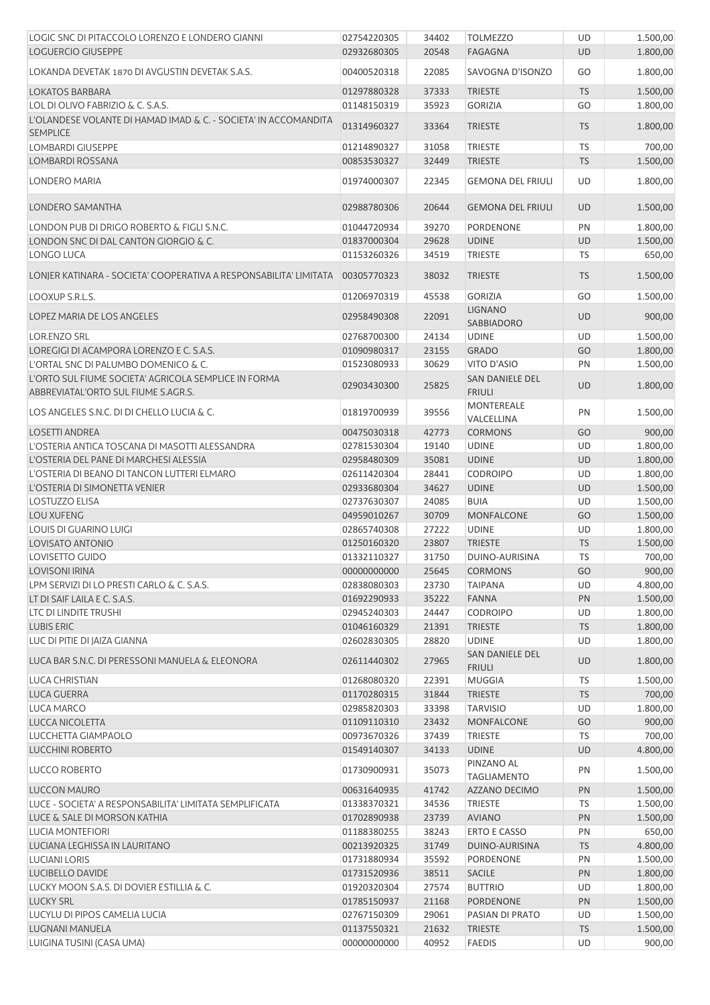| LOGIC SNC DI PITACCOLO LORENZO E LONDERO GIANNI                   | 02754220305 | 34402 | <b>TOLMEZZO</b>                         | UD        | 1.500,00 |
|-------------------------------------------------------------------|-------------|-------|-----------------------------------------|-----------|----------|
| LOGUERCIO GIUSEPPE                                                | 02932680305 | 20548 | <b>FAGAGNA</b>                          | UD        | 1.800,00 |
| LOKANDA DEVETAK 1870 DI AVGUSTIN DEVETAK S.A.S.                   | 00400520318 | 22085 | SAVOGNA D'ISONZO                        | GO        | 1.800,00 |
| <b>LOKATOS BARBARA</b>                                            | 01297880328 | 37333 | <b>TRIESTE</b>                          | <b>TS</b> | 1.500,00 |
| LOL DI OLIVO FABRIZIO & C. S.A.S.                                 | 01148150319 | 35923 | <b>GORIZIA</b>                          | GO        | 1.800,00 |
| L'OLANDESE VOLANTE DI HAMAD IMAD & C. - SOCIETA' IN ACCOMANDITA   | 01314960327 | 33364 | TRIESTE                                 | <b>TS</b> | 1.800,00 |
| <b>SEMPLICE</b>                                                   |             |       |                                         |           |          |
| <b>LOMBARDI GIUSEPPE</b>                                          | 01214890327 | 31058 | <b>TRIESTE</b>                          | TS        | 700,00   |
| LOMBARDI ROSSANA                                                  | 00853530327 | 32449 | <b>TRIESTE</b>                          | <b>TS</b> | 1.500,00 |
| LONDERO MARIA                                                     | 01974000307 | 22345 | <b>GEMONA DEL FRIULI</b>                | UD        | 1.800,00 |
| LONDERO SAMANTHA                                                  | 02988780306 | 20644 | <b>GEMONA DEL FRIULI</b>                | <b>UD</b> | 1.500,00 |
| LONDON PUB DI DRIGO ROBERTO & FIGLI S.N.C.                        | 01044720934 | 39270 | <b>PORDENONE</b>                        | PN        | 1.800,00 |
| LONDON SNC DI DAL CANTON GIORGIO & C.                             | 01837000304 | 29628 | <b>UDINE</b>                            | <b>UD</b> | 1.500,00 |
| LONGO LUCA                                                        | 01153260326 | 34519 | <b>TRIESTE</b>                          | TS        | 650,00   |
| LONJER KATINARA - SOCIETA' COOPERATIVA A RESPONSABILITA' LIMITATA | 00305770323 | 38032 | <b>TRIESTE</b>                          | <b>TS</b> | 1.500,00 |
| LOOXUP S.R.L.S.                                                   | 01206970319 | 45538 | <b>GORIZIA</b>                          | GO        | 1.500,00 |
| LOPEZ MARIA DE LOS ANGELES                                        | 02958490308 | 22091 | <b>LIGNANO</b><br>SABBIADORO            | UD        | 900,00   |
| <b>LOR.ENZO SRL</b>                                               | 02768700300 | 24134 | <b>UDINE</b>                            | UD        | 1.500,00 |
| LOREGIGI DI ACAMPORA LORENZO E C. S.A.S.                          | 01090980317 | 23155 | <b>GRADO</b>                            | GO        | 1.800,00 |
| L'ORTAL SNC DI PALUMBO DOMENICO & C.                              | 01523080933 | 30629 | VITO D'ASIO                             | PN        | 1.500,00 |
| L'ORTO SUL FIUME SOCIETA' AGRICOLA SEMPLICE IN FORMA              |             |       | <b>SAN DANIELE DEL</b>                  |           |          |
| ABBREVIATAL'ORTO SUL FIUME S.AGR.S.                               | 02903430300 | 25825 | <b>FRIULI</b>                           | <b>UD</b> | 1.800,00 |
| LOS ANGELES S.N.C. DI DI CHELLO LUCIA & C.                        | 01819700939 | 39556 | <b>MONTEREALE</b><br>VALCELLINA         | PN        | 1.500,00 |
| <b>LOSETTI ANDREA</b>                                             | 00475030318 | 42773 | <b>CORMONS</b>                          | GO        | 900,00   |
| L'OSTERIA ANTICA TOSCANA DI MASOTTI ALESSANDRA                    | 02781530304 | 19140 | <b>UDINE</b>                            | UD        | 1.800,00 |
| L'OSTERIA DEL PANE DI MARCHESI ALESSIA                            | 02958480309 | 35081 | <b>UDINE</b>                            | UD        | 1.800,00 |
| L'OSTERIA DI BEANO DI TANCON LUTTERI ELMARO                       | 02611420304 | 28441 | <b>CODROIPO</b>                         | UD        | 1.800,00 |
| L'OSTERIA DI SIMONETTA VENIER                                     | 02933680304 | 34627 | <b>UDINE</b>                            | <b>UD</b> | 1.500,00 |
| <b>LOSTUZZO ELISA</b>                                             | 02737630307 | 24085 | <b>BUIA</b>                             | UD        | 1.500,00 |
| <b>LOU XUFENG</b>                                                 | 04959010267 | 30709 | <b>MONFALCONE</b>                       | GO        | 1.500,00 |
| LOUIS DI GUARINO LUIGI                                            | 02865740308 | 27222 | <b>UDINE</b>                            | <b>UD</b> | 1.800,00 |
| LOVISATO ANTONIO                                                  | 01250160320 | 23807 | <b>TRIESTE</b>                          | <b>TS</b> | 1.500,00 |
| LOVISETTO GUIDO                                                   | 01332110327 | 31750 | DUINO-AURISINA                          | TS        | 700,00   |
| <b>LOVISONI IRINA</b>                                             | 00000000000 | 25645 | <b>CORMONS</b>                          | GO        | 900,00   |
| LPM SERVIZI DI LO PRESTI CARLO & C. S.A.S.                        | 02838080303 | 23730 | <b>TAIPANA</b>                          | UD        | 4.800,00 |
| LT DI SAIF LAILA E C. S.A.S.                                      | 01692290933 | 35222 | <b>FANNA</b>                            | PN        | 1.500,00 |
| LTC DI LINDITE TRUSHI                                             | 02945240303 | 24447 | <b>CODROIPO</b>                         | <b>UD</b> | 1.800,00 |
| <b>LUBIS ERIC</b>                                                 | 01046160329 | 21391 | <b>TRIESTE</b>                          | <b>TS</b> | 1.800,00 |
| LUC DI PITIE DI JAIZA GIANNA                                      | 02602830305 | 28820 | <b>UDINE</b>                            | UD        | 1.800,00 |
| LUCA BAR S.N.C. DI PERESSONI MANUELA & ELEONORA                   | 02611440302 | 27965 | <b>SAN DANIELE DEL</b><br><b>FRIULI</b> | UD        | 1.800,00 |
| <b>LUCA CHRISTIAN</b>                                             | 01268080320 | 22391 | <b>MUGGIA</b>                           | TS        | 1.500,00 |
| LUCA GUERRA                                                       | 01170280315 | 31844 | <b>TRIESTE</b>                          | <b>TS</b> | 700,00   |
| LUCA MARCO                                                        | 02985820303 | 33398 | <b>TARVISIO</b>                         | <b>UD</b> | 1.800,00 |
| LUCCA NICOLETTA                                                   | 01109110310 | 23432 | <b>MONFALCONE</b>                       | GO        | 900,00   |
| LUCCHETTA GIAMPAOLO                                               | 00973670326 | 37439 | <b>TRIESTE</b>                          | TS        | 700,00   |
| <b>LUCCHINI ROBERTO</b>                                           | 01549140307 | 34133 | <b>UDINE</b>                            | <b>UD</b> | 4.800,00 |
| <b>LUCCO ROBERTO</b>                                              | 01730900931 | 35073 | PINZANO AL<br><b>TAGLIAMENTO</b>        | PN        | 1.500,00 |
| LUCCON MAURO                                                      | 00631640935 | 41742 | AZZANO DECIMO                           | PN        | 1.500,00 |
| LUCE - SOCIETA' A RESPONSABILITA' LIMITATA SEMPLIFICATA           | 01338370321 | 34536 | <b>TRIESTE</b>                          | TS        | 1.500,00 |
| LUCE & SALE DI MORSON KATHIA                                      | 01702890938 | 23739 | <b>AVIANO</b>                           | PN        | 1.500,00 |
| <b>LUCIA MONTEFIORI</b>                                           | 01188380255 | 38243 | <b>ERTO E CASSO</b>                     | PN        | 650,00   |
| LUCIANA LEGHISSA IN LAURITANO                                     | 00213920325 | 31749 | DUINO-AURISINA                          | <b>TS</b> | 4.800,00 |
| <b>LUCIANI LORIS</b>                                              | 01731880934 | 35592 | PORDENONE                               | PN        | 1.500,00 |
| LUCIBELLO DAVIDE                                                  | 01731520936 | 38511 | <b>SACILE</b>                           | PN        | 1.800,00 |
| LUCKY MOON S.A.S. DI DOVIER ESTILLIA & C.                         | 01920320304 | 27574 | <b>BUTTRIO</b>                          | UD        | 1.800,00 |
| <b>LUCKY SRL</b>                                                  | 01785150937 | 21168 | <b>PORDENONE</b>                        | PN        | 1.500,00 |
| LUCYLU DI PIPOS CAMELIA LUCIA                                     | 02767150309 | 29061 | PASIAN DI PRATO                         | UD        | 1.500,00 |
| LUGNANI MANUELA                                                   | 01137550321 | 21632 | <b>TRIESTE</b>                          | <b>TS</b> | 1.500,00 |
| LUIGINA TUSINI (CASA UMA)                                         | 00000000000 | 40952 | <b>FAEDIS</b>                           | UD        | 900,00   |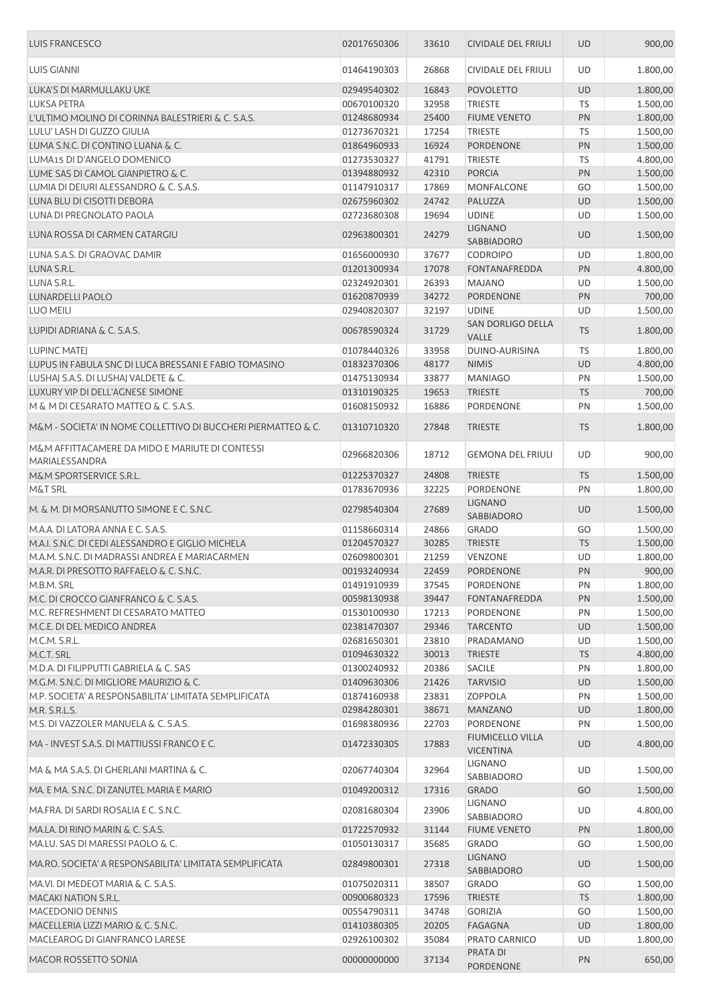| LUIS GIANNI<br>01464190303<br>26868<br>CIVIDALE DEL FRIULI<br>UD<br>1.800,00<br>LUKA'S DI MARMULLAKU UKE<br>16843<br><b>UD</b><br>1.800,00<br>02949540302<br><b>POVOLETTO</b><br><b>LUKSA PETRA</b><br>32958<br>1.500,00<br>00670100320<br><b>TRIESTE</b><br>TS<br>L'ULTIMO MOLINO DI CORINNA BALESTRIERI & C. S.A.S.<br>25400<br>PN<br>1.800,00<br>01248680934<br><b>FIUME VENETO</b><br>LULU' LASH DI GUZZO GIULIA<br>01273670321<br>17254<br><b>TRIESTE</b><br><b>TS</b><br>1.500,00<br>LUMA S.N.C. DI CONTINO LUANA & C.<br>16924<br>PN<br>1.500,00<br>01864960933<br><b>PORDENONE</b><br>LUMA15 DI D'ANGELO DOMENICO<br>4.800,00<br>01273530327<br>41791<br><b>TRIESTE</b><br>TS<br>LUME SAS DI CAMOL GIANPIETRO & C.<br>42310<br><b>PORCIA</b><br>PN<br>1.500,00<br>01394880932<br>LUMIA DI DEIURI ALESSANDRO & C. S.A.S.<br>01147910317<br>17869<br><b>MONFALCONE</b><br>GO<br>1.500,00<br>LUNA BLU DI CISOTTI DEBORA<br>24742<br>UD<br>1.500,00<br>02675960302<br>PALUZZA<br>LUNA DI PREGNOLATO PAOLA<br>19694<br><b>UDINE</b><br>1.500,00<br>02723680308<br>UD<br><b>LIGNANO</b><br>LUNA ROSSA DI CARMEN CATARGIU<br>02963800301<br>24279<br>1.500,00<br><b>UD</b><br>SABBIADORO<br>37677<br>UD<br>1.800,00<br>LUNA S.A.S. DI GRAOVAC DAMIR<br>01656000930<br><b>CODROIPO</b><br>LUNA S.R.L.<br>17078<br>FONTANAFREDDA<br>PN<br>4.800,00<br>01201300934<br>LUNA S.R.L.<br>26393<br>1.500,00<br>02324920301<br><b>MAJANO</b><br>UD<br><b>LUNARDELLI PAOLO</b><br>34272<br>700,00<br>01620870939<br>PORDENONE<br>PN<br>LUO MEILI<br>32197<br><b>UDINE</b><br>UD<br>1.500,00<br>02940820307<br>SAN DORLIGO DELLA<br>LUPIDI ADRIANA & C. S.A.S.<br>00678590324<br>31729<br><b>TS</b><br>1.800,00<br><b>VALLE</b><br>33958<br>DUINO-AURISINA<br><b>TS</b><br>1.800,00<br>LUPINC MATEJ<br>01078440326<br>LUPUS IN FABULA SNC DI LUCA BRESSANI E FABIO TOMASINO<br>01832370306<br>48177<br><b>NIMIS</b><br>UD<br>4.800,00<br>LUSHAJ S.A.S. DI LUSHAJ VALDETE & C.<br>33877<br><b>MANIAGO</b><br>PN<br>1.500,00<br>01475130934<br>LUXURY VIP DI DELL'AGNESE SIMONE<br>19653<br><b>TRIESTE</b><br><b>TS</b><br>700,00<br>01310190325<br>M & M DI CESARATO MATTEO & C. S.A.S.<br>16886<br>PN<br>1.500,00<br>01608150932<br>PORDENONE<br>M&M - SOCIETA' IN NOME COLLETTIVO DI BUCCHERI PIERMATTEO & C.<br>27848<br><b>TS</b><br>1.800,00<br>01310710320<br><b>TRIESTE</b><br>M&M AFFITTACAMERE DA MIDO E MARIUTE DI CONTESSI<br>UD<br>02966820306<br>18712<br><b>GEMONA DEL FRIULI</b><br>900,00<br>MARIALESSANDRA<br>24808<br><b>TS</b><br>1.500,00<br>M&M SPORTSERVICE S.R.L.<br>01225370327<br><b>TRIESTE</b><br>32225<br>PORDENONE<br>PN<br>1.800,00<br><b>M&amp;T SRL</b><br>01783670936<br><b>LIGNANO</b><br>M. & M. DI MORSANUTTO SIMONE E C. S.N.C.<br>1.500,00<br>02798540304<br>27689<br><b>UD</b><br><b>SABBIADORO</b><br>M.A.A. DI LATORA ANNA E C. S.A.S.<br>24866<br><b>GRADO</b><br>GO<br>1.500,00<br>01158660314<br>M.A.I. S.N.C. DI CEDI ALESSANDRO E GIGLIO MICHELA<br>01204570327<br>30285<br><b>TRIESTE</b><br><b>TS</b><br>1.500,00<br>M.A.M. S.N.C. DI MADRASSI ANDREA E MARIACARMEN<br>UD<br>1.800,00<br>02609800301<br>21259<br><b>VENZONE</b><br>M.A.R. DI PRESOTTO RAFFAELO & C. S.N.C.<br>00193240934<br>22459<br><b>PORDENONE</b><br><b>PN</b><br>900,00<br>1.800,00<br>M.B.M. SRL<br>01491910939<br>37545<br>PORDENONE<br>PN<br>M.C. DI CROCCO GIANFRANCO & C. S.A.S.<br>39447<br>1.500,00<br>00598130938<br><b>FONTANAFREDDA</b><br>PN<br>M.C. REFRESHMENT DI CESARATO MATTEO<br>17213<br>PN<br>1.500,00<br>01530100930<br>PORDENONE<br>M.C.E. DI DEL MEDICO ANDREA<br>02381470307<br>29346<br><b>TARCENTO</b><br><b>UD</b><br>1.500,00<br>M.C.M. S.R.L.<br>23810<br>1.500,00<br>02681650301<br>PRADAMANO<br>UD<br>30013<br><b>TS</b><br>4.800,00<br>M.C.T. SRL<br>01094630322<br><b>TRIESTE</b><br>20386<br><b>SACILE</b><br>1.800,00<br>M.D.A. DI FILIPPUTTI GABRIELA & C. SAS<br>01300240932<br>PN<br>1.500,00<br>M.G.M. S.N.C. DI MIGLIORE MAURIZIO & C.<br>01409630306<br>21426<br><b>TARVISIO</b><br>UD<br>23831<br>1.500,00<br>01874160938<br><b>ZOPPOLA</b><br>PN<br>M.P. SOCIETA' A RESPONSABILITA' LIMITATA SEMPLIFICATA<br>38671<br>1.800,00<br>M.R. S.R.L.S.<br>02984280301<br><b>MANZANO</b><br>UD<br>01698380936<br>22703<br>PORDENONE<br>PN<br>1.500,00<br>M.S. DI VAZZOLER MANUELA & C. S.A.S.<br><b>FIUMICELLO VILLA</b><br>MA - INVEST S.A.S. DI MATTIUSSI FRANCO E C.<br>17883<br>4.800,00<br>01472330305<br><b>UD</b><br><b>VICENTINA</b><br>LIGNANO<br>MA & MA S.A.S. DI GHERLANI MARTINA & C.<br>32964<br>UD<br>1.500,00<br>02067740304<br>SABBIADORO<br>MA. E MA. S.N.C. DI ZANUTEL MARIA E MARIO<br>01049200312<br>GO<br>17316<br><b>GRADO</b><br>1.500,00<br>LIGNANO<br>MA.FRA. DI SARDI ROSALIA E C. S.N.C.<br>23906<br>4.800,00<br>02081680304<br>UD<br>SABBIADORO<br>1.800,00<br>MA.LA. DI RINO MARIN & C. S.A.S.<br>01722570932<br>31144<br><b>FIUME VENETO</b><br>PN<br><b>GRADO</b><br>GO<br>MA.LU. SAS DI MARESSI PAOLO & C.<br>01050130317<br>35685<br>1.500,00<br><b>LIGNANO</b><br>MA.RO. SOCIETA' A RESPONSABILITA' LIMITATA SEMPLIFICATA<br>02849800301<br>27318<br>UD<br>1.500,00<br>SABBIADORO<br>MA.VI. DI MEDEOT MARIA & C. S.A.S.<br>38507<br>01075020311<br>GRADO<br>GO<br>1.500,00<br>17596<br><b>TS</b><br>1.800,00<br><b>MACAKI NATION S.R.L.</b><br>00900680323<br><b>TRIESTE</b><br>MACEDONIO DENNIS<br>34748<br><b>GORIZIA</b><br>1.500,00<br>00554790311<br>GO<br>1.800,00<br>MACELLERIA LIZZI MARIO & C. S.N.C.<br>01410380305<br>20205<br><b>FAGAGNA</b><br>UD<br>MACLEAROG DI GIANFRANCO LARESE<br>35084<br>1.800,00<br>02926100302<br>PRATO CARNICO<br>UD<br>PRATA DI<br>MACOR ROSSETTO SONIA<br>00000000000<br>37134<br>PN<br>650,00<br>PORDENONE | <b>LUIS FRANCESCO</b> | 02017650306 | 33610 | CIVIDALE DEL FRIULI | <b>UD</b> | 900,00 |
|--------------------------------------------------------------------------------------------------------------------------------------------------------------------------------------------------------------------------------------------------------------------------------------------------------------------------------------------------------------------------------------------------------------------------------------------------------------------------------------------------------------------------------------------------------------------------------------------------------------------------------------------------------------------------------------------------------------------------------------------------------------------------------------------------------------------------------------------------------------------------------------------------------------------------------------------------------------------------------------------------------------------------------------------------------------------------------------------------------------------------------------------------------------------------------------------------------------------------------------------------------------------------------------------------------------------------------------------------------------------------------------------------------------------------------------------------------------------------------------------------------------------------------------------------------------------------------------------------------------------------------------------------------------------------------------------------------------------------------------------------------------------------------------------------------------------------------------------------------------------------------------------------------------------------------------------------------------------------------------------------------------------------------------------------------------------------------------------------------------------------------------------------------------------------------------------------------------------------------------------------------------------------------------------------------------------------------------------------------------------------------------------------------------------------------------------------------------------------------------------------------------------------------------------------------------------------------------------------------------------------------------------------------------------------------------------------------------------------------------------------------------------------------------------------------------------------------------------------------------------------------------------------------------------------------------------------------------------------------------------------------------------------------------------------------------------------------------------------------------------------------------------------------------------------------------------------------------------------------------------------------------------------------------------------------------------------------------------------------------------------------------------------------------------------------------------------------------------------------------------------------------------------------------------------------------------------------------------------------------------------------------------------------------------------------------------------------------------------------------------------------------------------------------------------------------------------------------------------------------------------------------------------------------------------------------------------------------------------------------------------------------------------------------------------------------------------------------------------------------------------------------------------------------------------------------------------------------------------------------------------------------------------------------------------------------------------------------------------------------------------------------------------------------------------------------------------------------------------------------------------------------------------------------------------------------------------------------------------------------------------------------------------------------------------------------------------------------------------------------------------------------------------------------------------------------------------------------------------------------------------------------------------------------------------------------------------------------------------------------------------------------------------------------------------------------------------------------------------------------------------------------------------------------------------------------------------------------------------------------------------------------------------------------------------------------------------------------------------------------------------------------------------------------------------------------------------------------------------------------------------------------------------------------------------------------------------------------------------------------------------------------------------------------------------------------------------------------------------------------|-----------------------|-------------|-------|---------------------|-----------|--------|
|                                                                                                                                                                                                                                                                                                                                                                                                                                                                                                                                                                                                                                                                                                                                                                                                                                                                                                                                                                                                                                                                                                                                                                                                                                                                                                                                                                                                                                                                                                                                                                                                                                                                                                                                                                                                                                                                                                                                                                                                                                                                                                                                                                                                                                                                                                                                                                                                                                                                                                                                                                                                                                                                                                                                                                                                                                                                                                                                                                                                                                                                                                                                                                                                                                                                                                                                                                                                                                                                                                                                                                                                                                                                                                                                                                                                                                                                                                                                                                                                                                                                                                                                                                                                                                                                                                                                                                                                                                                                                                                                                                                                                                                                                                                                                                                                                                                                                                                                                                                                                                                                                                                                                                                                                                                                                                                                                                                                                                                                                                                                                                                                                                                                                                                                      |                       |             |       |                     |           |        |
|                                                                                                                                                                                                                                                                                                                                                                                                                                                                                                                                                                                                                                                                                                                                                                                                                                                                                                                                                                                                                                                                                                                                                                                                                                                                                                                                                                                                                                                                                                                                                                                                                                                                                                                                                                                                                                                                                                                                                                                                                                                                                                                                                                                                                                                                                                                                                                                                                                                                                                                                                                                                                                                                                                                                                                                                                                                                                                                                                                                                                                                                                                                                                                                                                                                                                                                                                                                                                                                                                                                                                                                                                                                                                                                                                                                                                                                                                                                                                                                                                                                                                                                                                                                                                                                                                                                                                                                                                                                                                                                                                                                                                                                                                                                                                                                                                                                                                                                                                                                                                                                                                                                                                                                                                                                                                                                                                                                                                                                                                                                                                                                                                                                                                                                                      |                       |             |       |                     |           |        |
|                                                                                                                                                                                                                                                                                                                                                                                                                                                                                                                                                                                                                                                                                                                                                                                                                                                                                                                                                                                                                                                                                                                                                                                                                                                                                                                                                                                                                                                                                                                                                                                                                                                                                                                                                                                                                                                                                                                                                                                                                                                                                                                                                                                                                                                                                                                                                                                                                                                                                                                                                                                                                                                                                                                                                                                                                                                                                                                                                                                                                                                                                                                                                                                                                                                                                                                                                                                                                                                                                                                                                                                                                                                                                                                                                                                                                                                                                                                                                                                                                                                                                                                                                                                                                                                                                                                                                                                                                                                                                                                                                                                                                                                                                                                                                                                                                                                                                                                                                                                                                                                                                                                                                                                                                                                                                                                                                                                                                                                                                                                                                                                                                                                                                                                                      |                       |             |       |                     |           |        |
|                                                                                                                                                                                                                                                                                                                                                                                                                                                                                                                                                                                                                                                                                                                                                                                                                                                                                                                                                                                                                                                                                                                                                                                                                                                                                                                                                                                                                                                                                                                                                                                                                                                                                                                                                                                                                                                                                                                                                                                                                                                                                                                                                                                                                                                                                                                                                                                                                                                                                                                                                                                                                                                                                                                                                                                                                                                                                                                                                                                                                                                                                                                                                                                                                                                                                                                                                                                                                                                                                                                                                                                                                                                                                                                                                                                                                                                                                                                                                                                                                                                                                                                                                                                                                                                                                                                                                                                                                                                                                                                                                                                                                                                                                                                                                                                                                                                                                                                                                                                                                                                                                                                                                                                                                                                                                                                                                                                                                                                                                                                                                                                                                                                                                                                                      |                       |             |       |                     |           |        |
|                                                                                                                                                                                                                                                                                                                                                                                                                                                                                                                                                                                                                                                                                                                                                                                                                                                                                                                                                                                                                                                                                                                                                                                                                                                                                                                                                                                                                                                                                                                                                                                                                                                                                                                                                                                                                                                                                                                                                                                                                                                                                                                                                                                                                                                                                                                                                                                                                                                                                                                                                                                                                                                                                                                                                                                                                                                                                                                                                                                                                                                                                                                                                                                                                                                                                                                                                                                                                                                                                                                                                                                                                                                                                                                                                                                                                                                                                                                                                                                                                                                                                                                                                                                                                                                                                                                                                                                                                                                                                                                                                                                                                                                                                                                                                                                                                                                                                                                                                                                                                                                                                                                                                                                                                                                                                                                                                                                                                                                                                                                                                                                                                                                                                                                                      |                       |             |       |                     |           |        |
|                                                                                                                                                                                                                                                                                                                                                                                                                                                                                                                                                                                                                                                                                                                                                                                                                                                                                                                                                                                                                                                                                                                                                                                                                                                                                                                                                                                                                                                                                                                                                                                                                                                                                                                                                                                                                                                                                                                                                                                                                                                                                                                                                                                                                                                                                                                                                                                                                                                                                                                                                                                                                                                                                                                                                                                                                                                                                                                                                                                                                                                                                                                                                                                                                                                                                                                                                                                                                                                                                                                                                                                                                                                                                                                                                                                                                                                                                                                                                                                                                                                                                                                                                                                                                                                                                                                                                                                                                                                                                                                                                                                                                                                                                                                                                                                                                                                                                                                                                                                                                                                                                                                                                                                                                                                                                                                                                                                                                                                                                                                                                                                                                                                                                                                                      |                       |             |       |                     |           |        |
|                                                                                                                                                                                                                                                                                                                                                                                                                                                                                                                                                                                                                                                                                                                                                                                                                                                                                                                                                                                                                                                                                                                                                                                                                                                                                                                                                                                                                                                                                                                                                                                                                                                                                                                                                                                                                                                                                                                                                                                                                                                                                                                                                                                                                                                                                                                                                                                                                                                                                                                                                                                                                                                                                                                                                                                                                                                                                                                                                                                                                                                                                                                                                                                                                                                                                                                                                                                                                                                                                                                                                                                                                                                                                                                                                                                                                                                                                                                                                                                                                                                                                                                                                                                                                                                                                                                                                                                                                                                                                                                                                                                                                                                                                                                                                                                                                                                                                                                                                                                                                                                                                                                                                                                                                                                                                                                                                                                                                                                                                                                                                                                                                                                                                                                                      |                       |             |       |                     |           |        |
|                                                                                                                                                                                                                                                                                                                                                                                                                                                                                                                                                                                                                                                                                                                                                                                                                                                                                                                                                                                                                                                                                                                                                                                                                                                                                                                                                                                                                                                                                                                                                                                                                                                                                                                                                                                                                                                                                                                                                                                                                                                                                                                                                                                                                                                                                                                                                                                                                                                                                                                                                                                                                                                                                                                                                                                                                                                                                                                                                                                                                                                                                                                                                                                                                                                                                                                                                                                                                                                                                                                                                                                                                                                                                                                                                                                                                                                                                                                                                                                                                                                                                                                                                                                                                                                                                                                                                                                                                                                                                                                                                                                                                                                                                                                                                                                                                                                                                                                                                                                                                                                                                                                                                                                                                                                                                                                                                                                                                                                                                                                                                                                                                                                                                                                                      |                       |             |       |                     |           |        |
|                                                                                                                                                                                                                                                                                                                                                                                                                                                                                                                                                                                                                                                                                                                                                                                                                                                                                                                                                                                                                                                                                                                                                                                                                                                                                                                                                                                                                                                                                                                                                                                                                                                                                                                                                                                                                                                                                                                                                                                                                                                                                                                                                                                                                                                                                                                                                                                                                                                                                                                                                                                                                                                                                                                                                                                                                                                                                                                                                                                                                                                                                                                                                                                                                                                                                                                                                                                                                                                                                                                                                                                                                                                                                                                                                                                                                                                                                                                                                                                                                                                                                                                                                                                                                                                                                                                                                                                                                                                                                                                                                                                                                                                                                                                                                                                                                                                                                                                                                                                                                                                                                                                                                                                                                                                                                                                                                                                                                                                                                                                                                                                                                                                                                                                                      |                       |             |       |                     |           |        |
|                                                                                                                                                                                                                                                                                                                                                                                                                                                                                                                                                                                                                                                                                                                                                                                                                                                                                                                                                                                                                                                                                                                                                                                                                                                                                                                                                                                                                                                                                                                                                                                                                                                                                                                                                                                                                                                                                                                                                                                                                                                                                                                                                                                                                                                                                                                                                                                                                                                                                                                                                                                                                                                                                                                                                                                                                                                                                                                                                                                                                                                                                                                                                                                                                                                                                                                                                                                                                                                                                                                                                                                                                                                                                                                                                                                                                                                                                                                                                                                                                                                                                                                                                                                                                                                                                                                                                                                                                                                                                                                                                                                                                                                                                                                                                                                                                                                                                                                                                                                                                                                                                                                                                                                                                                                                                                                                                                                                                                                                                                                                                                                                                                                                                                                                      |                       |             |       |                     |           |        |
|                                                                                                                                                                                                                                                                                                                                                                                                                                                                                                                                                                                                                                                                                                                                                                                                                                                                                                                                                                                                                                                                                                                                                                                                                                                                                                                                                                                                                                                                                                                                                                                                                                                                                                                                                                                                                                                                                                                                                                                                                                                                                                                                                                                                                                                                                                                                                                                                                                                                                                                                                                                                                                                                                                                                                                                                                                                                                                                                                                                                                                                                                                                                                                                                                                                                                                                                                                                                                                                                                                                                                                                                                                                                                                                                                                                                                                                                                                                                                                                                                                                                                                                                                                                                                                                                                                                                                                                                                                                                                                                                                                                                                                                                                                                                                                                                                                                                                                                                                                                                                                                                                                                                                                                                                                                                                                                                                                                                                                                                                                                                                                                                                                                                                                                                      |                       |             |       |                     |           |        |
|                                                                                                                                                                                                                                                                                                                                                                                                                                                                                                                                                                                                                                                                                                                                                                                                                                                                                                                                                                                                                                                                                                                                                                                                                                                                                                                                                                                                                                                                                                                                                                                                                                                                                                                                                                                                                                                                                                                                                                                                                                                                                                                                                                                                                                                                                                                                                                                                                                                                                                                                                                                                                                                                                                                                                                                                                                                                                                                                                                                                                                                                                                                                                                                                                                                                                                                                                                                                                                                                                                                                                                                                                                                                                                                                                                                                                                                                                                                                                                                                                                                                                                                                                                                                                                                                                                                                                                                                                                                                                                                                                                                                                                                                                                                                                                                                                                                                                                                                                                                                                                                                                                                                                                                                                                                                                                                                                                                                                                                                                                                                                                                                                                                                                                                                      |                       |             |       |                     |           |        |
|                                                                                                                                                                                                                                                                                                                                                                                                                                                                                                                                                                                                                                                                                                                                                                                                                                                                                                                                                                                                                                                                                                                                                                                                                                                                                                                                                                                                                                                                                                                                                                                                                                                                                                                                                                                                                                                                                                                                                                                                                                                                                                                                                                                                                                                                                                                                                                                                                                                                                                                                                                                                                                                                                                                                                                                                                                                                                                                                                                                                                                                                                                                                                                                                                                                                                                                                                                                                                                                                                                                                                                                                                                                                                                                                                                                                                                                                                                                                                                                                                                                                                                                                                                                                                                                                                                                                                                                                                                                                                                                                                                                                                                                                                                                                                                                                                                                                                                                                                                                                                                                                                                                                                                                                                                                                                                                                                                                                                                                                                                                                                                                                                                                                                                                                      |                       |             |       |                     |           |        |
|                                                                                                                                                                                                                                                                                                                                                                                                                                                                                                                                                                                                                                                                                                                                                                                                                                                                                                                                                                                                                                                                                                                                                                                                                                                                                                                                                                                                                                                                                                                                                                                                                                                                                                                                                                                                                                                                                                                                                                                                                                                                                                                                                                                                                                                                                                                                                                                                                                                                                                                                                                                                                                                                                                                                                                                                                                                                                                                                                                                                                                                                                                                                                                                                                                                                                                                                                                                                                                                                                                                                                                                                                                                                                                                                                                                                                                                                                                                                                                                                                                                                                                                                                                                                                                                                                                                                                                                                                                                                                                                                                                                                                                                                                                                                                                                                                                                                                                                                                                                                                                                                                                                                                                                                                                                                                                                                                                                                                                                                                                                                                                                                                                                                                                                                      |                       |             |       |                     |           |        |
|                                                                                                                                                                                                                                                                                                                                                                                                                                                                                                                                                                                                                                                                                                                                                                                                                                                                                                                                                                                                                                                                                                                                                                                                                                                                                                                                                                                                                                                                                                                                                                                                                                                                                                                                                                                                                                                                                                                                                                                                                                                                                                                                                                                                                                                                                                                                                                                                                                                                                                                                                                                                                                                                                                                                                                                                                                                                                                                                                                                                                                                                                                                                                                                                                                                                                                                                                                                                                                                                                                                                                                                                                                                                                                                                                                                                                                                                                                                                                                                                                                                                                                                                                                                                                                                                                                                                                                                                                                                                                                                                                                                                                                                                                                                                                                                                                                                                                                                                                                                                                                                                                                                                                                                                                                                                                                                                                                                                                                                                                                                                                                                                                                                                                                                                      |                       |             |       |                     |           |        |
|                                                                                                                                                                                                                                                                                                                                                                                                                                                                                                                                                                                                                                                                                                                                                                                                                                                                                                                                                                                                                                                                                                                                                                                                                                                                                                                                                                                                                                                                                                                                                                                                                                                                                                                                                                                                                                                                                                                                                                                                                                                                                                                                                                                                                                                                                                                                                                                                                                                                                                                                                                                                                                                                                                                                                                                                                                                                                                                                                                                                                                                                                                                                                                                                                                                                                                                                                                                                                                                                                                                                                                                                                                                                                                                                                                                                                                                                                                                                                                                                                                                                                                                                                                                                                                                                                                                                                                                                                                                                                                                                                                                                                                                                                                                                                                                                                                                                                                                                                                                                                                                                                                                                                                                                                                                                                                                                                                                                                                                                                                                                                                                                                                                                                                                                      |                       |             |       |                     |           |        |
|                                                                                                                                                                                                                                                                                                                                                                                                                                                                                                                                                                                                                                                                                                                                                                                                                                                                                                                                                                                                                                                                                                                                                                                                                                                                                                                                                                                                                                                                                                                                                                                                                                                                                                                                                                                                                                                                                                                                                                                                                                                                                                                                                                                                                                                                                                                                                                                                                                                                                                                                                                                                                                                                                                                                                                                                                                                                                                                                                                                                                                                                                                                                                                                                                                                                                                                                                                                                                                                                                                                                                                                                                                                                                                                                                                                                                                                                                                                                                                                                                                                                                                                                                                                                                                                                                                                                                                                                                                                                                                                                                                                                                                                                                                                                                                                                                                                                                                                                                                                                                                                                                                                                                                                                                                                                                                                                                                                                                                                                                                                                                                                                                                                                                                                                      |                       |             |       |                     |           |        |
|                                                                                                                                                                                                                                                                                                                                                                                                                                                                                                                                                                                                                                                                                                                                                                                                                                                                                                                                                                                                                                                                                                                                                                                                                                                                                                                                                                                                                                                                                                                                                                                                                                                                                                                                                                                                                                                                                                                                                                                                                                                                                                                                                                                                                                                                                                                                                                                                                                                                                                                                                                                                                                                                                                                                                                                                                                                                                                                                                                                                                                                                                                                                                                                                                                                                                                                                                                                                                                                                                                                                                                                                                                                                                                                                                                                                                                                                                                                                                                                                                                                                                                                                                                                                                                                                                                                                                                                                                                                                                                                                                                                                                                                                                                                                                                                                                                                                                                                                                                                                                                                                                                                                                                                                                                                                                                                                                                                                                                                                                                                                                                                                                                                                                                                                      |                       |             |       |                     |           |        |
|                                                                                                                                                                                                                                                                                                                                                                                                                                                                                                                                                                                                                                                                                                                                                                                                                                                                                                                                                                                                                                                                                                                                                                                                                                                                                                                                                                                                                                                                                                                                                                                                                                                                                                                                                                                                                                                                                                                                                                                                                                                                                                                                                                                                                                                                                                                                                                                                                                                                                                                                                                                                                                                                                                                                                                                                                                                                                                                                                                                                                                                                                                                                                                                                                                                                                                                                                                                                                                                                                                                                                                                                                                                                                                                                                                                                                                                                                                                                                                                                                                                                                                                                                                                                                                                                                                                                                                                                                                                                                                                                                                                                                                                                                                                                                                                                                                                                                                                                                                                                                                                                                                                                                                                                                                                                                                                                                                                                                                                                                                                                                                                                                                                                                                                                      |                       |             |       |                     |           |        |
|                                                                                                                                                                                                                                                                                                                                                                                                                                                                                                                                                                                                                                                                                                                                                                                                                                                                                                                                                                                                                                                                                                                                                                                                                                                                                                                                                                                                                                                                                                                                                                                                                                                                                                                                                                                                                                                                                                                                                                                                                                                                                                                                                                                                                                                                                                                                                                                                                                                                                                                                                                                                                                                                                                                                                                                                                                                                                                                                                                                                                                                                                                                                                                                                                                                                                                                                                                                                                                                                                                                                                                                                                                                                                                                                                                                                                                                                                                                                                                                                                                                                                                                                                                                                                                                                                                                                                                                                                                                                                                                                                                                                                                                                                                                                                                                                                                                                                                                                                                                                                                                                                                                                                                                                                                                                                                                                                                                                                                                                                                                                                                                                                                                                                                                                      |                       |             |       |                     |           |        |
|                                                                                                                                                                                                                                                                                                                                                                                                                                                                                                                                                                                                                                                                                                                                                                                                                                                                                                                                                                                                                                                                                                                                                                                                                                                                                                                                                                                                                                                                                                                                                                                                                                                                                                                                                                                                                                                                                                                                                                                                                                                                                                                                                                                                                                                                                                                                                                                                                                                                                                                                                                                                                                                                                                                                                                                                                                                                                                                                                                                                                                                                                                                                                                                                                                                                                                                                                                                                                                                                                                                                                                                                                                                                                                                                                                                                                                                                                                                                                                                                                                                                                                                                                                                                                                                                                                                                                                                                                                                                                                                                                                                                                                                                                                                                                                                                                                                                                                                                                                                                                                                                                                                                                                                                                                                                                                                                                                                                                                                                                                                                                                                                                                                                                                                                      |                       |             |       |                     |           |        |
|                                                                                                                                                                                                                                                                                                                                                                                                                                                                                                                                                                                                                                                                                                                                                                                                                                                                                                                                                                                                                                                                                                                                                                                                                                                                                                                                                                                                                                                                                                                                                                                                                                                                                                                                                                                                                                                                                                                                                                                                                                                                                                                                                                                                                                                                                                                                                                                                                                                                                                                                                                                                                                                                                                                                                                                                                                                                                                                                                                                                                                                                                                                                                                                                                                                                                                                                                                                                                                                                                                                                                                                                                                                                                                                                                                                                                                                                                                                                                                                                                                                                                                                                                                                                                                                                                                                                                                                                                                                                                                                                                                                                                                                                                                                                                                                                                                                                                                                                                                                                                                                                                                                                                                                                                                                                                                                                                                                                                                                                                                                                                                                                                                                                                                                                      |                       |             |       |                     |           |        |
|                                                                                                                                                                                                                                                                                                                                                                                                                                                                                                                                                                                                                                                                                                                                                                                                                                                                                                                                                                                                                                                                                                                                                                                                                                                                                                                                                                                                                                                                                                                                                                                                                                                                                                                                                                                                                                                                                                                                                                                                                                                                                                                                                                                                                                                                                                                                                                                                                                                                                                                                                                                                                                                                                                                                                                                                                                                                                                                                                                                                                                                                                                                                                                                                                                                                                                                                                                                                                                                                                                                                                                                                                                                                                                                                                                                                                                                                                                                                                                                                                                                                                                                                                                                                                                                                                                                                                                                                                                                                                                                                                                                                                                                                                                                                                                                                                                                                                                                                                                                                                                                                                                                                                                                                                                                                                                                                                                                                                                                                                                                                                                                                                                                                                                                                      |                       |             |       |                     |           |        |
|                                                                                                                                                                                                                                                                                                                                                                                                                                                                                                                                                                                                                                                                                                                                                                                                                                                                                                                                                                                                                                                                                                                                                                                                                                                                                                                                                                                                                                                                                                                                                                                                                                                                                                                                                                                                                                                                                                                                                                                                                                                                                                                                                                                                                                                                                                                                                                                                                                                                                                                                                                                                                                                                                                                                                                                                                                                                                                                                                                                                                                                                                                                                                                                                                                                                                                                                                                                                                                                                                                                                                                                                                                                                                                                                                                                                                                                                                                                                                                                                                                                                                                                                                                                                                                                                                                                                                                                                                                                                                                                                                                                                                                                                                                                                                                                                                                                                                                                                                                                                                                                                                                                                                                                                                                                                                                                                                                                                                                                                                                                                                                                                                                                                                                                                      |                       |             |       |                     |           |        |
|                                                                                                                                                                                                                                                                                                                                                                                                                                                                                                                                                                                                                                                                                                                                                                                                                                                                                                                                                                                                                                                                                                                                                                                                                                                                                                                                                                                                                                                                                                                                                                                                                                                                                                                                                                                                                                                                                                                                                                                                                                                                                                                                                                                                                                                                                                                                                                                                                                                                                                                                                                                                                                                                                                                                                                                                                                                                                                                                                                                                                                                                                                                                                                                                                                                                                                                                                                                                                                                                                                                                                                                                                                                                                                                                                                                                                                                                                                                                                                                                                                                                                                                                                                                                                                                                                                                                                                                                                                                                                                                                                                                                                                                                                                                                                                                                                                                                                                                                                                                                                                                                                                                                                                                                                                                                                                                                                                                                                                                                                                                                                                                                                                                                                                                                      |                       |             |       |                     |           |        |
|                                                                                                                                                                                                                                                                                                                                                                                                                                                                                                                                                                                                                                                                                                                                                                                                                                                                                                                                                                                                                                                                                                                                                                                                                                                                                                                                                                                                                                                                                                                                                                                                                                                                                                                                                                                                                                                                                                                                                                                                                                                                                                                                                                                                                                                                                                                                                                                                                                                                                                                                                                                                                                                                                                                                                                                                                                                                                                                                                                                                                                                                                                                                                                                                                                                                                                                                                                                                                                                                                                                                                                                                                                                                                                                                                                                                                                                                                                                                                                                                                                                                                                                                                                                                                                                                                                                                                                                                                                                                                                                                                                                                                                                                                                                                                                                                                                                                                                                                                                                                                                                                                                                                                                                                                                                                                                                                                                                                                                                                                                                                                                                                                                                                                                                                      |                       |             |       |                     |           |        |
|                                                                                                                                                                                                                                                                                                                                                                                                                                                                                                                                                                                                                                                                                                                                                                                                                                                                                                                                                                                                                                                                                                                                                                                                                                                                                                                                                                                                                                                                                                                                                                                                                                                                                                                                                                                                                                                                                                                                                                                                                                                                                                                                                                                                                                                                                                                                                                                                                                                                                                                                                                                                                                                                                                                                                                                                                                                                                                                                                                                                                                                                                                                                                                                                                                                                                                                                                                                                                                                                                                                                                                                                                                                                                                                                                                                                                                                                                                                                                                                                                                                                                                                                                                                                                                                                                                                                                                                                                                                                                                                                                                                                                                                                                                                                                                                                                                                                                                                                                                                                                                                                                                                                                                                                                                                                                                                                                                                                                                                                                                                                                                                                                                                                                                                                      |                       |             |       |                     |           |        |
|                                                                                                                                                                                                                                                                                                                                                                                                                                                                                                                                                                                                                                                                                                                                                                                                                                                                                                                                                                                                                                                                                                                                                                                                                                                                                                                                                                                                                                                                                                                                                                                                                                                                                                                                                                                                                                                                                                                                                                                                                                                                                                                                                                                                                                                                                                                                                                                                                                                                                                                                                                                                                                                                                                                                                                                                                                                                                                                                                                                                                                                                                                                                                                                                                                                                                                                                                                                                                                                                                                                                                                                                                                                                                                                                                                                                                                                                                                                                                                                                                                                                                                                                                                                                                                                                                                                                                                                                                                                                                                                                                                                                                                                                                                                                                                                                                                                                                                                                                                                                                                                                                                                                                                                                                                                                                                                                                                                                                                                                                                                                                                                                                                                                                                                                      |                       |             |       |                     |           |        |
|                                                                                                                                                                                                                                                                                                                                                                                                                                                                                                                                                                                                                                                                                                                                                                                                                                                                                                                                                                                                                                                                                                                                                                                                                                                                                                                                                                                                                                                                                                                                                                                                                                                                                                                                                                                                                                                                                                                                                                                                                                                                                                                                                                                                                                                                                                                                                                                                                                                                                                                                                                                                                                                                                                                                                                                                                                                                                                                                                                                                                                                                                                                                                                                                                                                                                                                                                                                                                                                                                                                                                                                                                                                                                                                                                                                                                                                                                                                                                                                                                                                                                                                                                                                                                                                                                                                                                                                                                                                                                                                                                                                                                                                                                                                                                                                                                                                                                                                                                                                                                                                                                                                                                                                                                                                                                                                                                                                                                                                                                                                                                                                                                                                                                                                                      |                       |             |       |                     |           |        |
|                                                                                                                                                                                                                                                                                                                                                                                                                                                                                                                                                                                                                                                                                                                                                                                                                                                                                                                                                                                                                                                                                                                                                                                                                                                                                                                                                                                                                                                                                                                                                                                                                                                                                                                                                                                                                                                                                                                                                                                                                                                                                                                                                                                                                                                                                                                                                                                                                                                                                                                                                                                                                                                                                                                                                                                                                                                                                                                                                                                                                                                                                                                                                                                                                                                                                                                                                                                                                                                                                                                                                                                                                                                                                                                                                                                                                                                                                                                                                                                                                                                                                                                                                                                                                                                                                                                                                                                                                                                                                                                                                                                                                                                                                                                                                                                                                                                                                                                                                                                                                                                                                                                                                                                                                                                                                                                                                                                                                                                                                                                                                                                                                                                                                                                                      |                       |             |       |                     |           |        |
|                                                                                                                                                                                                                                                                                                                                                                                                                                                                                                                                                                                                                                                                                                                                                                                                                                                                                                                                                                                                                                                                                                                                                                                                                                                                                                                                                                                                                                                                                                                                                                                                                                                                                                                                                                                                                                                                                                                                                                                                                                                                                                                                                                                                                                                                                                                                                                                                                                                                                                                                                                                                                                                                                                                                                                                                                                                                                                                                                                                                                                                                                                                                                                                                                                                                                                                                                                                                                                                                                                                                                                                                                                                                                                                                                                                                                                                                                                                                                                                                                                                                                                                                                                                                                                                                                                                                                                                                                                                                                                                                                                                                                                                                                                                                                                                                                                                                                                                                                                                                                                                                                                                                                                                                                                                                                                                                                                                                                                                                                                                                                                                                                                                                                                                                      |                       |             |       |                     |           |        |
|                                                                                                                                                                                                                                                                                                                                                                                                                                                                                                                                                                                                                                                                                                                                                                                                                                                                                                                                                                                                                                                                                                                                                                                                                                                                                                                                                                                                                                                                                                                                                                                                                                                                                                                                                                                                                                                                                                                                                                                                                                                                                                                                                                                                                                                                                                                                                                                                                                                                                                                                                                                                                                                                                                                                                                                                                                                                                                                                                                                                                                                                                                                                                                                                                                                                                                                                                                                                                                                                                                                                                                                                                                                                                                                                                                                                                                                                                                                                                                                                                                                                                                                                                                                                                                                                                                                                                                                                                                                                                                                                                                                                                                                                                                                                                                                                                                                                                                                                                                                                                                                                                                                                                                                                                                                                                                                                                                                                                                                                                                                                                                                                                                                                                                                                      |                       |             |       |                     |           |        |
|                                                                                                                                                                                                                                                                                                                                                                                                                                                                                                                                                                                                                                                                                                                                                                                                                                                                                                                                                                                                                                                                                                                                                                                                                                                                                                                                                                                                                                                                                                                                                                                                                                                                                                                                                                                                                                                                                                                                                                                                                                                                                                                                                                                                                                                                                                                                                                                                                                                                                                                                                                                                                                                                                                                                                                                                                                                                                                                                                                                                                                                                                                                                                                                                                                                                                                                                                                                                                                                                                                                                                                                                                                                                                                                                                                                                                                                                                                                                                                                                                                                                                                                                                                                                                                                                                                                                                                                                                                                                                                                                                                                                                                                                                                                                                                                                                                                                                                                                                                                                                                                                                                                                                                                                                                                                                                                                                                                                                                                                                                                                                                                                                                                                                                                                      |                       |             |       |                     |           |        |
|                                                                                                                                                                                                                                                                                                                                                                                                                                                                                                                                                                                                                                                                                                                                                                                                                                                                                                                                                                                                                                                                                                                                                                                                                                                                                                                                                                                                                                                                                                                                                                                                                                                                                                                                                                                                                                                                                                                                                                                                                                                                                                                                                                                                                                                                                                                                                                                                                                                                                                                                                                                                                                                                                                                                                                                                                                                                                                                                                                                                                                                                                                                                                                                                                                                                                                                                                                                                                                                                                                                                                                                                                                                                                                                                                                                                                                                                                                                                                                                                                                                                                                                                                                                                                                                                                                                                                                                                                                                                                                                                                                                                                                                                                                                                                                                                                                                                                                                                                                                                                                                                                                                                                                                                                                                                                                                                                                                                                                                                                                                                                                                                                                                                                                                                      |                       |             |       |                     |           |        |
|                                                                                                                                                                                                                                                                                                                                                                                                                                                                                                                                                                                                                                                                                                                                                                                                                                                                                                                                                                                                                                                                                                                                                                                                                                                                                                                                                                                                                                                                                                                                                                                                                                                                                                                                                                                                                                                                                                                                                                                                                                                                                                                                                                                                                                                                                                                                                                                                                                                                                                                                                                                                                                                                                                                                                                                                                                                                                                                                                                                                                                                                                                                                                                                                                                                                                                                                                                                                                                                                                                                                                                                                                                                                                                                                                                                                                                                                                                                                                                                                                                                                                                                                                                                                                                                                                                                                                                                                                                                                                                                                                                                                                                                                                                                                                                                                                                                                                                                                                                                                                                                                                                                                                                                                                                                                                                                                                                                                                                                                                                                                                                                                                                                                                                                                      |                       |             |       |                     |           |        |
|                                                                                                                                                                                                                                                                                                                                                                                                                                                                                                                                                                                                                                                                                                                                                                                                                                                                                                                                                                                                                                                                                                                                                                                                                                                                                                                                                                                                                                                                                                                                                                                                                                                                                                                                                                                                                                                                                                                                                                                                                                                                                                                                                                                                                                                                                                                                                                                                                                                                                                                                                                                                                                                                                                                                                                                                                                                                                                                                                                                                                                                                                                                                                                                                                                                                                                                                                                                                                                                                                                                                                                                                                                                                                                                                                                                                                                                                                                                                                                                                                                                                                                                                                                                                                                                                                                                                                                                                                                                                                                                                                                                                                                                                                                                                                                                                                                                                                                                                                                                                                                                                                                                                                                                                                                                                                                                                                                                                                                                                                                                                                                                                                                                                                                                                      |                       |             |       |                     |           |        |
|                                                                                                                                                                                                                                                                                                                                                                                                                                                                                                                                                                                                                                                                                                                                                                                                                                                                                                                                                                                                                                                                                                                                                                                                                                                                                                                                                                                                                                                                                                                                                                                                                                                                                                                                                                                                                                                                                                                                                                                                                                                                                                                                                                                                                                                                                                                                                                                                                                                                                                                                                                                                                                                                                                                                                                                                                                                                                                                                                                                                                                                                                                                                                                                                                                                                                                                                                                                                                                                                                                                                                                                                                                                                                                                                                                                                                                                                                                                                                                                                                                                                                                                                                                                                                                                                                                                                                                                                                                                                                                                                                                                                                                                                                                                                                                                                                                                                                                                                                                                                                                                                                                                                                                                                                                                                                                                                                                                                                                                                                                                                                                                                                                                                                                                                      |                       |             |       |                     |           |        |
|                                                                                                                                                                                                                                                                                                                                                                                                                                                                                                                                                                                                                                                                                                                                                                                                                                                                                                                                                                                                                                                                                                                                                                                                                                                                                                                                                                                                                                                                                                                                                                                                                                                                                                                                                                                                                                                                                                                                                                                                                                                                                                                                                                                                                                                                                                                                                                                                                                                                                                                                                                                                                                                                                                                                                                                                                                                                                                                                                                                                                                                                                                                                                                                                                                                                                                                                                                                                                                                                                                                                                                                                                                                                                                                                                                                                                                                                                                                                                                                                                                                                                                                                                                                                                                                                                                                                                                                                                                                                                                                                                                                                                                                                                                                                                                                                                                                                                                                                                                                                                                                                                                                                                                                                                                                                                                                                                                                                                                                                                                                                                                                                                                                                                                                                      |                       |             |       |                     |           |        |
|                                                                                                                                                                                                                                                                                                                                                                                                                                                                                                                                                                                                                                                                                                                                                                                                                                                                                                                                                                                                                                                                                                                                                                                                                                                                                                                                                                                                                                                                                                                                                                                                                                                                                                                                                                                                                                                                                                                                                                                                                                                                                                                                                                                                                                                                                                                                                                                                                                                                                                                                                                                                                                                                                                                                                                                                                                                                                                                                                                                                                                                                                                                                                                                                                                                                                                                                                                                                                                                                                                                                                                                                                                                                                                                                                                                                                                                                                                                                                                                                                                                                                                                                                                                                                                                                                                                                                                                                                                                                                                                                                                                                                                                                                                                                                                                                                                                                                                                                                                                                                                                                                                                                                                                                                                                                                                                                                                                                                                                                                                                                                                                                                                                                                                                                      |                       |             |       |                     |           |        |
|                                                                                                                                                                                                                                                                                                                                                                                                                                                                                                                                                                                                                                                                                                                                                                                                                                                                                                                                                                                                                                                                                                                                                                                                                                                                                                                                                                                                                                                                                                                                                                                                                                                                                                                                                                                                                                                                                                                                                                                                                                                                                                                                                                                                                                                                                                                                                                                                                                                                                                                                                                                                                                                                                                                                                                                                                                                                                                                                                                                                                                                                                                                                                                                                                                                                                                                                                                                                                                                                                                                                                                                                                                                                                                                                                                                                                                                                                                                                                                                                                                                                                                                                                                                                                                                                                                                                                                                                                                                                                                                                                                                                                                                                                                                                                                                                                                                                                                                                                                                                                                                                                                                                                                                                                                                                                                                                                                                                                                                                                                                                                                                                                                                                                                                                      |                       |             |       |                     |           |        |
|                                                                                                                                                                                                                                                                                                                                                                                                                                                                                                                                                                                                                                                                                                                                                                                                                                                                                                                                                                                                                                                                                                                                                                                                                                                                                                                                                                                                                                                                                                                                                                                                                                                                                                                                                                                                                                                                                                                                                                                                                                                                                                                                                                                                                                                                                                                                                                                                                                                                                                                                                                                                                                                                                                                                                                                                                                                                                                                                                                                                                                                                                                                                                                                                                                                                                                                                                                                                                                                                                                                                                                                                                                                                                                                                                                                                                                                                                                                                                                                                                                                                                                                                                                                                                                                                                                                                                                                                                                                                                                                                                                                                                                                                                                                                                                                                                                                                                                                                                                                                                                                                                                                                                                                                                                                                                                                                                                                                                                                                                                                                                                                                                                                                                                                                      |                       |             |       |                     |           |        |
|                                                                                                                                                                                                                                                                                                                                                                                                                                                                                                                                                                                                                                                                                                                                                                                                                                                                                                                                                                                                                                                                                                                                                                                                                                                                                                                                                                                                                                                                                                                                                                                                                                                                                                                                                                                                                                                                                                                                                                                                                                                                                                                                                                                                                                                                                                                                                                                                                                                                                                                                                                                                                                                                                                                                                                                                                                                                                                                                                                                                                                                                                                                                                                                                                                                                                                                                                                                                                                                                                                                                                                                                                                                                                                                                                                                                                                                                                                                                                                                                                                                                                                                                                                                                                                                                                                                                                                                                                                                                                                                                                                                                                                                                                                                                                                                                                                                                                                                                                                                                                                                                                                                                                                                                                                                                                                                                                                                                                                                                                                                                                                                                                                                                                                                                      |                       |             |       |                     |           |        |
|                                                                                                                                                                                                                                                                                                                                                                                                                                                                                                                                                                                                                                                                                                                                                                                                                                                                                                                                                                                                                                                                                                                                                                                                                                                                                                                                                                                                                                                                                                                                                                                                                                                                                                                                                                                                                                                                                                                                                                                                                                                                                                                                                                                                                                                                                                                                                                                                                                                                                                                                                                                                                                                                                                                                                                                                                                                                                                                                                                                                                                                                                                                                                                                                                                                                                                                                                                                                                                                                                                                                                                                                                                                                                                                                                                                                                                                                                                                                                                                                                                                                                                                                                                                                                                                                                                                                                                                                                                                                                                                                                                                                                                                                                                                                                                                                                                                                                                                                                                                                                                                                                                                                                                                                                                                                                                                                                                                                                                                                                                                                                                                                                                                                                                                                      |                       |             |       |                     |           |        |
|                                                                                                                                                                                                                                                                                                                                                                                                                                                                                                                                                                                                                                                                                                                                                                                                                                                                                                                                                                                                                                                                                                                                                                                                                                                                                                                                                                                                                                                                                                                                                                                                                                                                                                                                                                                                                                                                                                                                                                                                                                                                                                                                                                                                                                                                                                                                                                                                                                                                                                                                                                                                                                                                                                                                                                                                                                                                                                                                                                                                                                                                                                                                                                                                                                                                                                                                                                                                                                                                                                                                                                                                                                                                                                                                                                                                                                                                                                                                                                                                                                                                                                                                                                                                                                                                                                                                                                                                                                                                                                                                                                                                                                                                                                                                                                                                                                                                                                                                                                                                                                                                                                                                                                                                                                                                                                                                                                                                                                                                                                                                                                                                                                                                                                                                      |                       |             |       |                     |           |        |
|                                                                                                                                                                                                                                                                                                                                                                                                                                                                                                                                                                                                                                                                                                                                                                                                                                                                                                                                                                                                                                                                                                                                                                                                                                                                                                                                                                                                                                                                                                                                                                                                                                                                                                                                                                                                                                                                                                                                                                                                                                                                                                                                                                                                                                                                                                                                                                                                                                                                                                                                                                                                                                                                                                                                                                                                                                                                                                                                                                                                                                                                                                                                                                                                                                                                                                                                                                                                                                                                                                                                                                                                                                                                                                                                                                                                                                                                                                                                                                                                                                                                                                                                                                                                                                                                                                                                                                                                                                                                                                                                                                                                                                                                                                                                                                                                                                                                                                                                                                                                                                                                                                                                                                                                                                                                                                                                                                                                                                                                                                                                                                                                                                                                                                                                      |                       |             |       |                     |           |        |
|                                                                                                                                                                                                                                                                                                                                                                                                                                                                                                                                                                                                                                                                                                                                                                                                                                                                                                                                                                                                                                                                                                                                                                                                                                                                                                                                                                                                                                                                                                                                                                                                                                                                                                                                                                                                                                                                                                                                                                                                                                                                                                                                                                                                                                                                                                                                                                                                                                                                                                                                                                                                                                                                                                                                                                                                                                                                                                                                                                                                                                                                                                                                                                                                                                                                                                                                                                                                                                                                                                                                                                                                                                                                                                                                                                                                                                                                                                                                                                                                                                                                                                                                                                                                                                                                                                                                                                                                                                                                                                                                                                                                                                                                                                                                                                                                                                                                                                                                                                                                                                                                                                                                                                                                                                                                                                                                                                                                                                                                                                                                                                                                                                                                                                                                      |                       |             |       |                     |           |        |
|                                                                                                                                                                                                                                                                                                                                                                                                                                                                                                                                                                                                                                                                                                                                                                                                                                                                                                                                                                                                                                                                                                                                                                                                                                                                                                                                                                                                                                                                                                                                                                                                                                                                                                                                                                                                                                                                                                                                                                                                                                                                                                                                                                                                                                                                                                                                                                                                                                                                                                                                                                                                                                                                                                                                                                                                                                                                                                                                                                                                                                                                                                                                                                                                                                                                                                                                                                                                                                                                                                                                                                                                                                                                                                                                                                                                                                                                                                                                                                                                                                                                                                                                                                                                                                                                                                                                                                                                                                                                                                                                                                                                                                                                                                                                                                                                                                                                                                                                                                                                                                                                                                                                                                                                                                                                                                                                                                                                                                                                                                                                                                                                                                                                                                                                      |                       |             |       |                     |           |        |
|                                                                                                                                                                                                                                                                                                                                                                                                                                                                                                                                                                                                                                                                                                                                                                                                                                                                                                                                                                                                                                                                                                                                                                                                                                                                                                                                                                                                                                                                                                                                                                                                                                                                                                                                                                                                                                                                                                                                                                                                                                                                                                                                                                                                                                                                                                                                                                                                                                                                                                                                                                                                                                                                                                                                                                                                                                                                                                                                                                                                                                                                                                                                                                                                                                                                                                                                                                                                                                                                                                                                                                                                                                                                                                                                                                                                                                                                                                                                                                                                                                                                                                                                                                                                                                                                                                                                                                                                                                                                                                                                                                                                                                                                                                                                                                                                                                                                                                                                                                                                                                                                                                                                                                                                                                                                                                                                                                                                                                                                                                                                                                                                                                                                                                                                      |                       |             |       |                     |           |        |
|                                                                                                                                                                                                                                                                                                                                                                                                                                                                                                                                                                                                                                                                                                                                                                                                                                                                                                                                                                                                                                                                                                                                                                                                                                                                                                                                                                                                                                                                                                                                                                                                                                                                                                                                                                                                                                                                                                                                                                                                                                                                                                                                                                                                                                                                                                                                                                                                                                                                                                                                                                                                                                                                                                                                                                                                                                                                                                                                                                                                                                                                                                                                                                                                                                                                                                                                                                                                                                                                                                                                                                                                                                                                                                                                                                                                                                                                                                                                                                                                                                                                                                                                                                                                                                                                                                                                                                                                                                                                                                                                                                                                                                                                                                                                                                                                                                                                                                                                                                                                                                                                                                                                                                                                                                                                                                                                                                                                                                                                                                                                                                                                                                                                                                                                      |                       |             |       |                     |           |        |
|                                                                                                                                                                                                                                                                                                                                                                                                                                                                                                                                                                                                                                                                                                                                                                                                                                                                                                                                                                                                                                                                                                                                                                                                                                                                                                                                                                                                                                                                                                                                                                                                                                                                                                                                                                                                                                                                                                                                                                                                                                                                                                                                                                                                                                                                                                                                                                                                                                                                                                                                                                                                                                                                                                                                                                                                                                                                                                                                                                                                                                                                                                                                                                                                                                                                                                                                                                                                                                                                                                                                                                                                                                                                                                                                                                                                                                                                                                                                                                                                                                                                                                                                                                                                                                                                                                                                                                                                                                                                                                                                                                                                                                                                                                                                                                                                                                                                                                                                                                                                                                                                                                                                                                                                                                                                                                                                                                                                                                                                                                                                                                                                                                                                                                                                      |                       |             |       |                     |           |        |
|                                                                                                                                                                                                                                                                                                                                                                                                                                                                                                                                                                                                                                                                                                                                                                                                                                                                                                                                                                                                                                                                                                                                                                                                                                                                                                                                                                                                                                                                                                                                                                                                                                                                                                                                                                                                                                                                                                                                                                                                                                                                                                                                                                                                                                                                                                                                                                                                                                                                                                                                                                                                                                                                                                                                                                                                                                                                                                                                                                                                                                                                                                                                                                                                                                                                                                                                                                                                                                                                                                                                                                                                                                                                                                                                                                                                                                                                                                                                                                                                                                                                                                                                                                                                                                                                                                                                                                                                                                                                                                                                                                                                                                                                                                                                                                                                                                                                                                                                                                                                                                                                                                                                                                                                                                                                                                                                                                                                                                                                                                                                                                                                                                                                                                                                      |                       |             |       |                     |           |        |
|                                                                                                                                                                                                                                                                                                                                                                                                                                                                                                                                                                                                                                                                                                                                                                                                                                                                                                                                                                                                                                                                                                                                                                                                                                                                                                                                                                                                                                                                                                                                                                                                                                                                                                                                                                                                                                                                                                                                                                                                                                                                                                                                                                                                                                                                                                                                                                                                                                                                                                                                                                                                                                                                                                                                                                                                                                                                                                                                                                                                                                                                                                                                                                                                                                                                                                                                                                                                                                                                                                                                                                                                                                                                                                                                                                                                                                                                                                                                                                                                                                                                                                                                                                                                                                                                                                                                                                                                                                                                                                                                                                                                                                                                                                                                                                                                                                                                                                                                                                                                                                                                                                                                                                                                                                                                                                                                                                                                                                                                                                                                                                                                                                                                                                                                      |                       |             |       |                     |           |        |
|                                                                                                                                                                                                                                                                                                                                                                                                                                                                                                                                                                                                                                                                                                                                                                                                                                                                                                                                                                                                                                                                                                                                                                                                                                                                                                                                                                                                                                                                                                                                                                                                                                                                                                                                                                                                                                                                                                                                                                                                                                                                                                                                                                                                                                                                                                                                                                                                                                                                                                                                                                                                                                                                                                                                                                                                                                                                                                                                                                                                                                                                                                                                                                                                                                                                                                                                                                                                                                                                                                                                                                                                                                                                                                                                                                                                                                                                                                                                                                                                                                                                                                                                                                                                                                                                                                                                                                                                                                                                                                                                                                                                                                                                                                                                                                                                                                                                                                                                                                                                                                                                                                                                                                                                                                                                                                                                                                                                                                                                                                                                                                                                                                                                                                                                      |                       |             |       |                     |           |        |
|                                                                                                                                                                                                                                                                                                                                                                                                                                                                                                                                                                                                                                                                                                                                                                                                                                                                                                                                                                                                                                                                                                                                                                                                                                                                                                                                                                                                                                                                                                                                                                                                                                                                                                                                                                                                                                                                                                                                                                                                                                                                                                                                                                                                                                                                                                                                                                                                                                                                                                                                                                                                                                                                                                                                                                                                                                                                                                                                                                                                                                                                                                                                                                                                                                                                                                                                                                                                                                                                                                                                                                                                                                                                                                                                                                                                                                                                                                                                                                                                                                                                                                                                                                                                                                                                                                                                                                                                                                                                                                                                                                                                                                                                                                                                                                                                                                                                                                                                                                                                                                                                                                                                                                                                                                                                                                                                                                                                                                                                                                                                                                                                                                                                                                                                      |                       |             |       |                     |           |        |
|                                                                                                                                                                                                                                                                                                                                                                                                                                                                                                                                                                                                                                                                                                                                                                                                                                                                                                                                                                                                                                                                                                                                                                                                                                                                                                                                                                                                                                                                                                                                                                                                                                                                                                                                                                                                                                                                                                                                                                                                                                                                                                                                                                                                                                                                                                                                                                                                                                                                                                                                                                                                                                                                                                                                                                                                                                                                                                                                                                                                                                                                                                                                                                                                                                                                                                                                                                                                                                                                                                                                                                                                                                                                                                                                                                                                                                                                                                                                                                                                                                                                                                                                                                                                                                                                                                                                                                                                                                                                                                                                                                                                                                                                                                                                                                                                                                                                                                                                                                                                                                                                                                                                                                                                                                                                                                                                                                                                                                                                                                                                                                                                                                                                                                                                      |                       |             |       |                     |           |        |
|                                                                                                                                                                                                                                                                                                                                                                                                                                                                                                                                                                                                                                                                                                                                                                                                                                                                                                                                                                                                                                                                                                                                                                                                                                                                                                                                                                                                                                                                                                                                                                                                                                                                                                                                                                                                                                                                                                                                                                                                                                                                                                                                                                                                                                                                                                                                                                                                                                                                                                                                                                                                                                                                                                                                                                                                                                                                                                                                                                                                                                                                                                                                                                                                                                                                                                                                                                                                                                                                                                                                                                                                                                                                                                                                                                                                                                                                                                                                                                                                                                                                                                                                                                                                                                                                                                                                                                                                                                                                                                                                                                                                                                                                                                                                                                                                                                                                                                                                                                                                                                                                                                                                                                                                                                                                                                                                                                                                                                                                                                                                                                                                                                                                                                                                      |                       |             |       |                     |           |        |
|                                                                                                                                                                                                                                                                                                                                                                                                                                                                                                                                                                                                                                                                                                                                                                                                                                                                                                                                                                                                                                                                                                                                                                                                                                                                                                                                                                                                                                                                                                                                                                                                                                                                                                                                                                                                                                                                                                                                                                                                                                                                                                                                                                                                                                                                                                                                                                                                                                                                                                                                                                                                                                                                                                                                                                                                                                                                                                                                                                                                                                                                                                                                                                                                                                                                                                                                                                                                                                                                                                                                                                                                                                                                                                                                                                                                                                                                                                                                                                                                                                                                                                                                                                                                                                                                                                                                                                                                                                                                                                                                                                                                                                                                                                                                                                                                                                                                                                                                                                                                                                                                                                                                                                                                                                                                                                                                                                                                                                                                                                                                                                                                                                                                                                                                      |                       |             |       |                     |           |        |
|                                                                                                                                                                                                                                                                                                                                                                                                                                                                                                                                                                                                                                                                                                                                                                                                                                                                                                                                                                                                                                                                                                                                                                                                                                                                                                                                                                                                                                                                                                                                                                                                                                                                                                                                                                                                                                                                                                                                                                                                                                                                                                                                                                                                                                                                                                                                                                                                                                                                                                                                                                                                                                                                                                                                                                                                                                                                                                                                                                                                                                                                                                                                                                                                                                                                                                                                                                                                                                                                                                                                                                                                                                                                                                                                                                                                                                                                                                                                                                                                                                                                                                                                                                                                                                                                                                                                                                                                                                                                                                                                                                                                                                                                                                                                                                                                                                                                                                                                                                                                                                                                                                                                                                                                                                                                                                                                                                                                                                                                                                                                                                                                                                                                                                                                      |                       |             |       |                     |           |        |
|                                                                                                                                                                                                                                                                                                                                                                                                                                                                                                                                                                                                                                                                                                                                                                                                                                                                                                                                                                                                                                                                                                                                                                                                                                                                                                                                                                                                                                                                                                                                                                                                                                                                                                                                                                                                                                                                                                                                                                                                                                                                                                                                                                                                                                                                                                                                                                                                                                                                                                                                                                                                                                                                                                                                                                                                                                                                                                                                                                                                                                                                                                                                                                                                                                                                                                                                                                                                                                                                                                                                                                                                                                                                                                                                                                                                                                                                                                                                                                                                                                                                                                                                                                                                                                                                                                                                                                                                                                                                                                                                                                                                                                                                                                                                                                                                                                                                                                                                                                                                                                                                                                                                                                                                                                                                                                                                                                                                                                                                                                                                                                                                                                                                                                                                      |                       |             |       |                     |           |        |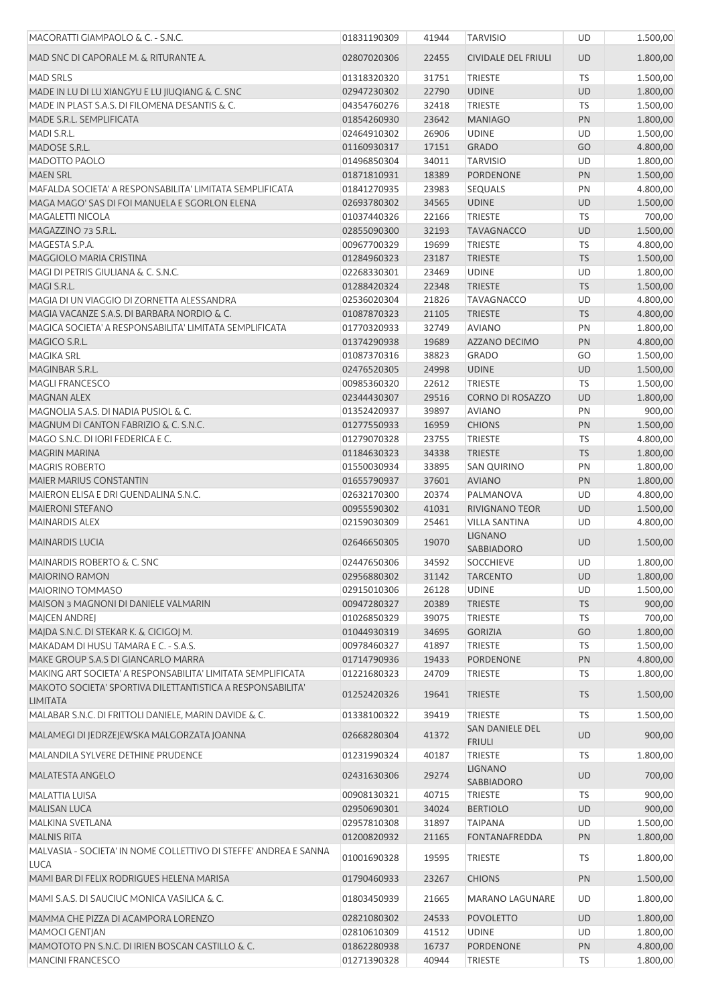| MACORATTI GIAMPAOLO & C. - S.N.C.                                             | 01831190309                | 41944 | <b>TARVISIO</b>                        | <b>UD</b> | 1.500,00             |
|-------------------------------------------------------------------------------|----------------------------|-------|----------------------------------------|-----------|----------------------|
| MAD SNC DI CAPORALE M. & RITURANTE A.                                         | 02807020306                | 22455 | <b>CIVIDALE DEL FRIULI</b>             | <b>UD</b> | 1.800,00             |
| <b>MAD SRLS</b>                                                               | 01318320320                | 31751 | <b>TRIESTE</b>                         | <b>TS</b> | 1.500,00             |
| MADE IN LU DI LU XIANGYU E LU JIUQIANG & C. SNC                               | 02947230302                | 22790 | <b>UDINE</b>                           | <b>UD</b> | 1.800,00             |
| MADE IN PLAST S.A.S. DI FILOMENA DESANTIS & C.                                | 04354760276                | 32418 | <b>TRIESTE</b>                         | TS        | 1.500,00             |
| MADE S.R.L. SEMPLIFICATA                                                      | 01854260930                | 23642 | <b>MANIAGO</b>                         | PN        | 1.800,00             |
| MADI S.R.L.                                                                   | 02464910302                | 26906 | <b>UDINE</b>                           | UD        | 1.500,00             |
| MADOSE S.R.L.                                                                 | 01160930317                | 17151 | <b>GRADO</b>                           | GO        | 4.800,00             |
| MADOTTO PAOLO                                                                 | 01496850304                | 34011 | <b>TARVISIO</b>                        | UD        | 1.800,00             |
| <b>MAEN SRL</b>                                                               | 01871810931                | 18389 | <b>PORDENONE</b>                       | PN        | 1.500,00             |
| MAFALDA SOCIETA' A RESPONSABILITA' LIMITATA SEMPLIFICATA                      | 01841270935                | 23983 | <b>SEQUALS</b>                         | PN        | 4.800,00             |
| MAGA MAGO' SAS DI FOI MANUELA E SGORLON ELENA                                 | 02693780302                | 34565 | <b>UDINE</b>                           | UD        | 1.500,00             |
| MAGALETTI NICOLA                                                              | 01037440326                | 22166 | <b>TRIESTE</b>                         | TS        | 700,00               |
| MAGAZZINO 73 S.R.L.                                                           | 02855090300                | 32193 | <b>TAVAGNACCO</b>                      | <b>UD</b> | 1.500,00             |
| MAGESTA S.P.A.                                                                | 00967700329                | 19699 | <b>TRIESTE</b>                         | TS        | 4.800,00             |
| MAGGIOLO MARIA CRISTINA                                                       | 01284960323                | 23187 | <b>TRIESTE</b>                         | <b>TS</b> | 1.500,00             |
| MAGI DI PETRIS GIULIANA & C. S.N.C.                                           | 02268330301                | 23469 | <b>UDINE</b>                           | <b>UD</b> | 1.800,00             |
| MAGI S.R.L.                                                                   | 01288420324                | 22348 | <b>TRIESTE</b>                         | <b>TS</b> | 1.500,00             |
| MAGIA DI UN VIAGGIO DI ZORNETTA ALESSANDRA                                    | 02536020304                | 21826 | <b>TAVAGNACCO</b>                      | UD        | 4.800,00             |
| MAGIA VACANZE S.A.S. DI BARBARA NORDIO & C.                                   | 01087870323                | 21105 | <b>TRIESTE</b>                         | <b>TS</b> | 4.800,00             |
| MAGICA SOCIETA' A RESPONSABILITA' LIMITATA SEMPLIFICATA                       | 01770320933                | 32749 | <b>AVIANO</b>                          | PN        | 1.800,00             |
| MAGICO S.R.L.                                                                 | 01374290938                | 19689 | AZZANO DECIMO                          | PN        | 4.800,00             |
| <b>MAGIKA SRL</b>                                                             | 01087370316                | 38823 | <b>GRADO</b>                           | GO        | 1.500,00             |
| MAGINBAR S.R.L.                                                               | 02476520305                | 24998 | <b>UDINE</b>                           | <b>UD</b> | 1.500,00             |
| <b>MAGLI FRANCESCO</b>                                                        | 00985360320                | 22612 | <b>TRIESTE</b>                         | TS        | 1.500,00             |
| <b>MAGNAN ALEX</b>                                                            |                            | 29516 | <b>CORNO DI ROSAZZO</b>                | <b>UD</b> |                      |
| MAGNOLIA S.A.S. DI NADIA PUSIOL & C.                                          | 02344430307                | 39897 | <b>AVIANO</b>                          | PN        | 1.800,00             |
|                                                                               | 01352420937                |       |                                        |           | 900,00               |
| MAGNUM DI CANTON FABRIZIO & C. S.N.C.                                         | 01277550933                | 16959 | <b>CHIONS</b>                          | PN        | 1.500,00             |
| MAGO S.N.C. DI IORI FEDERICA E C.                                             | 01279070328                | 23755 | <b>TRIESTE</b>                         | TS        | 4.800,00             |
| <b>MAGRIN MARINA</b>                                                          | 01184630323                | 34338 | <b>TRIESTE</b>                         | <b>TS</b> | 1.800,00             |
| <b>MAGRIS ROBERTO</b>                                                         | 01550030934                | 33895 | <b>SAN QUIRINO</b>                     | PN        | 1.800,00             |
| MAIER MARIUS CONSTANTIN                                                       | 01655790937                | 37601 | <b>AVIANO</b>                          | PN        | 1.800,00             |
| MAIERON ELISA E DRI GUENDALINA S.N.C.                                         | 02632170300                | 20374 | PALMANOVA                              | UD        | 4.800,00             |
| <b>MAIERONI STEFANO</b>                                                       | 00955590302                | 41031 | <b>RIVIGNANO TEOR</b>                  | <b>UD</b> | 1.500,00             |
| <b>MAINARDIS ALEX</b>                                                         | 02159030309                | 25461 | <b>VILLA SANTINA</b>                   | UD        | 4.800,00             |
| <b>MAINARDIS LUCIA</b>                                                        | 02646650305                | 19070 | LIGNANO<br><b>SABBIADORO</b>           | <b>UD</b> | 1.500,00             |
| <b>MAINARDIS ROBERTO &amp; C. SNC</b>                                         | 02447650306                | 34592 | <b>SOCCHIEVE</b>                       | UD        | 1.800,00             |
| <b>MAIORINO RAMON</b>                                                         | 02956880302                | 31142 | <b>TARCENTO</b>                        | <b>UD</b> | 1.800,00             |
| MAIORINO TOMMASO                                                              | 02915010306                | 26128 | <b>UDINE</b>                           | UD        | 1.500,00             |
| MAISON 3 MAGNONI DI DANIELE VALMARIN                                          | 00947280327                | 20389 | <b>TRIESTE</b>                         | <b>TS</b> | 900,00               |
| MAJCEN ANDREJ                                                                 | 01026850329                | 39075 | <b>TRIESTE</b>                         | <b>TS</b> | 700,00               |
| MAJDA S.N.C. DI STEKAR K. & CICIGOJ M.                                        | 01044930319                | 34695 | <b>GORIZIA</b>                         | GO        | 1.800,00             |
| MAKADAM DI HUSU TAMARA E C. - S.A.S.                                          | 00978460327                | 41897 | <b>TRIESTE</b>                         | TS        | 1.500,00             |
| MAKE GROUP S.A.S DI GIANCARLO MARRA                                           | 01714790936                | 19433 | PORDENONE                              | PN        | 4.800,00             |
| MAKING ART SOCIETA' A RESPONSABILITA' LIMITATA SEMPLIFICATA                   | 01221680323                | 24709 | <b>TRIESTE</b>                         | TS        | 1.800,00             |
| MAKOTO SOCIETA' SPORTIVA DILETTANTISTICA A RESPONSABILITA'<br><b>LIMITATA</b> | 01252420326                | 19641 | <b>TRIESTE</b>                         | <b>TS</b> | 1.500,00             |
| MALABAR S.N.C. DI FRITTOLI DANIELE, MARIN DAVIDE & C.                         | 01338100322                | 39419 | <b>TRIESTE</b>                         | TS        | 1.500,00             |
| MALAMEGI DI JEDRZEJEWSKA MALGORZATA JOANNA                                    | 02668280304                | 41372 | SAN DANIELE DEL<br><b>FRIULI</b>       | <b>UD</b> | 900,00               |
| MALANDILA SYLVERE DETHINE PRUDENCE                                            | 01231990324                | 40187 | <b>TRIESTE</b>                         | TS        | 1.800,00             |
| <b>MALATESTA ANGELO</b>                                                       | 02431630306                | 29274 | <b>LIGNANO</b><br>SABBIADORO           | <b>UD</b> | 700,00               |
| MALATTIA LUISA                                                                | 00908130321                | 40715 | <b>TRIESTE</b>                         | TS        | 900,00               |
| <b>MALISAN LUCA</b>                                                           | 02950690301                | 34024 | <b>BERTIOLO</b>                        | <b>UD</b> | 900,00               |
| MALKINA SVETLANA                                                              |                            | 31897 |                                        | UD        |                      |
| <b>MALNIS RITA</b>                                                            | 02957810308<br>01200820932 | 21165 | <b>TAIPANA</b><br><b>FONTANAFREDDA</b> | PN        | 1.500,00<br>1.800,00 |
| MALVASIA - SOCIETA' IN NOME COLLETTIVO DI STEFFE' ANDREA E SANNA              | 01001690328                | 19595 | <b>TRIESTE</b>                         | TS        | 1.800,00             |
| <b>LUCA</b>                                                                   |                            |       |                                        |           |                      |
| MAMI BAR DI FELIX RODRIGUES HELENA MARISA                                     | 01790460933                | 23267 | <b>CHIONS</b>                          | PN        | 1.500,00             |
| MAMI S.A.S. DI SAUCIUC MONICA VASILICA & C.                                   | 01803450939                | 21665 | <b>MARANO LAGUNARE</b>                 | UD        | 1.800,00             |
| MAMMA CHE PIZZA DI ACAMPORA LORENZO                                           | 02821080302                | 24533 | <b>POVOLETTO</b>                       | <b>UD</b> | 1.800,00             |
| <b>MAMOCI GENTIAN</b>                                                         | 02810610309                | 41512 | <b>UDINE</b>                           | UD        | 1.800,00             |
| MAMOTOTO PN S.N.C. DI IRIEN BOSCAN CASTILLO & C.                              | 01862280938                | 16737 | PORDENONE                              | PN        | 4.800,00             |
| MANCINI FRANCESCO                                                             | 01271390328                | 40944 | <b>TRIESTE</b>                         | TS        | 1.800,00             |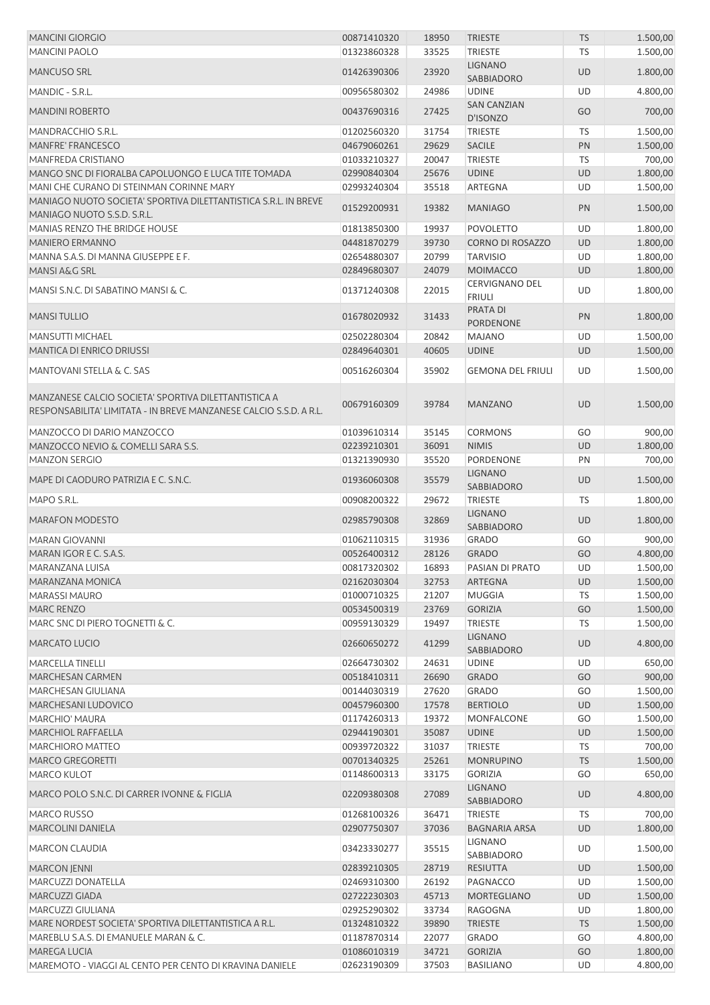| <b>MANCINI GIORGIO</b>                                                                                                     | 00871410320                | 18950          | <b>TRIESTE</b>                         | <b>TS</b> | 1.500,00             |
|----------------------------------------------------------------------------------------------------------------------------|----------------------------|----------------|----------------------------------------|-----------|----------------------|
| <b>MANCINI PAOLO</b>                                                                                                       | 01323860328                | 33525          | <b>TRIESTE</b>                         | TS        | 1.500,00             |
| MANCUSO SRL                                                                                                                | 01426390306                | 23920          | <b>LIGNANO</b><br>SABBIADORO           | <b>UD</b> | 1.800,00             |
| MANDIC - S.R.L.                                                                                                            | 00956580302                | 24986          | <b>UDINE</b>                           | UD        | 4.800,00             |
| <b>MANDINI ROBERTO</b>                                                                                                     | 00437690316                | 27425          | <b>SAN CANZIAN</b><br>D'ISONZO         | GO        | 700,00               |
| MANDRACCHIO S.R.L.                                                                                                         | 01202560320                | 31754          | <b>TRIESTE</b>                         | TS        | 1.500,00             |
| <b>MANFRE' FRANCESCO</b>                                                                                                   | 04679060261                | 29629          | SACILE                                 | PN        | 1.500,00             |
| MANFREDA CRISTIANO                                                                                                         | 01033210327                | 20047          | <b>TRIESTE</b>                         | TS        | 700,00               |
| MANGO SNC DI FIORALBA CAPOLUONGO E LUCA TITE TOMADA                                                                        | 02990840304                | 25676          | <b>UDINE</b>                           | <b>UD</b> | 1.800,00             |
| MANI CHE CURANO DI STEINMAN CORINNE MARY                                                                                   | 02993240304                | 35518          | ARTEGNA                                | UD        | 1.500,00             |
| MANIAGO NUOTO SOCIETA' SPORTIVA DILETTANTISTICA S.R.L. IN BREVE<br>MANIAGO NUOTO S.S.D. S.R.L.                             | 01529200931                | 19382          | <b>MANIAGO</b>                         | PN        | 1.500,00             |
| MANIAS RENZO THE BRIDGE HOUSE                                                                                              | 01813850300                | 19937          | <b>POVOLETTO</b>                       | UD        | 1.800,00             |
| <b>MANIERO ERMANNO</b>                                                                                                     | 04481870279                | 39730          | CORNO DI ROSAZZO                       | <b>UD</b> | 1.800,00             |
|                                                                                                                            | 02654880307                | 20799          | <b>TARVISIO</b>                        | UD        | 1.800,00             |
| MANNA S.A.S. DI MANNA GIUSEPPE E F.                                                                                        |                            |                |                                        |           |                      |
| MANSI A&G SRL                                                                                                              | 02849680307                | 24079          | <b>MOIMACCO</b>                        | UD        | 1.800,00             |
| MANSI S.N.C. DI SABATINO MANSI & C.                                                                                        | 01371240308                | 22015          | <b>CERVIGNANO DEL</b><br><b>FRIULI</b> | UD        | 1.800,00             |
| <b>MANSI TULLIO</b>                                                                                                        | 01678020932                | 31433          | <b>PRATA DI</b><br><b>PORDENONE</b>    | PN        | 1.800,00             |
| <b>MANSUTTI MICHAEL</b>                                                                                                    | 02502280304                | 20842          | <b>MAJANO</b>                          | UD        | 1.500,00             |
| <b>MANTICA DI ENRICO DRIUSSI</b>                                                                                           | 02849640301                | 40605          | <b>UDINE</b>                           | <b>UD</b> | 1.500,00             |
| <b>MANTOVANI STELLA &amp; C. SAS</b>                                                                                       | 00516260304                | 35902          | <b>GEMONA DEL FRIULI</b>               | UD        | 1.500,00             |
| MANZANESE CALCIO SOCIETA' SPORTIVA DILETTANTISTICA A<br>RESPONSABILITA' LIMITATA - IN BREVE MANZANESE CALCIO S.S.D. A R.L. | 00679160309                | 39784          | <b>MANZANO</b>                         | <b>UD</b> | 1.500,00             |
| MANZOCCO DI DARIO MANZOCCO                                                                                                 | 01039610314                | 35145          | <b>CORMONS</b>                         | GO        | 900,00               |
| MANZOCCO NEVIO & COMELLI SARA S.S.                                                                                         | 02239210301                | 36091          | <b>NIMIS</b>                           | <b>UD</b> | 1.800,00             |
| <b>MANZON SERGIO</b>                                                                                                       | 01321390930                | 35520          | PORDENONE                              | PN        | 700,00               |
| MAPE DI CAODURO PATRIZIA E C. S.N.C.                                                                                       | 01936060308                | 35579          | <b>LIGNANO</b><br>SABBIADORO           | <b>UD</b> | 1.500,00             |
| MAPO S.R.L.                                                                                                                | 00908200322                | 29672          | TRIESTE                                | TS        | 1.800,00             |
| <b>MARAFON MODESTO</b>                                                                                                     | 02985790308                | 32869          | <b>LIGNANO</b><br><b>SABBIADORO</b>    | UD        | 1.800,00             |
| <b>MARAN GIOVANNI</b>                                                                                                      | 01062110315                | 31936          | <b>GRADO</b>                           | GO        | 900,00               |
| MARAN IGOR E C. S.A.S.                                                                                                     | 00526400312                | 28126          | <b>GRADO</b>                           | GO        | 4.800,00             |
|                                                                                                                            |                            |                | PASIAN DI PRATO                        |           |                      |
| MARANZANA LUISA                                                                                                            | 00817320302                | 16893          |                                        | UD        | 1.500,00             |
| MARANZANA MONICA                                                                                                           | 02162030304                | 32753          | <b>ARTEGNA</b>                         | <b>UD</b> | 1.500,00             |
| <b>MARASSI MAURO</b>                                                                                                       | 01000710325                | 21207          | <b>MUGGIA</b>                          | TS        | 1.500,00             |
| MARC RENZO                                                                                                                 | 00534500319                | 23769          | <b>GORIZIA</b>                         | GO        | 1.500,00             |
| MARC SNC DI PIERO TOGNETTI & C.                                                                                            | 00959130329                | 19497          | <b>TRIESTE</b>                         | TS        | 1.500,00             |
| <b>MARCATO LUCIO</b>                                                                                                       | 02660650272                | 41299          | <b>LIGNANO</b><br>SABBIADORO           | <b>UD</b> | 4.800,00             |
| <b>MARCELLA TINELLI</b>                                                                                                    | 02664730302                | 24631          | <b>UDINE</b>                           | UD        | 650,00               |
| <b>MARCHESAN CARMEN</b>                                                                                                    | 00518410311                | 26690          | <b>GRADO</b>                           | GO        | 900,00               |
| MARCHESAN GIULIANA                                                                                                         | 00144030319                | 27620          | GRADO                                  | GO        | 1.500,00             |
| MARCHESANI LUDOVICO                                                                                                        | 00457960300                | 17578          | <b>BERTIOLO</b>                        | UD        | 1.500,00             |
| <b>MARCHIO' MAURA</b>                                                                                                      | 01174260313                | 19372          | MONFALCONE                             | GO        | 1.500,00             |
| <b>MARCHIOL RAFFAELLA</b>                                                                                                  | 02944190301                | 35087          | <b>UDINE</b>                           | UD        | 1.500,00             |
| <b>MARCHIORO MATTEO</b>                                                                                                    | 00939720322                | 31037          | <b>TRIESTE</b>                         | TS        | 700,00               |
| <b>MARCO GREGORETTI</b>                                                                                                    | 00701340325                | 25261          | <b>MONRUPINO</b>                       | <b>TS</b> | 1.500,00             |
| <b>MARCO KULOT</b>                                                                                                         | 01148600313                | 33175          | <b>GORIZIA</b>                         | GO        | 650,00               |
| MARCO POLO S.N.C. DI CARRER IVONNE & FIGLIA                                                                                | 02209380308                | 27089          | <b>LIGNANO</b><br>SABBIADORO           | UD        | 4.800,00             |
| <b>MARCO RUSSO</b>                                                                                                         | 01268100326                | 36471          | <b>TRIESTE</b>                         | TS        | 700,00               |
| <b>MARCOLINI DANIELA</b>                                                                                                   | 02907750307                | 37036          | <b>BAGNARIA ARSA</b>                   | <b>UD</b> | 1.800,00             |
| <b>MARCON CLAUDIA</b>                                                                                                      | 03423330277                | 35515          | <b>LIGNANO</b><br>SABBIADORO           | UD        | 1.500,00             |
| MARCON JENNI                                                                                                               | 02839210305                | 28719          | <b>RESIUTTA</b>                        | <b>UD</b> | 1.500,00             |
| MARCUZZI DONATELLA                                                                                                         | 02469310300                | 26192          | PAGNACCO                               | UD        | 1.500,00             |
| MARCUZZI GIADA                                                                                                             | 02722230303                | 45713          | MORTEGLIANO                            | <b>UD</b> | 1.500,00             |
| MARCUZZI GIULIANA                                                                                                          |                            | 33734          |                                        | UD        |                      |
| MARE NORDEST SOCIETA' SPORTIVA DILETTANTISTICA A R.L.                                                                      | 02925290302                |                | RAGOGNA                                |           | 1.800,00             |
|                                                                                                                            | 01324810322                | 39890          | <b>TRIESTE</b>                         | <b>TS</b> | 1.500,00             |
| MAREBLU S.A.S. DI EMANUELE MARAN & C.<br>MAREGA LUCIA                                                                      | 01187870314                | 22077          | GRADO                                  | GO        | 4.800,00             |
| MAREMOTO - VIAGGI AL CENTO PER CENTO DI KRAVINA DANIELE                                                                    | 01086010319<br>02623190309 | 34721<br>37503 | <b>GORIZIA</b>                         | GO<br>UD  | 1.800,00<br>4.800,00 |
|                                                                                                                            |                            |                | <b>BASILIANO</b>                       |           |                      |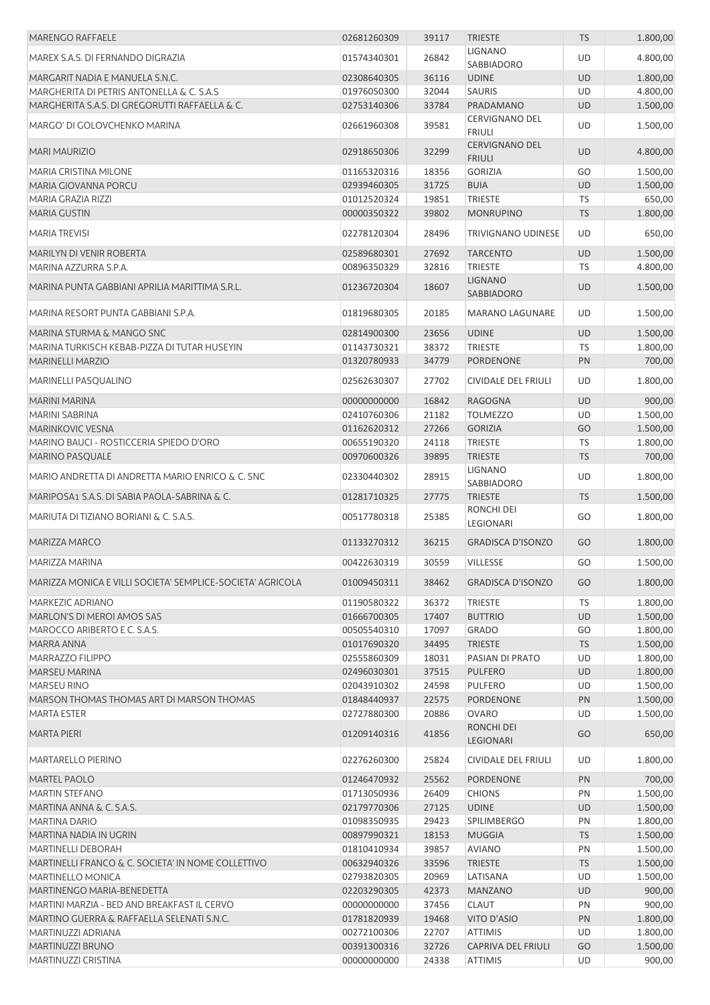| <b>MARENGO RAFFAELE</b>                                    | 02681260309 | 39117 | <b>TRIESTE</b>                         | <b>TS</b> | 1.800,00 |
|------------------------------------------------------------|-------------|-------|----------------------------------------|-----------|----------|
| MAREX S.A.S. DI FERNANDO DIGRAZIA                          | 01574340301 | 26842 | <b>LIGNANO</b><br><b>SABBIADORO</b>    | UD        | 4.800,00 |
| MARGARIT NADIA E MANUELA S.N.C.                            | 02308640305 | 36116 | <b>UDINE</b>                           | <b>UD</b> | 1.800,00 |
| MARGHERITA DI PETRIS ANTONELLA & C. S.A.S                  | 01976050300 | 32044 | <b>SAURIS</b>                          | UD        | 4.800,00 |
| MARGHERITA S.A.S. DI GREGORUTTI RAFFAELLA & C.             | 02753140306 | 33784 | PRADAMANO                              | <b>UD</b> | 1.500,00 |
| MARGO' DI GOLOVCHENKO MARINA                               | 02661960308 | 39581 | <b>CERVIGNANO DEL</b><br><b>FRIULI</b> | UD        | 1.500,00 |
| <b>MARI MAURIZIO</b>                                       | 02918650306 | 32299 | <b>CERVIGNANO DEL</b>                  | <b>UD</b> | 4.800,00 |
| <b>MARIA CRISTINA MILONE</b>                               | 01165320316 | 18356 | <b>FRIULI</b><br><b>GORIZIA</b>        | GO        | 1.500,00 |
| MARIA GIOVANNA PORCU                                       | 02939460305 | 31725 | <b>BUIA</b>                            | <b>UD</b> | 1.500,00 |
| MARIA GRAZIA RIZZI                                         | 01012520324 | 19851 | <b>TRIESTE</b>                         | <b>TS</b> | 650,00   |
| <b>MARIA GUSTIN</b>                                        | 00000350322 | 39802 | <b>MONRUPINO</b>                       | <b>TS</b> | 1.800,00 |
|                                                            |             |       |                                        |           |          |
| <b>MARIA TREVISI</b>                                       | 02278120304 | 28496 | <b>TRIVIGNANO UDINESE</b>              | UD        | 650,00   |
| MARILYN DI VENIR ROBERTA                                   | 02589680301 | 27692 | <b>TARCENTO</b>                        | UD        | 1.500,00 |
| MARINA AZZURRA S.P.A.                                      | 00896350329 | 32816 | <b>TRIESTE</b>                         | TS        | 4.800,00 |
| MARINA PUNTA GABBIANI APRILIA MARITTIMA S.R.L.             | 01236720304 | 18607 | <b>LIGNANO</b><br>SABBIADORO           | UD        | 1.500,00 |
| MARINA RESORT PUNTA GABBIANI S.P.A.                        | 01819680305 | 20185 | <b>MARANO LAGUNARE</b>                 | UD        | 1.500,00 |
| MARINA STURMA & MANGO SNC                                  | 02814900300 | 23656 | <b>UDINE</b>                           | UD        | 1.500,00 |
| MARINA TURKISCH KEBAB-PIZZA DI TUTAR HUSEYIN               | 01143730321 | 38372 | <b>TRIESTE</b>                         | TS        | 1.800,00 |
| <b>MARINELLI MARZIO</b>                                    | 01320780933 | 34779 | PORDENONE                              | PN        | 700,00   |
| <b>MARINELLI PASQUALINO</b>                                | 02562630307 | 27702 | CIVIDALE DEL FRIULI                    | UD        | 1.800,00 |
| <b>MARINI MARINA</b>                                       | 00000000000 | 16842 | <b>RAGOGNA</b>                         | UD        | 900,00   |
| MARINI SABRINA                                             | 02410760306 | 21182 | <b>TOLMEZZO</b>                        | UD        | 1.500,00 |
| <b>MARINKOVIC VESNA</b>                                    | 01162620312 | 27266 | <b>GORIZIA</b>                         | GO        | 1.500,00 |
| MARINO BAUCI - ROSTICCERIA SPIEDO D'ORO                    | 00655190320 | 24118 | <b>TRIESTE</b>                         | TS        | 1.800,00 |
| MARINO PASQUALE                                            | 00970600326 | 39895 | <b>TRIESTE</b>                         | <b>TS</b> | 700,00   |
| MARIO ANDRETTA DI ANDRETTA MARIO ENRICO & C. SNC           | 02330440302 | 28915 | <b>LIGNANO</b><br>SABBIADORO           | UD        | 1.800,00 |
| MARIPOSA1 S.A.S. DI SABIA PAOLA-SABRINA & C.               | 01281710325 | 27775 | <b>TRIESTE</b>                         | <b>TS</b> | 1.500,00 |
|                                                            |             |       | RONCHI DEI                             |           |          |
| MARIUTA DI TIZIANO BORIANI & C. S.A.S.                     | 00517780318 | 25385 | LEGIONARI                              | GO        | 1.800,00 |
| MARIZZA MARCO                                              | 01133270312 | 36215 | <b>GRADISCA D'ISONZO</b>               | GO        | 1.800,00 |
| MARIZZA MARINA                                             | 00422630319 | 30559 | <b>VILLESSE</b>                        | GO        | 1.500,00 |
| MARIZZA MONICA E VILLI SOCIETA' SEMPLICE-SOCIETA' AGRICOLA | 01009450311 | 38462 | <b>GRADISCA D'ISONZO</b>               | GO        | 1.800,00 |
| MARKEZIC ADRIANO                                           | 01190580322 | 36372 | <b>TRIESTE</b>                         | <b>TS</b> | 1.800,00 |
| MARLON'S DI MEROI AMOS SAS                                 | 01666700305 | 17407 | <b>BUTTRIO</b>                         | UD        | 1.500,00 |
| MAROCCO ARIBERTO E C. S.A.S.                               | 00505540310 | 17097 | <b>GRADO</b>                           | GO        | 1.800,00 |
| MARRA ANNA                                                 | 01017690320 | 34495 | <b>TRIESTE</b>                         | <b>TS</b> | 1.500,00 |
| MARRAZZO FILIPPO                                           | 02555860309 | 18031 | PASIAN DI PRATO                        | <b>UD</b> | 1.800,00 |
| <b>MARSEU MARINA</b>                                       | 02496030301 | 37515 | <b>PULFERO</b>                         | UD        | 1.800,00 |
| <b>MARSEU RINO</b>                                         | 02043910302 | 24598 | <b>PULFERO</b>                         | UD        | 1.500,00 |
| MARSON THOMAS THOMAS ART DI MARSON THOMAS                  | 01848440937 | 22575 | PORDENONE                              | PN        | 1.500,00 |
| <b>MARTA ESTER</b>                                         | 02727880300 | 20886 | <b>OVARO</b>                           | <b>UD</b> | 1.500,00 |
| <b>MARTA PIERI</b>                                         | 01209140316 | 41856 | <b>RONCHI DEI</b><br>LEGIONARI         | GO        | 650,00   |
| <b>MARTARELLO PIERINO</b>                                  | 02276260300 | 25824 | CIVIDALE DEL FRIULI                    | UD        | 1.800,00 |
| MARTEL PAOLO                                               | 01246470932 | 25562 | PORDENONE                              | PN        | 700,00   |
| <b>MARTIN STEFANO</b>                                      | 01713050936 | 26409 | <b>CHIONS</b>                          | PN        | 1.500,00 |
| MARTINA ANNA & C. S.A.S.                                   | 02179770306 | 27125 | <b>UDINE</b>                           | <b>UD</b> | 1.500,00 |
| <b>MARTINA DARIO</b>                                       | 01098350935 | 29423 | <b>SPILIMBERGO</b>                     | PN        | 1.800,00 |
| MARTINA NADIA IN UGRIN                                     | 00897990321 | 18153 | <b>MUGGIA</b>                          | <b>TS</b> | 1.500,00 |
| MARTINELLI DEBORAH                                         | 01810410934 | 39857 | <b>AVIANO</b>                          | PN        | 1.500,00 |
| MARTINELLI FRANCO & C. SOCIETA' IN NOME COLLETTIVO         | 00632940326 | 33596 | <b>TRIESTE</b>                         | <b>TS</b> | 1.500,00 |
| <b>MARTINELLO MONICA</b>                                   | 02793820305 | 20969 | LATISANA                               | UD        | 1.500,00 |
| MARTINENGO MARIA-BENEDETTA                                 | 02203290305 | 42373 | <b>MANZANO</b>                         | UD        | 900,00   |
| MARTINI MARZIA - BED AND BREAKFAST IL CERVO                | 00000000000 | 37456 | <b>CLAUT</b>                           | PN        | 900,00   |
| MARTINO GUERRA & RAFFAELLA SELENATI S.N.C.                 | 01781820939 | 19468 | VITO D'ASIO                            | PN        | 1.800,00 |
| MARTINUZZI ADRIANA                                         | 00272100306 | 22707 | <b>ATTIMIS</b>                         | UD        | 1.800,00 |
| MARTINUZZI BRUNO                                           | 00391300316 | 32726 | CAPRIVA DEL FRIULI                     | GO        | 1.500,00 |
| MARTINUZZI CRISTINA                                        | 00000000000 | 24338 | <b>ATTIMIS</b>                         | UD        | 900,00   |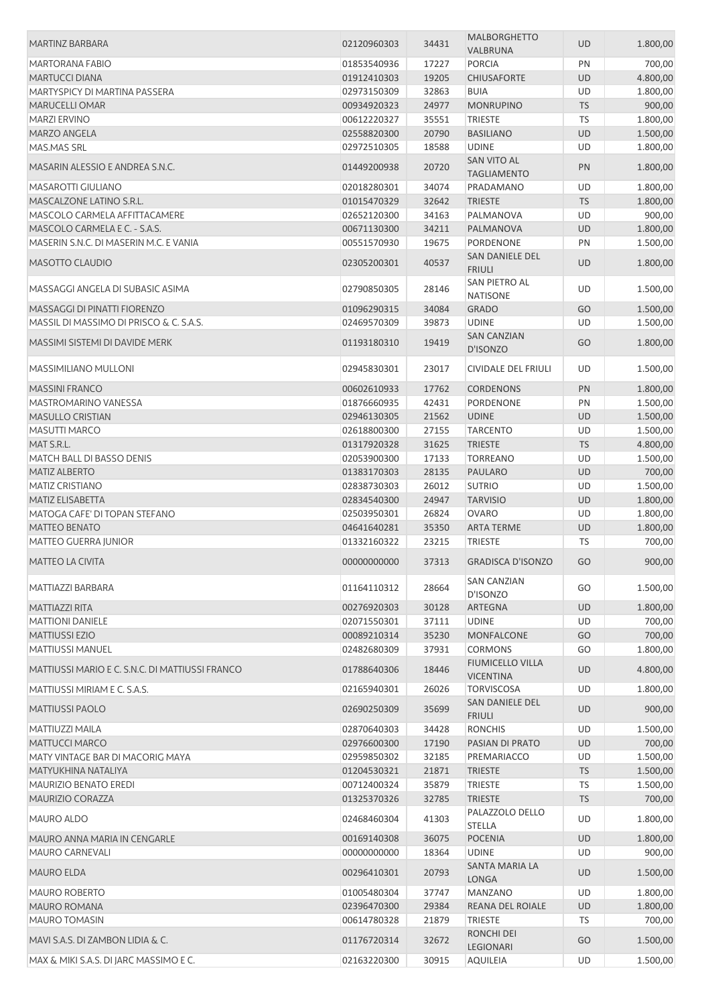| MARTINZ BARBARA                                 | 02120960303 | 34431 | <b>MALBORGHETTO</b><br>VALBRUNA          | <b>UD</b> | 1.800,00 |
|-------------------------------------------------|-------------|-------|------------------------------------------|-----------|----------|
| MARTORANA FABIO                                 | 01853540936 | 17227 | <b>PORCIA</b>                            | PN        | 700,00   |
| <b>MARTUCCI DIANA</b>                           | 01912410303 | 19205 | <b>CHIUSAFORTE</b>                       | UD        | 4.800,00 |
|                                                 |             |       |                                          |           |          |
| MARTYSPICY DI MARTINA PASSERA                   | 02973150309 | 32863 | <b>BUIA</b>                              | UD        | 1.800,00 |
| MARUCELLI OMAR                                  | 00934920323 | 24977 | <b>MONRUPINO</b>                         | <b>TS</b> | 900,00   |
| <b>MARZI ERVINO</b>                             | 00612220327 | 35551 | <b>TRIESTE</b>                           | <b>TS</b> | 1.800,00 |
| <b>MARZO ANGELA</b>                             | 02558820300 | 20790 | <b>BASILIANO</b>                         | <b>UD</b> | 1.500,00 |
| MAS.MAS SRL                                     | 02972510305 | 18588 | <b>UDINE</b>                             | UD        | 1.800,00 |
| MASARIN ALESSIO E ANDREA S.N.C.                 | 01449200938 | 20720 | <b>SAN VITO AL</b><br><b>TAGLIAMENTO</b> | PN        | 1.800,00 |
| <b>MASAROTTI GIULIANO</b>                       | 02018280301 | 34074 | PRADAMANO                                | UD        | 1.800,00 |
| MASCALZONE LATINO S.R.L.                        | 01015470329 | 32642 | <b>TRIESTE</b>                           | <b>TS</b> | 1.800,00 |
| MASCOLO CARMELA AFFITTACAMERE                   | 02652120300 | 34163 | PALMANOVA                                | UD        | 900,00   |
| MASCOLO CARMELA E C. - S.A.S.                   | 00671130300 | 34211 | PALMANOVA                                | <b>UD</b> | 1.800,00 |
| MASERIN S.N.C. DI MASERIN M.C. E VANIA          | 00551570930 | 19675 | PORDENONE                                | PN        | 1.500,00 |
|                                                 |             |       | SAN DANIELE DEL                          |           |          |
| <b>MASOTTO CLAUDIO</b>                          | 02305200301 | 40537 | <b>FRIULI</b>                            | UD        | 1.800,00 |
| MASSAGGI ANGELA DI SUBASIC ASIMA                | 02790850305 | 28146 | SAN PIETRO AL                            | UD        | 1.500,00 |
|                                                 |             |       | <b>NATISONE</b>                          |           |          |
| MASSAGGI DI PINATTI FIORENZO                    | 01096290315 | 34084 | <b>GRADO</b>                             | GO        | 1.500,00 |
| MASSIL DI MASSIMO DI PRISCO & C. S.A.S.         | 02469570309 | 39873 | <b>UDINE</b>                             | UD        | 1.500,00 |
| MASSIMI SISTEMI DI DAVIDE MERK                  | 01193180310 | 19419 | <b>SAN CANZIAN</b><br>D'ISONZO           | GO        | 1.800,00 |
| <b>MASSIMILIANO MULLONI</b>                     | 02945830301 | 23017 | CIVIDALE DEL FRIULI                      | UD        | 1.500,00 |
| <b>MASSINI FRANCO</b>                           | 00602610933 | 17762 | <b>CORDENONS</b>                         | PN        | 1.800,00 |
| MASTROMARINO VANESSA                            | 01876660935 | 42431 | PORDENONE                                | PN        | 1.500,00 |
| <b>MASULLO CRISTIAN</b>                         | 02946130305 | 21562 | <b>UDINE</b>                             | <b>UD</b> | 1.500,00 |
| <b>MASUTTI MARCO</b>                            | 02618800300 | 27155 | <b>TARCENTO</b>                          | UD        | 1.500,00 |
| MAT S.R.L.                                      | 01317920328 | 31625 | <b>TRIESTE</b>                           | <b>TS</b> | 4.800,00 |
| MATCH BALL DI BASSO DENIS                       | 02053900300 | 17133 | <b>TORREANO</b>                          | UD        |          |
|                                                 |             |       |                                          |           | 1.500,00 |
| <b>MATIZ ALBERTO</b>                            | 01383170303 | 28135 | <b>PAULARO</b>                           | <b>UD</b> | 700,00   |
| <b>MATIZ CRISTIANO</b>                          | 02838730303 | 26012 | <b>SUTRIO</b>                            | UD        | 1.500,00 |
| <b>MATIZ ELISABETTA</b>                         | 02834540300 | 24947 | <b>TARVISIO</b>                          | <b>UD</b> | 1.800,00 |
| MATOGA CAFE' DI TOPAN STEFANO                   | 02503950301 | 26824 | <b>OVARO</b>                             | UD        | 1.800,00 |
| <b>MATTEO BENATO</b>                            | 04641640281 | 35350 | <b>ARTA TERME</b>                        | UD        | 1.800,00 |
| <b>MATTEO GUERRA JUNIOR</b>                     | 01332160322 | 23215 | <b>TRIESTE</b>                           | TS        | 700,00   |
| <b>MATTEO LA CIVITA</b>                         | 00000000000 | 37313 | <b>GRADISCA D'ISONZO</b>                 | GO        | 900,00   |
| MATTIAZZI BARBARA                               | 01164110312 | 28664 | <b>SAN CANZIAN</b><br>D'ISONZO           | GO        | 1.500,00 |
| <b>MATTIAZZI RITA</b>                           | 00276920303 | 30128 | ARTEGNA                                  | <b>UD</b> | 1.800,00 |
| <b>MATTIONI DANIELE</b>                         | 02071550301 | 37111 | <b>UDINE</b>                             | UD        | 700,00   |
| <b>MATTIUSSI EZIO</b>                           | 00089210314 | 35230 | MONFALCONE                               | GO        | 700,00   |
| MATTIUSSI MANUEL                                | 02482680309 | 37931 | <b>CORMONS</b>                           | GO        | 1.800,00 |
|                                                 |             |       | <b>FIUMICELLO VILLA</b>                  |           |          |
| MATTIUSSI MARIO E C. S.N.C. DI MATTIUSSI FRANCO | 01788640306 | 18446 | <b>VICENTINA</b>                         | UD        | 4.800,00 |
| MATTIUSSI MIRIAM E C. S.A.S.                    | 02165940301 | 26026 | <b>TORVISCOSA</b>                        | UD        | 1.800,00 |
| <b>MATTIUSSI PAOLO</b>                          | 02690250309 | 35699 | SAN DANIELE DEL<br><b>FRIULI</b>         | UD        | 900,00   |
| MATTIUZZI MAILA                                 | 02870640303 | 34428 | <b>RONCHIS</b>                           | UD        | 1.500,00 |
| <b>MATTUCCI MARCO</b>                           | 02976600300 | 17190 | PASIAN DI PRATO                          | UD        | 700,00   |
| MATY VINTAGE BAR DI MACORIG MAYA                | 02959850302 | 32185 | PREMARIACCO                              | UD        | 1.500,00 |
| MATYUKHINA NATALIYA                             | 01204530321 | 21871 | <b>TRIESTE</b>                           | <b>TS</b> | 1.500,00 |
| <b>MAURIZIO BENATO EREDI</b>                    | 00712400324 | 35879 | <b>TRIESTE</b>                           | TS        | 1.500,00 |
| <b>MAURIZIO CORAZZA</b>                         | 01325370326 | 32785 | <b>TRIESTE</b>                           | <b>TS</b> | 700,00   |
| <b>MAURO ALDO</b>                               | 02468460304 | 41303 | PALAZZOLO DELLO                          | UD        | 1.800,00 |
|                                                 |             |       | <b>STELLA</b>                            |           |          |
| MAURO ANNA MARIA IN CENGARLE                    | 00169140308 | 36075 | <b>POCENIA</b>                           | <b>UD</b> | 1.800,00 |
| <b>MAURO CARNEVALI</b>                          | 00000000000 | 18364 | <b>UDINE</b>                             | UD        | 900,00   |
| <b>MAURO ELDA</b>                               | 00296410301 | 20793 | SANTA MARIA LA<br>LONGA                  | UD        | 1.500,00 |
| <b>MAURO ROBERTO</b>                            | 01005480304 | 37747 | <b>MANZANO</b>                           | UD        | 1.800,00 |
| MAURO ROMANA                                    | 02396470300 | 29384 | REANA DEL ROIALE                         | UD        | 1.800,00 |
| <b>MAURO TOMASIN</b>                            | 00614780328 | 21879 | <b>TRIESTE</b>                           | TS        | 700,00   |
| MAVI S.A.S. DI ZAMBON LIDIA & C.                | 01176720314 | 32672 | RONCHI DEI<br>LEGIONARI                  | GO        | 1.500,00 |
| MAX & MIKI S.A.S. DI JARC MASSIMO E C.          | 02163220300 | 30915 | <b>AQUILEIA</b>                          | UD        | 1.500,00 |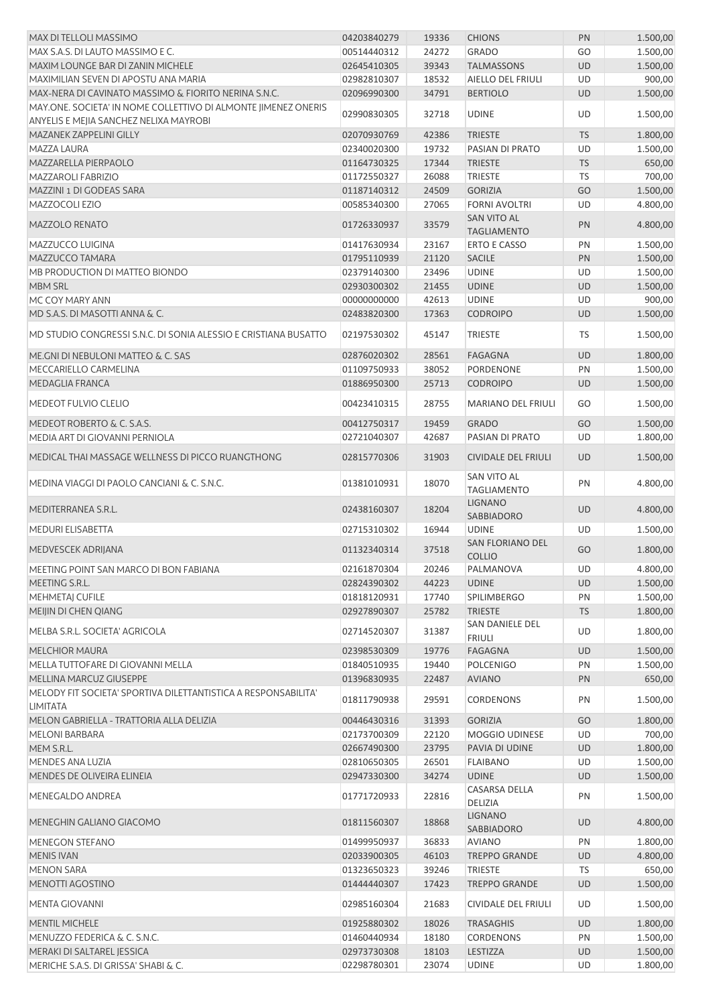| <b>MAX DI TELLOLI MASSIMO</b>                                   | 04203840279 | 19336 | <b>CHIONS</b>                            | PN        | 1.500,00 |
|-----------------------------------------------------------------|-------------|-------|------------------------------------------|-----------|----------|
| MAX S.A.S. DI LAUTO MASSIMO E C.                                | 00514440312 | 24272 | <b>GRADO</b>                             | GO        | 1.500,00 |
| MAXIM LOUNGE BAR DI ZANIN MICHELE                               | 02645410305 | 39343 | <b>TALMASSONS</b>                        | UD        | 1.500,00 |
| MAXIMILIAN SEVEN DI APOSTU ANA MARIA                            | 02982810307 | 18532 | AIELLO DEL FRIULI                        | UD        | 900,00   |
| MAX-NERA DI CAVINATO MASSIMO & FIORITO NERINA S.N.C.            | 02096990300 | 34791 | <b>BERTIOLO</b>                          | <b>UD</b> | 1.500,00 |
| MAY.ONE. SOCIETA' IN NOME COLLETTIVO DI ALMONTE JIMENEZ ONERIS  |             |       |                                          |           |          |
| ANYELIS E MEJIA SANCHEZ NELIXA MAYROBI                          | 02990830305 | 32718 | <b>UDINE</b>                             | UD        | 1.500,00 |
| MAZANEK ZAPPELINI GILLY                                         | 02070930769 | 42386 | <b>TRIESTE</b>                           | <b>TS</b> | 1.800,00 |
| MAZZA LAURA                                                     | 02340020300 | 19732 | PASIAN DI PRATO                          | UD        | 1.500,00 |
| MAZZARELLA PIERPAOLO                                            | 01164730325 | 17344 | <b>TRIESTE</b>                           | <b>TS</b> | 650,00   |
| MAZZAROLI FABRIZIO                                              | 01172550327 | 26088 | <b>TRIESTE</b>                           | TS        | 700,00   |
| MAZZINI 1 DI GODEAS SARA                                        | 01187140312 | 24509 | <b>GORIZIA</b>                           | GO        | 1.500,00 |
| <b>MAZZOCOLI EZIO</b>                                           | 00585340300 | 27065 | <b>FORNI AVOLTRI</b>                     | UD        | 4.800,00 |
| <b>MAZZOLO RENATO</b>                                           | 01726330937 |       | SAN VITO AL                              | PN        |          |
|                                                                 |             | 33579 | <b>TAGLIAMENTO</b>                       |           | 4.800,00 |
| MAZZUCCO LUIGINA                                                | 01417630934 | 23167 | <b>ERTO E CASSO</b>                      | PN        | 1.500,00 |
| MAZZUCCO TAMARA                                                 | 01795110939 | 21120 | <b>SACILE</b>                            | PN        | 1.500,00 |
| MB PRODUCTION DI MATTEO BIONDO                                  | 02379140300 | 23496 | <b>UDINE</b>                             | UD        | 1.500,00 |
| <b>MBM SRL</b>                                                  | 02930300302 | 21455 | <b>UDINE</b>                             | <b>UD</b> | 1.500,00 |
| MC COY MARY ANN                                                 | 00000000000 | 42613 | <b>UDINE</b>                             | UD        | 900,00   |
| MD S.A.S. DI MASOTTI ANNA & C.                                  | 02483820300 | 17363 | <b>CODROIPO</b>                          | <b>UD</b> | 1.500,00 |
|                                                                 |             |       |                                          |           |          |
| MD STUDIO CONGRESSI S.N.C. DI SONIA ALESSIO E CRISTIANA BUSATTO | 02197530302 | 45147 | <b>TRIESTE</b>                           | <b>TS</b> | 1.500,00 |
| ME.GNI DI NEBULONI MATTEO & C. SAS                              | 02876020302 | 28561 | <b>FAGAGNA</b>                           | UD        | 1.800,00 |
| MECCARIELLO CARMELINA                                           | 01109750933 | 38052 | PORDENONE                                | PN        | 1.500,00 |
| MEDAGLIA FRANCA                                                 | 01886950300 | 25713 | <b>CODROIPO</b>                          | UD        | 1.500,00 |
| MEDEOT FULVIO CLELIO                                            | 00423410315 | 28755 | <b>MARIANO DEL FRIULI</b>                | GO        | 1.500,00 |
| MEDEOT ROBERTO & C. S.A.S.                                      | 00412750317 | 19459 | <b>GRADO</b>                             | GO        | 1.500,00 |
| MEDIA ART DI GIOVANNI PERNIOLA                                  |             |       |                                          | UD        | 1.800,00 |
|                                                                 | 02721040307 | 42687 | PASIAN DI PRATO                          |           |          |
| MEDICAL THAI MASSAGE WELLNESS DI PICCO RUANGTHONG               | 02815770306 | 31903 | <b>CIVIDALE DEL FRIULI</b>               | <b>UD</b> | 1.500,00 |
| MEDINA VIAGGI DI PAOLO CANCIANI & C. S.N.C.                     | 01381010931 | 18070 | SAN VITO AL<br><b>TAGLIAMENTO</b>        | PN        | 4.800,00 |
| MEDITERRANEA S.R.L.                                             | 02438160307 | 18204 | <b>LIGNANO</b><br>SABBIADORO             | <b>UD</b> | 4.800,00 |
| MEDURI ELISABETTA                                               | 02715310302 | 16944 | <b>UDINE</b>                             | UD        | 1.500,00 |
| MEDVESCEK ADRIJANA                                              | 01132340314 | 37518 | <b>SAN FLORIANO DEL</b><br><b>COLLIO</b> | GO        | 1.800,00 |
| MEETING POINT SAN MARCO DI BON FABIANA                          | 02161870304 | 20246 | PALMANOVA                                | UD.       | 4.800,00 |
| MEETING S.R.L.                                                  | 02824390302 | 44223 | <b>UDINE</b>                             | <b>UD</b> | 1.500,00 |
| MEHMETAJ CUFILE                                                 | 01818120931 | 17740 | <b>SPILIMBERGO</b>                       | PN        | 1.500,00 |
|                                                                 | 02927890307 |       |                                          |           |          |
| MEIJIN DI CHEN QIANG                                            |             | 25782 | <b>TRIESTE</b>                           | <b>TS</b> | 1.800,00 |
| MELBA S.R.L. SOCIETA' AGRICOLA                                  | 02714520307 | 31387 | <b>SAN DANIELE DEL</b><br><b>FRIULI</b>  | UD        | 1.800,00 |
| <b>MELCHIOR MAURA</b>                                           | 02398530309 | 19776 | <b>FAGAGNA</b>                           | UD        | 1.500,00 |
| MELLA TUTTOFARE DI GIOVANNI MELLA                               | 01840510935 | 19440 | <b>POLCENIGO</b>                         | PN        | 1.500,00 |
| MELLINA MARCUZ GIUSEPPE                                         | 01396830935 | 22487 | <b>AVIANO</b>                            | PN        | 650,00   |
| MELODY FIT SOCIETA' SPORTIVA DILETTANTISTICA A RESPONSABILITA'  |             |       |                                          |           |          |
| LIMITATA                                                        | 01811790938 | 29591 | <b>CORDENONS</b>                         | PN        | 1.500,00 |
| MELON GABRIELLA - TRATTORIA ALLA DELIZIA                        | 00446430316 | 31393 | <b>GORIZIA</b>                           | GO        | 1.800,00 |
| <b>MELONI BARBARA</b>                                           | 02173700309 | 22120 | MOGGIO UDINESE                           | UD        | 700,00   |
| MEM S.R.L.                                                      | 02667490300 | 23795 | PAVIA DI UDINE                           | <b>UD</b> | 1.800,00 |
| MENDES ANA LUZIA                                                | 02810650305 | 26501 | <b>FLAIBANO</b>                          | UD        | 1.500,00 |
| MENDES DE OLIVEIRA ELINEIA                                      | 02947330300 | 34274 | <b>UDINE</b>                             | <b>UD</b> | 1.500,00 |
|                                                                 |             |       | <b>CASARSA DELLA</b>                     |           |          |
| MENEGALDO ANDREA                                                | 01771720933 | 22816 | DELIZIA                                  | PN        | 1.500,00 |
| MENEGHIN GALIANO GIACOMO                                        | 01811560307 | 18868 | <b>LIGNANO</b><br>SABBIADORO             | UD        | 4.800,00 |
| <b>MENEGON STEFANO</b>                                          | 01499950937 | 36833 | <b>AVIANO</b>                            | PN        | 1.800,00 |
| <b>MENIS IVAN</b>                                               | 02033900305 | 46103 | <b>TREPPO GRANDE</b>                     | <b>UD</b> | 4.800,00 |
| <b>MENON SARA</b>                                               | 01323650323 | 39246 | <b>TRIESTE</b>                           | <b>TS</b> | 650,00   |
| MENOTTI AGOSTINO                                                | 01444440307 | 17423 | <b>TREPPO GRANDE</b>                     | UD        | 1.500,00 |
|                                                                 |             |       |                                          |           |          |
| <b>MENTA GIOVANNI</b>                                           | 02985160304 | 21683 | CIVIDALE DEL FRIULI                      | UD        | 1.500,00 |
| MENTIL MICHELE                                                  | 01925880302 | 18026 | <b>TRASAGHIS</b>                         | <b>UD</b> | 1.800,00 |
| MENUZZO FEDERICA & C. S.N.C.                                    | 01460440934 | 18180 | <b>CORDENONS</b>                         | PN        | 1.500,00 |
| MERAKI DI SALTAREL JESSICA                                      | 02973730308 | 18103 | LESTIZZA                                 | <b>UD</b> | 1.500,00 |
| MERICHE S.A.S. DI GRISSA' SHABI & C.                            | 02298780301 | 23074 | <b>UDINE</b>                             | UD        | 1.800,00 |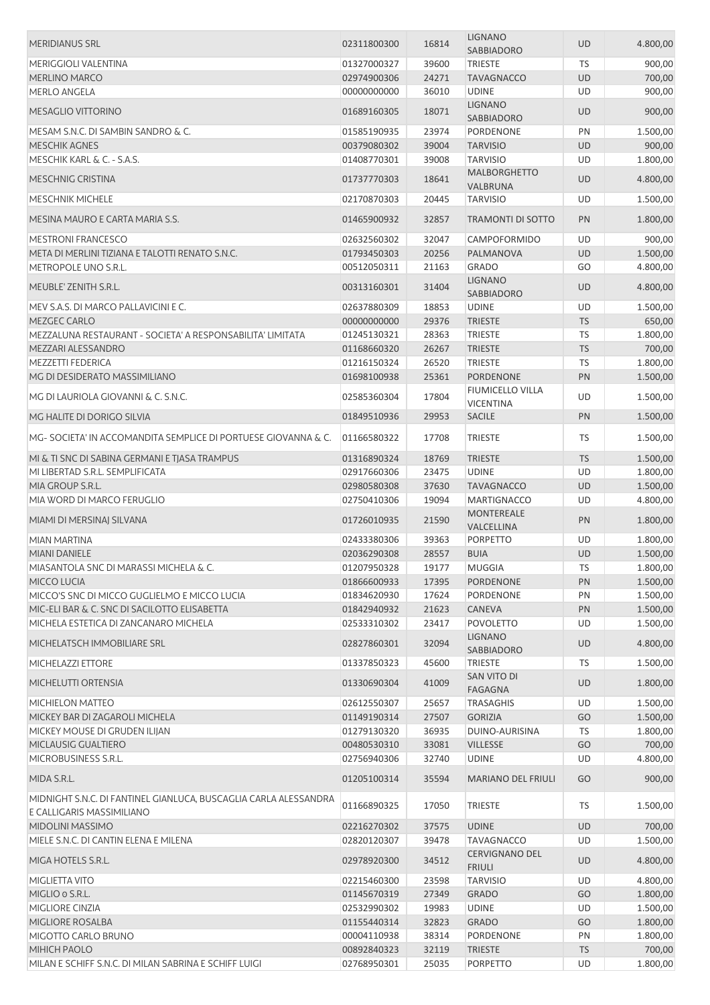| <b>MERIDIANUS SRL</b>                                            | 02311800300 | 16814 | <b>LIGNANO</b><br>SABBIADORO           | UD        | 4.800,00 |
|------------------------------------------------------------------|-------------|-------|----------------------------------------|-----------|----------|
| MERIGGIOLI VALENTINA                                             | 01327000327 | 39600 | <b>TRIESTE</b>                         | TS        | 900,00   |
| <b>MERLINO MARCO</b>                                             | 02974900306 | 24271 | <b>TAVAGNACCO</b>                      | <b>UD</b> | 700,00   |
| <b>MERLO ANGELA</b>                                              | 00000000000 | 36010 | <b>UDINE</b>                           | UD        | 900,00   |
|                                                                  |             |       | <b>LIGNANO</b>                         |           |          |
| <b>MESAGLIO VITTORINO</b>                                        | 01689160305 | 18071 | SABBIADORO                             | <b>UD</b> | 900,00   |
| MESAM S.N.C. DI SAMBIN SANDRO & C.                               | 01585190935 | 23974 | PORDENONE                              | PN        | 1.500,00 |
| <b>MESCHIK AGNES</b>                                             | 00379080302 | 39004 | <b>TARVISIO</b>                        | UD        | 900,00   |
| MESCHIK KARL & C. - S.A.S.                                       | 01408770301 | 39008 | <b>TARVISIO</b>                        | UD        | 1.800,00 |
| <b>MESCHNIG CRISTINA</b>                                         | 01737770303 | 18641 | <b>MALBORGHETTO</b><br>VALBRUNA        | <b>UD</b> | 4.800,00 |
| <b>MESCHNIK MICHELE</b>                                          | 02170870303 | 20445 | <b>TARVISIO</b>                        | UD        | 1.500,00 |
|                                                                  |             |       |                                        |           |          |
| MESINA MAURO E CARTA MARIA S.S.                                  | 01465900932 | 32857 | <b>TRAMONTI DI SOTTO</b>               | PN        | 1.800,00 |
| <b>MESTRONI FRANCESCO</b>                                        | 02632560302 | 32047 | CAMPOFORMIDO                           | UD        | 900,00   |
| META DI MERLINI TIZIANA E TALOTTI RENATO S.N.C.                  | 01793450303 | 20256 | PALMANOVA                              | <b>UD</b> | 1.500,00 |
| METROPOLE UNO S.R.L.                                             | 00512050311 | 21163 | <b>GRADO</b>                           | GO        | 4.800,00 |
| MEUBLE' ZENITH S.R.L.                                            | 00313160301 | 31404 | <b>LIGNANO</b><br>SABBIADORO           | <b>UD</b> | 4.800,00 |
| MEV S.A.S. DI MARCO PALLAVICINI E C.                             | 02637880309 | 18853 | <b>UDINE</b>                           | UD        | 1.500,00 |
| <b>MEZGEC CARLO</b>                                              | 00000000000 | 29376 | <b>TRIESTE</b>                         | <b>TS</b> | 650,00   |
| MEZZALUNA RESTAURANT - SOCIETA' A RESPONSABILITA' LIMITATA       | 01245130321 | 28363 | <b>TRIESTE</b>                         | TS        | 1.800,00 |
| MEZZARI ALESSANDRO                                               |             |       |                                        |           | 700,00   |
|                                                                  | 01168660320 | 26267 | <b>TRIESTE</b>                         | <b>TS</b> |          |
| <b>MEZZETTI FEDERICA</b>                                         | 01216150324 | 26520 | <b>TRIESTE</b>                         | TS        | 1.800,00 |
| MG DI DESIDERATO MASSIMILIANO                                    | 01698100938 | 25361 | PORDENONE                              | PN        | 1.500,00 |
| MG DI LAURIOLA GIOVANNI & C. S.N.C.                              | 02585360304 | 17804 | FIUMICELLO VILLA<br><b>VICENTINA</b>   | UD        | 1.500,00 |
| MG HALITE DI DORIGO SILVIA                                       | 01849510936 | 29953 | <b>SACILE</b>                          | PN        | 1.500,00 |
| MG- SOCIETA' IN ACCOMANDITA SEMPLICE DI PORTUESE GIOVANNA & C.   | 01166580322 | 17708 | <b>TRIESTE</b>                         | TS        | 1.500,00 |
| MI & TI SNC DI SABINA GERMANI E TJASA TRAMPUS                    | 01316890324 | 18769 | <b>TRIESTE</b>                         | <b>TS</b> | 1.500,00 |
| MI LIBERTAD S.R.L. SEMPLIFICATA                                  | 02917660306 | 23475 | <b>UDINE</b>                           | UD        | 1.800,00 |
| MIA GROUP S.R.L.                                                 | 02980580308 | 37630 | <b>TAVAGNACCO</b>                      | UD        | 1.500,00 |
| MIA WORD DI MARCO FERUGLIO                                       | 02750410306 | 19094 | <b>MARTIGNACCO</b>                     | UD        | 4.800,00 |
| MIAMI DI MERSINAJ SILVANA                                        | 01726010935 | 21590 | MONTEREALE                             | PN        | 1.800,00 |
|                                                                  |             |       | VALCELLINA                             |           |          |
| <b>MIAN MARTINA</b>                                              | 02433380306 | 39363 | PORPETTO                               | UD        | 1.800,00 |
| <b>MIANI DANIELE</b>                                             | 02036290308 | 28557 | <b>BUIA</b>                            | <b>UD</b> | 1.500,00 |
| MIASANTOLA SNC DI MARASSI MICHELA & C.                           | 01207950328 | 19177 | <b>MUGGIA</b>                          | TS        | 1.800,00 |
| MICCO LUCIA                                                      | 01866600933 | 17395 | PORDENONE                              | PN        | 1.500,00 |
| MICCO'S SNC DI MICCO GUGLIELMO E MICCO LUCIA                     | 01834620930 | 17624 | PORDENONE                              | PN        | 1.500,00 |
| MIC-ELI BAR & C. SNC DI SACILOTTO ELISABETTA                     | 01842940932 | 21623 | CANEVA                                 | PN        | 1.500,00 |
| MICHELA ESTETICA DI ZANCANARO MICHELA                            | 02533310302 | 23417 | <b>POVOLETTO</b>                       | UD        | 1.500,00 |
| MICHELATSCH IMMOBILIARE SRL                                      | 02827860301 | 32094 | <b>LIGNANO</b><br>SABBIADORO           | <b>UD</b> | 4.800,00 |
| MICHELAZZI ETTORE                                                | 01337850323 | 45600 | <b>TRIESTE</b>                         | TS        | 1.500,00 |
|                                                                  |             |       | SAN VITO DI                            |           |          |
| MICHELUTTI ORTENSIA                                              | 01330690304 | 41009 | <b>FAGAGNA</b>                         | <b>UD</b> | 1.800,00 |
| <b>MICHIELON MATTEO</b>                                          | 02612550307 | 25657 | <b>TRASAGHIS</b>                       | <b>UD</b> | 1.500,00 |
| MICKEY BAR DI ZAGAROLI MICHELA                                   | 01149190314 | 27507 | <b>GORIZIA</b>                         | GO        | 1.500,00 |
| MICKEY MOUSE DI GRUDEN ILIJAN                                    | 01279130320 | 36935 | DUINO-AURISINA                         | <b>TS</b> | 1.800,00 |
| MICLAUSIG GUALTIERO                                              | 00480530310 | 33081 | <b>VILLESSE</b>                        | GO        | 700,00   |
| MICROBUSINESS S.R.L.                                             | 02756940306 | 32740 | <b>UDINE</b>                           | UD        | 4.800,00 |
| MIDA S.R.L.                                                      | 01205100314 | 35594 | <b>MARIANO DEL FRIULI</b>              | GO        | 900,00   |
| MIDNIGHT S.N.C. DI FANTINEL GIANLUCA, BUSCAGLIA CARLA ALESSANDRA |             |       |                                        |           |          |
| E CALLIGARIS MASSIMILIANO                                        | 01166890325 | 17050 | <b>TRIESTE</b>                         | TS        | 1.500,00 |
| MIDOLINI MASSIMO                                                 | 02216270302 | 37575 | <b>UDINE</b>                           | <b>UD</b> | 700,00   |
| MIELE S.N.C. DI CANTIN ELENA E MILENA                            | 02820120307 | 39478 | <b>TAVAGNACCO</b>                      | <b>UD</b> | 1.500,00 |
| MIGA HOTELS S.R.L.                                               | 02978920300 | 34512 | <b>CERVIGNANO DEL</b><br><b>FRIULI</b> | UD        | 4.800,00 |
| MIGLIETTA VITO                                                   | 02215460300 | 23598 | <b>TARVISIO</b>                        | UD        | 4.800,00 |
| MIGLIO o S.R.L.                                                  | 01145670319 | 27349 |                                        | GO        |          |
|                                                                  |             |       | <b>GRADO</b>                           |           | 1.800,00 |
| MIGLIORE CINZIA                                                  | 02532990302 | 19983 | <b>UDINE</b>                           | UD        | 1.500,00 |
| <b>MIGLIORE ROSALBA</b>                                          | 01155440314 | 32823 | <b>GRADO</b>                           | GO        | 1.800,00 |
| MIGOTTO CARLO BRUNO                                              | 00004110938 | 38314 | PORDENONE                              | PN        | 1.800,00 |
| MIHICH PAOLO                                                     | 00892840323 | 32119 | <b>TRIESTE</b>                         | <b>TS</b> | 700,00   |
| MILAN E SCHIFF S.N.C. DI MILAN SABRINA E SCHIFF LUIGI            | 02768950301 | 25035 | PORPETTO                               | UD        | 1.800,00 |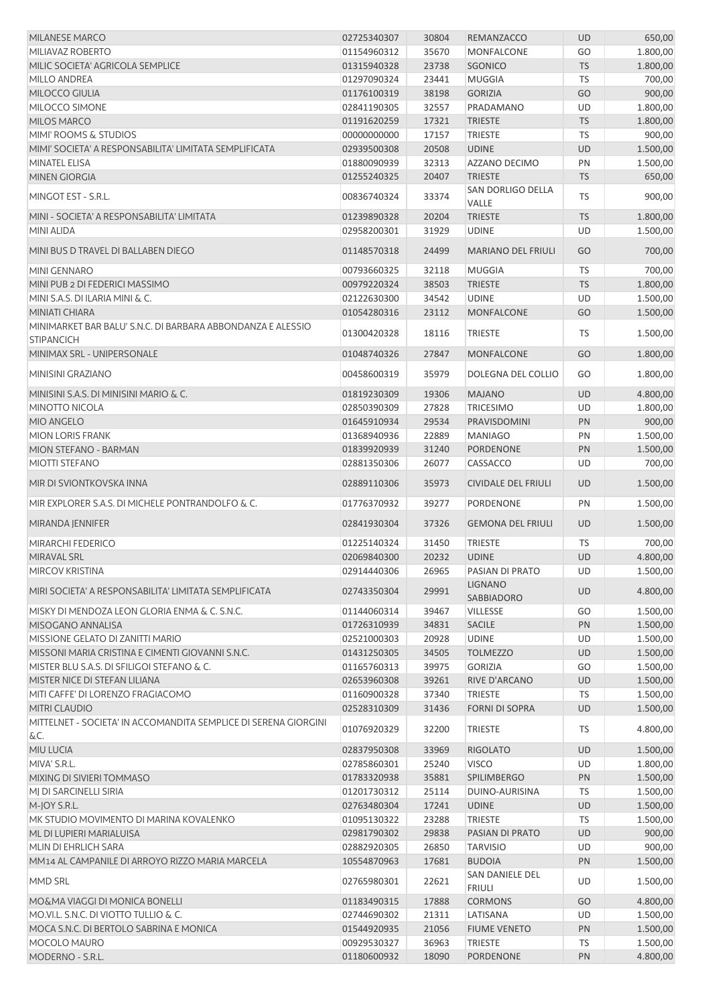| <b>MILANESE MARCO</b>                                           | 02725340307 | 30804 | REMANZACCO                       | <b>UD</b> | 650,00   |
|-----------------------------------------------------------------|-------------|-------|----------------------------------|-----------|----------|
| MILIAVAZ ROBERTO                                                | 01154960312 | 35670 | MONFALCONE                       | GO        | 1.800,00 |
| MILIC SOCIETA' AGRICOLA SEMPLICE                                | 01315940328 | 23738 | <b>SGONICO</b>                   | <b>TS</b> | 1.800,00 |
| MILLO ANDREA                                                    | 01297090324 | 23441 | <b>MUGGIA</b>                    | <b>TS</b> | 700,00   |
| MILOCCO GIULIA                                                  | 01176100319 | 38198 | <b>GORIZIA</b>                   | GO        | 900,00   |
| MILOCCO SIMONE                                                  | 02841190305 | 32557 | PRADAMANO                        | UD        | 1.800,00 |
| MILOS MARCO                                                     | 01191620259 | 17321 | <b>TRIESTE</b>                   | <b>TS</b> | 1.800,00 |
| MIMI' ROOMS & STUDIOS                                           | 00000000000 | 17157 | <b>TRIESTE</b>                   | TS        | 900,00   |
| MIMI' SOCIETA' A RESPONSABILITA' LIMITATA SEMPLIFICATA          | 02939500308 | 20508 | <b>UDINE</b>                     | <b>UD</b> | 1.500,00 |
| MINATEL ELISA                                                   | 01880090939 | 32313 | AZZANO DECIMO                    | PN        | 1.500,00 |
| <b>MINEN GIORGIA</b>                                            | 01255240325 | 20407 | <b>TRIESTE</b>                   | <b>TS</b> | 650,00   |
| MINGOT EST - S.R.L.                                             | 00836740324 | 33374 | SAN DORLIGO DELLA<br>VALLE       | <b>TS</b> | 900,00   |
| MINI - SOCIETA' A RESPONSABILITA' LIMITATA                      | 01239890328 | 20204 | <b>TRIESTE</b>                   | <b>TS</b> | 1.800,00 |
| MINI ALIDA                                                      | 02958200301 | 31929 | <b>UDINE</b>                     | UD        | 1.500,00 |
|                                                                 |             |       |                                  |           |          |
| MINI BUS D TRAVEL DI BALLABEN DIEGO                             | 01148570318 | 24499 | <b>MARIANO DEL FRIULI</b>        | GO        | 700,00   |
| MINI GENNARO                                                    | 00793660325 | 32118 | <b>MUGGIA</b>                    | <b>TS</b> | 700,00   |
| MINI PUB 2 DI FEDERICI MASSIMO                                  | 00979220324 | 38503 | <b>TRIESTE</b>                   | <b>TS</b> | 1.800,00 |
| MINI S.A.S. DI ILARIA MINI & C.                                 | 02122630300 | 34542 | <b>UDINE</b>                     | UD        | 1.500,00 |
| MINIATI CHIARA                                                  | 01054280316 | 23112 | <b>MONFALCONE</b>                | GO        | 1.500,00 |
| MINIMARKET BAR BALU' S.N.C. DI BARBARA ABBONDANZA E ALESSIO     | 01300420328 | 18116 | <b>TRIESTE</b>                   | TS        | 1.500,00 |
| <b>STIPANCICH</b>                                               |             |       |                                  |           |          |
| MINIMAX SRL - UNIPERSONALE                                      | 01048740326 | 27847 | <b>MONFALCONE</b>                | GO        | 1.800,00 |
| MINISINI GRAZIANO                                               | 00458600319 | 35979 | DOLEGNA DEL COLLIO               | GO        | 1.800,00 |
| MINISINI S.A.S. DI MINISINI MARIO & C.                          | 01819230309 | 19306 | <b>MAJANO</b>                    | UD        | 4.800,00 |
| <b>MINOTTO NICOLA</b>                                           | 02850390309 | 27828 | <b>TRICESIMO</b>                 | UD        | 1.800,00 |
| MIO ANGELO                                                      | 01645910934 | 29534 | PRAVISDOMINI                     | PN        | 900,00   |
| <b>MION LORIS FRANK</b>                                         | 01368940936 | 22889 | <b>MANIAGO</b>                   | PN        | 1.500,00 |
| MION STEFANO - BARMAN                                           | 01839920939 | 31240 | PORDENONE                        | PN        | 1.500,00 |
| <b>MIOTTI STEFANO</b>                                           | 02881350306 | 26077 | <b>CASSACCO</b>                  | UD        | 700,00   |
| MIR DI SVIONTKOVSKA INNA                                        | 02889110306 | 35973 | <b>CIVIDALE DEL FRIULI</b>       | UD        | 1.500,00 |
| MIR EXPLORER S.A.S. DI MICHELE PONTRANDOLFO & C.                | 01776370932 | 39277 | PORDENONE                        | PN        | 1.500,00 |
| MIRANDA JENNIFER                                                | 02841930304 | 37326 | <b>GEMONA DEL FRIULI</b>         | <b>UD</b> | 1.500,00 |
| MIRARCHI FEDERICO                                               | 01225140324 | 31450 | <b>TRIESTE</b>                   | <b>TS</b> | 700,00   |
| MIRAVAL SRL                                                     | 02069840300 | 20232 | <b>UDINE</b>                     | <b>UD</b> | 4.800,00 |
| MIRCOV KRISTINA                                                 | 02914440306 | 26965 | PASIAN DI PRATO                  | UD        | 1.500,00 |
| MIRI SOCIETA' A RESPONSABILITA' LIMITATA SEMPLIFICATA           | 02743350304 | 29991 | <b>LIGNANO</b><br>SABBIADORO     | <b>UD</b> | 4.800,00 |
| MISKY DI MENDOZA LEON GLORIA ENMA & C. S.N.C.                   | 01144060314 | 39467 | <b>VILLESSE</b>                  | GO        | 1.500,00 |
| MISOGANO ANNALISA                                               | 01726310939 | 34831 | <b>SACILE</b>                    | PN        | 1.500,00 |
| MISSIONE GELATO DI ZANITTI MARIO                                | 02521000303 | 20928 | <b>UDINE</b>                     | UD        | 1.500,00 |
| MISSONI MARIA CRISTINA E CIMENTI GIOVANNI S.N.C.                | 01431250305 | 34505 | <b>TOLMEZZO</b>                  | <b>UD</b> | 1.500,00 |
| MISTER BLU S.A.S. DI SFILIGOI STEFANO & C.                      | 01165760313 | 39975 | <b>GORIZIA</b>                   | GO        | 1.500,00 |
| MISTER NICE DI STEFAN LILIANA                                   | 02653960308 | 39261 | RIVE D'ARCANO                    | UD        | 1.500,00 |
| MITI CAFFE' DI LORENZO FRAGIACOMO                               | 01160900328 | 37340 | TRIESTE                          | TS        | 1.500,00 |
| MITRI CLAUDIO                                                   | 02528310309 | 31436 | <b>FORNI DI SOPRA</b>            | <b>UD</b> | 1.500,00 |
| MITTELNET - SOCIETA' IN ACCOMANDITA SEMPLICE DI SERENA GIORGINI | 01076920329 | 32200 | <b>TRIESTE</b>                   | TS        | 4.800,00 |
| &C.                                                             |             |       |                                  |           |          |
| MIU LUCIA                                                       | 02837950308 | 33969 | <b>RIGOLATO</b>                  | UD        | 1.500,00 |
| MIVA' S.R.L.                                                    | 02785860301 | 25240 | <b>VISCO</b>                     | UD        | 1.800,00 |
| MIXING DI SIVIERI TOMMASO                                       | 01783320938 | 35881 | <b>SPILIMBERGO</b>               | PN        | 1.500,00 |
| MJ DI SARCINELLI SIRIA                                          | 01201730312 | 25114 | DUINO-AURISINA                   | TS        | 1.500,00 |
| M-JOY S.R.L.                                                    | 02763480304 | 17241 | <b>UDINE</b>                     | UD        | 1.500,00 |
| MK STUDIO MOVIMENTO DI MARINA KOVALENKO                         | 01095130322 | 23288 | TRIESTE                          | TS        | 1.500,00 |
| ML DI LUPIERI MARIALUISA                                        | 02981790302 | 29838 | PASIAN DI PRATO                  | UD        | 900,00   |
| MLIN DI EHRLICH SARA                                            | 02882920305 | 26850 | <b>TARVISIO</b>                  | UD        | 900,00   |
| MM14 AL CAMPANILE DI ARROYO RIZZO MARIA MARCELA                 | 10554870963 | 17681 | <b>BUDOIA</b>                    | PN        | 1.500,00 |
| MMD SRL                                                         | 02765980301 | 22621 | SAN DANIELE DEL<br><b>FRIULI</b> | UD        | 1.500,00 |
| MO&MA VIAGGI DI MONICA BONELLI                                  | 01183490315 | 17888 | <b>CORMONS</b>                   | GO        | 4.800,00 |
| MO.VI.L. S.N.C. DI VIOTTO TULLIO & C.                           | 02744690302 | 21311 | LATISANA                         | UD        | 1.500,00 |
| MOCA S.N.C. DI BERTOLO SABRINA E MONICA                         | 01544920935 | 21056 | <b>FIUME VENETO</b>              | PN        | 1.500,00 |
| MOCOLO MAURO                                                    | 00929530327 | 36963 | <b>TRIESTE</b>                   | TS        | 1.500,00 |
| MODERNO - S.R.L.                                                | 01180600932 | 18090 | PORDENONE                        | PN        | 4.800,00 |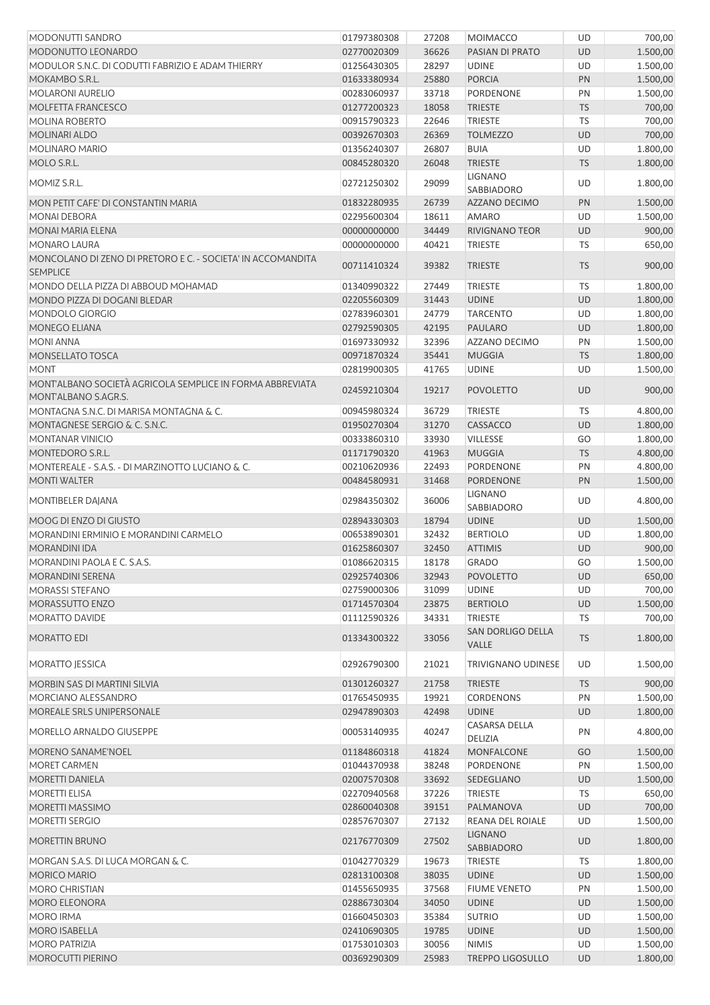| MODONUTTI SANDRO                                                                 | 01797380308 | 27208 | <b>MOIMACCO</b>              | UD        | 700,00   |
|----------------------------------------------------------------------------------|-------------|-------|------------------------------|-----------|----------|
| MODONUTTO LEONARDO                                                               | 02770020309 | 36626 | PASIAN DI PRATO              | <b>UD</b> | 1.500,00 |
| MODULOR S.N.C. DI CODUTTI FABRIZIO E ADAM THIERRY                                | 01256430305 | 28297 | <b>UDINE</b>                 | UD        | 1.500,00 |
| MOKAMBO S.R.L.                                                                   | 01633380934 | 25880 | <b>PORCIA</b>                | PN        | 1.500,00 |
| <b>MOLARONI AURELIO</b>                                                          | 00283060937 | 33718 | PORDENONE                    | PN        | 1.500,00 |
| MOLFETTA FRANCESCO                                                               | 01277200323 | 18058 | <b>TRIESTE</b>               | <b>TS</b> | 700,00   |
| <b>MOLINA ROBERTO</b>                                                            | 00915790323 | 22646 | <b>TRIESTE</b>               | <b>TS</b> | 700,00   |
| <b>MOLINARI ALDO</b>                                                             | 00392670303 | 26369 | <b>TOLMEZZO</b>              | <b>UD</b> | 700,00   |
| <b>MOLINARO MARIO</b>                                                            | 01356240307 | 26807 | <b>BUIA</b>                  | UD        | 1.800,00 |
| MOLO S.R.L.                                                                      | 00845280320 | 26048 | <b>TRIESTE</b>               | <b>TS</b> | 1.800,00 |
| MOMIZ S.R.L.                                                                     | 02721250302 | 29099 | <b>LIGNANO</b><br>SABBIADORO | UD        | 1.800,00 |
| MON PETIT CAFE' DI CONSTANTIN MARIA                                              | 01832280935 | 26739 | <b>AZZANO DECIMO</b>         | PN        | 1.500,00 |
| MONAI DEBORA                                                                     | 02295600304 | 18611 | <b>AMARO</b>                 | UD        | 1.500,00 |
| <b>MONAI MARIA ELENA</b>                                                         | 00000000000 | 34449 | <b>RIVIGNANO TEOR</b>        | <b>UD</b> | 900,00   |
| MONARO LAURA                                                                     | 00000000000 | 40421 | <b>TRIESTE</b>               | TS        | 650,00   |
| MONCOLANO DI ZENO DI PRETORO E C. - SOCIETA' IN ACCOMANDITA<br><b>SEMPLICE</b>   | 00711410324 | 39382 | <b>TRIESTE</b>               | <b>TS</b> | 900,00   |
| MONDO DELLA PIZZA DI ABBOUD MOHAMAD                                              | 01340990322 | 27449 | <b>TRIESTE</b>               | TS        | 1.800,00 |
| MONDO PIZZA DI DOGANI BLEDAR                                                     | 02205560309 | 31443 | <b>UDINE</b>                 | <b>UD</b> | 1.800,00 |
| MONDOLO GIORGIO                                                                  | 02783960301 | 24779 | <b>TARCENTO</b>              | UD        | 1.800,00 |
| MONEGO ELIANA                                                                    | 02792590305 | 42195 | <b>PAULARO</b>               | <b>UD</b> | 1.800,00 |
| <b>MONI ANNA</b>                                                                 | 01697330932 | 32396 | AZZANO DECIMO                | PN        | 1.500,00 |
| MONSELLATO TOSCA                                                                 | 00971870324 | 35441 | <b>MUGGIA</b>                | <b>TS</b> | 1.800,00 |
| <b>MONT</b>                                                                      | 02819900305 | 41765 | <b>UDINE</b>                 | UD        | 1.500,00 |
| MONTALBANO SOCIETÀ AGRICOLA SEMPLICE IN FORMA ABBREVIATA<br>MONT'ALBANO S.AGR.S. | 02459210304 | 19217 | <b>POVOLETTO</b>             | <b>UD</b> | 900,00   |
| MONTAGNA S.N.C. DI MARISA MONTAGNA & C.                                          | 00945980324 | 36729 | <b>TRIESTE</b>               | <b>TS</b> | 4.800,00 |
| MONTAGNESE SERGIO & C. S.N.C.                                                    | 01950270304 | 31270 | CASSACCO                     | <b>UD</b> | 1.800,00 |
| MONTANAR VINICIO                                                                 | 00333860310 | 33930 | VILLESSE                     | GO        | 1.800,00 |
| MONTEDORO S.R.L.                                                                 | 01171790320 | 41963 | <b>MUGGIA</b>                | <b>TS</b> | 4.800,00 |
| MONTEREALE - S.A.S. - DI MARZINOTTO LUCIANO & C.                                 | 00210620936 | 22493 | PORDENONE                    | PN        | 4.800,00 |
| <b>MONTI WALTER</b>                                                              | 00484580931 | 31468 | PORDENONE                    | PN        | 1.500,00 |
| MONTIBELER DAJANA                                                                | 02984350302 | 36006 | <b>LIGNANO</b><br>SABBIADORO | UD        | 4.800,00 |
| MOOG DI ENZO DI GIUSTO                                                           | 02894330303 | 18794 | <b>UDINE</b>                 | UD        | 1.500,00 |
| MORANDINI ERMINIO E MORANDINI CARMELO                                            | 00653890301 | 32432 | <b>BERTIOLO</b>              | UD        | 1.800,00 |
| <b>MORANDINI IDA</b>                                                             | 01625860307 | 32450 | <b>ATTIMIS</b>               | <b>UD</b> | 900,00   |
| MORANDINI PAOLA E C. S.A.S.                                                      | 01086620315 | 18178 | <b>GRADO</b>                 | GO        | 1.500,00 |
| MORANDINI SERENA                                                                 | 02925740306 | 32943 | <b>POVOLETTO</b>             | <b>UD</b> | 650,00   |
| <b>MORASSI STEFANO</b>                                                           | 02759000306 | 31099 | <b>UDINE</b>                 | UD        | 700,00   |
| MORASSUTTO ENZO                                                                  | 01714570304 | 23875 | <b>BERTIOLO</b>              | <b>UD</b> | 1.500,00 |
| MORATTO DAVIDE                                                                   | 01112590326 | 34331 | <b>TRIESTE</b>               | <b>TS</b> | 700,00   |
| <b>MORATTO EDI</b>                                                               | 01334300322 | 33056 | SAN DORLIGO DELLA<br>VALLE   | <b>TS</b> | 1.800,00 |
| <b>MORATTO JESSICA</b>                                                           | 02926790300 | 21021 | TRIVIGNANO UDINESE           | UD        | 1.500,00 |
| MORBIN SAS DI MARTINI SILVIA                                                     | 01301260327 | 21758 | <b>TRIESTE</b>               | <b>TS</b> | 900,00   |
| MORCIANO ALESSANDRO                                                              | 01765450935 | 19921 | <b>CORDENONS</b>             | PN        | 1.500,00 |
| MOREALE SRLS UNIPERSONALE                                                        | 02947890303 | 42498 | <b>UDINE</b>                 | <b>UD</b> | 1.800,00 |
| MORELLO ARNALDO GIUSEPPE                                                         | 00053140935 | 40247 | <b>CASARSA DELLA</b>         | PN        | 4.800,00 |
| MORENO SANAME'NOEL                                                               | 01184860318 | 41824 | DELIZIA<br>MONFALCONE        | GO        | 1.500,00 |
| MORET CARMEN                                                                     | 01044370938 | 38248 | PORDENONE                    | PN        | 1.500,00 |
| MORETTI DANIELA                                                                  | 02007570308 | 33692 | SEDEGLIANO                   | <b>UD</b> | 1.500,00 |
| <b>MORETTI ELISA</b>                                                             | 02270940568 | 37226 | <b>TRIESTE</b>               | <b>TS</b> | 650,00   |
| MORETTI MASSIMO                                                                  | 02860040308 | 39151 | PALMANOVA                    | <b>UD</b> | 700,00   |
| <b>MORETTI SERGIO</b>                                                            | 02857670307 | 27132 | REANA DEL ROIALE             | UD        | 1.500,00 |
| <b>MORETTIN BRUNO</b>                                                            | 02176770309 | 27502 | <b>LIGNANO</b>               | UD        | 1.800,00 |
| MORGAN S.A.S. DI LUCA MORGAN & C.                                                | 01042770329 | 19673 | SABBIADORO<br>TRIESTE        | TS        | 1.800,00 |
| <b>MORICO MARIO</b>                                                              | 02813100308 | 38035 | <b>UDINE</b>                 | <b>UD</b> | 1.500,00 |
| <b>MORO CHRISTIAN</b>                                                            | 01455650935 | 37568 | <b>FIUME VENETO</b>          | PN        | 1.500,00 |
| MORO ELEONORA                                                                    | 02886730304 | 34050 | <b>UDINE</b>                 | UD        | 1.500,00 |
| <b>MORO IRMA</b>                                                                 | 01660450303 | 35384 | <b>SUTRIO</b>                | UD        | 1.500,00 |
| MORO ISABELLA                                                                    | 02410690305 | 19785 | <b>UDINE</b>                 | UD        | 1.500,00 |
| <b>MORO PATRIZIA</b>                                                             | 01753010303 | 30056 | <b>NIMIS</b>                 | UD        | 1.500,00 |
| MOROCUTTI PIERINO                                                                | 00369290309 | 25983 | <b>TREPPO LIGOSULLO</b>      | <b>UD</b> | 1.800,00 |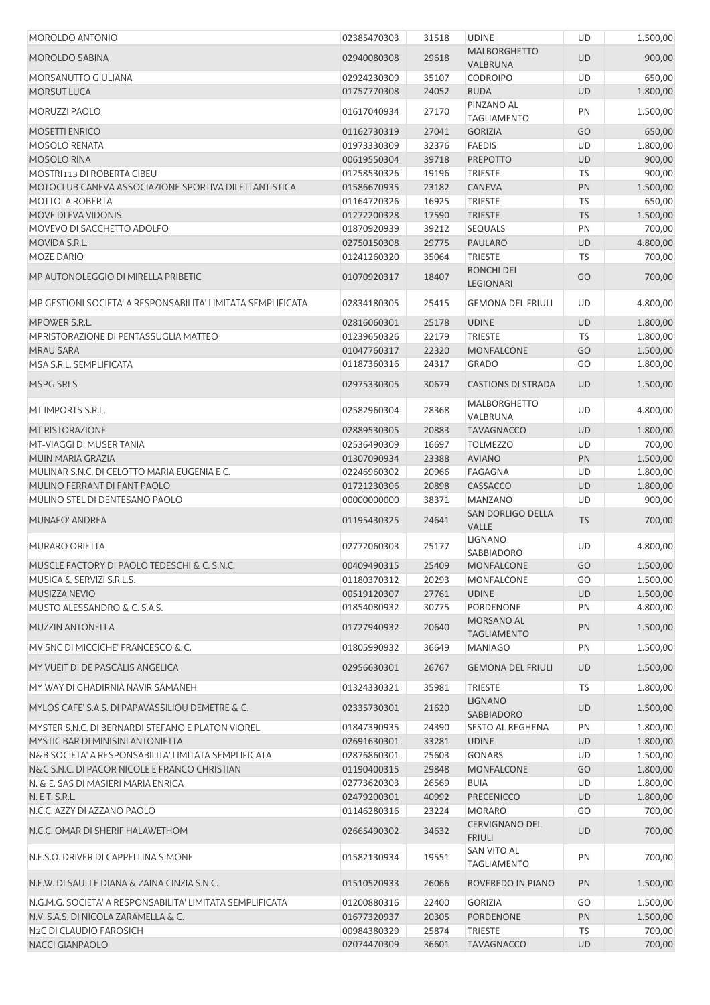| MOROLDO ANTONIO                                              | 02385470303 | 31518 | <b>UDINE</b>                           | UD        | 1.500,00 |
|--------------------------------------------------------------|-------------|-------|----------------------------------------|-----------|----------|
| <b>MOROLDO SABINA</b>                                        | 02940080308 | 29618 | <b>MALBORGHETTO</b><br>VALBRUNA        | <b>UD</b> | 900,00   |
| MORSANUTTO GIULIANA                                          | 02924230309 | 35107 | <b>CODROIPO</b>                        | UD        | 650,00   |
| <b>MORSUT LUCA</b>                                           | 01757770308 | 24052 | <b>RUDA</b>                            | <b>UD</b> | 1.800,00 |
| <b>MORUZZI PAOLO</b>                                         | 01617040934 | 27170 | PINZANO AL<br><b>TAGLIAMENTO</b>       | PN        | 1.500,00 |
| <b>MOSETTI ENRICO</b>                                        | 01162730319 | 27041 | <b>GORIZIA</b>                         | GO        | 650,00   |
| <b>MOSOLO RENATA</b>                                         | 01973330309 | 32376 | <b>FAEDIS</b>                          | UD        | 1.800,00 |
| <b>MOSOLO RINA</b>                                           | 00619550304 | 39718 | <b>PREPOTTO</b>                        | <b>UD</b> | 900,00   |
| MOSTRI113 DI ROBERTA CIBEU                                   | 01258530326 | 19196 | <b>TRIESTE</b>                         | TS        | 900,00   |
| MOTOCLUB CANEVA ASSOCIAZIONE SPORTIVA DILETTANTISTICA        | 01586670935 | 23182 | <b>CANEVA</b>                          | PN        | 1.500,00 |
| <b>MOTTOLA ROBERTA</b>                                       | 01164720326 | 16925 | <b>TRIESTE</b>                         | TS        | 650,00   |
| MOVE DI EVA VIDONIS                                          | 01272200328 | 17590 | <b>TRIESTE</b>                         | <b>TS</b> | 1.500,00 |
| MOVEVO DI SACCHETTO ADOLFO                                   | 01870920939 | 39212 | <b>SEQUALS</b>                         | PN        | 700,00   |
| MOVIDA S.R.L.                                                | 02750150308 | 29775 | PAULARO                                | <b>UD</b> | 4.800,00 |
| <b>MOZE DARIO</b>                                            | 01241260320 | 35064 | <b>TRIESTE</b>                         | TS        | 700,00   |
|                                                              |             |       | <b>RONCHI DEI</b>                      |           |          |
| MP AUTONOLEGGIO DI MIRELLA PRIBETIC                          | 01070920317 | 18407 | <b>LEGIONARI</b>                       | GO        | 700,00   |
| MP GESTIONI SOCIETA' A RESPONSABILITA' LIMITATA SEMPLIFICATA | 02834180305 | 25415 | <b>GEMONA DEL FRIULI</b>               | <b>UD</b> | 4.800,00 |
| MPOWER S.R.L.                                                | 02816060301 | 25178 | <b>UDINE</b>                           | UD        | 1.800,00 |
| MPRISTORAZIONE DI PENTASSUGLIA MATTEO                        | 01239650326 | 22179 | <b>TRIESTE</b>                         | TS        | 1.800,00 |
| <b>MRAU SARA</b>                                             | 01047760317 | 22320 | <b>MONFALCONE</b>                      | GO        | 1.500,00 |
| MSA S.R.L. SEMPLIFICATA                                      | 01187360316 | 24317 | <b>GRADO</b>                           | GO        | 1.800,00 |
| <b>MSPG SRLS</b>                                             | 02975330305 | 30679 | <b>CASTIONS DI STRADA</b>              | <b>UD</b> | 1.500,00 |
| MT IMPORTS S.R.L.                                            | 02582960304 | 28368 | <b>MALBORGHETTO</b><br>VALBRUNA        | UD        | 4.800,00 |
| MT RISTORAZIONE                                              | 02889530305 | 20883 | <b>TAVAGNACCO</b>                      | UD        | 1.800,00 |
| MT-VIAGGI DI MUSER TANIA                                     | 02536490309 | 16697 | <b>TOLMEZZO</b>                        | UD        | 700,00   |
| MUIN MARIA GRAZIA                                            | 01307090934 | 23388 | <b>AVIANO</b>                          | PN        | 1.500,00 |
| MULINAR S.N.C. DI CELOTTO MARIA EUGENIA E C.                 | 02246960302 | 20966 | <b>FAGAGNA</b>                         | UD        | 1.800,00 |
| MULINO FERRANT DI FANT PAOLO                                 | 01721230306 | 20898 | CASSACCO                               | <b>UD</b> | 1.800,00 |
| MULINO STEL DI DENTESANO PAOLO                               | 00000000000 | 38371 | <b>MANZANO</b>                         | UD        | 900,00   |
| MUNAFO' ANDREA                                               | 01195430325 | 24641 | SAN DORLIGO DELLA<br><b>VALLE</b>      | <b>TS</b> | 700,00   |
| <b>MURARO ORIETTA</b>                                        | 02772060303 | 25177 | <b>LIGNANO</b><br>SABBIADORO           | UD        | 4.800,00 |
| MUSCLE FACTORY DI PAOLO TEDESCHI & C. S.N.C.                 | 00409490315 | 25409 | MONFALCONE                             | GO        | 1.500,00 |
| MUSICA & SERVIZI S.R.L.S.                                    | 01180370312 | 20293 | MONFALCONE                             | GO        | 1.500,00 |
| MUSIZZA NEVIO                                                | 00519120307 | 27761 | <b>UDINE</b>                           | UD        | 1.500,00 |
| MUSTO ALESSANDRO & C. S.A.S.                                 | 01854080932 | 30775 | PORDENONE                              | PN        | 4.800,00 |
|                                                              |             |       | MORSANO AL                             |           |          |
| <b>MUZZIN ANTONELLA</b>                                      | 01727940932 | 20640 | <b>TAGLIAMENTO</b>                     | PN        | 1.500,00 |
| MV SNC DI MICCICHE' FRANCESCO & C.                           | 01805990932 | 36649 | <b>MANIAGO</b>                         | PN        | 1.500,00 |
| MY VUEIT DI DE PASCALIS ANGELICA                             | 02956630301 | 26767 | <b>GEMONA DEL FRIULI</b>               | <b>UD</b> | 1.500,00 |
| MY WAY DI GHADIRNIA NAVIR SAMANEH                            | 01324330321 | 35981 | <b>TRIESTE</b>                         | TS        | 1.800,00 |
| MYLOS CAFE' S.A.S. DI PAPAVASSILIOU DEMETRE & C.             | 02335730301 | 21620 | <b>LIGNANO</b><br>SABBIADORO           | UD        | 1.500,00 |
| MYSTER S.N.C. DI BERNARDI STEFANO E PLATON VIOREL            | 01847390935 | 24390 | <b>SESTO AL REGHENA</b>                | PN        | 1.800,00 |
| MYSTIC BAR DI MINISINI ANTONIETTA                            | 02691630301 | 33281 | <b>UDINE</b>                           | UD        | 1.800,00 |
| N&B SOCIETA' A RESPONSABILITA' LIMITATA SEMPLIFICATA         | 02876860301 | 25603 | <b>GONARS</b>                          | UD        | 1.500,00 |
| N&C S.N.C. DI PACOR NICOLE E FRANCO CHRISTIAN                | 01190400315 | 29848 | MONFALCONE                             | GO        | 1.800,00 |
| N. & E. SAS DI MASIERI MARIA ENRICA                          | 02773620303 | 26569 | <b>BUIA</b>                            | UD        | 1.800,00 |
| N. E T. S.R.L.                                               | 02479200301 | 40992 | <b>PRECENICCO</b>                      | <b>UD</b> | 1.800,00 |
| N.C.C. AZZY DI AZZANO PAOLO                                  | 01146280316 | 23224 | <b>MORARO</b>                          | GO        | 700,00   |
| N.C.C. OMAR DI SHERIF HALAWETHOM                             | 02665490302 | 34632 | <b>CERVIGNANO DEL</b><br><b>FRIULI</b> | <b>UD</b> | 700,00   |
| N.E.S.O. DRIVER DI CAPPELLINA SIMONE                         | 01582130934 | 19551 | SAN VITO AL<br><b>TAGLIAMENTO</b>      | PN        | 700,00   |
| N.E.W. DI SAULLE DIANA & ZAINA CINZIA S.N.C.                 | 01510520933 | 26066 | ROVEREDO IN PIANO                      | PN        | 1.500,00 |
| N.G.M.G. SOCIETA' A RESPONSABILITA' LIMITATA SEMPLIFICATA    | 01200880316 | 22400 | <b>GORIZIA</b>                         | GO        | 1.500,00 |
| N.V. S.A.S. DI NICOLA ZARAMELLA & C.                         | 01677320937 | 20305 | PORDENONE                              | PN        | 1.500,00 |
| N2C DI CLAUDIO FAROSICH                                      | 00984380329 | 25874 | <b>TRIESTE</b>                         | TS        | 700,00   |
| NACCI GIANPAOLO                                              | 02074470309 | 36601 | <b>TAVAGNACCO</b>                      | <b>UD</b> | 700,00   |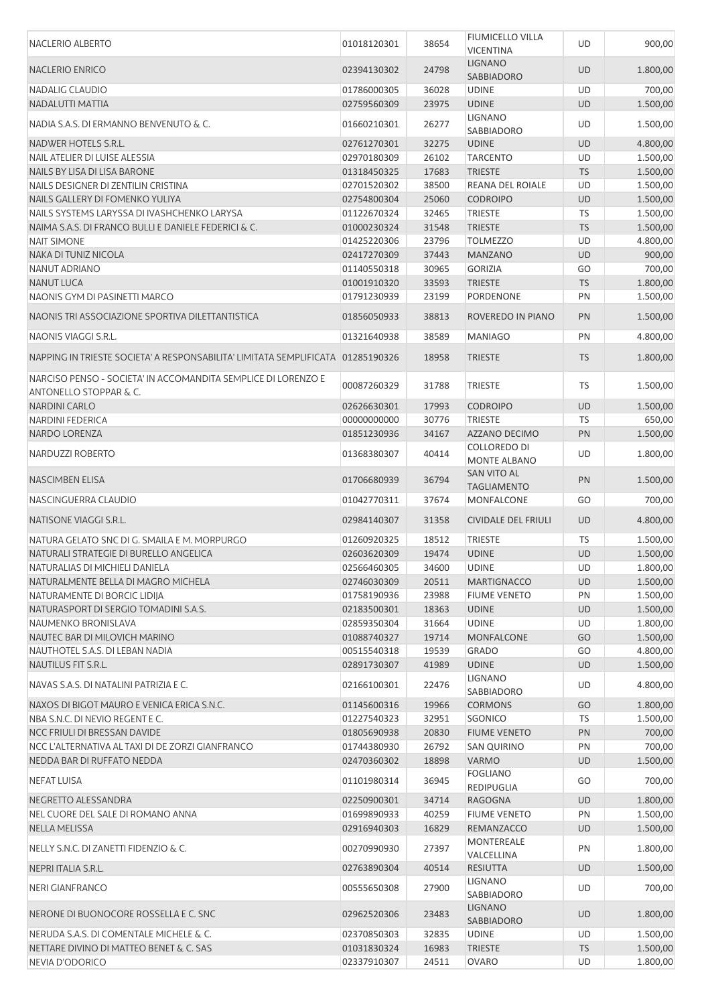| <b>NACLERIO ALBERTO</b>                                                                 | 01018120301 | 38654 | <b>FIUMICELLO VILLA</b><br><b>VICENTINA</b> | UD        | 900,00   |
|-----------------------------------------------------------------------------------------|-------------|-------|---------------------------------------------|-----------|----------|
| <b>NACLERIO ENRICO</b>                                                                  | 02394130302 | 24798 | <b>LIGNANO</b><br>SABBIADORO                | <b>UD</b> | 1.800,00 |
| NADALIG CLAUDIO                                                                         | 01786000305 | 36028 | <b>UDINE</b>                                | UD        | 700,00   |
| NADALUTTI MATTIA                                                                        | 02759560309 | 23975 | <b>UDINE</b>                                | <b>UD</b> | 1.500,00 |
| NADIA S.A.S. DI ERMANNO BENVENUTO & C.                                                  | 01660210301 | 26277 | <b>LIGNANO</b><br>SABBIADORO                | UD        | 1.500,00 |
| NADWER HOTELS S.R.L.                                                                    | 02761270301 | 32275 | <b>UDINE</b>                                | <b>UD</b> | 4.800,00 |
| NAIL ATELIER DI LUISE ALESSIA                                                           | 02970180309 | 26102 | <b>TARCENTO</b>                             | UD        | 1.500,00 |
| NAILS BY LISA DI LISA BARONE                                                            | 01318450325 | 17683 | <b>TRIESTE</b>                              | <b>TS</b> | 1.500,00 |
| NAILS DESIGNER DI ZENTILIN CRISTINA                                                     | 02701520302 | 38500 | REANA DEL ROIALE                            | UD        | 1.500,00 |
| NAILS GALLERY DI FOMENKO YULIYA                                                         | 02754800304 | 25060 | <b>CODROIPO</b>                             | UD        | 1.500,00 |
| NAILS SYSTEMS LARYSSA DI IVASHCHENKO LARYSA                                             | 01122670324 | 32465 | <b>TRIESTE</b>                              | <b>TS</b> | 1.500,00 |
| NAIMA S.A.S. DI FRANCO BULLI E DANIELE FEDERICI & C.                                    | 01000230324 | 31548 | <b>TRIESTE</b>                              | <b>TS</b> | 1.500,00 |
| <b>NAIT SIMONE</b>                                                                      | 01425220306 | 23796 | <b>TOLMEZZO</b>                             | UD        | 4.800,00 |
| NAKA DI TUNIZ NICOLA                                                                    | 02417270309 | 37443 | <b>MANZANO</b>                              | <b>UD</b> | 900,00   |
|                                                                                         |             |       |                                             |           |          |
| NANUT ADRIANO                                                                           | 01140550318 | 30965 | <b>GORIZIA</b>                              | GO        | 700,00   |
| <b>NANUT LUCA</b>                                                                       | 01001910320 | 33593 | <b>TRIESTE</b>                              | <b>TS</b> | 1.800,00 |
| NAONIS GYM DI PASINETTI MARCO                                                           | 01791230939 | 23199 | <b>PORDENONE</b>                            | PN        | 1.500,00 |
| NAONIS TRI ASSOCIAZIONE SPORTIVA DILETTANTISTICA                                        | 01856050933 | 38813 | ROVEREDO IN PIANO                           | PN        | 1.500,00 |
| NAONIS VIAGGI S.R.L.                                                                    | 01321640938 | 38589 | <b>MANIAGO</b>                              | PN        | 4.800,00 |
| NAPPING IN TRIESTE SOCIETA' A RESPONSABILITA' LIMITATA SEMPLIFICATA 01285190326         |             | 18958 | <b>TRIESTE</b>                              | <b>TS</b> | 1.800,00 |
| NARCISO PENSO - SOCIETA' IN ACCOMANDITA SEMPLICE DI LORENZO E<br>ANTONELLO STOPPAR & C. | 00087260329 | 31788 | TRIESTE                                     | TS        | 1.500,00 |
| <b>NARDINI CARLO</b>                                                                    | 02626630301 | 17993 | <b>CODROIPO</b>                             | <b>UD</b> | 1.500,00 |
| <b>NARDINI FEDERICA</b>                                                                 | 00000000000 | 30776 | <b>TRIESTE</b>                              | TS        | 650,00   |
| NARDO LORENZA                                                                           | 01851230936 | 34167 | AZZANO DECIMO                               | PN        | 1.500,00 |
| NARDUZZI ROBERTO                                                                        | 01368380307 | 40414 | COLLOREDO DI<br>MONTE ALBANO                | UD        | 1.800,00 |
| NASCIMBEN ELISA                                                                         | 01706680939 | 36794 | SAN VITO AL<br><b>TAGLIAMENTO</b>           | PN        | 1.500,00 |
| NASCINGUERRA CLAUDIO                                                                    | 01042770311 | 37674 | <b>MONFALCONE</b>                           | GO        | 700,00   |
| NATISONE VIAGGI S.R.L.                                                                  | 02984140307 | 31358 | <b>CIVIDALE DEL FRIULI</b>                  | <b>UD</b> | 4.800,00 |
| NATURA GELATO SNC DI G. SMAILA E M. MORPURGO                                            | 01260920325 | 18512 | <b>TRIESTE</b>                              | TS        | 1.500,00 |
| NATURALI STRATEGIE DI BURELLO ANGELICA                                                  | 02603620309 | 19474 | <b>UDINE</b>                                | <b>UD</b> | 1.500,00 |
| NATURALIAS DI MICHIELI DANIELA                                                          | 02566460305 | 34600 | <b>UDINE</b>                                | UD        | 1.800,00 |
| NATURALMENTE BELLA DI MAGRO MICHELA                                                     | 02746030309 | 20511 | <b>MARTIGNACCO</b>                          | <b>UD</b> | 1.500,00 |
| NATURAMENTE DI BORCIC LIDIJA                                                            | 01758190936 | 23988 | <b>FIUME VENETO</b>                         | PN        | 1.500,00 |
| NATURASPORT DI SERGIO TOMADINI S.A.S.                                                   | 02183500301 | 18363 | <b>UDINE</b>                                | UD        | 1.500,00 |
| NAUMENKO BRONISLAVA                                                                     | 02859350304 | 31664 | <b>UDINE</b>                                | UD        | 1.800,00 |
| NAUTEC BAR DI MILOVICH MARINO                                                           | 01088740327 | 19714 | MONFALCONE                                  | GO        | 1.500,00 |
|                                                                                         |             |       |                                             |           |          |
| NAUTHOTEL S.A.S. DI LEBAN NADIA<br>NAUTILUS FIT S.R.L.                                  | 00515540318 | 19539 | <b>GRADO</b>                                | GO        | 4.800,00 |
|                                                                                         | 02891730307 | 41989 | <b>UDINE</b><br><b>LIGNANO</b>              | UD        | 1.500,00 |
| NAVAS S.A.S. DI NATALINI PATRIZIA E C.                                                  | 02166100301 | 22476 | SABBIADORO                                  | UD        | 4.800,00 |
| NAXOS DI BIGOT MAURO E VENICA ERICA S.N.C.                                              | 01145600316 | 19966 | <b>CORMONS</b>                              | GO        | 1.800,00 |
| NBA S.N.C. DI NEVIO REGENTE C.                                                          | 01227540323 | 32951 | SGONICO                                     | TS        | 1.500,00 |
| NCC FRIULI DI BRESSAN DAVIDE                                                            | 01805690938 | 20830 | <b>FIUME VENETO</b>                         | PN        | 700,00   |
| NCC L'ALTERNATIVA AL TAXI DI DE ZORZI GIANFRANCO                                        | 01744380930 | 26792 | <b>SAN QUIRINO</b>                          | PN        | 700,00   |
| NEDDA BAR DI RUFFATO NEDDA                                                              | 02470360302 | 18898 | <b>VARMO</b>                                | <b>UD</b> | 1.500,00 |
| <b>NEFAT LUISA</b>                                                                      | 01101980314 | 36945 | <b>FOGLIANO</b><br>REDIPUGLIA               | GO        | 700,00   |
| NEGRETTO ALESSANDRA                                                                     | 02250900301 | 34714 | <b>RAGOGNA</b>                              | <b>UD</b> | 1.800,00 |
| NEL CUORE DEL SALE DI ROMANO ANNA                                                       | 01699890933 | 40259 | <b>FIUME VENETO</b>                         | PN        | 1.500,00 |
| <b>NELLA MELISSA</b>                                                                    | 02916940303 | 16829 | REMANZACCO                                  | <b>UD</b> | 1.500,00 |
| NELLY S.N.C. DI ZANETTI FIDENZIO & C.                                                   | 00270990930 | 27397 | MONTEREALE                                  | PN        | 1.800,00 |
| NEPRI ITALIA S.R.L.                                                                     | 02763890304 | 40514 | VALCELLINA<br><b>RESIUTTA</b>               | <b>UD</b> | 1.500,00 |
| NERI GIANFRANCO                                                                         | 00555650308 | 27900 | LIGNANO                                     | UD        | 700,00   |
|                                                                                         |             |       | SABBIADORO<br><b>LIGNANO</b>                |           |          |
| NERONE DI BUONOCORE ROSSELLA E C. SNC                                                   | 02962520306 | 23483 | SABBIADORO                                  | UD        | 1.800,00 |
| NERUDA S.A.S. DI COMENTALE MICHELE & C.                                                 | 02370850303 | 32835 | <b>UDINE</b>                                | UD        | 1.500,00 |
| NETTARE DIVINO DI MATTEO BENET & C. SAS                                                 | 01031830324 | 16983 | <b>TRIESTE</b>                              | <b>TS</b> | 1.500,00 |
| NEVIA D'ODORICO                                                                         | 02337910307 | 24511 | <b>OVARO</b>                                | UD        | 1.800,00 |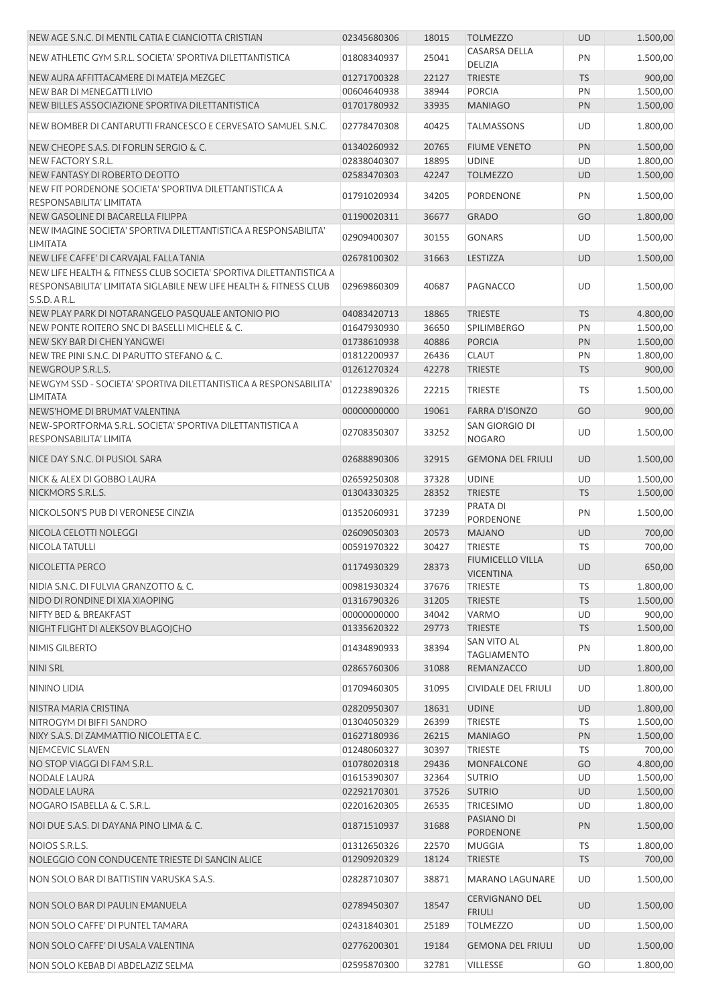| NEW AGE S.N.C. DI MENTIL CATIA E CIANCIOTTA CRISTIAN                                                                                                     | 02345680306 | 18015 | <b>TOLMEZZO</b>                             | <b>UD</b> | 1.500,00 |
|----------------------------------------------------------------------------------------------------------------------------------------------------------|-------------|-------|---------------------------------------------|-----------|----------|
| NEW ATHLETIC GYM S.R.L. SOCIETA' SPORTIVA DILETTANTISTICA                                                                                                | 01808340937 | 25041 | CASARSA DELLA<br>DELIZIA                    | PN        | 1.500,00 |
| NEW AURA AFFITTACAMERE DI MATEJA MEZGEC                                                                                                                  | 01271700328 | 22127 | <b>TRIESTE</b>                              | <b>TS</b> | 900,00   |
| NEW BAR DI MENEGATTI LIVIO                                                                                                                               | 00604640938 | 38944 | <b>PORCIA</b>                               | PN        | 1.500,00 |
| NEW BILLES ASSOCIAZIONE SPORTIVA DILETTANTISTICA                                                                                                         | 01701780932 | 33935 | <b>MANIAGO</b>                              | PN        | 1.500,00 |
| NEW BOMBER DI CANTARUTTI FRANCESCO E CERVESATO SAMUEL S.N.C.                                                                                             | 02778470308 | 40425 | <b>TALMASSONS</b>                           | UD        | 1.800,00 |
| NEW CHEOPE S.A.S. DI FORLIN SERGIO & C.                                                                                                                  | 01340260932 | 20765 | <b>FIUME VENETO</b>                         | PN        | 1.500,00 |
| NEW FACTORY S.R.L.                                                                                                                                       | 02838040307 | 18895 | <b>UDINE</b>                                | UD        | 1.800,00 |
| NEW FANTASY DI ROBERTO DEOTTO                                                                                                                            | 02583470303 | 42247 | <b>TOLMEZZO</b>                             | <b>UD</b> | 1.500,00 |
| NEW FIT PORDENONE SOCIETA' SPORTIVA DILETTANTISTICA A<br>RESPONSABILITA' LIMITATA                                                                        | 01791020934 | 34205 | PORDENONE                                   | PN        | 1.500,00 |
| NEW GASOLINE DI BACARELLA FILIPPA                                                                                                                        | 01190020311 | 36677 | <b>GRADO</b>                                | GO        | 1.800,00 |
| NEW IMAGINE SOCIETA' SPORTIVA DILETTANTISTICA A RESPONSABILITA'<br><b>LIMITATA</b>                                                                       | 02909400307 | 30155 | <b>GONARS</b>                               | UD        | 1.500,00 |
| NEW LIFE CAFFE' DI CARVAJAL FALLA TANIA                                                                                                                  | 02678100302 | 31663 | LESTIZZA                                    | <b>UD</b> | 1.500,00 |
| NEW LIFE HEALTH & FITNESS CLUB SOCIETA' SPORTIVA DILETTANTISTICA A<br>RESPONSABILITA' LIMITATA SIGLABILE NEW LIFE HEALTH & FITNESS CLUB<br>S.S.D. A R.L. | 02969860309 | 40687 | PAGNACCO                                    | UD        | 1.500,00 |
| NEW PLAY PARK DI NOTARANGELO PASQUALE ANTONIO PIO                                                                                                        | 04083420713 | 18865 | <b>TRIESTE</b>                              | <b>TS</b> | 4.800,00 |
| NEW PONTE ROITERO SNC DI BASELLI MICHELE & C.                                                                                                            | 01647930930 | 36650 | SPILIMBERGO                                 | PN        | 1.500,00 |
| NEW SKY BAR DI CHEN YANGWEI                                                                                                                              | 01738610938 | 40886 | <b>PORCIA</b>                               | PN        | 1.500,00 |
| NEW TRE PINI S.N.C. DI PARUTTO STEFANO & C.                                                                                                              | 01812200937 | 26436 | <b>CLAUT</b>                                | PN        | 1.800,00 |
| NEWGROUP S.R.L.S.                                                                                                                                        | 01261270324 | 42278 | <b>TRIESTE</b>                              | <b>TS</b> | 900,00   |
| NEWGYM SSD - SOCIETA' SPORTIVA DILETTANTISTICA A RESPONSABILITA'<br><b>LIMITATA</b>                                                                      | 01223890326 | 22215 | <b>TRIESTE</b>                              | TS        | 1.500,00 |
| NEWS'HOME DI BRUMAT VALENTINA                                                                                                                            | 00000000000 | 19061 | <b>FARRA D'ISONZO</b>                       | GO        | 900,00   |
| NEW-SPORTFORMA S.R.L. SOCIETA' SPORTIVA DILETTANTISTICA A<br>RESPONSABILITA' LIMITA                                                                      | 02708350307 | 33252 | SAN GIORGIO DI<br><b>NOGARO</b>             | <b>UD</b> | 1.500,00 |
| NICE DAY S.N.C. DI PUSIOL SARA                                                                                                                           | 02688890306 | 32915 | <b>GEMONA DEL FRIULI</b>                    | <b>UD</b> | 1.500,00 |
| NICK & ALEX DI GOBBO LAURA                                                                                                                               | 02659250308 | 37328 | <b>UDINE</b>                                | UD        | 1.500,00 |
| NICKMORS S.R.L.S.                                                                                                                                        | 01304330325 | 28352 | <b>TRIESTE</b>                              | <b>TS</b> | 1.500,00 |
| NICKOLSON'S PUB DI VERONESE CINZIA                                                                                                                       | 01352060931 | 37239 | PRATA DI<br>PORDENONE                       | PN        | 1.500,00 |
| NICOLA CELOTTI NOLEGGI                                                                                                                                   | 02609050303 | 20573 | <b>MAJANO</b>                               | <b>UD</b> | 700,00   |
| <b>NICOLA TATULLI</b>                                                                                                                                    | 00591970322 | 30427 | <b>TRIESTE</b>                              | <b>TS</b> | 700,00   |
| NICOLETTA PERCO                                                                                                                                          | 01174930329 | 28373 | <b>FIUMICELLO VILLA</b><br><b>VICENTINA</b> | UD        | 650,00   |
| NIDIA S.N.C. DI FULVIA GRANZOTTO & C.                                                                                                                    | 00981930324 | 37676 | <b>TRIESTE</b>                              | TS        | 1.800,00 |
| NIDO DI RONDINE DI XIA XIAOPING                                                                                                                          | 01316790326 | 31205 | <b>TRIESTE</b>                              | <b>TS</b> | 1.500,00 |
| <b>NIFTY BED &amp; BREAKFAST</b>                                                                                                                         | 00000000000 | 34042 | <b>VARMO</b>                                | UD        | 900,00   |
| NIGHT FLIGHT DI ALEKSOV BLAGOJCHO                                                                                                                        | 01335620322 | 29773 | <b>TRIESTE</b>                              | <b>TS</b> | 1.500,00 |
| NIMIS GILBERTO                                                                                                                                           | 01434890933 | 38394 | SAN VITO AL<br><b>TAGLIAMENTO</b>           | PN        | 1.800,00 |
| <b>NINI SRL</b>                                                                                                                                          | 02865760306 | 31088 | REMANZACCO                                  | <b>UD</b> | 1.800,00 |
| NININO LIDIA                                                                                                                                             | 01709460305 | 31095 | <b>CIVIDALE DEL FRIULI</b>                  | UD        | 1.800,00 |
| NISTRA MARIA CRISTINA                                                                                                                                    | 02820950307 | 18631 | <b>UDINE</b>                                | <b>UD</b> | 1.800,00 |
| NITROGYM DI BIFFI SANDRO                                                                                                                                 | 01304050329 | 26399 | <b>TRIESTE</b>                              | TS        | 1.500,00 |
| NIXY S.A.S. DI ZAMMATTIO NICOLETTA E C.                                                                                                                  | 01627180936 | 26215 | <b>MANIAGO</b>                              | PN        | 1.500,00 |
| NIEMCEVIC SLAVEN                                                                                                                                         | 01248060327 | 30397 | <b>TRIESTE</b>                              | <b>TS</b> | 700,00   |
| NO STOP VIAGGI DI FAM S.R.L.                                                                                                                             | 01078020318 | 29436 | <b>MONFALCONE</b>                           | GO        | 4.800,00 |
| <b>NODALE LAURA</b>                                                                                                                                      | 01615390307 | 32364 | <b>SUTRIO</b>                               | UD        | 1.500,00 |
| <b>NODALE LAURA</b>                                                                                                                                      | 02292170301 | 37526 | <b>SUTRIO</b>                               | <b>UD</b> | 1.500,00 |
| NOGARO ISABELLA & C. S.R.L.                                                                                                                              | 02201620305 | 26535 | <b>TRICESIMO</b><br>PASIANO DI              | UD        | 1.800,00 |
| NOI DUE S.A.S. DI DAYANA PINO LIMA & C.                                                                                                                  | 01871510937 | 31688 | PORDENONE                                   | PN        | 1.500,00 |
| NOIOS S.R.L.S.                                                                                                                                           | 01312650326 | 22570 | <b>MUGGIA</b>                               | TS        | 1.800,00 |
| NOLEGGIO CON CONDUCENTE TRIESTE DI SANCIN ALICE                                                                                                          | 01290920329 | 18124 | <b>TRIESTE</b>                              | <b>TS</b> | 700,00   |
| NON SOLO BAR DI BATTISTIN VARUSKA S.A.S.                                                                                                                 | 02828710307 | 38871 | <b>MARANO LAGUNARE</b>                      | UD        | 1.500,00 |
| NON SOLO BAR DI PAULIN EMANUELA                                                                                                                          | 02789450307 | 18547 | <b>CERVIGNANO DEL</b><br><b>FRIULI</b>      | <b>UD</b> | 1.500,00 |
| NON SOLO CAFFE' DI PUNTEL TAMARA                                                                                                                         | 02431840301 | 25189 | <b>TOLMEZZO</b>                             | UD        | 1.500,00 |
| NON SOLO CAFFE' DI USALA VALENTINA                                                                                                                       | 02776200301 | 19184 | <b>GEMONA DEL FRIULI</b>                    | <b>UD</b> | 1.500,00 |
| NON SOLO KEBAB DI ABDELAZIZ SELMA                                                                                                                        | 02595870300 | 32781 | VILLESSE                                    | GO        | 1.800,00 |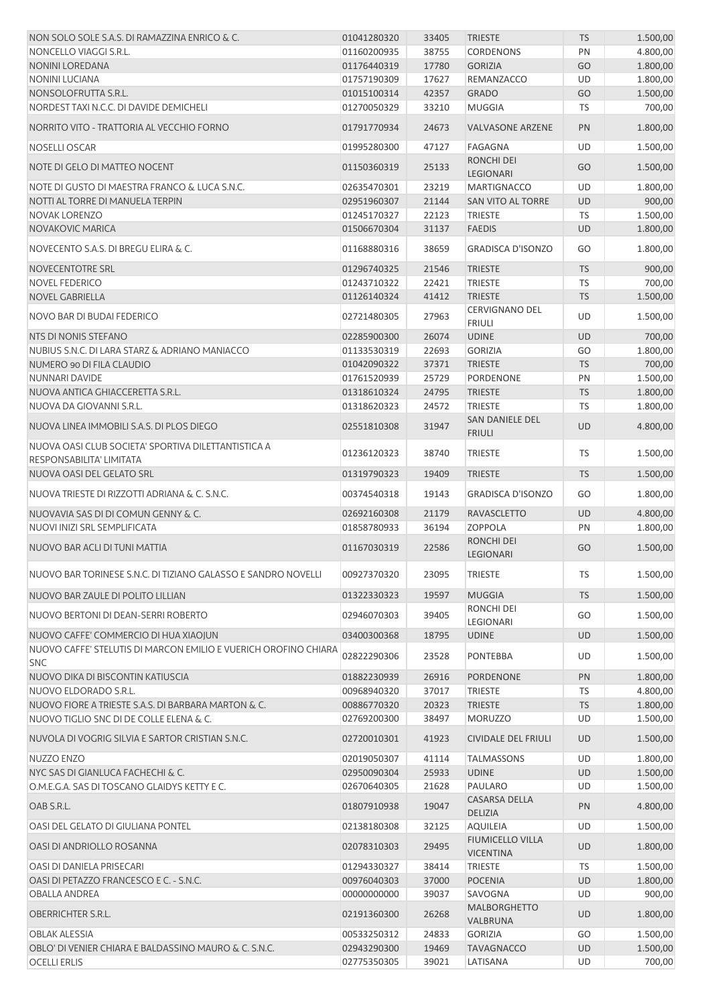| NON SOLO SOLE S.A.S. DI RAMAZZINA ENRICO & C.                                   | 01041280320 | 33405 | <b>TRIESTE</b>                   | <b>TS</b> | 1.500,00 |
|---------------------------------------------------------------------------------|-------------|-------|----------------------------------|-----------|----------|
| NONCELLO VIAGGI S.R.L.                                                          | 01160200935 | 38755 | <b>CORDENONS</b>                 | PN        | 4.800,00 |
| <b>NONINI LOREDANA</b>                                                          | 01176440319 | 17780 | <b>GORIZIA</b>                   | GO        | 1.800,00 |
| <b>NONINI LUCIANA</b>                                                           | 01757190309 | 17627 | REMANZACCO                       | UD        | 1.800,00 |
| NONSOLOFRUTTA S.R.L.                                                            | 01015100314 | 42357 | <b>GRADO</b>                     | GO        | 1.500,00 |
| NORDEST TAXI N.C.C. DI DAVIDE DEMICHELI                                         | 01270050329 | 33210 | <b>MUGGIA</b>                    | TS        | 700,00   |
| NORRITO VITO - TRATTORIA AL VECCHIO FORNO                                       | 01791770934 | 24673 | <b>VALVASONE ARZENE</b>          | PN        | 1.800,00 |
| <b>NOSELLI OSCAR</b>                                                            | 01995280300 | 47127 | FAGAGNA                          | UD        | 1.500,00 |
| NOTE DI GELO DI MATTEO NOCENT                                                   | 01150360319 | 25133 | RONCHI DEI<br>LEGIONARI          | GO        | 1.500,00 |
| NOTE DI GUSTO DI MAESTRA FRANCO & LUCA S.N.C.                                   | 02635470301 | 23219 | <b>MARTIGNACCO</b>               | UD        | 1.800,00 |
| NOTTI AL TORRE DI MANUELA TERPIN                                                | 02951960307 | 21144 | SAN VITO AL TORRE                | <b>UD</b> | 900,00   |
| <b>NOVAK LORENZO</b>                                                            | 01245170327 | 22123 | <b>TRIESTE</b>                   | <b>TS</b> | 1.500,00 |
| NOVAKOVIC MARICA                                                                | 01506670304 | 31137 | <b>FAEDIS</b>                    | UD        | 1.800,00 |
| NOVECENTO S.A.S. DI BREGU ELIRA & C.                                            | 01168880316 | 38659 | <b>GRADISCA D'ISONZO</b>         | GO        | 1.800,00 |
| NOVECENTOTRE SRL                                                                | 01296740325 | 21546 | <b>TRIESTE</b>                   | <b>TS</b> | 900,00   |
| <b>NOVEL FEDERICO</b>                                                           | 01243710322 | 22421 | <b>TRIESTE</b>                   | <b>TS</b> | 700,00   |
| <b>NOVEL GABRIELLA</b>                                                          | 01126140324 | 41412 | <b>TRIESTE</b>                   | <b>TS</b> | 1.500,00 |
|                                                                                 |             |       | CERVIGNANO DEL                   |           |          |
| NOVO BAR DI BUDAI FEDERICO                                                      | 02721480305 | 27963 | <b>FRIULI</b>                    | UD        | 1.500,00 |
| NTS DI NONIS STEFANO                                                            | 02285900300 | 26074 | <b>UDINE</b>                     | <b>UD</b> | 700,00   |
| NUBIUS S.N.C. DI LARA STARZ & ADRIANO MANIACCO                                  | 01133530319 | 22693 | <b>GORIZIA</b>                   | GO        | 1.800,00 |
| NUMERO 90 DI FILA CLAUDIO                                                       | 01042090322 | 37371 | <b>TRIESTE</b>                   | <b>TS</b> | 700,00   |
| NUNNARI DAVIDE                                                                  | 01761520939 | 25729 | <b>PORDENONE</b>                 | PN        | 1.500,00 |
| NUOVA ANTICA GHIACCERETTA S.R.L.                                                | 01318610324 | 24795 | <b>TRIESTE</b>                   | <b>TS</b> | 1.800,00 |
| NUOVA DA GIOVANNI S.R.L.                                                        | 01318620323 | 24572 | <b>TRIESTE</b>                   | TS        | 1.800,00 |
| NUOVA LINEA IMMOBILI S.A.S. DI PLOS DIEGO                                       | 02551810308 | 31947 | SAN DANIELE DEL<br><b>FRIULI</b> | <b>UD</b> | 4.800,00 |
| NUOVA OASI CLUB SOCIETA' SPORTIVA DILETTANTISTICA A<br>RESPONSABILITA' LIMITATA | 01236120323 | 38740 | <b>TRIESTE</b>                   | <b>TS</b> | 1.500,00 |
| NUOVA OASI DEL GELATO SRL                                                       | 01319790323 | 19409 | <b>TRIESTE</b>                   | <b>TS</b> | 1.500,00 |
| NUOVA TRIESTE DI RIZZOTTI ADRIANA & C. S.N.C.                                   | 00374540318 | 19143 | <b>GRADISCA D'ISONZO</b>         | GO        | 1.800,00 |
| NUOVAVIA SAS DI DI COMUN GENNY & C.                                             | 02692160308 | 21179 | <b>RAVASCLETTO</b>               | <b>UD</b> | 4.800,00 |
|                                                                                 |             |       |                                  |           |          |
| NUOVI INIZI SRL SEMPLIFICATA                                                    | 01858780933 | 36194 | <b>ZOPPOLA</b>                   | PN        | 1.800,00 |
| NUOVO BAR ACLI DI TUNI MATTIA                                                   | 01167030319 | 22586 | <b>RONCHI DEI</b><br>LEGIONARI   | GO        | 1.500,00 |
| NUOVO BAR TORINESE S.N.C. DI TIZIANO GALASSO E SANDRO NOVELLI                   | 00927370320 | 23095 | <b>TRIESTE</b>                   | <b>TS</b> | 1.500,00 |
| NUOVO BAR ZAULE DI POLITO LILLIAN                                               | 01322330323 | 19597 | <b>MUGGIA</b>                    | <b>TS</b> | 1.500,00 |
| NUOVO BERTONI DI DEAN-SERRI ROBERTO                                             | 02946070303 | 39405 | RONCHI DEI<br>LEGIONARI          | GO        | 1.500,00 |
| NUOVO CAFFE' COMMERCIO DI HUA XIAOJUN                                           | 03400300368 | 18795 | <b>UDINE</b>                     | <b>UD</b> | 1.500,00 |
| NUOVO CAFFE' STELUTIS DI MARCON EMILIO E VUERICH OROFINO CHIARA<br><b>SNC</b>   | 02822290306 | 23528 | <b>PONTEBBA</b>                  | UD        | 1.500,00 |
| NUOVO DIKA DI BISCONTIN KATIUSCIA                                               | 01882230939 | 26916 | PORDENONE                        | PN        | 1.800,00 |
| NUOVO ELDORADO S.R.L.                                                           | 00968940320 | 37017 | <b>TRIESTE</b>                   | TS        | 4.800,00 |
| NUOVO FIORE A TRIESTE S.A.S. DI BARBARA MARTON & C.                             | 00886770320 | 20323 | <b>TRIESTE</b>                   | <b>TS</b> | 1.800,00 |
| NUOVO TIGLIO SNC DI DE COLLE ELENA & C.                                         | 02769200300 | 38497 | <b>MORUZZO</b>                   | UD        | 1.500,00 |
| NUVOLA DI VOGRIG SILVIA E SARTOR CRISTIAN S.N.C.                                | 02720010301 | 41923 | <b>CIVIDALE DEL FRIULI</b>       | <b>UD</b> | 1.500,00 |
| NUZZO ENZO                                                                      | 02019050307 | 41114 | <b>TALMASSONS</b>                | UD        | 1.800,00 |
| NYC SAS DI GIANLUCA FACHECHI & C.                                               | 02950090304 | 25933 | <b>UDINE</b>                     | UD        | 1.500,00 |
| O.M.E.G.A. SAS DI TOSCANO GLAIDYS KETTY E C.                                    | 02670640305 | 21628 | PAULARO                          | UD        | 1.500,00 |
| OAB S.R.L.                                                                      | 01807910938 | 19047 | CASARSA DELLA                    | PN        | 4.800,00 |
| OASI DEL GELATO DI GIULIANA PONTEL                                              | 02138180308 | 32125 | DELIZIA<br><b>AQUILEIA</b>       | UD        | 1.500,00 |
| OASI DI ANDRIOLLO ROSANNA                                                       | 02078310303 | 29495 | <b>FIUMICELLO VILLA</b>          | <b>UD</b> | 1.800,00 |
|                                                                                 |             |       | <b>VICENTINA</b>                 |           |          |
| OASI DI DANIELA PRISECARI                                                       | 01294330327 | 38414 | <b>TRIESTE</b>                   | <b>TS</b> | 1.500,00 |
| OASI DI PETAZZO FRANCESCO E C. - S.N.C.                                         | 00976040303 | 37000 | <b>POCENIA</b>                   | UD        | 1.800,00 |
| OBALLA ANDREA                                                                   | 00000000000 | 39037 | SAVOGNA                          | UD        | 900,00   |
| OBERRICHTER S.R.L.                                                              | 02191360300 | 26268 | <b>MALBORGHETTO</b><br>VALBRUNA  | UD        | 1.800,00 |
| <b>OBLAK ALESSIA</b>                                                            | 00533250312 | 24833 | <b>GORIZIA</b>                   | GO        | 1.500,00 |
| OBLO' DI VENIER CHIARA E BALDASSINO MAURO & C. S.N.C.                           | 02943290300 | 19469 | <b>TAVAGNACCO</b>                | UD        | 1.500,00 |
| <b>OCELLI ERLIS</b>                                                             | 02775350305 | 39021 | LATISANA                         | UD        | 700,00   |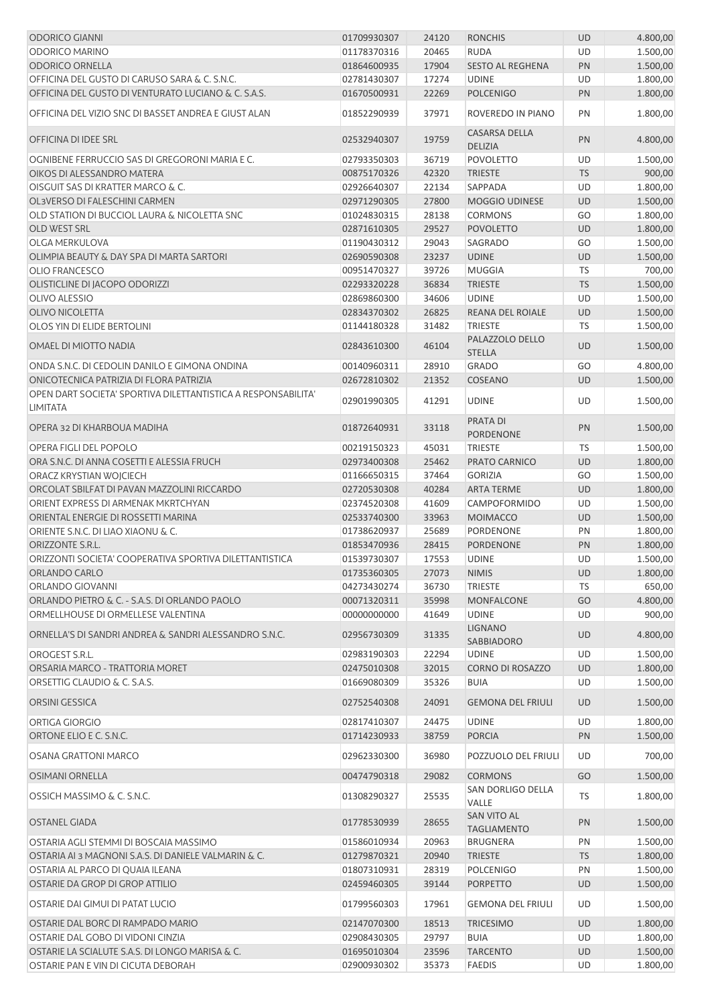| <b>ODORICO GIANNI</b>                                                     | 01709930307 | 24120 | <b>RONCHIS</b>                           | UD        | 4.800,00 |
|---------------------------------------------------------------------------|-------------|-------|------------------------------------------|-----------|----------|
| <b>ODORICO MARINO</b>                                                     | 01178370316 | 20465 | <b>RUDA</b>                              | UD        | 1.500,00 |
| <b>ODORICO ORNELLA</b>                                                    | 01864600935 | 17904 | SESTO AL REGHENA                         | PN        | 1.500,00 |
| OFFICINA DEL GUSTO DI CARUSO SARA & C. S.N.C.                             | 02781430307 | 17274 | <b>UDINE</b>                             | UD        | 1.800,00 |
| OFFICINA DEL GUSTO DI VENTURATO LUCIANO & C. S.A.S.                       | 01670500931 | 22269 | <b>POLCENIGO</b>                         | PN        | 1.800,00 |
| OFFICINA DEL VIZIO SNC DI BASSET ANDREA E GIUST ALAN                      | 01852290939 | 37971 | ROVEREDO IN PIANO                        | PN        | 1.800,00 |
| OFFICINA DI IDEE SRL                                                      | 02532940307 | 19759 | CASARSA DELLA                            | PN        | 4.800,00 |
|                                                                           |             |       | <b>DELIZIA</b>                           |           |          |
| OGNIBENE FERRUCCIO SAS DI GREGORONI MARIA E C.                            | 02793350303 | 36719 | <b>POVOLETTO</b>                         | UD        | 1.500,00 |
| OIKOS DI ALESSANDRO MATERA                                                | 00875170326 | 42320 | <b>TRIESTE</b>                           | <b>TS</b> | 900,00   |
| OISGUIT SAS DI KRATTER MARCO & C.                                         | 02926640307 | 22134 | SAPPADA                                  | UD        | 1.800,00 |
| OL3VERSO DI FALESCHINI CARMEN                                             | 02971290305 | 27800 | <b>MOGGIO UDINESE</b>                    | <b>UD</b> | 1.500,00 |
| OLD STATION DI BUCCIOL LAURA & NICOLETTA SNC                              | 01024830315 | 28138 | <b>CORMONS</b>                           | GO        | 1.800,00 |
| <b>OLD WEST SRL</b>                                                       | 02871610305 | 29527 | <b>POVOLETTO</b>                         | <b>UD</b> | 1.800,00 |
| OLGA MERKULOVA                                                            | 01190430312 | 29043 | <b>SAGRADO</b>                           | GO        | 1.500,00 |
| OLIMPIA BEAUTY & DAY SPA DI MARTA SARTORI                                 | 02690590308 | 23237 | <b>UDINE</b>                             | <b>UD</b> | 1.500,00 |
| <b>OLIO FRANCESCO</b>                                                     | 00951470327 | 39726 | <b>MUGGIA</b>                            | <b>TS</b> | 700,00   |
| OLISTICLINE DI JACOPO ODORIZZI                                            | 02293320228 | 36834 | <b>TRIESTE</b>                           | <b>TS</b> | 1.500,00 |
| OLIVO ALESSIO                                                             | 02869860300 | 34606 | <b>UDINE</b>                             | UD        | 1.500,00 |
| <b>OLIVO NICOLETTA</b>                                                    | 02834370302 | 26825 | REANA DEL ROIALE                         | <b>UD</b> | 1.500,00 |
| OLOS YIN DI ELIDE BERTOLINI                                               | 01144180328 | 31482 | <b>TRIESTE</b>                           | TS        | 1.500,00 |
| OMAEL DI MIOTTO NADIA                                                     | 02843610300 | 46104 | PALAZZOLO DELLO<br><b>STELLA</b>         | UD        | 1.500,00 |
| ONDA S.N.C. DI CEDOLIN DANILO E GIMONA ONDINA                             | 00140960311 | 28910 | <b>GRADO</b>                             | GO        | 4.800,00 |
| ONICOTECNICA PATRIZIA DI FLORA PATRIZIA                                   | 02672810302 | 21352 | COSEANO                                  | <b>UD</b> | 1.500,00 |
| OPEN DART SOCIETA' SPORTIVA DILETTANTISTICA A RESPONSABILITA'<br>LIMITATA | 02901990305 | 41291 | <b>UDINE</b>                             | <b>UD</b> | 1.500,00 |
| OPERA 32 DI KHARBOUA MADIHA                                               | 01872640931 | 33118 | <b>PRATA DI</b><br>PORDENONE             | PN        | 1.500,00 |
| OPERA FIGLI DEL POPOLO                                                    | 00219150323 | 45031 | <b>TRIESTE</b>                           | TS        | 1.500,00 |
| ORA S.N.C. DI ANNA COSETTI E ALESSIA FRUCH                                | 02973400308 | 25462 | PRATO CARNICO                            | <b>UD</b> | 1.800,00 |
| ORACZ KRYSTIAN WOJCIECH                                                   | 01166650315 | 37464 | <b>GORIZIA</b>                           | GO        | 1.500,00 |
| ORCOLAT SBILFAT DI PAVAN MAZZOLINI RICCARDO                               | 02720530308 | 40284 | <b>ARTA TERME</b>                        | UD        | 1.800,00 |
| ORIENT EXPRESS DI ARMENAK MKRTCHYAN                                       | 02374520308 | 41609 | CAMPOFORMIDO                             | UD        | 1.500,00 |
| ORIENTAL ENERGIE DI ROSSETTI MARINA                                       | 02533740300 | 33963 | <b>MOIMACCO</b>                          | UD        | 1.500,00 |
| ORIENTE S.N.C. DI LIAO XIAONU & C.                                        | 01738620937 | 25689 | <b>PORDENONE</b>                         | PN        | 1.800,00 |
| ORIZZONTE S.R.L.                                                          | 01853470936 | 28415 | PORDENONE                                | PN        | 1.800,00 |
| ORIZZONTI SOCIETA' COOPERATIVA SPORTIVA DILETTANTISTICA                   | 01539730307 | 17553 | <b>UDINE</b>                             | UD        | 1.500,00 |
| ORLANDO CARLO                                                             | 01735360305 | 27073 | <b>NIMIS</b>                             | <b>UD</b> | 1.800,00 |
| ORLANDO GIOVANNI                                                          | 04273430274 | 36730 | <b>TRIESTE</b>                           | TS        | 650,00   |
| ORLANDO PIETRO & C. - S.A.S. DI ORLANDO PAOLO                             | 00071320311 | 35998 | <b>MONFALCONE</b>                        | GO        | 4.800,00 |
| ORMELLHOUSE DI ORMELLESE VALENTINA                                        | 00000000000 | 41649 | <b>UDINE</b>                             | UD        | 900,00   |
| ORNELLA'S DI SANDRI ANDREA & SANDRI ALESSANDRO S.N.C.                     | 02956730309 | 31335 | <b>LIGNANO</b><br>SABBIADORO             | <b>UD</b> | 4.800,00 |
| OROGEST S.R.L.                                                            | 02983190303 | 22294 | <b>UDINE</b>                             | UD        | 1.500,00 |
| ORSARIA MARCO - TRATTORIA MORET                                           | 02475010308 | 32015 | <b>CORNO DI ROSAZZO</b>                  | UD        | 1.800,00 |
| ORSETTIG CLAUDIO & C. S.A.S.                                              | 01669080309 | 35326 | <b>BUIA</b>                              | UD        | 1.500,00 |
| ORSINI GESSICA                                                            | 02752540308 | 24091 | <b>GEMONA DEL FRIULI</b>                 | <b>UD</b> | 1.500,00 |
| ORTIGA GIORGIO                                                            | 02817410307 | 24475 | <b>UDINE</b>                             | UD        | 1.800,00 |
| ORTONE ELIO E C. S.N.C.                                                   | 01714230933 | 38759 | <b>PORCIA</b>                            | PN        | 1.500,00 |
| OSANA GRATTONI MARCO                                                      | 02962330300 | 36980 | POZZUOLO DEL FRIULI                      | UD        | 700,00   |
| <b>OSIMANI ORNELLA</b>                                                    | 00474790318 | 29082 | <b>CORMONS</b>                           | GO        | 1.500,00 |
| OSSICH MASSIMO & C. S.N.C.                                                | 01308290327 | 25535 | SAN DORLIGO DELLA<br>VALLE               | TS        | 1.800,00 |
| OSTANEL GIADA                                                             | 01778530939 | 28655 | <b>SAN VITO AL</b><br><b>TAGLIAMENTO</b> | PN        | 1.500,00 |
| OSTARIA AGLI STEMMI DI BOSCAIA MASSIMO                                    | 01586010934 | 20963 | <b>BRUGNERA</b>                          | PN        | 1.500,00 |
| OSTARIA AI 3 MAGNONI S.A.S. DI DANIELE VALMARIN & C.                      | 01279870321 | 20940 | <b>TRIESTE</b>                           | <b>TS</b> | 1.800,00 |
| OSTARIA AL PARCO DI QUAIA ILEANA                                          | 01807310931 | 28319 | <b>POLCENIGO</b>                         | PN        | 1.500,00 |
| OSTARIE DA GROP DI GROP ATTILIO                                           | 02459460305 | 39144 | <b>PORPETTO</b>                          | <b>UD</b> | 1.500,00 |
| OSTARIE DAI GIMUI DI PATAT LUCIO                                          | 01799560303 | 17961 | <b>GEMONA DEL FRIULI</b>                 | UD        | 1.500,00 |
| OSTARIE DAL BORC DI RAMPADO MARIO                                         | 02147070300 | 18513 | <b>TRICESIMO</b>                         | UD        | 1.800,00 |
| OSTARIE DAL GOBO DI VIDONI CINZIA                                         | 02908430305 | 29797 | <b>BUIA</b>                              | UD        | 1.800,00 |
| OSTARIE LA SCIALUTE S.A.S. DI LONGO MARISA & C.                           | 01695010304 | 23596 | <b>TARCENTO</b>                          | UD        | 1.500,00 |
| OSTARIE PAN E VIN DI CICUTA DEBORAH                                       | 02900930302 | 35373 | <b>FAEDIS</b>                            | UD        | 1.800,00 |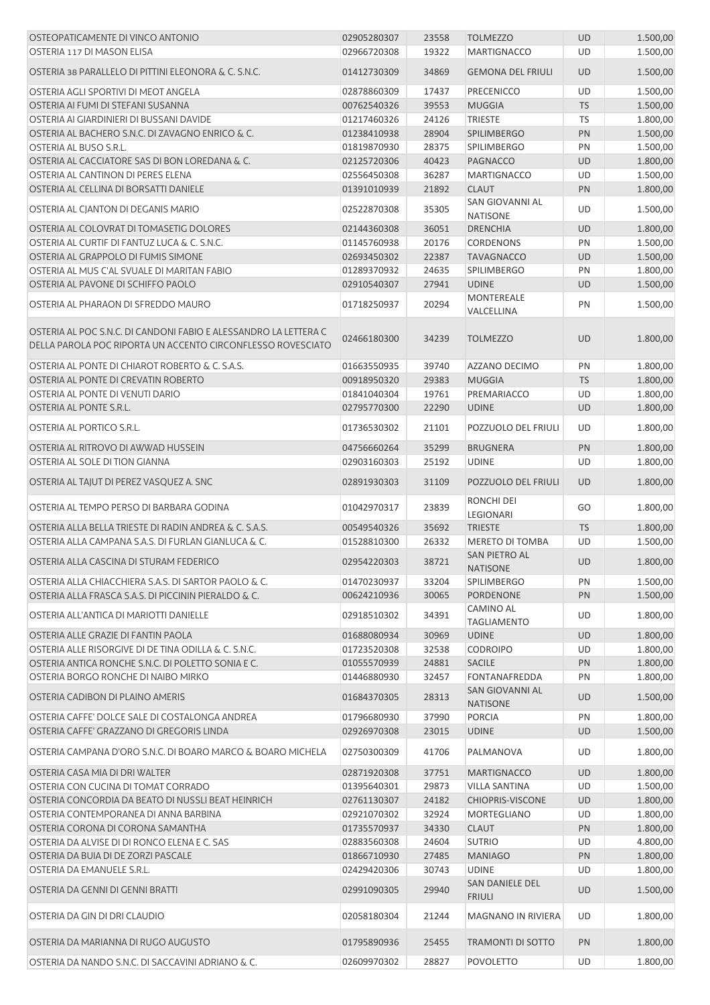| OSTEOPATICAMENTE DI VINCO ANTONIO                                                                                               | 02905280307                | 23558          | <b>TOLMEZZO</b>                           | <b>UD</b>       | 1.500,00             |
|---------------------------------------------------------------------------------------------------------------------------------|----------------------------|----------------|-------------------------------------------|-----------------|----------------------|
| OSTERIA 117 DI MASON ELISA                                                                                                      | 02966720308                | 19322          | <b>MARTIGNACCO</b>                        | UD              | 1.500,00             |
| OSTERIA 38 PARALLELO DI PITTINI ELEONORA & C. S.N.C.                                                                            | 01412730309                | 34869          | <b>GEMONA DEL FRIULI</b>                  | <b>UD</b>       | 1.500,00             |
| OSTERIA AGLI SPORTIVI DI MEOT ANGELA                                                                                            | 02878860309                | 17437          | <b>PRECENICCO</b>                         | UD              | 1.500,00             |
| OSTERIA AI FUMI DI STEFANI SUSANNA                                                                                              | 00762540326                | 39553          | <b>MUGGIA</b>                             | <b>TS</b>       | 1.500,00             |
| OSTERIA AI GIARDINIERI DI BUSSANI DAVIDE                                                                                        | 01217460326                | 24126          | <b>TRIESTE</b>                            | <b>TS</b>       | 1.800,00             |
| OSTERIA AL BACHERO S.N.C. DI ZAVAGNO ENRICO & C.                                                                                | 01238410938                | 28904          | <b>SPILIMBERGO</b>                        | PN              | 1.500,00             |
| OSTERIA AL BUSO S.R.L.                                                                                                          | 01819870930                | 28375          | <b>SPILIMBERGO</b>                        | PN              | 1.500,00             |
| OSTERIA AL CACCIATORE SAS DI BON LOREDANA & C.                                                                                  | 02125720306                | 40423          | PAGNACCO                                  | <b>UD</b>       | 1.800,00             |
| OSTERIA AL CANTINON DI PERES ELENA                                                                                              | 02556450308                | 36287          | <b>MARTIGNACCO</b>                        | UD              | 1.500,00             |
| OSTERIA AL CELLINA DI BORSATTI DANIELE                                                                                          | 01391010939                | 21892          | <b>CLAUT</b>                              | PN              | 1.800,00             |
| OSTERIA AL CJANTON DI DEGANIS MARIO                                                                                             | 02522870308                | 35305          | SAN GIOVANNI AL<br><b>NATISONE</b>        | UD              | 1.500,00             |
| OSTERIA AL COLOVRAT DI TOMASETIG DOLORES                                                                                        | 02144360308                | 36051          | <b>DRENCHIA</b>                           | <b>UD</b>       | 1.800,00             |
| OSTERIA AL CURTIF DI FANTUZ LUCA & C. S.N.C.                                                                                    | 01145760938                | 20176          | <b>CORDENONS</b>                          | PN              | 1.500,00             |
| OSTERIA AL GRAPPOLO DI FUMIS SIMONE                                                                                             | 02693450302                | 22387          | <b>TAVAGNACCO</b>                         | <b>UD</b>       | 1.500,00             |
| OSTERIA AL MUS C'AL SVUALE DI MARITAN FABIO                                                                                     | 01289370932                | 24635          | <b>SPILIMBERGO</b>                        | PN              | 1.800,00             |
| OSTERIA AL PAVONE DI SCHIFFO PAOLO                                                                                              | 02910540307                | 27941          | <b>UDINE</b>                              | <b>UD</b>       | 1.500,00             |
|                                                                                                                                 |                            |                | MONTEREALE                                |                 |                      |
| OSTERIA AL PHARAON DI SFREDDO MAURO                                                                                             | 01718250937                | 20294          | VALCELLINA                                | PN              | 1.500,00             |
| OSTERIA AL POC S.N.C. DI CANDONI FABIO E ALESSANDRO LA LETTERA C<br>DELLA PAROLA POC RIPORTA UN ACCENTO CIRCONFLESSO ROVESCIATO | 02466180300                | 34239          | <b>TOLMEZZO</b>                           | <b>UD</b>       | 1.800,00             |
| OSTERIA AL PONTE DI CHIAROT ROBERTO & C. S.A.S.                                                                                 | 01663550935                | 39740          | AZZANO DECIMO                             | PN              | 1.800,00             |
| OSTERIA AL PONTE DI CREVATIN ROBERTO                                                                                            | 00918950320                | 29383          | <b>MUGGIA</b>                             | <b>TS</b>       | 1.800,00             |
| OSTERIA AL PONTE DI VENUTI DARIO                                                                                                | 01841040304                | 19761          | PREMARIACCO                               | UD              | 1.800,00             |
| OSTERIA AL PONTE S.R.L.                                                                                                         | 02795770300                | 22290          | <b>UDINE</b>                              | <b>UD</b>       | 1.800,00             |
| OSTERIA AL PORTICO S.R.L.                                                                                                       | 01736530302                | 21101          | POZZUOLO DEL FRIULI                       | UD              | 1.800,00             |
| OSTERIA AL RITROVO DI AWWAD HUSSEIN                                                                                             | 04756660264                | 35299          | <b>BRUGNERA</b>                           | PN              | 1.800,00             |
| OSTERIA AL SOLE DI TION GIANNA                                                                                                  | 02903160303                | 25192          | <b>UDINE</b>                              | UD              | 1.800,00             |
| OSTERIA AL TAJUT DI PEREZ VASQUEZ A. SNC                                                                                        | 02891930303                | 31109          | POZZUOLO DEL FRIULI                       | <b>UD</b>       | 1.800,00             |
| OSTERIA AL TEMPO PERSO DI BARBARA GODINA                                                                                        | 01042970317                | 23839          | RONCHI DEI<br>LEGIONARI                   | GO              | 1.800,00             |
| OSTERIA ALLA BELLA TRIESTE DI RADIN ANDREA & C. S.A.S.                                                                          | 00549540326                | 35692          | <b>TRIESTE</b>                            | <b>TS</b>       | 1.800,00             |
| OSTERIA ALLA CAMPANA S.A.S. DI FURLAN GIANLUCA & C.                                                                             | 01528810300                | 26332          | <b>MERETO DI TOMBA</b>                    | UD              | 1.500,00             |
| OSTERIA ALLA CASCINA DI STURAM FEDERICO                                                                                         | 02954220303                | 38721          | SAN PIETRO AL                             | <b>UD</b>       | 1.800,00             |
| OSTERIA ALLA CHIACCHIERA S.A.S. DI SARTOR PAOLO & C.                                                                            | 01470230937                |                | <b>NATISONE</b><br><b>SPILIMBERGO</b>     | PN              | 1.500,00             |
|                                                                                                                                 |                            | 33204          |                                           |                 |                      |
| OSTERIA ALLA FRASCA S.A.S. DI PICCININ PIERALDO & C.<br>OSTERIA ALL'ANTICA DI MARIOTTI DANIELLE                                 | 00624210936<br>02918510302 | 30065<br>34391 | <b>PORDENONE</b><br><b>CAMINO AL</b>      | PN<br><b>UD</b> | 1.500,00<br>1.800,00 |
|                                                                                                                                 |                            |                | <b>TAGLIAMENTO</b>                        |                 |                      |
| OSTERIA ALLE GRAZIE DI FANTIN PAOLA                                                                                             | 01688080934                | 30969          | <b>UDINE</b>                              | <b>UD</b>       | 1.800,00             |
| OSTERIA ALLE RISORGIVE DI DE TINA ODILLA & C. S.N.C.                                                                            | 01723520308                | 32538          | <b>CODROIPO</b>                           | UD              | 1.800,00             |
| OSTERIA ANTICA RONCHE S.N.C. DI POLETTO SONIA E C.                                                                              | 01055570939                | 24881          | <b>SACILE</b>                             | PN              | 1.800,00             |
| OSTERIA BORGO RONCHE DI NAIBO MIRKO                                                                                             | 01446880930                | 32457          | FONTANAFREDDA                             | PN              | 1.800,00             |
| OSTERIA CADIBON DI PLAINO AMERIS                                                                                                | 01684370305                | 28313          | <b>SAN GIOVANNI AL</b><br><b>NATISONE</b> | UD              | 1.500,00             |
| OSTERIA CAFFE' DOLCE SALE DI COSTALONGA ANDREA                                                                                  | 01796680930                | 37990          | <b>PORCIA</b>                             | PN              | 1.800,00             |
| OSTERIA CAFFE' GRAZZANO DI GREGORIS LINDA                                                                                       | 02926970308                | 23015          | <b>UDINE</b>                              | <b>UD</b>       | 1.500,00             |
| OSTERIA CAMPANA D'ORO S.N.C. DI BOARO MARCO & BOARO MICHELA                                                                     | 02750300309                | 41706          | PALMANOVA                                 | UD              | 1.800,00             |
| OSTERIA CASA MIA DI DRI WALTER                                                                                                  | 02871920308                | 37751          | <b>MARTIGNACCO</b>                        | UD              | 1.800,00             |
| OSTERIA CON CUCINA DI TOMAT CORRADO                                                                                             | 01395640301                | 29873          | <b>VILLA SANTINA</b>                      | UD              | 1.500,00             |
| OSTERIA CONCORDIA DA BEATO DI NUSSLI BEAT HEINRICH                                                                              | 02761130307                | 24182          | <b>CHIOPRIS-VISCONE</b>                   | <b>UD</b>       | 1.800,00             |
| OSTERIA CONTEMPORANEA DI ANNA BARBINA                                                                                           | 02921070302                | 32924          | <b>MORTEGLIANO</b>                        | UD              | 1.800,00             |
|                                                                                                                                 |                            |                |                                           |                 |                      |
| OSTERIA CORONA DI CORONA SAMANTHA                                                                                               | 01735570937                | 34330          | <b>CLAUT</b>                              | PN              | 1.800,00             |
| OSTERIA DA ALVISE DI DI RONCO ELENA E C. SAS                                                                                    | 02883560308                | 24604          | <b>SUTRIO</b>                             | UD              | 4.800,00             |
| OSTERIA DA BUIA DI DE ZORZI PASCALE                                                                                             | 01866710930                | 27485          | <b>MANIAGO</b>                            | PN              | 1.800,00             |
| OSTERIA DA EMANUELE S.R.L.                                                                                                      | 02429420306                | 30743          | <b>UDINE</b>                              | UD              | 1.800,00             |
| OSTERIA DA GENNI DI GENNI BRATTI                                                                                                | 02991090305                | 29940          | SAN DANIELE DEL<br><b>FRIULI</b>          | UD              | 1.500,00             |
| OSTERIA DA GIN DI DRI CLAUDIO                                                                                                   | 02058180304                | 21244          | MAGNANO IN RIVIERA                        | UD              | 1.800,00             |
| OSTERIA DA MARIANNA DI RUGO AUGUSTO                                                                                             | 01795890936                | 25455          | <b>TRAMONTI DI SOTTO</b>                  | PN              | 1.800,00             |
| OSTERIA DA NANDO S.N.C. DI SACCAVINI ADRIANO & C.                                                                               | 02609970302                | 28827          | <b>POVOLETTO</b>                          | UD              | 1.800,00             |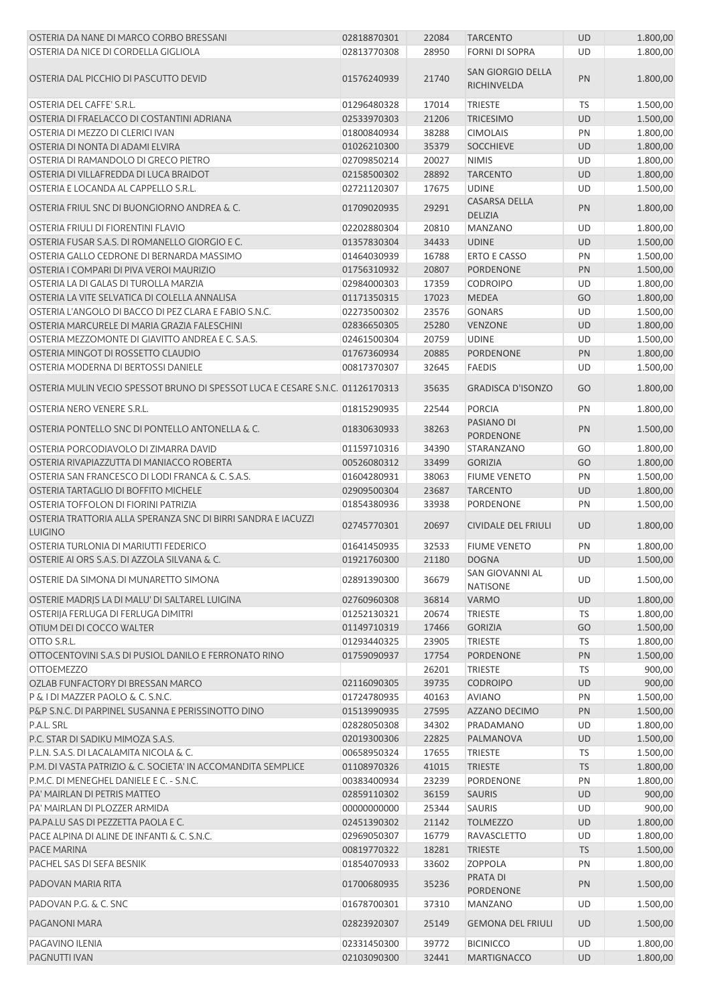| OSTERIA DA NANE DI MARCO CORBO BRESSANI                                         | 02818870301                | 22084          | <b>TARCENTO</b>                         | <b>UD</b>       | 1.800,00             |
|---------------------------------------------------------------------------------|----------------------------|----------------|-----------------------------------------|-----------------|----------------------|
| OSTERIA DA NICE DI CORDELLA GIGLIOLA                                            | 02813770308                | 28950          | <b>FORNI DI SOPRA</b>                   | UD              | 1.800,00             |
| OSTERIA DAL PICCHIO DI PASCUTTO DEVID                                           | 01576240939                | 21740          | <b>SAN GIORGIO DELLA</b><br>RICHINVELDA | PN              | 1.800,00             |
|                                                                                 |                            |                |                                         |                 |                      |
| OSTERIA DEL CAFFE' S.R.L.<br>OSTERIA DI FRAELACCO DI COSTANTINI ADRIANA         | 01296480328                | 17014<br>21206 | <b>TRIESTE</b>                          | <b>TS</b>       | 1.500,00<br>1.500,00 |
| OSTERIA DI MEZZO DI CLERICI IVAN                                                | 02533970303                | 38288          | <b>TRICESIMO</b>                        | <b>UD</b><br>PN |                      |
|                                                                                 | 01800840934                |                | <b>CIMOLAIS</b>                         |                 | 1.800,00             |
| OSTERIA DI NONTA DI ADAMI ELVIRA                                                | 01026210300                | 35379          | <b>SOCCHIEVE</b>                        | UD              | 1.800,00             |
| OSTERIA DI RAMANDOLO DI GRECO PIETRO                                            | 02709850214                | 20027          | <b>NIMIS</b>                            | UD              | 1.800,00             |
| OSTERIA DI VILLAFREDDA DI LUCA BRAIDOT                                          | 02158500302                | 28892          | <b>TARCENTO</b>                         | <b>UD</b>       | 1.800,00             |
| OSTERIA E LOCANDA AL CAPPELLO S.R.L.                                            | 02721120307                | 17675          | <b>UDINE</b>                            | UD              | 1.500,00             |
| OSTERIA FRIUL SNC DI BUONGIORNO ANDREA & C.                                     | 01709020935                | 29291          | <b>CASARSA DELLA</b><br><b>DELIZIA</b>  | PN              | 1.800,00             |
| OSTERIA FRIULI DI FIORENTINI FLAVIO                                             | 02202880304                | 20810          | <b>MANZANO</b>                          | UD              | 1.800,00             |
| OSTERIA FUSAR S.A.S. DI ROMANELLO GIORGIO E C.                                  | 01357830304                | 34433          | <b>UDINE</b>                            | UD              | 1.500,00             |
| OSTERIA GALLO CEDRONE DI BERNARDA MASSIMO                                       | 01464030939                | 16788          | <b>ERTO E CASSO</b>                     | PN              | 1.500,00             |
| OSTERIA I COMPARI DI PIVA VEROI MAURIZIO                                        | 01756310932                | 20807          | PORDENONE                               | PN              | 1.500,00             |
| OSTERIA LA DI GALAS DI TUROLLA MARZIA                                           | 02984000303                | 17359          | <b>CODROIPO</b>                         | UD              | 1.800,00             |
| OSTERIA LA VITE SELVATICA DI COLELLA ANNALISA                                   | 01171350315                | 17023          | <b>MEDEA</b>                            | GO              | 1.800,00             |
| OSTERIA L'ANGOLO DI BACCO DI PEZ CLARA E FABIO S.N.C.                           | 02273500302                | 23576          | <b>GONARS</b>                           | UD              | 1.500,00             |
| OSTERIA MARCURELE DI MARIA GRAZIA FALESCHINI                                    | 02836650305                | 25280          | <b>VENZONE</b>                          | UD              | 1.800,00             |
| OSTERIA MEZZOMONTE DI GIAVITTO ANDREA E C. S.A.S.                               | 02461500304                | 20759          | <b>UDINE</b>                            | UD              | 1.500,00             |
| OSTERIA MINGOT DI ROSSETTO CLAUDIO                                              | 01767360934                | 20885          | <b>PORDENONE</b>                        | PN              | 1.800,00             |
| OSTERIA MODERNA DI BERTOSSI DANIELE                                             | 00817370307                | 32645          | <b>FAEDIS</b>                           | UD              | 1.500,00             |
| OSTERIA MULIN VECIO SPESSOT BRUNO DI SPESSOT LUCA E CESARE S.N.C. 01126170313   |                            | 35635          | <b>GRADISCA D'ISONZO</b>                | GO              | 1.800,00             |
| OSTERIA NERO VENERE S.R.L.                                                      | 01815290935                | 22544          | <b>PORCIA</b>                           | PN              | 1.800,00             |
| OSTERIA PONTELLO SNC DI PONTELLO ANTONELLA & C.                                 | 01830630933                | 38263          | PASIANO DI<br><b>PORDENONE</b>          | PN              | 1.500,00             |
| OSTERIA PORCODIAVOLO DI ZIMARRA DAVID                                           | 01159710316                | 34390          | STARANZANO                              | GO              | 1.800,00             |
| OSTERIA RIVAPIAZZUTTA DI MANIACCO ROBERTA                                       | 00526080312                | 33499          | <b>GORIZIA</b>                          | GO              | 1.800,00             |
| OSTERIA SAN FRANCESCO DI LODI FRANCA & C. S.A.S.                                | 01604280931                | 38063          | <b>FIUME VENETO</b>                     | PN              | 1.500,00             |
| OSTERIA TARTAGLIO DI BOFFITO MICHELE                                            | 02909500304                | 23687          | <b>TARCENTO</b>                         | UD              | 1.800,00             |
| OSTERIA TOFFOLON DI FIORINI PATRIZIA                                            | 01854380936                | 33938          | PORDENONE                               | PN              | 1.500,00             |
| OSTERIA TRATTORIA ALLA SPERANZA SNC DI BIRRI SANDRA E IACUZZI<br><b>LUIGINO</b> | 02745770301                | 20697          | <b>CIVIDALE DEL FRIULI</b>              | <b>UD</b>       | 1.800,00             |
| OSTERIA TURLONIA DI MARIUTTI FEDERICO                                           | 01641450935                | 32533          | <b>FIUME VENETO</b>                     | PN              | 1.800,00             |
| OSTERIE AI ORS S.A.S. DI AZZOLA SILVANA & C.                                    | 01921760300                | 21180          | <b>DOGNA</b>                            | <b>UD</b>       | 1.500,00             |
|                                                                                 |                            |                | SAN GIOVANNI AL                         |                 |                      |
| OSTERIE DA SIMONA DI MUNARETTO SIMONA                                           | 02891390300<br>02760960308 | 36679          | <b>NATISONE</b>                         | UD<br><b>UD</b> | 1.500,00<br>1.800,00 |
| OSTERIE MADRIS LA DI MALU' DI SALTAREL LUIGINA                                  |                            | 36814          | <b>VARMO</b>                            |                 |                      |
| OSTERIJA FERLUGA DI FERLUGA DIMITRI                                             | 01252130321                | 20674          | <b>TRIESTE</b>                          | <b>TS</b>       | 1.800,00             |
| OTIUM DEI DI COCCO WALTER                                                       | 01149710319                | 17466          | <b>GORIZIA</b>                          | GO              | 1.500,00             |
| OTTO S.R.L.                                                                     | 01293440325                | 23905          | <b>TRIESTE</b>                          | TS              | 1.800,00             |
| OTTOCENTOVINI S.A.S DI PUSIOL DANILO E FERRONATO RINO                           | 01759090937                | 17754          | <b>PORDENONE</b>                        | PN              | 1.500,00             |
| <b>OTTOEMEZZO</b>                                                               |                            | 26201          | <b>TRIESTE</b>                          | <b>TS</b>       | 900,00               |
| OZLAB FUNFACTORY DI BRESSAN MARCO                                               | 02116090305                | 39735          | <b>CODROIPO</b>                         | UD              | 900,00               |
| P & I DI MAZZER PAOLO & C. S.N.C.                                               | 01724780935                | 40163          | <b>AVIANO</b>                           | PN              | 1.500,00             |
| P&P S.N.C. DI PARPINEL SUSANNA E PERISSINOTTO DINO                              | 01513990935                | 27595          | AZZANO DECIMO                           | PN              | 1.500,00             |
| P.A.L. SRL                                                                      | 02828050308                | 34302          | PRADAMANO                               | UD              | 1.800,00             |
| P.C. STAR DI SADIKU MIMOZA S.A.S.                                               | 02019300306                | 22825          | PALMANOVA                               | UD              | 1.500,00             |
| P.L.N. S.A.S. DI LACALAMITA NICOLA & C.                                         | 00658950324                | 17655          | <b>TRIESTE</b>                          | TS              | 1.500,00             |
| P.M. DI VASTA PATRIZIO & C. SOCIETA' IN ACCOMANDITA SEMPLICE                    | 01108970326                | 41015          | <b>TRIESTE</b>                          | <b>TS</b>       | 1.800,00             |
| P.M.C. DI MENEGHEL DANIELE E C. - S.N.C.                                        | 00383400934                | 23239          | PORDENONE                               | PN              | 1.800,00             |
| PA' MAIRLAN DI PETRIS MATTEO                                                    | 02859110302                | 36159          | <b>SAURIS</b>                           | <b>UD</b>       | 900,00               |
| PA' MAIRLAN DI PLOZZER ARMIDA                                                   | 00000000000                | 25344          | <b>SAURIS</b>                           | UD              | 900,00               |
| PA.PA.LU SAS DI PEZZETTA PAOLA E C.                                             | 02451390302                | 21142          | <b>TOLMEZZO</b>                         | <b>UD</b>       | 1.800,00             |
| PACE ALPINA DI ALINE DE INFANTI & C. S.N.C.                                     | 02969050307                | 16779          | RAVASCLETTO                             | UD              | 1.800,00             |
| PACE MARINA                                                                     | 00819770322                | 18281          | <b>TRIESTE</b>                          | <b>TS</b>       | 1.500,00             |
| PACHEL SAS DI SEFA BESNIK                                                       | 01854070933                | 33602          | <b>ZOPPOLA</b>                          | PN              | 1.800,00             |
| PADOVAN MARIA RITA                                                              | 01700680935                | 35236          | PRATA DI                                | PN              | 1.500,00             |
|                                                                                 | 01678700301                | 37310          | PORDENONE<br><b>MANZANO</b>             | UD              | 1.500,00             |
| PADOVAN P.G. & C. SNC<br>PAGANONI MARA                                          | 02823920307                | 25149          | <b>GEMONA DEL FRIULI</b>                | <b>UD</b>       | 1.500,00             |
| PAGAVINO ILENIA                                                                 |                            |                |                                         |                 | 1.800,00             |
|                                                                                 | 02331450300                | 39772          | <b>BICINICCO</b>                        | UD              |                      |
| PAGNUTTI IVAN                                                                   | 02103090300                | 32441          | <b>MARTIGNACCO</b>                      | <b>UD</b>       | 1.800,00             |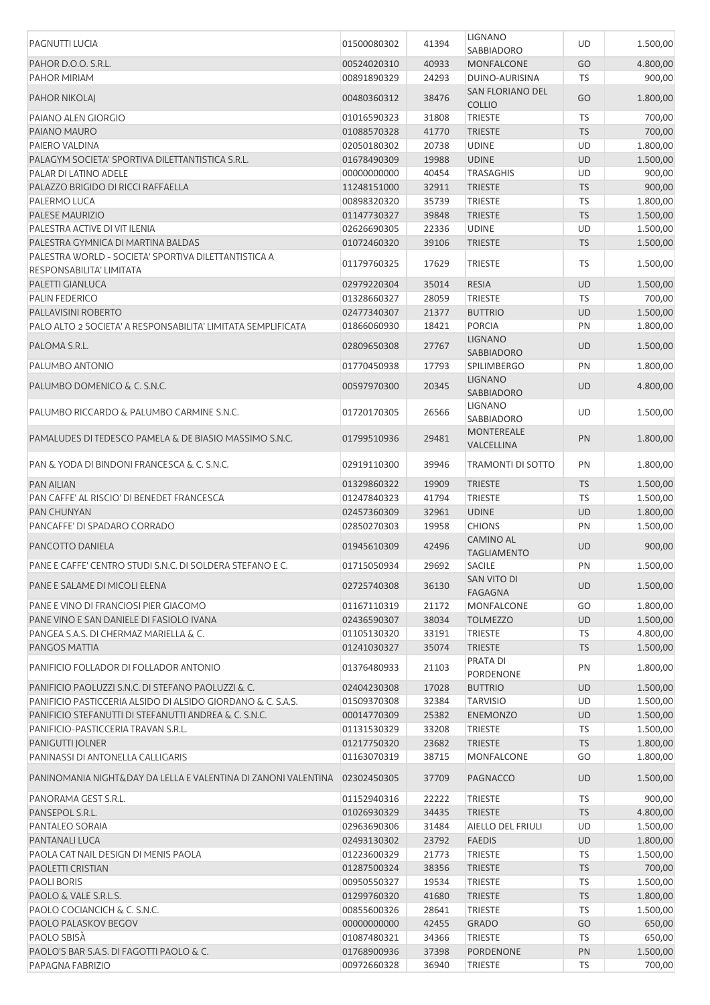| PAGNUTTI LUCIA                                                                          | 01500080302 | 41394 | <b>LIGNANO</b>                    | UD        | 1.500,00 |
|-----------------------------------------------------------------------------------------|-------------|-------|-----------------------------------|-----------|----------|
|                                                                                         |             |       | SABBIADORO                        |           |          |
| PAHOR D.O.O. S.R.L.                                                                     | 00524020310 | 40933 | <b>MONFALCONE</b>                 | GO        | 4.800,00 |
| PAHOR MIRIAM                                                                            | 00891890329 | 24293 | DUINO-AURISINA                    | TS        | 900,00   |
| <b>PAHOR NIKOLAJ</b>                                                                    | 00480360312 | 38476 | SAN FLORIANO DEL<br><b>COLLIO</b> | GO        | 1.800,00 |
| PAIANO ALEN GIORGIO                                                                     | 01016590323 | 31808 | <b>TRIESTE</b>                    | TS        | 700,00   |
|                                                                                         |             |       |                                   |           |          |
| PAIANO MAURO                                                                            | 01088570328 | 41770 | <b>TRIESTE</b>                    | <b>TS</b> | 700,00   |
| PAIERO VALDINA                                                                          | 02050180302 | 20738 | <b>UDINE</b>                      | UD        | 1.800,00 |
| PALAGYM SOCIETA' SPORTIVA DILETTANTISTICA S.R.L.                                        | 01678490309 | 19988 | <b>UDINE</b>                      | UD        | 1.500,00 |
| PALAR DI LATINO ADELE                                                                   | 00000000000 | 40454 | <b>TRASAGHIS</b>                  | UD        | 900,00   |
| PALAZZO BRIGIDO DI RICCI RAFFAELLA                                                      | 11248151000 | 32911 | <b>TRIESTE</b>                    | <b>TS</b> | 900,00   |
| PALERMO LUCA                                                                            | 00898320320 | 35739 | <b>TRIESTE</b>                    | TS        | 1.800,00 |
| PALESE MAURIZIO                                                                         | 01147730327 | 39848 | <b>TRIESTE</b>                    | <b>TS</b> | 1.500,00 |
| PALESTRA ACTIVE DI VIT ILENIA                                                           | 02626690305 | 22336 | <b>UDINE</b>                      | UD        | 1.500,00 |
|                                                                                         |             |       |                                   |           |          |
| PALESTRA GYMNICA DI MARTINA BALDAS                                                      | 01072460320 | 39106 | <b>TRIESTE</b>                    | <b>TS</b> | 1.500,00 |
| PALESTRA WORLD - SOCIETA' SPORTIVA DILETTANTISTICA A<br><b>RESPONSABILITA' LIMITATA</b> | 01179760325 | 17629 | <b>TRIESTE</b>                    | TS        | 1.500,00 |
| PALETTI GIANLUCA                                                                        | 02979220304 | 35014 | <b>RESIA</b>                      | UD        | 1.500,00 |
|                                                                                         |             |       |                                   |           |          |
| PALIN FEDERICO                                                                          | 01328660327 | 28059 | <b>TRIESTE</b>                    | TS        | 700,00   |
| PALLAVISINI ROBERTO                                                                     | 02477340307 | 21377 | <b>BUTTRIO</b>                    | UD        | 1.500,00 |
| PALO ALTO 2 SOCIETA' A RESPONSABILITA' LIMITATA SEMPLIFICATA                            | 01866060930 | 18421 | <b>PORCIA</b>                     | PN        | 1.800,00 |
| PALOMA S.R.L.                                                                           | 02809650308 | 27767 | <b>LIGNANO</b>                    | UD        | 1.500,00 |
|                                                                                         |             |       | SABBIADORO                        |           |          |
| PALUMBO ANTONIO                                                                         | 01770450938 | 17793 | <b>SPILIMBERGO</b>                | PN        | 1.800,00 |
|                                                                                         |             |       | <b>LIGNANO</b>                    |           |          |
| PALUMBO DOMENICO & C. S.N.C.                                                            | 00597970300 | 20345 | SABBIADORO                        | <b>UD</b> | 4.800,00 |
|                                                                                         |             |       | <b>LIGNANO</b>                    |           |          |
| PALUMBO RICCARDO & PALUMBO CARMINE S.N.C.                                               | 01720170305 | 26566 | SABBIADORO                        | UD        | 1.500,00 |
|                                                                                         |             |       | <b>MONTEREALE</b>                 |           |          |
| PAMALUDES DI TEDESCO PAMELA & DE BIASIO MASSIMO S.N.C.                                  | 01799510936 | 29481 | VALCELLINA                        | PN        | 1.800,00 |
|                                                                                         |             |       |                                   |           |          |
| PAN & YODA DI BINDONI FRANCESCA & C. S.N.C.                                             | 02919110300 | 39946 | TRAMONTI DI SOTTO                 | PN        | 1.800,00 |
| <b>PAN AILIAN</b>                                                                       | 01329860322 | 19909 | <b>TRIESTE</b>                    | <b>TS</b> | 1.500,00 |
| PAN CAFFE' AL RISCIO' DI BENEDET FRANCESCA                                              | 01247840323 | 41794 | <b>TRIESTE</b>                    | TS        | 1.500,00 |
|                                                                                         |             |       |                                   |           |          |
| <b>PAN CHUNYAN</b>                                                                      | 02457360309 | 32961 | <b>UDINE</b>                      | <b>UD</b> | 1.800,00 |
| PANCAFFE' DI SPADARO CORRADO                                                            | 02850270303 | 19958 | <b>CHIONS</b>                     | PN        | 1.500,00 |
| PANCOTTO DANIELA                                                                        | 01945610309 | 42496 | <b>CAMINO AL</b>                  | <b>UD</b> | 900,00   |
|                                                                                         |             |       | <b>TAGLIAMENTO</b>                |           |          |
| PANE E CAFFE' CENTRO STUDI S.N.C. DI SOLDERA STEFANO E C.                               | 01715050934 | 29692 | SACILE                            | PN        | 1.500,00 |
| PANE E SALAME DI MICOLI ELENA                                                           | 02725740308 | 36130 | SAN VITO DI                       | <b>UD</b> | 1.500,00 |
|                                                                                         |             |       | <b>FAGAGNA</b>                    |           |          |
| PANE E VINO DI FRANCIOSI PIER GIACOMO                                                   | 01167110319 | 21172 | MONFALCONE                        | GO        | 1.800,00 |
| PANE VINO E SAN DANIELE DI FASIOLO IVANA                                                | 02436590307 | 38034 | <b>TOLMEZZO</b>                   | <b>UD</b> | 1.500,00 |
| PANGEA S.A.S. DI CHERMAZ MARIELLA & C.                                                  | 01105130320 | 33191 | <b>TRIESTE</b>                    | <b>TS</b> | 4.800,00 |
| PANGOS MATTIA                                                                           | 01241030327 | 35074 | <b>TRIESTE</b>                    | <b>TS</b> | 1.500,00 |
|                                                                                         |             |       | PRATA DI                          |           |          |
| PANIFICIO FOLLADOR DI FOLLADOR ANTONIO                                                  | 01376480933 | 21103 |                                   | PN        | 1.800,00 |
|                                                                                         |             |       | PORDENONE                         |           |          |
| PANIFICIO PAOLUZZI S.N.C. DI STEFANO PAOLUZZI & C.                                      | 02404230308 | 17028 | <b>BUTTRIO</b>                    | <b>UD</b> | 1.500,00 |
| PANIFICIO PASTICCERIA ALSIDO DI ALSIDO GIORDANO & C. S.A.S.                             | 01509370308 | 32384 | <b>TARVISIO</b>                   | UD        | 1.500,00 |
| PANIFICIO STEFANUTTI DI STEFANUTTI ANDREA & C. S.N.C.                                   | 00014770309 | 25382 | <b>ENEMONZO</b>                   | UD        | 1.500,00 |
| PANIFICIO-PASTICCERIA TRAVAN S.R.L.                                                     | 01131530329 | 33208 | <b>TRIESTE</b>                    | TS        | 1.500,00 |
| PANIGUTTI JOLNER                                                                        | 01217750320 | 23682 | <b>TRIESTE</b>                    | <b>TS</b> | 1.800,00 |
| PANINASSI DI ANTONELLA CALLIGARIS                                                       | 01163070319 | 38715 | MONFALCONE                        | GO        | 1.800,00 |
|                                                                                         |             |       |                                   |           |          |
| PANINOMANIA NIGHT&DAY DA LELLA E VALENTINA DI ZANONI VALENTINA                          | 02302450305 | 37709 | PAGNACCO                          | UD        | 1.500,00 |
| PANORAMA GEST S.R.L.                                                                    | 01152940316 | 22222 | <b>TRIESTE</b>                    | TS        | 900,00   |
|                                                                                         |             |       |                                   |           |          |
| PANSEPOL S.R.L.                                                                         | 01026930329 | 34435 | <b>TRIESTE</b>                    | <b>TS</b> | 4.800,00 |
| PANTALEO SORAIA                                                                         | 02963690306 | 31484 | AIELLO DEL FRIULI                 | UD        | 1.500,00 |
| PANTANALI LUCA                                                                          | 02493130302 | 23792 | <b>FAEDIS</b>                     | UD        | 1.800,00 |
| PAOLA CAT NAIL DESIGN DI MENIS PAOLA                                                    | 01223600329 | 21773 | <b>TRIESTE</b>                    | TS        | 1.500,00 |
| <b>PAOLETTI CRISTIAN</b>                                                                | 01287500324 | 38356 | <b>TRIESTE</b>                    | <b>TS</b> | 700,00   |
| <b>PAOLI BORIS</b>                                                                      | 00950550327 | 19534 | <b>TRIESTE</b>                    | TS        | 1.500,00 |
| PAOLO & VALE S.R.L.S.                                                                   | 01299760320 | 41680 | <b>TRIESTE</b>                    | <b>TS</b> | 1.800,00 |
| PAOLO COCIANCICH & C. S.N.C.                                                            | 00855600326 | 28641 | <b>TRIESTE</b>                    | TS        | 1.500,00 |
|                                                                                         |             |       |                                   |           |          |
| PAOLO PALASKOV BEGOV                                                                    | 00000000000 | 42455 | <b>GRADO</b>                      | GO        | 650,00   |
| PAOLO SBISÀ                                                                             | 01087480321 | 34366 | <b>TRIESTE</b>                    | TS        | 650,00   |
| PAOLO'S BAR S.A.S. DI FAGOTTI PAOLO & C.                                                | 01768900936 | 37398 | PORDENONE                         | PN        | 1.500,00 |
| PAPAGNA FABRIZIO                                                                        | 00972660328 | 36940 | TRIESTE                           | TS        | 700,00   |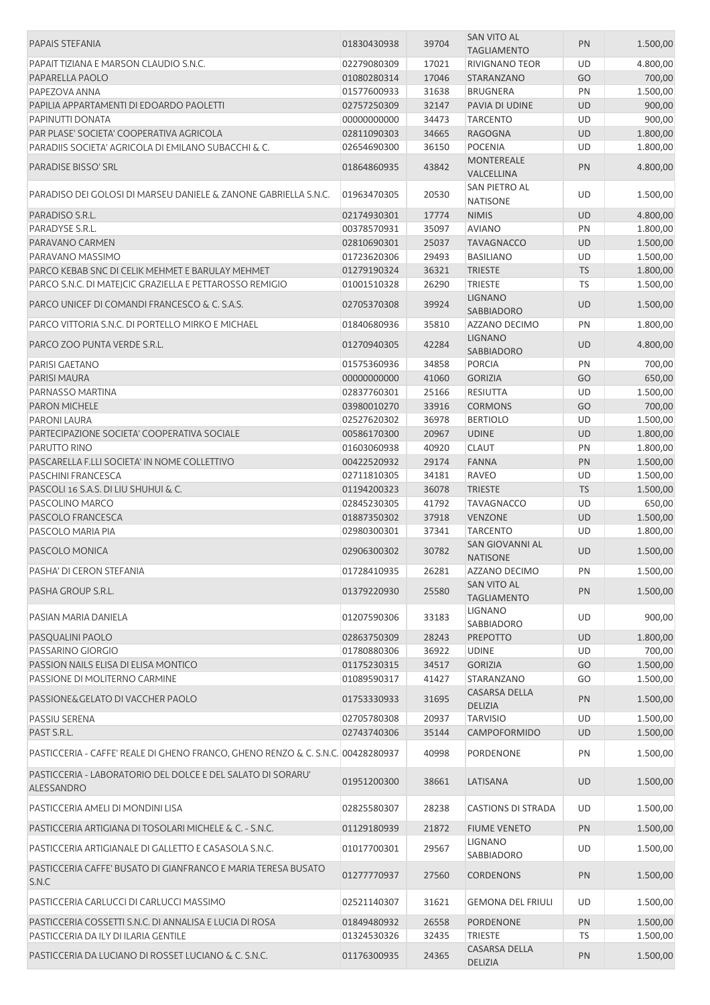| <b>PAPAIS STEFANIA</b>                                                                         | 01830430938                | 39704          | <b>SAN VITO AL</b>                   | PN              | 1.500,00             |
|------------------------------------------------------------------------------------------------|----------------------------|----------------|--------------------------------------|-----------------|----------------------|
|                                                                                                |                            |                | <b>TAGLIAMENTO</b>                   |                 |                      |
| PAPAIT TIZIANA E MARSON CLAUDIO S.N.C.                                                         | 02279080309                | 17021<br>17046 | <b>RIVIGNANO TEOR</b>                | UD              | 4.800,00<br>700,00   |
| PAPARELLA PAOLO<br>PAPEZOVA ANNA                                                               | 01080280314                | 31638          | <b>STARANZANO</b><br><b>BRUGNERA</b> | GO<br>PN        | 1.500,00             |
| PAPILIA APPARTAMENTI DI EDOARDO PAOLETTI                                                       | 01577600933<br>02757250309 | 32147          | PAVIA DI UDINE                       | <b>UD</b>       | 900,00               |
| PAPINUTTI DONATA                                                                               | 00000000000                | 34473          | <b>TARCENTO</b>                      | UD              | 900,00               |
| PAR PLASE' SOCIETA' COOPERATIVA AGRICOLA                                                       | 02811090303                | 34665          | <b>RAGOGNA</b>                       | UD              | 1.800,00             |
| PARADIIS SOCIETA' AGRICOLA DI EMILANO SUBACCHI & C.                                            | 02654690300                | 36150          | <b>POCENIA</b>                       | UD              | 1.800,00             |
| PARADISE BISSO' SRL                                                                            | 01864860935                | 43842          | <b>MONTEREALE</b>                    | PN              | 4.800,00             |
| PARADISO DEI GOLOSI DI MARSEU DANIELE & ZANONE GABRIELLA S.N.C.                                | 01963470305                |                | VALCELLINA<br>SAN PIETRO AL          |                 |                      |
| PARADISO S.R.L.                                                                                | 02174930301                | 20530<br>17774 | <b>NATISONE</b><br><b>NIMIS</b>      | UD<br>UD        | 1.500,00<br>4.800,00 |
| PARADYSE S.R.L.                                                                                | 00378570931                | 35097          | <b>AVIANO</b>                        | PN              | 1.800,00             |
| PARAVANO CARMEN                                                                                | 02810690301                | 25037          | <b>TAVAGNACCO</b>                    | <b>UD</b>       | 1.500,00             |
| PARAVANO MASSIMO                                                                               | 01723620306                | 29493          | <b>BASILIANO</b>                     | UD              | 1.500,00             |
| PARCO KEBAB SNC DI CELIK MEHMET E BARULAY MEHMET                                               | 01279190324                | 36321          | <b>TRIESTE</b>                       | <b>TS</b>       | 1.800,00             |
| PARCO S.N.C. DI MATEJCIC GRAZIELLA E PETTAROSSO REMIGIO                                        | 01001510328                | 26290          | <b>TRIESTE</b>                       | <b>TS</b>       | 1.500,00             |
|                                                                                                |                            |                | <b>LIGNANO</b>                       |                 |                      |
| PARCO UNICEF DI COMANDI FRANCESCO & C. S.A.S.                                                  | 02705370308                | 39924          | SABBIADORO                           | UD              | 1.500,00             |
| PARCO VITTORIA S.N.C. DI PORTELLO MIRKO E MICHAEL                                              | 01840680936                | 35810          | AZZANO DECIMO                        | PN              | 1.800,00             |
| PARCO ZOO PUNTA VERDE S.R.L.                                                                   | 01270940305                | 42284          | <b>LIGNANO</b><br>SABBIADORO         | <b>UD</b>       | 4.800,00             |
| PARISI GAETANO                                                                                 | 01575360936                | 34858          | <b>PORCIA</b>                        | PN              | 700,00               |
| <b>PARISI MAURA</b>                                                                            | 00000000000                | 41060          | <b>GORIZIA</b>                       | GO              | 650,00               |
| PARNASSO MARTINA                                                                               | 02837760301                | 25166          | <b>RESIUTTA</b>                      | UD              | 1.500,00             |
| <b>PARON MICHELE</b>                                                                           | 03980010270                | 33916          | <b>CORMONS</b>                       | GO              | 700,00               |
| PARONI LAURA                                                                                   | 02527620302                | 36978          | <b>BERTIOLO</b>                      | UD              | 1.500,00             |
| PARTECIPAZIONE SOCIETA' COOPERATIVA SOCIALE                                                    | 00586170300                | 20967          | <b>UDINE</b>                         | UD              | 1.800,00             |
| PARUTTO RINO                                                                                   | 01603060938                | 40920          | <b>CLAUT</b>                         | PN              | 1.800,00             |
| PASCARELLA F.LLI SOCIETA' IN NOME COLLETTIVO                                                   | 00422520932                | 29174          | <b>FANNA</b>                         | PN              | 1.500,00             |
| PASCHINI FRANCESCA                                                                             | 02711810305                | 34181          | <b>RAVEO</b>                         | UD              | 1.500,00             |
| PASCOLI 16 S.A.S. DI LIU SHUHUI & C.                                                           | 01194200323                | 36078          | <b>TRIESTE</b>                       | <b>TS</b>       | 1.500,00             |
| PASCOLINO MARCO                                                                                | 02845230305                | 41792          | <b>TAVAGNACCO</b>                    | UD              | 650,00               |
| PASCOLO FRANCESCA                                                                              | 01887350302                | 37918          | <b>VENZONE</b>                       | <b>UD</b>       | 1.500,00             |
| PASCOLO MARIA PIA                                                                              | 02980300301                | 37341          | <b>TARCENTO</b>                      | UD              | 1.800,00             |
| PASCOLO MONICA                                                                                 | 02906300302                | 30782          | SAN GIOVANNI AL<br><b>NATISONE</b>   | <b>UD</b>       | 1.500,00             |
| PASHA' DI CERON STEFANIA                                                                       | 01728410935                | 26281          | AZZANO DECIMO                        | PN              | 1.500,00             |
| PASHA GROUP S.R.L.                                                                             | 01379220930                | 25580          | SAN VITO AL<br><b>TAGLIAMENTO</b>    | PN              | 1.500,00             |
| PASIAN MARIA DANIELA                                                                           | 01207590306                | 33183          | <b>LIGNANO</b>                       | UD              | 900,00               |
|                                                                                                | 02863750309                | 28243          | SABBIADORO<br><b>PREPOTTO</b>        | <b>UD</b>       | 1.800,00             |
| PASQUALINI PAOLO<br>PASSARINO GIORGIO                                                          | 01780880306                | 36922          | <b>UDINE</b>                         | UD              | 700,00               |
| PASSION NAILS ELISA DI ELISA MONTICO                                                           | 01175230315                | 34517          | <b>GORIZIA</b>                       | GO              | 1.500,00             |
| PASSIONE DI MOLITERNO CARMINE                                                                  | 01089590317                | 41427          | STARANZANO                           | GO              | 1.500,00             |
| PASSIONE& GELATO DI VACCHER PAOLO                                                              | 01753330933                | 31695          | CASARSA DELLA                        | PN              | 1.500,00             |
|                                                                                                |                            |                | DELIZIA                              |                 |                      |
| PASSIU SERENA                                                                                  | 02705780308                | 20937          | <b>TARVISIO</b>                      | UD              | 1.500,00             |
| PAST S.R.L.<br>PASTICCERIA - CAFFE' REALE DI GHENO FRANCO, GHENO RENZO & C. S.N.C. 00428280937 | 02743740306                | 35144<br>40998 | CAMPOFORMIDO<br>PORDENONE            | <b>UD</b><br>PN | 1.500,00<br>1.500,00 |
|                                                                                                |                            |                |                                      |                 |                      |
| PASTICCERIA - LABORATORIO DEL DOLCE E DEL SALATO DI SORARU'<br>ALESSANDRO                      | 01951200300                | 38661          | LATISANA                             | <b>UD</b>       | 1.500,00             |
| PASTICCERIA AMELI DI MONDINI LISA                                                              | 02825580307                | 28238          | <b>CASTIONS DI STRADA</b>            | UD              | 1.500,00             |
| PASTICCERIA ARTIGIANA DI TOSOLARI MICHELE & C. - S.N.C.                                        | 01129180939                | 21872          | <b>FIUME VENETO</b>                  | PN              | 1.500,00             |
| PASTICCERIA ARTIGIANALE DI GALLETTO E CASASOLA S.N.C.                                          | 01017700301                | 29567          | LIGNANO                              | UD              | 1.500,00             |
|                                                                                                |                            |                | SABBIADORO                           |                 |                      |
| PASTICCERIA CAFFE' BUSATO DI GIANFRANCO E MARIA TERESA BUSATO<br>S.N.C                         | 01277770937                | 27560          | <b>CORDENONS</b>                     | PN              | 1.500,00             |
| PASTICCERIA CARLUCCI DI CARLUCCI MASSIMO                                                       | 02521140307                | 31621          | <b>GEMONA DEL FRIULI</b>             | UD              | 1.500,00             |
| PASTICCERIA COSSETTI S.N.C. DI ANNALISA E LUCIA DI ROSA                                        | 01849480932                | 26558          | <b>PORDENONE</b>                     | PN              | 1.500,00             |
| PASTICCERIA DA ILY DI ILARIA GENTILE                                                           | 01324530326                | 32435          | <b>TRIESTE</b>                       | TS              | 1.500,00             |
| PASTICCERIA DA LUCIANO DI ROSSET LUCIANO & C. S.N.C.                                           | 01176300935                | 24365          | CASARSA DELLA<br>DELIZIA             | PN              | 1.500,00             |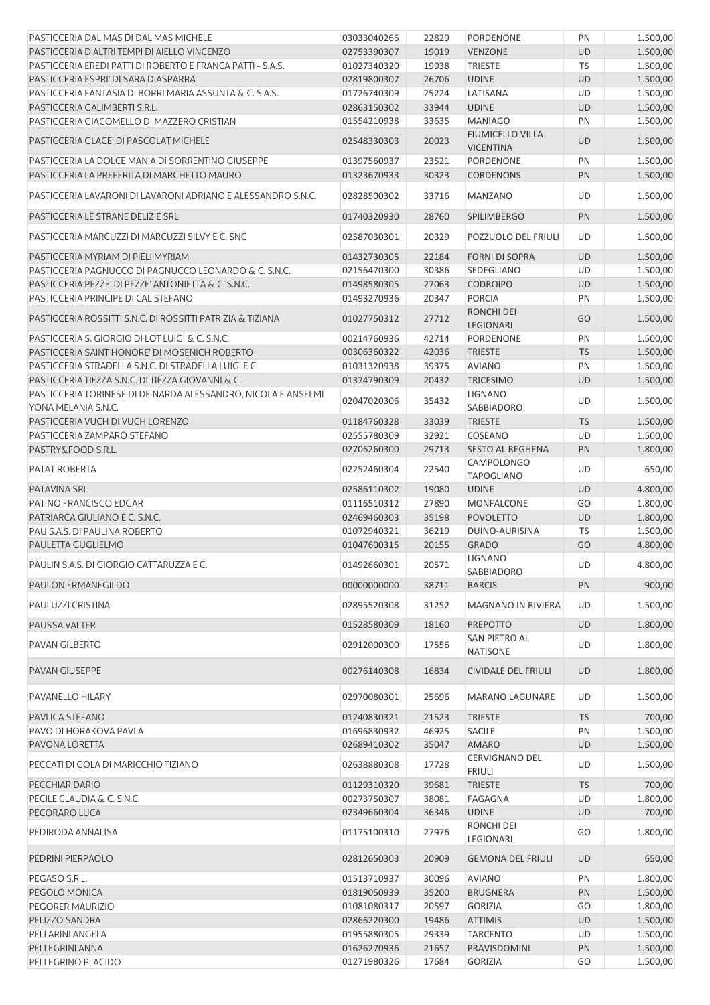| PASTICCERIA DAL MAS DI DAL MAS MICHELE                                               | 03033040266                | 22829          | PORDENONE                                 | PN              | 1.500,00             |
|--------------------------------------------------------------------------------------|----------------------------|----------------|-------------------------------------------|-----------------|----------------------|
| PASTICCERIA D'ALTRI TEMPI DI AIELLO VINCENZO                                         | 02753390307                | 19019          | <b>VENZONE</b>                            | <b>UD</b>       | 1.500,00             |
| PASTICCERIA EREDI PATTI DI ROBERTO E FRANCA PATTI - S.A.S.                           | 01027340320                | 19938          | <b>TRIESTE</b>                            | TS              | 1.500,00             |
| PASTICCERIA ESPRI' DI SARA DIASPARRA                                                 | 02819800307                | 26706          | <b>UDINE</b>                              | <b>UD</b>       | 1.500,00             |
|                                                                                      |                            | 25224          | LATISANA                                  | UD              | 1.500,00             |
| PASTICCERIA FANTASIA DI BORRI MARIA ASSUNTA & C. S.A.S.                              | 01726740309                |                |                                           |                 |                      |
| PASTICCERIA GALIMBERTI S.R.L.                                                        | 02863150302                | 33944          | <b>UDINE</b>                              | <b>UD</b>       | 1.500,00             |
| PASTICCERIA GIACOMELLO DI MAZZERO CRISTIAN<br>PASTICCERIA GLACE' DI PASCOLAT MICHELE | 01554210938<br>02548330303 | 33635<br>20023 | <b>MANIAGO</b><br><b>FIUMICELLO VILLA</b> | PN<br><b>UD</b> | 1.500,00<br>1.500,00 |
|                                                                                      |                            |                | <b>VICENTINA</b>                          |                 |                      |
| PASTICCERIA LA DOLCE MANIA DI SORRENTINO GIUSEPPE                                    | 01397560937                | 23521          | PORDENONE                                 | PN              | 1.500,00             |
| PASTICCERIA LA PREFERITA DI MARCHETTO MAURO                                          | 01323670933                | 30323          | <b>CORDENONS</b>                          | PN              | 1.500,00             |
| PASTICCERIA LAVARONI DI LAVARONI ADRIANO E ALESSANDRO S.N.C.                         | 02828500302                | 33716          | <b>MANZANO</b>                            | UD              | 1.500,00             |
| PASTICCERIA LE STRANE DELIZIE SRL                                                    | 01740320930                | 28760          | <b>SPILIMBERGO</b>                        | PN              | 1.500,00             |
| PASTICCERIA MARCUZZI DI MARCUZZI SILVY E C. SNC                                      | 02587030301                | 20329          | POZZUOLO DEL FRIULI                       | UD              | 1.500,00             |
| PASTICCERIA MYRIAM DI PIELI MYRIAM                                                   | 01432730305                | 22184          | <b>FORNI DI SOPRA</b>                     | <b>UD</b>       | 1.500,00             |
| PASTICCERIA PAGNUCCO DI PAGNUCCO LEONARDO & C. S.N.C.                                | 02156470300                | 30386          | SEDEGLIANO                                | UD              | 1.500,00             |
| PASTICCERIA PEZZE' DI PEZZE' ANTONIETTA & C. S.N.C.                                  | 01498580305                | 27063          | <b>CODROIPO</b>                           | <b>UD</b>       | 1.500,00             |
|                                                                                      |                            |                | <b>PORCIA</b>                             |                 |                      |
| PASTICCERIA PRINCIPE DI CAL STEFANO                                                  | 01493270936                | 20347          |                                           | PN              | 1.500,00             |
| PASTICCERIA ROSSITTI S.N.C. DI ROSSITTI PATRIZIA & TIZIANA                           | 01027750312                | 27712          | <b>RONCHI DEI</b><br>LEGIONARI            | GO              | 1.500,00             |
| PASTICCERIA S. GIORGIO DI LOT LUIGI & C. S.N.C.                                      | 00214760936                | 42714          | PORDENONE                                 | PN              | 1.500,00             |
| PASTICCERIA SAINT HONORE' DI MOSENICH ROBERTO                                        | 00306360322                | 42036          | <b>TRIESTE</b>                            | <b>TS</b>       | 1.500,00             |
| PASTICCERIA STRADELLA S.N.C. DI STRADELLA LUIGI E C.                                 | 01031320938                | 39375          | <b>AVIANO</b>                             | PN              | 1.500,00             |
| PASTICCERIA TIEZZA S.N.C. DI TIEZZA GIOVANNI & C.                                    | 01374790309                | 20432          | <b>TRICESIMO</b>                          | <b>UD</b>       | 1.500,00             |
| PASTICCERIA TORINESE DI DE NARDA ALESSANDRO, NICOLA E ANSELMI<br>YONA MELANIA S.N.C. | 02047020306                | 35432          | <b>LIGNANO</b><br>SABBIADORO              | UD              | 1.500,00             |
| PASTICCERIA VUCH DI VUCH LORENZO                                                     | 01184760328                | 33039          | <b>TRIESTE</b>                            | <b>TS</b>       | 1.500,00             |
| PASTICCERIA ZAMPARO STEFANO                                                          | 02555780309                | 32921          | COSEANO                                   | UD              | 1.500,00             |
| PASTRY&FOOD S.R.L.                                                                   | 02706260300                | 29713          | <b>SESTO AL REGHENA</b>                   | PN              | 1.800,00             |
|                                                                                      |                            |                |                                           |                 |                      |
| PATAT ROBERTA                                                                        | 02252460304                | 22540          | <b>CAMPOLONGO</b><br><b>TAPOGLIANO</b>    | UD              | 650,00               |
| PATAVINA SRL                                                                         | 02586110302                | 19080          | <b>UDINE</b>                              | <b>UD</b>       | 4.800,00             |
| PATINO FRANCISCO EDGAR                                                               | 01116510312                | 27890          | MONFALCONE                                | GO              | 1.800,00             |
| PATRIARCA GIULIANO E C. S.N.C.                                                       | 02469460303                | 35198          | <b>POVOLETTO</b>                          | <b>UD</b>       | 1.800,00             |
| PAU S.A.S. DI PAULINA ROBERTO                                                        | 01072940321                | 36219          | DUINO-AURISINA                            | TS              | 1.500,00             |
| PAULETTA GUGLIELMO                                                                   | 01047600315                | 20155          | <b>GRADO</b>                              | GO              | 4.800,00             |
| PAULIN S.A.S. DI GIORGIO CATTARUZZA E C.                                             | 01492660301                | 20571          | <b>LIGNANO</b><br>SABBIADORO              | UD              | 4.800,00             |
| PAULON ERMANEGILDO                                                                   | 00000000000                | 38711          | <b>BARCIS</b>                             | PN              | 900,00               |
| PAULUZZI CRISTINA                                                                    | 02895520308                | 31252          | MAGNANO IN RIVIERA                        | UD              | 1.500,00             |
| PAUSSA VALTER                                                                        | 01528580309                | 18160          | <b>PREPOTTO</b>                           | <b>UD</b>       | 1.800,00             |
| PAVAN GILBERTO                                                                       | 02912000300                | 17556          | SAN PIETRO AL<br><b>NATISONE</b>          | UD              | 1.800,00             |
| <b>PAVAN GIUSEPPE</b>                                                                | 00276140308                | 16834          | <b>CIVIDALE DEL FRIULI</b>                | <b>UD</b>       | 1.800,00             |
| PAVANELLO HILARY                                                                     | 02970080301                | 25696          | <b>MARANO LAGUNARE</b>                    | UD              | 1.500,00             |
|                                                                                      |                            |                |                                           |                 |                      |
| PAVLICA STEFANO                                                                      | 01240830321                | 21523          | <b>TRIESTE</b>                            | <b>TS</b>       | 700,00               |
| PAVO DI HORAKOVA PAVLA                                                               | 01696830932                | 46925          | <b>SACILE</b>                             | PN              | 1.500,00             |
| PAVONA LORETTA                                                                       | 02689410302                | 35047          | <b>AMARO</b>                              | UD              | 1.500,00             |
| PECCATI DI GOLA DI MARICCHIO TIZIANO                                                 | 02638880308                | 17728          | <b>CERVIGNANO DEL</b><br><b>FRIULI</b>    | UD              | 1.500,00             |
| PECCHIAR DARIO                                                                       | 01129310320                | 39681          | <b>TRIESTE</b>                            | <b>TS</b>       | 700,00               |
| PECILE CLAUDIA & C. S.N.C.                                                           | 00273750307                | 38081          | FAGAGNA                                   | UD              | 1.800,00             |
| PECORARO LUCA                                                                        | 02349660304                | 36346          | <b>UDINE</b>                              | UD              | 700,00               |
|                                                                                      |                            |                | RONCHI DEI                                |                 |                      |
| PEDIRODA ANNALISA                                                                    | 01175100310                | 27976          | LEGIONARI                                 | GO              | 1.800,00             |
| PEDRINI PIERPAOLO                                                                    | 02812650303                | 20909          | <b>GEMONA DEL FRIULI</b>                  | <b>UD</b>       | 650,00               |
| PEGASO S.R.L.                                                                        | 01513710937                | 30096          | <b>AVIANO</b>                             | PN              | 1.800,00             |
| PEGOLO MONICA                                                                        | 01819050939                | 35200          | <b>BRUGNERA</b>                           | PN              | 1.500,00             |
| PEGORER MAURIZIO                                                                     | 01081080317                | 20597          | <b>GORIZIA</b>                            | GO              | 1.800,00             |
| PELIZZO SANDRA                                                                       | 02866220300                | 19486          | <b>ATTIMIS</b>                            | UD              | 1.500,00             |
| PELLARINI ANGELA                                                                     | 01955880305                | 29339          | <b>TARCENTO</b>                           | UD              | 1.500,00             |
| PELLEGRINI ANNA                                                                      | 01626270936                | 21657          | PRAVISDOMINI                              | PN              | 1.500,00             |
| PELLEGRINO PLACIDO                                                                   | 01271980326                | 17684          | GORIZIA                                   | GO              | 1.500,00             |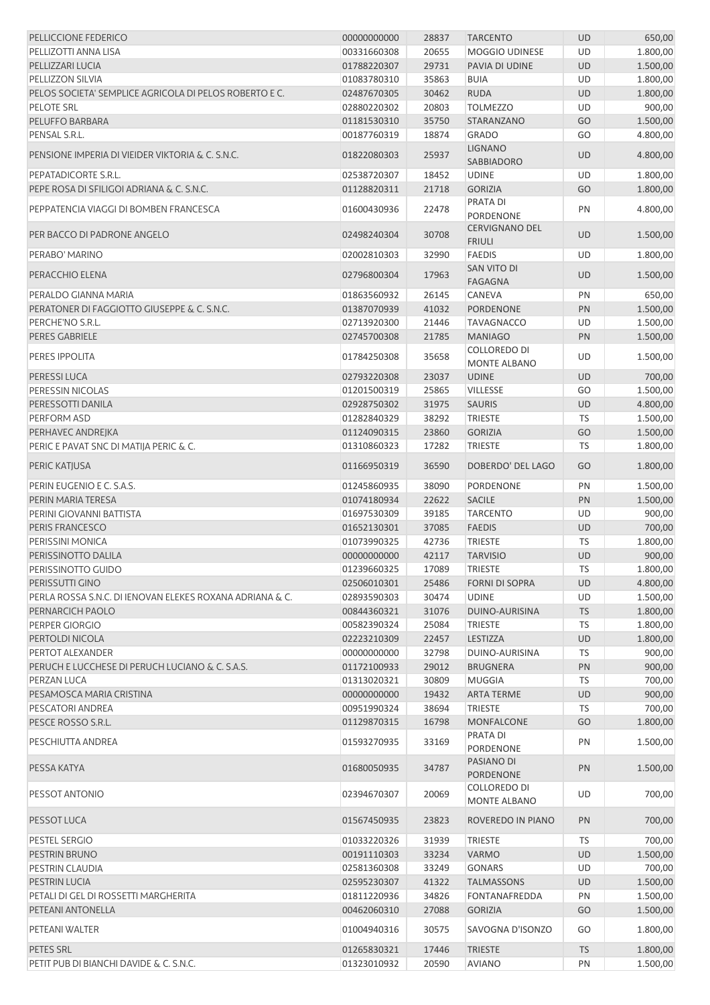| PELLICCIONE FEDERICO                                     | 00000000000 | 28837 | <b>TARCENTO</b>                          | <b>UD</b> | 650,00   |
|----------------------------------------------------------|-------------|-------|------------------------------------------|-----------|----------|
| PELLIZOTTI ANNA LISA                                     | 00331660308 | 20655 | <b>MOGGIO UDINESE</b>                    | UD        | 1.800,00 |
| PELLIZZARI LUCIA                                         | 01788220307 | 29731 | PAVIA DI UDINE                           | <b>UD</b> | 1.500,00 |
| PELLIZZON SILVIA                                         | 01083780310 | 35863 | <b>BUIA</b>                              | UD        | 1.800,00 |
| PELOS SOCIETA' SEMPLICE AGRICOLA DI PELOS ROBERTO E C.   | 02487670305 | 30462 | <b>RUDA</b>                              | UD        | 1.800,00 |
| PELOTE SRL                                               | 02880220302 | 20803 | <b>TOLMEZZO</b>                          | UD        | 900,00   |
| PELUFFO BARBARA                                          | 01181530310 | 35750 | STARANZANO                               | GO        | 1.500,00 |
|                                                          |             |       |                                          |           |          |
| PENSAL S.R.L.                                            | 00187760319 | 18874 | <b>GRADO</b>                             | GO        | 4.800,00 |
| PENSIONE IMPERIA DI VIEIDER VIKTORIA & C. S.N.C.         | 01822080303 | 25937 | <b>LIGNANO</b><br><b>SABBIADORO</b>      | UD        | 4.800,00 |
| PEPATADICORTE S.R.L.                                     | 02538720307 | 18452 | <b>UDINE</b>                             | UD        | 1.800,00 |
| PEPE ROSA DI SFILIGOI ADRIANA & C. S.N.C.                | 01128820311 | 21718 | <b>GORIZIA</b>                           | GO        | 1.800,00 |
| PEPPATENCIA VIAGGI DI BOMBEN FRANCESCA                   | 01600430936 | 22478 | PRATA DI<br>PORDENONE                    | PN        | 4.800,00 |
| PER BACCO DI PADRONE ANGELO                              | 02498240304 | 30708 | <b>CERVIGNANO DEL</b><br><b>FRIULI</b>   | <b>UD</b> | 1.500,00 |
| PERABO' MARINO                                           | 02002810303 | 32990 | <b>FAEDIS</b>                            | <b>UD</b> | 1.800,00 |
|                                                          |             |       | SAN VITO DI                              |           |          |
| PERACCHIO ELENA                                          | 02796800304 | 17963 | <b>FAGAGNA</b>                           | <b>UD</b> | 1.500,00 |
| PERALDO GIANNA MARIA                                     | 01863560932 | 26145 | CANEVA                                   | PN        | 650,00   |
| PERATONER DI FAGGIOTTO GIUSEPPE & C. S.N.C.              | 01387070939 | 41032 | <b>PORDENONE</b>                         | PN        | 1.500,00 |
| PERCHE'NO S.R.L.                                         | 02713920300 | 21446 | <b>TAVAGNACCO</b>                        | UD        | 1.500,00 |
| PERES GABRIELE                                           | 02745700308 | 21785 | <b>MANIAGO</b>                           | PN        | 1.500,00 |
| PERES IPPOLITA                                           | 01784250308 | 35658 | COLLOREDO DI<br><b>MONTE ALBANO</b>      | <b>UD</b> | 1.500,00 |
| PERESSI LUCA                                             | 02793220308 | 23037 | <b>UDINE</b>                             | <b>UD</b> | 700,00   |
| PERESSIN NICOLAS                                         | 01201500319 | 25865 | <b>VILLESSE</b>                          | GO        | 1.500,00 |
| PERESSOTTI DANILA                                        | 02928750302 | 31975 | <b>SAURIS</b>                            | UD        | 4.800,00 |
| PERFORM ASD                                              | 01282840329 | 38292 | <b>TRIESTE</b>                           | <b>TS</b> | 1.500,00 |
| PERHAVEC ANDREJKA                                        | 01124090315 | 23860 | <b>GORIZIA</b>                           | GO        | 1.500,00 |
|                                                          |             |       |                                          |           |          |
| PERIC E PAVAT SNC DI MATIJA PERIC & C.                   | 01310860323 | 17282 | <b>TRIESTE</b>                           | <b>TS</b> | 1.800,00 |
| PERIC KATJUSA                                            | 01166950319 | 36590 | DOBERDO' DEL LAGO                        | GO        | 1.800,00 |
| PERIN EUGENIO E C. S.A.S.                                | 01245860935 | 38090 | PORDENONE                                | PN        | 1.500,00 |
| PERIN MARIA TERESA                                       | 01074180934 | 22622 | <b>SACILE</b>                            | PN        | 1.500,00 |
| PERINI GIOVANNI BATTISTA                                 | 01697530309 | 39185 | <b>TARCENTO</b>                          | UD        | 900,00   |
| PERIS FRANCESCO                                          | 01652130301 | 37085 | <b>FAEDIS</b>                            | UD        | 700,00   |
| PERISSINI MONICA                                         | 01073990325 | 42736 | <b>TRIESTE</b>                           | <b>TS</b> | 1.800,00 |
| PERISSINOTTO DALILA                                      | 00000000000 | 42117 | <b>TARVISIO</b>                          | UD        | 900,00   |
| PERISSINOTTO GUIDO                                       | 01239660325 | 17089 | <b>TRIESTE</b>                           | TS        | 1.800,00 |
| PERISSUTTI GINO                                          | 02506010301 | 25486 | <b>FORNI DI SOPRA</b>                    | UD        | 4.800,00 |
| PERLA ROSSA S.N.C. DI JENOVAN ELEKES ROXANA ADRIANA & C. |             | 30474 |                                          | <b>UD</b> |          |
|                                                          | 02893590303 |       | <b>UDINE</b>                             |           | 1.500,00 |
| PERNARCICH PAOLO                                         | 00844360321 | 31076 | DUINO-AURISINA                           | <b>TS</b> | 1.800,00 |
| PERPER GIORGIO                                           | 00582390324 | 25084 | <b>TRIESTE</b>                           | <b>TS</b> | 1.800,00 |
| PERTOLDI NICOLA                                          | 02223210309 | 22457 | <b>LESTIZZA</b>                          | UD        | 1.800,00 |
| PERTOT ALEXANDER                                         | 00000000000 | 32798 | DUINO-AURISINA                           | TS        | 900,00   |
| PERUCH E LUCCHESE DI PERUCH LUCIANO & C. S.A.S.          | 01172100933 | 29012 | <b>BRUGNERA</b>                          | PN        | 900,00   |
| PERZAN LUCA                                              | 01313020321 | 30809 | <b>MUGGIA</b>                            | TS        | 700,00   |
| PESAMOSCA MARIA CRISTINA                                 | 00000000000 | 19432 | <b>ARTA TERME</b>                        | UD        | 900,00   |
| PESCATORI ANDREA                                         | 00951990324 | 38694 | <b>TRIESTE</b>                           | TS        | 700,00   |
| PESCE ROSSO S.R.L.                                       | 01129870315 | 16798 | <b>MONFALCONE</b>                        | GO        | 1.800,00 |
| PESCHIUTTA ANDREA                                        | 01593270935 | 33169 | PRATA DI                                 | PN        | 1.500,00 |
| PESSA KATYA                                              | 01680050935 | 34787 | <b>PORDENONE</b><br>PASIANO DI           | PN        | 1.500,00 |
| PESSOT ANTONIO                                           | 02394670307 | 20069 | <b>PORDENONE</b><br><b>COLLOREDO DI</b>  | UD        | 700,00   |
| PESSOT LUCA                                              | 01567450935 | 23823 | <b>MONTE ALBANO</b><br>ROVEREDO IN PIANO | PN        | 700,00   |
|                                                          |             | 31939 |                                          |           | 700,00   |
| PESTEL SERGIO                                            | 01033220326 |       | <b>TRIESTE</b>                           | TS        |          |
| PESTRIN BRUNO                                            | 00191110303 | 33234 | <b>VARMO</b>                             | <b>UD</b> | 1.500,00 |
| PESTRIN CLAUDIA                                          | 02581360308 | 33249 | <b>GONARS</b>                            | UD        | 700,00   |
| PESTRIN LUCIA                                            | 02595230307 | 41322 | <b>TALMASSONS</b>                        | UD        | 1.500,00 |
| PETALI DI GEL DI ROSSETTI MARGHERITA                     | 01811220936 | 34826 | FONTANAFREDDA                            | PN        | 1.500,00 |
| PETEANI ANTONELLA                                        | 00462060310 | 27088 | <b>GORIZIA</b>                           | GO        | 1.500,00 |
| PETEANI WALTER                                           | 01004940316 | 30575 | SAVOGNA D'ISONZO                         | GO        | 1.800,00 |
| PETES SRL                                                | 01265830321 | 17446 | <b>TRIESTE</b>                           | <b>TS</b> | 1.800,00 |
| PETIT PUB DI BIANCHI DAVIDE & C. S.N.C.                  | 01323010932 | 20590 | <b>AVIANO</b>                            | PN        | 1.500,00 |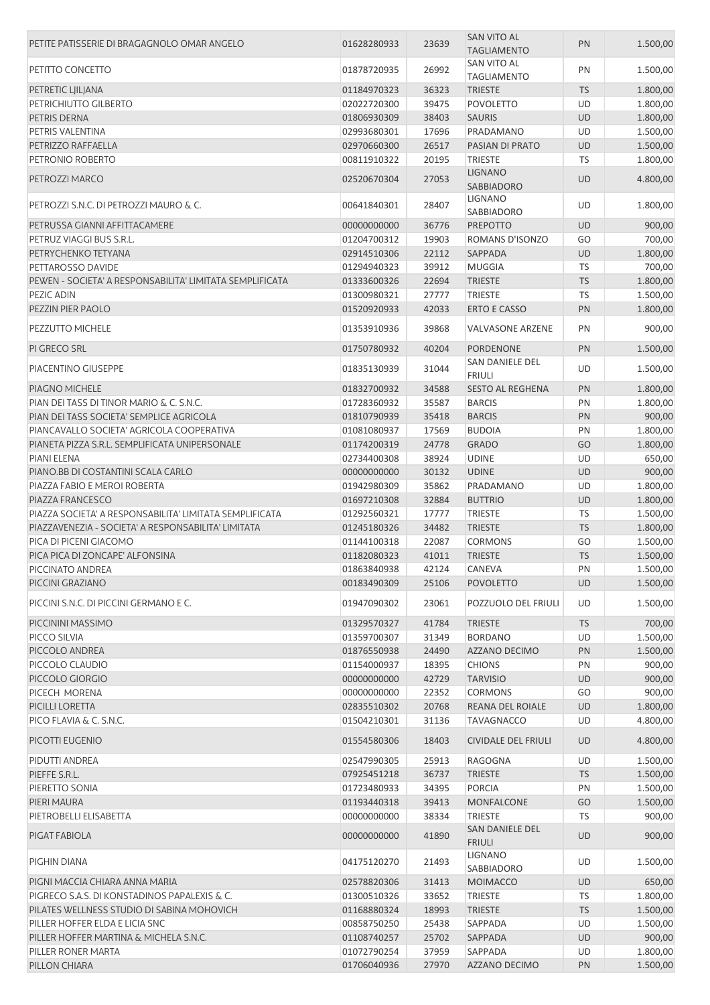| PETITE PATISSERIE DI BRAGAGNOLO OMAR ANGELO              | 01628280933                | 23639          | SAN VITO AL<br><b>TAGLIAMENTO</b>               | PN              | 1.500,00             |
|----------------------------------------------------------|----------------------------|----------------|-------------------------------------------------|-----------------|----------------------|
| PETITTO CONCETTO                                         | 01878720935                | 26992          | <b>SAN VITO AL</b>                              | PN              | 1.500,00             |
|                                                          |                            |                | <b>TAGLIAMENTO</b>                              |                 |                      |
| PETRETIC LJILJANA                                        | 01184970323                | 36323          | <b>TRIESTE</b>                                  | <b>TS</b>       | 1.800,00             |
| PETRICHIUTTO GILBERTO                                    | 02022720300                | 39475          | POVOLETTO                                       | UD              | 1.800,00             |
| PETRIS DERNA                                             | 01806930309                | 38403          | <b>SAURIS</b>                                   | UD              | 1.800,00             |
| PETRIS VALENTINA                                         | 02993680301                | 17696          | PRADAMANO                                       | UD              | 1.500,00             |
| PETRIZZO RAFFAELLA                                       | 02970660300                | 26517          | PASIAN DI PRATO                                 | <b>UD</b>       | 1.500,00             |
| PETRONIO ROBERTO                                         | 00811910322                | 20195          | <b>TRIESTE</b>                                  | TS              | 1.800,00             |
| PETROZZI MARCO                                           | 02520670304                | 27053          | <b>LIGNANO</b><br>SABBIADORO                    | <b>UD</b>       | 4.800,00             |
| PETROZZI S.N.C. DI PETROZZI MAURO & C.                   | 00641840301                | 28407          | <b>LIGNANO</b><br>SABBIADORO                    | UD              | 1.800,00             |
| PETRUSSA GIANNI AFFITTACAMERE                            | 00000000000                | 36776          | <b>PREPOTTO</b>                                 | <b>UD</b>       | 900,00               |
| PETRUZ VIAGGI BUS S.R.L.                                 | 01204700312                | 19903          | ROMANS D'ISONZO                                 | GO              | 700,00               |
| PETRYCHENKO TETYANA                                      | 02914510306                | 22112          | <b>SAPPADA</b>                                  | <b>UD</b>       | 1.800,00             |
| PETTAROSSO DAVIDE                                        | 01294940323                | 39912          | <b>MUGGIA</b>                                   | TS              | 700,00               |
| PEWEN - SOCIETA' A RESPONSABILITA' LIMITATA SEMPLIFICATA |                            | 22694          |                                                 | <b>TS</b>       |                      |
|                                                          | 01333600326                |                | <b>TRIESTE</b>                                  |                 | 1.800,00             |
| PEZIC ADIN                                               | 01300980321                | 27777          | <b>TRIESTE</b>                                  | TS              | 1.500,00             |
| PEZZIN PIER PAOLO                                        | 01520920933                | 42033          | <b>ERTO E CASSO</b>                             | PN              | 1.800,00             |
| <b>PEZZUTTO MICHELE</b>                                  | 01353910936                | 39868          | <b>VALVASONE ARZENE</b>                         | PN              | 900,00               |
| PI GRECO SRL                                             | 01750780932                | 40204          | PORDENONE                                       | PN              | 1.500,00             |
| PIACENTINO GIUSEPPE                                      | 01835130939                | 31044          | <b>SAN DANIELE DEL</b><br><b>FRIULI</b>         | UD              | 1.500,00             |
| PIAGNO MICHELE                                           | 01832700932                | 34588          | <b>SESTO AL REGHENA</b>                         | PN              | 1.800,00             |
| PIAN DEI TASS DI TINOR MARIO & C. S.N.C.                 | 01728360932                | 35587          | <b>BARCIS</b>                                   | PN              | 1.800,00             |
| PIAN DEI TASS SOCIETA' SEMPLICE AGRICOLA                 | 01810790939                | 35418          | <b>BARCIS</b>                                   | PN              | 900,00               |
| PIANCAVALLO SOCIETA' AGRICOLA COOPERATIVA                | 01081080937                | 17569          | <b>BUDOIA</b>                                   | PN              | 1.800,00             |
| PIANETA PIZZA S.R.L. SEMPLIFICATA UNIPERSONALE           | 01174200319                | 24778          | <b>GRADO</b>                                    | GO              | 1.800,00             |
| PIANI ELENA                                              | 02734400308                | 38924          | <b>UDINE</b>                                    | UD              | 650,00               |
| PIANO.BB DI COSTANTINI SCALA CARLO                       |                            | 30132          | <b>UDINE</b>                                    | <b>UD</b>       |                      |
|                                                          | 00000000000                |                |                                                 |                 | 900,00               |
| PIAZZA FABIO E MEROI ROBERTA                             | 01942980309                | 35862          | PRADAMANO                                       | UD              | 1.800,00             |
| PIAZZA FRANCESCO                                         | 01697210308                | 32884          | <b>BUTTRIO</b>                                  | <b>UD</b>       | 1.800,00             |
| PIAZZA SOCIETA' A RESPONSABILITA' LIMITATA SEMPLIFICATA  | 01292560321                | 17777          | <b>TRIESTE</b>                                  | TS              | 1.500,00             |
| PIAZZAVENEZIA - SOCIETA' A RESPONSABILITA' LIMITATA      | 01245180326                | 34482          | <b>TRIESTE</b>                                  | <b>TS</b>       | 1.800,00             |
| PICA DI PICENI GIACOMO                                   | 01144100318                | 22087          | <b>CORMONS</b>                                  | GO              | 1.500,00             |
| PICA PICA DI ZONCAPE' ALFONSINA                          | 01182080323                | 41011          | <b>TRIESTE</b>                                  | <b>TS</b>       | 1.500,00             |
| PICCINATO ANDREA                                         | 01863840938                | 42124          | CANEVA                                          | PN              | 1.500,00             |
| PICCINI GRAZIANO                                         | 00183490309                | 25106          | <b>POVOLETTO</b>                                | <b>UD</b>       | 1.500,00             |
| PICCINI S.N.C. DI PICCINI GERMANO E C.                   | 01947090302                | 23061          | POZZUOLO DEL FRIULI                             | UD              | 1.500,00             |
| PICCININI MASSIMO                                        | 01329570327                | 41784          | <b>TRIESTE</b>                                  | <b>TS</b>       | 700,00               |
| PICCO SILVIA                                             | 01359700307                | 31349          | <b>BORDANO</b>                                  | UD              | 1.500,00             |
| PICCOLO ANDREA                                           | 01876550938                | 24490          | AZZANO DECIMO                                   | PN              | 1.500,00             |
| PICCOLO CLAUDIO                                          | 01154000937                | 18395          | <b>CHIONS</b>                                   | PN              | 900,00               |
| PICCOLO GIORGIO                                          | 00000000000                | 42729          | <b>TARVISIO</b>                                 | <b>UD</b>       |                      |
|                                                          |                            |                |                                                 |                 | 900,00               |
| PICECH MORENA                                            | 00000000000                | 22352          | <b>CORMONS</b>                                  | GO              | 900,00               |
| PICILLI LORETTA                                          | 02835510302                | 20768          | REANA DEL ROIALE                                | UD              | 1.800,00             |
| PICO FLAVIA & C. S.N.C.<br>PICOTTI EUGENIO               | 01504210301<br>01554580306 | 31136<br>18403 | <b>TAVAGNACCO</b><br><b>CIVIDALE DEL FRIULI</b> | UD<br><b>UD</b> | 4.800,00<br>4.800,00 |
|                                                          |                            |                |                                                 |                 |                      |
| PIDUTTI ANDREA                                           | 02547990305                | 25913          | <b>RAGOGNA</b>                                  | <b>UD</b>       | 1.500,00             |
| PIEFFE S.R.L.                                            | 07925451218                | 36737          | <b>TRIESTE</b>                                  | <b>TS</b>       | 1.500,00             |
| PIERETTO SONIA                                           | 01723480933                | 34395          | <b>PORCIA</b>                                   | PN              | 1.500,00             |
| PIERI MAURA                                              | 01193440318                | 39413          | <b>MONFALCONE</b>                               | GO              | 1.500,00             |
| PIETROBELLI ELISABETTA                                   | 00000000000                | 38334          | <b>TRIESTE</b>                                  | TS              | 900,00               |
| PIGAT FABIOLA                                            | 00000000000                | 41890          | SAN DANIELE DEL<br><b>FRIULI</b>                | UD              | 900,00               |
| PIGHIN DIANA                                             | 04175120270                | 21493          | <b>LIGNANO</b><br>SABBIADORO                    | UD              | 1.500,00             |
| PIGNI MACCIA CHIARA ANNA MARIA                           | 02578820306                | 31413          | <b>MOIMACCO</b>                                 | UD              | 650,00               |
| PIGRECO S.A.S. DI KONSTADINOS PAPALEXIS & C.             | 01300510326                | 33652          | <b>TRIESTE</b>                                  | <b>TS</b>       | 1.800,00             |
| PILATES WELLNESS STUDIO DI SABINA MOHOVICH               | 01168880324                | 18993          | <b>TRIESTE</b>                                  | <b>TS</b>       | 1.500,00             |
| PILLER HOFFER ELDA E LICIA SNC                           | 00858750250                | 25438          | SAPPADA                                         | UD              | 1.500,00             |
| PILLER HOFFER MARTINA & MICHELA S.N.C.                   |                            | 25702          |                                                 | UD              |                      |
| PILLER RONER MARTA                                       | 01108740257<br>01072790254 | 37959          | SAPPADA<br>SAPPADA                              | UD              | 900,00<br>1.800,00   |
|                                                          |                            |                |                                                 |                 |                      |
| PILLON CHIARA                                            | 01706040936                | 27970          | AZZANO DECIMO                                   | PN              | 1.500,00             |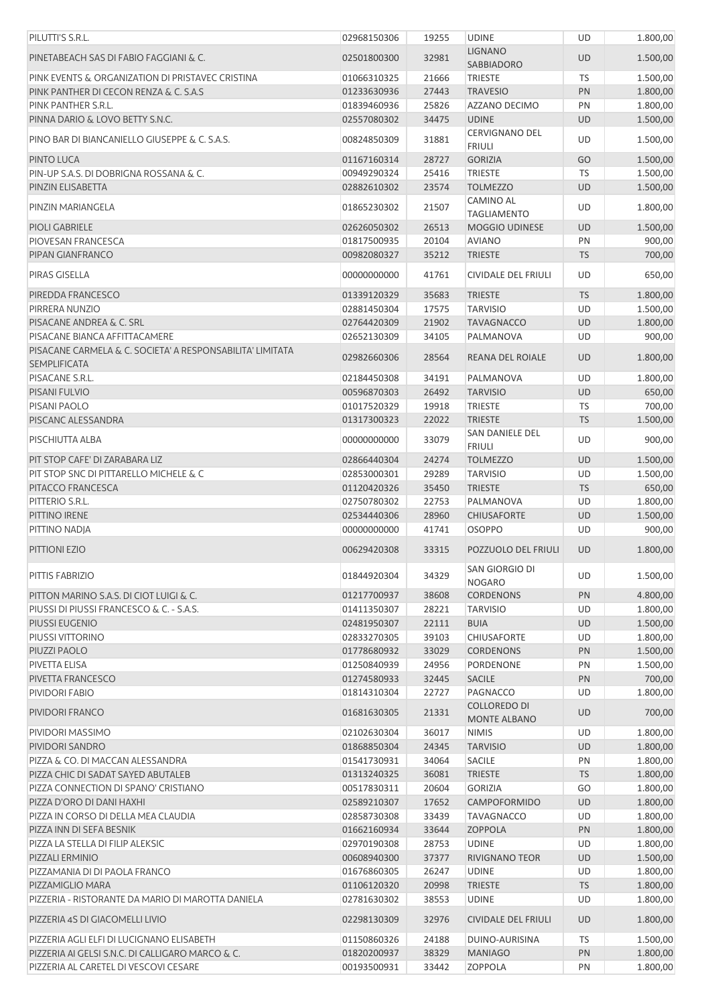| PILUTTI'S S.R.L.                                                                 | 02968150306                | 19255          | <b>UDINE</b>                           | UD        | 1.800,00 |
|----------------------------------------------------------------------------------|----------------------------|----------------|----------------------------------------|-----------|----------|
| PINETABEACH SAS DI FABIO FAGGIANI & C.                                           | 02501800300                | 32981          | <b>LIGNANO</b><br>SABBIADORO           | <b>UD</b> | 1.500,00 |
| PINK EVENTS & ORGANIZATION DI PRISTAVEC CRISTINA                                 | 01066310325                | 21666          | <b>TRIESTE</b>                         | TS        | 1.500,00 |
| PINK PANTHER DI CECON RENZA & C. S.A.S                                           | 01233630936                | 27443          | <b>TRAVESIO</b>                        | PN        | 1.800,00 |
| PINK PANTHER S.R.L.                                                              | 01839460936                | 25826          | <b>AZZANO DECIMO</b>                   | PN        | 1.800,00 |
| PINNA DARIO & LOVO BETTY S.N.C.                                                  | 02557080302                | 34475          | <b>UDINE</b>                           | <b>UD</b> | 1.500,00 |
| PINO BAR DI BIANCANIELLO GIUSEPPE & C. S.A.S.                                    | 00824850309                | 31881          | <b>CERVIGNANO DEL</b><br><b>FRIULI</b> | UD        | 1.500,00 |
| PINTO LUCA                                                                       | 01167160314                | 28727          | <b>GORIZIA</b>                         | GO        | 1.500,00 |
| PIN-UP S.A.S. DI DOBRIGNA ROSSANA & C.                                           | 00949290324                | 25416          | <b>TRIESTE</b>                         | TS        | 1.500,00 |
| PINZIN ELISABETTA                                                                | 02882610302                | 23574          | <b>TOLMEZZO</b>                        | <b>UD</b> | 1.500,00 |
| PINZIN MARIANGELA                                                                | 01865230302                | 21507          | CAMINO AL<br><b>TAGLIAMENTO</b>        | UD        | 1.800,00 |
| PIOLI GABRIELE                                                                   | 02626050302                | 26513          | <b>MOGGIO UDINESE</b>                  | UD        | 1.500,00 |
| PIOVESAN FRANCESCA                                                               | 01817500935                | 20104          | <b>AVIANO</b>                          | PN        | 900,00   |
| PIPAN GIANFRANCO                                                                 | 00982080327                | 35212          | <b>TRIESTE</b>                         | <b>TS</b> | 700,00   |
| <b>PIRAS GISELLA</b>                                                             | 00000000000                | 41761          | <b>CIVIDALE DEL FRIULI</b>             | UD        | 650,00   |
| PIREDDA FRANCESCO                                                                | 01339120329                | 35683          | <b>TRIESTE</b>                         | <b>TS</b> | 1.800,00 |
| PIRRERA NUNZIO                                                                   |                            | 17575          | <b>TARVISIO</b>                        | UD        |          |
| PISACANE ANDREA & C. SRL                                                         | 02881450304<br>02764420309 | 21902          |                                        | <b>UD</b> | 1.500,00 |
|                                                                                  |                            |                | <b>TAVAGNACCO</b>                      |           | 1.800,00 |
| PISACANE BIANCA AFFITTACAMERE                                                    | 02652130309                | 34105          | PALMANOVA                              | UD        | 900,00   |
| PISACANE CARMELA & C. SOCIETA' A RESPONSABILITA' LIMITATA<br><b>SEMPLIFICATA</b> | 02982660306                | 28564          | REANA DEL ROIALE                       | <b>UD</b> | 1.800,00 |
| PISACANE S.R.L.                                                                  | 02184450308                | 34191          | PALMANOVA                              | UD        | 1.800,00 |
| PISANI FULVIO                                                                    | 00596870303                | 26492          | <b>TARVISIO</b>                        | UD        | 650,00   |
| PISANI PAOLO                                                                     | 01017520329                | 19918          | <b>TRIESTE</b>                         | TS        | 700,00   |
| PISCANC ALESSANDRA                                                               | 01317300323                | 22022          | <b>TRIESTE</b>                         | <b>TS</b> | 1.500,00 |
| PISCHIUTTA ALBA                                                                  | 00000000000                | 33079          | SAN DANIELE DEL<br><b>FRIULI</b>       | UD        | 900,00   |
| PIT STOP CAFE' DI ZARABARA LIZ                                                   | 02866440304                | 24274          | <b>TOLMEZZO</b>                        | <b>UD</b> | 1.500,00 |
| PIT STOP SNC DI PITTARELLO MICHELE & C                                           | 02853000301                | 29289          | <b>TARVISIO</b>                        | UD        | 1.500,00 |
| PITACCO FRANCESCA                                                                | 01120420326                | 35450          | <b>TRIESTE</b>                         | <b>TS</b> | 650,00   |
| PITTERIO S.R.L.                                                                  | 02750780302                | 22753          | PALMANOVA                              | UD        | 1.800,00 |
| PITTINO IRENE                                                                    | 02534440306                | 28960          | <b>CHIUSAFORTE</b>                     | UD        | 1.500,00 |
| PITTINO NADJA                                                                    | 00000000000                | 41741          | <b>OSOPPO</b>                          | UD        | 900,00   |
| PITTIONI EZIO                                                                    | 00629420308                | 33315          | POZZUOLO DEL FRIULI                    | <b>UD</b> | 1.800,00 |
| PITTIS FABRIZIO                                                                  | 01844920304                | 34329          | SAN GIORGIO DI<br><b>NOGARO</b>        | UD        | 1.500,00 |
| PITTON MARINO S.A.S. DI CIOT LUIGI & C.                                          | 01217700937                | 38608          | <b>CORDENONS</b>                       | PN        | 4.800,00 |
| PIUSSI DI PIUSSI FRANCESCO & C. - S.A.S.                                         | 01411350307                | 28221          | <b>TARVISIO</b>                        | UD        | 1.800,00 |
| PIUSSI EUGENIO                                                                   | 02481950307                | 22111          | <b>BUIA</b>                            | <b>UD</b> | 1.500,00 |
| PIUSSI VITTORINO                                                                 | 02833270305                | 39103          | <b>CHIUSAFORTE</b>                     | UD        | 1.800,00 |
| PIUZZI PAOLO                                                                     | 01778680932                | 33029          | <b>CORDENONS</b>                       | PN        | 1.500,00 |
| PIVETTA ELISA                                                                    | 01250840939                | 24956          | PORDENONE                              | PN        | 1.500,00 |
| PIVETTA FRANCESCO                                                                | 01274580933                | 32445          | <b>SACILE</b>                          | PN        | 700,00   |
| PIVIDORI FABIO                                                                   | 01814310304                | 22727          | PAGNACCO                               | UD        | 1.800,00 |
| PIVIDORI FRANCO                                                                  | 01681630305                | 21331          | <b>COLLOREDO DI</b>                    | <b>UD</b> | 700,00   |
| PIVIDORI MASSIMO                                                                 | 02102630304                | 36017          | <b>MONTE ALBANO</b><br><b>NIMIS</b>    | UD        | 1.800,00 |
| PIVIDORI SANDRO                                                                  | 01868850304                | 24345          | <b>TARVISIO</b>                        | UD        | 1.800,00 |
| PIZZA & CO. DI MACCAN ALESSANDRA                                                 | 01541730931                | 34064          | SACILE                                 | PN        | 1.800,00 |
| PIZZA CHIC DI SADAT SAYED ABUTALEB                                               | 01313240325                | 36081          | <b>TRIESTE</b>                         | <b>TS</b> | 1.800,00 |
| PIZZA CONNECTION DI SPANO' CRISTIANO                                             | 00517830311                | 20604          | <b>GORIZIA</b>                         | GO        | 1.800,00 |
| PIZZA D'ORO DI DANI HAXHI                                                        | 02589210307                | 17652          | CAMPOFORMIDO                           | <b>UD</b> | 1.800,00 |
| PIZZA IN CORSO DI DELLA MEA CLAUDIA                                              | 02858730308                | 33439          | <b>TAVAGNACCO</b>                      | UD        | 1.800,00 |
| PIZZA INN DI SEFA BESNIK                                                         | 01662160934                | 33644          | <b>ZOPPOLA</b>                         | PN        | 1.800,00 |
| PIZZA LA STELLA DI FILIP ALEKSIC                                                 | 02970190308                | 28753          | <b>UDINE</b>                           | UD        | 1.800,00 |
| PIZZALI ERMINIO                                                                  | 00608940300                | 37377          | <b>RIVIGNANO TEOR</b>                  | <b>UD</b> | 1.500,00 |
| PIZZAMANIA DI DI PAOLA FRANCO                                                    | 01676860305                | 26247          | <b>UDINE</b>                           | UD        | 1.800,00 |
| PIZZAMIGLIO MARA                                                                 | 01106120320                | 20998          | <b>TRIESTE</b>                         | <b>TS</b> | 1.800,00 |
| PIZZERIA - RISTORANTE DA MARIO DI MAROTTA DANIELA                                | 02781630302                | 38553          | <b>UDINE</b>                           | UD        | 1.800,00 |
| PIZZERIA 4S DI GIACOMELLI LIVIO                                                  | 02298130309                | 32976          | <b>CIVIDALE DEL FRIULI</b>             | <b>UD</b> | 1.800,00 |
| PIZZERIA AGLI ELFI DI LUCIGNANO ELISABETH                                        |                            |                |                                        |           | 1.500,00 |
| PIZZERIA AI GELSI S.N.C. DI CALLIGARO MARCO & C.                                 | 01150860326                | 24188<br>38329 | DUINO-AURISINA                         | TS        | 1.800,00 |
|                                                                                  | 01820200937                | 33442          | <b>MANIAGO</b>                         | PN        |          |
| PIZZERIA AL CARETEL DI VESCOVI CESARE                                            | 00193500931                |                | <b>ZOPPOLA</b>                         | PN        | 1.800,00 |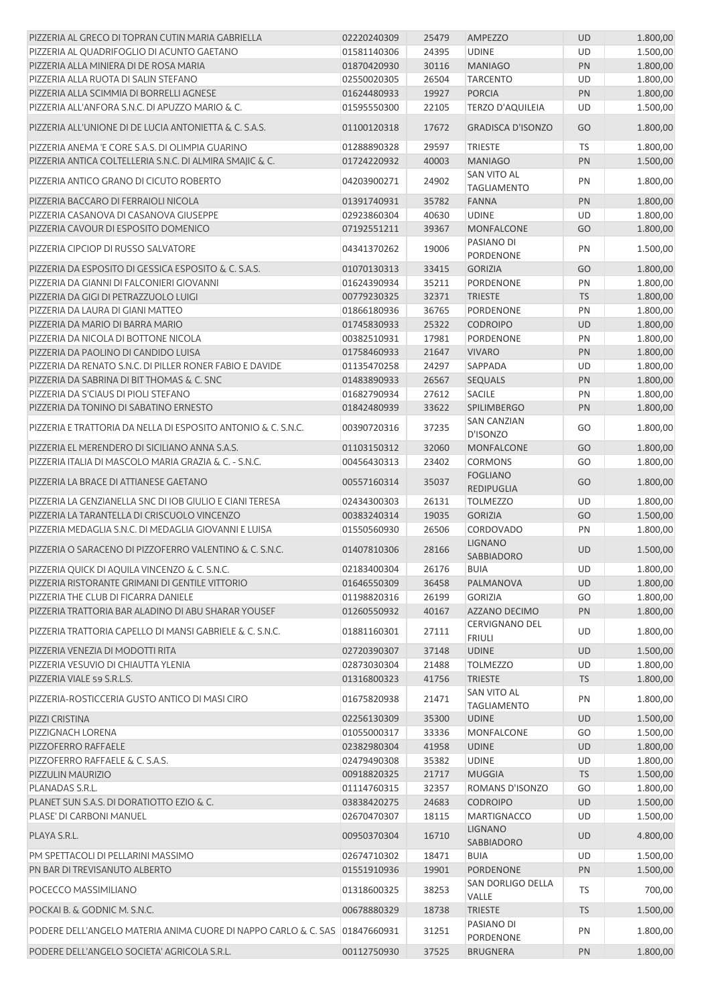| PIZZERIA AL GRECO DI TOPRAN CUTIN MARIA GABRIELLA                                                                         | 02220240309                | 25479          | <b>AMPEZZO</b>                           | <b>UD</b>       | 1.800,00           |
|---------------------------------------------------------------------------------------------------------------------------|----------------------------|----------------|------------------------------------------|-----------------|--------------------|
| PIZZERIA AL QUADRIFOGLIO DI ACUNTO GAETANO                                                                                | 01581140306                | 24395          | <b>UDINE</b>                             | UD              | 1.500,00           |
| PIZZERIA ALLA MINIERA DI DE ROSA MARIA                                                                                    | 01870420930                | 30116          | <b>MANIAGO</b>                           | PN              | 1.800,00           |
| PIZZERIA ALLA RUOTA DI SALIN STEFANO                                                                                      | 02550020305                | 26504          | <b>TARCENTO</b>                          | UD              | 1.800,00           |
| PIZZERIA ALLA SCIMMIA DI BORRELLI AGNESE                                                                                  | 01624480933                | 19927          | <b>PORCIA</b>                            | PN              | 1.800,00           |
| PIZZERIA ALL'ANFORA S.N.C. DI APUZZO MARIO & C.                                                                           | 01595550300                | 22105          | <b>TERZO D'AQUILEIA</b>                  | UD              | 1.500,00           |
| PIZZERIA ALL'UNIONE DI DE LUCIA ANTONIETTA & C. S.A.S.                                                                    | 01100120318                | 17672          | <b>GRADISCA D'ISONZO</b>                 | GO              | 1.800,00           |
| PIZZERIA ANEMA 'E CORE S.A.S. DI OLIMPIA GUARINO                                                                          | 01288890328                | 29597          | <b>TRIESTE</b>                           | TS              | 1.800,00           |
| PIZZERIA ANTICA COLTELLERIA S.N.C. DI ALMIRA SMAJIC & C.                                                                  | 01724220932                | 40003          | <b>MANIAGO</b>                           | PN              | 1.500,00           |
| PIZZERIA ANTICO GRANO DI CICUTO ROBERTO                                                                                   | 04203900271                | 24902          | <b>SAN VITO AL</b><br><b>TAGLIAMENTO</b> | PN              | 1.800,00           |
| PIZZERIA BACCARO DI FERRAIOLI NICOLA                                                                                      | 01391740931                | 35782          | <b>FANNA</b>                             | PN              | 1.800,00           |
| PIZZERIA CASANOVA DI CASANOVA GIUSEPPE                                                                                    | 02923860304                | 40630          | <b>UDINE</b>                             | UD              | 1.800,00           |
| PIZZERIA CAVOUR DI ESPOSITO DOMENICO                                                                                      | 07192551211                | 39367          | MONFALCONE                               | GO              | 1.800,00           |
| PIZZERIA CIPCIOP DI RUSSO SALVATORE                                                                                       | 04341370262                | 19006          | PASIANO DI<br><b>PORDENONE</b>           | PN              | 1.500,00           |
| PIZZERIA DA ESPOSITO DI GESSICA ESPOSITO & C. S.A.S.                                                                      | 01070130313                | 33415          | <b>GORIZIA</b>                           | GO              | 1.800,00           |
| PIZZERIA DA GIANNI DI FALCONIERI GIOVANNI                                                                                 | 01624390934                | 35211          | PORDENONE                                | PN              | 1.800,00           |
| PIZZERIA DA GIGI DI PETRAZZUOLO LUIGI                                                                                     | 00779230325                | 32371          | <b>TRIESTE</b>                           | <b>TS</b>       | 1.800,00           |
| PIZZERIA DA LAURA DI GIANI MATTEO                                                                                         | 01866180936                | 36765          | PORDENONE                                | PN              | 1.800,00           |
| PIZZERIA DA MARIO DI BARRA MARIO                                                                                          | 01745830933                | 25322          | <b>CODROIPO</b>                          | <b>UD</b>       | 1.800,00           |
| PIZZERIA DA NICOLA DI BOTTONE NICOLA                                                                                      | 00382510931                | 17981          | PORDENONE                                | PN              | 1.800,00           |
| PIZZERIA DA PAOLINO DI CANDIDO LUISA                                                                                      | 01758460933                | 21647          | <b>VIVARO</b>                            | PN              | 1.800,00           |
| PIZZERIA DA RENATO S.N.C. DI PILLER RONER FABIO E DAVIDE                                                                  | 01135470258                | 24297          | SAPPADA                                  | UD              | 1.800,00           |
| PIZZERIA DA SABRINA DI BITTHOMAS & C. SNC                                                                                 | 01483890933                | 26567          | <b>SEQUALS</b>                           | PN              | 1.800,00           |
| PIZZERIA DA S'CIAUS DI PIOLI STEFANO                                                                                      | 01682790934                | 27612          | <b>SACILE</b>                            | PN              | 1.800,00           |
| PIZZERIA DA TONINO DI SABATINO ERNESTO                                                                                    | 01842480939                | 33622          | <b>SPILIMBERGO</b>                       | PN              | 1.800,00           |
| PIZZERIA E TRATTORIA DA NELLA DI ESPOSITO ANTONIO & C. S.N.C.                                                             | 00390720316                | 37235          | <b>SAN CANZIAN</b><br>D'ISONZO           | GO              | 1.800,00           |
| PIZZERIA EL MERENDERO DI SICILIANO ANNA S.A.S.                                                                            | 01103150312                | 32060          | MONFALCONE                               | GO              | 1.800,00           |
| PIZZERIA ITALIA DI MASCOLO MARIA GRAZIA & C. - S.N.C.                                                                     | 00456430313                | 23402          | <b>CORMONS</b>                           | GO              | 1.800,00           |
| PIZZERIA LA BRACE DI ATTIANESE GAETANO                                                                                    | 00557160314                | 35037          | <b>FOGLIANO</b><br>REDIPUGLIA            | GO              | 1.800,00           |
| PIZZERIA LA GENZIANELLA SNC DI IOB GIULIO E CIANI TERESA                                                                  | 02434300303                | 26131          | <b>TOLMEZZO</b>                          | UD              | 1.800,00           |
| PIZZERIA LA TARANTELLA DI CRISCUOLO VINCENZO                                                                              | 00383240314                | 19035          | <b>GORIZIA</b>                           | GO              | 1.500,00           |
| PIZZERIA MEDAGLIA S.N.C. DI MEDAGLIA GIOVANNI E LUISA                                                                     | 01550560930                | 26506          | <b>CORDOVADO</b>                         | PN              | 1.800,00           |
| PIZZERIA O SARACENO DI PIZZOFERRO VALENTINO & C. S.N.C.                                                                   | 01407810306                | 28166          | <b>LIGNANO</b><br>SABBIADORO             | <b>UD</b>       | 1.500,00           |
| PIZZERIA QUICK DI AQUILA VINCENZO & C. S.N.C.                                                                             | 02183400304                | 26176          | <b>BUIA</b>                              | UD.             | 1.800,00           |
| PIZZERIA RISTORANTE GRIMANI DI GENTILE VITTORIO                                                                           | 01646550309                | 36458          | PALMANOVA                                | UD              | 1.800,00           |
| PIZZERIA THE CLUB DI FICARRA DANIELE                                                                                      | 01198820316                | 26199          | <b>GORIZIA</b>                           | GO              | 1.800,00           |
| PIZZERIA TRATTORIA BAR ALADINO DI ABU SHARAR YOUSEF                                                                       | 01260550932                | 40167          | AZZANO DECIMO                            | PN              | 1.800,00           |
| PIZZERIA TRATTORIA CAPELLO DI MANSI GABRIELE & C. S.N.C.                                                                  | 01881160301                | 27111          | <b>CERVIGNANO DEL</b><br><b>FRIULI</b>   | UD              | 1.800,00           |
| PIZZERIA VENEZIA DI MODOTTI RITA                                                                                          | 02720390307                | 37148          | <b>UDINE</b>                             | <b>UD</b>       | 1.500,00           |
| PIZZERIA VESUVIO DI CHIAUTTA YLENIA                                                                                       | 02873030304                | 21488          | <b>TOLMEZZO</b>                          | UD              | 1.800,00           |
| PIZZERIA VIALE 59 S.R.L.S.                                                                                                | 01316800323                | 41756          | <b>TRIESTE</b>                           | <b>TS</b>       | 1.800,00           |
| PIZZERIA-ROSTICCERIA GUSTO ANTICO DI MASI CIRO                                                                            | 01675820938                | 21471          | <b>SAN VITO AL</b><br><b>TAGLIAMENTO</b> | PN              | 1.800,00           |
| PIZZI CRISTINA                                                                                                            | 02256130309                | 35300          | <b>UDINE</b>                             | <b>UD</b>       | 1.500,00           |
| PIZZIGNACH LORENA                                                                                                         | 01055000317                | 33336          | MONFALCONE                               | GO              | 1.500,00           |
| PIZZOFERRO RAFFAELE                                                                                                       | 02382980304                | 41958          | <b>UDINE</b>                             | <b>UD</b>       | 1.800,00           |
| PIZZOFERRO RAFFAELE & C. S.A.S.                                                                                           | 02479490308                | 35382          | <b>UDINE</b>                             | UD              | 1.800,00           |
| PIZZULIN MAURIZIO                                                                                                         | 00918820325                | 21717          | <b>MUGGIA</b>                            | <b>TS</b>       | 1.500,00           |
| PLANADAS S.R.L.                                                                                                           | 01114760315                | 32357          | ROMANS D'ISONZO                          | GO              | 1.800,00           |
| PLANET SUN S.A.S. DI DORATIOTTO EZIO & C.                                                                                 | 03838420275                | 24683          | <b>CODROIPO</b>                          | <b>UD</b>       | 1.500,00           |
| PLASE' DI CARBONI MANUEL                                                                                                  | 02670470307                | 18115          | <b>MARTIGNACCO</b>                       | UD              | 1.500,00           |
| PLAYA S.R.L.                                                                                                              | 00950370304                | 16710          | <b>LIGNANO</b><br><b>SABBIADORO</b>      | UD              | 4.800,00           |
| PM SPETTACOLI DI PELLARINI MASSIMO                                                                                        | 02674710302                | 18471          | <b>BUIA</b>                              | UD              | 1.500,00           |
| PN BAR DI TREVISANUTO ALBERTO                                                                                             | 01551910936                | 19901          | PORDENONE                                | PN              | 1.500,00           |
|                                                                                                                           |                            |                | SAN DORLIGO DELLA                        |                 |                    |
| POCECCO MASSIMILIANO<br>POCKAI B. & GODNIC M. S.N.C.                                                                      | 01318600325<br>00678880329 | 38253<br>18738 | VALLE<br><b>TRIESTE</b>                  | TS<br><b>TS</b> | 700,00<br>1.500,00 |
|                                                                                                                           |                            |                | PASIANO DI                               |                 |                    |
| PODERE DELL'ANGELO MATERIA ANIMA CUORE DI NAPPO CARLO & C. SAS 01847660931<br>PODERE DELL'ANGELO SOCIETA' AGRICOLA S.R.L. |                            | 31251          | PORDENONE                                | PN<br>PN        | 1.800,00           |
|                                                                                                                           | 00112750930                | 37525          | <b>BRUGNERA</b>                          |                 | 1.800,00           |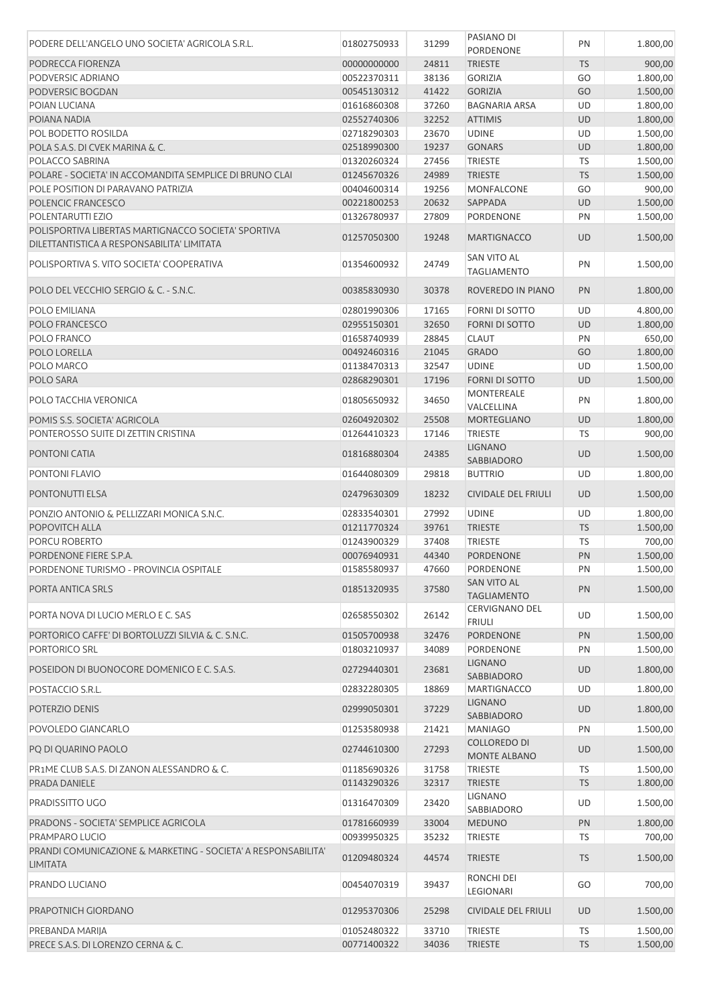| PODERE DELL'ANGELO UNO SOCIETA' AGRICOLA S.R.L.               | 01802750933 | 31299 | PASIANO DI<br>PORDENONE                | PN        | 1.800,00 |
|---------------------------------------------------------------|-------------|-------|----------------------------------------|-----------|----------|
| PODRECCA FIORENZA                                             | 00000000000 | 24811 | <b>TRIESTE</b>                         | <b>TS</b> | 900,00   |
| PODVERSIC ADRIANO                                             | 00522370311 | 38136 | <b>GORIZIA</b>                         | GO        | 1.800,00 |
| PODVERSIC BOGDAN                                              | 00545130312 | 41422 | <b>GORIZIA</b>                         | GO        | 1.500,00 |
| POIAN LUCIANA                                                 | 01616860308 | 37260 | <b>BAGNARIA ARSA</b>                   | UD        | 1.800,00 |
| POIANA NADIA                                                  | 02552740306 | 32252 | <b>ATTIMIS</b>                         | UD        | 1.800,00 |
| POL BODETTO ROSILDA                                           | 02718290303 | 23670 | <b>UDINE</b>                           | UD        | 1.500,00 |
| POLA S.A.S. DI CVEK MARINA & C.                               | 02518990300 | 19237 | <b>GONARS</b>                          | <b>UD</b> | 1.800,00 |
| POLACCO SABRINA                                               | 01320260324 | 27456 | <b>TRIESTE</b>                         | TS        | 1.500,00 |
| POLARE - SOCIETA' IN ACCOMANDITA SEMPLICE DI BRUNO CLAI       | 01245670326 | 24989 | <b>TRIESTE</b>                         | <b>TS</b> | 1.500,00 |
| POLE POSITION DI PARAVANO PATRIZIA                            | 00404600314 | 19256 | <b>MONFALCONE</b>                      | GO        | 900,00   |
| POLENCIC FRANCESCO                                            | 00221800253 | 20632 | SAPPADA                                | <b>UD</b> | 1.500,00 |
| POLENTARUTTI EZIO                                             | 01326780937 | 27809 | PORDENONE                              | PN        | 1.500,00 |
| POLISPORTIVA LIBERTAS MARTIGNACCO SOCIETA' SPORTIVA           |             |       |                                        |           |          |
| DILETTANTISTICA A RESPONSABILITA' LIMITATA                    | 01257050300 | 19248 | <b>MARTIGNACCO</b>                     | <b>UD</b> | 1.500,00 |
|                                                               |             |       | SAN VITO AL                            |           |          |
| POLISPORTIVA S. VITO SOCIETA' COOPERATIVA                     | 01354600932 | 24749 | <b>TAGLIAMENTO</b>                     | PN        | 1.500,00 |
| POLO DEL VECCHIO SERGIO & C. - S.N.C.                         | 00385830930 | 30378 | ROVEREDO IN PIANO                      | PN        | 1.800,00 |
|                                                               |             |       |                                        |           |          |
| POLO EMILIANA                                                 | 02801990306 | 17165 | FORNI DI SOTTO                         | UD        | 4.800,00 |
| POLO FRANCESCO                                                | 02955150301 | 32650 | <b>FORNI DI SOTTO</b>                  | <b>UD</b> | 1.800,00 |
| POLO FRANCO                                                   | 01658740939 | 28845 | <b>CLAUT</b>                           | PN        | 650,00   |
| POLO LORELLA                                                  | 00492460316 | 21045 | <b>GRADO</b>                           | GO        | 1.800,00 |
| POLO MARCO                                                    | 01138470313 | 32547 | <b>UDINE</b>                           | UD        | 1.500,00 |
| POLO SARA                                                     | 02868290301 | 17196 | <b>FORNI DI SOTTO</b>                  | <b>UD</b> | 1.500,00 |
| POLO TACCHIA VERONICA                                         | 01805650932 | 34650 | <b>MONTEREALE</b>                      | PN        | 1.800,00 |
|                                                               |             |       | VALCELLINA                             |           |          |
| POMIS S.S. SOCIETA' AGRICOLA                                  | 02604920302 | 25508 | MORTEGLIANO                            | <b>UD</b> | 1.800,00 |
| PONTEROSSO SUITE DI ZETTIN CRISTINA                           | 01264410323 | 17146 | <b>TRIESTE</b>                         | <b>TS</b> | 900,00   |
| PONTONI CATIA                                                 | 01816880304 | 24385 | <b>LIGNANO</b>                         | UD        | 1.500,00 |
|                                                               |             |       | SABBIADORO                             |           |          |
| PONTONI FLAVIO                                                | 01644080309 | 29818 | <b>BUTTRIO</b>                         | UD        | 1.800,00 |
| <b>PONTONUTTI ELSA</b>                                        | 02479630309 | 18232 | <b>CIVIDALE DEL FRIULI</b>             | <b>UD</b> | 1.500,00 |
|                                                               |             |       |                                        |           |          |
| PONZIO ANTONIO & PELLIZZARI MONICA S.N.C.                     | 02833540301 | 27992 | <b>UDINE</b>                           | UD        | 1.800,00 |
| POPOVITCH ALLA                                                | 01211770324 | 39761 | <b>TRIESTE</b>                         | <b>TS</b> | 1.500,00 |
| PORCU ROBERTO                                                 | 01243900329 | 37408 | <b>TRIESTE</b>                         | <b>TS</b> | 700,00   |
| PORDENONE FIERE S.P.A.                                        | 00076940931 | 44340 | PORDENONE                              | PN        | 1.500,00 |
| PORDENONE TURISMO - PROVINCIA OSPITALE                        | 01585580937 | 47660 | PORDENONE                              | PN        | 1.500,00 |
| PORTA ANTICA SRLS                                             | 01851320935 | 37580 | SAN VITO AL                            | PN        | 1.500,00 |
|                                                               |             |       | <b>TAGLIAMENTO</b>                     |           |          |
| PORTA NOVA DI LUCIO MERLO E C. SAS                            | 02658550302 | 26142 | <b>CERVIGNANO DEL</b><br><b>FRIULI</b> | UD        | 1.500,00 |
| PORTORICO CAFFE' DI BORTOLUZZI SILVIA & C. S.N.C.             | 01505700938 | 32476 | PORDENONE                              | PN        | 1.500,00 |
| PORTORICO SRL                                                 | 01803210937 | 34089 | PORDENONE                              | PN        | 1.500,00 |
|                                                               |             |       | <b>LIGNANO</b>                         |           |          |
| POSEIDON DI BUONOCORE DOMENICO E C. S.A.S.                    | 02729440301 | 23681 | SABBIADORO                             | <b>UD</b> | 1.800,00 |
| POSTACCIO S.R.L.                                              | 02832280305 | 18869 | <b>MARTIGNACCO</b>                     | UD        | 1.800,00 |
|                                                               |             |       | <b>LIGNANO</b>                         |           |          |
| POTERZIO DENIS                                                | 02999050301 | 37229 | SABBIADORO                             | <b>UD</b> | 1.800,00 |
| POVOLEDO GIANCARLO                                            | 01253580938 | 21421 | <b>MANIAGO</b>                         | PN        | 1.500,00 |
|                                                               |             |       | <b>COLLOREDO DI</b>                    |           |          |
| PQ DI QUARINO PAOLO                                           | 02744610300 | 27293 | MONTE ALBANO                           | <b>UD</b> | 1.500,00 |
| PR1ME CLUB S.A.S. DI ZANON ALESSANDRO & C.                    | 01185690326 | 31758 | TRIESTE                                | TS        | 1.500,00 |
| PRADA DANIELE                                                 | 01143290326 | 32317 | <b>TRIESTE</b>                         | <b>TS</b> | 1.800,00 |
| PRADISSITTO UGO                                               | 01316470309 | 23420 | LIGNANO                                |           | 1.500,00 |
|                                                               |             |       | SABBIADORO                             | UD        |          |
| PRADONS - SOCIETA' SEMPLICE AGRICOLA                          | 01781660939 | 33004 | <b>MEDUNO</b>                          | PN        | 1.800,00 |
| PRAMPARO LUCIO                                                | 00939950325 | 35232 | <b>TRIESTE</b>                         | TS        | 700,00   |
| PRANDI COMUNICAZIONE & MARKETING - SOCIETA' A RESPONSABILITA' | 01209480324 | 44574 | <b>TRIESTE</b>                         | <b>TS</b> | 1.500,00 |
| <b>LIMITATA</b>                                               |             |       |                                        |           |          |
| PRANDO LUCIANO                                                | 00454070319 | 39437 | RONCHI DEI                             | GO        | 700,00   |
|                                                               |             |       | LEGIONARI                              |           |          |
| PRAPOTNICH GIORDANO                                           | 01295370306 | 25298 | <b>CIVIDALE DEL FRIULI</b>             | <b>UD</b> | 1.500,00 |
|                                                               |             |       |                                        |           |          |
| PREBANDA MARIJA                                               | 01052480322 | 33710 | <b>TRIESTE</b>                         | TS        | 1.500,00 |
| PRECE S.A.S. DI LORENZO CERNA & C.                            | 00771400322 | 34036 | <b>TRIESTE</b>                         | <b>TS</b> | 1.500,00 |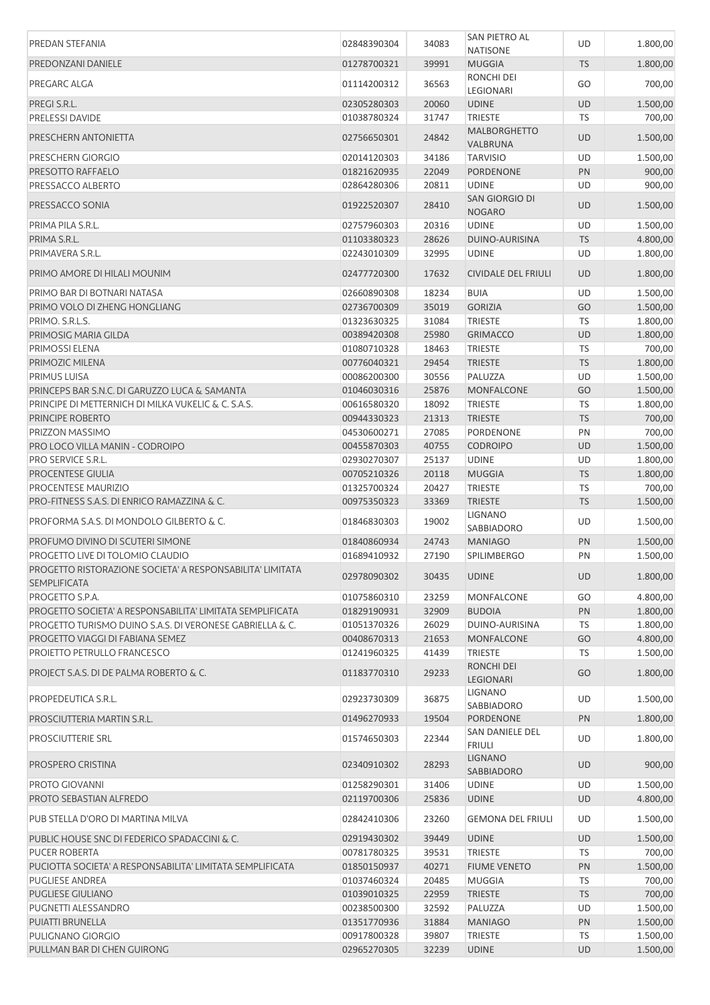| PREDAN STEFANIA                                                                                                       | 02848390304                | 34083          | SAN PIETRO AL                   | UD        | 1.800,00             |
|-----------------------------------------------------------------------------------------------------------------------|----------------------------|----------------|---------------------------------|-----------|----------------------|
|                                                                                                                       |                            |                | <b>NATISONE</b>                 | <b>TS</b> | 1.800,00             |
| PREDONZANI DANIELE                                                                                                    | 01278700321                | 39991          | <b>MUGGIA</b><br>RONCHI DEI     |           |                      |
| PREGARC ALGA                                                                                                          | 01114200312                | 36563          | LEGIONARI                       | GO        | 700,00               |
| PREGI S.R.L.                                                                                                          | 02305280303                | 20060          | <b>UDINE</b>                    | <b>UD</b> | 1.500,00             |
| <b>PRELESSI DAVIDE</b>                                                                                                | 01038780324                | 31747          | <b>TRIESTE</b>                  | TS        | 700,00               |
| PRESCHERN ANTONIETTA                                                                                                  | 02756650301                | 24842          | <b>MALBORGHETTO</b><br>VALBRUNA | <b>UD</b> | 1.500,00             |
| PRESCHERN GIORGIO                                                                                                     | 02014120303                | 34186          | <b>TARVISIO</b>                 | UD        | 1.500,00             |
| PRESOTTO RAFFAELO                                                                                                     | 01821620935                | 22049          | PORDENONE                       | PN        | 900,00               |
| PRESSACCO ALBERTO                                                                                                     | 02864280306                | 20811          | <b>UDINE</b>                    | UD        | 900,00               |
| PRESSACCO SONIA                                                                                                       | 01922520307                | 28410          | SAN GIORGIO DI<br><b>NOGARO</b> | <b>UD</b> | 1.500,00             |
| PRIMA PILA S.R.L.                                                                                                     | 02757960303                | 20316          | <b>UDINE</b>                    | UD        | 1.500,00             |
| PRIMA S.R.L.                                                                                                          | 01103380323                | 28626          | DUINO-AURISINA                  | <b>TS</b> | 4.800,00             |
| PRIMAVERA S.R.L.                                                                                                      | 02243010309                | 32995          | <b>UDINE</b>                    | UD        | 1.800,00             |
| PRIMO AMORE DI HILALI MOUNIM                                                                                          | 02477720300                | 17632          | <b>CIVIDALE DEL FRIULI</b>      | <b>UD</b> | 1.800,00             |
| PRIMO BAR DI BOTNARI NATASA                                                                                           | 02660890308                | 18234          | <b>BUIA</b>                     | UD        | 1.500,00             |
| PRIMO VOLO DI ZHENG HONGLIANG                                                                                         | 02736700309                | 35019          | <b>GORIZIA</b>                  | GO        | 1.500,00             |
| PRIMO. S.R.L.S.                                                                                                       | 01323630325                | 31084          | <b>TRIESTE</b>                  | TS        | 1.800,00             |
| PRIMOSIG MARIA GILDA                                                                                                  | 00389420308                | 25980          | <b>GRIMACCO</b>                 | UD        | 1.800,00             |
| PRIMOSSI ELENA                                                                                                        | 01080710328                | 18463          | <b>TRIESTE</b>                  | <b>TS</b> | 700,00               |
| PRIMOZIC MILENA                                                                                                       | 00776040321                | 29454          | <b>TRIESTE</b>                  | <b>TS</b> | 1.800,00             |
| <b>PRIMUS LUISA</b>                                                                                                   | 00086200300                | 30556          | PALUZZA                         | UD        | 1.500,00             |
| PRINCEPS BAR S.N.C. DI GARUZZO LUCA & SAMANTA                                                                         | 01046030316                | 25876          | <b>MONFALCONE</b>               | GO        | 1.500,00             |
| PRINCIPE DI METTERNICH DI MILKA VUKELIC & C. S.A.S.                                                                   | 00616580320                | 18092          | <b>TRIESTE</b>                  | <b>TS</b> | 1.800,00             |
| PRINCIPE ROBERTO                                                                                                      | 00944330323                | 21313          | <b>TRIESTE</b>                  | <b>TS</b> | 700,00               |
| PRIZZON MASSIMO                                                                                                       | 04530600271                | 27085          | PORDENONE                       | PN        | 700,00               |
| PRO LOCO VILLA MANIN - CODROIPO                                                                                       | 00455870303                | 40755          | <b>CODROIPO</b>                 | UD        | 1.500,00             |
| PRO SERVICE S.R.L.                                                                                                    | 02930270307                | 25137          | <b>UDINE</b>                    | UD        | 1.800,00             |
| <b>PROCENTESE GIULIA</b>                                                                                              | 00705210326                | 20118          | <b>MUGGIA</b>                   | <b>TS</b> | 1.800,00             |
| PROCENTESE MAURIZIO                                                                                                   | 01325700324                | 20427          | <b>TRIESTE</b>                  | TS        | 700,00               |
| PRO-FITNESS S.A.S. DI ENRICO RAMAZZINA & C.                                                                           | 00975350323                | 33369          | <b>TRIESTE</b>                  | <b>TS</b> | 1.500,00             |
| PROFORMA S.A.S. DI MONDOLO GILBERTO & C.                                                                              | 01846830303                | 19002          | LIGNANO<br>SABBIADORO           | UD        | 1.500,00             |
| PROFUMO DIVINO DI SCUTERI SIMONE                                                                                      | 01840860934                | 24743          | <b>MANIAGO</b>                  | PN        | 1.500,00             |
| PROGETTO LIVE DI TOLOMIO CLAUDIO                                                                                      | 01689410932                | 27190          | <b>SPILIMBERGO</b>              | PN        | 1.500,00             |
| PROGETTO RISTORAZIONE SOCIETA' A RESPONSABILITA' LIMITATA                                                             | 02978090302                | 30435          | <b>UDINE</b>                    | <b>UD</b> | 1.800,00             |
| <b>SEMPLIFICATA</b>                                                                                                   |                            |                |                                 |           |                      |
| PROGETTO S.P.A.                                                                                                       | 01075860310<br>01829190931 | 23259<br>32909 | <b>MONFALCONE</b>               | GO<br>PN  | 4.800,00<br>1.800,00 |
| PROGETTO SOCIETA' A RESPONSABILITA' LIMITATA SEMPLIFICATA<br>PROGETTO TURISMO DUINO S.A.S. DI VERONESE GABRIELLA & C. | 01051370326                | 26029          | <b>BUDOIA</b><br>DUINO-AURISINA | <b>TS</b> | 1.800,00             |
| PROGETTO VIAGGI DI FABIANA SEMEZ                                                                                      | 00408670313                | 21653          | MONFALCONE                      | GO        | 4.800,00             |
| PROJETTO PETRULLO FRANCESCO                                                                                           | 01241960325                | 41439          | TRIESTE                         | TS        | 1.500,00             |
| PROJECT S.A.S. DI DE PALMA ROBERTO & C.                                                                               | 01183770310                | 29233          | RONCHI DEI                      | GO        | 1.800,00             |
| PROPEDEUTICA S.R.L.                                                                                                   | 02923730309                | 36875          | <b>LEGIONARI</b><br>LIGNANO     | UD        | 1.500,00             |
|                                                                                                                       |                            |                | SABBIADORO                      |           |                      |
| PROSCIUTTERIA MARTIN S.R.L.                                                                                           | 01496270933                | 19504          | PORDENONE<br>SAN DANIELE DEL    | PN        | 1.800,00             |
| <b>PROSCIUTTERIE SRL</b>                                                                                              | 01574650303                | 22344          | <b>FRIULI</b><br><b>LIGNANO</b> | UD        | 1.800,00             |
| PROSPERO CRISTINA                                                                                                     | 02340910302                | 28293          | SABBIADORO                      | <b>UD</b> | 900,00               |
| PROTO GIOVANNI                                                                                                        | 01258290301                | 31406          | <b>UDINE</b>                    | UD        | 1.500,00             |
| PROTO SEBASTIAN ALFREDO                                                                                               | 02119700306                | 25836          | <b>UDINE</b>                    | <b>UD</b> | 4.800,00             |
| PUB STELLA D'ORO DI MARTINA MILVA                                                                                     | 02842410306                | 23260          | <b>GEMONA DEL FRIULI</b>        | UD        | 1.500,00             |
| PUBLIC HOUSE SNC DI FEDERICO SPADACCINI & C.                                                                          | 02919430302                | 39449          | <b>UDINE</b>                    | <b>UD</b> | 1.500,00             |
| <b>PUCER ROBERTA</b>                                                                                                  | 00781780325                | 39531          | <b>TRIESTE</b>                  | TS        | 700,00               |
| PUCIOTTA SOCIETA' A RESPONSABILITA' LIMITATA SEMPLIFICATA                                                             | 01850150937                | 40271          | <b>FIUME VENETO</b>             | PN        | 1.500,00             |
| <b>PUGLIESE ANDREA</b>                                                                                                | 01037460324                | 20485          | <b>MUGGIA</b>                   | <b>TS</b> | 700,00               |
| <b>PUGLIESE GIULIANO</b>                                                                                              | 01039010325                | 22959          | <b>TRIESTE</b>                  | <b>TS</b> | 700,00               |
| PUGNETTI ALESSANDRO                                                                                                   | 00238500300                | 32592          | PALUZZA                         | UD        | 1.500,00             |
| PUIATTI BRUNELLA                                                                                                      | 01351770936                | 31884          | <b>MANIAGO</b>                  | PN        | 1.500,00             |
| PULIGNANO GIORGIO                                                                                                     | 00917800328                | 39807          | <b>TRIESTE</b>                  | TS        | 1.500,00             |
| PULLMAN BAR DI CHEN GUIRONG                                                                                           | 02965270305                | 32239          | <b>UDINE</b>                    | <b>UD</b> | 1.500,00             |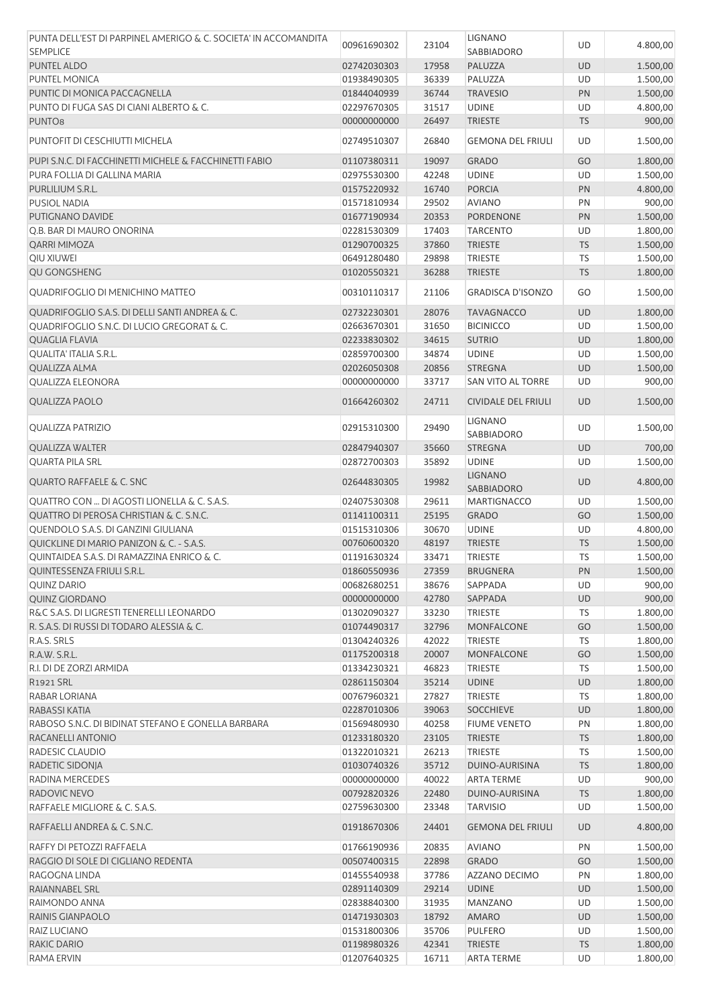| PUNTA DELL'EST DI PARPINEL AMERIGO & C. SOCIETA' IN ACCOMANDITA<br><b>SEMPLICE</b> | 00961690302 | 23104          | <b>LIGNANO</b><br>SABBIADORO | UD        | 4.800,00 |
|------------------------------------------------------------------------------------|-------------|----------------|------------------------------|-----------|----------|
| <b>PUNTEL ALDO</b>                                                                 | 02742030303 | 17958          | PALUZZA                      | <b>UD</b> | 1.500,00 |
| PUNTEL MONICA                                                                      | 01938490305 | 36339          | PALUZZA                      | UD        | 1.500,00 |
| PUNTIC DI MONICA PACCAGNELLA                                                       | 01844040939 | 36744          | <b>TRAVESIO</b>              | PN        | 1.500,00 |
| PUNTO DI FUGA SAS DI CIANI ALBERTO & C.                                            | 02297670305 | 31517          | <b>UDINE</b>                 | UD        | 4.800,00 |
| PUNTO <sub>8</sub>                                                                 | 00000000000 | 26497          | <b>TRIESTE</b>               | <b>TS</b> | 900,00   |
| PUNTOFIT DI CESCHIUTTI MICHELA                                                     | 02749510307 | 26840          | <b>GEMONA DEL FRIULI</b>     | UD        | 1.500,00 |
| PUPI S.N.C. DI FACCHINETTI MICHELE & FACCHINETTI FABIO                             |             |                |                              | GO        |          |
| PURA FOLLIA DI GALLINA MARIA                                                       | 01107380311 | 19097<br>42248 | <b>GRADO</b><br><b>UDINE</b> | UD        | 1.800,00 |
|                                                                                    | 02975530300 |                |                              |           | 1.500,00 |
| PURLILIUM S.R.L.                                                                   | 01575220932 | 16740          | <b>PORCIA</b>                | PN        | 4.800,00 |
| <b>PUSIOL NADIA</b>                                                                | 01571810934 | 29502          | <b>AVIANO</b>                | PN        | 900,00   |
| PUTIGNANO DAVIDE                                                                   | 01677190934 | 20353          | PORDENONE                    | PN        | 1.500,00 |
| Q.B. BAR DI MAURO ONORINA                                                          | 02281530309 | 17403          | <b>TARCENTO</b>              | UD        | 1.800,00 |
| QARRI MIMOZA                                                                       | 01290700325 | 37860          | <b>TRIESTE</b>               | <b>TS</b> | 1.500,00 |
| QIU XIUWEI                                                                         | 06491280480 | 29898          | TRIESTE                      | TS        | 1.500,00 |
| QU GONGSHENG                                                                       | 01020550321 | 36288          | <b>TRIESTE</b>               | <b>TS</b> | 1.800,00 |
| QUADRIFOGLIO DI MENICHINO MATTEO                                                   | 00310110317 | 21106          | <b>GRADISCA D'ISONZO</b>     | GO        | 1.500,00 |
| QUADRIFOGLIO S.A.S. DI DELLI SANTI ANDREA & C.                                     | 02732230301 | 28076          | <b>TAVAGNACCO</b>            | <b>UD</b> | 1.800,00 |
| QUADRIFOGLIO S.N.C. DI LUCIO GREGORAT & C.                                         | 02663670301 | 31650          | <b>BICINICCO</b>             | UD        | 1.500,00 |
| <b>QUAGLIA FLAVIA</b>                                                              | 02233830302 | 34615          | <b>SUTRIO</b>                | UD        | 1.800,00 |
| QUALITA' ITALIA S.R.L.                                                             | 02859700300 | 34874          | <b>UDINE</b>                 | UD        | 1.500,00 |
| <b>QUALIZZA ALMA</b>                                                               | 02026050308 | 20856          | <b>STREGNA</b>               | <b>UD</b> | 1.500,00 |
| QUALIZZA ELEONORA                                                                  | 00000000000 | 33717          | SAN VITO AL TORRE            | UD        | 900,00   |
| <b>QUALIZZA PAOLO</b>                                                              | 01664260302 | 24711          | <b>CIVIDALE DEL FRIULI</b>   | <b>UD</b> | 1.500,00 |
| <b>QUALIZZA PATRIZIO</b>                                                           | 02915310300 | 29490          | <b>LIGNANO</b><br>SABBIADORO | UD        | 1.500,00 |
| <b>QUALIZZA WALTER</b>                                                             | 02847940307 | 35660          | <b>STREGNA</b>               | UD        | 700,00   |
| <b>QUARTA PILA SRL</b>                                                             | 02872700303 | 35892          | <b>UDINE</b>                 | UD        | 1.500,00 |
| <b>QUARTO RAFFAELE &amp; C. SNC</b>                                                | 02644830305 | 19982          | <b>LIGNANO</b>               | UD        | 4.800,00 |
|                                                                                    |             |                | <b>SABBIADORO</b>            |           |          |
| QUATTRO CON  DI AGOSTI LIONELLA & C. S.A.S.                                        | 02407530308 | 29611          | <b>MARTIGNACCO</b>           | UD        | 1.500,00 |
| QUATTRO DI PEROSA CHRISTIAN & C. S.N.C.                                            | 01141100311 | 25195          | <b>GRADO</b>                 | GO        | 1.500,00 |
| QUENDOLO S.A.S. DI GANZINI GIULIANA                                                | 01515310306 | 30670          | <b>UDINE</b>                 | UD        | 4.800,00 |
| QUICKLINE DI MARIO PANIZON & C. - S.A.S.                                           | 00760600320 | 48197          | <b>TRIESTE</b>               | <b>TS</b> | 1.500,00 |
| QUINTAIDEA S.A.S. DI RAMAZZINA ENRICO & C.                                         | 01191630324 | 33471          | <b>TRIESTE</b>               | TS        | 1.500,00 |
| QUINTESSENZA FRIULI S.R.L.                                                         | 01860550936 | 27359          | <b>BRUGNERA</b>              | PN        | 1.500,00 |
| <b>QUINZ DARIO</b>                                                                 | 00682680251 | 38676          | SAPPADA                      | UD        | 900,00   |
| <b>QUINZ GIORDANO</b>                                                              | 00000000000 | 42780          | SAPPADA                      | UD        | 900,00   |
| R&C S.A.S. DI LIGRESTI TENERELLI LEONARDO                                          | 01302090327 | 33230          | TRIESTE                      | <b>TS</b> | 1.800,00 |
| R. S.A.S. DI RUSSI DI TODARO ALESSIA & C.                                          | 01074490317 | 32796          | <b>MONFALCONE</b>            | GO        | 1.500,00 |
| R.A.S. SRLS                                                                        | 01304240326 | 42022          | TRIESTE                      | <b>TS</b> | 1.800,00 |
| R.A.W. S.R.L.                                                                      | 01175200318 | 20007          | <b>MONFALCONE</b>            | GO        | 1.500,00 |
| R.I. DI DE ZORZI ARMIDA                                                            | 01334230321 | 46823          | <b>TRIESTE</b>               | TS        | 1.500,00 |
| R1921 SRL                                                                          | 02861150304 | 35214          | <b>UDINE</b>                 | UD        | 1.800,00 |
| RABAR LORIANA                                                                      | 00767960321 | 27827          | TRIESTE                      | TS        | 1.800,00 |
| RABASSI KATIA                                                                      | 02287010306 | 39063          | <b>SOCCHIEVE</b>             | UD        | 1.800,00 |
| RABOSO S.N.C. DI BIDINAT STEFANO E GONELLA BARBARA                                 | 01569480930 | 40258          | <b>FIUME VENETO</b>          | PN        | 1.800,00 |
| RACANELLI ANTONIO                                                                  | 01233180320 | 23105          | <b>TRIESTE</b>               | <b>TS</b> | 1.800,00 |
| RADESIC CLAUDIO                                                                    | 01322010321 | 26213          | <b>TRIESTE</b>               | TS        | 1.500,00 |
| RADETIC SIDONJA                                                                    | 01030740326 | 35712          | DUINO-AURISINA               | <b>TS</b> | 1.800,00 |
| RADINA MERCEDES                                                                    | 00000000000 | 40022          | <b>ARTA TERME</b>            | UD        | 900,00   |
| RADOVIC NEVO                                                                       | 00792820326 | 22480          | DUINO-AURISINA               | <b>TS</b> | 1.800,00 |
| RAFFAELE MIGLIORE & C. S.A.S.                                                      | 02759630300 | 23348          | <b>TARVISIO</b>              | UD        | 1.500,00 |
| RAFFAELLI ANDREA & C. S.N.C.                                                       | 01918670306 | 24401          | <b>GEMONA DEL FRIULI</b>     | <b>UD</b> | 4.800,00 |
| RAFFY DI PETOZZI RAFFAELA                                                          | 01766190936 | 20835          | <b>AVIANO</b>                | PN        | 1.500,00 |
| RAGGIO DI SOLE DI CIGLIANO REDENTA                                                 | 00507400315 | 22898          | <b>GRADO</b>                 | GO        | 1.500,00 |
|                                                                                    |             | 37786          | AZZANO DECIMO                |           |          |
| RAGOGNA LINDA                                                                      | 01455540938 | 29214          |                              | PN        | 1.800,00 |
| RAIANNABEL SRL                                                                     | 02891140309 |                | <b>UDINE</b>                 | UD        | 1.500,00 |
| RAIMONDO ANNA                                                                      | 02838840300 | 31935          | <b>MANZANO</b>               | UD        | 1.500,00 |
| RAINIS GIANPAOLO                                                                   | 01471930303 | 18792          | <b>AMARO</b>                 | <b>UD</b> | 1.500,00 |
| RAIZ LUCIANO                                                                       | 01531800306 | 35706          | <b>PULFERO</b>               | UD        | 1.500,00 |
| RAKIC DARIO                                                                        | 01198980326 | 42341          | <b>TRIESTE</b>               | <b>TS</b> | 1.800,00 |
| RAMA ERVIN                                                                         | 01207640325 | 16711          | <b>ARTA TERME</b>            | UD        | 1.800,00 |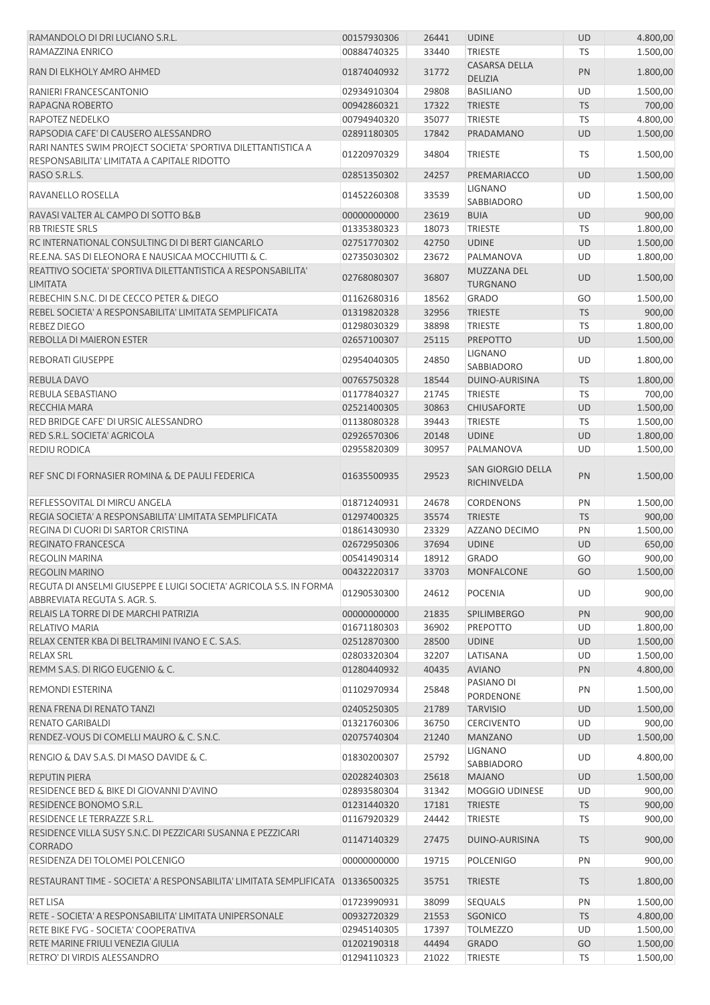| RAMANDOLO DI DRI LUCIANO S.R.L.                                                                             | 00157930306 | 26441 | <b>UDINE</b>                     | <b>UD</b> | 4.800,00 |
|-------------------------------------------------------------------------------------------------------------|-------------|-------|----------------------------------|-----------|----------|
| RAMAZZINA ENRICO                                                                                            | 00884740325 | 33440 | <b>TRIESTE</b>                   | <b>TS</b> | 1.500,00 |
|                                                                                                             |             |       | <b>CASARSA DELLA</b>             |           |          |
| RAN DI ELKHOLY AMRO AHMED                                                                                   | 01874040932 | 31772 | <b>DELIZIA</b>                   | PN        | 1.800,00 |
| RANIERI FRANCESCANTONIO                                                                                     | 02934910304 | 29808 | <b>BASILIANO</b>                 | UD        | 1.500,00 |
| RAPAGNA ROBERTO                                                                                             | 00942860321 | 17322 | <b>TRIESTE</b>                   | <b>TS</b> | 700,00   |
| RAPOTEZ NEDELKO                                                                                             | 00794940320 | 35077 | <b>TRIESTE</b>                   | <b>TS</b> | 4.800,00 |
| RAPSODIA CAFE' DI CAUSERO ALESSANDRO                                                                        | 02891180305 | 17842 | PRADAMANO                        | <b>UD</b> | 1.500,00 |
|                                                                                                             |             |       |                                  |           |          |
| RARI NANTES SWIM PROJECT SOCIETA' SPORTIVA DILETTANTISTICA A<br>RESPONSABILITA' LIMITATA A CAPITALE RIDOTTO | 01220970329 | 34804 | <b>TRIESTE</b>                   | <b>TS</b> | 1.500,00 |
| RASO S.R.L.S.                                                                                               | 02851350302 | 24257 | PREMARIACCO                      | <b>UD</b> | 1.500,00 |
| RAVANELLO ROSELLA                                                                                           | 01452260308 | 33539 | LIGNANO<br><b>SABBIADORO</b>     | UD        | 1.500,00 |
|                                                                                                             |             |       |                                  |           |          |
| RAVASI VALTER AL CAMPO DI SOTTO B&B                                                                         | 00000000000 | 23619 | <b>BUIA</b>                      | <b>UD</b> | 900,00   |
| <b>RB TRIESTE SRLS</b>                                                                                      | 01335380323 | 18073 | <b>TRIESTE</b>                   | TS        | 1.800,00 |
| RC INTERNATIONAL CONSULTING DI DI BERT GIANCARLO                                                            | 02751770302 | 42750 | <b>UDINE</b>                     | <b>UD</b> | 1.500,00 |
| RE.E.NA. SAS DI ELEONORA E NAUSICAA MOCCHIUTTI & C.                                                         | 02735030302 | 23672 | PALMANOVA                        | UD        | 1.800,00 |
| REATTIVO SOCIETA' SPORTIVA DILETTANTISTICA A RESPONSABILITA'<br><b>LIMITATA</b>                             | 02768080307 | 36807 | MUZZANA DEL<br><b>TURGNANO</b>   | <b>UD</b> | 1.500,00 |
| REBECHIN S.N.C. DI DE CECCO PETER & DIEGO                                                                   | 01162680316 | 18562 | <b>GRADO</b>                     | GO        | 1.500,00 |
| REBEL SOCIETA' A RESPONSABILITA' LIMITATA SEMPLIFICATA                                                      | 01319820328 | 32956 | <b>TRIESTE</b>                   | <b>TS</b> | 900,00   |
| <b>REBEZ DIEGO</b>                                                                                          | 01298030329 | 38898 | <b>TRIESTE</b>                   | <b>TS</b> |          |
|                                                                                                             |             |       |                                  |           | 1.800,00 |
| REBOLLA DI MAIERON ESTER                                                                                    | 02657100307 | 25115 | <b>PREPOTTO</b>                  | <b>UD</b> | 1.500,00 |
| <b>REBORATI GIUSEPPE</b>                                                                                    | 02954040305 | 24850 | <b>LIGNANO</b>                   | UD        | 1.800,00 |
|                                                                                                             |             |       | SABBIADORO                       |           |          |
| REBULA DAVO                                                                                                 | 00765750328 | 18544 | DUINO-AURISINA                   | <b>TS</b> | 1.800,00 |
| REBULA SEBASTIANO                                                                                           | 01177840327 | 21745 | <b>TRIESTE</b>                   | <b>TS</b> | 700,00   |
| RECCHIA MARA                                                                                                | 02521400305 | 30863 | <b>CHIUSAFORTE</b>               | <b>UD</b> | 1.500,00 |
| RED BRIDGE CAFE' DI URSIC ALESSANDRO                                                                        | 01138080328 | 39443 | <b>TRIESTE</b>                   | <b>TS</b> | 1.500,00 |
| RED S.R.L. SOCIETA' AGRICOLA                                                                                | 02926570306 | 20148 | <b>UDINE</b>                     | <b>UD</b> | 1.800,00 |
| <b>REDIU RODICA</b>                                                                                         | 02955820309 | 30957 | PALMANOVA                        | UD        | 1.500,00 |
| REF SNC DI FORNASIER ROMINA & DE PAULI FEDERICA                                                             | 01635500935 | 29523 | SAN GIORGIO DELLA<br>RICHINVELDA | PN        | 1.500,00 |
| REFLESSOVITAL DI MIRCU ANGELA                                                                               | 01871240931 | 24678 | <b>CORDENONS</b>                 | PN        | 1.500,00 |
| REGIA SOCIETA' A RESPONSABILITA' LIMITATA SEMPLIFICATA                                                      | 01297400325 | 35574 | <b>TRIESTE</b>                   | <b>TS</b> | 900,00   |
| REGINA DI CUORI DI SARTOR CRISTINA                                                                          | 01861430930 | 23329 | AZZANO DECIMO                    | PN        | 1.500,00 |
| <b>REGINATO FRANCESCA</b>                                                                                   | 02672950306 | 37694 | <b>UDINE</b>                     | <b>UD</b> | 650,00   |
| <b>REGOLIN MARINA</b>                                                                                       | 00541490314 | 18912 | <b>GRADO</b>                     | GO        | 900,00   |
|                                                                                                             |             |       | <b>MONFALCONE</b>                |           | 1.500,00 |
| <b>REGOLIN MARINO</b>                                                                                       | 00432220317 | 33703 |                                  | GO        |          |
| REGUTA DI ANSELMI GIUSEPPE E LUIGI SOCIETA' AGRICOLA S.S. IN FORMA<br>ABBREVIATA REGUTA S. AGR. S.          | 01290530300 | 24612 | <b>POCENIA</b>                   | UD        | 900,00   |
| RELAIS LA TORRE DI DE MARCHI PATRIZIA                                                                       | 00000000000 | 21835 | <b>SPILIMBERGO</b>               | PN        | 900,00   |
| RELATIVO MARIA                                                                                              | 01671180303 | 36902 | <b>PREPOTTO</b>                  | UD        | 1.800,00 |
| RELAX CENTER KBA DI BELTRAMINI IVANO E C. S.A.S.                                                            | 02512870300 | 28500 | <b>UDINE</b>                     | <b>UD</b> | 1.500,00 |
| <b>RELAX SRL</b>                                                                                            | 02803320304 | 32207 | LATISANA                         | UD        | 1.500,00 |
| REMM S.A.S. DI RIGO EUGENIO & C.                                                                            | 01280440932 | 40435 | <b>AVIANO</b>                    | <b>PN</b> | 4.800,00 |
|                                                                                                             |             |       | PASIANO DI                       |           |          |
| REMONDI ESTERINA                                                                                            | 01102970934 | 25848 | PORDENONE                        | PN        | 1.500,00 |
| RENA FRENA DI RENATO TANZI                                                                                  | 02405250305 | 21789 | <b>TARVISIO</b>                  | <b>UD</b> | 1.500,00 |
| RENATO GARIBALDI                                                                                            | 01321760306 | 36750 | <b>CERCIVENTO</b>                | UD        | 900,00   |
| RENDEZ-VOUS DI COMELLI MAURO & C. S.N.C.                                                                    | 02075740304 | 21240 | <b>MANZANO</b>                   | <b>UD</b> | 1.500,00 |
| RENGIO & DAV S.A.S. DI MASO DAVIDE & C.                                                                     | 01830200307 | 25792 | <b>LIGNANO</b><br>SABBIADORO     | UD        | 4.800,00 |
| <b>REPUTIN PIERA</b>                                                                                        | 02028240303 | 25618 | <b>MAJANO</b>                    | <b>UD</b> | 1.500,00 |
|                                                                                                             |             |       |                                  |           |          |
| RESIDENCE BED & BIKE DI GIOVANNI D'AVINO                                                                    | 02893580304 | 31342 | MOGGIO UDINESE                   | UD        | 900,00   |
| RESIDENCE BONOMO S.R.L.                                                                                     | 01231440320 | 17181 | <b>TRIESTE</b>                   | <b>TS</b> | 900,00   |
| RESIDENCE LE TERRAZZE S.R.L.                                                                                | 01167920329 | 24442 | <b>TRIESTE</b>                   | TS        | 900,00   |
| RESIDENCE VILLA SUSY S.N.C. DI PEZZICARI SUSANNA E PEZZICARI<br>CORRADO                                     | 01147140329 | 27475 | DUINO-AURISINA                   | <b>TS</b> | 900,00   |
| RESIDENZA DEI TOLOMEI POLCENIGO                                                                             | 00000000000 | 19715 | <b>POLCENIGO</b>                 | PN        | 900,00   |
| RESTAURANT TIME - SOCIETA' A RESPONSABILITA' LIMITATA SEMPLIFICATA 01336500325                              |             | 35751 | <b>TRIESTE</b>                   | <b>TS</b> | 1.800,00 |
| <b>RET LISA</b>                                                                                             | 01723990931 | 38099 | <b>SEQUALS</b>                   | PN        | 1.500,00 |
| RETE - SOCIETA' A RESPONSABILITA' LIMITATA UNIPERSONALE                                                     | 00932720329 | 21553 | <b>SGONICO</b>                   | <b>TS</b> | 4.800,00 |
| RETE BIKE FVG - SOCIETA' COOPERATIVA                                                                        | 02945140305 | 17397 | <b>TOLMEZZO</b>                  | UD        | 1.500,00 |
| RETE MARINE FRIULI VENEZIA GIULIA                                                                           | 01202190318 | 44494 | <b>GRADO</b>                     | GO        | 1.500,00 |
| RETRO' DI VIRDIS ALESSANDRO                                                                                 | 01294110323 | 21022 | <b>TRIESTE</b>                   | <b>TS</b> | 1.500,00 |
|                                                                                                             |             |       |                                  |           |          |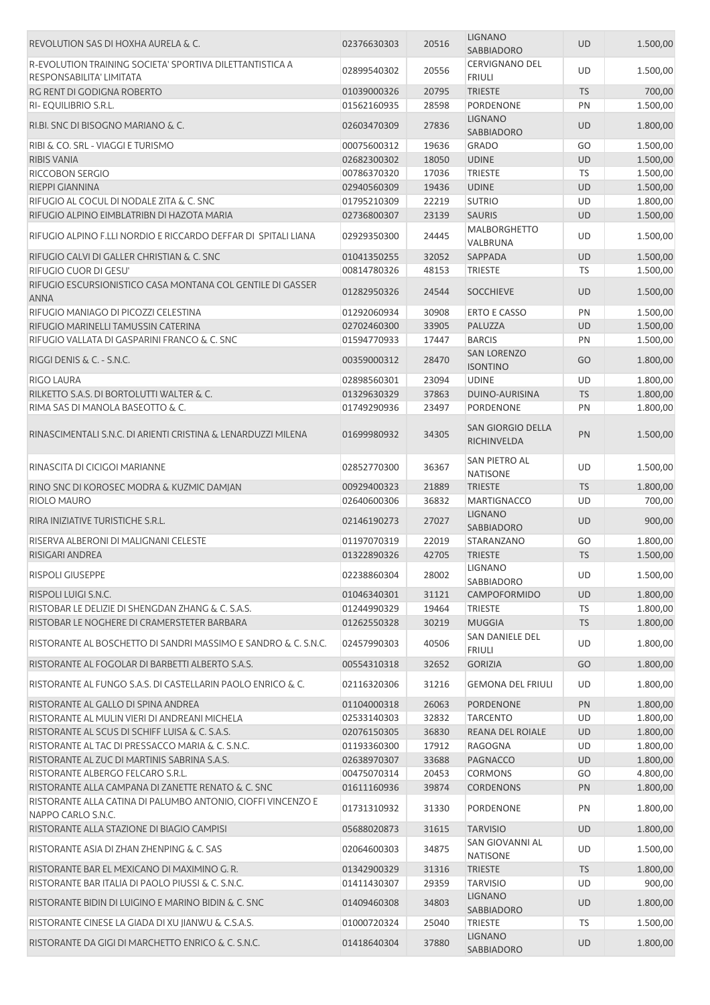| REVOLUTION SAS DI HOXHA AURELA & C.                                                | 02376630303 | 20516 | <b>LIGNANO</b><br>SABBIADORO            | <b>UD</b> | 1.500,00 |
|------------------------------------------------------------------------------------|-------------|-------|-----------------------------------------|-----------|----------|
| R-EVOLUTION TRAINING SOCIETA' SPORTIVA DILETTANTISTICA A                           | 02899540302 | 20556 | <b>CERVIGNANO DEL</b>                   | UD        | 1.500,00 |
| RESPONSABILITA' LIMITATA                                                           |             |       | <b>FRIULI</b>                           |           |          |
| RG RENT DI GODIGNA ROBERTO                                                         | 01039000326 | 20795 | <b>TRIESTE</b><br><b>PORDENONE</b>      | <b>TS</b> | 700,00   |
| RI-EQUILIBRIO S.R.L.                                                               | 01562160935 | 28598 | <b>LIGNANO</b>                          | PN        | 1.500,00 |
| RI.BI. SNC DI BISOGNO MARIANO & C.                                                 | 02603470309 | 27836 | SABBIADORO                              | UD        | 1.800,00 |
| RIBI & CO. SRL - VIAGGI E TURISMO                                                  | 00075600312 | 19636 | <b>GRADO</b>                            | GO        | 1.500,00 |
| <b>RIBIS VANIA</b>                                                                 | 02682300302 | 18050 | <b>UDINE</b>                            | UD        | 1.500,00 |
| RICCOBON SERGIO                                                                    | 00786370320 | 17036 | <b>TRIESTE</b>                          | TS        | 1.500,00 |
| RIEPPI GIANNINA                                                                    | 02940560309 | 19436 | <b>UDINE</b>                            | UD        | 1.500,00 |
| RIFUGIO AL COCUL DI NODALE ZITA & C. SNC                                           | 01795210309 | 22219 | <b>SUTRIO</b>                           | UD        | 1.800,00 |
| RIFUGIO ALPINO EIMBLATRIBN DI HAZOTA MARIA                                         | 02736800307 | 23139 | <b>SAURIS</b>                           | UD        | 1.500,00 |
| RIFUGIO ALPINO F.LLI NORDIO E RICCARDO DEFFAR DI SPITALI LIANA                     | 02929350300 | 24445 | <b>MALBORGHETTO</b><br>VALBRUNA         | UD        | 1.500,00 |
| RIFUGIO CALVI DI GALLER CHRISTIAN & C. SNC                                         | 01041350255 | 32052 | SAPPADA                                 | UD        | 1.500,00 |
| RIFUGIO CUOR DI GESU'                                                              | 00814780326 | 48153 | <b>TRIESTE</b>                          | <b>TS</b> | 1.500,00 |
| RIFUGIO ESCURSIONISTICO CASA MONTANA COL GENTILE DI GASSER<br>ANNA                 | 01282950326 | 24544 | <b>SOCCHIEVE</b>                        | <b>UD</b> | 1.500,00 |
| RIFUGIO MANIAGO DI PICOZZI CELESTINA                                               | 01292060934 | 30908 | <b>ERTO E CASSO</b>                     | PN        | 1.500,00 |
| RIFUGIO MARINELLI TAMUSSIN CATERINA                                                | 02702460300 | 33905 | PALUZZA                                 | <b>UD</b> | 1.500,00 |
| RIFUGIO VALLATA DI GASPARINI FRANCO & C. SNC                                       | 01594770933 | 17447 | <b>BARCIS</b>                           | PN        | 1.500,00 |
|                                                                                    |             |       | <b>SAN LORENZO</b>                      |           |          |
| RIGGI DENIS & C. - S.N.C.                                                          | 00359000312 | 28470 | <b>ISONTINO</b>                         | GO        | 1.800,00 |
| RIGO LAURA                                                                         | 02898560301 | 23094 | <b>UDINE</b>                            | UD        | 1.800,00 |
| RILKETTO S.A.S. DI BORTOLUTTI WALTER & C.                                          | 01329630329 | 37863 | DUINO-AURISINA                          | <b>TS</b> | 1.800,00 |
| RIMA SAS DI MANOLA BASEOTTO & C.                                                   | 01749290936 | 23497 | PORDENONE                               | PN        | 1.800,00 |
| RINASCIMENTALI S.N.C. DI ARIENTI CRISTINA & LENARDUZZI MILENA                      | 01699980932 | 34305 | <b>SAN GIORGIO DELLA</b><br>RICHINVELDA | PN        | 1.500,00 |
| RINASCITA DI CICIGOI MARIANNE                                                      | 02852770300 | 36367 | SAN PIETRO AL<br><b>NATISONE</b>        | UD        | 1.500,00 |
| RINO SNC DI KOROSEC MODRA & KUZMIC DAMJAN                                          | 00929400323 | 21889 | <b>TRIESTE</b>                          | <b>TS</b> | 1.800,00 |
| RIOLO MAURO                                                                        | 02640600306 | 36832 | <b>MARTIGNACCO</b>                      | UD        | 700,00   |
| RIRA INIZIATIVE TURISTICHE S.R.L.                                                  | 02146190273 | 27027 | <b>LIGNANO</b><br><b>SABBIADORO</b>     | UD        | 900,00   |
| RISERVA ALBERONI DI MALIGNANI CELESTE                                              | 01197070319 | 22019 | STARANZANO                              | GO        | 1.800,00 |
| RISIGARI ANDREA                                                                    | 01322890326 | 42705 | <b>TRIESTE</b>                          | <b>TS</b> | 1.500,00 |
| <b>RISPOLI GIUSEPPE</b>                                                            | 02238860304 | 28002 | LIGNANO<br>SABBIADORO                   | UD        | 1.500,00 |
| RISPOLI LUIGI S.N.C.                                                               | 01046340301 | 31121 | CAMPOFORMIDO                            | UD        | 1.800,00 |
| RISTOBAR LE DELIZIE DI SHENGDAN ZHANG & C. S.A.S.                                  | 01244990329 | 19464 | <b>TRIESTE</b>                          | <b>TS</b> | 1.800,00 |
| RISTOBAR LE NOGHERE DI CRAMERSTETER BARBARA                                        | 01262550328 | 30219 | <b>MUGGIA</b>                           | <b>TS</b> | 1.800,00 |
| RISTORANTE AL BOSCHETTO DI SANDRI MASSIMO E SANDRO & C. S.N.C.                     | 02457990303 | 40506 | <b>SAN DANIELE DEL</b><br><b>FRIULI</b> | UD        | 1.800,00 |
| RISTORANTE AL FOGOLAR DI BARBETTI ALBERTO S.A.S.                                   | 00554310318 |       | <b>GORIZIA</b>                          | GO        |          |
|                                                                                    |             | 32652 |                                         |           | 1.800,00 |
| RISTORANTE AL FUNGO S.A.S. DI CASTELLARIN PAOLO ENRICO & C.                        | 02116320306 | 31216 | <b>GEMONA DEL FRIULI</b>                | UD        | 1.800,00 |
| RISTORANTE AL GALLO DI SPINA ANDREA                                                | 01104000318 | 26063 | <b>PORDENONE</b>                        | PN        | 1.800,00 |
| RISTORANTE AL MULIN VIERI DI ANDREANI MICHELA                                      | 02533140303 | 32832 | <b>TARCENTO</b>                         | UD        | 1.800,00 |
| RISTORANTE AL SCUS DI SCHIFF LUISA & C. S.A.S.                                     | 02076150305 | 36830 | <b>REANA DEL ROIALE</b>                 | <b>UD</b> | 1.800,00 |
| RISTORANTE AL TAC DI PRESSACCO MARIA & C. S.N.C.                                   | 01193360300 | 17912 | RAGOGNA                                 | UD        | 1.800,00 |
| RISTORANTE AL ZUC DI MARTINIS SABRINA S.A.S.                                       | 02638970307 | 33688 | PAGNACCO                                | UD        | 1.800,00 |
| RISTORANTE ALBERGO FELCARO S.R.L.                                                  | 00475070314 | 20453 | <b>CORMONS</b>                          | GO        | 4.800,00 |
| RISTORANTE ALLA CAMPANA DI ZANETTE RENATO & C. SNC                                 | 01611160936 | 39874 | <b>CORDENONS</b>                        | PN        | 1.800,00 |
| RISTORANTE ALLA CATINA DI PALUMBO ANTONIO, CIOFFI VINCENZO E<br>NAPPO CARLO S.N.C. | 01731310932 | 31330 | PORDENONE                               | PN        | 1.800,00 |
| RISTORANTE ALLA STAZIONE DI BIAGIO CAMPISI                                         | 05688020873 | 31615 | <b>TARVISIO</b>                         | <b>UD</b> | 1.800,00 |
| RISTORANTE ASIA DI ZHAN ZHENPING & C. SAS                                          | 02064600303 | 34875 | SAN GIOVANNI AL<br><b>NATISONE</b>      | UD        | 1.500,00 |
| RISTORANTE BAR EL MEXICANO DI MAXIMINO G. R.                                       | 01342900329 | 31316 | <b>TRIESTE</b>                          | <b>TS</b> | 1.800,00 |
| RISTORANTE BAR ITALIA DI PAOLO PIUSSI & C. S.N.C.                                  | 01411430307 | 29359 | <b>TARVISIO</b>                         | UD        | 900,00   |
| RISTORANTE BIDIN DI LUIGINO E MARINO BIDIN & C. SNC                                | 01409460308 | 34803 | <b>LIGNANO</b>                          | <b>UD</b> | 1.800,00 |
|                                                                                    |             |       | SABBIADORO                              |           |          |
| RISTORANTE CINESE LA GIADA DI XU JIANWU & C.S.A.S.                                 | 01000720324 | 25040 | TRIESTE                                 | TS        | 1.500,00 |
| RISTORANTE DA GIGI DI MARCHETTO ENRICO & C. S.N.C.                                 | 01418640304 | 37880 | <b>LIGNANO</b>                          | UD        | 1.800,00 |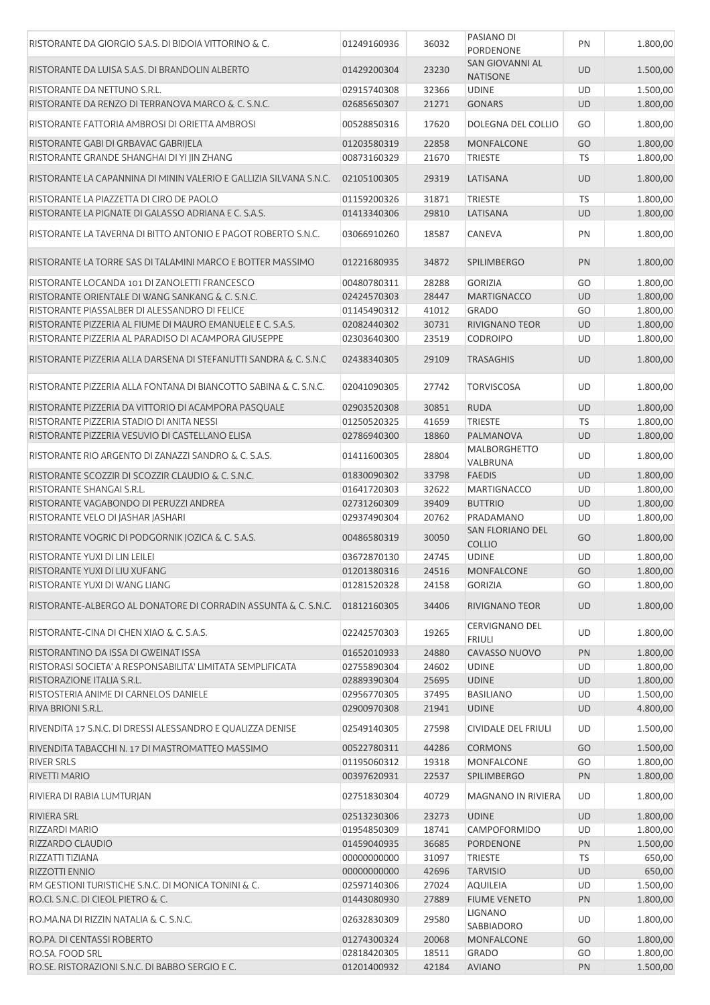| RISTORANTE DA GIORGIO S.A.S. DI BIDOIA VITTORINO & C.              | 01249160936 | 36032 | PASIANO DI<br>PORDENONE                        | PN        | 1.800,00 |
|--------------------------------------------------------------------|-------------|-------|------------------------------------------------|-----------|----------|
| RISTORANTE DA LUISA S.A.S. DI BRANDOLIN ALBERTO                    | 01429200304 | 23230 | SAN GIOVANNI AL<br><b>NATISONE</b>             | <b>UD</b> | 1.500,00 |
| RISTORANTE DA NETTUNO S.R.L.                                       | 02915740308 | 32366 | <b>UDINE</b>                                   | UD        | 1.500,00 |
| RISTORANTE DA RENZO DI TERRANOVA MARCO & C. S.N.C.                 | 02685650307 | 21271 | <b>GONARS</b>                                  | <b>UD</b> | 1.800,00 |
| RISTORANTE FATTORIA AMBROSI DI ORIETTA AMBROSI                     | 00528850316 | 17620 | DOLEGNA DEL COLLIO                             | GO        | 1.800,00 |
| RISTORANTE GABI DI GRBAVAC GABRIJELA                               | 01203580319 | 22858 | MONFALCONE                                     | GO        | 1.800,00 |
| RISTORANTE GRANDE SHANGHAI DI YI JIN ZHANG                         | 00873160329 | 21670 | <b>TRIESTE</b>                                 | <b>TS</b> | 1.800,00 |
| RISTORANTE LA CAPANNINA DI MININ VALERIO E GALLIZIA SILVANA S.N.C. | 02105100305 | 29319 | LATISANA                                       | UD        | 1.800,00 |
| RISTORANTE LA PIAZZETTA DI CIRO DE PAOLO                           | 01159200326 | 31871 | <b>TRIESTE</b>                                 | <b>TS</b> | 1.800,00 |
| RISTORANTE LA PIGNATE DI GALASSO ADRIANA E C. S.A.S.               | 01413340306 | 29810 | LATISANA                                       | <b>UD</b> | 1.800,00 |
| RISTORANTE LA TAVERNA DI BITTO ANTONIO E PAGOT ROBERTO S.N.C.      | 03066910260 | 18587 | CANEVA                                         | PN        | 1.800,00 |
| RISTORANTE LA TORRE SAS DI TALAMINI MARCO E BOTTER MASSIMO         | 01221680935 | 34872 | <b>SPILIMBERGO</b>                             | PN        | 1.800,00 |
| RISTORANTE LOCANDA 101 DI ZANOLETTI FRANCESCO                      | 00480780311 | 28288 | <b>GORIZIA</b>                                 | GO        | 1.800,00 |
| RISTORANTE ORIENTALE DI WANG SANKANG & C. S.N.C.                   | 02424570303 | 28447 | <b>MARTIGNACCO</b>                             | <b>UD</b> | 1.800,00 |
| RISTORANTE PIASSALBER DI ALESSANDRO DI FELICE                      | 01145490312 | 41012 | <b>GRADO</b>                                   | GO        | 1.800,00 |
| RISTORANTE PIZZERIA AL FIUME DI MAURO EMANUELE E C. S.A.S.         | 02082440302 | 30731 | RIVIGNANO TEOR                                 | <b>UD</b> | 1.800,00 |
| RISTORANTE PIZZERIA AL PARADISO DI ACAMPORA GIUSEPPE               | 02303640300 | 23519 | <b>CODROIPO</b>                                | UD        | 1.800,00 |
| RISTORANTE PIZZERIA ALLA DARSENA DI STEFANUTTI SANDRA & C. S.N.C   | 02438340305 | 29109 | <b>TRASAGHIS</b>                               | <b>UD</b> | 1.800,00 |
|                                                                    |             |       |                                                |           |          |
| RISTORANTE PIZZERIA ALLA FONTANA DI BIANCOTTO SABINA & C. S.N.C.   | 02041090305 | 27742 | <b>TORVISCOSA</b>                              | UD        | 1.800,00 |
| RISTORANTE PIZZERIA DA VITTORIO DI ACAMPORA PASQUALE               | 02903520308 | 30851 | <b>RUDA</b>                                    | UD        | 1.800,00 |
| RISTORANTE PIZZERIA STADIO DI ANITA NESSI                          | 01250520325 | 41659 | <b>TRIESTE</b>                                 | <b>TS</b> | 1.800,00 |
| RISTORANTE PIZZERIA VESUVIO DI CASTELLANO ELISA                    | 02786940300 | 18860 | PALMANOVA                                      | <b>UD</b> | 1.800,00 |
| RISTORANTE RIO ARGENTO DI ZANAZZI SANDRO & C. S.A.S.               | 01411600305 | 28804 | <b>MALBORGHETTO</b><br>VALBRUNA                | UD        | 1.800,00 |
| RISTORANTE SCOZZIR DI SCOZZIR CLAUDIO & C. S.N.C.                  | 01830090302 | 33798 | <b>FAEDIS</b>                                  | <b>UD</b> | 1.800,00 |
| RISTORANTE SHANGAI S.R.L.                                          | 01641720303 | 32622 | <b>MARTIGNACCO</b>                             | UD        | 1.800,00 |
| RISTORANTE VAGABONDO DI PERUZZI ANDREA                             | 02731260309 | 39409 | <b>BUTTRIO</b>                                 | <b>UD</b> | 1.800,00 |
| RISTORANTE VELO DI JASHAR JASHARI                                  | 02937490304 | 20762 | PRADAMANO                                      | UD        | 1.800,00 |
| RISTORANTE VOGRIC DI PODGORNIK JOZICA & C. S.A.S.                  | 00486580319 | 30050 | SAN FLORIANO DEL<br><b>COLLIO</b>              | GO        | 1.800,00 |
| RISTORANTE YUXI DI LIN LEILEI                                      | 03672870130 | 24745 | <b>UDINE</b>                                   | UD        | 1.800,00 |
| RISTORANTE YUXI DI LIU XUFANG                                      | 01201380316 | 24516 | <b>MONFALCONE</b>                              | GO        | 1.800,00 |
| RISTORANTE YUXI DI WANG LIANG                                      | 01281520328 | 24158 | <b>GORIZIA</b>                                 | GO        | 1.800,00 |
|                                                                    |             |       |                                                |           |          |
| RISTORANTE-ALBERGO AL DONATORE DI CORRADIN ASSUNTA & C. S.N.C.     | 01812160305 | 34406 | <b>RIVIGNANO TEOR</b><br><b>CERVIGNANO DEL</b> | <b>UD</b> | 1.800,00 |
| RISTORANTE-CINA DI CHEN XIAO & C. S.A.S.                           | 02242570303 | 19265 | <b>FRIULI</b>                                  | UD        | 1.800,00 |
| RISTORANTINO DA ISSA DI GWEINAT ISSA                               | 01652010933 | 24880 | CAVASSO NUOVO                                  | PN        | 1.800,00 |
| RISTORASI SOCIETA' A RESPONSABILITA' LIMITATA SEMPLIFICATA         | 02755890304 | 24602 | <b>UDINE</b>                                   | UD        | 1.800,00 |
| RISTORAZIONE ITALIA S.R.L.                                         | 02889390304 | 25695 | <b>UDINE</b>                                   | <b>UD</b> | 1.800,00 |
| RISTOSTERIA ANIME DI CARNELOS DANIELE                              | 02956770305 | 37495 | <b>BASILIANO</b>                               | UD        | 1.500,00 |
| RIVA BRIONI S.R.L.                                                 | 02900970308 | 21941 | <b>UDINE</b>                                   | UD        | 4.800,00 |
| RIVENDITA 17 S.N.C. DI DRESSI ALESSANDRO E QUALIZZA DENISE         | 02549140305 | 27598 | CIVIDALE DEL FRIULI                            | UD        | 1.500,00 |
| RIVENDITA TABACCHI N. 17 DI MASTROMATTEO MASSIMO                   | 00522780311 | 44286 | <b>CORMONS</b>                                 | GO        | 1.500,00 |
| <b>RIVER SRLS</b>                                                  | 01195060312 | 19318 | MONFALCONE                                     | GO        | 1.800,00 |
| RIVETTI MARIO                                                      | 00397620931 | 22537 | <b>SPILIMBERGO</b>                             | PN        | 1.800,00 |
| RIVIERA DI RABIA LUMTURJAN                                         | 02751830304 | 40729 | <b>MAGNANO IN RIVIERA</b>                      | UD        | 1.800,00 |
| <b>RIVIERA SRL</b>                                                 | 02513230306 | 23273 | <b>UDINE</b>                                   | UD        | 1.800,00 |
| RIZZARDI MARIO                                                     | 01954850309 | 18741 | CAMPOFORMIDO                                   | UD        | 1.800,00 |
| RIZZARDO CLAUDIO                                                   | 01459040935 | 36685 | PORDENONE                                      | PN        | 1.500,00 |
| RIZZATTI TIZIANA                                                   | 00000000000 | 31097 | <b>TRIESTE</b>                                 | <b>TS</b> | 650,00   |
| RIZZOTTI ENNIO                                                     | 00000000000 | 42696 | <b>TARVISIO</b>                                | UD        | 650,00   |
| RM GESTIONI TURISTICHE S.N.C. DI MONICA TONINI & C.                | 02597140306 | 27024 | AQUILEIA                                       | UD        | 1.500,00 |
| RO.CI. S.N.C. DI CIEOL PIETRO & C.                                 | 01443080930 | 27889 | <b>FIUME VENETO</b>                            | PN        | 1.800,00 |
| RO.MA.NA DI RIZZIN NATALIA & C. S.N.C.                             | 02632830309 | 29580 | LIGNANO                                        | UD        | 1.800,00 |
|                                                                    |             |       | SABBIADORO                                     |           |          |
| RO.PA. DI CENTASSI ROBERTO                                         | 01274300324 | 20068 | MONFALCONE                                     | GO        | 1.800,00 |
| RO.SA. FOOD SRL                                                    | 02818420305 | 18511 | <b>GRADO</b>                                   | GO        | 1.800,00 |
| RO.SE. RISTORAZIONI S.N.C. DI BABBO SERGIO E C.                    | 01201400932 | 42184 | <b>AVIANO</b>                                  | PN        | 1.500,00 |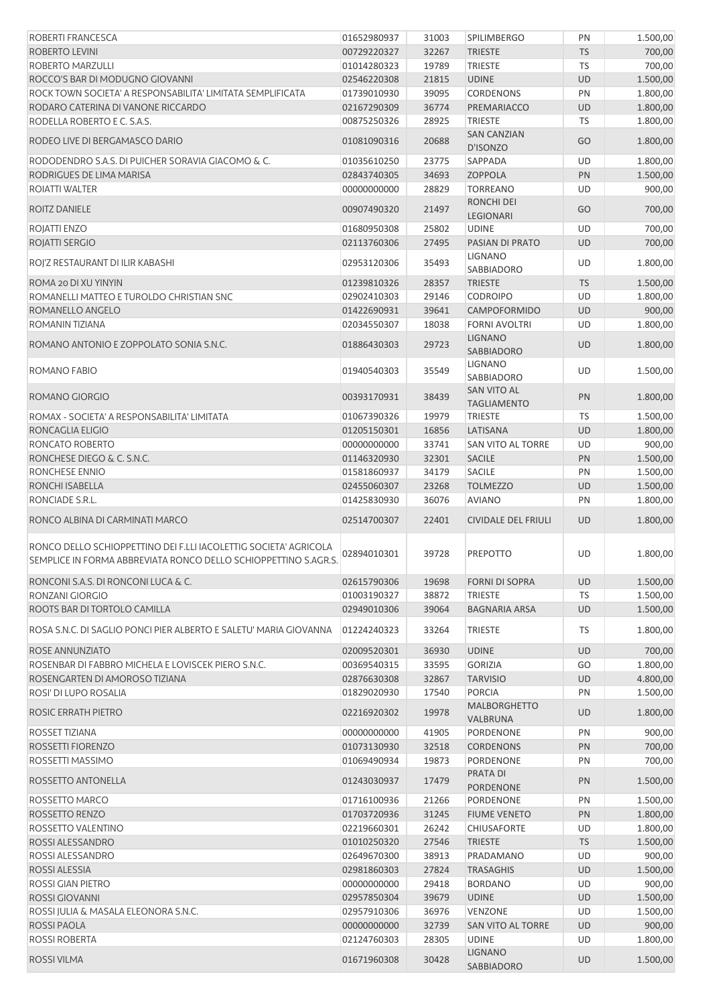| ROBERTI FRANCESCA                                                                                                                   | 01652980937 | 31003 | <b>SPILIMBERGO</b>                | PN        | 1.500,00 |
|-------------------------------------------------------------------------------------------------------------------------------------|-------------|-------|-----------------------------------|-----------|----------|
| ROBERTO LEVINI                                                                                                                      | 00729220327 | 32267 | <b>TRIESTE</b>                    | <b>TS</b> | 700,00   |
| ROBERTO MARZULLI                                                                                                                    | 01014280323 | 19789 | <b>TRIESTE</b>                    | <b>TS</b> | 700,00   |
| ROCCO'S BAR DI MODUGNO GIOVANNI                                                                                                     | 02546220308 | 21815 | <b>UDINE</b>                      | <b>UD</b> | 1.500,00 |
| ROCK TOWN SOCIETA' A RESPONSABILITA' LIMITATA SEMPLIFICATA                                                                          | 01739010930 | 39095 | <b>CORDENONS</b>                  | PN        | 1.800,00 |
| RODARO CATERINA DI VANONE RICCARDO                                                                                                  | 02167290309 | 36774 | PREMARIACCO                       | <b>UD</b> | 1.800,00 |
| RODELLA ROBERTO E C. S.A.S.                                                                                                         | 00875250326 | 28925 | <b>TRIESTE</b>                    | TS        | 1.800,00 |
| RODEO LIVE DI BERGAMASCO DARIO                                                                                                      | 01081090316 | 20688 | <b>SAN CANZIAN</b><br>D'ISONZO    | GO        | 1.800,00 |
| RODODENDRO S.A.S. DI PUICHER SORAVIA GIACOMO & C.                                                                                   | 01035610250 | 23775 | <b>SAPPADA</b>                    | UD        | 1.800,00 |
| RODRIGUES DE LIMA MARISA                                                                                                            | 02843740305 | 34693 | <b>ZOPPOLA</b>                    | PN        | 1.500,00 |
| ROIATTI WALTER                                                                                                                      | 00000000000 | 28829 | <b>TORREANO</b>                   | UD        | 900,00   |
|                                                                                                                                     |             |       | <b>RONCHI DEI</b>                 |           |          |
| <b>ROITZ DANIELE</b>                                                                                                                | 00907490320 | 21497 | LEGIONARI                         | GO        | 700,00   |
| ROJATTI ENZO                                                                                                                        | 01680950308 | 25802 | <b>UDINE</b>                      | UD        | 700,00   |
| ROJATTI SERGIO                                                                                                                      | 02113760306 | 27495 | PASIAN DI PRATO                   | <b>UD</b> | 700,00   |
| ROI'Z RESTAURANT DI ILIR KABASHI                                                                                                    | 02953120306 | 35493 | LIGNANO<br>SABBIADORO             | UD        | 1.800,00 |
| ROMA 20 DI XU YINYIN                                                                                                                | 01239810326 | 28357 | <b>TRIESTE</b>                    | <b>TS</b> | 1.500,00 |
| ROMANELLI MATTEO E TUROLDO CHRISTIAN SNC                                                                                            | 02902410303 | 29146 | <b>CODROIPO</b>                   | UD        | 1.800,00 |
| ROMANELLO ANGELO                                                                                                                    | 01422690931 | 39641 | CAMPOFORMIDO                      | UD        | 900,00   |
| ROMANIN TIZIANA                                                                                                                     | 02034550307 | 18038 | <b>FORNI AVOLTRI</b>              | UD        | 1.800,00 |
|                                                                                                                                     |             |       | <b>LIGNANO</b>                    |           |          |
| ROMANO ANTONIO E ZOPPOLATO SONIA S.N.C.                                                                                             | 01886430303 | 29723 | SABBIADORO<br>LIGNANO             | <b>UD</b> | 1.800,00 |
| ROMANO FABIO                                                                                                                        | 01940540303 | 35549 | SABBIADORO                        | UD        | 1.500,00 |
| ROMANO GIORGIO                                                                                                                      | 00393170931 | 38439 | SAN VITO AL<br><b>TAGLIAMENTO</b> | PN        | 1.800,00 |
| ROMAX - SOCIETA' A RESPONSABILITA' LIMITATA                                                                                         | 01067390326 | 19979 | <b>TRIESTE</b>                    | <b>TS</b> | 1.500,00 |
| RONCAGLIA ELIGIO                                                                                                                    | 01205150301 | 16856 | LATISANA                          | <b>UD</b> | 1.800,00 |
| RONCATO ROBERTO                                                                                                                     | 00000000000 | 33741 | SAN VITO AL TORRE                 | UD        | 900,00   |
| RONCHESE DIEGO & C. S.N.C.                                                                                                          | 01146320930 | 32301 | <b>SACILE</b>                     | PN        | 1.500,00 |
| RONCHESE ENNIO                                                                                                                      | 01581860937 | 34179 | <b>SACILE</b>                     | PN        | 1.500,00 |
| RONCHI ISABELLA                                                                                                                     | 02455060307 | 23268 | <b>TOLMEZZO</b>                   | UD        | 1.500,00 |
| RONCIADE S.R.L.                                                                                                                     | 01425830930 | 36076 | <b>AVIANO</b>                     | PN        | 1.800,00 |
| RONCO ALBINA DI CARMINATI MARCO                                                                                                     | 02514700307 | 22401 | <b>CIVIDALE DEL FRIULI</b>        | UD        | 1.800,00 |
| RONCO DELLO SCHIOPPETTINO DEI F.LLI IACOLETTIG SOCIETA' AGRICOLA<br>SEMPLICE IN FORMA ABBREVIATA RONCO DELLO SCHIOPPETTINO S.AGR.S. | 02894010301 | 39728 | <b>PREPOTTO</b>                   | UD        | 1.800,00 |
| RONCONI S.A.S. DI RONCONI LUCA & C.                                                                                                 | 02615790306 | 19698 | <b>FORNI DI SOPRA</b>             | <b>UD</b> | 1.500,00 |
| RONZANI GIORGIO                                                                                                                     | 01003190327 | 38872 | <b>TRIESTE</b>                    | TS        | 1.500,00 |
| ROOTS BAR DI TORTOLO CAMILLA                                                                                                        | 02949010306 | 39064 | <b>BAGNARIA ARSA</b>              | <b>UD</b> | 1.500,00 |
|                                                                                                                                     |             |       |                                   |           |          |
| ROSA S.N.C. DI SAGLIO PONCI PIER ALBERTO E SALETU' MARIA GIOVANNA                                                                   | 01224240323 | 33264 | <b>TRIESTE</b>                    | <b>TS</b> | 1.800,00 |
| ROSE ANNUNZIATO                                                                                                                     | 02009520301 | 36930 | <b>UDINE</b>                      | <b>UD</b> | 700,00   |
| ROSENBAR DI FABBRO MICHELA E LOVISCEK PIERO S.N.C.                                                                                  | 00369540315 | 33595 | <b>GORIZIA</b>                    | GO        | 1.800,00 |
| ROSENGARTEN DI AMOROSO TIZIANA                                                                                                      | 02876630308 | 32867 | <b>TARVISIO</b>                   | UD        | 4.800,00 |
| ROSI' DI LUPO ROSALIA                                                                                                               | 01829020930 | 17540 | <b>PORCIA</b>                     | PN        | 1.500,00 |
| ROSIC ERRATH PIETRO                                                                                                                 | 02216920302 | 19978 | <b>MALBORGHETTO</b><br>VALBRUNA   | <b>UD</b> | 1.800,00 |
| ROSSET TIZIANA                                                                                                                      | 00000000000 | 41905 | PORDENONE                         | PN        | 900,00   |
| ROSSETTI FIORENZO                                                                                                                   | 01073130930 | 32518 | <b>CORDENONS</b>                  | PN        | 700,00   |
| ROSSETTI MASSIMO                                                                                                                    | 01069490934 | 19873 | PORDENONE                         | PN        | 700,00   |
| ROSSETTO ANTONELLA                                                                                                                  | 01243030937 | 17479 | PRATA DI<br><b>PORDENONE</b>      | PN        | 1.500,00 |
| ROSSETTO MARCO                                                                                                                      | 01716100936 | 21266 | PORDENONE                         | PN        | 1.500,00 |
| ROSSETTO RENZO                                                                                                                      | 01703720936 | 31245 | <b>FIUME VENETO</b>               | PN        | 1.800,00 |
| ROSSETTO VALENTINO                                                                                                                  | 02219660301 | 26242 | CHIUSAFORTE                       | UD        | 1.800,00 |
|                                                                                                                                     |             |       |                                   |           |          |
| ROSSI ALESSANDRO                                                                                                                    | 01010250320 | 27546 | <b>TRIESTE</b>                    | <b>TS</b> | 1.500,00 |
| ROSSI ALESSANDRO                                                                                                                    | 02649670300 | 38913 | PRADAMANO                         | UD        | 900,00   |
| ROSSI ALESSIA                                                                                                                       | 02981860303 | 27824 | <b>TRASAGHIS</b>                  | UD        | 1.500,00 |
| ROSSI GIAN PIETRO                                                                                                                   | 00000000000 | 29418 | <b>BORDANO</b>                    | UD        | 900,00   |
| <b>ROSSI GIOVANNI</b>                                                                                                               | 02957850304 | 39679 | <b>UDINE</b>                      | UD        | 1.500,00 |
| ROSSI JULIA & MASALA ELEONORA S.N.C.                                                                                                | 02957910306 | 36976 | VENZONE                           | UD        | 1.500,00 |
| ROSSI PAOLA                                                                                                                         | 00000000000 | 32739 | SAN VITO AL TORRE                 | UD        | 900,00   |
| <b>ROSSI ROBERTA</b>                                                                                                                | 02124760303 | 28305 | <b>UDINE</b>                      | UD        | 1.800,00 |
| <b>ROSSI VILMA</b>                                                                                                                  | 01671960308 | 30428 | <b>LIGNANO</b><br>SABBIADORO      | UD        | 1.500,00 |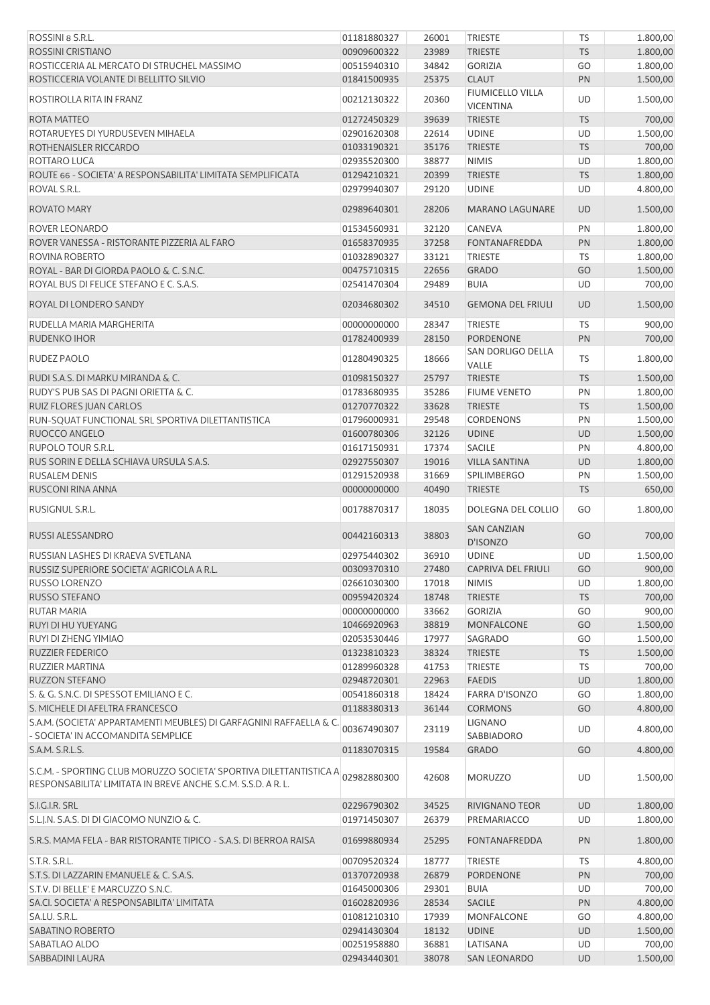| ROSSINI 8 S.R.L.                                                                                                                    | 01181880327 | 26001 | <b>TRIESTE</b>                       | <b>TS</b> | 1.800,00 |
|-------------------------------------------------------------------------------------------------------------------------------------|-------------|-------|--------------------------------------|-----------|----------|
| <b>ROSSINI CRISTIANO</b>                                                                                                            | 00909600322 | 23989 | <b>TRIESTE</b>                       | <b>TS</b> | 1.800,00 |
| ROSTICCERIA AL MERCATO DI STRUCHEL MASSIMO                                                                                          | 00515940310 | 34842 | <b>GORIZIA</b>                       | GO        | 1.800,00 |
| ROSTICCERIA VOLANTE DI BELLITTO SILVIO                                                                                              | 01841500935 | 25375 | <b>CLAUT</b>                         | PN        | 1.500,00 |
| ROSTIROLLA RITA IN FRANZ                                                                                                            | 00212130322 | 20360 | FIUMICELLO VILLA<br><b>VICENTINA</b> | UD        | 1.500,00 |
| ROTA MATTEO                                                                                                                         | 01272450329 | 39639 | <b>TRIESTE</b>                       | <b>TS</b> | 700,00   |
| ROTARUEYES DI YURDUSEVEN MIHAELA                                                                                                    | 02901620308 | 22614 | <b>UDINE</b>                         | UD        | 1.500,00 |
|                                                                                                                                     |             |       |                                      |           |          |
| ROTHENAISLER RICCARDO                                                                                                               | 01033190321 | 35176 | <b>TRIESTE</b>                       | <b>TS</b> | 700,00   |
| ROTTARO LUCA                                                                                                                        | 02935520300 | 38877 | <b>NIMIS</b>                         | UD        | 1.800,00 |
| ROUTE 66 - SOCIETA' A RESPONSABILITA' LIMITATA SEMPLIFICATA                                                                         | 01294210321 | 20399 | <b>TRIESTE</b>                       | <b>TS</b> | 1.800,00 |
| ROVAL S.R.L.                                                                                                                        | 02979940307 | 29120 | <b>UDINE</b>                         | UD        | 4.800,00 |
| ROVATO MARY                                                                                                                         | 02989640301 | 28206 | <b>MARANO LAGUNARE</b>               | <b>UD</b> | 1.500,00 |
| ROVER LEONARDO                                                                                                                      | 01534560931 | 32120 | CANEVA                               | PN        | 1.800,00 |
| ROVER VANESSA - RISTORANTE PIZZERIA AL FARO                                                                                         | 01658370935 | 37258 | <b>FONTANAFREDDA</b>                 | PN        | 1.800,00 |
| ROVINA ROBERTO                                                                                                                      | 01032890327 | 33121 | <b>TRIESTE</b>                       | TS        | 1.800,00 |
| ROYAL - BAR DI GIORDA PAOLO & C. S.N.C.                                                                                             | 00475710315 | 22656 | <b>GRADO</b>                         | GO        | 1.500,00 |
| ROYAL BUS DI FELICE STEFANO E C. S.A.S.                                                                                             | 02541470304 | 29489 | <b>BUIA</b>                          | UD        | 700,00   |
| ROYAL DI LONDERO SANDY                                                                                                              | 02034680302 | 34510 | <b>GEMONA DEL FRIULI</b>             | <b>UD</b> | 1.500,00 |
| RUDELLA MARIA MARGHERITA                                                                                                            | 00000000000 | 28347 | <b>TRIESTE</b>                       | <b>TS</b> | 900,00   |
| <b>RUDENKO IHOR</b>                                                                                                                 | 01782400939 | 28150 | PORDENONE                            | PN        | 700,00   |
|                                                                                                                                     |             |       | SAN DORLIGO DELLA                    |           |          |
| RUDEZ PAOLO                                                                                                                         | 01280490325 | 18666 | VALLE                                | TS        | 1.800,00 |
| RUDI S.A.S. DI MARKU MIRANDA & C.                                                                                                   | 01098150327 | 25797 | <b>TRIESTE</b>                       | <b>TS</b> | 1.500,00 |
| RUDY'S PUB SAS DI PAGNI ORIETTA & C.                                                                                                | 01783680935 | 35286 | <b>FIUME VENETO</b>                  | PN        | 1.800,00 |
| RUIZ FLORES JUAN CARLOS                                                                                                             | 01270770322 | 33628 | <b>TRIESTE</b>                       | <b>TS</b> | 1.500,00 |
| RUN-SQUAT FUNCTIONAL SRL SPORTIVA DILETTANTISTICA                                                                                   | 01796000931 | 29548 | <b>CORDENONS</b>                     | PN        | 1.500,00 |
| RUOCCO ANGELO                                                                                                                       | 01600780306 | 32126 | <b>UDINE</b>                         | UD        | 1.500,00 |
| RUPOLO TOUR S.R.L.                                                                                                                  | 01617150931 | 17374 | <b>SACILE</b>                        | PN        | 4.800,00 |
| RUS SORIN E DELLA SCHIAVA URSULA S.A.S.                                                                                             | 02927550307 | 19016 | <b>VILLA SANTINA</b>                 | <b>UD</b> | 1.800,00 |
| <b>RUSALEM DENIS</b>                                                                                                                | 01291520938 | 31669 | <b>SPILIMBERGO</b>                   | PN        | 1.500,00 |
| RUSCONI RINA ANNA                                                                                                                   | 00000000000 | 40490 | <b>TRIESTE</b>                       | <b>TS</b> | 650,00   |
|                                                                                                                                     |             |       |                                      |           |          |
| RUSIGNUL S.R.L.                                                                                                                     | 00178870317 | 18035 | DOLEGNA DEL COLLIO                   | GO        | 1.800,00 |
| RUSSI ALESSANDRO                                                                                                                    | 00442160313 | 38803 | <b>SAN CANZIAN</b><br>D'ISONZO       | GO        | 700,00   |
| RUSSIAN LASHES DI KRAEVA SVETLANA                                                                                                   | 02975440302 | 36910 | <b>UDINE</b>                         | UD        | 1.500,00 |
| RUSSIZ SUPERIORE SOCIETA' AGRICOLA A R.L.                                                                                           | 00309370310 | 27480 | <b>CAPRIVA DEL FRIULI</b>            | GO        | 900,00   |
| RUSSO LORENZO                                                                                                                       | 02661030300 | 17018 | <b>NIMIS</b>                         | UD        | 1.800,00 |
| RUSSO STEFANO                                                                                                                       | 00959420324 | 18748 | <b>TRIESTE</b>                       | <b>TS</b> | 700,00   |
| RUTAR MARIA                                                                                                                         | 00000000000 | 33662 | <b>GORIZIA</b>                       | GO        | 900,00   |
| RUYI DI HU YUEYANG                                                                                                                  | 10466920963 | 38819 | <b>MONFALCONE</b>                    | GO        | 1.500,00 |
| RUYI DI ZHENG YIMIAO                                                                                                                | 02053530446 | 17977 | SAGRADO                              | GO        | 1.500,00 |
| <b>RUZZIER FEDERICO</b>                                                                                                             | 01323810323 | 38324 | <b>TRIESTE</b>                       | <b>TS</b> | 1.500,00 |
|                                                                                                                                     |             |       |                                      |           |          |
| <b>RUZZIER MARTINA</b>                                                                                                              | 01289960328 | 41753 | <b>TRIESTE</b>                       | TS        | 700,00   |
| RUZZON STEFANO                                                                                                                      | 02948720301 | 22963 | <b>FAEDIS</b>                        | <b>UD</b> | 1.800,00 |
| S. & G. S.N.C. DI SPESSOT EMILIANO E C.                                                                                             | 00541860318 | 18424 | <b>FARRA D'ISONZO</b>                | GO        | 1.800,00 |
| S. MICHELE DI AFELTRA FRANCESCO                                                                                                     | 01188380313 | 36144 | <b>CORMONS</b>                       | GO        | 4.800,00 |
| S.A.M. (SOCIETA' APPARTAMENTI MEUBLES) DI GARFAGNINI RAFFAELLA & C.<br>- SOCIETA' IN ACCOMANDITA SEMPLICE                           | 00367490307 | 23119 | LIGNANO<br>SABBIADORO                | UD        | 4.800,00 |
| S.A.M. S.R.L.S.                                                                                                                     | 01183070315 | 19584 | <b>GRADO</b>                         | GO        | 4.800,00 |
| S.C.M. - SPORTING CLUB MORUZZO SOCIETA' SPORTIVA DILETTANTISTICA A<br>RESPONSABILITA' LIMITATA IN BREVE ANCHE S.C.M. S.S.D. A R. L. | 02982880300 | 42608 | <b>MORUZZO</b>                       | UD        | 1.500,00 |
| S.I.G.I.R. SRL                                                                                                                      | 02296790302 | 34525 | <b>RIVIGNANO TEOR</b>                | UD        | 1.800,00 |
| S.L.J.N. S.A.S. DI DI GIACOMO NUNZIO & C.                                                                                           | 01971450307 | 26379 | PREMARIACCO                          | UD        | 1.800,00 |
| S.R.S. MAMA FELA - BAR RISTORANTE TIPICO - S.A.S. DI BERROA RAISA                                                                   | 01699880934 | 25295 | <b>FONTANAFREDDA</b>                 | PN        | 1.800,00 |
|                                                                                                                                     |             |       |                                      |           |          |
| S.T.R. S.R.L.                                                                                                                       | 00709520324 | 18777 | <b>TRIESTE</b>                       | TS        | 4.800,00 |
| S.T.S. DI LAZZARIN EMANUELE & C. S.A.S.                                                                                             | 01370720938 | 26879 | PORDENONE                            | PN        | 700,00   |
| S.T.V. DI BELLE' E MARCUZZO S.N.C.                                                                                                  | 01645000306 | 29301 | <b>BUIA</b>                          | UD        | 700,00   |
| SA.CI. SOCIETA' A RESPONSABILITA' LIMITATA                                                                                          | 01602820936 | 28534 | <b>SACILE</b>                        | PN        | 4.800,00 |
| SA.LU. S.R.L.                                                                                                                       | 01081210310 | 17939 | <b>MONFALCONE</b>                    | GO        | 4.800,00 |
| SABATINO ROBERTO                                                                                                                    | 02941430304 | 18132 | <b>UDINE</b>                         | UD        | 1.500,00 |
| SABATLAO ALDO                                                                                                                       | 00251958880 | 36881 | LATISANA                             | UD        | 700,00   |
| SABBADINI LAURA                                                                                                                     | 02943440301 | 38078 | <b>SAN LEONARDO</b>                  | UD        | 1.500,00 |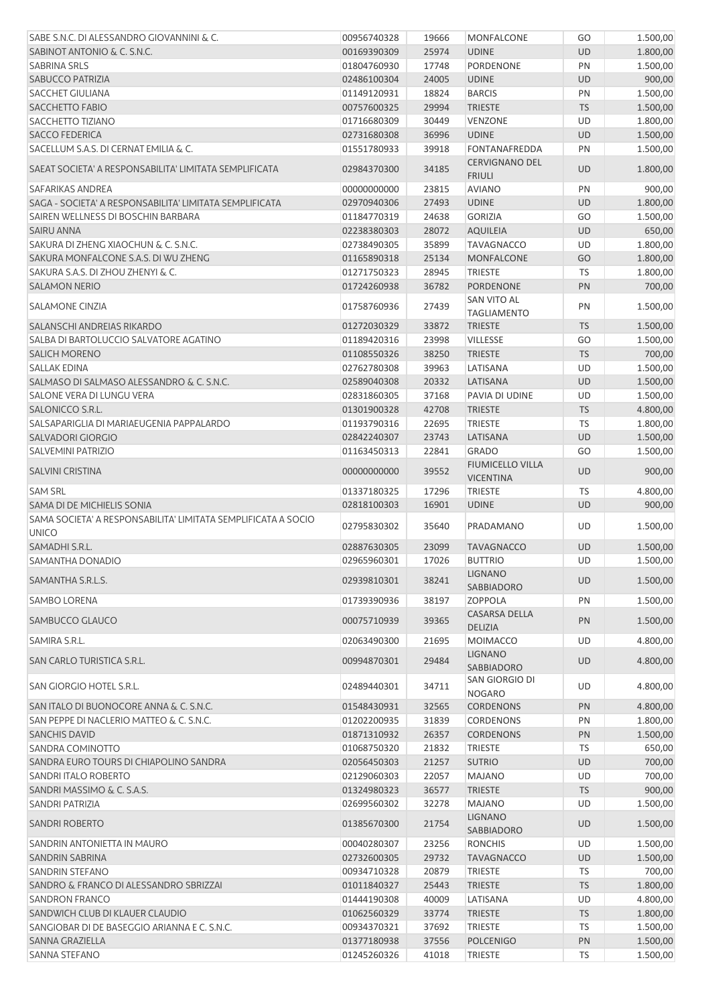| SABE S.N.C. DI ALESSANDRO GIOVANNINI & C.                     | 00956740328 | 19666 | MONFALCONE                             | GO        | 1.500,00 |
|---------------------------------------------------------------|-------------|-------|----------------------------------------|-----------|----------|
| SABINOT ANTONIO & C. S.N.C.                                   | 00169390309 | 25974 | <b>UDINE</b>                           | <b>UD</b> | 1.800,00 |
| <b>SABRINA SRLS</b>                                           | 01804760930 | 17748 | <b>PORDENONE</b>                       | PN        | 1.500,00 |
| <b>SABUCCO PATRIZIA</b>                                       | 02486100304 | 24005 | <b>UDINE</b>                           | <b>UD</b> | 900,00   |
| <b>SACCHET GIULIANA</b>                                       | 01149120931 | 18824 | <b>BARCIS</b>                          | PN        | 1.500,00 |
| <b>SACCHETTO FABIO</b>                                        | 00757600325 | 29994 | <b>TRIESTE</b>                         | <b>TS</b> | 1.500,00 |
| SACCHETTO TIZIANO                                             | 01716680309 | 30449 | VENZONE                                | <b>UD</b> | 1.800,00 |
|                                                               |             |       |                                        |           |          |
| <b>SACCO FEDERICA</b>                                         | 02731680308 | 36996 | <b>UDINE</b>                           | <b>UD</b> | 1.500,00 |
| SACELLUM S.A.S. DI CERNAT EMILIA & C.                         | 01551780933 | 39918 | <b>FONTANAFREDDA</b>                   | PN        | 1.500,00 |
| SAEAT SOCIETA' A RESPONSABILITA' LIMITATA SEMPLIFICATA        | 02984370300 | 34185 | <b>CERVIGNANO DEL</b><br><b>FRIULI</b> | <b>UD</b> | 1.800,00 |
| SAFARIKAS ANDREA                                              | 00000000000 | 23815 | <b>AVIANO</b>                          | PN        | 900,00   |
| SAGA - SOCIETA' A RESPONSABILITA' LIMITATA SEMPLIFICATA       | 02970940306 | 27493 | <b>UDINE</b>                           | <b>UD</b> | 1.800,00 |
| SAIREN WELLNESS DI BOSCHIN BARBARA                            | 01184770319 | 24638 | <b>GORIZIA</b>                         | GO        | 1.500,00 |
| <b>SAIRU ANNA</b>                                             | 02238380303 | 28072 | <b>AQUILEIA</b>                        | <b>UD</b> | 650,00   |
| SAKURA DI ZHENG XIAOCHUN & C. S.N.C.                          | 02738490305 | 35899 | <b>TAVAGNACCO</b>                      | UD        | 1.800,00 |
| SAKURA MONFALCONE S.A.S. DI WU ZHENG                          | 01165890318 | 25134 | <b>MONFALCONE</b>                      | GO        | 1.800,00 |
| SAKURA S.A.S. DI ZHOU ZHENYI & C.                             | 01271750323 | 28945 | <b>TRIESTE</b>                         | <b>TS</b> | 1.800,00 |
| <b>SALAMON NERIO</b>                                          | 01724260938 | 36782 | <b>PORDENONE</b>                       | PN        | 700,00   |
| <b>SALAMONE CINZIA</b>                                        | 01758760936 |       | SAN VITO AL                            |           | 1.500,00 |
|                                                               |             | 27439 | <b>TAGLIAMENTO</b>                     | PN        |          |
| SALANSCHI ANDREIAS RIKARDO                                    | 01272030329 | 33872 | <b>TRIESTE</b>                         | <b>TS</b> | 1.500,00 |
| SALBA DI BARTOLUCCIO SALVATORE AGATINO                        | 01189420316 | 23998 | VILLESSE                               | GO        | 1.500,00 |
| <b>SALICH MORENO</b>                                          | 01108550326 | 38250 | <b>TRIESTE</b>                         | <b>TS</b> | 700,00   |
| <b>SALLAK EDINA</b>                                           | 02762780308 | 39963 | LATISANA                               | UD        | 1.500,00 |
| SALMASO DI SALMASO ALESSANDRO & C. S.N.C.                     | 02589040308 | 20332 | LATISANA                               | <b>UD</b> | 1.500,00 |
| SALONE VERA DI LUNGU VERA                                     | 02831860305 | 37168 | PAVIA DI UDINE                         | <b>UD</b> | 1.500,00 |
| SALONICCO S.R.L.                                              | 01301900328 | 42708 | <b>TRIESTE</b>                         | <b>TS</b> | 4.800,00 |
| SALSAPARIGLIA DI MARIAEUGENIA PAPPALARDO                      | 01193790316 | 22695 | <b>TRIESTE</b>                         | TS        | 1.800,00 |
| SALVADORI GIORGIO                                             | 02842240307 | 23743 | LATISANA                               | <b>UD</b> | 1.500,00 |
| <b>SALVEMINI PATRIZIO</b>                                     | 01163450313 | 22841 | <b>GRADO</b>                           | GO        | 1.500,00 |
| <b>SALVINI CRISTINA</b>                                       | 00000000000 | 39552 | <b>FIUMICELLO VILLA</b>                | <b>UD</b> | 900,00   |
| <b>SAM SRL</b>                                                | 01337180325 | 17296 | <b>VICENTINA</b><br><b>TRIESTE</b>     | TS        | 4.800,00 |
| SAMA DI DE MICHIELIS SONIA                                    | 02818100303 | 16901 | <b>UDINE</b>                           | <b>UD</b> | 900,00   |
| SAMA SOCIETA' A RESPONSABILITA' LIMITATA SEMPLIFICATA A SOCIO | 02795830302 | 35640 | PRADAMANO                              | UD        | 1.500,00 |
| <b>UNICO</b>                                                  |             |       |                                        |           |          |
| SAMADHI S.R.L.                                                | 02887630305 | 23099 | <b>TAVAGNACCO</b>                      | <b>UD</b> | 1.500,00 |
| SAMANTHA DONADIO                                              | 02965960301 | 17026 | <b>BUTTRIO</b>                         | UD        | 1.500,00 |
| SAMANTHA S.R.L.S.                                             | 02939810301 | 38241 | <b>LIGNANO</b><br>SABBIADORO           | <b>UD</b> | 1.500,00 |
| <b>SAMBO LORENA</b>                                           | 01739390936 | 38197 | <b>ZOPPOLA</b>                         | PN        | 1.500,00 |
| SAMBUCCO GLAUCO                                               | 00075710939 | 39365 | <b>CASARSA DELLA</b><br><b>DELIZIA</b> | PN        | 1.500,00 |
| SAMIRA S.R.L.                                                 | 02063490300 | 21695 | <b>MOIMACCO</b>                        | UD        | 4.800,00 |
|                                                               |             |       |                                        |           |          |
| SAN CARLO TURISTICA S.R.L.                                    | 00994870301 | 29484 | <b>LIGNANO</b><br>SABBIADORO           | <b>UD</b> | 4.800,00 |
| SAN GIORGIO HOTEL S.R.L.                                      | 02489440301 | 34711 | SAN GIORGIO DI<br><b>NOGARO</b>        | UD        | 4.800,00 |
| SAN ITALO DI BUONOCORE ANNA & C. S.N.C.                       | 01548430931 | 32565 | <b>CORDENONS</b>                       | PN        | 4.800,00 |
| SAN PEPPE DI NACLERIO MATTEO & C. S.N.C.                      | 01202200935 | 31839 | <b>CORDENONS</b>                       | PN        | 1.800,00 |
| <b>SANCHIS DAVID</b>                                          | 01871310932 | 26357 | <b>CORDENONS</b>                       | PN        | 1.500,00 |
| SANDRA COMINOTTO                                              | 01068750320 | 21832 | <b>TRIESTE</b>                         | <b>TS</b> | 650,00   |
| SANDRA EURO TOURS DI CHIAPOLINO SANDRA                        | 02056450303 | 21257 | <b>SUTRIO</b>                          | <b>UD</b> | 700,00   |
| SANDRI ITALO ROBERTO                                          | 02129060303 | 22057 | <b>MAJANO</b>                          | UD        | 700,00   |
| SANDRI MASSIMO & C. S.A.S.                                    | 01324980323 | 36577 | <b>TRIESTE</b>                         | <b>TS</b> | 900,00   |
| SANDRI PATRIZIA                                               |             |       | <b>MAJANO</b>                          |           |          |
|                                                               | 02699560302 | 32278 | <b>LIGNANO</b>                         | UD        | 1.500,00 |
| <b>SANDRI ROBERTO</b>                                         | 01385670300 | 21754 | SABBIADORO                             | UD        | 1.500,00 |
| SANDRIN ANTONIETTA IN MAURO                                   | 00040280307 | 23256 | <b>RONCHIS</b>                         | UD        | 1.500,00 |
| SANDRIN SABRINA                                               | 02732600305 | 29732 | <b>TAVAGNACCO</b>                      | <b>UD</b> | 1.500,00 |
| SANDRIN STEFANO                                               | 00934710328 | 20879 | <b>TRIESTE</b>                         | <b>TS</b> | 700,00   |
| SANDRO & FRANCO DI ALESSANDRO SBRIZZAI                        | 01011840327 | 25443 | <b>TRIESTE</b>                         | <b>TS</b> | 1.800,00 |
| <b>SANDRON FRANCO</b>                                         | 01444190308 | 40009 | LATISANA                               | UD        | 4.800,00 |
| SANDWICH CLUB DI KLAUER CLAUDIO                               | 01062560329 | 33774 | <b>TRIESTE</b>                         | <b>TS</b> | 1.800,00 |
| SANGIOBAR DI DE BASEGGIO ARIANNA E C. S.N.C.                  | 00934370321 | 37692 | <b>TRIESTE</b>                         | TS        | 1.500,00 |
| SANNA GRAZIELLA                                               | 01377180938 | 37556 | <b>POLCENIGO</b>                       | PN        | 1.500,00 |
| <b>SANNA STEFANO</b>                                          | 01245260326 | 41018 | <b>TRIESTE</b>                         | TS        | 1.500,00 |
|                                                               |             |       |                                        |           |          |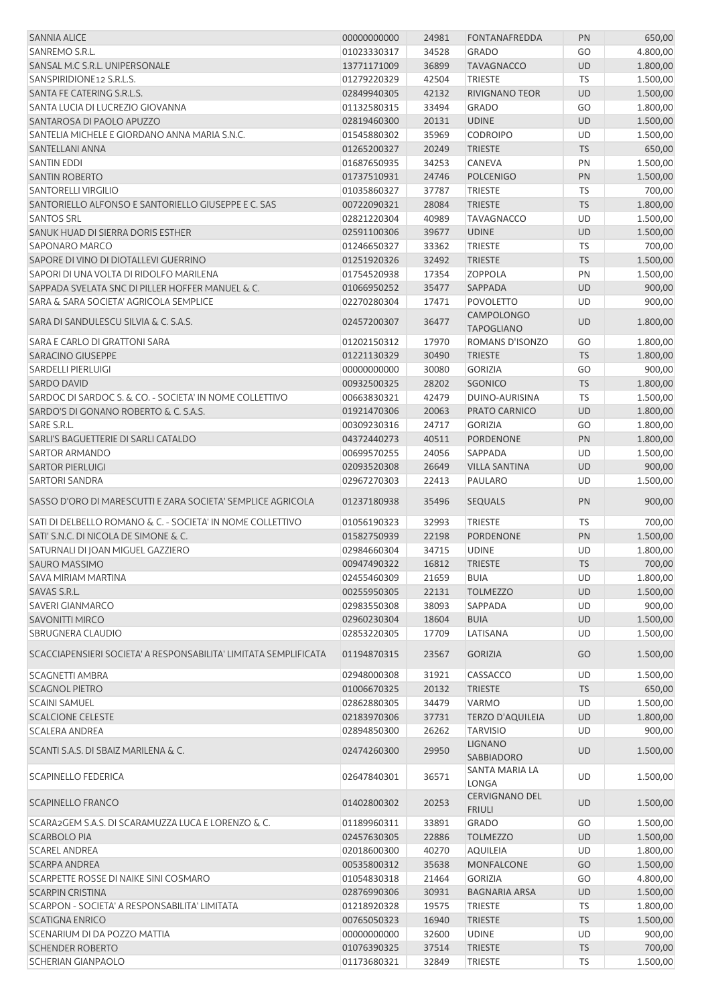| <b>SANNIA ALICE</b>                                              | 00000000000 | 24981 | <b>FONTANAFREDDA</b>                   | PN        | 650,00   |
|------------------------------------------------------------------|-------------|-------|----------------------------------------|-----------|----------|
| SANREMO S.R.L.                                                   | 01023330317 | 34528 | <b>GRADO</b>                           | GO        | 4.800,00 |
| SANSAL M.C S.R.L. UNIPERSONALE                                   | 13771171009 | 36899 | <b>TAVAGNACCO</b>                      | <b>UD</b> | 1.800,00 |
| SANSPIRIDIONE12 S.R.L.S.                                         | 01279220329 | 42504 | <b>TRIESTE</b>                         | <b>TS</b> | 1.500,00 |
| SANTA FE CATERING S.R.L.S.                                       | 02849940305 | 42132 | <b>RIVIGNANO TEOR</b>                  | UD        | 1.500,00 |
| SANTA LUCIA DI LUCREZIO GIOVANNA                                 | 01132580315 | 33494 | <b>GRADO</b>                           | GO        | 1.800,00 |
| SANTAROSA DI PAOLO APUZZO                                        | 02819460300 | 20131 | <b>UDINE</b>                           | UD        | 1.500,00 |
| SANTELIA MICHELE E GIORDANO ANNA MARIA S.N.C.                    | 01545880302 | 35969 | <b>CODROIPO</b>                        | UD        | 1.500,00 |
|                                                                  |             |       |                                        |           |          |
| SANTELLANI ANNA                                                  | 01265200327 | 20249 | <b>TRIESTE</b>                         | <b>TS</b> | 650,00   |
| <b>SANTIN EDDI</b>                                               | 01687650935 | 34253 | <b>CANEVA</b>                          | PN        | 1.500,00 |
| <b>SANTIN ROBERTO</b>                                            | 01737510931 | 24746 | <b>POLCENIGO</b>                       | PN        | 1.500,00 |
| <b>SANTORELLI VIRGILIO</b>                                       | 01035860327 | 37787 | <b>TRIESTE</b>                         | TS        | 700,00   |
| SANTORIELLO ALFONSO E SANTORIELLO GIUSEPPE E C. SAS              | 00722090321 | 28084 | <b>TRIESTE</b>                         | <b>TS</b> | 1.800,00 |
| <b>SANTOS SRL</b>                                                | 02821220304 | 40989 | <b>TAVAGNACCO</b>                      | UD        | 1.500,00 |
| SANUK HUAD DI SIERRA DORIS ESTHER                                | 02591100306 | 39677 | <b>UDINE</b>                           | UD        | 1.500,00 |
| SAPONARO MARCO                                                   | 01246650327 | 33362 | <b>TRIESTE</b>                         | TS        | 700,00   |
| SAPORE DI VINO DI DIOTALLEVI GUERRINO                            | 01251920326 | 32492 | <b>TRIESTE</b>                         | <b>TS</b> | 1.500,00 |
| SAPORI DI UNA VOLTA DI RIDOLFO MARILENA                          | 01754520938 | 17354 | <b>ZOPPOLA</b>                         | PN        | 1.500,00 |
| SAPPADA SVELATA SNC DI PILLER HOFFER MANUEL & C.                 | 01066950252 | 35477 | SAPPADA                                | UD        | 900,00   |
| SARA & SARA SOCIETA' AGRICOLA SEMPLICE                           | 02270280304 | 17471 | <b>POVOLETTO</b>                       | UD        | 900,00   |
| SARA DI SANDULESCU SILVIA & C. S.A.S.                            | 02457200307 | 36477 | <b>CAMPOLONGO</b>                      | <b>UD</b> | 1.800,00 |
|                                                                  |             |       | <b>TAPOGLIANO</b>                      |           |          |
| SARA E CARLO DI GRATTONI SARA                                    | 01202150312 | 17970 | ROMANS D'ISONZO                        | GO        | 1.800,00 |
| <b>SARACINO GIUSEPPE</b>                                         | 01221130329 | 30490 | <b>TRIESTE</b>                         | <b>TS</b> | 1.800,00 |
| SARDELLI PIERLUIGI                                               | 00000000000 | 30080 | <b>GORIZIA</b>                         | GO        | 900,00   |
| <b>SARDO DAVID</b>                                               | 00932500325 | 28202 | <b>SGONICO</b>                         | <b>TS</b> | 1.800,00 |
| SARDOC DI SARDOC S. & CO. - SOCIETA' IN NOME COLLETTIVO          | 00663830321 | 42479 | DUINO-AURISINA                         | <b>TS</b> | 1.500,00 |
| SARDO'S DI GONANO ROBERTO & C. S.A.S.                            | 01921470306 | 20063 | PRATO CARNICO                          | <b>UD</b> | 1.800,00 |
| SARE S.R.L.                                                      | 00309230316 | 24717 | <b>GORIZIA</b>                         | GO        | 1.800,00 |
| SARLI'S BAGUETTERIE DI SARLI CATALDO                             | 04372440273 | 40511 | PORDENONE                              | PN        | 1.800,00 |
| SARTOR ARMANDO                                                   | 00699570255 | 24056 | SAPPADA                                | UD        | 1.500,00 |
| <b>SARTOR PIERLUIGI</b>                                          | 02093520308 | 26649 | <b>VILLA SANTINA</b>                   | UD        | 900,00   |
|                                                                  |             |       |                                        |           |          |
| <b>SARTORI SANDRA</b>                                            | 02967270303 | 22413 | PAULARO                                | UD        | 1.500,00 |
| SASSO D'ORO DI MARESCUTTI E ZARA SOCIETA' SEMPLICE AGRICOLA      | 01237180938 | 35496 | <b>SEQUALS</b>                         | PN        | 900,00   |
| SATI DI DELBELLO ROMANO & C. - SOCIETA' IN NOME COLLETTIVO       | 01056190323 | 32993 | <b>TRIESTE</b>                         | TS        | 700,00   |
| SATI' S.N.C. DI NICOLA DE SIMONE & C.                            | 01582750939 | 22198 | PORDENONE                              | PN        | 1.500,00 |
| SATURNALI DI JOAN MIGUEL GAZZIERO                                | 02984660304 | 34715 | <b>UDINE</b>                           | UD        | 1.800,00 |
| SAURO MASSIMO                                                    | 00947490322 | 16812 | <b>TRIESTE</b>                         | <b>TS</b> | 700,00   |
| SAVA MIRIAM MARTINA                                              | 02455460309 | 21659 | <b>BUIA</b>                            | UD        | 1.800,00 |
| SAVAS S.R.L.                                                     | 00255950305 | 22131 | <b>TOLMEZZO</b>                        | <b>UD</b> | 1.500,00 |
| <b>SAVERI GIANMARCO</b>                                          | 02983550308 | 38093 | SAPPADA                                | UD        | 900,00   |
|                                                                  |             |       |                                        |           |          |
| <b>SAVONITTI MIRCO</b>                                           | 02960230304 | 18604 | <b>BUIA</b>                            | UD        | 1.500,00 |
| SBRUGNERA CLAUDIO                                                | 02853220305 | 17709 | LATISANA                               | UD        | 1.500,00 |
| SCACCIAPENSIERI SOCIETA' A RESPONSABILITA' LIMITATA SEMPLIFICATA | 01194870315 | 23567 | <b>GORIZIA</b>                         | GO        | 1.500,00 |
| SCAGNETTI AMBRA                                                  | 02948000308 | 31921 | CASSACCO                               | UD        | 1.500,00 |
| <b>SCAGNOL PIETRO</b>                                            | 01006670325 | 20132 | <b>TRIESTE</b>                         | <b>TS</b> | 650,00   |
| <b>SCAINI SAMUEL</b>                                             | 02862880305 | 34479 | <b>VARMO</b>                           | UD        | 1.500,00 |
| <b>SCALCIONE CELESTE</b>                                         | 02183970306 | 37731 | <b>TERZO D'AQUILEIA</b>                | <b>UD</b> | 1.800,00 |
| <b>SCALERA ANDREA</b>                                            | 02894850300 | 26262 | <b>TARVISIO</b>                        | UD        | 900,00   |
| SCANTI S.A.S. DI SBAIZ MARILENA & C.                             | 02474260300 | 29950 | <b>LIGNANO</b>                         | <b>UD</b> | 1.500,00 |
|                                                                  |             |       | SABBIADORO                             |           |          |
| <b>SCAPINELLO FEDERICA</b>                                       | 02647840301 | 36571 | SANTA MARIA LA<br>LONGA                | UD        | 1.500,00 |
| <b>SCAPINELLO FRANCO</b>                                         | 01402800302 | 20253 | <b>CERVIGNANO DEL</b><br><b>FRIULI</b> | <b>UD</b> | 1.500,00 |
| SCARA2GEM S.A.S. DI SCARAMUZZA LUCA E LORENZO & C.               | 01189960311 | 33891 | <b>GRADO</b>                           | GO        | 1.500,00 |
| <b>SCARBOLO PIA</b>                                              | 02457630305 | 22886 | <b>TOLMEZZO</b>                        | <b>UD</b> | 1.500,00 |
| <b>SCAREL ANDREA</b>                                             | 02018600300 | 40270 | <b>AQUILEIA</b>                        | UD        | 1.800,00 |
| <b>SCARPA ANDREA</b>                                             | 00535800312 | 35638 | <b>MONFALCONE</b>                      | GO        | 1.500,00 |
| SCARPETTE ROSSE DI NAIKE SINI COSMARO                            | 01054830318 | 21464 | <b>GORIZIA</b>                         | GO        | 4.800,00 |
| <b>SCARPIN CRISTINA</b>                                          | 02876990306 | 30931 | <b>BAGNARIA ARSA</b>                   | UD        | 1.500,00 |
| SCARPON - SOCIETA' A RESPONSABILITA' LIMITATA                    | 01218920328 | 19575 | TRIESTE                                | TS        | 1.800,00 |
|                                                                  |             |       |                                        |           |          |
| <b>SCATIGNA ENRICO</b>                                           | 00765050323 | 16940 | <b>TRIESTE</b>                         | <b>TS</b> | 1.500,00 |
| SCENARIUM DI DA POZZO MATTIA                                     | 00000000000 | 32600 | <b>UDINE</b>                           | <b>UD</b> | 900,00   |
| <b>SCHENDER ROBERTO</b>                                          | 01076390325 | 37514 | <b>TRIESTE</b>                         | <b>TS</b> | 700,00   |
| <b>SCHERIAN GIANPAOLO</b>                                        | 01173680321 | 32849 | TRIESTE                                | TS        | 1.500,00 |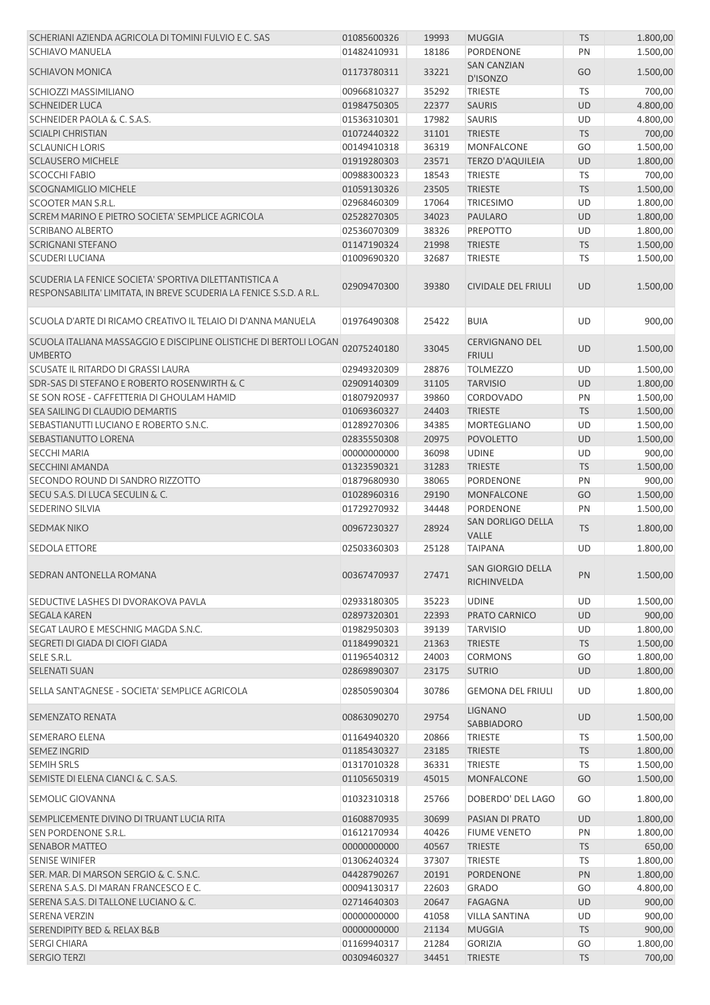| SCHERIANI AZIENDA AGRICOLA DI TOMINI FULVIO E C. SAS                                                                          | 01085600326 | 19993 | <b>MUGGIA</b>                            | <b>TS</b> | 1.800,00 |
|-------------------------------------------------------------------------------------------------------------------------------|-------------|-------|------------------------------------------|-----------|----------|
| <b>SCHIAVO MANUELA</b>                                                                                                        | 01482410931 | 18186 | PORDENONE                                | PN        | 1.500,00 |
|                                                                                                                               |             |       | <b>SAN CANZIAN</b>                       |           |          |
| <b>SCHIAVON MONICA</b>                                                                                                        | 01173780311 | 33221 | D'ISONZO                                 | GO        | 1.500,00 |
| SCHIOZZI MASSIMILIANO                                                                                                         | 00966810327 | 35292 | <b>TRIESTE</b>                           | <b>TS</b> | 700,00   |
| <b>SCHNEIDER LUCA</b>                                                                                                         | 01984750305 | 22377 | <b>SAURIS</b>                            | <b>UD</b> | 4.800,00 |
| SCHNEIDER PAOLA & C. S.A.S.                                                                                                   | 01536310301 | 17982 | <b>SAURIS</b>                            | <b>UD</b> | 4.800,00 |
|                                                                                                                               |             |       |                                          |           |          |
| <b>SCIALPI CHRISTIAN</b>                                                                                                      | 01072440322 | 31101 | <b>TRIESTE</b>                           | <b>TS</b> | 700,00   |
| <b>SCLAUNICH LORIS</b>                                                                                                        | 00149410318 | 36319 | <b>MONFALCONE</b>                        | GO        | 1.500,00 |
| <b>SCLAUSERO MICHELE</b>                                                                                                      | 01919280303 | 23571 | <b>TERZO D'AQUILEIA</b>                  | <b>UD</b> | 1.800,00 |
| <b>SCOCCHI FABIO</b>                                                                                                          | 00988300323 | 18543 | <b>TRIESTE</b>                           | TS        | 700,00   |
| <b>SCOGNAMIGLIO MICHELE</b>                                                                                                   | 01059130326 | 23505 | <b>TRIESTE</b>                           | <b>TS</b> | 1.500,00 |
| SCOOTER MAN S.R.L.                                                                                                            | 02968460309 | 17064 | <b>TRICESIMO</b>                         | UD        | 1.800,00 |
| SCREM MARINO E PIETRO SOCIETA' SEMPLICE AGRICOLA                                                                              | 02528270305 | 34023 | <b>PAULARO</b>                           | <b>UD</b> | 1.800,00 |
| <b>SCRIBANO ALBERTO</b>                                                                                                       | 02536070309 | 38326 | PREPOTTO                                 | UD        | 1.800,00 |
| <b>SCRIGNANI STEFANO</b>                                                                                                      | 01147190324 | 21998 | <b>TRIESTE</b>                           | <b>TS</b> | 1.500,00 |
| <b>SCUDERI LUCIANA</b>                                                                                                        | 01009690320 | 32687 | <b>TRIESTE</b>                           | TS        | 1.500,00 |
|                                                                                                                               |             |       |                                          |           |          |
| SCUDERIA LA FENICE SOCIETA' SPORTIVA DILETTANTISTICA A<br>RESPONSABILITA' LIMITATA, IN BREVE SCUDERIA LA FENICE S.S.D. A R.L. | 02909470300 | 39380 | <b>CIVIDALE DEL FRIULI</b>               | <b>UD</b> | 1.500,00 |
| SCUOLA D'ARTE DI RICAMO CREATIVO IL TELAIO DI D'ANNA MANUELA                                                                  | 01976490308 | 25422 | <b>BUIA</b>                              | UD        | 900,00   |
| SCUOLA ITALIANA MASSAGGIO E DISCIPLINE OLISTICHE DI BERTOLI LOGAN<br><b>UMBERTO</b>                                           | 02075240180 | 33045 | <b>CERVIGNANO DEL</b><br><b>FRIULI</b>   | <b>UD</b> | 1.500,00 |
| SCUSATE IL RITARDO DI GRASSI LAURA                                                                                            | 02949320309 | 28876 | <b>TOLMEZZO</b>                          | UD        | 1.500,00 |
| SDR-SAS DI STEFANO E ROBERTO ROSENWIRTH & C                                                                                   | 02909140309 | 31105 | <b>TARVISIO</b>                          | <b>UD</b> | 1.800,00 |
|                                                                                                                               |             |       |                                          |           |          |
| SE SON ROSE - CAFFETTERIA DI GHOULAM HAMID                                                                                    | 01807920937 | 39860 | <b>CORDOVADO</b>                         | PN        | 1.500,00 |
| SEA SAILING DI CLAUDIO DEMARTIS                                                                                               | 01069360327 | 24403 | <b>TRIESTE</b>                           | <b>TS</b> | 1.500,00 |
| SEBASTIANUTTI LUCIANO E ROBERTO S.N.C.                                                                                        | 01289270306 | 34385 | MORTEGLIANO                              | UD        | 1.500,00 |
| SEBASTIANUTTO LORENA                                                                                                          | 02835550308 | 20975 | <b>POVOLETTO</b>                         | <b>UD</b> | 1.500,00 |
| <b>SECCHI MARIA</b>                                                                                                           | 00000000000 | 36098 | <b>UDINE</b>                             | UD        | 900,00   |
| <b>SECCHINI AMANDA</b>                                                                                                        | 01323590321 | 31283 | <b>TRIESTE</b>                           | <b>TS</b> | 1.500,00 |
| SECONDO ROUND DI SANDRO RIZZOTTO                                                                                              | 01879680930 | 38065 | PORDENONE                                | PN        | 900,00   |
| SECU S.A.S. DI LUCA SECULIN & C.                                                                                              | 01028960316 | 29190 | <b>MONFALCONE</b>                        | GO        | 1.500,00 |
| <b>SEDERINO SILVIA</b>                                                                                                        | 01729270932 | 34448 | <b>PORDENONE</b>                         | PN        | 1.500,00 |
| <b>SEDMAK NIKO</b>                                                                                                            | 00967230327 | 28924 | <b>SAN DORLIGO DELLA</b><br><b>VALLE</b> | <b>TS</b> | 1.800,00 |
| <b>SEDOLA ETTORE</b>                                                                                                          | 02503360303 | 25128 | <b>TAIPANA</b>                           | UD        | 1.800,00 |
|                                                                                                                               |             |       |                                          |           |          |
| SEDRAN ANTONELLA ROMANA                                                                                                       | 00367470937 | 27471 | SAN GIORGIO DELLA<br>RICHINVELDA         | PN        | 1.500,00 |
| SEDUCTIVE LASHES DI DVORAKOVA PAVLA                                                                                           | 02933180305 | 35223 | <b>UDINE</b>                             | UD        | 1.500,00 |
| <b>SEGALA KAREN</b>                                                                                                           | 02897320301 | 22393 | PRATO CARNICO                            | <b>UD</b> | 900,00   |
| SEGAT LAURO E MESCHNIG MAGDA S.N.C.                                                                                           | 01982950303 | 39139 | <b>TARVISIO</b>                          | UD        | 1.800,00 |
| SEGRETI DI GIADA DI CIOFI GIADA                                                                                               | 01184990321 | 21363 | <b>TRIESTE</b>                           | <b>TS</b> | 1.500,00 |
|                                                                                                                               |             |       |                                          |           |          |
| SELE S.R.L.                                                                                                                   | 01196540312 | 24003 | <b>CORMONS</b>                           | GO        | 1.800,00 |
| <b>SELENATI SUAN</b>                                                                                                          | 02869890307 | 23175 | <b>SUTRIO</b>                            | <b>UD</b> | 1.800,00 |
| SELLA SANT'AGNESE - SOCIETA' SEMPLICE AGRICOLA                                                                                | 02850590304 | 30786 | <b>GEMONA DEL FRIULI</b>                 | UD        | 1.800,00 |
| SEMENZATO RENATA                                                                                                              | 00863090270 | 29754 | <b>LIGNANO</b><br>SABBIADORO             | UD        | 1.500,00 |
| SEMERARO ELENA                                                                                                                | 01164940320 | 20866 | TRIESTE                                  | TS        | 1.500,00 |
| <b>SEMEZ INGRID</b>                                                                                                           | 01185430327 | 23185 | <b>TRIESTE</b>                           | <b>TS</b> | 1.800,00 |
| <b>SEMIH SRLS</b>                                                                                                             | 01317010328 | 36331 | <b>TRIESTE</b>                           | <b>TS</b> | 1.500,00 |
| SEMISTE DI ELENA CIANCI & C. S.A.S.                                                                                           | 01105650319 | 45015 | <b>MONFALCONE</b>                        | GO        | 1.500,00 |
| SEMOLIC GIOVANNA                                                                                                              | 01032310318 | 25766 | DOBERDO' DEL LAGO                        | GO        | 1.800,00 |
| SEMPLICEMENTE DIVINO DI TRUANT LUCIA RITA                                                                                     | 01608870935 | 30699 | PASIAN DI PRATO                          | <b>UD</b> | 1.800,00 |
| SEN PORDENONE S.R.L.                                                                                                          | 01612170934 | 40426 | <b>FIUME VENETO</b>                      | PN        | 1.800,00 |
|                                                                                                                               |             |       |                                          |           |          |
| <b>SENABOR MATTEO</b>                                                                                                         | 00000000000 | 40567 | <b>TRIESTE</b>                           | <b>TS</b> | 650,00   |
| <b>SENISE WINIFER</b>                                                                                                         | 01306240324 | 37307 | TRIESTE                                  | TS        | 1.800,00 |
| SER. MAR. DI MARSON SERGIO & C. S.N.C.                                                                                        | 04428790267 | 20191 | PORDENONE                                | PN        | 1.800,00 |
| SERENA S.A.S. DI MARAN FRANCESCO E C.                                                                                         | 00094130317 | 22603 | <b>GRADO</b>                             | GO        | 4.800,00 |
| SERENA S.A.S. DI TALLONE LUCIANO & C.                                                                                         | 02714640303 | 20647 | <b>FAGAGNA</b>                           | <b>UD</b> | 900,00   |
| <b>SERENA VERZIN</b>                                                                                                          | 00000000000 | 41058 | <b>VILLA SANTINA</b>                     | UD        | 900,00   |
| <b>SERENDIPITY BED &amp; RELAX B&amp;B</b>                                                                                    | 00000000000 | 21134 | <b>MUGGIA</b>                            | <b>TS</b> | 900,00   |
| <b>SERGI CHIARA</b>                                                                                                           | 01169940317 | 21284 | <b>GORIZIA</b>                           | GO        | 1.800,00 |
| <b>SERGIO TERZI</b>                                                                                                           | 00309460327 | 34451 | <b>TRIESTE</b>                           | <b>TS</b> | 700,00   |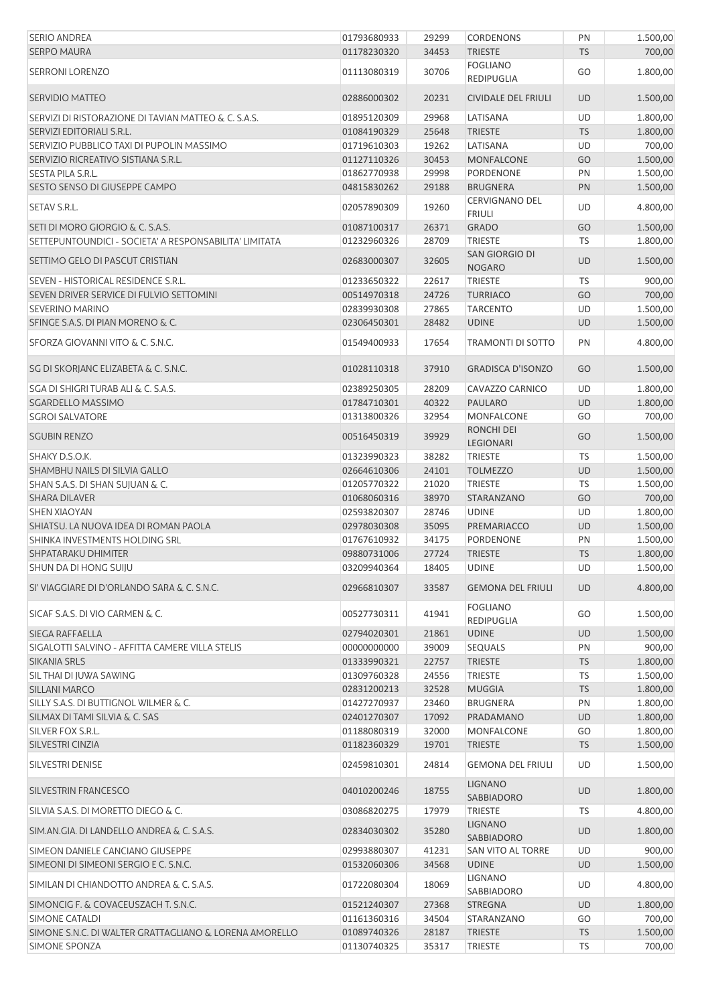| <b>SERIO ANDREA</b>                                    | 01793680933 | 29299 | <b>CORDENONS</b>                     | PN        | 1.500,00 |
|--------------------------------------------------------|-------------|-------|--------------------------------------|-----------|----------|
| <b>SERPO MAURA</b>                                     | 01178230320 | 34453 | <b>TRIESTE</b>                       | <b>TS</b> | 700,00   |
| <b>SERRONI LORENZO</b>                                 | 01113080319 | 30706 | <b>FOGLIANO</b><br>REDIPUGLIA        | GO        | 1.800,00 |
| <b>SERVIDIO MATTEO</b>                                 | 02886000302 | 20231 | <b>CIVIDALE DEL FRIULI</b>           | <b>UD</b> | 1.500,00 |
| SERVIZI DI RISTORAZIONE DI TAVIAN MATTEO & C. S.A.S.   | 01895120309 | 29968 | LATISANA                             | UD        | 1.800,00 |
| SERVIZI EDITORIALI S.R.L.                              | 01084190329 | 25648 | <b>TRIESTE</b>                       | <b>TS</b> | 1.800,00 |
| SERVIZIO PUBBLICO TAXI DI PUPOLIN MASSIMO              | 01719610303 | 19262 | LATISANA                             | UD        | 700,00   |
| SERVIZIO RICREATIVO SISTIANA S.R.L.                    | 01127110326 | 30453 | MONFALCONE                           | GO        | 1.500,00 |
| SESTA PILA S.R.L.                                      | 01862770938 | 29998 | PORDENONE                            | PN        | 1.500,00 |
| SESTO SENSO DI GIUSEPPE CAMPO                          | 04815830262 | 29188 | <b>BRUGNERA</b>                      | PN        | 1.500,00 |
| SETAV S.R.L.                                           | 02057890309 | 19260 | <b>CERVIGNANO DEL</b>                | UD        | 4.800,00 |
|                                                        |             |       | <b>FRIULI</b>                        |           |          |
| SETI DI MORO GIORGIO & C. S.A.S.                       | 01087100317 | 26371 | <b>GRADO</b>                         | GO        | 1.500,00 |
| SETTEPUNTOUNDICI - SOCIETA' A RESPONSABILITA' LIMITATA | 01232960326 | 28709 | <b>TRIESTE</b>                       | <b>TS</b> | 1.800,00 |
| SETTIMO GELO DI PASCUT CRISTIAN                        | 02683000307 | 32605 | SAN GIORGIO DI<br><b>NOGARO</b>      | UD        | 1.500,00 |
| SEVEN - HISTORICAL RESIDENCE S.R.L.                    | 01233650322 | 22617 | <b>TRIESTE</b>                       | <b>TS</b> | 900,00   |
| SEVEN DRIVER SERVICE DI FULVIO SETTOMINI               | 00514970318 | 24726 | <b>TURRIACO</b>                      | GO        | 700,00   |
| <b>SEVERINO MARINO</b>                                 | 02839930308 | 27865 | <b>TARCENTO</b>                      | UD        | 1.500,00 |
| SFINGE S.A.S. DI PIAN MORENO & C.                      | 02306450301 | 28482 | <b>UDINE</b>                         | <b>UD</b> | 1.500,00 |
|                                                        |             |       |                                      |           |          |
| SFORZA GIOVANNI VITO & C. S.N.C.                       | 01549400933 | 17654 | <b>TRAMONTI DI SOTTO</b>             | PN        | 4.800,00 |
| SG DI SKORJANC ELIZABETA & C. S.N.C.                   | 01028110318 | 37910 | <b>GRADISCA D'ISONZO</b>             | GO        | 1.500,00 |
| SGA DI SHIGRI TURAB ALI & C. S.A.S.                    | 02389250305 | 28209 | CAVAZZO CARNICO                      | UD        | 1.800,00 |
| SGARDELLO MASSIMO                                      | 01784710301 | 40322 | PAULARO                              | UD        | 1.800,00 |
| <b>SGROI SALVATORE</b>                                 | 01313800326 | 32954 | <b>MONFALCONE</b>                    | GO        | 700,00   |
| <b>SGUBIN RENZO</b>                                    | 00516450319 | 39929 | RONCHI DEI<br>LEGIONARI              | GO        | 1.500,00 |
| SHAKY D.S.O.K.                                         | 01323990323 | 38282 | <b>TRIESTE</b>                       | <b>TS</b> | 1.500,00 |
| SHAMBHU NAILS DI SILVIA GALLO                          | 02664610306 | 24101 | <b>TOLMEZZO</b>                      | UD        | 1.500,00 |
| SHAN S.A.S. DI SHAN SUJUAN & C.                        | 01205770322 | 21020 | <b>TRIESTE</b>                       | <b>TS</b> | 1.500,00 |
| <b>SHARA DILAVER</b>                                   | 01068060316 | 38970 | STARANZANO                           | GO        | 700,00   |
| <b>SHEN XIAOYAN</b>                                    | 02593820307 | 28746 | <b>UDINE</b>                         | UD        | 1.800,00 |
| SHIATSU. LA NUOVA IDEA DI ROMAN PAOLA                  | 02978030308 | 35095 | PREMARIACCO                          | <b>UD</b> | 1.500,00 |
| SHINKA INVESTMENTS HOLDING SRL                         |             | 34175 | PORDENONE                            | PN        |          |
|                                                        | 01767610932 |       |                                      |           | 1.500,00 |
| SHPATARAKU DHIMITER                                    | 09880731006 | 27724 | <b>TRIESTE</b>                       | <b>TS</b> | 1.800,00 |
| SHUN DA DI HONG SUIJU                                  | 03209940364 | 18405 | <b>UDINE</b>                         | UD        | 1.500,00 |
| SI' VIAGGIARE DI D'ORLANDO SARA & C. S.N.C.            | 02966810307 | 33587 | <b>GEMONA DEL FRIULI</b>             | <b>UD</b> | 4.800,00 |
| SICAF S.A.S. DI VIO CARMEN & C.                        | 00527730311 | 41941 | <b>FOGLIANO</b><br><b>REDIPUGLIA</b> | GO        | 1.500,00 |
| SIEGA RAFFAELLA                                        | 02794020301 | 21861 | <b>UDINE</b>                         | <b>UD</b> | 1.500,00 |
| SIGALOTTI SALVINO - AFFITTA CAMERE VILLA STELIS        | 00000000000 | 39009 | <b>SEQUALS</b>                       | PN        | 900,00   |
| SIKANIA SRLS                                           | 01333990321 | 22757 | <b>TRIESTE</b>                       | <b>TS</b> | 1.800,00 |
| SIL THAI DI JUWA SAWING                                | 01309760328 | 24556 | <b>TRIESTE</b>                       | TS        | 1.500,00 |
| SILLANI MARCO                                          | 02831200213 | 32528 | <b>MUGGIA</b>                        | <b>TS</b> | 1.800,00 |
| SILLY S.A.S. DI BUTTIGNOL WILMER & C.                  | 01427270937 | 23460 | <b>BRUGNERA</b>                      | PN        | 1.800,00 |
| SILMAX DI TAMI SILVIA & C. SAS                         | 02401270307 | 17092 | PRADAMANO                            | <b>UD</b> | 1.800,00 |
| SILVER FOX S.R.L.                                      | 01188080319 | 32000 | MONFALCONE                           | GO        | 1.800,00 |
|                                                        |             |       |                                      |           |          |
| SILVESTRI CINZIA                                       | 01182360329 | 19701 | <b>TRIESTE</b>                       | <b>TS</b> | 1.500,00 |
| SILVESTRI DENISE                                       | 02459810301 | 24814 | <b>GEMONA DEL FRIULI</b>             | UD        | 1.500,00 |
| SILVESTRIN FRANCESCO                                   | 04010200246 | 18755 | <b>LIGNANO</b><br><b>SABBIADORO</b>  | UD        | 1.800,00 |
| SILVIA S.A.S. DI MORETTO DIEGO & C.                    | 03086820275 | 17979 | <b>TRIESTE</b>                       | TS        | 4.800,00 |
| SIM.AN.GIA. DI LANDELLO ANDREA & C. S.A.S.             | 02834030302 | 35280 | <b>LIGNANO</b><br><b>SABBIADORO</b>  | UD        | 1.800,00 |
| SIMEON DANIELE CANCIANO GIUSEPPE                       | 02993880307 | 41231 | SAN VITO AL TORRE                    | UD        | 900,00   |
| SIMEONI DI SIMEONI SERGIO E C. S.N.C.                  | 01532060306 | 34568 | <b>UDINE</b>                         | <b>UD</b> | 1.500,00 |
| SIMILAN DI CHIANDOTTO ANDREA & C. S.A.S.               | 01722080304 | 18069 | <b>LIGNANO</b><br>SABBIADORO         | UD        | 4.800,00 |
| SIMONCIG F. & COVACEUSZACH T. S.N.C.                   | 01521240307 | 27368 | <b>STREGNA</b>                       | UD        | 1.800,00 |
| SIMONE CATALDI                                         | 01161360316 | 34504 | STARANZANO                           | GO        | 700,00   |
| SIMONE S.N.C. DI WALTER GRATTAGLIANO & LORENA AMORELLO | 01089740326 | 28187 | <b>TRIESTE</b>                       | <b>TS</b> | 1.500,00 |
| SIMONE SPONZA                                          | 01130740325 | 35317 | <b>TRIESTE</b>                       | <b>TS</b> | 700,00   |
|                                                        |             |       |                                      |           |          |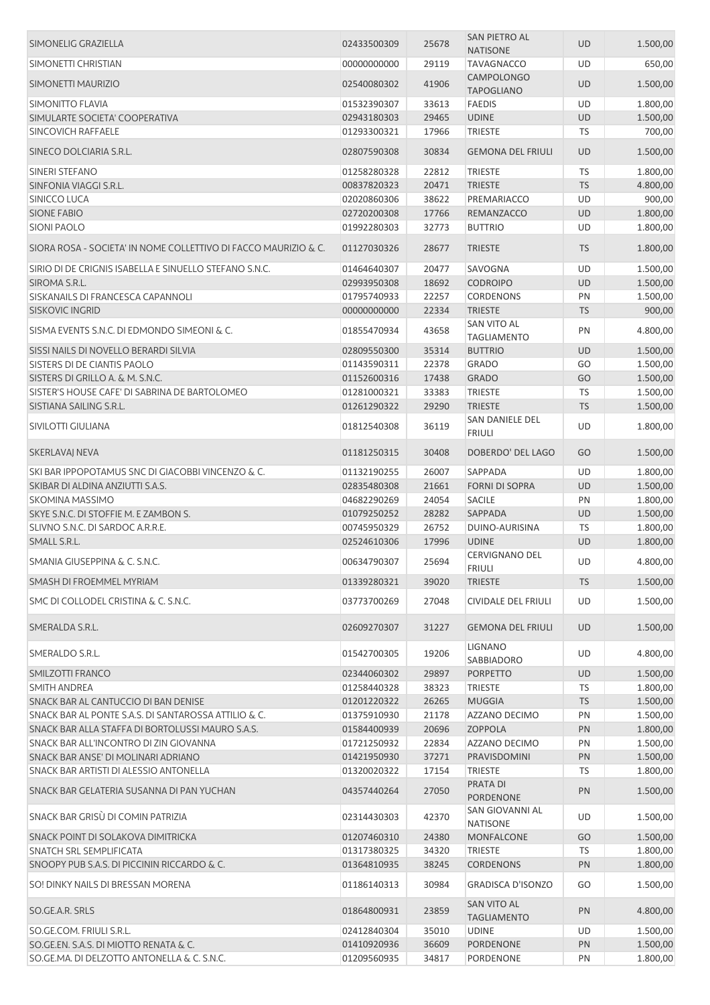| SIMONELIG GRAZIELLA                                             | 02433500309 | 25678 | <b>SAN PIETRO AL</b><br><b>NATISONE</b>    | UD        | 1.500,00 |
|-----------------------------------------------------------------|-------------|-------|--------------------------------------------|-----------|----------|
| SIMONETTI CHRISTIAN                                             | 00000000000 | 29119 | <b>TAVAGNACCO</b>                          | UD        | 650,00   |
| SIMONETTI MAURIZIO                                              | 02540080302 | 41906 | <b>CAMPOLONGO</b><br><b>TAPOGLIANO</b>     | UD        | 1.500,00 |
| <b>SIMONITTO FLAVIA</b>                                         | 01532390307 | 33613 | <b>FAEDIS</b>                              | UD        | 1.800,00 |
| SIMULARTE SOCIETA' COOPERATIVA                                  | 02943180303 | 29465 | <b>UDINE</b>                               | UD        | 1.500,00 |
| SINCOVICH RAFFAELE                                              |             | 17966 |                                            | <b>TS</b> |          |
|                                                                 | 01293300321 |       | <b>TRIESTE</b>                             |           | 700,00   |
| SINECO DOLCIARIA S.R.L.                                         | 02807590308 | 30834 | <b>GEMONA DEL FRIULI</b>                   | UD        | 1.500,00 |
| SINERI STEFANO                                                  | 01258280328 | 22812 | <b>TRIESTE</b>                             | <b>TS</b> | 1.800,00 |
| SINFONIA VIAGGI S.R.L.                                          | 00837820323 | 20471 | <b>TRIESTE</b>                             | <b>TS</b> | 4.800,00 |
| SINICCO LUCA                                                    | 02020860306 | 38622 | PREMARIACCO                                | UD        | 900,00   |
| <b>SIONE FABIO</b>                                              | 02720200308 | 17766 | REMANZACCO                                 | UD        | 1.800,00 |
| <b>SIONI PAOLO</b>                                              | 01992280303 | 32773 | <b>BUTTRIO</b>                             | UD        | 1.800,00 |
| SIORA ROSA - SOCIETA' IN NOME COLLETTIVO DI FACCO MAURIZIO & C. | 01127030326 | 28677 | <b>TRIESTE</b>                             | <b>TS</b> | 1.800,00 |
| SIRIO DI DE CRIGNIS ISABELLA E SINUELLO STEFANO S.N.C.          | 01464640307 | 20477 | SAVOGNA                                    | UD        | 1.500,00 |
| SIROMA S.R.L.                                                   | 02993950308 | 18692 | <b>CODROIPO</b>                            | <b>UD</b> | 1.500,00 |
| SISKANAILS DI FRANCESCA CAPANNOLI                               | 01795740933 | 22257 | <b>CORDENONS</b>                           | PN        | 1.500,00 |
| <b>SISKOVIC INGRID</b>                                          | 00000000000 | 22334 | <b>TRIESTE</b>                             | <b>TS</b> | 900,00   |
|                                                                 |             |       | <b>SAN VITO AL</b>                         |           |          |
| SISMA EVENTS S.N.C. DI EDMONDO SIMEONI & C.                     | 01855470934 | 43658 | <b>TAGLIAMENTO</b>                         | PN        | 4.800,00 |
| SISSI NAILS DI NOVELLO BERARDI SILVIA                           | 02809550300 | 35314 | <b>BUTTRIO</b>                             | UD        | 1.500,00 |
| SISTERS DI DE CIANTIS PAOLO                                     | 01143590311 | 22378 | <b>GRADO</b>                               | GO        | 1.500,00 |
| SISTERS DI GRILLO A. & M. S.N.C.                                | 01152600316 | 17438 | <b>GRADO</b>                               | GO        | 1.500,00 |
| SISTER'S HOUSE CAFE' DI SABRINA DE BARTOLOMEO                   | 01281000321 | 33383 | <b>TRIESTE</b>                             | TS        | 1.500,00 |
| SISTIANA SAILING S.R.L.                                         | 01261290322 | 29290 | <b>TRIESTE</b>                             | <b>TS</b> | 1.500,00 |
|                                                                 |             |       | SAN DANIELE DEL                            |           |          |
| SIVILOTTI GIULIANA                                              | 01812540308 | 36119 | <b>FRIULI</b>                              | UD        | 1.800,00 |
| SKERLAVAJ NEVA                                                  | 01181250315 | 30408 | DOBERDO' DEL LAGO                          | GO        | 1.500,00 |
| SKI BAR IPPOPOTAMUS SNC DI GIACOBBI VINCENZO & C.               | 01132190255 | 26007 | SAPPADA                                    | UD        | 1.800,00 |
| SKIBAR DI ALDINA ANZIUTTI S.A.S.                                | 02835480308 | 21661 | <b>FORNI DI SOPRA</b>                      | <b>UD</b> | 1.500,00 |
| SKOMINA MASSIMO                                                 | 04682290269 | 24054 | <b>SACILE</b>                              | PN        | 1.800,00 |
| SKYE S.N.C. DI STOFFIE M. E ZAMBON S.                           | 01079250252 | 28282 | <b>SAPPADA</b>                             | UD        | 1.500,00 |
| SLIVNO S.N.C. DI SARDOC A.R.R.E.                                | 00745950329 | 26752 | DUINO-AURISINA                             | <b>TS</b> | 1.800,00 |
| SMALL S.R.L.                                                    | 02524610306 | 17996 | <b>UDINE</b>                               | UD        | 1.800,00 |
| SMANIA GIUSEPPINA & C. S.N.C.                                   | 00634790307 | 25694 | <b>CERVIGNANO DEL</b>                      | UD        | 4.800,00 |
| SMASH DI FROEMMEL MYRIAM                                        | 01339280321 | 39020 | FRIULI<br><b>TRIESTE</b>                   | <b>TS</b> | 1.500,00 |
| SMC DI COLLODEL CRISTINA & C. S.N.C.                            | 03773700269 | 27048 | <b>CIVIDALE DEL FRIULI</b>                 | UD        | 1.500,00 |
|                                                                 |             |       |                                            |           |          |
| SMERALDA S.R.L.                                                 | 02609270307 | 31227 | <b>GEMONA DEL FRIULI</b><br><b>LIGNANO</b> | <b>UD</b> | 1.500,00 |
| SMERALDO S.R.L.                                                 | 01542700305 | 19206 | SABBIADORO                                 | UD        | 4.800,00 |
| SMILZOTTI FRANCO                                                | 02344060302 | 29897 | <b>PORPETTO</b>                            | UD        | 1.500,00 |
| <b>SMITH ANDREA</b>                                             | 01258440328 | 38323 | <b>TRIESTE</b>                             | TS        | 1.800,00 |
| SNACK BAR AL CANTUCCIO DI BAN DENISE                            | 01201220322 | 26265 | <b>MUGGIA</b>                              | <b>TS</b> | 1.500,00 |
| SNACK BAR AL PONTE S.A.S. DI SANTAROSSA ATTILIO & C.            | 01375910930 | 21178 | <b>AZZANO DECIMO</b>                       | PN        | 1.500,00 |
| SNACK BAR ALLA STAFFA DI BORTOLUSSI MAURO S.A.S.                | 01584400939 | 20696 | <b>ZOPPOLA</b>                             | PN        | 1.800,00 |
| SNACK BAR ALL'INCONTRO DI ZIN GIOVANNA                          | 01721250932 | 22834 | AZZANO DECIMO                              | PN        | 1.500,00 |
| SNACK BAR ANSE' DI MOLINARI ADRIANO                             | 01421950930 | 37271 | PRAVISDOMINI                               | PN        | 1.500,00 |
| SNACK BAR ARTISTI DI ALESSIO ANTONELLA                          | 01320020322 | 17154 | <b>TRIESTE</b>                             | TS        | 1.800,00 |
| SNACK BAR GELATERIA SUSANNA DI PAN YUCHAN                       | 04357440264 | 27050 | PRATA DI<br><b>PORDENONE</b>               | PN        | 1.500,00 |
| SNACK BAR GRISÙ DI COMIN PATRIZIA                               | 02314430303 | 42370 | SAN GIOVANNI AL                            | UD        | 1.500,00 |
|                                                                 |             |       | <b>NATISONE</b>                            |           |          |
| SNACK POINT DI SOLAKOVA DIMITRICKA                              | 01207460310 | 24380 | <b>MONFALCONE</b>                          | GO        | 1.500,00 |
| SNATCH SRL SEMPLIFICATA                                         | 01317380325 | 34320 | <b>TRIESTE</b>                             | TS        | 1.800,00 |
| SNOOPY PUB S.A.S. DI PICCININ RICCARDO & C.                     | 01364810935 | 38245 | <b>CORDENONS</b>                           | PN        | 1.800,00 |
| SO! DINKY NAILS DI BRESSAN MORENA                               | 01186140313 | 30984 | <b>GRADISCA D'ISONZO</b>                   | GO        | 1.500,00 |
| SO.GE.A.R. SRLS                                                 | 01864800931 | 23859 | SAN VITO AL<br><b>TAGLIAMENTO</b>          | PN        | 4.800,00 |
| SO.GE.COM. FRIULI S.R.L.                                        | 02412840304 | 35010 | <b>UDINE</b>                               | UD        | 1.500,00 |
| SO.GE.EN. S.A.S. DI MIOTTO RENATA & C.                          | 01410920936 | 36609 | PORDENONE                                  | PN        | 1.500,00 |
| SO.GE.MA. DI DELZOTTO ANTONELLA & C. S.N.C.                     | 01209560935 | 34817 | PORDENONE                                  | PN        | 1.800,00 |
|                                                                 |             |       |                                            |           |          |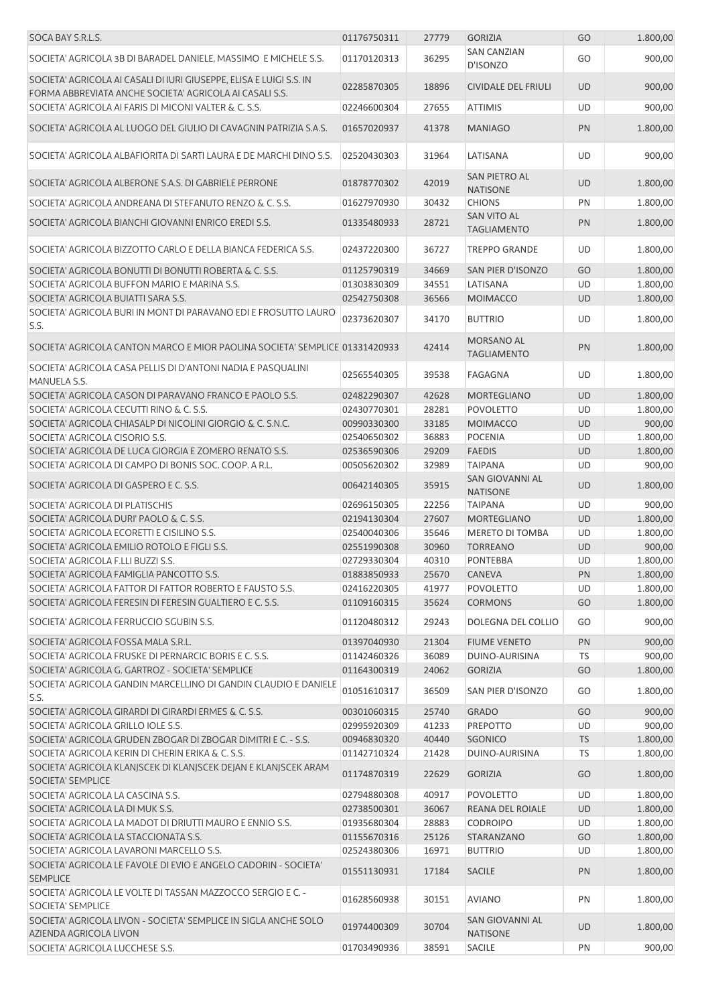| SOCA BAY S.R.L.S.                                                                                                              | 01176750311                | 27779          | <b>GORIZIA</b>                           | GO        | 1.800,00             |
|--------------------------------------------------------------------------------------------------------------------------------|----------------------------|----------------|------------------------------------------|-----------|----------------------|
| SOCIETA' AGRICOLA 3B DI BARADEL DANIELE, MASSIMO E MICHELE S.S.                                                                | 01170120313                | 36295          | <b>SAN CANZIAN</b><br>D'ISONZO           | GO        | 900,00               |
| SOCIETA' AGRICOLA AI CASALI DI IURI GIUSEPPE, ELISA E LUIGI S.S. IN<br>FORMA ABBREVIATA ANCHE SOCIETA' AGRICOLA AI CASALI S.S. | 02285870305                | 18896          | <b>CIVIDALE DEL FRIULI</b>               | <b>UD</b> | 900,00               |
| SOCIETA' AGRICOLA AI FARIS DI MICONI VALTER & C. S.S.                                                                          | 02246600304                | 27655          | <b>ATTIMIS</b>                           | UD        | 900,00               |
| SOCIETA' AGRICOLA AL LUOGO DEL GIULIO DI CAVAGNIN PATRIZIA S.A.S.                                                              | 01657020937                | 41378          | <b>MANIAGO</b>                           | PN        | 1.800,00             |
| SOCIETA' AGRICOLA ALBAFIORITA DI SARTI LAURA E DE MARCHI DINO S.S.                                                             | 02520430303                | 31964          | LATISANA                                 | <b>UD</b> | 900,00               |
| SOCIETA' AGRICOLA ALBERONE S.A.S. DI GABRIELE PERRONE                                                                          | 01878770302                | 42019          | <b>SAN PIETRO AL</b><br><b>NATISONE</b>  | UD        | 1.800,00             |
| SOCIETA' AGRICOLA ANDREANA DI STEFANUTO RENZO & C. S.S.                                                                        | 01627970930                | 30432          | <b>CHIONS</b>                            | PN        | 1.800,00             |
| SOCIETA' AGRICOLA BIANCHI GIOVANNI ENRICO EREDI S.S.                                                                           | 01335480933                | 28721          | <b>SAN VITO AL</b><br><b>TAGLIAMENTO</b> | PN        | 1.800,00             |
| SOCIETA' AGRICOLA BIZZOTTO CARLO E DELLA BIANCA FEDERICA S.S.                                                                  | 02437220300                | 36727          | <b>TREPPO GRANDE</b>                     | UD        | 1.800,00             |
| SOCIETA' AGRICOLA BONUTTI DI BONUTTI ROBERTA & C. S.S.                                                                         | 01125790319                | 34669          | SAN PIER D'ISONZO                        | GO        | 1.800,00             |
| SOCIETA' AGRICOLA BUFFON MARIO E MARINA S.S.                                                                                   | 01303830309                | 34551          | LATISANA                                 | UD        | 1.800,00             |
| SOCIETA' AGRICOLA BUIATTI SARA S.S.                                                                                            | 02542750308                | 36566          | <b>MOIMACCO</b>                          | UD        | 1.800,00             |
| SOCIETA' AGRICOLA BURI IN MONT DI PARAVANO EDI E FROSUTTO LAURO<br>S.S.                                                        | 02373620307                | 34170          | <b>BUTTRIO</b>                           | UD        | 1.800,00             |
| SOCIETA' AGRICOLA CANTON MARCO E MIOR PAOLINA SOCIETA' SEMPLICE 01331420933                                                    |                            | 42414          | MORSANO AL<br><b>TAGLIAMENTO</b>         | PN        | 1.800,00             |
| SOCIETA' AGRICOLA CASA PELLIS DI D'ANTONI NADIA E PASQUALINI<br>MANUELA S.S.                                                   | 02565540305                | 39538          | FAGAGNA                                  | UD        | 1.800,00             |
| SOCIETA' AGRICOLA CASON DI PARAVANO FRANCO E PAOLO S.S.                                                                        | 02482290307                | 42628          | <b>MORTEGLIANO</b>                       | UD        | 1.800,00             |
| SOCIETA' AGRICOLA CECUTTI RINO & C. S.S.                                                                                       | 02430770301                | 28281          | <b>POVOLETTO</b>                         | UD        | 1.800,00             |
| SOCIETA' AGRICOLA CHIASALP DI NICOLINI GIORGIO & C. S.N.C.                                                                     | 00990330300                | 33185          | <b>MOIMACCO</b>                          | UD        | 900,00               |
| SOCIETA' AGRICOLA CISORIO S.S.                                                                                                 | 02540650302                | 36883          | <b>POCENIA</b>                           | <b>UD</b> | 1.800,00             |
| SOCIETA' AGRICOLA DE LUCA GIORGIA E ZOMERO RENATO S.S.                                                                         | 02536590306                | 29209          | <b>FAEDIS</b>                            | UD        | 1.800,00             |
| SOCIETA' AGRICOLA DI CAMPO DI BONIS SOC. COOP. A R.L.                                                                          | 00505620302                | 32989          | <b>TAIPANA</b>                           | UD        | 900,00               |
| SOCIETA' AGRICOLA DI GASPERO E C. S.S.                                                                                         | 00642140305                | 35915          | SAN GIOVANNI AL<br><b>NATISONE</b>       | <b>UD</b> | 1.800,00             |
| SOCIETA' AGRICOLA DI PLATISCHIS                                                                                                | 02696150305                | 22256          | <b>TAIPANA</b>                           | <b>UD</b> | 900,00               |
| SOCIETA' AGRICOLA DURI' PAOLO & C. S.S.                                                                                        | 02194130304                | 27607          | <b>MORTEGLIANO</b>                       | <b>UD</b> | 1.800,00             |
| SOCIETA' AGRICOLA ECORETTI E CISILINO S.S.                                                                                     | 02540040306                | 35646          | MERETO DI TOMBA                          | <b>UD</b> | 1.800,00             |
| SOCIETA' AGRICOLA EMILIO ROTOLO E FIGLI S.S.                                                                                   | 02551990308                | 30960          | <b>TORREANO</b>                          | <b>UD</b> | 900,00               |
| SOCIETA' AGRICOLA F.LLI BUZZI S.S.                                                                                             | 02729330304                | 40310          | <b>PONTEBBA</b>                          | UD        | 1.800,00             |
| SOCIETA' AGRICOLA FAMIGLIA PANCOTTO S.S.                                                                                       | 01883850933                | 25670          | <b>CANEVA</b>                            | PN        | 1.800,00             |
| SOCIETA' AGRICOLA FATTOR DI FATTOR ROBERTO E FAUSTO S.S.                                                                       | 02416220305                | 41977          | <b>POVOLETTO</b>                         | UD        | 1.800,00             |
| SOCIETA' AGRICOLA FERESIN DI FERESIN GUALTIERO E C. S.S.                                                                       | 01109160315                | 35624          | <b>CORMONS</b>                           | GO        | 1.800,00             |
| SOCIETA' AGRICOLA FERRUCCIO SGUBIN S.S.                                                                                        | 01120480312                | 29243          | DOLEGNA DEL COLLIO                       | GO        | 900,00               |
| SOCIETA' AGRICOLA FOSSA MALA S.R.L.                                                                                            | 01397040930                | 21304          | <b>FIUME VENETO</b>                      | PN        | 900,00               |
| SOCIETA' AGRICOLA FRUSKE DI PERNARCIC BORIS E C. S.S.                                                                          | 01142460326                | 36089          | DUINO-AURISINA                           | TS        | 900,00               |
| SOCIETA' AGRICOLA G. GARTROZ - SOCIETA' SEMPLICE<br>SOCIETA' AGRICOLA GANDIN MARCELLINO DI GANDIN CLAUDIO E DANIELE            | 01164300319<br>01051610317 | 24062<br>36509 | <b>GORIZIA</b><br>SAN PIER D'ISONZO      | GO<br>GO  | 1.800,00<br>1.800,00 |
| S.S.                                                                                                                           |                            |                |                                          |           |                      |
| SOCIETA' AGRICOLA GIRARDI DI GIRARDI ERMES & C. S.S.                                                                           | 00301060315                | 25740          | <b>GRADO</b>                             | GO        | 900,00               |
| SOCIETA' AGRICOLA GRILLO IOLE S.S.                                                                                             | 02995920309                | 41233          | PREPOTTO                                 | UD        | 900,00               |
| SOCIETA' AGRICOLA GRUDEN ZBOGAR DI ZBOGAR DIMITRI E C. - S.S.                                                                  | 00946830320                | 40440          | SGONICO                                  | <b>TS</b> | 1.800,00             |
| SOCIETA' AGRICOLA KERIN DI CHERIN ERIKA & C. S.S.                                                                              | 01142710324                | 21428          | DUINO-AURISINA                           | TS        | 1.800,00             |
| SOCIETA' AGRICOLA KLANJSCEK DI KLANJSCEK DEJAN E KLANJSCEK ARAM<br>SOCIETA' SEMPLICE                                           | 01174870319                | 22629          | <b>GORIZIA</b>                           | GO        | 1.800,00             |
| SOCIETA' AGRICOLA LA CASCINA S.S.                                                                                              | 02794880308                | 40917          | <b>POVOLETTO</b>                         | UD        | 1.800,00             |
| SOCIETA' AGRICOLA LA DI MUK S.S.                                                                                               | 02738500301                | 36067          | REANA DEL ROIALE                         | UD        | 1.800,00             |
| SOCIETA' AGRICOLA LA MADOT DI DRIUTTI MAURO E ENNIO S.S.                                                                       | 01935680304                | 28883          | <b>CODROIPO</b>                          | UD        | 1.800,00             |
| SOCIETA' AGRICOLA LA STACCIONATA S.S.                                                                                          | 01155670316                | 25126          | STARANZANO                               | GO        | 1.800,00             |
| SOCIETA' AGRICOLA LAVARONI MARCELLO S.S.<br>SOCIETA' AGRICOLA LE FAVOLE DI EVIO E ANGELO CADORIN - SOCIETA'                    | 02524380306<br>01551130931 | 16971<br>17184 | <b>BUTTRIO</b><br><b>SACILE</b>          | UD<br>PN  | 1.800,00<br>1.800,00 |
| <b>SEMPLICE</b>                                                                                                                |                            |                |                                          |           |                      |
| SOCIETA' AGRICOLA LE VOLTE DI TASSAN MAZZOCCO SERGIO E C. -<br><b>SOCIETA' SEMPLICE</b>                                        | 01628560938                | 30151          | <b>AVIANO</b>                            | PN        | 1.800,00             |
| SOCIETA' AGRICOLA LIVON - SOCIETA' SEMPLICE IN SIGLA ANCHE SOLO<br>AZIENDA AGRICOLA LIVON                                      | 01974400309                | 30704          | SAN GIOVANNI AL<br><b>NATISONE</b>       | UD        | 1.800,00             |
| SOCIETA' AGRICOLA LUCCHESE S.S.                                                                                                | 01703490936                | 38591          | SACILE                                   | PN        | 900,00               |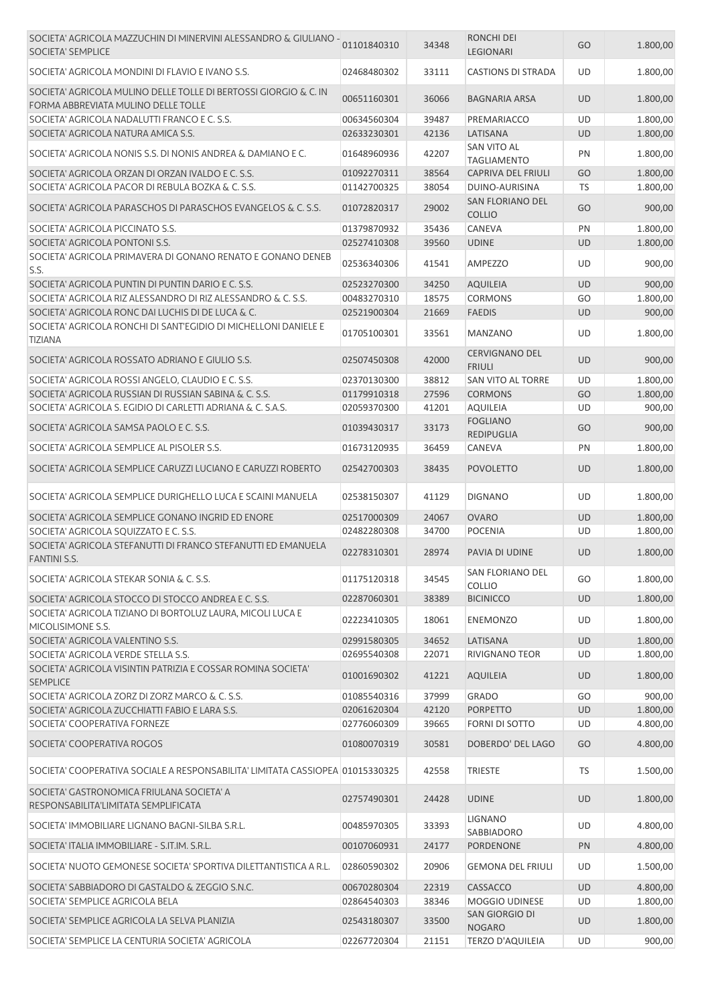| SOCIETA' AGRICOLA MAZZUCHIN DI MINERVINI ALESSANDRO & GIULIANO -<br>SOCIETA' SEMPLICE                   | 01101840310                | 34348          | RONCHI DEI<br>LEGIONARI                  | GO        | 1.800,00           |
|---------------------------------------------------------------------------------------------------------|----------------------------|----------------|------------------------------------------|-----------|--------------------|
| SOCIETA' AGRICOLA MONDINI DI FLAVIO E IVANO S.S.                                                        | 02468480302                | 33111          | <b>CASTIONS DI STRADA</b>                | <b>UD</b> | 1.800,00           |
| SOCIETA' AGRICOLA MULINO DELLE TOLLE DI BERTOSSI GIORGIO & C. IN<br>FORMA ABBREVIATA MULINO DELLE TOLLE | 00651160301                | 36066          | <b>BAGNARIA ARSA</b>                     | <b>UD</b> | 1.800,00           |
| SOCIETA' AGRICOLA NADALUTTI FRANCO E C. S.S.                                                            | 00634560304                | 39487          | PREMARIACCO                              | UD        | 1.800,00           |
| SOCIETA' AGRICOLA NATURA AMICA S.S.                                                                     | 02633230301                | 42136          | LATISANA                                 | <b>UD</b> | 1.800,00           |
| SOCIETA' AGRICOLA NONIS S.S. DI NONIS ANDREA & DAMIANO E C.                                             | 01648960936                | 42207          | SAN VITO AL<br><b>TAGLIAMENTO</b>        | PN        | 1.800,00           |
| SOCIETA' AGRICOLA ORZAN DI ORZAN IVALDO E C. S.S.                                                       | 01092270311                | 38564          | <b>CAPRIVA DEL FRIULI</b>                | GO        | 1.800,00           |
| SOCIETA' AGRICOLA PACOR DI REBULA BOZKA & C. S.S.                                                       | 01142700325                | 38054          | DUINO-AURISINA                           | TS        | 1.800,00           |
| SOCIETA' AGRICOLA PARASCHOS DI PARASCHOS EVANGELOS & C. S.S.                                            | 01072820317                | 29002          | SAN FLORIANO DEL<br><b>COLLIO</b>        | GO        | 900,00             |
| SOCIETA' AGRICOLA PICCINATO S.S.                                                                        | 01379870932                | 35436          | CANEVA                                   | PN        | 1.800,00           |
| SOCIETA' AGRICOLA PONTONI S.S.                                                                          | 02527410308                | 39560          | <b>UDINE</b>                             | <b>UD</b> | 1.800,00           |
| SOCIETA' AGRICOLA PRIMAVERA DI GONANO RENATO E GONANO DENEB<br>S.S.                                     | 02536340306                | 41541          | AMPEZZO                                  | UD        | 900,00             |
| SOCIETA' AGRICOLA PUNTIN DI PUNTIN DARIO E C. S.S.                                                      | 02523270300                | 34250          | <b>AQUILEIA</b>                          | <b>UD</b> | 900,00             |
| SOCIETA' AGRICOLA RIZ ALESSANDRO DI RIZ ALESSANDRO & C. S.S.                                            | 00483270310                | 18575          | <b>CORMONS</b>                           | GO        | 1.800,00           |
| SOCIETA' AGRICOLA RONC DAI LUCHIS DI DE LUCA & C.                                                       | 02521900304                | 21669          | <b>FAEDIS</b>                            | UD        | 900,00             |
| SOCIETA' AGRICOLA RONCHI DI SANT'EGIDIO DI MICHELLONI DANIELE E<br><b>TIZIANA</b>                       | 01705100301                | 33561          | <b>MANZANO</b>                           | UD        | 1.800,00           |
| SOCIETA' AGRICOLA ROSSATO ADRIANO E GIULIO S.S.                                                         | 02507450308                | 42000          | <b>CERVIGNANO DEL</b><br><b>FRIULI</b>   | <b>UD</b> | 900,00             |
| SOCIETA' AGRICOLA ROSSI ANGELO, CLAUDIO E C. S.S.                                                       | 02370130300                | 38812          | SAN VITO AL TORRE                        | UD        | 1.800,00           |
| SOCIETA' AGRICOLA RUSSIAN DI RUSSIAN SABINA & C. S.S.                                                   | 01179910318                | 27596          | <b>CORMONS</b>                           | GO        | 1.800,00           |
| SOCIETA' AGRICOLA S. EGIDIO DI CARLETTI ADRIANA & C. S.A.S.                                             | 02059370300                | 41201          | <b>AQUILEIA</b>                          | UD        | 900,00             |
| SOCIETA' AGRICOLA SAMSA PAOLO E C. S.S.                                                                 | 01039430317                | 33173          | <b>FOGLIANO</b><br>REDIPUGLIA            | GO        | 900,00             |
| SOCIETA' AGRICOLA SEMPLICE AL PISOLER S.S.                                                              | 01673120935                | 36459          | CANEVA                                   | PN        | 1.800,00           |
|                                                                                                         |                            |                |                                          |           |                    |
| SOCIETA' AGRICOLA SEMPLICE CARUZZI LUCIANO E CARUZZI ROBERTO                                            | 02542700303                | 38435          | <b>POVOLETTO</b>                         | <b>UD</b> | 1.800,00           |
| SOCIETA' AGRICOLA SEMPLICE DURIGHELLO LUCA E SCAINI MANUELA                                             | 02538150307                | 41129          | <b>DIGNANO</b>                           | UD        | 1.800,00           |
| SOCIETA' AGRICOLA SEMPLICE GONANO INGRID ED ENORE                                                       | 02517000309                | 24067          | <b>OVARO</b>                             | <b>UD</b> | 1.800,00           |
| SOCIETA' AGRICOLA SQUIZZATO E C. S.S.                                                                   | 02482280308                | 34700          | <b>POCENIA</b>                           | UD        | 1.800,00           |
| SOCIETA' AGRICOLA STEFANUTTI DI FRANCO STEFANUTTI ED EMANUELA<br><b>FANTINI S.S.</b>                    | 02278310301                | 28974          | PAVIA DI UDINE                           | <b>UD</b> | 1.800,00           |
| SOCIETA' AGRICOLA STEKAR SONIA & C. S.S.                                                                | 01175120318                | 34545          | SAN FLORIANO DEL<br><b>COLLIO</b>        | GO        | 1.800,00           |
| SOCIETA' AGRICOLA STOCCO DI STOCCO ANDREA E C. S.S.                                                     | 02287060301                | 38389          | <b>BICINICCO</b>                         | <b>UD</b> | 1.800,00           |
| SOCIETA' AGRICOLA TIZIANO DI BORTOLUZ LAURA, MICOLI LUCA E<br>MICOLISIMONE S.S.                         | 02223410305                | 18061          | <b>ENEMONZO</b>                          | UD        | 1.800,00           |
| SOCIETA' AGRICOLA VALENTINO S.S.                                                                        | 02991580305                | 34652          | LATISANA                                 | <b>UD</b> | 1.800,00           |
| SOCIETA' AGRICOLA VERDE STELLA S.S.                                                                     | 02695540308                | 22071          | <b>RIVIGNANO TEOR</b>                    | UD        | 1.800,00           |
| SOCIETA' AGRICOLA VISINTIN PATRIZIA E COSSAR ROMINA SOCIETA'<br><b>SEMPLICE</b>                         | 01001690302                | 41221          | <b>AQUILEIA</b>                          | UD        | 1.800,00           |
| SOCIETA' AGRICOLA ZORZ DI ZORZ MARCO & C. S.S.                                                          | 01085540316                | 37999          | <b>GRADO</b>                             | GO        | 900,00             |
| SOCIETA' AGRICOLA ZUCCHIATTI FABIO E LARA S.S.                                                          | 02061620304                | 42120          | <b>PORPETTO</b>                          | <b>UD</b> | 1.800,00           |
| SOCIETA' COOPERATIVA FORNEZE                                                                            | 02776060309                | 39665          | FORNI DI SOTTO                           | UD        | 4.800,00           |
| SOCIETA' COOPERATIVA ROGOS                                                                              | 01080070319                | 30581          | DOBERDO' DEL LAGO                        | GO        | 4.800,00           |
| SOCIETA' COOPERATIVA SOCIALE A RESPONSABILITA' LIMITATA CASSIOPEA 01015330325                           |                            | 42558          | <b>TRIESTE</b>                           | TS        | 1.500,00           |
| SOCIETA' GASTRONOMICA FRIULANA SOCIETA' A<br>RESPONSABILITA'LIMITATA SEMPLIFICATA                       | 02757490301                | 24428          | <b>UDINE</b>                             | UD        | 1.800,00           |
| SOCIETA' IMMOBILIARE LIGNANO BAGNI-SILBA S.R.L.                                                         | 00485970305                | 33393          | LIGNANO<br>SABBIADORO                    | UD        | 4.800,00           |
| SOCIETA' ITALIA IMMOBILIARE - S.IT.IM. S.R.L.                                                           | 00107060931                | 24177          | PORDENONE                                | <b>PN</b> | 4.800,00           |
| SOCIETA' NUOTO GEMONESE SOCIETA' SPORTIVA DILETTANTISTICA A R.L.                                        | 02860590302                | 20906          | <b>GEMONA DEL FRIULI</b>                 | <b>UD</b> | 1.500,00           |
| SOCIETA' SABBIADORO DI GASTALDO & ZEGGIO S.N.C.                                                         | 00670280304                | 22319          | CASSACCO                                 | <b>UD</b> | 4.800,00           |
| SOCIETA' SEMPLICE AGRICOLA BELA                                                                         | 02864540303                | 38346          | MOGGIO UDINESE                           | UD        | 1.800,00           |
|                                                                                                         |                            |                | SAN GIORGIO DI                           |           |                    |
| SOCIETA' SEMPLICE AGRICOLA LA SELVA PLANIZIA<br>SOCIETA' SEMPLICE LA CENTURIA SOCIETA' AGRICOLA         | 02543180307<br>02267720304 | 33500<br>21151 | <b>NOGARO</b><br><b>TERZO D'AQUILEIA</b> | UD<br>UD  | 1.800,00<br>900,00 |
|                                                                                                         |                            |                |                                          |           |                    |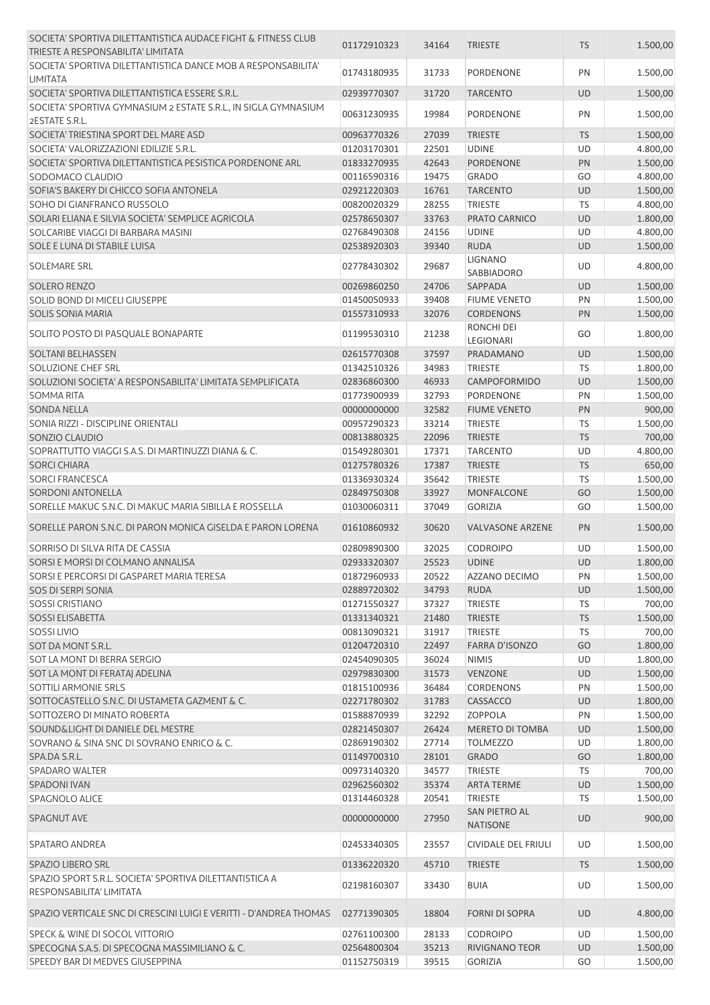| SOCIETA' SPORTIVA DILETTANTISTICA AUDACE FIGHT & FITNESS CLUB                       | 01172910323 | 34164 | <b>TRIESTE</b>          | <b>TS</b> | 1.500,00 |
|-------------------------------------------------------------------------------------|-------------|-------|-------------------------|-----------|----------|
| TRIESTE A RESPONSABILITA' LIMITATA                                                  |             |       |                         |           |          |
| SOCIETA' SPORTIVA DILETTANTISTICA DANCE MOB A RESPONSABILITA'<br><b>LIMITATA</b>    | 01743180935 | 31733 | PORDENONE               | PN        | 1.500,00 |
| SOCIETA' SPORTIVA DILETTANTISTICA ESSERE S.R.L.                                     | 02939770307 | 31720 | <b>TARCENTO</b>         | <b>UD</b> | 1.500,00 |
| SOCIETA' SPORTIVA GYMNASIUM 2 ESTATE S.R.L., IN SIGLA GYMNASIUM<br>2ESTATE S.R.L.   | 00631230935 | 19984 | PORDENONE               | PN        | 1.500,00 |
| SOCIETA' TRIESTINA SPORT DEL MARE ASD                                               | 00963770326 | 27039 | <b>TRIESTE</b>          | <b>TS</b> | 1.500,00 |
| SOCIETA' VALORIZZAZIONI EDILIZIE S.R.L.                                             | 01203170301 | 22501 | <b>UDINE</b>            | UD        | 4.800,00 |
| SOCIETA' SPORTIVA DILETTANTISTICA PESISTICA PORDENONE ARL                           | 01833270935 | 42643 | <b>PORDENONE</b>        | PN        | 1.500,00 |
| SODOMACO CLAUDIO                                                                    | 00116590316 | 19475 | <b>GRADO</b>            | GO        | 4.800,00 |
| SOFIA'S BAKERY DI CHICCO SOFIA ANTONELA                                             | 02921220303 | 16761 | <b>TARCENTO</b>         | <b>UD</b> | 1.500,00 |
| SOHO DI GIANFRANCO RUSSOLO                                                          | 00820020329 | 28255 | <b>TRIESTE</b>          | TS        | 4.800,00 |
| SOLARI ELIANA E SILVIA SOCIETA' SEMPLICE AGRICOLA                                   | 02578650307 | 33763 | PRATO CARNICO           | <b>UD</b> | 1.800,00 |
| SOLCARIBE VIAGGI DI BARBARA MASINI                                                  | 02768490308 | 24156 | <b>UDINE</b>            | UD        | 4.800,00 |
| SOLE E LUNA DI STABILE LUISA                                                        | 02538920303 | 39340 | <b>RUDA</b>             | <b>UD</b> | 1.500,00 |
| <b>SOLEMARE SRL</b>                                                                 | 02778430302 | 29687 | <b>LIGNANO</b>          | UD        | 4.800,00 |
|                                                                                     |             |       | SABBIADORO              |           |          |
| <b>SOLERO RENZO</b>                                                                 | 00269860250 | 24706 | <b>SAPPADA</b>          | <b>UD</b> | 1.500,00 |
| SOLID BOND DI MICELI GIUSEPPE                                                       | 01450050933 | 39408 | <b>FIUME VENETO</b>     | PN        | 1.500,00 |
| <b>SOLIS SONIA MARIA</b>                                                            | 01557310933 | 32076 | <b>CORDENONS</b>        | PN        | 1.500,00 |
| SOLITO POSTO DI PASQUALE BONAPARTE                                                  | 01199530310 | 21238 | RONCHI DEI<br>LEGIONARI | GO        | 1.800,00 |
| <b>SOLTANI BELHASSEN</b>                                                            | 02615770308 | 37597 | PRADAMANO               | <b>UD</b> | 1.500,00 |
| <b>SOLUZIONE CHEF SRL</b>                                                           | 01342510326 | 34983 | <b>TRIESTE</b>          | TS        | 1.800,00 |
| SOLUZIONI SOCIETA' A RESPONSABILITA' LIMITATA SEMPLIFICATA                          | 02836860300 | 46933 | CAMPOFORMIDO            | <b>UD</b> | 1.500,00 |
| <b>SOMMA RITA</b>                                                                   | 01773900939 | 32793 | PORDENONE               | PN        | 1.500,00 |
| <b>SONDA NELLA</b>                                                                  | 00000000000 | 32582 | <b>FIUME VENETO</b>     | <b>PN</b> | 900,00   |
| SONIA RIZZI - DISCIPLINE ORIENTALI                                                  | 00957290323 | 33214 | <b>TRIESTE</b>          | TS        | 1.500,00 |
| SONZIO CLAUDIO                                                                      | 00813880325 | 22096 | <b>TRIESTE</b>          | <b>TS</b> | 700,00   |
| SOPRATTUTTO VIAGGI S.A.S. DI MARTINUZZI DIANA & C.                                  | 01549280301 | 17371 | <b>TARCENTO</b>         | UD        | 4.800,00 |
| <b>SORCI CHIARA</b>                                                                 | 01275780326 | 17387 | <b>TRIESTE</b>          | <b>TS</b> | 650,00   |
| <b>SORCI FRANCESCA</b>                                                              | 01336930324 | 35642 | <b>TRIESTE</b>          | TS        | 1.500,00 |
| <b>SORDONI ANTONELLA</b>                                                            | 02849750308 | 33927 | MONFALCONE              | GO        | 1.500,00 |
| SORELLE MAKUC S.N.C. DI MAKUC MARIA SIBILLA E ROSSELLA                              | 01030060311 | 37049 | <b>GORIZIA</b>          | GO        | 1.500,00 |
| SORELLE PARON S.N.C. DI PARON MONICA GISELDA E PARON LORENA                         | 01610860932 | 30620 | <b>VALVASONE ARZENE</b> | <b>PN</b> | 1.500,00 |
| SORRISO DI SILVA RITA DE CASSIA                                                     | 02809890300 | 32025 | <b>CODROIPO</b>         | UD        | 1.500,00 |
| SORSI E MORSI DI COLMANO ANNALISA                                                   | 02933320307 | 25523 | <b>UDINE</b>            | UD        | 1.800,00 |
| SORSI E PERCORSI DI GASPARET MARIA TERESA                                           | 01872960933 | 20522 | AZZANO DECIMO           | PN        | 1.500,00 |
| SOS DI SERPI SONIA                                                                  | 02889720302 | 34793 | <b>RUDA</b>             | UD        | 1.500,00 |
| <b>SOSSI CRISTIANO</b>                                                              | 01271550327 | 37327 | TRIESTE                 | <b>TS</b> | 700,00   |
| <b>SOSSI ELISABETTA</b>                                                             | 01331340321 | 21480 | <b>TRIESTE</b>          | <b>TS</b> | 1.500,00 |
| <b>SOSSI LIVIO</b>                                                                  | 00813090321 | 31917 | <b>TRIESTE</b>          | <b>TS</b> | 700,00   |
| SOT DA MONT S.R.L.                                                                  | 01204720310 | 22497 | <b>FARRA D'ISONZO</b>   | GO        | 1.800,00 |
| SOT LA MONT DI BERRA SERGIO                                                         | 02454090305 | 36024 | <b>NIMIS</b>            | UD        | 1.800,00 |
| SOT LA MONT DI FERATAJ ADELINA                                                      | 02979830300 | 31573 | <b>VENZONE</b>          | UD        | 1.500,00 |
| <b>SOTTILI ARMONIE SRLS</b>                                                         | 01815100936 | 36484 | <b>CORDENONS</b>        | PN        | 1.500,00 |
| SOTTOCASTELLO S.N.C. DI USTAMETA GAZMENT & C.                                       | 02271780302 | 31783 | CASSACCO                | UD        | 1.800,00 |
| SOTTOZERO DI MINATO ROBERTA                                                         | 01588870939 | 32292 | <b>ZOPPOLA</b>          | PN        | 1.500,00 |
| SOUND&LIGHT DI DANIELE DEL MESTRE                                                   | 02821450307 | 26424 | <b>MERETO DI TOMBA</b>  | UD        | 1.500,00 |
| SOVRANO & SINA SNC DI SOVRANO ENRICO & C.                                           | 02869190302 | 27714 | <b>TOLMEZZO</b>         | UD        | 1.800,00 |
| SPA.DA S.R.L.                                                                       | 01149700310 | 28101 | <b>GRADO</b>            | GO        | 1.800,00 |
| <b>SPADARO WALTER</b>                                                               | 00973140320 | 34577 | TRIESTE                 | <b>TS</b> | 700,00   |
| <b>SPADONI IVAN</b>                                                                 | 02962560302 | 35374 | <b>ARTA TERME</b>       | UD        | 1.500,00 |
| SPAGNOLO ALICE                                                                      | 01314460328 | 20541 | TRIESTE                 | <b>TS</b> | 1.500,00 |
|                                                                                     |             |       | SAN PIETRO AL           |           |          |
| SPAGNUT AVE                                                                         | 00000000000 | 27950 | <b>NATISONE</b>         | UD        | 900,00   |
| <b>SPATARO ANDREA</b>                                                               | 02453340305 | 23557 | CIVIDALE DEL FRIULI     | UD        | 1.500,00 |
| SPAZIO LIBERO SRL                                                                   | 01336220320 | 45710 | <b>TRIESTE</b>          | <b>TS</b> | 1.500,00 |
| SPAZIO SPORT S.R.L. SOCIETA' SPORTIVA DILETTANTISTICA A<br>RESPONSABILITA' LIMITATA | 02198160307 | 33430 | <b>BUIA</b>             | UD        | 1.500,00 |
| SPAZIO VERTICALE SNC DI CRESCINI LUIGI E VERITTI - D'ANDREA THOMAS                  | 02771390305 | 18804 | <b>FORNI DI SOPRA</b>   | <b>UD</b> | 4.800,00 |
| SPECK & WINE DI SOCOL VITTORIO                                                      | 02761100300 | 28133 | <b>CODROIPO</b>         | UD        | 1.500,00 |
| SPECOGNA S.A.S. DI SPECOGNA MASSIMILIANO & C.                                       | 02564800304 | 35213 | RIVIGNANO TEOR          | UD        | 1.500,00 |
| SPEEDY BAR DI MEDVES GIUSEPPINA                                                     | 01152750319 | 39515 | <b>GORIZIA</b>          | GO        | 1.500,00 |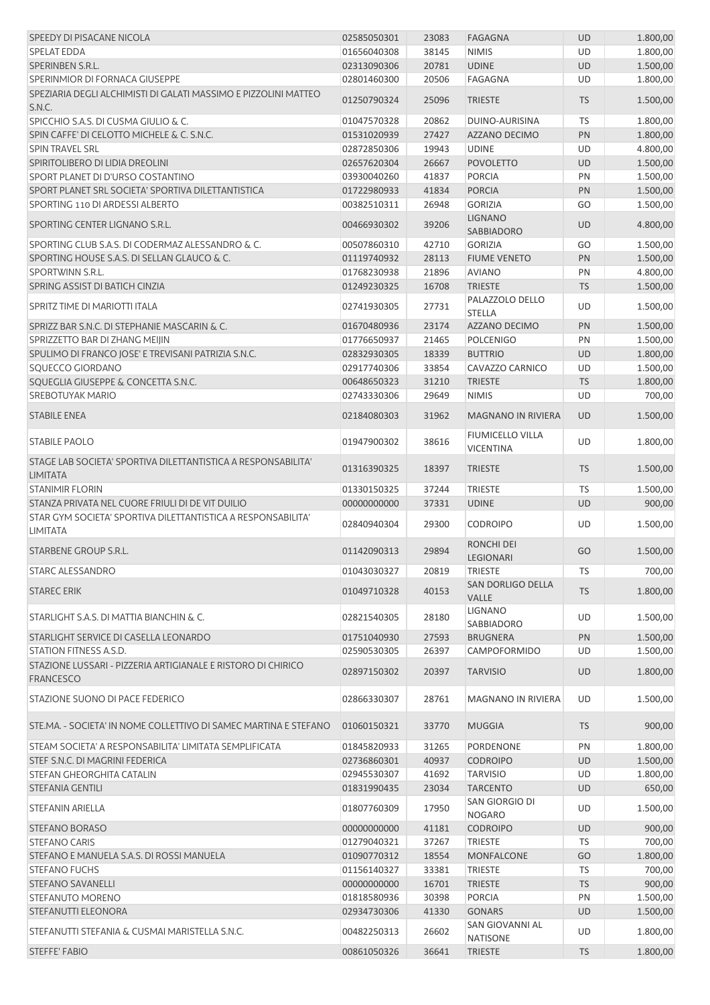| SPEEDY DI PISACANE NICOLA                                                        | 02585050301 | 23083 | <b>FAGAGNA</b>                              | <b>UD</b> | 1.800,00 |
|----------------------------------------------------------------------------------|-------------|-------|---------------------------------------------|-----------|----------|
| <b>SPELAT EDDA</b>                                                               | 01656040308 | 38145 | <b>NIMIS</b>                                | <b>UD</b> | 1.800,00 |
| SPERINBEN S.R.L.                                                                 | 02313090306 | 20781 | <b>UDINE</b>                                | <b>UD</b> | 1.500,00 |
| SPERINMIOR DI FORNACA GIUSEPPE                                                   | 02801460300 | 20506 | FAGAGNA                                     | UD        | 1.800,00 |
| SPEZIARIA DEGLI ALCHIMISTI DI GALATI MASSIMO E PIZZOLINI MATTEO<br>S.N.C.        | 01250790324 | 25096 | <b>TRIESTE</b>                              | <b>TS</b> | 1.500,00 |
| SPICCHIO S.A.S. DI CUSMA GIULIO & C.                                             | 01047570328 | 20862 | DUINO-AURISINA                              | <b>TS</b> | 1.800,00 |
| SPIN CAFFE' DI CELOTTO MICHELE & C. S.N.C.                                       | 01531020939 | 27427 | AZZANO DECIMO                               | PN        | 1.800,00 |
| <b>SPIN TRAVEL SRL</b>                                                           | 02872850306 | 19943 | <b>UDINE</b>                                | UD        | 4.800,00 |
| SPIRITOLIBERO DI LIDIA DREOLINI                                                  | 02657620304 | 26667 | <b>POVOLETTO</b>                            | UD        | 1.500,00 |
| SPORT PLANET DI D'URSO COSTANTINO                                                | 03930040260 | 41837 | <b>PORCIA</b>                               | PN        | 1.500,00 |
| SPORT PLANET SRL SOCIETA' SPORTIVA DILETTANTISTICA                               | 01722980933 | 41834 | <b>PORCIA</b>                               | PN        | 1.500,00 |
| SPORTING 110 DI ARDESSI ALBERTO                                                  | 00382510311 | 26948 | <b>GORIZIA</b>                              | GO        | 1.500,00 |
| SPORTING CENTER LIGNANO S.R.L.                                                   | 00466930302 | 39206 | <b>LIGNANO</b><br>SABBIADORO                | UD        | 4.800,00 |
| SPORTING CLUB S.A.S. DI CODERMAZ ALESSANDRO & C.                                 | 00507860310 | 42710 | <b>GORIZIA</b>                              | GO        | 1.500,00 |
| SPORTING HOUSE S.A.S. DI SELLAN GLAUCO & C.                                      | 01119740932 | 28113 | <b>FIUME VENETO</b>                         | PN        | 1.500,00 |
| SPORTWINN S.R.L.                                                                 | 01768230938 | 21896 | <b>AVIANO</b>                               | PN        | 4.800,00 |
| SPRING ASSIST DI BATICH CINZIA                                                   | 01249230325 | 16708 | <b>TRIESTE</b>                              | <b>TS</b> | 1.500,00 |
|                                                                                  |             |       | PALAZZOLO DELLO                             |           |          |
| SPRITZ TIME DI MARIOTTI ITALA                                                    | 02741930305 | 27731 | <b>STELLA</b>                               | UD        | 1.500,00 |
| SPRIZZ BAR S.N.C. DI STEPHANIE MASCARIN & C.                                     | 01670480936 | 23174 | AZZANO DECIMO                               | PN        | 1.500,00 |
| SPRIZZETTO BAR DI ZHANG MEIJIN                                                   | 01776650937 | 21465 | <b>POLCENIGO</b>                            | PN        | 1.500,00 |
| SPULIMO DI FRANCO JOSE' E TREVISANI PATRIZIA S.N.C.                              | 02832930305 | 18339 | <b>BUTTRIO</b>                              | <b>UD</b> | 1.800,00 |
| SQUECCO GIORDANO                                                                 | 02917740306 | 33854 | CAVAZZO CARNICO                             | UD        | 1.500,00 |
| SQUEGLIA GIUSEPPE & CONCETTA S.N.C.                                              | 00648650323 | 31210 | <b>TRIESTE</b>                              | <b>TS</b> | 1.800,00 |
| <b>SREBOTUYAK MARIO</b>                                                          | 02743330306 | 29649 | <b>NIMIS</b>                                | UD        | 700,00   |
| <b>STABILE ENEA</b>                                                              | 02184080303 | 31962 | <b>MAGNANO IN RIVIERA</b>                   | <b>UD</b> | 1.500,00 |
| <b>STABILE PAOLO</b>                                                             | 01947900302 | 38616 | <b>FIUMICELLO VILLA</b><br><b>VICENTINA</b> | UD        | 1.800,00 |
| STAGE LAB SOCIETA' SPORTIVA DILETTANTISTICA A RESPONSABILITA'<br><b>LIMITATA</b> | 01316390325 | 18397 | <b>TRIESTE</b>                              | <b>TS</b> | 1.500,00 |
| <b>STANIMIR FLORIN</b>                                                           | 01330150325 | 37244 | TRIESTE                                     | <b>TS</b> | 1.500,00 |
| STANZA PRIVATA NEL CUORE FRIULI DI DE VIT DUILIO                                 | 00000000000 | 37331 | <b>UDINE</b>                                | <b>UD</b> | 900,00   |
| STAR GYM SOCIETA' SPORTIVA DILETTANTISTICA A RESPONSABILITA'<br><b>LIMITATA</b>  | 02840940304 | 29300 | <b>CODROIPO</b>                             | UD        | 1.500,00 |
| STARBENE GROUP S.R.L.                                                            | 01142090313 | 29894 | <b>RONCHI DEI</b><br><b>LEGIONARI</b>       | GO        | 1.500,00 |
| <b>STARC ALESSANDRO</b>                                                          | 01043030327 | 20819 | <b>TRIESTE</b>                              | <b>TS</b> | 700,00   |
| <b>STAREC ERIK</b>                                                               | 01049710328 | 40153 | SAN DORLIGO DELLA                           | <b>TS</b> | 1.800,00 |
| STARLIGHT S.A.S. DI MATTIA BIANCHIN & C.                                         | 02821540305 | 28180 | VALLE<br><b>LIGNANO</b>                     | UD        | 1.500,00 |
|                                                                                  |             |       | SABBIADORO                                  |           |          |
| STARLIGHT SERVICE DI CASELLA LEONARDO                                            | 01751040930 | 27593 | <b>BRUGNERA</b>                             | PN        | 1.500,00 |
| STATION FITNESS A.S.D.                                                           | 02590530305 | 26397 | CAMPOFORMIDO                                | UD        | 1.500,00 |
| STAZIONE LUSSARI - PIZZERIA ARTIGIANALE E RISTORO DI CHIRICO<br><b>FRANCESCO</b> | 02897150302 | 20397 | <b>TARVISIO</b>                             | <b>UD</b> | 1.800,00 |
| STAZIONE SUONO DI PACE FEDERICO                                                  | 02866330307 | 28761 | MAGNANO IN RIVIERA                          | UD        | 1.500,00 |
| STE.MA. - SOCIETA' IN NOME COLLETTIVO DI SAMEC MARTINA E STEFANO                 | 01060150321 | 33770 | <b>MUGGIA</b>                               | <b>TS</b> | 900,00   |
| STEAM SOCIETA' A RESPONSABILITA' LIMITATA SEMPLIFICATA                           | 01845820933 | 31265 | PORDENONE                                   | PN        | 1.800,00 |
| STEF S.N.C. DI MAGRINI FEDERICA                                                  | 02736860301 | 40937 | <b>CODROIPO</b>                             | <b>UD</b> | 1.500,00 |
| STEFAN GHEORGHITA CATALIN                                                        | 02945530307 | 41692 | <b>TARVISIO</b>                             | UD        | 1.800,00 |
| STEFANIA GENTILI                                                                 | 01831990435 | 23034 | <b>TARCENTO</b>                             | <b>UD</b> | 650,00   |
| STEFANIN ARIELLA                                                                 | 01807760309 | 17950 | SAN GIORGIO DI<br><b>NOGARO</b>             | UD        | 1.500,00 |
| <b>STEFANO BORASO</b>                                                            | 00000000000 | 41181 | <b>CODROIPO</b>                             | UD        | 900,00   |
| <b>STEFANO CARIS</b>                                                             | 01279040321 | 37267 | <b>TRIESTE</b>                              | TS        | 700,00   |
| STEFANO E MANUELA S.A.S. DI ROSSI MANUELA                                        | 01090770312 | 18554 | MONFALCONE                                  | GO        | 1.800,00 |
| <b>STEFANO FUCHS</b>                                                             | 01156140327 | 33381 | <b>TRIESTE</b>                              | TS        | 700,00   |
| <b>STEFANO SAVANELLI</b>                                                         | 00000000000 | 16701 | <b>TRIESTE</b>                              | <b>TS</b> | 900,00   |
| STEFANUTO MORENO                                                                 | 01818580936 | 30398 | <b>PORCIA</b>                               | PN        | 1.500,00 |
| STEFANUTTI ELEONORA                                                              | 02934730306 | 41330 | <b>GONARS</b>                               | <b>UD</b> | 1.500,00 |
|                                                                                  |             |       | SAN GIOVANNI AL                             |           |          |
| STEFANUTTI STEFANIA & CUSMAI MARISTELLA S.N.C.                                   | 00482250313 | 26602 | <b>NATISONE</b>                             | UD        | 1.800,00 |
| <b>STEFFE' FABIO</b>                                                             | 00861050326 | 36641 | <b>TRIESTE</b>                              | <b>TS</b> | 1.800,00 |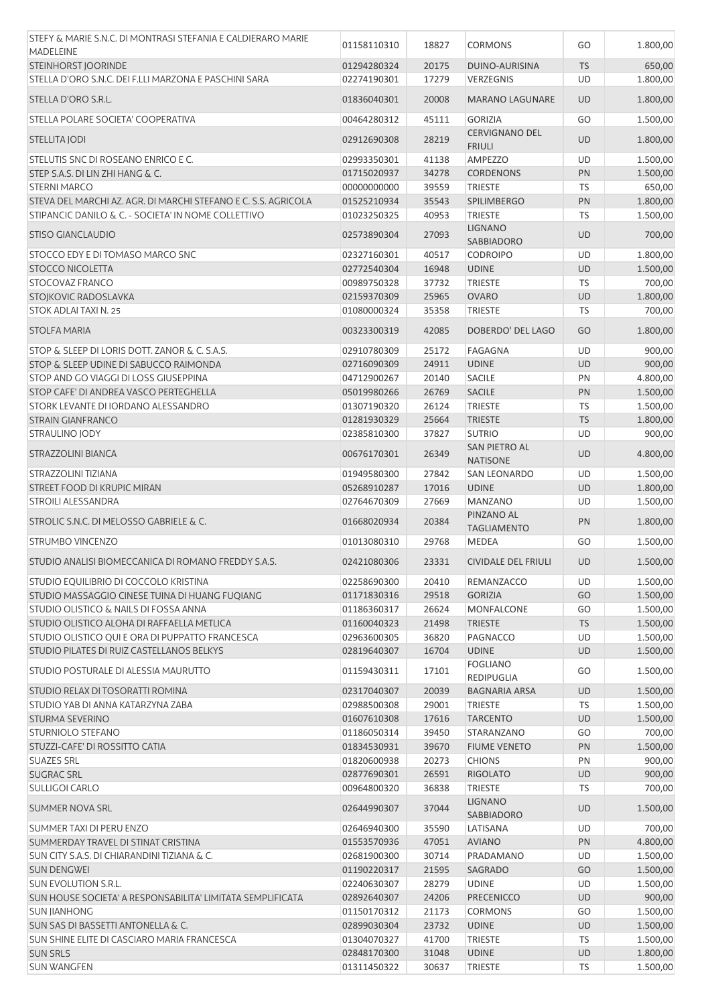| STEFY & MARIE S.N.C. DI MONTRASI STEFANIA E CALDIERARO MARIE<br><b>MADELEINE</b> | 01158110310 | 18827 | <b>CORMONS</b>                         | GO        | 1.800,00 |
|----------------------------------------------------------------------------------|-------------|-------|----------------------------------------|-----------|----------|
|                                                                                  |             |       |                                        |           |          |
| STEINHORST JOORINDE                                                              | 01294280324 | 20175 | DUINO-AURISINA                         | <b>TS</b> | 650,00   |
| STELLA D'ORO S.N.C. DEI F.LLI MARZONA E PASCHINI SARA                            | 02274190301 | 17279 | VERZEGNIS                              | UD        | 1.800,00 |
| STELLA D'ORO S.R.L.                                                              | 01836040301 | 20008 | <b>MARANO LAGUNARE</b>                 | <b>UD</b> | 1.800,00 |
| STELLA POLARE SOCIETA' COOPERATIVA                                               | 00464280312 | 45111 | <b>GORIZIA</b>                         | GO        | 1.500,00 |
| STELLITA JODI                                                                    | 02912690308 | 28219 | <b>CERVIGNANO DEL</b><br><b>FRIULI</b> | UD        | 1.800,00 |
| STELUTIS SNC DI ROSEANO ENRICO E C.                                              | 02993350301 | 41138 | <b>AMPEZZO</b>                         | UD        | 1.500,00 |
| STEP S.A.S. DI LIN ZHI HANG & C.                                                 | 01715020937 | 34278 | <b>CORDENONS</b>                       | PN        | 1.500,00 |
| <b>STERNI MARCO</b>                                                              | 00000000000 | 39559 | TRIESTE                                | TS        | 650,00   |
| STEVA DEL MARCHI AZ. AGR. DI MARCHI STEFANO E C. S.S. AGRICOLA                   | 01525210934 | 35543 | <b>SPILIMBERGO</b>                     | PN        | 1.800,00 |
| STIPANCIC DANILO & C. - SOCIETA' IN NOME COLLETTIVO                              | 01023250325 | 40953 | <b>TRIESTE</b>                         | TS        | 1.500,00 |
|                                                                                  |             |       | <b>LIGNANO</b>                         |           |          |
| STISO GIANCLAUDIO                                                                | 02573890304 | 27093 | <b>SABBIADORO</b>                      | <b>UD</b> | 700,00   |
| STOCCO EDY E DI TOMASO MARCO SNC                                                 | 02327160301 | 40517 | <b>CODROIPO</b>                        | UD        | 1.800,00 |
| <b>STOCCO NICOLETTA</b>                                                          | 02772540304 | 16948 | <b>UDINE</b>                           | <b>UD</b> | 1.500,00 |
| STOCOVAZ FRANCO                                                                  | 00989750328 | 37732 | <b>TRIESTE</b>                         | <b>TS</b> | 700,00   |
| STOJKOVIC RADOSLAVKA                                                             | 02159370309 | 25965 | <b>OVARO</b>                           | <b>UD</b> | 1.800,00 |
| STOK ADLAI TAXI N. 25                                                            | 01080000324 | 35358 | <b>TRIESTE</b>                         | TS        | 700,00   |
| <b>STOLFA MARIA</b>                                                              | 00323300319 | 42085 | DOBERDO' DEL LAGO                      | GO        | 1.800,00 |
| STOP & SLEEP DI LORIS DOTT. ZANOR & C. S.A.S.                                    | 02910780309 | 25172 | <b>FAGAGNA</b>                         | UD        | 900,00   |
| STOP & SLEEP UDINE DI SABUCCO RAIMONDA                                           | 02716090309 | 24911 | <b>UDINE</b>                           | <b>UD</b> | 900,00   |
| STOP AND GO VIAGGI DI LOSS GIUSEPPINA                                            | 04712900267 | 20140 | <b>SACILE</b>                          | PN        | 4.800,00 |
| STOP CAFE' DI ANDREA VASCO PERTEGHELLA                                           |             |       |                                        |           |          |
|                                                                                  | 05019980266 | 26769 | SACILE                                 | PN        | 1.500,00 |
| STORK LEVANTE DI IORDANO ALESSANDRO                                              | 01307190320 | 26124 | <b>TRIESTE</b>                         | <b>TS</b> | 1.500,00 |
| <b>STRAIN GIANFRANCO</b>                                                         | 01281930329 | 25664 | <b>TRIESTE</b>                         | <b>TS</b> | 1.800,00 |
| STRAULINO JODY                                                                   | 02385810300 | 37827 | <b>SUTRIO</b>                          | UD        | 900,00   |
| STRAZZOLINI BIANCA                                                               | 00676170301 | 26349 | SAN PIETRO AL<br><b>NATISONE</b>       | <b>UD</b> | 4.800,00 |
| STRAZZOLINI TIZIANA                                                              | 01949580300 | 27842 | <b>SAN LEONARDO</b>                    | UD        | 1.500,00 |
| STREET FOOD DI KRUPIC MIRAN                                                      | 05268910287 | 17016 | <b>UDINE</b>                           | <b>UD</b> | 1.800,00 |
| <b>STROILI ALESSANDRA</b>                                                        | 02764670309 | 27669 | <b>MANZANO</b>                         | UD        | 1.500,00 |
| STROLIC S.N.C. DI MELOSSO GABRIELE & C.                                          | 01668020934 | 20384 | PINZANO AL                             | PN        | 1.800,00 |
| STRUMBO VINCENZO                                                                 | 01013080310 | 29768 | <b>TAGLIAMENTO</b><br>MEDEA            | GO        | 1.500,00 |
| STUDIO ANALISI BIOMECCANICA DI ROMANO FREDDY S.A.S.                              | 02421080306 | 23331 | <b>CIVIDALE DEL FRIULI</b>             | <b>UD</b> | 1.500,00 |
| STUDIO EQUILIBRIO DI COCCOLO KRISTINA                                            | 02258690300 | 20410 | <b>REMANZACCO</b>                      | UD        | 1.500,00 |
| STUDIO MASSAGGIO CINESE TUINA DI HUANG FUQIANG                                   | 01171830316 | 29518 | <b>GORIZIA</b>                         | GO        | 1.500,00 |
| STUDIO OLISTICO & NAILS DI FOSSA ANNA                                            | 01186360317 | 26624 | <b>MONFALCONE</b>                      | GO        | 1.500,00 |
| STUDIO OLISTICO ALOHA DI RAFFAELLA METLICA                                       | 01160040323 | 21498 | <b>TRIESTE</b>                         | <b>TS</b> | 1.500,00 |
| STUDIO OLISTICO QUI E ORA DI PUPPATTO FRANCESCA                                  | 02963600305 | 36820 | <b>PAGNACCO</b>                        | UD        | 1.500,00 |
|                                                                                  |             |       |                                        |           |          |
| STUDIO PILATES DI RUIZ CASTELLANOS BELKYS                                        | 02819640307 | 16704 | <b>UDINE</b>                           | UD        | 1.500,00 |
| STUDIO POSTURALE DI ALESSIA MAURUTTO                                             | 01159430311 | 17101 | <b>FOGLIANO</b><br><b>REDIPUGLIA</b>   | GO        | 1.500,00 |
| STUDIO RELAX DI TOSORATTI ROMINA                                                 | 02317040307 | 20039 | <b>BAGNARIA ARSA</b>                   | <b>UD</b> | 1.500,00 |
| STUDIO YAB DI ANNA KATARZYNA ZABA                                                | 02988500308 | 29001 | <b>TRIESTE</b>                         | <b>TS</b> | 1.500,00 |
| <b>STURMA SEVERINO</b>                                                           | 01607610308 | 17616 | <b>TARCENTO</b>                        | UD        | 1.500,00 |
| STURNIOLO STEFANO                                                                | 01186050314 | 39450 | STARANZANO                             | GO        | 700,00   |
| STUZZI-CAFE' DI ROSSITTO CATIA                                                   | 01834530931 | 39670 | <b>FIUME VENETO</b>                    | PN        | 1.500,00 |
| <b>SUAZES SRL</b>                                                                | 01820600938 | 20273 | <b>CHIONS</b>                          | PN        | 900,00   |
| <b>SUGRAC SRL</b>                                                                | 02877690301 | 26591 | <b>RIGOLATO</b>                        | <b>UD</b> | 900,00   |
| <b>SULLIGOI CARLO</b>                                                            | 00964800320 | 36838 | <b>TRIESTE</b>                         | TS        | 700,00   |
| <b>SUMMER NOVA SRL</b>                                                           | 02644990307 | 37044 | <b>LIGNANO</b>                         | <b>UD</b> | 1.500,00 |
|                                                                                  |             |       | <b>SABBIADORO</b>                      |           |          |
| SUMMER TAXI DI PERU ENZO                                                         | 02646940300 | 35590 | LATISANA                               | UD        | 700,00   |
| SUMMERDAY TRAVEL DI STINAT CRISTINA                                              | 01553570936 | 47051 | <b>AVIANO</b>                          | PN        | 4.800,00 |
| SUN CITY S.A.S. DI CHIARANDINI TIZIANA & C.                                      | 02681900300 | 30714 | PRADAMANO                              | UD        | 1.500,00 |
| <b>SUN DENGWEI</b>                                                               | 01190220317 | 21595 | <b>SAGRADO</b>                         | GO        | 1.500,00 |
| SUN EVOLUTION S.R.L.                                                             | 02240630307 | 28279 | <b>UDINE</b>                           | UD        | 1.500,00 |
| SUN HOUSE SOCIETA' A RESPONSABILITA' LIMITATA SEMPLIFICATA                       | 02892640307 | 24206 | PRECENICCO                             | UD        | 900,00   |
| <b>SUN JIANHONG</b>                                                              | 01150170312 | 21173 | <b>CORMONS</b>                         | GO        | 1.500,00 |
| SUN SAS DI BASSETTI ANTONELLA & C.                                               | 02899030304 | 23732 | <b>UDINE</b>                           | UD        | 1.500,00 |
| SUN SHINE ELITE DI CASCIARO MARIA FRANCESCA                                      | 01304070327 | 41700 | <b>TRIESTE</b>                         | <b>TS</b> | 1.500,00 |
| <b>SUN SRLS</b>                                                                  | 02848170300 | 31048 | <b>UDINE</b>                           | <b>UD</b> | 1.800,00 |
| <b>SUN WANGFEN</b>                                                               | 01311450322 | 30637 | TRIESTE                                | TS        | 1.500,00 |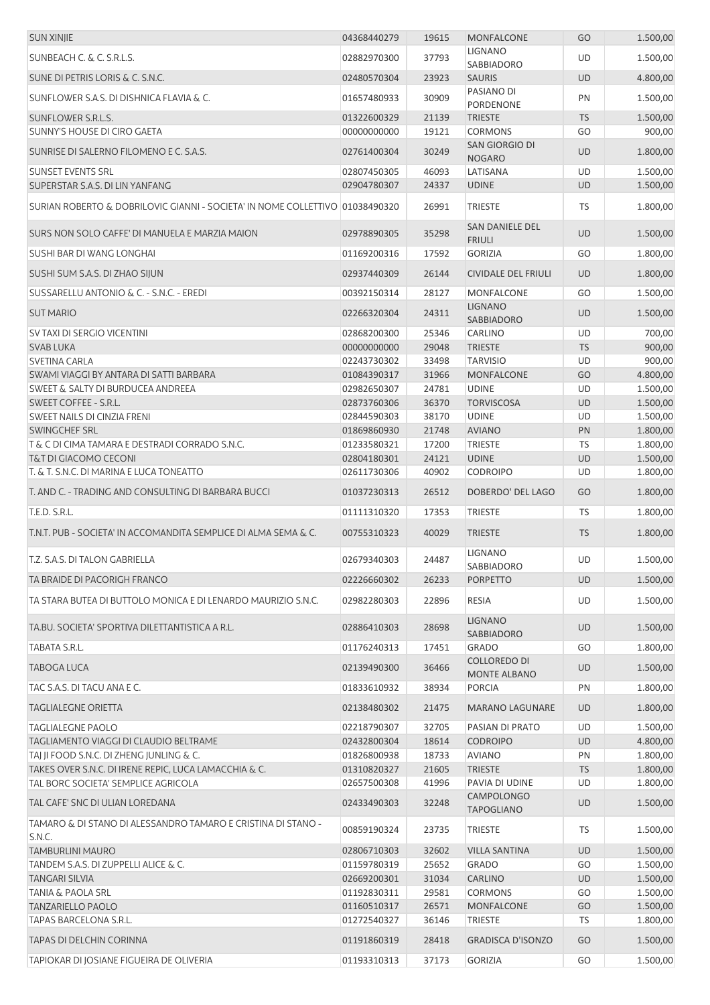| <b>SUN XINJIE</b>                                                            | 04368440279                | 19615          | <b>MONFALCONE</b>                      | GO              | 1.500,00             |
|------------------------------------------------------------------------------|----------------------------|----------------|----------------------------------------|-----------------|----------------------|
| SUNBEACH C. & C. S.R.L.S.                                                    | 02882970300                | 37793          | <b>LIGNANO</b>                         | <b>UD</b>       | 1.500,00             |
| SUNE DI PETRIS LORIS & C. S.N.C.                                             | 02480570304                | 23923          | <b>SABBIADORO</b><br><b>SAURIS</b>     | <b>UD</b>       | 4.800,00             |
| SUNFLOWER S.A.S. DI DISHNICA FLAVIA & C.                                     | 01657480933                | 30909          | PASIANO DI                             | PN              | 1.500,00             |
|                                                                              |                            |                | <b>PORDENONE</b>                       |                 |                      |
| SUNFLOWER S.R.L.S.<br>SUNNY'S HOUSE DI CIRO GAETA                            | 01322600329<br>00000000000 | 21139<br>19121 | <b>TRIESTE</b><br><b>CORMONS</b>       | <b>TS</b><br>GO | 1.500,00<br>900,00   |
|                                                                              |                            |                | SAN GIORGIO DI                         |                 |                      |
| SUNRISE DI SALERNO FILOMENO E C. S.A.S.                                      | 02761400304                | 30249          | <b>NOGARO</b>                          | <b>UD</b>       | 1.800,00             |
| <b>SUNSET EVENTS SRL</b>                                                     | 02807450305                | 46093          | LATISANA                               | UD              | 1.500,00             |
| SUPERSTAR S.A.S. DI LIN YANFANG                                              | 02904780307                | 24337          | <b>UDINE</b>                           | <b>UD</b>       | 1.500,00             |
| SURIAN ROBERTO & DOBRILOVIC GIANNI - SOCIETA' IN NOME COLLETTIVO 01038490320 |                            | 26991          | <b>TRIESTE</b>                         | TS              | 1.800,00             |
| SURS NON SOLO CAFFE' DI MANUELA E MARZIA MAION                               | 02978890305                | 35298          | SAN DANIELE DEL<br><b>FRIULI</b>       | <b>UD</b>       | 1.500,00             |
| SUSHI BAR DI WANG LONGHAI                                                    | 01169200316                | 17592          | <b>GORIZIA</b>                         | GO              | 1.800,00             |
| SUSHI SUM S.A.S. DI ZHAO SIJUN                                               | 02937440309                | 26144          | <b>CIVIDALE DEL FRIULI</b>             | <b>UD</b>       | 1.800,00             |
| SUSSARELLU ANTONIO & C. - S.N.C. - EREDI                                     | 00392150314                | 28127          | <b>MONFALCONE</b>                      | GO              | 1.500,00             |
| <b>SUT MARIO</b>                                                             | 02266320304                | 24311          | <b>LIGNANO</b><br><b>SABBIADORO</b>    | UD              | 1.500,00             |
| SV TAXI DI SERGIO VICENTINI                                                  | 02868200300                | 25346          | <b>CARLINO</b>                         | UD              | 700,00               |
| <b>SVAB LUKA</b>                                                             | 00000000000                | 29048          | <b>TRIESTE</b>                         | <b>TS</b>       | 900,00               |
| <b>SVETINA CARLA</b>                                                         | 02243730302                | 33498          | <b>TARVISIO</b>                        | UD              | 900,00               |
| SWAMI VIAGGI BY ANTARA DI SATTI BARBARA                                      | 01084390317                | 31966          | <b>MONFALCONE</b>                      | GO              | 4.800,00             |
| SWEET & SALTY DI BURDUCEA ANDREEA<br>SWEET COFFEE - S.R.L.                   | 02982650307<br>02873760306 | 24781<br>36370 | <b>UDINE</b><br><b>TORVISCOSA</b>      | UD<br><b>UD</b> | 1.500,00<br>1.500,00 |
| SWEET NAILS DI CINZIA FRENI                                                  | 02844590303                | 38170          | <b>UDINE</b>                           | UD              | 1.500,00             |
| SWINGCHEF SRL                                                                | 01869860930                | 21748          | <b>AVIANO</b>                          | PN              | 1.800,00             |
| T & C DI CIMA TAMARA E DESTRADI CORRADO S.N.C.                               | 01233580321                | 17200          | <b>TRIESTE</b>                         | TS              | 1.800,00             |
| <b>T&amp;T DI GIACOMO CECONI</b>                                             | 02804180301                | 24121          | <b>UDINE</b>                           | UD              | 1.500,00             |
| T. & T. S.N.C. DI MARINA E LUCA TONEATTO                                     | 02611730306                | 40902          | <b>CODROIPO</b>                        | UD              | 1.800,00             |
| T. AND C. - TRADING AND CONSULTING DI BARBARA BUCCI                          | 01037230313                | 26512          | DOBERDO' DEL LAGO                      | GO              | 1.800,00             |
| T.E.D. S.R.L.                                                                | 01111310320                | 17353          | <b>TRIESTE</b>                         | <b>TS</b>       | 1.800,00             |
| T.N.T. PUB - SOCIETA' IN ACCOMANDITA SEMPLICE DI ALMA SEMA & C.              | 00755310323                | 40029          | <b>TRIESTE</b>                         | <b>TS</b>       | 1.800,00             |
| T.Z. S.A.S. DI TALON GABRIELLA                                               | 02679340303                | 24487          | LIGNANO<br>SABBIADORO                  | <b>UD</b>       | 1.500,00             |
| TA BRAIDE DI PACORIGH FRANCO                                                 | 02226660302                | 26233          | <b>PORPETTO</b>                        | <b>UD</b>       | 1.500,00             |
| TA STARA BUTEA DI BUTTOLO MONICA E DI LENARDO MAURIZIO S.N.C.                | 02982280303                | 22896          | <b>RESIA</b>                           | UD              | 1.500,00             |
| TA.BU. SOCIETA' SPORTIVA DILETTANTISTICA A R.L.                              | 02886410303                | 28698          | <b>LIGNANO</b><br>SABBIADORO           | <b>UD</b>       | 1.500,00             |
| TABATA S.R.L.                                                                | 01176240313                | 17451          | <b>GRADO</b>                           | GO              | 1.800,00             |
| TABOGA LUCA                                                                  | 02139490300                | 36466          | <b>COLLOREDO DI</b><br>MONTE ALBANO    | UD              | 1.500,00             |
| TAC S.A.S. DI TACU ANA E C.                                                  | 01833610932                | 38934          | <b>PORCIA</b>                          | PN              | 1.800,00             |
| <b>TAGLIALEGNE ORIETTA</b>                                                   | 02138480302                | 21475          | <b>MARANO LAGUNARE</b>                 | <b>UD</b>       | 1.800,00             |
| <b>TAGLIALEGNE PAOLO</b>                                                     | 02218790307                | 32705          | PASIAN DI PRATO                        | UD              | 1.500,00             |
| TAGLIAMENTO VIAGGI DI CLAUDIO BELTRAME                                       | 02432800304                | 18614          | <b>CODROIPO</b>                        | <b>UD</b>       | 4.800,00             |
| TAJ JI FOOD S.N.C. DI ZHENG JUNLING & C.                                     | 01826800938                | 18733          | <b>AVIANO</b>                          | PN              | 1.800,00             |
| TAKES OVER S.N.C. DI IRENE REPIC, LUCA LAMACCHIA & C.                        | 01310820327                | 21605          | <b>TRIESTE</b>                         | <b>TS</b>       | 1.800,00             |
| TAL BORC SOCIETA' SEMPLICE AGRICOLA                                          | 02657500308                | 41996          | PAVIA DI UDINE                         | UD              | 1.800,00             |
| TAL CAFE' SNC DI ULIAN LOREDANA                                              | 02433490303                | 32248          | <b>CAMPOLONGO</b><br><b>TAPOGLIANO</b> | UD              | 1.500,00             |
| TAMARO & DI STANO DI ALESSANDRO TAMARO E CRISTINA DI STANO -<br>S.N.C.       | 00859190324                | 23735          | <b>TRIESTE</b>                         | <b>TS</b>       | 1.500,00             |
| <b>TAMBURLINI MAURO</b>                                                      | 02806710303                | 32602          | <b>VILLA SANTINA</b>                   | <b>UD</b>       | 1.500,00             |
| TANDEM S.A.S. DI ZUPPELLI ALICE & C.                                         | 01159780319                | 25652          | <b>GRADO</b>                           | GO              | 1.500,00             |
| <b>TANGARI SILVIA</b>                                                        | 02669200301                | 31034          | CARLINO                                | <b>UD</b>       | 1.500,00             |
| <b>TANIA &amp; PAOLA SRL</b>                                                 | 01192830311                | 29581          | <b>CORMONS</b>                         | GO              | 1.500,00             |
| <b>TANZARIELLO PAOLO</b>                                                     | 01160510317                | 26571          | <b>MONFALCONE</b>                      | GO              | 1.500,00             |
| TAPAS BARCELONA S.R.L.                                                       | 01272540327                | 36146          | <b>TRIESTE</b>                         | TS              | 1.800,00             |
| TAPAS DI DELCHIN CORINNA                                                     | 01191860319                | 28418          | <b>GRADISCA D'ISONZO</b>               | GO              | 1.500,00             |
| TAPIOKAR DI JOSIANE FIGUEIRA DE OLIVERIA                                     | 01193310313                | 37173          | <b>GORIZIA</b>                         | GO              | 1.500,00             |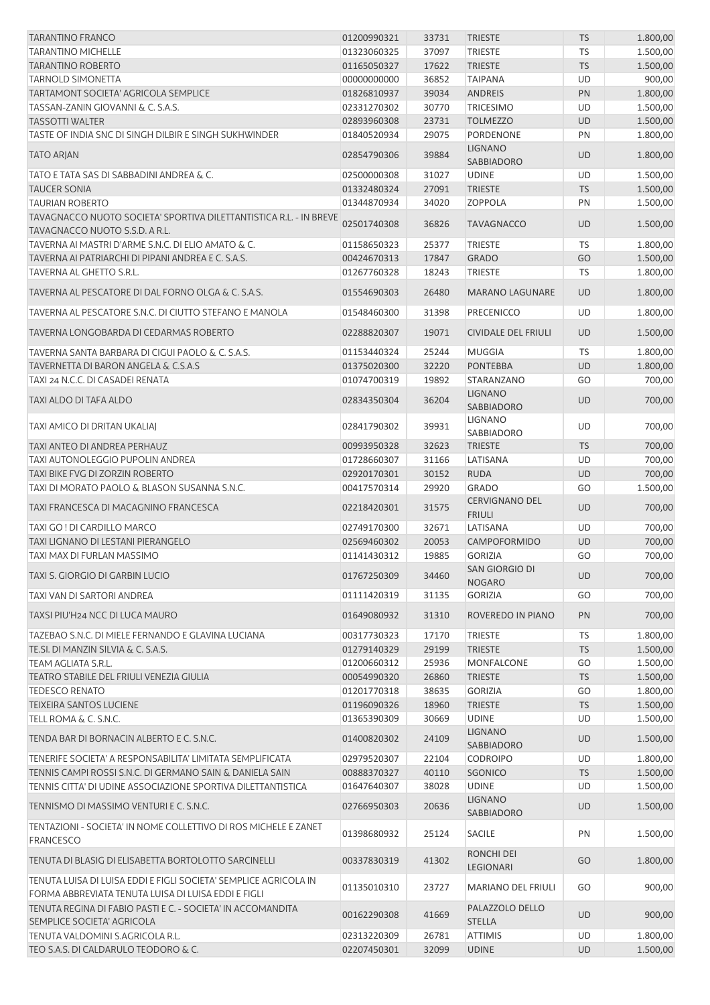| <b>TARANTINO FRANCO</b>                                                                                            | 01200990321 | 33731 | <b>TRIESTE</b>                               | <b>TS</b> | 1.800,00 |
|--------------------------------------------------------------------------------------------------------------------|-------------|-------|----------------------------------------------|-----------|----------|
| <b>TARANTINO MICHELLE</b>                                                                                          | 01323060325 | 37097 | <b>TRIESTE</b>                               | <b>TS</b> | 1.500,00 |
| <b>TARANTINO ROBERTO</b>                                                                                           | 01165050327 | 17622 | <b>TRIESTE</b>                               | <b>TS</b> | 1.500,00 |
| <b>TARNOLD SIMONETTA</b>                                                                                           | 00000000000 | 36852 | <b>TAIPANA</b>                               | <b>UD</b> | 900,00   |
| <b>TARTAMONT SOCIETA' AGRICOLA SEMPLICE</b>                                                                        | 01826810937 | 39034 | <b>ANDREIS</b>                               | PN        | 1.800,00 |
| TASSAN-ZANIN GIOVANNI & C. S.A.S.                                                                                  | 02331270302 | 30770 | <b>TRICESIMO</b>                             | UD        | 1.500,00 |
| <b>TASSOTTI WALTER</b>                                                                                             | 02893960308 | 23731 | <b>TOLMEZZO</b>                              | <b>UD</b> | 1.500,00 |
| TASTE OF INDIA SNC DI SINGH DILBIR E SINGH SUKHWINDER                                                              | 01840520934 | 29075 | PORDENONE                                    | PN        | 1.800,00 |
| <b>TATO ARJAN</b>                                                                                                  | 02854790306 | 39884 | <b>LIGNANO</b><br>SABBIADORO                 | UD        | 1.800,00 |
| TATO E TATA SAS DI SABBADINI ANDREA & C.                                                                           | 02500000308 | 31027 | <b>UDINE</b>                                 | UD        | 1.500,00 |
| <b>TAUCER SONIA</b>                                                                                                | 01332480324 | 27091 | <b>TRIESTE</b>                               | <b>TS</b> | 1.500,00 |
| <b>TAURIAN ROBERTO</b>                                                                                             | 01344870934 | 34020 | <b>ZOPPOLA</b>                               | PN        | 1.500,00 |
| TAVAGNACCO NUOTO SOCIETA' SPORTIVA DILETTANTISTICA R.L. - IN BREVE<br>TAVAGNACCO NUOTO S.S.D. A R.L.               | 02501740308 | 36826 | <b>TAVAGNACCO</b>                            | <b>UD</b> | 1.500,00 |
| TAVERNA AI MASTRI D'ARME S.N.C. DI ELIO AMATO & C.                                                                 | 01158650323 | 25377 | <b>TRIESTE</b>                               | <b>TS</b> | 1.800,00 |
| TAVERNA AI PATRIARCHI DI PIPANI ANDREA E C. S.A.S.                                                                 | 00424670313 | 17847 | <b>GRADO</b>                                 | GO        | 1.500,00 |
| TAVERNA AL GHETTO S.R.L.                                                                                           | 01267760328 | 18243 | TRIESTE                                      | TS        | 1.800,00 |
|                                                                                                                    |             |       |                                              |           |          |
| TAVERNA AL PESCATORE DI DAL FORNO OLGA & C. S.A.S.                                                                 | 01554690303 | 26480 | <b>MARANO LAGUNARE</b>                       | <b>UD</b> | 1.800,00 |
| TAVERNA AL PESCATORE S.N.C. DI CIUTTO STEFANO E MANOLA                                                             | 01548460300 | 31398 | <b>PRECENICCO</b>                            | UD        | 1.800,00 |
| TAVERNA LONGOBARDA DI CEDARMAS ROBERTO                                                                             | 02288820307 | 19071 | <b>CIVIDALE DEL FRIULI</b>                   | <b>UD</b> | 1.500,00 |
| TAVERNA SANTA BARBARA DI CIGUI PAOLO & C. S.A.S.                                                                   | 01153440324 | 25244 | <b>MUGGIA</b>                                | TS        | 1.800,00 |
| TAVERNETTA DI BARON ANGELA & C.S.A.S                                                                               | 01375020300 | 32220 | <b>PONTEBBA</b>                              | <b>UD</b> | 1.800,00 |
| TAXI 24 N.C.C. DI CASADEI RENATA                                                                                   | 01074700319 | 19892 | STARANZANO                                   | GO        | 700,00   |
| TAXI ALDO DI TAFA ALDO                                                                                             | 02834350304 | 36204 | <b>LIGNANO</b><br>SABBIADORO                 | <b>UD</b> | 700,00   |
| TAXI AMICO DI DRITAN UKALIAJ                                                                                       | 02841790302 | 39931 | <b>LIGNANO</b><br>SABBIADORO                 | UD        | 700,00   |
| TAXI ANTEO DI ANDREA PERHAUZ                                                                                       | 00993950328 | 32623 | <b>TRIESTE</b>                               | <b>TS</b> | 700,00   |
| TAXI AUTONOLEGGIO PUPOLIN ANDREA                                                                                   | 01728660307 | 31166 | LATISANA                                     | UD        | 700,00   |
| TAXI BIKE FVG DI ZORZIN ROBERTO                                                                                    | 02920170301 | 30152 | <b>RUDA</b>                                  | <b>UD</b> | 700,00   |
| TAXI DI MORATO PAOLO & BLASON SUSANNA S.N.C.                                                                       | 00417570314 | 29920 | <b>GRADO</b>                                 | GO        | 1.500,00 |
| TAXI FRANCESCA DI MACAGNINO FRANCESCA                                                                              | 02218420301 | 31575 | <b>CERVIGNANO DEL</b><br><b>FRIULI</b>       | <b>UD</b> | 700,00   |
| TAXI GO ! DI CARDILLO MARCO                                                                                        | 02749170300 | 32671 | LATISANA                                     | UD        | 700,00   |
| TAXI LIGNANO DI LESTANI PIERANGELO                                                                                 | 02569460302 | 20053 | <b>CAMPOFORMIDO</b>                          | <b>UD</b> | 700,00   |
| TAXI MAX DI FURLAN MASSIMO                                                                                         | 01141430312 | 19885 | <b>GORIZIA</b>                               | GO        | 700,00   |
| TAXI S. GIORGIO DI GARBIN LUCIO                                                                                    | 01767250309 | 34460 | SAN GIORGIO DI<br><b>NOGARO</b>              | <b>UD</b> | 700,00   |
| TAXI VAN DI SARTORI ANDREA                                                                                         | 01111420319 | 31135 | <b>GORIZIA</b>                               | GO        | 700,00   |
| TAXSI PIU'H24 NCC DI LUCA MAURO                                                                                    | 01649080932 | 31310 | ROVEREDO IN PIANO                            | PN        | 700,00   |
| TAZEBAO S.N.C. DI MIELE FERNANDO E GLAVINA LUCIANA                                                                 | 00317730323 | 17170 | TRIESTE                                      | <b>TS</b> | 1.800,00 |
| TE.SI. DI MANZIN SILVIA & C. S.A.S.                                                                                | 01279140329 | 29199 | <b>TRIESTE</b>                               | <b>TS</b> | 1.500,00 |
| TEAM AGLIATA S.R.L.                                                                                                | 01200660312 | 25936 | MONFALCONE                                   | GO        | 1.500,00 |
| <b>TEATRO STABILE DEL FRIULI VENEZIA GIULIA</b>                                                                    | 00054990320 | 26860 | <b>TRIESTE</b>                               | <b>TS</b> | 1.500,00 |
| <b>TEDESCO RENATO</b>                                                                                              | 01201770318 | 38635 | <b>GORIZIA</b>                               | GO        | 1.800,00 |
| <b>TEIXEIRA SANTOS LUCIENE</b>                                                                                     | 01196090326 | 18960 | <b>TRIESTE</b>                               | <b>TS</b> | 1.500,00 |
| TELL ROMA & C. S.N.C.                                                                                              | 01365390309 | 30669 | <b>UDINE</b>                                 | UD        | 1.500,00 |
| TENDA BAR DI BORNACIN ALBERTO E C. S.N.C.                                                                          | 01400820302 | 24109 | <b>LIGNANO</b><br>SABBIADORO                 | <b>UD</b> | 1.500,00 |
| TENERIFE SOCIETA' A RESPONSABILITA' LIMITATA SEMPLIFICATA                                                          | 02979520307 | 22104 | <b>CODROIPO</b>                              | UD        | 1.800,00 |
| TENNIS CAMPI ROSSI S.N.C. DI GERMANO SAIN & DANIELA SAIN                                                           | 00888370327 | 40110 | SGONICO                                      | <b>TS</b> | 1.500,00 |
| TENNIS CITTA' DI UDINE ASSOCIAZIONE SPORTIVA DILETTANTISTICA                                                       | 01647640307 | 38028 | <b>UDINE</b>                                 | UD        | 1.500,00 |
| TENNISMO DI MASSIMO VENTURI E C. S.N.C.                                                                            | 02766950303 | 20636 | <b>LIGNANO</b>                               | <b>UD</b> | 1.500,00 |
| TENTAZIONI - SOCIETA' IN NOME COLLETTIVO DI ROS MICHELE E ZANET                                                    | 01398680932 | 25124 | SABBIADORO<br>SACILE                         | PN        | 1.500,00 |
| <b>FRANCESCO</b><br>TENUTA DI BLASIG DI ELISABETTA BORTOLOTTO SARCINELLI                                           | 00337830319 | 41302 | RONCHI DEI                                   | GO        | 1.800,00 |
| TENUTA LUISA DI LUISA EDDI E FIGLI SOCIETA' SEMPLICE AGRICOLA IN                                                   |             |       | LEGIONARI                                    |           |          |
| FORMA ABBREVIATA TENUTA LUISA DI LUISA EDDI E FIGLI<br>TENUTA REGINA DI FABIO PASTI E C. - SOCIETA' IN ACCOMANDITA | 01135010310 | 23727 | <b>MARIANO DEL FRIULI</b><br>PALAZZOLO DELLO | GO        | 900,00   |
| SEMPLICE SOCIETA' AGRICOLA                                                                                         | 00162290308 | 41669 | <b>STELLA</b>                                | <b>UD</b> | 900,00   |
| TENUTA VALDOMINI S.AGRICOLA R.L.                                                                                   | 02313220309 | 26781 | <b>ATTIMIS</b>                               | UD        | 1.800,00 |
| TEO S.A.S. DI CALDARULO TEODORO & C.                                                                               | 02207450301 | 32099 | <b>UDINE</b>                                 | <b>UD</b> | 1.500,00 |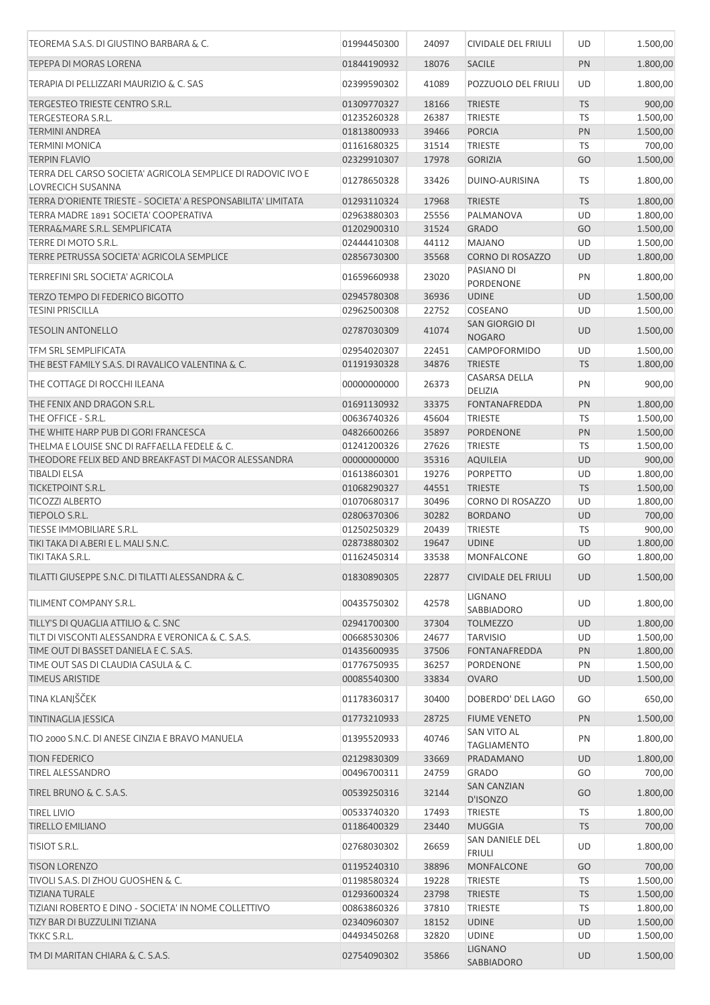| TEOREMA S.A.S. DI GIUSTINO BARBARA & C.                                                 | 01994450300 | 24097 | <b>CIVIDALE DEL FRIULI</b>        | UD        | 1.500,00 |
|-----------------------------------------------------------------------------------------|-------------|-------|-----------------------------------|-----------|----------|
| <b>TEPEPA DI MORAS LORENA</b>                                                           | 01844190932 | 18076 | <b>SACILE</b>                     | PN        | 1.800,00 |
| TERAPIA DI PELLIZZARI MAURIZIO & C. SAS                                                 | 02399590302 | 41089 | POZZUOLO DEL FRIULI               | UD        | 1.800,00 |
| TERGESTEO TRIESTE CENTRO S.R.L.                                                         | 01309770327 | 18166 | <b>TRIESTE</b>                    | <b>TS</b> | 900,00   |
| TERGESTEORA S.R.L.                                                                      | 01235260328 | 26387 | TRIESTE                           | TS        | 1.500,00 |
| <b>TERMINI ANDREA</b>                                                                   | 01813800933 | 39466 | <b>PORCIA</b>                     | PN        | 1.500,00 |
| <b>TERMINI MONICA</b>                                                                   | 01161680325 | 31514 | <b>TRIESTE</b>                    | TS        | 700,00   |
| <b>TERPIN FLAVIO</b>                                                                    | 02329910307 | 17978 | <b>GORIZIA</b>                    | GO        | 1.500,00 |
| TERRA DEL CARSO SOCIETA' AGRICOLA SEMPLICE DI RADOVIC IVO E<br><b>LOVRECICH SUSANNA</b> | 01278650328 | 33426 | DUINO-AURISINA                    | TS        | 1.800,00 |
|                                                                                         |             |       |                                   |           |          |
| TERRA D'ORIENTE TRIESTE - SOCIETA' A RESPONSABILITA' LIMITATA                           | 01293110324 | 17968 | <b>TRIESTE</b>                    | <b>TS</b> | 1.800,00 |
| TERRA MADRE 1891 SOCIETA' COOPERATIVA                                                   | 02963880303 | 25556 | PALMANOVA                         | UD        | 1.800,00 |
| TERRA&MARE S.R.L. SEMPLIFICATA                                                          | 01202900310 | 31524 | <b>GRADO</b>                      | GO        | 1.500,00 |
| TERRE DI MOTO S.R.L.                                                                    | 02444410308 | 44112 | <b>MAJANO</b>                     | UD        | 1.500,00 |
| TERRE PETRUSSA SOCIETA' AGRICOLA SEMPLICE                                               | 02856730300 | 35568 | <b>CORNO DI ROSAZZO</b>           | <b>UD</b> | 1.800,00 |
| TERREFINI SRL SOCIETA' AGRICOLA                                                         | 01659660938 | 23020 | PASIANO DI<br>PORDENONE           | PN        | 1.800,00 |
| TERZO TEMPO DI FEDERICO BIGOTTO                                                         | 02945780308 | 36936 | <b>UDINE</b>                      | <b>UD</b> | 1.500,00 |
| <b>TESINI PRISCILLA</b>                                                                 | 02962500308 | 22752 | COSEANO                           | UD        | 1.500,00 |
| <b>TESOLIN ANTONELLO</b>                                                                | 02787030309 | 41074 | SAN GIORGIO DI                    | <b>UD</b> | 1.500,00 |
|                                                                                         |             |       | <b>NOGARO</b>                     |           |          |
| <b>TFM SRL SEMPLIFICATA</b>                                                             | 02954020307 | 22451 | <b>CAMPOFORMIDO</b>               | UD        | 1.500,00 |
| THE BEST FAMILY S.A.S. DI RAVALICO VALENTINA & C.                                       | 01191930328 | 34876 | <b>TRIESTE</b>                    | <b>TS</b> | 1.800,00 |
| THE COTTAGE DI ROCCHI ILEANA                                                            | 00000000000 | 26373 | CASARSA DELLA<br>DELIZIA          | PN        | 900,00   |
| THE FENIX AND DRAGON S.R.L.                                                             | 01691130932 | 33375 | <b>FONTANAFREDDA</b>              | PN        | 1.800,00 |
| THE OFFICE - S.R.L.                                                                     | 00636740326 | 45604 | TRIESTE                           | TS        | 1.500,00 |
| THE WHITE HARP PUB DI GORI FRANCESCA                                                    | 04826600266 | 35897 | <b>PORDENONE</b>                  | PN        | 1.500,00 |
| THELMA E LOUISE SNC DI RAFFAELLA FEDELE & C.                                            | 01241200326 | 27626 | TRIESTE                           | TS        | 1.500,00 |
| THEODORE FELIX BED AND BREAKFAST DI MACOR ALESSANDRA                                    | 00000000000 | 35316 | <b>AQUILEIA</b>                   | <b>UD</b> | 900,00   |
| <b>TIBALDI ELSA</b>                                                                     | 01613860301 | 19276 | <b>PORPETTO</b>                   | UD        | 1.800,00 |
| TICKETPOINT S.R.L.                                                                      |             | 44551 | <b>TRIESTE</b>                    | <b>TS</b> | 1.500,00 |
|                                                                                         | 01068290327 |       |                                   |           |          |
| <b>TICOZZI ALBERTO</b>                                                                  | 01070680317 | 30496 | <b>CORNO DI ROSAZZO</b>           | UD        | 1.800,00 |
| TIEPOLO S.R.L.                                                                          | 02806370306 | 30282 | <b>BORDANO</b>                    | <b>UD</b> | 700,00   |
| TIESSE IMMOBILIARE S.R.L.                                                               | 01250250329 | 20439 | <b>TRIESTE</b>                    | <b>TS</b> | 900,00   |
| TIKI TAKA DI A.BERI E L. MALI S.N.C.                                                    | 02873880302 | 19647 | <b>UDINE</b>                      | <b>UD</b> | 1.800,00 |
| TIKI TAKA S.R.L.                                                                        | 01162450314 | 33538 | <b>MONFALCONE</b>                 | GO        | 1.800,00 |
| TILATTI GIUSEPPE S.N.C. DI TILATTI ALESSANDRA & C.                                      | 01830890305 | 22877 | <b>CIVIDALE DEL FRIULI</b>        | <b>UD</b> | 1.500,00 |
| TILIMENT COMPANY S.R.L.                                                                 | 00435750302 | 42578 | <b>LIGNANO</b><br>SABBIADORO      | UD        | 1.800,00 |
| TILLY'S DI QUAGLIA ATTILIO & C. SNC                                                     | 02941700300 | 37304 | <b>TOLMEZZO</b>                   | <b>UD</b> | 1.800,00 |
| TILT DI VISCONTI ALESSANDRA E VERONICA & C. S.A.S.                                      | 00668530306 | 24677 | <b>TARVISIO</b>                   | UD        | 1.500,00 |
| TIME OUT DI BASSET DANIELA E C. S.A.S.                                                  | 01435600935 | 37506 | FONTANAFREDDA                     | PN        | 1.800,00 |
| TIME OUT SAS DI CLAUDIA CASULA & C.                                                     | 01776750935 | 36257 | PORDENONE                         | PN        | 1.500,00 |
| <b>TIMEUS ARISTIDE</b>                                                                  | 00085540300 | 33834 | <b>OVARO</b>                      | <b>UD</b> | 1.500,00 |
| TINA KLANJŠČEK                                                                          | 01178360317 | 30400 | DOBERDO' DEL LAGO                 | GO        | 650,00   |
| TINTINAGLIA JESSICA                                                                     | 01773210933 | 28725 | <b>FIUME VENETO</b>               | PN        | 1.500,00 |
| TIO 2000 S.N.C. DI ANESE CINZIA E BRAVO MANUELA                                         | 01395520933 | 40746 | SAN VITO AL<br><b>TAGLIAMENTO</b> | PN        | 1.800,00 |
| <b>TION FEDERICO</b>                                                                    | 02129830309 | 33669 | PRADAMANO                         | <b>UD</b> | 1.800,00 |
| <b>TIREL ALESSANDRO</b>                                                                 | 00496700311 | 24759 | <b>GRADO</b>                      | GO        | 700,00   |
| TIREL BRUNO & C. S.A.S.                                                                 | 00539250316 | 32144 | <b>SAN CANZIAN</b>                | GO        | 1.800,00 |
|                                                                                         |             |       | D'ISONZO                          |           |          |
| <b>TIREL LIVIO</b>                                                                      | 00533740320 | 17493 | TRIESTE                           | TS        | 1.800,00 |
| <b>TIRELLO EMILIANO</b>                                                                 | 01186400329 | 23440 | <b>MUGGIA</b>                     | <b>TS</b> | 700,00   |
| <b>TISIOT S.R.L.</b>                                                                    | 02768030302 | 26659 | SAN DANIELE DEL<br><b>FRIULI</b>  | UD        | 1.800,00 |
| <b>TISON LORENZO</b>                                                                    | 01195240310 | 38896 | <b>MONFALCONE</b>                 | GO        | 700,00   |
| TIVOLI S.A.S. DI ZHOU GUOSHEN & C.                                                      | 01198580324 | 19228 | TRIESTE                           | TS        | 1.500,00 |
| <b>TIZIANA TURALE</b>                                                                   | 01293600324 | 23798 | <b>TRIESTE</b>                    | <b>TS</b> | 1.500,00 |
| TIZIANI ROBERTO E DINO - SOCIETA' IN NOME COLLETTIVO                                    | 00863860326 | 37810 | <b>TRIESTE</b>                    | TS        | 1.800,00 |
| TIZY BAR DI BUZZULINI TIZIANA                                                           | 02340960307 | 18152 | <b>UDINE</b>                      | <b>UD</b> | 1.500,00 |
|                                                                                         |             |       |                                   |           |          |
| TKKC S.R.L.                                                                             | 04493450268 | 32820 | <b>UDINE</b>                      | UD        | 1.500,00 |
| TM DI MARITAN CHIARA & C. S.A.S.                                                        | 02754090302 | 35866 | <b>LIGNANO</b><br>SABBIADORO      | UD        | 1.500,00 |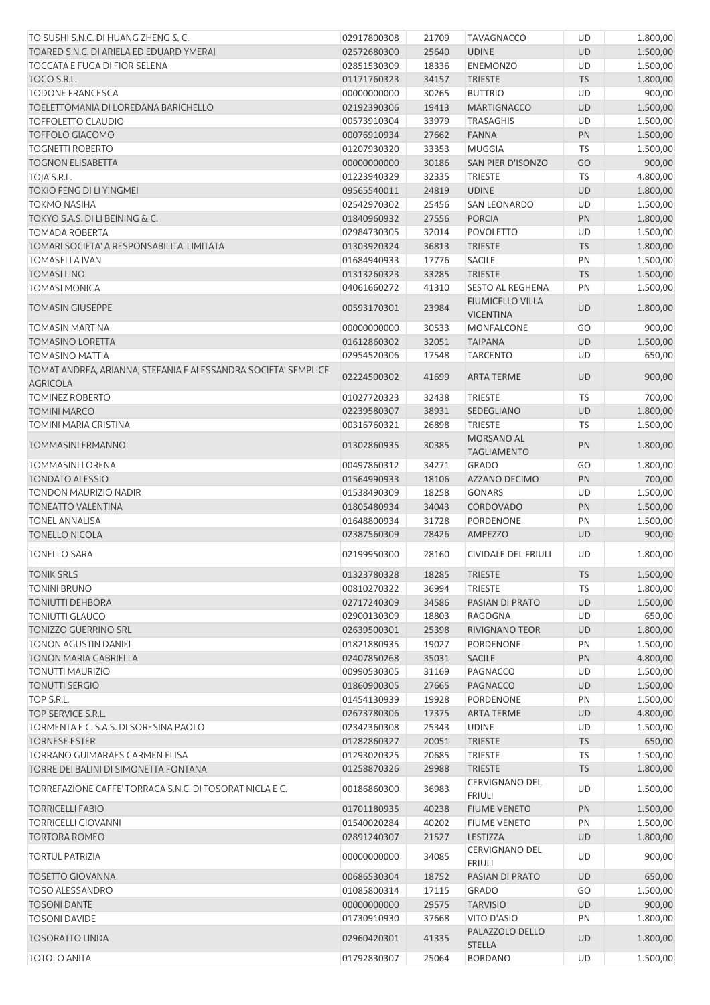| TO SUSHI S.N.C. DI HUANG ZHENG & C.                                               | 02917800308 | 21709 | <b>TAVAGNACCO</b>                      | UD        | 1.800,00 |
|-----------------------------------------------------------------------------------|-------------|-------|----------------------------------------|-----------|----------|
| TOARED S.N.C. DI ARIELA ED EDUARD YMERAJ                                          | 02572680300 | 25640 | <b>UDINE</b>                           | <b>UD</b> | 1.500,00 |
| <b>TOCCATA E FUGA DI FIOR SELENA</b>                                              | 02851530309 | 18336 | <b>ENEMONZO</b>                        | <b>UD</b> | 1.500,00 |
| TOCO S.R.L.                                                                       | 01171760323 | 34157 | <b>TRIESTE</b>                         | <b>TS</b> | 1.800,00 |
| <b>TODONE FRANCESCA</b>                                                           | 00000000000 | 30265 | <b>BUTTRIO</b>                         | UD        | 900,00   |
| TOELETTOMANIA DI LOREDANA BARICHELLO                                              | 02192390306 | 19413 | <b>MARTIGNACCO</b>                     | <b>UD</b> | 1.500,00 |
| <b>TOFFOLETTO CLAUDIO</b>                                                         | 00573910304 | 33979 | <b>TRASAGHIS</b>                       | UD        | 1.500,00 |
| <b>TOFFOLO GIACOMO</b>                                                            | 00076910934 | 27662 | <b>FANNA</b>                           | PN        | 1.500,00 |
| <b>TOGNETTI ROBERTO</b>                                                           | 01207930320 | 33353 | <b>MUGGIA</b>                          | TS        | 1.500,00 |
| <b>TOGNON ELISABETTA</b>                                                          | 00000000000 | 30186 | SAN PIER D'ISONZO                      | GO        | 900,00   |
| TOJA S.R.L.                                                                       | 01223940329 | 32335 | <b>TRIESTE</b>                         | TS        | 4.800,00 |
| <b>TOKIO FENG DI LI YINGMEI</b>                                                   | 09565540011 | 24819 | <b>UDINE</b>                           | <b>UD</b> | 1.800,00 |
| <b>TOKMO NASIHA</b>                                                               | 02542970302 | 25456 | <b>SAN LEONARDO</b>                    | UD        | 1.500,00 |
| TOKYO S.A.S. DI LI BEINING & C.                                                   | 01840960932 | 27556 | <b>PORCIA</b>                          | PN        | 1.800,00 |
| <b>TOMADA ROBERTA</b>                                                             | 02984730305 | 32014 | <b>POVOLETTO</b>                       | UD        | 1.500,00 |
| TOMARI SOCIETA' A RESPONSABILITA' LIMITATA                                        | 01303920324 | 36813 | <b>TRIESTE</b>                         | <b>TS</b> | 1.800,00 |
| <b>TOMASELLA IVAN</b>                                                             | 01684940933 | 17776 | <b>SACILE</b>                          | PN        | 1.500,00 |
| <b>TOMASI LINO</b>                                                                | 01313260323 | 33285 | <b>TRIESTE</b>                         | <b>TS</b> | 1.500,00 |
| <b>TOMASI MONICA</b>                                                              | 04061660272 | 41310 | <b>SESTO AL REGHENA</b>                | PN        | 1.500,00 |
|                                                                                   |             |       | <b>FIUMICELLO VILLA</b>                |           |          |
| <b>TOMASIN GIUSEPPE</b>                                                           | 00593170301 | 23984 | <b>VICENTINA</b>                       | <b>UD</b> | 1.800,00 |
| <b>TOMASIN MARTINA</b>                                                            | 00000000000 | 30533 | MONFALCONE                             | GO        | 900,00   |
| <b>TOMASINO LORETTA</b>                                                           | 01612860302 | 32051 | <b>TAIPANA</b>                         | <b>UD</b> | 1.500,00 |
| <b>TOMASINO MATTIA</b>                                                            | 02954520306 | 17548 | <b>TARCENTO</b>                        | UD        | 650,00   |
| TOMAT ANDREA, ARIANNA, STEFANIA E ALESSANDRA SOCIETA' SEMPLICE<br><b>AGRICOLA</b> | 02224500302 | 41699 | <b>ARTA TERME</b>                      | <b>UD</b> | 900,00   |
| <b>TOMINEZ ROBERTO</b>                                                            | 01027720323 | 32438 | <b>TRIESTE</b>                         | TS        | 700,00   |
| <b>TOMINI MARCO</b>                                                               | 02239580307 | 38931 | SEDEGLIANO                             | <b>UD</b> | 1.800,00 |
| TOMINI MARIA CRISTINA                                                             | 00316760321 | 26898 | <b>TRIESTE</b>                         | TS        | 1.500,00 |
|                                                                                   |             |       | MORSANO AL                             |           |          |
| <b>TOMMASINI ERMANNO</b>                                                          | 01302860935 | 30385 | <b>TAGLIAMENTO</b>                     | PN        | 1.800,00 |
| <b>TOMMASINI LORENA</b>                                                           | 00497860312 | 34271 | <b>GRADO</b>                           | GO        | 1.800,00 |
| <b>TONDATO ALESSIO</b>                                                            | 01564990933 | 18106 | AZZANO DECIMO                          | PN        | 700,00   |
| <b>TONDON MAURIZIO NADIR</b>                                                      | 01538490309 | 18258 | <b>GONARS</b>                          | <b>UD</b> | 1.500,00 |
| <b>TONEATTO VALENTINA</b>                                                         | 01805480934 | 34043 | CORDOVADO                              | PN        | 1.500,00 |
| <b>TONEL ANNALISA</b>                                                             | 01648800934 | 31728 | PORDENONE                              | PN        | 1.500,00 |
| <b>TONELLO NICOLA</b>                                                             | 02387560309 | 28426 | AMPEZZO                                | <b>UD</b> | 900,00   |
| TONELLO SARA                                                                      | 02199950300 | 28160 | CIVIDALE DEL FRIULI                    | UD        | 1.800,00 |
| <b>TONIK SRLS</b>                                                                 | 01323780328 | 18285 | <b>TRIESTE</b>                         | <b>TS</b> | 1.500,00 |
| <b>TONINI BRUNO</b>                                                               | 00810270322 | 36994 | <b>TRIESTE</b>                         | TS        | 1.800,00 |
| <b>TONIUTTI DEHBORA</b>                                                           | 02717240309 | 34586 | PASIAN DI PRATO                        | <b>UD</b> | 1.500,00 |
| <b>TONIUTTI GLAUCO</b>                                                            | 02900130309 | 18803 | RAGOGNA                                | UD        | 650,00   |
| <b>TONIZZO GUERRINO SRL</b>                                                       | 02639500301 | 25398 | RIVIGNANO TEOR                         | UD        | 1.800,00 |
| TONON AGUSTIN DANIEL                                                              |             | 19027 | PORDENONE                              |           | 1.500,00 |
|                                                                                   | 01821880935 |       |                                        | PN        |          |
| TONON MARIA GABRIELLA                                                             | 02407850268 | 35031 | SACILE                                 | PN        | 4.800,00 |
| <b>TONUTTI MAURIZIO</b>                                                           | 00990530305 | 31169 | PAGNACCO                               | UD        | 1.500,00 |
| <b>TONUTTI SERGIO</b>                                                             | 01860900305 | 27665 | PAGNACCO                               | <b>UD</b> | 1.500,00 |
| TOP S.R.L.                                                                        | 01454130939 | 19928 | <b>PORDENONE</b>                       | PN        | 1.500,00 |
| TOP SERVICE S.R.L.                                                                | 02673780306 | 17375 | <b>ARTA TERME</b>                      | <b>UD</b> | 4.800,00 |
| TORMENTA E C. S.A.S. DI SORESINA PAOLO                                            | 02342360308 | 25343 | <b>UDINE</b>                           | UD        | 1.500,00 |
| <b>TORNESE ESTER</b>                                                              | 01282860327 | 20051 | <b>TRIESTE</b>                         | <b>TS</b> | 650,00   |
| TORRANO GUIMARAES CARMEN ELISA                                                    | 01293020325 | 20685 | <b>TRIESTE</b>                         | TS        | 1.500,00 |
| TORRE DEI BALINI DI SIMONETTA FONTANA                                             | 01258870326 | 29988 | <b>TRIESTE</b>                         | <b>TS</b> | 1.800,00 |
| TORREFAZIONE CAFFE' TORRACA S.N.C. DI TOSORAT NICLA E C.                          | 00186860300 | 36983 | <b>CERVIGNANO DEL</b><br><b>FRIULI</b> | UD        | 1.500,00 |
| <b>TORRICELLI FABIO</b>                                                           | 01701180935 | 40238 | <b>FIUME VENETO</b>                    | PN        | 1.500,00 |
| <b>TORRICELLI GIOVANNI</b>                                                        | 01540020284 | 40202 | <b>FIUME VENETO</b>                    | PN        | 1.500,00 |
| <b>TORTORA ROMEO</b>                                                              | 02891240307 | 21527 | LESTIZZA                               | <b>UD</b> | 1.800,00 |
| <b>TORTUL PATRIZIA</b>                                                            | 00000000000 | 34085 | CERVIGNANO DEL                         | UD        | 900,00   |
|                                                                                   |             |       | <b>FRIULI</b>                          |           |          |
| <b>TOSETTO GIOVANNA</b>                                                           | 00686530304 | 18752 | PASIAN DI PRATO                        | UD        | 650,00   |
| <b>TOSO ALESSANDRO</b>                                                            | 01085800314 | 17115 | <b>GRADO</b>                           | GO        | 1.500,00 |
| <b>TOSONI DANTE</b>                                                               | 00000000000 | 29575 | <b>TARVISIO</b>                        | <b>UD</b> | 900,00   |
| <b>TOSONI DAVIDE</b>                                                              | 01730910930 | 37668 | VITO D'ASIO                            | PN        | 1.800,00 |
| <b>TOSORATTO LINDA</b>                                                            | 02960420301 | 41335 | PALAZZOLO DELLO<br><b>STELLA</b>       | <b>UD</b> | 1.800,00 |
| <b>TOTOLO ANITA</b>                                                               | 01792830307 | 25064 | <b>BORDANO</b>                         | UD        | 1.500,00 |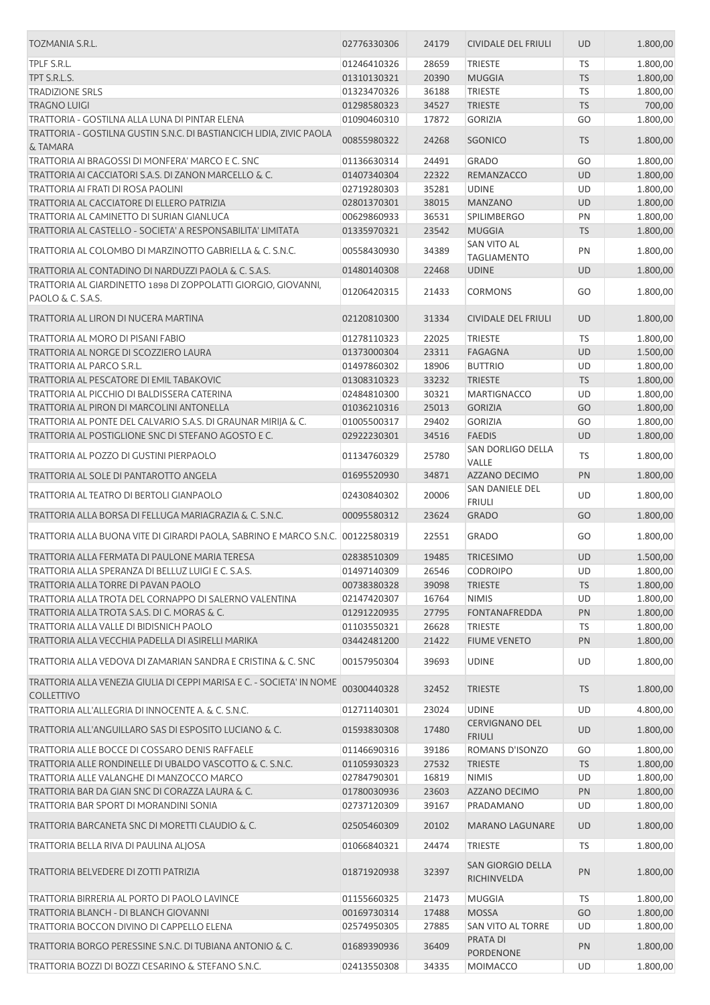| TOZMANIA S.R.L.                                                                                | 02776330306                | 24179          | <b>CIVIDALE DEL FRIULI</b>               | <b>UD</b> | 1.800,00             |
|------------------------------------------------------------------------------------------------|----------------------------|----------------|------------------------------------------|-----------|----------------------|
| TPLF S.R.L.                                                                                    | 01246410326                | 28659          | TRIESTE                                  | TS        | 1.800,00             |
| TPT S.R.L.S.                                                                                   | 01310130321                | 20390          | <b>MUGGIA</b>                            | <b>TS</b> | 1.800,00             |
| <b>TRADIZIONE SRLS</b>                                                                         | 01323470326                | 36188          | TRIESTE                                  | <b>TS</b> | 1.800,00             |
| <b>TRAGNO LUIGI</b>                                                                            | 01298580323                | 34527          | <b>TRIESTE</b>                           | <b>TS</b> | 700,00               |
| TRATTORIA - GOSTILNA ALLA LUNA DI PINTAR ELENA                                                 | 01090460310                | 17872          | <b>GORIZIA</b>                           | GO        | 1.800,00             |
| TRATTORIA - GOSTILNA GUSTIN S.N.C. DI BASTIANCICH LIDIA, ZIVIC PAOLA<br>& TAMARA               | 00855980322                | 24268          | <b>SGONICO</b>                           | <b>TS</b> | 1.800,00             |
| TRATTORIA AI BRAGOSSI DI MONFERA' MARCO E C. SNC                                               | 01136630314                | 24491          | <b>GRADO</b>                             | GO        | 1.800,00             |
| TRATTORIA AI CACCIATORI S.A.S. DI ZANON MARCELLO & C.                                          | 01407340304                | 22322          | REMANZACCO                               | <b>UD</b> | 1.800,00             |
| TRATTORIA AI FRATI DI ROSA PAOLINI                                                             | 02719280303                | 35281          | <b>UDINE</b>                             | UD        | 1.800,00             |
| TRATTORIA AL CACCIATORE DI ELLERO PATRIZIA                                                     | 02801370301                | 38015          | <b>MANZANO</b>                           | UD        | 1.800,00             |
| TRATTORIA AL CAMINETTO DI SURIAN GIANLUCA                                                      | 00629860933                | 36531          | <b>SPILIMBERGO</b>                       | PN        | 1.800,00             |
| TRATTORIA AL CASTELLO - SOCIETA' A RESPONSABILITA' LIMITATA                                    | 01335970321                | 23542          | <b>MUGGIA</b>                            | <b>TS</b> | 1.800,00             |
| TRATTORIA AL COLOMBO DI MARZINOTTO GABRIELLA & C. S.N.C.                                       | 00558430930                | 34389          | SAN VITO AL<br><b>TAGLIAMENTO</b>        | PN        | 1.800,00             |
| TRATTORIA AL CONTADINO DI NARDUZZI PAOLA & C. S.A.S.                                           | 01480140308                | 22468          | <b>UDINE</b>                             | <b>UD</b> | 1.800,00             |
| TRATTORIA AL GIARDINETTO 1898 DI ZOPPOLATTI GIORGIO, GIOVANNI,<br><b>PAOLO &amp; C. S.A.S.</b> | 01206420315                | 21433          | <b>CORMONS</b>                           | GO        | 1.800,00             |
| TRATTORIA AL LIRON DI NUCERA MARTINA                                                           | 02120810300                | 31334          | <b>CIVIDALE DEL FRIULI</b>               | <b>UD</b> | 1.800,00             |
| TRATTORIA AL MORO DI PISANI FABIO                                                              | 01278110323                | 22025          | <b>TRIESTE</b>                           | <b>TS</b> | 1.800,00             |
| TRATTORIA AL NORGE DI SCOZZIERO LAURA                                                          | 01373000304                | 23311          | <b>FAGAGNA</b>                           | UD        | 1.500,00             |
| TRATTORIA AL PARCO S.R.L.                                                                      | 01497860302                | 18906          | <b>BUTTRIO</b>                           | UD        | 1.800,00             |
| TRATTORIA AL PESCATORE DI EMIL TABAKOVIC                                                       | 01308310323                | 33232          | <b>TRIESTE</b>                           | <b>TS</b> | 1.800,00             |
| TRATTORIA AL PICCHIO DI BALDISSERA CATERINA                                                    | 02484810300                | 30321          | MARTIGNACCO                              | <b>UD</b> | 1.800,00             |
| TRATTORIA AL PIRON DI MARCOLINI ANTONELLA                                                      | 01036210316                | 25013          | <b>GORIZIA</b>                           | GO        | 1.800,00             |
| TRATTORIA AL PONTE DEL CALVARIO S.A.S. DI GRAUNAR MIRIJA & C.                                  | 01005500317                | 29402          | <b>GORIZIA</b>                           | GO        | 1.800,00             |
| TRATTORIA AL POSTIGLIONE SNC DI STEFANO AGOSTO E C.                                            | 02922230301                | 34516          | <b>FAEDIS</b>                            | UD        | 1.800,00             |
| TRATTORIA AL POZZO DI GUSTINI PIERPAOLO                                                        | 01134760329                | 25780          | SAN DORLIGO DELLA<br>VALLE               | TS        | 1.800,00             |
| TRATTORIA AL SOLE DI PANTAROTTO ANGELA                                                         | 01695520930                | 34871          | AZZANO DECIMO                            | PN        | 1.800,00             |
| TRATTORIA AL TEATRO DI BERTOLI GIANPAOLO                                                       | 02430840302                | 20006          | SAN DANIELE DEL<br><b>FRIULI</b>         | UD        | 1.800,00             |
| TRATTORIA ALLA BORSA DI FELLUGA MARIAGRAZIA & C. S.N.C.                                        | 00095580312                | 23624          | <b>GRADO</b>                             | GO        | 1.800,00             |
| TRATTORIA ALLA BUONA VITE DI GIRARDI PAOLA, SABRINO E MARCO S.N.C.                             | 00122580319                | 22551          | <b>GRADO</b>                             | GO        | 1.800,00             |
| TRATTORIA ALLA FERMATA DI PAULONE MARIA TERESA                                                 | 02838510309                | 19485          | <b>TRICESIMO</b>                         | <b>UD</b> | 1.500,00             |
| TRATTORIA ALLA SPERANZA DI BELLUZ LUIGI E C. S.A.S.                                            | 01497140309                | 26546          | CODROIPO                                 | UD.       | 1.800,00             |
| TRATTORIA ALLA TORRE DI PAVAN PAOLO                                                            | 00738380328                | 39098          | <b>TRIESTE</b>                           | <b>TS</b> | 1.800,00             |
| TRATTORIA ALLA TROTA DEL CORNAPPO DI SALERNO VALENTINA                                         | 02147420307                | 16764          | <b>NIMIS</b>                             | UD        | 1.800,00             |
| TRATTORIA ALLA TROTA S.A.S. DI C. MORAS & C.                                                   | 01291220935                | 27795          | <b>FONTANAFREDDA</b>                     | PN        | 1.800,00             |
| TRATTORIA ALLA VALLE DI BIDISNICH PAOLO                                                        | 01103550321                | 26628          | TRIESTE                                  | TS        | 1.800,00             |
| TRATTORIA ALLA VECCHIA PADELLA DI ASIRELLI MARIKA                                              | 03442481200                | 21422          | <b>FIUME VENETO</b>                      | PN        | 1.800,00             |
| TRATTORIA ALLA VEDOVA DI ZAMARIAN SANDRA E CRISTINA & C. SNC                                   | 00157950304                | 39693          | <b>UDINE</b>                             | UD        | 1.800,00             |
| TRATTORIA ALLA VENEZIA GIULIA DI CEPPI MARISA E C. - SOCIETA' IN NOME<br><b>COLLETTIVO</b>     | 00300440328                | 32452          | <b>TRIESTE</b>                           | <b>TS</b> | 1.800,00             |
| TRATTORIA ALL'ALLEGRIA DI INNOCENTE A. & C. S.N.C.                                             | 01271140301                | 23024          | <b>UDINE</b>                             | UD        | 4.800,00             |
| TRATTORIA ALL'ANGUILLARO SAS DI ESPOSITO LUCIANO & C.                                          | 01593830308                | 17480          | <b>CERVIGNANO DEL</b>                    | <b>UD</b> | 1.800,00             |
| TRATTORIA ALLE BOCCE DI COSSARO DENIS RAFFAELE                                                 | 01146690316                | 39186          | <b>FRIULI</b><br>ROMANS D'ISONZO         | GO        | 1.800,00             |
| TRATTORIA ALLE RONDINELLE DI UBALDO VASCOTTO & C. S.N.C.                                       | 01105930323                | 27532          | <b>TRIESTE</b>                           | <b>TS</b> | 1.800,00             |
| TRATTORIA ALLE VALANGHE DI MANZOCCO MARCO                                                      | 02784790301                | 16819          | <b>NIMIS</b>                             | UD        | 1.800,00             |
| TRATTORIA BAR DA GIAN SNC DI CORAZZA LAURA & C.                                                | 01780030936                | 23603          | AZZANO DECIMO                            | PN        | 1.800,00             |
| TRATTORIA BAR SPORT DI MORANDINI SONIA                                                         | 02737120309                | 39167          | PRADAMANO                                | UD        | 1.800,00             |
|                                                                                                |                            |                |                                          |           |                      |
| TRATTORIA BARCANETA SNC DI MORETTI CLAUDIO & C.<br>TRATTORIA BELLA RIVA DI PAULINA ALIOSA      | 02505460309<br>01066840321 | 20102<br>24474 | <b>MARANO LAGUNARE</b><br><b>TRIESTE</b> | UD<br>TS  | 1.800,00<br>1.800,00 |
|                                                                                                |                            |                |                                          |           |                      |
| TRATTORIA BELVEDERE DI ZOTTI PATRIZIA                                                          | 01871920938                | 32397          | SAN GIORGIO DELLA<br>RICHINVELDA         | PN        | 1.800,00             |
| TRATTORIA BIRRERIA AL PORTO DI PAOLO LAVINCE                                                   | 01155660325                | 21473          | <b>MUGGIA</b>                            | <b>TS</b> | 1.800,00             |
| TRATTORIA BLANCH - DI BLANCH GIOVANNI                                                          | 00169730314                | 17488          | <b>MOSSA</b>                             | GO        | 1.800,00             |
| TRATTORIA BOCCON DIVINO DI CAPPELLO ELENA                                                      | 02574950305                | 27885          | SAN VITO AL TORRE                        | UD        | 1.800,00             |
| TRATTORIA BORGO PERESSINE S.N.C. DI TUBIANA ANTONIO & C.                                       | 01689390936                | 36409          | PRATA DI                                 | PN        | 1.800,00             |
| TRATTORIA BOZZI DI BOZZI CESARINO & STEFANO S.N.C.                                             | 02413550308                | 34335          | PORDENONE<br>MOIMACCO                    | UD        | 1.800,00             |
|                                                                                                |                            |                |                                          |           |                      |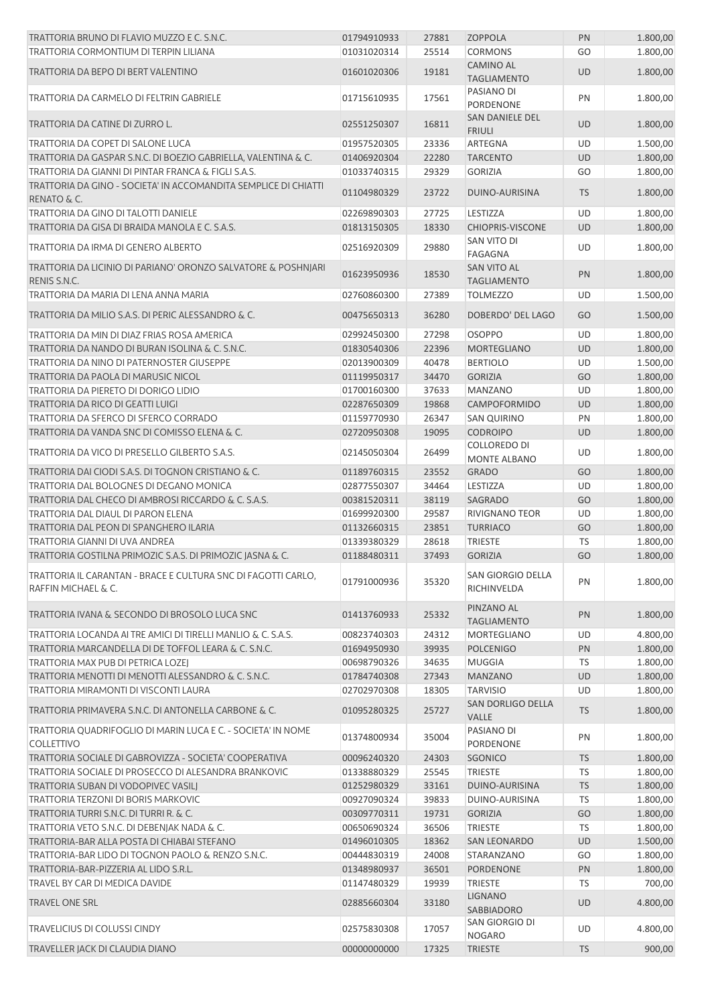| TRATTORIA BRUNO DI FLAVIO MUZZO E C. S.N.C.                                          | 01794910933 | 27881 | <b>ZOPPOLA</b>                           | PN        | 1.800,00 |
|--------------------------------------------------------------------------------------|-------------|-------|------------------------------------------|-----------|----------|
| TRATTORIA CORMONTIUM DI TERPIN LILIANA                                               | 01031020314 | 25514 | <b>CORMONS</b>                           | GO        | 1.800,00 |
| TRATTORIA DA BEPO DI BERT VALENTINO                                                  | 01601020306 | 19181 | <b>CAMINO AL</b><br><b>TAGLIAMENTO</b>   | <b>UD</b> | 1.800,00 |
| TRATTORIA DA CARMELO DI FELTRIN GABRIELE                                             | 01715610935 | 17561 | PASIANO DI<br>PORDENONE                  | PN        | 1.800,00 |
| TRATTORIA DA CATINE DI ZURRO L.                                                      | 02551250307 | 16811 | SAN DANIELE DEL<br><b>FRIULI</b>         | <b>UD</b> | 1.800,00 |
| TRATTORIA DA COPET DI SALONE LUCA                                                    | 01957520305 | 23336 | ARTEGNA                                  | UD        | 1.500,00 |
| TRATTORIA DA GASPAR S.N.C. DI BOEZIO GABRIELLA, VALENTINA & C.                       | 01406920304 | 22280 | <b>TARCENTO</b>                          | UD        | 1.800,00 |
| TRATTORIA DA GIANNI DI PINTAR FRANCA & FIGLI S.A.S.                                  | 01033740315 | 29329 | <b>GORIZIA</b>                           | GO        | 1.800,00 |
|                                                                                      |             |       |                                          |           |          |
| TRATTORIA DA GINO - SOCIETA' IN ACCOMANDITA SEMPLICE DI CHIATTI<br>RENATO & C.       | 01104980329 | 23722 | DUINO-AURISINA                           | <b>TS</b> | 1.800,00 |
| TRATTORIA DA GINO DI TALOTTI DANIELE                                                 | 02269890303 | 27725 | LESTIZZA                                 | UD        | 1.800,00 |
| TRATTORIA DA GISA DI BRAIDA MANOLA E C. S.A.S.                                       | 01813150305 | 18330 | <b>CHIOPRIS-VISCONE</b>                  | <b>UD</b> | 1.800,00 |
| TRATTORIA DA IRMA DI GENERO ALBERTO                                                  | 02516920309 | 29880 | SAN VITO DI<br>FAGAGNA                   | UD        | 1.800,00 |
| TRATTORIA DA LICINIO DI PARIANO' ORONZO SALVATORE & POSHNJARI<br>RENIS S.N.C.        | 01623950936 | 18530 | <b>SAN VITO AL</b><br><b>TAGLIAMENTO</b> | PN        | 1.800,00 |
| TRATTORIA DA MARIA DI LENA ANNA MARIA                                                |             |       | <b>TOLMEZZO</b>                          | UD        | 1.500,00 |
|                                                                                      | 02760860300 | 27389 |                                          |           |          |
| TRATTORIA DA MILIO S.A.S. DI PERIC ALESSANDRO & C.                                   | 00475650313 | 36280 | <b>DOBERDO' DEL LAGO</b>                 | GO        | 1.500,00 |
| TRATTORIA DA MIN DI DIAZ FRIAS ROSA AMERICA                                          | 02992450300 | 27298 | <b>OSOPPO</b>                            | UD        | 1.800,00 |
| TRATTORIA DA NANDO DI BURAN ISOLINA & C. S.N.C.                                      | 01830540306 | 22396 | <b>MORTEGLIANO</b>                       | <b>UD</b> | 1.800,00 |
| TRATTORIA DA NINO DI PATERNOSTER GIUSEPPE                                            | 02013900309 | 40478 | <b>BERTIOLO</b>                          | UD        | 1.500,00 |
| TRATTORIA DA PAOLA DI MARUSIC NICOL                                                  | 01119950317 | 34470 | <b>GORIZIA</b>                           | GO        | 1.800,00 |
| TRATTORIA DA PIERETO DI DORIGO LIDIO                                                 | 01700160300 | 37633 | <b>MANZANO</b>                           | UD        | 1.800,00 |
| TRATTORIA DA RICO DI GEATTI LUIGI                                                    | 02287650309 | 19868 | CAMPOFORMIDO                             | <b>UD</b> | 1.800,00 |
| TRATTORIA DA SFERCO DI SFERCO CORRADO                                                | 01159770930 | 26347 | <b>SAN QUIRINO</b>                       | PN        | 1.800,00 |
| TRATTORIA DA VANDA SNC DI COMISSO ELENA & C.                                         | 02720950308 | 19095 | <b>CODROIPO</b>                          | <b>UD</b> | 1.800,00 |
| TRATTORIA DA VICO DI PRESELLO GILBERTO S.A.S.                                        | 02145050304 | 26499 | COLLOREDO DI<br><b>MONTE ALBANO</b>      | UD        | 1.800,00 |
| TRATTORIA DAI CIODI S.A.S. DI TOGNON CRISTIANO & C.                                  |             |       |                                          | GO        |          |
|                                                                                      | 01189760315 | 23552 | <b>GRADO</b>                             |           | 1.800,00 |
| TRATTORIA DAL BOLOGNES DI DEGANO MONICA                                              | 02877550307 | 34464 | LESTIZZA                                 | UD        | 1.800,00 |
| TRATTORIA DAL CHECO DI AMBROSI RICCARDO & C. S.A.S.                                  | 00381520311 | 38119 | <b>SAGRADO</b>                           | GO        | 1.800,00 |
| TRATTORIA DAL DIAUL DI PARON ELENA                                                   | 01699920300 | 29587 | RIVIGNANO TEOR                           | UD        | 1.800,00 |
| TRATTORIA DAL PEON DI SPANGHERO ILARIA                                               | 01132660315 | 23851 | <b>TURRIACO</b>                          | GO        | 1.800,00 |
| TRATTORIA GIANNI DI UVA ANDREA                                                       | 01339380329 | 28618 | <b>TRIESTE</b>                           | <b>TS</b> | 1.800,00 |
| TRATTORIA GOSTILNA PRIMOZIC S.A.S. DI PRIMOZIC JASNA & C.                            | 01188480311 | 37493 | <b>GORIZIA</b>                           | GO        | 1.800,00 |
| TRATTORIA IL CARANTAN - BRACE E CULTURA SNC DI FAGOTTI CARLO,<br>RAFFIN MICHAEL & C. | 01791000936 | 35320 | SAN GIORGIO DELLA<br>RICHINVELDA         | PN        | 1.800,00 |
| TRATTORIA IVANA & SECONDO DI BROSOLO LUCA SNC                                        | 01413760933 | 25332 | PINZANO AL<br><b>TAGLIAMENTO</b>         | PN        | 1.800,00 |
| TRATTORIA LOCANDA AI TRE AMICI DI TIRELLI MANLIO & C. S.A.S.                         | 00823740303 | 24312 | MORTEGLIANO                              | UD        | 4.800,00 |
| TRATTORIA MARCANDELLA DI DE TOFFOL LEARA & C. S.N.C.                                 | 01694950930 | 39935 | <b>POLCENIGO</b>                         | PN        | 1.800,00 |
| TRATTORIA MAX PUB DI PETRICA LOZEJ                                                   | 00698790326 | 34635 | <b>MUGGIA</b>                            | TS        | 1.800,00 |
| TRATTORIA MENOTTI DI MENOTTI ALESSANDRO & C. S.N.C.                                  | 01784740308 | 27343 | <b>MANZANO</b>                           | UD        | 1.800,00 |
| TRATTORIA MIRAMONTI DI VISCONTI LAURA                                                | 02702970308 | 18305 | <b>TARVISIO</b>                          | UD        | 1.800,00 |
| TRATTORIA PRIMAVERA S.N.C. DI ANTONELLA CARBONE & C.                                 | 01095280325 | 25727 | SAN DORLIGO DELLA<br><b>VALLE</b>        | <b>TS</b> | 1.800,00 |
| TRATTORIA QUADRIFOGLIO DI MARIN LUCA E C. - SOCIETA' IN NOME<br>COLLETTIVO           | 01374800934 | 35004 | PASIANO DI<br>PORDENONE                  | PN        | 1.800,00 |
| TRATTORIA SOCIALE DI GABROVIZZA - SOCIETA' COOPERATIVA                               | 00096240320 | 24303 | SGONICO                                  | <b>TS</b> | 1.800,00 |
| TRATTORIA SOCIALE DI PROSECCO DI ALESANDRA BRANKOVIC                                 | 01338880329 | 25545 | <b>TRIESTE</b>                           | <b>TS</b> | 1.800,00 |
| TRATTORIA SUBAN DI VODOPIVEC VASILJ                                                  | 01252980329 | 33161 | DUINO-AURISINA                           | <b>TS</b> | 1.800,00 |
|                                                                                      |             |       |                                          |           |          |
| TRATTORIA TERZONI DI BORIS MARKOVIC                                                  | 00927090324 | 39833 | DUINO-AURISINA                           | <b>TS</b> | 1.800,00 |
| TRATTORIA TURRI S.N.C. DI TURRI R. & C.                                              | 00309770311 | 19731 | <b>GORIZIA</b>                           | GO        | 1.800,00 |
| TRATTORIA VETO S.N.C. DI DEBENJAK NADA & C.                                          | 00650690324 | 36506 | <b>TRIESTE</b>                           | <b>TS</b> | 1.800,00 |
| TRATTORIA-BAR ALLA POSTA DI CHIABAI STEFANO                                          | 01496010305 | 18362 | <b>SAN LEONARDO</b>                      | UD        | 1.500,00 |
| TRATTORIA-BAR LIDO DI TOGNON PAOLO & RENZO S.N.C.                                    | 00444830319 | 24008 | STARANZANO                               | GO        | 1.800,00 |
| TRATTORIA-BAR-PIZZERIA AL LIDO S.R.L.                                                | 01348980937 | 36501 | PORDENONE                                | PN        | 1.800,00 |
| TRAVEL BY CAR DI MEDICA DAVIDE                                                       | 01147480329 | 19939 | <b>TRIESTE</b>                           | TS        | 700,00   |
| <b>TRAVEL ONE SRL</b>                                                                | 02885660304 | 33180 | <b>LIGNANO</b><br><b>SABBIADORO</b>      | <b>UD</b> | 4.800,00 |
| <b>TRAVELICIUS DI COLUSSI CINDY</b>                                                  | 02575830308 | 17057 | SAN GIORGIO DI<br><b>NOGARO</b>          | UD        | 4.800,00 |
| TRAVELLER JACK DI CLAUDIA DIANO                                                      | 00000000000 | 17325 | <b>TRIESTE</b>                           | <b>TS</b> | 900,00   |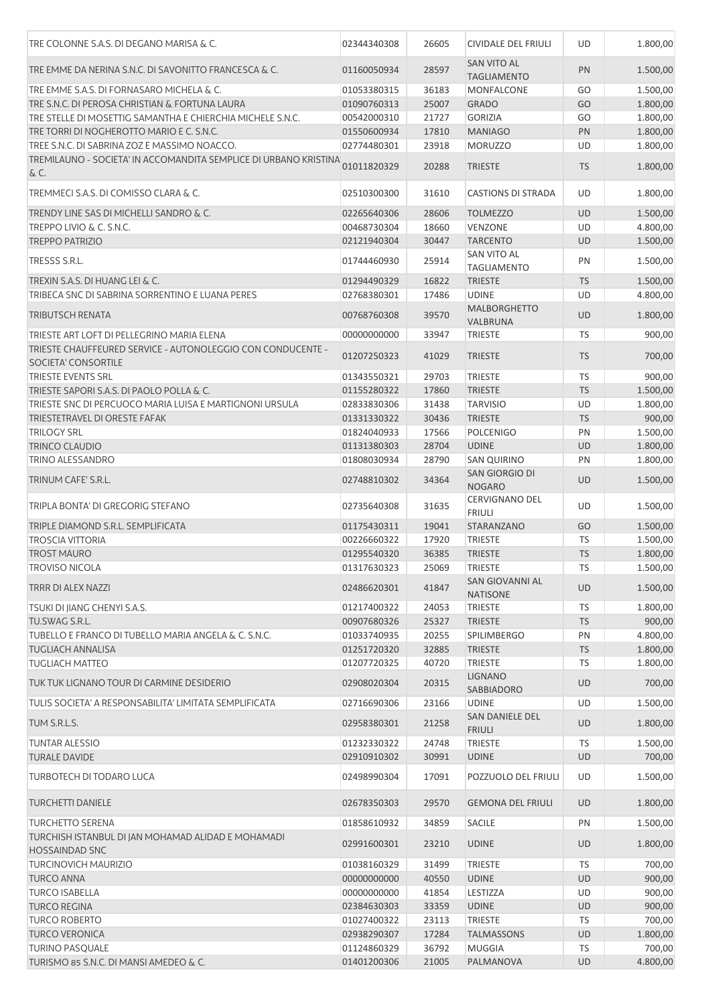| TRE COLONNE S.A.S. DI DEGANO MARISA & C.                                           | 02344340308 | 26605 | CIVIDALE DEL FRIULI                      | UD        | 1.800,00 |
|------------------------------------------------------------------------------------|-------------|-------|------------------------------------------|-----------|----------|
| TRE EMME DA NERINA S.N.C. DI SAVONITTO FRANCESCA & C.                              | 01160050934 | 28597 | <b>SAN VITO AL</b><br><b>TAGLIAMENTO</b> | PN        | 1.500,00 |
| TRE EMME S.A.S. DI FORNASARO MICHELA & C.                                          | 01053380315 | 36183 | <b>MONFALCONE</b>                        | GO        | 1.500,00 |
| TRE S.N.C. DI PEROSA CHRISTIAN & FORTUNA LAURA                                     | 01090760313 | 25007 | <b>GRADO</b>                             | GO        | 1.800,00 |
| TRE STELLE DI MOSETTIG SAMANTHA E CHIERCHIA MICHELE S.N.C.                         | 00542000310 | 21727 | <b>GORIZIA</b>                           | GO        | 1.800,00 |
| TRE TORRI DI NOGHEROTTO MARIO E C. S.N.C.                                          | 01550600934 | 17810 | <b>MANIAGO</b>                           | PN        | 1.800,00 |
| TREE S.N.C. DI SABRINA ZOZ E MASSIMO NOACCO.                                       | 02774480301 | 23918 | <b>MORUZZO</b>                           | UD        | 1.800,00 |
| TREMILAUNO - SOCIETA' IN ACCOMANDITA SEMPLICE DI URBANO KRISTINA<br>& C.           | 01011820329 | 20288 | <b>TRIESTE</b>                           | <b>TS</b> | 1.800,00 |
| TREMMECI S.A.S. DI COMISSO CLARA & C.                                              | 02510300300 | 31610 | <b>CASTIONS DI STRADA</b>                | <b>UD</b> | 1.800,00 |
| TRENDY LINE SAS DI MICHELLI SANDRO & C.                                            | 02265640306 | 28606 | <b>TOLMEZZO</b>                          | UD        | 1.500,00 |
| TREPPO LIVIO & C. S.N.C.                                                           | 00468730304 | 18660 | <b>VENZONE</b>                           | <b>UD</b> | 4.800,00 |
| <b>TREPPO PATRIZIO</b>                                                             | 02121940304 | 30447 | <b>TARCENTO</b>                          | UD        | 1.500,00 |
| TRESSS S.R.L.                                                                      | 01744460930 | 25914 | <b>SAN VITO AL</b><br><b>TAGLIAMENTO</b> | PN        | 1.500,00 |
| TREXIN S.A.S. DI HUANG LEI & C.                                                    | 01294490329 | 16822 | <b>TRIESTE</b>                           | <b>TS</b> | 1.500,00 |
| TRIBECA SNC DI SABRINA SORRENTINO E LUANA PERES                                    | 02768380301 | 17486 | <b>UDINE</b>                             | UD        | 4.800,00 |
|                                                                                    |             |       | <b>MALBORGHETTO</b>                      |           |          |
| <b>TRIBUTSCH RENATA</b>                                                            | 00768760308 | 39570 | VALBRUNA                                 | UD        | 1.800,00 |
| TRIESTE ART LOFT DI PELLEGRINO MARIA ELENA                                         | 00000000000 | 33947 | <b>TRIESTE</b>                           | <b>TS</b> | 900,00   |
| TRIESTE CHAUFFEURED SERVICE - AUTONOLEGGIO CON CONDUCENTE -<br>SOCIETA' CONSORTILE | 01207250323 | 41029 | <b>TRIESTE</b>                           | <b>TS</b> | 700,00   |
| <b>TRIESTE EVENTS SRL</b>                                                          | 01343550321 | 29703 | <b>TRIESTE</b>                           | TS        | 900,00   |
| TRIESTE SAPORI S.A.S. DI PAOLO POLLA & C.                                          | 01155280322 | 17860 | <b>TRIESTE</b>                           | <b>TS</b> | 1.500,00 |
| TRIESTE SNC DI PERCUOCO MARIA LUISA E MARTIGNONI URSULA                            | 02833830306 | 31438 | <b>TARVISIO</b>                          | UD        | 1.800,00 |
| TRIESTETRAVEL DI ORESTE FAFAK                                                      | 01331330322 | 30436 | <b>TRIESTE</b>                           | <b>TS</b> | 900,00   |
| <b>TRILOGY SRL</b>                                                                 | 01824040933 | 17566 | <b>POLCENIGO</b>                         | PN        | 1.500,00 |
| <b>TRINCO CLAUDIO</b>                                                              | 01131380303 | 28704 | <b>UDINE</b>                             | UD        | 1.800,00 |
|                                                                                    |             |       |                                          |           |          |
| <b>TRINO ALESSANDRO</b>                                                            | 01808030934 | 28790 | <b>SAN QUIRINO</b>                       | PN        | 1.800,00 |
| TRINUM CAFE' S.R.L.                                                                | 02748810302 | 34364 | SAN GIORGIO DI<br><b>NOGARO</b>          | UD        | 1.500,00 |
| TRIPLA BONTA' DI GREGORIG STEFANO                                                  | 02735640308 | 31635 | <b>CERVIGNANO DEL</b><br><b>FRIULI</b>   | UD        | 1.500,00 |
| TRIPLE DIAMOND S.R.L. SEMPLIFICATA                                                 | 01175430311 | 19041 | STARANZANO                               | GO        | 1.500,00 |
| <b>TROSCIA VITTORIA</b>                                                            | 00226660322 | 17920 | <b>TRIESTE</b>                           | TS        | 1.500,00 |
| <b>TROST MAURO</b>                                                                 | 01295540320 | 36385 | <b>TRIESTE</b>                           | <b>TS</b> | 1.800,00 |
| <b>TROVISO NICOLA</b>                                                              | 01317630323 | 25069 | <b>TRIESTE</b>                           | TS        | 1.500,00 |
| <b>TRRR DI ALEX NAZZI</b>                                                          | 02486620301 | 41847 | SAN GIOVANNI AL<br><b>NATISONE</b>       | <b>UD</b> | 1.500,00 |
| TSUKI DI JIANG CHENYI S.A.S.                                                       | 01217400322 | 24053 | <b>TRIESTE</b>                           | TS        | 1.800,00 |
| TU.SWAG S.R.L.                                                                     | 00907680326 | 25327 | <b>TRIESTE</b>                           | TS        | 900,00   |
| TUBELLO E FRANCO DI TUBELLO MARIA ANGELA & C. S.N.C.                               | 01033740935 | 20255 | <b>SPILIMBERGO</b>                       | PN        | 4.800,00 |
| <b>TUGLIACH ANNALISA</b>                                                           | 01251720320 | 32885 | <b>TRIESTE</b>                           | <b>TS</b> | 1.800,00 |
| <b>TUGLIACH MATTEO</b>                                                             | 01207720325 | 40720 | <b>TRIESTE</b>                           | TS        | 1.800,00 |
| TUK TUK LIGNANO TOUR DI CARMINE DESIDERIO                                          | 02908020304 | 20315 | <b>LIGNANO</b><br>SABBIADORO             | <b>UD</b> | 700,00   |
| TULIS SOCIETA' A RESPONSABILITA' LIMITATA SEMPLIFICATA                             | 02716690306 | 23166 | <b>UDINE</b>                             | UD        | 1.500,00 |
| TUM S.R.L.S.                                                                       | 02958380301 | 21258 | SAN DANIELE DEL<br><b>FRIULI</b>         | UD        | 1.800,00 |
| <b>TUNTAR ALESSIO</b>                                                              | 01232330322 | 24748 | <b>TRIESTE</b>                           | <b>TS</b> | 1.500,00 |
| <b>TURALE DAVIDE</b>                                                               | 02910910302 | 30991 | <b>UDINE</b>                             | <b>UD</b> | 700,00   |
| <b>TURBOTECH DI TODARO LUCA</b>                                                    | 02498990304 | 17091 | POZZUOLO DEL FRIULI                      | UD        | 1.500,00 |
| <b>TURCHETTI DANIELE</b>                                                           | 02678350303 | 29570 | <b>GEMONA DEL FRIULI</b>                 | UD        | 1.800,00 |
| <b>TURCHETTO SERENA</b>                                                            | 01858610932 | 34859 | <b>SACILE</b>                            | PN        | 1.500,00 |
| TURCHISH ISTANBUL DI JAN MOHAMAD ALIDAD E MOHAMADI                                 | 02991600301 | 23210 | <b>UDINE</b>                             | <b>UD</b> | 1.800,00 |
| <b>HOSSAINDAD SNC</b>                                                              |             |       |                                          |           |          |
| <b>TURCINOVICH MAURIZIO</b>                                                        | 01038160329 | 31499 | <b>TRIESTE</b>                           | <b>TS</b> | 700,00   |
| <b>TURCO ANNA</b>                                                                  | 00000000000 | 40550 | <b>UDINE</b>                             | <b>UD</b> | 900,00   |
| <b>TURCO ISABELLA</b>                                                              | 00000000000 | 41854 | <b>LESTIZZA</b>                          | UD        | 900,00   |
| <b>TURCO REGINA</b>                                                                | 02384630303 | 33359 | <b>UDINE</b>                             | <b>UD</b> | 900,00   |
| <b>TURCO ROBERTO</b>                                                               | 01027400322 | 23113 | <b>TRIESTE</b>                           | <b>TS</b> | 700,00   |
| <b>TURCO VERONICA</b>                                                              | 02938290307 | 17284 | <b>TALMASSONS</b>                        | <b>UD</b> | 1.800,00 |
| <b>TURINO PASQUALE</b>                                                             | 01124860329 | 36792 | <b>MUGGIA</b>                            | TS        | 700,00   |
| TURISMO 85 S.N.C. DI MANSI AMEDEO & C.                                             | 01401200306 | 21005 | PALMANOVA                                | <b>UD</b> | 4.800,00 |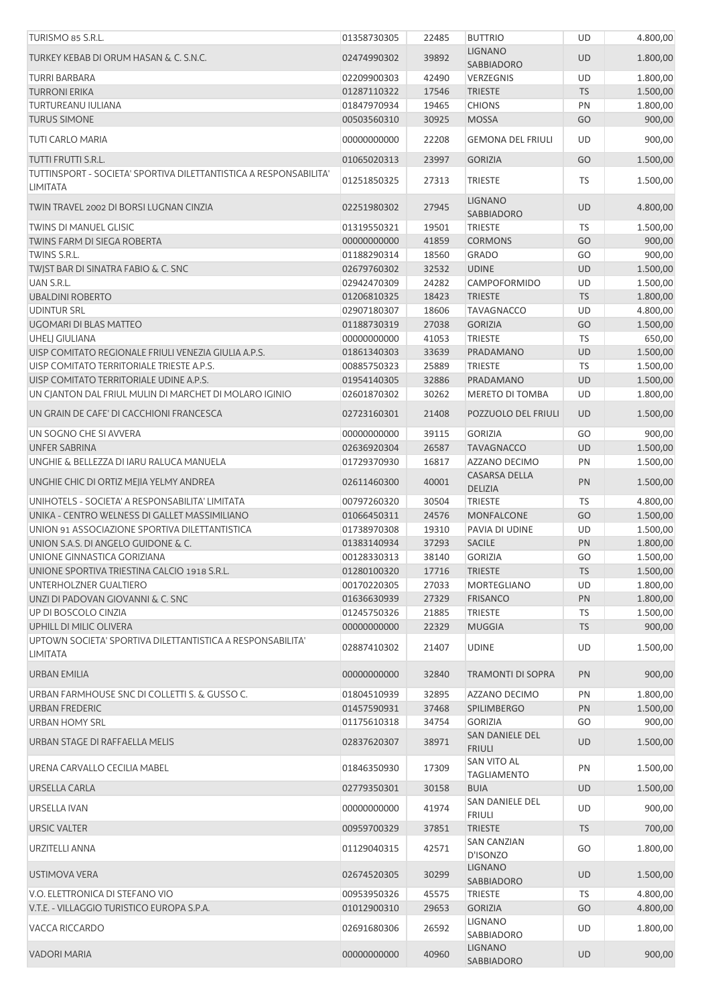| TURISMO 85 S.R.L.                                                                     | 01358730305 | 22485 | <b>BUTTRIO</b>                           | <b>UD</b> | 4.800,00 |
|---------------------------------------------------------------------------------------|-------------|-------|------------------------------------------|-----------|----------|
| TURKEY KEBAB DI ORUM HASAN & C. S.N.C.                                                | 02474990302 | 39892 | <b>LIGNANO</b><br>SABBIADORO             | UD        | 1.800,00 |
| <b>TURRI BARBARA</b>                                                                  | 02209900303 | 42490 | VERZEGNIS                                | UD        | 1.800,00 |
| <b>TURRONI ERIKA</b>                                                                  | 01287110322 | 17546 | <b>TRIESTE</b>                           | <b>TS</b> | 1.500,00 |
| <b>TURTUREANU IULIANA</b>                                                             | 01847970934 | 19465 | <b>CHIONS</b>                            | PN        | 1.800,00 |
| <b>TURUS SIMONE</b>                                                                   | 00503560310 | 30925 | <b>MOSSA</b>                             | GO        | 900,00   |
| TUTI CARLO MARIA                                                                      | 00000000000 | 22208 | <b>GEMONA DEL FRIULI</b>                 | UD        | 900,00   |
| TUTTI FRUTTI S.R.L.                                                                   | 01065020313 | 23997 | <b>GORIZIA</b>                           | GO        | 1.500,00 |
| TUTTINSPORT - SOCIETA' SPORTIVA DILETTANTISTICA A RESPONSABILITA'<br><b>LIMITATA</b>  | 01251850325 | 27313 | <b>TRIESTE</b>                           | TS        | 1.500,00 |
| TWIN TRAVEL 2002 DI BORSI LUGNAN CINZIA                                               | 02251980302 | 27945 | <b>LIGNANO</b><br>SABBIADORO             | <b>UD</b> | 4.800,00 |
| <b>TWINS DI MANUEL GLISIC</b>                                                         | 01319550321 | 19501 | <b>TRIESTE</b>                           | TS        | 1.500,00 |
| TWINS FARM DI SIEGA ROBERTA                                                           | 00000000000 | 41859 | <b>CORMONS</b>                           | GO        | 900,00   |
| TWINS S.R.L.                                                                          | 01188290314 | 18560 | <b>GRADO</b>                             | GO        | 900,00   |
| TWIST BAR DI SINATRA FABIO & C. SNC                                                   | 02679760302 | 32532 | <b>UDINE</b>                             | <b>UD</b> | 1.500,00 |
| UAN S.R.L.                                                                            | 02942470309 | 24282 | CAMPOFORMIDO                             | UD        | 1.500,00 |
| <b>UBALDINI ROBERTO</b>                                                               | 01206810325 | 18423 | <b>TRIESTE</b>                           | <b>TS</b> | 1.800,00 |
| <b>UDINTUR SRL</b>                                                                    | 02907180307 | 18606 | <b>TAVAGNACCO</b>                        | UD        | 4.800,00 |
| UGOMARI DI BLAS MATTEO                                                                | 01188730319 | 27038 | <b>GORIZIA</b>                           | GO        | 1.500,00 |
| <b>UHELJ GIULIANA</b>                                                                 | 00000000000 | 41053 | <b>TRIESTE</b>                           | <b>TS</b> | 650,00   |
| UISP COMITATO REGIONALE FRIULI VENEZIA GIULIA A.P.S.                                  | 01861340303 | 33639 | PRADAMANO                                | <b>UD</b> | 1.500,00 |
| UISP COMITATO TERRITORIALE TRIESTE A.P.S.                                             | 00885750323 | 25889 | <b>TRIESTE</b>                           | <b>TS</b> | 1.500,00 |
| UISP COMITATO TERRITORIALE UDINE A.P.S.                                               | 01954140305 | 32886 | PRADAMANO                                | <b>UD</b> | 1.500,00 |
| UN CJANTON DAL FRIUL MULIN DI MARCHET DI MOLARO IGINIO                                | 02601870302 | 30262 | <b>MERETO DI TOMBA</b>                   | UD        | 1.800,00 |
| UN GRAIN DE CAFE' DI CACCHIONI FRANCESCA                                              | 02723160301 | 21408 | POZZUOLO DEL FRIULI                      | <b>UD</b> | 1.500,00 |
| UN SOGNO CHE SI AVVERA                                                                | 00000000000 | 39115 | <b>GORIZIA</b>                           | GO        | 900,00   |
| <b>UNFER SABRINA</b>                                                                  | 02636920304 | 26587 | <b>TAVAGNACCO</b>                        | <b>UD</b> | 1.500,00 |
| UNGHIE & BELLEZZA DI IARU RALUCA MANUELA                                              | 01729370930 | 16817 | AZZANO DECIMO                            | PN        | 1.500,00 |
| UNGHIE CHIC DI ORTIZ MEJIA YELMY ANDREA                                               | 02611460300 | 40001 | <b>CASARSA DELLA</b><br><b>DELIZIA</b>   | PN        | 1.500,00 |
| UNIHOTELS - SOCIETA' A RESPONSABILITA' LIMITATA                                       | 00797260320 | 30504 | <b>TRIESTE</b>                           | TS        | 4.800,00 |
| UNIKA - CENTRO WELNESS DI GALLET MASSIMILIANO                                         | 01066450311 | 24576 | <b>MONFALCONE</b>                        | GO        | 1.500,00 |
| UNION 91 ASSOCIAZIONE SPORTIVA DILETTANTISTICA                                        | 01738970308 | 19310 | PAVIA DI UDINE                           | UD        | 1.500,00 |
| UNION S.A.S. DI ANGELO GUIDONE & C.                                                   | 01383140934 | 37293 | <b>SACILE</b>                            | PN        | 1.800,00 |
| UNIONE GINNASTICA GORIZIANA                                                           | 00128330313 | 38140 | <b>GORIZIA</b>                           | GO        | 1.500,00 |
| UNIONE SPORTIVA TRIESTINA CALCIO 1918 S.R.L.                                          | 01280100320 | 17716 | <b>TRIESTE</b>                           | <b>TS</b> | 1.500,00 |
| UNTERHOLZNER GUALTIERO                                                                | 00170220305 | 27033 | MORTEGLIANO                              | UD        | 1.800,00 |
| UNZI DI PADOVAN GIOVANNI & C. SNC                                                     | 01636630939 | 27329 | <b>FRISANCO</b>                          | PN        | 1.800,00 |
| UP DI BOSCOLO CINZIA                                                                  | 01245750326 | 21885 | <b>TRIESTE</b>                           | TS        | 1.500,00 |
| UPHILL DI MILIC OLIVERA<br>UPTOWN SOCIETA' SPORTIVA DILETTANTISTICA A RESPONSABILITA' | 00000000000 | 22329 | <b>MUGGIA</b>                            | <b>TS</b> | 900,00   |
| <b>LIMITATA</b>                                                                       | 02887410302 | 21407 | <b>UDINE</b>                             | UD        | 1.500,00 |
| URBAN EMILIA                                                                          | 00000000000 | 32840 | <b>TRAMONTI DI SOPRA</b>                 | PN        | 900,00   |
| URBAN FARMHOUSE SNC DI COLLETTI S. & GUSSO C.                                         | 01804510939 | 32895 | AZZANO DECIMO                            | PN        | 1.800,00 |
| URBAN FREDERIC                                                                        | 01457590931 | 37468 | <b>SPILIMBERGO</b>                       | PN        | 1.500,00 |
| <b>URBAN HOMY SRL</b>                                                                 | 01175610318 | 34754 | <b>GORIZIA</b>                           | GO        | 900,00   |
| URBAN STAGE DI RAFFAELLA MELIS                                                        | 02837620307 | 38971 | SAN DANIELE DEL<br><b>FRIULI</b>         | UD        | 1.500,00 |
| URENA CARVALLO CECILIA MABEL                                                          | 01846350930 | 17309 | <b>SAN VITO AL</b><br><b>TAGLIAMENTO</b> | PN        | 1.500,00 |
| URSELLA CARLA                                                                         | 02779350301 | 30158 | <b>BUIA</b>                              | <b>UD</b> | 1.500,00 |
| URSELLA IVAN                                                                          | 00000000000 | 41974 | SAN DANIELE DEL<br><b>FRIULI</b>         | UD        | 900,00   |
| <b>URSIC VALTER</b>                                                                   | 00959700329 | 37851 | <b>TRIESTE</b>                           | <b>TS</b> | 700,00   |
| URZITELLI ANNA                                                                        | 01129040315 | 42571 | <b>SAN CANZIAN</b><br>D'ISONZO           | GO        | 1.800,00 |
| USTIMOVA VERA                                                                         | 02674520305 | 30299 | <b>LIGNANO</b><br><b>SABBIADORO</b>      | <b>UD</b> | 1.500,00 |
| V.O. ELETTRONICA DI STEFANO VIO                                                       | 00953950326 | 45575 | <b>TRIESTE</b>                           | TS        | 4.800,00 |
| V.T.E. - VILLAGGIO TURISTICO EUROPA S.P.A.                                            | 01012900310 | 29653 | <b>GORIZIA</b>                           | GO        | 4.800,00 |
| VACCA RICCARDO                                                                        | 02691680306 | 26592 | LIGNANO<br>SABBIADORO                    | UD        | 1.800,00 |
| <b>VADORI MARIA</b>                                                                   | 00000000000 | 40960 | <b>LIGNANO</b><br>SABBIADORO             | UD        | 900,00   |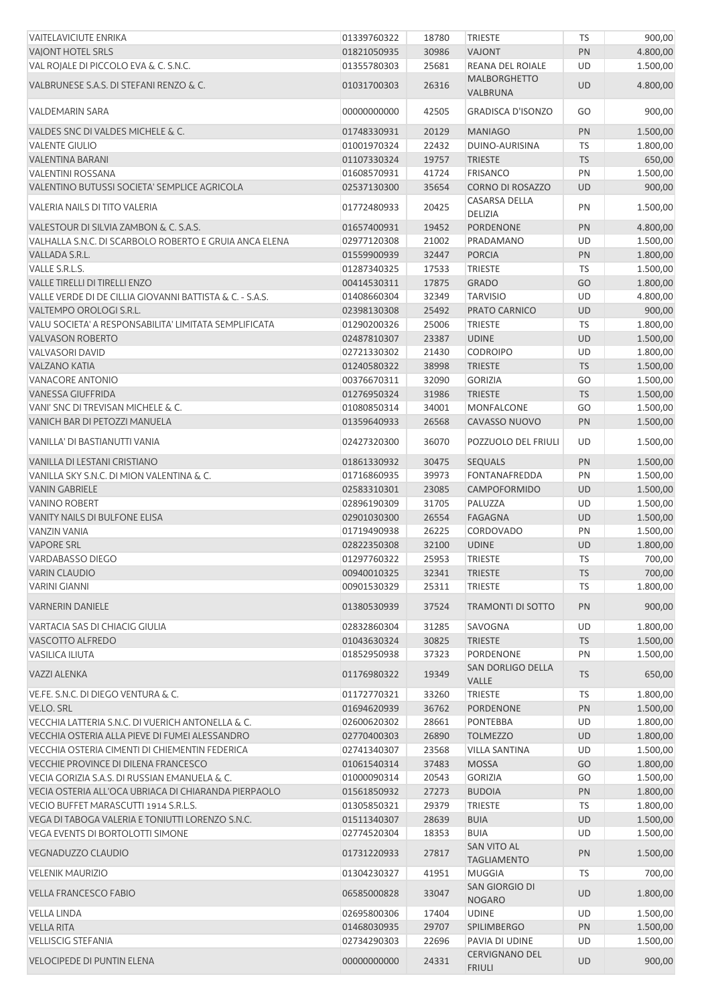| <b>VAITELAVICIUTE ENRIKA</b>                             | 01339760322                | 18780          | <b>TRIESTE</b>                      | <b>TS</b>       | 900,00             |
|----------------------------------------------------------|----------------------------|----------------|-------------------------------------|-----------------|--------------------|
| <b>VAIONT HOTEL SRLS</b>                                 | 01821050935                | 30986          | <b>VAJONT</b>                       | PN              | 4.800,00           |
| VAL ROJALE DI PICCOLO EVA & C. S.N.C.                    | 01355780303                | 25681          | <b>REANA DEL ROIALE</b>             | UD              | 1.500,00           |
| VALBRUNESE S.A.S. DI STEFANI RENZO & C.                  | 01031700303                | 26316          | <b>MALBORGHETTO</b><br>VALBRUNA     | <b>UD</b>       | 4.800,00           |
| <b>VALDEMARIN SARA</b>                                   | 00000000000                | 42505          | <b>GRADISCA D'ISONZO</b>            | GO              | 900,00             |
| VALDES SNC DI VALDES MICHELE & C.                        | 01748330931                | 20129          | <b>MANIAGO</b>                      | PN              | 1.500,00           |
| <b>VALENTE GIULIO</b>                                    | 01001970324                | 22432          | DUINO-AURISINA                      | TS              | 1.800,00           |
| VALENTINA BARANI                                         | 01107330324                | 19757          | <b>TRIESTE</b>                      | <b>TS</b>       | 650,00             |
| VALENTINI ROSSANA                                        | 01608570931                | 41724          | <b>FRISANCO</b>                     | PN              | 1.500,00           |
| VALENTINO BUTUSSI SOCIETA' SEMPLICE AGRICOLA             | 02537130300                | 35654          | CORNO DI ROSAZZO                    | UD              | 900,00             |
| VALERIA NAILS DI TITO VALERIA                            | 01772480933                | 20425          | CASARSA DELLA<br>DELIZIA            | PN              | 1.500,00           |
| VALESTOUR DI SILVIA ZAMBON & C. S.A.S.                   | 01657400931                | 19452          | PORDENONE                           | PN              | 4.800,00           |
| VALHALLA S.N.C. DI SCARBOLO ROBERTO E GRUIA ANCA ELENA   | 02977120308                | 21002          | PRADAMANO                           | UD              | 1.500,00           |
| VALLADA S.R.L.                                           | 01559900939                | 32447          | <b>PORCIA</b>                       | PN              | 1.800,00           |
| VALLE S.R.L.S.                                           | 01287340325                | 17533          | <b>TRIESTE</b>                      | TS              | 1.500,00           |
| VALLE TIRELLI DI TIRELLI ENZO                            | 00414530311                | 17875          | <b>GRADO</b>                        | GO              | 1.800,00           |
|                                                          |                            |                |                                     |                 |                    |
| VALLE VERDE DI DE CILLIA GIOVANNI BATTISTA & C. - S.A.S. | 01408660304                | 32349          | <b>TARVISIO</b>                     | UD              | 4.800,00           |
| VALTEMPO OROLOGI S.R.L.                                  | 02398130308                | 25492          | PRATO CARNICO                       | <b>UD</b>       | 900,00             |
| VALU SOCIETA' A RESPONSABILITA' LIMITATA SEMPLIFICATA    | 01290200326                | 25006          | <b>TRIESTE</b>                      | TS              | 1.800,00           |
| <b>VALVASON ROBERTO</b>                                  | 02487810307                | 23387          | <b>UDINE</b>                        | UD              | 1.500,00           |
| <b>VALVASORI DAVID</b>                                   | 02721330302                | 21430          | <b>CODROIPO</b>                     | UD              | 1.800,00           |
| <b>VALZANO KATIA</b>                                     | 01240580322                | 38998          | <b>TRIESTE</b>                      | <b>TS</b>       | 1.500,00           |
| VANACORE ANTONIO                                         | 00376670311                | 32090          | <b>GORIZIA</b>                      | GO              | 1.500,00           |
| <b>VANESSA GIUFFRIDA</b>                                 | 01276950324                | 31986          | <b>TRIESTE</b>                      | <b>TS</b>       | 1.500,00           |
| VANI' SNC DI TREVISAN MICHELE & C.                       | 01080850314                | 34001          | MONFALCONE                          | GO              | 1.500,00           |
| VANICH BAR DI PETOZZI MANUELA                            | 01359640933                | 26568          | CAVASSO NUOVO                       | PN              | 1.500,00           |
| VANILLA' DI BASTIANUTTI VANIA                            | 02427320300                | 36070          | POZZUOLO DEL FRIULI                 | UD              | 1.500,00           |
| VANILLA DI LESTANI CRISTIANO                             | 01861330932                | 30475          | <b>SEQUALS</b>                      | PN              | 1.500,00           |
| VANILLA SKY S.N.C. DI MION VALENTINA & C.                | 01716860935                | 39973          | FONTANAFREDDA                       | PN              | 1.500,00           |
| <b>VANIN GABRIELE</b>                                    | 02583310301                | 23085          | CAMPOFORMIDO                        | <b>UD</b>       | 1.500,00           |
|                                                          |                            |                |                                     | UD              |                    |
| <b>VANINO ROBERT</b>                                     | 02896190309                | 31705          | PALUZZA                             |                 | 1.500,00           |
| VANITY NAILS DI BULFONE ELISA                            | 02901030300                | 26554          | <b>FAGAGNA</b>                      | <b>UD</b>       | 1.500,00           |
| VANZIN VANIA                                             | 01719490938                | 26225          | CORDOVADO                           | PN              | 1.500,00           |
| <b>VAPORE SRL</b>                                        | 02822350308                | 32100          | <b>UDINE</b>                        | UD              | 1.800,00           |
| VARDABASSO DIEGO                                         | 01297760322                | 25953          | <b>TRIESTE</b>                      | TS              | 700,00             |
| <b>VARIN CLAUDIO</b>                                     | 00940010325                | 32341          | <b>TRIESTE</b>                      | <b>TS</b>       | 700,00             |
| <b>VARINI GIANNI</b>                                     | 00901530329                | 25311          | TRIESTE                             | TS              | 1.800,00           |
| <b>VARNERIN DANIELE</b>                                  | 01380530939                | 37524          | <b>TRAMONTI DI SOTTO</b>            | PN              | 900,00             |
| VARTACIA SAS DI CHIACIG GIULIA                           | 02832860304                | 31285          | SAVOGNA                             | UD              | 1.800,00           |
| VASCOTTO ALFREDO                                         | 01043630324                | 30825          | <b>TRIESTE</b>                      | <b>TS</b>       | 1.500,00           |
| <b>VASILICA ILIUTA</b>                                   | 01852950938                | 37323          | PORDENONE                           | PN              | 1.500,00           |
| VAZZI ALENKA                                             | 01176980322                | 19349          | SAN DORLIGO DELLA<br>VALLE          | <b>TS</b>       | 650,00             |
| VE.FE. S.N.C. DI DIEGO VENTURA & C.                      | 01172770321                | 33260          | TRIESTE                             | TS              | 1.800,00           |
| VE.LO. SRL                                               | 01694620939                | 36762          | PORDENONE                           | PN              | 1.500,00           |
| VECCHIA LATTERIA S.N.C. DI VUERICH ANTONELLA & C.        | 02600620302                | 28661          | PONTEBBA                            | UD              | 1.800,00           |
| VECCHIA OSTERIA ALLA PIEVE DI FUMEI ALESSANDRO           | 02770400303                | 26890          | <b>TOLMEZZO</b>                     | <b>UD</b>       | 1.800,00           |
| VECCHIA OSTERIA CIMENTI DI CHIEMENTIN FEDERICA           |                            |                |                                     | UD              |                    |
|                                                          | 02741340307                | 23568          | <b>VILLA SANTINA</b>                |                 | 1.500,00           |
| VECCHIE PROVINCE DI DILENA FRANCESCO                     | 01061540314                | 37483          | <b>MOSSA</b>                        | GO              | 1.800,00           |
| VECIA GORIZIA S.A.S. DI RUSSIAN EMANUELA & C.            | 01000090314                | 20543          | <b>GORIZIA</b>                      | GO              | 1.500,00           |
| VECIA OSTERIA ALL'OCA UBRIACA DI CHIARANDA PIERPAOLO     | 01561850932                | 27273          | <b>BUDOIA</b>                       | PN              | 1.800,00           |
| VECIO BUFFET MARASCUTTI 1914 S.R.L.S.                    | 01305850321                | 29379          | TRIESTE                             | TS              | 1.800,00           |
| VEGA DI TABOGA VALERIA E TONIUTTI LORENZO S.N.C.         | 01511340307                | 28639          | <b>BUIA</b>                         | UD              | 1.500,00           |
| VEGA EVENTS DI BORTOLOTTI SIMONE                         | 02774520304                | 18353          | <b>BUIA</b><br>SAN VITO AL          | UD              | 1.500,00           |
| VEGNADUZZO CLAUDIO                                       | 01731220933                | 27817          | <b>TAGLIAMENTO</b><br><b>MUGGIA</b> | PN              | 1.500,00           |
| <b>VELENIK MAURIZIO</b><br><b>VELLA FRANCESCO FABIO</b>  | 01304230327<br>06585000828 | 41951<br>33047 | SAN GIORGIO DI                      | TS<br><b>UD</b> | 700,00<br>1.800,00 |
|                                                          |                            |                | <b>NOGARO</b>                       |                 |                    |
| <b>VELLA LINDA</b>                                       | 02695800306                | 17404          | <b>UDINE</b>                        | UD              | 1.500,00           |
| <b>VELLA RITA</b>                                        | 01468030935                | 29707          | <b>SPILIMBERGO</b>                  | PN              | 1.500,00           |
| <b>VELLISCIG STEFANIA</b>                                | 02734290303                | 22696          | PAVIA DI UDINE                      | UD              | 1.500,00           |
| <b>VELOCIPEDE DI PUNTIN ELENA</b>                        | 00000000000                | 24331          | CERVIGNANO DEL<br><b>FRIULI</b>     | <b>UD</b>       | 900,00             |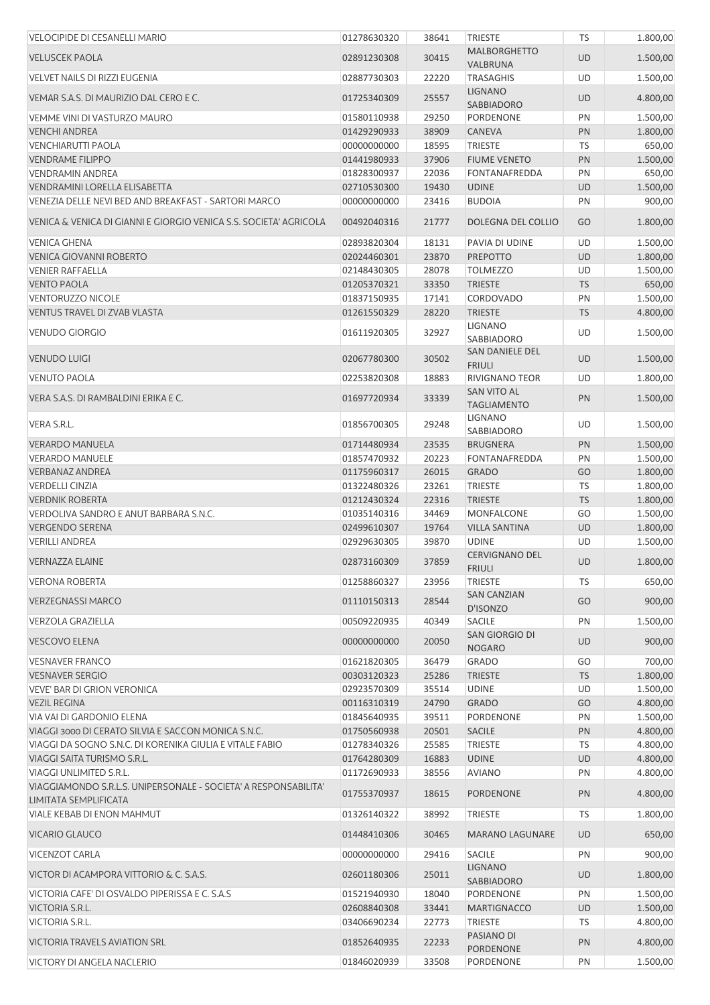| <b>VELOCIPIDE DI CESANELLI MARIO</b>                                                       | 01278630320                | 38641          | <b>TRIESTE</b>                           | <b>TS</b> | 1.800,00             |
|--------------------------------------------------------------------------------------------|----------------------------|----------------|------------------------------------------|-----------|----------------------|
| <b>VELUSCEK PAOLA</b>                                                                      | 02891230308                | 30415          | <b>MALBORGHETTO</b><br>VALBRUNA          | UD        | 1.500,00             |
| <b>VELVET NAILS DI RIZZI EUGENIA</b>                                                       | 02887730303                | 22220          | <b>TRASAGHIS</b>                         | UD        | 1.500,00             |
| VEMAR S.A.S. DI MAURIZIO DAL CERO E C.                                                     | 01725340309                | 25557          | <b>LIGNANO</b><br><b>SABBIADORO</b>      | <b>UD</b> | 4.800,00             |
| VEMME VINI DI VASTURZO MAURO                                                               | 01580110938                | 29250          | PORDENONE                                | PN        | 1.500,00             |
| <b>VENCHI ANDREA</b>                                                                       | 01429290933                | 38909          | <b>CANEVA</b>                            | PN        | 1.800,00             |
| <b>VENCHIARUTTI PAOLA</b>                                                                  | 00000000000                | 18595          | <b>TRIESTE</b>                           | TS        | 650,00               |
| <b>VENDRAME FILIPPO</b>                                                                    | 01441980933                | 37906          | <b>FIUME VENETO</b>                      | PN        | 1.500,00             |
| <b>VENDRAMIN ANDREA</b>                                                                    | 01828300937                | 22036          | <b>FONTANAFREDDA</b>                     | PN        | 650,00               |
| <b>VENDRAMINI LORELLA ELISABETTA</b>                                                       | 02710530300                | 19430          | <b>UDINE</b>                             | <b>UD</b> | 1.500,00             |
| VENEZIA DELLE NEVI BED AND BREAKFAST - SARTORI MARCO                                       | 00000000000                | 23416          | <b>BUDOIA</b>                            | PN        | 900,00               |
| VENICA & VENICA DI GIANNI E GIORGIO VENICA S.S. SOCIETA' AGRICOLA                          | 00492040316                | 21777          | DOLEGNA DEL COLLIO                       | GO        | 1.800,00             |
| <b>VENICA GHENA</b>                                                                        | 02893820304                | 18131          | PAVIA DI UDINE                           | UD        | 1.500,00             |
| <b>VENICA GIOVANNI ROBERTO</b>                                                             | 02024460301                | 23870          | <b>PREPOTTO</b>                          | <b>UD</b> | 1.800,00             |
| <b>VENIER RAFFAELLA</b>                                                                    | 02148430305                | 28078          | <b>TOLMEZZO</b>                          | UD        | 1.500,00             |
| <b>VENTO PAOLA</b>                                                                         | 01205370321                | 33350          | <b>TRIESTE</b>                           | <b>TS</b> | 650,00               |
| <b>VENTORUZZO NICOLE</b>                                                                   | 01837150935                | 17141          | <b>CORDOVADO</b>                         | PN        | 1.500,00             |
| VENTUS TRAVEL DI ZVAB VLASTA                                                               | 01261550329                | 28220          | <b>TRIESTE</b>                           | <b>TS</b> | 4.800,00             |
| <b>VENUDO GIORGIO</b>                                                                      | 01611920305                | 32927          | <b>LIGNANO</b><br><b>SABBIADORO</b>      | <b>UD</b> | 1.500,00             |
| <b>VENUDO LUIGI</b>                                                                        | 02067780300                | 30502          | SAN DANIELE DEL<br><b>FRIULI</b>         | <b>UD</b> | 1.500,00             |
| <b>VENUTO PAOLA</b>                                                                        | 02253820308                | 18883          | <b>RIVIGNANO TEOR</b>                    | UD        | 1.800,00             |
| VERA S.A.S. DI RAMBALDINI ERIKA E C.                                                       | 01697720934                | 33339          | <b>SAN VITO AL</b><br><b>TAGLIAMENTO</b> | PN        | 1.500,00             |
| VERA S.R.L.                                                                                | 01856700305                | 29248          | <b>LIGNANO</b><br>SABBIADORO             | UD        | 1.500,00             |
| <b>VERARDO MANUELA</b>                                                                     | 01714480934                | 23535          | <b>BRUGNERA</b>                          | PN        | 1.500,00             |
| <b>VERARDO MANUELE</b>                                                                     | 01857470932                | 20223          | FONTANAFREDDA                            | PN        | 1.500,00             |
| <b>VERBANAZ ANDREA</b>                                                                     | 01175960317                | 26015          | <b>GRADO</b>                             | GO        | 1.800,00             |
| <b>VERDELLI CINZIA</b>                                                                     | 01322480326                | 23261          | TRIESTE                                  | <b>TS</b> | 1.800,00             |
| <b>VERDNIK ROBERTA</b>                                                                     | 01212430324                | 22316          | <b>TRIESTE</b>                           | <b>TS</b> | 1.800,00             |
| VERDOLIVA SANDRO E ANUT BARBARA S.N.C.                                                     | 01035140316                | 34469          | MONFALCONE                               | GO        | 1.500,00             |
| <b>VERGENDO SERENA</b>                                                                     | 02499610307                | 19764          | <b>VILLA SANTINA</b>                     | UD        | 1.800,00             |
| <b>VERILLI ANDREA</b>                                                                      | 02929630305                | 39870          | <b>UDINE</b>                             | UD        | 1.500,00             |
| <b>VERNAZZA ELAINE</b>                                                                     | 02873160309                | 37859          | <b>CERVIGNANO DEL</b><br><b>FRIULI</b>   | <b>UD</b> | 1.800,00             |
| <b>VERONA ROBERTA</b>                                                                      | 01258860327                | 23956          | <b>TRIESTE</b>                           | TS        | 650,00               |
| <b>VERZEGNASSI MARCO</b>                                                                   | 01110150313                | 28544          | <b>SAN CANZIAN</b><br>D'ISONZO           | GO        | 900,00               |
| <b>VERZOLA GRAZIELLA</b>                                                                   | 00509220935                | 40349          | SACILE                                   | PN        | 1.500,00             |
| <b>VESCOVO ELENA</b>                                                                       | 00000000000                | 20050          | SAN GIORGIO DI<br><b>NOGARO</b>          | UD        | 900,00               |
| <b>VESNAVER FRANCO</b>                                                                     | 01621820305                | 36479          | <b>GRADO</b>                             | GO        | 700,00               |
| <b>VESNAVER SERGIO</b>                                                                     | 00303120323                | 25286          | <b>TRIESTE</b>                           | <b>TS</b> | 1.800,00             |
| <b>VEVE' BAR DI GRION VERONICA</b>                                                         | 02923570309                | 35514          | <b>UDINE</b>                             | UD        | 1.500,00             |
| <b>VEZIL REGINA</b>                                                                        | 00116310319                | 24790          | <b>GRADO</b>                             | GO        | 4.800,00             |
| VIA VAI DI GARDONIO ELENA                                                                  | 01845640935                | 39511          | <b>PORDENONE</b>                         | PN        | 1.500,00             |
| VIAGGI 3000 DI CERATO SILVIA E SACCON MONICA S.N.C.                                        | 01750560938                | 20501          | <b>SACILE</b>                            | PN        | 4.800,00             |
| VIAGGI DA SOGNO S.N.C. DI KORENIKA GIULIA E VITALE FABIO                                   | 01278340326                | 25585          | <b>TRIESTE</b>                           | TS        | 4.800,00             |
| VIAGGI SAITA TURISMO S.R.L.                                                                | 01764280309                | 16883          | <b>UDINE</b>                             | UD        | 4.800,00             |
| VIAGGI UNLIMITED S.R.L.<br>VIAGGIAMONDO S.R.L.S. UNIPERSONALE - SOCIETA' A RESPONSABILITA' | 01172690933<br>01755370937 | 38556<br>18615 | <b>AVIANO</b><br>PORDENONE               | PN<br>PN  | 4.800,00<br>4.800,00 |
| LIMITATA SEMPLIFICATA<br><b>VIALE KEBAB DI ENON MAHMUT</b>                                 | 01326140322                | 38992          | <b>TRIESTE</b>                           | TS        | 1.800,00             |
| <b>VICARIO GLAUCO</b>                                                                      | 01448410306                | 30465          | <b>MARANO LAGUNARE</b>                   | UD        | 650,00               |
| VICENZOT CARLA                                                                             | 00000000000                | 29416          | <b>SACILE</b>                            | PN        | 900,00               |
| VICTOR DI ACAMPORA VITTORIO & C. S.A.S.                                                    | 02601180306                | 25011          | <b>LIGNANO</b><br><b>SABBIADORO</b>      | <b>UD</b> | 1.800,00             |
| VICTORIA CAFE' DI OSVALDO PIPERISSA E C. S.A.S                                             | 01521940930                | 18040          | PORDENONE                                | PN        | 1.500,00             |
| VICTORIA S.R.L.                                                                            | 02608840308                | 33441          | <b>MARTIGNACCO</b>                       | <b>UD</b> | 1.500,00             |
| VICTORIA S.R.L.                                                                            | 03406690234                | 22773          | <b>TRIESTE</b>                           | TS        | 4.800,00             |
| <b>VICTORIA TRAVELS AVIATION SRL</b>                                                       | 01852640935                | 22233          | PASIANO DI<br>PORDENONE                  | PN        | 4.800,00             |
| <b>VICTORY DI ANGELA NACLERIO</b>                                                          | 01846020939                | 33508          | <b>PORDENONE</b>                         | PN        | 1.500,00             |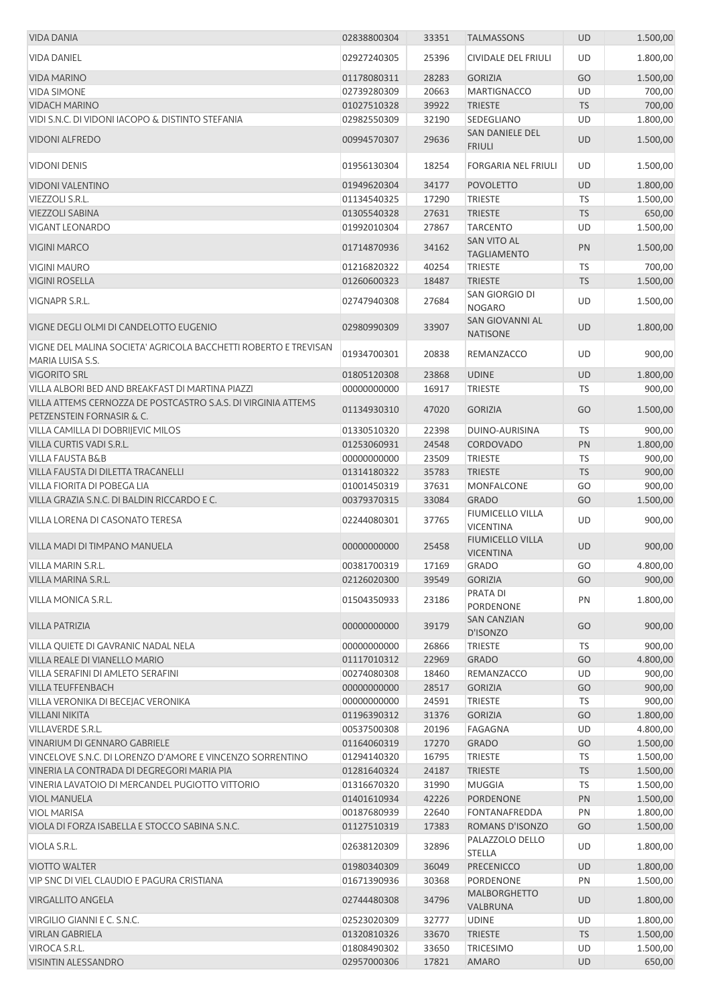| <b>VIDA DANIA</b>                                                                                         | 02838800304 | 33351 | <b>TALMASSONS</b>                           | <b>UD</b> | 1.500,00 |
|-----------------------------------------------------------------------------------------------------------|-------------|-------|---------------------------------------------|-----------|----------|
| <b>VIDA DANIEL</b>                                                                                        | 02927240305 | 25396 | CIVIDALE DEL FRIULI                         | UD        | 1.800,00 |
| <b>VIDA MARINO</b>                                                                                        | 01178080311 | 28283 | <b>GORIZIA</b>                              | GO        | 1.500,00 |
| <b>VIDA SIMONE</b>                                                                                        | 02739280309 | 20663 | <b>MARTIGNACCO</b>                          | UD        | 700,00   |
| <b>VIDACH MARINO</b>                                                                                      | 01027510328 | 39922 | <b>TRIESTE</b>                              | <b>TS</b> | 700,00   |
| VIDI S.N.C. DI VIDONI IACOPO & DISTINTO STEFANIA                                                          | 02982550309 | 32190 | SEDEGLIANO                                  | UD        | 1.800,00 |
| <b>VIDONI ALFREDO</b>                                                                                     | 00994570307 | 29636 | SAN DANIELE DEL<br><b>FRIULI</b>            | UD        | 1.500,00 |
| <b>VIDONI DENIS</b>                                                                                       | 01956130304 | 18254 | <b>FORGARIA NEL FRIULI</b>                  | UD        | 1.500,00 |
| <b>VIDONI VALENTINO</b>                                                                                   | 01949620304 | 34177 | <b>POVOLETTO</b>                            | <b>UD</b> | 1.800,00 |
| VIEZZOLI S.R.L.                                                                                           | 01134540325 | 17290 | <b>TRIESTE</b>                              | <b>TS</b> | 1.500,00 |
| <b>VIEZZOLI SABINA</b>                                                                                    | 01305540328 | 27631 | <b>TRIESTE</b>                              | <b>TS</b> | 650,00   |
| <b>VIGANT LEONARDO</b>                                                                                    | 01992010304 | 27867 | <b>TARCENTO</b>                             | UD        | 1.500,00 |
| <b>VIGINI MARCO</b>                                                                                       | 01714870936 | 34162 | SAN VITO AL<br><b>TAGLIAMENTO</b>           | PN        | 1.500,00 |
| <b>VIGINI MAURO</b>                                                                                       | 01216820322 | 40254 | <b>TRIESTE</b>                              | <b>TS</b> | 700,00   |
| <b>VIGINI ROSELLA</b>                                                                                     | 01260600323 | 18487 | <b>TRIESTE</b>                              | <b>TS</b> | 1.500,00 |
|                                                                                                           |             |       | SAN GIORGIO DI                              |           |          |
| VIGNAPR S.R.L.                                                                                            | 02747940308 | 27684 | <b>NOGARO</b><br>SAN GIOVANNI AL            | UD        | 1.500,00 |
| VIGNE DEGLI OLMI DI CANDELOTTO EUGENIO<br>VIGNE DEL MALINA SOCIETA' AGRICOLA BACCHETTI ROBERTO E TREVISAN | 02980990309 | 33907 | <b>NATISONE</b>                             | <b>UD</b> | 1.800,00 |
| MARIA LUISA S.S.                                                                                          | 01934700301 | 20838 | REMANZACCO                                  | UD        | 900,00   |
| <b>VIGORITO SRL</b>                                                                                       | 01805120308 | 23868 | <b>UDINE</b>                                | <b>UD</b> | 1.800,00 |
| VILLA ALBORI BED AND BREAKFAST DI MARTINA PIAZZI                                                          | 00000000000 | 16917 | <b>TRIESTE</b>                              | <b>TS</b> | 900,00   |
| VILLA ATTEMS CERNOZZA DE POSTCASTRO S.A.S. DI VIRGINIA ATTEMS<br>PETZENSTEIN FORNASIR & C.                | 01134930310 | 47020 | <b>GORIZIA</b>                              | GO        | 1.500,00 |
| VILLA CAMILLA DI DOBRIJEVIC MILOS                                                                         | 01330510320 | 22398 | DUINO-AURISINA                              | <b>TS</b> | 900,00   |
| VILLA CURTIS VADI S.R.L.                                                                                  | 01253060931 | 24548 | CORDOVADO                                   | PN        | 1.800,00 |
| <b>VILLA FAUSTA B&amp;B</b>                                                                               | 00000000000 | 23509 | <b>TRIESTE</b>                              | <b>TS</b> | 900,00   |
| VILLA FAUSTA DI DILETTA TRACANELLI                                                                        | 01314180322 | 35783 | <b>TRIESTE</b>                              | <b>TS</b> | 900,00   |
| VILLA FIORITA DI POBEGA LIA                                                                               | 01001450319 | 37631 | MONFALCONE                                  | GO        | 900,00   |
| VILLA GRAZIA S.N.C. DI BALDIN RICCARDO E C.                                                               | 00379370315 | 33084 | <b>GRADO</b>                                | GO        | 1.500,00 |
| <b>VILLA LORENA DI CASONATO TERESA</b>                                                                    | 02244080301 | 37765 | FIUMICELLO VILLA<br><b>VICENTINA</b>        | UD        | 900,00   |
| VILLA MADI DI TIMPANO MANUELA                                                                             | 00000000000 | 25458 | <b>FIUMICELLO VILLA</b><br><b>VICENTINA</b> | UD        | 900,00   |
| <b>VILLA MARIN S.R.L</b>                                                                                  | 00381700319 | 17169 | <b>GRADO</b>                                | GO        | 4.800,00 |
| VILLA MARINA S.R.L.                                                                                       | 02126020300 | 39549 | <b>GORIZIA</b>                              | GO        | 900,00   |
| <b>VILLA MONICA S.R.L.</b>                                                                                | 01504350933 | 23186 | PRATA DI<br>PORDENONE                       | PN        | 1.800,00 |
| <b>VILLA PATRIZIA</b>                                                                                     | 00000000000 | 39179 | <b>SAN CANZIAN</b><br>D'ISONZO              | GO        | 900,00   |
| VILLA QUIETE DI GAVRANIC NADAL NELA                                                                       | 00000000000 | 26866 | <b>TRIESTE</b>                              | TS        | 900,00   |
| VILLA REALE DI VIANELLO MARIO                                                                             | 01117010312 | 22969 | <b>GRADO</b>                                | GO        | 4.800,00 |
| VILLA SERAFINI DI AMLETO SERAFINI                                                                         | 00274080308 | 18460 | REMANZACCO                                  | UD        | 900,00   |
| <b>VILLA TEUFFENBACH</b>                                                                                  | 00000000000 | 28517 | <b>GORIZIA</b>                              | GO        | 900,00   |
| VILLA VERONIKA DI BECEJAC VERONIKA                                                                        | 00000000000 | 24591 | <b>TRIESTE</b>                              | TS        | 900,00   |
| <b>VILLANI NIKITA</b>                                                                                     | 01196390312 | 31376 | <b>GORIZIA</b>                              | GO        | 1.800,00 |
| VILLAVERDE S.R.L.                                                                                         | 00537500308 | 20196 | <b>FAGAGNA</b>                              | UD        | 4.800,00 |
| VINARIUM DI GENNARO GABRIELE                                                                              | 01164060319 | 17270 | <b>GRADO</b>                                | GO        | 1.500,00 |
| VINCELOVE S.N.C. DI LORENZO D'AMORE E VINCENZO SORRENTINO                                                 | 01294140320 | 16795 | <b>TRIESTE</b>                              | TS        | 1.500,00 |
| VINERIA LA CONTRADA DI DEGREGORI MARIA PIA                                                                | 01281640324 | 24187 | <b>TRIESTE</b>                              | <b>TS</b> | 1.500,00 |
| VINERIA LAVATOIO DI MERCANDEL PUGIOTTO VITTORIO                                                           | 01316670320 | 31990 | <b>MUGGIA</b>                               | <b>TS</b> | 1.500,00 |
| <b>VIOL MANUELA</b>                                                                                       | 01401610934 | 42226 | PORDENONE                                   | PN        | 1.500,00 |
| <b>VIOL MARISA</b>                                                                                        | 00187680939 | 22640 | FONTANAFREDDA                               | PN        | 1.800,00 |
| VIOLA DI FORZA ISABELLA E STOCCO SABINA S.N.C.                                                            | 01127510319 | 17383 | ROMANS D'ISONZO                             | GO        | 1.500,00 |
| VIOLA S.R.L.                                                                                              | 02638120309 | 32896 | PALAZZOLO DELLO<br><b>STELLA</b>            | UD        | 1.800,00 |
| <b>VIOTTO WALTER</b>                                                                                      | 01980340309 | 36049 | <b>PRECENICCO</b>                           | UD        | 1.800,00 |
| VIP SNC DI VIEL CLAUDIO E PAGURA CRISTIANA                                                                | 01671390936 | 30368 | PORDENONE                                   | PN        | 1.500,00 |
|                                                                                                           |             |       | <b>MALBORGHETTO</b>                         |           |          |
| <b>VIRGALLITO ANGELA</b>                                                                                  | 02744480308 | 34796 | VALBRUNA                                    | <b>UD</b> | 1.800,00 |
| VIRGILIO GIANNI E C. S.N.C.                                                                               | 02523020309 | 32777 | <b>UDINE</b>                                | UD        | 1.800,00 |
| <b>VIRLAN GABRIELA</b>                                                                                    | 01320810326 | 33670 | <b>TRIESTE</b>                              | <b>TS</b> | 1.500,00 |
| VIROCA S.R.L.                                                                                             | 01808490302 | 33650 | <b>TRICESIMO</b>                            | UD        | 1.500,00 |
| VISINTIN ALESSANDRO                                                                                       | 02957000306 | 17821 | <b>AMARO</b>                                | <b>UD</b> | 650,00   |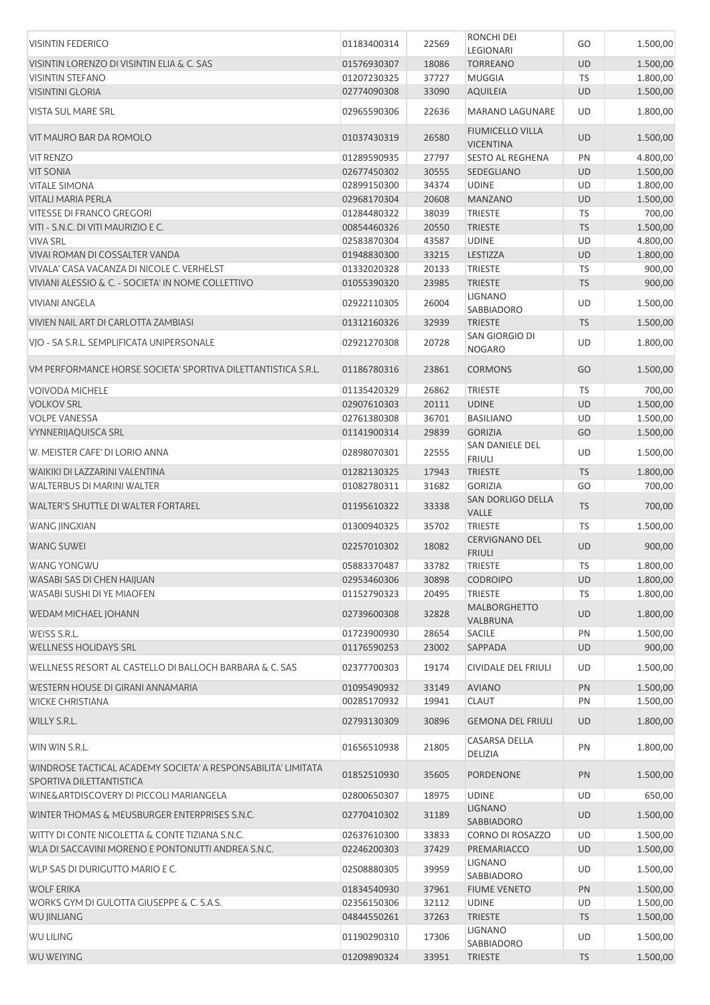| <b>VISINTIN FEDERICO</b>                                                                  | 01183400314 | 22569 | <b>RONCHI DEI</b>                           | GO        | 1.500,00 |
|-------------------------------------------------------------------------------------------|-------------|-------|---------------------------------------------|-----------|----------|
|                                                                                           |             |       | LEGIONARI                                   |           |          |
| VISINTIN LORENZO DI VISINTIN ELIA & C. SAS                                                | 01576930307 | 18086 | <b>TORREANO</b>                             | <b>UD</b> | 1.500,00 |
| <b>VISINTIN STEFANO</b>                                                                   | 01207230325 | 37727 | <b>MUGGIA</b>                               | TS        | 1.800,00 |
| <b>VISINTINI GLORIA</b>                                                                   | 02774090308 | 33090 | <b>AQUILEIA</b>                             | <b>UD</b> | 1.500,00 |
| VISTA SUL MARE SRL                                                                        | 02965590306 | 22636 | <b>MARANO LAGUNARE</b>                      | UD        | 1.800,00 |
| VIT MAURO BAR DA ROMOLO                                                                   | 01037430319 | 26580 | <b>FIUMICELLO VILLA</b><br><b>VICENTINA</b> | <b>UD</b> | 1.500,00 |
| <b>VIT RENZO</b>                                                                          | 01289590935 | 27797 | <b>SESTO AL REGHENA</b>                     | PN        | 4.800,00 |
| <b>VIT SONIA</b>                                                                          | 02677450302 | 30555 | SEDEGLIANO                                  | <b>UD</b> | 1.500,00 |
| <b>VITALE SIMONA</b>                                                                      | 02899150300 | 34374 | <b>UDINE</b>                                | UD        | 1.800,00 |
| <b>VITALI MARIA PERLA</b>                                                                 | 02968170304 | 20608 | <b>MANZANO</b>                              | <b>UD</b> | 1.500,00 |
| <b>VITESSE DI FRANCO GREGORI</b>                                                          | 01284480322 | 38039 | <b>TRIESTE</b>                              | TS        | 700,00   |
| VITI - S.N.C. DI VITI MAURIZIO E C.                                                       | 00854460326 | 20550 | <b>TRIESTE</b>                              | <b>TS</b> | 1.500,00 |
| <b>VIVA SRL</b>                                                                           | 02583870304 | 43587 | <b>UDINE</b>                                | UD        | 4.800,00 |
| VIVAI ROMAN DI COSSALTER VANDA                                                            | 01948830300 | 33215 | <b>LESTIZZA</b>                             | <b>UD</b> | 1.800,00 |
| VIVALA' CASA VACANZA DI NICOLE C. VERHELST                                                | 01332020328 | 20133 | <b>TRIESTE</b>                              | TS        | 900,00   |
| VIVIANI ALESSIO & C. - SOCIETA' IN NOME COLLETTIVO                                        | 01055390320 | 23985 | <b>TRIESTE</b>                              | <b>TS</b> | 900,00   |
|                                                                                           |             |       | <b>LIGNANO</b>                              |           |          |
| <b>VIVIANI ANGELA</b>                                                                     | 02922110305 | 26004 | SABBIADORO                                  | UD        | 1.500,00 |
| VIVIEN NAIL ART DI CARLOTTA ZAMBIASI                                                      | 01312160326 | 32939 | <b>TRIESTE</b>                              | <b>TS</b> | 1.500,00 |
| VIO - SA S.R.L. SEMPLIFICATA UNIPERSONALE                                                 | 02921270308 | 20728 | SAN GIORGIO DI                              | UD        | 1.800,00 |
|                                                                                           |             |       | <b>NOGARO</b>                               |           |          |
| VM PERFORMANCE HORSE SOCIETA' SPORTIVA DILETTANTISTICA S.R.L.                             | 01186780316 | 23861 | <b>CORMONS</b>                              | GO        | 1.500,00 |
| VOIVODA MICHELE                                                                           | 01135420329 | 26862 | <b>TRIESTE</b>                              | TS        | 700,00   |
| <b>VOLKOV SRL</b>                                                                         | 02907610303 | 20111 | <b>UDINE</b>                                | UD        | 1.500,00 |
| <b>VOLPE VANESSA</b>                                                                      | 02761380308 | 36701 | <b>BASILIANO</b>                            | UD        | 1.500,00 |
| <b>VYNNERIJAQUISCA SRL</b>                                                                | 01141900314 | 29839 | <b>GORIZIA</b>                              | GO        | 1.500,00 |
| W. MEISTER CAFE' DI LORIO ANNA                                                            | 02898070301 | 22555 | SAN DANIELE DEL<br><b>FRIULI</b>            | UD        | 1.500,00 |
| WAIKIKI DI LAZZARINI VALENTINA                                                            | 01282130325 | 17943 | <b>TRIESTE</b>                              | <b>TS</b> | 1.800,00 |
| WALTERBUS DI MARINI WALTER                                                                | 01082780311 | 31682 | <b>GORIZIA</b>                              | GO        | 700,00   |
|                                                                                           |             |       | SAN DORLIGO DELLA                           |           |          |
| WALTER'S SHUTTLE DI WALTER FORTAREL                                                       | 01195610322 | 33338 | VALLE                                       | <b>TS</b> | 700,00   |
| WANG JINGXIAN                                                                             | 01300940325 | 35702 | <b>TRIESTE</b>                              | TS        | 1.500,00 |
| <b>WANG SUWEI</b>                                                                         | 02257010302 | 18082 | <b>CERVIGNANO DEL</b><br><b>FRIULI</b>      | <b>UD</b> | 900,00   |
| <b>WANG YONGWU</b>                                                                        | 05883370487 | 33782 | <b>TRIESTE</b>                              | TS        | 1.800,00 |
| WASABI SAS DI CHEN HAIJUAN                                                                | 02953460306 | 30898 | <b>CODROIPO</b>                             | UD        | 1.800,00 |
| <b>WASABI SUSHI DI YE MIAOFEN</b>                                                         | 01152790323 | 20495 | <b>TRIESTE</b>                              | <b>TS</b> | 1.800,00 |
| WEDAM MICHAEL JOHANN                                                                      | 02739600308 | 32828 | <b>MALBORGHETTO</b><br>VALBRUNA             | <b>UD</b> | 1.800,00 |
| WEISS S.R.L.                                                                              | 01723900930 | 28654 | <b>SACILE</b>                               | PN        | 1.500,00 |
| <b>WELLNESS HOLIDAYS SRL</b>                                                              | 01176590253 | 23002 | SAPPADA                                     | <b>UD</b> | 900,00   |
|                                                                                           |             |       |                                             |           |          |
| WELLNESS RESORT AL CASTELLO DI BALLOCH BARBARA & C. SAS                                   | 02377700303 | 19174 | CIVIDALE DEL FRIULI                         | UD        | 1.500,00 |
| WESTERN HOUSE DI GIRANI ANNAMARIA                                                         | 01095490932 | 33149 | <b>AVIANO</b>                               | PN        | 1.500,00 |
| <b>WICKE CHRISTIANA</b>                                                                   | 00285170932 | 19941 | <b>CLAUT</b>                                | PN        | 1.500,00 |
| WILLY S.R.L.                                                                              | 02793130309 | 30896 | <b>GEMONA DEL FRIULI</b>                    | <b>UD</b> | 1.800,00 |
| WIN WIN S.R.L.                                                                            | 01656510938 | 21805 | CASARSA DELLA<br>DELIZIA                    | PN        | 1.800,00 |
| WINDROSE TACTICAL ACADEMY SOCIETA' A RESPONSABILITA' LIMITATA<br>SPORTIVA DILETTANTISTICA | 01852510930 | 35605 | <b>PORDENONE</b>                            | PN        | 1.500,00 |
| WINE&ARTDISCOVERY DI PICCOLI MARIANGELA                                                   | 02800650307 | 18975 | <b>UDINE</b>                                | UD        | 650,00   |
| WINTER THOMAS & MEUSBURGER ENTERPRISES S.N.C.                                             | 02770410302 | 31189 | <b>LIGNANO</b>                              | <b>UD</b> | 1.500,00 |
|                                                                                           |             |       | SABBIADORO                                  |           |          |
| WITTY DI CONTE NICOLETTA & CONTE TIZIANA S.N.C.                                           | 02637610300 | 33833 | <b>CORNO DI ROSAZZO</b>                     | UD        | 1.500,00 |
| WLA DI SACCAVINI MORENO E PONTONUTTI ANDREA S.N.C.                                        | 02246200303 | 37429 | PREMARIACCO                                 | UD        | 1.500,00 |
| WLP SAS DI DURIGUTTO MARIO E C.                                                           | 02508880305 | 39959 | LIGNANO<br>SABBIADORO                       | UD        | 1.500,00 |
| <b>WOLF ERIKA</b>                                                                         | 01834540930 | 37961 | <b>FIUME VENETO</b>                         | PN        | 1.500,00 |
| WORKS GYM DI GULOTTA GIUSEPPE & C. S.A.S.                                                 | 02356150306 | 32112 | <b>UDINE</b>                                | UD        | 1.500,00 |
| WU JINLIANG                                                                               | 04844550261 | 37263 | <b>TRIESTE</b>                              | <b>TS</b> | 1.500,00 |
| <b>WU LILING</b>                                                                          | 01190290310 | 17306 | <b>LIGNANO</b>                              | UD        | 1.500,00 |
|                                                                                           |             |       | SABBIADORO                                  |           |          |
| <b>WU WEIYING</b>                                                                         | 01209890324 | 33951 | <b>TRIESTE</b>                              | <b>TS</b> | 1.500,00 |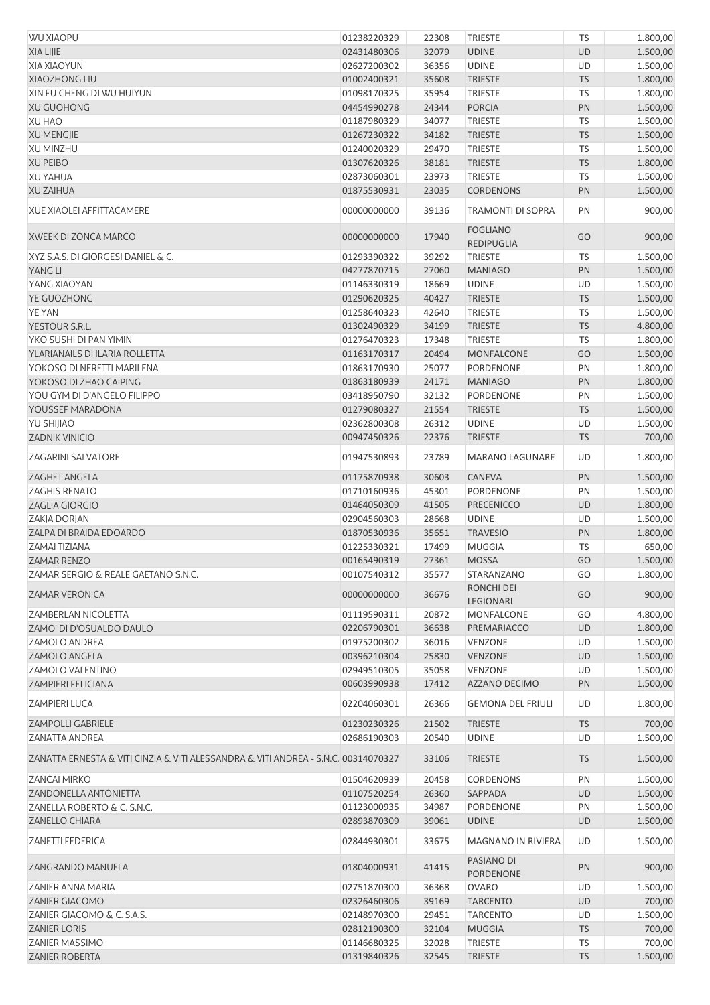| <b>WU XIAOPU</b>                                                                   | 01238220329                | 22308          | <b>TRIESTE</b>                            | <b>TS</b>       | 1.800,00             |
|------------------------------------------------------------------------------------|----------------------------|----------------|-------------------------------------------|-----------------|----------------------|
| <b>XIA LIJIE</b>                                                                   | 02431480306                | 32079          | <b>UDINE</b>                              | <b>UD</b>       | 1.500,00             |
| ΧΙΑ ΧΙΑΟΥUΝ                                                                        | 02627200302                | 36356          | <b>UDINE</b>                              | UD              | 1.500,00             |
| <b>XIAOZHONG LIU</b>                                                               | 01002400321                | 35608          | <b>TRIESTE</b>                            | <b>TS</b>       | 1.800,00             |
| XIN FU CHENG DI WU HUIYUN                                                          | 01098170325                | 35954          | <b>TRIESTE</b>                            | TS              | 1.800,00             |
| <b>XU GUOHONG</b>                                                                  | 04454990278                | 24344          | <b>PORCIA</b>                             | PN              | 1.500,00             |
|                                                                                    |                            | 34077          |                                           |                 |                      |
| <b>XU HAO</b>                                                                      | 01187980329                |                | <b>TRIESTE</b>                            | TS              | 1.500,00             |
| <b>XU MENGJIE</b>                                                                  | 01267230322                | 34182          | <b>TRIESTE</b>                            | <b>TS</b>       | 1.500,00             |
| <b>XU MINZHU</b>                                                                   | 01240020329                | 29470          | <b>TRIESTE</b>                            | TS              | 1.500,00             |
| <b>XU PEIBO</b>                                                                    | 01307620326                | 38181          | <b>TRIESTE</b>                            | <b>TS</b>       | 1.800,00             |
| <b>XU YAHUA</b>                                                                    | 02873060301                | 23973          | <b>TRIESTE</b>                            | <b>TS</b>       | 1.500,00             |
| <b>XU ZAIHUA</b>                                                                   | 01875530931                | 23035          | <b>CORDENONS</b>                          | PN              | 1.500,00             |
| <b>XUE XIAOLEI AFFITTACAMERE</b>                                                   | 00000000000                | 39136          | TRAMONTI DI SOPRA                         | PN              | 900,00               |
| XWEEK DI ZONCA MARCO                                                               | 00000000000                | 17940          | <b>FOGLIANO</b><br><b>REDIPUGLIA</b>      | GO              | 900,00               |
| XYZ S.A.S. DI GIORGESI DANIEL & C.                                                 | 01293390322                | 39292          | <b>TRIESTE</b>                            | <b>TS</b>       | 1.500,00             |
| YANG LI                                                                            | 04277870715                | 27060          | <b>MANIAGO</b>                            | PN              | 1.500,00             |
| YANG XIAOYAN                                                                       | 01146330319                | 18669          | <b>UDINE</b>                              | UD              | 1.500,00             |
| YE GUOZHONG                                                                        | 01290620325                | 40427          | <b>TRIESTE</b>                            | <b>TS</b>       | 1.500,00             |
| <b>YE YAN</b>                                                                      | 01258640323                | 42640          | TRIESTE                                   | <b>TS</b>       | 1.500,00             |
| YESTOUR S.R.L.                                                                     | 01302490329                | 34199          | <b>TRIESTE</b>                            | <b>TS</b>       |                      |
|                                                                                    |                            |                |                                           |                 | 4.800,00             |
| YKO SUSHI DI PAN YIMIN                                                             | 01276470323                | 17348          | TRIESTE                                   | <b>TS</b>       | 1.800,00             |
| YLARIANAILS DI ILARIA ROLLETTA                                                     | 01163170317                | 20494          | <b>MONFALCONE</b>                         | GO              | 1.500,00             |
| YOKOSO DI NERETTI MARILENA                                                         | 01863170930                | 25077          | PORDENONE                                 | PN              | 1.800,00             |
| YOKOSO DI ZHAO CAIPING                                                             | 01863180939                | 24171          | <b>MANIAGO</b>                            | PN              | 1.800,00             |
| YOU GYM DI D'ANGELO FILIPPO                                                        | 03418950790                | 32132          | PORDENONE                                 | PN              | 1.500,00             |
| YOUSSEF MARADONA                                                                   | 01279080327                | 21554          | <b>TRIESTE</b>                            | <b>TS</b>       | 1.500,00             |
| YU SHIJIAO                                                                         | 02362800308                | 26312          | <b>UDINE</b>                              | UD              | 1.500,00             |
| <b>ZADNIK VINICIO</b>                                                              | 00947450326                | 22376          | <b>TRIESTE</b>                            | <b>TS</b>       | 700,00               |
| <b>ZAGARINI SALVATORE</b>                                                          | 01947530893                | 23789          | <b>MARANO LAGUNARE</b>                    | UD              | 1.800,00             |
| <b>ZAGHET ANGELA</b>                                                               | 01175870938                | 30603          | <b>CANEVA</b>                             | PN              | 1.500,00             |
| <b>ZAGHIS RENATO</b>                                                               | 01710160936                | 45301          | PORDENONE                                 | PN              | 1.500,00             |
| <b>ZAGLIA GIORGIO</b>                                                              | 01464050309                | 41505          | <b>PRECENICCO</b>                         | <b>UD</b>       | 1.800,00             |
|                                                                                    |                            |                |                                           |                 |                      |
| ZAKJA DORJAN                                                                       | 02904560303                | 28668          | <b>UDINE</b>                              | UD              | 1.500,00             |
| ZALPA DI BRAIDA EDOARDO                                                            | 01870530936                | 35651          | <b>TRAVESIO</b>                           | PN              | 1.800,00             |
| ZAMAI TIZIANA                                                                      | 01225330321                | 17499          | <b>MUGGIA</b>                             | TS              | 650,00               |
| <b>ZAMAR RENZO</b>                                                                 | 00165490319                | 27361          | <b>MOSSA</b>                              | GO              | 1.500,00             |
| ZAMAR SERGIO & REALE GAETANO S.N.C.                                                | 00107540312                | 35577          | STARANZANO                                | GO              | 1.800,00             |
| <b>ZAMAR VERONICA</b>                                                              | 00000000000                | 36676          | RONCHI DEI<br>LEGIONARI                   | GO              | 900,00               |
| <b>ZAMBERLAN NICOLETTA</b>                                                         | 01119590311                | 20872          | MONFALCONE                                | GO              | 4.800,00             |
| ZAMO' DI D'OSUALDO DAULO                                                           | 02206790301                | 36638          | PREMARIACCO                               | <b>UD</b>       | 1.800,00             |
| <b>ZAMOLO ANDREA</b>                                                               | 01975200302                | 36016          | VENZONE                                   | UD              | 1.500,00             |
| <b>ZAMOLO ANGELA</b>                                                               | 00396210304                | 25830          | <b>VENZONE</b>                            | <b>UD</b>       | 1.500,00             |
| ZAMOLO VALENTINO                                                                   | 02949510305                | 35058          | VENZONE                                   | UD              | 1.500,00             |
| <b>ZAMPIERI FELICIANA</b>                                                          | 00603990938                | 17412          | <b>AZZANO DECIMO</b>                      |                 |                      |
| <b>ZAMPIERI LUCA</b>                                                               | 02204060301                | 26366          | <b>GEMONA DEL FRIULI</b>                  | PN<br>UD        | 1.500,00<br>1.800,00 |
| <b>ZAMPOLLI GABRIELE</b>                                                           | 01230230326                | 21502          | <b>TRIESTE</b>                            | <b>TS</b>       | 700,00               |
| ZANATTA ANDREA                                                                     | 02686190303                | 20540          | <b>UDINE</b>                              | UD              | 1.500,00             |
| ZANATTA ERNESTA & VITI CINZIA & VITI ALESSANDRA & VITI ANDREA - S.N.C. 00314070327 |                            | 33106          | <b>TRIESTE</b>                            | <b>TS</b>       | 1.500,00             |
| <b>ZANCAI MIRKO</b>                                                                | 01504620939                | 20458          | <b>CORDENONS</b>                          | PN              | 1.500,00             |
| ZANDONELLA ANTONIETTA                                                              | 01107520254                | 26360          | SAPPADA                                   | <b>UD</b>       | 1.500,00             |
| ZANELLA ROBERTO & C. S.N.C.                                                        | 01123000935                | 34987          | PORDENONE                                 | PN              |                      |
|                                                                                    |                            |                |                                           |                 | 1.500,00             |
| <b>ZANELLO CHIARA</b><br><b>ZANETTI FEDERICA</b>                                   | 02893870309<br>02844930301 | 39061<br>33675 | <b>UDINE</b><br><b>MAGNANO IN RIVIERA</b> | <b>UD</b><br>UD | 1.500,00<br>1.500,00 |
| ZANGRANDO MANUELA                                                                  | 01804000931                | 41415          | PASIANO DI                                | PN              | 900,00               |
|                                                                                    |                            |                | PORDENONE                                 |                 |                      |
| ZANIER ANNA MARIA                                                                  | 02751870300                | 36368          | <b>OVARO</b>                              | UD              | 1.500,00             |
| <b>ZANIER GIACOMO</b>                                                              | 02326460306                | 39169          | <b>TARCENTO</b>                           | <b>UD</b>       | 700,00               |
| ZANIER GIACOMO & C. S.A.S.                                                         | 02148970300                | 29451          | <b>TARCENTO</b>                           | UD              | 1.500,00             |
| <b>ZANIER LORIS</b>                                                                | 02812190300                | 32104          | <b>MUGGIA</b>                             | <b>TS</b>       | 700,00               |
| <b>ZANIER MASSIMO</b>                                                              | 01146680325                | 32028          | <b>TRIESTE</b>                            | <b>TS</b>       | 700,00               |
| <b>ZANIER ROBERTA</b>                                                              | 01319840326                | 32545          | TRIESTE                                   | ${\sf TS}$      | 1.500,00             |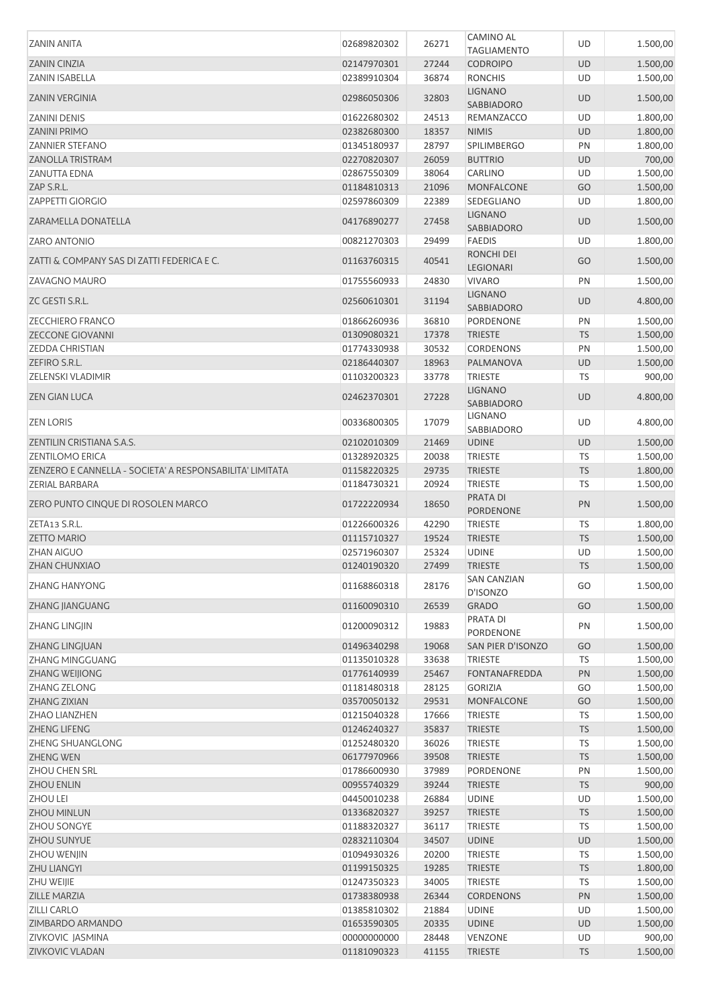| <b>ZANIN ANITA</b>                                       | 02689820302                | 26271          | <b>CAMINO AL</b>             | UD              | 1.500,00             |
|----------------------------------------------------------|----------------------------|----------------|------------------------------|-----------------|----------------------|
|                                                          |                            |                | <b>TAGLIAMENTO</b>           |                 |                      |
| <b>ZANIN CINZIA</b>                                      | 02147970301                | 27244          | <b>CODROIPO</b>              | <b>UD</b>       | 1.500,00             |
| ZANIN ISABELLA                                           | 02389910304                | 36874          | <b>RONCHIS</b>               | UD              | 1.500,00             |
| <b>ZANIN VERGINIA</b>                                    | 02986050306                | 32803          | <b>LIGNANO</b><br>SABBIADORO | <b>UD</b>       | 1.500,00             |
| <b>ZANINI DENIS</b>                                      | 01622680302                | 24513          | REMANZACCO                   | UD              | 1.800,00             |
| <b>ZANINI PRIMO</b>                                      | 02382680300                | 18357          | <b>NIMIS</b>                 | <b>UD</b>       | 1.800,00             |
| <b>ZANNIER STEFANO</b>                                   | 01345180937                | 28797          | SPILIMBERGO                  | PN              | 1.800,00             |
| <b>ZANOLLA TRISTRAM</b>                                  | 02270820307                | 26059          | <b>BUTTRIO</b>               | <b>UD</b>       | 700,00               |
| <b>ZANUTTA EDNA</b>                                      | 02867550309                | 38064          | CARLINO                      | UD              | 1.500,00             |
| ZAP S.R.L.                                               | 01184810313                | 21096          | <b>MONFALCONE</b>            | GO              | 1.500,00             |
| <b>ZAPPETTI GIORGIO</b>                                  | 02597860309                | 22389          | SEDEGLIANO                   | UD              | 1.800,00             |
| ZARAMELLA DONATELLA                                      | 04176890277                | 27458          | <b>LIGNANO</b>               | <b>UD</b>       | 1.500,00             |
| <b>ZARO ANTONIO</b>                                      | 00821270303                | 29499          | SABBIADORO<br><b>FAEDIS</b>  | UD              | 1.800,00             |
| ZATTI & COMPANY SAS DI ZATTI FEDERICA E C.               | 01163760315                | 40541          | RONCHI DEI<br>LEGIONARI      | GO              | 1.500,00             |
| <b>ZAVAGNO MAURO</b>                                     | 01755560933                | 24830          | <b>VIVARO</b>                | PN              | 1.500,00             |
| ZC GESTI S.R.L.                                          | 02560610301                | 31194          | <b>LIGNANO</b><br>SABBIADORO | <b>UD</b>       | 4.800,00             |
| <b>ZECCHIERO FRANCO</b>                                  | 01866260936                | 36810          | PORDENONE                    | PN              | 1.500,00             |
| <b>ZECCONE GIOVANNI</b>                                  | 01309080321                | 17378          | <b>TRIESTE</b>               | <b>TS</b>       | 1.500,00             |
| <b>ZEDDA CHRISTIAN</b>                                   | 01774330938                | 30532          | <b>CORDENONS</b>             | PN              | 1.500,00             |
| ZEFIRO S.R.L.                                            | 02186440307                | 18963          | PALMANOVA                    | UD              | 1.500,00             |
| ZELENSKI VLADIMIR                                        | 01103200323                | 33778          | <b>TRIESTE</b>               | <b>TS</b>       | 900,00               |
| <b>ZEN GIAN LUCA</b>                                     | 02462370301                | 27228          | <b>LIGNANO</b>               | UD              | 4.800,00             |
| <b>ZEN LORIS</b>                                         | 00336800305                | 17079          | SABBIADORO<br>LIGNANO        | UD              | 4.800,00             |
|                                                          |                            |                | SABBIADORO                   |                 |                      |
| ZENTILIN CRISTIANA S.A.S.                                | 02102010309                | 21469          | <b>UDINE</b>                 | <b>UD</b>       | 1.500,00             |
| <b>ZENTILOMO ERICA</b>                                   | 01328920325                | 20038          | <b>TRIESTE</b>               | <b>TS</b>       | 1.500,00             |
| ZENZERO E CANNELLA - SOCIETA' A RESPONSABILITA' LIMITATA | 01158220325                | 29735          | <b>TRIESTE</b>               | <b>TS</b>       | 1.800,00             |
| ZERIAL BARBARA                                           | 01184730321                | 20924          | <b>TRIESTE</b>               | TS              | 1.500,00             |
|                                                          |                            |                |                              |                 |                      |
| ZERO PUNTO CINQUE DI ROSOLEN MARCO                       | 01722220934                | 18650          | PRATA DI<br>PORDENONE        | PN              | 1.500,00             |
| ZETA13 S.R.L.                                            | 01226600326                | 42290          | <b>TRIESTE</b>               | <b>TS</b>       | 1.800,00             |
| <b>ZETTO MARIO</b>                                       | 01115710327                | 19524          | <b>TRIESTE</b>               | <b>TS</b>       |                      |
| <b>ZHAN AIGUO</b>                                        | 02571960307                | 25324          | <b>UDINE</b>                 | UD              | 1.500,00<br>1.500,00 |
|                                                          |                            |                | <b>TRIESTE</b>               | TS              |                      |
| ZHAN CHUNXIAO<br>ZHANG HANYONG                           | 01240190320<br>01168860318 | 27499<br>28176 | <b>SAN CANZIAN</b>           | GO              | 1.500,00<br>1.500,00 |
|                                                          |                            |                | D'ISONZO                     |                 |                      |
| ZHANG JIANGUANG<br>ZHANG LINGJIN                         | 01160090310<br>01200090312 | 26539<br>19883 | <b>GRADO</b><br>PRATA DI     | GO<br>PN        | 1.500,00<br>1.500,00 |
|                                                          |                            |                | PORDENONE                    |                 |                      |
| ZHANG LINGJUAN                                           | 01496340298                | 19068          | SAN PIER D'ISONZO            | GO              | 1.500,00             |
| ZHANG MINGGUANG                                          | 01135010328                | 33638          | TRIESTE                      | TS              | 1.500,00             |
| ZHANG WEIJIONG                                           | 01776140939                | 25467          | <b>FONTANAFREDDA</b>         | PN              | 1.500,00             |
| ZHANG ZELONG                                             | 01181480318                | 28125          | <b>GORIZIA</b>               | GO              | 1.500,00             |
| ZHANG ZIXIAN                                             | 03570050132                | 29531          | <b>MONFALCONE</b>            | GO              | 1.500,00             |
| <b>ZHAO LIANZHEN</b>                                     | 01215040328                | 17666          | <b>TRIESTE</b>               | TS              | 1.500,00             |
| <b>ZHENG LIFENG</b>                                      | 01246240327                | 35837          | <b>TRIESTE</b>               | <b>TS</b>       | 1.500,00             |
| ZHENG SHUANGLONG                                         | 01252480320                | 36026          | <b>TRIESTE</b>               | <b>TS</b>       | 1.500,00             |
| <b>ZHENG WEN</b>                                         | 06177970966                | 39508          | <b>TRIESTE</b>               | <b>TS</b>       | 1.500,00             |
| ZHOU CHEN SRL                                            | 01786600930                | 37989          | PORDENONE                    | PN              | 1.500,00             |
| <b>ZHOU ENLIN</b>                                        | 00955740329                | 39244          | <b>TRIESTE</b>               | <b>TS</b>       | 900,00               |
| <b>ZHOU LEI</b>                                          | 04450010238                | 26884          | <b>UDINE</b>                 | UD              | 1.500,00             |
| ZHOU MINLUN                                              | 01336820327                | 39257          | <b>TRIESTE</b>               | <b>TS</b>       | 1.500,00             |
| ZHOU SONGYE                                              | 01188320327                | 36117          | <b>TRIESTE</b>               | <b>TS</b>       | 1.500,00             |
| ZHOU SUNYUE                                              | 02832110304                | 34507          | <b>UDINE</b>                 | UD              | 1.500,00             |
| <b>ZHOU WENJIN</b>                                       | 01094930326                | 20200          | <b>TRIESTE</b>               | <b>TS</b>       | 1.500,00             |
| <b>ZHU LIANGYI</b>                                       | 01199150325                | 19285          | <b>TRIESTE</b>               | <b>TS</b>       | 1.800,00             |
| ZHU WEIJIE                                               | 01247350323                | 34005          | <b>TRIESTE</b>               | <b>TS</b>       |                      |
|                                                          |                            |                |                              |                 | 1.500,00             |
| ZILLE MARZIA                                             | 01738380938                | 26344          | <b>CORDENONS</b>             | PN              | 1.500,00             |
| <b>ZILLI CARLO</b>                                       | 01385810302                | 21884          | <b>UDINE</b>                 | UD              | 1.500,00             |
| ZIMBARDO ARMANDO                                         | 01653590305                | 20335          | <b>UDINE</b>                 | UD              | 1.500,00             |
| ZIVKOVIC JASMINA<br>ZIVKOVIC VLADAN                      | 00000000000<br>01181090323 | 28448<br>41155 | VENZONE<br><b>TRIESTE</b>    | UD<br><b>TS</b> | 900,00<br>1.500,00   |